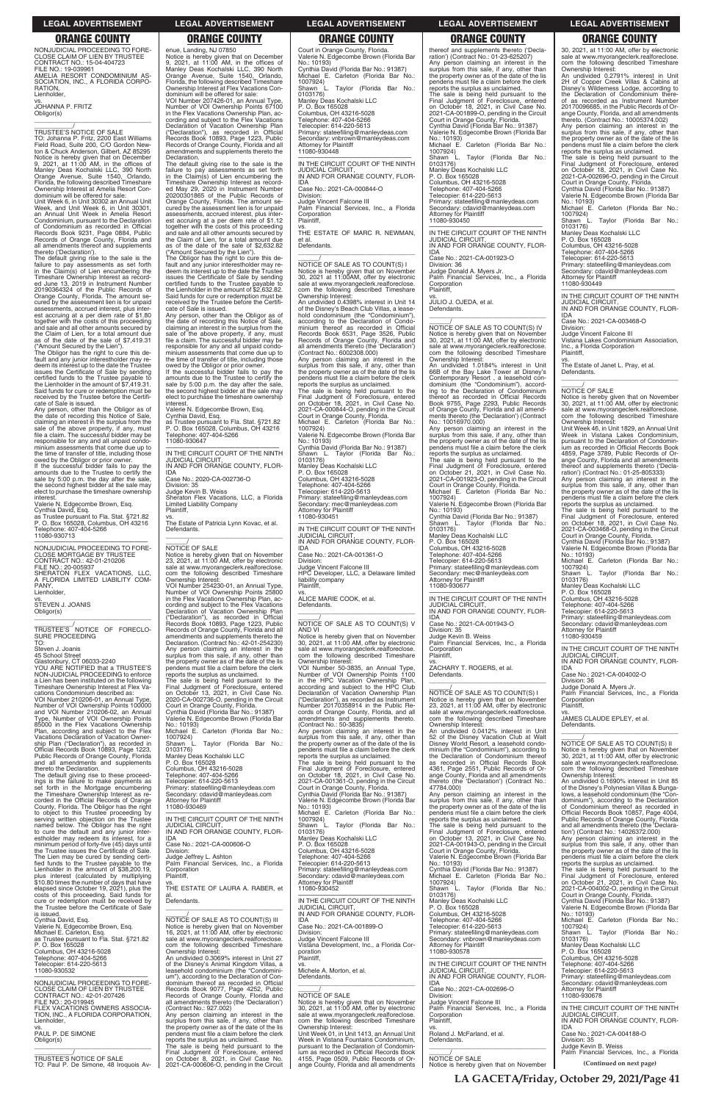NONJUDICIAL PROCEEDING TO FORE-CLOSE CLAIM OF LIEN BY TRUSTEE CONTRACT NO.: 15-04-404723 FILE NO.: 19-039961 AMELIA RESORT CONDOMINIUM AS-SOCIATION, INC., A FLORIDA CORPO-**RATION** Lienholder,

vs. JOHANNA P. FRITZ Obligor(s)

\_\_\_\_\_\_\_\_\_\_\_\_\_\_\_\_\_\_\_\_\_\_\_\_\_\_\_\_\_\_\_\_\_

\_\_\_\_\_\_\_\_\_\_\_/ TRUSTEE'S NOTICE OF SALE TO: Johanna P. Fritz, 2200 East Williams Field Road, Suite 200, C/O Gordon Newton & Chuck Anderson, Gilbert, AZ 85295 Notice is hereby given that on December 9, 2021, at 11:00 AM, in the offices of Manley Deas Kochalski LLC, 390 North Orange Avenue, Suite 1540, Orlando, Florida, the following described Timeshare Ownership Interest at Amelia Resort Condominium will be offered for sale:

Unit Week 6, in Unit 30302 an Annual Unit Week, and Unit Week 6, in Unit 30301, an Annual Unit Week in Amelia Resort Condominium, pursuant to the Declaration of Condominium as recorded in Official Records Book 9231, Page 0884, Public Records of Orange County, Florida and all amendments thereof and supplements thereto ('Declaration').

The default giving rise to the sale is the failure to pay assessments as set forth in the Claim(s) of Lien encumbering the Timeshare Ownership Interest as record-ed June 13, 2019 in Instrument Number 20190364324 of the Public Records of Orange County, Florida. The amount se-cured by the assessment lien is for unpaid assessments, accrued interest, plus interest accruing at a per diem rate of \$1.80 together with the costs of this proceeding and sale and all other amounts secured by the Claim of Lien, for a total amount due as of the date of the sale of \$7,419.31 ("Amount Secured by the Lien").

### $\overline{\phantom{a}}$  ,  $\overline{\phantom{a}}$  ,  $\overline{\phantom{a}}$  ,  $\overline{\phantom{a}}$  ,  $\overline{\phantom{a}}$  ,  $\overline{\phantom{a}}$  ,  $\overline{\phantom{a}}$  ,  $\overline{\phantom{a}}$  ,  $\overline{\phantom{a}}$  ,  $\overline{\phantom{a}}$  ,  $\overline{\phantom{a}}$  ,  $\overline{\phantom{a}}$  ,  $\overline{\phantom{a}}$  ,  $\overline{\phantom{a}}$  ,  $\overline{\phantom{a}}$  ,  $\overline{\phantom{a}}$ TRUSTEE'S NOTICE OF FORECLO-SURE PROCEEDING TO:

The Obligor has the right to cure this de-fault and any junior interestholder may redeem its interest up to the date the Trustee issues the Certificate of Sale by sending certified funds to the Trustee payable to the Lienholder in the amount of \$7,419.31. Said funds for cure or redemption must be received by the Trustee before the Certificate of Sale is issued.

Any person, other than the Obligor as of the date of recording this Notice of Sale, claiming an interest in the surplus from the sale of the above property, if any, must file a claim. The successful bidder may be responsible for any and all unpaid condo-minium assessments that come due up to the time of transfer of title, including those

owed by the Obligor or prior owner. If the successful bidder fails to pay the amounts due to the Trustee to certify the sale by 5:00 p.m. the day after the sale, the second highest bidder at the sale may elect to purchase the timeshare ownership interest.

Valerie N. Edgecombe Brown, Esq. Cynthia David, Esq.

as Trustee pursuant to Fla. Stat. §721.82 P. O. Box 165028, Columbus, OH 43216 Telephone: 407-404-5266 11080-930713

—————————————————— NONJUDICIAL PROCEEDING TO FORE-CLOSE MORTGAGE BY TRUSTEE CONTRACT NO.: 42-01-210206 FILE NO.: 20-005937 SHERATON FLEX VACATIONS, LLC, A FLORIDA LIMITED LIABILITY COM-PANY, Lienholder,

vs. STEVEN J. JOANIS Obligor(s)

Steven J. Joanis

45 School Street Glastonbury, CT 06033-2240 YOU ARE NOTIFIED that a TRUSTEE'S NON-JUDICIAL PROCEEDING to enforce a Lien has been instituted on the following Timeshare Ownership Interest at Flex Va-

cations Condominium described as: VOI Number 210206-01, an Annual Type, Number of VOI Ownership Points 100000 and VOI Number 210206-02, an Annual Type, Number of VOI Ownership Points 85000 in the Flex Vacations Ownership Plan, according and subject to the Flex Vacations Declaration of Vacation Ownership Plan ("Declaration"), as recorded in Official Records Book 10893, Page 1223, Public Records of Orange County, Florida and all amendments and supplements

thereto the Declaration. The default giving rise to these proceedings is the failure to make payments as set forth in the Mortgage encumbering the Timeshare Ownership Interest as recorded in the Official Records of Orange County, Florida. The Obligor has the right to object to this Trustee proceeding by

enue, Landing, NJ 07850 Notice is hereby given that on December 9, 2021, at 11:00 AM, in the offices of Manley Deas Kochalski LLC, 390 North Orange Avenue, Suite 1540, Orlando, Florida, the following described Timeshare Ownership Interest at Flex Vacations Con-dominium will be offered for sale:

VOI Number 207426-01, an Annual Type, Number of VOI Ownership Points 67100 in the Flex Vacations Ownership Plan, according and subject to the Flex Vacations Declaration of Vacation Ownership Plan ("Declaration"), as recorded in Official Records Book 10893, Page 1223, Public Records of Orange County, Florida and all amendments and supplements thereto the Declaration.

The default giving rise to the sale is the failure to pay assessments as set forth in the Claim(s) of Lien encumbering the Timeshare Ownership Interest as record-ed May 29, 2020 in Instrument Number 20200301865 of the Public Records of Orange County, Florida. The amount se-cured by the assessment lien is for unpaid assessments, accrued interest, plus interest accruing at a per diem rate of \$1.12 together with the costs of this proceeding and sale and all other amounts secured by the Claim of Lien, for a total amount due as of the date of the sale of \$2,632.82

> Telephone: 407-404-5266 elecopier: 614-220-5613

("Amount Secured by the Lien"). The Obligor has the right to cure this de-fault and any junior interestholder may redeem its interest up to the date the Trustee issues the Certificate of Sale by sending certified funds to the Trustee payable to the Lienholder in the amount of \$2,632.82. Said funds for cure or redemption must be received by the Trustee before the Certificate of Sale is issued.

Any person, other than the Obligor as of the date of recording this Notice of Sale, claiming an interest in the surplus from the sale of the above property, if any, must file a claim. The successful bidder may be responsible for any and all unpaid condominium assessments that come due up to the time of transfer of title, including those

owed by the Obligor or prior owner. If the successful bidder fails to pay the amounts due to the Trustee to certify the sale by 5:00 p.m. the day after the sale, the second highest bidder at the sale may elect to purchase the timeshare ownership interest.

Valerie N. Edgecombe Brown, Esq. Cynthia David, Esq. as Trustee pursuant to Fla. Stat. §721.82 P. O. Box 165028, Columbus, OH 43216 Telephone: 407-404-5266 11080-930647

—————————————————— IN THE CIRCUIT COURT OF THE NINTH JUDICIAL CIRCUIT, IN AND FOR ORANGE COUNTY, FLOR-

IDA Case No.: 2020-CA-002736-O

Division: 35

Judge Kevin B. Weiss Sheraton Flex Vacations, LLC, a Florida Limited Liability Company Plaintiff,

vs. The Estate of Patricia Lynn Kovac, et al. Defendants. \_\_\_\_\_\_\_\_\_\_\_\_\_\_\_\_\_\_\_\_\_\_\_\_\_\_\_\_\_\_\_\_\_

# $\frac{\gamma}{\text{NOTICE}}$  OF SALE

IN AND FOR ORANGE COUNTY, FLOR-IDA Case No.: 2021-CA-001923-O Division: 36

Notice is hereby given that on November 23, 2021, at 11:00 AM, offer by electronic sale at www.myorangeclerk.realforeclose. com the following described Timeshare Ownership Interest: VOI Number 254230-01, an Annual Type,

vs. JULIO J. OJEDA, et al. Defendants.  $\overline{\phantom{a}}$  ,  $\overline{\phantom{a}}$  ,  $\overline{\phantom{a}}$  ,  $\overline{\phantom{a}}$  ,  $\overline{\phantom{a}}$  ,  $\overline{\phantom{a}}$  ,  $\overline{\phantom{a}}$  ,  $\overline{\phantom{a}}$  ,  $\overline{\phantom{a}}$  ,  $\overline{\phantom{a}}$  ,  $\overline{\phantom{a}}$  ,  $\overline{\phantom{a}}$  ,  $\overline{\phantom{a}}$  ,  $\overline{\phantom{a}}$  ,  $\overline{\phantom{a}}$  ,  $\overline{\phantom{a}}$ 

\_\_\_\_\_\_/<br>NOTICE OF SALE AS TO COUNT(S) IV Notice is hereby given that on November 30, 2021, at 11:00 AM, offer by electronic sale at www.myorangeclerk.realforeclose. com the following described Timeshare Ownership Interest:

Number of VOI Ownership Points 25800 in the Flex Vacations Ownership Plan, ac-cording and subject to the Flex Vacations Declaration of Vacation Ownership Plan ("Declaration"), as recorded in Official Records Book 10893, Page 1223, Public Records of Orange County, Florida and all amendments and supplements thereto the Declaration. (Contract No.: 42-01-254230) Any person claiming an interest in the surplus from this sale, if any, other than the property owner as of the date of the lis pendens must file a claim before the clerk

reports the surplus as unclaimed. The sale is being held pursuant to the Final Judgment of Foreclosure, entered on October 13, 2021, in Civil Case No. 2020-CA-002736-O, pending in the Circuit Court in Orange County, Florida. Cynthia David (Florida Bar No.: 91387) Valerie N. Edgecombe Brown (Florida Bar

No.: 10193) Michael E. Carleton (Florida Bar No.: 1007924)

Shawn L. Taylor (Florida Bar No.: 0103176) Manley Deas Kochalski LLC

P. O. Box 165028

Columbus, OH 43216-5028 Telephone: 407-404-5266 Telecopier: 614-220-5613 Primary: stateefiling@manleydeas.com Secondary: cdavid@manleydeas.com Attorney for Plaintiff 11080-930469

Primary: stateefiling@manleydeas.com Secondary: cdavid@manleydeas.com Attorney for Plaintiff 11080-930449 —————————————————— IN THE CIRCUIT COURT OF THE NINTH JUDICIAL CIRCUIT, IN AND FOR ORANGE COUNTY, FLOR-

Court in Orange County, Florida. Valerie N. Edgecombe Brown (Florida Bar No.: 10193) Cynthia David (Florida Bar No.: 91387) Michael E. Carleton (Florida Bar No.: 1007924) L. Taylor (Florida Bar No.: Suawu<br>0103176) Manley Deas Kochalski LLC P. O. Box 165028 Columbus, OH 43216-5028 Telephone: 407-404-5266 Telecopier: 614-220-5613 Primary: stateefiling@manleydeas.com Secondary: vnbrown@manleydeas.com Attorney for Plaintiff 11080-930448

—————————————————— IN THE CIRCUIT COURT OF THE NINTH JUDICIAL CIRCUIT, IN AND FOR ORANGE COUNTY, FLOR-IDA

Case No.: 2021-CA-000844-O Division:

Judge Vincent Falcone III Palm Financial Services, Inc., a Florida Corporation Plaintiff,

Manley Deas Kochalski LLC P. O. Box 165028 Columbus, OH 43216-5028 Telephone: 407-404-5266 Telecopier: 614-220-5613

vs. THE ESTATE OF MARC R. NEWMAN, et al. Defendants. \_\_\_\_\_\_\_\_\_\_\_\_\_\_\_\_\_\_\_\_\_\_\_\_\_\_\_\_\_\_\_\_\_

\_\_\_\_\_\_/ NOTICE OF SALE AS TO COUNT(S) I Notice is hereby given that on November 30, 2021 at 11:00AM, offer by electronic sale at www.myorangeclerk.realforeclose. com the following described Timeshare Ownership Interest: An undivided 0.4398% interest in Unit 14

> $\overline{\phantom{a}}$  , and the set of the set of the set of the set of the set of the set of the set of the set of the set of the set of the set of the set of the set of the set of the set of the set of the set of the set of the s  $\frac{1}{\text{NOTICE}}$  OF SALE AS TO COUNT(S) II Notice is hereby given that on November 30, 2021, at 11:00 AM, offer by electronic sale at www.myorangeclerk.realforeclose. com the following described Timeshare

of the Disney's Beach Club Villas, a leasehold condominium (the "Condominium"), according to the Declaration of Condominium thereof as recorded in Official Records Book 6531, Page 3526, Public Records of Orange County, Florida and all amendments thereto (the 'Declaration')

(Contract No.: 6002308.000) Any person claiming an interest in the surplus from this sale, if any, other than the property owner as of the date of the lis pendens must file a claim before the clerk reports the surplus as unclaimed.

The sale is being held pursuant to the Final Judgment of Foreclosure, entered on October 18, 2021, in Civil Case No. 2021-CA-000844-O, pending in the Circuit Court in Orange County, Florida.

Michael E. Carleton (Florida Bar No.: 1007924) Valerie N. Edgecombe Brown (Florida Bar

No.: 10193) Cynthia David (Florida Bar No.: 91387) Shawn L. Taylor (Florida Bar No.:

0103176) Manley Deas Kochalski LLC P. O. Box 165028 Columbus, OH 43216-5028

Primary: stateefiling@manleydeas.com Secondary: mec@manleydeas.com Attorney for Plaintiff 11080-930451

—————————————————— IN THE CIRCUIT COURT OF THE NINTH JUDICIAL CIRCUIT, IN AND FOR ORANGE COUNTY, FLOR-

IDA Case No.: 2021-CA-001361-O Division:

Judge Vincent Falcone III HPC Developer, LLC, a Delaware limited liability company Plaintiff,

vs. ALICE MARIE COOK, et al. Defendants. \_\_\_\_\_\_\_\_\_\_\_\_\_\_\_\_\_\_\_\_\_\_\_\_\_\_\_\_\_\_\_\_\_

 $\frac{1}{\text{NOTICE}}$  OF SALE AS TO COUNT(S) V

AND VI Notice is hereby given that on November 30, 2021, at 11:00 AM, offer by electronic sale at www.myorangeclerk.realforeclose. com the following described Timeshare Ownership Interest:

VOI Number 50-3835, an Annual Type, Number of VOI Ownership Points 1100 in the HPC Vacation Ownership Plan, according and subject to the HPC Club Declaration of Vacation Ownership Plan ("Declaration"), as recorded as Instrument Number 20170358914 in the Public Records of Orange County, Florida, and all amendments and supplements thereto. (Contract No.: 50-3835)

Any person claiming an interest in the surplus from this sale, if any, other than the property owner as of the date of the lis pendens must file a claim before the clerk reports the surplus as unclaimed.

The sale is being held pursuant to the Final Judgment of Foreclosure, entered on October 18, 2021, in Civil Case No. 2021-CA-001361-O, pending in the Circuit Court in Orange County, Florida. Cynthia David (Florida Bar No.: 91387)

Valerie N. Edgecombe Brown (Florida Bar No.: 10193)

| corded in the Official Records of Orange     | <b>Attorney for Plaintiff</b>                | Valerie N. Edgecombe Brown (Florida Bar    | surplus from this sale, if any, other than   | dominium"), according to the Declaration     |
|----------------------------------------------|----------------------------------------------|--------------------------------------------|----------------------------------------------|----------------------------------------------|
| County, Florida. The Obligor has the right   | 11080-930469                                 | No.: 10193)                                | the property owner as of the date of the lis | of Condominium thereof as recorded in        |
| to object to this Trustee proceeding by      |                                              | Michael E. Carleton (Florida Bar No.:      | pendens must file a claim before the clerk   | Official Records Book 10857, Page 4004,      |
| serving written objection on the Trustee     | IN THE CIRCUIT COURT OF THE NINTH            | 1007924)                                   | reports the surplus as unclaimed.            | Public Records of Orange County, Florida     |
| named below. The Obligor has the right       | <b>JUDICIAL CIRCUIT.</b>                     | Shawn L. Taylor (Florida Bar No.:          | The sale is being held pursuant to the       | and all amendments thereto (the 'Declara-    |
| to cure the default and any junior inter-    | IN AND FOR ORANGE COUNTY, FLOR-              | 0103176)                                   | Final Judgment of Foreclosure, entered       | tion') (Contract No.: 14026372.000)          |
| estholder may redeem its interest, for a     | IDA                                          | Manley Deas Kochalski LLC                  | on October 13, 2021, in Civil Case No.       | Any person claiming an interest in the       |
| minimum period of forty-five (45) days until | Case No.: 2021-CA-000606-O                   | P. O. Box 165028                           | 2021-CA-001943-O, pending in the Circuit     | surplus from this sale, if any, other than   |
| the Trustee issues the Certificate of Sale.  | Division:                                    | Columbus, OH 43216-5028                    | Court in Orange County, Florida.             | the property owner as of the date of the lis |
| The Lien may be cured by sending certi-      | Judge Jeffrey L. Ashton                      | Telephone: 407-404-5266                    | Valerie N. Edgecombe Brown (Florida Bar      | pendens must file a claim before the clerk   |
| fied funds to the Trustee payable to the     | Palm Financial Services, Inc., a Florida     | Telecopier: 614-220-5613                   | No.: 10193)                                  | reports the surplus as unclaimed.            |
| Lienholder in the amount of \$38,200.19.     | Corporation                                  | Primary: stateefiling@manleydeas.com       | Cynthia David (Florida Bar No.: 91387)       | The sale is being held pursuant to the       |
| plus interest (calculated by multiplying     | Plaintiff,                                   | Secondary: cdavid@manleydeas.com           | Michael E. Carleton (Florida Bar No.:        | Final Judgment of Foreclosure, entered       |
| \$10.80 times the number of days that have   | VS.                                          | <b>Attorney for Plaintiff</b>              | 1007924)                                     | on October 21, 2021, in Civil Case No.       |
| elapsed since October 19, 2021), plus the    | THE ESTATE OF LAURA A. RABER. et             | 11080-930452                               | Shawn L.<br>Taylor (Florida Bar No.:         | 2021-CA-004002-O, pending in the Circuit     |
| costs of this proceeding. Said funds for     | al.                                          |                                            | 0103176)                                     | Court in Orange County, Florida.             |
| cure or redemption must be received by       | Defendants.                                  | IN THE CIRCUIT COURT OF THE NINTH          | Manley Deas Kochalski LLC                    | Cynthia David (Florida Bar No.: 91387)       |
| the Trustee before the Certificate of Sale   |                                              | <b>JUDICIAL CIRCUIT,</b>                   | P. O. Box 165028                             | Valerie N. Edgecombe Brown (Florida Bar      |
| is issued.                                   |                                              | IN AND FOR ORANGE COUNTY. FLOR-            | Columbus, OH 43216-5028                      | No.: 10193)                                  |
| Cynthia David, Esq.                          | NOTICE OF SALE AS TO COUNT(S) III            | <b>IDA</b>                                 | Telephone: 407-404-5266                      | Michael E. Carleton (Florida Bar No.:        |
| Valerie N. Edgecombe Brown, Esq.             | Notice is hereby given that on November      | Case No.: 2021-CA-001899-O                 | Telecopier: 614-220-5613                     | 1007924)                                     |
| Michael E. Carleton, Esq.                    | 16, 2021, at 11:00 AM, offer by electronic   | Division:                                  | Primary: stateefiling@manleydeas.com         | Shawn L.<br>Taylor (Florida Bar No.:         |
| as Trustee pursuant to Fla. Stat. §721.82    | sale at www.myorangeclerk.realforeclose.     | Judge Vincent Falcone III                  | Secondary: vnbrown@manleydeas.com            | 0103176)                                     |
| P. O. Box 165028                             | com the following described Timeshare        | Vistana Development, Inc., a Florida Cor-  | <b>Attorney for Plaintiff</b>                | Manley Deas Kochalski LLC                    |
| Columbus, OH 43216-5028                      | Ownership Interest:                          | poration                                   | 11080-930578                                 | P. O. Box 165028                             |
| Telephone: 407-404-5266                      | An undivided 0.3069% interest in Unit 27     | Plaintiff.                                 |                                              | Columbus, OH 43216-5028                      |
|                                              |                                              |                                            | IN THE CIRCUIT COURT OF THE NINTH            |                                              |
| Telecopier: 614-220-5613<br>11080-930532     | of the Disney's Animal Kingdom Villas, a     | VS.                                        | <b>JUDICIAL CIRCUIT.</b>                     | Telephone: 407-404-5266                      |
|                                              | leasehold condominium (the "Condomini-       | Michele A. Morton, et al.                  |                                              | Telecopier: 614-220-5613                     |
|                                              | um"), according to the Declaration of Con-   | Defendants.                                | IN AND FOR ORANGE COUNTY, FLOR-              | Primary: stateefiling@manleydeas.com         |
| NONJUDICIAL PROCEEDING TO FORE-              | dominium thereof as recorded in Official     |                                            | <b>IDA</b>                                   | Secondary: cdavid@manleydeas.com             |
| CLOSE CLAIM OF LIEN BY TRUSTEE               | Records Book 9077, Page 4252, Public         |                                            | Case No.: 2021-CA-002696-O                   | <b>Attorney for Plaintiff</b>                |
| CONTRACT NO.: 42-01-207426                   | Records of Orange County, Florida and        | <b>NOTICE OF SALE</b>                      | Division:                                    | 11080-930678                                 |
| FILE NO.: 20-019945                          | all amendments thereto (the 'Declaration')   | Notice is hereby given that on November    | Judge Vincent Falcone III                    |                                              |
| FLEX VACATIONS OWNERS ASSOCIA-               | (Contract No.: 927.002)                      | 30, 2021, at 11:00 AM, offer by electronic | Palm Financial Services, Inc., a Florida     | IN THE CIRCUIT COURT OF THE NINTH            |
| TION, INC., A FLORIDA CORPORATION,           | Any person claiming an interest in the       | sale at www.myorangeclerk.realforeclose.   | Corporation                                  | <b>JUDICIAL CIRCUIT.</b>                     |
| Lienholder,                                  | surplus from this sale, if any, other than   | com the following described Timeshare      | Plaintiff.                                   | IN AND FOR ORANGE COUNTY, FLOR-              |
| VS.                                          | the property owner as of the date of the lis | Ownership Interest:                        | VS.                                          | <b>IDA</b>                                   |
| PAUL P. DE SIMONE                            | pendens must file a claim before the clerk   | Unit Week 01, in Unit 1413, an Annual Unit | Roland J. McFarland, et al.                  | Case No.: 2021-CA-004188-O                   |
| Obligor(s)                                   | reports the surplus as unclaimed.            | Week in Vistana Fountains Condominium,     | Defendants.                                  | Division: 35                                 |
|                                              | The sale is being held pursuant to the       | pursuant to the Declaration of Condomin-   |                                              | Judge Kevin B. Weiss                         |
|                                              | Final Judgment of Foreclosure, entered       | jum as recorded in Official Records Book   |                                              | Palm Financial Services, Inc., a Florida     |
| <b>TRUSTEE'S NOTICE OF SALE</b>              | on October 8, 2021, in Civil Case No.        | 4155, Page 0509, Public Records of Or-     | NOTICE OF SALE                               |                                              |
| TO: Paul P. De Simone, 48 Iroquois Av-       | 2021-CA-000606-O, pending in the Circuit     | ange County, Florida and all amendments    | Notice is hereby given that on November      | (Continued on next page)                     |
|                                              |                                              |                                            |                                              |                                              |

thereof and supplements thereto ('Decla-ration') (Contract No.: 01-23-625207) Any person claiming an interest in the surplus from this sale, if any, other than the property owner as of the date of the lis pendens must file a claim before the clerk reports the surplus as unclaimed. The sale is being held pursuant to the Final Judgment of Foreclosure, entered on October 18, 2021, in Civil Case No. 2021-CA-001899-O, pending in the Circuit Court in Orange County, Florida. Cynthia David (Florida Bar No.: 91387) Valerie N. Edgecombe Brown (Florida Bar No.: 10193) Michael E. Carleton (Florida Bar No.: 1007924) Shawn L. Taylor (Florida Bar No.: 0103176) Manley Deas Kochalski LLC P. O. Box 165028 Columbus, OH 43216-5028 Telephone: 407-404-5266 Telecopier: 614-220-5613 Primary: stateefiling@manleydeas.com Secondary: cdavid@manleydeas.com Attorney for Plaintiff 11080-930450 ————————————————————<br>IN THE CIRCUIT COURT OF THE NINTH JUDICIAL CIRCUIT,

Judge Donald A. Myers Jr. Palm Financial Services, Inc., a Florida Corporation Plaintiff,

An undivided 1.0184% interest in Unit 66B of the Bay Lake Tower at Disney's Contemporary Resort , a leasehold condominium (the "Condominium"), according to the Declaration of Condominium thereof as recorded in Official Records Book 9755, Page 2293, Public Records of Orange County, Florida and all amend-ments thereto (the 'Declaration') (Contract No.: 10016970.000)

Any person claiming an interest in the surplus from this sale, if any, other than the property owner as of the date of the lis

pendens must file a claim before the clerk reports the surplus as unclaimed. The sale is being held pursuant to the Final Judgment of Foreclosure, entered on October 21, 2021, in Civil Case No. 2021-CA-001923-O, pending in the Circuit Court in Orange County, Florida. Michael E. Carleton (Florida Bar No.:

1007924) Valerie N. Edgecombe Brown (Florida Bar No.: 10193)

Cynthia David (Florida Bar No.: 91387)

Shawn L. Taylor (Florida Bar No.: 0103176) Manley Deas Kochalski LLC P. O. Box 165028 Columbus, OH 43216-5028 Telephone: 407-404-5266

Telecopier: 614-220-5613 Primary: stateefiling@manleydeas.com Secondary: mec@manleydeas.com Attorney for Plaintiff 11080-930677

—————————————————— IN THE CIRCUIT COURT OF THE NINTH JUDICIAL CIRCUIT, IN AND FOR ORANGE COUNTY, FLOR-

IDA Case No.: 2021-CA-001943-O Division: 35

Judge Kevin B. Weiss Palm Financial Services, Inc., a Florida **Corporation** Plaintiff,

vs. ZACHARY T. ROGERS, et al.

Defendants. \_\_\_\_\_\_\_\_\_\_\_\_\_\_\_\_\_\_\_\_\_\_\_\_\_\_\_\_\_\_\_\_\_

\_\_\_\_\_\_/ NOTICE OF SALE AS TO COUNT(S) I Notice is hereby given that on November 23, 2021, at 11:00 AM, offer by electronic sale at www.myorangeclerk.realforeclose. com the following described Timeshare Ownership Interest: An undivided 0.0412% interest in Unit

52 of the Disney Vacation Club at Walt Disney World Resort, a leasehold condominium (the "Condominium"), according to the Declaration of Condominium thereof as recorded in Official Records Book 4361, Page 2551, Public Records of Or-ange County, Florida and all amendments thereto (the 'Declaration') (Contract No.:

47784.000) Any person claiming an interest in the surplus from this sale, if any, other than the property owner as of the date of the lis pendens must file a claim before the clerk

30, 2021, at 11:00 AM, offer by electronic sale at www.myorangeclerk.realforeclose. com the following described Timeshare

Ownership Interest: An undivided 0.2791% interest in Unit 2H of Copper Creek Villas & Cabins at Disney's Wilderness Lodge, according to the Declaration of Condominium thereof as recorded as Instrument Number 20170096685, in the Public Records of Orange County, Florida, and all amendments thereto. (Contract No.: 10005374.002)

Any person claiming an interest in the surplus from this sale, if any, other than the property owner as of the date of the lis pendens must file a claim before the clerk reports the surplus as unclaimed.

The sale is being held pursuant to the Final Judgment of Foreclosure, entered on October 18, 2021, in Civil Case No. 2021-CA-002696-O, pending in the Circuit Court in Orange County, Florida. Cynthia David (Florida Bar No.: 91387)

Valerie N. Edgecombe Brown (Florida Bar

No.: 10193) Michael E. Carleton (Florida Bar No.: 1007924) Shawn L. Taylor (Florida Bar No.: 0103176)

Manley Deas Kochalski LLC P. O. Box 165028 Columbus, OH 43216-5028 Telephone: 407-404-5266 Telecopier: 614-220-5613

IDA

Case No.: 2021-CA-003468-O

Division:

Judge Vincent Falcone III Vistana Lakes Condominium Association,

 $\overline{\phantom{a}}$  , and the set of the set of the set of the set of the set of the set of the set of the set of the set of the set of the set of the set of the set of the set of the set of the set of the set of the set of the s

Inc., a Florida Corporation

Plaintiff,

**Defendants** 

vs. The Estate of Janet L. Pray, et al.

Notice is hereby given that on November 30, 2021, at 11:00 AM, offer by electronic sale at www.myorangeclerk.realforeclose. com the following described Timeshare

Ownership Interest:

Unit Week 46, in Unit 1829, an Annual Unit Week in Vistana Lakes Condominium, pursuant to the Declaration of Condominium as recorded in Official Records Book 4859, Page 3789, Public Records of Orange County, Florida and all amendments thereof and supplements thereto ('Decla-ration') (Contract No.: 01-25-805333) Any person claiming an interest in the surplus from this sale, if any, other than the property owner as of the date of the lis pendens must file a claim before the clerk reports the surplus as unclaimed. The sale is being held pursuant to the Final Judgment of Foreclosure, entered on October 18, 2021, in Civil Case No. 2021-CA-003468-O, pending in the Circuit

Court in Orange County, Florida. Cynthia David (Florida Bar No.: 91387) Valerie N. Edgecombe Brown (Florida Bar No.: 10193) Michael E. Carleton (Florida Bar No.: 1007924) Shawn L. Taylor (Florida Bar No.:

0103176)

Primary: stateefiling@manleydeas.com Secondary: cdavid@manleydeas.com Attorney for Plaintiff

11080-930459

—————————————————— IN THE CIRCUIT COURT OF THE NINTH JUDICIAL CIRCUIT, IN AND FOR ORANGE COUNTY, FLOR-

IDA

Division: 36

Case No.: 2021-CA-004002-O

Judge Donald A. Myers Jr.

Palm Financial Services, Inc., a Florida

Corporation Plaintiff,

vs. JAMES CLAUDE EPLEY, et al.

Defendants.

Ownership Interes

 $\frac{\gamma}{\text{NOTICE}}$  OF SALE

An undivided 0.1690% interest in Unit 85 of the Disney's Polynesian Villas & Bunga-lows, a leasehold condominium (the "Con-

### **LEGAL ADVERTISEMENT LEGAL ADVERTISEMENT LEGAL ADVERTISEMENT LEGAL ADVERTISEMENT LEGAL ADVERTISEMENT**

### **ORANGE COUNTY ORANGE COUNTY ORANGE COUNTY ORANGE COUNTY ORANGE COUNTY**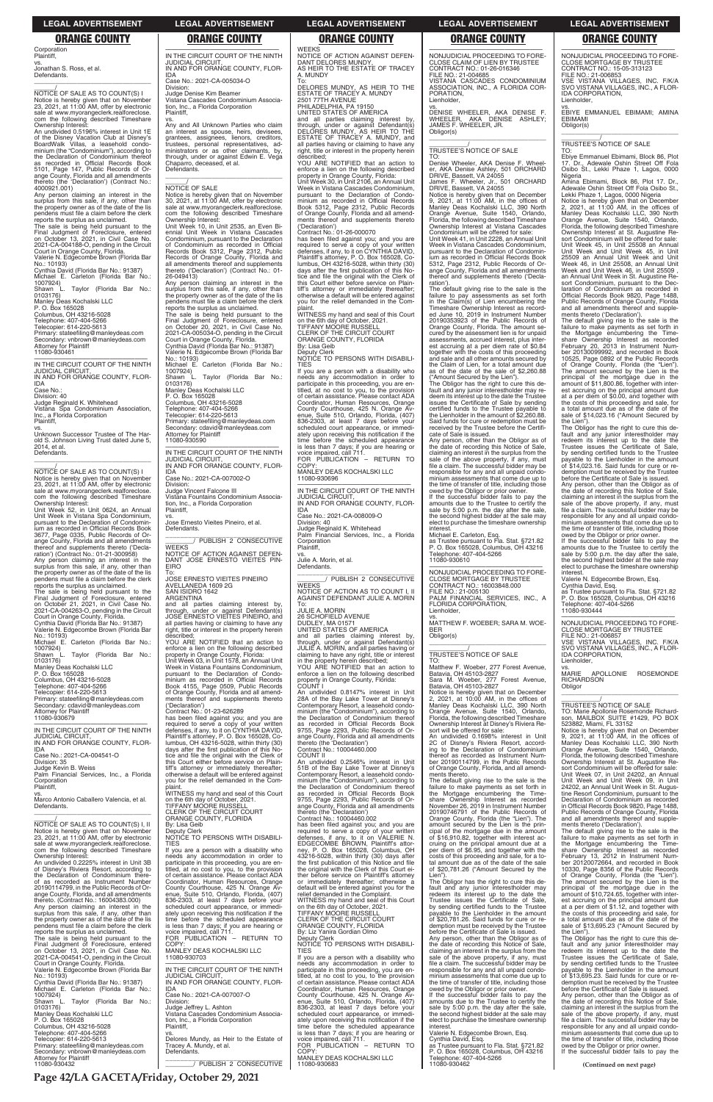WEEKS NOTICE OF ACTION AGAINST DEFEN-DANT DELORES MUNDY, AS HEIR TO THE ESTATE OF TRACEY A. MUNDY

To: DELORES MUNDY, AS HEIR TO THE ESTATE OF TRACEY A. MUNDY 2501 77TH AVENUE PHILADELPHIA, PA 19150

UNITED STATES OF AMERICA<br>and all parties claiming interest by,<br>through, under or against Defendant(s)<br>DELORES MUNDY, AS HEIR TO THE<br>ESTATE OF TRACEY A. MUNDY, and

all parties having or claiming to have any right, title or interest in the property herein described; YOU ARE NOTIFIED that an action to

enforce a lien on the following described property in Orange County, Florida: Unit Week 30, in Unit 2106, an Annual Unit Week in Vistana Cascades Condominium, pursuant to the Declaration of Condominium as recorded in Official Records Book 5312, Page 2312, Public Records of Orange County, Florida and all amendments thereof and supplements thereto ('Declaration') Contract No.: 01-26-000070

COPY MANLEY DEAS KOCHALSKI LLC 11080-930696

has been filed against you; and you are required to serve a copy of your written defenses, if any, to it on CYNTHIA DAVID, Plaintiff's attorney, P. O. Box 165028, Columbus, OH 43216-5028, within thirty (30) days after the first publication of this Notice and file the original with the Clerk of this Court either before service on Plaintiff's attorney or immediately thereafter; otherwise a default will be entered against you for the relief demanded in the Com-

Julie A. Morin, et al. Defendants

and all parties claiming interest by, through, under or against Defendant(s) JULIE A. MORIN, and all parties having or claiming to have any right, title or interest in the property herein described; YOU ARE NOTIFIED that an action to enforce a lien on the following described property in Orange County, Florida:<br>COUNT I

plaint. WITNESS my hand and seal of this Court on the 6th day of October, 2021. TIFFANY MOORE RUSSELL CLERK OF THE CIRCUIT COURT ORANGE COUNTY, FLORIDA By: Lisa Geib Deputy Clerk NOTICE TO PERSONS WITH DISABILI-

TIES

COUNT II An undivided 0.2546% interest in Unit

If you are a person with a disability who eds any accommodation in order to participate in this proceeding, you are en-titled, at no cost to you, to the provision of certain assistance. Please contact ADA Coordinator, Human Resources, Orange County Courthouse, 425 N. Orange Av-Suite 510, Orlando, Florida 836-2303, at least 7 days before your scheduled court appearance, or immediately upon receiving this notification if the time before the scheduled appearance is less than 7 days; if you are hearing or voice impaired, call 711. FOR PUBLICATION – RETURN TO

—————————————————— IN THE CIRCUIT COURT OF THE NINTH JUDICIAL CIRCUIT, IN AND FOR ORANGE COUNTY, FLOR-

IDA Case No.: 2021-CA-008009-O Division: 40 Judge Reginald K. Whitehead

Palm Financial Services, Inc., a Florida Corporation **Plaintiff** vs.

\_\_\_\_\_\_\_\_\_\_\_\_\_\_\_\_\_\_\_\_\_\_\_\_\_\_\_\_\_\_\_ \_\_\_\_\_\_\_\_/ PUBLISH 2 CONSECUTIVE **WEEKS** NOTICE OF ACTION AS TO COUNT I, II AGAINST DEFENDANT JULIE A. MORIN To: JULIE A. MORIN

26 SCHOFIELD AVENUE DUDLEY, MA 01571 UNITED STATES OF AMERICA

COUNT I An undivided 0.8147% interest in Unit 28A of the Bay Lake Tower at Disney's Contemporary Resort, a leasehold condo-minium (the "Condominium"), according to the Declaration of Condominium thereof as recorded in Official Records Book 9755, Page 2293, Public Records of Orange County, Florida and all amendments thereto (the 'Declaration') Contract No.: 10004460.000

51B of the Bay Lake Tower at Disney's Contemporary Resort, a leasehold condo-minium (the "Condominium"), according to the Declaration of Condominium thereof<br>as recorded in Official Becords Book recorded in Official Records Book 9755, Page 2293, Public Records of Orange County, Florida and all amendments

—————————————————— IN THE CIRCUIT COURT OF THE NINTH JUDICIAL CIRCUIT, IN AND FOR ORANGE COUNTY, FLOR-

Corporation **Plaintiff** vs.

Jonathan S. Ross, et al. **Defendants** \_\_\_\_\_\_\_\_\_\_\_\_\_\_\_\_\_\_\_\_\_\_\_\_\_\_\_\_\_\_\_\_\_

\_\_\_\_\_\_/ NOTICE OF SALE AS TO COUNT(S) I Notice is hereby given that on November 23, 2021, at 11:00 AM, offer by electronic sale at www.myorangeclerk.realforeclose. com the following described Timeshare Ownership Interest:

An undivided 0.5196% interest in Unit 1E of the Disney Vacation Club at Disney's BoardWalk Villas, a leasehold condominium (the "Condominium"), according to the Declaration of Condominium thereof as recorded in Official Records Book 5101, Page 147, Public Records of Orange County, Florida and all amendments thereto (the 'Declaration') (Contract No.:

4000921.001) Any person claiming an interest in the surplus from this sale, if any, other than the property owner as of the date of the lis pendens must file a claim before the clerk

> Division: Judge Vincent Falcone III Vistana Fountains Condominium Association, Inc., a Florida Corporation **Plaintiff**

vs. Jose Ernesto Vieites Pineiro, et al. Defendants.

\_\_\_\_\_\_\_\_\_\_\_\_\_\_\_\_\_\_\_\_\_\_\_\_\_\_\_\_\_\_\_ \_\_\_\_\_\_\_\_/ PUBLISH 2 CONSECUTIVE **WEEKS** 

reports the surplus as unclaimed. The sale is being held pursuant to the Final Judgment of Foreclosure, entered on October 13, 2021, in Civil Case No. 2021-CA-004188-O, pending in the Circuit Court in Orange County, Florida. Valerie N. Edgecombe Brown (Florida Bar

> To: JOSE ERNESTO VIEITES PINEIRO AVELLANEDA 1609 2G SAN ISIDRO 1642

No.: 10193)

Cynthia David (Florida Bar No.: 91387) Michael E. Carleton (Florida Bar No.: 1007924) Shawn L. Taylor (Florida Bar No.:

0103176)

Manley Deas Kochalski LLC P. O. Box 165028 Columbus, OH 43216-5028 Telephone: 407-404-5266 Telecopier: 614-220-5613 Primary: stateefiling@manleydeas.com

Secondary: vnbrown@manleydeas.com Attorney for Plaintiff 11080-930461 —————————————————— IN THE CIRCUIT COURT OF THE NINTH

JUDICIAL CIRCUIT, IN AND FOR ORANGE COUNTY, FLOR-IDA

Case No.:

Division: 40 Judge Reginald K. Whitehead Vistana Spa Condominium Association, Inc., a Florida Corporation Plaintiff,

vs. Unknown Successor Trustee of The Harold S. Johnson Living Trust dated June 5, 2014, et al. **Defendants** \_\_\_\_\_\_\_\_\_\_\_\_\_\_\_\_\_\_\_\_\_\_\_\_\_\_\_\_\_\_\_\_\_

\_\_\_\_\_\_/ NOTICE OF SALE AS TO COUNT(S) I Notice is hereby given that on November 23, 2021, at 11:00 AM, offer by electronic sale at www.myorangeclerk.realforeclose.

com the following described Timeshare Ownership Interest: Unit Week 52, in Unit 0624, an Annual Unit Week in Vistana Spa Condominium, pursuant to the Declaration of Condominium as recorded in Official Records Book 3677, Page 0335, Public Records of Orange County, Florida and all amendments thereof and supplements thereto ('Decla-ration') (Contract No.: 01-21-300958) Any person claiming an interest in the surplus from this sale, if any, other than

the property owner as of the date of the lis pendens must file a claim before the clerk reports the surplus as unclaimed.

The sale is being held pursuant to the Final Judgment of Foreclosure, entered on October 21, 2021, in Civil Case No. 2021-CA-004263-O, pending in the Circuit Court in Orange County, Florida. Cynthia David (Florida Bar No.: 91387)

Valerie N. Edgecombe Brown (Florida Bar No.: 10193) Michael E. Carleton (Florida Bar No.:

1007924) Shawn L. Taylor (Florida Bar No.: 0103176)

Manley Deas Kochalski LLC

P. O. Box 165028 Columbus, OH 43216-5028

Telephone: 407-404-5266 Telecopier: 614-220-5613

Primary: stateefiling@manleydeas.com Secondary: cdavid@manleydeas.com Attorney for Plaintiff 11080-930679

IDA Case No.: 2021-CA-004541-O Division: 35 Judge Kevin B. Weiss Palm Financial Services, Inc., a Florida

Corporation Plaintiff, vs. Marco Antonio Caballero Valencia, et al.

**Defendants** 

The default giving rise to the sale is the failure to pay assessments as set forth in the Claim(s) of Lien encumbering the Timeshare Ownership Interest as recorded June 10, 2019 in Instrument Number 20190353923 of the Public Records of Orange County, Florida. The amount secured by the assessment lien is for unpaid assessments, accrued interest, plus interest accruing at a per diem rate of \$0.84 together with the costs of this proceeding and sale and all other amounts secured by the Claim of Lien, for a total amount due as of the date of the sale of \$2,260.88 ("Amount Secured by the Lien"). The Obligor has the right to cure this default and any junior interestholder may re-deem its interest up to the date the Trustee issues the Certificate of Sale by sending certified funds to the Trustee payable to the Lienholder in the amount of \$2,260.88. Said funds for cure or redemption must be received by the Trustee before the Certifi-cate of Sale is issued. Any person, other than the Obligor as of the date of recording this Notice of Sale, claiming an interest in the surplus from the sale of the above property, if any, must file a claim. The successful bidder may be responsible for any and all unpaid condominium assessments that come due up to the time of transfer of title, including those owed by the Obligor or prior owner. If the successful bidder fails to pay the amounts due to the Trustee to certify the sale by 5:00 p.m. the day after the sale, the second highest bidder at the sale may elect to purchase the timeshare ownership interest. Michael E. Carleton, Esq. as Trustee pursuant to Fla. Stat. §721.82 P. O. Box 165028, Columbus, OH 43216

—————————————————— IN THE CIRCUIT COURT OF THE NINTH JUDICIAL CIRCUIT, IN AND FOR ORANGE COUNTY, FLOR-IDA

Case No.: 2021-CA-005034-O Division: Judge Denise Kim Beamer

Vistana Cascades Condominium Association, Inc., a Florida Corporation Plaintiff,

vs. Any and All Unknown Parties who claim an interest as spouse, heirs, devisees, grantees, assignees, lienors, creditors, trustees, personal representatives, administrators or as other claimants, by, through, under or against Edwin E. Vega Chaparro, deceased, et al. Defendants.

\_\_\_\_\_\_\_\_\_\_\_\_\_\_\_\_\_\_\_\_\_\_\_\_\_\_\_\_\_\_\_\_\_

# $\frac{\gamma}{\text{NOTICE}}$  OF SALE

Notice is hereby given that on November 30, 2021, at 11:00 AM, offer by electronic sale at www.myorangeclerk.realforeclose. com the following described Timeshare

Ownership Interest: Unit Week 10, in Unit 2535, an Even Bi-ennial Unit Week in Vistana Cascades Condominium, pursuant to the Declaration of Condominium as recorded in Official Records Book 5312, Page 2312, Public Records of Orange County, Florida and all amendments thereof and supplements thereto ('Declaration') (Contract No.: 01- 26-049413)

Any person claiming an interest in the surplus from this sale, if any, other than the property owner as of the date of the lis pendens must file a claim before the clerk reports the surplus as unclaimed. The sale is being held pursuant to the Final Judgment of Foreclosure, entered on October 20, 2021, in Civil Case No. 2021-CA-005034-O, pending in the Circuit

> Any person, other than the Obligor as of the date of recording this Notice of Sale date of recording this Notice of Sale, claiming an interest in the surplus from the sale of the above property, if any, must file a claim. The successful bidder may be responsible for any and all unpaid condominium assessments that come due up to the time of transfer of title, including those owed by the Obligor or prior owner.

Court in Orange County, Florida. Cynthia David (Florida Bar No.: 91387) Valerie N. Edgecombe Brown (Florida Bar No.: 10193) Michael E. Carleton (Florida Bar No.:

1007924) Shawn L. Taylor (Florida Bar No.: 0103176)

Manley Deas Kochalski LLC P. O. Box 165028 Columbus, OH 43216-5028 Telephone: 407-404-5266

> vs. MARIE APOLLONIE ROSEMONDE **RICHARDSON**

**Obligor** 

Telecopier: 614-220-5613 Primary: stateefiling@manleydeas.com Secondary: cdavid@manleydeas.com Attorney for Plaintiff 11080-930590

> $\overline{\phantom{a}}$  , and the set of the set of the set of the set of the set of the set of the set of the set of the set of the set of the set of the set of the set of the set of the set of the set of the set of the set of the s \_\_\_\_\_\_\_\_\_\_\_/ TRUSTEE'S NOTICE OF SALE TO: Marie Apollonie Rosemonde Richardson, MAILBOX SUITE #1429, PO BOX

—————————————————— IN THE CIRCUIT COURT OF THE NINTH JUDICIAL CIRCUIT, IN AND FOR ORANGE COUNTY, FLOR-

IDA Case No.: 2021-CA-007002-O

NOTICE OF ACTION AGAINST DEFEN-DANT JOSE ERNESTO VIEITES PIN-EIRO

ARGENTINA

and all parties claiming interest by, through, under or against Defendant(s) JOSE ERNESTO VIEITES PINEIRO, and all parties having or claiming to have any right, title or interest in the property herein described;

YOU ARE NOTIFIED that an action to enforce a lien on the following described property in Orange County, Florida: Unit Week 03, in Unit 1578, an Annual Unit Week in Vistana Fountains Condominium, pursuant to the Declaration of Condominium as recorded in Official Records Book 4155, Page 0509, Public Records of Orange County, Florida and all amend-ments thereof and supplements thereto

('Declaration') Contract No.: 01-23-626289 has been filed against you; and you are required to serve a copy of your written<br>defenses, if any, to it on CYNTHIA DAVID,<br>Plaintiff's attorney, P. O. Box 165028, Co-<br>lumbus, OH 43216-5028, within thirty (30)<br>days after the first publication of this Notice and file the original with the Clerk of this Court either before service on Plaintiff's attorney or immediately thereafter; otherwise a default will be entered against you for the relief demanded in the Com-

plaint. WITNESS my hand and seal of this Court on the 6th day of October, 2021. TIFFANY MOORE RUSSELL

| <b>TIFFANY MOORE RUSSELL</b>                  | ange County, Florida and all amendments                                                                                                                                                                                                                                                                                                                                                                                                                                                                                                                                                                            | November 26, 2019 in Instrument Number                                                                                                                                                                                                                                                                                                                                                                                                                                                                                                                                                                                                 | in Official Records Book 9820, Page 1488,                                                                                                                                                                                                                                                                                                                                                                                                                                                                                                                                             |
|-----------------------------------------------|--------------------------------------------------------------------------------------------------------------------------------------------------------------------------------------------------------------------------------------------------------------------------------------------------------------------------------------------------------------------------------------------------------------------------------------------------------------------------------------------------------------------------------------------------------------------------------------------------------------------|----------------------------------------------------------------------------------------------------------------------------------------------------------------------------------------------------------------------------------------------------------------------------------------------------------------------------------------------------------------------------------------------------------------------------------------------------------------------------------------------------------------------------------------------------------------------------------------------------------------------------------------|---------------------------------------------------------------------------------------------------------------------------------------------------------------------------------------------------------------------------------------------------------------------------------------------------------------------------------------------------------------------------------------------------------------------------------------------------------------------------------------------------------------------------------------------------------------------------------------|
| <b>CLERK OF THE CIRCUIT COURT</b>             | thereto (the 'Declaration')                                                                                                                                                                                                                                                                                                                                                                                                                                                                                                                                                                                        | 20190746791 of the Public Records of                                                                                                                                                                                                                                                                                                                                                                                                                                                                                                                                                                                                   | Public Records of Orange County, Florida                                                                                                                                                                                                                                                                                                                                                                                                                                                                                                                                              |
| ORANGE COUNTY, FLORIDA                        | Contract No.: 10004460.002                                                                                                                                                                                                                                                                                                                                                                                                                                                                                                                                                                                         | Orange County, Florida (the "Lien"). The                                                                                                                                                                                                                                                                                                                                                                                                                                                                                                                                                                                               | and all amendments thereof and supple-                                                                                                                                                                                                                                                                                                                                                                                                                                                                                                                                                |
| By: Lisa Geib                                 | has been filed against you; and you are                                                                                                                                                                                                                                                                                                                                                                                                                                                                                                                                                                            | amount secured by the Lien is the prin-                                                                                                                                                                                                                                                                                                                                                                                                                                                                                                                                                                                                | ments thereto ('Declaration').                                                                                                                                                                                                                                                                                                                                                                                                                                                                                                                                                        |
| Deputy Clerk                                  | required to serve a copy of your written                                                                                                                                                                                                                                                                                                                                                                                                                                                                                                                                                                           |                                                                                                                                                                                                                                                                                                                                                                                                                                                                                                                                                                                                                                        | The default giving rise to the sale is the                                                                                                                                                                                                                                                                                                                                                                                                                                                                                                                                            |
|                                               |                                                                                                                                                                                                                                                                                                                                                                                                                                                                                                                                                                                                                    | of \$16,910.82, together with interest ac-                                                                                                                                                                                                                                                                                                                                                                                                                                                                                                                                                                                             | failure to make payments as set forth in                                                                                                                                                                                                                                                                                                                                                                                                                                                                                                                                              |
| <b>TIES</b>                                   | EDGECOMBE BROWN. Plaintiff's attor-                                                                                                                                                                                                                                                                                                                                                                                                                                                                                                                                                                                | cruing on the principal amount due at a                                                                                                                                                                                                                                                                                                                                                                                                                                                                                                                                                                                                | the Mortgage encumbering the Time-                                                                                                                                                                                                                                                                                                                                                                                                                                                                                                                                                    |
|                                               |                                                                                                                                                                                                                                                                                                                                                                                                                                                                                                                                                                                                                    |                                                                                                                                                                                                                                                                                                                                                                                                                                                                                                                                                                                                                                        | share Ownership Interest as recorded                                                                                                                                                                                                                                                                                                                                                                                                                                                                                                                                                  |
| needs any accommodation in order to           | 43216-5028, within thirty (30) days after                                                                                                                                                                                                                                                                                                                                                                                                                                                                                                                                                                          | costs of this proceeding and sale, for a to-                                                                                                                                                                                                                                                                                                                                                                                                                                                                                                                                                                                           | February 13, 2012 in Instrument Num-                                                                                                                                                                                                                                                                                                                                                                                                                                                                                                                                                  |
|                                               |                                                                                                                                                                                                                                                                                                                                                                                                                                                                                                                                                                                                                    | tal amount due as of the date of the sale                                                                                                                                                                                                                                                                                                                                                                                                                                                                                                                                                                                              | ber 20120072664, and recorded in Book                                                                                                                                                                                                                                                                                                                                                                                                                                                                                                                                                 |
| titled, at no cost to you, to the provision   | the original with the Clerk of this Court ei-                                                                                                                                                                                                                                                                                                                                                                                                                                                                                                                                                                      | of \$20,781.26 ("Amount Secured by the                                                                                                                                                                                                                                                                                                                                                                                                                                                                                                                                                                                                 | 10330, Page 8356 of the Public Records                                                                                                                                                                                                                                                                                                                                                                                                                                                                                                                                                |
| of certain assistance. Please contact ADA     | ther before service on Plaintiff's attorney                                                                                                                                                                                                                                                                                                                                                                                                                                                                                                                                                                        | Lien").                                                                                                                                                                                                                                                                                                                                                                                                                                                                                                                                                                                                                                | of Orange County, Florida (the "Lien").                                                                                                                                                                                                                                                                                                                                                                                                                                                                                                                                               |
| Coordinator, Human Resources, Orange          | or immediately thereafter; otherwise a                                                                                                                                                                                                                                                                                                                                                                                                                                                                                                                                                                             |                                                                                                                                                                                                                                                                                                                                                                                                                                                                                                                                                                                                                                        | The amount secured by the Lien is the                                                                                                                                                                                                                                                                                                                                                                                                                                                                                                                                                 |
|                                               |                                                                                                                                                                                                                                                                                                                                                                                                                                                                                                                                                                                                                    |                                                                                                                                                                                                                                                                                                                                                                                                                                                                                                                                                                                                                                        | principal of the mortgage due in the                                                                                                                                                                                                                                                                                                                                                                                                                                                                                                                                                  |
| enue, Suite 510, Orlando, Florida, (407)      | relief demanded in the Complaint.                                                                                                                                                                                                                                                                                                                                                                                                                                                                                                                                                                                  | redeem its interest up to the date the                                                                                                                                                                                                                                                                                                                                                                                                                                                                                                                                                                                                 | amount of \$10,724.65, together with inter-                                                                                                                                                                                                                                                                                                                                                                                                                                                                                                                                           |
| 836-2303, at least 7 days before your         |                                                                                                                                                                                                                                                                                                                                                                                                                                                                                                                                                                                                                    | Trustee issues the Certificate of Sale,                                                                                                                                                                                                                                                                                                                                                                                                                                                                                                                                                                                                | est accruing on the principal amount due                                                                                                                                                                                                                                                                                                                                                                                                                                                                                                                                              |
|                                               | on the 6th day of October, 2021.                                                                                                                                                                                                                                                                                                                                                                                                                                                                                                                                                                                   |                                                                                                                                                                                                                                                                                                                                                                                                                                                                                                                                                                                                                                        | at a per diem of \$1.12, and together with                                                                                                                                                                                                                                                                                                                                                                                                                                                                                                                                            |
| ately upon receiving this notification if the | <b>TIFFANY MOORE RUSSELL</b>                                                                                                                                                                                                                                                                                                                                                                                                                                                                                                                                                                                       | payable to the Lienholder in the amount                                                                                                                                                                                                                                                                                                                                                                                                                                                                                                                                                                                                | the costs of this proceeding and sale, for                                                                                                                                                                                                                                                                                                                                                                                                                                                                                                                                            |
| time before the scheduled appearance          |                                                                                                                                                                                                                                                                                                                                                                                                                                                                                                                                                                                                                    | of \$20,781.26. Said funds for cure or re-                                                                                                                                                                                                                                                                                                                                                                                                                                                                                                                                                                                             | a total amount due as of the date of the                                                                                                                                                                                                                                                                                                                                                                                                                                                                                                                                              |
| is less than 7 days; if you are hearing or    | ORANGE COUNTY, FLORIDA                                                                                                                                                                                                                                                                                                                                                                                                                                                                                                                                                                                             | demption must be received by the Trustee                                                                                                                                                                                                                                                                                                                                                                                                                                                                                                                                                                                               | sale of \$13,695.23 ("Amount Secured by                                                                                                                                                                                                                                                                                                                                                                                                                                                                                                                                               |
| voice impaired, call 711.                     | By: Liz Yanira Gordian Olmo                                                                                                                                                                                                                                                                                                                                                                                                                                                                                                                                                                                        | before the Certificate of Sale is issued.                                                                                                                                                                                                                                                                                                                                                                                                                                                                                                                                                                                              | the Lien").                                                                                                                                                                                                                                                                                                                                                                                                                                                                                                                                                                           |
| FOR PUBLICATION - RETURN TO                   | Deputy Clerk                                                                                                                                                                                                                                                                                                                                                                                                                                                                                                                                                                                                       | Any person, other than the Obligor as of                                                                                                                                                                                                                                                                                                                                                                                                                                                                                                                                                                                               | The Obligor has the right to cure this de-                                                                                                                                                                                                                                                                                                                                                                                                                                                                                                                                            |
| COPY:                                         | NOTICE TO PERSONS WITH DISABILI-                                                                                                                                                                                                                                                                                                                                                                                                                                                                                                                                                                                   | the date of recording this Notice of Sale,                                                                                                                                                                                                                                                                                                                                                                                                                                                                                                                                                                                             | fault and any junior interestholder may                                                                                                                                                                                                                                                                                                                                                                                                                                                                                                                                               |
|                                               | <b>TIES</b>                                                                                                                                                                                                                                                                                                                                                                                                                                                                                                                                                                                                        | claiming an interest in the surplus from the                                                                                                                                                                                                                                                                                                                                                                                                                                                                                                                                                                                           | redeem its interest up to the date the                                                                                                                                                                                                                                                                                                                                                                                                                                                                                                                                                |
| 11080-930703                                  | If you are a person with a disability who                                                                                                                                                                                                                                                                                                                                                                                                                                                                                                                                                                          | sale of the above property, if any, must                                                                                                                                                                                                                                                                                                                                                                                                                                                                                                                                                                                               | Trustee issues the Certificate of Sale,                                                                                                                                                                                                                                                                                                                                                                                                                                                                                                                                               |
|                                               | needs any accommodation in order to                                                                                                                                                                                                                                                                                                                                                                                                                                                                                                                                                                                | file a claim. The successful bidder may be                                                                                                                                                                                                                                                                                                                                                                                                                                                                                                                                                                                             | by sending certified funds to the Trustee                                                                                                                                                                                                                                                                                                                                                                                                                                                                                                                                             |
|                                               | participate in this proceeding, you are en-                                                                                                                                                                                                                                                                                                                                                                                                                                                                                                                                                                        | responsible for any and all unpaid condo-                                                                                                                                                                                                                                                                                                                                                                                                                                                                                                                                                                                              | payable to the Lienholder in the amount                                                                                                                                                                                                                                                                                                                                                                                                                                                                                                                                               |
|                                               | titled, at no cost to you, to the provision                                                                                                                                                                                                                                                                                                                                                                                                                                                                                                                                                                        | minium assessments that come due up to                                                                                                                                                                                                                                                                                                                                                                                                                                                                                                                                                                                                 | of \$13,695.23. Said funds for cure or re-                                                                                                                                                                                                                                                                                                                                                                                                                                                                                                                                            |
|                                               | of certain assistance. Please contact ADA                                                                                                                                                                                                                                                                                                                                                                                                                                                                                                                                                                          | the time of transfer of title, including those                                                                                                                                                                                                                                                                                                                                                                                                                                                                                                                                                                                         | demption must be received by the Trustee                                                                                                                                                                                                                                                                                                                                                                                                                                                                                                                                              |
| IDA                                           |                                                                                                                                                                                                                                                                                                                                                                                                                                                                                                                                                                                                                    |                                                                                                                                                                                                                                                                                                                                                                                                                                                                                                                                                                                                                                        | before the Certificate of Sale is issued.                                                                                                                                                                                                                                                                                                                                                                                                                                                                                                                                             |
|                                               |                                                                                                                                                                                                                                                                                                                                                                                                                                                                                                                                                                                                                    |                                                                                                                                                                                                                                                                                                                                                                                                                                                                                                                                                                                                                                        | Any person, other than the Obligor as of                                                                                                                                                                                                                                                                                                                                                                                                                                                                                                                                              |
| Division:                                     | enue, Suite 510, Orlando, Florida, (407)                                                                                                                                                                                                                                                                                                                                                                                                                                                                                                                                                                           | amounts due to the Trustee to certify the                                                                                                                                                                                                                                                                                                                                                                                                                                                                                                                                                                                              | the date of recording this Notice of Sale,                                                                                                                                                                                                                                                                                                                                                                                                                                                                                                                                            |
|                                               |                                                                                                                                                                                                                                                                                                                                                                                                                                                                                                                                                                                                                    |                                                                                                                                                                                                                                                                                                                                                                                                                                                                                                                                                                                                                                        | claiming an interest in the surplus from the                                                                                                                                                                                                                                                                                                                                                                                                                                                                                                                                          |
|                                               | scheduled court appearance, or immedi-                                                                                                                                                                                                                                                                                                                                                                                                                                                                                                                                                                             | the second highest bidder at the sale may                                                                                                                                                                                                                                                                                                                                                                                                                                                                                                                                                                                              | sale of the above property, if any, must                                                                                                                                                                                                                                                                                                                                                                                                                                                                                                                                              |
|                                               |                                                                                                                                                                                                                                                                                                                                                                                                                                                                                                                                                                                                                    |                                                                                                                                                                                                                                                                                                                                                                                                                                                                                                                                                                                                                                        | file a claim. The successful bidder may be                                                                                                                                                                                                                                                                                                                                                                                                                                                                                                                                            |
|                                               |                                                                                                                                                                                                                                                                                                                                                                                                                                                                                                                                                                                                                    |                                                                                                                                                                                                                                                                                                                                                                                                                                                                                                                                                                                                                                        | responsible for any and all unpaid condo-                                                                                                                                                                                                                                                                                                                                                                                                                                                                                                                                             |
|                                               |                                                                                                                                                                                                                                                                                                                                                                                                                                                                                                                                                                                                                    |                                                                                                                                                                                                                                                                                                                                                                                                                                                                                                                                                                                                                                        | minium assessments that come due up to                                                                                                                                                                                                                                                                                                                                                                                                                                                                                                                                                |
|                                               |                                                                                                                                                                                                                                                                                                                                                                                                                                                                                                                                                                                                                    |                                                                                                                                                                                                                                                                                                                                                                                                                                                                                                                                                                                                                                        | the time of transfer of title, including those                                                                                                                                                                                                                                                                                                                                                                                                                                                                                                                                        |
|                                               |                                                                                                                                                                                                                                                                                                                                                                                                                                                                                                                                                                                                                    |                                                                                                                                                                                                                                                                                                                                                                                                                                                                                                                                                                                                                                        | owed by the Obligor or prior owner.                                                                                                                                                                                                                                                                                                                                                                                                                                                                                                                                                   |
|                                               |                                                                                                                                                                                                                                                                                                                                                                                                                                                                                                                                                                                                                    |                                                                                                                                                                                                                                                                                                                                                                                                                                                                                                                                                                                                                                        | If the successful bidder fails to pay the                                                                                                                                                                                                                                                                                                                                                                                                                                                                                                                                             |
|                                               |                                                                                                                                                                                                                                                                                                                                                                                                                                                                                                                                                                                                                    | Telephone: 407-404-5266                                                                                                                                                                                                                                                                                                                                                                                                                                                                                                                                                                                                                |                                                                                                                                                                                                                                                                                                                                                                                                                                                                                                                                                                                       |
|                                               |                                                                                                                                                                                                                                                                                                                                                                                                                                                                                                                                                                                                                    |                                                                                                                                                                                                                                                                                                                                                                                                                                                                                                                                                                                                                                        | (Continued on next page)                                                                                                                                                                                                                                                                                                                                                                                                                                                                                                                                                              |
|                                               | NOTICE TO PERSONS WITH DISABILI-<br>If you are a person with a disability who<br>participate in this proceeding, you are en-<br>County Courthouse, 425 N. Orange Av-<br>scheduled court appearance, or immedi-<br>MANLEY DEAS KOCHALSKI LLC<br>IN THE CIRCUIT COURT OF THE NINTH<br><b>JUDICIAL CIRCUIT.</b><br>IN AND FOR ORANGE COUNTY. FLOR-<br>Case No.: 2021-CA-007007-O<br>Judge Jeffrey L. Ashton<br>Vistana Cascades Condominium Associa-<br>tion, Inc., a Florida Corporation<br>Plaintiff.<br>Delores Mundy, as Heir to the Estate of<br>Tracey A. Mundy, et al.<br>Defendants.<br>PUBLISH 2 CONSECUTIVE | defenses, if any, to it on VALERIE N.<br>ney, P. O. Box 165028, Columbus, OH<br>the first publication of this Notice and file<br>default will be entered against you for the<br>WITNESS my hand and seal of this Court<br>CLERK OF THE CIRCUIT COURT<br>Coordinator, Human Resources, Orange<br>County Courthouse, 425 N. Orange Av-<br>836-2303, at least 7 days before your<br>ately upon receiving this notification if the<br>time before the scheduled appearance<br>is less than 7 days; if you are hearing or<br>voice impaired, call 711.<br>FOR PUBLICATION - RETURN TO<br>COPY:<br>MANLEY DEAS KOCHALSKI LLC<br>11080-930683 | cipal of the mortgage due in the amount<br>per diem of \$6.95, and together with the<br>The Obligor has the right to cure this de-<br>fault and any junior interestholder may<br>by sending certified funds to the Trustee<br>owed by the Obligor or prior owner.<br>If the successful bidder fails to pay the<br>sale by 5:00 p.m. the day after the sale,<br>elect to purchase the timeshare ownership<br>interest.<br>Valerie N. Edgecombe Brown, Esg.<br>Cynthia David, Esg.<br>as Trustee pursuant to Fla. Stat. §721.82<br>P. O. Box 165028, Columbus, OH 43216<br>11080-930462 |

—————————————————— NONJUDICIAL PROCEEDING TO FORE-CLOSE CLAIM OF LIEN BY TRUSTEE CONTRACT NO.: 01-26-016346 FILE NO.: 21-004685 VISTANA CASCADES CONDOMINIUM ASSOCIATION, INC., A FLORIDA COR-

PORATION, Lienholder, vs.

DENISE WHEELER, AKA DENISE F. WHEELER, AKA DENISE ASHLEY; JAMES F. WHEELER, JR.

Obligor(s)

\_\_\_\_\_\_\_\_\_\_\_\_\_\_\_\_\_\_\_\_\_\_\_\_\_\_\_\_\_\_\_\_\_ \_\_\_\_\_\_\_\_\_\_\_/ TRUSTEE'S NOTICE OF SALE

TO:

Denise Wheeler, AKA Denise F. Wheeler, AKA Denise Ashley, 501 ORCHARD DRIVE, Bassett, VA 24055 James F. Wheeler, Jr., 501 ORCHARD

DRIVE, Bassett, VA 24055

Notice is hereby given that on December 9, 2021, at 11:00 AM, in the offices of Manley Deas Kochalski LLC, 390 North Orange Avenue, Suite 1540, Orlando,

Florida, the following described Timeshare Ownership Interest at Vistana Cascades Condominium will be offered for sale: Unit Week 41, in Unit 2228, an Annual Unit Week in Vistana Cascades Condominium, pursuant to the Declaration of Condominium as recorded in Official Records Book 5312, Page 2312, Public Records of Orange County, Florida and all amendments thereof and supplements thereto ('Decla-

ration').

Telephone: 407-404-5266 11080-930610

—————————————————— NONJUDICIAL PROCEEDING TO FORE-CLOSE MORTGAGE BY TRUSTEE CONTRACT NO.: 16003848.000

FILE NO.: 21-005130 PALM FINANCIAL SERVICES, INC., A

FLORIDA CORPORATION,

Lienholder,

vs. MATTHEW F. WOEBER; SARA M. WOE-

BER Obligor(s)

\_\_\_\_\_\_\_\_\_\_\_\_\_\_\_\_\_\_\_\_\_\_\_\_\_\_\_\_\_\_\_\_\_ \_\_\_\_\_\_\_\_\_\_\_/ TRUSTEE'S NOTICE OF SALE

TO:

Matthew F. Woeber, 277 Forest Avenue,

Batavia, OH 45103-2827

Sara M. Woeber, 277 Forest Avenue, Batavia, OH 45103-2827 Notice is hereby given that on December 2, 2021, at 10:00 AM, in the offices of Manley Deas Kochalski LLC, 390 North Orange Avenue, Suite 1540, Orlando, Florida, the following described Timeshare Ownership Interest at Disney's Riviera Re-

sort will be offered for sale:

An undivided 0.1698% interest in Unit 2C of Disney's Riviera Resort, according to the Declaration of Condominium thereof as recorded as Instrument Number 20190114799, in the Public Records

of Orange County, Florida, and all amend-ments thereto. The default giving rise to the sale is the failure to make payments as set forth in the Mortgage encumbering the Timeshare Ownership Interest as recorded November 26, 2019 in Instrument Number

—————————————————— NONJUDICIAL PROCEEDING TO FORE-CLOSE MORTGAGE BY TRUSTEE CONTRACT NO.: 15-05-313123  $FII F NO.21-006853$ VSE VISTANA VILLAGES, INC. F/K/A SVO VISTANA VILLAGES, INC., A FLOR-IDA CORPORATION,

Lienholder,

vs. EBIYE EMMANUEL EBIMAMI; AMINA EBIMAMI Obligor(s) \_\_\_\_\_\_\_\_\_\_\_\_\_\_\_\_\_\_\_\_\_\_\_\_\_\_\_\_\_\_\_\_\_

\_\_\_\_\_\_\_\_\_\_\_/ TRUSTEE'S NOTICE OF SALE TO:

Ebiye Emmanuel Ebimami, Block 86, Plot 17. Dr., Adewale Oshin Street Off Fola Osibo St., Lekki Phaze 1, Lagos, 0000 Nigeria

Amina Ebimami, Block 86, Plot 17. Dr., Adewale Oshin Street Off Fola Osibo St., Lekki Phaze 1, Lagos, 0000 Nigeria Notice is hereby given that on December 2, 2021, at 11:00 AM, in the offices of Manley Deas Kochalski LLC, 390 North Orange Avenue, Suite 1540, Orlando, Florida, the following described Timeshare Ownership Interest at St. Augustine Resort Condominium will be offered for sale: Unit Week 45, in Unit 25508 an Annual Unit Week 45, in Unit 25566 and Annual 25509 an Annual Unit Week and Unit Week 46, in Unit 25508, an Annual Unit Week and Unit Week 46, in Unit 25509, an Annual Unit Week in St. Augustine Re-sort Condominium, pursuant to the Declaration of Condominium as recorded in Official Records Book 9820, Page 1488,<br>Public Becords of Orange County Florida Public Records of Orange County, and all amendments thereof and supple-

ments thereto ('Declaration'). The default giving rise to the sale is the failure to make payments as set forth in the Mortgage encumbering the Time-<br>share Ownership Interest as recorded<br>February 20, 2013 in Instrument Num-<br>ber 20130099992, and recorded in Book<br>10525, Page 0892 of the Public Records<br>of Orange County, Florida (the "Lien The amount secured by the Lien is the principal of the mortgage due in the amount of \$11,800.86, together with interest accruing on the principal amount due at a per diem of \$0.00, and together with the costs of this proceeding and sale, for a total amount due as of the date of the sale of \$14,023.16 ("Amount Secured by the Lien").

The Obligor has the right to cure this default and any junior interestholder may redeem its interest up to the date the Trustee issues the Certificate of Sale, by sending certified funds to the Trustee payable to the Lienholder in the amount of \$14,023.16. Said funds for cure or redemption must be received by the Trustee before the Certificate of Sale is issued.

If the successful bidder fails to pay the amounts due to the Trustee to certify the sale by 5:00 p.m. the day after the sale, the second highest bidder at the sale may elect to purchase the timeshare ownership

interest. Valerie N. Edgecombe Brown, Esq.

Cynthia David, Esq. as Trustee pursuant to Fla. Stat. §721.82 P. O. Box 165028, Columbus, OH 43216 Telephone: 407-404-5266 11080-930444

—————————————————— NONJUDICIAL PROCEEDING TO FORE-CLOSE MORTGAGE BY TRUSTEE FILE NO.: 21-006857 VSE VISTANA VILLAGES, INC. F/K/A SVO VISTANA VILLAGES, INC., A FLOR-IDA CORPORATION, Lienholder,

523882, Miami, FL 33152 Notice is hereby given that on December 9, 2021, at 11:00 AM, in the offices of Manley Deas Kochalski LLC, 390 North Orange Avenue, Suite 1540, Orlando, Florida, the following described Timeshare Ownership Interest at St. Augustine Re-sort Condominium will be offered for sale: Unit Week 07, in Unit 24202, an Annual Unit Week and Unit Week 09, in Unit 24202, an Annual Unit Week in St. Augustine Resort Condominium, pursuant to Declaration of Condominium as recorded

### **LEGAL ADVERTISEMENT LEGAL ADVERTISEMENT LEGAL ADVERTISEMENT LEGAL ADVERTISEMENT LEGAL ADVERTISEMENT**

# **ORANGE COUNTY ORANGE COUNTY ORANGE COUNTY ORANGE COUNTY ORANGE COUNTY**

**Page 42/LA GACETA/Friday, October 29, 2021**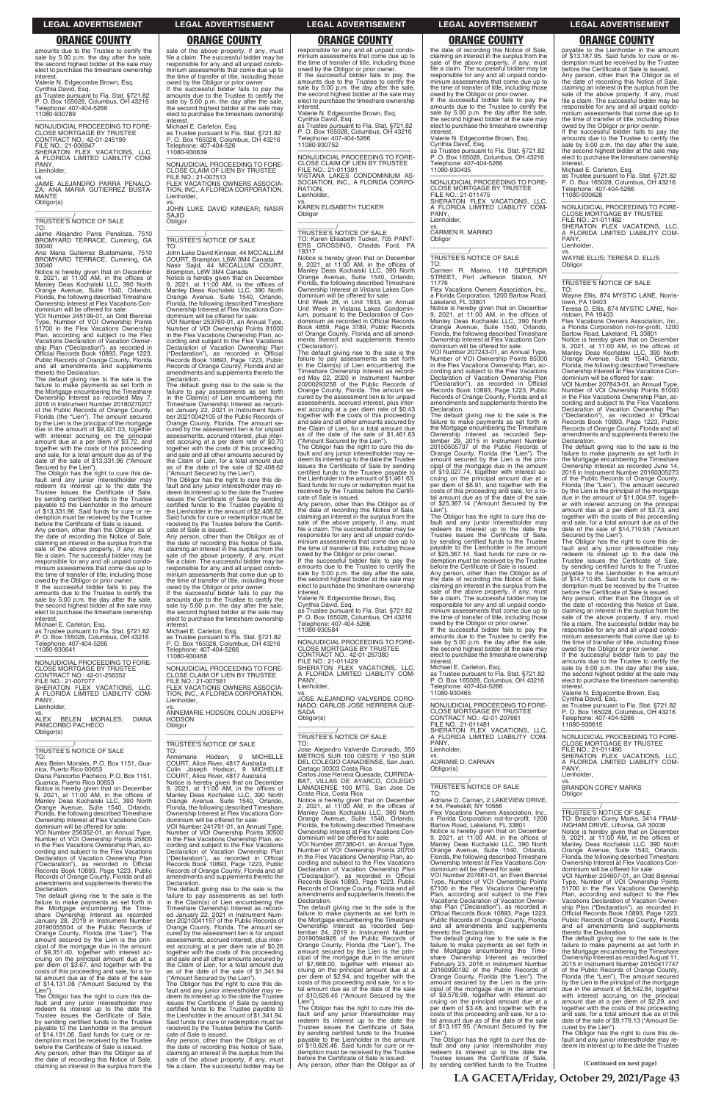**(Continued on next page)**

sale of the above property, if any, must file a claim. The successful bidder may be responsible for any and all unpaid condo-minium assessments that come due up to the time of transfer of title, including those owed by the Obligor or prior owner. If the successful bidder fails to pay the amounts due to the Trustee to certify the sale by 5:00 p.m. the day after the sale, the second highest bidder at the sale may elect to purchase the timeshare ownership interest.

micrest.<br>Michael E. Carleton, Esq. as Trustee pursuant to Fla. Stat. §721.82 P. O. Box 165028, Columbus, OH 43216 phone: 407-404-526 11080-930639

—————————————————— NONJUDICIAL PROCEEDING TO FORE-CLOSE CLAIM OF LIEN BY TRUSTEE FILE NO.: 21-007513 VACATIONS OWNERS ASSOCIA-TION, INC., A FLORIDA CORPORATION, Lienholder,

vs. JOHN LUKE DAVID KINNEAR; NASIR SA.IID **Obligor** \_\_\_\_\_\_\_\_\_\_\_\_\_\_\_\_\_\_\_\_\_\_\_\_\_\_\_\_\_\_\_\_\_

# \_\_\_\_\_\_\_\_\_\_\_/ TRUSTEE'S NOTICE OF SALE

TO: John Luke David Kinnear, 44 MCCALLUM COURT, Brampton, L6W 3M4 Canada Nasir Sajid, 44 MCCALLUM COURT, Brampton, L6W 3M4 Canada Notice is hereby given that on December 9, 2021, at 11:00 AM, in the offices of Manley Deas Kochalski LLC, 390 North Orange Avenue, Suite 1540, Orlando, Florida, the following described Timeshare

Ownership Interest at Flex Vacations Con-dominium will be offered for sale: VOI Number 253760-01, an Annual Type, Number of VOI Ownership Points 81000 in the Flex Vacations Ownership Plan, according and subject to the Flex Vacations Declaration of Vacation Ownership Plan ("Declaration"), as recorded in Official Records Book 10893, Page 1223, Public Records of Orange County, Florida and all amendments and supplements thereto the Declaration.

The default giving rise to the sale is the failure to pay assessments as set forth in the Claim(s) of Lien encumbering the Timeshare Ownership Interest as record-ed January 22, 2021 in Instrument Number 20210042105 of the Public Records of Orange County, Florida. The amount se-cured by the assessment lien is for unpaid assessments, accrued interest, plus interest accruing at a per diem rate of \$0.70 together with the costs of this proceeding and sale and all other amounts secured by the Claim of Lien, for a total amount due as of the date of the sale of \$2,408.62

TO:<br>Annemarie Annemarie Hodson, 9 MICHELLE COURT, Alice River, 4817 Australia Colin Joseph Hodson, 9 MICHELLE COURT, Alice River, 4817 Australia Notice is hereby given that on December 9, 2021, at 11:00 AM, in the offices of Manley Deas Kochalski LLC, 390 North Orange Avenue, Suite 1540, Orlando, Florida, the following described Timeshare

("Amount Secured by the Lien"). The Obligor has the right to cure this de-fault and any junior interestholder may redeem its interest up to the date the Trustee issues the Certificate of Sale by sending certified funds to the Trustee payable to the Lienholder in the amount of \$2,408.62. Said funds for cure or redemption must be received by the Trustee before the Certificate of Sale is issued.

amounts due to the Trustee to certify the sale by 5:00 p.m. the day after the sale. the second highest bidder at the sale may elect to purchase the timeshare ownership **interest** 

> Any person, other than the Obligor as of the date of recording this Notice of Sale, claiming an interest in the surplus from the sale of the above property, if any, must file a claim. The successful bidder may be responsible for any and all unpaid condo-minium assessments that come due up to the time of transfer of title, including those

> owed by the Obligor or prior owner. If the successful bidder fails to pay the amounts due to the Trustee to certify the sale by 5:00 p.m. the day after the sale the second highest bidder at the sale may elect to purchase the timeshare ownership

interest.

Michael E. Carleton, Esq. as Trustee pursuant to Fla. Stat. §721.82 P. O. Box 165028, Columbus, OH 43216 elephone: 407-404-5266 11080-930468

Notice is hereby given that on December<br>9, 2021, at 11:00 AM, in the offices of<br>Manley Deas Kochalski LLC, 390 North<br>Orange Avenue, Suite 1540, Orlando,<br>Florida, the following described Timeshare Ownership Interest at Flex Vacations Con-

> —————————————————— NONJUDICIAL PROCEEDING TO FORE-CLOSE CLAIM OF LIEN BY TRUSTEE FILE NO.: 21-007581 FLEX VACATIONS OWNERS ASSOCIA-TION, INC., A FLORIDA CORPORATION, Lienholder,

> vs. ANNEMARIE HODSON; COLIN JOSEPH HODSON Obligor \_\_\_\_\_\_\_\_\_\_\_\_\_\_\_\_\_\_\_\_\_\_\_\_\_\_\_\_\_\_\_\_\_

# \_\_\_\_\_\_\_\_\_\_\_/ TRUSTEE'S NOTICE OF SALE

Ownership Interest at Flex Vacations Condominium will be offered for sale:

If the successful bidder fails to pay the amounts due to the Trustee to certify the sale by 5:00 p.m. the day after the sale, the second highest bidder at the sale may elect to purchase the timeshare ownership interes

VOI Number 241781-01, an Annual Type, Number of VOI Ownership Points 30500 in the Flex Vacations Ownership Plan, ac-cording and subject to the Flex Vacations Declaration of Vacation Ownership Plan ("Declaration"), as recorded in Official Records Book 10893, Page 1223, Public Records of Orange County, Florida and all amendments and supplements thereto the Declaration.

ALEX BELEN MORALES; DIANA PANCORBO PACHECO Obligor(s) \_\_\_\_\_\_\_\_\_\_\_\_\_\_\_\_\_\_\_\_\_\_\_\_\_\_\_\_\_\_\_\_\_

> The default giving rise to the sale is the failure to pay assessments as set forth in the Claim(s) of Lien encumbering the Timeshare Ownership Interest as record-ed January 22, 2021 in Instrument Num-ber 20210041197 of the Public Records of Orange County, Florida. The amount secured by the assessment lien is for unpaid different by the accredition from the control of the assessments, accrued interest, plus est accruing at a per diem rate of \$0.26 together with the costs of this proceeding and sale and all other amounts secured by the Claim of Lien, for a total amount due as of the date of the sale of \$1,341.94 ("Amount Secured by the Lien").

The Obligor has the right to cure this default and any junior interestholder may re-deem its interest up to the date the Trustee issues the Certificate of Sale by sending certified funds to the Trustee payable to the Lienholder in the amount of \$1,341.94. Said funds for cure or redemption must be received by the Trustee before the Certifi-cate of Sale is issued.

responsible for any and all unpaid condo-minium assessments that come due up to the time of transfer of title, including those owed by the Obligor or prior owner. If the successful bidder fails to pay the amounts due to the Trustee to certify the sale by 5:00 p.m. the day after the sale, the second highest bidder at the sale may elect to purchase the timeshare ownership **interest** 

Any person, other than the Obligor as of the date of recording this Notice of Sale, claiming an interest in the surplus from the sale of the above property, if any, must file a claim. The successful bidder may be

Valerie N. Edgecombe Brown, Esq. Cynthia David, Esq.

vs. KAREN ELISABETH TUCKER **Obligor** 

as Trustee pursuant to Fla. Stat. §721.82 P. O. Box 165028, Columbus, OH 43216 Telephone: 407-404-5266

11080-930789

—————————————————— NONJUDICIAL PROCEEDING TO FORE-CLOSE MORTGAGE BY TRUSTEE CONTRACT NO.: 42-01-245199 FILE NO.: 21-006947 SHERATON FLEX VACATIONS, LLC, A FLORIDA LIMITED LIABILITY COM-PANY,

Lienholder,

vs. JAIME ALEJANDRO PARRA PENALO-ZA; ANA MARIA GUTIERREZ BUSTA-**MANTE** Obligor(s) \_\_\_\_\_\_\_\_\_\_\_\_\_\_\_\_\_\_\_\_\_\_\_\_\_\_\_\_\_\_\_\_\_

\_\_\_\_\_\_\_\_\_\_\_/ TRUSTEE'S NOTICE OF SALE

TO: Jaime Alejandro Parra Penaloza, 7510 BROMYARD TERRACE, Cumming, GA 30040

Ana Maria Gutierrez Bustamante, 7510 BROMYARD TERRACE, Cumming, GA 30040

dominium will be offered for sale: VOI Number 245199-01, an Odd Biennial Type, Number of VOI Ownership Points 51700 in the Flex Vacations Ownership Plan, according and subject to the Flex Vacations Declaration of Vacation Ownership Plan ("Declaration"), as recorded in Official Records Book 10893, Page 1223, Public Records of Orange County, Florida and all amendments and supplements thereto the Declaration.

The default giving rise to the sale is the failure to make payments as set forth in the Mortgage encumbering the Timeshare Ownership Interest as recorded May 7, 2018 in Instrument Number 20180270207 of the Public Records of Orange County, Florida (the "Lien"). The amount secured by the Lien is the principal of the mortgage due in the amount of \$9,421.03, together with interest accruing on the principal amount due at a per diem of \$3.72, and together with the costs of this proceeding and sale, for a total amount due as of the date of the sale of \$13,331.96 ("Amount Secured by the Lien").

The Obligor has the right to cure this de-fault and any junior interestholder may redeem its interest up to the date the Trustee issues the Certificate of Sale, by sending certified funds to the Trustee payable to the Lienholder in the amount of \$13,331.96. Said funds for cure or redemption must be received by the Trustee before the Certificate of Sale is issued. Any person, other than the Obligor as of

the date of recording this Notice of Sale, claiming an interest in the surplus from the sale of the above property, if any, must file a claim. The successful bidder may be responsible for any and all unpaid condominium assessments that come due up to the time of transfer of title, including those owed by the Obligor or prior owner. —————————————————— NONJUDICIAL PROCEEDING TO FORE-CLOSE MORTGAGE BY TRUSTEE FILE NO.: 21-011475 SHERATON FLEX VACATIONS, LLC, FLORIDA LIMITED LIABILITY COM-

A FL(<br>PANY Lienholder,

**Obligor** 

Michael E. Carleton, Esq. as Trustee pursuant to Fla. Stat. §721.82 P. O. Box 165028, Columbus, OH 43216 Telephone: 407-404-5266 11080-930641

Flex Vacations Owners Association, a Florida Corporation, 1200 Bartow Road,

—————————————————— NONJUDICIAL PROCEEDING TO FORE-CLOSE MORTGAGE BY TRUSTEE<br>CONTRACT NO.: 42-01-256352<br>FILE NO.: 21-007077<br>SHERATON FLEX VACATIONS, LLC,<br>A FLORIDA LIMITED LIABILITY COM-PANY, Lienholder,

\_\_\_\_\_\_\_\_\_\_\_/ TRUSTEE'S NOTICE OF SALE

TO: Alex Belen Morales, P.O. Box 1151, Guanica, Puerto Rico 00653 Diana Pancorbo Pacheco, P.O. Box 1151, Guanica, Puerto Rico 00653 Notice is hereby given that on December 9, 2021, at 11:00 AM, in the offices of Manley Deas Kochalski LLC, 390 North Orange Avenue, Suite 1540, Orlando,

Florida, the following described Timeshare Ownership Interest at Flex Vacations Con-dominium will be offered for sale: VOI Number 256352-01, an Annual Type, Number of VOI Ownership Points 25800 in the Flex Vacations Ownership Plan, according and subject to the Flex Vacations Declaration of Vacation Ownership Plan ("Declaration"), as recorded in Official Records Book 10893, Page 1223, Public Records of Orange County, Florida and all amendments and supplements thereto the Declaration.

CONTRACT NO.: 42-01-207661 FILE NO.: 21-011481 SHERATON FLEX VACATIONS, LLC, FLORIDA LIMITED LIABILITY COM-

The default giving rise to the sale is the failure to make payments as set forth in the Mortgage encumbering the Timeshare Ownership Interest as recorded January 28, 2019 in Instrument Number 20190055504 of the Public Records of Orange County, Florida (the "Lien"). The amount secured by the Lien is the principal of the mortgage due in the amount of \$9,351.40, together with interest ac-cruing on the principal amount due at a per diem of \$3.67, and together with the costs of this proceeding and sale, for a to-tal amount due as of the date of the sale of \$14,131.06 ("Amount Secured by the

Flex Vacations Owners Association a Florida Corporation not-for-profit, 1200 Bartow Boad, Lakeland, FL 33801 Notice is hereby given that on December 9, 2021, at 11:00 AM, in the offices of Manley Deas Kochalski LLC, 390 North Orange Avenue, Suite 1540, Orlando, Florida, the following described Timeshare Ownership Interest at Flex Vacations Condominium will be offered for sale: VOI Number 207661-01, an Even Biennial Type, Number of VOI Ownership Points 67100 in the Flex Vacations Ownership Plan, according and subject to the Flex Vacations Declaration of Vacation Ownership Plan ("Declaration"), as recorded in Official Records Book 10893, Page 1223,

failure to make payments as set forth in the Mortgage encumbering the Timeshare Ownership Interest as recorded February 23, 2016 in Instrument Number 20160090192 of the Public Records of Orange County, Florida (the "Lien"). The amount secured by the Lien is the principal of the mortgage due in the amount of \$9,578.99, together with interest accruing on the principal amount due at a per diem of \$3.48, and together with the costs of this proceeding and sale, for a total amount due as of the date of the sale of \$13,187.95 ("Amount Secured by the Lien")

Lien"). The Obligor has the right to cure this default and any junior interestholder may redeem its interest up to the date the Trustee issues the Certificate of Sale, by sending certified funds to the Trustee payable to the Lienholder in the amount of \$14,131.06. Said funds for cure or redemption must be received by the Trustee before the Certificate of Sale is issued. Any person, other than the Obligor as of the date of recording this Notice of Sale, claiming an interest in the surplus from the

owed by the Obligor or prior owner. If the successful bidder fails to pay the amounts due to the Trustee to certify the sale by 5:00 p.m. the day after the sale, the second highest bidder at the sale may elect to purchase the timeshare ownership **interest** 

Valerie N. Edgecombe Brown, Esq. Cynthia David, Esq. as Trustee pursuant to Fla. Stat. §721.82 P. O. Box 165028, Columbus, OH 43216 Telephone: 407-404-5266

11080-930752

—————————————————— NONJUDICIAL PROCEEDING TO FORE-CLOSE CLAIM OF LIEN BY TRUSTEE FILE NO.: 21-011391 VISTANA LAKES CONDOMINIUM AS-SOCIATION, INC., A FLORIDA CORPO-RATION, Lienholder,

\_\_\_\_\_\_\_\_\_\_\_\_\_\_\_\_\_\_\_\_\_\_\_\_\_\_\_\_\_\_\_\_\_

\_\_\_\_\_\_\_\_\_\_\_/ TRUSTEE'S NOTICE OF SALE TO: Karen Elisabeth Tucker, 705 PAINT-ERS CROSSING, Chadds Ford, PA 19317

Notice is hereby given that on December 9, 2021, at 11:00 AM, in the offices of Manley Deas Kochalski LLC, 390 North Orange Avenue, Suite 1540, Orlando, Florida, the following described Timeshare Ownership Interest at Vistana Lakes Con-

dominium will be offered for sale: Unit Week 28, in Unit 1933, an Annual Unit Week in Vistana Lakes Condominium, pursuant to the Declaration of Con-dominium as recorded in Official Records Book 4859, Page 3789, Public Records of Orange County, Florida and all amend-ments thereof and supplements thereto ('Declaration').

> The Obligor has the right to cure this de-<br>fault and any junior interestholder may<br>redeem its interest up to the date the<br>Trustee issues the Certificate of Sale,<br>by sending certified funds to the Trustee<br>payable to the Lie of \$14,710.95. Said funds for cure or re-demption must be received by the Trustee before the Certificate of Sale is issued.

The default giving rise to the sale is the failure to pay assessments as set forth in the Claim(s) of Lien encumbering the Timeshare Ownership Interest as record-ed May 22, 2020 in Instrument Number 20200293258 of the Public Records of Orange County, Florida. The amount se-cured by the assessment lien is for unpaid assessments, accrued interest, plus interest accruing at a per diem rate of \$0.43 together with the costs of this proceeding and sale and all other amounts secured by the Claim of Lien, for a total amount due as of the date of the sale of \$1,461.63 ("Amount Secured by the Lien").

> —————————————————— NONJUDICIAL PROCEEDING TO FORE-CLOSE MORTGAGE BY TRUSTEE FILE NO.: 21-011490 SHERATON FLEX VACATIONS, LLC, A FLORIDA LIMITED LIABILITY COM-PANY, Lienholder,

The Obligor has the right to cure this de-fault and any junior interestholder may re-deem its interest up to the date the Trustee issues the Certificate of Sale by sending certified funds to the Trustee payable to the Lienholder in the amount of \$1,461.63. Said funds for cure or redemption must be received by the Trustee before the Certifi-cate of Sale is issued.

Any person, other than the Obligor as of the date of recording this Notice of Sale, claiming an interest in the surplus from the sale of the above property, if any, must file a claim. The successful bidder may be responsible for any and all unpaid condominium assessments that come due up to the time of transfer of title, including those owed by the Obligor or prior owner.

If the successful bidder fails to pay the amounts due to the Trustee to certify the sale by 5:00 p.m. the day after the sale, the second highest bidder at the sale may elect to purchase the timeshare ownership interest.

Valerie N. Edgecombe Brown, Esq. Cynthia David, Esq. as Trustee pursuant to Fla. Stat. §721.82 P. O. Box 165028, Columbus, OH 43216 Telephone: 407-404-5266 11080-930584

—————————————————— NONJUDICIAL PROCEEDING TO FORE-CLOSE MORTGAGE BY TRUSTEE CONTRACT NO.: 42-01-267380 FILE NO.: 21-011429 SHERATON FLEX VACATIONS, LLC, A FLORIDA LIMITED LIABILITY COM-PANY, Lienholder,

vs. JOSE ALEJANDRO VALVERDE CORO-NADO; CARLOS JOSE HERRERA QUE-SADA Obligor(s)

\_\_\_\_\_\_\_\_\_\_\_\_\_\_\_\_\_\_\_\_\_\_\_\_\_\_\_\_\_\_\_\_\_

# \_\_\_\_\_\_\_\_\_\_\_/ TRUSTEE'S NOTICE OF SALE

TO: Jose Alejandro Valverde Coronado, 350 METROS SUR 100 OESTE Y 150 SUR DEL COLEGIO CANADIENSE, San Juan, Cartago 30303 Costa Rica Carlos Jose Herrera Quesada, CURRIDA-BAT, VILLAS DE AYARCO, COLEGIO LANADIENSE 100 MTS, San Jose De Costa Rica, Costa Rica Notice is hereby given that on December 2, 2021, at 11:00 AM, in the offices of Manley Deas Kochalski LLC, 390 North Orange Avenue, Suite 1540, Orlando,

Florida, the following described Timeshare Ownership Interest at Flex Vacations Con-dominium will be offered for sale: VOI Number 267380-01, an Annual Type, Number of VOI Ownership Points 20700 in the Flex Vacations Ownership Plan, according and subject to the Flex Vacations Declaration of Vacation Ownership Plan ("Declaration"), as recorded in Official Records Book 10893, Page 1223, Public Records of Orange County, Florida and all amendments and supplements thereto the Declaration.

The default giving rise to the sale is the failure to make payments as set forth in the Mortgage encumbering the Timeshare Ownership Interest as recorded Sep-tember 24, 2019 in Instrument Number 20190594928 of the Public Records of Orange County, Florida (the "Lien"). The amount secured by the Lien is the principal of the mortgage due in the amount of \$7,668.00, together with interest ac-cruing on the principal amount due at a per diem of \$2.94, and together with the costs of this proceeding and sale, for a to-tal amount due as of the date of the sale of \$10,626.46 ("Amount Secured by the

Lien"). The Obligor has the right to cure this default and any junior interestholder may redeem its interest up to the date the Trustee issues the Certificate of Sale, by sending certified funds to the Trustee payable to the Lienholder in the amount of \$10,626.46. Said funds for cure or redemption must be received by the Trustee before the Certificate of Sale is issued. Any person, other than the Obligor as of the date of recording this Notice of Sale, claiming an interest in the surplus from the sale of the above property, if any, must file a claim. The successful bidder may be responsible for any and all unpaid condominium assessments that come due up to the time of transfer of title, including those owed by the Obligor or prior owner. If the successful bidder fails to pay the amounts due to the Trustee to certify the sale by 5:00 p.m. the day after the sale, the second highest bidder at the sale may elect to purchase the timeshare ownership

interest.

Valerie N. Edgecombe Brown, Esq.

Cynthia David, Esq. as Trustee pursuant to Fla. Stat. §721.82 P. O. Box 165028, Columbus, OH 43216 Telephone: 407-404-5266

11080-930435

vs. CARMEN R. MARINO

\_\_\_\_\_\_\_\_\_\_\_\_\_\_\_\_\_\_\_\_\_\_\_\_\_\_\_\_\_\_\_\_\_ \_\_\_\_\_\_\_\_\_\_\_/ TRUSTEE'S NOTICE OF SALE

TO: Carmen R. Marino, 116 SUPERIOR STREET, Port Jefferson Station, NY

11776

Lakeland, FL 33801

Notice is hereby given that on December 9, 2021, at 11:00 AM, in the offices of Manley Deas Kochalski LLC, 390 North Orange Avenue, Suite 1540, Orlando, Florida, the following described Timeshare Ownership Interest at Flex Vacations Condominium will be offered for sale: VOI Number 207243-01, an Annual Type, Number of VOI Ownership Points 85000 in the Flex Vacations Ownership Plan, according and subject to the Flex Vacations Declaration of Vacation Ownership Plan ("Declaration"), as recorded in Official "Declaration"), as recorded in Official<br>Records Book 10893, Page 1223, Public Records of Orange County, Florida and all amendments and supplements thereto the

Declaration.

The default giving rise to the sale is the failure to make payments as set forth in the Mortgage encumbering the Timeshare Ownership Interest as recorded Sep-tember 29, 2015 in Instrument Number 20150505737 of the Public Records of Orange County, Florida (the "Lien"). The amount secured by the Lien is the principal of the mortgage due in the amount of \$19,027.74, together with interest accruing on the principal amount due at a per diem of \$6.91, and together with the costs of this proceeding and sale, for a to-tal amount due as of the date of the sale of \$25,367.14 ("Amount Secured by the Lien"). The Obligor has the right to cure this default and any junior interestholder may redeem its interest up to the date the Trustee issues the Certificate of Sale, by sending certified funds to the Trustee payable to the Lienholder in the amount of \$25,367.14. Said funds for cure or redemption must be received by the Trustee before the Certificate of Sale is issued. Any person, other than the Obligor as of the date of recording this Notice of Sale, claiming an interest in the surplus from the sale of the above property, if any, must file a claim. The successful bidder may be responsible for any and all unpaid condominium assessments that come due up to the time of transfer of title, including those owed by the Obligor or prior owner. If the successful bidder fails to pay the amounts due to the Trustee to certify the sale by 5:00 p.m. the day after the sale, the second highest bidder at the sale may elect to purchase the timeshare ownership

interest.

Michael E. Carleton, Esq. as Trustee pursuant to Fla. Stat. §721.82 P. O. Box 165028, Columbus, OH 43216 Telephone: 407-404-5266

11080-930465

—————————————————— NONJUDICIAL PROCEEDING TO FORE-CLOSE MORTGAGE BY TRUSTEE

PANY, Lienholder,

vs. ADRIANE D. CARNAN

Obligor(s)

\_\_\_\_\_\_\_\_\_\_\_\_\_\_\_\_\_\_\_\_\_\_\_\_\_\_\_\_\_\_\_\_\_

\_\_\_\_\_\_\_\_\_\_\_/ TRUSTEE'S NOTICE OF SALE TO: Adriane D. Carnan, 2 LAKEVIEW DRIVE,

# 54, Peekskill, NY 10566

Public Records of Orange County, Florida and all amendments and supplements thereto the Declaration. The default giving rise to the sale is the

The Obligor has the right to cure this de-fault and any junior interestholder may redeem its interest up to the date the Trustee issues the Certificate of Sale, by sending certified funds to the Trustee

payable to the Lienholder in the amount of \$13,187.95. Said funds for cure or redemption must be received by the Trustee before the Certificate of Sale is issued.

Any person, other than the Obligor as of the date of recording this Notice of Sale, claiming an interest in the surplus from the sale of the above property, if any, must file a claim. The successful bidder may be responsible for any and all unpaid condo-minium assessments that come due up to the time of transfer of title, including those

Michael E. Carleton, Esq. as Trustee pursuant to Fla. Stat. §721.82 P. O. Box 165028, Columbus, OH 43216 Telephone: 407-404-5266 11080-930628

—————————————————— NONJUDICIAL PROCEEDING TO FORE-CLOSE MORTGAGE BY TRUSTEE

FILE NO.: 21-011482 SHERATON FLEX VACATIONS, LLC, A FLORIDA LIMITED LIABILITY COM-PANY, Lienholder,

vs. WAYNE ELLIS; TERESA D. ELLIS **Obligor** \_\_\_\_\_\_\_\_\_\_\_\_\_\_\_\_\_\_\_\_\_\_\_\_\_\_\_\_\_\_\_\_\_

\_\_\_\_\_\_\_\_\_\_\_/ TRUSTEE'S NOTICE OF SALE

TO: Wayne Ellis, 874 MYSTIC LANE, Norristown, PA 19403 Teresa D. Ellis, 874 MYSTIC LANE, Nor-

ristown, PA 19403 Flex Vacations Owners Association, Inc.,

a Florida Corporation not-for-profit, 1200

Bartow Road, Lakeland, FL 33801 Notice is hereby given that on December 9, 2021, at 11:00 AM, in the offices of Manley Deas Kochalski LLC, 390 North Orange Avenue, Suite 1540, Orlando, Florida, the following described Timeshare Ownership Interest at Flex Vacations Con-dominium will be offered for sale: VOI Number 207843-01, an Annual Type,

Number of VOI Ownership Points 81000 in the Flex Vacations Ownership Plan, ac-cording and subject to the Flex Vacations Declaration of Vacation Ownership Plan ("Declaration"), as recorded in Official Records Book 10893, Page 1223, Public Records of Orange County, Florida and all amendments and supplements thereto the Declaration.

The default giving rise to the sale is the failure to make payments as set forth in the Mortgage encumbering the Timeshare Ownership Interest as recorded June 14, 2016 in Instrument Number 20160305273 of the Public Records of Orange County, Florida (the "Lien"). The amount secured by the Lien is the principal of the mortgage due in the amount of \$11,004.97, together with interest accruing on the principal amount due at a per diem of \$3.73, and together with the costs of this proceeding and sale, for a total amount due as of the date of the sale of \$14,710.95 ("Amount Secured by the Lien").

Any person, other than the Obligor as of the date of recording this Notice of Sale, claiming an interest in the surplus from the sale of the above property, if any, must file a claim. The successful bidder may be responsible for any and all unpaid condominium assessments that come due up to the time of transfer of title, including those owed by the Obligor or prior owner.

If the successful bidder fails to pay the amounts due to the Trustee to certify the sale by 5:00 p.m. the day after the sale, the second highest bidder at the sale may elect to purchase the timeshare ownership interest.

Valerie N. Edgecombe Brown, Esq. Cynthia David, Esq. as Trustee pursuant to Fla. Stat. §721.82 P. O. Box 165028, Columbus, OH 43216 Telephone: 407-404-5266 11080-930615

vs. BRANDON COREY MARKS Obligor

\_\_\_\_\_\_\_\_\_\_\_\_\_\_\_\_\_\_\_\_\_\_\_\_\_\_\_\_\_\_\_\_\_ \_\_\_\_\_\_\_\_\_\_\_/ TRUSTEE'S NOTICE OF SALE TO: Brandon Corey Marks, 3414 FRAM-INGHAM DRIVE, Lithonia, GA 30038 Notice is hereby given that on December 9, 2021, at 11:00 AM, in the offices of Manley Deas Kochalski LLC, 390 North Orange Avenue, Suite 1540, Orlando, Florida, the following described Timeshare Ownership Interest at Flex Vacations Condominium will be offered for sale: VOI Number 204607-01, an Odd Biennial Type, Number of VOI Ownership Points 51700 in the Flex Vacations Ownership Plan, according and subject to the Flex Vacations Declaration of Vacation Ownership Plan ("Declaration"), as recorded in Official Records Book 10893, Page 1223, Public Records of Orange County, Florida and all amendments and supplements thereto the Declaration. The default giving rise to the sale is the failure to make payments as set forth in the Mortgage encumbering the Timeshare Ownership Interest as recorded August 11, 2015 in Instrument Number 20150417747 of the Public Records of Orange County, Florida (the "Lien"). The amount secured by the Lien is the principal of the mortgage due in the amount of \$6,542.84, together with interest accruing on the principal amount due at a per diem of \$2.29, and together with the costs of this proceeding and sale, for a total amount due as of the date of the sale of \$9,179.13 ("Amount Se-cured by the Lien"). The Obligor has the right to cure this de-fault and any junior interestholder may re-deem its interest up to the date the Trustee

**LA GACETA/Friday, October 29, 2021/Page 43**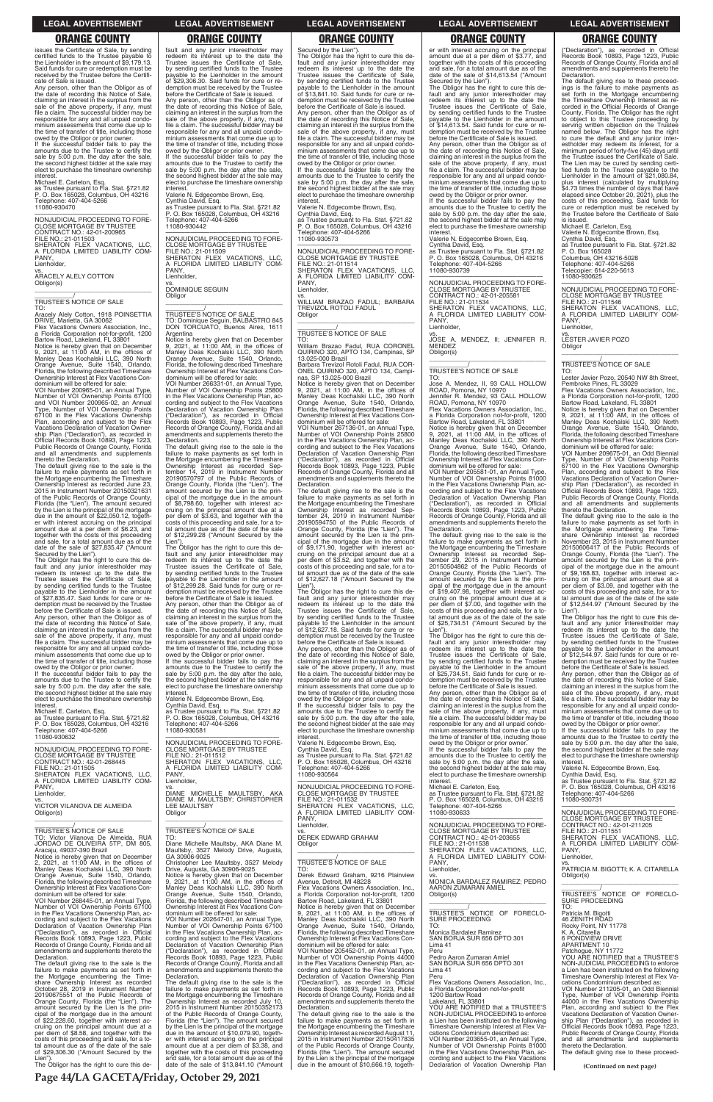issues the Certificate of Sale, by sending certified funds to the Trustee payable to the Lienholder in the amount of \$9,179.13. Said funds for cure or redemption must be received by the Trustee before the Certificate of Sale is issued.

Any person, other than the Obligor as of the date of recording this Notice of Sale, claiming an interest in the surplus from the sale of the above property, if any, must file a claim. The successful bidder may be responsible for any and all unpaid condominium assessments that come due up to the time of transfer of title, including those owed by the Obligor or prior owner. If the successful bidder fails to pay the

amounts due to the Trustee to certify the sale by 5:00 p.m. the day after the sale, the second highest bidder at the sale may elect to purchase the timeshare ownership interest.

Michael E. Carleton, Esq.

as Trustee pursuant to Fla. Stat. §721.82 P. O. Box 165028, Columbus, OH 43216 Telephone: 407-404-5266 11080-930470

—————————————————— NONJUDICIAL PROCEEDING TO FORE-CLOSE MORTGAGE BY TRUSTEE CONTRACT NO.: 42-01-200965 FILE NO.: 21-011503 SHERATON FLEX VACATIONS, LLC, A FLORIDA LIMITED LIABILITY COM-A FLC<br>PANY. Lienholder,

vs. ARACELY ALELY COTTON Obligor(s) \_\_\_\_\_\_\_\_\_\_\_\_\_\_\_\_\_\_\_\_\_\_\_\_\_\_\_\_\_\_\_\_\_

### \_\_\_\_\_\_\_\_\_\_\_/ TRUSTEE'S NOTICE OF SALE TO:

Aracely Alely Cotton, 1918 POINSETTIA DRIVE, Marietta, GA 30062 Flex Vacations Owners Association, Inc.,

a Florida Corporation not-for-profit, 1200 Bartow Road, Lakeland, FL 33801

Notice is hereby given that on December 9, 2021, at 11:00 AM, in the offices of Manley Deas Kochalski LLC, 390 North Orange Avenue, Suite 1540, Orlando, Florida, the following described Timeshare Ownership Interest at Flex Vacations Condominium will be offered for sale:

VOI Number 200965-01, an Annual Type, Number of VOI Ownership Points 67100 and VOI Number 200965-02, an Annual Type, Number of VOI Ownership Points 67100 in the Flex Vacations Ownership Plan, according and subject to the Flex Vacations Declaration of Vacation Ownership Plan ("Declaration"), as recorded in Official Records Book 10893, Page 1223, Public Records of Orange County, Florida and all amendments and supplements thereto the Declaration.

The default giving rise to the sale is the failure to make payments as set forth in the Mortgage encumbering the Timeshare Ownership Interest as recorded June 23, 2015 in Instrument Number 20150321631 of the Public Records of Orange County, Florida (the "Lien"). The amount secured by the Lien is the principal of the mortgage due in the amount of \$22,050.12, together with interest accruing on the principal amount due at a per diem of \$6.23, and together with the costs of this proceeding and sale, for a total amount due as of the date of the sale of \$27,835.47 ("Amount Secured by the Lien"). The Obligor has the right to cure this de-

fault and any junior interestholder may redeem its interest up to the date the Trustee issues the Certificate of Sale, by sending certified funds to the Trustee payable to the Lienholder in the amount of \$27,835.47. Said funds for cure or redemption must be received by the Trustee before the Certificate of Sale is issued.

Any person, other than the Obligor as of the date of recording this Notice of Sale, claiming an interest in the surplus from the sale of the above property, if any, must file a claim. The successful bidder may be responsible for any and all unpaid condominium assessments that come due up to the time of transfer of title, including those

owed by the Obligor or prior owner. If the successful bidder fails to pay the amounts due to the Trustee to certify the sale by 5:00 p.m. the day after the sale, the second highest bidder at the sale may elect to purchase the timeshare ownership interest.

### Michael E. Carleton, Esq.

The default giving rise to the sale is the failure to make payments as set forth in the Mortgage encumbering the Timeshare Ownership Interest as recorded Sep-tember 14, 2019 in Instrument Number 20190570797 of the Public Records of Orange County, Florida (the "Lien"). The amount secured by the Lien is the principal of the mortgage due in the amount of \$8,798.60, together with interest ac-cruing on the principal amount due at a per diem of \$3.63, and together with the costs of this proceeding and sale, for a total amount due as of the date of the sale of \$12,299.28 ("Amount Secured by the Lien")

as Trustee pursuant to Fla. Stat. §721.82 P. O. Box 165028, Columbus, OH 43216 Telephone: 407-404-5266 11080-930632

—————————————————— NONJUDICIAL PROCEEDING TO FORE-CLOSE MORTGAGE BY TRUSTEE CONTRACT NO.: 42-01-268445 FILE NO.: 21-011505 SHERATON FLEX VACATIONS, LLC, A FLORIDA LIMITED LIABILITY COM-A FLC<br>PANY. Lienholder,

vs. VICTOR VILANOVA DE ALMEIDA

FILE NO.: 21-011512 SHERATON FLEX VACATIONS, LLC, A FLORIDA LIMITED LIABILITY COM-PANY

If the successful bidder fails to pay the amounts due to the Trustee to certify the sale by 5:00 p.m. the day after the sale. the second highest bidder at the sale may elect to purchase the timeshare ownership **interest** 

redeem its interest up to the date the Trustee issues the Certificate of Sale, by sending certified funds to the Trustee<br>payable to the Lienholder in the amount payable to the Lienholder in the amount of \$29,306.30. Said funds for cure or redemption must be received by the Trustee before the Certificate of Sale is issued. Any person, other than the Obligor as of the date of recording this Notice of Sale, claiming an interest in the surplus from the sale of the above property, if any, must file a claim. The successful bidder may be responsible for any and all unpaid condominium assessments that come due up to the time of transfer of title, including those owed by the Obligor or prior owner. If the successful bidder fails to pay the amounts due to the Trustee to certify the

> TO:<br>William William Brazao Fadul, RUA CORONEL QUIRINO 320, APTO 134, Campinas, SP

sale by 5:00 p.m. the day after the sale, the second highest bidder at the sale may elect to purchase the timeshare ownership interest. Valerie N. Edgecombe Brown, Esq.

Cynthia David, Esq. as Trustee pursuant to Fla. Stat. §721.82 P. O. Box 165028, Columbus, OH 43216

Telephone: 407-404-5266 11080-930442

—————————————————— NONJUDICIAL PROCEEDING TO FORE-CLOSE MORTGAGE BY TRUSTEE FILE NO.: 21-011509 SHERATON FLEX VACATIONS, LLC, FLORIDA LIMITED LIABILITY COM-A FLC<br>PANY Lienholder,

vs. DOMINIQUE SEGUIN Obligor

\_\_\_\_\_\_\_\_\_\_\_\_\_\_\_\_\_\_\_\_\_\_\_\_\_\_\_\_\_\_\_\_\_

\_\_\_\_\_\_\_\_\_\_\_/ TRUSTEE'S NOTICE OF SALE TO: Dominique Seguin, BALBASTRO 845 DON TORCUATO, Buenos Aires, 1611 Argentina

Notice is hereby given that on December 9, 2021, at 11:00 AM, in the offices of Manley Deas Kochalski LLC, 390 North Orange Avenue, Suite 1540, Orlando, Florida, the following described Timeshare Ownership Interest at Flex Vacations Con-

dominium will be offered for sale: VOI Number 266331-01, an Annual Type, Number of VOI Ownership Points 25800 in the Flex Vacations Ownership Plan, ac-cording and subject to the Flex Vacations Declaration of Vacation Ownership Plan ("Declaration"), as recorded in Official Records Book 10893, Page 1223, Public Records of Orange County, Florida and all amendments and supplements thereto the Declaration.

The Obligor has the right to cure this default and any junior interestholder may redeem its interest up to the date the Trustee issues the Certificate of Sale, by sending certified funds to the Trustee payable to the Lienholder in the amount of \$12,299.28. Said funds for cure or redemption must be received by the Trustee before the Certificate of Sale is issued.

Any person, other than the Obligor as of the date of recording this Notice of Sale, claiming an interest in the surplus from the sale of the above property, if any, must file a claim. The successful bidder may be responsible for any and all unpaid condo-minium assessments that come due up to the time of transfer of title, including those

—————————————————— NONJUDICIAL PROCEEDING TO FORE-CLOSE MORTGAGE BY TRUSTEE CONTRACT NO.: 42-01-205581 FILE NO.: 21-011534 SHERATON FLEX VACATIONS, LLC, A FLORIDA LIMITED LIABILITY COM-PANY Lienholder,

owed by the Obligor or prior owner. If the successful bidder fails to pay the amounts due to the Trustee to certify the sale by 5:00 p.m. the day after the sale, the second highest bidder at the sale may elect to purchase the timeshare ownership interest.

Flex Vacations Owners Association, Inc. a Florida Corporation not-for-profit, 1200 Bartow Road, Lakeland, FL 33801

Valerie N. Edgecombe Brown, Esq. Cynthia David, Esq. as Trustee pursuant to Fla. Stat. §721.82

P. O. Box 165028, Columbus, OH 43216 Telephone: 407-404-5266 11080-930581

VOI Number 205581-01, an Annual Type, Number of VOI Ownership Points 81000 in the Flex Vacations Ownership Plan, according and subject to the Flex Vacations Declaration of Vacation Ownership Plan ("Declaration"), as recorded in Official Records Book 10893, Page 1223, Public Records of Orange County, Florida and all amendments and supplements thereto the **Declaration** 

# —————————————————— NONJUDICIAL PROCEEDING TO FORE-CLOSE MORTGAGE BY TRUSTEE

Lienholder, vs.

DIANE MICHELLE MAULTSBY, AKA DIANE M. MAULTSBY; CHRISTOPHER LEE MAULTSBY

("Declaration"), as recorded in Official Records Book 10893, Page 1223, Public Records of Orange County, Florida and all amendments and supplements thereto the **Declaration** 

Secured by the Lien"). The Obligor has the right to cure this de-fault and any junior interestholder may redeem its interest up to the date the Trustee issues the Certificate of Sale, by sending certified funds to the Trustee payable to the Lienholder in the amount of \$13,841.10. Said funds for cure or redemption must be received by the Trustee before the Certificate of Sale is issued. Any person, other than the Obligor as of the date of recording this Notice of Sale,<br>claiming an interest in the surplus from the<br>sale of the above property, if any, must<br>file a claim. The successful bidder may be responsible for any and all unpaid condominium assessments that come due up to the time of transfer of title, including those owed by the Obligor or prior owner.

> PANY Lienholder, vs.

Notice is hereby given that on December<br>9, 2021, at 11:00 AM, in the offices of<br>Manley Deas Kochalski LLC, 390 North<br>Orange Avenue, Suite 1540, Orlando,<br>Florida, the following described Timeshare<br>Ownership Interest at Flex dominium will be offered for sale:

Valerie N. Edgecombe Brown, Esq. Cynthia David, Esq. as Trustee pursuant to Fla. Stat. §721.82

P. O. Box 165028, Columbus, OH 43216 Telephone: 407-404-5266 11080-930573

—————————————————— NONJUDICIAL PROCEEDING TO FORE-CLOSE MORTGAGE BY TRUSTEE FILE NO.: 21-011514 SHERATON FLEX VACATIONS, LLC, A FLORIDA LIMITED LIABILITY COM-**PANY** Lienholder,

vs. WILLIAM BRAZAO FADUL; BARBARA TREVIZOL ROTOLI FADUL **Obligor** \_\_\_\_\_\_\_\_\_\_\_\_\_\_\_\_\_\_\_\_\_\_\_\_\_\_\_\_\_\_\_\_\_

# \_\_\_\_\_\_\_\_\_\_\_/ TRUSTEE'S NOTICE OF SALE

13.025-000 Brazil Barbara Trevizol Rotoli Fadul, RUA COR-ONEL QUIRINO 320, APTO 134, Campinas, SP 13.025-000 Brazil Notice is hereby given that on December 9, 2021, at 11:00 AM, in the offices of Manley Deas Kochalski LLC, 390 North<br>Orange Avenue, Suite 1540, Orlando,<br>Florida, the following described Timeshare<br>Ownership Interest at Flex Vacations Condominium will be offered for sale:

VOI Number 267136-01, an Annual Type, Number of VOI Ownership Points 25800 in the Flex Vacations Ownership Plan, according and subject to the Flex Vacations Declaration of Vacation Ownership Plan ("Declaration"), as recorded in Official ("Declaration"), as recorded in Official<br>Records Book 10893, Page 1223, Public Records of Orange County, Florida and all amendments and supplements thereto the Declaration.

| Obligor(s)                                                                                                                             | Obligor                                                                                                                  | A FLORIDA LIMITED LIABILITY COM-<br>PANY.                                                | 11080-930633                                                                                                                                              | NONJUDICIAL PROCEEDING TO FORE-<br><b>CLOSE MORTGAGE BY TRUSTEE</b>                                                             |
|----------------------------------------------------------------------------------------------------------------------------------------|--------------------------------------------------------------------------------------------------------------------------|------------------------------------------------------------------------------------------|-----------------------------------------------------------------------------------------------------------------------------------------------------------|---------------------------------------------------------------------------------------------------------------------------------|
| <b>TRUSTEE'S NOTICE OF SALE</b><br>TO: Victor Vilanova De Almeida, RUA<br>JORDAO DE OLIVEIRA 5TP, DM 805,<br>Aracaju, 49037-390 Brazil | <b>TRUSTEE'S NOTICE OF SALE</b><br>TO:<br>Diane Michelle Maultsby, AKA Diane M.<br>Maultsby, 3527 Melody Drive, Augusta, | Lienholder,<br>VS.<br>DEREK EDWARD GRAHAM<br>Obligor                                     | NONJUDICIAL PROCEEDING TO FORE-<br><b>CLOSE MORTGAGE BY TRUSTEE</b><br>CONTRACT NO.: 42-01-203655<br>FILE NO.: 21-011538<br>SHERATON FLEX VACATIONS. LLC. | CONTRACT NO.: 42-01-211205<br>FILE NO.: 21-011551<br>SHERATON FLEX VACATIONS, LLC,<br>A FLORIDA LIMITED LIABILITY COM-<br>PANY, |
| Notice is hereby given that on December                                                                                                | GA 30906-9025                                                                                                            |                                                                                          | A FLORIDA LIMITED LIABILITY COM-                                                                                                                          | Lienholder,                                                                                                                     |
| 2, 2021, at 11:00 AM, in the offices of                                                                                                | Christopher Lee Maultsby, 3527 Melody                                                                                    | TRUSTEE'S NOTICE OF SALE                                                                 | PANY,                                                                                                                                                     | vs.                                                                                                                             |
| Manley Deas Kochalski LLC, 390 North<br>Orange Avenue, Suite 1540, Orlando,                                                            | Drive, Augusta, GA 30906-9025<br>Notice is hereby given that on December                                                 | TO:<br>Derek Edward Graham, 9216 Plainview                                               | Lienholder.                                                                                                                                               | PATRICIA M. BIGOTTI: K. A. CITARELLA<br>Obligor(s)                                                                              |
| Florida, the following described Timeshare                                                                                             | 9. 2021, at 11:00 AM, in the offices of                                                                                  | Avenue. Detroit. MI 48228                                                                | VS.<br>MONICA BARDALEZ RAMIREZ: PEDRO                                                                                                                     |                                                                                                                                 |
| Ownership Interest at Flex Vacations Con-                                                                                              | Manley Deas Kochalski LLC, 390 North                                                                                     | Flex Vacations Owners Association. Inc                                                   | AARON ZUMARAN AMIEL                                                                                                                                       |                                                                                                                                 |
| dominium will be offered for sale:                                                                                                     | Orange Avenue, Suite 1540, Orlando,                                                                                      | a Florida Corporation not-for-profit, 1200                                               | Obligor(s)                                                                                                                                                | TRUSTEE'S NOTICE OF FORECLO-<br>SURE PROCEEDING                                                                                 |
| VOI Number 268445-01, an Annual Type.<br>Number of VOI Ownership Points 67100                                                          | Florida, the following described Timeshare<br>Ownership Interest at Flex Vacations Con-                                  | Bartow Road, Lakeland, FL 33801<br>Notice is hereby given that on December               |                                                                                                                                                           | TO:                                                                                                                             |
| in the Flex Vacations Ownership Plan, ac-                                                                                              | dominium will be offered for sale:                                                                                       | 9, 2021, at 11:00 AM, in the offices of                                                  | TRUSTEE'S NOTICE OF FORECLO-                                                                                                                              | Patricia M. Bigotti                                                                                                             |
| cording and subject to the Flex Vacations                                                                                              | VOI Number 202647-01, an Annual Type,<br>Number of VOI Ownership Points 67100                                            | Manley Deas Kochalski LLC, 390 North<br>Orange Avenue, Suite 1540, Orlando,              | <b>SURE PROCEEDING</b><br>TO:                                                                                                                             | <b>46 ZENITH ROAD</b><br>Rocky Point, NY 11778                                                                                  |
| Declaration of Vacation Ownership Plan<br>("Declaration"), as recorded in Official                                                     | in the Flex Vacations Ownership Plan, ac-                                                                                | Florida, the following described Timeshare                                               | Monica Bardalez Ramirez                                                                                                                                   | K. A. Citarella                                                                                                                 |
| Records Book 10893, Page 1223, Public                                                                                                  | cording and subject to the Flex Vacations                                                                                | Ownership Interest at Flex Vacations Con-                                                | SAN BORJA SUR 656 DPTO 301                                                                                                                                | <b>6 PONDVIEW DRIVE</b>                                                                                                         |
| Records of Orange County, Florida and all                                                                                              | Declaration of Vacation Ownership Plan                                                                                   | dominium will be offered for sale:                                                       | Lima 41<br>Peru                                                                                                                                           | <b>APARTMENT 10</b>                                                                                                             |
| amendments and supplements thereto the<br>Declaration.                                                                                 | ("Declaration"), as recorded in Official<br>Records Book 10893, Page 1223, Public                                        | VOI Number 205452-01, an Annual Type,<br>Number of VOI Ownership Points 44000            | Pedro Aaron Zumaran Amiel                                                                                                                                 | Patchoque, NY 11772<br>YOU ARE NOTIFIED that a TRUSTEE'S                                                                        |
| The default giving rise to the sale is the                                                                                             | Records of Orange County, Florida and all                                                                                | in the Flex Vacations Ownership Plan, ac-                                                | SAN BORJA SUR 656 DPTO 301                                                                                                                                | NON-JUDICIAL PROCEEDING to enforce                                                                                              |
| failure to make payments as set forth in                                                                                               | amendments and supplements thereto the                                                                                   | cording and subject to the Flex Vacations                                                | Lima 41                                                                                                                                                   | a Lien has been instituted on the following                                                                                     |
| the Mortgage encumbering the Time-<br>share Ownership Interest as recorded                                                             | Declaration.<br>The default giving rise to the sale is the                                                               | Declaration of Vacation Ownership Plan<br>("Declaration"), as recorded in Official       | Peru<br>Flex Vacations Owners Association. Inc                                                                                                            | Timeshare Ownership Interest at Flex Va-<br>cations Condominium described as:                                                   |
| October 28, 2019 in Instrument Number                                                                                                  | failure to make payments as set forth in                                                                                 | Records Book 10893, Page 1223, Public                                                    | a Florida Corporation not-for-profit                                                                                                                      | VOI Number 211205-01, an Odd Biennial                                                                                           |
| 20190675551 of the Public Records of                                                                                                   | the Mortgage encumbering the Timeshare                                                                                   | Records of Orange County, Florida and all                                                | 1200 Bartow Road                                                                                                                                          | Type, Number of VOI Ownership Points                                                                                            |
| Orange County, Florida (the "Lien"). The<br>amount secured by the Lien is the prin-                                                    | Ownership Interest as recorded July 10,<br>2015 in Instrument Number 20150352173                                         | amendments and supplements thereto the<br>Declaration.                                   | Lakeland, FL 33801<br>YOU ARE NOTIFIED that a TRUSTEE'S                                                                                                   | 44000 in the Flex Vacations Ownership<br>Plan, according and subject to the Flex                                                |
| cipal of the mortgage due in the amount                                                                                                | of the Public Records of Orange County,                                                                                  | The default giving rise to the sale is the                                               | NON-JUDICIAL PROCEEDING to enforce                                                                                                                        | Vacations Declaration of Vacation Owner-                                                                                        |
| of \$22,228.60, together with interest ac-                                                                                             | Florida (the "Lien"). The amount secured                                                                                 | failure to make payments as set forth in                                                 | a Lien has been instituted on the following                                                                                                               | ship Plan ("Declaration"), as recorded in                                                                                       |
| cruing on the principal amount due at a<br>per diem of \$8.58, and together with the                                                   | by the Lien is the principal of the mortgage<br>due in the amount of \$10,079.90, togeth-                                | the Mortgage encumbering the Timeshare<br>Ownership Interest as recorded August 11,      | Timeshare Ownership Interest at Flex Va-<br>cations Condominium described as:                                                                             | Official Records Book 10893, Page 1223,<br>Public Records of Orange County, Florida                                             |
| costs of this proceeding and sale, for a to-                                                                                           | er with interest accruing on the principal                                                                               | 2015 in Instrument Number 20150417835                                                    | VOI Number 203655-01, an Annual Type,                                                                                                                     | and all amendments and supplements                                                                                              |
| tal amount due as of the date of the sale                                                                                              | amount due at a per diem of \$3.38, and                                                                                  | of the Public Records of Orange County,                                                  | Number of VOI Ownership Points 81000                                                                                                                      | thereto the Declaration.                                                                                                        |
| of \$29,306.30 ("Amount Secured by the<br>Lien").                                                                                      | together with the costs of this proceeding<br>and sale, for a total amount due as of the                                 | Florida (the "Lien"). The amount secured<br>by the Lien is the principal of the mortgage | in the Flex Vacations Ownership Plan, ac-<br>cording and subject to the Flex Vacations                                                                    | The default giving rise to these proceed-                                                                                       |
| The Obligor has the right to cure this de-                                                                                             | date of the sale of \$13,841.10 ("Amount                                                                                 | due in the amount of \$10,666.19, togeth-                                                | Declaration of Vacation Ownership Plan                                                                                                                    | (Continued on next page)                                                                                                        |
|                                                                                                                                        |                                                                                                                          |                                                                                          |                                                                                                                                                           |                                                                                                                                 |

The default giving rise to the sale is the failure to make payments as set forth in the Mortgage encumbering the Timeshare Ownership Interest as recorded Sep-tember 24, 2019 in Instrument Number 20190594750 of the Public Records of Orange County, Florida (the "Lien"). The amount secured by the Lien is the principal of the mortgage due in the amount of \$9,171.90, together with interest ac-cruing on the principal amount due at a per diem of \$3.52, and together with the costs of this proceeding and sale, for a to-tal amount due as of the date of the sale of \$12,627.18 ("Amount Secured by the

Lien"). The Obligor has the right to cure this default and any junior interestholder may redeem its interest up to the date the Trustee issues the Certificate of Sale, by sending certified funds to the Trustee payable to the Lienholder in the amount of \$12,627.18. Said funds for cure or redemption must be received by the Trustee

before the Certificate of Sale is issued. Any person, other than the Obligor as of the date of recording this Notice of Sale, claiming an interest in the surplus from the sale of the above property, if any, must file a claim. The successful bidder may be responsible for any and all unpaid condominium assessments that come due up to the time of transfer of title, including those

owed by the Obligor or prior owner. If the successful bidder fails to pay the amounts due to the Trustee to certify the sale by 5:00 p.m. the day after the sale the second highest bidder at the sale may elect to purchase the timeshare ownership

interest. Valerie N. Edgecombe Brown, Esq.

Cynthia David, Esq. as Trustee pursuant to Fla. Stat. §721.82 P. O. Box 165028, Columbus, OH 43216 Telephone: 407-404-5266 11080-930564

—————————————————— NONJUDICIAL PROCEEDING TO FORE-CLOSE MORTGAGE BY TRUSTEE FILE NO.: 21-011532 SHERATON FLEX VACATIONS, LLC,

### fault and any junior interestholder may **ORANGE COUNTY ORANGE COUNTY ORANGE COUNTY ORANGE COUNTY ORANGE COUNTY**

er with interest accruing on the principal amount due at a per diem of \$3.77, and together with the costs of this proceeding and sale, for a total amount due as of the date of the sale of \$14,613.54 ("Amount Secured by the Lien").

The Obligor has the right to cure this default and any junior interestholder may redeem its interest up to the date the Trustee issues the Certificate of Sale, by sending certified funds to the Trustee payable to the Lienholder in the amount of \$14,613.54. Said funds for cure or redemption must be received by the Trustee before the Certificate of Sale is issued. Any person, other than the Obligor as of the date of recording this Notice of Sale, claiming an interest in the surplus from the sale of the above property, if any, must file a claim. The successful bidder may be

responsible for any and all unpaid condominium assessments that come due up to the time of transfer of title, including those owed by the Obligor or prior owner. If the successful bidder fails to pay the

amounts due to the Trustee to certify the sale by 5:00 p.m. the day after the sale, the second highest bidder at the sale may elect to purchase the timeshare ownership interest.

Valerie N. Edgecombe Brown, Esq. Cynthia David, Esq. as Trustee pursuant to Fla. Stat. §721.82 P. O. Box 165028, Columbus, OH 43216

Telephone: 407-404-5266 11080-930739

vs. JOSE A. MENDEZ, II; JENNIFER R. MENDEZ Obligor(s) \_\_\_\_\_\_\_\_\_\_\_\_\_\_\_\_\_\_\_\_\_\_\_\_\_\_\_\_\_\_\_\_\_

# \_\_\_\_\_\_\_\_\_\_\_/ TRUSTEE'S NOTICE OF SALE

TO: Jose A. Mendez, II, 93 CALL HOLLOW ROAD, Pomona, NY 10970 Jennifer R. Mendez, 93 CALL HOLLOW ROAD, Pomona, NY 10970

Notice is hereby given that on December 9, 2021, at 11:00 AM, in the offices of Manley Deas Kochalski LLC, 390 North Orange Avenue, Suite 1540, Orlando, Florida, the following described Timeshare Ownership Interest at Flex Vacations Condominium will be offered for sale:

The default giving rise to the sale is the failure to make payments as set forth in the Mortgage encumbering the Timeshare Ownership Interest as recorded Sep-tember 29, 2015 in Instrument Number 20150504862 of the Public Records of Orange County, Florida (the "Lien"). The amount secured by the Lien is the principal of the mortgage due in the amount of \$19,407.98, together with interest accruing on the principal amount due at a per diem of \$7.00, and together with the costs of this proceeding and sale, for a to-tal amount due as of the date of the sale of \$25,734.51 ("Amount Secured by the

Lien"). The Obligor has the right to cure this default and any junior interestholder may redeem its interest up to the date the Trustee issues the Certificate of Sale, by sending certified funds to the Trustee payable to the Lienholder in the amount of \$25,734.51. Said funds for cure or redemption must be received by the Trustee before the Certificate of Sale is issued.

Any person, other than the Obligor as of the date of recording this Notice of Sale, claiming an interest in the surplus from the sale of the above property, if any, must file a claim. The successful bidder may be responsible for any and all unpaid condominium assessments that come due up to the time of transfer of title, including those owed by the Obligor or prior owner. If the successful bidder fails to pay the

amounts due to the Trustee to certify the sale by 5:00 p.m. the day after the sale, the second highest bidder at the sale may elect to purchase the timeshare ownership interest.

Michael E. Carleton, Esq.

as Trustee pursuant to Fla. Stat. §721.82 P. O. Box 165028, Columbus, OH 43216 Telephone: 407-404-5266 11080-930633

The default giving rise to these proceedings is the failure to make payments as set forth in the Mortgage encumbering the Timeshare Ownership Interest as re-corded in the Official Records of Orange County, Florida. The Obligor has the right to object to this Trustee proceeding by serving written objection on the Trustee named below. The Obligor has the right to cure the default and any junior inter-estholder may redeem its interest, for a minimum period of forty-five (45) days until the Trustee issues the Certificate of Sale. The Lien may be cured by sending certified funds to the Trustee payable to the<br>Lienholder in the amount of \$21,080.84, plus interest (calculated by multiplying<br>\$4.73 times the number of days that have<br>elapsed since October 20, 2021), plus the<br>costs of this proceeding. Said funds for<br>cure or redemption must be received by<br>the Trustee before is issued.

Michael E. Carleton, Esq. Valerie N. Edgecombe Brown, Esq. Cynthia David, Esq. as Trustee pursuant to Fla. Stat. §721.82 P. O. Box 165028 Columbus, OH 43216-5028 Telephone: 407-404-5266 Telecopier: 614-220-5613 11080-930625

—————————————————— NONJUDICIAL PROCEEDING TO FORE-CLOSE MORTGAGE BY TRUSTEE FILE NO.: 21-011546 SHERATON FLEX VACATIONS, LLC, A FLORIDA LIMITED LIABILITY COM-

LESTER JAVIER POZO **Obligor** \_\_\_\_\_\_\_\_\_\_\_\_\_\_\_\_\_\_\_\_\_\_\_\_\_\_\_\_\_\_\_\_\_

### \_\_\_\_\_\_\_\_\_\_\_/ TRUSTEE'S NOTICE OF SALE TO:

Lester Javier Pozo, 20540 NW 8th Street, Pembroke Pines, FL 33029 Flex Vacations Owners Association, Inc.,

a Florida Corporation not-for-profit, 1200 Bartow Road, Lakeland, FL 33801

VOI Number 209675-01, an Odd Biennial Type, Number of VOI Ownership Points 67100 in the Flex Vacations Ownership Plan, according and subject to the Flex Vacations Declaration of Vacation Ownership Plan ("Declaration"), as recorded in Official Records Book 10893, Page 1223, Public Records of Orange County, Florida and all amendments and supplements

thereto the Declaration. The default giving rise to the sale is the failure to make payments as set forth in the Mortgage encumbering the Time-share Ownership Interest as recorded November 23, 2015 in Instrument Number 20150606417 of the Public Records of Orange County, Florida (the "Lien"). The amount secured by the Lien is the principal of the mortgage due in the amount of \$9,168.83, together with interest ac-cruing on the principal amount due at a per diem of \$3.09, and together with the costs of this proceeding and sale, for a to-tal amount due as of the date of the sale of \$12,544.97 ("Amount Secured by the

Lien"). The Obligor has the right to cure this default and any junior interestholder may redeem its interest up to the date the Trustee issues the Certificate of Sale, by sending certified funds to the Trustee payable to the Lienholder in the amount of \$12,544.97. Said funds for cure or redemption must be received by the Trustee before the Certificate of Sale is issued.

Any person, other than the Obligor as of the date of recording this Notice of Sale, claiming an interest in the surplus from the sale of the above property, if any, must file a claim. The successful bidder may be responsible for any and all unpaid condominium assessments that come due up to the time of transfer of title, including those

owed by the Obligor or prior owner. If the successful bidder fails to pay the amounts due to the Trustee to certify the sale by 5:00 p.m. the day after the sale, the second highest bidder at the sale may elect to purchase the timeshare ownership interest. Valerie N. Edgecombe Brown, Esq.

Cynthia David, Esq. as Trustee pursuant to Fla. Stat. §721.82 P. O. Box 165028, Columbus, OH 43216

Telephone: 407-404-5266 11080-930731

——————————————————

### **LEGAL ADVERTISEMENT LEGAL ADVERTISEMENT LEGAL ADVERTISEMENT LEGAL ADVERTISEMENT LEGAL ADVERTISEMENT**

**Page 44/LA GACETA/Friday, October 29, 2021**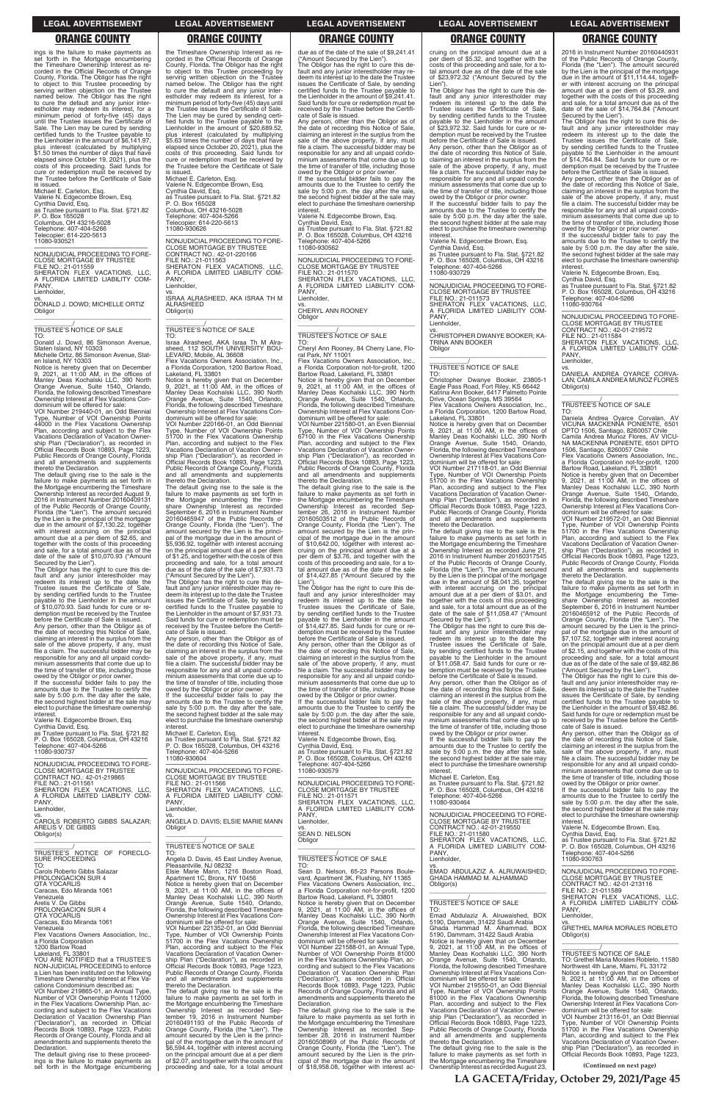ings is the failure to make payments as<br>set forth in the Mortgage encumbering set forth in the Mortgage encumbering the Timeshare Ownership Interest as re-corded in the Official Records of Orange County, Florida. The Obligor has the right to object to this Trustee proceeding by serving written objection on the Trustee named below. The Obligor has the right to cure the default and any junior inter-estholder may redeem its interest, for a minimum period of forty-five (45) days until the Trustee issues the Certificate of Sale. The Lien may be cured by sending certified funds to the Trustee payable to the Lienholder in the amount of \$6,141.97, plus interest (calculated by multiplying \$1.50 times the number of days that have elapsed since October 19, 2021), plus the costs of this proceeding. Said funds for cure or redemption must be received by the Trustee before the Certificate of Sale is issued.

Michael E. Carleton, Esq. Valerie N. Edgecombe Brown, Esq. Cynthia David, Esq. as Trustee pursuant to Fla. Stat. §721.82 P. O. Box 165028 Columbus, OH 43216-5028 Telephone: 407-404-5266 Telecopier: 614-220-5613 11080-930521

—————————————————— NONJUDICIAL PROCEEDING TO FORE-CLOSE MORTGAGE BY TRUSTEE FILE NO.: 21-011559 SHERATON FLEX VACATIONS, LLC, A FLORIDA LIMITED LIABILITY COM-PANY,

Lienholder.

vs. DONALD J. DOWD; MICHELLE ORTIZ **Obligor** \_\_\_\_\_\_\_\_\_\_\_\_\_\_\_\_\_\_\_\_\_\_\_\_\_\_\_\_\_\_\_\_\_

# \_\_\_\_\_\_\_\_\_\_\_/ TRUSTEE'S NOTICE OF SALE

TO: Donald J. Dowd, 86 Simonson Avenue, Staten Island, NY 10303 Michelle Ortiz, 86 Simonson Avenue, Stat-

Any person, other than the Obligor as of the date of recording this Notice of Sale, claiming an interest in the surplus from the sale of the above property, if any, must file a claim. The successful bidder may be responsible for any and all unpaid condominium assessments that come due up to the time of transfer of title, including those

en Island, NY 10303 Notice is hereby given that on December 9, 2021, at 11:00 AM, in the offices of Manley Deas Kochalski LLC, 390 North Orange Avenue, Suite 1540, Orlando, Florida, the following described Timeshare Ownership Interest at Flex Vacations Condominium will be offered for sale:

owed by the Obligor or prior owner. If the successful bidder fails to pay the amounts due to the Trustee to certify the sale by 5:00 p.m. the day after the sale the second highest bidder at the sale may elect to purchase the timeshare ownership **interest** 

VOI Number 219440-01, an Odd Biennial Type, Number of VOI Ownership Points 44000 in the Flex Vacations Ownership Plan, according and subject to the Flex Vacations Declaration of Vacation Owner-ship Plan ("Declaration"), as recorded in Official Records Book 10893, Page 1223, Public Records of Orange County, Florida and all amendments and supplements thereto the Declaration.

NONJUDICIAL PROCEEDING TO FORE-<br>CLOSE MORTGAGE BY TRUSTEE<br>CONTRACT NO.: 42-01-219865<br>FILE NO.: 21-011561<br>SHERATON FLEX VACATIONS, LLC,<br>A FLORIDA LIMITED LIABILITY COM-PANY, Lienholder,

The default giving rise to the sale is the failure to make payments as set forth in the Mortgage encumbering the Timeshare Ownership Interest as recorded August 9, 2016 in Instrument Number 20160409131 of the Public Records of Orange County, Florida (the "Lien"). The amount secured by the Lien is the principal of the mortgage due in the amount of \$7,130.22, together with interest accruing on the principal amount due at a per diem of \$2.65, and together with the costs of this proceeding and sale, for a total amount due as of the date of the sale of \$10,070.93 ("Amount

Secured by the Lien"). The Obligor has the right to cure this de-fault and any junior interestholder may redeem its interest up to the date the Trustee issues the Certificate of Sale, by sending certified funds to the Trustee payable to the Lienholder in the amount of \$10,070.93. Said funds for cure or redemption must be received by the Trustee before the Certificate of Sale is issued.

Michael E. Carleton, Esq. Valerie N. Edgecombe Brown, Esq. Cynthia David, Esq. as Trustee pursuant to Fla. Stat. §721.82 P. O. Box 165028 Columbus, OH 43216-5028 Telephone: 407-404-5266 Telecopier: 614-220-5613 11080-930626

Flex Vacations Owners Association, Inc., a Florida Corporation, 1200 Bartow Road, Lakeland, FL 33801

Valerie N. Edgecombe Brown, Esq.

Cynthia David, Esq. as Trustee pursuant to Fla. Stat. §721.82 P. O. Box 165028, Columbus, OH 43216 Telephone: 407-404-5266 11080-930737

The Obligor has the right to cure this default and any junior interestholder may redeem its interest up to the date the Trustee issues the Certificate of Sale, by sending certified funds to the Trustee payable to the Lienholder in the amount of \$7,931.73. Said funds for cure or redemption must be received by the Trustee before the Certificate of Sale is issued.

Michael E. Carleton, Esq.<br>as Trustee pursuant to Fla. Stat. §721.82<br>P. O. Box 165028, Columbus, OH 43216<br>Telephone: 407-404-5266 11080-930604

—————————————————— NONJUDICIAL PROCEEDING TO FORE-CLOSE MORTGAGE BY TRUSTEE<br>FILE NO.: 21-011566<br>SHERATON FLEX VACATIONS, LLC,<br>A FLORIDA LIMITED LIABILITY COM-<br>PANY,<br>Lienholder,

the Timeshare Ownership Interest as recorded in the Official Records of Orange County, Florida. The Obligor has the right to object to this Trustee proceeding by serving written objection on the Trustee named below. The Obligor has the right to cure the default and any junior inter-estholder may redeem its interest, for a minimum period of forty-five (45) days until the Trustee issues the Certificate of Sale. The Lien may be cured by sending certified funds to the Trustee payable to the Lienholder in the amount of \$20,689.52, plus interest (calculated by multiplying \$5.63 times the number of days that have elapsed since October 20, 2021), plus the costs of this proceeding. Said funds for cure or redemption must be received by the Trustee before the Certificate of Sale is issued.

> NONJUDICIAL PROCEEDING TO FORE-NONJUDICIAL PROCEEDING TO FORE-<br>CLOSE MORTGAGE BY TRUSTEE<br>FILE NO.: 21-011570<br>SHERATON FLEX VACATIONS, LLC,<br>A FLORIDA LIMITED LIABILITY COM-PANY, Lienholder,

> Flex Vacations Owners Association, Inc. a Florida Corporation not-for-profit, 1200 Bartow Road, Lakeland, FL 33801 Notice is hereby given that on December 9, 2021, at 11:00 AM, in the offices of Manley Deas Kochalski LLC, 390 North Orange Avenue, Suite 1540, Orlando, Florida, the following described Timeshare Ownership Interest at Flex Vacations Condominium will be offered for sale:

—————————————————— NONJUDICIAL PROCEEDING TO FORE-CLOSE MORTGAGE BY TRUSTEE CONTRACT NO.: 42-01-220166 FILE NO.: 21-011563 SHERATON FLEX VACATIONS, LLC,<br>A FLORIDA LIMITED LIABILITY COM-<br>PANY, Lienholder vs. ISRAA ALRASHEED, AKA ISRAA TH M

ALRASHEED Obligor(s) \_\_\_\_\_\_\_\_\_\_\_\_\_\_\_\_\_\_\_\_\_\_\_\_\_\_\_\_\_\_\_\_\_

### \_\_\_\_\_\_\_\_\_\_\_/ TRUSTEE'S NOTICE OF SALE TO:

Israa Alrasheed, AKA Israa Th M Alrasheed, 112 SOUTH UNIVERSITY BOU-LEVARD, Mobile, AL 36608

Notice is hereby given that on December 9, 2021, at 11:00 AM, in the offices of Manley Deas Kochalski LLC, 390 North Orange Avenue, Suite 1540, Orlando, Florida, the following described Timeshare Ownership Interest at Flex Vacations Con-

> amounts due to the Trustee to certify the sale by 5:00 p.m. the day after the sale, the second highest bidder at the sale may elect to purchase the timeshare ownership interest

dominium will be offered for sale: VOI Number 220166-01, an Odd Biennial Type, Number of VOI Ownership Points 51700 in the Flex Vacations Ownership Plan, according and subject to the Flex Vacations Declaration of Vacation Ownership Plan ("Declaration"), as recorded in Official Records Book 10893, Page 1223, Public Records of Orange County, Florida and all amendments and supplements thereto the Declaration.

The default giving rise to the sale is the failure to make payments as set forth in the Mortgage encumbering the Timeshare Ownership Interest as recorded September 6, 2016 in Instrument Number 20160465947 of the Public Records of Orange County, Florida (the "Lien"). The amount secured by the Lien is the principal of the mortgage due in the amount of \$5,936.92, together with interest accruing on the principal amount due at a per diem of \$1.25, and together with the costs of this proceeding and sale, for a total amount due as of the date of the sale of \$7,931.73 ("Amount Secured by the Lien").

Any person, other than the Obligor as of the date of recording this Notice of Sale, claiming an interest in the surplus from the sale of the above property, if any, must file a claim. The successful bidder may be responsible for any and all unpaid condominium assessments that come due up to the time of transfer of title, including those owed by the Obligor or prior owner. If the successful bidder fails to pay the

amounts due to the Trustee to certify the sale by 5:00 p.m. the day after the sale, the second highest bidder at the sale may elect to purchase the timeshare ownership interest.

Flex Vacations Owners Association, Inc., a Florida Corporation, 1200 Bartow Road,<br>Lakeland, FL 33801

Lakeland, FL 33801<br>Notice is hereby given that on December<br>9, 2021, at 11:00 AM, in the offices of<br>Manley Deas Kochalski LLC, 390 North<br>Orange Avenue, Suite 1540, Orlando,<br>Florida, the following described Timeshare<br>Ownersh dominium will be offered for sale: VOI Number 217118-01, an Odd Biennial

owed by the Obligor or prior owner. If the successful bidder fails to pay the amounts due to the Trustee to certify the sale by 5:00 p.m. the day after the sale. the second highest bidder at the sale may elect to purchase the timeshare ownership **interest** 

2016 in Instrument Number 20160440931 of the Public Records of Orange County, Florida (the "Lien"). The amount secured by the Lien is the principal of the mortgage due in the amount of \$11,114.44, together with interest accruing on the principal amount due at a per diem of \$3.29, and together with the costs of this proceeding and sale, for a total amount due as of the<br>date of the sale of \$14.764.84 ("Amount

due as of the date of the sale of \$9,241.41 ("Amount Secured by the Lien"). The Obligor has the right to cure this default and any junior interestholder may re-deem its interest up to the date the Trustee issues the Certificate of Sale, by sending certified funds to the Trustee payable to the Lienholder in the amount of \$9,241.41. Said funds for cure or redemption must be received by the Trustee before the Certifi-cate of Sale is issued.

date of the sale of \$14,764.84 ("Amount<br>Secured by the Lien").<br>The Obligor has the right to cure this de-<br>fault and any junior interestholder may<br>redeem its interest up to the date the<br>Trustee issues the Certificate of Sal demption must be received by the Trustee before the Certificate of Sale is issued.

Any person, other than the Obligor as of the date of recording this Notice of Sale, claiming an interest in the surplus from the sale of the above property, if any, must file a claim. The successful bidder may be responsible for any and all unpaid condominium assessments that come due up to the time of transfer of title, including those owed by the Obligor or prior owner. If the successful bidder fails to pay the amounts due to the Trustee to certify the

sale by 5:00 p.m. the day after the sale, the second highest bidder at the sale may elect to purchase the timeshare ownership interest. Valerie N. Edgecombe Brown, Esq.

Cynthia David, Esq. as Trustee pursuant to Fla. Stat. §721.82 P. O. Box 165028, Columbus, OH 43216 Telephone: 407-404-5266 11080-930562

> Daniela Andrea Oyarce Corvalan, AV VICUNA MACKENNA PONIENTE, 6501 DPTO 1506, Santiago, 8260057 Chile Camila Andrea Munoz Flores, AV VICU-NA MACKENNA PONIENTE, 6501 DPTO

vs. CHERYL ANN ROONEY Obligor

\_\_\_\_\_\_\_\_\_\_\_\_\_\_\_\_\_\_\_\_\_\_\_\_\_\_\_\_\_\_\_\_\_

### \_\_\_\_\_\_\_\_\_\_\_/ TRUSTEE'S NOTICE OF SALE TO:

Cheryl Ann Rooney, 84 Cherry Lane, Floral Park, NY 11001

> The default giving rise to the sale is the<br>failure to make payments as set forth in<br>the Mortgage encumbering the Time-<br>share Ownership Interest as recorded<br>September 6, 2016 in Instrument Number 20160465912 of the Public Records of Orange County, Florida (the "Lien"). The amount secured by the Lien is the principal of the mortgage due in the amount of \$7,107.52, together with interest accruing on the principal amount due at a per diem of \$2.15, and together with the costs of this proceeding and sale, for a total amount due as of the date of the sale of \$9,482.86 ("Amount Secured by the Lien").

VOI Number 221580-01, an Even Biennial Type, Number of VOI Ownership Points 67100 in the Flex Vacations Ownership Plan, according and subject to the Flex Vacations Declaration of Vacation Ownership Plan ("Declaration"), as recorded in Official Records Book 10893, Page 1223, Public Records of Orange County, Florida and all amendments and supplements thereto the Declaration.

The default giving rise to the sale is the failure to make payments as set forth in the Mortgage encumbering the Timeshare Ownership Interest as recorded Sep-tember 26, 2016 in Instrument Number 20160503512 of the Public Records of Orange County, Florida (the "Lien"). The amount secured by the Lien is the principal of the mortgage due in the amount of \$10,642.00, together with interest ac-cruing on the principal amount due at a per diem of \$3.76, and together with the costs of this proceeding and sale, for a to-tal amount due as of the date of the sale of \$14,427.85 ("Amount Secured by the Lien").

| Lienholder,<br>VS.<br>CAROLS ROBERTO GIBBS SALAZAR:<br>ARELIS V. DE GIBBS<br>Obligor(s)<br>TRUSTEE'S NOTICE OF FORECLO-<br><b>SURE PROCEEDING</b><br>TO:<br>Carols Roberto Gibbs Salazar<br>PROLONGACION SUR 4<br><b>QTA YOCARLIS</b><br>Caracas, Edo Miranda 1061<br>Venezuela<br>Arelis V. De Gibbs<br>PROLONGACION SUR 4<br><b>OTA YOCARLIS</b><br>Caracas, Edo Miranda 1061<br>Venezuela<br>Flex Vacations Owners Association, Inc.,<br>a Florida Corporation<br>1200 Bartow Road<br>Lakeland. FL 33801<br>YOU ARE NOTIFIED that a TRUSTEE'S<br>NON-JUDICIAL PROCEEDING to enforce<br>a Lien has been instituted on the following<br>Timeshare Ownership Interest at Flex Va-<br>cations Condominium described as:<br>VOI Number 219865-01, an Annual Type,<br>Number of VOI Ownership Points 112000<br>in the Flex Vacations Ownership Plan, ac-<br>cording and subject to the Flex Vacations<br>Declaration of Vacation Ownership Plan<br>("Declaration"), as recorded in Official<br>Records Book 10893, Page 1223, Public<br>Records of Orange County, Florida and all<br>amendments and supplements thereto the<br>Declaration.<br>The default giving rise to these proceed- | Lienholder.<br>VS.<br>ANGELA D. DAVIS: ELSIE MARIE MANN<br>Obligor<br><b>TRUSTEE'S NOTICE OF SALE</b><br>TO:<br>Angela D. Davis, 45 East Lindley Avenue,<br>Pleasantville, NJ 08232<br>Elsie Marie Mann, 1216 Boston Road,<br>Apartment 1C. Bronx, NY 10456<br>Notice is hereby given that on December<br>9, 2021, at 11:00 AM, in the offices of<br>Manley Deas Kochalski LLC, 390 North<br>Orange Avenue, Suite 1540, Orlando,<br>Florida, the following described Timeshare<br>Ownership Interest at Flex Vacations Con-<br>dominium will be offered for sale:<br>VOI Number 221352-01, an Odd Biennial<br>Type, Number of VOI Ownership Points<br>51700 in the Flex Vacations Ownership<br>Plan, according and subject to the Flex<br>Vacations Declaration of Vacation Owner-<br>ship Plan ("Declaration"), as recorded in<br>Official Records Book 10893, Page 1223,<br>Public Records of Orange County, Florida<br>and all amendments and supplements<br>thereto the Declaration.<br>The default giving rise to the sale is the<br>failure to make payments as set forth in<br>the Mortgage encumbering the Timeshare<br>Ownership Interest as recorded Sep-<br>tember 19, 2016 in Instrument Number<br>20160491193 of the Public Records of<br>Orange County, Florida (the "Lien"). The<br>amount secured by the Lien is the princi-<br>pal of the mortgage due in the amount of<br>\$6,594.44, together with interest accruing<br>on the principal amount due at a per diem | A FLORIDA LIMITED LIABILITY COM-<br>PANY.<br>Lienholder.<br>VS.<br><b>SEAN D. NELSON</b><br>Obligor<br>TRUSTEE'S NOTICE OF SALE<br>TO.<br>Sean D. Nelson, 65-23 Parsons Boule-<br>vard, Apartment 3K, Flushing, NY 11365<br>Flex Vacations Owners Association. Inc<br>a Florida Corporation not-for-profit, 1200<br>Bartow Road, Lakeland, FL 33801<br>Notice is hereby given that on December<br>9. 2021. at $11:00$ AM. in the offices of<br>Manley Deas Kochalski LLC, 390 North<br>Orange Avenue, Suite 1540, Orlando,<br>Florida, the following described Timeshare<br>Ownership Interest at Flex Vacations Con-<br>dominium will be offered for sale:<br>VOI Number 221588-01, an Annual Type,<br>Number of VOI Ownership Points 81000<br>in the Flex Vacations Ownership Plan, ac-<br>cording and subject to the Flex Vacations<br>Declaration of Vacation Ownership Plan<br>("Declaration"), as recorded in Official<br>Records Book 10893, Page 1223, Public<br>Records of Orange County, Florida and all<br>amendments and supplements thereto the<br>Declaration.<br>The default giving rise to the sale is the<br>failure to make payments as set forth in<br>the Mortgage encumbering the Timeshare<br>Ownership Interest as recorded Sep-<br>tember 28, 2016 in Instrument Number<br>20160508969 of the Public Records of<br>Orange County, Florida (the "Lien"). The<br>amount secured by the Lien is the prin- | NONJUDICIAL PROCEEDING TO FORE-<br><b>CLOSE MORTGAGE BY TRUSTEE</b><br>CONTRACT NO.: 42-01-219550<br>FILE NO.: 21-011580<br>SHERATON FLEX VACATIONS, LLC,<br>A FLORIDA LIMITED LIABILITY COM-<br>PANY.<br>Lienholder,<br>VS.<br>EMAD ABDULAZIZ A. ALRUWAISHED:<br>GHADA HAMMAD M. ALHAMMAD<br>Obligor(s)<br>TRUSTEE'S NOTICE OF SALE<br>TO:<br>Emad Abdulaziz A. Alruwaished, BOX<br>5190, Dammam, 31422 Saudi Arabia<br>Ghada Hammad M. Alhammad. BOX<br>5190, Dammam, 31422 Saudi Arabia<br>Notice is hereby given that on December<br>9, 2021, at 11:00 AM, in the offices of<br>Manley Deas Kochalski LLC, 390 North<br>Orange Avenue, Suite 1540, Orlando,<br>Florida, the following described Timeshare<br>Ownership Interest at Flex Vacations Con-<br>dominium will be offered for sale:<br>VOI Number 219550-01, an Odd Biennial<br>Type, Number of VOI Ownership Points<br>81000 in the Flex Vacations Ownership<br>Plan, according and subject to the Flex<br>Vacations Declaration of Vacation Owner-<br>ship Plan ("Declaration"), as recorded in<br>Official Records Book 10893, Page 1223,<br>Public Records of Orange County, Florida<br>and all amendments and supplements<br>thereto the Declaration.<br>The default giving rise to the sale is the<br>failure to make payments as set forth in | the second highest bidder at the sale may<br>elect to purchase the timeshare ownership<br>interest.<br>Valerie N. Edgecombe Brown, Esg.<br>Cynthia David, Esq.<br>as Trustee pursuant to Fla. Stat. §721.82<br>P. O. Box 165028, Columbus, OH 43216<br>Telephone: 407-404-5266<br>11080-930763<br>NONJUDICIAL PROCEEDING TO FORE-<br><b>CLOSE MORTGAGE BY TRUSTEE</b><br>CONTRACT NO.: 42-01-213116<br>FILE NO.: 21-011589<br>SHERATON FLEX VACATIONS. LLC.<br>A FLORIDA LIMITED LIABILITY COM-<br>PANY.<br>Lienholder.<br>VS.<br><b>GRETHEL MARIA MORALES ROBLETO</b><br>Obligor(s)<br>TRUSTEE'S NOTICE OF SALE<br>TO: Grethel Maria Morales Robleto, 11580<br>Northwest 4th Lane, Miami, FL 33172<br>Notice is hereby given that on December<br>9, 2021, at $11:00$ AM, in the offices of<br>Manley Deas Kochalski LLC, 390 North<br>Orange Avenue, Suite 1540, Orlando,<br>Florida, the following described Timeshare<br>Ownership Interest at Flex Vacations Con-<br>dominium will be offered for sale:<br>VOI Number 213116-01, an Odd Biennial<br>Type, Number of VOI Ownership Points<br>51700 in the Flex Vacations Ownership<br>Plan, according and subject to the Flex<br>Vacations Declaration of Vacation Owner-<br>ship Plan ("Declaration"), as recorded in<br>Official Records Book 10893, Page 1223, |
|---------------------------------------------------------------------------------------------------------------------------------------------------------------------------------------------------------------------------------------------------------------------------------------------------------------------------------------------------------------------------------------------------------------------------------------------------------------------------------------------------------------------------------------------------------------------------------------------------------------------------------------------------------------------------------------------------------------------------------------------------------------------------------------------------------------------------------------------------------------------------------------------------------------------------------------------------------------------------------------------------------------------------------------------------------------------------------------------------------------------------------------------------------------------------------------|--------------------------------------------------------------------------------------------------------------------------------------------------------------------------------------------------------------------------------------------------------------------------------------------------------------------------------------------------------------------------------------------------------------------------------------------------------------------------------------------------------------------------------------------------------------------------------------------------------------------------------------------------------------------------------------------------------------------------------------------------------------------------------------------------------------------------------------------------------------------------------------------------------------------------------------------------------------------------------------------------------------------------------------------------------------------------------------------------------------------------------------------------------------------------------------------------------------------------------------------------------------------------------------------------------------------------------------------------------------------------------------------------------------------------------------------------------------------------------------|--------------------------------------------------------------------------------------------------------------------------------------------------------------------------------------------------------------------------------------------------------------------------------------------------------------------------------------------------------------------------------------------------------------------------------------------------------------------------------------------------------------------------------------------------------------------------------------------------------------------------------------------------------------------------------------------------------------------------------------------------------------------------------------------------------------------------------------------------------------------------------------------------------------------------------------------------------------------------------------------------------------------------------------------------------------------------------------------------------------------------------------------------------------------------------------------------------------------------------------------------------------------------------------------------------------------------------------------------------------------------------------------------------------------------------|-------------------------------------------------------------------------------------------------------------------------------------------------------------------------------------------------------------------------------------------------------------------------------------------------------------------------------------------------------------------------------------------------------------------------------------------------------------------------------------------------------------------------------------------------------------------------------------------------------------------------------------------------------------------------------------------------------------------------------------------------------------------------------------------------------------------------------------------------------------------------------------------------------------------------------------------------------------------------------------------------------------------------------------------------------------------------------------------------------------------------------------------------------------------------------------------------------------------------------------------------------------------------------------------------------------------|----------------------------------------------------------------------------------------------------------------------------------------------------------------------------------------------------------------------------------------------------------------------------------------------------------------------------------------------------------------------------------------------------------------------------------------------------------------------------------------------------------------------------------------------------------------------------------------------------------------------------------------------------------------------------------------------------------------------------------------------------------------------------------------------------------------------------------------------------------------------------------------------------------------------------------------------------------------------------------------------------------------------------------------------------------------------------------------------------------------------------------------------------------------------------------------------------------------------------------------------------------------------------------------------------------------------|
| ings is the failure to make payments as                                                                                                                                                                                                                                                                                                                                                                                                                                                                                                                                                                                                                                                                                                                                                                                                                                                                                                                                                                                                                                                                                                                                               | of \$2.07, and together with the costs of this                                                                                                                                                                                                                                                                                                                                                                                                                                                                                                                                                                                                                                                                                                                                                                                                                                                                                                                                                                                                                                                                                                                                                                                                                                                                                                                                                                                                                                       | cipal of the mortgage due in the amount                                                                                                                                                                                                                                                                                                                                                                                                                                                                                                                                                                                                                                                                                                                                                                                                                                                                                                                                                                                                                                                                                                                                                                                                                                                                                                                                                                                        | the Mortgage encumbering the Timeshare                                                                                                                                                                                                                                                                                                                                                                                                                                                                                                                                                                                                                                                                                                                                                                                                                                                                                                                                                                                                                                                                                                                                                                                                                                                                            |                                                                                                                                                                                                                                                                                                                                                                                                                                                                                                                                                                                                                                                                                                                                                                                                                                                                                                                                                                                                                                                                                                                                                                                                                                                                                                                      |
| set forth in the Mortgage encumbering                                                                                                                                                                                                                                                                                                                                                                                                                                                                                                                                                                                                                                                                                                                                                                                                                                                                                                                                                                                                                                                                                                                                                 | proceeding and sale, for a total amount                                                                                                                                                                                                                                                                                                                                                                                                                                                                                                                                                                                                                                                                                                                                                                                                                                                                                                                                                                                                                                                                                                                                                                                                                                                                                                                                                                                                                                              | of \$18,958.08, together with interest ac-                                                                                                                                                                                                                                                                                                                                                                                                                                                                                                                                                                                                                                                                                                                                                                                                                                                                                                                                                                                                                                                                                                                                                                                                                                                                                                                                                                                     | Ownership Interest as recorded August 23,                                                                                                                                                                                                                                                                                                                                                                                                                                                                                                                                                                                                                                                                                                                                                                                                                                                                                                                                                                                                                                                                                                                                                                                                                                                                         | (Continued on next page)                                                                                                                                                                                                                                                                                                                                                                                                                                                                                                                                                                                                                                                                                                                                                                                                                                                                                                                                                                                                                                                                                                                                                                                                                                                                                             |
|                                                                                                                                                                                                                                                                                                                                                                                                                                                                                                                                                                                                                                                                                                                                                                                                                                                                                                                                                                                                                                                                                                                                                                                       |                                                                                                                                                                                                                                                                                                                                                                                                                                                                                                                                                                                                                                                                                                                                                                                                                                                                                                                                                                                                                                                                                                                                                                                                                                                                                                                                                                                                                                                                                      |                                                                                                                                                                                                                                                                                                                                                                                                                                                                                                                                                                                                                                                                                                                                                                                                                                                                                                                                                                                                                                                                                                                                                                                                                                                                                                                                                                                                                                |                                                                                                                                                                                                                                                                                                                                                                                                                                                                                                                                                                                                                                                                                                                                                                                                                                                                                                                                                                                                                                                                                                                                                                                                                                                                                                                   | LA GACETA/Friday, October 29, 2021/Page 45                                                                                                                                                                                                                                                                                                                                                                                                                                                                                                                                                                                                                                                                                                                                                                                                                                                                                                                                                                                                                                                                                                                                                                                                                                                                           |

The Obligor has the right to cure this default and any junior interestholder may redeem its interest up to the date the Trustee issues the Certificate of Sale, by sending certified funds to the Trustee payable to the Lienholder in the amount of \$14,427.85. Said funds for cure or redemption must be received by the Trustee before the Certificate of Sale is issued.

Any person, other than the Obligor as of the date of recording this Notice of Sale, claiming an interest in the surplus from the sale of the above property, if any, must file a claim. The successful bidder may be responsible for any and all unpaid condo-minium assessments that come due up to the time of transfer of title, including those owed by the Obligor or prior owner. If the successful bidder fails to pay the

Valerie N. Edgecombe Brown, Esq.

Cynthia David, Esq. as Trustee pursuant to Fla. Stat. §721.82 P. O. Box 165028, Columbus, OH 43216 Telephone: 407-404-5266 11080-930579

—————————————————— NONJUDICIAL PROCEEDING TO FORE-CLOSE MORTGAGE BY TRUSTEE<br>FILE NO.: 21-011571 FILE NO.: 21-011571 SHERATON FLEX VACATIONS, LLC, A FLORIDA LIMITED LIABILITY COM-

cruing on the principal amount due at a per diem of \$5.32, and together with the costs of this proceeding and sale, for a to-tal amount due as of the date of the sale of \$23,972.32 ("Amount Secured by the

Lien"). The Obligor has the right to cure this de-fault and any junior interestholder may redeem its interest up to the date the Trustee issues the Certificate of Sale, by sending certified funds to the Trustee payable to the Lienholder in the amount of \$23,972.32. Said funds for cure or redemption must be received by the Trustee before the Certificate of Sale is issued.

Any person, other than the Obligor as of the date of recording this Notice of Sale, claiming an interest in the surplus from the sale of the above property, if any, must file a claim. The successful bidder may be responsible for any and all unpaid condominium assessments that come due up to the time of transfer of title, including those

owed by the Obligor or prior owner. If the successful bidder fails to pay the amounts due to the Trustee to certify the sale by 5:00 p.m. the day after the sale, the second highest bidder at the sale may elect to purchase the timeshare ownership interest.

Valerie N. Edgecombe Brown, Esq.

Cynthia David, Esq. as Trustee pursuant to Fla. Stat. §721.82 P. O. Box 165028, Columbus, OH 43216 Telephone: 407-404-5266 11080-930729

—————————————————— NONJUDICIAL PROCEEDING TO FORE-CLOSE MORTGAGE BY TRUSTEE FILE NO.: 21-011573<br>SHERATON FLEX VACATIONS. LLC. SHERATON FLEX VACATIONS, LLC,<br>A FLORIDA LIMITED LIABILITY COM-<br>PANY, Lienholder,

vs. CHRISTOPHER DWANYE BOOKER; KA-TRINA ANN BOOKER **Obligor** \_\_\_\_\_\_\_\_\_\_\_\_\_\_\_\_\_\_\_\_\_\_\_\_\_\_\_\_\_\_\_\_\_

### \_\_\_\_\_\_\_\_\_\_\_/ TRUSTEE'S NOTICE OF SALE TO:

Christopher Dwanye Booker, 23805-1 Eagle Pass Road, Fort Riley, KS 66442 Katrina Ann Booker, 6417 Palmetto Pointe Drive, Ocean Springs, MS 39564

Type, Number of VOI Ownership Points 51700 in the Flex Vacations Ownership Plan, according and subject to the Flex Vacations Declaration of Vacation Ownership Plan ("Declaration"), as recorded in Official Records Book 10893, Page 1223, Public Records of Orange County, Florida and all amendments and supplements thereto the Declaration.

The default giving rise to the sale is the failure to make payments as set forth in the Mortgage encumbering the Timeshare Ownership Interest as recorded June 21, 2016 in Instrument Number 20160317545 of the Public Records of Orange County, Florida (the "Lien"). The amount secured by the Lien is the principal of the mortgage due in the amount of \$8,041.35, together with interest accruing on the principal amount due at a per diem of \$3.01, and together with the costs of this proceeding and sale, for a total amount due as of the date of the sale of \$11,058.47 ("Amount

Secured by the Lien"). The Obligor has the right to cure this default and any junior interestholder may redeem its interest up to the date the Trustee issues the Certificate of Sale, by sending certified funds to the Trustee payable to the Lienholder in the amount of \$11,058.47. Said funds for cure or redemption must be received by the Trustee before the Certificate of Sale is issued.

Any person, other than the Obligor as of the date of recording this Notice of Sale, claiming an interest in the surplus from the sale of the above property, if any, must file a claim. The successful bidder may be responsible for any and all unpaid condo-minium assessments that come due up to the time of transfer of title, including those

Michael E. Carleton, Esq. as Trustee pursuant to Fla. Stat. §721.82 P. O. Box 165028, Columbus, OH 43216 Telephone: 407-404-5266 11080-930464

Any person, other than the Obligor as of the date of recording this Notice of Sale, claiming an interest in the surplus from the sale of the above property, if any, must file a claim. The successful bidder may be responsible for any and all unpaid condominium assessments that come due up to the time of transfer of title, including those owed by the Obligor or prior owner. If the successful bidder fails to pay the

amounts due to the Trustee to certify the sale by 5:00 p.m. the day after the sale, the second highest bidder at the sale may elect to purchase the timeshare ownership interest.

Valerie N. Edgecombe Brown, Esq.

Cynthia David, Esq. as Trustee pursuant to Fla. Stat. §721.82 P. O. Box 165028, Columbus, OH 43216 Telephone: 407-404-5266 11080-930764

—————————————————— NONJUDICIAL PROCEEDING TO FORE-CLOSE MORTGAGE BY TRUSTEE CONTRACT NO.: 42-01-219572 FILE NO.: 21-011584 SHERATON FLEX VACATIONS, LLC, A FLORIDA LIMITED LIABILITY COM-PANY, Lienholder,

vs. DANIELA ANDREA OYARCE CORVA-LAN; CAMILA ANDREA MUNOZ FLORES Obligor(s) \_\_\_\_\_\_\_\_\_\_\_\_\_\_\_\_\_\_\_\_\_\_\_\_\_\_\_\_\_\_\_\_\_

\_\_\_\_\_\_\_\_\_\_\_/ TRUSTEE'S NOTICE OF SALE TO:

1506, Santiago, 8260057 Chile Flex Vacations Owners Association, Inc., a Florida Corporation not-for-profit, 1200 Bartow Road, Lakeland, FL 33801

Notice is hereby given that on December 9, 2021, at 11:00 AM, in the offices of Manley Deas Kochalski LLC, 390 North Orange Avenue, Suite 1540, Orlando, Florida, the following described Timeshare Ownership Interest at Flex Vacations Condominium will be offered for sale:

VOI Number 219572-01, an Odd Biennial Type, Number of VOI Ownership Points 51700 in the Flex Vacations Ownership Plan, according and subject to the Flex Vacations Declaration of Vacation Ownership Plan ("Declaration"), as recorded in Official Records Book 10893, Page 1223, Public Records of Orange County, Florida and all amendments and supplements thereto the Declaration.

The Obligor has the right to cure this de-fault and any junior interestholder may redeem its interest up to the date the Trustee issues the Certificate of Sale, by sending certified funds to the Trustee payable to the Lienholder in the amount of \$9,482.86. Said funds for cure or redemption must be received by the Trustee before the Certificate of Sale is issued.

Any person, other than the Obligor as of the date of recording this Notice of Sale, claiming an interest in the surplus from the sale of the above property, if any, must file a claim. The successful bidder may be responsible for any and all unpaid condominium assessments that come due up to the time of transfer of title, including those owed by the Obligor or prior owner.

If the successful bidder fails to pay the amounts due to the Trustee to certify the sale by 5:00 p.m. the day after the sale, the second highest bidder at the sale may

# **LEGAL ADVERTISEMENT LEGAL ADVERTISEMENT LEGAL ADVERTISEMENT LEGAL ADVERTISEMENT LEGAL ADVERTISEMENT**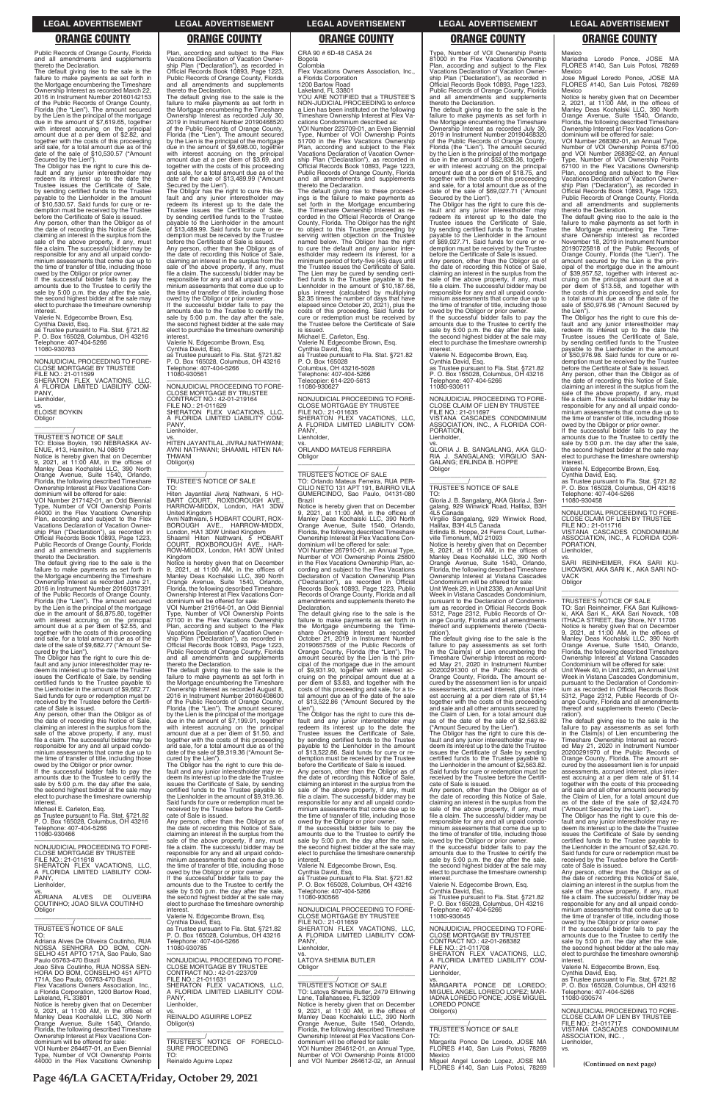**Page 46/LA GACETA/Friday, October 29, 2021**

Mexico Mariadna Loredo Ponce, JOSE MA FLORES #140, San Luis Potosi, 78269

Mexico Jose Miguel Loredo Ponce, JOSE MA FLORES #140, San Luis Potosi, 78269 Mexico

Notice is hereby given that on December 2, 2021, at 11:00 AM, in the offices of Manley Deas Kochalski LLC, 390 North Orange Avenue, Suite 1540, Orlando, Florida, the following described Timeshare Ownership Interest at Flex Vacations Con-

dominium will be offered for sale: VOI Number 268382-01, an Annual Type, Number of VOI Ownership Points 67100 and VOI Number 268382-02, an Annual Type, Number of VOI Ownership Points 67100 in the Flex Vacations Ownership Plan, according and subject to the Flex Vacations Declaration of Vacation Ownership Plan ("Declaration"), as recorded in Official Records Book 10893, Page 1223, Public Records of Orange County, Florida and all amendments and supplements

thereto the Declaration. The default giving rise to the sale is the failure to make payments as set forth in the Mortgage encumbering the Time-share Ownership Interest as recorded November 18, 2019 in Instrument Number 20190725818 of the Public Records of Orange County, Florida (the "Lien"). The amount secured by the Lien is the prin-cipal of the mortgage due in the amount of \$39,957.52, together with interest accruing on the principal amount due at a per diem of \$13.58, and together with the costs of this proceeding and sale, for a total amount due as of the date of the sale of \$50,976.98 ("Amount Secured by the Lien").

SARI REINHEIMER, FKA SARI KU-LIKOWSKI, AKA SARI K., AKA SARI NO-VACK Obligor  $\overline{\phantom{a}}$  , and the set of the set of the set of the set of the set of the set of the set of the set of the set of the set of the set of the set of the set of the set of the set of the set of the set of the set of the s

The Obligor has the right to cure this de-fault and any junior interestholder may redeem its interest up to the date the Trustee issues the Certificate of Sale, by sending certified funds to the Trustee payable to the Lienholder in the amount of \$50,976.98. Said funds for cure or redemption must be received by the Trustee before the Certificate of Sale is issued.

Any person, other than the Obligor as of the date of recording this Notice of Sale, claiming an interest in the surplus from the sale of the above property, if any, must file a claim. The successful bidder may be responsible for any and all unpaid condominium assessments that come due up to the time of transfer of title, including those owed by the Obligor or prior owner.

If the successful bidder fails to pay the amounts due to the Trustee to certify the sale by 5:00 p.m. the day after the sale, the second highest bidder at the sale may elect to purchase the timeshare ownership interest.

Valerie N. Edgecombe Brown, Esq. Cynthia David, Esq. as Trustee pursuant to Fla. Stat. §721.82 P. O. Box 165028, Columbus, OH 43216 Telephone: 407-404-5266 11080-930458

—————————————————— NONJUDICIAL PROCEEDING TO FORE-CLOSE CLAIM OF LIEN BY TRUSTEE

FILE NO.: 21-011716 VISTANA CASCADES CONDOMINIUM ASSOCIATION, INC., A FLORIDA COR-PORATION,

Lienholder,

vs.

# \_\_\_\_\_\_\_\_\_\_\_/ TRUSTEE'S NOTICE OF SALE

TO: Sari Reinheimer, FKA Sari Kulikows-ki, AKA Sari K., AKA Sari Novack, 108 ITHACA STREET, Bay Shore, NY 11706 Notice is hereby given that on December 9, 2021, at 11:00 AM, in the offices of Manley Deas Kochalski LLC, 390 North Orange Avenue, Suite 1540, Orlando, Florida, the following described Timeshare Ownership Interest at Vistana Cascades Condominium will be offered for sale: Unit Week 40, in Unit 2260, an Annual Unit Week in Vistana Cascades Condominium, pursuant to the Declaration of Condomin-ium as recorded in Official Records Book 5312, Page 2312, Public Records of Orange County, Florida and all amend thereof and supplements thereto ('Decla-

—————————————————— NONJUDICIAL PROCEEDING TO FORE-CLOSE MORTGAGE BY TRUSTEE FILE NO.: 21-011599 SHERATON FLEX VACATIONS, LLC, A FLORIDA LIMITED LIABILITY COM-PANY, Lienholder, vs. ELOISE BOYKIN **Obligor** 

> ration'). The default giving rise to the sale is the failure to pay assessments as set forth in the Claim(s) of Lien encumbering the Timeshare Ownership Interest as record-ed May 21, 2020 in Instrument Number 20200291970 of the Public Records of Orange County, Florida. The amount se-cured by the assessment lien is for unpaid assessments, accrued interest, plus interest accruing at a per diem rate of \$1.14 together with the costs of this proceeding and sale and all other amounts secured by the Claim of Lien, for a total amount due as of the date of the sale of \$2,424.70 ("Amount Secured by the Lien").

Public Records of Orange County, Florida and all amendments and supplements thereto the Declaration.

The default giving rise to the sale is the failure to make payments as set forth in the Mortgage encumbering the Timeshare Ownership Interest as recorded March 22, 2016 in Instrument Number 20160142153 of the Public Records of Orange County, Florida (the "Lien"). The amount secured by the Lien is the principal of the mortgage due in the amount of \$7,619.65, together with interest accruing on the principal amount due at a per diem of \$2.82, and together with the costs of this proceeding and sale, for a total amount due as of the date of the sale of \$10,530.57 ("Amount Secured by the Lien").

> amounts due to the Trustee to certify the sale by 5:00 p.m. the day after the sale, the second highest bidder at the sale may elect to purchase the timeshare ownership **interest**

The Obligor has the right to cure this de-fault and any junior interestholder may redeem its interest up to the date the Trustee issues the Certificate of Sale, by sending certified funds to the Trustee payable to the Lienholder in the amount of \$10,530.57. Said funds for cure or redemption must be received by the Trustee before the Certificate of Sale is issued.

Any person, other than the Obligor as of the date of recording this Notice of Sale, claiming an interest in the surplus from the sale of the above property, if any, must file a claim. The successful bidder may be responsible for any and all unpaid condominium assessments that come due up to the time of transfer of title, including those owed by the Obligor or prior owner.

> dominium will be offered for sale: VOI Number 219164-01, an Odd Biennial Type, Number of VOI Ownership Points 67100 in the Flex Vacations Ownership Plan, according and subject to the Flex Vacations Declaration of Vacation Ownership Plan ("Declaration"), as recorded in Official Records Book 10893, Page 1223, Public Records of Orange County, Florida and all amendments and supplements hereto the Declaration.

If the successful bidder fails to pay the amounts due to the Trustee to certify the sale by 5:00 p.m. the day after the sale, the second highest bidder at the sale may elect to purchase the timeshare ownership interest.

Valerie N. Edgecombe Brown, Esq. Cynthia David, Esq. as Trustee pursuant to Fla. Stat. §721.82 P. O. Box 165028, Columbus, OH 43216 Telephone: 407-404-5266 11080-930783

\_\_\_\_\_\_\_\_\_\_\_\_\_\_\_\_\_\_\_\_\_\_\_\_\_\_\_\_\_\_\_\_\_

\_\_\_\_\_\_\_\_\_\_\_/ TRUSTEE'S NOTICE OF SALE TO: Eloise Boykin, 190 NEBRASKA AV-ENUE, #13, Hamilton, NJ 08619 Notice is hereby given that on December 9, 2021, at 11:00 AM, in the offices of Manley Deas Kochalski LLC, 390 North Orange Avenue, Suite 1540, Orlando, Florida, the following described Timeshare

Ownership Interest at Flex Vacations Con-dominium will be offered for sale: VOI Number 217142-01, an Odd Biennial Type, Number of VOI Ownership Points 44000 in the Flex Vacations Ownership Plan, according and subject to the Flex Vacations Declaration of Vacation Owner-ship Plan ("Declaration"), as recorded in Official Records Book 10893, Page 1223, Public Records of Orange County, Florida and all amendments and supplements thereto the Declaration.

The default giving rise to the sale is the failure to make payments as set forth in the Mortgage encumbering the Timeshare Ownership Interest as recorded June 21, 2016 in Instrument Number 20160317391 of the Public Records of Orange County, Florida (the "Lien"). The amount secured by the Lien is the principal of the mortgage due in the amount of \$6,875.80, together with interest accruing on the principal amount due at a per diem of \$2.55, and together with the costs of this proceeding and sale, for a total amount due as of the date of the sale of \$9,682.77 ("Amount Secured by the Lien").

The Obligor has the right to cure this de-fault and any junior interestholder may re-deem its interest up to the date the Trustee issues the Certificate of Sale, by sending certified funds to the Trustee payable to the Lienholder in the amount of \$9,682.77. Said funds for cure or redemption must be received by the Trustee before the Certificate of Sale is issued.

—————————————————— NONJUDICIAL PROCEEDING TO FORE-CLOSE MORTGAGE BY TRUSTEE FILE NO.: 21-011635 SHERATON FLEX VACATIONS, LLC, A FLORIDA LIMITED LIABILITY COM-PANY, Lienholder

\_\_\_\_\_\_\_\_\_\_\_\_/<br>TRUSTEE'S NOTICE OF SALE<br>TO: Orlando Mateus Ferreira, RUA PER-CILIO NETO 131 APT 191, BAIRRO VILA GUMERCINDO, Sao Paulo, 04131-080 Brazil

Any person, other than the Obligor as of the date of recording this Notice of Sale, claiming an interest in the surplus from the sale of the above property, if any, must file a claim. The successful bidder may be responsible for any and all unpaid condominium assessments that come due up to the time of transfer of title, including those owed by the Obligor or prior owner.

failure to make payments as set forth in the Mortgage encumbering the Time-share Ownership Interest as recorded October 21, 2019 in Instrument Number 20190657569 of the Public Records of Orange County, Florida (the "Lien"). The amount secured by the Lien is the prin-cipal of the mortgage due in the amount of \$9,931.90, together with interest accruing on the principal amount due at a per diem of \$3.83, and together with the costs of this proceeding and sale, for a total amount due as of the date of the sale of \$13,522.86 ("Amount Secured by the Lien")

If the successful bidder fails to pay the amounts due to the Trustee to certify the sale by 5:00 p.m. the day after the sale, the second highest bidder at the sale may elect to purchase the timeshare ownership interest.

The Obligor has the right to cure this de-<br>fault and any junior interestholder may<br>redeem its interest up to the date the<br>Trustee issues the Certificate of Sale,<br>by sending certified funds to the Trustee<br>payable to the Lie of \$13,522.86. Said funds for cure or re-demption must be received by the Trustee before the Certificate of Sale is issued.

Plan, according and subject to the Flex Vacations Declaration of Vacation Owner-ship Plan ("Declaration"), as recorded in Official Records Book 10893, Page 1223, Public Records of Orange County, Florida and all amendments and supplements thereto the Declaration.

The default giving rise to the sale is the failure to make payments as set forth in the Mortgage encumbering the Timeshare Ownership Interest as recorded July 30, 2019 in Instrument Number 20190468520 of the Public Records of Orange County, Florida (the "Lien"). The amount secured by the Lien is the principal of the mortgage due in the amount of \$9,698.00, together with interest accruing on the principal amount due at a per diem of \$3.69, and together with the costs of this proceeding and sale, for a total amount due as of the date of the sale of \$13,489.99 ("Amount

> TO: Gloria J. B. Sangalang, AKA Gloria J. Sangalang, 929 Winwick Road, Halifax, B3H<br>4L5 Canada

Secured by the Lien"). The Obligor has the right to cure this de-fault and any junior interestholder may redeem its interest up to the date the Trustee issues the Certificate of Sale, by sending certified funds to the Trustee payable to the Lienholder in the amount of \$13,489.99. Said funds for cure or redemption must be received by the Trustee before the Certificate of Sale is issued. Any person, other than the Obligor as of the date of recording this Notice of Sale, claiming an interest in the surplus from the sale of the above property, if any, must file a claim. The successful bidder may be responsible for any and all unpaid condo-minium assessments that come due up to the time of transfer of title, including those owed by the Obligor or prior owner. If the successful bidder fails to pay the

Valerie N. Edgecombe Brown, Esq. Cynthia David, Esq.

as Trustee pursuant to Fla. Stat. §721.82 P. O. Box 165028, Columbus, OH 43216 Telephone: 407-404-5266 11080-930561

—————————————————— NONJUDICIAL PROCEEDING TO FORE-CLOSE MORTGAGE BY TRUSTEE CONTRACT NO.: 42-01-219164 FILE NO.: 21-011629 SHERATON FLEX VACATIONS, LLC, A FLORIDA LIMITED LIABILITY COM-A FLO<br>PANY, Lienholder,

vs. HITEN JAYANTILAL JIVRAJ NATHWANI; AVNI NATHWANI; SHAAMIL HITEN NA-THWANI Obligor(s) \_\_\_\_\_\_\_\_\_\_\_\_\_\_\_\_\_\_\_\_\_\_\_\_\_\_\_\_\_\_\_\_\_

\_\_\_\_\_\_\_\_\_\_\_/ TRUSTEE'S NOTICE OF SALE

TO: Hiten Jayantilal Jivraj Nathwani, 5 HO-BART COURT, ROXBOROUGH AVE., HARROW-MIDDX, London, HA1 3DW United Kingdom Avni Nathwani, 5 HOBART COURT, ROX-BOROUGH AVE., HARROW-MIDDX,<br>London,HA1 3DW United Kingdom<br>Shaamil Hiten Nathwani, 5 HOBART<br>COURT, ROXBOROUGH AVE., HAR-ROW-MIDDX, London, HA1 3DW United Kingdom

Notice is hereby given that on December 9, 2021, at 11:00 AM, in the offices of Manley Deas Kochalski LLC, 390 North Orange Avenue, Suite 1540, Orlando, Florida, the following described Timeshare Ownership Interest at Flex Vacations Con-

The default giving rise to the sale is the failure to make payments as set forth in the Mortgage encumbering the Timeshare Ownership Interest as recorded August 8, 2016 in Instrument Number 20160408600 of the Public Records of Orange County, Florida (the "Lien"). The amount secured by the Lien is the principal of the mortgage due in the amount of \$7,199.91, together with interest accruing on the principal amount due at a per diem of \$1.50, and together with the costs of this proceeding and sale, for a total amount due as of the date of the sale of \$9,319.36 ("Amount Se-cured by the Lien"). The Obligor has the right to cure this de-

fault and any junior interestholder may re-deem its interest up to the date the Trustee issues the Certificate of Sale, by sending certified funds to the Trustee payable to the Lienholder in the amount of \$9,319.36. Said funds for cure or redemption must be received by the Trustee before the Certifi-

CRA 90 # 6D-48 CASA 24 Bogota Colombia

Flex Vacations Owners Association, Inc., a Florida Corporation 1200 Bartow Road

Lakeland, FL 33801

YOU ARE NOTIFIED that a TRUSTEE'S NON-JUDICIAL PROCEEDING to enforce a Lien has been instituted on the following Timeshare Ownership Interest at Flex Va-

cations Condominium described as: VOI Number 223709-01, an Even Biennial Type, Number of VOI Ownership Points 51700 in the Flex Vacations Ownership Plan, according and subject to the Flex Vacations Declaration of Vacation Ownership Plan ("Declaration"), as recorded in Official Records Book 10893, Page 1223, Public Records of Orange County, Florida and all amendments and supplements

thereto the Declaration. The default giving rise to these proceed-ings is the failure to make payments as set forth in the Mortgage encumbering the Timeshare Ownership Interest as re-corded in the Official Records of Orange County, Florida. The Obligor has the right to object to this Trustee proceeding by serving written objection on the Trustee named below. The Obligor has the right to cure the default and any junior inter-estholder may redeem its interest, for a minimum period of forty-five (45) days until the Trustee issues the Certificate of Sale. The Lien may be cured by sending certified funds to the Trustee payable to the Lienholder in the amount of \$10,187.66, plus interest (calculated by multiplying \$2.35 times the number of days that have elapsed since October 20, 2021), plus the costs of this proceeding. Said funds for cure or redemption must be received by the Trustee before the Certificate of Sale is issued.

Michael E. Carleton, Esq. Valerie N. Edgecombe Brown, Esq. Cynthia David, Esq. as Trustee pursuant to Fla. Stat. §721.82 P. O. Box 165028 Columbus, OH 43216-5028 Telephone: 407-404-5266 Telecopier: 614-220-5613 11080-930627

vs. ORLANDO MATEUS FERREIRA Obligor

\_\_\_\_\_\_\_\_\_\_\_\_\_\_\_\_\_\_\_\_\_\_\_\_\_\_\_\_\_\_\_\_\_

Notice is hereby given that on December 9, 2021, at 11:00 AM, in the offices of Manley Deas Kochalski LLC, 390 North Orange Avenue, Suite 1540, Orlando, Florida, the following described Timeshare Ownership Interest at Flex Vacations Con-

dominium will be offered for sale: VOI Number 267910-01, an Annual Type, Number of VOI Ownership Points 25800 in the Flex Vacations Ownership Plan, ac-cording and subject to the Flex Vacations Declaration of Vacation Ownership Plan ("Declaration"), as recorded in Official Records Book 10893, Page 1223, Public Records of Orange County, Florida and all amendments and supplements thereto the Declaration. The default giving rise to the sale is the

Any person, other than the Obligor as of the date of recording this Notice of Sale, claiming an interest in the surplus from the sale of the above property, if any, must file a claim. The successful bidder may be responsible for any and all unpaid condo-

Type, Number of VOI Ownership Points 81000 in the Flex Vacations Ownership Plan, according and subject to the Flex Vacations Declaration of Vacation Owner-ship Plan ("Declaration"), as recorded in Official Records Book 10893, Page 1223, Public Records of Orange County, Florida and all amendments and supplements thereto the Declaration.

The default giving rise to the sale is the failure to make payments as set forth in the Mortgage encumbering the Timeshare Ownership Interest as recorded July 30, 2019 in Instrument Number 20190468320 of the Public Records of Orange County, Florida (the "Lien"). The amount secured by the Lien is the principal of the mortgage due in the amount of \$52,838.36, together with interest accruing on the principal amount due at a per diem of \$18.75, and together with the costs of this proceeding and sale, for a total amount due as of the date of the sale of \$69,027.71 ("Amount Secured by the Lien").

The Obligor has the right to cure this de-fault and any junior interestholder may redeem its interest up to the date the Trustee issues the Certificate of Sale, by sending certified funds to the Trustee payable to the Lienholder in the amount of \$69,027.71. Said funds for cure or redemption must be received by the Trustee before the Certificate of Sale is issued.

Any person, other than the Obligor as of the date of recording this Notice of Sale, claiming an interest in the surplus from the sale of the above property, if any, must file a claim. The successful bidder may be responsible for any and all unpaid condominium assessments that come due up to the time of transfer of title, including those owed by the Obligor or prior owner.

If the successful bidder fails to pay the amounts due to the Trustee to certify the sale by 5:00 p.m. the day after the sale, the second highest bidder at the sale may elect to purchase the timeshare ownership interest.

Valerie N. Edgecombe Brown, Esq. Cynthia David, Esq. as Trustee pursuant to Fla. Stat. §721.82 P. O. Box 165028, Columbus, OH 43216 Telephone: 407-404-5266 11080-930611

—————————————————— NONJUDICIAL PROCEEDING TO FORE-CLOSE CLAIM OF LIEN BY TRUSTEE FILE NO.: 21-011697 VISTANA CASCADES CONDOMINIUM ASSOCIATION, INC., A FLORIDA COR-PORATION, Lienholder,

vs. GLORIA J. B. SANGALANG, AKA GLO-RIA J. SANGALANG; VIRGILIO SAN-GALANG; ERLINDA B. HOPPE Obligor

 $\overline{\phantom{a}}$  , and the set of the set of the set of the set of the set of the set of the set of the set of the set of the set of the set of the set of the set of the set of the set of the set of the set of the set of the s

# \_\_\_\_\_\_\_\_\_\_\_/ TRUSTEE'S NOTICE OF SALE

Virgilio Sangalang, 929 Winwick Road, Halifax, B3H 4L5 Canada Erlinda B. Hoppe, 24 Ferns Court, Luther-ville Timonium, MD 21093

Notice is hereby given that on December 9, 2021, at 11:00 AM, in the offices of Manley Deas Kochalski LLC, 390 North Orange Avenue, Suite 1540, Orlando, Florida, the following described Timeshare Ownership Interest at Vistana Cascades Condominium will be offered for sale:

Unit Week 29, in Unit 2338, an Annual Unit Week in Vistana Cascades Condominium, pursuant to the Declaration of Condomin-ium as recorded in Official Records Book 5312, Page 2312, Public Records of Orange County, Florida and all amendments thereof and supplements thereto ('Declaration').

The default giving rise to the sale is the failure to pay assessments as set forth in the Claim(s) of Lien encumbering the Timeshare Ownership Interest as record-ed May 21, 2020 in Instrument Number 20200291300 of the Public Records of Orange County, Florida. The amount se-cured by the assessment lien is for unpaid assessments, accrued interest, plus interest accruing at a per diem rate of \$1.14 together with the costs of this proceeding and sale and all other amounts secured by the Claim of Lien, for a total amount due as of the date of the sale of \$2,563.82 ("Amount Secured by the Lien").

The Obligor has the right to cure this de-fault and any junior interestholder may re-deem its interest up to the date the Trustee issues the Certificate of Sale by sending certified funds to the Trustee payable to the Lienholder in the amount of \$2,563.82. Said funds for cure or redemption must be received by the Trustee before the Certifi-cate of Sale is issued.

Any person, other than the Obligor as of the date of recording this Notice of Sale, claiming an interest in the surplus from the sale of the above property, if any, must

### **LEGAL ADVERTISEMENT LEGAL ADVERTISEMENT LEGAL ADVERTISEMENT LEGAL ADVERTISEMENT LEGAL ADVERTISEMENT**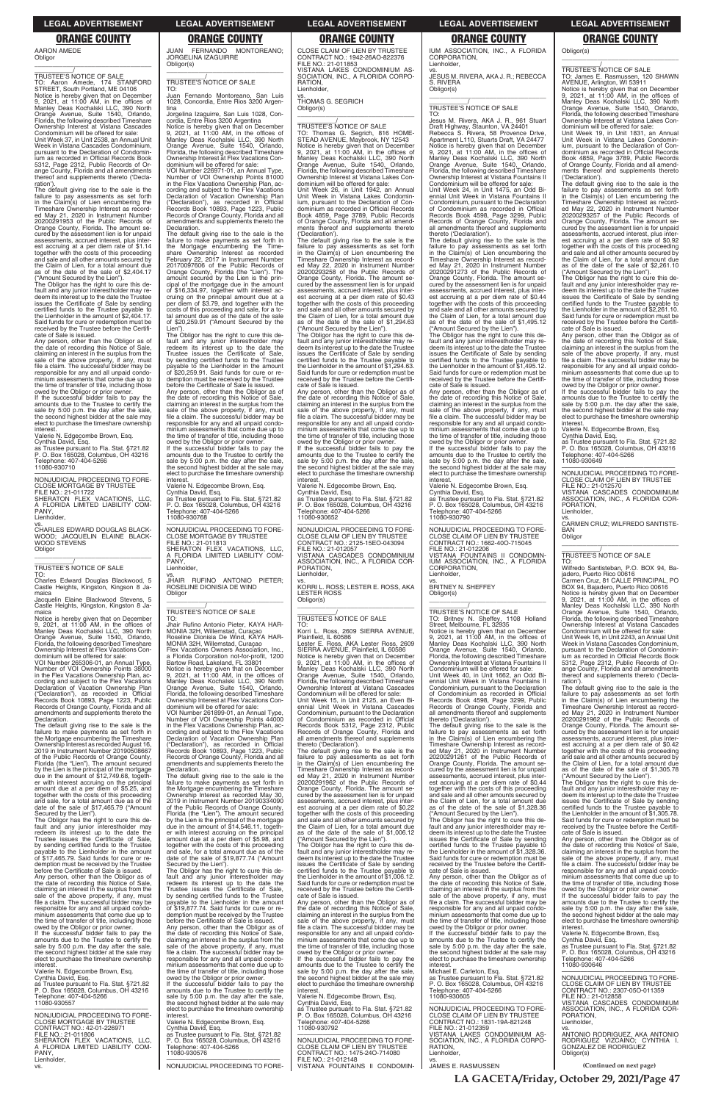# AARON AMEDE

**Obligor**  $\overline{\phantom{a}}$  , and the set of the set of the set of the set of the set of the set of the set of the set of the set of the set of the set of the set of the set of the set of the set of the set of the set of the set of the s

\_\_\_\_\_\_\_\_\_\_\_/ TRUSTEE'S NOTICE OF SALE TO: Aaron Amede, 174 STANFORD STREET, South Portland, ME 04106 Notice is hereby given that on December 9, 2021, at 11:00 AM, in the offices of Manley Deas Kochalski LLC, 390 North Orange Avenue, Suite 1540, Orlando, Florida, the following described Timeshare Ownership Interest at Vistana Cascades Condominium will be offered for sale: Unit Week 37, in Unit 2538, an Annual Unit Week in Vistana Cascades Condominium, pursuant to the Declaration of Condominium as recorded in Official Records Book 5312, Page 2312, Public Records of Orange County, Florida and all amendments reof and supplements thereto ('Declaration')

The default giving rise to the sale is the failure to pay assessments as set forth in the Claim(s) of Lien encumbering the Timeshare Ownership Interest as recorded May 21, 2020 in Instrument Number<br>20200291953 of the Public Records of<br>Orange County, Florida. The amount se-<br>cured by the assessment lien is for unpaid<br>assessments, accrued interest, plus interest accruing at a per diem rate of \$1.14 together with the costs of this proceeding and sale and all other amounts secured by the Claim of Lien, for a total amount due as of the date of the sale of \$2,404.17 ("Amount Secured by the Lien").

The Obligor has the right to cure this de-fault and any junior interestholder may re-deem its interest up to the date the Trustee issues the Certificate of Sale by sending certified funds to the Trustee payable to the Lienholder in the amount of \$2,404.17. Said funds for cure or redemption must be received by the Trustee before the Certificate of Sale is issued.

Any person, other than the Obligor as of the date of recording this Notice of Sale, claiming an interest in the surplus from the sale of the above property, if any, must file a claim. The successful bidder may be responsible for any and all unpaid condominium assessments that come due up to the time of transfer of title, including those owed by the Obligor or prior owner.

If the successful bidder fails to pay the amounts due to the Trustee to certify the sale by 5:00 p.m. the day after the sale, the second highest bidder at the sale may elect to purchase the timeshare ownership interest.

Valerie N. Edgecombe Brown, Esq. Cynthia David, Esq. as Trustee pursuant to Fla. Stat. §721.82 P. O. Box 165028, Columbus, OH 43216 phone: 407-404-5266 11080-930710

—————————————————— NONJUDICIAL PROCEEDING TO FORE-CLOSE MORTGAGE BY TRUSTEE FILE NO.: 21-011722 SHERATON FLEX VACATIONS, LLC, A FLORIDA LIMITED LIABILITY COM-PANY, Lienholder,

vs. CHARLES EDWARD DOUGLAS BLACK-WOOD; JACQUELIN ELAINE BLACK-WOOD STEVENS

Obligor

# \_\_\_\_\_\_\_\_\_\_\_/ TRUSTEE'S NOTICE OF SALE

TO: Charles Edward Douglas Blackwood, 5 Castle Heights, Kingston, Kingson 8 Jamaica

 $\overline{\phantom{a}}$  , and the set of the set of the set of the set of the set of the set of the set of the set of the set of the set of the set of the set of the set of the set of the set of the set of the set of the set of the s

Jacquelin Elaine Blackwood Stevens, 5 Castle Heights, Kingston, Kingston 8 Ja-

maica Notice is hereby given that on December 9, 2021, at 11:00 AM, in the offices of Manley Deas Kochalski LLC, 390 North Orange Avenue, Suite 1540, Orlando, Florida, the following described Timeshare Ownership Interest at Flex Vacations Con-dominium will be offered for sale:

VOI Number 265306-01, an Annual Type, Number of VOI Ownership Points 38000 in the Flex Vacations Ownership Plan, according and subject to the Flex Vacations Declaration of Vacation Ownership Plan ("Declaration"), as recorded in Official Records Book 10893, Page 1223, Public Records of Orange County, Florida and all amendments and supplements thereto the Declaration.

The default giving rise to the sale is the failure to make payments as set forth in the Mortgage encumbering the Timeshare Ownership Interest as recorded August 16, 2019 in Instrument Number 20190508667 of the Public Records of Orange County, Florida (the "Lien"). The amount secured by the Lien is the principal of the mortgage due in the amount of \$12,749.68, together with interest accruing on the principal amount due at a per diem of \$5.25, and together with the costs of this proceeding and sale, for a total amount due as of the date of the sale of \$17,465.79 ("Amount

JUAN FERNANDO MONTOREANO; JORGELINA IZAGUIRRE Obligor(s) \_\_\_\_\_\_\_\_\_\_\_\_\_\_\_\_\_\_\_\_\_\_\_\_\_\_\_\_\_\_\_\_\_

# \_\_\_\_\_\_\_\_\_\_\_/ TRUSTEE'S NOTICE OF SALE

TO: Fernando Montoreano, San Luis 1028, Concordia, Entre Rios 3200 Argentina

Jorgelina Izaguirre, San Luis 1028, Concordia, Entre Rios 3200 Argentina Notice is hereby given that on December 9, 2021, at 11:00 AM, in the offices of Manley Deas Kochalski LLC, 390 North Orange Avenue, Suite 1540, Orlando, Florida, the following described Timeshare Ownership Interest at Flex Vacations Con-dominium will be offered for sale:

VOI Number 226971-01, an Annual Type, Number of VOI Ownership Points 81000 in the Flex Vacations Ownership Plan, according and subject to the Flex Vacations Declaration of Vacation Ownership Plan ("Declaration"), as recorded in Official Records Book 10893, Page 1223, Public Records of Orange County, Florida and all amendments and supplements thereto the Declaration.

> amounts due to the Trustee to certify the sale by 5:00 p.m. the day after the sale, the second highest bidder at the sale may elect to purchase the timeshare ownership interes

The default giving rise to the sale is the failure to make payments as set forth in the Mortgage encumbering the Time-share Ownership Interest as recorded February 22, 2017 in Instrument Number 20170097606 of the Public Records of<br>Orange County, Florida (the "Lien") The Orange County, Florida (the "Lien"). The amount secured by the Lien is the principal of the mortgage due in the amount of \$16,334.97, together with interest ac-cruing on the principal amount due at a per diem of \$3.79, and together with the costs of this proceeding and sale, for a to-tal amount due as of the date of the sale of \$20,259.91 ("Amount Secured by the

Lien"). The Obligor has the right to cure this default and any junior interestholder may redeem its interest up to the date the Trustee issues the Certificate of Sale, by sending certified funds to the Trustee payable to the Lienholder in the amount of \$20,259.91. Said funds for cure or redemption must be received by the Trustee before the Certificate of Sale is issued. Any person, other than the Obligor as of the date of recording this Notice of Sale,<br>claiming an interest in the surplus from the<br>sale of the above property, if any, must<br>file a claim. The successful bidder may be responsible for any and all unpaid condo-minium assessments that come due up to the time of transfer of title, including those owed by the Obligor or prior owner. If the successful bidder fails to pay the amounts due to the Trustee to certify the sale by 5:00 p.m. the day after the sale, the second highest bidder at the sale may

elect to purchase the timeshare ownership interest. Valerie N. Edgecombe Brown, Esq.

Cynthia David, Esq. as Trustee pursuant to Fla. Stat. §721.82 P. O. Box 165028, Columbus, OH 43216 Telephone: 407-404-5266

11080-930768

—————————————————— NONJUDICIAL PROCEEDING TO FORE-CLOSE MORTGAGE BY TRUSTEE FILE NO.: 21-011813 SHERATON FLEX VACATIONS, LLC FLORIDA LIMITED LIABILITY COM-PANY Lienholder,

vs. JHAIR RUFINO ANTONIO PIETER; ROSELINE DIONISIA DE WIND Obligor \_\_\_\_\_\_\_\_\_\_\_\_\_\_\_\_\_\_\_\_\_\_\_\_\_\_\_\_\_\_\_\_\_

### \_\_\_\_\_\_\_\_\_\_\_/ TRUSTEE'S NOTICE OF SALE TO:

Jhair Rufino Antonio Pieter, KAYA HAR-MONIA 32H, Willemstad, Curaçao Roseline Dionisia De Wind, KAYA HAR-MONIA 32H, Willemstad, Curaçao

Flex Vacations Owners Association, Inc., a Florida Corporation not-for-profit, 1200 Bartow Road, Lakeland, FL 33801 Notice is hereby given that on December 9, 2021, at 11:00 AM, in the offices of Manley Deas Kochalski LLC, 390 North Orange Avenue, Suite 1540, Orlando, Florida, the following described Timeshare

Ownership Interest at Flex Vacations Condominium will be offered for sale VOI Number 261899-01, an Annual Type, Number of VOI Ownership Points 44000 in the Flex Vacations Ownership Plan, ac-cording and subject to the Flex Vacations Declaration of Vacation Ownership Plan<br>("Declaration") as recorded in Official ("Declaration"), as recorded in Official Records Book 10893, Page 1223, Public Records of Orange County, Florida and all amendments and supplements thereto the Declaration.

the date of recording this Notice of Sale,<br>claiming an interest in the surplus from the<br>sale of the above property, if any, must<br>file a claim. The successful bidder may be responsible for any and all unpaid condo-minium assessments that come due up to the time of transfer of title, including those

The default giving rise to the sale is the failure to make payments as set forth in the Mortgage encumbering the Timeshare Ownership Interest as recorded May 30, 2019 in Instrument Number 20190334090 of the Public Records of Orange County,

—————————————————— NONJUDICIAL PROCEEDING TO FORE-CLOSE CLAIM OF LIEN BY TRUSTEE CONTRACT NO.: 1662-40O-715045 FILE NO.: 21-012206 VISTANA FOUNTAINS II CONDOMIN-IUM ASSOCIATION, INC., A FLORIDA CORPORATION, Lienholder.

CLOSE CLAIM OF LIEN BY TRUSTEE CONTRACT NO.: 1942-26AO-822376 FILE NO.: 21-011853 VISTANA LAKES CONDOMINIUM AS-SOCIATION, INC., A FLORIDA CORPO-**RATION** Lienholder,

TO: James E. Rasmussen, 120 SHAWN<br>AVENUE, Arlington, WI 53911<br>Notice is hereby given that on December<br>9, 2021, at 11:00 AM, in the offices of<br>Manley Deas Kochalski LLC, 390 North<br>Orange Avenue, Suite 1540, Orlando, Florida, the following described Timeshare Ownership Interest at Vistana Lakes Con-dominium will be offered for sale:

vs. THOMAS G. SEGRICH Obligor(s) \_\_\_\_\_\_\_\_\_\_\_\_\_\_\_\_\_\_\_\_\_\_\_\_\_\_\_\_\_\_\_\_\_

\_\_\_\_\_\_\_\_\_\_\_/ TRUSTEE'S NOTICE OF SALE TO: Thomas G. Segrich, 816 HOME-STEAD AVENUE, Maybrook, NY 12543 Notice is hereby given that on December 9, 2021, at 11:00 AM, in the offices of Manley Deas Kochalski LLC, 390 North Orange Avenue, Suite 1540, Orlando, Florida, the following described Timeshare Ownership Interest at Vistana Lakes Condominium will be offered for sale:

Unit Week 26, in Unit 1942, an Annual Unit Week in Vistana Lakes Condomin-ium, pursuant to the Declaration of Condominium as recorded in Official Records Book 4859, Page 3789, Public Records of Orange County, Florida and all amendments thereof and supplements thereto ('Declaration'). The default giving rise to the sale is the

failure to pay assessments as set forth in the Claim(s) of Lien encumbering the Timeshare Ownership Interest as recorded May 22, 2020 in Instrument Number 20200293258 of the Public Records of Orange County, Florida. The amount secured by the assessment lien is for unpaid assessments, accrued interest, plus interest accruing at a per diem rate of \$0.43 together with the costs of this proceeding and sale and all other amounts secured by the Claim of Lien, for a total amount due as of the date of the sale of \$1,294.63 ("Amount Secured by the Lien"). The Obligor has the right to cure this de-

fault and any junior interestholder may redeem its interest up to the date the Trustee issues the Certificate of Sale by sending certified funds to the Trustee payable to the Lienholder in the amount of \$1,294.63. Said funds for cure or redemption must be received by the Trustee before the Certifi-cate of Sale is issued. Any person, other than the Obligor as of

the date of recording this Notice of Sale, claiming an interest in the surplus from the sale of the above property, if any, must file a claim. The successful bidder may be responsible for any and all unpaid condo-minium assessments that come due up to the time of transfer of title, including those owed by the Obligor or prior owner. If the successful bidder fails to pay the

Valerie N. Edgecombe Brown, Esq.

Cynthia David, Esq. as Trustee pursuant to Fla. Stat. §721.82 P. O. Box 165028, Columbus, OH 43216 Telephone: 407-404-5266 11080-930652

| date of the sale of $\frac{1}{2}$ is 17,465.79 ("Amount<br>Secured by the Lien").<br>The Obligor has the right to cure this de-<br>fault and any junior interestholder may<br>redeem its interest up to the date the<br>Trustee issues the Certificate of Sale.<br>by sending certified funds to the Trustee<br>payable to the Lienholder in the amount<br>of \$17.465.79. Said funds for cure or re-<br>demption must be received by the Trustee<br>before the Certificate of Sale is issued.<br>Any person, other than the Obligor as of<br>the date of recording this Notice of Sale,<br>claiming an interest in the surplus from the<br>sale of the above property, if any, must<br>file a claim. The successful bidder may be<br>responsible for any and all unpaid condo-<br>minium assessments that come due up to<br>the time of transfer of title, including those<br>owed by the Obligor or prior owner.<br>If the successful bidder fails to pay the<br>amounts due to the Trustee to certify the<br>sale by 5:00 p.m. the day after the sale,<br>the second highest bidder at the sale may<br>elect to purchase the timeshare ownership | or the Public Records of Orange County.<br>Florida (the "Lien"). The amount secured<br>by the Lien is the principal of the mortgage<br>due in the amount of \$14,546.11, togeth-<br>er with interest accruing on the principal<br>amount due at a per diem of \$5.98, and<br>together with the costs of this proceeding<br>and sale, for a total amount due as of the<br>date of the sale of \$19,877.74 ("Amount"<br>Secured by the Lien").<br>The Obligor has the right to cure this de-<br>fault and any junior interestholder may<br>redeem its interest up to the date the<br>Trustee issues the Certificate of Sale,<br>by sending certified funds to the Trustee<br>payable to the Lienholder in the amount<br>of \$19,877.74. Said funds for cure or re-<br>demption must be received by the Trustee<br>before the Certificate of Sale is issued.<br>Any person, other than the Obligor as of<br>the date of recording this Notice of Sale.<br>claiming an interest in the surplus from the<br>sale of the above property, if any, must<br>file a claim. The successful bidder may be<br>responsible for any and all unpaid condo- | est accruing at a per diem rate or \$0.22<br>together with the costs of this proceeding<br>and sale and all other amounts secured by<br>the Claim of Lien, for a total amount due<br>as of the date of the sale of \$1,006.12<br>("Amount Secured by the Lien").<br>The Obligor has the right to cure this de-<br>fault and any junior interestholder may re-<br>deem its interest up to the date the Trustee<br>issues the Certificate of Sale by sending<br>certified funds to the Trustee payable to<br>the Lienholder in the amount of \$1,006.12.<br>Said funds for cure or redemption must be<br>received by the Trustee before the Certifi-<br>cate of Sale is issued.<br>Any person, other than the Obligor as of<br>the date of recording this Notice of Sale,<br>claiming an interest in the surplus from the<br>sale of the above property, if any, must<br>file a claim. The successful bidder may be<br>responsible for any and all unpaid condo-<br>minium assessments that come due up to<br>the time of transfer of title, including those<br>owed by the Obligor or prior owner.<br>If the successful bidder fails to pay the | as or the date of the sale of $\sqrt{328.36}$<br>("Amount Secured by the Lien").<br>The Obligor has the right to cure this de-<br>fault and any junior interestholder may re-<br>deem its interest up to the date the Trustee<br>issues the Certificate of Sale by sending<br>certified funds to the Trustee payable to<br>the Lienholder in the amount of \$1,328.36.<br>Said funds for cure or redemption must be<br>received by the Trustee before the Certifi-<br>cate of Sale is issued.<br>Any person, other than the Obligor as of<br>the date of recording this Notice of Sale,<br>claiming an interest in the surplus from the<br>sale of the above property, if any, must<br>file a claim. The successful bidder may be<br>responsible for any and all unpaid condo-<br>minium assessments that come due up to<br>the time of transfer of title, including those<br>owed by the Obligor or prior owner.<br>If the successful bidder fails to pay the<br>amounts due to the Trustee to certify the<br>sale by 5:00 p.m. the day after the sale,<br>the second highest bidder at the sale may<br>elect to purchase the timeshare ownership | certified funds to the Trustee payable to<br>the Lienholder in the amount of \$1,305.78.<br>Said funds for cure or redemption must be<br>received by the Trustee before the Certifi-<br>cate of Sale is issued.<br>Any person, other than the Obligor as of<br>the date of recording this Notice of Sale,<br>claiming an interest in the surplus from the<br>sale of the above property, if any, must<br>file a claim. The successful bidder may be<br>responsible for any and all unpaid condo-<br>minium assessments that come due up to<br>the time of transfer of title, including those<br>owed by the Obligor or prior owner.<br>If the successful bidder fails to pay the<br>amounts due to the Trustee to certify the<br>sale by 5:00 p.m. the day after the sale,<br>the second highest bidder at the sale may<br>elect to purchase the timeshare ownership<br>interest.<br>Valerie N. Edgecombe Brown, Esg.<br>Cynthia David, Esq.<br>as Trustee pursuant to Fla. Stat. §721.82<br>P. O. Box 165028, Columbus, OH 43216<br>Telephone: 407-404-5266 |
|-----------------------------------------------------------------------------------------------------------------------------------------------------------------------------------------------------------------------------------------------------------------------------------------------------------------------------------------------------------------------------------------------------------------------------------------------------------------------------------------------------------------------------------------------------------------------------------------------------------------------------------------------------------------------------------------------------------------------------------------------------------------------------------------------------------------------------------------------------------------------------------------------------------------------------------------------------------------------------------------------------------------------------------------------------------------------------------------------------------------------------------------------------|--------------------------------------------------------------------------------------------------------------------------------------------------------------------------------------------------------------------------------------------------------------------------------------------------------------------------------------------------------------------------------------------------------------------------------------------------------------------------------------------------------------------------------------------------------------------------------------------------------------------------------------------------------------------------------------------------------------------------------------------------------------------------------------------------------------------------------------------------------------------------------------------------------------------------------------------------------------------------------------------------------------------------------------------------------------------------------------------------------------------------------------------|------------------------------------------------------------------------------------------------------------------------------------------------------------------------------------------------------------------------------------------------------------------------------------------------------------------------------------------------------------------------------------------------------------------------------------------------------------------------------------------------------------------------------------------------------------------------------------------------------------------------------------------------------------------------------------------------------------------------------------------------------------------------------------------------------------------------------------------------------------------------------------------------------------------------------------------------------------------------------------------------------------------------------------------------------------------------------------------------------------------------------------------------|----------------------------------------------------------------------------------------------------------------------------------------------------------------------------------------------------------------------------------------------------------------------------------------------------------------------------------------------------------------------------------------------------------------------------------------------------------------------------------------------------------------------------------------------------------------------------------------------------------------------------------------------------------------------------------------------------------------------------------------------------------------------------------------------------------------------------------------------------------------------------------------------------------------------------------------------------------------------------------------------------------------------------------------------------------------------------------------------------------------------------------------------------|--------------------------------------------------------------------------------------------------------------------------------------------------------------------------------------------------------------------------------------------------------------------------------------------------------------------------------------------------------------------------------------------------------------------------------------------------------------------------------------------------------------------------------------------------------------------------------------------------------------------------------------------------------------------------------------------------------------------------------------------------------------------------------------------------------------------------------------------------------------------------------------------------------------------------------------------------------------------------------------------------------------------------------------------------------------|
| interest.<br>Valerie N. Edgecombe Brown, Esg.<br>Cynthia David, Esg.<br>as Trustee pursuant to Fla. Stat. §721.82<br>P. O. Box 165028, Columbus, OH 43216<br>Telephone: 407-404-5266<br>11080-930557<br>NONJUDICIAL PROCEEDING TO FORE-<br><b>CLOSE MORTGAGE BY TRUSTEE</b><br>CONTRACT NO.: 42-01-226971<br>FILE NO.: 21-011806<br>SHERATON FLEX VACATIONS, LLC,<br>A FLORIDA LIMITED LIABILITY COM-<br>PANY.<br>Lienholder,                                                                                                                                                                                                                                                                                                                                                                                                                                                                                                                                                                                                                                                                                                                       | minium assessments that come due up to<br>the time of transfer of title, including those<br>owed by the Obligor or prior owner.<br>If the successful bidder fails to pay the<br>amounts due to the Trustee to certify the<br>sale by 5:00 p.m. the day after the sale,<br>the second highest bidder at the sale may<br>elect to purchase the timeshare ownership<br>interest.<br>Valerie N. Edgecombe Brown, Esq.<br>Cynthia David, Esq.<br>as Trustee pursuant to Fla. Stat. §721.82<br>P. O. Box 165028, Columbus, OH 43216<br>Telephone: 407-404-5266<br>11080-930576                                                                                                                                                                                                                                                                                                                                                                                                                                                                                                                                                                   | amounts due to the Trustee to certify the<br>sale by 5:00 p.m. the day after the sale,<br>the second highest bidder at the sale may<br>elect to purchase the timeshare ownership<br>interest.<br>Valerie N. Edgecombe Brown, Esg.<br>Cynthia David, Esq.<br>as Trustee pursuant to Fla. Stat. §721.82<br>P. O. Box 165028, Columbus, OH 43216<br>Telephone: 407-404-5266<br>11080-930792<br>NONJUDICIAL PROCEEDING TO FORE-<br>CLOSE CLAIM OF LIEN BY TRUSTEE<br>CONTRACT NO.: 1475-240-714080<br>FILE NO.: 21-012148                                                                                                                                                                                                                                                                                                                                                                                                                                                                                                                                                                                                                          | interest.<br>Michael E. Carleton, Esg.<br>as Trustee pursuant to Fla. Stat. §721.82<br>P. O. Box 165028, Columbus, OH 43216<br>Telephone: 407-404-5266<br>11080-930605<br>NONJUDICIAL PROCEEDING TO FORE-<br>CLOSE CLAIM OF LIEN BY TRUSTEE<br>CONTRACT NO.: 1831-19A-821248<br>FILE NO.: 21-012359<br>VISTANA LAKES CONDOMINIUM AS-<br>SOCIATION, INC., A FLORIDA CORPO-<br>RATION.<br>Lienholder,<br>VS.                                                                                                                                                                                                                                                                                                                                                                                                                                                                                                                                                                                                                                                                                                                                         | 11080-930646<br>NONJUDICIAL PROCEEDING TO FORE-<br>CLOSE CLAIM OF LIEN BY TRUSTEE<br>CONTRACT NO.: 2307-050-011359<br>FILE NO.: 21-012858<br>VISTANA CASCADES CONDOMINIUM<br>ASSOCIATION, INC., A FLORIDA COR-<br>PORATION.<br>Lienholder.<br>VS.<br>ANTONIO RODRIGUEZ, AKA ANTONIO<br>RODRIGUEZ VIZCAINO; CYNTHIA I.<br><b>GONZALEZ DE RODRIGUEZ</b><br>Obligor(s)                                                                                                                                                                                                                                                                                                                                                                                                                                                                                                                                                                                                                                                                                          |
| VS.                                                                                                                                                                                                                                                                                                                                                                                                                                                                                                                                                                                                                                                                                                                                                                                                                                                                                                                                                                                                                                                                                                                                                 | NONJUDICIAL PROCEEDING TO FORE-                                                                                                                                                                                                                                                                                                                                                                                                                                                                                                                                                                                                                                                                                                                                                                                                                                                                                                                                                                                                                                                                                                            | VISTANA FOUNTAINS II CONDOMIN-                                                                                                                                                                                                                                                                                                                                                                                                                                                                                                                                                                                                                                                                                                                                                                                                                                                                                                                                                                                                                                                                                                                 | <b>JAMES E. RASMUSSEN</b>                                                                                                                                                                                                                                                                                                                                                                                                                                                                                                                                                                                                                                                                                                                                                                                                                                                                                                                                                                                                                                                                                                                          | (Continued on next page)                                                                                                                                                                                                                                                                                                                                                                                                                                                                                                                                                                                                                                                                                                                                                                                                                                                                                                                                                                                                                                     |

—————————————————— NONJUDICIAL PROCEEDING TO FORE-CLOSE CLAIM OF LIEN BY TRUSTEE CONTRACT NO.: 2125-15EO-043094 FILE NO.: 21-012057 VISTANA CASCADES CONDOMINIUM ASSOCIATION, INC., A FLORIDA COR-PORATION, **Lienholder** vs. KORRI L. ROSS; LESTER E. ROSS, AKA LESTER ROSS

Obligor(s)

TO:<br>Korri L. Ross, 2609 SIERRA AVENUE, Korri L. Ross, 2609 SIERRA AVENUE,<br>Plainfield, IL 60586<br>Lester E. Ross, AKA Lester Ross, 2609<br>SIERRA AVENUE, Plainfield, IL 60586<br>Notice is hereby given that on December<br>9, 2021, at 11:00 AM, in the offices of<br>Manley Deas

\_\_\_\_\_\_\_\_\_\_\_\_\_\_\_\_\_\_\_\_\_\_\_\_\_\_\_\_\_\_\_\_\_

# \_\_\_\_\_\_\_\_\_\_\_/ TRUSTEE'S NOTICE OF SALE

Florida, the following described Timeshare Ownership Interest at Vistana Cascades Condominium will be offered for sale: Unit Week 15, in Unit 2125, an Even Biennial Unit Week in Vistana Cascades

Condominium, pursuant to the Declaration of Condominium as recorded in Official Records Book 5312, Page 2312, Public Records of Orange County, Florida and all amendments thereof and supplements thereto ('Declaration'). The default giving rise to the sale is the

failure to pay assessments as set forth in the Claim(s) of Lien encumbering the Timeshare Ownership Interest as recorded May 21, 2020 in Instrument Number 20200291962 of the Public Records of Orange County, Florida. The amount secured by the assessment lien is for unpaid assessments, accrued interest, plus inter-est accruing at a per diem rate of \$0.22

IUM ASSOCIATION, INC., A FLORIDA CORPORATION, Lienholder,

vs. JESUS M. RIVERA, AKA J. R.; REBECCA S. RIVERA Obligor(s) \_\_\_\_\_\_\_\_\_\_\_\_\_\_\_\_\_\_\_\_\_\_\_\_\_\_\_\_\_\_\_\_\_

# \_\_\_\_\_\_\_\_\_\_\_/ TRUSTEE'S NOTICE OF SALE

TO:

Jesus M. Rivera, AKA J. R., 961 Stuart Draft Highway, Staunton, VA 24401 Rebecca S. Rivera, 58 Provence Drive, Apartment L110, Stuarts Draft, VA 24477 Notice is hereby given that on December 9, 2021, at 11:00 AM, in the offices of Manley Deas Kochalski LLC, 390 North Orange Avenue, Suite 1540, Orlando, Florida, the following described Timeshare Ownership Interest at Vistana Fountains II Condominium will be offered for sale:

Unit Week 24, in Unit 1475, an Odd Biennial Unit Week in Vistana Fountains II Condominium, pursuant to the Declaration of Condominium as recorded in Official Records Book 4598, Page 3299, Public Records of Orange County, Florida and all amendments thereof and supplements thereto ('Declaration'). The default giving rise to the sale is the

failure to pay assessments as set forth in the Claim(s) of Lien encumbering the Timeshare Ownership Interest as recorded May 21, 2020 in Instrument Number 20200291273 of the Public Records of Orange County, Florida. The amount secured by the assessment lien is for unpaid assessments, accrued interest, plus inter-est accruing at a per diem rate of \$0.44 together with the costs of this proceeding and sale and all other amounts secured by the Claim of Lien, for a total amount due as of the date of the sale of \$1,495.12

("Amount Secured by the Lien"). The Obligor has the right to cure this default and any junior interestholder may re-deem its interest up to the date the Trustee issues the Certificate of Sale by sending certified funds to the Trustee payable to the Lienholder in the amount of \$1,495.12. Said funds for cure or redemption must be received by the Trustee before the Certifi-cate of Sale is issued. Any person, other than the Obligor as of

owed by the Obligor or prior owner. If the successful bidder fails to pay the amounts due to the Trustee to certify the sale by 5:00 p.m. the day after the sale, the second highest bidder at the sale may elect to purchase the timeshare ownership

interest. Valerie N. Edgecombe Brown, Esq.

Cynthia David, Esq. as Trustee pursuant to Fla. Stat. §721.82 P. O. Box 165028, Columbus, OH 43216 Telephone: 407-404-5266 11080-930790

vs. BRITNEY N. SHEFFEY Obligor(s)

\_\_\_\_\_\_\_\_\_\_\_\_\_\_\_\_\_\_\_\_\_\_\_\_\_\_\_\_\_\_\_\_\_ \_\_\_\_\_\_\_\_\_\_\_/ TRUSTEE'S NOTICE OF SALE TO: Britney N. Sheffey, 1108 Holland Street, Melbourne, FL 32935

Notice is hereby given that on December 9, 2021, at 11:00 AM, in the offices of Manley Deas Kochalski LLC, 390 North Orange Avenue, Suite 1540, Orlando, Florida, the following described Timeshare Ownership Interest at Vistana Fountains II Condominium will be offered for sale: Unit Week 40, in Unit 1662, an Odd Biennial Unit Week in Vistana Fountains II Condominium, pursuant to the Declaration of Condominium as recorded in Official Records Book 4598, Page 3299, Public Records of Orange County, Florida and all amendments thereof and supplements

thereto ('Declaration'). The default giving rise to the sale is the failure to pay assessments as set forth in the Claim(s) of Lien encumbering the Timeshare Ownership Interest as record-ed May 21, 2020 in Instrument Number 20200291261 of the Public Records of Orange County, Florida. The amount se-cured by the assessment lien is for unpaid assessments, accrued interest, plus interest accruing at a per diem rate of \$0.44 together with the costs of this proceeding and sale and all other amounts secured by the Claim of Lien, for a total amount due as of the date of the sale of \$1,328.36

Obligor(s)

### \_\_\_\_\_\_\_\_\_\_\_\_\_\_\_\_\_\_\_\_\_\_\_\_\_\_\_\_\_\_\_\_\_ \_\_\_\_\_\_\_\_\_\_\_/ TRUSTEE'S NOTICE OF SALE

Unit Week 19, in Unit 1831, an Annual Unit Week in Vistana Lakes Condomin-ium, pursuant to the Declaration of Condominium as recorded in Official Records Book 4859, Page 3789, Public Records of Orange County, Florida and all amendments thereof and supplements thereto ('Declaration'). The default giving rise to the sale is the

failure to pay assessments as set forth in the Claim(s) of Lien encumbering the Timeshare Ownership Interest as recorded May 22, 2020 in Instrument Number 20200293257 of the Public Records of Orange County, Florida. The amount secured by the assessment lien is for unpaid assessments, accrued interest, plus inter-est accruing at a per diem rate of \$0.92 together with the costs of this proceeding and sale and all other amounts secured by the Claim of Lien, for a total amount due as of the date of the sale of \$2,261.10

("Amount Secured by the Lien"). The Obligor has the right to cure this default and any junior interestholder may re-deem its interest up to the date the Trustee issues the Certificate of Sale by sending certified funds to the Trustee payable to the Lienholder in the amount of \$2,261.10. Said funds for cure or redemption must be received by the Trustee before the Certifi-

cate of Sale is issued. Any person, other than the Obligor as of the date of recording this Notice of Sale, claiming an interest in the surplus from the sale of the above property, if any, must file a claim. The successful bidder may be responsible for any and all unpaid condo-minium assessments that come due up to the time of transfer of title, including those

owed by the Obligor or prior owner. If the successful bidder fails to pay the amounts due to the Trustee to certify the sale by 5:00 p.m. the day after the sale, the second highest bidder at the sale may elect to purchase the timeshare ownership interest.

Valerie N. Edgecombe Brown, Esq.

Cynthia David, Esq. as Trustee pursuant to Fla. Stat. §721.82 P. O. Box 165028, Columbus, OH 43216 Telephone: 407-404-5266 11080-930649

—————————————————— NONJUDICIAL PROCEEDING TO FORE-CLOSE CLAIM OF LIEN BY TRUSTEE FILE NO.: 21-012570 VISTANA CASCADES CONDOMINIUM

ASSOCIATION, INC., A FLORIDA COR-PORATION, Lienholder,

vs. CARMEN CRUZ; WILFREDO SANTISTE-BAN Obligor \_\_\_\_\_\_\_\_\_\_\_\_\_\_\_\_\_\_\_\_\_\_\_\_\_\_\_\_\_\_\_\_\_

# \_\_\_\_\_\_\_\_\_\_\_/ TRUSTEE'S NOTICE OF SALE

TO: Wilfredo Santisteban, P.O. BOX 94, Bajadero, Puerto Rico 00616 Carmen Cruz, 81 CALLE PRINCIPAL, PO

BOX 94, Bajadero, Puerto Rico 00616 Notice is hereby given that on December 9, 2021, at 11:00 AM, in the offices of Manley Deas Kochalski LLC, 390 North Orange Avenue, Suite 1540, Orlando, Florida, the following described Timeshare Ownership Interest at Vistana Cascades

Condominium will be offered for sale: Unit Week 16, in Unit 2243, an Annual Unit Week in Vistana Cascades Condominium, pursuant to the Declaration of Condomin-ium as recorded in Official Records Book 5312, Page 2312, Public Records of Orange County, Florida and all amendments thereof and supplements thereto ('Declaration').

The default giving rise to the sale is the failure to pay assessments as set forth in the Claim(s) of Lien encumbering the Timeshare Ownership Interest as record-ed May 21, 2020 in Instrument Number 20200291962 of the Public Records of Orange County, Florida. The amount se-cured by the assessment lien is for unpaid assessments, accrued interest, plus interest accruing at a per diem rate of \$0.42 together with the costs of this proceeding and sale and all other amounts secured by the Claim of Lien, for a total amount due as of the date of the sale of \$1,305.78 ("Amount Secured by the Lien").

The Obligor has the right to cure this de-fault and any junior interestholder may redeem its interest up to the date the Trustee issues the Certificate of Sale by sending certified funds to the Trustee payable to

### **LEGAL ADVERTISEMENT LEGAL ADVERTISEMENT LEGAL ADVERTISEMENT LEGAL ADVERTISEMENT LEGAL ADVERTISEMENT**

# **ORANGE COUNTY ORANGE COUNTY ORANGE COUNTY ORANGE COUNTY ORANGE COUNTY**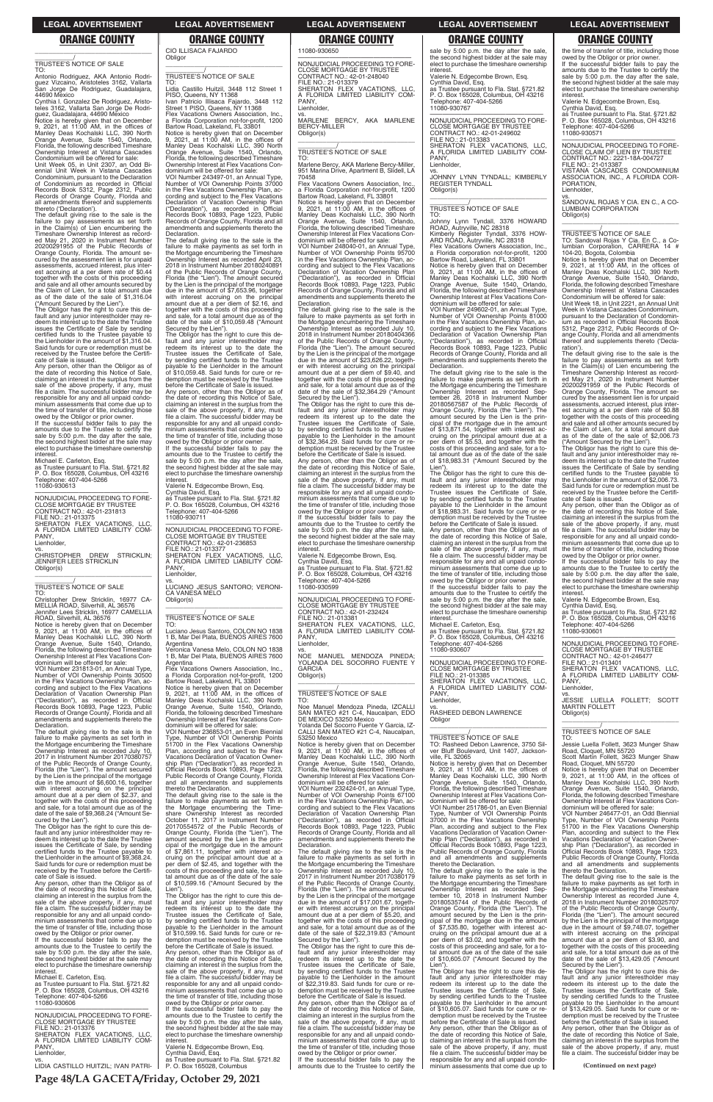\_\_\_\_\_\_\_\_\_\_\_/ TRUSTEE'S NOTICE OF SALE

TO: Antonio Rodriguez, AKA Antonio Rodriguez Vizcaino, Aristoteles 3162, Vallarta San Jorge De Rodriguez, Guadalajara, 44690 Mexico

Cynthia I. Gonzalez De Rodriguez, Aristo-teles 3162, Vallarta San Jorge De Rodri-guez, Guadalajara, 44690 Mexico Notice is hereby given that on December 9, 2021, at 11:00 AM, in the offices of

Manley Deas Kochalski LLC, 390 North Orange Avenue, Suite 1540, Orlando, Florida, the following described Timeshare Ownership Interest at Vistana Cascades Condominium will be offered for sale: Unit Week 05, in Unit 2307, an Odd Biennial Unit Week in Vistana Cascades Condominium, pursuant to the Declaration of Condominium as recorded in Official Records Book 5312, Page 2312, Public

Records of Orange County, Florida and all amendments thereof and supplements thereto ('Declaration').

owed by the Obligor or prior owner. If the successful bidder fails to pay the amounts due to the Trustee to certify the sale by 5:00 p.m. the day after the sale, the second highest bidder at the sale may elect to purchase the timeshare ownership **interest** 

The default giving rise to the sale is the failure to pay assessments as set forth in the Claim(s) of Lien encumbering the Timeshare Ownership Interest as record-ed May 21, 2020 in Instrument Number 20200291955 of the Public Records of Orange County, Florida. The amount se-cured by the assessment lien is for unpaid assessments, accrued interest, plus interest accruing at a per diem rate of \$0.44 together with the costs of this proceeding and sale and all other amounts secured by the Claim of Lien, for a total amount due as of the date of the sale of \$1,316.04 ("Amount Secured by the Lien").

### PANY Lienholder,

The Obligor has the right to cure this de-fault and any junior interestholder may redeem its interest up to the date the Trustee issues the Certificate of Sale by sending certified funds to the Trustee payable to the Lienholder in the amount of \$1,316.04. Said funds for cure or redemption must be received by the Trustee before the Certificate of Sale is issued.

VOI Number 231813-01, an Annual Type, Number of VOI Ownership Points 30500 in the Flex Vacations Ownership Plan, according and subject to the Flex Vacations Declaration of Vacation Ownership Plan ("Declaration"), as recorded in Official Records Book 10893, Page 1223, Public Records of Orange County, Florida and all amendments and supplements thereto the **Declaration** 

Any person, other than the Obligor as of the date of recording this Notice of Sale, claiming an interest in the surplus from the sale of the above property, if any, must file a claim. The successful bidder may be responsible for any and all unpaid condo-minium assessments that come due up to the time of transfer of title, including those

owed by the Obligor or prior owner. If the successful bidder fails to pay the amounts due to the Trustee to certify the sale by 5:00 p.m. the day after the sale, the second highest bidder at the sale may elect to purchase the timeshare ownership interes

Michael E. Carleton, Esq. as Trustee pursuant to Fla. Stat. §721.82 P. O. Box 165028, Columbus, OH 43216 Telephone: 407-404-5266 11080-930613

—————————————————— NONJUDICIAL PROCEEDING TO FORE-CLOSE MORTGAGE BY TRUSTEE CONTRACT NO.: 42-01-231813 FILE NO.: 21-013375 SHERATON FLEX VACATIONS, LLC, A FLORIDA LIMITED LIABILITY COM-

vs. CHRISTOPHER DREW STRICKLIN; JENNIFER LEES STRICKLIN Obligor(s) \_\_\_\_\_\_\_\_\_\_\_\_\_\_\_\_\_\_\_\_\_\_\_\_\_\_\_\_\_\_\_\_\_

# \_\_\_\_\_\_\_\_\_\_\_/ TRUSTEE'S NOTICE OF SALE

TO: Christopher Drew Stricklin, 16977 CA-MELLIA ROAD, Silverhill, AL 36576 Jennifer Lees Stricklin, 16977 CAMELLIA ROAD, Silverhill, AL 36576 dominium will be offered for sale: VOI Number 243497-01, an Annual Type, Number of VOI Ownership Points 37000 in the Flex Vacations Ownership Plan, according and subject to the Flex Vacations Declaration of Vacation Ownership Plan ("Declaration"), as recorded in Official Records Book 10893, Page 1223, Public Records of Orange County, Florida and all amendments and supplements thereto the **Declaration** 

Notice is hereby given that on December 9, 2021, at 11:00 AM, in the offices of Manley Deas Kochalski LLC, 390 North Orange Avenue, Suite 1540, Orlando, Florida, the following described Timeshare Ownership Interest at Flex Vacations Condominium will be offered for sale:

The default giving rise to the sale is the failure to make payments as set forth in the Mortgage encumbering the Timeshare Ownership Interest as recorded July 10, 2017 in Instrument Number 20170380757 of the Public Records of Orange County, Florida (the "Lien"). The amount secured by the Lien is the principal of the mortgage due in the amount of \$6,600.16, together with interest accruing on the principal amount due at a per diem of \$2.37, and together with the costs of this proceeding and sale, for a total amount due as of the

amounts due to the Trustee to certify the sale by 5:00 p.m. the day after the sale, the second highest bidder at the sale may elect to purchase the timeshare ownership

—————————————————— NONJUDICIAL PROCEEDING TO FORE-CLOSE MORTGAGE BY TRUSTEE CONTRACT NO.: 42-01-236853 FILE NO.: 21-013377 SHERATON FLEX VACATIONS, LLC, A FLORIDA LIMITED LIABILITY COM-PANY, **Lienholder** 

date of the sale of \$9,368.24 ("Amount Secured by the Lien"). The Obligor has the right to cure this de-

fault and any junior interestholder may redeem its interest up to the date the Trustee issues the Certificate of Sale, by sending certified funds to the Trustee payable to the Lienholder in the amount of \$9,368.24. Said funds for cure or redemption must be received by the Trustee before the Certifi-

Notice is hereby given that on December<br>9, 2021, at 11:00 AM, in the offices of<br>Manley Deas Kochalski LLC, 390 North<br>Orange Avenue, Suite 1540, Orlando,<br>Florida, the following described Timeshare Ownership Interest at Flex Vacations Condominium will be offered for sale: VOI Number 236853-01, an Even Biennial

cate of Sale is issued. Any person, other than the Obligor as of the date of recording this Notice of Sale, claiming an interest in the surplus from the sale of the above property, if any, must file a claim. The successful bidder may be responsible for any and all unpaid condo-minium assessments that come due up to the time of transfer of title, including those

share Ownership Interest as recorded October 11, 2017 in Instrument Number 20170554572 of the Public Records of Orange County, Florida (the "Lien"). The amount secured by the Lien is the prinof the mortgage due in the amount of \$7,861.11, together with interest ac-cruing on the principal amount due at a per diem of \$2.45, and together with the costs of this proceeding and sale, for a to-tal amount due as of the date of the sale of \$10,599.16 ("Amount Secured by the Lien")

Michael E. Carleton, Esq. as Trustee pursuant to Fla. Stat. §721.82 P. O. Box 165028, Columbus, OH 43216 Telephone: 407-404-5266 11080-930606

—————————————————— NONJUDICIAL PROCEEDING TO FORE-CLOSE MORTGAGE BY TRUSTEE FILE NO.: 21-013376 SHERATON FLEX VACATIONS, LLC, A FLORIDA LIMITED LIABILITY COM-PANY, Lienholder,

vs. LIDIA CASTILLO HUITZIL; IVAN PATRI-

CIO ILLISACA FAJARDO Obligor

### \_\_\_\_\_\_\_\_\_\_\_\_\_\_\_\_\_\_\_\_\_\_\_\_\_\_\_\_\_\_\_\_\_ \_\_\_\_\_\_\_\_\_\_\_/ TRUSTEE'S NOTICE OF SALE

PANY Lienholder,

TO: Lidia Castillo Huitzil, 3448 112 Street 1 PISO, Queens, NY 11368 Ivan Patricio Illisaca Fajardo, 3448 112 Street 1 PISO, Queens, NY 11368

Flex Vacations Owners Association, Inc. a Florida Corporation not-for-profit, 1200 Bartow Road, Lakeland, FL 33801 Notice is hereby given that on December<br>9, 2021, at 11:00 AM, in the offices of<br>Manley Deas Kochalski LLC, 390 North<br>Orange Avenue, Suite 1540, Orlando,<br>Florida, the following described Timeshare<br>Ownership Interest at Flex

The default giving rise to the sale is the failure to make payments as set forth in the Mortgage encumbering the Timeshare Ownership Interest as recorded April 23, 2018 in Instrument Number 20180240891 of the Public Records of Orange County, Florida (the "Lien"). The amount secured by the Lien is the principal of the mortgage due in the amount of \$7,653.96, together with interest accruing on the principal amount due at a per diem of \$2.16, and together with the costs of this proceeding and sale, for a total amount due as of the date of the sale of \$10,059.48 ("Amount

> PANY, Lienholder,

Secured by the Lien"). The Obligor has the right to cure this default and any junior interestholder may redeem its interest up to the date the Trustee issues the Certificate of Sale, by sending certified funds to the Trustee<br>navable to the Liepholder in the amount the Lienholder in the amount of \$10,059.48. Said funds for cure or redemption must be received by the Trustee

before the Certificate of Sale is issued. Any person, other than the Obligor as of the date of recording this Notice of Sale,<br>claiming an interest in the surplus from the<br>sale of the above property, if any, must<br>file a claim. The successful bidder may be responsible for any and all unpaid condo-minium assessments that come due up to the time of transfer of title, including those owed by the Obligor or prior owner. If the successful bidder fails to pay the

> The Obligor has the right to cure this default and any junior interestholder may redeem its interest up to the date the Trustee issues the Certificate of Sale, by sending certified funds to the Trustee payable to the Lienholder in the amount of \$22,319.83. Said funds for cure or redemption must be received by the Trustee before the Certificate of Sale is issued. Any person, other than the Obligor as of the date of recording this Notice of Sale, claiming an interest in the surplus from the sale of the above property, if any, must file a claim. The successful bidder may be responsible for any and all unpaid condominium assessments that come due up to the time of transfer of title, including those

interest. Valerie N. Edgecombe Brown, Esq.

Cynthia David, Esq. as Trustee pursuant to Fla. Stat. §721.82 P. O. Box 165028, Columbus, OH 43216 Telephone: 407-404-5266 11080-930711

vs. LUCIANO JESUS SANTORO; VERONI-CA VANESA MELO Obligor(s) \_\_\_\_\_\_\_\_\_\_\_\_\_\_\_\_\_\_\_\_\_\_\_\_\_\_\_\_\_\_\_\_\_

\_\_\_\_\_\_\_\_\_\_\_/ TRUSTEE'S NOTICE OF SALE

TO: Luciano Jesus Santoro, COLON NO 1838 1 B, Mar Del Plata, BUENOS AIRES 7600 Argentina

Veronica Vanesa Melo, COLON NO 1838 1 B, Mar Del Plata, BUENOS AIRES 7600

Flex Vacations Owners Association, Inc. a Florida corporation not-for-profit, 1200 Bartow Road, Lakeland, FL 33801

Argentina Flex Vacations Owners Association, Inc., a Florida Corporation not-for-profit, 1200 Bartow Road, Lakeland, FL 33801

VOI Number 249602-01, an Annual Type, Number of VOI Ownership Points 81000 in the Flex Vacations Ownership Plan, according and subject to the Flex Vacations Declaration of Vacation Ownership Plan ("Declaration"), as recorded in Official Records Book 10893, Page 1223, Public Records of Orange County, Florida and all amendments and supplements thereto the **Declaration** 

The default giving rise to the sale is the failure to make payments as set forth in the Mortgage encumbering the Timeshare Ownership Interest as recorded Sep-tember 26, 2018 in Instrument Number 20180567587 of the Public Records of Orange County, Florida (the "Lien"). The amount secured by the Lien is the principal of the mortgage due in the amount of \$13,871.54, together with interest accruing on the principal amount due at a per diem of \$5.53, and together with the costs of this proceeding and sale, for a total amount due as of the date of the sale of \$18,983.31 ("Amount Secured by the Lien").

Type, Number of VOI Ownership Points 51700 in the Flex Vacations Ownership Plan, according and subject to the Flex Vacations Declaration of Vacation Ownership Plan ("Declaration"), as recorded in Official Records Book 10893, Page 1223, Public Records of Orange County, Florida and all amendments and supplements thereto the Declaration.

The default giving rise to the sale is the failure to make payments as set forth in the Mortgage encumbering the Time-

vs. RASHEED DEBON LAWRENCE **Obligor** 

The Obligor has the right to cure this default and any junior interestholder may redeem its interest up to the date the Trustee issues the Certificate of Sale, by sending certified funds to the Trustee payable to the Lienholder in the amount of \$10,599.16. Said funds for cure or re-demption must be received by the Trustee before the Certificate of Sale is issued. Any person, other than the Obligor as of the date of recording this Notice of Sale, claiming an interest in the surplus from the sale of the above property, if any, must file a claim. The successful bidder may be responsible for any and all unpaid condominium assessments that come due up to the time of transfer of title, including those owed by the Obligor or prior owner. If the successful bidder fails to pay the amounts due to the Trustee to certify the sale by 5:00 p.m. the day after the sale, the second highest bidder at the sale may elect to purchase the timeshare ownership interest.

the time of transfer of title, including those owed by the Obligor or prior owner. If the successful bidder fails to pay the amounts due to the Trustee to certify the sale by 5:00 p.m. the day after the sale, the second highest bidder at the sale may elect to purchase the timeshare ownership interest

Valerie N. Edgecombe Brown, Esq. Cynthia David, Esq. as Trustee pursuant to Fla. Stat. §721.82 P. O. Box 165028, Columbus

11080-930650

—————————————————— NONJUDICIAL PROCEEDING TO FORE-CLOSE MORTGAGE BY TRUSTEE CONTRACT NO.: 42-01-248040 FILE NO.: 21-013379 SHERATON FLEX VACATIONS, LLC, A FLORIDA LIMITED LIABILITY COM-

vs. MARLENE BERCY, AKA MARLENE BERCY-MILLER

Obligor(s)

TO: Sandoval Rojas Y Cia. En C., a Columbian Corporation, CARRERA 14 #

\_\_\_\_\_\_\_\_\_\_\_\_\_\_\_\_\_\_\_\_\_\_\_\_\_\_\_\_\_\_\_\_\_ \_\_\_\_\_\_\_\_\_\_\_/ TRUSTEE'S NOTICE OF SALE

TO: Marlene Bercy, AKA Marlene Bercy-Miller, 951 Marina Drive, Apartment B, Slidell, LA

Flex Vacations Owners Association, Inc.

a Florida Corporation not-for-profit, 1200<br>Bartow Road, Lakeland, FL 33801<br>Notice is hereby given that on December<br>9, 2021, at 11:00 AM, in the offices of<br>Manley Deas Kochalski LLC, 390 North<br>Orange Avenue, Suite 1540, Orl

70458

Florida, the following described Timeshare Ownership Interest at Flex Vacations Con-dominium will be offered for sale: VOI Number 248040-01, an Annual Type, Number of VOI Ownership Points 95700 in the Flex Vacations Ownership Plan, according and subject to the Flex Vacations

Declaration of Vacation Ownership Plan ("Declaration"), as recorded in Official Records Book 10893, Page 1223, Public Records of Orange County, Florida and all amendments and supplements thereto the

Declaration.

owed by the Obligor or prior owner. If the successful bidder fails to pay the amounts due to the Trustee to certify the sale by 5:00 p.m. the day after the sale, the second highest bidder at the sale may elect to purchase the timeshare ownership interest

The default giving rise to the sale is the failure to make payments as set forth in the Mortgage encumbering the Timeshare Ownership Interest as recorded July 10, 2018 in Instrument Number 20180404366 of the Public Records of Orange County, Florida (the "Lien"). The amount secured by the Lien is the principal of the mortgage due in the amount of \$23,626.22, together with interest accruing on the principal amount due at a per diem of \$9.40, and together with the costs of this proceeding and sale, for a total amount due as of the date of the sale of \$32,364.29 ("Amount Secured by the Lien"). The Obligor has the right to cure this de-fault and any junior interestholder may

redeem its interest up to the date the Trustee issues the Certificate of Sale, by sending certified funds to the Trustee payable to the Lienholder in the amount of \$32,364.29. Said funds for cure or redemption must be received by the Trustee before the Certificate of Sale is issued. Any person, other than the Obligor as of the date of recording this Notice of Sale, claiming an interest in the surplus from the sale of the above property, if any, must file a claim. The successful bidder may be responsible for any and all unpaid condo-minium assessments that come due up to the time of transfer of title, including those owed by the Obligor or prior owner. If the successful bidder fails to pay the amounts due to the Trustee to certify the sale by 5:00 p.m. the day after the sale, the second highest bidder at the sale may elect to purchase the timeshare ownership

### \_\_\_\_\_\_\_\_\_\_\_\_\_\_\_\_\_\_\_\_\_\_\_\_\_\_\_\_\_\_\_\_\_ **ORANGE COUNTY ORANGE COUNTY ORANGE COUNTY ORANGE COUNTY ORANGE COUNTY**

interest.

Valerie N. Edgecombe Brown, Esq. Cynthia David, Esq. as Trustee pursuant to Fla. Stat. §721.82 P. O. Box 165028, Columbus, OH 43216 Telephone: 407-404-5266

11080-930599

—————————————————— NONJUDICIAL PROCEEDING TO FORE-CLOSE MORTGAGE BY TRUSTEE CONTRACT NO.: 42-01-232424 FILE NO.: 21-013381 SHERATON FLEX VACATIONS, LLC, A FLORIDA LIMITED LIABILITY COM-

vs. NOE MANUEL MENDOZA PINEDA; YOLANDA DEL SOCORRO FUENTE Y

GARCIA Obligor(s)

\_\_\_\_\_\_\_\_\_\_\_\_\_\_\_\_\_\_\_\_\_\_\_\_\_\_\_\_\_\_\_\_\_ \_\_\_\_\_\_\_\_\_\_\_/ TRUSTEE'S NOTICE OF SALE

TO:

Noe Manuel Mendoza Pineda, IZCALLI SAN MATEO #21 C-4, Naucalpan, EDO DE MEXICO 53250 Mexico Yolanda Del Socorro Fuente Y Garcia, IZ-CALLI SAN MATEO #21 C-4, Naucalpan,

53250 Mexico

Notice is hereby given that on December 9, 2021, at 11:00 AM, in the offices of Manley Deas Kochalski LLC, 390 North Orange Avenue, Suite 1540, Orlando, Florida, the following described Timeshare Ownership Interest at Flex Vacations Condominium will be offered for sale: VOI Number 232424-01, an Annual Type, Number of VOI Ownership Points 67100

in the Flex Vacations Ownership Plan, ac-cording and subject to the Flex Vacations Declaration of Vacation Ownership Plan ("Declaration"), as recorded in Official Records Book 10893, Page 1223, Public Records of Orange County, Florida and all amendments and supplements thereto the Declaration.

The default giving rise to the sale is the failure to make payments as set forth in the Mortgage encumbering the Timeshare Ownership Interest as recorded July 10, 2017 in Instrument Number 20170380179 of the Public Records of Orange County, Florida (the "Lien"). The amount secured by the Lien is the principal of the mortgage due in the amount of \$17,001.67, together with interest accruing on the principal amount due at a per diem of \$5.20, and together with the costs of this proceeding and sale, for a total amount due as of the date of the sale of \$22,319.83 ("Amount Secured by the Lien").

owed by the Obligor or prior owner. If the successful bidder fails to pay the amounts due to the Trustee to certify the sale by 5:00 p.m. the day after the sale, the second highest bidder at the sale may elect to purchase the timeshare ownership interest.

Valerie N. Edgecombe Brown, Esq. Cynthia David, Esq. as Trustee pursuant to Fla. Stat. §721.82 P. O. Box 165028, Columbus, OH 43216 Telephone: 407-404-5266 11080-930767

—————————————————— NONJUDICIAL PROCEEDING TO FORE-CLOSE MORTGAGE BY TRUSTEE CONTRACT NO.: 42-01-249602 FILE NO.: 21-013383 SHERATON FLEX VACATIONS, LLC, A FLORIDA LIMITED LIABILITY COM-PANY Lienholder,

vs. JOHNNY LYNN TYNDALL; KIMBERLY REGISTER TYNDALL Obligor(s) \_\_\_\_\_\_\_\_\_\_\_\_\_\_\_\_\_\_\_\_\_\_\_\_\_\_\_\_\_\_\_\_\_

# \_\_\_\_\_\_\_\_\_\_\_/ TRUSTEE'S NOTICE OF SALE

TO: Johnny Lynn Tyndall, 3376 HOWARD ROAD, Autryville, NC 28318 Kimberly Register Tyndall, 3376 HOW-ARD ROAD, Autryville, NC 28318

Notice is hereby given that on December 9, 2021, at 11:00 AM, in the offices of Manley Deas Kochalski LLC, 390 North Orange Avenue, Suite 1540, Orlando, Florida, the following described Timeshare Ownership Interest at Flex Vacations Condominium will be offered for sale:

The Obligor has the right to cure this de-fault and any junior interestholder may redeem its interest up to the date the Trustee issues the Certificate of Sale, by sending certified funds to the Trustee payable to the Lienholder in the amount of \$18,983.31. Said funds for cure or redemption must be received by the Trustee before the Certificate of Sale is issued.

Any person, other than the Obligor as of the date of recording this Notice of Sale, claiming an interest in the surplus from the sale of the above property, if any, must file a claim. The successful bidder may be responsible for any and all unpaid condominium assessments that come due up to the time of transfer of title, including those owed by the Obligor or prior owner.

If the successful bidder fails to pay the amounts due to the Trustee to certify the sale by 5:00 p.m. the day after the sale, the second highest bidder at the sale may elect to purchase the timeshare ownership

interest. Michael E. Carleton, Esq. as Trustee pursuant to Fla. Stat. §721.82 P. O. Box 165028, Columbus, OH 43216 Telephone: 407-404-5266 11080-930607

—————————————————— NONJUDICIAL PROCEEDING TO FORE-CLOSE MORTGAGE BY TRUSTEE FILE NO.: 21-013385 SHERATON FLEX VACATIONS, LLC,<br>A FLORIDA LIMITED LIABILITY COM-<br>PANY, Lienholder,

\_\_\_\_\_\_\_\_\_\_\_\_\_\_\_\_\_\_\_\_\_\_\_\_\_\_\_\_\_\_\_\_\_

# \_\_\_\_\_\_\_\_\_\_\_/ TRUSTEE'S NOTICE OF SALE

TO: Rasheed Debon Lawrence, 3750 Sil-ver Bluff Boulevard, Unit 1407, Jackson-

ville, FL 32065 Notice is hereby given that on December 9, 2021, at 11:00 AM, in the offices of Manley Deas Kochalski LLC, 390 North

Orange Avenue, Suite 1540, Orlando, Florida, the following described Timeshare Ownership Interest at Flex Vacations Condominium will be offered for sale: VOI Number 251786-01, an Even Biennial Type, Number of VOI Ownership Points 37000 in the Flex Vacations Ownership Plan, according and subject to the Flex Vacations Declaration of Vacation Ownership Plan ("Declaration"), as recorded in Official Records Book 10893, Page 1223, Public Records of Orange County, Florida and all amendments and supplements thereto the Declaration. The default giving rise to the sale is the failure to make payments as set forth in the Mortgage encumbering the Timeshare Ownership Interest as recorded Sep-tember 10, 2018 in Instrument Number 20180535744 of the Public Records of Orange County, Florida (the "Lien"). The amount secured by the Lien is the principal of the mortgage due in the amount of \$7,535.80, together with interest ac-cruing on the principal amount due at a per diem of \$3.02, and together with the costs of this proceeding and sale, for a to-tal amount due as of the date of the sale of \$10,605.07 ("Amount Secured by the Lien"). The Obligor has the right to cure this de-fault and any junior interestholder may redeem its interest up to the date the Trustee issues the Certificate of Sale, by sending certified funds to the Trustee payable to the Lienholder in the amount of \$10,605.07. Said funds for cure or redemption must be received by the Trustee before the Certificate of Sale is issued. Any person, other than the Obligor as of the date of recording this Notice of Sale, claiming an interest in the surplus from the sale of the above property, if any, must file a claim. The successful bidder may be responsible for any and all unpaid condo-minium assessments that come due up to

Valerie N. Edgecombe Brown, Esq. Cynthia David, Esq. as Trustee pursuant to Fla. Stat. §721.82 P. O. Box 165028, Columbus, OH 43216 Telephone: 407-404-5266

11080-930571 —————————————————— NONJUDICIAL PROCEEDING TO FORE-

CLOSE CLAIM OF LIEN BY TRUSTEE CONTRACT NO.: 2221-18A-004727 FILE NO.: 21-013387 VISTANA CASCADES CONDOMINIUM ASSOCIATION, INC., A FLORIDA COR-PORATION, Lienholder,

vs. SANDOVAL ROJAS Y CIA. EN C., A CO-LUMBIAN CORPORATION Obligor(s) \_\_\_\_\_\_\_\_\_\_\_\_\_\_\_\_\_\_\_\_\_\_\_\_\_\_\_\_\_\_\_\_\_

\_\_\_\_\_\_\_\_\_\_\_/ TRUSTEE'S NOTICE OF SALE

104-20, Bogota, Colombia Notice is hereby given that on December 9, 2021, at 11:00 AM, in the offices of Manley Deas Kochalski LLC, 390 North Orange Avenue, Suite 1540, Orlando, Florida, the following described Timeshare Ownership Interest at Vistana Cascades Condominium will be offered for sale:

Unit Week 18, in Unit 2221, an Annual Unit Week in Vistana Cascades Condominium, pursuant to the Declaration of Condominium as recorded in Official Records Book 5312, Page 2312, Public Records of Or-ange County, Florida and all amendments thereof and supplements thereto ('Declaration').

The default giving rise to the sale is the failure to pay assessments as set forth<br>in the Claim(s) of Lien encumbering the<br>Timeshare Ownership Interest as record-<br>ed May 21, 2020 in Instrument Number<br>20200291959 of the Public Records of<br>Orange County, Florida. The cured by the assessment lien is for unpaid assessments, accrued interest, plus inter-est accruing at a per diem rate of \$0.88 together with the costs of this proceeding and sale and all other amounts secured by the Claim of Lien, for a total amount due as of the date of the sale of \$2,006.73

("Amount Secured by the Lien"). The Obligor has the right to cure this default and any junior interestholder may re-deem its interest up to the date the Trustee issues the Certificate of Sale by sending certified funds to the Trustee payable to the Lienholder in the amount of \$2,006.73. Said funds for cure or redemption must be received by the Trustee before the Certifi-

cate of Sale is issued. Any person, other than the Obligor as of the date of recording this Notice of Sale,<br>claiming an interest in the surplus from the<br>sale of the above property, if any, must<br>file a claim. The successful bidder may be responsible for any and all unpaid condo-minium assessments that come due up to the time of transfer of title, including those

Valerie N. Edgecombe Brown, Esq.

Cynthia David, Esq. as Trustee pursuant to Fla. Stat. §721.82 P. O. Box 165028, Columbus, OH 43216 Telephone: 407-404-5266

11080-930601

—————————————————— NONJUDICIAL PROCEEDING TO FORE-CLOSE MORTGAGE BY TRUSTEE CONTRACT NO.: 42-01-246477

FILE NO.: 21-013401

SHERATON FLEX VACATIONS, LLC, A FLORIDA LIMITED LIABILITY COM-

PANY, Lienholder,

vs. JESSIE LUELLA FOLLETT; SCOTT MARTIN FOLLETT Obligor(s) \_\_\_\_\_\_\_\_\_\_\_\_\_\_\_\_\_\_\_\_\_\_\_\_\_\_\_\_\_\_\_\_\_

# \_\_\_\_\_\_\_\_\_\_\_/ TRUSTEE'S NOTICE OF SALE

TO: Jessie Luella Follett, 3623 Munger Shaw Road, Cloquet, MN 55720 Scott Martin Follett, 3623 Munger Shaw

Road, Cloquet, MN 55720 Notice is hereby given that on December 9, 2021, at 11:00 AM, in the offices of Manley Deas Kochalski LLC, 390 North Orange Avenue, Suite 1540, Orlando, Florida, the following described Timeshare Ownership Interest at Flex Vacations Con-dominium will be offered for sale: VOI Number 246477-01, an Odd Biennial

Type, Number of VOI Ownership Points 51700 in the Flex Vacations Ownership Plan, according and subject to the Flex Vacations Declaration of Vacation Owner-ship Plan ("Declaration"), as recorded in Official Records Book 10893, Page 1223, Public Records of Orange County, Florida and all amendments and supplements thereto the Declaration.

The default giving rise to the sale is the failure to make payments as set forth in the Mortgage encumbering the Timeshare Ownership Interest as recorded June 4, 2018 in Instrument Number 20180325707 of the Public Records of Orange County, Florida (the "Lien"). The amount secured by the Lien is the principal of the mortgage due in the amount of \$9,748.07, together with interest accruing on the principal amount due at a per diem of \$3.90, and together with the costs of this proceeding and sale, for a total amount due as of the date of the sale of \$13,429.05 ("Amount

Secured by the Lien"). The Obligor has the right to cure this de-fault and any junior interestholder may redeem its interest up to the date the Trustee issues the Certificate of Sale, by sending certified funds to the Trustee payable to the Lienholder in the amount of \$13,429.05. Said funds for cure or redemption must be received by the Trustee before the Certificate of Sale is issued. Any person, other than the Obligor as of the date of recording this Notice of Sale, claiming an interest in the surplus from the sale of the above property, if any, must file a claim. The successful bidder may be

**(Continued on next page)**

# **Page 48/LA GACETA/Friday, October 29, 2021**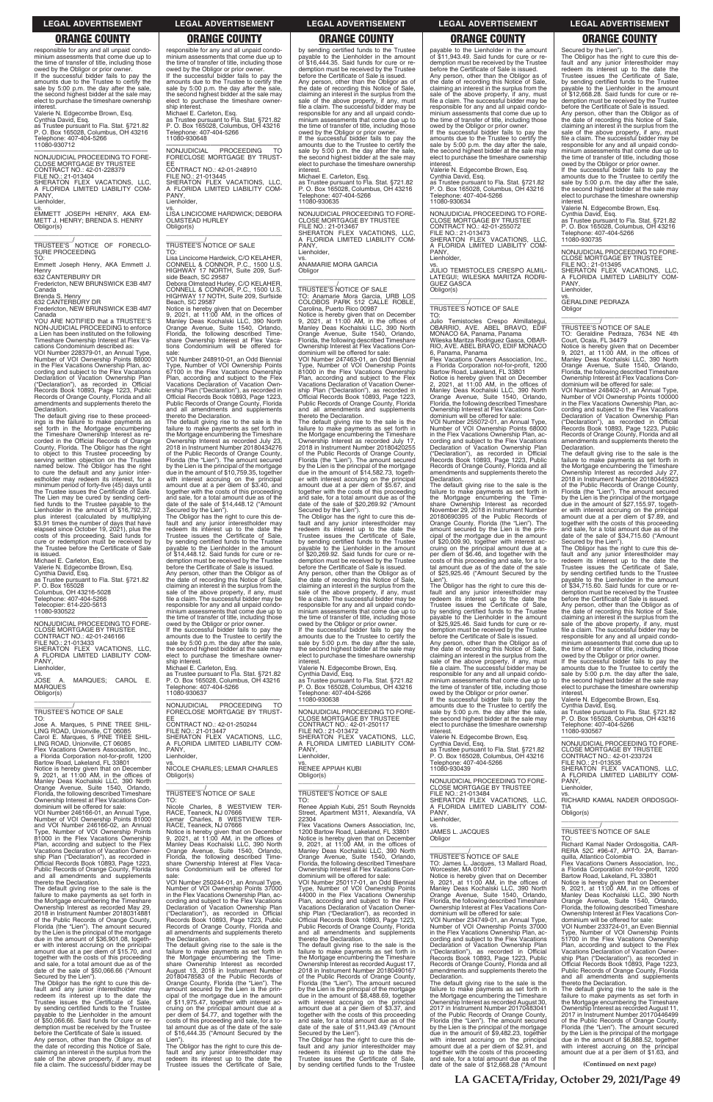responsible for any and all unpaid condo-minium assessments that come due up to the time of transfer of title, including those owed by the Obligor or prior owner. If the successful bidder fails to pay the amounts due to the Trustee to certify the sale by 5:00 p.m. the day after the sale, the second highest bidder at the sale may elect to purchase the timeshare ownership interest

—————————————————— NONJUDICIAL PROCEEDING TO FORE-CLOSE MORTGAGE BY TRUSTEE CONTRACT NO.: 42-01-228379 FILE NO.: 21-013404 SHERATON FLEX VACATIONS, LLC, A FLORIDA LIMITED LIABILITY COM-PANY, **Lienholder** 

Valerie N. Edgecombe Brown, Esq. Cynthia David, Esq. as Trustee pursuant to Fla. Stat. §721.82 P. O. Box 165028, Columbus, OH 43216

Telephone: 407-404-5266 11080-930712

VOI Number 228379-01, an Annual Type, Number of VOI Ownership Points 88000 in the Flex Vacations Ownership Plan, according and subject to the Flex Vacations Declaration of Vacation Ownership Plan ("Declaration"), as recorded in Official Records Book 10893, Page 1223, Public Records of Orange County, Florida and all amendments and supplements thereto the **Declaration** 

vs. EMMETT JOSEPH HENRY, AKA EM-METT J. HENRY; BRENDA S. HENRY Obligor(s)

\_\_\_\_\_\_\_\_\_\_\_\_\_\_\_\_\_\_\_\_\_\_\_\_\_\_\_\_\_\_\_\_\_ \_\_\_\_\_\_\_\_\_\_\_/ TRUSTEE'S NOTICE OF FORECLO-SURE PROCEEDING

TO: Emmett Joseph Henry, AKA Emmett J.

Henry 632 CANTERBURY DR Fredericton, NEW BRUNSWICK E3B 4M7

Canada Brenda S. Henry

632 CANTERBURY DR

Fredericton, NEW BRUNSWICK E3B 4M7 Canada

YOU ARE NOTIFIED that a TRUSTEE'S NON-JUDICIAL PROCEEDING to enforce a Lien has been instituted on the following Timeshare Ownership Interest at Flex Vacations Condominium described as:

MARQUES; CAROL E. MARQUES Obligor(s) \_\_\_\_\_\_\_\_\_\_\_\_\_\_\_\_\_\_\_\_\_\_\_\_\_\_\_\_\_\_\_\_\_

The default giving rise to these proceedings is the failure to make payments as set forth in the Mortgage encumbering the Timeshare Ownership Interest as recorded in the Official Records of Orange County, Florida. The Obligor has the right to object to this Trustee proceeding by serving written objection on the Trustee named below. The Obligor has the right to cure the default and any junior interestholder may redeem its interest, for a minimum period of forty-five (45) days until the Trustee issues the Certificate of Sale. The Lien may be cured by sending certi-fied funds to the Trustee payable to the Lienholder in the amount of \$16,792.37, plus interest (calculated by multiplying \$3.91 times the number of days that have elapsed since October 19, 2021), plus the costs of this proceeding. Said funds for cure or redemption must be received by the Trustee before the Certificate of Sale

responsible for any and all unpaid condo-minium assessments that come due up to the time of transfer of title, including those owed by the Obligor or prior owner. If the successful bidder fails to pay the amounts due to the Trustee to certify the sale by 5:00 p.m. the day after the sale, the second highest bidder at the sale may elect to purchase the timeshare owner-<br>shin interest  $\sinh$ inte

is issued. Michael E. Carleton, Esq. Valerie N. Edgecombe Brown, Esq. Cynthia David, Esq. as Trustee pursuant to Fla. Stat. §721.82 P. O. Box 165028 Columbus, OH 43216-5028 Telephone: 407-404-5266 Telecopier: 614-220-5613

11080-930522

—————————————————— NONJUDICIAL PROCEEDING TO FORE-CLOSE MORTGAGE BY TRUSTEE CONTRACT NO.: 42-01-246166 FILE NO.: 21-013433 SHERATON FLEX VACATIONS, LLC, A FLORIDA LIMITED LIABILITY COM-PANY, Lienholder, vs.

\_\_\_\_\_\_\_\_\_\_\_/ TRUSTEE'S NOTICE OF SALE

TO: Jose A. Marques, 5 PINE TREE SHIL-LING ROAD, Unionville, CT 06085 Carol E. Marques, 5 PINE TREE SHIL-LING ROAD, Unionville, CT 06085 Flex Vacations Owners Association, Inc., a Florida Corporation not-for-profit, 1200 Bartow Road, Lakeland, FL 33801 Notice is hereby given that on December 9, 2021, at 11:00 AM, in the offices of Manley Deas Kochalski LLC, 390 North Orange Avenue, Suite 1540, Orlando, Florida, the following described Timeshare Ownership Interest at Flex Vacations Con-

dominium will be offered for sale: VOI Number 246166-01, an Annual Type, Number of VOI Ownership Points 81000 and VOI Number 246166-02, an Annual Type, Number of VOI Ownership Points 81000 in the Flex Vacations Ownership Plan, according and subject to the Flex Vacations Declaration of Vacation Ownership Plan ("Declaration"), as recorded in Official Records Book 10893, Page 1223, Public Records of Orange County, Florida and all amendments and supplements thereto the Declaration.

The Obligor has the right to cure this default and any junior interestholder may redeem its interest up to the date the Trustee issues the Certificate of Sale, by sending certified funds to the Trustee payable to the Lienholder in the amount of \$14,448.12. Said funds for cure or redemption must be received by the Trustee before the Certificate of Sale is issued.

The default giving rise to the sale is the failure to make payments as set forth in the Mortgage encumbering the Timeshare Ownership Interest as recorded May 29, 2018 in Instrument Number 20180314881 of the Public Records of Orange County, Florida (the "Lien"). The amount secured by the Lien is the principal of the mortgage due in the amount of \$36,901.08, togeth-er with interest accruing on the principal amount due at a per diem of \$15.70, and together with the costs of this proceeding and sale, for a total amount due as of the date of the sale of \$50,066.66 ("Amount

Secured by the Lien"). The Obligor has the right to cure this default and any junior interestholder may redeem its interest up to the date the Trustee issues the Certificate of Sale, by sending certified funds to the Trustee payable to the Lienholder in the amount of \$50,066.66. Said funds for cure or redemption must be received by the Trustee before the Certificate of Sale is issued. Any person, other than the Obligor as of the date of recording this Notice of Sale, claiming an interest in the surplus from the sale of the above property, if any, must file a claim. The successful bidder may be If the successful bidder fails to pay the amounts due to the Trustee to certify the sale by 5:00 p.m. the day after the sale, the second highest bidder at the sale may elect to purchase the timeshare ownership interes<sup>®</sup>

Michael E. Carleton, Esq. as Trustee pursuant to Fla. Stat. §721.82 P. O. Box 165028, Columbus, OH 43216 Telephone: 407-404-5266 11080-930648

—————————————————— NONJUDICIAL PROCEEDING TO FORECLOSE MORTGAGE BY TRUST-EE CONTRACT NO.: 42-01-248910

FILE NO.: 21-013445 SHERATON FLEX VACATIONS, LLC, **FLORIDA LIMITED LIABILITY COM-PANY** Lienholder,

vs. LISA LINCICOME HARDWICK; DEBORA OLMSTEAD HURLEY Obligor(s) \_\_\_\_\_\_\_\_\_\_\_\_\_\_\_\_\_\_\_\_\_\_\_\_\_\_\_\_\_\_\_\_\_

\_\_\_\_\_\_\_\_\_\_\_/ TRUSTEE'S NOTICE OF SALE

TO: Lisa Lincicome Hardwick, C/O KELAHER, CONNELL & CONNOR, P.C., 1500 U.S. HIGHWAY 17 NORTH, Suite 209, Surfside Beach, SC 29587 Debora Olmstead Hurley, C/O KELAHER, CONNELL & CONNOR, P.C., 1500 U.S. HIGHWAY 17 NOTH, Suite 209, Surfside Beach, SC 29587

Notice is hereby given that on December 9, 2021, at 11:00 AM, in the offices of Manley Deas Kochalski LLC, 390 North Orange Avenue, Suite 1540, Orlando, Florida, the following described Time-share Ownership Interest at Flex Vacations Condominium will be offered for

sale: VOI Number 248910-01, an Odd Biennial Type, Number of VOI Ownership Points 67100 in the Flex Vacations Ownership Plan, according and subject to the Flex Vacations Declaration of Vacation Ownership Plan ("Declaration"), as recorded in Official Records Book 10893, Page 1223, Public Records of Orange County, Florida and all amendments and supplements thereto the Declaration.

The default giving rise to the sale is the failure to make payments as set forth in the Mortgage encumbering the Timeshare Ownership Interest as recorded July 23, 2018 in Instrument Number 20180434276 of the Public Records of Orange County, Florida (the "Lien"). The amount secured by the Lien is the principal of the mortgage due in the amount of \$10,759.35, together with interest accruing on the principal amount due at a per diem of \$3.40, and together with the costs of this proceeding and sale, for a total amount due as of the date of the sale of \$14,448.12 ("Amount Secured by the Lien").

Any person, other than the Obligor as of the date of recording this Notice of Sale, claiming an interest in the surplus from the sale of the above property, if any, must file a claim. The successful bidder may be responsible for any and all unpaid condominium assessments that come due up to the time of transfer of title, including those

owed by the Obligor or prior owner. If the successful bidder fails to pay the amounts due to the Trustee to certify the sale by 5:00 p.m. the day after the sale, the second highest bidder at the sale may elect to purchase the timeshare owner-ship interest.

Michael E. Carleton, Esq. as Trustee pursuant to Fla. Stat. §721.82 P. O. Box 165028, Columbus, OH 43216 Telephone: 407-404-5266 11080-930637

—————————————————— NONJUDICIAL PROCEEDING TO FORECLOSE MORTGAGE BY TRUST-

EE CONTRACT NO.: 42-01-250244 FILE NO.: 21-013447 SHERATON FLEX VACATIONS, LLC, A FLORIDA LIMITED LIABILITY COM-PANY, Lienholder,

vs. NICOLE CHARLES; LEMAR CHARLES Obligor(s) \_\_\_\_\_\_\_\_\_\_\_\_\_\_\_\_\_\_\_\_\_\_\_\_\_\_\_\_\_\_\_\_\_

\_\_\_\_\_\_\_\_\_\_\_/ TRUSTEE'S NOTICE OF SALE TO:

Nicole Charles, 8 WESTVIEW TER-RACE, Teaneck, NJ 07666 Lemar Charles, 8 WESTVIEW TER-RACE, Teaneck, NJ 07666 Notice is hereby given that on December 9, 2021, at 11:00 AM, in the offices of Manley Deas Kochalski LLC, 390 North Orange Avenue, Suite 1540, Orlando, Florida, the following described Time-share Ownership Interest at Flex Vaca-tions Condominium will be offered for

sale: VOI Number 250244-01, an Annual Type, Number of VOI Ownership Points 37000 in the Flex Vacations Ownership Plan, according and subject to the Flex Vacations Declaration of Vacation Ownership Plan ("Declaration"), as recorded in Official Records Book 10893, Page 1223, Public Records of Orange County, Florida and all amendments and supplements thereto

the Declaration. The default giving rise to the sale is the failure to make payments as set forth in the Mortgage encumbering the Time-share Ownership Interest as recorded August 13, 2018 in Instrument Number 20180478583 of the Public Records of Orange County, Florida (the "Lien"). The amount secured by the Lien is the principal of the mortgage due in the amount of \$11,975.47, together with interest accruing on the principal amount due at a per diem of \$4.77, and together with the costs of this proceeding and sale, for a total amount due as of the date of the sale of \$16,444.35 ("Amount Secured by the Lien"). The Obligor has the right to cure this de**Obligor** \_\_\_\_\_\_\_\_\_\_\_\_\_\_\_\_\_\_\_\_\_\_\_\_\_\_\_\_\_\_\_\_\_

fault and any junior interestholder may redeem its interest up to the date the Trustee issues the Certificate of Sale,

by sending certified funds to the Trustee payable to the Lienholder in the amount of \$16,444.35. Said funds for cure or redemption must be received by the Trustee before the Certificate of Sale is issued. Any person, other than the Obligor as of the date of recording this Notice of Sale, claiming an interest in the surplus from the sale of the above property, if any, must file a claim. The successful bidder may be responsible for any and all unpaid condominium assessments that come due up to the time of transfer of title, including those owed by the Obligor or prior owner.

> interest Valerie N. Edgecombe Brown, Esq.

Michael E. Carleton, Esq. as Trustee pursuant to Fla. Stat. §721.82 P. O. Box 165028, Columbus, OH 43216 Telephone: 407-404-5266 11080-930635

—————————————————— NONJUDICIAL PROCEEDING TO FORE-CLOSE MORTGAGE BY TRUSTEE FILE NO.: 21-013467 SHERATON FLEX VACATIONS, LLC, A FLORIDA LIMITED LIABILITY COM-PANY, Lienholder,

vs. ANAMARIE MORA GARCIA Obligor

> VOI Number 248402-01, an Annual Type, Number of VOI Ownership Points 100000 in the Flex Vacations Ownership Plan, according and subject to the Flex Vacations Declaration of Vacation Ownership Plan ("Declaration"), as recorded in Official Records Book 10893, Page 1223, Public Records of Orange County, Florida and all amendments and supplements thereto the **Declaration**

\_\_\_\_\_\_\_\_\_\_\_\_\_\_\_\_\_\_\_\_\_\_\_\_\_\_\_\_\_\_\_\_\_

\_\_\_\_\_\_\_\_\_\_\_/ TRUSTEE'S NOTICE OF SALE TO: Anamarie Mora Garcia, URB LOS COLOBOS PARK 512 CALLE ROBLE, Carolina, Puerto Rico 00987 Notice is hereby given that on December 9, 2021, at 11:00 AM, in the offices of Manley Deas Kochalski LLC, 390 North Orange Avenue, Suite 1540, Orlando, Florida, the following described Timeshare Ownership Interest at Flex Vacations Con-

dominium will be offered for sale: VOI Number 247463-01, an Odd Biennial Type, Number of VOI Ownership Points 81000 in the Flex Vacations Ownership Plan, according and subject to the Flex Vacations Declaration of Vacation Ownership Plan ("Declaration"), as recorded in Official Records Book 10893, Page 1223, Public Records of Orange County, Florida and all amendments and supplements thereto the Declaration.

> owed by the Obligor or prior owner. If the successful bidder fails to pay the amounts due to the Trustee to certify the sale by 5:00 p.m. the day after the sale, the second highest bidder at the sale may elect to purchase the timeshare ownership interest

The default giving rise to the sale is the failure to make payments as set forth in the Mortgage encumbering the Timeshare Ownership Interest as recorded July 17, 2018 in Instrument Number 20180420255 of the Public Records of Orange County, Florida (the "Lien"). The amount secured by the Lien is the principal of the mortgage due in the amount of \$14,582.73, together with interest accruing on the principal amount due at a per diem of \$5.67, and together with the costs of this proceeding and sale, for a total amount due as of the date of the sale of \$20,269.92 ("Amount Secured by the Lien").

The Obligor has the right to cure this de-fault and any junior interestholder may redeem its interest up to the date the Trustee issues the Certificate of Sale, by sending certified funds to the Trustee payable to the Lienholder in the amount of \$20,269.92. Said funds for cure or redemption must be received by the Trustee before the Certificate of Sale is issued.

Any person, other than the Obligor as of the date of recording this Notice of Sale, claiming an interest in the surplus from the sale of the above property, if any, must file a claim. The successful bidder may be responsible for any and all unpaid condominium assessments that come due up to the time of transfer of title, including those owed by the Obligor or prior owner.

If the successful bidder fails to pay the amounts due to the Trustee to certify the sale by 5:00 p.m. the day after the sale, the second highest bidder at the sale may elect to purchase the timeshare ownership interest.

Valerie N. Edgecombe Brown, Esq. Cynthia David, Esq. as Trustee pursuant to Fla. Stat. §721.82 P. O. Box 165028, Columbus, OH 43216 phone: 407-404-5266 11080-930638

—————————————————— NONJUDICIAL PROCEEDING TO FORE-CLOSE MORTGAGE BY TRUSTEE CONTRACT NO.: 42-01-250117 FILE NO.: 21-013472 SHERATON FLEX VACATIONS, LLC, A FLORIDA LIMITED LIABILITY COM-PANY Lienholder,

vs. RENEE APPIAH KUBI Obligor(s)

\_\_\_\_\_\_\_\_\_\_\_\_\_\_\_\_\_\_\_\_\_\_\_\_\_\_\_\_\_\_\_\_\_

\_\_\_\_\_\_\_\_\_\_\_/ TRUSTEE'S NOTICE OF SALE TO:

Renee Appiah Kubi, 251 South Reynolds Street, Apartment M311, Alexandria, VA 22304

Flex Vacations Owners Association, Inc, 1200 Bartow Road, Lakeland, FL 33801 Notice is hereby given that on December 9, 2021, at 11:00 AM, in the offices of Manley Deas Kochalski LLC, 390 North Orange Avenue, Suite 1540, Orlando, Florida, the following described Timeshare Ownership Interest at Flex Vacations Condominium will be offered for sale: VOI Number 250117-01, an Odd Biennial Type, Number of VOI Ownership Points 44000 in the Flex Vacations Ownership Plan, according and subject to the Flex Vacations Declaration of Vacation Ownership Plan ("Declaration"), as recorded in Official Records Book 10893, Page 1223, Public Records of Orange County, Florida and all amendments and supplements

thereto the Declaration. The default giving rise to the sale is the failure to make payments as set forth in the Mortgage encumbering the Timeshare Ownership Interest as recorded August 17, 2018 in Instrument Number 20180490167 of the Public Records of Orange County, Florida (the "Lien"). The amount secured by the Lien is the principal of the mortgage due in the amount of \$8,488.69, together with interest accruing on the principal amount due at a per diem of \$3.37, and together with the costs of this proceeding and sale, for a total amount due as of the date of the sale of \$11,943.49 ("Amount Secured by the Lien"). The Obligor has the right to cure this de-

fault and any junior interestholder may redeem its interest up to the date the Trustee issues the Certificate of Sale, by sending certified funds to the Trustee

payable to the Lienholder in the amount of \$11,943.49. Said funds for cure or redemption must be received by the Trustee before the Certificate of Sale is issued. Any person, other than the Obligor as of the date of recording this Notice of Sale, claiming an interest in the surplus from the sale of the above property, if any, must file a claim. The successful bidder may be responsible for any and all unpaid condo-minium assessments that come due up to the time of transfer of title, including those owed by the Obligor or prior owner. If the successful bidder fails to pay the

amounts due to the Trustee to certify the sale by 5:00 p.m. the day after the sale, the second highest bidder at the sale may elect to purchase the timeshare ownership interest.

Valerie N. Edgecombe Brown, Esq.

Cynthia David, Esq. as Trustee pursuant to Fla. Stat. §721.82 P. O. Box 165028, Columbus, OH 43216 Telephone: 407-404-5266 11080-930634

—————————————————— NONJUDICIAL PROCEEDING TO FORE-CLOSE MORTGAGE BY TRUSTEE CONTRACT NO.: 42-01-255072 FILE NO.: 21-013473 SHERATON FLEX VACATIONS, LLC, A FLORIDA LIMITED LIABILITY COM-PANY, Lienholder,

vs. JULIO TEMISTOCLES CRESPO ALMIL-LATEGUI; WILESKA MARITZA RODRI-GUEZ GASCA

Obligor(s)

\_\_\_\_\_\_\_\_\_\_\_\_\_\_\_\_\_\_\_\_\_\_\_\_\_\_\_\_\_\_\_\_\_

### \_\_\_\_\_\_\_\_\_\_\_/ TRUSTEE'S NOTICE OF SALE TO:

Julio Temistocles Crespo Almillategui, OBARRIO, AVE. ABEL BRAVO, EDIF MONACO 6A, Panama, Panama Wileska Maritza Rodriguez Gasca, OBAR-RIO, AVE. ABEL BRAVO, EDIF MONACO

6, Panama, Panama Flex Vacations Owners Association, Inc., a Florida Corporation not-for-profit, 1200

Bartow Road, Lakeland, FL 33801 Notice is hereby given that on December 2, 2021, at 11:00 AM, in the offices of Manley Deas Kochalski LLC, 390 North Orange Avenue, Suite 1540, Orlando, Florida, the following described Timeshare Ownership Interest at Flex Vacations Con-dominium will be offered for sale:

VOI Number 255072-01, an Annual Type, Number of VOI Ownership Points 68000 in the Flex Vacations Ownership Plan, according and subject to the Flex Vacations Declaration of Vacation Ownership Plan ("Declaration"), as recorded in Official Records Book 10893, Page 1223, Public Records of Orange County, Florida and all amendments and supplements thereto the Declaration.

The default giving rise to the sale is the failure to make payments as set forth in the Mortgage encumbering the Time-share Ownership Interest as recorded November 29, 2018 in Instrument Number 20180690395 of the Public Records of<br>Orange County, Florida (the "Lien"), The Orange County, Florida (the "Lien"). The amount secured by the Lien is the principal of the mortgage due in the amount of \$20,009.90, together with interest ac-cruing on the principal amount due at a per diem of \$6.46, and together with the costs of this proceeding and sale, for a to-tal amount due as of the date of the sale of \$25,925.46 ("Amount Secured by the Lien").

The Obligor has the right to cure this default and any junior interestholder may redeem its interest up to the date the Trustee issues the Certificate of Sale, by sending certified funds to the Trustee payable to the Lienholder in the amount of \$25,925.46. Said funds for cure or redemption must be received by the Trustee

before the Certificate of Sale is issued. Any person, other than the Obligor as of the date of recording this Notice of Sale, claiming an interest in the surplus from the sale of the above property, if any, must file a claim. The successful bidder may be responsible for any and all unpaid condo-minium assessments that come due up to the time of transfer of title, including those owed by the Obligor or prior owner. If the successful bidder fails to pay the

amounts due to the Trustee to certify the sale by 5:00 p.m. the day after the sale, the second highest bidder at the sale may elect to purchase the timeshare ownership interest.

Valerie N. Edgecombe Brown, Esq.

Cynthia David, Esq. as Trustee pursuant to Fla. Stat. §721.82 P. O. Box 165028, Columbus, OH 43216 Telephone: 407-404-5266 11080-930439

—————————————————— NONJUDICIAL PROCEEDING TO FORE-

CLOSE MORTGAGE BY TRUSTEE FILE NO.: 21-013484 SHERATON FLEX VACATIONS, LLC, A FLORIDA LIMITED LIABILITY COM-PANY,

Lienholder, vs. JAMES L. JACQUES

\_\_\_\_\_\_\_\_\_\_\_/ TRUSTEE'S NOTICE OF SALE TO: James L. Jacques, 13 Mallard Road, Worcester, MA 01607 Notice is hereby given that on December 9, 2021, at 11:00 AM, in the offices of Manley Deas Kochalski LLC, 390 North Orange Avenue, Suite 1540, Orlando, Florida, the following described Timeshare Ownership Interest at Flex Vacations Condominium will be offered for sale: VOI Number 234749-01, an Annual Type, Number of VOI Ownership Points 37000 in the Flex Vacations Ownership Plan, according and subject to the Flex Vacations Declaration of Vacation Ownership Plan ("Declaration"), as recorded in Official Records Book 10893, Page 1223, Public Records of Orange County, Florida and all amendments and supplements thereto the **Declaration** The default giving rise to the sale is the

failure to make payments as set forth in the Mortgage encumbering the Timeshare Ownership Interest as recorded August 30, 2017 in Instrument Number 20170483041 of the Public Records of Orange County, Florida (the "Lien"). The amount secured by the Lien is the principal of the mortgage due in the amount of \$9,482.23, together with interest accruing on the principal amount due at a per diem of \$2.91, and together with the costs of this proceeding and sale, for a total amount due as of the date of the sale of \$12,668.28 ("Amount

Secured by the Lien"). The Obligor has the right to cure this default and any junior interestholder may redeem its interest up to the date the Trustee issues the Certificate of Sale, by sending certified funds to the Trustee payable to the Lienholder in the amount of \$12,668.28. Said funds for cure or redemption must be received by the Trustee before the Certificate of Sale is issued. Any person, other than the Obligor as of the date of recording this Notice of Sale, claiming an interest in the surplus from the sale of the above property, if any, must file a claim. The successful bidder may be responsible for any and all unpaid condo-minium assessments that come due up to the time of transfer of title, including those

owed by the Obligor or prior owner. If the successful bidder fails to pay the amounts due to the Trustee to certify the sale by 5:00 p.m. the day after the sale, the second highest bidder at the sale may elect to purchase the timeshare ownership

Cynthia David, Esq. as Trustee pursuant to Fla. Stat. §721.82 P. O. Box 165028, Columbus, OH 43216 Telephone: 407-404-5266 11080-930735

—————————————————— NONJUDICIAL PROCEEDING TO FORE-CLOSE MORTGAGE BY TRUSTEE FILE NO.: 21-013495 SHERATON FLEX VACATIONS, LLC,

A FLORIDA LIMITED LIABILITY COM-PANY, Lienholder,

vs. GERALDINE PEDRAZA

Obligor \_\_\_\_\_\_\_\_\_\_\_\_\_\_\_\_\_\_\_\_\_\_\_\_\_\_\_\_\_\_\_\_\_

\_\_\_\_\_\_\_\_\_\_\_/ TRUSTEE'S NOTICE OF SALE TO: Geraldine Pedraza, 7634 NE 4th Court, Ocala, FL 34479

Notice is hereby given that on December 9, 2021, at 11:00 AM, in the offices of Manley Deas Kochalski LLC, 390 North Orange Avenue, Suite 1540, Orlando, Florida, the following described Timeshare Ownership Interest at Flex Vacations Condominium will be offered for sale:

The default giving rise to the sale is the failure to make payments as set forth in the Mortgage encumbering the Timeshare Ownership Interest as recorded July 27, 2018 in Instrument Number 20180445923 of the Public Records of Orange County, Florida (the "Lien"). The amount secured by the Lien is the principal of the mortgage due in the amount of \$27,155.97, togeth-er with interest accruing on the principal amount due at a per diem of \$7.89, and together with the costs of this proceeding and sale, for a total amount due as of the date of the sale of \$34,715.60 ("Amount

Secured by the Lien"). The Obligor has the right to cure this default and any junior interestholder may redeem its interest up to the date the Trustee issues the Certificate of Sale, by sending certified funds to the Trustee payable to the Lienholder in the amount of \$34,715.60. Said funds for cure or redemption must be received by the Trustee before the Certificate of Sale is issued.

Any person, other than the Obligor as of the date of recording this Notice of Sale, claiming an interest in the surplus from the sale of the above property, if any, must file a claim. The successful bidder may be responsible for any and all unpaid condo-minium assessments that come due up to the time of transfer of title, including those

Valerie N. Edgecombe Brown, Esq.

Cynthia David, Esq. as Trustee pursuant to Fla. Stat. §721.82 P. O. Box 165028, Columbus, OH 43216 Telephone: 407-404-5266 11080-930567

—————————————————— NONJUDICIAL PROCEEDING TO FORE-CLOSE MORTGAGE BY TRUSTEE CONTRACT NO.: 42-01-233724 FILE NO.: 21-013535 SHERATON FLEX VACATIONS, LLC, A FLORIDA LIMITED LIABILITY COM-PANY,

Lienholder,

vs. RICHARD KAMAL NADER ORDOSGOI-

TIA

Obligor(s) \_\_\_\_\_\_\_\_\_\_\_\_\_\_\_\_\_\_\_\_\_\_\_\_\_\_\_\_\_\_\_\_\_

\_\_\_\_\_\_\_\_\_\_\_/ TRUSTEE'S NOTICE OF SALE TO:

Richard Kamal Nader Ordosgoitia, CAR-RERA 52C #96-47, APTO. 2A, Barranquilla, Atlantico Colombia Flex Vacations Owners Association, Inc., a Florida Corporation not-for-profit, 1200 Bartow Road, Lakeland, FL 33801 Notice is hereby given that on December 9, 2021, at 11:00 AM, in the offices of Manley Deas Kochalski LLC, 390 North Orange Avenue, Suite 1540, Orlando, Florida, the following described Timeshare Ownership Interest at Flex Vacations Condominium will be offered for sale: VOI Number 233724-01, an Even Biennial Type, Number of VOI Ownership Points 51700 in the Flex Vacations Ownership Plan, according and subject to the Flex Vacations Declaration of Vacation Ownership Plan ("Declaration"), as recorded in Official Records Book 10893, Page 1223, Public Records of Orange County, Florida and all amendments and supplements thereto the Declaration. The default giving rise to the sale is the failure to make payments as set forth in the Mortgage encumbering the Timeshare Ownership Interest as recorded August 11,

2017 in Instrument Number 20170446499 of the Public Records of Orange County, Florida (the "Lien"). The amount secured by the Lien is the principal of the mortgage due in the amount of \$6,888.52, together with interest accruing on the principal amount due at a per diem of \$1.63, and

**LA GACETA/Friday, October 29, 2021/Page 49**

**(Continued on next page)**

**LEGAL ADVERTISEMENT LEGAL ADVERTISEMENT LEGAL ADVERTISEMENT LEGAL ADVERTISEMENT LEGAL ADVERTISEMENT**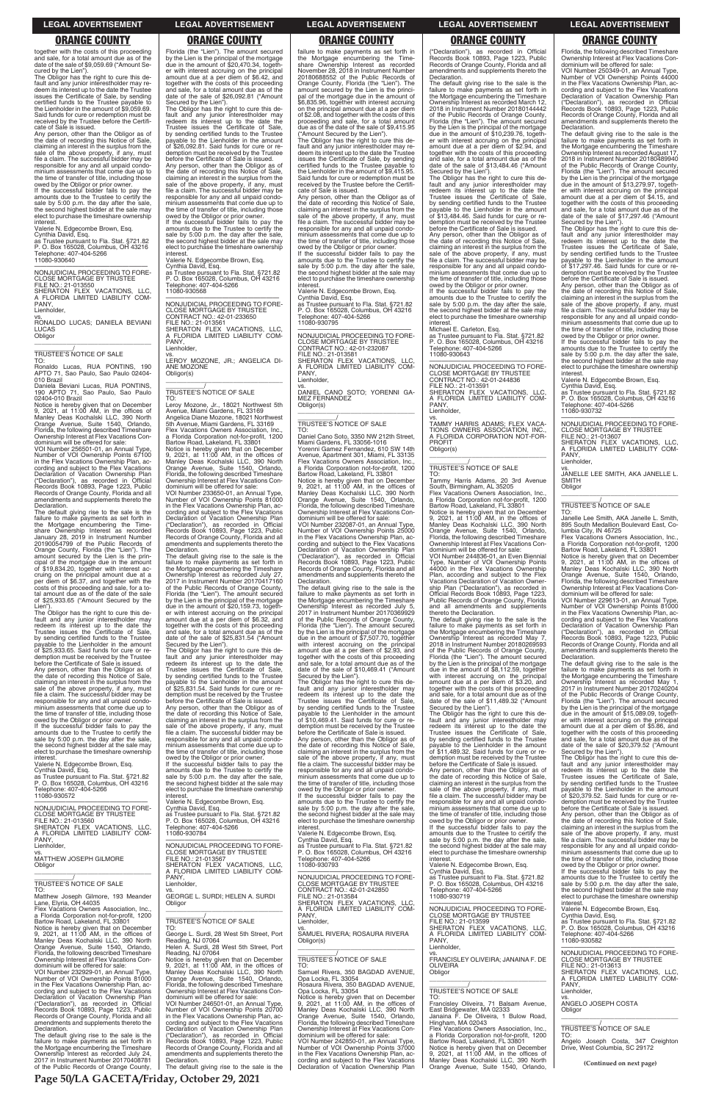together with the costs of this proceeding and sale, for a total amount due as of the date of the sale of \$9,059.69 ("Amount Secured by the Lien").

The Obligor has the right to cure this de-fault and any junior interestholder may re-deem its interest up to the date the Trustee issues the Certificate of Sale, by sending certified funds to the Trustee payable to the Lienholder in the amount of \$9,059.69. Said funds for cure or redemption must be received by the Trustee before the Certifi-cate of Sale is issued.

If the successful bidder fails to pay the amounts due to the Trustee to certify the sale by 5:00 p.m. the day after the sale, the second highest bidder at the sale may elect to purchase the timeshare ownership **interest** 

Any person, other than the Obligor as of the date of recording this Notice of Sale, claiming an interest in the surplus from the sale of the above property, if any, must file a claim. The successful bidder may be responsible for any and all unpaid condominium assessments that come due up to the time of transfer of title, including those owed by the Obligor or prior owner.

PANY, Lienholder

Valerie N. Edgecombe Brown, Esq. Cynthia David, Esq. as Trustee pursuant to Fla. Stat. §721.82 P. O. Box 165028, Columbus, OH 43216 Telephone: 407-404-5266 11080-930640

—————————————————— NONJUDICIAL PROCEEDING TO FORE-CLOSE MORTGAGE BY TRUSTEE FILE NO.: 21-013550 SHERATON FLEX VACATIONS, LLC, A FLORIDA LIMITED LIABILITY COM-

vs.

RONALDO LUCAS; DANIELA BEVIANI LUCAS **Obligor** \_\_\_\_\_\_\_\_\_\_\_\_\_\_\_\_\_\_\_\_\_\_\_\_\_\_\_\_\_\_\_\_\_

\_\_\_\_\_\_\_\_\_\_\_/ TRUSTEE'S NOTICE OF SALE

TO: Ronaldo Lucas, RUA PONTINS, 190 APTO 71, Sao Paulo, Sao Paulo 02404- 010 Brazil

Daniela Beviani Lucas, RUA PONTINS, 190 APTO 71, Sao Paulo, Sao Paulo

02404-010 Brazil Notice is hereby given that on December 9, 2021, at 11:00 AM, in the offices of Manley Deas Kochalski LLC, 390 North Orange Avenue, Suite 1540, Orlando, Florida, the following described Timeshare Ownership Interest at Flex Vacations Con-dominium will be offered for sale: VOI Number 256501-01, an Annual Type,

Number of VOI Ownership Points 67100 in the Flex Vacations Ownership Plan, ac-cording and subject to the Flex Vacations Declaration of Vacation Ownership Plan ("Declaration"), as recorded in Official Records Book 10893, Page 1223, Public Records of Orange County, Florida and all amendments and supplements thereto the Declaration.

The default giving rise to the sale is the failure to make payments as set forth in the Mortgage encumbering the Timeshare Ownership Interest as recorded January 28, 2019 in Instrument Number 20190054799 of the Public Records of Orange County, Florida (the "Lien"). The amount secured by the Lien is the principal of the mortgage due in the amount of \$19,834.20, together with interest ac-cruing on the principal amount due at a per diem of \$6.37, and together with the costs of this proceeding and sale, for a to-tal amount due as of the date of the sale of \$25,933.65 ("Amount Secured by the

Lien"). The Obligor has the right to cure this de-fault and any junior interestholder may redeem its interest up to the date the Trustee issues the Certificate of Sale, by sending certified funds to the Trustee payable to the Lienholder in the amount of \$25,933.65. Said funds for cure or redemption must be received by the Trustee before the Certificate of Sale is issued.

—————————————————— NONJUDICIAL PROCEEDING TO FORE-CLOSE MORTGAGE BY TRUSTEE CONTRACT NO.: 42-01-233650 FILE NO.: 21-013561 SHERATON FLEX VACATIONS, LLC, A FLORIDA LIMITED LIABILITY COM-PANY Lienholder

Any person, other than the Obligor as of the date of recording this Notice of Sale, claiming an interest in the surplus from the sale of the above property, if any, must file a claim. The successful bidder may be responsible for any and all unpaid condo-minium assessments that come due up to the time of transfer of title, including those

owed by the Obligor or prior owner. If the successful bidder fails to pay the amounts due to the Trustee to certify the sale by 5:00 p.m. the day after the sale, the second highest bidder at the sale may elect to purchase the timeshare ownership interest.

Valerie N. Edgecombe Brown, Esq. Cynthia David, Esq.

as Trustee pursuant to Fla. Stat. §721.82 P. O. Box 165028, Columbus, OH 43216 Telephone: 407-404-5266 11080-930572

—————————————————— NONJUDICIAL PROCEEDING TO FORE-

Florida (the "Lien"). The amount secured by the Lien is the principal of the mortgage due in the amount of \$20,470.34, together with interest accruing on the principal amount due at a per diem of \$6.42, and together with the costs of this proceeding and sale, for a total amount due as of the date of the sale of \$26,092.81 ("Amount

Secured by the Lien"). The Obligor has the right to cure this default and any junior interestholder may redeem its interest up to the date the Trustee issues the Certificate of Sale, by sending certified funds to the Trustee payable to the Lienholder in the amount of \$26,092.81. Said funds for cure or redemption must be received by the Trustee before the Certificate of Sale is issued. Any person, other than the Obligor as of

> owed by the Obligor or prior owner. If the successful bidder fails to pay the amounts due to the Trustee to certify the sale by 5:00 p.m. the day after the sale, the second highest bidder at the sale may elect to purchase the timeshare ownership **interest**

the date of recording this Notice of Sale, claiming an interest in the surplus from the sale of the above property, if any, must file a claim. The successful bidder may be responsible for any and all unpaid condominium assessments that come due up to the time of transfer of title, including those owed by the Obligor or prior owner. If the successful bidder fails to pay the

amounts due to the Trustee to certify the sale by 5:00 p.m. the day after the sale, the second highest bidder at the sale may elect to purchase the timeshare ownership

interest. Valerie N. Edgecombe Brown, Esq. Cynthia David, Esq. as Trustee pursuant to Fla. Stat. §721.82 P. O. Box 165028, Columbus, OH 43216

Telephone: 407-404-5266 11080-930568

vs. LEROY MOZONE, JR.; ANGELICA DI-**NOZONE** Obligor(s) \_\_\_\_\_\_\_\_\_\_\_\_\_\_\_\_\_\_\_\_\_\_\_\_\_\_\_\_\_\_\_\_\_

# \_\_\_\_\_\_\_\_\_\_\_/ TRUSTEE'S NOTICE OF SALE

TO: Leroy Mozone, Jr., 18021 Northwest 5th Avenue, Miami Gardens, FL 33169 Angelica Diane Mozone, 18021 Northwest 5th Avenue, Miami Gardens, FL 33169 Flex Vacations Owners Association, Inc.,

> The Obligor has the right to cure this de-<br>fault and any junior interestholder may<br>redeem its interest up to the date the<br>Trustee issues the Certificate of Sale,<br>by sending certified funds to the Trustee<br>payable to the Lie of \$10,469.41. Said funds for cure or re-demption must be received by the Trustee before the Certificate of Sale is issued.

a Florida Corporation not-for-profit, 1200 Bartow Road, Lakeland, FL 33801 Notice is hereby given that on December 9, 2021, at 11:00 AM, in the offices of Manley Deas Kochalski LLC, 390 North Orange Avenue, Suite 1540, Orlando, Florida, the following described Timeshare Ownership Interest at Flex Vacations Con-dominium will be offered for sale:

VOI Number 233650-01, an Annual Type, Number of VOI Ownership Points 81000 in the Flex Vacations Ownership Plan, according and subject to the Flex Vacations Declaration of Vacation Ownership Plan ("Declaration"), as recorded in Official Records Book 10893, Page 1223, Public Records of Orange County, Florida and all amendments and supplements thereto the Declaration.

The default giving rise to the sale is the failure to make payments as set forth in the Mortgage encumbering the Timeshare Ownership Interest as recorded July 27, 2017 in Instrument Number 20170417160 of the Public Records of Orange County, Florida (the "Lien"). The amount secured by the Lien is the principal of the mortgage due in the amount of \$20,159.73, togeth-er with interest accruing on the principal amount due at a per diem of \$6.32, and together with the costs of this proceeding and sale, for a total amount due as of the date of the sale of \$25,831.54 ("Amount

Secured by the Lien"). The Obligor has the right to cure this de-fault and any junior interestholder may redeem its interest up to the date the Trustee issues the Certificate of Sale, by sending certified funds to the Trustee payable to the Lienholder in the amount of \$25,831.54. Said funds for cure or re-demption must be received by the Trustee

before the Certificate of Sale is issued. Any person, other than the Obligor as of the date of recording this Notice of Sale, claiming an interest in the surplus from the sale of the above property, if any, must file a claim. The successful bidder may be responsible for any and all unpaid condo-minium assessments that come due up to the time of transfer of title, including those

owed by the Obligor or prior owner. If the successful bidder fails to pay the amounts due to the Trustee to certify the sale by 5:00 p.m. the day after the sale, the second highest bidder at the sale may elect to purchase the timeshare ownership interest.

Valerie N. Edgecombe Brown, Esq. Cynthia David, Esq.

failure to make payments as set forth in the Mortgage encumbering the Time-share Ownership Interest as recorded November 28, 2018 in Instrument Number 20180688552 of the Public Records of Orange County, Florida (the "Lien"). The amount secured by the Lien is the principal of the mortgage due in the amount of \$6,835.96, together with interest accruing on the principal amount due at a per diem of \$2.08, and together with the costs of this proceeding and sale, for a total amount due as of the date of the sale of \$9,415.95

("Amount Secured by the Lien"). The Obligor has the right to cure this de-fault and any junior interestholder may redeem its interest up to the date the Trustee issues the Certificate of Sale, by sending certified funds to the Trustee payable to the Lienholder in the amount of \$9,415.95. Said funds for cure or redemption must be received by the Trustee before the Certifi-

> The Obligor has the right to cure this de-<br>fault and any junior interestholder may<br>redeem its interest up to the date the<br>Trustee issues the Certificate of Sale,<br>by sending certified funds to the Trustee<br>payable to the Lie of \$17,297.46. Said funds for cure or re-demption must be received by the Trustee before the Certificate of Sale is issued.

cate of Sale is issued. Any person, other than the Obligor as of the date of recording this Notice of Sale, claiming an interest in the surplus from the sale of the above property, if any, must file a claim. The successful bidder may be responsible for any and all unpaid condo-minium assessments that come due up to the time of transfer of title, including those

> FILE NO.: 21-013607 SHERATON FLEX VACATIONS, LLC, A FLORIDA LIMITED LIABILITY COM-PANY, Lienholder

Valerie N. Edgecombe Brown, Esq. Cynthia David, Esq.

as Trustee pursuant to Fla. Stat. §721.82 P. O. Box 165028, Columbus, OH 43216 Telephone: 407-404-5266 11080-930795

—————————————————— NONJUDICIAL PROCEEDING TO FORE-CLOSE MORTGAGE BY TRUSTEE CONTRACT NO.: 42-01-232087 FILE NO.: 21-013581 SHERATON FLEX VACATIONS, LLC, A FLORIDA LIMITED LIABILITY COM-A<br>PANY, Lienholder,

vs. DANIEL CANO SOTO; YORENNI GA-MEZ FERNANDEZ Obligor(s) \_\_\_\_\_\_\_\_\_\_\_\_\_\_\_\_\_\_\_\_\_\_\_\_\_\_\_\_\_\_\_\_\_

# \_\_\_\_\_\_\_\_\_\_\_/ TRUSTEE'S NOTICE OF SALE

TO: Daniel Cano Soto, 3350 NW 212th Street, Miami Gardens, FL 33056-1016 Yorenni Gamez Fernandez, 610 SW 14th Avenue, Apartment 301, Miami, FL 33135 Flex Vacations Owners Association, Inc., a Florida Corporation not-for-profit, 1200 Bartow Road, Lakeland, FL 33801 Notice is hereby given that on December 9, 2021, at 11:00 AM, in the offices of Manley Deas Kochalski LLC, 390 North Orange Avenue, Suite 1540, Orlando, Florida, the following described Timeshare Ownership Interest at Flex Vacations Con-dominium will be offered for sale: VOI Number 232087-01, an Annual Type,

Number of VOI Ownership Points 25000 in the Flex Vacations Ownership Plan, ac-cording and subject to the Flex Vacations Declaration of Vacation Ownership Plan ("Declaration"), as recorded in Official Records Book 10893, Page 1223, Public Records of Orange County, Florida and all amendments and supplements thereto the Declaration.

The default giving rise to the sale is the failure to make payments as set forth in the Mortgage encumbering the Timeshare Ownership Interest as recorded July 5, 2017 in Instrument Number 20170369929 of the Public Records of Orange County, Florida (the "Lien"). The amount secured by the Lien is the principal of the mortgage due in the amount of \$7,507.70, together with interest accruing on the principal amount due at a per diem of \$2.93, and together with the costs of this proceeding and sale, for a total amount due as of the date of the sale of \$10,469.41 ("Amount Secured by the Lien").

Any person, other than the Obligor as of the date of recording this Notice of Sale, claiming an interest in the surplus from the sale of the above property, if any, must file a claim. The successful bidder may be responsible for any and all unpaid condominium assessments that come due up to the time of transfer of title, including those owed by the Obligor or prior owner.

If the successful bidder fails to pay the amounts due to the Trustee to certify the sale by 5:00 p.m. the day after the sale,

| <u>NUNUULIUMET HUULLUINU TUTTUILE</u><br>CLOSE MORTGAGE BY TRUSTEE<br>FILE NO.: 21-013560<br>SHERATON FLEX VACATIONS, LLC,<br>A FLORIDA LIMITED LIABILITY COM-<br>PANY.                                                                                         | Oynuna Daviu, Loy.<br>as Trustee pursuant to Fla. Stat. §721.82<br>P. O. Box 165028, Columbus, OH 43216<br>Telephone: 407-404-5266<br>11080-930784                                                                                     | sale by $3.00$ p.m. the day after the sale,<br>the second highest bidder at the sale may<br>elect to purchase the timeshare ownership<br>interest.<br>Valerie N. Edgecombe Brown, Esg.<br>Cynthia David, Esq.                                           | <u>ITIIIIIUIII assessifierits triat come due up to</u><br>the time of transfer of title, including those<br>owed by the Obligor or prior owner.<br>If the successful bidder fails to pay the<br>amounts due to the Trustee to certify the<br>sale by 5:00 p.m. the day after the sale, | DEIVIE IIIE OEIIIIIJAIE UI JAIE IS ISSUEU.<br>Any person, other than the Obligor as of<br>the date of recording this Notice of Sale,<br>claiming an interest in the surplus from the<br>sale of the above property, if any, must<br>file a claim. The successful bidder may be |
|-----------------------------------------------------------------------------------------------------------------------------------------------------------------------------------------------------------------------------------------------------------------|----------------------------------------------------------------------------------------------------------------------------------------------------------------------------------------------------------------------------------------|---------------------------------------------------------------------------------------------------------------------------------------------------------------------------------------------------------------------------------------------------------|----------------------------------------------------------------------------------------------------------------------------------------------------------------------------------------------------------------------------------------------------------------------------------------|--------------------------------------------------------------------------------------------------------------------------------------------------------------------------------------------------------------------------------------------------------------------------------|
| Lienholder.<br>VS.<br>MATTHEW JOSEPH GILMORE<br>Obligor                                                                                                                                                                                                         | NONJUDICIAL PROCEEDING TO FORE-<br><b>CLOSE MORTGAGE BY TRUSTEE</b><br>FILE NO.: 21-013567<br>SHERATON FLEX VACATIONS, LLC,<br>A FLORIDA LIMITED LIABILITY COM-                                                                        | as Trustee pursuant to Fla. Stat. §721.82<br>P. O. Box 165028. Columbus. OH 43216<br>Telephone: 407-404-5266<br>11080-930793                                                                                                                            | the second highest bidder at the sale may<br>elect to purchase the timeshare ownership<br>interest.<br>Valerie N. Edgecombe Brown, Esq.<br>Cynthia David, Esq.                                                                                                                         | responsible for any and all unpaid condo-<br>minium assessments that come due up to<br>the time of transfer of title, including those<br>owed by the Obligor or prior owner.<br>If the successful bidder fails to pay the                                                      |
| TRUSTEE'S NOTICE OF SALE<br>TO:<br>Matthew Joseph Gilmore, 193 Meander<br>Lane, Elyria, OH 44035                                                                                                                                                                | PANY.<br>Lienholder,<br>VS.<br>GEORGE L. SURDI; HELEN A. SURDI<br>Obligor                                                                                                                                                              | NONJUDICIAL PROCEEDING TO FORE-<br><b>CLOSE MORTGAGE BY TRUSTEE</b><br>CONTRACT NO.: 42-01-242850<br>FILE NO.: 21-013584<br>SHERATON FLEX VACATIONS. LLC.                                                                                               | as Trustee pursuant to Fla. Stat. §721.82<br>P. O. Box 165028, Columbus, OH 43216<br>Telephone: 407-404-5266<br>11080-930719                                                                                                                                                           | amounts due to the Trustee to certify the<br>sale by 5:00 p.m. the day after the sale,<br>the second highest bidder at the sale may<br>elect to purchase the timeshare ownership<br>interest.                                                                                  |
| Flex Vacations Owners Association, Inc.,<br>a Florida Corporation not-for-profit, 1200<br>Bartow Road, Lakeland, FL 33801<br>Notice is hereby given that on December<br>9, 2021, at $11:00$ AM, in the offices of                                               | TRUSTEE'S NOTICE OF SALE<br>TO:<br>George L. Surdi, 28 West 5th Street, Port                                                                                                                                                           | A FLORIDA LIMITED LIABILITY COM-<br>PANY.<br>Lienholder.<br>VS.<br>SAMUEL RIVERA; ROSAURA RIVERA                                                                                                                                                        | NONJUDICIAL PROCEEDING TO FORE-<br><b>CLOSE MORTGAGE BY TRUSTEE</b><br>FILE NO.: 21-013599<br>SHERATON FLEX VACATIONS, LLC,<br>A FLORIDA LIMITED LIABILITY COM-                                                                                                                        | Valerie N. Edgecombe Brown, Esq.<br>Cynthia David. Esg.<br>as Trustee pursuant to Fla. Stat. §721.82<br>P. O. Box 165028, Columbus, OH 43216<br>Telephone: 407-404-5266                                                                                                        |
| Manley Deas Kochalski LLC, 390 North<br>Orange Avenue, Suite 1540, Orlando,<br>Florida, the following described Timeshare<br>Ownership Interest at Flex Vacations Con-<br>dominium will be offered for sale:                                                    | Reading, NJ 07064<br>Helen A. Surdi, 28 West 5th Street, Port<br>Reading, NJ 07064<br>Notice is hereby given that on December<br>9, 2021, at 11:00 AM, in the offices of                                                               | Obligor(s)<br>TRUSTEE'S NOTICE OF SALE<br>TO:                                                                                                                                                                                                           | PANY.<br>Lienholder.<br>VS.<br>FRANCISLEY OLIVEIRA: JANAINA F. DE<br><b>OLIVEIRA</b>                                                                                                                                                                                                   | 11080-930582<br>NONJUDICIAL PROCEEDING TO FORE-<br><b>CLOSE MORTGAGE BY TRUSTEE</b><br>FILE NO.: 21-013613<br>SHERATON FLEX VACATIONS. LLC.                                                                                                                                    |
| VOI Number 232929-01, an Annual Type,<br>Number of VOI Ownership Points 81000<br>in the Flex Vacations Ownership Plan, ac-<br>cording and subject to the Flex Vacations<br>Declaration of Vacation Ownership Plan                                               | Manley Deas Kochalski LLC, 390 North<br>Orange Avenue, Suite 1540, Orlando,<br>Florida, the following described Timeshare<br>Ownership Interest at Flex Vacations Con-<br>dominium will be offered for sale:                           | Samuel Rivera, 350 BAGDAD AVENUE,<br>Opa Locka, FL 33054<br>Rosaura Rivera, 350 BAGDAD AVENUE,<br>Opa Locka, FL 33054<br>Notice is hereby given that on December                                                                                        | Obligor<br><b>TRUSTEE'S NOTICE OF SALE</b><br>TO:                                                                                                                                                                                                                                      | A FLORIDA LIMITED LIABILITY COM-<br>PANY.<br>Lienholder,<br>VS.                                                                                                                                                                                                                |
| ("Declaration"), as recorded in Official<br>Records Book 10893, Page 1223, Public<br>Records of Orange County, Florida and all<br>amendments and supplements thereto the<br>Declaration.                                                                        | VOI Number 246501-01, an Annual Type,<br>Number of VOI Ownership Points 20700<br>in the Flex Vacations Ownership Plan, ac-<br>cording and subject to the Flex Vacations<br>Declaration of Vacation Ownership Plan                      | 9. 2021. at $11:00$ AM. in the offices of<br>Manley Deas Kochalski LLC, 390 North<br>Orange Avenue, Suite 1540, Orlando,<br>Florida, the following described Timeshare<br>Ownership Interest at Flex Vacations Con-                                     | Francisley Oliveira, 71 Balsam Avenue,<br>East Bridgewater, MA 02333<br>Janaina F. De Oliveira. 1 Bulow Road.<br>Hingham, MA 02043<br>Flex Vacations Owners Association, Inc.,                                                                                                         | ANGELO JOSEPH COSTA<br>Obligor<br>TRUSTEE'S NOTICE OF SALE<br>TO:                                                                                                                                                                                                              |
| The default giving rise to the sale is the<br>failure to make payments as set forth in<br>the Mortgage encumbering the Timeshare<br>Ownership Interest as recorded July 24,<br>2017 in Instrument Number 20170408781<br>of the Public Records of Orange County, | ("Declaration"), as recorded in Official<br>Records Book 10893, Page 1223, Public<br>Records of Orange County, Florida and all<br>amendments and supplements thereto the<br>Declaration.<br>The default giving rise to the sale is the | dominium will be offered for sale:<br>VOI Number 242850-01, an Annual Type,<br>Number of VOI Ownership Points 37000<br>in the Flex Vacations Ownership Plan, ac-<br>cording and subject to the Flex Vacations<br>Declaration of Vacation Ownership Plan | a Florida Corporation not-for-profit, 1200<br>Bartow Road, Lakeland, FL 33801<br>Notice is hereby given that on December<br>9, 2021, at 11:00 AM, in the offices of<br>Manley Deas Kochalski LLC, 390 North<br>Orange Avenue, Suite 1540, Orlando,                                     | Angelo Joseph Costa, 347 Creighton<br>Drive, West Columbia, SC 29172<br>(Continued on next page)                                                                                                                                                                               |

("Declaration"), as recorded in Official Records Book 10893, Page 1223, Public Records of Orange County, Florida and all amendments and supplements thereto the Declaration.

The default giving rise to the sale is the failure to make payments as set forth in the Mortgage encumbering the Timeshare Ownership Interest as recorded March 12, 2018 in Instrument Number 20180144442 of the Public Records of Orange County, Florida (the "Lien"). The amount secured by the Lien is the principal of the mortgage due in the amount of \$10,239.76, togeth-er with interest accruing on the principal amount due at a per diem of \$2.94, and together with the costs of this proceeding and sale, for a total amount due as of the date of the sale of \$13,484.46 ("Amount

Secured by the Lien"). The Obligor has the right to cure this de-fault and any junior interestholder may redeem its interest up to the date the Trustee issues the Certificate of Sale, by sending certified funds to the Trustee payable to the Lienholder in the amount of \$13,484.46. Said funds for cure or re-demption must be received by the Trustee

before the Certificate of Sale is issued. Any person, other than the Obligor as of the date of recording this Notice of Sale, claiming an interest in the surplus from the sale of the above property, if any, must file a claim. The successful bidder may be responsible for any and all unpaid condo-minium assessments that come due up to the time of transfer of title, including those

owed by the Obligor or prior owner. If the successful bidder fails to pay the amounts due to the Trustee to certify the sale by 5:00 p.m. the day after the sale, the second highest bidder at the sale may elect to purchase the timeshare ownership interest.

Michael E. Carleton, Esq. as Trustee pursuant to Fla. Stat. §721.82

P. O. Box 165028, Columbus, OH 43216 Telephone: 407-404-5266 11080-930643

—————————————————— NONJUDICIAL PROCEEDING TO FORE-CLOSE MORTGAGE BY TRUSTEE CONTRACT NO.: 42-01-244836 FILE NO.: 21-013591 SHERATON FLEX VACATIONS, LLC, A FLORIDA LIMITED LIABILITY COM-PANY, Lienholder,

vs. TAMMY HARRIS ADAMS; FLEX VACA-TIONS OWNERS ASSOCIATION, INC., A FLORIDA CORPORATION NOT-FOR-PROFIT Obligor(s)

\_\_\_\_\_\_\_\_\_\_\_\_\_\_\_\_\_\_\_\_\_\_\_\_\_\_\_\_\_\_\_\_\_

# \_\_\_\_\_\_\_\_\_\_\_/ TRUSTEE'S NOTICE OF SALE

TO: Tammy Harris Adams, 20 3rd Avenue South, Birmingham, AL 35205

Flex Vacations Owners Association, Inc., a Florida Corporation not-for-profit, 1200 Bartow Road, Lakeland, FL 33801

Notice is hereby given that on December 9, 2021, at 11:00 AM, in the offices of Manley Deas Kochalski LLC, 390 North Orange Avenue, Suite 1540, Orlando, Florida, the following described Timeshare Ownership Interest at Flex Vacations Con-

dominium will be offered for sale: VOI Number 244836-01, an Even Biennial Type, Number of VOI Ownership Points 44000 in the Flex Vacations Ownership Plan, according and subject to the Flex Vacations Declaration of Vacation Ownership Plan ("Declaration"), as recorded in Official Records Book 10893, Page 1223, Public Records of Orange County, Florida and all amendments and supplements thereto the Declaration. The default giving rise to the sale is the

failure to make payments as set forth in the Mortgage encumbering the Timeshare Ownership Interest as recorded May 7, 2018 in Instrument Number 20180269593 of the Public Records of Orange County, Florida (the "Lien"). The amount secured by the Lien is the principal of the mortgage due in the amount of \$8,112.59, together with interest accruing on the principal amount due at a per diem of \$3.20, and together with the costs of this proceeding and sale, for a total amount due as of the date of the sale of \$11,489.32 ("Amount Secured by the Lien"). The Obligor has the right to cure this de-

fault and any junior interestholder may redeem its interest up to the date the Trustee issues the Certificate of Sale, by sending certified funds to the Trustee payable to the Lienholder in the amount of \$11,489.32. Said funds for cure or redemption must be received by the Trustee before the Certificate of Sale is issued. Any person, other than the Obligor as of

the date of recording this Notice of Sale, claiming an interest in the surplus from the sale of the above property, if any, must file a claim. The successful bidder may be responsible for any and all unpaid condo-minium assessments that come due up to

Florida, the following described Timeshare Ownership Interest at Flex Vacations Con-dominium will be offered for sale: VOI Number 250349-01, an Annual Type,

Number of VOI Ownership Points 44000 in the Flex Vacations Ownership Plan, ac-cording and subject to the Flex Vacations Declaration of Vacation Ownership Plan ("Declaration"), as recorded in Official Records Book 10893, Page 1223, Public Records of Orange County, Florida and all amendments and supplements thereto the Declaration.

The default giving rise to the sale is the failure to make payments as set forth in the Mortgage encumbering the Timeshare Ownership Interest as recorded August 17, 2018 in Instrument Number 20180489940 of the Public Records of Orange County, Florida (the "Lien"). The amount secured by the Lien is the principal of the mortgage due in the amount of \$13,279.97, together with interest accruing on the principal amount due at a per diem of \$4.15, and together with the costs of this proceeding and sale, for a total amount due as of the date of the sale of \$17,297.46 ("Amount Secured by the Lien").

Any person, other than the Obligor as of the date of recording this Notice of Sale, claiming an interest in the surplus from the sale of the above property, if any, must file a claim. The successful bidder may be responsible for any and all unpaid condominium assessments that come due up to the time of transfer of title, including those owed by the Obligor or prior owner.

If the successful bidder fails to pay the amounts due to the Trustee to certify the sale by 5:00 p.m. the day after the sale, the second highest bidder at the sale may elect to purchase the timeshare ownership interest.

Valerie N. Edgecombe Brown, Esq. Cynthia David, Esq. as Trustee pursuant to Fla. Stat. §721.82 P. O. Box 165028, Columbus, OH 43216 Telephone: 407-404-5266 11080-930732

—————————————————— NONJUDICIAL PROCEEDING TO FORE-CLOSE MORTGAGE BY TRUSTEE

vs. JANELLE LEE SMITH, AKA JANELLE L. SMITH Obligor \_\_\_\_\_\_\_\_\_\_\_\_\_\_\_\_\_\_\_\_\_\_\_\_\_\_\_\_\_\_\_\_\_

\_\_\_\_\_\_\_\_\_\_\_/ TRUSTEE'S NOTICE OF SALE

TO: Janelle Lee Smith, AKA Janelle L. Smith, 895 South Medallion Boulevard East, Columbia City, IN 46725 Flex Vacations Owners Association, Inc.,

a Florida Corporation not-for-profit, 1200

Bartow Road, Lakeland, FL 33801 Notice is hereby given that on December 9, 2021, at 11:00 AM, in the offices of Manley Deas Kochalski LLC, 390 North Orange Avenue, Suite 1540, Orlando, Florida, the following described Timeshare Ownership Interest at Flex Vacations Con-dominium will be offered for sale: VOI Number 229613-01, an Annual Type,

Number of VOI Ownership Points 81000 in the Flex Vacations Ownership Plan, ac-cording and subject to the Flex Vacations Declaration of Vacation Ownership Plan ("Declaration"), as recorded in Official Records Book 10893, Page 1223, Public Records of Orange County, Florida and all amendments and supplements thereto the Declaration.

The default giving rise to the sale is the failure to make payments as set forth in the Mortgage encumbering the Timeshare Ownership Interest as recorded May 1, 2017 in Instrument Number 20170240204 of the Public Records of Orange County, Florida (the "Lien"). The amount secured by the Lien is the principal of the mortgage due in the amount of \$15,089.09, together with interest accruing on the principal amount due at a per diem of \$5.86, and together with the costs of this proceeding and sale, for a total amount due as of the date of the sale of \$20,379.52 ("Amount Secured by the Lien").

The Obligor has the right to cure this de-fault and any junior interestholder may redeem its interest up to the date the Trustee issues the Certificate of Sale, by sending certified funds to the Trustee payable to the Lienholder in the amount of \$20,379.52. Said funds for cure or redemption must be received by the Trustee before the Certificate of Sale is issued.

**Page 50/LA GACETA/Friday, October 29, 2021**

### **LEGAL ADVERTISEMENT LEGAL ADVERTISEMENT LEGAL ADVERTISEMENT LEGAL ADVERTISEMENT LEGAL ADVERTISEMENT**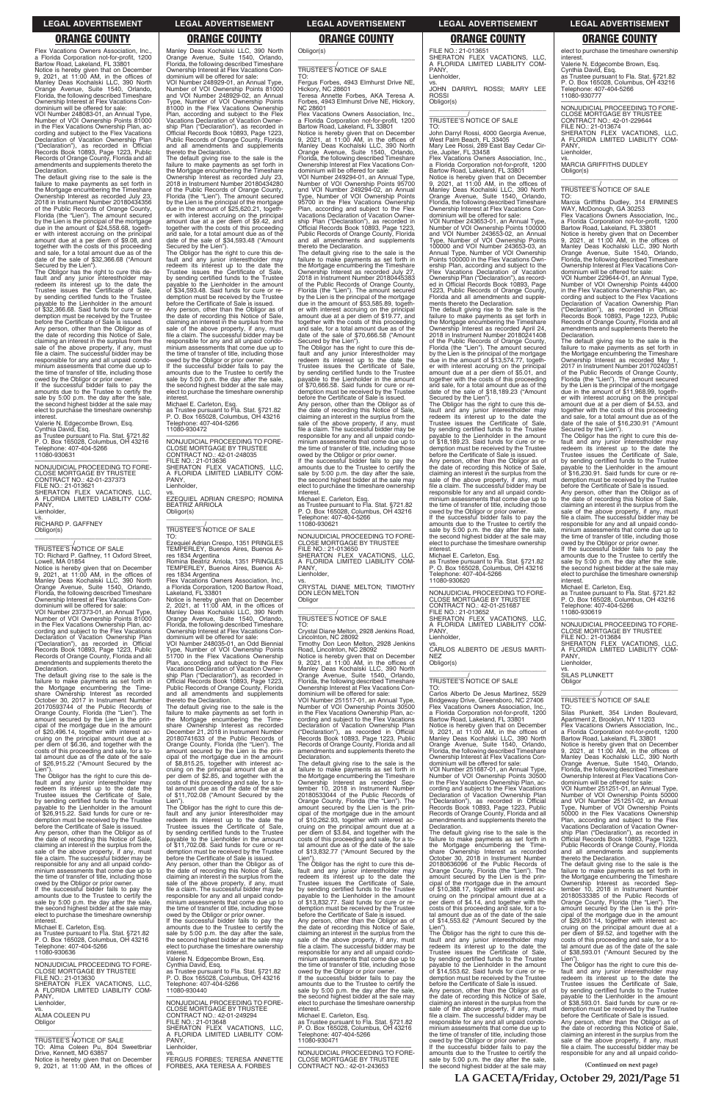Flex Vacations Owners Association, Inc. a Florida Corporation not-for-profit, 1200

Bartow Road, Lakeland, FL 33801 Notice is hereby given that on December 9, 2021, at 11:00 AM, in the offices of Manley Deas Kochalski LLC, 390 North Orange Avenue, Suite 1540, Orlando, Florida, the following described Timeshare Ownership Interest at Flex Vacations Con-dominium will be offered for sale:

VOI Number 248083-01, an Annual Type, Number of VOI Ownership Points 81000 in the Flex Vacations Ownership Plan, according and subject to the Flex Vacations<br>Declaration of Vacation Ownership Plan<br>("Declaration"), as recorded in Official<br>Records Book 10893, Page 1223, Public<br>Records of Orange County, Florida and all<br>amendments and suppl Declaration.

The default giving rise to the sale is the failure to make payments as set forth in the Mortgage encumbering the Timeshare Ownership Interest as recorded July 23, 2018 in Instrument Number 20180434356 of the Public Records of Orange County, Florida (the "Lien"). The amount secured by the Lien is the principal of the mortgage due in the amount of \$24,558.68, together with interest accruing on the principal amount due at a per diem of \$9.08, and together with the costs of this proceeding and sale, for a total amount due as of the date of the sale of \$32,366.68 ("Amount Secured by the Lien").

 $\overline{\phantom{a}}$  , and the set of the set of the set of the set of the set of the set of the set of the set of the set of the set of the set of the set of the set of the set of the set of the set of the set of the set of the s \_\_\_\_\_\_\_\_\_\_\_/ TRUSTEE'S NOTICE OF SALE TO: Richard P. Gaffney, 11 Oxford Street, Lowell, MA 01854

The Obligor has the right to cure this de-fault and any junior interestholder may redeem its interest up to the date the Trustee issues the Certificate of Sale, by sending certified funds to the Trustee payable to the Lienholder in the amount of \$32,366.68. Said funds for cure or re-demption must be received by the Trustee before the Certificate of Sale is issued.

VOI Number 237373-01, an Annual Type, Number of VOI Ownership Points 81000 in the Flex Vacations Ownership Plan, according and subject to the Flex Vacations Declaration of Vacation Ownership Plan ("Declaration"), as recorded in Official Records Book 10893, Page 1223, Public Records of Orange County, Florida and all amendments and supplements thereto the **Declaration** 

Any person, other than the Obligor as of the date of recording this Notice of Sale, claiming an interest in the surplus from the sale of the above property, if any, must file a claim. The successful bidder may be responsible for any and all unpaid condo-minium assessments that come due up to the time of transfer of title, including those

owed by the Obligor or prior owner. If the successful bidder fails to pay the amounts due to the Trustee to certify the sale by 5:00 p.m. the day after the sale, the second highest bidder at the sale may elect to purchase the timeshare ownership interest.

Valerie N. Edgecombe Brown, Esq. Cynthia David, Esq. as Trustee pursuant to Fla. Stat. §721.82 P. O. Box 165028, Columbus, OH 43216 Telephone: 407-404-5266 11080-930631

—————————————————— NONJUDICIAL PROCEEDING TO FORE-CLOSE MORTGAGE BY TRUSTEE CONTRACT NO.: 42-01-237373 FILE NO.: 21-013621 SHERATON FLEX VACATIONS, LLC, A FLORIDA LIMITED LIABILITY COM-PANY, Lienholder,

vs. RICHARD P. GAFFNEY Obligor(s)

Notice is hereby given that on December 9, 2021, at 11:00 AM, in the offices of Manley Deas Kochalski LLC, 390 North Orange Avenue, Suite 1540, Orlando, Florida, the following described Timeshare Ownership Interest at Flex Vacations Condominium will be offered for sale:

The default giving rise to the sale is the failure to make payments as set forth in the Mortgage encumbering the Time-share Ownership Interest as recorded October 30, 2017 in Instrument Number 20170593744 of the Public Records of Orange County, Florida (the "Lien"). The amount secured by the Lien is the principal of the mortgage due in the amount of \$20,496.14, together with interest accruing on the principal amount due at a per diem of \$6.36, and together with the costs of this proceeding and sale, for a total amount due as of the date of the sale of \$26,915.22 ("Amount Secured by the Lien"). Obligor(s)  $\overline{\phantom{a}}$  ,  $\overline{\phantom{a}}$  ,  $\overline{\phantom{a}}$  ,  $\overline{\phantom{a}}$  ,  $\overline{\phantom{a}}$  ,  $\overline{\phantom{a}}$  ,  $\overline{\phantom{a}}$  ,  $\overline{\phantom{a}}$  ,  $\overline{\phantom{a}}$  ,  $\overline{\phantom{a}}$  ,  $\overline{\phantom{a}}$  ,  $\overline{\phantom{a}}$  ,  $\overline{\phantom{a}}$  ,  $\overline{\phantom{a}}$  ,  $\overline{\phantom{a}}$  ,  $\overline{\phantom{a}}$ 

The Obligor has the right to cure this default and any junior interestholder may redeem its interest up to the date the Trustee issues the Certificate of Sale, by sending certified funds to the Trustee payable to the Lienholder in the amount

# Manley Deas Kochalski LLC, 390 North Orange Avenue, Suite 1540, Orlando, Florida, the following described Timeshare Ownership Interest at Flex Vacations Con-

dominium will be offered for sale: VOI Number 248929-01, an Annual Type, Number of VOI Ownership Points 81000 and VOI Number 248929-02, an Annual Type, Number of VOI Ownership Points 81000 in the Flex Vacations Ownership Plan, according and subject to the Flex Vacations Declaration of Vacation Ownership Plan ("Declaration"), as recorded in Official Records Book 10893, Page 1223, Public Records of Orange County, Florida and all amendments and supplements thereto the Declaration.

The default giving rise to the sale is the failure to make payments as set forth in the Mortgage encumbering the Timeshare Ownership Interest as recorded July 23, 2018 in Instrument Number 20180434280 of the Public Records of Orange County, Florida (the "Lien"). The amount secured by the Lien is the principal of the mortgage due in the amount of \$25,620.21, together with interest accruing on the principal amount due at a per diem of \$9.42, and together with the costs of this proceeding and sale, for a total amount due as of the date of the sale of \$34,593.48 ("Amount

> owed by the Obligor or prior owner. If the successful bidder fails to pay the amounts due to the Trustee to certify the sale by 5:00 p.m. the day after the sale. the second highest bidder at the sale may elect to purchase the timeshare ownership **interest**

Secured by the Lien"). The Obligor has the right to cure this de-fault and any junior interestholder may redeem its interest up to the date the Trustee issues the Certificate of Sale, by sending certified funds to the Trustee payable to the Lienholder in the amount of \$34,593.48. Said funds for cure or re-demption must be received by the Trustee

> FILE NO.: 21-013650 SHERATON FLEX VACATIONS, LLC, A FLORIDA LIMITED LIABILITY COM-PANY, **Lienholder**

before the Certificate of Sale is issued. Any person, other than the Obligor as of the date of recording this Notice of Sale, claiming an interest in the surplus from the sale of the above property, if any, must file a claim. The successful bidder may be responsible for any and all unpaid condo-minium assessments that come due up to the time of transfer of title, including those

> Crystal Diane Melton, 2928 Jenkins Road,<br>Lincolnton, NC 28092<br>Timothy Don Leon Melton, 2928 Jenkins<br>Road, Lincolnton, NC 28092<br>Notice is hereby given that on December<br>9, 2021, at 11:00 AM, in the offices of<br>Manley Deas Koc Florida, the following described Timeshare Ownership Interest at Flex Vacations Con-dominium will be offered for sale: VOI Number 251517-01, an Annual Type,

owed by the Obligor or prior owner. If the successful bidder fails to pay the amounts due to the Trustee to certify the sale by 5:00 p.m. the day after the sale, the second highest bidder at the sale may elect to purchase the timeshare ownership interest.

Michael E. Carleton, Esq. as Trustee pursuant to Fla. Stat. §721.82 P. O. Box 165028, Columbus, OH 43216 Telephone: 407-404-5266 11080-930472

—————————————————— NONJUDICIAL PROCEEDING TO FORE-CLOSE MORTGAGE BY TRUSTEE CONTRACT NO.: 42-01-248035 FILE NO.: 21-013636 SHERATON FLEX VACATIONS, LLC, A FLORIDA LIMITED LIABILITY COM-PANY, Lienholder, vs. EZEQUIEL ADRIAN CRESPO; ROMINA BEATRIZ ARRIOLA

# \_\_\_\_\_\_\_\_\_\_\_/ TRUSTEE'S NOTICE OF SALE

TO: Ezequiel Adrian Crespo, 1351 PRINGLES TEMPERLEY, Buenos Aires, Buenos Aires 1834 Argentina Romina Beatriz Arriola, 1351 PRINGLES TEMPERLEY, Buenos Aires, Buenos Ai-

res 1834 Argentina Flex Vacations Owners Association, Inc., a Florida Corporation, 1200 Bartow Road, Lakeland, FL 33801

Notice is hereby given that on December 2, 2021, at 11:00 AM, in the offices of Manley Deas Kochalski LLC, 390 North Orange Avenue, Suite 1540, Orlando, Florida, the following described Timeshare Ownership Interest at Flex Vacations Con-dominium will be offered for sale:

VOI Number 248035-01, an Odd Biennial Type, Number of VOI Ownership Points 51700 in the Flex Vacations Ownership Plan, according and subject to the Flex Vacations Declaration of Vacation Owner-ship Plan ("Declaration"), as recorded in Official Records Book 10893, Page 1223, Public Records of Orange County, Florida and all amendments and supplements thereto the Declaration.

The default giving rise to the sale is the failure to make payments as set forth in the Mortgage encumbering the Timeshare Ownership Interest as recorded December 21, 2018 in Instrument Number 20180741633 of the Public Records of Creater of County Florida (the "Lien"). The Orange County, Florida (the "Lien"). The amount secured by the Lien is the principal of the mortgage due in the amount of \$8,815.25, together with interest ac-cruing on the principal amount due at a per diem of \$2.85, and together with the costs of this proceeding and sale, for a to-tal amount due as of the date of the sale of \$11,702.08 ("Amount Secured by the

Notice is hereby given that on December<br>9, 2021, at 11:00 AM, in the offices of<br>Manley Deas Kochalski LLC, 390 North<br>Orange Avenue, Suite 1540, Orlando,<br>Florida, the following described Timeshare Ownership Interest at Flex Vacations Con-

Obligor(s)

\_\_\_\_\_\_\_\_\_\_\_\_\_\_\_\_\_\_\_\_\_\_\_\_\_\_\_\_\_\_\_\_\_

\_\_\_\_\_\_\_\_\_\_\_/ TRUSTEE'S NOTICE OF SALE

TO: Fergus Forbes, 4943 Elmhurst Drive NE, Hickory, NC 28601 Teresa Annette Forbes, AKA Teresa A. Forbes, 4943 Elmhurst Drive NE, Hickory,

NC 28601 Flex Vacations Owners Association, Inc., a Florida Corporation not-for-profit, 1200 Bartow Road, Lakeland, FL 33801

Notice is hereby given that on December 9, 2021, at 11:00 AM, in the offices of Manley Deas Kochalski LLC, 390 North Orange Avenue, Suite 1540, Orlando, Florida, the following described Timeshare Ownership Interest at Flex Vacations Condominium will be offered for sale:

> Notice is hereby given that on December<br>9, 2021, at 11:00 AM, in the offices of<br>Manley Deas Kochalski LLC, 390 North<br>Orange Avenue, Suite 1540, Orlando,<br>Florida, the following described Timeshare Ownership Interest at Flex Vacations Condominium will be offered for sale: VOI Number 229644-01, an Annual Type,

> Number of VOI Ownership Points 44000 in the Flex Vacations Ownership Plan, ac-cording and subject to the Flex Vacations Declaration of Vacation Ownership Plan<br>("Declaration"), as recorded in Official ("Declaration"), as recorded in Official Records Book 10893, Page 1223, Public Records of Orange County, Florida and all amendments and supplements thereto the **Declaration.**

VOI Number 249294-01, an Annual Type, Number of VOI Ownership Points 95700 and VOI Number 249294-02, an Annual Type, Number of VOI Ownership Points 95700 in the Flex Vacations Ownership Plan, according and subject to the Flex Vacations Declaration of Vacation Owner-ship Plan ("Declaration"), as recorded in Official Records Book 10893, Page 1223, Public Records of Orange County, Florida and all amendments and supplements thereto the Declaration.

The default giving rise to the sale is the failure to make payments as set forth in the Mortgage encumbering the Timeshare Ownership Interest as recorded July 27, 2018 in Instrument Number 20180445383 of the Public Records of Orange County, Florida (the "Lien"). The amount secured by the Lien is the principal of the mortgage due in the amount of \$53,585.89, together with interest accruing on the principal amount due at a per diem of \$19.77, and together with the costs of this proceeding and sale, for a total amount due as of the date of the sale of \$70,666.58 ("Amount

> $\overline{\phantom{a}}$  , and the set of the set of the set of the set of the set of the set of the set of the set of the set of the set of the set of the set of the set of the set of the set of the set of the set of the set of the s \_\_\_\_\_\_\_\_\_\_\_/ TRUSTEE'S NOTICE OF SALE

Secured by the Lien"). The Obligor has the right to cure this de-fault and any junior interestholder may redeem its interest up to the date the Trustee issues the Certificate of Sale, by sending certified funds to the Trustee payable to the Lienholder in the amount of \$70,666.58. Said funds for cure or re-demption must be received by the Trustee before the Certificate of Sale is issued.

Any person, other than the Obligor as of the date of recording this Notice of Sale, claiming an interest in the surplus from the sale of the above property, if any, must file a claim. The successful bidder may be responsible for any and all unpaid condominium assessments that come due up to the time of transfer of title, including those

Michael E. Carleton, Esq. as Trustee pursuant to Fla. Stat. §721.82

P. O. Box 165028, Columbus, OH 43216 Telephone: 407-404-5266 11080-930621

—————————————————— NONJUDICIAL PROCEEDING TO FORE-CLOSE MORTGAGE BY TRUSTEE

vs. CRYSTAL DIANE MELTON; TIMOTHY DON LEON MELTON Obligor \_\_\_\_\_\_\_\_\_\_\_\_\_\_\_\_\_\_\_\_\_\_\_\_\_\_\_\_\_\_\_\_\_

# \_\_\_\_\_\_\_\_\_\_\_/ TRUSTEE'S NOTICE OF SALE

TO:<br>Crystal Diane Melton, 2928 Jenkins Road,

Number of VOI Ownership Points 30500 in the Flex Vacations Ownership Plan, according and subject to the Flex Vacations Declaration of Vacation Ownership Plan ("Declaration"), as recorded in Official Records Book 10893, Page 1223, Public Records of Orange County, Florida and all amendments and supplements thereto the Declaration.

The default giving rise to the sale is the failure to make payments as set forth in the Mortgage encumbering the Timeshare Ownership Interest as recorded Sep-tember 10, 2018 in Instrument Number 20180533044 of the Public Records of Orange County, Florida (the "Lien"). The amount secured by the Lien is the prin-

| by sending certified funds to the Trustee      | Lien").                                        | Orange County, Florida (the "Lien"). The       | ("Declaration"), as recorded in Official       | and VOI Number 251251-02, an Annual          |
|------------------------------------------------|------------------------------------------------|------------------------------------------------|------------------------------------------------|----------------------------------------------|
| pavable to the Lienholder in the amount        | The Obligor has the right to cure this de-     | amount secured by the Lien is the prin-        | Records Book 10893, Page 1223, Public          | Type, Number of VOI Ownership Points         |
| of \$26.915.22. Said funds for cure or re-     | fault and any junior interestholder may        | cipal of the mortgage due in the amount        | Records of Orange County, Florida and all      | 50000 in the Flex Vacations Ownership        |
| demption must be received by the Trustee       | redeem its interest up to the date the         | of \$10,262.93, together with interest ac-     | amendments and supplements thereto the         | Plan, according and subject to the Flex      |
| before the Certificate of Sale is issued.      | Trustee issues the Certificate of Sale.        | cruing on the principal amount due at a        | Declaration.                                   | Vacations Declaration of Vacation Owner-     |
| Any person, other than the Obligor as of       | by sending certified funds to the Trustee      | per diem of \$3.84, and together with the      | The default giving rise to the sale is the     | ship Plan ("Declaration"), as recorded in    |
| the date of recording this Notice of Sale,     | payable to the Lienholder in the amount        | costs of this proceeding and sale, for a to-   | failure to make payments as set forth in       | Official Records Book 10893, Page 1223,      |
| claiming an interest in the surplus from the   | of \$11.702.08. Said funds for cure or re-     | tal amount due as of the date of the sale      | the Mortgage encumbering the Time-             | Public Records of Orange County, Florida     |
| sale of the above property, if any, must       | demption must be received by the Trustee       | of \$13,832.77 ("Amount Secured by the         | share Ownership Interest as recorded           | and all amendments and supplements           |
| file a claim. The successful bidder may be     | before the Certificate of Sale is issued.      | Lien").                                        | October 30, 2018 in Instrument Number          | thereto the Declaration.                     |
| responsible for any and all unpaid condo-      | Any person, other than the Obligor as of       | The Obligor has the right to cure this de-     | 20180636096 of the Public Records of           | The default giving rise to the sale is the   |
| minium assessments that come due up to         | the date of recording this Notice of Sale,     | fault and any junior interestholder may        | Orange County, Florida (the "Lien"). The       | failure to make payments as set forth in     |
| the time of transfer of title, including those | claiming an interest in the surplus from the   | redeem its interest up to the date the         | amount secured by the Lien is the prin-        | the Mortgage encumbering the Timeshare       |
| owed by the Obligor or prior owner.            | sale of the above property, if any, must       | Trustee issues the Certificate of Sale.        | cipal of the mortgage due in the amount        | Ownership Interest as recorded Sep-          |
| If the successful bidder fails to pay the      | file a claim. The successful bidder may be     | by sending certified funds to the Trustee      | of \$10,388.17, together with interest ac-     | tember 10, 2018 in Instrument Number         |
| amounts due to the Trustee to certify the      | responsible for any and all unpaid condo-      | payable to the Lienholder in the amount        | cruing on the principal amount due at a        | 20180533385 of the Public Records of         |
| sale by 5:00 p.m. the day after the sale,      | minium assessments that come due up to         | of \$13,832.77. Said funds for cure or re-     | per diem of \$4.14, and together with the      | Orange County, Florida (the "Lien"). The     |
| the second highest bidder at the sale may      | the time of transfer of title, including those | demption must be received by the Trustee       | costs of this proceeding and sale, for a to-   | amount secured by the Lien is the prin-      |
| elect to purchase the timeshare ownership      | owed by the Obligor or prior owner.            | before the Certificate of Sale is issued.      | tal amount due as of the date of the sale      | cipal of the mortgage due in the amount      |
| interest.                                      | If the successful bidder fails to pay the      | Any person, other than the Obligor as of       | of \$14,553.62 ("Amount Secured by the         | of \$29,801.14, together with interest ac-   |
| Michael E. Carleton, Esq.                      | amounts due to the Trustee to certify the      | the date of recording this Notice of Sale,     | Lien").                                        | cruing on the principal amount due at a      |
| as Trustee pursuant to Fla. Stat. §721.82      | sale by 5:00 p.m. the day after the sale,      | claiming an interest in the surplus from the   | The Obligor has the right to cure this de-     | per diem of \$9.52, and together with the    |
| P. O. Box 165028, Columbus, OH 43216           | the second highest bidder at the sale may      | sale of the above property, if any, must       | fault and any junior interestholder may        | costs of this proceeding and sale, for a to- |
| Telephone: 407-404-5266                        | elect to purchase the timeshare ownership      | file a claim. The successful bidder may be     | redeem its interest up to the date the         | tal amount due as of the date of the sale    |
| 11080-930636                                   | interest.                                      | responsible for any and all unpaid condo-      | Trustee issues the Certificate of Sale,        | of \$38,593.01 ("Amount Secured by the       |
|                                                | Valerie N. Edgecombe Brown, Esq.               | minium assessments that come due up to         | by sending certified funds to the Trustee      | Lien")                                       |
| NONJUDICIAL PROCEEDING TO FORE-                | Cynthia David, Esq.                            | the time of transfer of title, including those | payable to the Lienholder in the amount        | The Obligor has the right to cure this de-   |
| <b>CLOSE MORTGAGE BY TRUSTEE</b>               | as Trustee pursuant to Fla. Stat. §721.82      | owed by the Obligor or prior owner.            | of \$14.553.62. Said funds for cure or re-     | fault and any junior interestholder may      |
| FILE NO.: 21-013630                            | P. O. Box 165028, Columbus, OH 43216           | If the successful bidder fails to pay the      | demption must be received by the Trustee       | redeem its interest up to the date the       |
| SHERATON FLEX VACATIONS. LLC.                  | Telephone: 407-404-5266                        | amounts due to the Trustee to certify the      | before the Certificate of Sale is issued.      | Trustee issues the Certificate of Sale,      |
| A FLORIDA LIMITED LIABILITY COM-               | 11080-930440                                   | sale by 5:00 p.m. the day after the sale,      | Any person, other than the Obligor as of       | by sending certified funds to the Trustee    |
| PANY.                                          |                                                | the second highest bidder at the sale may      | the date of recording this Notice of Sale,     | pavable to the Lienholder in the amount      |
| Lienholder,                                    | NONJUDICIAL PROCEEDING TO FORE-                | elect to purchase the timeshare ownership      | claiming an interest in the surplus from the   | of \$38,593.01. Said funds for cure or re-   |
| VS.                                            | <b>CLOSE MORTGAGE BY TRUSTEE</b>               | interest.                                      | sale of the above property, if any, must       | demption must be received by the Trustee     |
| <b>ALMA COLEEN PU</b>                          | CONTRACT NO.: 42-01-249294                     | Michael E. Carleton, Esq.                      | file a claim. The successful bidder may be     | before the Certificate of Sale is issued.    |
| Obligor                                        | FILE NO.: 21-013648                            | as Trustee pursuant to Fla. Stat. §721.82      | responsible for any and all unpaid condo-      | Any person, other than the Obligor as of     |
|                                                | SHERATON FLEX VACATIONS. LLC.                  | P. O. Box 165028, Columbus, OH 43216           | minium assessments that come due up to         | the date of recording this Notice of Sale,   |
|                                                | A FLORIDA LIMITED LIABILITY COM-               | Telephone: 407-404-5266                        | the time of transfer of title, including those | claiming an interest in the surplus from the |
| <b>TRUSTEE'S NOTICE OF SALE</b>                | PANY.                                          | 11080-930471                                   | owed by the Obligor or prior owner.            | sale of the above property, if any, must     |
| TO: Alma Coleen Pu, 804 Sweetbriar             | Lienholder.                                    |                                                | If the successful bidder fails to pay the      | file a claim. The successful bidder may be   |
| Drive, Kennett, MO 63857                       | VS.                                            | NONJUDICIAL PROCEEDING TO FORE-                | amounts due to the Trustee to certify the      | responsible for any and all unpaid condo-    |
| Notice is hereby given that on December        | <b>FERGUS FORBES: TERESA ANNETTE</b>           | <b>CLOSE MORTGAGE BY TRUSTEE</b>               | sale by 5:00 p.m. the day after the sale,      |                                              |
| 9. 2021, at 11:00 AM, in the offices of        | FORBES, AKA TERESA A, FORBES                   | CONTRACT NO.: 42-01-243653                     | the second highest bidder at the sale may      | (Continued on next page)                     |
|                                                |                                                |                                                |                                                |                                              |

FILE NO.: 21-013651 SHERATON FLEX VACATIONS, LLC, A FLORIDA LIMITED LIABILITY COM-PANY, Lienholder,

vs. JOHN DARRYL ROSSI; MARY LEE ROSSI Obligor(s) \_\_\_\_\_\_\_\_\_\_\_\_\_\_\_\_\_\_\_\_\_\_\_\_\_\_\_\_\_\_\_\_\_

\_\_\_\_\_\_\_\_\_\_\_/ TRUSTEE'S NOTICE OF SALE

TO: John Darryl Rossi, 4000 Georgia Avenue, West Palm Beach, FL 33405 Mary Lee Rossi, 289 East Bay Cedar Circle, Jupiter, FL 33458

Flex Vacations Owners Association, Inc., a Florida Corporation not-for-profit, 1200 Bartow Road, Lakeland, FL 33801

Notice is hereby given that on December 9, 2021, at 11:00 AM, in the offices of Manley Deas Kochalski LLC, 390 North Orange Avenue, Suite 1540, Orlando, Florida, the following described Timeshare Ownership Interest at Flex Vacations Con-

dominium will be offered for sale: VOI Number 243653-01, an Annual Type, Number of VOI Ownership Points 100000 and VOI Number 243653-02, an Annual Type, Number of VOI Ownership Points 100000 and VOI Number 243653-03, an Annual Type, Number of VOI Ownership Points 100000 in the Flex Vacations Ownership Plan, according and subject to the Flex Vacations Declaration of Vacation Ownership Plan ("Declaration"), as recorded in Official Records Book 10893, Page 1223, Public Records of Orange County, Florida and all amendments and supplements thereto the Declaration.

The default giving rise to the sale is the failure to make payments as set forth in the Mortgage encumbering the Timeshare Ownership Interest as recorded April 24, 2018 in Instrument Number 20180241408 of the Public Records of Orange County, Florida (the "Lien"). The amount secured by the Lien is the principal of the mortgage due in the amount of \$13,574.77, together with interest accruing on the principal amount due at a per diem of \$5.01, and together with the costs of this proceeding and sale, for a total amount due as of the date of the sale of \$18,189.23 ("Amount

Secured by the Lien"). The Obligor has the right to cure this de-fault and any junior interestholder may redeem its interest up to the date the Trustee issues the Certificate of Sale, by sending certified funds to the Trustee payable to the Lienholder in the amount of  $$18.189.23$ . Said funds for cure demption must be received by the Trustee

before the Certificate of Sale is issued. Any person, other than the Obligor as of the date of recording this Notice of Sale, claiming an interest in the surplus from the sale of the above property, if any, must file a claim. The successful bidder may be responsible for any and all unpaid condo-minium assessments that come due up to the time of transfer of title, including those

owed by the Obligor or prior owner. If the successful bidder fails to pay the amounts due to the Trustee to certify the sale by 5:00 p.m. the day after the sale, the second highest bidder at the sale may elect to purchase the timeshare ownership interest.

Michael E. Carleton, Esq. as Trustee pursuant to Fla. Stat. §721.82 P. O. Box 165028, Columbus, OH 43216 Telephone: 407-404-5266

11080-930620 —————————————————— NONJUDICIAL PROCEEDING TO FORE-

CLOSE MORTGAGE BY TRUSTEE CONTRACT NO.: 42-01-251687 FILE NO.: 21-013652 SHERATON FLEX VACATIONS, LLC,

A FLORIDA LIMITED LIABILITY COM-PANY, Lienholder,

vs. CARLOS ALBERTO DE JESUS MARTI-N<sub>E7</sub> Obligor(s)

 $\overline{\phantom{a}}$  , and the set of the set of the set of the set of the set of the set of the set of the set of the set of the set of the set of the set of the set of the set of the set of the set of the set of the set of the s

### \_\_\_\_\_\_\_\_\_\_\_/ TRUSTEE'S NOTICE OF SALE TO:

Carlos Alberto De Jesus Martinez, 5529 Bridgeway Drive, Greensboro, NC 27406<br>Flex Vacations Owners Association, Inc. Flex Vacations Owners Association, Inc., a Florida Corporation not-for-profit, 1200 Bartow Road, Lakeland, FL 33801

dominium will be offered for sale: VOI Number 251687-01, an Annual Type, Number of VOI Ownership Points 30500 in the Flex Vacations Ownership Plan, ac-cording and subject to the Flex Vacations Declaration of Vacation Ownership Plan<br>
"Declaration"), as recorded in Official ("Declaration"), as recorded in Official Records Book 10893, Page 1223, Public

elect to purchase the timeshare ownership interest.

Valerie N. Edgecombe Brown, Esq. Cynthia David, Esq. as Trustee pursuant to Fla. Stat. §721.82 P. O. Box 165028, Columbus, OH 43216 Telephone: 407-404-5266 11080-930777

—————————————————— NONJUDICIAL PROCEEDING TO FORE-CLOSE MORTGAGE BY TRUSTEE CONTRACT NO.: 42-01-229644 FILE NO.: 21-013674 SHERATON FLEX VACATIONS, LLC, FLORIDA LIMITED LIABILITY COM-PANY, Lienholder,

vs. MARCIA GRIFFITHS DUDLEY Obligor(s)

# \_\_\_\_\_\_\_\_\_\_\_/ TRUSTEE'S NOTICE OF SALE

TO: Marcia Griffiths Dudley, 314 ERMINES WAY, McDonough, GA 30253 Flex Vacations Owners Association, Inc., a Florida Corporation not-for-profit, 1200

 $\overline{\phantom{a}}$  , and the set of the set of the set of the set of the set of the set of the set of the set of the set of the set of the set of the set of the set of the set of the set of the set of the set of the set of the s

Bartow Road, Lakeland, FL 33801

The default giving rise to the sale is the failure to make payments as set forth in the Mortgage encumbering the Timeshare Ownership Interest as recorded May 1, 2017 in Instrument Number 20170240351 of the Public Records of Orange County, Florida (the "Lien"). The amount secured by the Lien is the principal of the mortgage due in the amount of \$11,968.99, together with interest accruing on the principal amount due at a per diem of \$4.53, and together with the costs of this proceeding and sale, for a total amount due as of the date of the sale of \$16,230.91 ("Amount Secured by the Lien").

The Obligor has the right to cure this de-fault and any junior interestholder may redeem its interest up to the date the Trustee issues the Certificate of Sale, by sending certified funds to the Trustee payable to the Lienholder in the amount of \$16,230.91. Said funds for cure or redemption must be received by the Trustee before the Certificate of Sale is issued.

Any person, other than the Obligor as of the date of recording this Notice of Sale, claiming an interest in the surplus from the sale of the above property, if any, must file a claim. The successful bidder may be responsible for any and all unpaid condominium assessments that come due up to the time of transfer of title, including those owed by the Obligor or prior owner.

If the successful bidder fails to pay the amounts due to the Trustee to certify the sale by 5:00 p.m. the day after the sale, the second highest bidder at the sale may elect to purchase the timeshare ownership interest.

Michael E. Carleton, Esq. as Trustee pursuant to Fla. Stat. §721.82 P. O. Box 165028, Columbus, OH 43216 Telephone: 407-404-5266 11080-930619

—————————————————— NONJUDICIAL PROCEEDING TO FORE-CLOSE MORTGAGE BY TRUSTEE FILE NO.: 21-013684 SHERATON FLEX VACATIONS, LLC,

FLORIDA LIMITED LIABILITY COM-A FL

Lienholder, vs. SILAS PLUNKETT

Obligor

TO: Silas Plunkett, 354 Linden Boulevard, Apartment 2, Brooklyn, NY 11203 Flex Vacations Owners Association, Inc., a Florida Corporation not-for-profit, 1200 Bartow Road, Lakeland, FL 33801

Notice is hereby given that on December<br>9, 2021, at 11:00 AM, in the offices of<br>Manley Deas Kochalski LLC, 390 North<br>Orange Avenue, Suite 1540, Orlando,<br>Florida, the following described Timeshare

Ownership Interest at Flex Vacations Condominium will be offered for sale: VOI Number 251251-01, an Annual Type, Number of VOI Ownership Points 50000

**LA GACETA/Friday, October 29, 2021/Page 51**

### **LEGAL ADVERTISEMENT LEGAL ADVERTISEMENT LEGAL ADVERTISEMENT LEGAL ADVERTISEMENT LEGAL ADVERTISEMENT**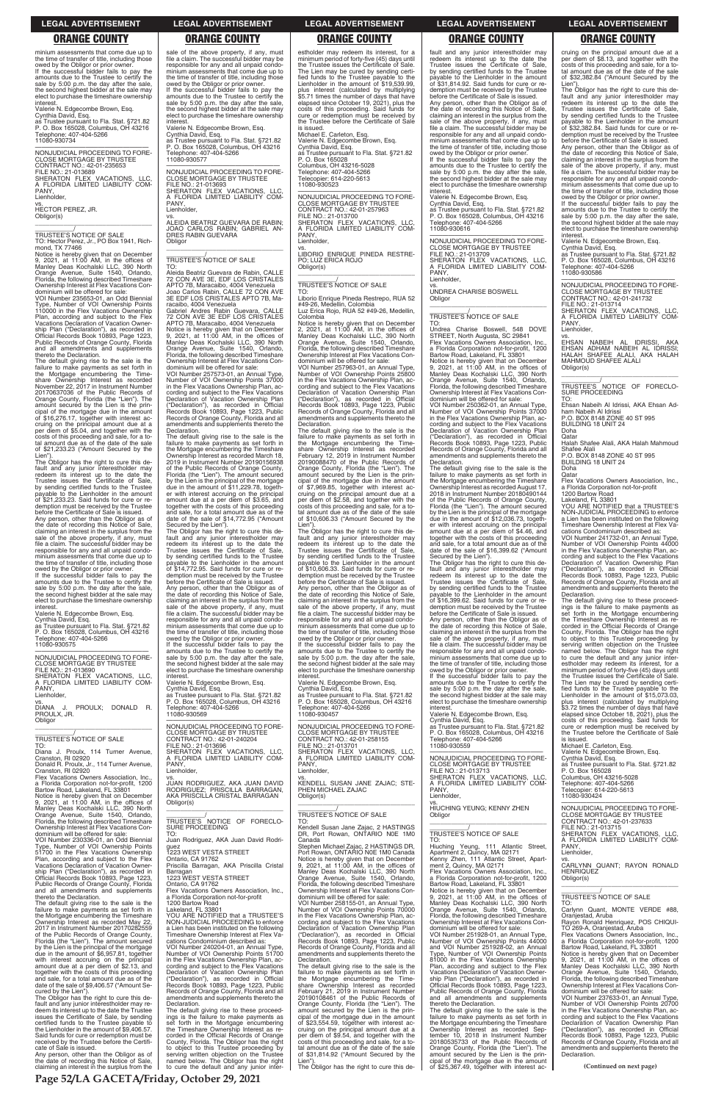**Page 52/LA GACETA/Friday, October 29, 2021**

minium assessments that come due up to the time of transfer of title, including those owed by the Obligor or prior owner. If the successful bidder fails to pay the amounts due to the Trustee to certify the sale by 5:00 p.m. the day after the sale, the second highest bidder at the sale may elect to purchase the timeshare ownership interest.

Valerie N. Edgecombe Brown, Esq.

 $\overline{\phantom{a}}$  , and the set of the set of the set of the set of the set of the set of the set of the set of the set of the set of the set of the set of the set of the set of the set of the set of the set of the set of the s \_\_\_\_\_\_\_\_\_\_\_/ TRUSTEE'S NOTICE OF SALE TO: Hector Perez, Jr., PO Box 1941, Rich-mond, TX 77466

Cynthia David, Esq. as Trustee pursuant to Fla. Stat. §721.82 P. O. Box 165028, Columbus, OH 43216 Telephone: 407-404-5266 11080-930734

—————————————————— NONJUDICIAL PROCEEDING TO FORE-CLOSE MORTGAGE BY TRUSTEE CONTRACT NO.: 42-01-235653 FILE NO.: 21-013689 SHERATON FLEX VACATIONS, LLC, A FLORIDA LIMITED LIABILITY COM-PANY, Lienholder,

vs. HECTOR PEREZ, JR. Obligor(s)

Notice is hereby given that on December 9, 2021, at 11:00 AM, in the offices of Manley Deas Kochalski LLC, 390 North Orange Avenue, Suite 1540, Orlando, Florida, the following described Timeshare Ownership Interest at Flex Vacations Con-dominium will be offered for sale:

VOI Number 235653-01, an Odd Biennial Type, Number of VOI Ownership Points 110000 in the Flex Vacations Ownership Plan, according and subject to the Flex Vacations Declaration of Vacation Ownership Plan ("Declaration"), as recorded in Official Records Book 10893, Page 1223, Public Records of Orange County, Florida and all amendments and supplements thereto the Declaration.

### **Lienholder** vs.

The default giving rise to the sale is the failure to make payments as set forth in the Mortgage encumbering the Time-share Ownership Interest as recorded November 22, 2017 in Instrument Number 20170637036 of the Public Records of Orange County, Florida (the "Lien"). The amount secured by the Lien is the principal of the mortgage due in the amount of \$16,276.17, together with interest accruing on the principal amount due at a per diem of \$5.04, and together with the costs of this proceeding and sale, for a total amount due as of the date of the sale of \$21,233.23 ("Amount Secured by the Lien").

Flex Vacations Owners Association, Inc. a Florida Corporation not-for-profit, 1200 Bartow Road, Lakeland, FL 33801

The Obligor has the right to cure this default and any junior interestholder may<br>redeem its interest up to the date the<br>Trustee issues the Certificate of Sale,<br>by sending certified funds to the Trustee<br>payable to the Lienholder in the amount<br>of \$21,233.23. Said f demption must be received by the Trustee before the Certificate of Sale is issued.

Any person, other than the Obligor as of the date of recording this Notice of Sale, claiming an interest in the surplus from the sale of the above property, if any, must file a claim. The successful bidder may be responsible for any and all unpaid condominium assessments that come due up to the time of transfer of title, including those

owed by the Obligor or prior owner. If the successful bidder fails to pay the amounts due to the Trustee to certify the sale by 5:00 p.m. the day after the sale, the second highest bidder at the sale may elect to purchase the timeshare ownership interest.

Valerie N. Edgecombe Brown, Esq.

Cynthia David, Esq. as Trustee pursuant to Fla. Stat. §721.82 P. O. Box 165028, Columbus, OH 43216 Telephone: 407-404-5266 11080-930575

—————————————————— NONJUDICIAL PROCEEDING TO FORE-CLOSE MORTGAGE BY TRUSTEE FILE NO.: 21-013690 SHERATON FLEX VACATIONS, LLC, A FLORIDA LIMITED LIABILITY COM-PANY,

DIANA J. PROULX; DONALD R. PROULX, JR. Obligor \_\_\_\_\_\_\_\_\_\_\_\_\_\_\_\_\_\_\_\_\_\_\_\_\_\_\_\_\_\_\_\_\_

# \_\_\_\_\_\_\_\_\_\_\_/ TRUSTEE'S NOTICE OF SALE

APTO 7B, Maracaibo, 4004 Venezuela<br>Notice is hereby given that on December<br>9, 2021, at 11:00 AM, in the offices of<br>Manley Deas Kochalski LLC, 390 North<br>Orange Avenue, Suite 1540, Orlando,<br>Florida, the following described T dominium will be offered for sale: VOI Number 257573-01, an Annual Type,

TO: Diana J. Proulx, 114 Turner Avenue, Cranston, RI 02920 Donald R. Proulx, Jr., 114 Turner Avenue, Cranston, RI 02920 failure to make payments as set forth in the Mortgage encumbering the Timeshare Ownership Interest as recorded March 18, 2019 in Instrument Number 20190156938 of the Public Records of Orange County, Florida (the "Lien"). The amount secured by the Lien is the principal of the mortgage due in the amount of \$11,229.78, together with interest accruing on the principal amount due at a per diem of \$3.65, and together with the costs of this proceeding and sale, for a total amount due as of the date of the sale of \$14,772.95 ("Amount<br>Secured by the Lien").

Notice is hereby given that on December 9, 2021, at 11:00 AM, in the offices of Manley Deas Kochalski LLC, 390 North

cate of Sale is issued.

Any person, other than the Obligor as of the date of recording this Notice of Sale, claiming an interest in the surplus from the

sale of the above property, if any, must file a claim. The successful bidder may be responsible for any and all unpaid condominium assessments that come due up to the time of transfer of title, including those owed by the Obligor or prior owner. If the successful bidder fails to pay the amounts due to the Trustee to certify the sale by 5:00 p.m. the day after the sale, the second highest bidder at the sale may elect to purchase the timeshare ownership

interest. Valerie N. Edgecombe Brown, Esq. Cynthia David, Esq. as Trustee pursuant to Fla. Stat. §721.82 P. O. Box 165028, Columbus, OH 43216

Telephone: 407-404-5266 11080-930577 —————————————————— NONJUDICIAL PROCEEDING TO FORE-

CLOSE MORTGAGE BY TRUSTEE FILE NO.: 21-013693 SHERATON FLEX VACATIONS, LLC,<br>A FLORIDA LIMITED LIABILITY COM-<br>PANY, Lienholder,

vs. ALEIDA BEATRIZ GUEVARA DE RABIN; JOAO CARLOS RABIN; GABRIEL AN-DRES RABIN GUEVARA Obligor \_\_\_\_\_\_\_\_\_\_\_\_\_\_\_\_\_\_\_\_\_\_\_\_\_\_\_\_\_\_\_\_\_

### \_\_\_\_\_\_\_\_\_\_\_/ TRUSTEE'S NOTICE OF SALE TO:

Aleida Beatriz Guevara de Rabin, CALLE 72 CON AVE 3E, EDF LOS CRISTALES APTO 7B, Maracaibo, 4004 Venezuela Joao Carlos Rabin, CALLE 72 CON AVE 3E EDF LOS CRISTALES APTO 7B, Maracaibo, 4004 Venezuela

> The default giving rise to the sale is the<br>failure to make payments as set forth in<br>the Mortgage encumbering the Time-<br>share Ownership Interest as recorded<br>February 12, 2019 in Instrument Number<br>20190088470 of the Public R Orange County, Florida (the "Lien"). The amount secured by the Lien is the principal of the mortgage due in the amount of \$7,969.85, together with interest ac-cruing on the principal amount due at a per diem of \$2.58, and together with the costs of this proceeding and sale, for a to-tal amount due as of the date of the sale of \$10,606.33 ("Amount Secured by the

Gabriel Andres Rabin Guevara, CALLE 72 CON AVE 3E EDF LOS CRISTALES

Number of VOI Ownership Points 37000 in the Flex Vacations Ownership Plan, according and subject to the Flex Vacations Declaration of Vacation Ownership Plan ("Declaration"), as recorded in Official Records Book 10893, Page 1223, Public Records of Orange County, Florida and all amendments and supplements thereto the Declaration. The default giving rise to the sale is the

fault and any junior interestholder may redeem its interest up to the date the Trustee of Sale, by sending certified funds to the Trustee payable to the Lienholder in the amount of \$31,814.92. Said funds for cure or redemption must be received by the Trustee before the Certificate of Sale is issued.

Secured by the Lien"). The Obligor has the right to cure this de-fault and any junior interestholder may redeem its interest up to the date the Trustee issues the Certificate of Sale, by sending certified funds to the Trustee payable to the Lienholder in the amount of \$14,772.95. Said funds for cure or redemption must be received by the Trustee before the Certificate of Sale is issued. Any person, other than the Obligor as of the date of recording this Notice of Sale, claiming an interest in the surplus from the sale of the above property, if any, must file a claim. The successful bidder may be responsible for any and all unpaid condo-minium assessments that come due up to the time of transfer of title, including those owed by the Obligor or prior owner. If the successful bidder fails to pay the

amounts due to the Trustee to certify the sale by 5:00 p.m. the day after the sale the second highest bidder at the sale may elect to purchase the timeshare ownership interest.

Notice is hereby given that on December<br>9, 2021, at 11:00 AM, in the offices of<br>Manley Deas Kochalski LLC, 390 North<br>Orange Avenue, Suite 1540, Orlando,<br>Florida, the following described Timeshare Ownership Interest at Flex Vacations Condominium will be offered for sale:

Valerie N. Edgecombe Brown, Esq. Cynthia David, Esq. as Trustee pursuant to Fla. Stat. §721.82 P. O. Box 165028, Columbus, OH 43216 Telephone: 407-404-5266 11080-930569

—————————————————— NONJUDICIAL PROCEEDING TO FORE-CLOSE MORTGAGE BY TRUSTEE CONTRACT NO.: 42-01-240204<br>FILE NO.: 21-013696<br>SHERATON FLEX VACATIONS, LLC,<br>A FLORIDA LIMITED LIABILITY COM-PANY,

vs.<br>JUAN RODRIGUEZ, AKA JUAN DAVID<br>RODRIGUEZ; PRISCILLA BARRAGAN,<br>AKA PRISCILLA CRISTAL BARRAGAN

Lienholder,

—————————————————— NONJUDICIAL PROCEEDING TO FORE-CLOSE MORTGAGE BY TRUSTEE FILE NO.: 21-013713 SHERATON FLEX VACATIONS, LLC, FLORIDA LIMITED LIABILITY COM-A FLC<br>PANY.

to object to this Trustee proceeding by serving written objection on the Trustee named below. The Obligor has the right to cure the default and any junior interestholder may redeem its interest, for a minimum period of forty-five (45) days until the Trustee issues the Certificate of Sale. The Lien may be cured by sending certi-fied funds to the Trustee payable to the Lienholder in the amount of \$19,539.99, plus interest (calculated by multiplying \$5.71 times the number of days that have elapsed since October 19, 2021), plus the costs of this proceeding. Said funds for cure or redemption must be received by the Trustee before the Certificate of Sale is issued. Michael E. Carleton, Esq.

Valerie N. Edgecombe Brown, Esq. Cynthia David, Esq. as Trustee pursuant to Fla. Stat. §721.82 P. O. Box 165028 Columbus, OH 43216-5028 Telephone: 407-404-5266 Telecopier: 614-220-5613 11080-930523

—————————————————— NONJUDICIAL PROCEEDING TO FORE-CLOSE MORTGAGE BY TRUSTEE CONTRACT NO.: 42-01-257963<br>FILE NO.: 21-013700<br>SHERATON FLEX VACATIONS, LLC,<br>A FLORIDA LIMITED LIABILITY COM-PANY, Lienholder,

> NON ILIDICIAL PROCEEDING TO FORE-NONJUDICIAL PROCEEDING TO FORE-<br>CLOSE MORTGAGE BY TRUSTEE<br>CONTRACT NO.: 42-01-241732<br>FILE NO.: 21-013714<br>SHERATON FLEX VACATIONS, LLC,<br>A FLORIDA LIMITED LIABILITY COM-PANY, Lienholder,

vs. LIBORIO ENRIQUE PINEDA RESTRE-PO; LUZ ERICA ROJO Obligor(s) \_\_\_\_\_\_\_\_\_\_\_\_\_\_\_\_\_\_\_\_\_\_\_\_\_\_\_\_\_\_\_\_\_

> $\overline{\phantom{a}}$  , and the set of the set of the set of the set of the set of the set of the set of the set of the set of the set of the set of the set of the set of the set of the set of the set of the set of the set of the s \_\_\_\_\_\_\_\_\_\_\_/ TRUSTEE'S NOTICE OF FORECLO-SURE PROCEEDING TO:

# \_\_\_\_\_\_\_\_\_\_\_/ TRUSTEE'S NOTICE OF SALE

TO: Liborio Enrique Pineda Restrepo, RUA 52 #49-26, Medellin, Colombia Luz Erica Rojo, RUA 52 #49-26, Medellin,

Colombia Notice is hereby given that on December 2, 2021, at 11:00 AM, in the offices of Manley Deas Kochalski LLC, 390 North Orange Avenue, Suite 1540, Orlando, Florida, the following described Timeshare Ownership Interest at Flex Vacations Condominium will be offered for sale:

> The default giving rise to these proceed-ings is the failure to make payments as set forth in the Mortgage encumbering the Timeshare Ownership Interest as recorded in the Official Records of Orange County, Florida. The Obligor has the right to object to this Trustee proceeding by serving written objection on the Trustee named below. The Obligor has the right to cure the default and any junior inter-estholder may redeem its interest, for a minimum period of forty-five (45) days until the Trustee issues the Certificate of Sale. The Lien may be cured by sending certi-fied funds to the Trustee payable to the Lienholder in the amount of \$15,073.03, plus interest (calculated by multiplying \$3.72 times the number of days that have elapsed since October 18, 2021), plus the costs of this proceeding. Said funds for cure or redemption must be received by the Trustee before the Certificate of Sale<br>is issued

VOI Number 257963-01, an Annual Type, Number of VOI Ownership Points 25800 in the Flex Vacations Ownership Plan, according and subject to the Flex Vacations Declaration of Vacation Ownership Plan ("Declaration"), as recorded in Official Records Book 10893, Page 1223, Public Records of Orange County, Florida and all amendments and supplements thereto the Declaration.

 $f$  set forth in Records of "Lien"). The the amount tal amount due as of the date of the sale of \$31,814.92 ("Amount Secured by the Obligor \_\_\_\_\_\_\_\_\_\_\_\_\_\_\_\_\_\_\_\_\_\_\_\_\_\_\_\_\_\_\_\_\_ \_\_\_\_\_\_\_\_\_\_\_/ TRUSTEE'S NOTICE OF SALE TO: Hiuching Yeung, 111 Atlantic Street,<br>Apartment 2, Quincy, MA 02171<br>Kenny Zhen, 111 Atlantic Street, Apart-<br>ment 2, Quincy, MA 02171<br>Flex Vacations Owners Association, Inc.,<br>a Florida Corporation not-for-profit, 1200<br>Bartow Notice is hereby given that on December<br>9, 2021, at 11:00 AM, in the offices of<br>Manley Deas Kochalski LLC, 390 North<br>Orange Avenue, Suite 1540, Orlando,<br>Florida, the following described Timeshare Ownership Interest at Flex Vacations Condominium will be offered for sale: VOI Number 251928-01, an Annual Type, Number of VOI Ownership Points 44000 and VOI Number 251928-02, an Annual Type, Number of VOI Ownership Points 81000 in the Flex Vacations Ownership Plan, according and subject to the Flex Vacations Declaration of Vacation Ownership Plan ("Declaration"), as recorded in Official Records Book 10893, Page 1223, Public Records of Orange County, Florida and all amendments and supplements thereto the Declaration. The default giving rise to the sale is the<br>failure to make payments as set forth in<br>the Mortgage encumbering the Timeshare<br>Ownership Interest as recorded Sep-<br>tember 10, 2018 in Instrument Number 20180535733 of the Public Records of Records of Orange County, Florida<br>
Orange County, Florida (the "Lien"). The amendments and supplements the<br>
amount secured by the Lien is the prin-<br>
cipal of the mortgage due in the amo CLOSE MORTGAGE BY TRUSTEE CONTRACT NO.: 42-01-237633 FILE NO.: 21-013715 SHERATON FLEX VACATIONS, LLC,<br>A FLORIDA LIMITED LIABILITY COM-<br>PANY, Lienholder, vs. CARLYNN QUANT; RAYON RONALD **HENRIQUEZ** Obligor(s)  $\overline{\phantom{a}}$  , and the set of the set of the set of the set of the set of the set of the set of the set of the set of the set of the set of the set of the set of the set of the set of the set of the set of the set of the s \_\_\_\_\_\_\_\_\_\_\_/ TRUSTEE'S NOTICE OF SALE TO: Carlynn Quant, MONTE VERDE #88. Oranjestad, Aruba Rayon Ronald Henriquez, POS CHIQUI-TO 269-A, Oranjestad, Aruba Flex Vacations Owners Association, Inc., a Florida Corporation not-for-profit, 1200 Bartow Road, Lakeland, FL 33801 Notice is hereby given that on December 9, 2021, at 11:00 AM, in the offices of Manley Deas Kochalski LLC, 390 North Orange Avenue, Suite 1540, Orlando, Florida, the following described Timeshare Ownership Interest at Flex Vacations Condominium will be offered for sale: VOI Number 237633-01, an Annual Type, Number of VOI Ownership Points 20700 in the Flex Vacations Ownership Plan, according and subject to the Flex Vacations<br>Declaration of Vacation Ownership Plan<br>("Declaration"), as recorded in Official<br>Records Book 10893, Page 1223, Public<br>Records of Orange County, Florida and all<br>amendments and suppl Declaration.

Lien"). The Obligor has the right to cure this de-fault and any junior interestholder may redeem its interest up to the date the Trustee issues the Certificate of Sale, by sending certified funds to the Trustee payable to the Lienholder in the amount of \$10,606.33. Said funds for cure or redemption must be received by the Trustee before the Certificate of Sale is issued. Any person, other than the Obligor as of the date of recording this Notice of Sale,<br>claiming an interest in the surplus from the<br>sale of the above property, if any, must<br>file a claim. The successful bidder may be responsible for any and all unpaid condo-minium assessments that come due up to the time of transfer of title, including those

owed by the Obligor or prior owner. If the successful bidder fails to pay the amounts due to the Trustee to certify the sale by 5:00 p.m. the day after the sale. the second highest bidder at the sale may elect to purchase the timeshare ownership interest.

Valerie N. Edgecombe Brown, Esq. Cynthia David, Esq. as Trustee pursuant to Fla. Stat. §721.82 P. O. Box 165028, Columbus, OH 43216

Telephone: 407-404-5266 11080-930457

—————————————————— NONJUDICIAL PROCEEDING TO FORE-CLOSE MORTGAGE BY TRUSTEE CONTRACT NO.: 42-01-258155<br>FILE NO.: 21-013701<br>SHERATON FLEX VACATIONS, LLC,<br>A FLORIDA LIMITED LIABILITY COM-PANY, Lienholder,

vs. KENDELL SUSAN JANE ZAJAC; STE-PHEN MICHAEL ZAJAC Obligor(s)

costs of this proceeding and sale, for a to-

Lien").

The Obligor has the right to cure this de-

Any person, other than the Obligor as of the date of recording this Notice of Sale, claiming an interest in the surplus from the sale of the above property, if any, must file a claim. The successful bidder may be responsible for any and all unpaid condominium assessments that come due up to the time of transfer of title, including those owed by the Obligor or prior owner. If the successful bidder fails to pay the amounts due to the Trustee to certify the

sale by 5:00 p.m. the day after the sale, the second highest bidder at the sale may elect to purchase the timeshare ownership interest. Valerie N. Edgecombe Brown, Esq.

Cynthia David, Esq. as Trustee pursuant to Fla. Stat. §721.82 P. O. Box 165028, Columbus, OH 43216 Telephone: 407-404-5266 11080-930616

—————————————————— NONJUDICIAL PROCEEDING TO FORE-CLOSE MORTGAGE BY TRUSTEE FILE NO.: 21-013709 SHERATON FLEX VACATIONS, LLC, A FLORIDA LIMITED LIABILITY COM-PANY, Lienholder,

vs. UNDREA CHARISE BOSWELL Obligor \_\_\_\_\_\_\_\_\_\_\_\_\_\_\_\_\_\_\_\_\_\_\_\_\_\_\_\_\_\_\_\_\_

# \_\_\_\_\_\_\_\_\_\_\_/ TRUSTEE'S NOTICE OF SALE

TO: Undrea Charise Boswell, 548 DOVE STREET, North Augusta, SC 29841 Flex Vacations Owners Association, Inc., a Florida Corporation not-for-profit, 1200 Bartow Road, Lakeland, FL 33801

VOI Number 250362-01, an Annual Type, Number of VOI Ownership Points 37000 in the Flex Vacations Ownership Plan, ac-cording and subject to the Flex Vacations Declaration of Vacation Ownership Plan ("Declaration"), as recorded in Official Records Book 10893, Page 1223, Public Records of Orange County, Florida and all amendments and supplements thereto the Declaration.

The default giving rise to the sale is the failure to make payments as set forth in the Mortgage encumbering the Timeshare Ownership Interest as recorded August 17, 2018 in Instrument Number 20180490144 of the Public Records of Orange County, Florida (the "Lien"). The amount secured by the Lien is the principal of the mortgage due in the amount of \$12,036.73, together with interest accruing on the principal amount due at a per diem of \$4.46, and together with the costs of this proceeding and sale, for a total amount due as of the date of the sale of \$16,399.62 ("Amount

Secured by the Lien"). The Obligor has the right to cure this de-fault and any junior interestholder may redeem its interest up to the date the Trustee issues the Certificate of Sale, by sending certified funds to the Trustee payable to the Lienholder in the amount of \$16,399.62. Said funds for cure or redemption must be received by the Trustee before the Certificate of Sale is issued.

Any person, other than the Obligor as of<br>the date of recording this Notice of Sale date of recording this Notice of Sale claiming an interest in the surplus from the sale of the above property, if any, must file a claim. The successful bidder may be responsible for any and all unpaid condominium assessments that come due up to the time of transfer of title, including those

owed by the Obligor or prior owner. If the successful bidder fails to pay the amounts due to the Trustee to certify the sale by 5:00 p.m. the day after the sale, the second highest bidder at the sale may elect to purchase the timeshare ownership

interest. Valerie N. Edgecombe Brown, Esq. Cynthia David, Esq. as Trustee pursuant to Fla. Stat. §721.82 P. O. Box 165028, Columbus, OH 43216 Telephone: 407-404-5266 11080-930559

Lienholder, vs. HIUCHING YEUNG; KENNY ZHEN

### **LEGAL ADVERTISEMENT LEGAL ADVERTISEMENT LEGAL ADVERTISEMENT LEGAL ADVERTISEMENT LEGAL ADVERTISEMENT**

# **ORANGE COUNTY ORANGE COUNTY ORANGE COUNTY ORANGE COUNTY ORANGE COUNTY**

cruing on the principal amount due at a per diem of \$8.13, and together with the costs of this proceeding and sale, for a to-tal amount due as of the date of the sale of \$32,382.84 ("Amount Secured by the

Lien"). The Obligor has the right to cure this de-fault and any junior interestholder may redeem its interest up to the date the Trustee issues the Certificate of Sale, by sending certified funds to the Trustee payable to the Lienholder in the amount of \$32,382.84. Said funds for cure or redemption must be received by the Trustee before the Certificate of Sale is issued.

Any person, other than the Obligor as of the date of recording this Notice of Sale, claiming an interest in the surplus from the sale of the above property, if any, must file a claim. The successful bidder may be responsible for any and all unpaid condominium assessments that come due up to the time of transfer of title, including those owed by the Obligor or prior owner. If the successful bidder fails to pay the

amounts due to the Trustee to certify the sale by 5:00 p.m. the day after the sale, the second highest bidder at the sale may elect to purchase the timeshare ownership interest.

Valerie N. Edgecombe Brown, Esq.

Cynthia David, Esq. as Trustee pursuant to Fla. Stat. §721.82 P. O. Box 165028, Columbus, OH 43216 Telephone: 407-404-5266 11080-930586

vs. EHSAN NABEIH AL IDRISSI, AKA EHSAN ADHAM NABEIH AL IDRISSI;<br>HALAH SHAFEE ALALI, AKA HALAH MAHMOUD SHAFEE ALALI Obligor(s)

Ehsan Nabeih Al Idrissi, AKA Ehsan Adham Nabeih Al Idrissi P.O. BOX 8148 ZONE 40 ST 995 BUILDING 18 UNIT 24

Doha Qatar

Halah Shafee Alali, AKA Halah Mahmoud Shafee Alali P.O. BOX 8148 ZONE 40 ST 995

BUILDING 18 UNIT 24

Doha

Qatar Flex Vacations Owners Association, Inc., a Florida Corporation not-for-profit 1200 Bartow Road Lakeland, FL 33801 YOU ARE NOTIFIED that a TRUSTEE'S

NON-JUDICIAL PROCEEDING to enforce a Lien has been instituted on the following Timeshare Ownership Interest at Flex Vacations Condominium described as:

VOI Number 241732-01, an Annual Type, Number of VOI Ownership Points 44000 in the Flex Vacations Ownership Plan, according and subject to the Flex Vacations Declaration of Vacation Ownership Plan ("Declaration"), as recorded in Official Records Book 10893, Page 1223, Public Records of Orange County, Florida and all amendments and supplements thereto the Declaration.

is issued. Michael E. Carleton, Esq. Valerie N. Edgecombe Brown, Esq. Cynthia David, Esq.

as Trustee pursuant to Fla. Stat. §721.82 P. O. Box 165028

| 9, 2021, at 11:00 AM, in the offices of      | Obligor(s)                                  |                                              |
|----------------------------------------------|---------------------------------------------|----------------------------------------------|
| Manley Deas Kochalski LLC, 390 North         |                                             |                                              |
| Orange Avenue, Suite 1540, Orlando,          |                                             | TRUSTEE'S NOTICE OF SALE                     |
| Florida, the following described Timeshare   | TRUSTEE'S NOTICE OF FORECLO-                | TO:                                          |
| Ownership Interest at Flex Vacations Con-    | <b>SURE PROCEEDING</b>                      | Kendell Susan Jane Zajac, 2 HASTINGS         |
| dominium will be offered for sale:           | TO.                                         | DR, Port Rowan, ONTARIO NOE 1M0              |
| VOI Number 230336-01, an Odd Biennial        | Juan Rodriguez, AKA Juan David Rodri-       | Canada                                       |
| Type, Number of VOI Ownership Points         | quez                                        | Stephen Michael Zajac, 2 HASTINGS DR,        |
| 51700 in the Flex Vacations Ownership        | 1223 WEST VESTA STREET                      | Port Rowan, ONTARIO N0E 1M0 Canada           |
| Plan, according and subject to the Flex      | Ontario, CA 91762                           | Notice is hereby given that on December      |
| Vacations Declaration of Vacation Owner-     | Priscilla Barragan, AKA Priscilla Cristal   | 9, 2021, at 11:00 AM, in the offices of      |
| ship Plan ("Declaration"), as recorded in    | Barragan                                    | Manley Deas Kochalski LLC, 390 North         |
| Official Records Book 10893, Page 1223,      | 1223 WEST VESTA STREET                      | Orange Avenue, Suite 1540, Orlando,          |
| Public Records of Orange County, Florida     | Ontario, CA 91762                           | Florida, the following described Timeshare   |
| and all amendments and supplements           | Flex Vacations Owners Association, Inc.,    | Ownership Interest at Flex Vacations Con-    |
| thereto the Declaration.                     | a Florida Corporation not-for-profit        | dominium will be offered for sale:           |
| The default giving rise to the sale is the   | 1200 Bartow Road                            | VOI Number 258155-01, an Annual Type,        |
| failure to make payments as set forth in     | Lakeland. FL 33801                          | Number of VOI Ownership Points 70000         |
| the Mortgage encumbering the Timeshare       | YOU ARE NOTIFIED that a TRUSTEE'S           | in the Flex Vacations Ownership Plan, ac-    |
| Ownership Interest as recorded May 22,       | NON-JUDICIAL PROCEEDING to enforce          | cording and subject to the Flex Vacations    |
| 2017 in Instrument Number 20170282559        | a Lien has been instituted on the following | Declaration of Vacation Ownership Plan       |
| of the Public Records of Orange County,      | Timeshare Ownership Interest at Flex Va-    | ("Declaration"), as recorded in Official     |
| Florida (the "Lien"). The amount secured     | cations Condominium described as:           | Records Book 10893, Page 1223, Public        |
| by the Lien is the principal of the mortgage | VOI Number 240204-01, an Annual Type,       | Records of Orange County, Florida and all    |
| due in the amount of \$6,957.81, together    | Number of VOI Ownership Points 51700        | amendments and supplements thereto the       |
| with interest accruing on the principal      | in the Flex Vacations Ownership Plan, ac-   | Declaration.                                 |
| amount due at a per diem of \$2.13, and      | cording and subject to the Flex Vacations   | The default giving rise to the sale is the   |
| together with the costs of this proceeding   | Declaration of Vacation Ownership Plan      | failure to make payments as set forth in     |
| and sale, for a total amount due as of the   | ("Declaration"), as recorded in Official    | the Mortgage encumbering the Time-           |
| date of the sale of \$9,406.57 ("Amount Se-  | Records Book 10893, Page 1223, Public       | share Ownership Interest as recorded         |
| cured by the Lien").                         | Records of Orange County, Florida and all   | February 21, 2019 in Instrument Number       |
| The Obligor has the right to cure this de-   | amendments and supplements thereto the      | 20190108461 of the Public Records of         |
| fault and any junior interestholder may re-  | Declaration.                                | Orange County, Florida (the "Lien"). The     |
| deem its interest up to the date the Trustee | The default giving rise to these proceed-   | amount secured by the Lien is the prin-      |
| issues the Certificate of Sale, by sending   | ings is the failure to make payments as     | cipal of the mortgage due in the amount      |
| certified funds to the Trustee payable to    | set forth in the Mortgage encumbering       | of \$23,554.59, together with interest ac-   |
| the Lienholder in the amount of \$9,406.57.  | the Timeshare Ownership Interest as re-     | cruing on the principal amount due at a      |
| Said funds for cure or redemption must be    | corded in the Official Records of Orange    | per diem of \$9.54, and together with the    |
| received by the Trustee before the Certifi-  | County, Florida. The Obligor has the right  | costs of this proceeding and sale, for a to- |

Columbus, OH 43216-5028 Telephone: 407-404-5266 Telecopier: 614-220-5613 11080-930424

—————————————————— NONJUDICIAL PROCEEDING TO FORE-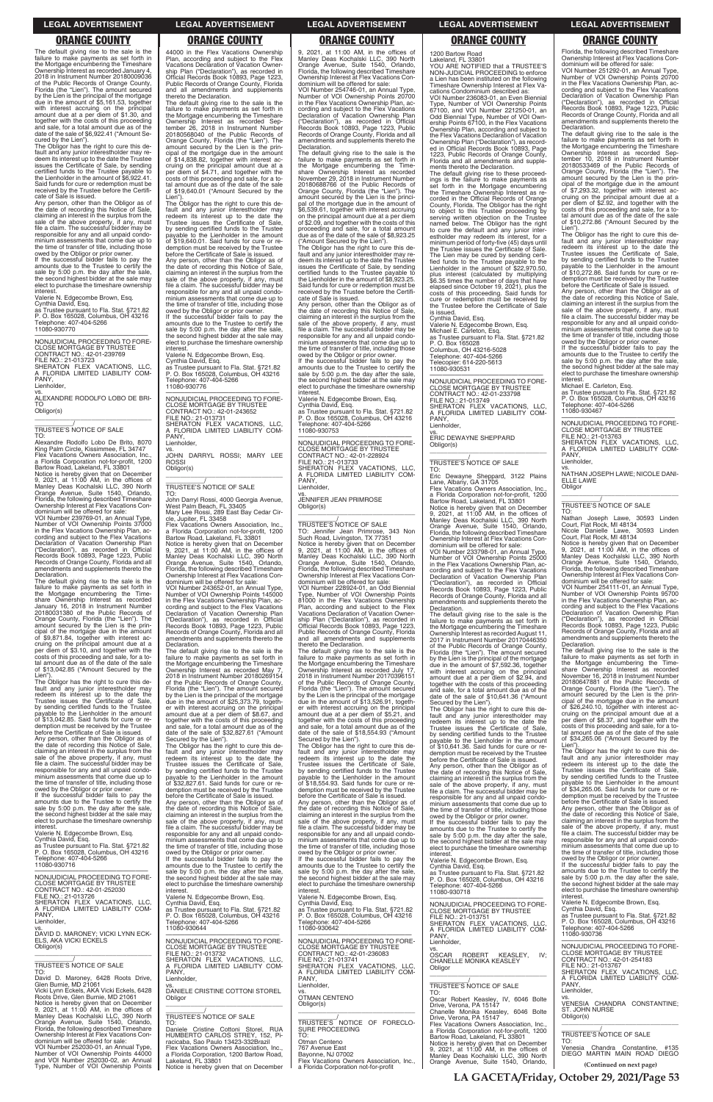The default giving rise to the sale is the failure to make payments as set forth in the Mortgage encumbering the Timeshare Ownership Interest as recorded January 4, 2018 in Instrument Number 20180009036 of the Public Records of Orange County, Florida (the "Lien"). The amount secured by the Lien is the principal of the mortgage due in the amount of \$5,161.53, together with interest accruing on the principal amount due at a per diem of \$1.30, and together with the costs of this proceeding and sale, for a total amount due as of the date of the sale of \$6,922.41 ("Amount Se-

cured by the Lien"). The Obligor has the right to cure this default and any junior interestholder may redeem its interest up to the date the Trustee issues the Certificate of Sale, by sending certified funds to the Trustee payable to the Lienholder in the amount of \$6,922.41. Said funds for cure or redemption must be received by the Trustee before the Certificate of Sale is issued.

Any person, other than the Obligor as of the date of recording this Notice of Sale, claiming an interest in the surplus from the sale of the above property, if any, must file a claim. The successful bidder may be responsible for any and all unpaid condominium assessments that come due up to the time of transfer of title, including those

VOI Number 239769-01, an Annual Type, Number of VOI Ownership Points 37000 in the Flex Vacations Ownership Plan, according and subject to the Flex Vacations Declaration of Vacation Ownership Plan ("Declaration"), as recorded in Official Records Book 10893, Page 1223, Public Records of Orange County, Florida and all amendments and supplements thereto the Declaration.

owed by the Obligor or prior owner. If the successful bidder fails to pay the amounts due to the Trustee to certify the sale by 5:00 p.m. the day after the sale, the second highest bidder at the sale may elect to purchase the timeshare ownership interest.

Valerie N. Edgecombe Brown, Esq. Cynthia David, Esq.

as Trustee pursuant to Fla. Stat. §721.82 P. O. Box 165028, Columbus, OH 43216 Telephone: 407-404-5266 11080-930770

—————————————————— NONJUDICIAL PROCEEDING TO FORE-CLOSE MORTGAGE BY TRUSTEE CONTRACT NO.: 42-01-239769 FILE NO.: 21-013723 SHERATON FLEX VACATIONS, LLC, A FLORIDA LIMITED LIABILITY COM-A FLU<br>PANY, Lienholder,

vs. ALEXANDRE RODOLFO LOBO DE BRI-TO Obligor(s)

\_\_\_\_\_\_\_\_\_\_\_\_\_\_\_\_\_\_\_\_\_\_\_\_\_\_\_\_\_\_\_\_\_

\_\_\_\_\_\_\_\_\_\_\_/ TRUSTEE'S NOTICE OF SALE TO:

Alexandre Rodolfo Lobo De Brito, 8070 King Palm Circle, Kissimmee, FL 34747 Flex Vacations Owners Association, Inc., a Florida Corporation not-for-profit, 1200 Bartow Road, Lakeland, FL 33801

Notice is hereby given that on December 9, 2021, at 11:00 AM, in the offices of Manley Deas Kochalski LLC, 390 North Orange Avenue, Suite 1540, Orlando, Florida, the following described Timeshare Ownership Interest at Flex Vacations Condominium will be offered for sale:

The default giving rise to the sale is the failure to make payments as set forth in the Mortgage encumbering the Time-share Ownership Interest as recorded January 16, 2018 in Instrument Number 20180031380 of the Public Records of<br>Orange County, Florida (the "Lien"). The amount secured by the Lien is the principal of the mortgage due in the amount<br>of \$9,871.84, together with interest accruing on the principal amo of \$13,042.85 ("Amount Secured by the Lien"). The Obligor has the right to cure this de-

fault and any junior interestholder may redeem its interest up to the date the Trustee issues the Certificate of Sale, by sending certified funds to the Trustee payable to the Lienholder in the amount of \$13,042.85. Said funds for cure or redemption must be received by the Trustee before the Certificate of Sale is issued.

CLOSE MORTGAGE BY TRUSTEE CONTRACT NO.: 42-01-243652 FILE NO.: 21-013731 SHERATON FLEX VACATIONS, LLC, A FLORIDA LIMITED LIABILITY COM-PANY

cle, Jupiter, FL 33458 Flex Vacations Owners Association, Inc. a Florida Corporation not-for-profit, 1200 Bartow Road, Lakeland, FL 33801 Notice is hereby given that on December<br>9, 2021, at 11:00 AM, in the offices of<br>Manley Deas Kochalski LLC, 390 North<br>Orange Avenue, Suite 1540, Orlando,<br>Florida, the following described Timeshare<br>Ownership Interest at Flex

Any person, other than the Obligor as of the date of recording this Notice of Sale, claiming an interest in the surplus from the sale of the above property, if any, must file a claim. The successful bidder may be responsible for any and all unpaid condominium assessments that come due up to the time of transfer of title, including those owed by the Obligor or prior owner.

dominium will be offered for sale: VOI Number 243652-01, an Annual Type, Number of VOI Ownership Points 145000 in the Flex Vacations Ownership Plan, according and subject to the Flex Vacations Declaration of Vacation Ownership Plan ("Declaration"), as recorded in Official Records Book 10893, Page 1223, Public Records of Orange County, Florida and all amendments and supplements thereto the **Declaration** 

If the successful bidder fails to pay the amounts due to the Trustee to certify the sale by 5:00 p.m. the day after the sale,

44000 in the Flex Vacations Ownership Plan, according and subject to the Flex Vacations Declaration of Vacation Ownership Plan ("Declaration"), as recorded in Official Records Book 10893, Page 1223, Public Records of Orange County, Florida and all amendments and supplements thereto the Declaration.

The default giving rise to the sale is the failure to make payments as set forth in the Mortgage encumbering the Timeshare Ownership Interest as recorded Sep-tember 26, 2018 in Instrument Number 20180568040 of the Public Records of Orange County, Florida (the "Lien"). The amount secured by the Lien is the principal of the mortgage due in the amount of \$14,838.82, together with interest accruing on the principal amount due at a per diem of \$4.71, and together with the costs of this proceeding and sale, for a to-tal amount due as of the date of the sale of \$19,640.01 ("Amount Secured by the

Lien"). The Obligor has the right to cure this default and any junior interestholder may redeem its interest up to the date the Trustee issues the Certificate of Sale, by sending certified funds to the Trustee payable to the Lienholder in the amount of \$19,640.01. Said funds for cure or redemption must be received by the Trustee before the Certificate of Sale is issued.

Any person, other than the Obligor as of the date of recording this Notice of Sale, claiming an interest in the surplus from the sale of the above property, if any, must sale of the above property, file a claim. The successful bidder may be responsible for any and all unpaid condominium assessments that come due up to the time of transfer of title, including those owed by the Obligor or prior owner. If the successful bidder fails to pay the

amounts due to the Trustee to certify the sale by 5:00 p.m. the day after the sale, the second highest bidder at the sale may elect to purchase the timeshare ownership interest.

Valerie N. Edgecombe Brown, Esq. Cynthia David, Esq. as Trustee pursuant to Fla. Stat. §721.82 P. O. Box 165028, Columbus, OH 43216

Telephone: 407-404-5266 11080-930776 —————————————————— NONJUDICIAL PROCEEDING TO FORE-

Lienholder,

vs. JOHN DARRYL ROSSI; MARY LEE **ROSSI** Obligor(s) \_\_\_\_\_\_\_\_\_\_\_\_\_\_\_\_\_\_\_\_\_\_\_\_\_\_\_\_\_\_\_\_\_

### \_\_\_\_\_\_\_\_\_\_\_/ TRUSTEE'S NOTICE OF SALE TO:

John Darryl Rossi, 4000 Georgia Avenue, West Palm Beach, FL 33405 Mary Lee Rossi, 289 East Bay Cedar Cir-

The default giving rise to the sale is the failure to make payments as set forth in the Mortgage encumbering the Timeshare Ownership Interest as recorded May 7, 2018 in Instrument Number 20180269154 of the Public Records of Orange County, Florida (the "Lien"). The amount secured by the Lien is the principal of the mortgage due in the amount of \$25,373.79, together with interest accruing on the principal amount due at a per diem of \$8.67, and together with the costs of this proceeding and sale, for a total amount due as of the date of the sale of \$32,827.61 ("Amount

A FLO<br>PANY, Lienholder,

### Obligor(s)  $\overline{\phantom{a}}$  , and the set of the set of the set of the set of the set of the set of the set of the set of the set of the set of the set of the set of the set of the set of the set of the set of the set of the set of the s

Secured by the Lien"). The Obligor has the right to cure this default and any junior interestholder may redeem its interest up to the date the Trustee issues the Certificate of Sale, by sending certified funds to the Trustee payable to the Lienholder in the amount of \$32,827.61. Said funds for cure or redemption must be received by the Trustee before the Certificate of Sale is issued.

Any person, other than the Obligor as of the date of recording this Notice of Sale,

9, 2021, at 11:00 AM, in the offices of Manley Deas Kochalski LLC, 390 North Orange Avenue, Suite 1540, Orlando, Florida, the following described Timeshare Ownership Interest at Flex Vacations Condominium will be offered for sale: VOI Number 254746-01, an Annual Type,

Number of VOI Ownership Points 20700 in the Flex Vacations Ownership Plan, according and subject to the Flex Vacations Declaration of Vacation Ownership Plan ("Declaration"), as recorded in Official Records Book 10893, Page 1223, Public Records of Orange County, Florida and all amendments and supplements thereto the Declaration.

> before the Certificate of Sale is issued.<br>Any person, other than the Obligor as of Any person, other than the Obligor as of the date of recording this Notice of Sale, claiming an interest in the surplus from the sale of the above property, if any, must file a claim. The successful bidder may be responsible for any and all unpaid condo-minium assessments that come due up to the time of transfer of title, including those

> owed by the Obligor or prior owner. If the successful bidder fails to pay the amounts due to the Trustee to certify the sale by 5:00 p.m. the day after the sale, the second highest bidder at the sale may elect to purchase the timeshare ownership **interest**

The default giving rise to the sale is the failure to make payments as set forth in the Mortgage encumbering the Time-share Ownership Interest as recorded November 29, 2018 in Instrument Number 20180688766 of the Public Records of Orange County, Florida (the "Lien"). The amount secured by the Lien is the principal of the mortgage due in the amount of \$6,539.61, together with interest accruing on the principal amount due at a per diem of \$2.09, and together with the costs of this proceeding and sale, for a total amount due as of the date of the sale of \$8,923.25

> FILE NO.: 21-013763 SHERATON FLEX VACATIONS, LLC, A FLORIDA LIMITED LIABILITY COM-PANY, Lienholder,

("Amount Secured by the Lien"). The Obligor has the right to cure this de-fault and any junior interestholder may redeem its interest up to the date the Trustee issues the Certificate of Sale, by sending certified funds to the Trustee payable to the Lienholder in the amount of \$8,923.25. Said funds for cure or redemption must be received by the Trustee before the Certificate of Sale is issued.

> VOI Number 254111-01, an Annual Type, Number of VOI Ownership Points 95700 in the Flex Vacations Ownership Plan, according and subject to the Flex Vacations<br>Declaration of Vacation Ownership Plan<br>("Declaration"), as recorded in Official<br>Records Book 10893, Page 1223, Public<br>Records of Orange County, Florida and all<br>amendments and suppl **Declaration**

Any person, other than the Obligor as of the date of recording this Notice of Sale, claiming an interest in the surplus from the sale of the above property, if any, must file a claim. The successful bidder may be responsible for any and all unpaid condo-minium assessments that come due up to the time of transfer of title, including those owed by the Obligor or prior owner. If the successful bidder fails to pay the amounts due to the Trustee to certify the sale by 5:00 p.m. the day after the sale, the second highest bidder at the sale may

elect to purchase the timeshare ownership interest Valerie N. Edgecombe Brown, Esq.

Cynthia David, Esq. as Trustee pursuant to Fla. Stat. §721.82 P. O. Box 165028, Columbus, OH 43216 Telephone: 407-404-5266 11080-930753

—————————————————— NONJUDICIAL PROCEEDING TO FORE-CLOSE MORTGAGE BY TRUSTEE<br>CONTRACT NO.: 42-01-228924<br>FILE NO.: 21-013733<br>SHERATON FLEX VACATIONS, LLC,<br>A FLORIDA LIMITED LIABILITY COM-PANY, Lienholder,

vs. JENNIFER JEAN PRIMROSE Obligor(s)

\_\_\_\_\_\_\_\_\_\_\_\_\_\_\_\_\_\_\_\_\_\_\_\_\_\_\_\_\_\_\_\_\_

\_\_\_\_\_\_\_\_\_\_\_/ TRUSTEE'S NOTICE OF SALE TO: Jennifer Jean Primrose, 343 Non Such Road, Livingston, TX 77351 Notice is hereby given that on December 9, 2021, at 11:00 AM, in the offices of Manley Deas Kochalski LLC, 390 North Orange Avenue, Suite 1540, Orlando, Florida, the following described Timeshare Ownership Interest at Flex Vacations Condominium will be offered for sale: VOI Number 228924-01, an Odd Biennial

Type, Number of VOI Ownership Points 81000 in the Flex Vacations Ownership Plan, according and subject to the Flex Vacations Declaration of Vacation Ownership Plan ("Declaration"), as recorded in Official Records Book 10893, Page 1223, Public Records of Orange County, Florida and all amendments and supplements thereto the Declaration.

The default giving rise to the sale is the failure to make payments as set forth in the Mortgage encumbering the Timeshare Ownership Interest as recorded July 17, 2018 in Instrument Number 20170396151 of the Public Records of Orange County, Florida (the "Lien"). The amount secured by the Lien is the principal of the mortgage due in the amount of \$13,526.91, together with interest accruing on the principal amount due at a per diem of \$5.21, and together with the costs of this proceeding and sale, for a total amount due as of the date of the sale of \$18,554.93 ("Amount Secured by the Lien").

The Obligor has the right to cure this default and any junior interestholder may redeem its interest up to the date the Trustee issues the Certificate of Sale, by sending certified funds to the Trustee vable to the Lienholder in the amount of \$18,554.93. Said funds for cure or redemption must be received by the Trustee before the Certificate of Sale is issued.

Any person, other than the Obligor as of the date of recording this Notice of Sale,

| $38.00$ by $3.00$ p.m. and day dries are $38.00$ ,<br>the second highest bidder at the sale may<br>elect to purchase the timeshare ownership<br>interest.<br>Valerie N. Edgecombe Brown, Esq.<br>Cynthia David, Esq.<br>as Trustee pursuant to Fla. Stat. §721.82<br>P. O. Box 165028. Columbus, OH 43216<br>Telephone: 407-404-5266<br>11080-930716                                                                                                                 | the date of recording this induce of Sale.<br>claiming an interest in the surplus from the<br>sale of the above property, if any, must<br>file a claim. The successful bidder may be<br>responsible for any and all unpaid condo-<br>minium assessments that come due up to<br>the time of transfer of title, including those<br>owed by the Obligor or prior owner.<br>If the successful bidder fails to pay the<br>amounts due to the Trustee to certify the | the date of recording this induce or gale,<br>claiming an interest in the surplus from the<br>sale of the above property, if any, must<br>file a claim. The successful bidder may be<br>responsible for any and all unpaid condo-<br>minium assessments that come due up to<br>the time of transfer of title, including those<br>owed by the Obligor or prior owner.<br>If the successful bidder fails to pay the<br>amounts due to the Trustee to certify the | the time of transfer of title. Including those<br>owed by the Obligor or prior owner.<br>If the successful bidder fails to pay the<br>amounts due to the Trustee to certify the<br>sale by 5:00 p.m. the day after the sale,<br>the second highest bidder at the sale may<br>elect to purchase the timeshare ownership<br>interest.<br>Valerie N. Edgecombe Brown, Esq.<br>Cynthia David, Esq.                                      | Ally person, other than the Obligor as or<br>the date of recording this Notice of Sale,<br>claiming an interest in the surplus from the<br>sale of the above property, if any, must<br>file a claim. The successful bidder may be<br>responsible for any and all unpaid condo-<br>minium assessments that come due up to<br>the time of transfer of title, including those<br>owed by the Obligor or prior owner.<br>If the successful bidder fails to pay the |
|----------------------------------------------------------------------------------------------------------------------------------------------------------------------------------------------------------------------------------------------------------------------------------------------------------------------------------------------------------------------------------------------------------------------------------------------------------------------|----------------------------------------------------------------------------------------------------------------------------------------------------------------------------------------------------------------------------------------------------------------------------------------------------------------------------------------------------------------------------------------------------------------------------------------------------------------|----------------------------------------------------------------------------------------------------------------------------------------------------------------------------------------------------------------------------------------------------------------------------------------------------------------------------------------------------------------------------------------------------------------------------------------------------------------|-------------------------------------------------------------------------------------------------------------------------------------------------------------------------------------------------------------------------------------------------------------------------------------------------------------------------------------------------------------------------------------------------------------------------------------|----------------------------------------------------------------------------------------------------------------------------------------------------------------------------------------------------------------------------------------------------------------------------------------------------------------------------------------------------------------------------------------------------------------------------------------------------------------|
| NONJUDICIAL PROCEEDING TO FORE-<br><b>CLOSE MORTGAGE BY TRUSTEE</b><br>CONTRACT NO.: 42-01-252030<br>FILE NO.: 21-013726<br>SHERATON FLEX VACATIONS. LLC.<br>A FLORIDA LIMITED LIABILITY COM-<br>PANY,<br>Lienholder,<br>DAVID D. MARONEY: VICKI LYNN ECK-                                                                                                                                                                                                           | sale by 5:00 p.m. the day after the sale,<br>the second highest bidder at the sale may<br>elect to purchase the timeshare ownership<br>interest.<br>Valerie N. Edgecombe Brown, Esq.<br>Cynthia David, Esg.<br>as Trustee pursuant to Fla. Stat. §721.82<br>P. O. Box 165028, Columbus, OH 43216<br>Telephone: 407-404-5266<br>11080-930644                                                                                                                    | sale by 5:00 p.m. the day after the sale,<br>the second highest bidder at the sale may<br>elect to purchase the timeshare ownership<br>interest.<br>Valerie N. Edgecombe Brown, Esq.<br>Cynthia David, Esg.<br>as Trustee pursuant to Fla. Stat. §721.82<br>P. O. Box 165028, Columbus, OH 43216<br>Telephone: 407-404-5266<br>11080-930642                                                                                                                    | as Trustee pursuant to Fla. Stat. §721.82<br>P. O. Box 165028. Columbus. OH 43216<br>Telephone: 407-404-5266<br>11080-930718<br>NONJUDICIAL PROCEEDING TO FORE-<br><b>CLOSE MORTGAGE BY TRUSTEE</b><br>FILE NO.: 21-013751<br>SHERATON FLEX VACATIONS. LLC.<br>A FLORIDA LIMITED LIABILITY COM-<br>PANY.                                                                                                                            | amounts due to the Trustee to certify the<br>sale by 5:00 p.m. the day after the sale,<br>the second highest bidder at the sale may<br>elect to purchase the timeshare ownership<br>interest.<br>Valerie N. Edgecombe Brown, Esq.<br>Cynthia David, Esq.<br>as Trustee pursuant to Fla. Stat. §721.82<br>P. O. Box 165028, Columbus, OH 43216<br>Telephone: 407-404-5266<br>11080-930736                                                                       |
| ELS, AKA VICKI ECKELS<br>Obligor(s)<br>TRUSTEE'S NOTICE OF SALE<br>TO:<br>David D. Maroney, 6428 Roots Drive.<br>Glen Burnie, MD 21061<br>Vicki Lynn Eckels, AKA Vicki Eckels, 6428<br>Roots Drive, Glen Burnie, MD 21061                                                                                                                                                                                                                                            | NONJUDICIAL PROCEEDING TO FORE-<br><b>CLOSE MORTGAGE BY TRUSTEE</b><br>FILE NO.: 21-013732<br>SHERATON FLEX VACATIONS, LLC,<br>A FLORIDA LIMITED LIABILITY COM-<br>PANY.<br>Lienholder.<br>VS.<br>DANIELE CRISTINE COTTONI STOREL<br>Obligor                                                                                                                                                                                                                   | NONJUDICIAL PROCEEDING TO FORE-<br>CLOSE MORTGAGE BY TRUSTEE<br>CONTRACT NO.: 42-01-236083<br>FILE NO.: 21-013741<br>SHERATON FLEX VACATIONS, LLC,<br>A FLORIDA LIMITED LIABILITY COM-<br>PANY.<br>Lienholder.<br>VS.<br>OTMAN CENTENO                                                                                                                                                                                                                         | Lienholder.<br>VS.<br>OSCAR ROBERT KEASLEY.<br>IV:<br><b>CHANELLE MONIKA KEASLEY</b><br>Obligor<br>TRUSTEE'S NOTICE OF SALE<br>TO:                                                                                                                                                                                                                                                                                                  | NONJUDICIAL PROCEEDING TO FORE-<br><b>CLOSE MORTGAGE BY TRUSTEE</b><br>CONTRACT NO.: 42-01-254183<br>FILE NO.: 21-013767<br>SHERATON FLEX VACATIONS. LLC.<br>A FLORIDA LIMITED LIABILITY COM-<br>PANY.<br>Lienholder,<br>VS.                                                                                                                                                                                                                                   |
| Notice is hereby given that on December<br>9, 2021, at $11:00$ AM, in the offices of<br>Manley Deas Kochalski LLC, 390 North<br>Orange Avenue, Suite 1540, Orlando,<br>Florida, the following described Timeshare<br>Ownership Interest at Flex Vacations Con-<br>dominium will be offered for sale:<br>VOI Number 252030-01, an Annual Type,<br>Number of VOI Ownership Points 44000<br>and VOI Number 252030-02, an Annual<br>Type, Number of VOI Ownership Points | <b>TRUSTEE'S NOTICE OF SALE</b><br>TO:<br>Daniele Cristine Cottoni Storel, RUA<br>HUMBERTO CARLOS STREY, 152. Pi-<br>racicaba. Sao Paulo 13423-332Brazil<br>Flex Vacations Owners Association. Inc<br>a Florida Corporation, 1200 Bartow Road,<br>Lakeland, FL 33801<br>Notice is hereby given that on December                                                                                                                                                | Obligor(s)<br>TRUSTEE'S NOTICE OF FORECLO-<br>SURE PROCEEDING<br>TO:<br>Otman Centeno<br>767 Avenue East<br>Bayonne, NJ 07002<br>Flex Vacations Owners Association, Inc.,<br>a Florida Corporation not-for-profit                                                                                                                                                                                                                                              | Oscar Robert Keasley, IV, 6046 Bolte<br>Drive. Verona, PA 15147<br>Chanelle Monika Keasley, 6046 Bolte<br>Drive. Verona. PA 15147<br>Flex Vacations Owners Association. Inc<br>a Florida Corporation not-for-profit, 1200<br>Bartow Road, Lakeland, FL 33801<br>Notice is hereby given that on December<br>9, 2021, at $11:00$ AM, in the offices of<br>Manley Deas Kochalski LLC, 390 North<br>Orange Avenue, Suite 1540, Orlando, | VENESIA CHANDRA CONSTANTINE:<br><b>ST. JOHN NURSE</b><br>Obligor(s)<br><b>TRUSTEE'S NOTICE OF SALE</b><br>TO:<br>Venesia Chandra Constantine.<br>#135<br>DIEGO MARTIN MAIN ROAD DIEGO<br>(Continued on next page)                                                                                                                                                                                                                                              |

1200 Bartow Road Lakeland, FL 33801

YOU ARE NOTIFIED that a TRUSTEE'S NON-JUDICIAL PROCEEDING to enforce a Lien has been instituted on the following

Timeshare Ownership Interest at Flex Va-cations Condominium described as: VOI Number 236083-01, an Even Biennial Type, Number of VOI Ownership Points 67100, and VOI Number 221250-01, an Odd Biennial Type, Number of VOI Ownership Points 67100, in the Flex Vacations Ownership Plan, according and subject to the Flex Vacations Declaration of Vacation Ownership Plan ("Declaration"), as record-ed in Official Records Book 10893, Page 1223, Public Records of Orange County, Florida and all amendments and supple ments thereto the Declaration.

The default giving rise to these proceedings is the failure to make payments as set forth in the Mortgage encumbering the Timeshare Ownership Interest as recorded in the Official Records of Orange County, Florida. The Obligor has the right to object to this Trustee proceeding by serving written objection on the Trustee named below. The Obligor has the right to cure the default and any junior interestholder may redeem its interest, for a minimum period of forty-five (45) days until the Trustee issues the Certificate of Sale. The Lien may be cured by sending certi-fied funds to the Trustee payable to the Lienholder in the amount of \$22,970.50, plus interest (calculated by multiplying \$6.35 times the number of days that have elapsed since October 19, 2021), plus the costs of this proceeding. Said funds for cure or redemption must be received by the Trustee before the Certificate of Sale is issued.

Cynthia David, Esq. Valerie N. Edgecombe Brown, Esq.

Michael E. Carleton, Esq. as Trustee pursuant to Fla. Stat. §721.82 P. O. Box 165028 Columbus, OH 43216-5028 Telephone: 407-404-5266 Telecopier: 614-220-5613

11080-930531 —————————————————— NONJUDICIAL PROCEEDING TO FORE-CLOSE MORTGAGE BY TRUSTEE CONTRACT NO.: 42-01-233798 FILE NO.: 21-013749 SHERATON FLEX VACATIONS, LLC, A FLORIDA LIMITED LIABILITY COM-

vs. ERIC DEWAYNE SHEPPARD

\_\_\_\_\_\_\_\_\_\_\_/ TRUSTEE'S NOTICE OF SALE

TO: Eric Dewayne Sheppard, 3122 Plains Lane, Albany, GA 31705 Flex Vacations Owners Association, Inc.,

a Florida Corporation not-for-profit, 1200 Bartow Road, Lakeland, FL 33801 Notice is hereby given that on December 9, 2021, at 11:00 AM, in the offices of Manley Deas Kochalski LLC, 390 North Orange Avenue, Suite 1540, Orlando, Florida, the following described Timeshare Ownership Interest at Flex Vacations Con-dominium will be offered for sale: VOI Number 233798-01, an Annual Type,

Number of VOI Ownership Points 25000 in the Flex Vacations Ownership Plan, ac-cording and subject to the Flex Vacations Declaration of Vacation Ownership Plan ("Declaration"), as recorded in Official Records Book 10893, Page 1223, Public Records of Orange County, Florida and all amendments and supplements thereto the Declaration.

The default giving rise to the sale is the failure to make payments as set forth in the Mortgage encumbering the Timeshare Ownership Interest as recorded August 11, 2017 in Instrument Number 20170446350 of the Public Records of Orange County, Florida (the "Lien"). The amount secured by the Lien is the principal of the mortgage due in the amount of \$7,592.36, together with interest accruing on the principal amount due at a per diem of \$2.94, and together with the costs of this proceeding and sale, for a total amount due as of the date of the sale of \$10,641.36 ("Amount Secured by the Lien").

The Obligor has the right to cure this de-fault and any junior interestholder may redeem its interest up to the date the Trustee issues the Certificate of Sale, by sending certified funds to the Trustee payable to the Lienholder in the amount of \$10,641.36. Said funds for cure or re-demption must be received by the Trustee before the Certificate of Sale is issued.

Any person, other than the Obligor as of the date of recording this Notice of Sale, claiming an interest in the surplus from the sale of the above property, if any, must file a claim. The successful bidder may be responsible for any and all unpaid condominium assessments that come due up to the time of transfer of title, including those

Florida, the following described Timeshare Ownership Interest at Flex Vacations Con-dominium will be offered for sale: VOI Number 251292-01, an Annual Type, Number of VOI Ownership Points 20700 in the Flex Vacations Ownership Plan, ac-cording and subject to the Flex Vacations

Declaration of Vacation Ownership Plan ("Declaration"), as recorded in Official Records Book 10893, Page 1223, Public Records of Orange County, Florida and all amendments and supplements thereto the Declaration.

The default giving rise to the sale is the failure to make payments as set forth in the Mortgage encumbering the Timeshare Ownership Interest as recorded Sep-tember 10, 2018 in Instrument Number 20180533469 of the Public Records of Orange County, Florida (the "Lien"). The amount secured by the Lien is the prin-cipal of the mortgage due in the amount of \$7,293.32, together with interest ac-cruing on the principal amount due at a per diem of \$2.92, and together with the costs of this proceeding and sale, for a to-tal amount due as of the date of the sale of \$10,272.86 ("Amount Secured by the

Lien"). The Obligor has the right to cure this de-fault and any junior interestholder may redeem its interest up to the date the Trustee issues the Certificate of Sale, by sending certified funds to the Trustee payable to the Lienholder in the amount of \$10,272.86. Said funds for cure or redemption must be received by the Trustee

Michael E. Carleton, Esq. as Trustee pursuant to Fla. Stat. §721.82 P. O. Box 165028, Columbus, OH 43216 Telephone: 407-404-5266 11080-930467

—————————————————— NONJUDICIAL PROCEEDING TO FORE-CLOSE MORTGAGE BY TRUSTEE

vs. NATHAN JOSEPH LAWE; NICOLE DANI-ELLE LAWE **Obligor** \_\_\_\_\_\_\_\_\_\_\_\_\_\_\_\_\_\_\_\_\_\_\_\_\_\_\_\_\_\_\_\_\_

### \_\_\_\_\_\_\_\_\_\_\_/ TRUSTEE'S NOTICE OF SALE TO:

Nathan Joseph Lawe, 30593 Linden Court, Flat Rock, MI 48134 Nicole Danielle Lawe, 30593 Linden Court, Flat Rock, MI 48134

Notice is hereby given that on December

9, 2021, at 11:00 AM, in the offices of Manley Deas Kochalski LLC, 390 North Orange Avenue, Suite 1540, Orlando, Florida, the following described Timeshare Ownership Interest at Flex Vacations Con-dominium will be offered for sale:

The default giving rise to the sale is the failure to make payments as set forth in the Mortgage encumbering the Time-share Ownership Interest as recorded November 16, 2018 in Instrument Number 20180647881 of the Public Records of Orange County, Florida (the "Lien"). The amount secured by the Lien is the principal of the mortgage due in the amount of \$26,240.10, together with interest ac-cruing on the principal amount due at a per diem of \$8.37, and together with the costs of this proceeding and sale, for a to-tal amount due as of the date of the sale of \$34,265.06 ("Amount Secured by the

Lien"). The Obligor has the right to cure this default and any junior interestholder may redeem its interest up to the date the Trustee issues the Certificate of Sale, by sending certified funds to the Trustee payable to the Lienholder in the amount of \$34,265.06. Said funds for cure or re-

demption must be received by the Trustee before the Certificate of Sale is issued. Any person, other than the Obligor as of the date of recording this Notice of Sale,

**LA GACETA/Friday, October 29, 2021/Page 53**

### **LEGAL ADVERTISEMENT LEGAL ADVERTISEMENT LEGAL ADVERTISEMENT LEGAL ADVERTISEMENT LEGAL ADVERTISEMENT**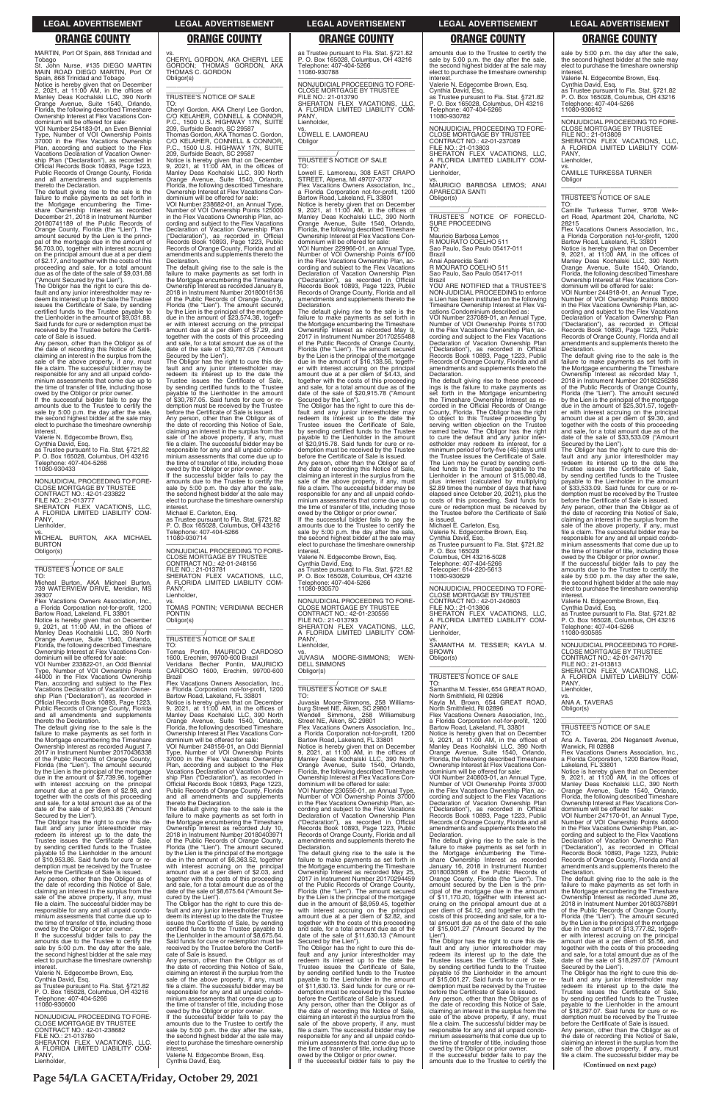**Page 54/LA GACETA/Friday, October 29, 2021**

MARTIN, Port Of Spain, 868 Trinidad and Tobago

St. John Nurse, #135 DIEGO MARTIN MAIN ROAD DIEGO MARTIN, Port Of Spain, 868 Trinidad and Tobago Notice is hereby given that on December 2, 2021, at 11:00 AM, in the offices of Manley Deas Kochalski LLC, 390 North Orange Avenue, Suite 1540, Orlando, Florida, the following described Timeshare Ownership Interest at Flex Vacations Con-

dominium will be offered for sale: VOI Number 254183-01, an Even Biennial Type, Number of VOI Ownership Points 37000 in the Flex Vacations Ownership Plan, according and subject to the Flex Vacations Declaration of Vacation Ownership Plan ("Declaration"), as recorded in Official Records Book 10893, Page 1223, Public Records of Orange County, Florida and all amendments and supplements thereto the Declaration.

The default giving rise to the sale is the failure to make payments as set forth in the Mortgage encumbering the Time-share Ownership Interest as recorded December 21, 2018 in Instrument Number 20180741189 of the Public Records of Orange County, Florida (the "Lien"). The amount secured by the Lien is the principal of the mortgage due in the amount of \$6,703.00, together with interest accruing on the principal amount due at a per diem of \$2.17, and together with the costs of this proceeding and sale, for a total amount due as of the date of the sale of \$9,031.88

amounts due to the Trustee to certify the sale by 5:00 p.m. the day after the sale, the second highest bidder at the sale may elect to purchase the timeshare ownership interest

Micheal Burton, AKA Michael Burton<br>739 WATERVIEW DRIVE, Meridian, MS WATERVIEW DRIVE, Meridian, MS 39307

Flex Vacations Owners Association, Inc. a Florida Corporation not-for-profit, 1200 Bartow Road, Lakeland, FL 33801

Notice is hereby given that on December 9, 2021, at 11:00 AM, in the offices of Manley Deas Kochalski LLC, 390 North Orange Avenue, Suite 1540, Orlando, Florida, the following described Timeshare Ownership Interest at Flex Vacations Condominium will be offered for sale

("Amount Secured by the Lien"). The Obligor has the right to cure this default and any junior interestholder may re-deem its interest up to the date the Trustee issues the Certificate of Sale, by sending certified funds to the Trustee payable to the Lienholder in the amount of \$9,031.88. Said funds for cure or redemption must be received by the Trustee before the Certifi-

cate of Sale is issued. Any person, other than the Obligor as of the date of recording this Notice of Sale, claiming an interest in the surplus from the sale of the above property, if any, must file a claim. The successful bidder may be responsible for any and all unpaid condo-minium assessments that come due up to the time of transfer of title, including those owed by the Obligor or prior owner. If the successful bidder fails to pay the

Valerie N. Edgecombe Brown, Esq.

Cynthia David, Esq. as Trustee pursuant to Fla. Stat. §721.82 P. O. Box 165028, Columbus, OH 43216 Telephone: 407-404-5266 11080-930433

—————————————————— NONJUDICIAL PROCEEDING TO FORE-CLOSE MORTGAGE BY TRUSTEE CONTRACT NO.: 42-01-233822 FILE NO.: 21-013777 SHERATON FLEX VACATIONS, LLC, A FLORIDA LIMITED LIABILITY COM-PANY,

Lienholder,

vs. MICHEAL BURTON, AKA MICHAEL BURTON Obligor(s) \_\_\_\_\_\_\_\_\_\_\_\_\_\_\_\_\_\_\_\_\_\_\_\_\_\_\_\_\_\_\_\_\_

### \_\_\_\_\_\_\_\_\_\_\_/ TRUSTEE'S NOTICE OF SALE TO:

VOI Number 233822-01, an Odd Biennial Type, Number of VOI Ownership Points 44000 in the Flex Vacations Ownership Plan, according and subject to the Flex Vacations Declaration of Vacation Ownership Plan ("Declaration"), as recorded in Official Records Book 10893, Page 1223, Public Records of Orange County, Florida and all amendments and supplements thereto the Declaration.

The default giving rise to the sale is the failure to make payments as set forth in the Mortgage encumbering the Timeshare Ownership Interest as recorded August 7, 2017 in Instrument Number 20170436338 of the Public Records of Orange County, Florida (the "Lien"). The amount secured by the Lien is the principal of the mortgage due in the amount of \$7,739.96, together with interest accruing on the principal amount due at a per diem of \$2.98, and together with the costs of this proceeding and sale, for a total amount due as of the

date of the sale of \$10,953.86 ("Amount Secured by the Lien").

PANY, Lienholder,

The Obligor has the right to cure this de-fault and any junior interestholder may redeem its interest up to the date the Trustee issues the Certificate of Sale, by sending certified funds to the Trustee payable to the Lienholder in the amount of \$10,953.86. Said funds for cure or redemption must be received by the Trustee before the Certificate of Sale is issued. Any person, other than the Obligor as of the date of recording this Notice of Sale, claiming an interest in the surplus from the sale of the above property, if any, must file a claim. The successful bidder may be responsible for any and all unpaid condominium assessments that come due up to the time of transfer of title, including those owed by the Obligor or prior owner.

If the successful bidder fails to pay the amounts due to the Trustee to certify the sale by 5:00 p.m. the day after the sale, the second highest bidder at the sale may elect to purchase the timeshare ownership interest.

Valerie N. Edgecombe Brown, Esq. Cynthia David, Esq. as Trustee pursuant to Fla. Stat. §721.82 P. O. Box 165028, Columbus, OH 43216 Telephone: 407-404-5266 11080-930600

—————————————————— NONJUDICIAL PROCEEDING TO FORE-CLOSE MORTGAGE BY TRUSTEE CONTRACT NO.: 42-01-238682 FILE NO.: 21-013780 SHERATON FLEX VACATIONS, LLC, A FLORIDA LIMITED LIABILITY COM-PANY Lienholder,

vs. CHERYL GORDON, AKA CHERYL LEE GORDON; THOMAS GORDON, AKA THOMAS C. GORDON

Obligor(s)

**Declaration** 

interest

\_\_\_\_\_\_\_\_\_\_\_\_\_\_\_\_\_\_\_\_\_\_\_\_\_\_\_\_\_\_\_\_\_ \_\_\_\_\_\_\_\_\_\_\_/ TRUSTEE'S NOTICE OF SALE

TO:

Cheryl Gordon, AKA Cheryl Lee Gordon, C/O KELAHER, CONNELL & CONNOR, P.C., 1500 U.S. HIGHWAY 17N, SUITE 209, Surfside Beach, SC 29587 Thomas Gordon, AKA Thomas C. Gordon, C/O KELAHER, CONNELL & CONNOR, P.C., 1500 U.S. HIGHWAY 17N, SUITE 209, Surfside Beach, SC 29587

> dominium will be offered for sale: VOI Number 229966-01, an Annual Type, Number of VOI Ownership Points 67100 in the Flex Vacations Ownership Plan, ac-cording and subject to the Flex Vacations Declaration of Vacation Ownership Plan<br>("Declaration") as recorded in Official ("Declaration"), as recorded in Official Records Book 10893, Page 1223, Public Records of Orange County, Florida and all amendments and supplements thereto the Declaration.

Notice is hereby given that on December 9, 2021, at 11:00 AM, in the offices of Manley Deas Kochalski LLC, 390 North

Orange Avenue, Suite 1540, Orlando, Florida, the following described Timeshare Ownership Interest at Flex Vacations Con-

dominium will be offered for sale: VOI Number 238682-01, an Annual Type, Number of VOI Ownership Points 125000 in the Flex Vacations Ownership Plan, according and subject to the Flex Vacations Declaration of Vacation Ownership Plan ("Declaration"), as recorded in Official Records Book 10893, Page 1223, Public Records of Orange County, Florida and all amendments and supplements thereto the

> —————————————————— NONJUDICIAL PROCEEDING TO FORE-CLOSE MORTGAGE BY TRUSTEE CONTRACT NO.: 42-01-230556 FILE NO.: 21-013793 SHERATON FLEX VACATIONS, LLC, A FLORIDA LIMITED LIABILITY COM-PANY

......,<br>Lienholder.

### vs. JUVASIA MOORE-SIMMONS; WEN-DELL SIMMONS Obligor(s)  $\overline{\phantom{a}}$  ,  $\overline{\phantom{a}}$  ,  $\overline{\phantom{a}}$  ,  $\overline{\phantom{a}}$  ,  $\overline{\phantom{a}}$  ,  $\overline{\phantom{a}}$  ,  $\overline{\phantom{a}}$  ,  $\overline{\phantom{a}}$  ,  $\overline{\phantom{a}}$  ,  $\overline{\phantom{a}}$  ,  $\overline{\phantom{a}}$  ,  $\overline{\phantom{a}}$  ,  $\overline{\phantom{a}}$  ,  $\overline{\phantom{a}}$  ,  $\overline{\phantom{a}}$  ,  $\overline{\phantom{a}}$

The default giving rise to the sale is the failure to make payments as set forth in the Mortgage encumbering the Timeshare Ownership Interest as recorded January 8, 2018 in Instrument Number 20180016136 of the Public Records of Orange County, Florida (the "Lien"). The amount secured by the Lien is the principal of the mortgage due in the amount of \$23,574.38, togeth-er with interest accruing on the principal amount due at a per diem of \$7.29, and together with the costs of this proceeding and sale, for a total amount due as of the date of the sale of \$30,787.05 ("Amount Secured by the Lien"). The Obligor has the right to cure this default and any junior interestholder may redeem its interest up to the date the Trustee issues the Certificate of Sale, by sending certified funds to the Trustee payable to the Lienholder in the amount of \$30,787.05. Said funds for cure or redemption must be received by the Trustee before the Certificate of Sale is issued. Any person, other than the Obligor as of

the date of recording this Notice of Sale,<br>claiming an interest in the surplus from the<br>sale of the above property, if any, must<br>file a claim. The successful bidder may be

responsible for any and all unpaid condo-minium assessments that come due up to the time of transfer of title, including those owed by the Obligor or prior owner. If the successful bidder fails to pay the amounts due to the Trustee to certify the sale by 5:00 p.m. the day after the sale, the second highest bidder at the sale may elect to purchase the timeshare ownership

Michael E. Carleton, Esq.

as Trustee pursuant to Fla. Stat. §721.82 P. O. Box 165028, Columbus, OH 43216 Telephone: 407-404-5266

amounts due to the Trustee to certify the sale by 5:00 p.m. the day after the sale, the second highest bidder at the sale may elect to purchase the timeshare ownership

11080-930714

—————————————————— NONJUDICIAL PROCEEDING TO FORE-

Cynthia David, Esq. as Trustee pursuant to Fla. Stat. §721.82 P. O. Box 165028, Columbus, OH 43216 Telephone: 407-404-5266 11080-930782

—————————————————— NONJUDICIAL PROCEEDING TO FORE-CLOSE MORTGAGE BY TRUSTEE CONTRACT NO.: 42-01-237089 FILE NO.: 21-013803 SHERATON FLEX VACATIONS, LLC, A FLORIDA LIMITED LIABILITY COM-PANY

PONTIN Obligor(s)

\_\_\_\_\_\_\_\_\_\_\_\_\_\_\_\_\_\_\_\_\_\_\_\_\_\_\_\_\_\_\_\_\_ \_\_\_\_\_\_\_\_\_\_\_/ TRUSTEE'S NOTICE OF SALE

TO:

Tomas Pontin, MAURICIO CARDOSO 1600, Erechim, 99700-600 Brazil Veridiana Becher Pontin, MAURICIO CARDOSO 1600, Erechim, 99700-600 Brazil Flex Vacations Owners Association, Inc., a Florida Corporation not-for-profit, 1200

VOI Number 237089-01, an Annual Type, Number of VOI Ownership Points 51700 in the Flex Vacations Ownership Plan, according and subject to the Flex Vacations Declaration of Vacation Ownership Plan ("Declaration"), as recorded in Official Records Book 10893, Page 1223, Public Records of Orange County, Florida and all amendments and supplements thereto the **Declaration** 

Bartow Road, Lakeland, FL 33801 Notice is hereby given that on December 9, 2021, at 11:00 AM, in the offices of Manley Deas Kochalski LLC, 390 North Orange Avenue, Suite 1540, Orlando,

Florida, the following described Timeshare Ownership Interest at Flex Vacations Con-dominium will be offered for sale: VOI Number 248156-01, an Odd Biennial Type, Number of VOI Ownership Points 37000 in the Flex Vacations Ownership Plan, according and subject to the Flex Vacations Declaration of Vacation Owner-ship Plan ("Declaration"), as recorded in Official Records Book 10893, Page 1223, Public Records of Orange County, Florida and all amendments and supplements

thereto the Declaration.

The default giving rise to the sale is the failure to make payments as set forth in the Mortgage encumbering the Timeshare Ownership Interest as recorded July 10, 2018 in Instrument Number 20180403971 of the Public Records of Orange County, Florida (the "Lien"). The amount secured by the Lien is the principal of the mortgage due in the amount of \$6,363.52, together with interest accruing on the principal amount due at a per diem of \$2.03, and together with the costs of this proceeding and sale, for a total amount due as of the date of the sale of \$8,675.64 ("Amount Se-

Notice is hereby given that on December<br>9, 2021, at 11:00 AM, in the offices of<br>Manley Deas Kochalski LLC, 390 North<br>Orange Avenue, Suite 1540, Orlando,<br>Florida, the following described Timeshare Ownership Interest at Flex Vacations Con-

cured by the Lien"). The Obligor has the right to cure this de-fault and any junior interestholder may redeem its interest up to the date the Trustee issues the Certificate of Sale, by sending certified funds to the Trustee payable to the Lienholder in the amount of \$8,675.64. Said funds for cure or redemption must be received by the Trustee before the Certificate of Sale is issued.

Any person, other than the Obligor as of the date of recording this Notice of Sale, claiming an interest in the surplus from the sale of the above property, if any, must file a claim. The successful bidder may be responsible for any and all unpaid condominium assessments that come due up to the time of transfer of title, including those owed by the Obligor or prior owner. If the successful bidder fails to pay the amounts due to the Trustee to certify the

sale by 5:00 p.m. the day after the sale, the second highest bidder at the sale may elect to purchase the timeshare ownership interest

sale by 5:00 p.m. the day after the sale, the second highest bidder at the sale may elect to purchase the timeshare ownership interest.

vs. CAMILLE TURKESSA TURNER **Obligor** 

Valerie N. Edgecombe Brown, Esq. Cynthia David, Esq.

as Trustee pursuant to Fla. Stat. §721.82 P. O. Box 165028, Columbus, OH 43216 Telephone: 407-404-5266 11080-930788

CLOSE MORTGAGE BY TRUSTEE CONTRACT NO.: 42-01-248156 FILE NO.: 21-013781 SHERATON FLEX VACATIONS, LLC, A FLORIDA LIMITED LIABILITY COMvs. TOMAS PONTIN; VERIDIANA BECHER Telephone: 407-404-5266 11080-930570

EULTURE<br>Flex Vacations Owners Association, In a Florida Corporation not-for-profit, 1200

—————————————————— NONJUDICIAL PROCEEDING TO FORE-CLOSE MORTGAGE BY TRUSTEE FILE NO.: 21-013790 SHERATON FLEX VACATIONS, LLC, A FLORIDA LIMITED LIABILITY COM-PANY, Lienholder,

vs. LOWELL E. LAMOREAU

Obligor

\_\_\_\_\_\_\_\_\_\_\_/ TRUSTEE'S NOTICE OF SALE

TO: Lowell E. Lamoreau, 308 EAST CRAPO STREET, Alpena, MI 49707-3737

 $\overline{\phantom{a}}$  ,  $\overline{\phantom{a}}$  ,  $\overline{\phantom{a}}$  ,  $\overline{\phantom{a}}$  ,  $\overline{\phantom{a}}$  ,  $\overline{\phantom{a}}$  ,  $\overline{\phantom{a}}$  ,  $\overline{\phantom{a}}$  ,  $\overline{\phantom{a}}$  ,  $\overline{\phantom{a}}$  ,  $\overline{\phantom{a}}$  ,  $\overline{\phantom{a}}$  ,  $\overline{\phantom{a}}$  ,  $\overline{\phantom{a}}$  ,  $\overline{\phantom{a}}$  ,  $\overline{\phantom{a}}$ 

Flex Vacations Owners Association, Inc., a Florida Corporation not-for-profit, 1200 Bartow Road, Lakeland, FL 33801 Notice is hereby given that on December 9, 2021, at 11:00 AM, in the offices of Manley Deas Kochalski LLC, 390 North Orange Avenue, Suite 1540, Orlando, Florida, the following described Timeshare Ownership Interest at Flex Vacations Con-

> vs. ANA A. TAVERAS Obligor(s)  $\overline{\phantom{a}}$  ,  $\overline{\phantom{a}}$  ,  $\overline{\phantom{a}}$  ,  $\overline{\phantom{a}}$  ,  $\overline{\phantom{a}}$  ,  $\overline{\phantom{a}}$  ,  $\overline{\phantom{a}}$  ,  $\overline{\phantom{a}}$  ,  $\overline{\phantom{a}}$  ,  $\overline{\phantom{a}}$  ,  $\overline{\phantom{a}}$  ,  $\overline{\phantom{a}}$  ,  $\overline{\phantom{a}}$  ,  $\overline{\phantom{a}}$  ,  $\overline{\phantom{a}}$  ,  $\overline{\phantom{a}}$

Flex Vacations Owners Association, Inc., a Florida Corporation, 1200 Bartow Road, Lakeland, FL 33801

The default giving rise to the sale is the failure to make payments as set forth in the Mortgage encumbering the Timeshare Ownership Interest as recorded May 9, 2017 in Instrument Number 20170255488 of the Public Records of Orange County, Florida (the "Lien"). The amount secured by the Lien is the principal of the mortgage due in the amount of \$16,138.56, together with interest accruing on the principal amount due at a per diem of \$4.43, and together with the costs of this proceeding and sale, for a total amount due as of the date of the sale of \$20,915.78 ("Amount Secured by the Lien").

The Obligor has the right to cure this de-fault and any junior interestholder may redeem its interest up to the date the Trustee issues the Certificate of Sale, by sending certified funds to the Trustee payable to the Lienholder in the amount of \$20,915.78. Said funds for cure or redemption must be received by the Trustee before the Certificate of Sale is issued.

Any person, other than the Obligor as of the date of recording this Notice of Sale, claiming an interest in the surplus from the sale of the above property, if any, must file a claim. The successful bidder may be responsible for any and all unpaid condominium assessments that come due up to the time of transfer of title, including those owed by the Obligor or prior owner.

If the successful bidder fails to pay the amounts due to the Trustee to certify the sale by 5:00 p.m. the day after the sale, the second highest bidder at the sale may elect to purchase the timeshare ownership

interest. Valerie N. Edgecombe Brown, Esq. Cynthia David, Esq. as Trustee pursuant to Fla. Stat. §721.82 P. O. Box 165028, Columbus, OH 43216

# \_\_\_\_\_\_\_\_\_\_\_/ TRUSTEE'S NOTICE OF SALE

TO: Juvasia Moore-Simmons, 258 Williamsburg Street NE, Aiken, SC 29801<br>Wendell Simmons. 258 Williamsburg Wendell Simmons, 258 Williamsburg Street NE, Aiken, SC 29801 Flex Vacations Owners Association, Inc. a Florida Corporation not-for-profit, 1200 Bartow Road, Lakeland, FL 33801 Notice is hereby given that on December 9, 2021, at 11:00 AM, in the offices of Manley Deas Kochalski LLC, 390 North Orange Avenue, Suite 1540, Orlando, Florida, the following described Timeshare Ownership Interest at Flex Vacations Con-

dominium will be offered for sale:

VOI Number 230556-01, an Annual Type, Number of VOI Ownership Points 37000 in the Flex Vacations Ownership Plan, according and subject to the Flex Vacations Declaration of Vacation Ownership Plan ("Declaration"), as recorded in Official Records Book 10893, Page 1223, Public Records of Orange County, Florida and all amendments and supplements thereto the **Declaration** The default giving rise to the sale is the failure to make payments as set forth in the Mortgage encumbering the Timeshare Ownership Interest as recorded May 25, 2017 in Instrument Number 20170294459 of the Public Records of Orange County, Florida (the "Lien"). The amount secured by the Lien is the principal of the mortgage due in the amount of \$8,959.45, together with interest accruing on the principal amount due at a per diem of \$2.82, and together with the costs of this proceeding and sale, for a total amount due as of the date of the sale of \$11,630.13 ("Amount Secured by the Lien"). The Obligor has the right to cure this default and any junior interestholder may redeem its interest up to the date the Trustee issues the Certificate of Sale, by sending certified funds to the Trustee payable to the Lienholder in the amount of \$11,630.13. Said funds for cure or redemption must be received by the Trustee before the Certificate of Sale is issued. Any person, other than the Obligor as of the date of recording this Notice of Sale, claiming an interest in the surplus from the sale of the above property, if any, must file a claim. The successful bidder may be responsible for any and all unpaid condo-minium assessments that come due up to the time of transfer of title, including those owed by the Obligor or prior owner. If the successful bidder fails to pay the

interest. Valerie N. Edgecombe Brown, Esq.

Lienholder,

vs. MAURICIO BARBOSA LEMOS; ANAI APARECIDA SANTI Obligor(s) \_\_\_\_\_\_\_\_\_\_\_\_\_\_\_\_\_\_\_\_\_\_\_\_\_\_\_\_\_\_\_\_\_

\_\_\_\_\_\_\_\_\_\_\_/ TRUSTEE'S NOTICE OF FORECLO-SURE PROCEEDING TO:

### Mauricio Barbosa Lemos R MOURATO COELHO 511 Sao Paulo, Sao Paulo 05417-011

Brazil Anai Aparecida Santi R MOURATO COELHO 511

Sao Paulo, Sao Paulo 05417-011 Brazil

YOU ARE NOTIFIED that a TRUSTEE'S NON-JUDICIAL PROCEEDING to enforce a Lien has been instituted on the following Timeshare Ownership Interest at Flex Vacations Condominium described as:

The default giving rise to these proceedings is the failure to make payments as set forth in the Mortgage encumbering the Timeshare Ownership Interest as recorded in the Official Records of Orange County, Florida. The Obligor has the right to object to this Trustee proceeding by serving written objection on the Trustee named below. The Obligor has the right to cure the default and any junior interestholder may redeem its interest, for a minimum period of forty-five (45) days until the Trustee issues the Certificate of Sale. The Lien may be cured by sending certi-fied funds to the Trustee payable to the Lienholder in the amount of \$15,080.48, plus interest (calculated by multiplying \$2.89 times the number of days that have elapsed since October 20, 2021), plus the costs of this proceeding. Said funds for cure or redemption must be received by the Trustee before the Certificate of Sale is issued.

Michael E. Carleton, Esq. Valerie N. Edgecombe Brown, Esq. Cynthia David, Esq. as Trustee pursuant to Fla. Stat. §721.82 P. O. Box 165028 Columbus, OH 43216-5028

Telephone: 407-404-5266 Telecopier: 614-220-5613 11080-930629

—————————————————— NONJUDICIAL PROCEEDING TO FORE-CLOSE MORTGAGE BY TRUSTEE CONTRACT NO.: 42-01-240803 FILE NO.: 21-013806 SHERATON FLEX VACATIONS, LLC, FLORIDA LIMITED LIABILITY COM-PANY Lienholder,

vs. SAMANTHA M. TESSIER; KAYLA M. BROWN

### Obligor(s) \_\_\_\_\_\_\_\_\_\_\_\_\_\_\_\_\_\_\_\_\_\_\_\_\_\_\_\_\_\_\_\_\_

### \_\_\_\_\_\_\_\_\_\_\_/ TRUSTEE'S NOTICE OF SALE TO:

Samantha M. Tessier, 654 GREAT ROAD, North Smithfield, RI 02896 Kayla M. Brown, 654 GREAT ROAD, North Smithfield, RI 02896

Flex Vacations Owners Association, Inc., a Florida Corporation not-for-profit, 1200 Bartow Road, Lakeland, FL 33801

dominium will be offered for sale: VOI Number 240803-01, an Annual Type, Number of VOI Ownership Points 37000 in the Flex Vacations Ownership Plan, ac-cording and subject to the Flex Vacations Declaration of Vacation Ownership Plan<br>("Declaration") as recorded in Official ("Declaration"), as recorded in Official Records Book 10893, Page 1223, Public Records of Orange County, Florida and all amendments and supplements thereto the Declaration. The default giving rise to the sale is the failure to make payments as set forth in the Mortgage encumbering the Timeshare Ownership Interest as recorded January 16, 2018 in Instrument Number 20180030598 of the Public Records of Orange County, Florida (the "Lien"). The amount secured by the Lien is the prin-cipal of the mortgage due in the amount of \$11,170.20, together with interest accruing on the principal amount due at a per diem of \$4.12, and together with the costs of this proceeding and sale, for a to-tal amount due as of the date of the sale of \$15,001.27 ("Amount Secured by the Lien"). The Obligor has the right to cure this de-fault and any junior interestholder may redeem its interest up to the date the Trustee issues the Certificate of Sale, by sending certified funds to the Trustee payable to the Lienholder in the amount of \$15,001.27. Said funds for cure or re-demption must be received by the Trustee before the Certificate of Sale is issued. Any person, other than the Obligor as of the date of recording this Notice of Sale, claiming an interest in the surplus from the sale of the above property, if any, must file a claim. The successful bidder may be responsible for any and all unpaid condominium assessments that come due up to the time of transfer of title, including those owed by the Obligor or prior owner. If the successful bidder fails to pay the amounts due to the Trustee to certify the

Valerie N. Edgecombe Brown, Esq.

Cynthia David, Esq. as Trustee pursuant to Fla. Stat. §721.82 P. O. Box 165028, Columbus, OH 43216 Telephone: 407-404-5266 11080-930612

—————————————————— NONJUDICIAL PROCEEDING TO FORE-CLOSE MORTGAGE BY TRUSTEE FILE NO.: 21-013809 SHERATON FLEX VACATIONS, LLC,

A FLORIDA LIMITED LIABILITY COM-PANY Lienholder,

# \_\_\_\_\_\_\_\_\_\_\_/ TRUSTEE'S NOTICE OF SALE

TO: Camille Turkessa Turner, 9708 Weikert Road, Apartment 204, Charlotte, NC 28215

 $\overline{\phantom{a}}$  ,  $\overline{\phantom{a}}$  ,  $\overline{\phantom{a}}$  ,  $\overline{\phantom{a}}$  ,  $\overline{\phantom{a}}$  ,  $\overline{\phantom{a}}$  ,  $\overline{\phantom{a}}$  ,  $\overline{\phantom{a}}$  ,  $\overline{\phantom{a}}$  ,  $\overline{\phantom{a}}$  ,  $\overline{\phantom{a}}$  ,  $\overline{\phantom{a}}$  ,  $\overline{\phantom{a}}$  ,  $\overline{\phantom{a}}$  ,  $\overline{\phantom{a}}$  ,  $\overline{\phantom{a}}$ 

Bartow Road, Lakeland, FL 33801 Notice is hereby given that on December 9, 2021, at 11:00 AM, in the offices of Manley Deas Kochalski LLC, 390 North Orange Avenue, Suite 1540, Orlando, Florida, the following described Timeshare Ownership Interest at Flex Vacations Con-dominium will be offered for sale:

VOI Number 244918-01, an Annual Type, Number of VOI Ownership Points 88000 in the Flex Vacations Ownership Plan, according and subject to the Flex Vacations Declaration of Vacation Ownership Plan ("Declaration"), as recorded in Official Records Book 10893, Page 1223, Public Records of Orange County, Florida and all amendments and supplements thereto the Declaration.

The default giving rise to the sale is the failure to make payments as set forth in the Mortgage encumbering the Timeshare Ownership Interest as recorded May 1, 2018 in Instrument Number 20180256286 of the Public Records of Orange County, Florida (the "Lien"). The amount secured by the Lien is the principal of the mortgage due in the amount of \$25,301.57, together with interest accruing on the principal amount due at a per diem of \$9.30, and together with the costs of this proceeding and sale, for a total amount due as of the date of the sale of \$33,533.09 ("Amount Secured by the Lien").

The Obligor has the right to cure this de-fault and any junior interestholder may redeem its interest up to the date the Trustee issues the Certificate of Sale, by sending certified funds to the Trustee payable to the Lienholder in the amount of \$33,533.09. Said funds for cure or re-demption must be received by the Trustee before the Certificate of Sale is issued.

Any person, other than the Obligor as of the date of recording this Notice of Sale, claiming an interest in the surplus from the sale of the above property, if any, must file a claim. The successful bidder may be responsible for any and all unpaid condominium assessments that come due up to the time of transfer of title, including those

owed by the Obligor or prior owner. If the successful bidder fails to pay the amounts due to the Trustee to certify the sale by 5:00 p.m. the day after the sale, the second highest bidder at the sale may elect to purchase the timeshare ownership interest.

Valerie N. Edgecombe Brown, Esq. Cynthia David, Esq.

as Trustee pursuant to Fla. Stat. §721.82 P. O. Box 165028, Columbus, OH 43216 Telephone: 407-404-5266

11080-930585 —————————————————— NONJUDICIAL PROCEEDING TO FORE-CLOSE MORTGAGE BY TRUSTEE

CONTRACT NO.: 42-01-247170 FILE NO.: 21-013813 SHERATON FLEX VACATIONS, LLC,

A FLORIDA LIMITED LIABILITY COM-PANY, Lienholder,

# \_\_\_\_\_\_\_\_\_\_\_/ TRUSTEE'S NOTICE OF SALE

TO: Ana A. Taveras, 204 Negansett Avenue, Warwick, RI 02888

Notice is hereby given that on December 9, 2021, at 11:00 AM, in the offices of Manley Deas Kochalski LLC, 390 North Orange Avenue, Suite 1540, Orlando, Florida, the following described Timeshare Ownership Interest at Flex Vacations Con-

dominium will be offered for sale: VOI Number 247170-01, an Annual Type, Number of VOI Ownership Points 44000 in the Flex Vacations Ownership Plan, ac-cording and subject to the Flex Vacations Declaration of Vacation Ownership Plan ("Declaration"), as recorded in Official Records Book 10893, Page 1223, Public Records of Orange County, Florida and all amendments and supplements thereto the Declaration.

The default giving rise to the sale is the failure to make payments as set forth in the Mortgage encumbering the Timeshare Ownership Interest as recorded June 26, 2018 in Instrument Number 20180376891 of the Public Records of Orange County, Florida (the "Lien"). The amount secured by the Lien is the principal of the mortgage due in the amount of \$13,777.82, together with interest accruing on the principal amount due at a per diem of \$5.56, and together with the costs of this proceeding and sale, for a total amount due as of the date of the sale of \$18,297.07 ("Amount Secured by the Lien").

The Obligor has the right to cure this default and any junior interestholder may redeem its interest up to the date the Trustee issues the Certificate of Sale, by sending certified funds to the Trustee payable to the Lienholder in the amount of \$18,297.07. Said funds for cure or redemption must be received by the Trustee before the Certificate of Sale is issued. Any person, other than the Obligor as of the date of recording this Notice of Sale, claiming an interest in the surplus from the sale of the above property, if any, must file a claim. The successful bidder may be

**(Continued on next page)**

### **LEGAL ADVERTISEMENT LEGAL ADVERTISEMENT LEGAL ADVERTISEMENT LEGAL ADVERTISEMENT LEGAL ADVERTISEMENT**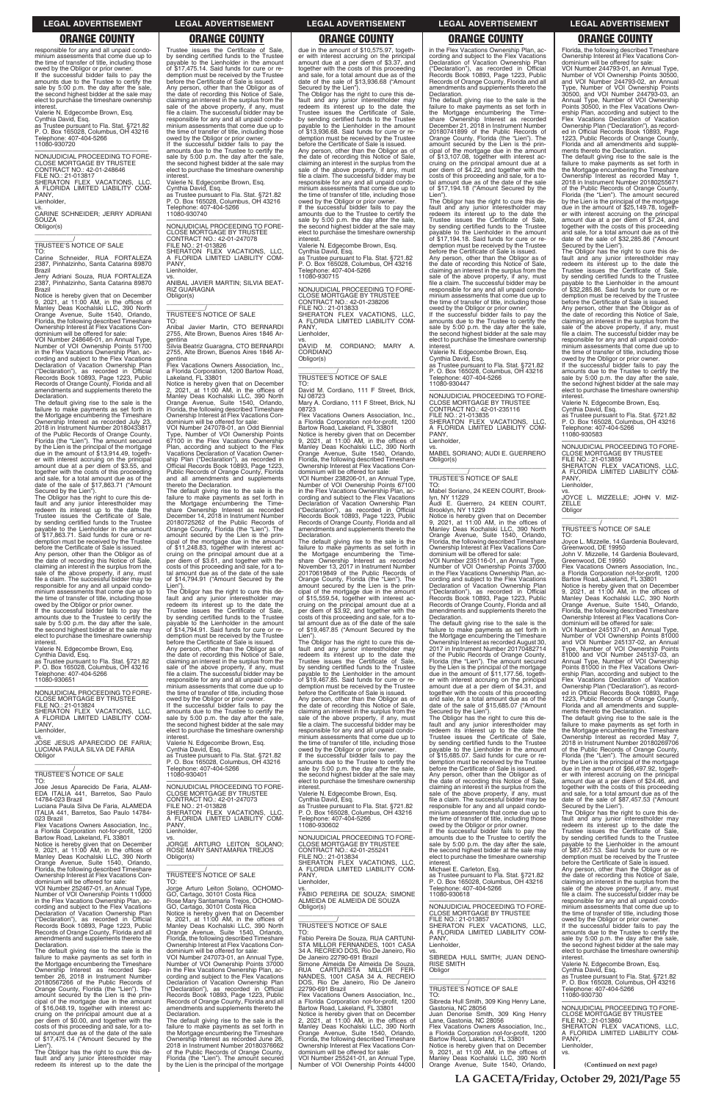**LA GACETA/Friday, October 29, 2021/Page 55**

responsible for any and all unpaid condominium assessments that come due up to the time of transfer of title, including those owed by the Obligor or prior owner. If the successful bidder fails to pay the amounts due to the Trustee to certify the sale by 5:00 p.m. the day after the sale. the second highest bidder at the sale may elect to purchase the timeshare ownership interest.

vs. CARINE SCHNEIDER; JERRY ADRIANI **SOUZA** Obligor(s)  $\overline{\phantom{a}}$  , and the set of the set of the set of the set of the set of the set of the set of the set of the set of the set of the set of the set of the set of the set of the set of the set of the set of the set of the s

Valerie N. Edgecombe Brown, Esq. Cynthia David, Esq. as Trustee pursuant to Fla. Stat. §721.82 P. O. Box 165028, Columbus, OH 43216 Telephone: 407-404-5266

11080-930720

VOI Number 248646-01, an Annual Type, Number of VOI Ownership Points 51700 in the Flex Vacations Ownership Plan, according and subject to the Flex Vacations Declaration of Vacation Ownership Plan ("Declaration"), as recorded in Official Records Book 10893, Page 1223, Public Records of Orange County, Florida and all amendments and supplements thereto the Declaration.

—————————————————— NONJUDICIAL PROCEEDING TO FORE-CLOSE MORTGAGE BY TRUSTEE CONTRACT NO.: 42-01-248646 FILE NO.: 21-013817 SHERATON FLEX VACATIONS, LLC, **FLORIDA LIMITED LIABILITY COM-**A FLC Lienholder,

\_\_\_\_\_\_\_\_\_\_\_/ TRUSTEE'S NOTICE OF SALE

TO: Carine Schneider, RUA FORTALEZA 2387, Pinhalzinho, Santa Catarina 89870 Brazil

Jerry Adriani Souza, RUA FORTALEZA 2387, Pinhalzinho, Santa Catarina 89870 Brazil

Notice is hereby given that on December 9, 2021, at 11:00 AM, in the offices of Manley Deas Kochalski LLC, 390 North Orange Avenue, Suite 1540, Orlando, Florida, the following described Timeshare Ownership Interest at Flex Vacations Condominium will be offered for sale:

owed by the Obligor or prior owner. If the successful bidder fails to pay the amounts due to the Trustee to certify the sale by 5:00 p.m. the day after the sale, the second highest bidder at the sale may elect to purchase the timeshare ownership interest

—————————————————— NONJUDICIAL PROCEEDING TO FORE-CLOSE MORTGAGE BY TRUSTEE FILE NO.: 21-013824 SHERATON FLEX VACATIONS, LLC, FLORIDA LIMITED LIABILITY COM-A FLC<br>PANY,

The default giving rise to the sale is the failure to make payments as set forth in the Mortgage encumbering the Timeshare Ownership Interest as recorded July 2018 in Instrument Number 20180433817 of the Public Records of Orange County, Florida (the "Lien"). The amount secured by the Lien is the principal of the mortgage due in the amount of \$13,914.49, together with interest accruing on the principal amount due at a per diem of \$3.55, and together with the costs of this procee and sale, for a total amount due as of the date of the sale of \$17,863.71 ("Amount

Secured by the Lien"). The Obligor has the right to cure this de-fault and any junior interestholder may redeem its interest up to the date the Trustee issues the Certificate of Sale, by sending certified funds to the Trustee payable to the Lienholder in the amount of \$17,863.71. Said funds for cure or redemption must be received by the Trustee before the Certificate of Sale is issued. Any person, other than the Obligor as of the date of recording this Notice of Sale, claiming an interest in the surplus from the sale of the above property, if any, must file a claim. The successful bidder may be responsible for any and all unpaid condominium assessments that come due up to the time of transfer of title, including those

Valerie N. Edgecombe Brown, Esq. Cynthia David, Esq. as Trustee pursuant to Fla. Stat. §721.82 P. O. Box 165028, Columbus, OH 43216 Telephone: 407-404-5266 11080-930651

Frama **Common** a Florida Corporation, 1200 Bartow Road, Lakeland, FL 33801

Lienholder,

vs.<br>JOSE JESUS APARECIDO DE FARIA;<br>LUCIANA PAULA SILVA DE FARIA Obligor  $\overline{\phantom{a}}$  , and the set of the set of the set of the set of the set of the set of the set of the set of the set of the set of the set of the set of the set of the set of the set of the set of the set of the set of the s

# \_\_\_\_\_\_\_\_\_\_\_/ TRUSTEE'S NOTICE OF SALE

TO: Jose Jesus Aparecido De Faria, ALAM-EDA ITALIA 441, Barretos, Sao Paulo 14784-023 Brazil Luciana Paula Silva De Faria, ALAMEDA

due in the amount of \$10,575.97, together with interest accruing on the principal amount due at a per diem of \$3.37, and together with the costs of this proceeding and sale, for a total amount due as of the date of the sale of \$13,936.68 ("Amount Secured by the Lien").

The Obligor has the right to cure this de-<br>fault and any junior interestholder may<br>redeem its interest up to the date the<br>Trustee issues the Certificate of Sale,<br>by sending certified funds to the Trustee<br>payable to the Lie of \$13,936.68. Said funds for cure or redemption must be received by the Trustee before the Certificate of Sale is issued.

Trustee issues the Certificate of Sale, by sending certified funds to the Trustee payable to the Lienholder in the amount of \$17,475.14. Said funds for cure or redemption must be received by the Trustee before the Certificate of Sale is issued. Any person, other than the Obligor as of the date of recording this Notice of Sale, claiming an interest in the surplus from the sale of the above property, if any, must file a claim. The successful bidder may be responsible for any and all unpaid condominium assessments that come due up to the time of transfer of title, including those owed by the Obligor or prior owner. If the successful bidder fails to pay the amounts due to the Trustee to certify the sale by 5:00 p.m. the day after the sale,

the second highest bidder at the sale may elect to purchase the timeshare ownership interest. Valerie N. Edgecombe Brown, Esq.

> 08723 Flex Vacations Owners Association,

Cynthia David, Esq. as Trustee pursuant to Fla. Stat. §721.82 P. O. Box 165028, Columbus, OH 43216 Telephone: 407-404-5266 11080-930740

—————————————————— NONJUDICIAL PROCEEDING TO FORE-CLOSE MORTGAGE BY TRUSTEE CONTRACT NO.: 42-01-247078 FILE NO.: 21-013826 SHERATON FLEX VACATIONS, LLC, A FLORIDA LIMITED LIABILITY COM-PANY Lienholder,

vs. ANIBAL JAVIER MARTIN; SILVIA BEAT-RIZ GUARAGNA Obligor(s) \_\_\_\_\_\_\_\_\_\_\_\_\_\_\_\_\_\_\_\_\_\_\_\_\_\_\_\_\_\_\_\_\_

> The default giving rise to the sale is the failure to make payments as set forth in the Mortgage encumbering the Timeshare Ownership Interest as recorded November 13, 2017 in Instrument Number 20170619849 of the Public Records of Orange County, Florida (the "Lien"). The amount secured by the Lien is the principal of the mortgage due in the amount of \$15,559.54, together with interest ac-cruing on the principal amount due at a per diem of \$3.92, and together with the costs of this proceeding and sale, for a to-tal amount due as of the date of the sale of \$19,467.85 ("Amount Secured by the  $\mathsf{Lipn}^n$

\_\_\_\_\_\_\_\_\_\_\_/ TRUSTEE'S NOTICE OF SALE

TO: Anibal Javier Martin, CTO BERNARDI 2755, Alte Brown, Buenos Aires 1846 Ar-

gentina www.s<br>Ivia Beatriz Guaragna, CTO BERNARDI 2755, Alte Brown, Buenos Aires 1846 Argentina

Notice is hereby given that on December 2, 2021, at 11:00 AM, in the offices of Manley Deas Kochalski LLC, 390 North Orange Avenue, Suite 1540, Orlando, Florida, the following described Timeshare Ownership Interest at Flex Vacations Condominium will be offered for sale: VOI Number 247078-01, an Odd Biennial

Type, Number of VOI Ownership Points 67100 in the Flex Vacations Ownership Plan, according and subject to the Flex Vacations Declaration of Vacation Ownership Plan ("Declaration"), as recorded in Official Records Book 10893, Page 1223, Public Records of Orange County, Florida and all amendments and supplements thereto the Declaration.

The default giving rise to the sale is the failure to make payments as set forth in the Mortgage encumbering the Timeshare Ownership Interest as recorded December 14, 2018 in Instrument Number 20180725262 of the Public Records of<br>Orange County, Florida (the "Lien"). The Orange County, Florida (the "Lien"). The amount secured by the Lien is the principal of the mortgage due in the amount of \$11,248.83, together with interest ac-cruing on the principal amount due at a per diem of \$3.61, and together with the costs of this proceeding and sale, for a to-tal amount due as of the date of the sale of \$14,794.91 ("Amount Secured by the in the Flex Vacations Ownership Plan, according and subject to the Flex Vacations Declaration of Vacation Ownership Plan ("Declaration"), as recorded in Official Records Book 10893, Page 1223, Public Records of Orange County, Florida and all amendments and supplements thereto the Declaration.

The default giving rise to the sale is the failure to make payments as set forth in the Mortgage encumbering the Time-share Ownership Interest as recorded December 21, 2018 in Instrument Number 20180741899 of the Public Records of Orange County, Florida (the "Lien"). The amount secured by the Lien is the prin-cipal of the mortgage due in the amount of \$13,107.08, together with interest accruing on the principal amount due at a per diem of \$4.22, and together with the costs of this proceeding and sale, for a to-tal amount due as of the date of the sale of \$17,194.18 ("Amount Secured by the Lien"

Lien"). The Obligor has the right to cure this default and any junior interestholder may redeem its interest up to the date the Trustee issues the Certificate of Sale, by sending certified funds to the Trustee payable to the Lienholder in the amount of \$14,794.91. Said funds for cure or redemption must be received by the Trustee before the Certificate of Sale is issued.

Any person, other than the Obligor as of the date of recording this Notice of Sale, claiming an interest in the surplus from the sale of the above property, if any, must file a claim. The successful bidder may be responsible for any and all unpaid condominium assessments that come due up to the time of transfer of title, including those

owed by the Obligor or prior owner. If the successful bidder fails to pay the amounts due to the Trustee to certify the sale by 5:00 p.m. the day after the sale, the second highest bidder at the sale may elect to purchase the timeshare ownership interest.

—————————————————— NONJUDICIAL PROCEEDING TO FORE-CLOSE MORTGAGE BY TRUSTEE CONTRACT NO.: 42-01-235116 FILE NO.: 21-013835 SHERATON FLEX VACATIONS, LLC, A FLORIDA LIMITED LIABILITY COM-PANY

Valerie N. Edgecombe Brown, Esq.

Cynthia David, Esq. as Trustee pursuant to Fla. Stat. §721.82 P. O. Box 165028, Columbus, OH 43216 Telephone: 407-404-5266 11080-930401

—————————————————— NONJUDICIAL PROCEEDING TO FORE-CLOSE MORTGAGE BY TRUSTEE CONTRACT NO.: 42-01-247073 FILE NO.: 21-013828

The default giving rise to the sale is the failure to make payments as set forth in the Mortgage encumbering the Timeshare Ownership Interest as recorded August 30, 2017 in Instrument Number 20170482714 of the Public Records of Orange County, Florida (the "Lien"). The amount secured by the Lien is the principal of the mortgage due in the amount of \$11,177.56, together with interest accruing on the principal amount due at a per diem of \$4.31, and together with the costs of this proceeding<br>and sale, for a total amount due as of the<br>date of the sale of \$15,685.07 ("Amount<br>Secured by the Lien").<br>The Obligor has the right to cure this de-

Any person, other than the Obligor as of the date of recording this Notice of Sale, claiming an interest in the surplus from the sale of the above property, if any, must file a claim. The successful bidder may be responsible for any and all unpaid condominium assessments that come due up to the time of transfer of title, including those owed by the Obligor or prior owner. If the successful bidder fails to pay the amounts due to the Trustee to certify the sale by 5:00 p.m. the day after the sale, the second highest bidder at the sale may

> owed by the Obligor or prior owner. If the successful bidder fails to pay the amounts due to the Trustee to certify the sale by 5:00 p.m. the day after the sale, the second highest bidder at the sale may elect to purchase the timeshare ownership nterest

elect to purchase the timeshare ownership interest. Valerie N. Edgecombe Brown, Esq. Cynthia David, Esq. as Trustee pursuant to Fla. Stat. §721.82

P. O. Box 165028, Columbus, OH 43216 Telephone: 407-404-5266 11080-930715 —————————————————— NONJUDICIAL PROCEEDING TO FORE-CLOSE MORTGAGE BY TRUSTEE CONTRACT NO.: 42-01-238206 FILE NO.: 21-013833 SHERATON FLEX VACATIONS, LLC,

> Flex Vacations Owners Association, In a Florida Corporation not-for-profit, 1200 Bartow Road, Lakeland, FL 33801

A FLORIDA LIMITED LIABILITY COM-PANY, Lienholder, vs.

CORDIANO; MARY A. CORDIANO Obligor(s)  $\overline{\phantom{a}}$  , and the set of the set of the set of the set of the set of the set of the set of the set of the set of the set of the set of the set of the set of the set of the set of the set of the set of the set of the s

\_\_\_\_\_\_\_\_\_\_\_/ TRUSTEE'S NOTICE OF SALE

TO: David M. Cordiano, 111 F Street, Brick, NJ 08723 Mary A. Cordiano, 111 F Street, Brick, NJ

a Florida Corporation not-for-profit, 1200 Bartow Road, Lakeland, FL 33801 Notice is hereby given that on December 9, 2021, at 11:00 AM, in the offices of Manley Deas Kochalski LLC, 390 North Orange Avenue, Suite 1540, Orlando, Florida, the following described Timeshare Ownership Interest at Flex Vacations Con-

dominium will be offered for sale: VOI Number 238206-01, an Annual Type, Number of VOI Ownership Points 67100 in the Flex Vacations Ownership Plan, according and subject to the Flex Vacations Declaration of Vacation Ownership Plan ("Declaration"), as recorded in Official Records Book 10893, Page 1223, Public Records of Orange County, Florida and all amendments and supplements thereto the Declaration.

The Obligor has the right to cure this default and any junior interestholder may redeem its interest up to the date the Trustee issues the Certificate of Sale, by sending certified funds to the Trustee payable to the Lienholder in the amount of \$19,467.85. Said funds for cure or re-demption must be received by the Trustee before the Certificate of Sale is issued.

Any person, other than the Obligor as of the date of recording this Notice of Sale, claiming an interest in the surplus from the sale of the above property, if any, must file a claim. The successful bidder may be responsible for any and all unpaid condo-minium assessments that come due up to the time of transfer of title, including those owed by the Obligor or prior owner.

If the successful bidder fails to pay the amounts due to the Trustee to certify the sale by 5:00 p.m. the day after the sale. the second highest bidder at the sale may elect to purchase the timeshare ownership interest.

Valerie N. Edgecombe Brown, Esq.

Cynthia David, Esq. as Trustee pursuant to Fla. Stat. §721.82

| Luciana Paula Silva De Faria. ALAMEDA<br>ITALIA 441, Barretos, Sao Paulo 14784-<br>023 Brazil<br>Flex Vacations Owners Association. Inc<br>a Florida Corporation not-for-profit, 1200<br>Bartow Road, Lakeland, FL 33801<br>Notice is hereby given that on December<br>9, 2021, at 11:00 AM, in the offices of<br>Manley Deas Kochalski LLC, 390 North<br>Orange Avenue, Suite 1540, Orlando,<br>Florida, the following described Timeshare<br>Ownership Interest at Flex Vacations Con-<br>dominium will be offered for sale:<br>VOI Number 252467-01, an Annual Type,<br>Number of VOI Ownership Points 110000<br>in the Flex Vacations Ownership Plan. ac-<br>cording and subject to the Flex Vacations<br>Declaration of Vacation Ownership Plan<br>("Declaration"), as recorded in Official<br>Records Book 10893, Page 1223, Public<br>Records of Orange County, Florida and all<br>amendments and supplements thereto the<br>Declaration.<br>The default giving rise to the sale is the<br>failure to make payments as set forth in<br>the Mortgage encumbering the Timeshare<br>Ownership Interest as recorded Sep-<br>tember 26, 2018 in Instrument Number<br>20180567266 of the Public Records of<br>Orange County, Florida (the "Lien"). The<br>amount secured by the Lien is the prin-<br>cipal of the mortgage due in the amount<br>of \$16,048.19, together with interest ac-<br>cruing on the principal amount due at a<br>per diem of \$0.00, and together with the<br>costs of this proceeding and sale, for a to-<br>tal amount due as of the date of the sale<br>of \$17,475.14 ("Amount Secured by the<br>Lien"). | FILE NO.: 21-013828<br>SHERATON FLEX VACATIONS. LLC.<br>A FLORIDA LIMITED LIABILITY COM-<br>PANY.<br>Lienholder.<br>VS.<br>JORGE ARTURO LEITON SOLANO:<br>ROSE MARY SANTAMARIA TREJOS<br>Obligor(s)<br>TRUSTEE'S NOTICE OF SALE<br>TO:<br>Jorge Arturo Leiton Solano, OCHOMO-<br>GO, Cartago, 30101 Costa Rica<br>Rose Mary Santamaria Trejos, OCHOMO-<br>GO, Cartago, 30101 Costa Rica<br>Notice is hereby given that on December<br>9, 2021, at 11:00 AM, in the offices of<br>Manley Deas Kochalski LLC, 390 North<br>Orange Avenue, Suite 1540, Orlando,<br>Florida, the following described Timeshare<br>Ownership Interest at Flex Vacations Con-<br>dominium will be offered for sale:<br>VOI Number 247073-01, an Annual Type,<br>Number of VOI Ownership Points 37000<br>in the Flex Vacations Ownership Plan, ac-<br>cording and subject to the Flex Vacations<br>Declaration of Vacation Ownership Plan<br>("Declaration"), as recorded in Official<br>Records Book 10893, Page 1223, Public<br>Records of Orange County, Florida and all<br>amendments and supplements thereto the<br>Declaration.<br>The default giving rise to the sale is the<br>failure to make payments as set forth in<br>the Mortgage encumbering the Timeshare<br>Ownership Interest as recorded June 26,<br>2018 in Instrument Number 20180376662 | as Trustee pursuant to Fla. Stat. §721.82<br>P. O. Box 165028, Columbus, OH 43216<br>Telephone: 407-404-5266<br>11080-930602<br>NONJUDICIAL PROCEEDING TO FORE-<br><b>CLOSE MORTGAGE BY TRUSTEE</b><br>CONTRACT NO.: 42-01-255241<br>FILE NO.: 21-013834<br>SHERATON FLEX VACATIONS. LLC.<br>A FLORIDA LIMITED LIABILITY COM-<br>PANY.<br>Lienholder,<br>VS.<br>FABIO PEREIRA DE SOUZA: SIMONE<br>ALMEIDA DE ALMEIDA DE SOUZA<br>Obligor(s)<br><b>TRUSTEE'S NOTICE OF SALE</b><br>TO:<br>Fabio Pereira De Souza, RUA CARTUNI-<br>STA MILLOR FERNANDES, 1001 CASA<br>34 A. RECREIO DOS. Rio De Janeiro. Rio<br>De Janeiro 22790-691 Brazil<br>Simone Almeida De Almeida De Souza,<br>RUA CARTUNISTA MILLOR FER-<br>NANDES, 1001 CASA 34 A. RECREIO<br>DOS, Rio De Janeiro, Rio De Janeiro<br>22790-691 Brazil<br>Flex Vacations Owners Association. Inc<br>a Florida Corporation not-for-profit, 1200<br>Bartow Road, Lakeland, FL 33801<br>Notice is hereby given that on December<br>2, 2021, at $11:00$ AM, in the offices of<br>Manley Deas Kochalski LLC, 390 North<br>Orange Avenue, Suite 1540, Orlando,<br>Florida, the following described Timeshare<br>Ownership Interest at Flex Vacations Con- | responsible for any and all unpaid condo-<br>minium assessments that come due up to<br>the time of transfer of title, including those<br>owed by the Obligor or prior owner.<br>If the successful bidder fails to pay the<br>amounts due to the Trustee to certify the<br>sale by 5:00 p.m. the day after the sale,<br>the second highest bidder at the sale may<br>elect to purchase the timeshare ownership<br>interest.<br>Michael E. Carleton, Esg.<br>as Trustee pursuant to Fla. Stat. §721.82<br>P. O. Box 165028, Columbus, OH 43216<br>Telephone: 407-404-5266<br>11080-930618<br>NONJUDICIAL PROCEEDING TO FORE-<br><b>CLOSE MORTGAGE BY TRUSTEE</b><br>FILE NO.: 21-013857<br>SHERATON FLEX VACATIONS. LLC.<br>A FLORIDA LIMITED LIABILITY COM-<br>PANY.<br>Lienholder,<br>VS.<br>SIBREDA HULL SMITH: JUAN DENO-<br><b>RISE SMITH</b><br>Obligor<br>TRUSTEE'S NOTICE OF SALE<br>TO:<br>Sibreda Hull Smith, 309 King Henry Lane,<br>Gastonia, NC 28056<br>Juan Denorise Smith, 309 King Henry<br>Lane, Gastonia, NC 28056<br>Flex Vacations Owners Association. Inc<br>a Florida Corporation not-for-profit, 1200<br>Bartow Road, Lakeland, FL 33801<br>Notice is hereby given that on December | Secured by the Lien").<br>The Obligor has the right to cure this de-<br>fault and any junior interestholder may<br>redeem its interest up to the date the<br>Trustee issues the Certificate of Sale,<br>by sending certified funds to the Trustee<br>payable to the Lienholder in the amount<br>of \$87,457.53. Said funds for cure or re-<br>demption must be received by the Trustee<br>before the Certificate of Sale is issued.<br>Any person, other than the Obligor as of<br>the date of recording this Notice of Sale,<br>claiming an interest in the surplus from the<br>sale of the above property, if any, must<br>file a claim. The successful bidder may be<br>responsible for any and all unpaid condo-<br>minium assessments that come due up to<br>the time of transfer of title, including those<br>owed by the Obligor or prior owner.<br>If the successful bidder fails to pay the<br>amounts due to the Trustee to certify the<br>sale by 5:00 p.m. the day after the sale,<br>the second highest bidder at the sale may<br>elect to purchase the timeshare ownership<br>interest.<br>Valerie N. Edgecombe Brown, Esg.<br>Cynthia David, Esq.<br>as Trustee pursuant to Fla. Stat. §721.82<br>P. O. Box 165028, Columbus, OH 43216<br>Telephone: 407-404-5266<br>11080-930730<br>NONJUDICIAL PROCEEDING TO FORE-<br><b>CLOSE MORTGAGE BY TRUSTEE</b><br>FILE NO.: 21-013860<br>SHERATON FLEX VACATIONS, LLC,<br>A FLORIDA LIMITED LIABILITY COM-<br>PANY.<br>Lienholder, |
|---------------------------------------------------------------------------------------------------------------------------------------------------------------------------------------------------------------------------------------------------------------------------------------------------------------------------------------------------------------------------------------------------------------------------------------------------------------------------------------------------------------------------------------------------------------------------------------------------------------------------------------------------------------------------------------------------------------------------------------------------------------------------------------------------------------------------------------------------------------------------------------------------------------------------------------------------------------------------------------------------------------------------------------------------------------------------------------------------------------------------------------------------------------------------------------------------------------------------------------------------------------------------------------------------------------------------------------------------------------------------------------------------------------------------------------------------------------------------------------------------------------------------------------------------------------------------------------------------------------------------------------|----------------------------------------------------------------------------------------------------------------------------------------------------------------------------------------------------------------------------------------------------------------------------------------------------------------------------------------------------------------------------------------------------------------------------------------------------------------------------------------------------------------------------------------------------------------------------------------------------------------------------------------------------------------------------------------------------------------------------------------------------------------------------------------------------------------------------------------------------------------------------------------------------------------------------------------------------------------------------------------------------------------------------------------------------------------------------------------------------------------------------------------------------------------------------------------------------------------------------------------------------------------------------------------------------------------------------------------|-----------------------------------------------------------------------------------------------------------------------------------------------------------------------------------------------------------------------------------------------------------------------------------------------------------------------------------------------------------------------------------------------------------------------------------------------------------------------------------------------------------------------------------------------------------------------------------------------------------------------------------------------------------------------------------------------------------------------------------------------------------------------------------------------------------------------------------------------------------------------------------------------------------------------------------------------------------------------------------------------------------------------------------------------------------------------------------------------------------------------------------------------------------------------------------------------------------|-----------------------------------------------------------------------------------------------------------------------------------------------------------------------------------------------------------------------------------------------------------------------------------------------------------------------------------------------------------------------------------------------------------------------------------------------------------------------------------------------------------------------------------------------------------------------------------------------------------------------------------------------------------------------------------------------------------------------------------------------------------------------------------------------------------------------------------------------------------------------------------------------------------------------------------------------------------------------------------------------------------------------------------------------------------------------------------------------------------------------------------------------------------------------------------------------------------|---------------------------------------------------------------------------------------------------------------------------------------------------------------------------------------------------------------------------------------------------------------------------------------------------------------------------------------------------------------------------------------------------------------------------------------------------------------------------------------------------------------------------------------------------------------------------------------------------------------------------------------------------------------------------------------------------------------------------------------------------------------------------------------------------------------------------------------------------------------------------------------------------------------------------------------------------------------------------------------------------------------------------------------------------------------------------------------------------------------------------------------------------------------------------------------------------------------------------------------------------------------------------------------------------------------------------------------------------------------------------------------------------------------------------------------------------------------------------------------------|
| The Obligor has the right to cure this de-<br>fault and any junior interestholder may<br>redeem its interest up to the date the                                                                                                                                                                                                                                                                                                                                                                                                                                                                                                                                                                                                                                                                                                                                                                                                                                                                                                                                                                                                                                                                                                                                                                                                                                                                                                                                                                                                                                                                                                       | of the Public Records of Orange County,<br>Florida (the "Lien"). The amount secured<br>by the Lien is the principal of the mortgage                                                                                                                                                                                                                                                                                                                                                                                                                                                                                                                                                                                                                                                                                                                                                                                                                                                                                                                                                                                                                                                                                                                                                                                                    | dominium will be offered for sale:<br>VOI Number 255241-01, an Annual Type,<br>Number of VOI Ownership Points 44000                                                                                                                                                                                                                                                                                                                                                                                                                                                                                                                                                                                                                                                                                                                                                                                                                                                                                                                                                                                                                                                                                       | 9. 2021. at 11:00 AM. in the offices of<br>Manley Deas Kochalski LLC, 390 North<br>Orange Avenue, Suite 1540, Orlando,                                                                                                                                                                                                                                                                                                                                                                                                                                                                                                                                                                                                                                                                                                                                                                                                                                                                                                                                                                                                                                                                                    | VS.<br>(Continued on next page)                                                                                                                                                                                                                                                                                                                                                                                                                                                                                                                                                                                                                                                                                                                                                                                                                                                                                                                                                                                                                                                                                                                                                                                                                                                                                                                                                                                                                                                             |
|                                                                                                                                                                                                                                                                                                                                                                                                                                                                                                                                                                                                                                                                                                                                                                                                                                                                                                                                                                                                                                                                                                                                                                                                                                                                                                                                                                                                                                                                                                                                                                                                                                       |                                                                                                                                                                                                                                                                                                                                                                                                                                                                                                                                                                                                                                                                                                                                                                                                                                                                                                                                                                                                                                                                                                                                                                                                                                                                                                                                        |                                                                                                                                                                                                                                                                                                                                                                                                                                                                                                                                                                                                                                                                                                                                                                                                                                                                                                                                                                                                                                                                                                                                                                                                           |                                                                                                                                                                                                                                                                                                                                                                                                                                                                                                                                                                                                                                                                                                                                                                                                                                                                                                                                                                                                                                                                                                                                                                                                           |                                                                                                                                                                                                                                                                                                                                                                                                                                                                                                                                                                                                                                                                                                                                                                                                                                                                                                                                                                                                                                                                                                                                                                                                                                                                                                                                                                                                                                                                                             |

The Obligor has the right to cure this default and any junior interestholder may redeem its interest up to the date the Trustee issues the Certificate of Sale, by sending certified funds to the Trustee payable to the Lienholder in the amount of \$17,194.18. Said funds for cure or redemption must be received by the Trustee before the Certificate of Sale is issued. Any person, other than the Obligor as of date of recording this Notice of Sale, claiming an interest in the surplus from the sale of the above property, if any, must file a claim. The successful bidder may be responsible for any and all unpaid condominium assessments that come due up to

the time of transfer of title, including those owed by the Obligor or prior owner. If the successful bidder fails to pay the amounts due to the Trustee to certify the sale by 5:00 p.m. the day after the sale, the second highest bidder at the sale may elect to purchase the timeshare ownership

interest. Valerie N. Edgecombe Brown, Esq.

Cynthia David, Esq. as Trustee pursuant to Fla. Stat. §721.82 P. O. Box 165028, Columbus, OH 43216 Telephone: 407-404-5266 11080-930447

Lienholder, vs.

MABEL SORIANO; AUDI E. GUERRERO Obligor(s) \_\_\_\_\_\_\_\_\_\_\_\_\_\_\_\_\_\_\_\_\_\_\_\_\_\_\_\_\_\_\_\_\_

# \_\_\_\_\_\_\_\_\_\_\_/ TRUSTEE'S NOTICE OF SALE

TO: Mabel Soriano, 24 KEEN COURT, Brooklyn, NY 11229 Audi E. Guerrero, 24 KEEN COURT,

Brooklyn, NY 11229 Notice is hereby given that on December 9, 2021, at 11:00 AM, in the offices of

Manley Deas Kochalski LLC, 390 North Orange Avenue, Suite 1540, Orlando, Florida, the following described Timeshare Ownership Interest at Flex Vacations Condominium will be offered for sale: VOI Number 235116-01, an Annual Type,

Number of VOI Ownership Points 37000 in the Flex Vacations Ownership Plan, according and subject to the Flex Vacations Declaration of Vacation Ownership Plan ("Declaration"), as recorded in Official ("Declaration"), as recorded in Official<br>Records Book 10893, Page 1223, Public Records of Orange County, Florida and all amendments and supplements thereto the Declaration.

fault and any junior interestholder may redeem its interest up to the date the Trustee issues the Certificate of Sale, by sending certified funds to the Trustee payable to the Lienholder in the amount of \$15,685.07. Said funds for cure or re-demption must be received by the Trustee before the Certificate of Sale is issued.

Any person, other than the Obligor as of the date of recording this Notice of Sale, claiming an interest in the surplus from the sale of the above property, if any, must file a claim. The successful bidder may be

Florida, the following described Timeshare Ownership Interest at Flex Vacations Con-dominium will be offered for sale:

VOI Number 244793-01, an Annual Type, Number of VOI Ownership Points 30500, and VOI Number 244793-02, an Annual Type, Number of VOI Ownership Points 30500, and VOI Number 244793-03, an Annual Type, Number of VOI Ownership Points 30500, in the Flex Vacations Ownership Plan, according and subject to the<br>Flex Vacations Declaration of Vacation Flex Vacations Declaration of Ownership Plan ("Declaration"), as recorded in Official Records Book 10893, Page 1223, Public Records of Orange County, Florida and all amendments and supplements thereto the Declaration.

The default giving rise to the sale is the failure to make payments as set forth in the Mortgage encumbering the Timeshare Ownership Interest as recorded May 1, 2018 in Instrument Number 20180255671 of the Public Records of Orange County, Florida (the "Lien"). The amount secured by the Lien is the principal of the mortgage due in the amount of \$25,149.78, together with interest accruing on the principal amount due at a per diem of \$7.24, and together with the costs of this proceeding and sale, for a total amount due as of the date of the sale of \$32,285.86 ("Amount

Secured by the Lien"). The Obligor has the right to cure this de-fault and any junior interestholder may redeem its interest up to the date the Trustee issues the Certificate of Sale, by sending certified funds to the Trustee payable to the Lienholder in the amount of \$32,285.86. Said funds for cure or re-

demption must be received by the Trustee before the Certificate of Sale is issued. Any person, other than the Obligor as of the date of recording this Notice of Sale, claiming an interest in the surplus from the sale of the above property, if any, must file a claim. The successful bidder may be responsible for any and all unpaid condominium assessments that come due up to the time of transfer of title, including those

Valerie N. Edgecombe Brown, Esq.

Cynthia David, Esq. as Trustee pursuant to Fla. Stat. §721.82 P. O. Box 165028, Columbus, OH 43216 Telephone: 407-404-5266 11080-930583

—————————————————— NONJUDICIAL PROCEEDING TO FORE-CLOSE MORTGAGE BY TRUSTEE FILE NO.: 21-013859 SHERATON FLEX VACATIONS, LLC,

A FLORIDA LIMITED LIABILITY COM-PANY, Lienholder,

vs. JOYCE L. MIZZELLE; JOHN V. MIZ-ZELLE **Obligor** \_\_\_\_\_\_\_\_\_\_\_\_\_\_\_\_\_\_\_\_\_\_\_\_\_\_\_\_\_\_\_\_\_

\_\_\_\_\_\_\_\_\_\_\_/ TRUSTEE'S NOTICE OF SALE

TO: Joyce L. Mizzelle, 14 Gardenia Boulevard,

Greenwood, DE 19950 John V. Mizzelle, 14 Gardenia Boulevard, Greenwood, DE 19950

Notice is hereby given that on December 9, 2021, at 11:00 AM, in the offices of Manley Deas Kochalski LLC, 390 North Orange Avenue, Suite 1540, Orlando, Florida, the following described Timeshare Ownership Interest at Flex Vacations Con-

dominium will be offered for sale: VOI Number 245137-01, an Annual Type, Number of VOI Ownership Points 81000 and VOI Number 245137-02, an Annual Type, Number of VOI Ownership Points 81000 and VOI Number 245137-03, an Annual Type, Number of VOI Ownership Points 81000 in the Flex Vacations Ownership Plan, according and subject to the Flex Vacations Declaration of Vacation Ownership Plan ("Declaration"), as record-ed in Official Records Book 10893, Page 1223, Public Records of Orange County, Florida and all amendments and supplements thereto the Declaration. The default giving rise to the sale is the

failure to make payments as set forth in the Mortgage encumbering the Timeshare Ownership Interest as recorded May 7, 2018 in Instrument Number 20180269706 of the Public Records of Orange County, Florida (the "Lien"). The amount secured by the Lien is the principal of the mortgage due in the amount of \$66,497.92, together with interest accruing on the principal amount due at a per diem of \$24.46, and together with the costs of this proceeding and sale, for a total amount due as of the date of the sale of \$87,457.53 ("Amount

### **LEGAL ADVERTISEMENT LEGAL ADVERTISEMENT LEGAL ADVERTISEMENT LEGAL ADVERTISEMENT LEGAL ADVERTISEMENT**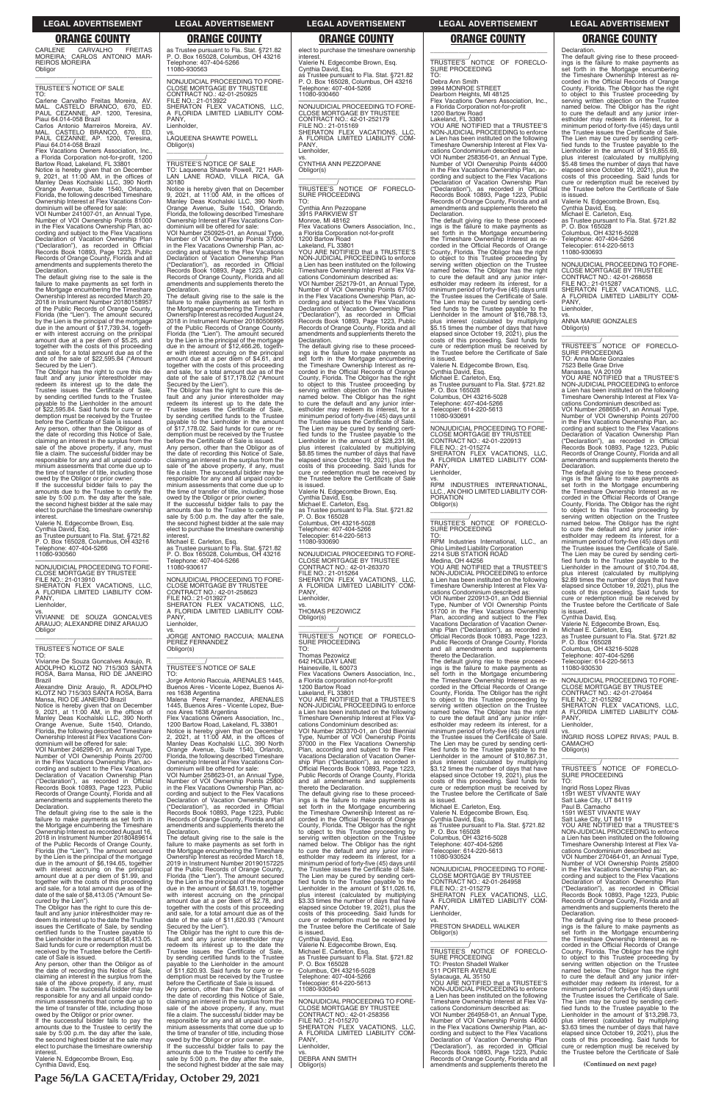**Page 56/LA GACETA/Friday, October 29, 2021**

CARLENE CARVALHO FREITAS MOREIRA; CARLOS ANTONIO MAR-REIROS MOREIRA **Obligor** \_\_\_\_\_\_\_\_\_\_\_\_\_\_\_\_\_\_\_\_\_\_\_\_\_\_\_\_\_\_\_\_\_

# \_\_\_\_\_\_\_\_\_\_\_/ TRUSTEE'S NOTICE OF SALE

TO: Carlene Carvalho Freitas Moreira, AV. MAL. CASTELO BRANCO, 670, ED. PAUL CEZANNE, AP. 1200, Teresina, Piaui 64.014-058 Brazil

Carlos Antonio Marreiros Moreira, AV. MAL. CASTELO BRANCO, 670, ED. PAUL CEZANNE, AP. 1200, Teresina, Piaui 64.014-058 Brazil

Vacations Owners Association, Inc.

a Florida Corporation not-for-profit, 1200<br>Bartow Road, Lakeland, FL 33801<br>Notice is hereby given that on December<br>9, 2021, at 11:00 AM, in the offices of<br>Manley Deas Kochalski LLC, 390 North<br>Orange Avenue, Suite 1540, Orl Florida, the following described Timeshare Ownership Interest at Flex Vacations Con-dominium will be offered for sale:

VOI Number 241007-01, an Annual Type, Number of VOI Ownership Points 81000 in the Flex Vacations Ownership Plan, according and subject to the Flex Vacations Declaration of Vacation Ownership Plan ("Declaration"), as recorded in Official Records Book 10893, Page 1223, Public Records of Orange County, Florida and all amendments and supplements thereto the Declaration.

The default giving rise to the sale is the failure to make payments as set forth in the Mortgage encumbering the Timeshare Ownership Interest as recorded March 20, 2018 in Instrument Number 20180158957 of the Public Records of Orange County,<br>Florida (the "Lien"). The amount secured<br>by the Lien is the principal of the mortgage<br>due in the amount of \$17,739.34, together with interest accruing on the principal amount due at a per diem of \$5.25, and together with the costs of this proceeding and sale, for a total amount due as of the date of the sale of \$22,595.84 ("Amount

Notice is hereby given that on December<br>9, 2021, at 11:00 AM, in the offices of<br>Manley Deas Kochalski LLC, 390 North<br>Orange Avenue, Suite 1540, Orlando,<br>Florida, the following described Timeshare<br>Ownership Interest at Flex dominium will be offered for sale:

Secured by the Lien"). The Obligor has the right to cure this de-fault and any junior interestholder may redeem its interest up to the date the Trustee issues the Certificate of Sale, by sending certified funds to the Trustee payable to the Lienholder in the amount of \$22,595.84. Said funds for cure or re-demption must be received by the Trustee before the Certificate of Sale is issued.

Any person, other than the Obligor as of the date of recording this Notice of Sale, claiming an interest in the surplus from the sale of the above property, if any, must file a claim. The successful bidder may be responsible for any and all unpaid condo-minium assessments that come due up to the time of transfer of title, including those

owed by the Obligor or prior owner. If the successful bidder fails to pay the amounts due to the Trustee to certify the sale by 5:00 p.m. the day after the sale, the second highest bidder at the sale may elect to purchase the timeshare ownership interest.

the date of recording this Notice of Sale,<br>claiming an interest in the surplus from the<br>sale of the above property, if any, must<br>file a claim. The successful bidder may be responsible for any and all unpaid condo-minium assessments that come due up to the time of transfer of title, including those owed by the Obligor or prior owner. If the successful bidder fails to pay the

amounts due to the Trustee to certify the sale by 5:00 p.m. the day after the sale, the second highest bidder at the sale may elect to purchase the timeshare ownership interest

Valerie N. Edgecombe Brown, Esq. Cynthia David, Esq.

as Trustee pursuant to Fla. Stat. §721.82 P. O. Box 165028, Columbus, OH 43216 Telephone: 407-404-5266 11080-930560

—————————————————— NONJUDICIAL PROCEEDING TO FORE-CLOSE MORTGAGE BY TRUSTEE

FILE NO.: 21-013910 SHERATON FLEX VACATIONS, LLC, A FLORIDA LIMITED LIABILITY COM-PANY Lienholder,

vs. VIVIANNE DE SOUZA GONCALVES ARAUJO; ALEXANDRE DINIZ ARAUJO **Obligor** \_\_\_\_\_\_\_\_\_\_\_\_\_\_\_\_\_\_\_\_\_\_\_\_\_\_\_\_\_\_\_\_\_

# \_\_\_\_\_\_\_\_\_\_\_/ TRUSTEE'S NOTICE OF SALE

TO: Vivianne De Souza Goncalves Araujo, R. ADOLPHO KLOTZ NO 715/303 SANTA ROSA, Barra Mansa, RIO DE JANEIRO Brazil

Alexandre Diniz Araujo, R. ADOLPHO KLOTZ NO 715/303 SANTA ROSA, Barra Mansa, RIO DE JANEIRO Brazil

VOI Number 246298-01, an Annual Type, Number of VOI Ownership Points 20700 in the Flex Vacations Ownership Plan, according and subject to the Flex Vacations Declaration of Vacation Ownership Plan ("Declaration"), as recorded in Official Records Book 10893, Page 1223, Public Records of Orange County, Florida and all amendments and supplements thereto the

PANY Lienholder,

Declaration. The default giving rise to the sale is the failure to make payments as set forth in the Mortgage encumbering the Timeshare Ownership Interest as recorded August 16, 2018 in Instrument Number 20180489614 of the Public Records of Orange County, Florida (the "Lien"). The amount secured by the Lien is the principal of the mortgage due in the amount of \$6,194.65, together with interest accruing on the principal amount due at a per diem of \$1.99, and together with the costs of this proceeding and sale, for a total amount due as of the date of the sale of \$8,413.05 ("Amount Secured by the Lien"). The Obligor has the right to cure this de-

TO: Jorge Antonio Raccuia, ARENALES 1445, Buenos Aires - Vicente Lopez, Buenos Aires 1638 Argentina Malena Perez Fernandez, ARENALES 1445, Buenos Aires - Vicente Lopez, Buenos Aires 1638 Argentina Flex Vacations Owners Association, Inc., 1200 Bartow Road, Lakeland, FL 33801 Notice is hereby given that on December 2, 2021, at 11:00 AM, in the offices of Manley Deas Kochalski LLC, 390 North Orange Avenue, Suite 1540, Orlando, Florida, the following described Timeshare Ownership Interest at Flex Vacations Condominium will be offered for sale: VOI Number 258623-01, an Annual Type, Number of VOI Ownership Points 25800 in the Flex Vacations Ownership Plan, ac-cording and subject to the Flex Vacations Declaration of Vacation Ownership Plan<br>("Declaration"), as recorded in Official

ohone: 407-404-5266

("Declaration"), as recorded in Official Records Book 10893, Page 1223, Public Records of Orange County, Florida and all amendments and supplements thereto the **Declaration.** 

fault and any junior interestholder may re-deem its interest up to the date the Trustee issues the Certificate of Sale, by sending certified funds to the Trustee payable to the Lienholder in the amount of \$8,413.05. Said funds for cure or redemption must be received by the Trustee before the Certifi-cate of Sale is issued. Any person, other than the Obligor as of

Valerie N. Edgecombe Brown, Esq. Cynthia David, Esq. as Trustee pursuant to Fla. Stat. §721.82 P. O. Box 165028, Columbus, OH 43216 Telephone: 407-404-5266 11080-930460

Valerie N. Edgecombe Brown, Esq. Cynthia David, Esq.

as Trustee pursuant to Fla. Stat. §721.82 P. O. Box 165028, Columbus, OH 43216

Telephone: 407-404-5266

11080-930563

—————————————————— NONJUDICIAL PROCEEDING TO FORE-CLOSE MORTGAGE BY TRUSTEE CONTRACT NO.: 42-01-250925 FILE NO.: 21-013922

SHERATON FLEX VACATIONS, LLC, A FLORIDA LIMITED LIABILITY COM-

PANY, Lienholder,

vs. LAQUEENA SHAWTE POWELL

Obligor(s)

YOU ARE NOTIFIED that a TRUSTEE'S NON-JUDICIAL PROCEEDING to enforce a Lien has been instituted on the following Timeshare Ownership Interest at Flex Va-

\_\_\_\_\_\_\_\_\_\_\_\_\_\_\_\_\_\_\_\_\_\_\_\_\_\_\_\_\_\_\_\_\_ \_\_\_\_\_\_\_\_\_\_\_/ TRUSTEE'S NOTICE OF SALE

TO: Laqueena Shawte Powell, 721 HAR-LAN LANE ROAD, VILLA RICA, GA

30180

Notice is hereby given that on December 9, 2021, at 11:00 AM, in the offices of Manley Deas Kochalski LLC, 390 North Orange Avenue, Suite 1540, Orlando,

Florida, the following described Timeshare Ownership Interest at Flex Vacations Con-dominium will be offered for sale: VOI Number 250925-01, an Annual Type, Number of VOI Ownership Points 37000 in the Flex Vacations Ownership Plan, ac-

cording and subject to the Flex Vacations<br>Declaration of Vacation Ownership Plan<br>("Declaration"), as recorded in Official<br>Records Book 10893, Page 1223, Public<br>Records of Orange County, Florida and all<br>amendments and suppl

Declaration.

The default giving rise to the sale is the failure to make payments as set forth in the Mortgage encumbering the Timeshare Ownership Interest as recorded August 24, 2018 in Instrument Number 20180506995 of the Public Records of Orange County, Florida (the "Lien"). The amount secured by the Lien is the principal of the mortgage due in the amount of \$12,466.26, together with interest accruing on the principal amount due at a per diem of \$4.61, and together with the costs of this proceeding and sale, for a total amount due as of the date of the sale of \$17,178.02 ("Amount

Secured by the Lien").

**interest** 

The Obligor has the right to cure this de-fault and any junior interestholder may redeem its interest up to the date the Trustee issues the Certificate of Sale, by sending certified funds to the Trustee payable to the Lienholder in the amount of \$17,178.02. Said funds for cure or re-demption must be received by the Trustee before the Certificate of Sale is issued. Any person, other than the Obligor as of the date of recording this Notice of Sale, claiming an interest in the surplus from the sale of the above property, if any, must file a claim. The successful bidder may be responsible for any and all unpaid condominium assessments that come due up to the time of transfer of title, including those owed by the Obligor or prior owner. If the successful bidder fails to pay the amounts due to the Trustee to certify the sale by 5:00 p.m. the day after the sale, the second highest bidder at the sale may elect to purchase the timeshare ownership Dearborn Heights, MI 48125 Flex Vacations Owners Association, Inc., a Florida Corporation not-for-profit 1200 Bartow Road

Michael E. Carleton, Esq. as Trustee pursuant to Fla. Stat. §721.82 P. O. Box 165028, Columbus, OH 43216

11080-930617

—————————————————— NONJUDICIAL PROCEEDING TO FORE-CLOSE MORTGAGE BY TRUSTEE CONTRACT NO.: 42-01-258623

FILE NO.: 21-013927 SHERATON FLEX VACATIONS, LLC, A FLORIDA LIMITED LIABILITY COM-

vs. JORGE ANTONIO RACCUIA; MALENA PEREZ FERNANDEZ

Obligor(s)

\_\_\_\_\_\_\_\_\_\_\_\_\_\_\_\_\_\_\_\_\_\_\_\_\_\_\_\_\_\_\_\_\_ \_\_\_\_\_\_\_\_\_\_\_/ TRUSTEE'S NOTICE OF SALE

FILE NO.: 21-015274 SHERATON FLEX VACATIONS, LLC, A FLORIDA LIMITED LIABILITY COM-PANY

The default giving rise to the sale is the failure to make payments as set forth in the Mortgage encumbering the Timeshare Ownership Interest as recorded March 18, 2019 in Instrument Number 20190157225 of the Public Records of Orange County, Florida (the "Lien"). The amount secured by the Lien is the principal of the mortgage due in the amount of \$8,631.19, together with interest accruing on the principal amount due at a per diem of \$2.78, and together with the costs of this proceeding and sale, for a total amount due as of the date of the sale of \$11,620.93 ("Amount Secured by the Lien").

The Obligor has the right to cure this default and any junior interestholder may redeem its interest up to the date the Trustee issues the Certificate of Sale, by sending certified funds to the Trustee payable to the Lienholder in the amount of \$11,620.93. Said funds for cure or redemption must be received by the Trustee before the Certificate of Sale is issued. Any person, other than the Obligor as of

the date of recording this Notice of Sale, claiming an interest in the surplus from the sale of the above property, if any, must file a claim. The successful bidder may be responsible for any and all unpaid condominium assessments that come due up to the time of transfer of title, including those owed by the Obligor or prior owner.

If the successful bidder fails to pay the amounts due to the Trustee to certify the sale by 5:00 p.m. the day after the sale, the second highest bidder at the sale may

elect to purchase the timeshare ownership interest.

VOI Number 268658-01, an Annual Type, Number of VOI Ownership Points 20700 in the Flex Vacations Ownership Plan, according and subject to the Flex Vacations Declaration of Vacation Ownership Plan ("Declaration"), as recorded in Official Records Book 10893, Page 1223, Public Records of Orange County, Florida and all amendments and supplements thereto the **Declaration** 

—————————————————— NONJUDICIAL PROCEEDING TO FORE-CLOSE MORTGAGE BY TRUSTEE CONTRACT NO.: 42-01-252179 FILE NO.: 21-015169 SHERATON FLEX VACATIONS, LLC, A FLORIDA LIMITED LIABILITY COM-PANY, Lienholder,

vs. CYNTHIA ANN PEZZOPANE Obligor(s) \_\_\_\_\_\_\_\_\_\_\_\_\_\_\_\_\_\_\_\_\_\_\_\_\_\_\_\_\_\_\_\_\_

\_\_\_\_\_\_\_\_\_\_\_/ TRUSTEE'S NOTICE OF FORECLO-SURE PROCEEDING TO:

Cynthia Ann Pezzopane 3915 PARKVIEW ST

Monroe, MI 48162 Flex Vacations Owners Association, Inc., a Florida Corporation not-for-profit 1200 Bartow Road Lakeland, FL 33801

> —————————————————— NONJUDICIAL PROCEEDING TO FORE-CLOSE MORTGAGE BY TRUSTEE CONTRACT NO.: 42-01-270464 FILE NO.: 21-015292 SHERATON FLEX VACATIONS, LLC, A FLORIDA LIMITED LIABILITY COM-**PANY**

\_\_\_\_\_\_\_\_\_\_\_/ TRUSTEE'S NOTICE OF FORECLO-SURE PROCEEDING

cations Condominium described as: VOI Number 252179-01, an Annual Type, Number of VOI Ownership Points 67100 in the Flex Vacations Ownership Plan, according and subject to the Flex Vacations Declaration of Vacation Ownership Plan ("Declaration"), as recorded in Official Records Book 10893, Page 1223, Public Records of Orange County, Florida and all amendments and supplements thereto the

Declaration. The default giving rise to these proceed-ings is the failure to make payments as set forth in the Mortgage encumbering the Timeshare Ownership Interest as recorded in the Official Records of Orange County, Florida. The Obligor has the right to object to this Trustee proceeding by serving written objection on the Trustee named below. The Obligor has the right to cure the default and any junior inter-estholder may redeem its interest, for a minimum period of forty-five (45) days until the Trustee issues the Certificate of Sale. The Lien may be cured by sending certi-fied funds to the Trustee payable to the Lienholder in the amount of \$28,231.98, plus interest (calculated by multiplying \$8.85 times the number of days that have elapsed since October 19, 2021), plus the costs of this proceeding. Said funds for cure or redemption must be received by the Trustee before the Certificate of Sale is issued.

Valerie N. Edgecombe Brown, Esq.

Cynthia David, Esq. Michael E. Carleton, Esq. as Trustee pursuant to Fla. Stat. §721.82

P. O. Box 165028

Columbus, OH 43216-5028 Telephone: 407-404-5266

Telecopier: 614-220-5613 11080-930690

—————————————————— NONJUDICIAL PROCEEDING TO FORE-CLOSE MORTGAGE BY TRUSTEE<br>CONTRACT NO.: 42-01-263370<br>FILE NO.: 21-015264<br>SHERATON FLEX VACATIONS, LLC,<br>A FLORIDA LIMITED LIABILITY COM-PANY, Lienholder,

vs. THOMAS PEZOWICZ Obligor(s)

\_\_\_\_\_\_\_\_\_\_\_\_\_\_\_\_\_\_\_\_\_\_\_\_\_\_\_\_\_\_\_\_\_

\_\_\_\_\_\_\_\_\_\_\_/ TRUSTEE'S NOTICE OF FORECLO-SURE PROCEEDING TO:

Thomas Pezowicz 642 HOLIDAY LANE

Hainesville, IL 60073 Flex Vacations Owners Association, Inc., a Florida corporation not-for-profit

1200 Bartow Road

Lakeland, FL 33801 YOU ARE NOTIFIED that a TRUSTEE'S NON-JUDICIAL PROCEEDING to enforce a Lien has been instituted on the following Timeshare Ownership Interest at Flex Vacations Condominium described as: VOI Number 263370-01, an Odd Biennial Type, Number of VOI Ownership Points 37000 in the Flex Vacations Ownership Plan, according and subject to the Flex Vacations Declaration of Vacation Ownership Plan ("Declaration"), as recorded in Official Records Book 10893, Page 1223, Public Records of Orange County, Florida

and all amendments and supplements

thereto the Declaration. The default giving rise to these proceedings is the failure to make payments as set forth in the Mortgage encumbering the Timeshare Ownership Interest as recorded in the Official Records of Orange County, Florida. The Obligor has the right to object to this Trustee proceeding by serving written objection on the Trustee named below. The Obligor has the right to cure the default and any junior interestholder may redeem its interest, for a minimum period of forty-five (45) days until the Trustee issues the Certificate of Sale. The Lien may be cured by sending certi-fied funds to the Trustee payable to the Lienholder in the amount of \$11,026.16, plus interest (calculated by multiplying \$3.33 times the number of days that have elapsed since October 19, 2021), plus the costs of this proceeding. Said funds for cure or redemption must be received by the Trustee before the Certificate of Sale is issued. Cynthia David, Esq. Valerie N. Edgecombe Brown, Esq. Michael E. Carleton, Esq. as Trustee pursuant to Fla. Stat. §721.82 P. O. Box 165028 Columbus, OH 43216-5028 Telephone: 407-404-5266 Telecopier: 614-220-5613 11080-930540

—————————————————— NONJUDICIAL PROCEEDING TO FORE-CLOSE MORTGAGE BY TRUSTEE CONTRACT NO.: 42-01-258356 FILE NO.: 21-015270 SHERATON FLEX VACATIONS, LLC, A FLORIDA LIMITED LIABILITY COM-PANY, Lienholder,

vs. DEBRA ANN SMITH Obligor(s)

\_\_\_\_\_\_\_\_\_\_\_\_\_\_\_\_\_\_\_\_\_\_\_\_\_\_\_\_\_\_\_\_\_

# \_\_\_\_\_\_\_\_\_\_\_/ TRUSTEE'S NOTICE OF FORECLO-SURE PROCEEDING TO:

Debra Ann Smith 3994 MONROE STREET

Lakeland, FL 33801

YOU ARE NOTIFIED that a TRUSTEE'S NON-JUDICIAL PROCEEDING to enforce a Lien has been instituted on the following Timeshare Ownership Interest at Flex Va-cations Condominium described as:

VOI Number 258356-01, an Annual Type, Number of VOI Ownership Points 44000 in the Flex Vacations Ownership Plan, according and subject to the Flex Vacations<br>Declaration of Vacation Ownership Plan<br>("Declaration"), as recorded in Official<br>Records Book 10893, Page 1223, Public<br>Records of Orange County, Florida and all<br>amendments and suppl Declaration.

The default giving rise to these proceed-ings is the failure to make payments as set forth in the Mortgage encumbering the Timeshare Ownership Interest as re-corded in the Official Records of Orange County, Florida. The Obligor has the right<br>to object to this Trustee proceeding by<br>serving written objection on the Trustee<br>named below. The Obligor has the right<br>to cure the default and any junior inter-<br>estholder may red minimum period of forty-five (45) days until the Trustee issues the Certificate of Sale. The Lien may be cured by sending certified funds to the Trustee payable to the Lienholder in the amount of \$16,788.13, plus interest (calculated by multiplying \$5.15 times the number of days that have elapsed since October 19, 2021), plus the costs of this proceeding. Said funds for cure or redemption must be received by the Trustee before the Certificate of Sale is issued.

Valerie N. Edgecombe Brown, Esq. Cynthia David, Esq. Michael E. Carleton, Esq. as Trustee pursuant to Fla. Stat. §721.82 P. O. Box 165028 Columbus, OH 43216-5028 Telephone: 407-404-5266 Telecopier: 614-220-5613

11080-930691 —————————————————— NONJUDICIAL PROCEEDING TO FORE-CLOSE MORTGAGE BY TRUSTEE CONTRACT NO.: 42-01-220913

Lienholder,

vs. RPM INDUSTRIES INTERNATIONAL, LLC., AN OHIO LIMITED LIABILITY COR-PORATION Obligor(s)

\_\_\_\_\_\_\_\_\_\_\_\_\_\_\_\_\_\_\_\_\_\_\_\_\_\_\_\_\_\_\_\_\_ \_\_\_\_\_\_\_\_\_\_\_/ TRUSTEE'S NOTICE OF FORECLO-SURE PROCEEDING TO:

RPM Industries International, LLC., an Ohio Limited Liability Corporation 2214 SUB STATION ROAD

Medina, OH 44256

YOU ARE NOTIFIED that a TRUSTEE'S NON-JUDICIAL PROCEEDING to enforce a Lien has been instituted on the following Timeshare Ownership Interest at Flex Vacations Condominium described as:

VOI Number 220913-01, an Odd Biennial Type, Number of VOI Ownership Points 51700 in the Flex Vacations Ownership Plan, according and subject to the Flex Vacations Declaration of Vacation Ownership Plan ("Declaration"), as recorded in Official Records Book 10893, Page 1223, Public Records of Orange County, Florida and all amendments and supplements

thereto the Declaration. The default giving rise to these proceedings is the failure to make payments as set forth in the Mortgage encumbering set forth in the Mortgage encumbering the Timeshare Ownership Interest as recorded in the Official Records of Orange County, Florida. The Obligor has the right to object to this Trustee proceeding by serving written objection on the Trustee named below. The Obligor has the right to cure the default and any junior interestholder may redeem its interest, for a minimum period of forty-five (45) days until the Trustee issues the Certificate of Sale. The Lien may be cured by sending certified funds to the Trustee payable to the<br>Lienholder in the amount of \$10,867.31, plus interest (calculated by multiplying \$3.12 times the number of days that have elapsed since October 19, 2021), plus the costs of this proceeding. Said funds for cure or redemption must be received by the Trustee before the Certificate of Sale is issued.

Declaration. The default giving rise to these proceedings is the failure to make payments as set forth in the Mortgage encumbering forth in the Mortgage encumbering<br>Timeshare Ownership Interest as recorded in the Official Records of Orange County, Florida. The Obligor has the right to object to this Trustee proceeding by serving written objection on the Trustee named below. The Obligor has the right to cure the default and any junior interestholder may redeem its interest, for a minimum period of forty-five (45) days until the Trustee issues the Certificate of Sale. The Lien may be cured by sending certified funds to the Trustee payable to the<br>Lienholder in the amount of \$19,855.69, plus interest (calculated by multiplying \$5.48 times the number of days that have elapsed since October 19, 2021), plus the costs of this proceeding. Said funds for cure or redemption must be received by the Trustee before the Certificate of Sale is issued.

Valerie N. Edgecombe Brown, Esq. Cynthia David, Esq. Michael E. Carleton, Esq. as Trustee pursuant to Fla. Stat. §721.82 P. O. Box 165028

Columbus, OH 43216-5028

Telephone: 407-404-5266 Telecopier: 614-220-5613 11080-930693

—————————————————— NONJUDICIAL PROCEEDING TO FORE-CLOSE MORTGAGE BY TRUSTEE CONTRACT NO.: 42-01-268658 FILE NO.: 21-015287 SHERATON FLEX VACATIONS, LLC, A FLORIDA LIMITED LIABILITY COM-PANY,

Lienholder,

vs. ANNA MARIE GONZALES Obligor(s)

\_\_\_\_\_\_\_\_\_\_\_\_\_\_\_\_\_\_\_\_\_\_\_\_\_\_\_\_\_\_\_\_\_ \_\_\_\_\_\_\_\_\_\_\_/ TRUSTEE'S NOTICE OF FORECLO-SURE PROCEEDING

TO: Anna Marie Gonzales

7523 Belle Grae Drive

Manassas, VA 20109 YOU ARE NOTIFIED that a TRUSTEE'S NON-JUDICIAL PROCEEDING to enforce a Lien has been instituted on the following Timeshare Ownership Interest at Flex Vacations Condominium described as:

| Michael E. Carleton, Esq.<br>Valerie N. Edgecombe Brown, Esg.<br>Cynthia David, Esq.<br>as Trustee pursuant to Fla. Stat. §721.82<br>P. O. Box 165028<br>Columbus, OH 43216-5028<br>Telephone: 407-404-5266<br>Telecopier: 614-220-5613<br>11080-930524                                                                                                                                                                                                                                                                                                                                                                                                                                            | Paul B. Camacho<br><b>1591 WEST VIVANTE WAY</b><br>Salt Lake City, UT 84119<br>YOU ARE NOTIFIED that a TRUSTEE'S<br>NON-JUDICIAL PROCEEDING to enforce<br>a Lien has been instituted on the following<br>Timeshare Ownership Interest at Flex Va-<br>cations Condominium described as:<br>VOI Number 270464-01, an Annual Type,                                                                                                                                                                                                                                                                                                                                                                                                                                                                                              |
|----------------------------------------------------------------------------------------------------------------------------------------------------------------------------------------------------------------------------------------------------------------------------------------------------------------------------------------------------------------------------------------------------------------------------------------------------------------------------------------------------------------------------------------------------------------------------------------------------------------------------------------------------------------------------------------------------|------------------------------------------------------------------------------------------------------------------------------------------------------------------------------------------------------------------------------------------------------------------------------------------------------------------------------------------------------------------------------------------------------------------------------------------------------------------------------------------------------------------------------------------------------------------------------------------------------------------------------------------------------------------------------------------------------------------------------------------------------------------------------------------------------------------------------|
| NONJUDICIAL PROCEEDING TO FORE-<br><b>CLOSE MORTGAGE BY TRUSTEE</b><br>CONTRACT NO.: 42-01-264958<br>FILE NO.: 21-015279<br>SHERATON FLEX VACATIONS, LLC,<br>A FLORIDA LIMITED LIABILITY COM-<br>PANY.<br>Lienholder,<br>VS.<br>PRESTON SHADELL WALKER<br>Obligor(s)                                                                                                                                                                                                                                                                                                                                                                                                                               | Number of VOI Ownership Points 25800<br>in the Flex Vacations Ownership Plan, ac-<br>cording and subject to the Flex Vacations<br>Declaration of Vacation Ownership Plan<br>("Declaration"), as recorded in Official<br>Records Book 10893, Page 1223, Public<br>Records of Orange County, Florida and all<br>amendments and supplements thereto the<br>Declaration.<br>The default giving rise to these proceed-<br>ings is the failure to make payments as<br>set forth in the Mortgage encumbering<br>the Timeshare Ownership Interest as re-                                                                                                                                                                                                                                                                             |
| TRUSTEE'S NOTICE OF FORECLO-<br><b>SURE PROCEEDING</b><br>TO: Preston Shadell Walker<br>511 PORTER AVENUE<br>Sylacauga, AL 35150<br>YOU ARE NOTIFIED that a TRUSTEE'S<br>NON-JUDICIAL PROCEEDING to enforce<br>a Lien has been instituted on the following<br>Timeshare Ownership Interest at Flex Va-<br>cations Condominium described as:<br>VOI Number 264958-01, an Annual Type,<br>Number of VOI Ownership Points 44000<br>in the Flex Vacations Ownership Plan, ac-<br>cording and subject to the Flex Vacations<br>Declaration of Vacation Ownership Plan<br>("Declaration"), as recorded in Official<br>Records Book 10893, Page 1223, Public<br>Records of Orange County, Florida and all | corded in the Official Records of Orange<br>County, Florida. The Obligor has the right<br>to object to this Trustee proceeding by<br>serving written objection on the Trustee<br>named below. The Obligor has the right<br>to cure the default and any junior inter-<br>estholder may redeem its interest, for a<br>minimum period of forty-five (45) days until<br>the Trustee issues the Certificate of Sale.<br>The Lien may be cured by sending certi-<br>fied funds to the Trustee payable to the<br>Lienholder in the amount of \$13,298.73,<br>plus interest (calculated by multiplying<br>\$3.63 times the number of days that have<br>elapsed since October 19, 2021), plus the<br>costs of this proceeding. Said funds for<br>cure or redemption must be received by<br>the Trustee before the Certificate of Sale |
| amendments and supplements thereto the                                                                                                                                                                                                                                                                                                                                                                                                                                                                                                                                                                                                                                                             | (Continued on next page)                                                                                                                                                                                                                                                                                                                                                                                                                                                                                                                                                                                                                                                                                                                                                                                                     |

The default giving rise to these proceedings is the failure to make payments as set forth in the Mortgage encumbering the Timeshare Ownership Interest as recorded in the Official Records of Orange County, Florida. The Obligor has the right to object to this Trustee proceeding by serving written objection on the Trustee named below. The Obligor has the right to cure the default and any junior interestholder may redeem its interest, for a minimum period of forty-five (45) days until the Trustee issues the Certificate of Sale. The Lien may be cured by sending certified funds to the Trustee payable to the<br>Lienholder in the amount of \$10,704.48, plus interest (calculated by multiplying \$2.89 times the number of days that have elapsed since October 19, 2021), plus the costs of this proceeding. Said funds for cure or redemption must be received by the Trustee before the Certificate of Sale

is issued.

Cynthia David, Esq. Valerie N. Edgecombe Brown, Esq.

Michael E. Carleton, Esq. as Trustee pursuant to Fla. Stat. §721.82 P. O. Box 165028

Columbus, OH 43216-5028

Telephone: 407-404-5266 Telecopier: 614-220-5613

11080-930530

Lienholder,

vs. INGRID ROSS LOPEZ RIVAS; PAUL B. CAMACHO Obligor(s) \_\_\_\_\_\_\_\_\_\_\_\_\_\_\_\_\_\_\_\_\_\_\_\_\_\_\_\_\_\_\_\_\_

TO:

Ingrid Ross Lopez Rivas 1591 WEST VIVANTE WAY Salt Lake City, UT 84119

**LEGAL ADVERTISEMENT LEGAL ADVERTISEMENT LEGAL ADVERTISEMENT LEGAL ADVERTISEMENT LEGAL ADVERTISEMENT**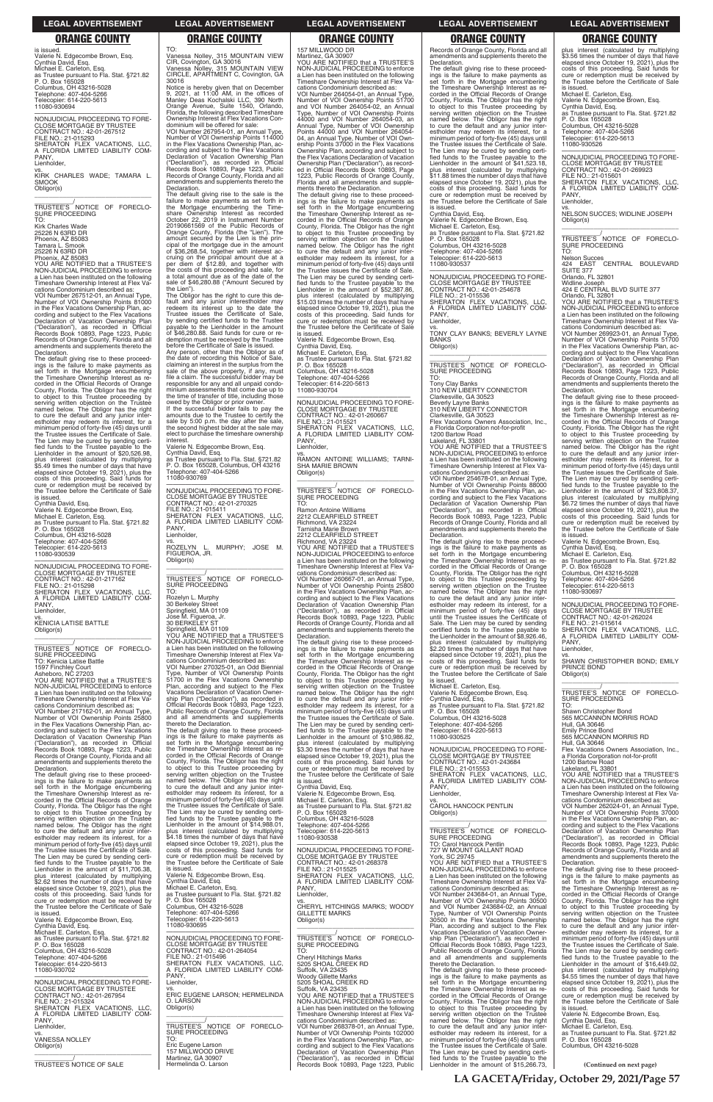**LA GACETA/Friday, October 29, 2021/Page 57**

is issued. Valerie N. Edgecombe Brown, Esq. Cynthia David, Esq. Michael E. Carleton, Esq. as Trustee pursuant to Fla. Stat. §721.82 P. O. Box 165028 Columbus, OH 43216-5028 Telephone: 407-404-5266 Telecopier: 614-220-5613 11080-930694

\_\_\_\_\_\_\_\_\_\_\_\_/<br>TRUSTEE'S NOTICE OF FORECLO-<br>SURE PROCEEDING TO:

—————————————————— NONJUDICIAL PROCEEDING TO FORE-CLOSE MORTGAGE BY TRUSTEE CONTRACT NO.: 42-01-267512 FILE NO.: 21-015293 SHERATON FLEX VACATIONS, LLC, A FLORIDA LIMITED LIABILITY COM-PANY, Lienholder,

vs. KIRK CHARLES WADE; TAMARA L. SMOOK Obligor(s) \_\_\_\_\_\_\_\_\_\_\_\_\_\_\_\_\_\_\_\_\_\_\_\_\_\_\_\_\_\_\_\_\_

Kirk Charles Wade 25226 N 63RD DR Phoenix, AZ 85083 Tamara L. Smook 25226 N 63RD DR

Phoenix, AZ 85083 YOU ARE NOTIFIED that a TRUSTEE'S NON-JUDICIAL PROCEEDING to enforce

a Lien has been instituted on the following Timeshare Ownership Interest at Flex Va-cations Condominium described as: VOI Number 267512-01, an Annual Type, Number of VOI Ownership Points 81000 in the Flex Vacations Ownership Plan, according and subject to the Flex Vacations<br>Declaration of Vacation Ownership Plan<br>("Declaration"), as recorded in Official<br>Records Book 10893, Page 1223, Public<br>Records of Orange County, Florida and all<br>amendments and suppl Declaration.

—————————————————— NONJUDICIAL PROCEEDING TO FORE-CLOSE MORTGAGE BY TRUSTEE CONTRACT NO.: 42-01-217162 FILE NO.: 21-015298 SHERATON FLEX VACATIONS, LLC, A FLORIDA LIMITED LIABILITY COM-PANY, Lienholder,

a Lien has been instituted on the following Timeshare Ownership Interest at Flex Va-cations Condominium described as: VOI Number 217162-01, an Annual Type, Number of VOI Ownership Points 25800 in the Flex Vacations Ownership Plan, according and subject to the Flex Vacations<br>Declaration of Vacation Ownership Plan<br>("Declaration"), as recorded in Official<br>Records Book 10893, Page 1223, Public<br>Records of Orange County, Florida and all<br>amendments and suppl

The default giving rise to these proceed-ings is the failure to make payments as set forth in the Mortgage encumbering the Timeshare Ownership Interest as re-corded in the Official Records of Orange County, Florida. The Obligor has the right to object to this Trustee proceeding by serving written objection on the Trustee named below. The Obligor has the right to cure the default and any junior inter-estholder may redeem its interest, for a minimum period of forty-five (45) days until the Trustee issues the Certificate of Sale. The Lien may be cured by sending certified funds to the Trustee payable to the Lienholder in the amount of \$20,526.98, plus interest (calculated by multiplying \$5.49 times the number of days that have elapsed since October 19, 2021), plus the costs of this proceeding. Said funds for cure or redemption must be received by the Trustee before the Certificate of Sale is issued.

Cynthia David, Esq. Valerie N. Edgecombe Brown, Esq. Michael E. Carleton, Esq. as Trustee pursuant to Fla. Stat. §721.82 P. O. Box 165028 Columbus, OH 43216-5028 Telephone: 407-404-5266 Telecopier: 614-220-5613 11080-930539

TO: Vanessa Nolley, 315 MOUNTAIN VIEW<br>CIR, Covington, GA 30016<br>Vanessa Nolley, 315 MOUNTAIN VIEW<br>CIRCLE, APARTMENT C, Covington, GA

vs. KENICIA LATISE BATTLE Obligor(s) \_\_\_\_\_\_\_\_\_\_\_\_\_\_\_\_\_\_\_\_\_\_\_\_\_\_\_\_\_\_\_\_\_

\_\_\_\_\_\_\_\_\_\_\_/ TRUSTEE'S NOTICE OF FORECLO-SURE PROCEEDING TO: Kenicia Latise Battle 1597 Finchley Court Asheboro, NC 27203 YOU ARE NOTIFIED that a TRUSTEE'S NON-JUDICIAL PROCEEDING to enforce If the successful bidder fails to pay the amounts due to the Trustee to certify the sale by 5:00 p.m. the day after the sale, the second highest bidder at the sale may elect to purchase the timeshare ownership interest

Declaration. The default giving rise to these proceed-ings is the failure to make payments as set forth in the Mortgage encumbering the Timeshare Ownership Interest as re-corded in the Official Records of Orange County, Florida. The Obligor has the right to object to this Trustee proceeding by \_\_\_\_\_\_\_\_\_\_\_/<br>TRUSTEE'S NOTICE OF FORECLO-<br>SURE PROCEEDING TO:

thereto the Declaration.<br>The default giving rise to these proceed-<br>ings is the failure to make payments as<br>set forth in the Mortgage encumbering<br>the Timeshare Ownership Interest as re-<br>corded in the Official Records of Ora County, Florida. The Obligor has the right to object to this Trustee proceeding by serving written objection on the Trustee named below. The Obligor has the right to cure the default and any junior inter-estholder may redeem its interest, for a minimum period of forty-five (45) days until the Trustee issues the Certificate of Sale.

30016 Notice is hereby given that on December 9, 2021, at 11:00 AM, in the offices of Manley Deas Kochalski LLC, 390 North Orange Avenue, Suite 1540, Orlando, Florida, the following described Timeshare Ownership Interest at Flex Vacations Condominium will be offered for sale:

VOI Number 267954-01, an Annual Type, Number of VOI Ownership Points 114000 in the Flex Vacations Ownership Plan, according and subject to the Flex Vacations Declaration of Vacation Ownership Plan ("Declaration"), as recorded in Official Records Book 10893, Page 1223, Public Records of Orange County, Florida and all amendments and supplements thereto the Declaration.

The default giving rise to the sale is the failure to make payments as set forth in the Mortgage encumbering the Time-share Ownership Interest as recorded October 22, 2019 in Instrument Number 20190661569 of the Public Records of Orange County, Florida (the "Lien"). The amount secured by the Lien is the principal of the mortgage due in the amount of \$36,268.54, together with interest accruing on the principal amount due at a per diem of \$12.89, and together with the costs of this proceeding and sale, for a total amount due as of the date of the sale of \$46,280.88 ("Amount Secured by

> —————————————————— NONJUDICIAL PROCEEDING TO FORE-CLOSE MORTGAGE BY TRUSTEE CONTRACT NO.: 42-01-260667 FILE NO.: 21-015521 SHERATON FLEX VACATIONS, LLC, A FLORIDA LIMITED LIABILITY COM-A FLU<br>PANY, Lienholder

the Lien"). The Obligor has the right to cure this de-fault and any junior interestholder may redeem its interest up to the date the Trustee issues the Certificate of Sale, by sending certified funds to the Trustee payable to the Lienholder in the amount of \$46,280.88. Said funds for cure or redemption must be received by the Trustee before the Certificate of Sale is issued.

Any person, other than the Obligor as of the date of recording this Notice of Sale, claiming an interest in the surplus from the sale of the above property, if any, must file a claim. The successful bidder may be responsible for any and all unpaid condominium assessments that come due up to the time of transfer of title, including those owed by the Obligor or prior owner.

Valerie N. Edgecombe Brown, Esq. Cynthia David, Esq. as Trustee pursuant to Fla. Stat. §721.82

P. O. Box 165028, Columbus, OH 43216 Telephone: 407-404-5266 11080-930769 —————————————————— NONJUDICIAL PROCEEDING TO FORE-

CLOSE MORTGAGE BY TRUSTEE CONTRACT NO.: 42-01-270325 FILE NO.: 21-015411 SHERATON FLEX VACATIONS, LLC, A FLORIDA LIMITED LIABILITY COM-PANY, Lienholder, vs. ROZELYN L. MURPHY; JOSE M. FIGUEROA, JR. Obligor(s) \_\_\_\_\_\_\_\_\_\_\_\_\_\_\_\_\_\_\_\_\_\_\_\_\_\_\_\_\_\_\_\_\_

Rozelyn L. Murphy 30 Berkeley Street Springfield, MA 01109 Jose M. Figueroa, Jr. 30 BERKELEY ST

Springfield, MA 01109 YOU ARE NOTIFIED that a TRUSTEE'S

NON-JUDICIAL PROCEEDING to enforce a Lien has been instituted on the following Timeshare Ownership Interest at Flex Vacations Condominium described as: VOI Number 270325-01, an Odd Biennial Type, Number of VOI Ownership Points 51700 in the Flex Vacations Ownership Plan, according and subject to the Flex Vacations Declaration of Vacation Ownership Plan ("Declaration"), as recorded in Official Records Book 10893, Page 1223, Public Records of Orange County, Florida and all amendments and supplements 157 MILLWOOD DR

Martinez, GA 30907 YOU ARE NOTIFIED that a TRUSTEE'S NON-JUDICIAL PROCEEDING to enforce a Lien has been instituted on the following Timeshare Ownership Interest at Flex Va-

cations Condominium described as: VOI Number 264054-01, an Annual Type, Number of VOI Ownership Points 51700 and VOI Number 264054-02, an Annual Type, Number of VOI Ownership Points 44000 and VOI Number 264054-03, an Annual Type, Number of VOI Ownership Points 44000 and VOI Number 264054- 04, an Annual Type, Number of VOI Ownership Points 37000 in the Flex Vacations<br>Ownership Plan, according and oubject to Ownership Plan, according and subject to the Flex Vacations Declaration of Vacation Ownership Plan ("Declaration"), as record-ed in Official Records Book 10893, Page 1223, Public Records of Orange County, Florida and all amendments and supplements thereto the Declaration. The default giving rise to these proceed-

> VOI Number 269923-01, an Annual Type, Number of VOI Ownership Points 51700 in the Flex Vacations Ownership Plan, according and subject to the Flex Vacations<br>Declaration of Vacation Ownership Plan<br>("Declaration"), as recorded in Official<br>Records Book 10893, Page 1223, Public<br>Records of Orange County, Florida and all<br>amendments and suppl

ings is the failure to make payments as set forth in the Mortgage encumbering the Timeshare Ownership Interest as recorded in the Official Records of Orange County, Florida. The Obligor has the right to object to this Trustee proceeding by serving written objection on the Trustee named below. The Obligor has the right to cure the default and any junior interestholder may redeem its interest, for a minimum period of forty-five (45) days until the Trustee issues the Certificate of Sale. The Lien may be cured by sending certi-fied funds to the Trustee payable to the Lienholder in the amount of \$52,387.86, plus interest (calculated by multiplying \$15.03 times the number of days that have elapsed since October 19, 2021), plus the costs of this proceeding. Said funds for cure or redemption must be received by the Trustee before the Certificate of Sale is issued.

Valerie N. Edgecombe Brown, Esq. Cynthia David, Esq. Michael E. Carleton, Esq. as Trustee pursuant to Fla. Stat. §721.82 P. O. Box 165028 Columbus, OH 43216-5028 Telephone: 407-404-5266 Telecopier: 614-220-5613 11080-930704

vs. RAMON ANTOINE WILLIAMS; TARNI-SHA MARIE BROWN Obligor(s)

\_\_\_\_\_\_\_\_\_\_\_\_\_\_\_\_\_\_\_\_\_\_\_\_\_\_\_\_\_\_\_\_\_ \_\_\_\_\_\_\_\_\_\_\_\_/<br>TRUSTEE'S NOTICE OF FORECLO-<br>SURE PROCEEDING TO:

Ramon Antoine Williams 2212 CLEARFIELD STREET Richmond, VA 23224 Tarnisha Marie Brown 2212 CLEARFIELD STREET Richmond, VA 23224 YOU ARE NOTIFIED that a TRUSTEE'S NON-JUDICIAL PROCEEDING to enforce a Lien has been instituted on the following Timeshare Ownership Interest at Flex Va-cations Condominium described as:

| County, Florida. The Obligor has the right<br>to object to this Trustee proceeding by<br>serving written objection on the Trustee<br>named below. The Obligor has the right<br>to cure the default and any junior inter-<br>estholder may redeem its interest, for a<br>minimum period of forty-five (45) days until<br>the Trustee issues the Certificate of Sale.<br>The Lien may be cured by sending certi-<br>fied funds to the Trustee payable to the<br>Lienholder in the amount of \$11,706.38,<br>plus interest (calculated by multiplying<br>\$2.62 times the number of days that have<br>elapsed since October 19, 2021), plus the<br>costs of this proceeding. Said funds for<br>cure or redemption must be received by<br>the Trustee before the Certificate of Sale<br>is issued.<br>Valerie N. Edgecombe Brown, Esq.<br>Cynthia David, Esq.<br>Michael E. Carleton, Esq.<br>as Trustee pursuant to Fla. Stat. §721.82<br>P. O. Box 165028<br>Columbus, OH 43216-5028<br>Telephone: 407-404-5266<br>Telecopier: 614-220-5613<br>11080-930702<br>NONJUDICIAL PROCEEDING TO FORE- | the Trustee issues the Certificate of Sale.<br>The Lien may be cured by sending certi-<br>fied funds to the Trustee payable to the<br>Lienholder in the amount of \$14,988.01.<br>plus interest (calculated by multiplying<br>\$4.18 times the number of days that have<br>elapsed since October 19, 2021), plus the<br>costs of this proceeding. Said funds for<br>cure or redemption must be received by<br>the Trustee before the Certificate of Sale<br>is issued.<br>Valerie N. Edgecombe Brown, Esg.<br>Cynthia David, Esg.<br>Michael E. Carleton, Esq.<br>as Trustee pursuant to Fla. Stat. §721.82<br>P. O. Box 165028<br>Columbus, OH 43216-5028<br>Telephone: 407-404-5266<br>Telecopier: 614-220-5613<br>11080-930695<br>NONJUDICIAL PROCEEDING TO FORE-<br><b>CLOSE MORTGAGE BY TRUSTEE</b><br>CONTRACT NO.: 42-01-264054<br>FILE NO.: 21-015496<br>SHERATON FLEX VACATIONS. LLC.<br>A FLORIDA LIMITED LIABILITY COM-<br>PANY.<br>Lienholder, | as Trustee pursuant to Fla. Stat. §721.82<br>P. O. Box 165028<br>Columbus, OH 43216-5028<br>Telephone: 407-404-5266<br>Telecopier: 614-220-5613<br>11080-930538<br>NONJUDICIAL PROCEEDING TO FORE-<br><b>CLOSE MORTGAGE BY TRUSTEE</b><br>CONTRACT NO.: 42-01-268378<br>FILE NO.: 21-015525<br>SHERATON FLEX VACATIONS, LLC,<br>A FLORIDA LIMITED LIABILITY COM-<br>PANY.<br>Lienholder.<br>VS.<br>CHERYL HITCHINGS MARKS; WOODY<br><b>GILLETTE MARKS</b><br>Obligor(s)<br>TRUSTEE'S NOTICE OF FORECLO-<br><b>SURE PROCEEDING</b><br>TO:<br><b>Cheryl Hitchings Marks</b><br>5205 SHOAL CREEK RD<br>Suffolk, VA 23435<br><b>Woody Gillette Marks</b><br>5205 SHOAL CREEK RD | <b>CAROL HANCOCK PENTLIN</b><br>Obligor(s)<br>TRUSTEE'S NOTICE OF FORECLO-<br><b>SURE PROCEEDING</b><br>TO: Carol Hancock Pentlin<br>727 W MOUNT GALLANT ROAD<br>York, SC 29745<br>YOU ARE NOTIFIED that a TRUSTEE'S<br>NON-JUDICIAL PROCEEDING to enforce<br>a Lien has been instituted on the following<br>Timeshare Ownership Interest at Flex Va-<br>cations Condominium described as:<br>VOI Number 243684-01, an Annual Type.<br>Number of VOI Ownership Points 30500<br>and VOI Number 243684-02, an Annual<br>Type, Number of VOI Ownership Points<br>30500 in the Flex Vacations Ownership<br>Plan, according and subject to the Flex<br>Vacations Declaration of Vacation Owner-<br>ship Plan ("Declaration"), as recorded in<br>Official Records Book 10893, Page 1223,<br>Public Records of Orange County, Florida<br>and all amendments and supplements<br>thereto the Declaration.<br>The default giving rise to these proceed-<br>ings is the failure to make payments as<br>set forth in the Mortgage encumbering | VOI Number 262024-01, an Annual Type,<br>Number of VOI Ownership Points 37000<br>in the Flex Vacations Ownership Plan, ac-<br>cording and subject to the Flex Vacations<br>Declaration of Vacation Ownership Plan<br>("Declaration"), as recorded in Official<br>Records Book 10893, Page 1223, Public<br>Records of Orange County, Florida and all<br>amendments and supplements thereto the<br>Declaration.<br>The default giving rise to these proceed-<br>ings is the failure to make payments as<br>set forth in the Mortgage encumbering<br>the Timeshare Ownership Interest as re-<br>corded in the Official Records of Orange<br>County, Florida. The Obligor has the right<br>to object to this Trustee proceeding by<br>serving written objection on the Trustee<br>named below. The Obligor has the right<br>to cure the default and any junior inter-<br>estholder may redeem its interest, for a<br>minimum period of forty-five (45) days until<br>the Trustee issues the Certificate of Sale.<br>The Lien may be cured by sending certi-<br>fied funds to the Trustee payable to the<br>Lienholder in the amount of \$16,449.02,<br>plus interest (calculated by multiplying<br>\$4.55 times the number of days that have<br>elapsed since October 19, 2021), plus the |
|----------------------------------------------------------------------------------------------------------------------------------------------------------------------------------------------------------------------------------------------------------------------------------------------------------------------------------------------------------------------------------------------------------------------------------------------------------------------------------------------------------------------------------------------------------------------------------------------------------------------------------------------------------------------------------------------------------------------------------------------------------------------------------------------------------------------------------------------------------------------------------------------------------------------------------------------------------------------------------------------------------------------------------------------------------------------------------------------|------------------------------------------------------------------------------------------------------------------------------------------------------------------------------------------------------------------------------------------------------------------------------------------------------------------------------------------------------------------------------------------------------------------------------------------------------------------------------------------------------------------------------------------------------------------------------------------------------------------------------------------------------------------------------------------------------------------------------------------------------------------------------------------------------------------------------------------------------------------------------------------------------------------------------------------------------------|-----------------------------------------------------------------------------------------------------------------------------------------------------------------------------------------------------------------------------------------------------------------------------------------------------------------------------------------------------------------------------------------------------------------------------------------------------------------------------------------------------------------------------------------------------------------------------------------------------------------------------------------------------------------------------|-----------------------------------------------------------------------------------------------------------------------------------------------------------------------------------------------------------------------------------------------------------------------------------------------------------------------------------------------------------------------------------------------------------------------------------------------------------------------------------------------------------------------------------------------------------------------------------------------------------------------------------------------------------------------------------------------------------------------------------------------------------------------------------------------------------------------------------------------------------------------------------------------------------------------------------------------------------------------------------------------------------------------------------|---------------------------------------------------------------------------------------------------------------------------------------------------------------------------------------------------------------------------------------------------------------------------------------------------------------------------------------------------------------------------------------------------------------------------------------------------------------------------------------------------------------------------------------------------------------------------------------------------------------------------------------------------------------------------------------------------------------------------------------------------------------------------------------------------------------------------------------------------------------------------------------------------------------------------------------------------------------------------------------------------------------------------------------------------------------------------------------------------------------------------------------------------------------------------------------------------------------------------------------------------------------------------------------|
| <b>CLOSE MORTGAGE BY TRUSTEE</b><br>CONTRACT NO.: 42-01-267954<br>FILE NO.: 21-015324<br>SHERATON FLEX VACATIONS. LLC.<br>A FLORIDA LIMITED LIABILITY COM-<br>PANY.<br>Lienholder,<br>VS.<br><b>VANESSA NOLLEY</b><br>Obligor(s)                                                                                                                                                                                                                                                                                                                                                                                                                                                                                                                                                                                                                                                                                                                                                                                                                                                             | VS.<br>ERIC EUGENE LARSON; HERMELINDA<br>O. LARSON<br>Obligor(s)<br>TRUSTEE'S NOTICE OF FORECLO-<br><b>SURE PROCEEDING</b><br>TO:<br>Eric Eugene Larson<br>157 MILLWOOD DRIVE<br>Martinez. GA 30907                                                                                                                                                                                                                                                                                                                                                                                                                                                                                                                                                                                                                                                                                                                                                        | Suffolk, VA 23435<br>YOU ARE NOTIFIED that a TRUSTEE'S<br>NON-JUDICIAL PROCEEDING to enforce<br>a Lien has been instituted on the following<br>Timeshare Ownership Interest at Flex Va-<br>cations Condominium described as:<br>VOI Number 268378-01, an Annual Type,<br>Number of VOI Ownership Points 102000<br>in the Flex Vacations Ownership Plan, ac-<br>cording and subject to the Flex Vacations<br>Declaration of Vacation Ownership Plan                                                                                                                                                                                                                          | the Timeshare Ownership Interest as re-<br>corded in the Official Records of Orange<br>County, Florida. The Obligor has the right<br>to object to this Trustee proceeding by<br>serving written objection on the Trustee<br>named below. The Obligor has the right<br>to cure the default and any junior inter-<br>estholder may redeem its interest, for a<br>minimum period of forty-five (45) days until<br>the Trustee issues the Certificate of Sale.<br>The Lien may be cured by sending certi-                                                                                                                                                                                                                                                                                                                                                                                                                                                                                                                             | costs of this proceeding. Said funds for<br>cure or redemption must be received by<br>the Trustee before the Certificate of Sale<br>is issued.<br>Valerie N. Edgecombe Brown, Esg.<br>Cynthia David, Esq.<br>Michael E. Carleton, Esq.<br>as Trustee pursuant to Fla. Stat. §721.82<br>P. O. Box 165028<br>Columbus, OH 43216-5028                                                                                                                                                                                                                                                                                                                                                                                                                                                                                                                                                                                                                                                                                                                                                                                                                                                                                                                                                    |
| <b>TRUSTEE'S NOTICE OF SALE</b>                                                                                                                                                                                                                                                                                                                                                                                                                                                                                                                                                                                                                                                                                                                                                                                                                                                                                                                                                                                                                                                              | Hermelinda O. Larson                                                                                                                                                                                                                                                                                                                                                                                                                                                                                                                                                                                                                                                                                                                                                                                                                                                                                                                                       | ("Declaration"), as recorded in Official<br>Records Book 10893, Page 1223, Public                                                                                                                                                                                                                                                                                                                                                                                                                                                                                                                                                                                           | fied funds to the Trustee payable to the<br>Lienholder in the amount of \$15,266.73,                                                                                                                                                                                                                                                                                                                                                                                                                                                                                                                                                                                                                                                                                                                                                                                                                                                                                                                                              | (Continued on next page)                                                                                                                                                                                                                                                                                                                                                                                                                                                                                                                                                                                                                                                                                                                                                                                                                                                                                                                                                                                                                                                                                                                                                                                                                                                              |

VOI Number 260667-01, an Annual Type, Number of VOI Ownership Points 25800 in the Flex Vacations Ownership Plan, according and subject to the Flex Vacations<br>Declaration of Vacation Ownership Plan<br>("Declaration"), as recorded in Official<br>Records Book 10893, Page 1223, Public<br>Records of Orange County, Florida and all<br>amendments and suppl Declaration.

The default giving rise to these proceedings is the failure to make payments as set forth in the Mortgage encumbering the Timeshare Ownership Interest as re-corded in the Official Records of Orange County, Florida. The Obligor has the right to object to this Trustee proceeding by serving written objection on the Trustee named below. The Obligor has the right to cure the default and any junior inter-estholder may redeem its interest, for a minimum period of forty-five (45) days until the Trustee issues the Certificate of Sale. The Lien may be cured by sending certified funds to the Trustee payable to the Lienholder in the amount of \$10,986.82, plus interest (calculated by multiplying \$3.30 times the number of days that have elapsed since October 19, 2021), plus the costs of this proceeding. Said funds for cure or redemption must be received by the Trustee before the Certificate of Sale is issued.

Cynthia David, Esq. Valerie N. Edgecombe Brown, Esq. Michael E. Carleton, Esq.

Records of Orange County, Florida and all amendments and supplements thereto the Declaration.

The default giving rise to these proceed-ings is the failure to make payments as set forth in the Mortgage encumbering the Timeshare Ownership Interest as re-corded in the Official Records of Orange County, Florida. The Obligor has the right to object to this Trustee proceeding by serving written objection on the Trustee named below. The Obligor has the right to cure the default and any junior inter-estholder may redeem its interest, for a minimum period of forty-five (45) days until the Trustee issues the Certificate of Sale. The Lien may be cured by sending certi-fied funds to the Trustee payable to the Lienholder in the amount of \$41,523.18, plus interest (calculated by multiplying \$11.88 times the number of days that have elapsed since October 19, 2021), plus the costs of this proceeding. Said funds for cure or redemption must be received by the Trustee before the Certificate of Sale is issued. Cynthia David, Esq.

Valerie N. Edgecombe Brown, Esq. Michael E. Carleton, Esq. as Trustee pursuant to Fla. Stat. §721.82

P. O. Box 165028 Columbus, OH 43216-5028 Telephone: 407-404-5266 Telecopier: 614-220-5613

11080-930537 —————————————————— NONJUDICIAL PROCEEDING TO FORE-

CLOSE MORTGAGE BY TRUSTEE CONTRACT NO.: 42-01-254678 FILE NO.: 21-015536 SHERATON FLEX VACATIONS, LLC, A FLORIDA LIMITED LIABILITY COM-PANY, Lienholder, vs.

TONY CLAY BANKS; BEVERLY LAYNE BANKS Obligor(s)

\_\_\_\_\_\_\_\_\_\_\_\_\_\_\_\_\_\_\_\_\_\_\_\_\_\_\_\_\_\_\_\_\_ \_\_\_\_\_\_\_\_\_\_\_/ TRUSTEE'S NOTICE OF FORECLO-SURE PROCEEDING

TO: Tony Clay Banks

310 NEW LIBERTY CONNECTOR Clarkesville, GA 30523 Beverly Layne Banks 310 NEW LIBERTY CONNECTOR Clarkesville, GA 30523 Flex Vacations Owners Association, Inc., a Florida Corporation not-for-profit 1200 Bartow Road Lakeland, FL 33801

YOU ARE NOTIFIED that a TRUSTEE'S NON-JUDICIAL PROCEEDING to enforce a Lien has been instituted on the following Timeshare Ownership Interest at Flex Va-cations Condominium described as: VOI Number 254678-01, an Annual Type, Number of VOI Ownership Points 88000 in the Flex Vacations Ownership Plan, ac-cording and subject to the Flex Vacations Declaration of Vacation Ownership Plan ("Declaration"), as recorded in Official Records Book 10893, Page 1223, Public Records of Orange County, Florida and all amendments and supplements thereto the

Declaration. The default giving rise to these proceed-ings is the failure to make payments as set forth in the Mortgage encumbering the Timeshare Ownership Interest as re-corded in the Official Records of Orange County, Florida. The Obligor has the right to object to this Trustee proceeding by serving written objection on the Trustee named below. The Obligor has the right to cure the default and any junior inter-estholder may redeem its interest, for a minimum period of forty-five (45) days until the Trustee issues the Certificate of Sale. The Lien may be cured by sending certified funds to the Trustee payable to the Lienholder in the amount of \$8,926.46, plus interest (calculated by multiplying \$2.20 times the number of days that have elapsed since October 19, 2021), plus the costs of this proceeding. Said funds for cure or redemption must be received by the Trustee before the Certificate of Sale is issued. Michael E. Carleton, Esq.

Valerie N. Edgecombe Brown, Esq. Cynthia David, Esq. as Trustee pursuant to Fla. Stat. §721.82 P. O. Box 165028 Columbus, OH 43216-5028 Telephone: 407-404-5266 Telecopier: 614-220-5613 11080-930525

—————————————————— NONJUDICIAL PROCEEDING TO FORE-CLOSE MORTGAGE BY TRUSTEE CONTRACT NO.: 42-01-243684 FILE NO.: 21-015553 SHERATON FLEX VACATIONS, LLC, A FLORIDA LIMITED LIABILITY COM-PANY, Lienholder, vs.

plus interest (calculated by multiplying \$3.56 times the number of days that have elapsed since October 19, 2021), plus the costs of this proceeding. Said funds for cure or redemption must be received by the Trustee before the Certificate of Sale

is issued. Michael E. Carleton, Esq. Valerie N. Edgecombe Brown, Esq. Cynthia David, Esq. as Trustee pursuant to Fla. Stat. §721.82 P. O. Box 165028 Columbus, OH 43216-5028 Telephone: 407-404-5266 Telecopier: 614-220-5613

11080-930526

—————————————————— NONJUDICIAL PROCEEDING TO FORE-CLOSE MORTGAGE BY TRUSTEE CONTRACT NO.: 42-01-269923 FILE NO.: 21-015601 SHERATON FLEX VACATIONS, LLC, **ELIMITED LIABILITY COM-**PANY,

Lienholder,

vs. NELSON SUCCES; WIDLINE JOSEPH Obligor(s) \_\_\_\_\_\_\_\_\_\_\_\_\_\_\_\_\_\_\_\_\_\_\_\_\_\_\_\_\_\_\_\_\_

TRUSTEE'S NOTICE OF FORECLO-<br>SURE PROCEEDING<br>TO:

Nelson Succes 424 EAST CENTRAL BOULEVARD SUITE 377

Orlando, FL 32801

Widline Joseph 424 E CENTRAL BLVD SUITE 377

Orlando, FL 32801 YOU ARE NOTIFIED that a TRUSTEE'S NON-JUDICIAL PROCEEDING to enforce a Lien has been instituted on the following Timeshare Ownership Interest at Flex Va-cations Condominium described as:

Declaration. The default giving rise to these proceed-ings is the failure to make payments as set forth in the Mortgage encumbering the Timeshare Ownership Interest as re-corded in the Official Records of Orange County, Florida. The Obligor has the right to object to this Trustee proceeding by serving written objection on the Trustee named below. The Obligor has the right to cure the default and any junior inter-estholder may redeem its interest, for a minimum period of forty-five (45) days until the Trustee issues the Certificate of Sale. The Lien may be cured by sending certified funds to the Trustee payable to the Lienholder in the amount of \$23,808.37, plus interest (calculated by multiplying \$6.72 times the number of days that have elapsed since October 19, 2021), plus the costs of this proceeding. Said funds for cure or redemption must be received by the Trustee before the Certificate of Sale is issued.

Valerie N. Edgecombe Brown, Esq. Cynthia David, Esq. Michael E. Carleton, Esq.

as Trustee pursuant to Fla. Stat. §721.82 P. O. Box 165028 Columbus, OH 43216-5028

Telephone: 407-404-5266 Telecopier: 614-220-5613 11080-930697

—————————————————— NONJUDICIAL PROCEEDING TO FORE-CLOSE MORTGAGE BY TRUSTEE CONTRACT NO.: 42-01-262024 FILE NO.: 21-015614 SHERATON FLEX VACATIONS, LLC, A FLORIDA LIMITED LIABILITY COM-PANY, Lienholder,

vs. SHAWN CHRISTOPHER BOND; EMILY PRINCE BOND Obligor(s) \_\_\_\_\_\_\_\_\_\_\_\_\_\_\_\_\_\_\_\_\_\_\_\_\_\_\_\_\_\_\_\_\_

\_\_\_\_\_\_\_\_\_\_\_/ TRUSTEE'S NOTICE OF FORECLO-SURE PROCEEDING TO:

Shawn Christopher Bond 565 MCCANNON MORRIS ROAD Hull, GA 30646 Emily Prince Bond 565 MCCANNON MORRIS RD Hull, GA 30646 Flex Vacations Owners Association, Inc., a Florida Corporation not-for-profit 1200 Bartow Road Lakeland, FL 33801 YOU ARE NOTIFIED that a TRUSTEE'S NON-JUDICIAL PROCEEDING to enforce a Lien has been instituted on the following Timeshare Ownership Interest at Flex Vacations Condominium described as: VOI Number 262024-01, an Annual Type,

### **LEGAL ADVERTISEMENT LEGAL ADVERTISEMENT LEGAL ADVERTISEMENT LEGAL ADVERTISEMENT LEGAL ADVERTISEMENT**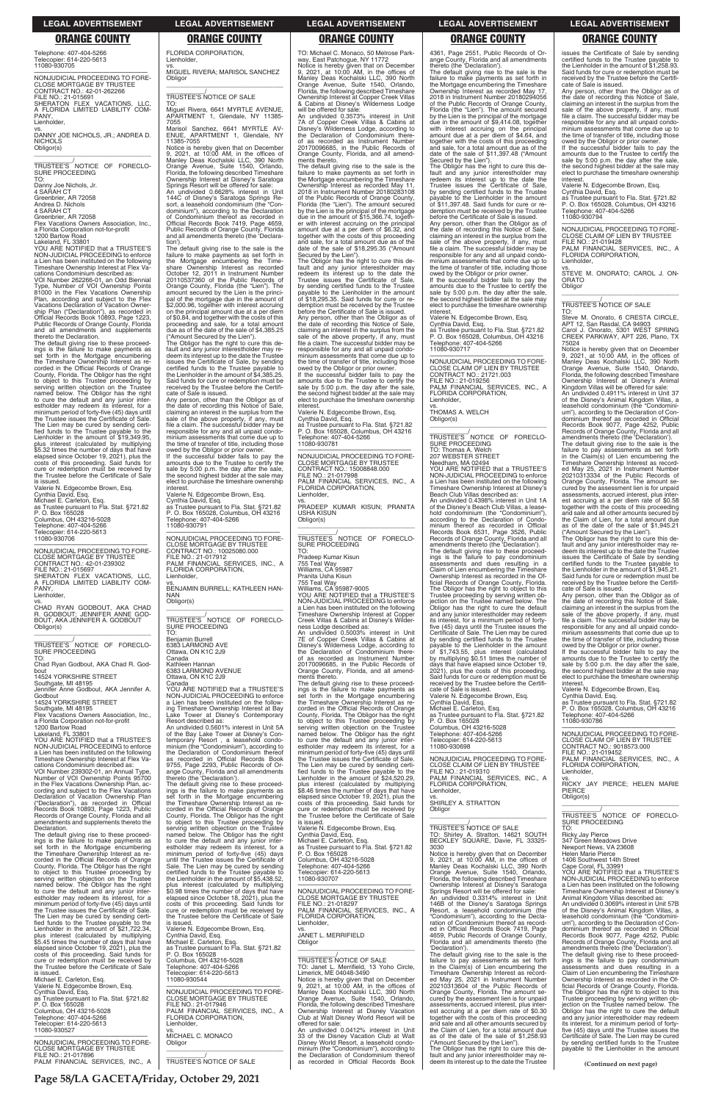**Page 58/LA GACETA/Friday, October 29, 2021**

Telephone: 407-404-5266 Telecopier: 614-220-5613 11080-930705

—————————————————— NONJUDICIAL PROCEEDING TO FORE-CLOSE MORTGAGE BY TRUSTEE CONTRACT NO.: 42-01-262266 FILE NO.: 21-015691 SHERATON FLEX VACATIONS, LLC, A FLORIDA LIMITED LIABILITY COM-PANY,

Lienholder,

vs. DANNY JOE NICHOLS, JR.; ANDREA D. NICHOLS Obligor(s) \_\_\_\_\_\_\_\_\_\_\_\_\_\_\_\_\_\_\_\_\_\_\_\_\_\_\_\_\_\_\_\_\_

\_\_\_\_\_\_\_\_\_\_\_/ TRUSTEE'S NOTICE OF FORECLO-SURE PROCEEDING

TO:<br>Danny Joe Nichols, Jr.

Danny Joe Nichols, Jr. 4 SARAH CT Greenbrier, AR 72058 Andrea D. Nichols

4 SARAH CT Greenbrier, AR 72058

Flex Vacations Owners Association, Inc., a Florida Corporation not-for-profit 1200 Bartow Road

Lakeland, FL 33801

YOU ARE NOTIFIED that a TRUSTEE'S NON-JUDICIAL PROCEEDING to enforce a Lien has been instituted on the following Timeshare Ownership Interest at Flex Vacations Condominium described as:

VOI Number 262266-01, an Odd Biennial Type, Number of VOI Ownership Points 81000 in the Flex Vacations Ownership Plan, according and subject to the Flex Vacations Declaration of Vacation Ownership Plan ("Declaration"), as recorded in Official Records Book 10893, Page 1223, Public Records of Orange County, Florida and all amendments and supplements thereto the Declaration.

The default giving rise to these proceed-ings is the failure to make payments as set forth in the Mortgage encumbering the Timeshare Ownership Interest as recorded in the Official Records of Orange County, Florida. The Obligor has the right to object to this Trustee proceeding by serving written objection on the Trustee named below. The Obligor has the right to cure the default and any junior inter-estholder may redeem its interest, for a minimum period of forty-five (45) days until the Trustee issues the Certificate of Sale. The Lien may be cured by sending certi-fied funds to the Trustee payable to the Lienholder in the amount of \$19,349.95, plus interest (calculated by multiplying \$5.32 times the number of days that have elapsed since October 19, 2021), plus the costs of this proceeding. Said funds for cure or redemption must be received by the Trustee before the Certificate of Sale is issued.

Valerie N. Edgecombe Brown, Esq. Cynthia David, Esq. Michael E. Carleton, Esq. as Trustee pursuant to Fla. Stat. §721.82 P. O. Box 165028 Columbus, OH 43216-5028 Telephone: 407-404-5266 Telecopier: 614-220-5613 11080-930706

—————————————————— NONJUDICIAL PROCEEDING TO FORE-CLOSE MORTGAGE BY TRUSTEE CONTRACT NO.: 42-01-239302 FILE NO.: 21-015697 SHERATON FLEX VACATIONS, LLC, A FLORIDA LIMITED LIABILITY COM-PANY, Lienholder,

vs. CHAD RYAN GODBOUT, AKA CHAD R. GODBOUT; JENNIFER ANNE GOD-BOUT, AKA JENNIFER A. GODBOUT Obligor(s)

### \_\_\_\_\_\_\_\_\_\_\_\_\_\_\_\_\_\_\_\_\_\_\_\_\_\_\_\_\_\_\_\_\_ \_\_\_\_\_\_\_\_\_\_\_/<br>TRUSTEE'S NOTICE OF FORECLO-<br>SURE PROCEEDING TO:

Chad Ryan Godbout, AKA Chad R. Godbout 14524 YORKSHIRE STREET

Southgate, MI 48195 Jennifer Anne Godbout, AKA Jennifer A.

Godbout 14524 YORKSHIRE STREET

Southgate, MI 48195 Flex Vacations Owners Association, Inc.,

a Florida Corporation not-for-profit 1200 Bartow Road

Lakeland, FL 33801

YOU ARE NOTIFIED that a TRUSTEE'S NON-JUDICIAL PROCEEDING to enforce a Lien has been instituted on the following Timeshare Ownership Interest at Flex Vacations Condominium described as:

Any person, other than the Obligor as of the date of recording this Notice of Sale, claiming an interest in the surplus from the sale of the above property, if any, must file a claim. The successful bidder may be responsible for any and all unpaid condominium assessments that come due up to the time of transfer of title, including those owed by the Obligor or prior owner. If the successful bidder fails to pay the amounts due to the Trustee to certify the sale by 5:00 p.m. the day after the sale, the second highest bidder at the sale may

VOI Number 239302-01, an Annual Type, Number of VOI Ownership Points 95700 in the Flex Vacations Ownership Plan, according and subject to the Flex Vacations Declaration of Vacation Ownership Plan ("Declaration"), as recorded in Official Records Book 10893, Page 1223, Public

of the Bay Lake Tower at Disney's Contemporary Resort , a leasehold condo-<br>temporary Resort , a leasehold condo-<br>minium (the "Condominium"), according to<br>as recorded in Official Records Book<br>9755, Page 2293, Public Records ange County, Florida and all amendments thereto (the 'Declaration'). The default giving rise to these proceed-ings is the failure to make payments as

FLORIDA CORPORATION,

Lienholder,

vs. MIGUEL RIVERA; MARISOL SANCHEZ

Obligor

\_\_\_\_\_\_\_\_\_\_\_\_\_\_\_\_\_\_\_\_\_\_\_\_\_\_\_\_\_\_\_\_\_ \_\_\_\_\_\_\_\_\_\_\_/ TRUSTEE'S NOTICE OF SALE

TO:

Miguel Rivera, 6641 MYRTLE AVENUE, APARTMENT 1, Glendale, NY 11385-

Marisol Sanchez, 6641 MYRTLE AV-APARTMENT 1, Glendale, NY

7055

ENUE, APA<br>11385-7055

The Obligor has the right to cure this de-fault and any junior interestholder may redeem its interest up to the date the Trustee issues the Certificate of Sale, by sending certified funds to the Trustee payable to the Lienholder in the amount of \$18,295.35. Said funds for cure or redemption must be received by the Trustee before the Certificate of Sale is issued. Any person, other than the Obligor as of the date of recording this Notice of Sale, claiming an interest in the surplus from the sale of the above property, if any, must file a claim. The successful bidder may be responsible for any and all unpaid condominium assessments that come due up to the time of transfer of title, including those

Notice is hereby given that on December 9, 2021, at 10:00 AM, in the offices of Manley Deas Kochalski LLC, 390 North Orange Avenue, Suite 1540, Orlando, Florida, the following described Timeshare Ownership Interest at Disney's Saratoga Springs Resort will be offered for sale: An undivided 0.6628% interest in Unit 144C of Disney's Saratoga Springs Re-sort, a leasehold condominium (the "Condominium"), according to the Declaration of Condominium thereof as recorded in Official Records Book 7419, Page 4659, Public Records of Orange County, Florida and all amendments thereto (the 'Declaration'). The default giving rise to the sale is the failure to make payments as set forth in the Mortgage encumbering the Timeshare Ownership Interest as recorded October 12, 2011 in Instrument Number

20110537360 of the Public Records of Orange County, Florida (the "Lien"). The amount secured by the Lien is the princi-<br>pal of the mortgage due in the amount of pal of the mortgage due in the amount of \$2,000.96, together

on the principal amount due at a per diem of \$0.84, and together with the costs of this proceeding and sale, for a total amount due as of the date of the sale of \$4,385.25

("Amount Secured by the Lien"). The Obligor has the right to cure this default and any junior interestholder may re-deem its interest up to the date the Trustee issues the Certificate of Sale, by sending certified funds to the Trustee payable to the Lienholder in the amount of \$4,385.25. Said funds for cure or redemption must be received by the Trustee before the Certifi-

cate of Sale is issued.

**interest** 

11080-930791

Lienholder,

NAN Obligor(s)

TO:

Benjamin Burrell

Canada

Canada

owed by the Obligor or prior owner. If the successful bidder fails to pay the amounts due to the Trustee to certify the sale by 5:00 p.m. the day after the sale, the second highest bidder at the sale may elect to purchase the timeshare ownership **interest** 

set forth in the Mortgage encumbering

\_\_\_\_\_\_\_\_\_\_\_/<br>TRUSTEE'S NOTICE OF FORECLO-<br>SURE PROCEEDING TO: Thomas A. Welch 207 WEBSTER STREET Needham, MA 02494 YOU ARE NOTIFIED that a TRUSTEE'S NON-JUDICIAL PROCEEDING to enforce a Lien has been instituted on the following Timeshare Ownership Interest at Disney's Beach Club Villas described as: An undivided 0.4398% interest in Unit 1A

vs. SHIRLEY A. STRATTON

TO: Michael C. Monaco, 50 Melrose Park-way, East Patchogue, NY 11772 Notice is hereby given that on December 9, 2021, at 10:00 AM, in the offices of Manley Deas Kochalski LLC, 390 North Orange Avenue, Suite 1540, Orlando, Florida, the following described Timeshare Ownership Interest at Copper Creek Villas & Cabins at Disney's Wilderness Lodge will be offered for sale:

elect to purchase the timeshare ownership Valerie N. Edgecombe Brown, Esq. Cynthia David, Esq. as Trustee pursuant to Fla. Stat. §721.82 P. O. Box 165028, Columbus, OH 43216 Telephone: 407-404-5266 —————————————————— NONJUDICIAL PROCEEDING TO FORE-CLOSE MORTGAGE BY TRUSTEE CONTRACT NO.: 10025080.000 FILE NO.: 21-017912 PALM FINANCIAL SERVICES, INC., A FLORIDA CORPORATION, vs. BENJAMIN BURRELL; KATHLEEN HAN-\_\_\_\_\_\_\_\_\_\_\_\_\_\_\_\_\_\_\_\_\_\_\_\_\_\_\_\_\_\_\_\_\_ \_\_\_\_\_\_\_\_\_\_\_/<br>TRUSTEE'S NOTICE OF FORECLO-<br>SURE PROCEEDING 6383 LARMOND AVE Ottawa, ON K1C 2J9 Kathleen Hannan 6383 LARMOND AVENUE Ottawa, ON K1C 2J9 YOU ARE NOTIFIED that a TRUSTEE'S NON-JUDICIAL PROCEEDING to enforce a Lien has been instituted on the following Timeshare Ownership Interest at Bay Lake Tower at Disney's Contemporary Resort described as: An undivided 0.5601% interest in Unit 5A Obligor(s) \_\_\_\_\_\_\_\_\_\_\_\_\_\_\_\_\_\_\_\_\_\_\_\_\_\_\_\_\_\_\_\_\_ ments thereto.

An undivided 0.3573% interest in Unit 7A of Copper Creek Villas & Cabins at Disney's Wilderness Lodge, according to the Declaration of Condominium thereas recorded as Instrument Number 20170096685, in the Public Records of Orange County, Florida, and all amendments thereto.

Any person, other than the Obligor as of the date of recording this Notice of Sale, claiming an interest in the surplus from the sale of the above property, if any, must file a claim. The successful bidder may be responsible for any and all unpaid condo-minium assessments that come due up to the time of transfer of title, including those

The default giving rise to the sale is the failure to make payments as set forth in the Mortgage encumbering the Timeshare Ownership Interest as recorded May 11, 2018 in Instrument Number 20180283108 of the Public Records of Orange County, Florida (the "Lien"). The amount secured by the Lien is the principal of the mortgage due in the amount of \$15,366.74, together with interest accruing on the principal amount due at a per diem of \$6.32, and together with the costs of this proceeding and sale, for a total amount due as of the date of the sale of \$18,295.35 ("Amount Secured by the Lien").

> Steve M. Onorato, 6 CRESTA CIRCLE,<br>APT 12, San Rasdal, CA 94903<br>Carol J. Onorato, 5301 WEST SPRING<br>CREEK PARKWAY, APT 226, Plano, TX 75024

An undivided 0.4911% interest in Unit 37 of the Disney's Animal Kingdom Villas, a leasehold condominium (the "Condomini-um"), according to the Declaration of Condominium thereof as recorded in Official<br>Records Book 9077, Page 4252, Public<br>Records of Orange County, Florida and all<br>amendments thereto (the 'Declaration').<br>The default giving rise to the sale is the<br>failure to pay asse

owed by the Obligor or prior owner. If the successful bidder fails to pay the amounts due to the Trustee to certify the sale by 5:00 p.m. the day after the sale, the second highest bidder at the sale may elect to purchase the timeshare ownership

interest.<br>Valerie N. Edgecombe Brown, Esq.<br>Cynthia David, Esq.<br>as Trustee pursuant to Fla. Stat. §721.82<br>P. O. Box 165028, Columbus, OH 43216<br>Telephone: 407-404-5266<br>11080-930781

NONJUDICIAL PROCEEDING TO FORE-CLOSE MORTGAGE BY TRUSTEE CONTRACT NO.: 15008848.000 FILE NO.: 21-017998 PALM FINANCIAL SERVICES, INC., A FLORIDA CORPORATION, Lienholder,

vs. PRADEEP KUMAR KISUN; PRANITA USHA KISUN

\_\_\_\_\_\_\_\_\_\_\_/ TRUSTEE'S NOTICE OF FORECLO-SURE PROCEEDING

TO: Pradeep Kumar Kisun 755 Teal Way Williams, CA 95987 Pranita Usha Kisun 755 Teal Way Williams, CA 95987-9005 YOU ARE NOTIFIED that a TRUSTEE'S NON-JUDICIAL PROCEEDING to enforce a Lien has been instituted on the following Timeshare Ownership Interest at Copper Creek Villas & Cabins at Disney's Wilder-

ness Lodge described as: An undivided 0.5003% interest in Unit 7E of Copper Creek Villas & Cabins at Disney's Wilderness Lodge, according to the Declaration of Condominium thereof as recorded as Instrument Number 20170096685, in the Public Records of Orange County, Florida, and all amend-

The default giving rise to these proceedings is the failure to make payments as set forth in the Mortgage encumbering the Timeshare Ownership Interest as re-corded in the Official Records of Orange County, Florida. The Obligor has the right to object to this Trustee proceeding by serving written objection on the Trustee named below. The Obligor has the right to cure the default and any junior inter-<br>estholder may redeem its interest, for a minimum period of forty-five (45) days until the Trustee issues the Certificate of Sale. The Lien may be cured by sending certi-<br>fied funds to the Trustee payable to the fied funds to the Trustee payable Lienholder in the amount of \$24,520.29, plus interest (calculated by multiplying \$8.46 times the number of days that have elapsed since October 19, 2021), plus the costs of this proceeding. Said funds for cure or redemption must be received by

| "Declaration"), as recorded in Official<br>Records Book 10893, Page 1223, Public     | the Timeshare Ownership Interest as re-<br>corded in the Official Records of Orange | costs of this proceeding. Said funds for<br>cure or redemption must be received by | SHIRLEY A. STRATTON<br>Obligor                                                     |                                                                                      |
|--------------------------------------------------------------------------------------|-------------------------------------------------------------------------------------|------------------------------------------------------------------------------------|------------------------------------------------------------------------------------|--------------------------------------------------------------------------------------|
| Records of Orange County, Florida and all                                            | County, Florida. The Obligor has the right                                          | the Trustee before the Certificate of Sale                                         |                                                                                    | TRUSTEE'S NOTICE OF FORECLO-                                                         |
| amendments and supplements thereto the                                               | to object to this Trustee proceeding by                                             | is issued.                                                                         |                                                                                    | <b>SURE PROCEEDING</b>                                                               |
| Declaration.                                                                         | serving written objection on the Trustee                                            | Valerie N. Edgecombe Brown, Esq.                                                   | TRUSTEE'S NOTICE OF SALE                                                           | TO:                                                                                  |
| The default giving rise to these proceed-                                            | named below. The Obligor has the right                                              | Cynthia David, Esg.                                                                | TO: Shirley A. Stratton, 14621 SOUTH                                               | <b>Ricky Jay Pierce</b>                                                              |
| ings is the failure to make payments as                                              | to cure the default and any junior inter-                                           | Michael E. Carleton, Esq.                                                          | BECKLEY SQUARE, Davie, FL 33325-                                                   | 347 Green Meadows Drive                                                              |
| set forth in the Mortgage encumbering                                                | estholder may redeem its interest, for a                                            | as Trustee pursuant to Fla. Stat. §721.82                                          | 3030                                                                               | Newport News, VA 23608                                                               |
| the Timeshare Ownership Interest as re-                                              | minimum period of forty-five (45) days                                              | P. O. Box 165028                                                                   | Notice is hereby given that on December                                            | <b>Helen Marie Pierce</b>                                                            |
| corded in the Official Records of Orange                                             | until the Trustee issues the Certificate of                                         | Columbus, OH 43216-5028                                                            | 9. 2021. at 10:00 AM, in the offices of                                            | 1406 Southwest 14th Street                                                           |
| County, Florida. The Obligor has the right                                           | Sale. The Lien may be cured by sending                                              | Telephone: 407-404-5266                                                            | Manley Deas Kochalski LLC, 390 North                                               | Cape Coral, FL 33991                                                                 |
| to object to this Trustee proceeding by                                              | certified funds to the Trustee payable to                                           | Telecopier: 614-220-5613                                                           | Orange Avenue, Suite 1540, Orlando,                                                | YOU ARE NOTIFIED that a TRUSTEE'S                                                    |
| serving written objection on the Trustee                                             | the Lienholder in the amount of \$5.438.52.                                         | 11080-930707                                                                       | Florida, the following described Timeshare                                         | NON-JUDICIAL PROCEEDING to enforce                                                   |
| named below. The Obligor has the right                                               | plus interest (calculated by multiplying                                            |                                                                                    | Ownership Interest at Disney's Saratoga                                            | a Lien has been instituted on the following                                          |
| to cure the default and any junior inter-                                            | \$0.98 times the number of days that have                                           | NONJUDICIAL PROCEEDING TO FORE-                                                    | Springs Resort will be offered for sale:                                           | Timeshare Ownership Interest at Disney's                                             |
| estholder may redeem its interest, for a                                             | elapsed since October 18, 2021), plus the                                           | <b>CLOSE MORTGAGE BY TRUSTEE</b>                                                   | An undivided 0.3314% interest in Unit                                              | Animal Kingdom Villas described as:                                                  |
| minimum period of forty-five (45) days until                                         | costs of this proceeding. Said funds for                                            | FILE NO.: 21-018297                                                                | 146B of the Disney's Saratoga Springs                                              | An undivided 0.3069% interest in Unit 57B                                            |
| the Trustee issues the Certificate of Sale.                                          | cure or redemption must be received by                                              | PALM FINANCIAL SERVICES, INC., A                                                   | Resort, a leasehold condominium (the                                               | of the Disney's Animal Kingdom Villas, a                                             |
| The Lien may be cured by sending certi-                                              | the Trustee before the Certificate of Sale                                          | FLORIDA CORPORATION.                                                               | "Condominium"), according to the Decla-                                            | leasehold condominium (the "Condomini-                                               |
| fied funds to the Trustee payable to the                                             | is issued.                                                                          | Lienholder,                                                                        | ration of Condominium thereof as record-                                           | um"), according to the Declaration of Con-                                           |
| Lienholder in the amount of \$21.722.34.                                             | Valerie N. Edgecombe Brown, Esg.                                                    | VS.                                                                                | ed in Official Records Book 7419, Page                                             | dominium thereof as recorded in Official                                             |
| plus interest (calculated by multiplying                                             | Cynthia David, Esg.                                                                 | JANET L. MERRIFIELD                                                                | 4659, Public Records of Orange County,                                             | Records Book 9077, Page 4252, Public                                                 |
| \$5.45 times the number of days that have                                            | Michael E. Carleton, Esq.                                                           | Obligor                                                                            | Florida and all amendments thereto (the                                            | Records of Orange County, Florida and all                                            |
| elapsed since October 19, 2021), plus the                                            | as Trustee pursuant to Fla. Stat. §721.82                                           |                                                                                    | 'Declaration').                                                                    | amendments thereto (the 'Declaration').                                              |
| costs of this proceeding. Said funds for                                             | P. O. Box 165028                                                                    | <b>TRUSTEE'S NOTICE OF SALE</b>                                                    | The default giving rise to the sale is the                                         | The default giving rise to these proceed-                                            |
| cure or redemption must be received by<br>the Trustee before the Certificate of Sale | Columbus, OH 43216-5028                                                             | TO: Janet L. Merrifield, 13 Yoho Circle,                                           | failure to pay assessments as set forth<br>in the Claim(s) of Lien encumbering the | ings is the failure to pay condominium<br>assessments and dues resulting in a        |
| is issued.                                                                           | Telephone: 407-404-5266<br>Telecopier: 614-220-5613                                 | Limerick, ME 04048-3490                                                            |                                                                                    |                                                                                      |
| Michael E. Carleton, Esq.                                                            | 11080-930544                                                                        | Notice is hereby given that on December                                            | Timeshare Ownership Interest as record-<br>ed May 25, 2021 in Instrument Number    | Claim of Lien encumbering the Timeshare<br>Ownership Interest as recorded in the Of- |
| Valerie N. Edgecombe Brown, Esg.                                                     |                                                                                     | 9, 2021, at 10:00 AM, in the offices of                                            | 20210313604 of the Public Records of                                               | ficial Records of Orange County, Florida.                                            |
| Cynthia David, Esq.                                                                  | NONJUDICIAL PROCEEDING TO FORE-                                                     | Manley Deas Kochalski LLC, 390 North                                               | Orange County, Florida. The amount se-                                             | The Obligor has the right to object to this                                          |
| as Trustee pursuant to Fla. Stat. §721.82                                            | <b>CLOSE MORTGAGE BY TRUSTEE</b>                                                    | Orange Avenue, Suite 1540, Orlando,                                                | cured by the assessment lien is for unpaid                                         | Trustee proceeding by serving written ob-                                            |
| P. O. Box 165028                                                                     | FILE NO.: 21-017946                                                                 | Florida, the following described Timeshare                                         | assessments, accrued interest, plus inter-                                         | jection on the Trustee named below. The                                              |
| Columbus, OH 43216-5028                                                              | PALM FINANCIAL SERVICES, INC., A                                                    | Ownership Interest at Disney Vacation                                              | est accruing at a per diem rate of \$0.30                                          | Obligor has the right to cure the default                                            |
| Telephone: 407-404-5266                                                              | FLORIDA CORPORATION,                                                                | Club at Walt Disney World Resort will be                                           | together with the costs of this proceeding                                         | and any junior interestholder may redeem                                             |
| Telecopier: 614-220-5613                                                             | Lienholder,                                                                         | offered for sale:                                                                  | and sale and all other amounts secured by                                          | its interest, for a minimum period of forty-                                         |
| 11080-930527                                                                         | VS.                                                                                 | An undivided 0.0412% interest in Unit                                              | the Claim of Lien, for a total amount due                                          | five (45) days until the Trustee issues the                                          |
|                                                                                      | MICHAEL C. MONACO                                                                   | 33 of the Disney Vacation Club at Walt                                             | as of the date of the sale of \$1,258.93                                           | Certificate of Sale. The Lien may be cured                                           |
| NONJUDICIAL PROCEEDING TO FORE-                                                      | Obligor                                                                             | Disney World Resort, a leasehold condo-                                            | ("Amount Secured by the Lien").                                                    | by sending certified funds to the Trustee                                            |
| <b>CLOSE MORTGAGE BY TRUSTEE</b>                                                     |                                                                                     | minium (the "Condominium"), according to                                           | The Obligor has the right to cure this de-                                         | payable to the Lienholder in the amount                                              |
| FILE NO.: 21-017896                                                                  |                                                                                     | the Declaration of Condominium thereof                                             | fault and any junior interestholder may re-                                        |                                                                                      |
| PALM FINANCIAL SERVICES, INC., A                                                     | TRUSTEE'S NOTICE OF SALE                                                            | as recorded in Official Records Book                                               | deem its interest up to the date the Trustee                                       | (Continued on next page)                                                             |
|                                                                                      |                                                                                     |                                                                                    |                                                                                    |                                                                                      |

4361, Page 2551, Public Records of Orange County, Florida and all amendments thereto (the 'Declaration').

The default giving rise to the sale is the failure to make payments as set forth in the Mortgage encumbering the Timeshare Ownership Interest as recorded May 17, 2018 in Instrument Number 20180294056 of the Public Records of Orange County, Florida (the "Lien"). The amount secured by the Lien is the principal of the mortgage due in the amount of \$9,414.08, together with interest accruing on the principal amount due at a per diem of \$4.64, and together with the costs of this proceeding and sale, for a total amount due as of the date of the sale of \$11,397.48 ("Amount Secured by the Lien"). The Obligor has the right to cure this de-

fault and any junior interestholder may redeem its interest up to the date the Trustee issues the Certificate of Sale, by sending certified funds to the Trustee payable to the Lienholder in the amount of \$11,397.48. Said funds for cure or redemption must be received by the Trustee before the Certificate of Sale is issued.

Any person, other than the Obligor as of the date of recording this Notice of Sale, claiming an interest in the surplus from the sale of the above property, if any, must file a claim. The successful bidder may be responsible for any and all unpaid condo-minium assessments that come due up to the time of transfer of title, including those

Valerie N. Edgecombe Brown, Esq.

Cynthia David, Esq. as Trustee pursuant to Fla. Stat. §721.82 P. O. Box 165028, Columbus, OH 43216 Telephone: 407-404-5266 11080-930717

—————————————————— NONJUDICIAL PROCEEDING TO FORE-CLOSE CLAIM OF LIEN BY TRUSTEE CONTRACT NO.: 21721.003 FILE NO.: 21-019256 PALM FINANCIAL SERVICES, INC., A FLORIDA CORPORATION, Lienholder,

vs. THOMAS A. WELCH Obligor(s) \_\_\_\_\_\_\_\_\_\_\_\_\_\_\_\_\_\_\_\_\_\_\_\_\_\_\_\_\_\_\_\_\_

of the Disney's Beach Club Villas, a leasehold condominium (the "Condominium") according to the Declaration of Condo-minium thereof as recorded in Official Records Book 6531, Page 3526, Public Records of Orange County, Florida and all amendments thereto (the 'Declaration').

The default giving rise to these proceed-ings is the failure to pay condominium assessments and dues resulting in a Claim of Lien encumbering the Timeshare Ownership Interest as recorded in the Official Records of Orange County, Florida. The Obligor has the right to object to this Trustee proceeding by serving written ob-jection on the Trustee named below. The Obligor has the right to cure the default and any junior interestholder may redeem its interest, for a minimum period of forty-five (45) days until the Trustee issues the Certificate of Sale. The Lien may be cured by sending certified funds to the Trustee payable to the Lienholder in the amount of \$1,743.55, plus interest (calculated by multiplying \$0.51 times the number of days that have elapsed since October 19, 2021), plus the costs of this proceeding. Said funds for cure or redemption must be received by the Trustee before the Certifi-

cate of Sale is issued. Valerie N. Edgecombe Brown, Esq. Cynthia David, Esq. Michael E. Carleton, Esq. as Trustee pursuant to Fla. Stat. §721.82 P. O. Box 165028 Columbus, OH 43216-5028 Telephone: 407-404-5266 Telecopier: 614-220-5613 11080-930698

—————————————————— NONJUDICIAL PROCEEDING TO FORE-CLOSE CLAIM OF LIEN BY TRUSTEE FILE NO.: 21-019310 PALM FINANCIAL SERVICES, INC., A FLORIDA CORPORATION, Lienholder,

issues the Certificate of Sale by sending certified funds to the Trustee payable to the Lienholder in the amount of \$1,258.93. Said funds for cure or redemption must be received by the Trustee before the Certificate of Sale is issued.

owed by the Obligor or prior owner. If the successful bidder fails to pay the amounts due to the Trustee to certify the sale by 5:00 p.m. the day after the sale. the second highest bidder at the sale may elect to purchase the timeshare ownership interest.

Valerie N. Edgecombe Brown, Esq.

Cynthia David, Esq. as Trustee pursuant to Fla. Stat. §721.82 P. O. Box 165028, Columbus, OH 43216

Telephone: 407-404-5266 11080-930794

—————————————————— NONJUDICIAL PROCEEDING TO FORE-CLOSE CLAIM OF LIEN BY TRUSTEE FILE NO.: 21-019428 PALM FINANCIAL SERVICES, INC., A FLORIDA CORPORATION,

Lienholder,

vs. STEVE M. ONORATO; CAROL J. ON-ORATO **Obligor** \_\_\_\_\_\_\_\_\_\_\_\_\_\_\_\_\_\_\_\_\_\_\_\_\_\_\_\_\_\_\_\_\_

\_\_\_\_\_\_\_\_\_\_\_/ TRUSTEE'S NOTICE OF SALE TO:

Notice is hereby given that on December 9, 2021, at 10:00 AM, in the offices of Manley Deas Kochalski LLC, 390 North Orange Avenue, Suite 1540, Orlando, Florida, the following described Timeshare Ownership Interest at Disney's Animal Kingdom Villas will be offered for sale:

Timeshare Ownership Interest as recorded May 25, 2021 in Instrument Number 20210313334 of the Public Records of Orange County, Florida. The amount se-cured by the assessment lien is for unpaid assessments, accrued interest, plus interest accruing at a per diem rate of \$0.58 together with the costs of this proceeding and sale and all other amounts secured by the Claim of Lien, for a total amount due as of the date of the sale of \$1,945.21 ("Amount Secured by the Lien").

The Obligor has the right to cure this de-fault and any junior interestholder may re-deem its interest up to the date the Trustee issues the Certificate of Sale by sending certified funds to the Trustee payable to the Lienholder in the amount of \$1,945.21. Said funds for cure or redemption must be received by the Trustee before the Certificate of Sale is issued.

Any person, other than the Obligor as of the date of recording this Notice of Sale, claiming an interest in the surplus from the sale of the above property, if any, must file a claim. The successful bidder may be responsible for any and all unpaid condominium assessments that come due up to the time of transfer of title, including those owed by the Obligor or prior owner.

If the successful bidder fails to pay the amounts due to the Trustee to certify the sale by 5:00 p.m. the day after the sale, the second highest bidder at the sale may elect to purchase the timeshare ownership interest.

Valerie N. Edgecombe Brown, Esq.

Cynthia David, Esq. as Trustee pursuant to Fla. Stat. §721.82 P. O. Box 165028, Columbus, OH 43216 Telephone: 407-404-5266 11080-930786

—————————————————— NONJUDICIAL PROCEEDING TO FORE-CLOSE CLAIM OF LIEN BY TRUSTEE CONTRACT NO.: 9018573.000 FILE NO.: 21-019452 PALM FINANCIAL SERVICES, INC., A FLORIDA CORPORATION, Lienholder,

vs. RICKY JAY PIERCE; HELEN MARIE **PIFRCE** Obligor(s)

\_\_\_\_\_\_\_\_\_\_\_\_\_\_\_\_\_\_\_\_\_\_\_\_\_\_\_\_\_\_\_\_\_

**LEGAL ADVERTISEMENT LEGAL ADVERTISEMENT LEGAL ADVERTISEMENT LEGAL ADVERTISEMENT LEGAL ADVERTISEMENT**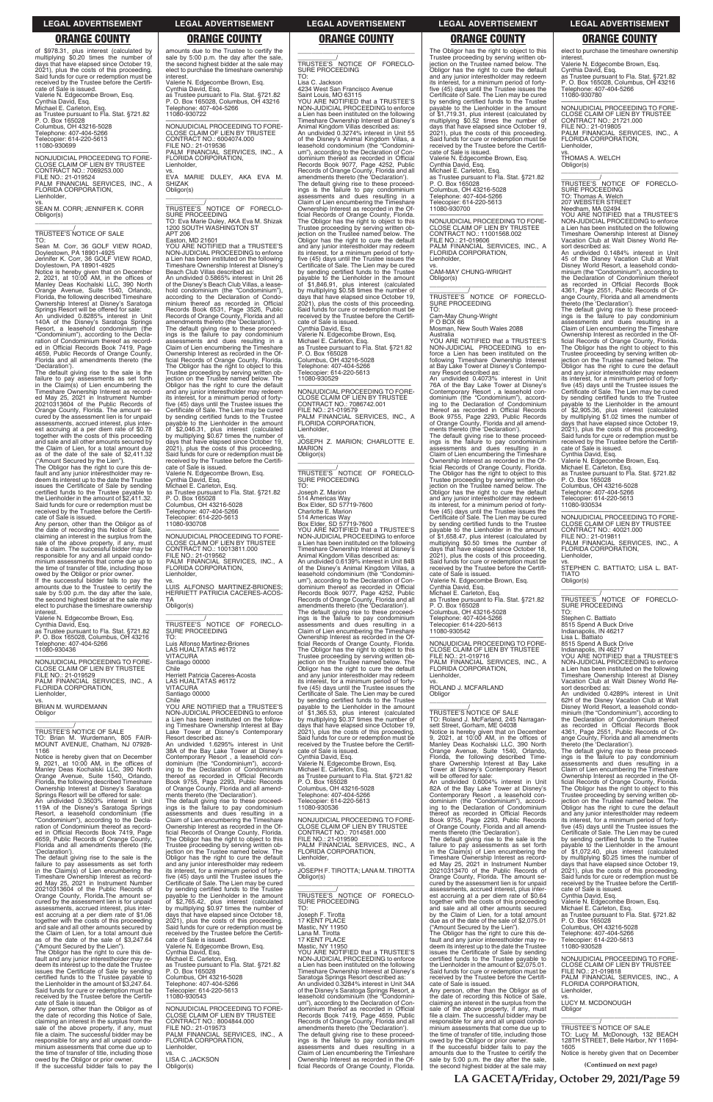of \$978.31, plus interest (calculated by multiplying \$0.20 times the number of days that have elapsed since October 19, 2021), plus the costs of this proceeding. Said funds for cure or redemption must be received by the Trustee before the Certifi-cate of Sale is issued. Valerie N. Edgecombe Brown, Esq. Cynthia David, Esq. Michael E. Carleton, Esq. as Trustee pursuant to Fla. Stat. §721.82 P. O. Box 165028 Columbus, OH 43216-5028 Telephone: 407-404-5266 Telecopier: 614-220-5613 11080-930699

TO: Sean M. Corr, 36 GOLF VIEW ROAD,<br>Doylestown, PA 18901-4925<br>Jennifer K. Corr, 36 GOLF VIEW ROAD,<br>Doylestown, PA 18901-4925

—————————————————— NONJUDICIAL PROCEEDING TO FORE-CLOSE CLAIM OF LIEN BY TRUSTEE CONTRACT NO.: 7069253.000 FILE NO.: 21-019524 PALM FINANCIAL SERVICES, INC., A FLORIDA CORPORATION, Lienholder,

vs. SEAN M. CORR; JENNIFER K. CORR Obligor(s) \_\_\_\_\_\_\_\_\_\_\_\_\_\_\_\_\_\_\_\_\_\_\_\_\_\_\_\_\_\_\_\_\_

# \_\_\_\_\_\_\_\_\_\_\_/ TRUSTEE'S NOTICE OF SALE

Notice is hereby given that on December 2, 2021, at 10:00 AM, in the offices of Manley Deas Kochalski LLC, 390 North Orange Avenue, Suite 1540, Orlando, Florida, the following described Timeshare Ownership Interest at Disney's Saratoga Springs Resort will be offered for sale: An undivided 0.8285% interest in Unit

140A of the Disney's Saratoga Springs Resort, a leasehold condominium (the "Condominium"), according to the Declaration of Condominium thereof as recorded in Official Records Book 7419, Page 4659, Public Records of Orange County, Florida and all amendments thereto (the

owed by the Obligor or prior owner. If the successful bidder fails to pay the amounts due to the Trustee to certify the sale by 5:00 p.m. the day after the sale, the second highest bidder at the sale may elect to purchase the timeshare ownership **interest** 

vs. BRIAN M. WURDEMANN **Obligor** 

'Declaration'). The default giving rise to the sale is the failure to pay assessments as set forth<br>in the Claim(s) of Lien encumbering the<br>Timeshare Ownership Interest as record-<br>ed May 25, 2021 in Instrument Number<br>20210313604 of the Public Records of<br>Orange County, Florida. The cured by the assessment lien is for unpaid assessments, accrued interest, plus inter-est accruing at a per diem rate of \$0.78 together with the costs of this proceeding and sale and all other amounts secured by the Claim of Lien, for a total amount due as of the date of the sale of \$2,411.32

("Amount Secured by the Lien"). The Obligor has the right to cure this default and any junior interestholder may redeem its interest up to the date the Trustee issues the Certificate of Sale by sending certified funds to the Trustee payable to the Lienholder in the amount of \$2,411.32. Said funds for cure or redemption must be received by the Trustee before the Certifi-cate of Sale is issued. Any person, other than the Obligor as of

The default giving rise to the sale is the failure to pay assessments as set forth in the Claim(s) of Lien encumbering the Timeshare Ownership Interest as recorded May 25, 2021 in Instrument Number 20210313604 of the Public Records of Orange County, Florida.The amount se-cured by the assessment lien is for unpaid assessments, accrued interest, plus interest accruing at a per diem rate of \$1.06 together with the costs of this proceeding and sale and all other amounts secured by the Claim of Lien, for a total amount due as of the date of the sale of \$3,247.64

the date of recording this Notice of Sale, claiming an interest in the surplus from the sale of the above property, if any, must file a claim. The successful bidder may be responsible for any and all unpaid condo-minium assessments that come due up to the time of transfer of title, including those

Valerie N. Edgecombe Brown, Esq.

Cynthia David, Esq. as Trustee pursuant to Fla. Stat. §721.82 P. O. Box 165028, Columbus, OH 43216 Telephone: 407-404-5266 11080-930436

—————————————————— NONJUDICIAL PROCEEDING TO FORE-CLOSE CLAIM OF LIEN BY TRUSTEE FILE NO.: 21-019529 PALM FINANCIAL SERVICES, INC., A FLORIDA CORPORATION, Lienholder,

\_\_\_\_\_\_\_\_\_\_\_\_\_\_\_\_\_\_\_\_\_\_\_\_\_\_\_\_\_\_\_\_\_

\_\_\_\_\_\_\_\_\_\_\_/ TRUSTEE'S NOTICE OF SALE TO: Brian M. Wurdemann, 805 FAIR-MOUNT AVENUE, Chatham, NJ 07928- 1166

Notice is hereby given that on December 9, 2021, at 10:00 AM, in the offices of Manley Deas Kochalski LLC, 390 North Orange Avenue, Suite 1540, Orlando, Florida, the following described Timeshare Ownership Interest at Disney's Saratoga Springs Resort will be offered for sale:

YOU ARE NOTIFIED that a TRUSTEE'S NON-JUDICIAL PROCEEDING to enforce a Lien has been instituted on the following Timeshare Ownership Interest at Disney's Beach Club Villas described as: An undivided 0.5865% interest in Unit 26 of the Disney's Beach Club Villas, a leasehold condominium (the "Condominium"), according to the Declaration of Condominium thereof as recorded in Official Records Book 6531, Page 3526, Public Records of Orange County, Florida and all amendments thereto (the 'Declaration'). The default giving rise to these proceed-ings is the failure to pay condominium assessments and dues resulting in a Claim of Lien encumbering the Timeshare Ownership Interest as recorded in the Official Records of Orange County, Florida. The Obligor has the right to object to this Trustee proceeding by serving written objection on the Trustee named below. The Obligor has the right to cure the default and any junior interestholder may redeem its interest, for a minimum period of fortyfive (45) days until the Trustee issues the Certificate of Sale. The Lien may be cured by sending certified funds to the Trustee payable to the Lienholder in the amount<br>of \$2,046.31, plus interest (calculated<br>by multiplying \$0.67 times the number of<br>days that have elapsed since October 19,<br>2021), plus the costs of this proceeding. Said funds for cure or redemption must be received by the Trustee before the Certifi-cate of Sale is issued.

An undivided 0.3503% interest in Unit 119A of the Disney's Saratoga Springs

Resort, a leasehold condominium (the "Condominium"), according to the Decla-ration of Condominium thereof as recorded in Official Records Book 7419, Page 4659, Public Records of Orange County, Florida and all amendments thereto (the 'Declaration').

Luis Alfonso Martinez-Briones LAS HUALTATAS #6172 VITACURA Santiago 00000

Chile Herriett Patricia Caceres-Acosta LAS HUALTATAS #6172 **VITACURA** 

("Amount Secured by the Lien"). The Obligor has the right to cure this de-fault and any junior interestholder may redeem its interest up to the date the Trustee issues the Certificate of Sale by sending certified funds to the Trustee payable to the Lienholder in the amount of \$3,247.64. Said funds for cure or redemption must be received by the Trustee before the Certificate of Sale is issued.

 $\overline{\phantom{a}}$  , and the set of the set of the set of the set of the set of the set of the set of the set of the set of the set of the set of the set of the set of the set of the set of the set of the set of the set of the s \_\_\_\_\_\_\_\_\_\_\_/ TRUSTEE'S NOTICE OF FORECLO-SURE PROCEEDING TO:

Any person, other than the Obligor as of the date of recording this Notice of Sale, claiming an interest in the surplus from the sale of the above property, if any, must file a claim. The successful bidder may be responsible for any and all unpaid condo-minium assessments that come due up to the time of transfer of title, including those owed by the Obligor or prior owner. If the successful bidder fails to pay the

# amounts due to the Trustee to certify the

sale by 5:00 p.m. the day after the sale, the second highest bidder at the sale may elect to purchase the timeshare ownership interest. Valerie N. Edgecombe Brown, Esq. Cynthia David, Esq. as Trustee pursuant to Fla. Stat. §721.82 P. O. Box 165028, Columbus, OH 43216 Telephone: 407-404-5266



FILE NO.: 21-019536 PALM FINANCIAL SERVICES, INC., A FLORIDA CORPORATION, Lienholder,

vs. EVA MARIE DULEY, AKA EVA M. SHIZAK Obligor(s) \_\_\_\_\_\_\_\_\_\_\_\_\_\_\_\_\_\_\_\_\_\_\_\_\_\_\_\_\_\_\_\_\_

\_\_\_\_\_\_\_\_\_\_\_/ TRUSTEE'S NOTICE OF FORECLO-SURE PROCEEDING TO: Eva Marie Duley, AKA Eva M. Shizak 1200 SOUTH WASHINGTON ST APT 206

eston, MD 21601

Valerie N. Edgecombe Brown, Esq. Cynthia David, Esq. Michael E. Carleton, Esq. as Trustee pursuant to Fla. Stat. §721.82

P. O. Box 165028 Columbus, OH 43216-5028 Telephone: 407-404-5266 Telecopier: 614-220-5613 11080-930708

—————————————————— NONJUDICIAL PROCEEDING TO FORE-CLOSE CLAIM OF LIEN BY TRUSTEE CONTRACT NO.: 10013811.000 FILE NO.: 21-019562 PALM FINANCIAL SERVICES, INC., A FLORIDA CORPORATION, Lienholder,

vs. LUIS ALFONSO MARTINEZ-BRIONES; HERRIETT PATRICIA CACERES-ACOS-TA

Obligor(s) \_\_\_\_\_\_\_\_\_\_\_\_\_\_\_\_\_\_\_\_\_\_\_\_\_\_\_\_\_\_\_\_\_

\_\_\_\_\_\_\_\_\_\_\_/ TRUSTEE'S NOTICE OF FORECLO-SURE PROCEEDING TO:

Santiago 00000 Chile

YOU ARE NOTIFIED that a TRUSTEE'S NON-JUDICIAL PROCEEDING to enforce a Lien has been instituted on the following Timeshare Ownership Interest at Bay Lake Tower at Disney's Contemporary Resort described as: An undivided 1.6295% interest in Unit

38A of the Bay Lake Tower at Disney's Contemporary Resort , a leasehold con-dominium (the "Condominium"), accord-ing to the Declaration of Condominium thereof as recorded in Official Records Book 9755, Page 2293, Public Records of Orange County, Florida and all amendments thereto (the 'Declaration').

received by the Trustee before the Certificate of Sale is issued. Valerie N. Edgecombe Brown, Esq. Cynthia David, Esq. Michael E. Carleton, Esq. as Trustee pursuant to Fla. Stat. §721.82 P. O. Box 165028 Columbus, OH 43216-5028 Telephone: 407-404-5266 Telecopier: 614-220-5613 11080-930542 FLORIDA CORPORATION, Lienholder, vs. ROLAND J. MCFARLAND **Obligor** 

The default giving rise to these proceed-ings is the failure to pay condominium assessments and dues resulting in a Claim of Lien encumbering the Timeshare Ownership Interest as recorded in the Official Records of Orange County, Florida. The Obligor has the right to object to this Trustee proceeding by serving written objection on the Trustee named below. The Obligor has the right to cure the default and any junior interestholder may redeem its interest, for a minimum period of fortyfive (45) days until the Trustee issues the Certificate of Sale. The Lien may be cured by sending certified funds to the Trustee payable to the Lienholder in the amount of \$2,765.42, plus interest (calculated by multiplying \$0.97 times the number of days that have elapsed since October 18, 2021), plus the costs of this proceeding. Said funds for cure or redemption must be received by the Trustee before the Certifi-cate of Sale is issued. Valerie N. Edgecombe Brown, Esq. Cynthia David, Esq. Michael E. Carleton, Esq. as Trustee pursuant to Fla. Stat. §721.82 P. O. Box 165028 Columbus, OH 43216-5028 Telephone: 407-404-5266 Telecopier: 614-220-5613 11080-930543 —————————————————— NONJUDICIAL PROCEEDING TO FORE-CLOSE CLAIM OF LIEN BY TRUSTEE CONTRACT NO.: 8004844.000 FILE NO.: 21-019573 PALM FINANCIAL SERVICES, INC., A FLORIDA CORPORATION, Lienholder,

vs. LISA C. JACKSON Obligor(s)

### Lisa C. Jackson

4234 West San Francisco Avenue Saint Louis, MO 63115 YOU ARE NOTIFIED that a TRUSTEE'S NON-JUDICIAL PROCEEDING to enforce a Lien has been instituted on the following Timeshare Ownership Interest at Disney's Animal Kingdom Villas described as: An undivided 0.3274% interest in Unit 55

> The default giving rise to these proceed-ings is the failure to pay condominium assessments and dues resulting in a Claim of Lien encumbering the Timeshare Ownership Interest as recorded in the Official Records of Orange County, Florida. The Obligor has the right to object to this Trustee proceeding by serving written objection on the Trustee named below. The Obligor has the right to cure the default and any junior interestholder may redeem its interest, for a minimum period of fortyfive (45) days until the Trustee issues the Certificate of Sale. The Lien may be cured by sending certified funds to the Trustee payable to the Lienholder in the amount<br>of \$2,905.36, plus interest (calculated<br>by multiplying \$1.02 times the number of<br>days that have elapsed since October 19,<br>2021), plus the costs of this proceeding. Said funds for cure or redemption must be received by the Trustee before the Certificate of Sale is issued.

of the Disney's Animal Kingdom Villas, a leasehold condominium (the "Condominium"), according to the Declaration of Condominium thereof as recorded in Official<br>Records 6 Orange County, Florida and all<br>Records of Orange County, Florida and all<br>amendments thereto (the 'Declaration').<br>The default giving rise to these proceedings is the failure to pay condominium assessments and dues resulting in a Claim of Lien encumbering the Timeshare Ownership Interest as recorded in the Official Records of Orange County, Florida. The Obligor has the right to object to this Trustee proceeding by serving written ob-jection on the Trustee named below. The Obligor has the right to cure the default and any junior interestholder may redeem its interest, for a minimum period of forty-five (45) days until the Trustee issues the Certificate of Sale. The Lien may be cured by sending certified funds to the Trustee payable to the Lienholder in the amount of \$1,846.91, plus interest (calculated by multiplying \$0.58 times the number of days that have elapsed since October 19, 2021), plus the costs of this proceeding. Said funds for cure or redemption must be received by the Trustee before the Certificate of Sale is issued. Cynthia David, Esq. Valerie N. Edgecombe Brown, Esq. Michael E. Carleton, Esq. as Trustee pursuant to Fla. Stat. §721.82 P. O. Box 165028 Columbus, OH 43216-5028 Telephone: 407-404-5266 Telecopier: 614-220-5613 11080-930529

> —————————————————— NONJUDICIAL PROCEEDING TO FORE-CLOSE CLAIM OF LIEN BY TRUSTEE CONTRACT NO.: 40021.000 FILE NO.: 21-019811 PALM FINANCIAL SERVICES, INC., A FLORIDA CORPORATION, Lienholder

> 62H of the Disney Vacation Club at Walt<br>Disney World Resort, a leasehold condo-<br>minium (the "Condominium"), according to<br>the Declaration of Condominium thereof as recorded in Official Records Book 4361, Page 2551, Public Records of Orange County, Florida and all amendments

—————————————————— NONJUDICIAL PROCEEDING TO FORE-CLOSE CLAIM OF LIEN BY TRUSTEE CONTRACT NO.: 7086742.001 FILE NO.: 21-019579 PALM FINANCIAL SERVICES, INC., A FLORIDA CORPORATION, Lienholder,

vs. JOSEPH Z. MARION; CHARLOTTE E. MARION Obligor(s)

\_\_\_\_\_\_\_\_\_\_\_\_\_\_\_\_\_\_\_\_\_\_\_\_\_\_\_\_\_\_\_\_\_ \_\_\_\_\_\_\_\_\_\_\_/ TRUSTEE'S NOTICE OF FORECLO-SURE PROCEEDING TO:

> 82A of the Bay Lake Tower at Disney's Contemporary Resort , a leasehold con-dominium (the "Condominium"), accord-ing to the Declaration of Condominium thereof as recorded in Official Records Book 9755, Page 2293, Public Records of Orange County, Florida and all amendments thereto (the 'Declaration'). The default giving rise to the sale is the failure to pay assessments as set forth in the Claim(s) of Lien encumbering the Timeshare Ownership Interest as record-ed May 25, 2021 in Instrument Number 20210313470 of the Public Records of Orange County, Florida. The amount se-cured by the assessment lien is for unpaid assessments, accrued interest, plus interest accruing at a per diem rate of \$0.64 together with the costs of this proceeding and sale and all other amounts secured by the Claim of Lien, for a total amount due as of the date of the sale of \$2,075.01 ("Amount Secured by the Lien"). The Obligor has the right to cure this de-fault and any junior interestholder may redeem its interest up to the date the Trustee issues the Certificate of Sale by sending certified funds to the Trustee payable to the Lienholder in the amount of \$2,075.01. Said funds for cure or redemption must be received by the Trustee before the Certificate of Sale is issued. Any person, other than the Obligor as of the date of recording this Notice of Sale, claiming an interest in the surplus from the sale of the above property, if any, must file a claim. The successful bidder may be responsible for any and all unpaid condo-minium assessments that come due up to the time of transfer of title, including those owed by the Obligor or prior owner. If the successful bidder fails to pay the amounts due to the Trustee to certify the sale by 5:00 p.m. the day after the sale, the second highest bidder at the sale may 1605

**(Continued on next page)** thereto (the 'Declaration'). The default giving rise to these proceedings is the failure to pay condominium assessments and dues resulting in a Claim of Lien encumbering the Timeshare Ownership Interest as recorded in the Official Records of Orange County, Florida. The Obligor has the right to object to this Trustee proceeding by serving written ob-jection on the Trustee named below. The Obligor has the right to cure the default and any junior interestholder may redeem its interest, for a minimum period of forty-five (45) days until the Trustee issues the Certificate of Sale. The Lien may be cured by sending certified funds to the Trustee payable to the Lienholder in the amount of \$1,072.40, plus interest (calculated by multiplying \$0.25 times the number of days that have elapsed since October 19, 2021), plus the costs of this proceeding. Said funds for cure or redemption must be received by the Trustee before the Certificate of Sale is issued. Cynthia David, Esq. Valerie N. Edgecombe Brown, Esq. Michael E. Carleton, Esq. as Trustee pursuant to Fla. Stat. §721.82 P. O. Box 165028 Columbus, OH 43216-5028 Telephone: 407-404-5266 Telecopier: 614-220-5613 11080-930528 —————————————————— NONJUDICIAL PROCEEDING TO FORE-CLOSE CLAIM OF LIEN BY TRUSTEE FILE NO.: 21-019818 PALM FINANCIAL SERVICES, INC., A FLORIDA CORPORATION, Lienholder, vs. LUCY M. MCDONOUGH **Obligor** \_\_\_\_\_\_\_\_\_\_\_\_\_\_\_\_\_\_\_\_\_\_\_\_\_\_\_\_\_\_\_\_\_ \_\_\_\_\_\_\_\_\_\_\_/ TRUSTEE'S NOTICE OF SALE TO: Lucy M. McDonough, 132 BEACH 128TH STREET, Belle Harbor, NY 11694- Notice is hereby given that on December

Joseph Z. Marion 514 Americas Way Box Elder, SD 57719-7600 Charlotte E. Marion 514 Americas Way Box Elder, SD 57719-7600 YOU ARE NOTIFIED that a TRUSTEE'S NON-JUDICIAL PROCEEDING to enforce a Lien has been instituted on the following Timeshare Ownership Interest at Disney's Animal Kingdom Villas described as: An undivided 0.6139% interest in Unit 84B of the Disney's Animal Kingdom Villas, a leasehold condominium (the "Condomini-um"), according to the Declaration of Condominium thereof as recorded in Official Records Book 9077, Page 4252, Public Records of Orange County, Florida and all amendments thereto (the 'Declaration'). The default giving rise to these proceed-ings is the failure to pay condominium assessments and dues resulting in a Claim of Lien encumbering the Timeshare Ownership Interest as recorded in the Official Records of Orange County, Florida. The Obligor has the right to object to this Trustee proceeding by serving written objection on the Trustee named below. The Obligor has the right to cure the default and any junior interestholder may redeem its interest, for a minimum period of fortyfive (45) days until the Trustee issues the Certificate of Sale. The Lien may be cured by sending certified funds to the Trustee payable to the Lienholder in the amount of \$1,365.53, plus interest (calculated by multiplying \$0.37 times the number of days that have elapsed since October 19, 2021), plus the costs of this proceeding. Said funds for cure or redemption must be received by the Trustee before the Certifi-cate of Sale is issued.

Cynthia David, Esq. Valerie N. Edgecombe Brown, Esq. Michael E. Carleton, Esq. as Trustee pursuant to Fla. Stat. §721.82 P. O. Box 165028

Columbus, OH 43216-5028 Telephone: 407-404-5266 Telecopier: 614-220-5613 11080-930536

| 11080-930536                                                                                                                                                                                                   |
|----------------------------------------------------------------------------------------------------------------------------------------------------------------------------------------------------------------|
| NONJUDICIAL PROCEEDING TO FORE-<br>CLOSE CLAIM OF LIEN BY TRUSTEE<br>CONTRACT NO.: 7014581.000<br>FILE NO.: 21-019590<br>PALM FINANCIAL SERVICES. INC., A<br><b>FLORIDA CORPORATION.</b><br>Lienholder.<br>VS. |
| JOSEPH F. TIROTTA; LANA M. TIROTTA<br>Obligor(s)                                                                                                                                                               |
|                                                                                                                                                                                                                |
| <b>TRUSTEE'S</b><br>NOTICE OF FORECLO-<br>SURE PROCEEDING<br>TO:                                                                                                                                               |
| Joseph F. Tirotta                                                                                                                                                                                              |
| <b>17 KENT PLACE</b><br><b>Mastic, NY 11950</b>                                                                                                                                                                |
| Lana M. Tirotta                                                                                                                                                                                                |
| <b>17 KENT PLACE</b>                                                                                                                                                                                           |
| Mastic, NY 11950<br>YOU ARE NOTIFIED that a TRUSTEE'S                                                                                                                                                          |
| NON-JUDICIAL PROCEEDING to enforce                                                                                                                                                                             |
| a Lien has been instituted on the following                                                                                                                                                                    |
| Timeshare Ownership Interest at Disney's<br>Saratoga Springs Resort described as:                                                                                                                              |
| An undivided 0.3284% interest in Unit 34A                                                                                                                                                                      |
| of the Disney's Saratoga Springs Resort, a                                                                                                                                                                     |
| leasehold condominium (the "Condomini-<br>um"), according to the Declaration of Con-                                                                                                                           |
| dominium thereof as recorded in Official                                                                                                                                                                       |
| Records Book 7419, Page 4659, Public<br>Records of Orange County, Florida and all                                                                                                                              |
| amendments thereto (the 'Declaration').                                                                                                                                                                        |
| The default giving rise to these proceed-                                                                                                                                                                      |
| ings is the failure to pay condominium<br>assessments and dues resulting in<br>a                                                                                                                               |
| Claim of Lien encumbering the Timeshare                                                                                                                                                                        |
| Ownership Interest as recorded in the Of-                                                                                                                                                                      |
| ficial Records of Orange County, Florida.                                                                                                                                                                      |

The Obligor has the right to object to this Trustee proceeding by serving written ob-jection on the Trustee named below. The Obligor has the right to cure the default and any junior interestholder may redeem its interest, for a minimum period of forty-five (45) days until the Trustee issues the Certificate of Sale. The Lien may be cured by sending certified funds to the Trustee payable to the Lienholder in the amount of \$1,719.31, plus interest (calculated by multiplying \$0.52 times the number of days that have elapsed since October 19,

2021), plus the costs of this proceeding. Said funds for cure or redemption must be received by the Trustee before the Certifi-

cate of Sale is issued.

Valerie N. Edgecombe Brown, Esq. Cynthia David, Esq.

Michael E. Carleton, Esq. as Trustee pursuant to Fla. Stat. §721.82 P. O. Box 165028 Columbus, OH 43216-5028

Telephone: 407-404-5266 Telecopier: 614-220-5613 11080-930700

—————————————————— NONJUDICIAL PROCEEDING TO FORE-CLOSE CLAIM OF LIEN BY TRUSTEE CONTRACT NO.: 11001568.002 FILE NO.: 21-019606 PALM FINANCIAL SERVICES, INC., A

FLORIDA CORPORATION,

Lienholder,

vs. CAM-MAY CHUNG-WRIGHT

Obligor(s)

\_\_\_\_\_\_\_\_\_\_\_\_\_\_\_\_\_\_\_\_\_\_\_\_\_\_\_\_\_\_\_\_\_ \_\_\_\_\_\_\_\_\_\_\_/ TRUSTEE'S NOTICE OF FORECLO-

at Bay Lake Tower at Disney's Contempo-<br>ary Resort described as:<br>An undivided 0.4073% interest in Unit<br>76A of the Bay Lake Tower at Disney's<br>Contemporary Resort , a leasehold con-

SURE PROCEEDING

TO:

Cam-May Chung-Wright P O BOX 66

Mosman, New South Wales 2088 Australia YOU ARE NOTIFIED that a TRUSTEE'S NON-JUDICIAL PROCEEDING to en-force a Lien has been instituted on the following Timeshare Ownership Interest

dominium (the "Condominium"), according to the Declaration of Condominium thereof as recorded in Official Records Book 9755, Page 2293, Public Records of Orange County, Florida and all amend-ments thereto (the 'Declaration').

The default giving rise to these proceed-ings is the failure to pay condominium assessments and dues resulting in a Claim of Lien encumbering the Timeshare Ownership Interest as recorded in the Of-ficial Records of Orange County, Florida. The Obligor has the right to object to this Trustee proceeding by serving written ob-jection on the Trustee named below. The Obligor has the right to cure the default and any junior interestholder may redeem its interest, for a minimum period of fortyfive (45) days until the Trustee issues the Certificate of Sale. The Lien may be cured by sending certified funds to the Trustee payable to the Lienholder in the amount of \$1,658.47, plus interest (calculated by multiplying \$0.50 times the number of days that have elapsed since October 18, 2021), plus the costs of this proceeding. Said funds for cure or redemption must be

—————————————————— NONJUDICIAL PROCEEDING TO FORE-CLOSE CLAIM OF LIEN BY TRUSTEE FILE NO.: 21-019716 PALM FINANCIAL SERVICES, INC., A \_\_\_\_\_\_\_\_\_\_\_\_\_\_\_\_\_\_\_\_\_\_\_\_\_\_\_\_\_\_\_\_\_ \_\_\_\_\_\_\_\_\_\_\_/ TRUSTEE'S NOTICE OF SALE TO: Roland J. McFarland, 245 Narragan-

sett Street, Gorham, ME 04038 Notice is hereby given that on December 9, 2021, at 10:00 AM, in the offices of Manley Deas Kochalski LLC, 390 North Orange Avenue, Suite 1540, Orlando, Florida, the following described Time-share Ownership Interest at Bay Lake Tower at Disney's Contemporary Resort will be offered for sale: An undivided 0.6004% interest in Unit

elect to purchase the timeshare ownership interest.

Valerie N. Edgecombe Brown, Esq. Cynthia David, Esq. as Trustee pursuant to Fla. Stat. §721.82 P. O. Box 165028, Columbus, OH 43216 Telephone: 407-404-5266 11080-930780

—————————————————— NONJUDICIAL PROCEEDING TO FORE-CLOSE CLAIM OF LIEN BY TRUSTEE<br>CONTRACT NO.: 21721.000<br>FILE NO.: 21-019805<br>PALM FINANCIAL SERVICES, INC., A FLORIDA CORPORATION, Lienholder,

vs. THOMAS A. WELCH Obligor(s)

\_\_\_\_\_\_\_\_\_\_\_\_\_\_\_\_\_\_\_\_\_\_\_\_\_\_\_\_\_\_\_\_\_

\_\_\_\_\_\_\_\_\_\_\_/ TRUSTEE'S NOTICE OF FORECLO-SURE PROCEEDING TO: Thomas A. Welch 207 WEBSTER STREET

Needham, MA 02494 YOU ARE NOTIFIED that a TRUSTEE'S NON-JUDICIAL PROCEEDING to enforce a Lien has been instituted on the following Timeshare Ownership Interest at Disney Vacation Club at Walt Disney World Resort described as:

An undivided 0.1484% interest in Unit 45 of the Disney Vacation Club at Walt Disney World Resort, a leasehold condominium (the "Condominium"), according to the Declaration of Condominium thereof as recorded in Official Records Book 4361, Page 2551, Public Records of Or-ange County, Florida and all amendments thereto (the 'Declaration').

cate of Sale is issued. Cynthia David, Esq. Valerie N. Edgecombe Brown, Esq. Michael E. Carleton, Esq. as Trustee pursuant to Fla. Stat. §721.82 P. O. Box 165028

Columbus, OH 43216-5028 Telephone: 407-404-5266

Telecopier: 614-220-5613 11080-930534

vs. STEPHEN C. BATTIATO; LISA L. BAT-TIATO Obligor(s)

\_\_\_\_\_\_\_\_\_\_\_\_\_\_\_\_\_\_\_\_\_\_\_\_\_\_\_\_\_\_\_\_\_ \_\_\_\_\_\_\_\_\_\_\_\_\_/<br>TRUSTEE'S NOTICE OF FORECLO-SURE PROCEEDING

TO: Stephen C. Battiato

8515 Spend A Buck Drive

Indianapolis, IN 46217 Lisa L. Battiato 8515 Spend A Buck Drive

Indianapolis, IN 46217 YOU ARE NOTIFIED that a TRUSTEE'S NON-JUDICIAL PROCEEDING to enforce a Lien has been instituted on the following Timeshare Ownership Interest at Disney Vacation Club at Walt Disney World Resort described as: An undivided 0.4289% interest in Unit

### **LEGAL ADVERTISEMENT LEGAL ADVERTISEMENT LEGAL ADVERTISEMENT LEGAL ADVERTISEMENT LEGAL ADVERTISEMENT**

# **ORANGE COUNTY ORANGE COUNTY ORANGE COUNTY ORANGE COUNTY ORANGE COUNTY**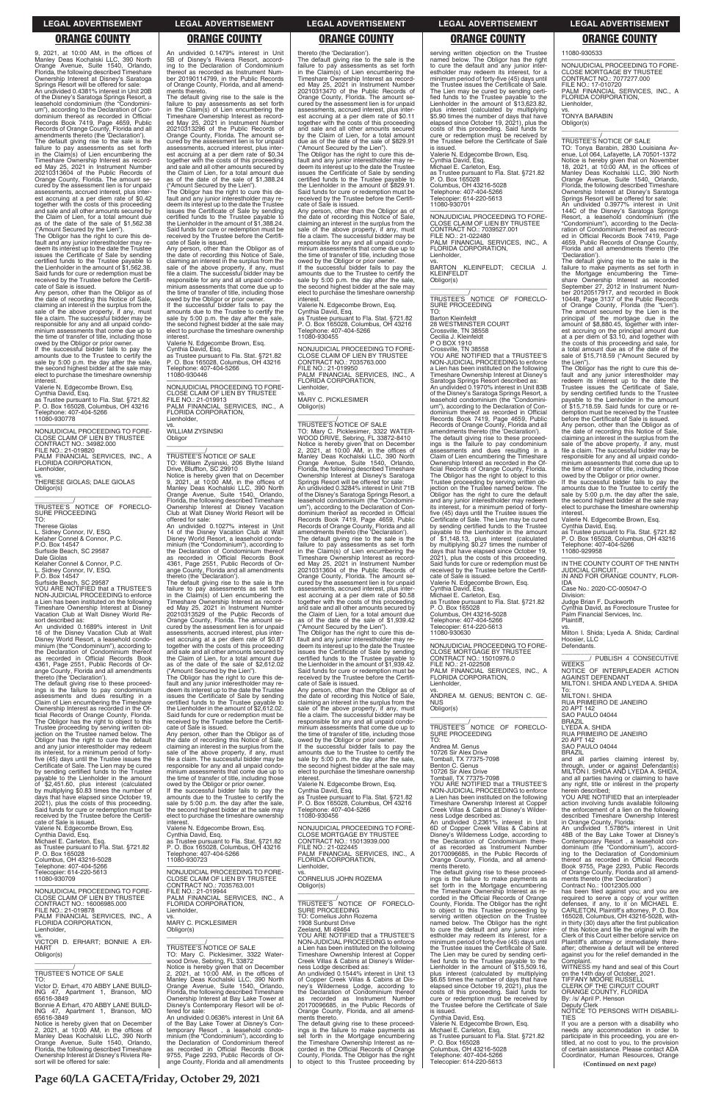**Page 60/LA GACETA/Friday, October 29, 2021**

9, 2021, at 10:00 AM, in the offices of Manley Deas Kochalski LLC, 390 North Orange Avenue, Suite 1540, Orlando, Florida, the following described Timeshare Ownership Interest at Disney's Saratoga Springs Resort will be offered for sale: An undivided 0.4381% interest in Unit 20B of the Disney's Saratoga Springs Resort, a leasehold condominium (the "Condominium"), according to the Declaration of Condominium thereof as recorded in Official Records Book 7419, Page 4659, Public Records of Orange County, Florida and all amendments thereto (the 'Declaration'). The default giving rise to the sale is the failure to pay assessments as set forth in the Claim(s) of Lien encumbering the Timeshare Ownership Interest as recorded May 25, 2021 in Instrument Number<br>20210313604 of the Public Records of<br>Orange County, Florida. The amount se-<br>cured by the assessment lien is for unpaid assessments, accrued interest, plus interest accruing at a per diem rate of \$0.42 together with the costs of this proceeding and sale and all other amounts secured by the Claim of Lien, for a total amount due as of the date of the sale of \$1,562.38 ("Amount Secured by the Lien").

\_\_\_\_\_\_\_\_\_\_\_/ TRUSTEE'S NOTICE OF FORECLO-SURE PROCEEDING

The Obligor has the right to cure this de-fault and any junior interestholder may redeem its interest up to the date the Trustee issues the Certificate of Sale by sending certified funds to the Trustee payable to the Lienholder in the amount of \$1,562.38. Said funds for cure or redemption must be received by the Trustee before the Certificate of Sale is issued.

Any person, other than the Obligor as of the date of recording this Notice of Sale, claiming an interest in the surplus from the sale of the above property, if any, must file a claim. The successful bidder may be responsible for any and all unpaid condominium assessments that come due up to the time of transfer of title, including those

owed by the Obligor or prior owner. If the successful bidder fails to pay the amounts due to the Trustee to certify the sale by 5:00 p.m. the day after the sale, the second highest bidder at the sale may elect to purchase the timeshare ownership interest.

Valerie N. Edgecombe Brown, Esq.

Cynthia David, Esq. as Trustee pursuant to Fla. Stat. §721.82 P. O. Box 165028, Columbus, OH 43216

Telephone: 407-404-5266 11080-930778

—————————————————— NONJUDICIAL PROCEEDING TO FORE-CLOSE CLAIM OF LIEN BY TRUSTEE CONTRACT NO.: 34982.000

FILE NO.: 21-019820 PALM FINANCIAL SERVICES, INC., A FLORIDA CORPORATION, Lienholder,

vs. THERESE GIOLAS; DALE GIOLAS Obligor(s) \_\_\_\_\_\_\_\_\_\_\_\_\_\_\_\_\_\_\_\_\_\_\_\_\_\_\_\_\_\_\_\_\_

TO: Therese Giolas L. Sidney Connor, IV, ESQ. Kelaher Connel & Connor, P.C. P.O. Box 14547 Surfside Beach, SC 29587

Dale Giolas Kelaher Connel & Connor, P.C.

L. Sidney Connor, IV, ESQ. P.O. Box 14547

Surfside Beach, SC 29587

YOU ARE NOTIFIED that a TRUSTEE'S NON-JUDICIAL PROCEEDING to enforce a Lien has been instituted on the following Timeshare Ownership Interest at Disney Vacation Club at Walt Disney World Resort described as:

An undivided 0.1689% interest in Unit 16 of the Disney Vacation Club at Walt Disney World Resort, a leasehold condominium (the "Condominium"), according to the Declaration of Condominium thereof as recorded in Official Records Book 4361, Page 2551, Public Records of Or-

vs. WILLIAM ZYSINSKI Obligor  $\overline{\phantom{a}}$  ,  $\overline{\phantom{a}}$  ,  $\overline{\phantom{a}}$  ,  $\overline{\phantom{a}}$  ,  $\overline{\phantom{a}}$  ,  $\overline{\phantom{a}}$  ,  $\overline{\phantom{a}}$  ,  $\overline{\phantom{a}}$  ,  $\overline{\phantom{a}}$  ,  $\overline{\phantom{a}}$  ,  $\overline{\phantom{a}}$  ,  $\overline{\phantom{a}}$  ,  $\overline{\phantom{a}}$  ,  $\overline{\phantom{a}}$  ,  $\overline{\phantom{a}}$  ,  $\overline{\phantom{a}}$ 

ange County, Florida and all amendments thereto (the 'Declaration'). The default giving rise to these proceed-ings is the failure to pay condominium assessments and dues resulting in a Claim of Lien encumbering the Timeshare Ownership Interest as recorded in the Official Records of Orange County, Florida. The Obligor has the right to object to this Trustee proceeding by serving written ob-jection on the Trustee named below. The Obligor has the right to cure the default and any junior interestholder may redeem its interest, for a minimum period of fortyfive (45) days until the Trustee issues the Certificate of Sale. The Lien may be cured by sending certified funds to the Trustee payable to the Lienholder in the amount of \$2,451.60, plus interest (calculated by multiplying \$0.83 times the number of days that have elapsed since October 19, 2021), plus the costs of this proceeding. Said funds for cure or redemption must be

An undivided 0.1479% interest in Unit 5B of Disney's Riviera Resort, accord-ing to the Declaration of Condominium thereof as recorded as Instrument Num-ber 20190114799, in the Public Records of Orange County, Florida, and all amendments thereto.

The default giving rise to the sale is the failure to pay assessments as set forth in the Claim(s) of Lien encumbering the Timeshare Ownership Interest as recorded May 25, 2021 in Instrument Number 20210313296 of the Public Records of Orange County, Florida. The amount se-cured by the assessment lien is for unpaid assessments, accrued interest, plus interest accruing at a per diem rate of \$0.34 together with the costs of this proceeding and sale and all other amounts secured by the Claim of Lien, for a total amount due as of the date of the sale of \$1,388.24 ("Amount Secured by the Lien").

The Obligor has the right to cure this default and any junior interestholder may re-deem its interest up to the date the Trustee issues the Certificate of Sale by sending certified funds to the Trustee payable to the Lienholder in the amount of \$1,388.24. Said funds for cure or redemption must be received by the Trustee before the Certificate of Sale is issued.

Any person, other than the Obligor as of the date of recording this Notice of Sale, claiming an interest in the surplus from the sale of the above property, if any, must file a claim. The successful bidder may be responsible for any and all unpaid condominium assessments that come due up to the time of transfer of title, including those

owed by the Obligor or prior owner. If the successful bidder fails to pay the amounts due to the Trustee to certify the sale by 5:00 p.m. the day after the sale, the second highest bidder at the sale may elect to purchase the timeshare ownership interest.

Valerie N. Edgecombe Brown, Esq.

Cynthia David, Esq. as Trustee pursuant to Fla. Stat. §721.82 P. O. Box 165028, Columbus, OH 43216 Telephone: 407-404-5266 11080-930446

—————————————————— NONJUDICIAL PROCEEDING TO FORE-CLOSE CLAIM OF LIEN BY TRUSTEE FILE NO.: 21-019913 PALM FINANCIAL SERVICES, INC., A FLORIDA CORPORATION, Lienholder,

\_\_\_\_\_\_\_\_\_\_\_/ TRUSTEE'S NOTICE OF SALE TO: William Zysinski, 206 Blythe Island Drive, Bluffton, SC 29910 Notice is hereby given that on December 9, 2021, at 10:00 AM, in the offices of Manley Deas Kochalski LLC, 390 North Orange Avenue, Suite 1540, Orlando, Florida, the following described Timeshare Ownership Interest at Disney Vacation Club at Walt Disney World Resort will be

offered for sale: An undivided 0.1027% interest in Unit 14 of the Disney Vacation Club at Walt Disney World Resort, a leasehold condominium (the "Condominium"), according to the Declaration of Condominium thereof as recorded in Official Records Book 4361, Page 2551, Public Records of Orange County, Florida and all amendments

serving written objection on the Trustee named below. The Obligor has the right to cure the default and any junior inter-estholder may redeem its interest, for a minimum period of forty-five (45) days until the Trustee issues the Certificate of Sale. The Lien may be cured by sending certified funds to the Trustee payable to the Lienholder in the amount of \$13,623.82, plus interest (calculated by multiplying \$5.90 times the number of days that have elapsed since October 19, 2021), plus the costs of this proceeding. Said funds for cure or redemption must be received by the Trustee before the Certificate of Sale<br>is issued

thereto (the 'Declaration'). The default giving rise to the sale is the failure to pay assessments as set forth in the Claim(s) of Lien encumbering the Timeshare Ownership Interest as record-ed May 25, 2021 in Instrument Number 20210313529 of the Public Records of Orange County, Florida. The amount secured by the assessment lien is for unpaid assessments, accrued interest, plus interest accruing at a per diem rate of \$0.87 together with the costs of this proceeding and sale and all other amounts secured by the Claim of Lien, for a total amount due as of the date of the sale of \$2,612.02

("Amount Secured by the Lien"). The Obligor has the right to cure this de-fault and any junior interestholder may redeem its interest up to the date the Trustee issues the Certificate of Sale by sending certified funds to the Trustee payable to the Lienholder in the amount of \$2,612.02. Said funds for cure or redemption must be received by the Trustee before the Certificate of Sale is issued.

Any person, other than the Obligor as of the date of recording this Notice of Sale, claiming an interest in the surplus from the sale of the above property, if any, must file a claim. The successful bidder may be responsible for any and all unpaid condominium assessments that come due up to the time of transfer of title, including those owed by the Obligor or prior owner. If the successful bidder fails to pay the

amounts due to the Trustee to certify the sale by 5:00 p.m. the day after the sale, the second highest bidder at the sale may

thereto (the 'Declaration').

The default giving rise to the sale is the failure to pay assessments as set forth in the Claim(s) of Lien encumbering the Timeshare Ownership Interest as recorded May 25, 2021 in Instrument Number 20210313470 of the Public Records of Orange County, Florida. The amount secured by the assessment lien is for unpaid assessments, accrued interest, plus interest accruing at a per diem rate of \$0.11 together with the costs of this proceeding and sale and all other amounts secured by the Claim of Lien, for a total amount due as of the date of the sale of \$829.91 ("Amount Secured by the Lien").

The Obligor has the right to cure this default and any junior interestholder may redeem its interest up to the date the Trustee issues the Certificate of Sale by sending certified funds to the Trustee payable to the Lienholder in the amount of \$829.91. Said funds for cure or redemption must be received by the Trustee before the Certificate of Sale is issued.

Any person, other than the Obligor as of the date of recording this Notice of Sale, claiming an interest in the surplus from the sale of the above property, if any, must file a claim. The successful bidder may be responsible for any and all unpaid condominium assessments that come due up to the time of transfer of title, including those owed by the Obligor or prior owner. If the successful bidder fails to pay the

amounts due to the Trustee to certify the sale by 5:00 p.m. the day after the sale, the second highest bidder at the sale may elect to purchase the timeshare ownership interest.

> To:<br>milton e shida MILTON I. SHIDA RUA PRIMEIRO DE JANEIRO 20 APT 142

SAO PAULO 04044

and all parties claiming interest by, through, under or against Defendant(s) MILTON I. SHIDA AND LYEDA A. SHIDA, and all parties having or claiming to have any right, title or interest in the property

Valerie N. Edgecombe Brown, Esq. Cynthia David, Esq. as Trustee pursuant to Fla. Stat. §721.82 P. O. Box 165028, Columbus, OH 43216 Telephone: 407-404-5266 11080-930455

—————————————————— NONJUDICIAL PROCEEDING TO FORE-CLOSE CLAIM OF LIEN BY TRUSTEE CONTRACT NO.: 7035763.000 FILE NO.: 21-019950 PALM FINANCIAL SERVICES, INC., A FLORIDA CORPORATION, Lienholder,

vs. MARY C. PICKLESIMER Obligor(s) \_\_\_\_\_\_\_\_\_\_\_\_\_\_\_\_\_\_\_\_\_\_\_\_\_\_\_\_\_\_\_\_\_

\_\_\_\_\_\_\_\_\_\_\_/ TRUSTEE'S NOTICE OF SALE TO: Mary C. Picklesimer, 3322 WATER-WOOD DRIVE, Sebring, FL 33872-8410 Notice is hereby given that on December 2, 2021, at 10:00 AM, in the offices of Manley Deas Kochalski LLC, 390 North Orange Avenue, Suite 1540, Orlando, Florida, the following described Timeshare Ownership Interest at Disney's Saratoga Springs Resort will be offered for sale: An undivided 0.3284% interest in Unit 71B of the Disney's Saratoga Springs Resort, a leasehold condominium (the "Condominium"), according to the Declaration of Condominium thereof as recorded in Official Records Book 7419, Page 4659, Public Records of Orange County, Florida and all amendments thereto (the 'Declaration'). The default giving rise to the sale is the failure to pay assessments as set forth in the Claim(s) of Lien encumbering the Timeshare Ownership Interest as record-ed May 25, 2021 in Instrument Number 20210313604 of the Public Records of Orange County, Florida. The amount se-cured by the assessment lien is for unpaid assessments, accrued interest, plus interest accruing at a per diem rate of \$0.58 together with the costs of this proceeding and sale and all other amounts secured by the Claim of Lien, for a total amount due as of the date of the sale of \$1,939.42 ("Amount Secured by the Lien").

The Obligor has the right to cure this de-fault and any junior interestholder may redeem its interest up to the date the Trustee issues the Certificate of Sale by sending certified funds to the Trustee payable to the Lienholder in the amount of \$1,939.42. Said funds for cure or redemption must be received by the Trustee before the Certifi-cate of Sale is issued.

Any person, other than the Obligor as of the date of recording this Notice of Sale, claiming an interest in the surplus from the sale of the above property, if any, must file a claim. The successful bidder may be responsible for any and all unpaid condominium assessments that come due up to the time of transfer of title, including those owed by the Obligor or prior owner.

If the successful bidder fails to pay the amounts due to the Trustee to certify the sale by 5:00 p.m. the day after the sale, the second highest bidder at the sale may elect to purchase the timeshare ownership

interest. Valerie N. Edgecombe Brown, Esq.

Cynthia David, Esq. as Trustee pursuant to Fla. Stat. §721.82 P. O. Box 165028, Columbus, OH 43216 Telephone: 407-404-5266

| Said funds for cure or redemption must be<br>received by the Trustee before the Certifi- | the second highest bidder at the sale may<br>elect to purchase the timeshare ownership | Telephone: 407-404-5266<br>11080-930456                                               | Creek Villas & Cabins at Disney's Wilder-<br>ness Lodge described as:                    | the enforcement of a lien on the following<br>described Timeshare Ownership Interest       |
|------------------------------------------------------------------------------------------|----------------------------------------------------------------------------------------|---------------------------------------------------------------------------------------|------------------------------------------------------------------------------------------|--------------------------------------------------------------------------------------------|
| cate of Sale is issued.<br>Valerie N. Edgecombe Brown, Esg.                              | interest.<br>Valerie N. Edgecombe Brown, Esg.                                          | NONJUDICIAL PROCEEDING TO FORE-                                                       | An undivided 0.2361% interest in Unit<br>6D of Copper Creek Villas & Cabins at           | in Orange County, Florida:<br>An undivided 1.5786% interest in Unit                        |
| Cynthia David, Esg.                                                                      | Cynthia David, Esg.                                                                    | <b>CLOSE MORTGAGE BY TRUSTEE</b>                                                      | Disney's Wilderness Lodge, according to                                                  | 48B of the Bay Lake Tower at Disney's                                                      |
| Michael E. Carleton, Esq.<br>as Trustee pursuant to Fla. Stat. §721.82                   | as Trustee pursuant to Fla. Stat. §721.82<br>P. O. Box 165028, Columbus, OH 43216      | CONTRACT NO.: 15013939.000<br>FILE NO.: 21-022445                                     | the Declaration of Condominium there-<br>of as recorded as Instrument Number             | Contemporary Resort, a leasehold con-<br>dominium (the "Condominium"), accord-             |
| P. O. Box 165028                                                                         | Telephone: 407-404-5266                                                                | PALM FINANCIAL SERVICES, INC., A                                                      | 20170096685, in the Public Records of                                                    | ing to the Declaration of Condominium                                                      |
| Columbus, OH 43216-5028                                                                  | 11080-930723                                                                           | FLORIDA CORPORATION,                                                                  | Orange County, Florida, and all amend-                                                   | thereof as recorded in Official Records                                                    |
| Telephone: 407-404-5266                                                                  | NONJUDICIAL PROCEEDING TO FORE-                                                        | Lienholder.                                                                           | ments thereto.                                                                           | Book 9755, Page 2293, Public Records                                                       |
| Telecopier: 614-220-5613<br>11080-930709                                                 | CLOSE CLAIM OF LIEN BY TRUSTEE                                                         | VS.<br>CORNELIUS JOHN ROZEMA                                                          | The default giving rise to these proceed-<br>ings is the failure to make payments as     | of Orange County, Florida and all amend-<br>ments thereto (the 'Declaration')              |
|                                                                                          | CONTRACT NO.: 7035763.001                                                              | Obligor(s)                                                                            | set forth in the Mortgage encumbering                                                    | Contract No.: 10012305.000                                                                 |
| NONJUDICIAL PROCEEDING TO FORE-                                                          | FILE NO.: 21-019944                                                                    |                                                                                       | the Timeshare Ownership Interest as re-                                                  | has been filed against you; and you are                                                    |
| CLOSE CLAIM OF LIEN BY TRUSTEE                                                           | PALM FINANCIAL SERVICES, INC., A                                                       | TRUSTEE'S NOTICE OF FORECLO-                                                          | corded in the Official Records of Orange                                                 | required to serve a copy of your written                                                   |
| CONTRACT NO.: 16006985.000<br>FILE NO.: 21-019878                                        | FLORIDA CORPORATION.<br>Lienholder,                                                    | <b>SURE PROCEEDING</b>                                                                | County, Florida. The Obligor has the right<br>to object to this Trustee proceeding by    | defenses, if any, to it on MICHAEL E.<br>CARLETON, Plaintiff's attorney, P.O. Box          |
| PALM FINANCIAL SERVICES, INC., A                                                         | VS.                                                                                    | TO: Cornelius John Rozema                                                             | serving written objection on the Trustee                                                 | 165028, Columbus, OH 43216-5028, with-                                                     |
| FLORIDA CORPORATION.                                                                     | <b>MARY C. PICKLESIMER</b>                                                             | 1908 Sunburst Drive                                                                   | named below. The Obligor has the right                                                   | in thirty (30) days after the first publication                                            |
| Lienholder,                                                                              | Obligor(s)                                                                             | Zeeland. MI 49464<br>YOU ARE NOTIFIED that a TRUSTEE'S                                | to cure the default and any junior inter-                                                | of this Notice and file the original with the                                              |
| VS.<br>VICTOR D. ERHART; BONNIE A ER-                                                    |                                                                                        | NON-JUDICIAL PROCEEDING to enforce                                                    | estholder may redeem its interest, for a<br>minimum period of forty-five (45) days until | Clerk of this Court either before service on<br>Plaintiff's attorney or immediately there- |
| <b>HART</b>                                                                              | TRUSTEE'S NOTICE OF SALE                                                               | a Lien has been instituted on the following                                           | the Trustee issues the Certificate of Sale.                                              | after; otherwise a default will be entered                                                 |
| Obligor(s)                                                                               | TO: Mary C. Picklesimer, 3322 Water-                                                   | Timeshare Ownership Interest at Copper                                                | The Lien may be cured by sending certi-                                                  | against you for the relief demanded in the                                                 |
|                                                                                          | wood Drive, Sebring, FL 33872                                                          | Creek Villas & Cabins at Disney's Wilder-<br>ness Lodge described as:                 | fied funds to the Trustee payable to the<br>Lienholder in the amount of \$15,509.16,     | Complaint.<br>WITNESS my hand and seal of this Court                                       |
| TRUSTEE'S NOTICE OF SALE                                                                 | Notice is hereby given that on December<br>2, 2021, at 10:00 AM, in the offices of     | An undivided 0.1544% interest in Unit 13                                              | plus interest (calculated by multiplying                                                 | on the 14th day of October, 2021.                                                          |
| TO:                                                                                      | Manley Deas Kochalski LLC, 390 North                                                   | of Copper Creek Villas & Cabins at Dis-                                               | \$6.65 times the number of days that have                                                | TIFFANY MOORE RUSSELL                                                                      |
| Victor D. Erhart, 470 ABBY LANE BUILD-                                                   | Orange Avenue, Suite 1540, Orlando,                                                    | ney's Wilderness Lodge, according to                                                  | elapsed since October 19, 2021), plus the                                                | CLERK OF THE CIRCUIT COURT                                                                 |
| ING 47, Apartment 1, Branson, MO<br>65616-3849                                           | Florida, the following described Timeshare                                             | the Declaration of Condominium thereof<br>as recorded as Instrument Number            | costs of this proceeding. Said funds for                                                 | ORANGE COUNTY, FLORIDA<br>By: /s/ April P. Henson                                          |
| Bonnie A Erhart, 470 ABBY LANE BUILD-                                                    | Ownership Interest at Bay Lake Tower at<br>Disney's Contemporary Resort will be of-    | 20170096685, in the Public Records of                                                 | cure or redemption must be received by<br>the Trustee before the Certificate of Sale     | Deputy Clerk                                                                               |
| ING 47, Apartment 1, Branson, MO                                                         | fered for sale:                                                                        | Orange County, Florida, and all amend-                                                | is issued.                                                                               | NOTICE TO PERSONS WITH DISABILI-                                                           |
| 65616-3849                                                                               | An undivided 0.0636% interest in Unit 6A                                               | ments thereto.                                                                        | Cynthia David, Esq.                                                                      | <b>TIFS</b>                                                                                |
| Notice is hereby given that on December<br>2, 2021, at 10:00 AM, in the offices of       | of the Bay Lake Tower at Disney's Con-<br>temporary Resort, a leasehold condo-         | The default giving rise to these proceed-<br>ings is the failure to make payments as  | Valerie N. Edgecombe Brown, Esg.<br>Michael E. Carleton, Esq.                            | If you are a person with a disability who<br>needs any accommodation in order to           |
| Manley Deas Kochalski LLC, 390 North                                                     | minium (the "Condominium"), according to                                               | set forth in the Mortgage encumbering                                                 | as Trustee pursuant to Fla. Stat. §721.82                                                | participate in this proceeding, you are en-                                                |
| Orange Avenue, Suite 1540, Orlando,                                                      | the Declaration of Condominium thereof                                                 | the Timeshare Ownership Interest as re-                                               | P. O. Box 165028                                                                         | titled, at no cost to you, to the provision                                                |
| Florida, the following described Timeshare                                               | as recorded in Official Records Book                                                   | corded in the Official Records of Orange                                              | Columbus, OH 43216-5028                                                                  | of certain assistance. Please contact ADA                                                  |
| Ownership Interest at Disney's Riviera Re-<br>sort will be offered for sale:             | 9755, Page 2293, Public Records of Or-<br>ange County, Florida and all amendments      | County, Florida. The Obligor has the right<br>to object to this Trustee proceeding by | Telephone: 407-404-5266<br>Telecopier: 614-220-5613                                      | Coordinator, Human Resources, Orange                                                       |
|                                                                                          |                                                                                        |                                                                                       |                                                                                          | (Continued on next page)                                                                   |

is issued. Valerie N. Edgecombe Brown, Esq. Cynthia David, Esq. Michael E. Carleton, Esq. as Trustee pursuant to Fla. Stat. §721.82 P. O. Box 165028 Columbus, OH 43216-5028

Telephone: 407-404-5266 Telecopier: 614-220-5613 11080-930701

—————————————————— NONJUDICIAL PROCEEDING TO FORE-CLOSE CLAIM OF LIEN BY TRUSTEE CONTRACT NO.: 7039527.001 FILE NO.: 21-022480 PALM FINANCIAL SERVICES, INC., A FLORIDA CORPORATION, Lienholder,

vs. BARTON KLEINFELDT; CECILIA J. KLEINFELDT Obligor(s) \_\_\_\_\_\_\_\_\_\_\_\_\_\_\_\_\_\_\_\_\_\_\_\_\_\_\_\_\_\_\_\_\_

\_\_\_\_\_\_\_\_\_\_\_/ TRUSTEE'S NOTICE OF FORECLO-SURE PROCEEDING TO:

Barton Kleinfeldt 28 WESTMINSTER COURT

Crossville, TN 38558 Cecilia J. Kleinfeldt P O BOX 1910

Crossville, TN 38558 YOU ARE NOTIFIED that a TRUSTEE'S

NON-JUDICIAL PROCEEDING to enforce a Lien has been instituted on the following Timeshare Ownership Interest at Disney's Saratoga Springs Resort described as: An undivided 0.1970% interest in Unit 83B

of the Disney's Saratoga Springs Resort, a leasehold condominium (the "Condominium"), according to the Declaration of Con-dominium thereof as recorded in Official Records Book 7419, Page 4659, Public Records of Orange County, Florida and all amendments thereto (the 'Declaration').

The default giving rise to these proceed-ings is the failure to pay condominium assessments and dues resulting in a Claim of Lien encumbering the Timeshare Ownership Interest as recorded in the Official Records of Orange County, Florida. The Obligor has the right to object to this Trustee proceeding by serving written ob-jection on the Trustee named below. The Obligor has the right to cure the default and any junior interestholder may redeem its interest, for a minimum period of fortyfive (45) days until the Trustee issues the Certificate of Sale. The Lien may be cured by sending certified funds to the Trustee payable to the Lienholder in the amount of \$1,148.13, plus interest (calculated by multiplying \$0.27 times the number of days that have elapsed since October 19, 2021), plus the costs of this proceeding. Said funds for cure or redemption must be received by the Trustee before the Certificate of Sale is issued. Valerie N. Edgecombe Brown, Esq.

Cynthia David, Esq. Michael E. Carleton, Esq. as Trustee pursuant to Fla. Stat. §721.82 P. O. Box 165028 Columbus, OH 43216-5028 Telephone: 407-404-5266 Telecopier: 614-220-5613 11080-930630

—————————————————— NONJUDICIAL PROCEEDING TO FORE-CLOSE MORTGAGE BY TRUSTEE CONTRACT NO.: 15010976.0 FILE NO.: 21-022508 PALM FINANCIAL SERVICES, INC., A FLORIDA CORPORATION, Lienholder,

vs. ANDREA M. GENUS; BENTON C. GE-NUS Obligor(s)

\_\_\_\_\_\_\_\_\_\_\_\_\_\_\_\_\_\_\_\_\_\_\_\_\_\_\_\_\_\_\_\_\_ \_\_\_\_\_\_\_\_\_\_\_/ TRUSTEE'S NOTICE OF FORECLO-SURE PROCEEDING TO:

Andrea M. Genus

10726 Sir Alex Drive Tomball, TX 77375-7098 Benton C. Genus

10726 Sir Alex Drive Tomball, TX 77375-7098 YOU ARE NOTIFIED that a TRUSTEE'S NON-JUDICIAL PROCEEDING to enforce a Lien has been instituted on the following Timeshare Ownership Interest at Copper

11080-930533

—————————————————— NONJUDICIAL PROCEEDING TO FORE-CLOSE MORTGAGE BY TRUSTEE CONTRACT NO.: 7077277.000 FILE NO.: 17-010720 PALM FINANCIAL SERVICES, INC., A FLORIDA CORPORATION, Lienholder,

vs. TONYA BARABIN Obligor(s)

\_\_\_\_\_\_\_\_\_\_\_\_\_\_\_\_\_\_\_\_\_\_\_\_\_\_\_\_\_\_\_\_\_

\_\_\_\_\_\_\_\_\_\_\_/ TRUSTEE'S NOTICE OF SALE

TO: Tonya Barabin, 2830 Louisiana Av-enue, Lot 064, Lafayette, LA 70501-1372 Notice is hereby given that on November<br>18, 2021, at 10:00 AM, in the offices of<br>Manley Deas Kochalski LLC, 390 North<br>Orange Avenue, Suite 1540, Orlando,<br>Florida, the following described Timeshare Ownership Interest at Disney's Saratoga Springs Resort will be offered for sale: An undivided 0.3977% interest in Unit 144C of the Disney's Saratoga Springs Resort, a leasehold condominium (the "Condominium"), according to the Declaration of Condominium thereof as recorded in Official Records Book 7419, Page 4659, Public Records of Orange County, Florida and all amendments thereto (the 'Declaration').

The default giving rise to the sale is the failure to make payments as set forth in<br>the Mortgage encumbering the Time-<br>share Ownership Interest as recorded<br>September 27, 2012 in Instrument Num-<br>ber 20120517917, and recorded in Book<br>10448, Page 3137 of the Public Re The amount secured by the Lien is the principal of the mortgage due in the amount of \$8,880.45, together with interest accruing on the principal amount due at a per diem of \$3.10, and together with the costs of this proceeding and sale, for a total amount due as of the date of the sale of \$15,718.59 ("Amount Secured by the Lien").

The Obligor has the right to cure this de-fault and any junior interestholder may redeem its interest up to the date the Trustee issues the Certificate of Sale, by sending certified funds to the Trustee payable to the Lienholder in the amount of \$15,718.59. Said funds for cure or redemption must be received by the Trustee before the Certificate of Sale is issued.

Any person, other than the Obligor as of the date of recording this Notice of Sale, claiming an interest in the surplus from the sale of the above property, if any, must file a claim. The successful bidder may be responsible for any and all unpaid condominium assessments that come due up to the time of transfer of title, including those owed by the Obligor or prior owner.

If the successful bidder fails to pay the amounts due to the Trustee to certify the sale by 5:00 p.m. the day after the sale, the second highest bidder at the sale may elect to purchase the timeshare ownership interest.

Valerie N. Edgecombe Brown, Esq.

Cynthia David, Esq. as Trustee pursuant to Fla. Stat. §721.82 P. O. Box 165028, Columbus, OH 43216 Telephone: 407-404-5266 11080-929958

—————————————————— IN THE COUNTY COURT OF THE NINTH JUDICIAL CIRCUIT, IN AND FOR ORANGE COUNTY, FLOR-

IDA Case No.: 2020-CC-005047-O

Division:

Judge Brian F. Duckworth Cynthia David, as Foreclosure Trustee for Palm Financial Services, Inc. Plaintiff,

vs. Milton I. Shida; Lyeda A. Shida; Cardinal Hoosier, LLC Defendants.

\_\_\_\_\_\_\_\_\_\_\_\_\_\_\_\_\_\_\_\_\_\_\_\_\_\_\_\_\_\_\_ \_\_\_\_\_\_\_\_/ PUBLISH 4 CONSECUTIVE

WEEKS NOTICE OF INTERPLEADER ACTION AGAINST DEFENDANT MILTON I. SHIDA AND LYEDA A. SHIDA

BRAZIL LYEDA A. SHIDA

RUA PRIMEIRO DE JANEIRO 20 APT 142 SAO PAULO 04044

BRAZIL

herein described;

YOU ARE NOTIFIED that an interpleader action involving funds available following the enforcement of a lien on the following

### **LEGAL ADVERTISEMENT LEGAL ADVERTISEMENT LEGAL ADVERTISEMENT LEGAL ADVERTISEMENT LEGAL ADVERTISEMENT**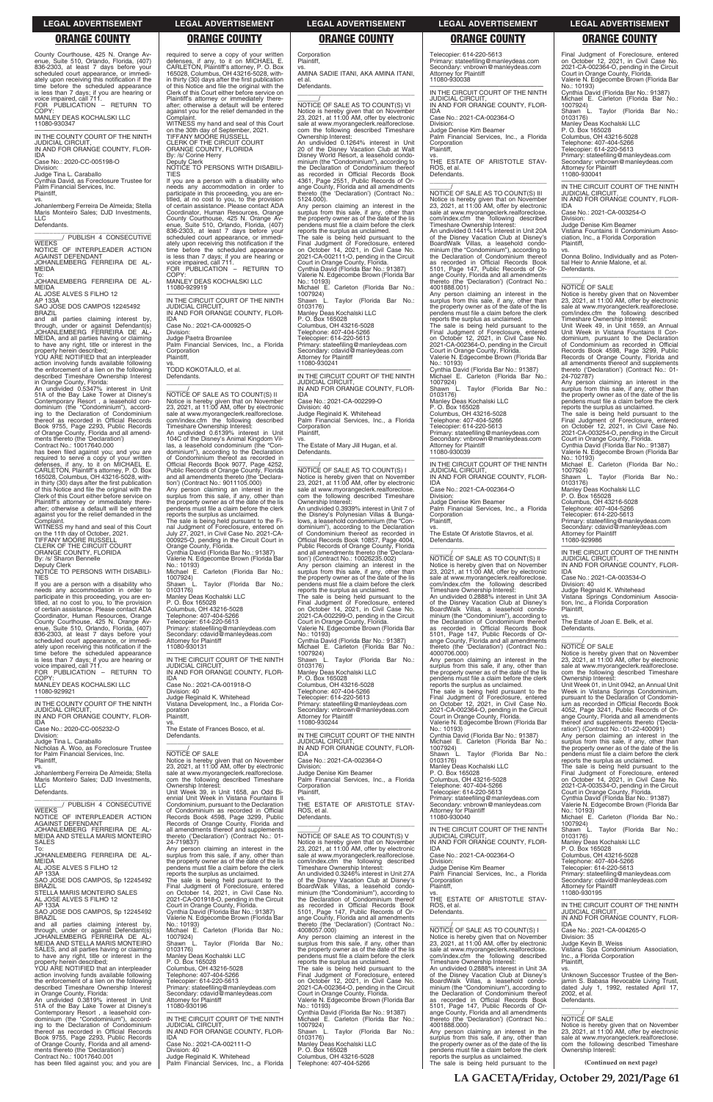County Courthouse, 425 N. Orange Avenue, Suite 510, Orlando, Florida, (407) 836-2303, at least 7 days before your scheduled court appearance, or immediately upon receiving this notification if the time before the scheduled appearance is less than 7 days; if you are hearing or

vs. Johanlemberg Ferreira De Almeida; Stella Maris Monteiro Sales; DJD Investments,  $\overline{11}$ C

voice impaired, call 711. FOR PUBLICATION – RETURN TO COPY MANLEY DEAS KOCHALSKI LLC

\_\_\_\_\_\_\_\_\_\_\_\_\_\_\_\_\_\_\_\_\_\_\_\_\_\_\_\_\_\_\_ \_\_\_\_\_\_\_\_/ PUBLISH 4 CONSECUTIVE **WEEKS** 

11080-930347

—————————————————— IN THE COUNTY COURT OF THE NINTH JUDICIAL CIRCUIT, IN AND FOR ORANGE COUNTY, FLOR-

IDA Case No.: 2020-CC-005198-O

Division:

Judge Tina L. Caraballo Cynthia David, as Foreclosure Trustee for Palm Financial Services, Inc. Plaintiff,

Defendants.

ments thereto (the 'Declaration') Contract No.: 10017640.000 has been filed against you; and you are required to serve a copy of your written defenses, if any, to it on MICHAEL E. CARLETON, Plaintiff's attorney, P. O. Box 165028, Columbus, OH 43216-5028, with-in thirty (30) days after the first publication of this Notice and file the original with the Clerk of this Court either before service on Plaintiff's attorney or immediately there-after; otherwise a default will be entered against you for the relief demanded in the<br>Completes

NOTICE OF INTERPLEADER ACTION AGAINST DEFENDANT JOHANLEMBERG FERREIRA DE AL-MEIDA

To: JOHANLEMBERG FERREIRA DE AL-

MEIDA AL JOSE ALVES S FILHO 12 AP 133A

SAO JOSE DOS CAMPOS 12245492

BRAZIL and all parties claiming interest by, through, under or against Defendant(s) JOHANLEMBERG FERREIRA DE AL-MEIDA, and all parties having or claiming to have any right, title or interest in the

property herein described; YOU ARE NOTIFIED that an interpleader action involving funds available following the enforcement of a lien on the following described Timeshare Ownership Interest

CO<sub>P</sub> MANLEY DEAS KOCHALSKI LLC

in Orange County, Florida: An undivided 0.5347% interest in Unit 51A of the Bay Lake Tower at Disney's Contemporary Resort , a leasehold con-dominium (the "Condominium"), accord-ing to the Declaration of Condominium thereof as recorded in Official Records Book 9755, Page 2293, Public Records of Orange County, Florida and all amend-

vs. Johanlemberg Ferreira De Almeida; Stella Maris Monteiro Sales; DJD Investments,  $\overline{1}$ 

Complaint. WITNESS my hand and seal of this Court on the 11th day of October, 2021. TIFFANY MOORE RUSSELL CLERK OF THE CIRCUIT COURT ORANGE COUNTY, FLORIDA

By: /s/ Sharon Bennelle Deputy Clerk

NOTICE TO PERSONS WITH DISABILI-TIES If you are a person with a disability who

needs any accommodation in order to participate in this proceeding, you are en-titled, at no cost to you, to the provision of certain assistance. Please contact ADA<br>Coordinator, Human Resources, Orange Coordinator, Human Resources, Orange County Courthouse, 425 N. Orange Avenue, Suite 510, Orlando, Florida, (407) 836-2303, at least 7 days before your scheduled court appearance, or immediately upon receiving this notification if the time before the scheduled appearance is less than 7 days; if you are hearing or voice impaired, call 711. FOR PUBLICATION – RETURN TO

COPY MANLEY DEAS KOCHALSKI LLC 11080-929919

11080-929921

—————————————————— IN THE COUNTY COURT OF THE NINTH JUDICIAL CIRCUIT, IN AND FOR ORANGE COUNTY, FLOR-

IDA Case No.: 2020-CC-005232-O

Division:

Judge Tina L. Caraballo Nicholas A. Woo, as Foreclosure Trustee for Palm Financial Services, Inc. Plaintiff,

Defendants.

required to serve a copy of your written defenses, if any, to it on MICHAEL E. CARLETON, Plaintiff's attorney, P. O. Box 165028, Columbus, OH 43216-5028, within thirty (30) days after the first publication of this Notice and file the original with the Clerk of this Court either before service on Plaintiff's attorney or immediately there-after; otherwise a default will be entered against you for the relief demanded in the

Complaint. WITNESS my hand and seal of this Court on the 30th day of September, 2021. TIFFANY MOORE RUSSELL

CLERK OF THE CIRCUIT COURT ORANGE COUNTY, FLORIDA By: /s/ Corine Herry Deputy Clerk NOTICE TO PERSONS WITH DISABILI-

TIES If you are a person with a disability who

needs any accommodation in order to participate in this proceeding, you are en-titled, at no cost to you, to the provision of certain assistance. Please contact ADA Coordinator, Human Resources, Orange County Courthouse, 425 N. Orange Av-enue, Suite 510, Orlando, Florida, (407) 836-2303, at least 7 days before your scheduled court appearance, or immedi-ately upon receiving this notification if the time before the scheduled appearance is less than 7 days; if you are hearing or voice impaired, call 711. FOR PUBLICATION – RETURN TO

 $\overline{\phantom{a}}$  , and the set of the set of the set of the set of the set of the set of the set of the set of the set of the set of the set of the set of the set of the set of the set of the set of the set of the set of the s \_\_\_\_\_\_/ NOTICE OF SALE AS TO COUNT(S) VI Notice is hereby given that on November 23, 2021, at 11:00 AM, offer by electronic sale at www.myorangeclerk.realforeclose. com the following described Timeshare Ownership Interest: An undivided 0.1264% interest in Unit 20 of the Disney Vacation Club at Walt Disney World Resort, a leasehold condo-minium (the "Condominium"), according to the Declaration of Condominium thereof as recorded in Official Records Book 4361, Page 2551, Public Records of Or-ange County, Florida and all amendments thereto (the 'Declaration') (Contract No.:  $5124.000$ ). Any person claiming an interest in the surplus from this sale, if any, other than the property owner as of the date of the lis pendens must file a claim before the clerk reports the surplus as unclaimed. The sale is being held pursuant to the Final Judgment of Foreclosure, entered on October 14, 2021, in Civil Case No. 2021-CA-002111-O, pending in the Circuit Court in Orange County, Florida. Cynthia David (Florida Bar No.: 91387) Valerie N. Edgecombe Brown (Florida Bar No.: 10193) Michael E. Carleton (Florida Bar No.: 1007924) Shawn L. Taylor (Florida Bar No.: 0103176) Manley Deas Kochalski LLC P. O. Box 165028 Columbus, OH 43216-5028 Telephone: 407-404-5266 Telecopier: 614-220-5613 Primary: stateefiling@manleydeas.com Secondary: cdavid@manleydeas.com Attorney for Plaintiff 11080-930241 —————————————————— IN THE CIRCUIT COURT OF THE NINTH JUDICIAL CIRCUIT, IN AND FOR ORANGE COUNTY, FLOR-IDA Case No.: 2021-CA-002299-O Division: 40 Judge Reginald K. Whitehead Palm Financial Services, Inc., a Florida corporation Plaintiff, vs. The Estate of Mary Jill Hugan, et al. Defendants. \_\_\_\_\_\_\_\_\_\_\_\_\_\_\_\_\_\_\_\_\_\_\_\_\_\_\_\_\_\_\_\_\_ \_\_\_\_\_\_/ NOTICE OF SALE AS TO COUNT(S) I Notice is hereby given that on November 23, 2021, at 11:00 AM, offer by electronic sale at www.myorangeclerk.realforeclose. com the following described Timeshare

—————————————————— IN THE CIRCUIT COURT OF THE NINTH JUDICIAL CIRCUIT, IN AND FOR ORANGE COUNTY, FLOR-

IDA Case No.: 2021-CA-000925-O

Division: Judge Paetra Brownlee Palm Financial Services, Inc., a Florida Corporation Plaintiff,

vs. TODD KOKOTAJLO, et al. Defendants.

\_\_\_\_\_\_\_\_\_\_\_\_\_\_\_\_\_\_\_\_\_\_\_\_\_\_\_\_\_\_\_\_\_

\_\_\_\_\_\_/ NOTICE OF SALE AS TO COUNT(S) II Notice is hereby given that on November 23, 2021, at 11:00 AM, offer by electronic sale at www.myorangeclerk.realforeclose. com/index.cfm the following described Timeshare Ownership Interest: An undivided 0.6139% interest in Unit 104C of the Disney's Animal Kingdom Vil-las, a leasehold condominium (the "Con-dominium"), according to the Declaration of Condominium thereof as recorded in Official Records Book 9077, Page 4252, Public Records of Orange County, Florida and all amendments thereto (the 'Declara-tion') (Contract No.: 9011105.000) Any person claiming an interest in the surplus from this sale, if any, other than the property owner as of the date of the lis pendens must file a claim before the clerk reports the surplus as unclaimed. The sale is being held pursuant to the Fi-nal Judgment of Foreclosure, entered on July 27, 2021, in Civil Case No. 2021-CA-000925-O, pending in the Circuit Court in Orange County, Florida. Cynthia David (Florida Bar No.: 91387) Valerie N. Edgecombe Brown (Florida Bar No.: 10193) Michael E. Carleton (Florida Bar No.: 1007924) Shawn L. Taylor (Florida Bar No.: 0103176) Manley Deas Kochalski LLC P. O. Box 165028

 $\frac{1}{\text{NOTICE}}$  OF SALE AS TO COUNT(S) III Notice is hereby given that on November 23, 2021, at 11:00 AM, offer by electronic sale at www.myorangeclerk.realforeclose. com/index.cfm the following described Timeshare Ownership Interest:

Columbus, OH 43216-5028 Telephone: 407-404-5266 Telecopier: 614-220-5613 Primary: stateefiling@manleydeas.com Secondary: cdavid@manleydeas.com Attorney for Plaintiff 11080-930131

—————————————————— IN THE CIRCUIT COURT OF THE NINTH JUDICIAL CIRCUIT, IN AND FOR ORANGE COUNTY, FLOR-IDA

Case No.: 2021-CA-001918-O Division: 40 Judge Reginald K. Whitehead

Vistana Development, Inc., a Florida Corporation Plaintiff,

vs. The Estate of Frances Bosco, et al. Defendants. \_\_\_\_\_\_\_\_\_\_\_\_\_\_\_\_\_\_\_\_\_\_\_\_\_\_\_\_\_\_\_\_\_

 $\frac{\gamma}{\text{NOTICE}}$  OF SALE

Judge Denise Kim Beamer Palm Financial Services, Inc., a Florida

 $\overline{\phantom{a}}$  , and the set of the set of the set of the set of the set of the set of the set of the set of the set of the set of the set of the set of the set of the set of the set of the set of the set of the set of the s

Notice is hereby given that on November 23, 2021, at 11:00 AM, offer by electronic sale at www.myorangeclerk.realforeclose. com the following described Timeshare Ownership Interest: Unit Week 39, in Unit 1658, an Odd Biennial Unit Week in Vistana Fountains II Condominium, pursuant to the Declaration of Condominium as recorded in Official

No.: 10193) Cynthia David (Florida Bar No.: 91387) Michael E. Carleton (Florida Bar No.:

Corporation

Plaintiff,

vs. AMINA SADIE ITANI, AKA AMINA ITANI, et al.

Defendants.

| PUBLISH 4 CONSECUTIVE<br><b>WEEKS</b><br>NOTICE OF INTERPLEADER ACTION<br><b>AGAINST DEFENDANT</b><br>JOHANLEMBERG FERREIRA DE AL-<br>MEIDA AND STELLA MARIS MONTEIRO<br><b>SALES</b><br>To:<br>JOHANLEMBERG FERREIRA DE AL-                                                                                                                                                                                                                                                                                                                   | ennial Unit Week in Vistana Fountains II<br>Condominium, pursuant to the Declaration<br>of Condominium as recorded in Official<br>Records Book 4598, Page 3299, Public<br>Records of Orange County, Florida and<br>all amendments thereof and supplements<br>thereto ('Declaration') (Contract No.: 01-<br>24-719837)<br>Any person claiming an interest in the<br>surplus from this sale, if any, other than            | THE ESTATE OF ARISTOTLE STAV-<br>ROS, et al.<br>Defendants.<br>NOTICE OF SALE AS TO COUNT(S) V<br>Notice is hereby given that on November<br>23, 2021, at 11:00 AM, offer by electronic<br>sale at www.myorangeclerk.realforeclose.                                                                                                                                                                                                                                                                                                                                                     | Primary: stateefiling@manleydeas.com<br>Secondary: vnbrown@manleydeas.com<br><b>Attorney for Plaintiff</b><br>11080-930040<br>IN THE CIRCUIT COURT OF THE NINTH<br><b>JUDICIAL CIRCUIT.</b><br>IN AND FOR ORANGE COUNTY, FLOR-<br><b>IDA</b><br>Case No.: 2021-CA-002364-O                                                                                                                                                                                                         | Cynthia David (Florida Bar No.: 91387)<br>Valerie N. Edgecombe Brown (Florida Bar<br>No.: 10193)<br>Michael E. Carleton (Florida Bar No.:<br>1007924)<br>Shawn L. Taylor (Florida Bar No.:<br>0103176)<br>Manley Deas Kochalski LLC<br>P. O. Box 165028<br>Columbus, OH 43216-5028                                                                                                        |
|------------------------------------------------------------------------------------------------------------------------------------------------------------------------------------------------------------------------------------------------------------------------------------------------------------------------------------------------------------------------------------------------------------------------------------------------------------------------------------------------------------------------------------------------|--------------------------------------------------------------------------------------------------------------------------------------------------------------------------------------------------------------------------------------------------------------------------------------------------------------------------------------------------------------------------------------------------------------------------|-----------------------------------------------------------------------------------------------------------------------------------------------------------------------------------------------------------------------------------------------------------------------------------------------------------------------------------------------------------------------------------------------------------------------------------------------------------------------------------------------------------------------------------------------------------------------------------------|------------------------------------------------------------------------------------------------------------------------------------------------------------------------------------------------------------------------------------------------------------------------------------------------------------------------------------------------------------------------------------------------------------------------------------------------------------------------------------|-------------------------------------------------------------------------------------------------------------------------------------------------------------------------------------------------------------------------------------------------------------------------------------------------------------------------------------------------------------------------------------------|
| <b>MEIDA</b><br>AL JOSE ALVES S FILHO 12<br>AP 133A<br>SAO JOSE DOS CAMPOS, Sp 12245492<br><b>BRAZIL</b><br><b>STELLA MARIS MONTEIRO SALES</b><br>AL JOSE ALVES S FILHO 12<br>AP 133A                                                                                                                                                                                                                                                                                                                                                          | the property owner as of the date of the lis<br>pendens must file a claim before the clerk<br>reports the surplus as unclaimed.<br>The sale is being held pursuant to the<br>Final Judgment of Foreclosure, entered<br>on October 14, 2021, in Civil Case No.<br>2021-CA-001918-O, pending in the Circuit<br>Court in Orange County, Florida.                                                                            | com/index.cfm the following described<br>Timeshare Ownership Interest:<br>An undivided 0.3246% interest in Unit 27A<br>of the Disney Vacation Club at Disney's<br>BoardWalk Villas, a leasehold condo-<br>minium (the "Condominium"), according to<br>the Declaration of Condominium thereof<br>as recorded in Official Records Book                                                                                                                                                                                                                                                    | Division:<br>Judge Denise Kim Beamer<br>Palm Financial Services, Inc., a Florida<br>Corporation<br>Plaintiff,<br>VS.<br>THE ESTATE OF ARISTOTLE STAV-<br>ROS, et al.                                                                                                                                                                                                                                                                                                               | Telephone: 407-404-5266<br>Telecopier: 614-220-5613<br>Primary: stateefiling@manleydeas.com<br>Secondary: cdavid@manleydeas.com<br>Attorney for Plaintiff<br>11080-930195<br>IN THE CIRCUIT COURT OF THE NINTH                                                                                                                                                                            |
| SAO JOSE DOS CAMPOS, Sp 12245492<br><b>BRAZIL</b><br>and all parties claiming interest by,<br>through, under or against Defendant(s)<br>JOHANLEMBERG FERREIRA DE AL-<br>MEIDA AND STELLA MARIS MONTEIRO<br>SALES, and all parties having or claiming<br>to have any right, title or interest in the<br>property herein described:<br>YOU ARE NOTIFIED that an interpleader<br>action involving funds available following<br>the enforcement of a lien on the following<br>described Timeshare Ownership Interest<br>in Orange County, Florida: | Cynthia David (Florida Bar No.: 91387)<br>Valerie N. Edgecombe Brown (Florida Bar<br>No.: 10193)<br>Michael E. Carleton (Florida Bar No.:<br>1007924)<br>Taylor (Florida Bar No.:<br>Shawn L.<br>0103176)<br>Manley Deas Kochalski LLC<br>P. O. Box 165028<br>Columbus, OH 43216-5028<br>Telephone: 407-404-5266<br>Telecopier: 614-220-5613<br>Primary: stateefiling@manleydeas.com<br>Secondary: cdavid@manleydeas.com | 5101, Page 147, Public Records of Or-<br>ange County, Florida and all amendments<br>thereto (the 'Declaration') (Contract No.:<br>4008057.000)<br>Any person claiming an interest in the<br>surplus from this sale, if any, other than<br>the property owner as of the date of the lis<br>pendens must file a claim before the clerk<br>reports the surplus as unclaimed.<br>The sale is being held pursuant to the<br>Final Judgment of Foreclosure, entered<br>on October 12, 2021, in Civil Case No.<br>2021-CA-002364-O, pending in the Circuit<br>Court in Orange County, Florida. | Defendants.<br>NOTICE OF SALE AS TO COUNT(S) I<br>Notice is hereby given that on November<br>23, 2021, at 11:00 AM, offer by electronic<br>sale at www.myorangeclerk.realforeclose.<br>com/index.cfm the following described<br>Timeshare Ownership Interest:<br>An undivided 0.2888% interest in Unit 3A<br>of the Disney Vacation Club at Disney's<br>BoardWalk Villas, a leasehold condo-<br>minium (the "Condominium"), according to<br>the Declaration of Condominium thereof | <b>JUDICIAL CIRCUIT.</b><br>IN AND FOR ORANGE COUNTY, FLOR-<br><b>IDA</b><br>Case No.: 2021-CA-004265-O<br>Division: 35<br>Judge Kevin B. Weiss<br>Vistana Spa Condominium Association.<br>Inc., a Florida Corporation<br>Plaintiff.<br>VS.<br>Unknown Successor Trustee of the Ben-<br>jamin S. Babasa Revocable Living Trust,<br>dated July 1, 1992, restated April 17,<br>2002, et al. |
| An undivided 0.3819% interest in Unit<br>51A of the Bay Lake Tower at Disney's<br>Contemporary Resort, a leasehold con-<br>dominium (the "Condominium"), accord-<br>ing to the Declaration of Condominium<br>thereof as recorded in Official Records<br>Book 9755, Page 2293, Public Records<br>of Orange County, Florida and all amend-<br>ments thereto (the 'Declaration')<br>Contract No.: 10017640.001<br>has been filed against you; and you are                                                                                         | <b>Attorney for Plaintiff</b><br>11080-930196<br>IN THE CIRCUIT COURT OF THE NINTH<br><b>JUDICIAL CIRCUIT.</b><br>IN AND FOR ORANGE COUNTY, FLOR-<br>IDA.<br>Case No.: 2021-CA-002111-O<br>Division: 40<br>Judge Reginald K. Whitehead<br>Palm Financial Services, Inc., a Florida                                                                                                                                       | Valerie N. Edgecombe Brown (Florida Bar<br>No.: 10193)<br>Cynthia David (Florida Bar No.: 91387)<br>Michael E. Carleton (Florida Bar No.:<br>1007924)<br>Shawn L.<br>Taylor (Florida Bar No.:<br>0103176)<br>Manley Deas Kochalski LLC<br>P. O. Box 165028<br>Columbus, OH 43216-5028<br>Telephone: 407-404-5266                                                                                                                                                                                                                                                                        | as recorded in Official Records Book<br>5101, Page 147, Public Records of Or-<br>ange County, Florida and all amendments<br>thereto (the 'Declaration') (Contract No.:<br>4001888.000)<br>Any person claiming an interest in the<br>surplus from this sale, if any, other than<br>the property owner as of the date of the lis<br>pendens must file a claim before the clerk<br>reports the surplus as unclaimed.<br>The sale is being held pursuant to the                        | Defendants.<br><b>NOTICE OF SALE</b><br>Notice is hereby given that on November<br>23, 2021, at 11:00 AM, offer by electronic<br>sale at www.myorangeclerk.realforeclose.<br>com the following described Timeshare<br>Ownership Interest:<br>(Continued on next page)                                                                                                                     |

Ownership Interest: An undivided 0.3939% interest in Unit 7 of the Disney's Polynesian Villas & Bunga-lows, a leasehold condominium (the "Condominium"), according to the Declaration of Condominium thereof as recorded in Official Records Book 10857, Page 4004, Public Records of Orange County, Florida and all amendments thereto (the 'Declara-tion') (Contract No.: 10026235.002) Any person claiming an interest in the surplus from this sale, if any, other than the property owner as of the date of the lis pendens must file a claim before the clerk reports the surplus as unclaimed. The sale is being held pursuant to the Final Judgment of Foreclosure, entered on October 14, 2021, in Civil Case No. 2021-CA-002299-O, pending in the Circuit Court in Orange County, Florida. Valerie N. Edgecombe Brown (Florida Bar No.: 10193) Cynthia David (Florida Bar No.: 91387) Michael E. Carleton (Florida Bar No.: 1007924) Shawn L. Taylor (Florida Bar No.: 0103176) Manley Deas Kochalski LLC P. O. Box 165028 Columbus, OH 43216-5028 Telephone: 407-404-5266 Telecopier: 614-220-5613 Primary: stateefiling@manleydeas.com Secondary: vnbrown@manleydeas.com Attorney for Plaintiff 11080-930244 —————————————————— IN THE CIRCUIT COURT OF THE NINTH JUDICIAL CIRCUIT, IN AND FOR ORANGE COUNTY, FLOR-IDA Case No.: 2021-CA-002364-O

Division: Judge Denise Kim Beamer Palm Financial Services, Inc., a Florida Corporation Plaintiff, vs.

Telecopier: 614-220-5613 Primary: stateefiling@manleydeas.com Secondary: vnbrown@manleydeas.com Attorney for Plaintiff 11080-930038

—————————————————— IN THE CIRCUIT COURT OF THE NINTH JUDICIAL CIRCUIT, IN AND FOR ORANGE COUNTY, FLOR-

IDA Case No.: 2021-CA-002364-O Division: Judge Denise Kim Beamer

Palm Financial Services, Inc., a Florida Corporation Plaintiff,

vs. THE ESTATE OF ARISTOTLE STAV-ROS, et al. Defendants.

 $\overline{\phantom{a}}$  , and the set of the set of the set of the set of the set of the set of the set of the set of the set of the set of the set of the set of the set of the set of the set of the set of the set of the set of the s

An undivided 0.1441% interest in Unit 20A of the Disney Vacation Club at Disney's BoardWalk Villas, a leasehold condominium (the "Condominium"), according to the Declaration of Condominium thereof as recorded in Official Records Book 5101, Page 147, Public Records of Or-ange County, Florida and all amendments thereto (the 'Declaration') (Contract No.:

4001888.001) Any person claiming an interest in the surplus from this sale, if any, other than the property owner as of the date of the lis pendens must file a claim before the clerk reports the surplus as unclaimed.

The sale is being held pursuant to the Final Judgment of Foreclosure, entered on October 12, 2021, in Civil Case No. 2021-CA-002364-O, pending in the Circuit Court in Orange County, Florida. Valerie N. Edgecombe Brown (Florida Bar No.: 10193) Cynthia David (Florida Bar No.: 91387) Michael E. Carleton (Florida Bar No.:

1007924) Shawn L. Taylor (Florida Bar No.: 0103176)

Manley Deas Kochalski LLC P. O. Box 165028 Columbus, OH 43216-5028 Telephone: 407-404-5266 Telecopier: 614-220-5613 Primary: stateefiling@manleydeas.com

Secondary: vnbrown@manleydeas.com Attorney for Plaintiff 11080-930039

—————————————————— IN THE CIRCUIT COURT OF THE NINTH JUDICIAL CIRCUIT, IN AND FOR ORANGE COUNTY, FLOR-IDA

Case No.: 2021-CA-002364-O Division:

Corporation Plaintiff, vs.

The Estate Of Aristotle Stavros, et al. Defendants.

\_\_\_\_\_\_/ NOTICE OF SALE AS TO COUNT(S) II Notice is hereby given that on November 23, 2021, at 11:00 AM, offer by electronic sale at www.myorangeclerk.realforeclose. com/index.cfm the following described Timeshare Ownership Interest: An undivided 0.2888% interest in Unit 3A of the Disney Vacation Club at Disney's BoardWalk Villas, a leasehold condo-minium (the "Condominium"), according to the Declaration of Condominium thereof as recorded in Official Records Book 5101, Page 147, Public Records of Or-ange County, Florida and all amendments thereto (the 'Declaration') (Contract No.: 4000706.000) Any person claiming an interest in the

surplus from this sale, if any, other than the property owner as of the date of the lis pendens must file a claim before the clerk

reports the surplus as unclaimed. The sale is being held pursuant to the Final Judgment of Foreclosure, entered on October 12, 2021, in Civil Case No. 2021-CA-002364-O, pending in the Circuit Court in Orange County, Florida. Valerie N. Edgecombe Brown (Florida Bar

1007924) Shawn L. Taylor (Florida Bar No.: 0103176) Manley Deas Kochalski LLC P. O. Box 165028

Columbus, OH 43216-5028 Telephone: 407-404-5266 Telecopier: 614-220-5613

Primary: stateefiling@manleydeas.com Secondary: vnbrown@manleydeas.com Attorney for Plaintiff

Final Judgment of Foreclosure, entered on October 12, 2021, in Civil Case No. 2021-CA-002364-O, pending in the Circuit Court in Orange County, Florida. Valerie N. Edgecombe Brown (Florida Bar No.: 10193) Cynthia David (Florida Bar No.: 91387) Michael E. Carleton (Florida Bar No.: 1007924) Shawn L. Taylor (Florida Bar No.: 0103176) Manley Deas Kochalski LLC P. O. Box 165028 Columbus, OH 43216-5028 Telephone: 407-404-5266 Telecopier: 614-220-5613 Primary: stateefiling@manleydeas.com Secondary: vnbrown@manleydeas.com Attorney for Plaintiff 11080-930041

—————————————————— IN THE CIRCUIT COURT OF THE NINTH JUDICIAL CIRCUIT,

IN AND FOR ORANGE COUNTY, FLOR-IDA

Case No.: 2021-CA-003254-O

Division: Judge Denise Kim Beamer Vistana Fountains II Condominium Asso-ciation, Inc., a Florida Corporation Plaintiff, vs.

Donna Bolino, Individually and as Poten-tial Heir to Annie Malone, et al.

 $\overline{\phantom{a}}$  , and the set of the set of the set of the set of the set of the set of the set of the set of the set of the set of the set of the set of the set of the set of the set of the set of the set of the set of the s

Defendants.

Michael E<br>1007924)

 $\frac{1}{\text{NOTICE}}$  OF SALE

Notice is hereby given that on November 23, 2021, at 11:00 AM, offer by electronic sale at www.myorangeclerk.realforeclose. com/index.cfm the following described Timeshare Ownership Interest:

Unit Week 49, in Unit 1659, an Annual Unit Week in Vistana Fountains II Con-dominium, pursuant to the Declaration

of Condominium as recorded in Official Records Book 4598, Page 3299, Public Records of Orange County, Florida and

all amendments thereof and supplements thereto ('Declaration') (Contract No.: 01- 24-702787)

Any person claiming an interest in the surplus from this sale, if any, other than the property owner as of the date of the lis pendens must file a claim before the clerk reports the surplus as unclaimed. The sale is being held pursuant to the Final Judgment of Foreclosure, entered on October 12, 2021, in Civil Case No. 2021-CA-003254-O, pending in the Circuit

Court in Orange County, Florida. Cynthia David (Florida Bar No.: 91387) Valerie N. Edgecombe Brown (Florida Bar No.: 10193) Michael E. Carleton (Florida Bar No.:

Shawn L. Taylor (Florida Bar No.: 0103176) Manley Deas Kochalski LLC

P. O. Box 165028 Columbus, OH 43216-5028 Telephone: 407-404-5266 Telecopier: 614-220-5613

Primary: stateefiling@manleydeas.com Secondary: cdavid@manleydeas.com

Attorney for Plaintiff 11080-929986

—————————————————— IN THE CIRCUIT COURT OF THE NINTH JUDICIAL CIRCUIT, IN AND FOR ORANGE COUNTY, FLOR-

IDA

Division: 40

Judge Reginald K. Whitehead Vistana Springs Condominium Associa-tion, Inc., a Florida Corporation

 $\overline{\phantom{a}}$  , and the set of the set of the set of the set of the set of the set of the set of the set of the set of the set of the set of the set of the set of the set of the set of the set of the set of the set of the s

Plaintiff,

vs. The Estate of Joan E. Belk, et al.

Defendants.

 $\frac{1}{\text{NOTICE}}$  OF SALE

Notice is hereby given that on November 23, 2021, at 11:00 AM, offer by electronic sale at www.myorangeclerk.realforeclose. com the following described Timeshare

Ownership Interest:

Unit Week 01, in Unit 0942, an Annual Unit Week in Vistana Springs Condominium, pursuant to the Declaration of Condomin-

ium as recorded in Official Records Book 4052, Page 3241, Public Records of Or-ange County, Florida and all amendments

thereof and supplements thereto ('Decla-ration') (Contract No.: 01-22-400091) Any person claiming an interest in the

surplus from this sale, if any, other than the property owner as of the date of the lis pendens must file a claim before the clerk

reports the surplus as unclaimed. The sale is being held pursuant to the Final Judgment of Foreclosure, entered

on October 14, 2021, in Civil Case No. 2021-CA-003534-O, pending in the Circuit Court in Orange County, Florida.

ase No.: 2021-CA-003534-O

### **LEGAL ADVERTISEMENT LEGAL ADVERTISEMENT LEGAL ADVERTISEMENT LEGAL ADVERTISEMENT LEGAL ADVERTISEMENT**

# **ORANGE COUNTY ORANGE COUNTY ORANGE COUNTY ORANGE COUNTY ORANGE COUNTY**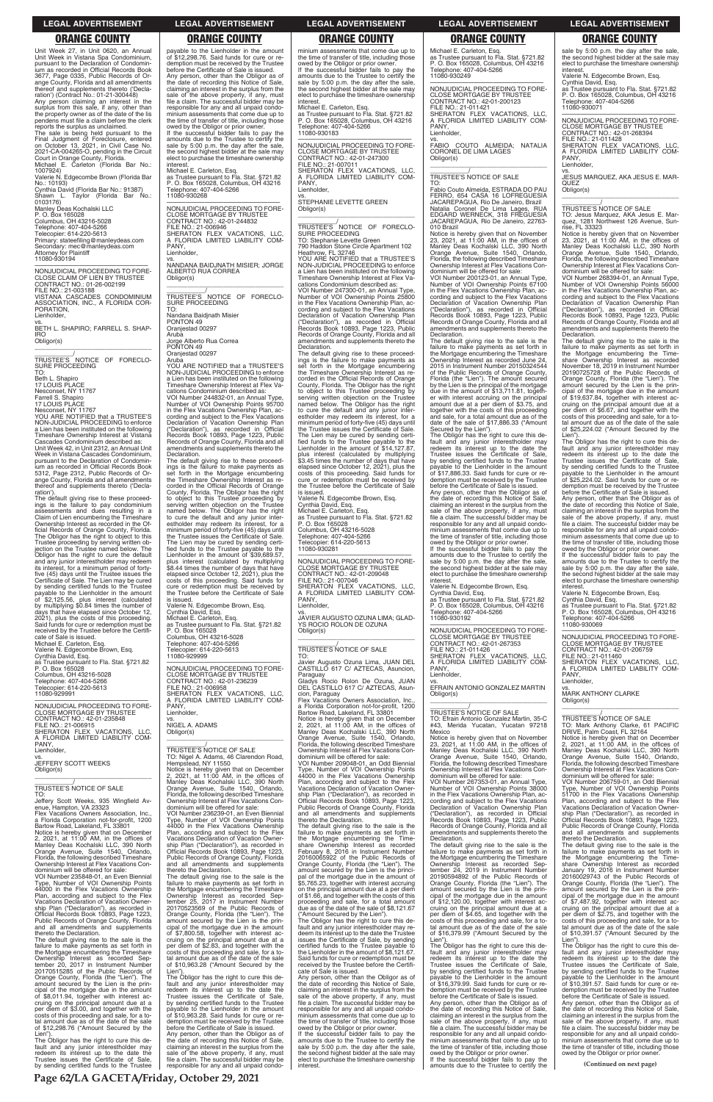**Page 62/LA GACETA/Friday, October 29, 2021**

### **LEGAL ADVERTISEMENT LEGAL ADVERTISEMENT LEGAL ADVERTISEMENT LEGAL ADVERTISEMENT LEGAL ADVERTISEMENT**

# **ORANGE COUNTY ORANGE COUNTY ORANGE COUNTY ORANGE COUNTY ORANGE COUNTY**

Unit Week 27, in Unit 0620, an Annual Unit Week in Vistana Spa Condominium, pursuant to the Declaration of Condomin-ium as recorded in Official Records Book 3677, Page 0335, Public Records of Orange County, Florida and all amendments thereof and supplements thereto ('Decla-ration') (Contract No.: 01-21-300448) Any person claiming an interest in the surplus from this sale, if any, other than the property owner as of the date of the lis pendens must file a claim before the clerk reports the surplus as unclaimed. The sale is being held pursuant to the Final Judgment of Foreclosure, entered on October 13, 2021, in Civil Case No. 2021-CA-004265-O, pending in the Circuit Court in Orange County, Florida. Michael E. Carleton (Florida Bar No.: 1007924) Valerie N. Edgecombe Brown (Florida Bar No.: 10193) Cynthia David (Florida Bar No.: 91387) Shawn L. Taylor (Florida Bar No.: 0103176) Manley Deas Kochalski LLC P. O. Box 165028 Columbus, OH 43216-5028 Telephone: 407-404-5266 Telecopier: 614-220-5613 Primary: stateefiling@manleydeas.com Secondary: mec@manleydeas.com Attorney for Plaintiff 11080-930194

—————————————————— NONJUDICIAL PROCEEDING TO FORE-CLOSE CLAIM OF LIEN BY TRUSTEE CONTRACT NO.: 01-26-002199 FILE NO.: 21-003188 VISTANA CASCADES CONDOMINIUM ASSOCIATION, INC., A FLORIDA COR-PORATION, Lienholder,

vs. BETH L. SHAPIRO; FARRELL S. SHAP-IRO Obligor(s)

\_\_\_\_\_\_\_\_\_\_\_\_\_\_\_\_\_\_\_\_\_\_\_\_\_\_\_\_\_\_\_\_\_ \_\_\_\_\_\_\_\_\_\_\_/ TRUSTEE'S NOTICE OF FORECLO-SURE PROCEEDING TO:

Beth L. Shapiro 17 LOUIS PLACE Nesconset, NY 11767 Farrell S. Shapiro 17 LOUIS PLACE

Nesconset, NY 11767 YOU ARE NOTIFIED that a TRUSTEE'S

TO: Jeffery Scott Weeks, 935 Wingfield Av-<br>enue Hampton VA 23323

NON-JUDICIAL PROCEEDING to enforce a Lien has been instituted on the following Timeshare Ownership Interest at Vistana Cascades Condominium described as: Unit Week 42, in Unit 2312, an Annual Unit Week in Vistana Cascades Condominium, pursuant to the Declaration of Condomin-ium as recorded in Official Records Book 5312, Page 2312, Public Records of Orange County, Florida and all amendments thereof and supplements thereto ('Declaration').

VOI Number 235848-01, an Even Biennial Type, Number of VOI Ownership Points 44000 in the Flex Vacations Ownership Plan, according and subject to the Flex Vacations Declaration of Vacation Owner-ship Plan ("Declaration"), as recorded in Official Records Book 10893, Page 1223, Public Records of Orange County, Florida Public Records of Orange County, Florida<br>and all amendments and supplements

The default giving rise to these proceed-ings is the failure to pay condominium assessments and dues resulting in a Claim of Lien encumbering the Timeshare Ownership Interest as recorded in the Of-ficial Records of Orange County, Florida. The Obligor has the right to object to this Trustee proceeding by serving written ob-jection on the Trustee named below. The Obligor has the right to cure the default and any junior interestholder may redeem its interest, for a minimum period of fortyfive (45) days until the Trustee issues the Certificate of Sale. The Lien may be cured by sending certified funds to the Trustee payable to the Lienholder in the amount<br>of \$2.125.56 plus interof \$2,125.56, plus interest (calculated by multiplying \$0.84 times the number of days that have elapsed since October 12, 2021), plus the costs of this proceeding. Said funds for cure or redemption must be received by the Trustee before the Certifi-cate of Sale is issued. Michael E. Carleton, Esq.

—————————————————— NONJUDICIAL PROCEEDING TO FORE-CLOSE MORTGAGE BY TRUSTEE CONTRACT NO.: 42-01-244832 FILE NO.: 21-006946 SHERATON FLEX VACATIONS, LLC, A FLORIDA LIMITED LIABILITY COM-A FLU<br>PANY, Lienholder

Valerie N. Edgecombe Brown, Esq. Cynthia David, Esq. as Trustee pursuant to Fla. Stat. §721.82 P. O. Box 165028

\_\_\_\_\_\_\_\_\_\_\_/<br>TRUSTEE'S NOTICE OF FORECLO-<br>SURE PROCEEDING TO:

Columbus, OH 43216-5028 Telephone: 407-404-5266 Telecopier: 614-220-5613 11080-929991

—————————————————— NONJUDICIAL PROCEEDING TO FORE-CLOSE MORTGAGE BY TRUSTEE CONTRACT NO.: 42-01-235848 FILE NO.: 21-006915 SHERATON FLEX VACATIONS, LLC, A FLORIDA LIMITED LIABILITY COM-PANY, Lienholder, vs.

JEFFERY SCOTT WEEKS Obligor(s) \_\_\_\_\_\_\_\_\_\_\_\_\_\_\_\_\_\_\_\_\_\_\_\_\_\_\_\_\_\_\_\_\_

\_\_\_\_\_\_\_\_\_\_\_/ TRUSTEE'S NOTICE OF SALE

enue, Hampton, VA 23323 Flex Vacations Owners Association, Inc., a Florida Corporation not-for-profit, 1200 Bartow Road, Lakeland, FL 33801 Notice is hereby given that on December 2, 2021, at 11:00 AM, in the offices of Manley Deas Kochalski LLC, 390 North Orange Avenue, Suite 1540, Orlando, Florida, the following described Timeshare Ownership Interest at Flex Vacations Con-dominium will be offered for sale:

\_\_\_\_\_\_\_\_\_\_\_/ TRUSTEE'S NOTICE OF SALE TO: Nigel A. Adams, 46 Clarendon Road, Hempstead, NY 11550 Notice is hereby given that on December 2, 2021, at 11:00 AM, in the offices of Manley Deas Kochalski LLC, 390 North Orange Avenue, Suite 1540, Orlando, Florida, the following described Timeshare Ownership Interest at Flex Vacations Con-dominium will be offered for sale: VOI Number 236239-01, an Even Biennial Type, Number of VOI Ownership Points 44000 in the Flex Vacations Ownership Plan, according and subject to the Flex Vacations Declaration of Vacation Ownership Plan ("Declaration"), as recorded in Official Records Book 10893, Page 1223, Public Records of Orange County, Florida and all amendments and supplements thereto the Declaration. The default giving rise to the sale is the failure to make payments as set forth in the Mortgage encumbering the Timeshare Ownership Interest as recorded Sep-tember 25, 2017 in Instrument Number 20170523569 of the Public Records of Orange County, Florida (the "Lien"). The amount secured by the Lien is the principal of the mortgage due in the amount of \$7,800.58, together with interest ac-cruing on the principal amount due at a per diem of \$2.83, and together with the costs of this proceeding and sale, for a to-tal amount due as of the date of the sale of \$10,963.28 ("Amount Secured by the Lien") Obligor has the right to cure this default and any junior interestholder may redeem its interest up to the date the Trustee issues the Certificate of Sale, by sending certified funds to the Trustee payable to the Lienholder in the amount of \$10,963.28. Said funds for cure or re-demption must be received by the Trustee before the Certificate of Sale is issued. Any person, other than the Obligor as of the date of recording this Notice of Sale, claiming an interest in the surplus from the<br>sale of the above property if any must sale of the above property, if any, must file a claim. The successful bidder may be responsible for any and all unpaid condo-

thereto the Declaration. The default giving rise to the sale is the failure to make payments as set forth in the Mortgage encumbering the Timeshare Ownership Interest as recorded Sep-tember 20, 2017 in Instrument Number 20170515285 of the Public Records of Orange County, Florida (the "Lien"). The amount secured by the Lien is the principal of the mortgage due in the amount of \$8,011.94, together with interest ac-cruing on the principal amount due at a per diem of \$3.00, and together with the costs of this proceeding and sale, for a to-tal amount due as of the date of the sale of \$12,298.76 ("Amount Secured by the

Lien"). The Obligor has the right to cure this default and any junior interestholder may redeem its interest up to the date the Trustee issues the Certificate of Sale, by sending certified funds to the Trustee

minium assessments that come due up to the time of transfer of title, including those owed by the Obligor or prior owner. If the successful bidder fails to pay the amounts due to the Trustee to certify the sale by 5:00 p.m. the day after the sale, the second highest bidder at the sale may elect to purchase the timeshare ownership interest

payable to the Lienholder in the amount of \$12,298.76. Said funds for cure or redemption must be received by the Trustee before the Certificate of Sale is issued. Any person, other than the Obligor as of the date of recording this Notice of Sale, claiming an interest in the surplus from the sale of the above property, if any, must file a claim. The successful bidder may be responsible for any and all unpaid condominium assessments that come due up to the time of transfer of title, including those owed by the Obligor or prior owner. If the successful bidder fails to pay the

> \_\_\_\_\_\_\_\_\_\_\_\_\_\_\_\_\_\_\_\_\_\_\_\_\_\_\_\_\_\_\_\_\_ \_\_\_\_\_\_\_\_\_\_\_\_\_/<br>TRUSTEE'S NOTICE OF FORECLO-

amounts due to the Trustee to certify the sale by 5:00 p.m. the day after the sale, the second highest bidder at the sale may elect to purchase the timeshare ownership interest. Michael E. Carleton, Esq.

as Trustee pursuant to Fla. Stat. §721.82 P. O. Box 165028, Columbus, OH 43216 Telephone: 407-404-5266 11080-930268

vs. NANDANA BAIDJNATH MISIER; JORGE ALBERTO RUA CORREA Obligor(s) \_\_\_\_\_\_\_\_\_\_\_\_\_\_\_\_\_\_\_\_\_\_\_\_\_\_\_\_\_\_\_\_\_

Nandana Baidjnath Misier PONTON 49 Oranjestad 00297 Aruba

Jorge Alberto Rua Correa PONTON 49 Oranjestad 00297

> vs. JAVIER AUGUSTO OZUNA LIMA; GLAD-YS ROCIO ROLON DE OZUNA Obligor(s)  $\overline{\phantom{a}}$  ,  $\overline{\phantom{a}}$  ,  $\overline{\phantom{a}}$  ,  $\overline{\phantom{a}}$  ,  $\overline{\phantom{a}}$  ,  $\overline{\phantom{a}}$  ,  $\overline{\phantom{a}}$  ,  $\overline{\phantom{a}}$  ,  $\overline{\phantom{a}}$  ,  $\overline{\phantom{a}}$  ,  $\overline{\phantom{a}}$  ,  $\overline{\phantom{a}}$  ,  $\overline{\phantom{a}}$  ,  $\overline{\phantom{a}}$  ,  $\overline{\phantom{a}}$  ,  $\overline{\phantom{a}}$

Aruba

YOU ARE NOTIFIED that a TRUSTEE'S NON-JUDICIAL PROCEEDING to enforce a Lien has been instituted on the following Timeshare Ownership Interest at Flex Va-cations Condominium described as: VOI Number 244832-01, an Annual Type, Number of VOI Ownership Points 95700 in the Flex Vacations Ownership Plan, ac-cording and subject to the Flex Vacations Declaration of Vacation Ownership Plan ("Declaration"), as recorded in Official Records Book 10893, Page 1223, Public Records of Orange County, Florida and all amendments and supplements thereto the Declaration.

> a Florida Corporation not-for-profit, 1200<br>Bartow Road, Lakeland, FL 33801<br>Notice is hereby given that on December<br>2, 2021, at 11:00 AM, in the offices of<br>Manley Deas Kochalski LLC, 390 North<br>Orange Avenue, Suite 1540, Orl Florida, the following described Timeshare Ownership Interest at Flex Vacations Con-dominium will be offered for sale:

The default giving rise to these proceed-ings is the failure to make payments as set forth in the Mortgage encumbering the Timeshare Ownership Interest as re-corded in the Official Records of Orange County, Florida. The Obligor has the right to object to this Trustee proceeding by serving written objection on the Trustee named below. The Obligor has the right to cure the default and any junior inter-estholder may redeem its interest, for a minimum period of forty-five (45) days until the Trustee issues the Certificate of Sale. The Lien may be cured by sending certi-fied funds to the Trustee payable to the Lienholder in the amount of \$39,689.57, plus interest (calculated by multiplying \$8.44 times the number of days that have elapsed since October 12, 2021), plus the costs of this proceeding. Said funds for cure or redemption must be received by the Trustee before the Certificate of Sale

Michael E. Carleton, Esq. as Trustee pursuant to Fla. Stat. §721.82 P. O. Box 165028, Columbus, OH 43216 Telephone: 407-404-5266 Telephone: 407<br>11080-930249

—————————————————— NONJUDICIAL PROCEEDING TO FORE-CLOSE MORTGAGE BY TRUSTEE CONTRACT NO.: 42-01-200123 FILE NO.: 21-011421 SHERATON FLEX VACATIONS, LLC, A FLORIDA LIMITED LIABILITY COM-PANY, Lienholder.

vs. FABIO COUTO ALMEIDA; NATALIA CORONEL DE LIMA LAGES Obligor(s)  $\overline{\phantom{a}}$  , and the set of the set of the set of the set of the set of the set of the set of the set of the set of the set of the set of the set of the set of the set of the set of the set of the set of the set of the s

is issued. Valerie N. Edgecombe Brown, Esq. Cynthia David, Esq. Michael E. Carleton, Esq. as Trustee pursuant to Fla. Stat. §721.82

P. O. Box 165028 Columbus, OH 43216-5028 Telephone: 407-404-5266 Telecopier: 614-220-5613 11080-929999

dominium will be offered for sale: VOI Number 200123-01, an Annual Type, Number of VOI Ownership Points 67100 in the Flex Vacations Ownership Plan, ac-cording and subject to the Flex Vacations Declaration of Vacation Ownership Plan ("Declaration"), as recorded in Official Records Book 10893, Page 1223, Public Records of Orange County, Florida and all amendments and supplements thereto the eclaration

—————————————————— NONJUDICIAL PROCEEDING TO FORE-CLOSE MORTGAGE BY TRUSTEE CONTRACT NO.: 42-01-236239 FILE NO.: 21-006958 SHERATON FLEX VACATIONS, LLC, A FLORIDA LIMITED LIABILITY COM-PANY, Lienholder,

vs. NIGEL A. ADAMS Obligor(s)

\_\_\_\_\_\_\_\_\_\_\_\_\_\_\_\_\_\_\_\_\_\_\_\_\_\_\_\_\_\_\_\_\_

PANY Lienholder,

Michael E. Carleton, Esq. as Trustee pursuant to Fla. Stat. §721.82 P. O. Box 165028, Columbus, OH 43216 Telephone: 407-404-5266 11080-930183

> TO: Jesus Marquez, AKA Jesus E. Mar-quez, 1281 Northwest 126 Avenue, Sunquez, 1281 Nor<br>rise, FL 33323

—————————————————— NONJUDICIAL PROCEEDING TO FORE-CLOSE MORTGAGE BY TRUSTEE CONTRACT NO.: 42-01-247300 FILE NO.: 21-007011 SHERATON FLEX VACATIONS, LLC, A FLORIDA LIMITED LIABILITY COM-PANY, Lienholder,

vs. STEPHANIE LEVETTE GREEN Obligor(s)

SURE PROCEEDING TO: Stephanie Levette Green 790 Haddon Stone Circle Apartment 102 Heathrow, FL 32746 YOU ARE NOTIFIED that a TRUSTEE'S NON-JUDICIAL PROCEEDING to enforce a Lien has been instituted on the following Timeshare Ownership Interest at Flex Vacations Condominium described as:

VOI Number 247300-01, an Annual Type, Number of VOI Ownership Points 25800 in the Flex Vacations Ownership Plan, according and subject to the Flex Vacations<br>Declaration of Vacation Ownership Plan<br>("Declaration"), as recorded in Official<br>Records Book 10893, Page 1223, Public<br>Records of Orange County, Florida and all<br>amendments and suppl Declaration.

> Valerie N. Edgecombe Brown, Esq. Cynthia David, Esq. as Trustee pursuant to Fla. Stat. §721.82 P. O. Box 165028, Columbus, OH 43216 Telephone: 407-404-5266 Telephone: 407<br>11080-930069

The default giving rise to these proceed-ings is the failure to make payments as set forth in the Mortgage encumbering the Timeshare Ownership Interest as re-corded in the Official Records of Orange County, Florida. The Obligor has the right to object to this Trustee proceeding by serving written objection on the Trustee named below. The Obligor has the right to cure the default and any junior inter-estholder may redeem its interest, for a minimum period of forty-five (45) days until the Trustee issues the Certificate of Sale. The Lien may be cured by sending certified funds to the Trustee payable to the Lienholder in the amount of \$14,127.87, plus interest (calculated by multiplying \$3.45 times the number of days that have elapsed since October 12, 2021), plus the costs of this proceeding. Said funds for cure or redemption must be received by the Trustee before the Certificate of Sale is issued.

Valerie N. Edgecombe Brown, Esq. Cynthia David, Esq. Michael E. Carleton, Esq. as Trustee pursuant to Fla. Stat. §721.82 P. O. Box 165028 Columbus, OH 43216-5028 Telephone: 407-404-5266 Telecopier: 614-220-5613 11080-930281

—————————————————— NONJUDICIAL PROCEEDING TO FORE-CLOSE MORTGAGE BY TRUSTEE CONTRACT NO.: 42-01-209048 FILE NO.: 21-007046 SHERATON FLEX VACATIONS, LLC, A FLORIDA LIMITED LIABILITY COM-PANY, Lienholder,

\_\_\_\_\_\_\_\_\_\_\_/ TRUSTEE'S NOTICE OF SALE

TO: Javier Augusto Ozuna Lima, JUAN DEL CASTILLO 617 C/ AZTECAS, Asuncion, Paraguay Gladys Rocio Rolon De Ozuna, JUAN DEL CASTILLO 617 C/ AZTECAS, Asuncion, Paraguay Flex Vacations Owners Association, Inc.,

VOI Number 209048-01, an Odd Biennial Type, Number of VOI Ownership Points 44000 in the Flex Vacations Ownership Plan, according and subject to the Flex Vacations Declaration of Vacation Ownership Plan ("Declaration"), as recorded in Official Records Book 10893, Page 1223, Public Records of Orange County, Florida and all amendments and supplements

thereto the Declaration. The default giving rise to the sale is the failure to make payments as set forth in the Mortgage encumbering the Time-share Ownership Interest as recorded February 8, 2016 in Instrument Number 20160065922 of the Public Records of Orange County, Florida (the "Lien"). The amount secured by the Lien is the principal of the mortgage due in the amount of \$5,765.23, together with interest accruing on the principal amount due at a per diem of \$1.66, and together with the costs of this proceeding and sale, for a total amount due as of the date of the sale of \$8,121.67

("Amount Secured by the Lien"). The Obligor has the right to cure this default and any junior interestholder may redeem its interest up to the date the Trustee issues the Certificate of Sale, by sending certified funds to the Trustee payable to the Lienholder in the amount of \$8,121.67. Said funds for cure or redemption must be received by the Trustee before the Certificate of Sale is issued.

Any person, other than the Obligor as of the date of recording this Notice of Sale, claiming an interest in the surplus from the sale of the above property, if any, must file a claim. The successful bidder may be responsible for any and all unpaid condominium assessments that come due up to the time of transfer of title, including those

owed by the Obligor or prior owner. If the successful bidder fails to pay the amounts due to the Trustee to certify the sale by 5:00 p.m. the day after the sale, the second highest bidder at the sale may elect to purchase the timeshare ownership interest.

\_\_\_\_\_\_\_\_\_\_\_/ TRUSTEE'S NOTICE OF SALE

TO: Fabio Couto Almeida, ESTRADA DO PAU FERRO, 654 CASA 16 LOFREGUESIA JACAREPAGUA, Rio De Janeiro, Brazil Natalia Coronel De Lima Lages, RUA EDGARD WERNECK, 318 FREGUESIA JACAREPAGUA, Rio De Janeiro, 22763- 010 Brazil

Notice is hereby given that on November 23, 2021, at 11:00 AM, in the offices of Manley Deas Kochalski LLC, 390 North Orange Avenue, Suite 1540, Orlando, Florida, the following described Timeshare Ownership Interest at Flex Vacations Con-

The default giving rise to the sale is the failure to make payments as set forth in the Mortgage encumbering the Timeshare Ownership Interest as recorded June 24, 2015 in Instrument Number 20150324544 of the Public Records of Orange County, Florida (the "Lien"). The amount secured by the Lien is the principal of the mortgage due in the amount of \$13,711.81, together with interest accruing on the principal amount due at a per diem of \$3.75, and together with the costs of this proceeding and sale, for a total amount due as of the date of the sale of \$17,886.33 ("Amount Secured by the Lien"). The Obligor has the right to cure this de-

fault and any junior interestholder may redeem its interest up to the date the Trustee issues the Certificate of Sale, by sending certified funds to the Trustee payable to the Lienholder in the amount of \$17,886.33. Said funds for cure or re-

demption must be received by the Trustee before the Certificate of Sale is issued. Any person, other than the Obligor as of the date of recording this Notice of Sale, claiming an interest in the surplus from the sale of the above property, if any, must file a claim. The successful bidder may be responsible for any and all unpaid condominium assessments that come due up to the time of transfer of title, including those owed by the Obligor or prior owner. If the successful bidder fails to pay the

amounts due to the Trustee to certify the sale by 5:00 p.m. the day after the sale, the second highest bidder at the sale may elect to purchase the timeshare ownership interest. Valerie N. Edgecombe Brown, Esq.

Cynthia David, Esq. as Trustee pursuant to Fla. Stat. §721.82 P. O. Box 165028, Columbus, OH 43216 Telephone: 407-404-5266 11080-930192

—————————————————— NONJUDICIAL PROCEEDING TO FORE-CLOSE MORTGAGE BY TRUSTEE CONTRACT NO.: 42-01-267353 FILE NO.: 21-011426 SHERATON FLEX VACATIONS, LLC, A FLORIDA LIMITED LIABILITY COM-

vs. EFRAIN ANTONIO GONZALEZ MARTIN Obligor(s) \_\_\_\_\_\_\_\_\_\_\_\_\_\_\_\_\_\_\_\_\_\_\_\_\_\_\_\_\_\_\_\_\_

# \_\_\_\_\_\_\_\_\_\_\_/ TRUSTEE'S NOTICE OF SALE

TO: Efrain Antonio Gonzalez Martin, 35-C #43, Merida Yucatan, Yucatan 97218 Mexico

Notice is hereby given that on November 23, 2021, at 11:00 AM, in the offices of Manley Deas Kochalski LLC, 390 North Orange Avenue, Suite 1540, Orlando, Florida, the following described Timeshare Ownership Interest at Flex Vacations Con-dominium will be offered for sale:

VOI Number 267353-01, an Annual Type, Number of VOI Ownership Points 38000 in the Flex Vacations Ownership Plan, according and subject to the Flex Vacations Declaration of Vacation Ownership Plan ("Declaration"), as recorded in Official

Records Book 10893, Page 1223, Public Records of Orange County, Florida and all amendments and supplements thereto the Declaration.

The default giving rise to the sale is the failure to make payments as set forth in the Mortgage encumbering the Timeshare Ownership Interest as recorded Sep-tember 24, 2019 in Instrument Number 20190594892 of the Public Records of Orange County, Florida (the "Lien"). The amount secured by the Lien is the principal of the mortgage due in the amount of \$12,120.00, together with interest ac-cruing on the principal amount due at a per diem of \$4.65, and together with the costs of this proceeding and sale, for a to-tal amount due as of the date of the sale of \$16,379.99 ("Amount Secured by the

Lien"). The Obligor has the right to cure this default and any junior interestholder may redeem its interest up to the date the Trustee issues the Certificate of Sale, by sending certified funds to the Trustee payable to the Lienholder in the amount of \$16,379.99. Said funds for cure or redemption must be received by the Trustee before the Certificate of Sale is issued. Any person, other than the Obligor as of the date of recording this Notice of Sale, claiming an interest in the surplus from the sale of the above property, if any, must file a claim. The successful bidder may be responsible for any and all unpaid condominium assessments that come due up to the time of transfer of title, including those owed by the Obligor or prior owner. If the successful bidder fails to pay the

amounts due to the Trustee to certify the

sale by 5:00 p.m. the day after the sale, the second highest bidder at the sale may elect to purchase the timeshare ownership

interest. Valerie N. Edgecombe Brown, Esq.

Cynthia David, Esq. as Trustee pursuant to Fla. Stat. §721.82 P. O. Box 165028, Columbus, OH 43216 Telephone: 407-404-5266 11080-930071

—————————————————— NONJUDICIAL PROCEEDING TO FORE-CLOSE MORTGAGE BY TRUSTEE CONTRACT NO.: 42-01-268394

FILE NO.: 21-011428 SHERATON FLEX VACATIONS, LLC, A FLORIDA LIMITED LIABILITY COM-PANY, Lienholder,

vs.

JESUS MARQUEZ, AKA JESUS E. MAR-QUEZ Obligor(s) \_\_\_\_\_\_\_\_\_\_\_\_\_\_\_\_\_\_\_\_\_\_\_\_\_\_\_\_\_\_\_\_\_

\_\_\_\_\_\_\_\_\_\_\_/ TRUSTEE'S NOTICE OF SALE

Notice is hereby given that on November 23, 2021, at 11:00 AM, in the offices of Manley Deas Kochalski LLC, 390 North Orange Avenue, Suite 1540, Orlando, Florida, the following described Timeshare Ownership Interest at Flex Vacations Con-

dominium will be offered for sale: VOI Number 268394-01, an Annual Type, Number of VOI Ownership Points 56000 in the Flex Vacations Ownership Plan, ac-cording and subject to the Flex Vacations Declaration of Vacation Ownership Plan ("Declaration"), as recorded in Official Records Book 10893, Page 1223, Public Records of Orange County, Florida and all amendments and supplements thereto the Declaration. The default giving rise to the sale is the

failure to make payments as set forth in the Mortgage encumbering the Time-share Ownership Interest as recorded November 18, 2019 in Instrument Number 20190725728 of the Public Records of Orange County, Florida (the "Lien"). The amount secured by the Lien is the prin-cipal of the mortgage due in the amount of \$19,637.84, together with interest accruing on the principal amount due at a<br>per diem of \$6.67, and together with the<br>posts of this proceeding and sale, for a total amount due as of the date of the sale of \$25,224.02 ("Amount Secured by the Lien").

The Obligor has the right to cure this de-fault and any junior interestholder may redeem its interest up to the date the Trustee issues the Certificate of Sale, by sending certified funds to the Trustee payable to the Lienholder in the amount of \$25,224.02. Said funds for cure or redemption must be received by the Trustee before the Certificate of Sale is issued.

Any person, other than the Obligor as of the date of recording this Notice of Sale, claiming an interest in the surplus from the sale of the above property, if any, must file a claim. The successful bidder may be responsible for any and all unpaid condominium assessments that come due up to the time of transfer of title, including those owed by the Obligor or prior owner.

If the successful bidder fails to pay the amounts due to the Trustee to certify the sale by 5:00 p.m. the day after the sale, the second highest bidder at the sale may elect to purchase the timeshare ownership interest.

—————————————————— NONJUDICIAL PROCEEDING TO FORE-CLOSE MORTGAGE BY TRUSTEE CONTRACT NO.: 42-01-206759 FILE NO.: 21-011460 SHERATON FLEX VACATIONS, LLC, A FLORIDA LIMITED LIABILITY COM-

PANY, Lienholder,

vs. MARK ANTHONY CLARKE Obligor(s) \_\_\_\_\_\_\_\_\_\_\_\_\_\_\_\_\_\_\_\_\_\_\_\_\_\_\_\_\_\_\_\_\_

\_\_\_\_\_\_\_\_\_\_\_/ TRUSTEE'S NOTICE OF SALE

TO: Mark Anthony Clarke, 61 PACIFIC DRIVE, Palm Coast, FL 32164 Notice is hereby given that on December 2, 2021, at 11:00 AM, in the offices of Manley Deas Kochalski LLC, 390 North Orange Avenue, Suite 1540, Orlando, Florida, the following described Timeshare Ownership Interest at Flex Vacations Con-dominium will be offered for sale:

VOI Number 206759-01, an Odd Biennial Type, Number of VOI Ownership Points 51700 in the Flex Vacations Ownership Plan, according and subject to the Flex Vacations Declaration of Vacation Owner-ship Plan ("Declaration"), as recorded in Official Records Book 10893, Page 1223, Public Records of Orange County, Florida and all amendments and supplements thereto the Declaration. The default giving rise to the sale is the failure to make payments as set forth in the Mortgage encumbering the Time-share Ownership Interest as recorded January 19, 2016 in Instrument Number 20160029743 of the Public Records of Orange County, Florida (the "Lien"). The amount secured by the Lien is the principal of the mortgage due in the amount of \$7,487.92, together with interest ac-cruing on the principal amount due at a per diem of \$2.75, and together with the costs of this proceeding and sale, for a to-tal amount due as of the date of the sale of \$10,391.57 ("Amount Secured by the Lien"). The Obligor has the right to cure this default and any junior interestholder may redeem its interest up to the date the Trustee issues the Certificate of Sale, by sending certified funds to the Trustee payable to the Lienholder in the amount of \$10,391.57. Said funds for cure or redemption must be received by the Trustee before the Certificate of Sale is issued. Any person, other than the Obligor as of the date of recording this Notice of Sale, claiming an interest in the surplus from the sale of the above property, if any, must file a claim. The successful bidder may be responsible for any and all unpaid minium assessments that come due up to the time of transfer of title, including those owed by the Obligor or prior owner.

**(Continued on next page)**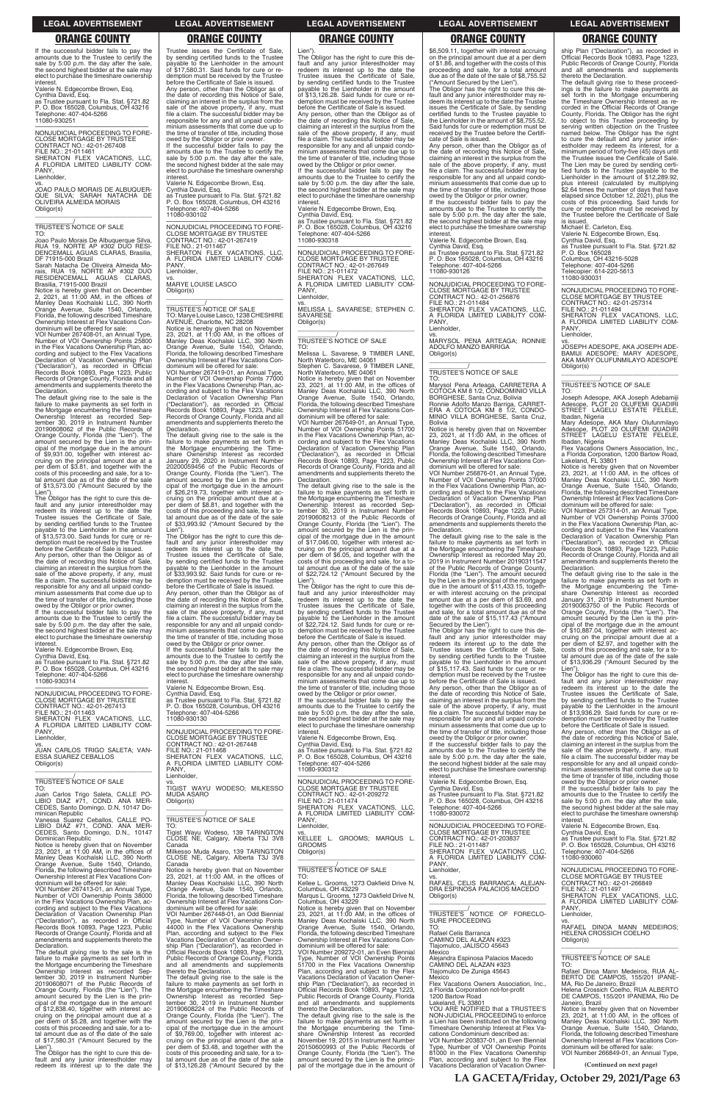**LA GACETA/Friday, October 29, 2021/Page 63**

### **LEGAL ADVERTISEMENT LEGAL ADVERTISEMENT LEGAL ADVERTISEMENT LEGAL ADVERTISEMENT LEGAL ADVERTISEMENT**

If the successful bidder fails to pay the amounts due to the Trustee to certify the sale by 5:00 p.m. the day after the sale, the second highest bidder at the sale may elect to purchase the timeshare ownership **interest** 

# **ORANGE COUNTY ORANGE COUNTY ORANGE COUNTY ORANGE COUNTY ORANGE COUNTY**

—————————————————— NONJUDICIAL PROCEEDING TO FORE-CLOSE MORTGAGE BY TRUSTEE CONTRACT NO.: 42-01-267408 FILE NO.: 21-011461 SHERATON FLEX VACATIONS, LLC, A FLORIDA LIMITED LIABILITY COM-A FLC<br>PANY, Lienholder

Valerie N. Edgecombe Brown, Esq. Cynthia David, Esq.

as Trustee pursuant to Fla. Stat. §721.82 P. O. Box 165028, Columbus, OH 43216 Telephone: 407-404-5266 11080-930251

dominium will be offered for sale: VOI Number 267408-01, an Annual Type, Number of VOI Ownership Points 25800 in the Flex Vacations Ownership Plan, ac-cording and subject to the Flex Vacations Declaration of Vacation Ownership Plan ("Declaration"), as recorded in Official Records Book 10893, Page 1223, Public Records of Orange County, Florida and all amendments and supplements thereto the Declaration.

vs. JOAO PAULO MORAIS DE ALBUQUER-QUE SILVA; SARAH NATACHA DE OLIVEIRA ALMEIDA MORAIS Obligor(s)

\_\_\_\_\_\_\_\_\_\_\_\_\_\_\_\_\_\_\_\_\_\_\_\_\_\_\_\_\_\_\_\_\_

\_\_\_\_\_\_\_\_\_\_\_/ TRUSTEE'S NOTICE OF SALE

TO: Joao Paulo Morais De Albuquerque Silva, RUA 19, NORTE AP #302 DUO RESI-DENCEMALL AGUAS CLARAS, Brasilia,

DF 71915-000 Brazil Sarah Natacha De Oliveira Almeida Morais, RUA 19, NORTE AP #302 DUO RESIDENCEMALL AGUAS CLARAS, Brasilia, 71915-000 Brazil

Notice is hereby given that on December 2, 2021, at 11:00 AM, in the offices of Manley Deas Kochalski LLC, 390 North Orange Avenue, Suite 1540, Orlando, Florida, the following described Timeshare Ownership Interest at Flex Vacations Con-

Lien") The Obligor has the right to cure this de-fault and any junior interestholder may redeem its interest up to the date the Trustee issues the Certificate of Sale, by sending certified funds to the Trustee payable to the Lienholder in the amount of \$13,573.00. Said funds for cure or re-demption must be received by the Trustee before the Certificate of Sale is issued.

vs. JUAN CARLOS TRIGO SALETA; VAN-ESSA SUAREZ CEBALLOS Obligor(s)  $\overline{\phantom{a}}$  , and the set of the set of the set of the set of the set of the set of the set of the set of the set of the set of the set of the set of the set of the set of the set of the set of the set of the set of the s

The default giving rise to the sale is the failure to make payments as set forth in the Mortgage encumbering the Timeshare Ownership Interest as recorded Sep-tember 30, 2019 in Instrument Number 20190608062 of the Public Records of Orange County, Florida (the "Lien"). The amount secured by the Lien is the prin-cipal of the mortgage due in the amount of \$9,931.00, together with interest accruing on the principal amount due at a per diem of \$3.81, and together with the costs of this proceeding and sale, for a total amount due as of the date of the sale of \$13,573.00 ("Amount Secured by the

Any person, other than the Obligor as of the date of recording this Notice of Sale, claiming an interest in the surplus from the sale of the above property, if any, must file a claim. The successful bidder may be responsible for any and all unpaid condominium assessments that come due up to the time of transfer of title, including those owed by the Obligor or prior owner.

If the successful bidder fails to pay the amounts due to the Trustee to certify the sale by 5:00 p.m. the day after the sale, the second highest bidder at the sale may elect to purchase the timeshare ownership interest.

PANY, Lienholder.

 $\overline{\phantom{a}}$  ,  $\overline{\phantom{a}}$  ,  $\overline{\phantom{a}}$  ,  $\overline{\phantom{a}}$  ,  $\overline{\phantom{a}}$  ,  $\overline{\phantom{a}}$  ,  $\overline{\phantom{a}}$  ,  $\overline{\phantom{a}}$  ,  $\overline{\phantom{a}}$  ,  $\overline{\phantom{a}}$  ,  $\overline{\phantom{a}}$  ,  $\overline{\phantom{a}}$  ,  $\overline{\phantom{a}}$  ,  $\overline{\phantom{a}}$  ,  $\overline{\phantom{a}}$  ,  $\overline{\phantom{a}}$ \_\_\_\_\_\_\_\_\_\_\_/ TRUSTEE'S NOTICE OF SALE

Valerie N. Edgecombe Brown, Esq. Cynthia David, Esq. as Trustee pursuant to Fla. Stat. §721.82

P. O. Box 165028, Columbus, OH 43216 Telephone: 407-404-5266 11080-930314

—————————————————— NONJUDICIAL PROCEEDING TO FORE-CLOSE MORTGAGE BY TRUSTEE CONTRACT NO.: 42-01-267413 FILE NO.: 21-011463 SHERATON FLEX VACATIONS, LLC, A FLORIDA LIMITED LIABILITY COM-PANY, Lienholder,

# \_\_\_\_\_\_\_\_\_\_\_/ TRUSTEE'S NOTICE OF SALE

cruing on the principal amount due at a per diem of \$8.81, and together with the costs of this proceeding and sale, for a total amount due as of the date of the sale \$33,993.92 ("Amount Secured by the

TO: Juan Carlos Trigo Saleta, CALLE PO-LIBIO DIAZ #71, COND. ANA MER-CEDES, Santo Domingo, D.N, 10147 Do-minican Republic

demption must be received by the Trustee before the Certificate of Sale is issued. Any person, other than the Obligor as of the date of recording this Notice of Sale, claiming an interest in the surplus from the sale of the above property, if any, must file a claim. The successful bidder may be responsible for any and all unpaid condominium assessments that come due up to the time of transfer of title, including those

Trustee issues the Certificate of Sale, by sending certified funds to the Trustee payable to the Lienholder in the amount of \$17,580.31. Said funds for cure or redemption must be received by the Trustee before the Certificate of Sale is issued. Any person, other than the Obligor as of the date of recording this Notice of Sale, claiming an interest in the surplus from the sale of the above property, if any, must file a claim. The successful bidder may be responsible for any and all unpaid condo-minium assessments that come due up to the time of transfer of title, including those owed by the Obligor or prior owner. If the successful bidder fails to pay the amounts due to the Trustee to certify the

sale by 5:00 p.m. the day after the sale, the second highest bidder at the sale may elect to purchase the timeshare ownership

interest.

Valerie N. Edgecombe Brown, Esq.

Cynthia David, Esq.

as Trustee pursuant to Fla. Stat. §721.82 P. O. Box 165028, Columbus, OH 43216 Telephone: 407-404-5266

11080-930102

—————————————————— NONJUDICIAL PROCEEDING TO FORE-CLOSE MORTGAGE BY TRUSTEE CONTRACT NO.: 42-01-267419 FILE NO.: 21-011467

SHERATON FLEX VACATIONS, LLC, A FLORIDA LIMITED LIABILITY COM-

vs. MARYE LOUISE LASCO

Obligor(s)

Lien")

TO: Marye Louise Lasco, 1238 CHESHIRE AVENUE, Charlotte, NC 28208 Notice is hereby given that on November 23, 2021, at 11:00 AM, in the offices of Manley Deas Kochalski LLC, 390 North

Orange Avenue, Suite 1540, Orlando, Florida, the following described Timeshare Ownership Interest at Flex Vacations Con-

dominium will be offered for sale: VOI Number 267419-01, an Annual Type, Number of VOI Ownership Points 77000

in the Flex Vacations Ownership Plan, ac-cording and subject to the Flex Vacations Declaration of Vacation Ownership Plan

("Declaration"), as recorded in Official Records Book 10893, Page 1223, Public Records of Orange County, Florida and all amendments and supplements thereto the Declaration. The default giving rise to the sale is the failure to make payments as set forth in the Mortgage encumbering the Time-share Ownership Interest as recorded

January 29, 2020 in Instrument Number 20200059456 of the Public Records of Orange County, Florida (the "Lien"). The

amount secured by the Lien is the prin-cipal of the mortgage due in the amount of \$26,219.73, together with interest ac-

The Obligor has the right to cure this de-fault and any junior interestholder may redeem its interest up to the date the

Trustee issues the Certificate of Sale, by sending certified funds to the Trustee payable to the Lienholder in the amount

of \$33,993.92. Said funds for cure or re-demption must be received by the Trustee before the Certificate of Sale is issued.

owed by the Obligor or prior owner. If the successful bidder fails to pay the amounts due to the Trustee to certify the sale by 5:00 p.m. the day after the sale, the second highest bidder at the sale may elect to purchase the timeshare ownership **interest** 

Any person, other than the Obligor as of the date of recording this Notice of Sale, claiming an interest in the surplus from the sale of the above property, if any, must file a claim. The successful bidder may be responsible for any and all unpaid condominium assessments that come due up to the time of transfer of title, including those owed by the Obligor or prior owner. If the successful bidder fails to pay the amounts due to the Trustee to certify the sale by 5:00 p.m. the day after the sale, the second highest bidder at the sale may elect to purchase the timeshare ownership

—————————————————— NONJUDICIAL PROCEEDING TO FORE-CLOSE MORTGAGE BY TRUSTEE CONTRACT NO.: 42-01-256876 FILE NO.: 21-011484 SHERATON FLEX VACATIONS, LLC, A FLORIDA LIMITED LIABILITY COM-A FLC<br>PANY, **Lienholder** 

interest.

Telephone: 407<br>11080-930130

Valerie N. Edgecombe Brown, Esq. Cynthia David, Esq. as Trustee pursuant to Fla. Stat. §721.82 P. O. Box 165028, Columbus, OH 43216 Telephone: 407-404-5266

—————————————————— NONJUDICIAL PROCEEDING TO FORE-CLOSE MORTGAGE BY TRUSTEE

CONTRACT NO.: 42-01-267448 FILE NO.: 21-011468 SHERATON FLEX VACATIONS, LLC, A FLORIDA LIMITED LIABILITY COM-PANY,

Lienholder,

vs. TIGIST WAYU WODESO; MILKESSO MUDA ASARO

Obligor(s)

Lien"). The Obligor has the right to cure this default and any junior interestholder may redeem its interest up to the date the Trustee issues the Certificate of Sale,

by sending certified funds to the Trustee payable to the Lienholder in the amount of \$13,126.28. Said funds for cure or re-

JOSEPH ADESOPE, AKA JOSEPH ADE-BAMIJI ADESOPE; MARY ADESOPE, AKA MARY OLUFUNMILAYO ADESOPE Obligor(s)  $\overline{\phantom{a}}$  , and the set of the set of the set of the set of the set of the set of the set of the set of the set of the set of the set of the set of the set of the set of the set of the set of the set of the set of the s

Ibadan, Nigeria Flex Vacations Owners Association, Inc., a Florida Corporation, 1200 Bartow Road, Lakeland, FL 33801

owed by the Obligor or prior owner. If the successful bidder fails to pay the amounts due to the Trustee to certify the sale by 5:00 p.m. the day after the sale, the second highest bidder at the sale may elect to purchase the timeshare ownership

interest. Valerie N. Edgecombe Brown, Esq.

Cynthia David, Esq. as Trustee pursuant to Fla. Stat. §721.82 P. O. Box 165028, Columbus, OH 43216 Telephone: 407-404-5266 11080-930318

> The default giving rise to the sale is the failure to make payments as set forth in the Mortgage encumbering the Timeshare Ownership Interest as recorded January 31, 2019 in Instrument Number 20190063750 of the Public Records of Orange County, Florida (the "Lien"). The amount secured by the Lien is the principal of the mortgage due in the amount of \$10,887.04, together with interest ac-cruing on the principal amount due at a per diem of \$2.97, and together with the costs of this proceeding and sale, for a to-tal amount due as of the date of the sale of \$13,936.29 ("Amount Secured by the Lien"

—————————————————— NONJUDICIAL PROCEEDING TO FORE-CLOSE MORTGAGE BY TRUSTEE CONTRACT NO.: 42-01-267649 FILE NO.: 21-011472 SHERATON FLEX VACATIONS, LLC, A FLORIDA LIMITED LIABILITY COM-PANY, Lienholder,

vs. MELISSA L. SAVARESE; STEPHEN C. SAVARESE Obligor(s) \_\_\_\_\_\_\_\_\_\_\_\_\_\_\_\_\_\_\_\_\_\_\_\_\_\_\_\_\_\_\_\_\_

\_\_\_\_\_\_\_\_\_\_\_/ TRUSTEE'S NOTICE OF SALE

TO:

Melissa L. Savarese, 9 TIMBER LANE, North Waterboro, ME 04061 Stephen C. Savarese, 9 TIMBER LANE, North Waterboro, ME 04061

> Obligor has the right to cure this default and any junior interestholder may redeem its interest up to the date the Trustee issues the Certificate of Sale, by sending certified funds to the Trustee payable to the Lienholder in the amount of \$13,936.29. Said funds for cure or re-demption must be received by the Trustee

Notice is hereby given that on November 23, 2021, at 11:00 AM, in the offices of Manley Deas Kochalski LLC, 390 North Orange Avenue, Suite 1540, Orlando, Florida, the following described Timeshare Ownership Interest at Flex Vacations Con-dominium will be offered for sale:

VOI Number 267649-01, an Annual Type, Number of VOI Ownership Points 51700 in the Flex Vacations Ownership Plan, according and subject to the Flex Vacations<br>Declaration of Vacation Ownership Plan<br>("Declaration"), as recorded in Official<br>Records Book 10893, Page 1223, Public<br>Records of Orange County, Florida and all<br>amendments and suppl Declaration.

The default giving rise to the sale is the failure to make payments as set forth in the Mortgage encumbering the Timeshare Ownership Interest as recorded Sep-tember 30, 2019 in Instrument Number 20190608213 of the Public Records of Orange County, Florida (the "Lien"). The amount secured by the Lien is the principal of the mortgage due in the amount of \$17,046.00, together with interest ac-cruing on the principal amount due at a per diem of \$6.05, and together with the costs of this proceeding and sale, for a to-tal amount due as of the date of the sale of \$22,724.12 ("Amount Secured by the Lien"). The Obligor has the right to cure this de-

fault and any junior interestholder may redeem its interest up to the date the Trustee issues the Certificate of Sale, by sending certified funds to the Trustee payable to the Lienholder in the amount of \$22,724.12. Said funds for cure or re-

demption must be received by the Trustee before the Certificate of Sale is issued. Any person, other than the Obligor as of the date of recording this Notice of Sale, claiming an interest in the surplus from the sale of the above property, if any, must file a claim. The successful bidder may be responsible for any and all unpaid condominium assessments that come due up to the time of transfer of title, including those owed by the Obligor or prior owner. If the successful bidder fails to pay the

amounts due to the Trustee to certify the sale by 5:00 p.m. the day after the sale, the second highest bidder at the sale may elect to purchase the timeshare ownership

interest. Valerie N. Edgecombe Brown, Esq.

Cynthia David, Esq. as Trustee pursuant to Fla. Stat. §721.82 P. O. Box 165028, Columbus, OH 43216 Telephone: 407-404-5266 11080-930312

—————————————————— NONJUDICIAL PROCEEDING TO FORE-CLOSE MORTGAGE BY TRUSTEE CONTRACT NO.: 42-01-209272 FILE NO.: 21-011474 SHERATON FLEX VACATIONS, LLC,

| CEDES, Santo Domingo, D.N, 10147 Do-<br>minican Republic                               |                                                                                     | SHERATON FLEX VACATIONS. LLC.<br>A FLORIDA LIMITED LIABILITY COM-              | Telephone: 407-404-5266<br>11080-930072                                 | the second highest bidder at the sale may<br>elect to purchase the timeshare ownership |
|----------------------------------------------------------------------------------------|-------------------------------------------------------------------------------------|--------------------------------------------------------------------------------|-------------------------------------------------------------------------|----------------------------------------------------------------------------------------|
| Vanessa Suarez Ceballos, CALLE PO-                                                     | <b>TRUSTEE'S NOTICE OF SALE</b>                                                     | PANY.                                                                          |                                                                         | interest.                                                                              |
| LIBIO DIAZ #71, COND. ANA MER-                                                         | TO:                                                                                 | Lienholder,                                                                    | NONJUDICIAL PROCEEDING TO FORE-<br><b>CLOSE MORTGAGE BY TRUSTEE</b>     | Valerie N. Edgecombe Brown, Esg.<br>Cynthia David, Esg.                                |
| CEDES, Santo Domingo, D.N., 10147<br>Dominican Republic                                | Tigist Wayu Wodeso, 139 TARINGTON<br>CLOSE NE, Calgary, Alberta T3J 3V8             | VS.<br>KELLEE L.<br>GROOMS; MARQUS L.                                          | CONTRACT NO.: 42-01-203837                                              | as Trustee pursuant to Fla. Stat. §721.82                                              |
| Notice is hereby given that on November                                                | Canada                                                                              | <b>GROOMS</b>                                                                  | FILE NO.: 21-011487                                                     | P. O. Box 165028, Columbus, OH 43216                                                   |
| 23, 2021, at 11:00 AM, in the offices of                                               | Milkesso Muda Asaro, 139 TARINGTON                                                  | Obligor(s)                                                                     | SHERATON FLEX VACATIONS, LLC,                                           | Telephone: 407-404-5266                                                                |
| Manley Deas Kochalski LLC, 390 North                                                   | CLOSE NE, Calgary, Alberta T3J 3V8                                                  |                                                                                | A FLORIDA LIMITED LIABILITY COM-                                        | 11080-930060                                                                           |
| Orange Avenue, Suite 1540, Orlando,                                                    | Canada                                                                              |                                                                                | PANY.                                                                   |                                                                                        |
| Florida, the following described Timeshare                                             | Notice is hereby given that on November                                             | TRUSTEE'S NOTICE OF SALE                                                       | Lienholder.                                                             | NONJUDICIAL PROCEEDING TO FORE-                                                        |
| Ownership Interest at Flex Vacations Con-                                              | 23, 2021, at $11:00$ AM, in the offices of                                          | TO:                                                                            | VS.                                                                     | <b>CLOSE MORTGAGE BY TRUSTEE</b>                                                       |
| dominium will be offered for sale:                                                     | Manley Deas Kochalski LLC, 390 North                                                | Kellee L. Grooms, 1273 Oakfield Drive N.                                       | RAFAEL CELIS BARRANCA: ALEJAN-                                          | CONTRACT NO.: 42-01-266849                                                             |
| VOI Number 267413-01, an Annual Type,<br>Number of VOI Ownership Points 38000          | Orange Avenue, Suite 1540, Orlando,<br>Florida, the following described Timeshare   | Columbus, OH 43229<br>Margus L. Grooms, 1273 Oakfield Drive N,                 | DRA ESPINOSA PALACIOS MACEDO<br>Obligor(s)                              | FILE NO.: 21-011497<br>SHERATON FLEX VACATIONS. LLC.                                   |
| in the Flex Vacations Ownership Plan, ac-                                              | Ownership Interest at Flex Vacations Con-                                           | Columbus, OH 43229                                                             |                                                                         | A FLORIDA LIMITED LIABILITY COM-                                                       |
| cording and subject to the Flex Vacations                                              | dominium will be offered for sale:                                                  | Notice is hereby given that on November                                        |                                                                         | PANY.                                                                                  |
| Declaration of Vacation Ownership Plan                                                 | VOI Number 267448-01, an Odd Biennial                                               | 23, 2021, at $11:00$ AM, in the offices of                                     | TRUSTEE'S NOTICE OF FORECLO-                                            | Lienholder.                                                                            |
| ("Declaration"), as recorded in Official                                               | Type, Number of VOI Ownership Points                                                | Manley Deas Kochalski LLC, 390 North                                           | <b>SURE PROCEEDING</b>                                                  | VS.                                                                                    |
| Records Book 10893, Page 1223, Public                                                  | 44000 in the Flex Vacations Ownership                                               | Orange Avenue, Suite 1540, Orlando,                                            | TO:                                                                     | RAFAEL DINOA MANN MEDEIROS;                                                            |
| Records of Orange County, Florida and all                                              | Plan, according and subject to the Flex                                             | Florida, the following described Timeshare                                     | Rafael Celis Barranca                                                   | <b>HELENA CROSSICH COELHO</b>                                                          |
| amendments and supplements thereto the                                                 | Vacations Declaration of Vacation Owner-                                            | Ownership Interest at Flex Vacations Con-                                      | CAMINO DEL ALAZAN #323                                                  | Obligor(s)                                                                             |
| Declaration.                                                                           | ship Plan ("Declaration"), as recorded in                                           | dominium will be offered for sale:                                             | Tlajomulco, JALISCO 45643<br>Mexico                                     |                                                                                        |
| The default giving rise to the sale is the<br>failure to make payments as set forth in | Official Records Book 10893, Page 1223,<br>Public Records of Orange County, Florida | VOI Number 209272-01, an Even Biennial<br>Type, Number of VOI Ownership Points | Alejandra Espinosa Palacios Macedo                                      | TRUSTEE'S NOTICE OF SALE                                                               |
| the Mortgage encumbering the Timeshare                                                 | and all amendments and supplements                                                  | 51700 in the Flex Vacations Ownership                                          | CAMINO DEL ALAZAN #323                                                  | TO:                                                                                    |
| Ownership Interest as recorded Sep-                                                    | thereto the Declaration.                                                            | Plan, according and subject to the Flex                                        | Tlajomulco De Zuniga 45643                                              | Rafael Dinoa Mann Medeiros, RUA AL-                                                    |
| tember 30, 2019 in Instrument Number                                                   | The default giving rise to the sale is the                                          | Vacations Declaration of Vacation Owner-                                       | Mexico                                                                  | BERTO DE CAMPOS, 155/201 IPANE-                                                        |
| 20190608071 of the Public Records of                                                   | failure to make payments as set forth in                                            | ship Plan ("Declaration"), as recorded in                                      | Flex Vacations Owners Association. Inc                                  | MA, Rio De Janeiro, Brazil                                                             |
| Orange County, Florida (the "Lien"). The                                               | the Mortgage encumbering the Timeshare                                              | Official Records Book 10893, Page 1223,                                        | a Florida Corporation not-for-profit                                    | Helena Crossich Coelho, RUA ALBERTO                                                    |
| amount secured by the Lien is the prin-                                                | Ownership Interest as recorded Sep-                                                 | Public Records of Orange County, Florida                                       | 1200 Bartow Road                                                        | DE CAMPOS, 155/201 IPANEMA, Rio De                                                     |
| cipal of the mortgage due in the amount                                                | tember 30, 2019 in Instrument Number                                                | and all amendments and supplements                                             | Lakeland. FL 33801                                                      | Janeiro, Brazil                                                                        |
| of \$12,838.40, together with interest ac-<br>cruing on the principal amount due at a  | 20190608224 of the Public Records of<br>Orange County, Florida (the "Lien"). The    | thereto the Declaration.<br>The default giving rise to the sale is the         | YOU ARE NOTIFIED that a TRUSTEE'S<br>NON-JUDICIAL PROCEEDING to enforce | Notice is hereby given that on November<br>23, 2021, at 11:00 AM, in the offices of    |
| per diem of \$5.28, and together with the                                              | amount secured by the Lien is the prin-                                             | failure to make payments as set forth in                                       | a Lien has been instituted on the following                             | Manley Deas Kochalski LLC, 390 North                                                   |
| costs of this proceeding and sale, for a to-                                           | cipal of the mortgage due in the amount                                             | the Mortgage encumbering the Time-                                             | Timeshare Ownership Interest at Flex Va-                                | Orange Avenue, Suite 1540, Orlando,                                                    |
| tal amount due as of the date of the sale                                              | of \$9,769.00, together with interest ac-                                           | share Ownership Interest as recorded                                           | cations Condominium described as:                                       | Florida, the following described Timeshare                                             |
| of \$17,580.31 ("Amount Secured by the                                                 | cruing on the principal amount due at a                                             | November 19, 2015 in Instrument Number                                         | VOI Number 203837-01, an Even Biennial                                  | Ownership Interest at Flex Vacations Con-                                              |
| Lien").                                                                                | per diem of \$3.48, and together with the                                           | 20150600993 of the Public Records of                                           | Type, Number of VOI Ownership Points                                    | dominium will be offered for sale:                                                     |
| The Obligor has the right to cure this de-                                             | costs of this proceeding and sale, for a to-                                        | Orange County, Florida (the "Lien"). The                                       | 81000 in the Flex Vacations Ownership                                   | VOI Number 266849-01, an Annual Type,                                                  |
| fault and any junior interestholder may                                                | tal amount due as of the date of the sale                                           | amount secured by the Lien is the princi-                                      | Plan, according and subject to the Flex                                 |                                                                                        |
| redeem its interest up to the date the                                                 | of \$13,126.28 ("Amount Secured by the                                              | pal of the mortgage due in the amount of                                       | Vacations Declaration of Vacation Owner-                                | (Continued on next page)                                                               |

\$6,509.11, together with interest accruing on the principal amount due at a per diem of \$1.86, and together with the costs of this proceeding and sale, for a total amount due as of the date of the sale of \$8,755.52 ("Amount Secured by the Lien"). The Obligor has the right to cure this de-

fault and any junior interestholder may redeem its interest up to the date the Trustee issues the Certificate of Sale, by sending certified funds to the Trustee payable to the Lienholder in the amount of \$8,755.52. Said funds for cure or redemption must be received by the Trustee before the Certifi-

cate of Sale is issued. Any person, other than the Obligor as of the date of recording this Notice of Sale, claiming an interest in the surplus from the sale of the above property, if any, must file a claim. The successful bidder may be responsible for any and all unpaid condo-minium assessments that come due up to the time of transfer of title, including those

Valerie N. Edgecombe Brown, Esq. Cynthia David, Esq.

as Trustee pursuant to Fla. Stat. §721.82 P. O. Box 165028, Columbus, OH 43216 Telephone: 407-404-5266 11080-930126

vs. MARYSOL PENA ARTEAGA; RONNIE ADOLFO MANZO BARRIGA Obligor(s) \_\_\_\_\_\_\_\_\_\_\_\_\_\_\_\_\_\_\_\_\_\_\_\_\_\_\_\_\_\_\_\_\_

\_\_\_\_\_\_\_\_\_\_\_/ TRUSTEE'S NOTICE OF SALE

TO: Marysol Pena Arteaga, CARRETERA A COTOCA KM 8 1/2, CONDOMINIO VILLA BORGHESE, Santa Cruz, Bolivia Ronnie Adolfo Manzo Barriga, CARRET-ERA A COTOCA KM 8 1/2, CONDO-MINIO VILLA BORGHESE, Santa Cruz, Bolivia

Notice is hereby given that on November 23, 2021, at 11:00 AM, in the offices of Manley Deas Kochalski LLC, 390 North Orange Avenue, Suite 1540, Orlando, Florida, the following described Timeshare Ownership Interest at Flex Vacations Con-dominium will be offered for sale: VOI Number 256876-01, an Annual Type,

Number of VOI Ownership Points 37000 in the Flex Vacations Ownership Plan, ac-cording and subject to the Flex Vacations Declaration of Vacation Ownership Plan ("Declaration"), as recorded in Official Records Book 10893, Page 1223, Public Records of Orange County, Florida and all amendments and supplements thereto the Declaration.

The default giving rise to the sale is the failure to make payments as set forth in the Mortgage encumbering the Timeshare Ownership Interest as recorded May 20, 2019 in Instrument Number 20190311547 of the Public Records of Orange County, Florida (the "Lien"). The amount secured by the Lien is the principal of the mortgage due in the amount of \$11,433.15, together with interest accruing on the principal amount due at a per diem of \$3.69, and together with the costs of this proceeding and sale, for a total amount due as of the date of the sale of \$15,117.43 ("Amount Secured by the Lien").

The Obligor has the right to cure this de-fault and any junior interestholder may redeem its interest up to the date the Trustee issues the Certificate of Sale, by sending certified funds to the Trustee payable to the Lienholder in the amount of \$15,117.43. Said funds for cure or redemption must be received by the Trustee before the Certificate of Sale is issued.

Any person, other than the Obligor as of the date of recording this Notice of Sale, claiming an interest in the surplus from the sale of the above property, if any, must file a claim. The successful bidder may be responsible for any and all unpaid condominium assessments that come due up to the time of transfer of title, including those owed by the Obligor or prior owner.

If the successful bidder fails to pay the amounts due to the Trustee to certify the sale by 5:00 p.m. the day after the sale, the second highest bidder at the sale may elect to purchase the timeshare ownership interest.

Valerie N. Edgecombe Brown, Esq. Cynthia David, Esq. as Trustee pursuant to Fla. Stat. §721.82 P. O. Box 165028, Columbus, OH 43216 Telephone: 407-404-5266 11080-930072

ship Plan ("Declaration"), as recorded in Official Records Book 10893, Page 1223, Public Records of Orange County, Florida and all amendments and supplements thereto the Declaration.

The default giving rise to these proceed-ings is the failure to make payments as set forth in the Mortgage encumbering the Timeshare Ownership Interest as re-corded in the Official Records of Orange County, Florida. The Obligor has the right to object to this Trustee proceeding by serving written objection on the Trustee named below. The Obligor has the right to cure the default and any junior inter-estholder may redeem its interest, for a minimum period of forty-five (45) days until the Trustee issues the Certificate of Sale. The Lien may be cured by sending certi-fied funds to the Trustee payable to the Lienholder in the amount of \$12,289.92, plus interest (calculated by multiplying \$2.64 times the number of days that have elapsed since October 12, 2021), plus the costs of this proceeding. Said funds for cure or redemption must be received by the Trustee before the Certificate of Sale is issued. Michael E. Carleton, Esq.

Valerie N. Edgecombe Brown, Esq. Cynthia David, Esq. as Trustee pursuant to Fla. Stat. §721.82 P. O. Box 165028 Columbus, OH 43216-5028 Telephone: 407-404-5266 Telecopier: 614-220-5613 11080-930031

—————————————————— NONJUDICIAL PROCEEDING TO FORE-CLOSE MORTGAGE BY TRUSTEE CONTRACT NO.: 42-01-257314

FILE NO.: 21-011494 SHERATON FLEX VACATIONS, LLC, A FLORIDA LIMITED LIABILITY COM-PANY, Lienholder,

vs.

\_\_\_\_\_\_\_\_\_\_\_/ TRUSTEE'S NOTICE OF SALE

TO: Joseph Adesope, AKA Joseph Adebamiji Adesope, PLOT 20 OLUFEMI QUADIRI STREET LAGELU ESTATE FELELE, Ibadan, Nigeria

Mary Adesope, AKA Mary Olufunmilayo Adesope, PLOT 20 OLUFEMI QUADIRI STREET LAGELU ESTATE FELELE,

Notice is hereby given that on November 23, 2021, at 11:00 AM, in the offices of Manley Deas Kochalski LLC, 390 North Orange Avenue, Suite 1540, Orlando, Florida, the following described Timeshare Ownership Interest at Flex Vacations Con-dominium will be offered for sale: VOI Number 257314-01, an Annual Type,

Number of VOI Ownership Points 37000 in the Flex Vacations Ownership Plan, ac-cording and subject to the Flex Vacations Declaration of Vacation Ownership Plan ("Declaration"), as recorded in Official Records Book 10893, Page 1223, Public Records of Orange County, Florida and all amendments and supplements thereto the Declaration.

before the Certificate of Sale is issued. Any person, other than the Obligor as of the date of recording this Notice of Sale, claiming an interest in the surplus from the sale of the above property, if any, must file a claim. The successful bidder may be responsible for any and all unpaid condo-minium assessments that come due up to the time of transfer of title, including those

owed by the Obligor or prior owner. If the successful bidder fails to pay the amounts due to the Trustee to certify the sale by 5:00 p.m. the day after the sale, the second highest bidder at the sale may elect to purchase the timeshare ownership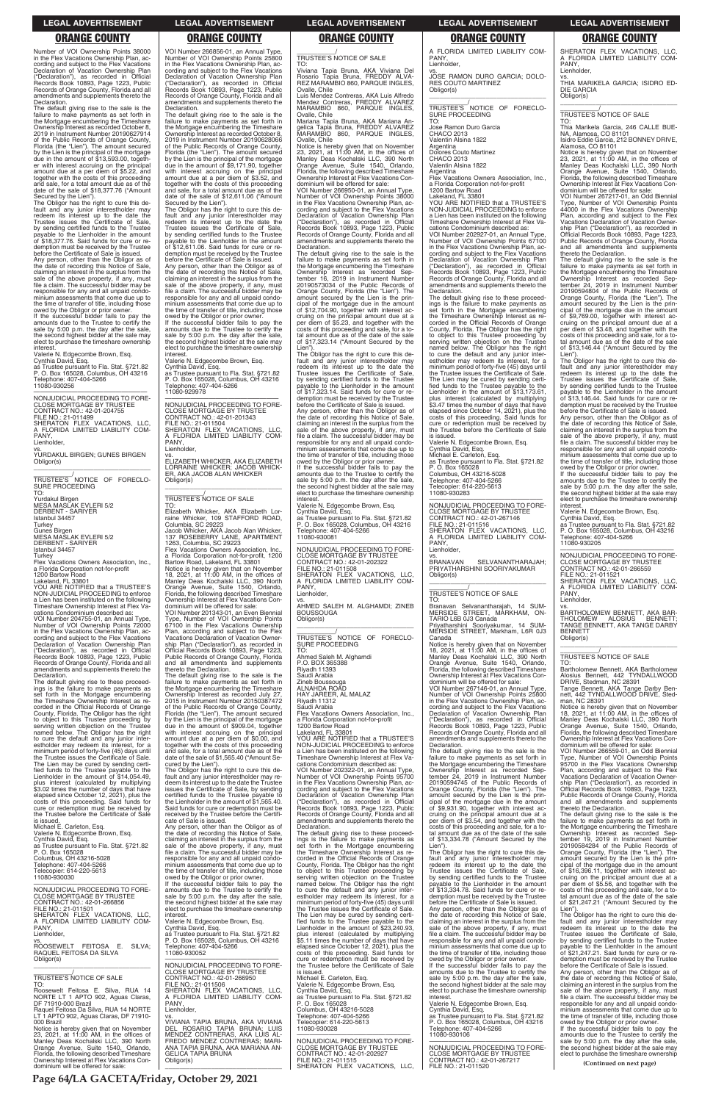**Page 64/LA GACETA/Friday, October 29, 2021**

### **LEGAL ADVERTISEMENT LEGAL ADVERTISEMENT LEGAL ADVERTISEMENT LEGAL ADVERTISEMENT LEGAL ADVERTISEMENT**

### **ORANGE COUNTY ORANGE COUNTY ORANGE COUNTY ORANGE COUNTY ORANGE COUNTY**

Number of VOI Ownership Points 38000 in the Flex Vacations Ownership Plan, according and subject to the Flex Vacations Declaration of Vacation Ownership Plan ("Declaration"), as recorded in Official Records Book 10893, Page 1223, Public Records of Orange County, Florida and all amendments and supplements thereto the Declaration.

The default giving rise to the sale is the failure to make payments as set forth in the Mortgage encumbering the Timeshare Ownership Interest as recorded October 8, 2019 in Instrument Number 20190627914 of the Public Records of Orange County, Florida (the "Lien"). The amount secured by the Lien is the principal of the mortgage due in the amount of \$13,593.00, together with interest accruing on the principal amount due at a per diem of \$5.22, and together with the costs of this proceeding and sale, for a total amount due as of the date of the sale of \$18,377.76 ("Amount

owed by the Obligor or prior owner. If the successful bidder fails to pay the amounts due to the Trustee to certify the sale by 5:00 p.m. the day after the sale, the second highest bidder at the sale may elect to purchase the timeshare ownership interest

—————————————————— NONJUDICIAL PROCEEDING TO FORE-CLOSE MORTGAGE BY TRUSTEE CONTRACT NO.: 42-01-204755 FILE NO.: 21-011499 SHERATON FLEX VACATIONS, LLC,<br>A FLORIDA LIMITED LIABILITY COM-<br>PANY,

Lienholder,

Secured by the Lien"). The Obligor has the right to cure this default and any junior interestholder may redeem its interest up to the date the Trustee issues the Certificate of Sale, by sending certified funds to the Trustee payable to the Lienholder in the amount of \$18,377.76. Said funds for cure or re-

demption must be received by the Trustee before the Certificate of Sale is issued. Any person, other than the Obligor as of the date of recording this Notice of Sale, claiming an interest in the surplus from the sale of the above property, if any, must file a claim. The successful bidder may be responsible for any and all unpaid condominium assessments that come due up to the time of transfer of title, including those

Valerie N. Edgecombe Brown, Esq. Cynthia David, Esq. as Trustee pursuant to Fla. Stat. §721.82 P. O. Box 165028, Columbus, OH 43216 Telephone: 407-404-5266 11080-930256

vs. YURDAKUL BIRGEN; GUNES BIRGEN Obligor(s) \_\_\_\_\_\_\_\_\_\_\_\_\_\_\_\_\_\_\_\_\_\_\_\_\_\_\_\_\_\_\_\_\_

\_\_\_\_\_\_\_\_\_\_\_/<br>TRUSTEE'S NOTICE OF FORECLO-<br>SURE PROCEEDING

TO: Yurdakul Birgen MESA MASLAK EVLERI 5/2 DERBENT - SARIYER

Istanbul 34457

Turkey Gunes Birgen

MESA MASLAK EVLERI 5/2 DERBENT - SARIYER Istanbul 34457

Turkey Flex Vacations Owners Association, Inc., a Florida Corporation not-for-profit 1200 Bartow Road Lakeland, FL 33801 YOU ARE NOTIFIED that a TRUSTEE'S

NON-JUDICIAL PROCEEDING to enforce a Lien has been instituted on the following Timeshare Ownership Interest at Flex Va-

cations Condominium described as: VOI Number 204755-01, an Annual Type, Number of VOI Ownership Points 72000 in the Flex Vacations Ownership Plan, according and subject to the Flex Vacations Declaration of Vacation Ownership Plan ("Declaration"), as recorded in Official Records Book 10893, Page 1223, Public Records of Orange County, Florida and all amendments and supplements thereto the Declaration.

the time of transfer of title, including those owed by the Obligor or prior owner. If the successful bidder fails to pay the amounts due to the Trustee to certify the sale by 5:00 p.m. the day after the sale, the second highest bidder at the sale may elect to purchase the timeshare ownership interest

—————————————————— NONJUDICIAL PROCEEDING TO FORE-CLOSE MORTGAGE BY TRUSTEE CONTRACT NO.: 42-01-201343 FILE NO.: 21-011504 SHERATON FLEX VACATIONS, LLC, A FLORIDA LIMITED LIABILITY COM-PANY Lienholder.

The default giving rise to these proceedings is the failure to make payments as set forth in the Mortgage encumbering the Timeshare Ownership Interest as recorded in the Official Records of Orange County, Florida. The Obligor has the right to object to this Trustee proceeding by serving written objection on the Trustee named below. The Obligor has the right to cure the default and any junior inter-estholder may redeem its interest, for a minimum period of forty-five (45) days until the Trustee issues the Certificate of Sale. The Lien may be cured by sending certi-fied funds to the Trustee payable to the Lienholder in the amount of \$14,054.49, plus interest (calculated by multiplying \$3.02 times the number of days that have elapsed since October 12, 2021), plus the costs of this proceeding. Said funds for cure or redemption must be received by

VOI Number 266856-01, an Annual Type, Number of VOI Ownership Points 25800 in the Flex Vacations Ownership Plan, according and subject to the Flex Vacations Declaration of Vacation Ownership Plan ("Declaration"), as recorded in Official Records Book 10893, Page 1223, Public Records of Orange County, Florida and all amendments and supplements thereto the Declaration.

> The default giving rise to the sale is the failure to make payments as set forth in the Mortgage encumbering the Timeshare Ownership Interest as recorded Sep-tember 16, 2019 in Instrument Number 20190573034 of the Public Records of Orange County, Florida (the "Lien"). The amount secured by the Lien is the principal of the mortgage due in the amount of \$12,704.90, together with interest accruing on the principal amount due at a per diem of \$5.23, and together with the costs of this proceeding and sale, for a to-tal amount due as of the date of the sale of \$17,323.14 ("Amount Secured by the Lien"

> Lien ).<br>The Obligor has the right to cure this default and any junior interestholder may redeem its interest up to the date the Trustee issues the Certificate of Sale, by sending certified funds to the Trustee payable to the Lienholder in the amount of \$17,323.14. Said funds for cure or redemption must be received by the Trustee before the Certificate of Sale is issued. Any person, other than the Obligor as of the date of recording this Notice of Sale, claiming an interest in the surplus from the sale of the above property, if any, must file a claim. The successful bidder may be responsible for any and all unpaid condo-

The default giving rise to the sale is the failure to make payments as set forth in the Mortgage encumbering the Timeshare Ownership Interest as recorded October 8, 2019 in Instrument Number 20190628066 of the Public Records of Orange County, Florida (the "Lien"). The amount secured by the Lien is the principal of the mortgage due in the amount of \$9,171.90, together with interest accruing on the principal amount due at a per diem of \$3.52, and together with the costs of this proceeding and sale, for a total amount due as of the date of the sale of \$12,611.06 ("Amount

Secured by the Lien"). The Obligor has the right to cure this default and any junior interestholder may redeem its interest up to the date the Trustee issues the Certificate of Sale, by sending certified funds to the Trustee payable to the Lienholder in the amount of \$12,611.06. Said funds for cure or redemption must be received by the Trustee before the Certificate of Sale is issued. Any person, other than the Obligor as of the date of recording this Notice of Sale, claiming an interest in the surplus from the sale of the above property, if any, must file a claim. The successful bidder may be responsible for any and all unpaid condominium assessments that come due up to

> —————————————————— NONJUDICIAL PROCEEDING TO FORE-CLOSE MORTGAGE BY TRUSTEE CONTRACT NO.: 42-01-202322 FILE NO.: 21-011508 SHERATON FLEX VACATIONS, LLC, A FLORIDA LIMITED LIABILITY COM-A FLC<br>PANY

Valerie N. Edgecombe Brown, Esq.

Cynthia David, Esq. as Trustee pursuant to Fla. Stat. §721.82 P. O. Box 165028, Columbus, OH 43216 Telephone: 407-404-5266 11080-929978

vs. ELIZABETH WHICKER, AKA ELIZABETH LORRAINE WHICKER; JACOB WHICK-ER, AKA JACOB ALAN WHICKER Obligor(s)

\_\_\_\_\_\_\_\_\_\_\_\_\_\_\_\_\_\_\_\_\_\_\_\_\_\_\_\_\_\_\_\_\_

# \_\_\_\_\_\_\_\_\_\_\_/ TRUSTEE'S NOTICE OF SALE

TO: Elizabeth Whicker, AKA Elizabeth Lorraine Whicker, 109 STAFFORD ROAD, Columbia, SC 29223 Jacob Whicker, AKA Jacob Alan Whicker,

137 ROSEBERRY LANE, APARTMENT 1263, Columbia, SC 29223 Flex Vacations Owners Association, Inc. a Florida Corporation not-for-profit, 1200 Bartow Road, Lakeland, FL 33801 A FLORIDA LIMITED LIABILITY COM-PANY, Lienholder,

Notice is hereby given that on November 18, 2021, at 11:00 AM, in the offices of Manley Deas Kochalski LLC, 390 North Orange Avenue, Suite 1540, Orlando, Florida, the following described Timeshare Ownership Interest at Flex Vacations Con-

dominium will be offered for sale: VOI Number 201343-01, an Even Biennial Type, Number of VOI Ownership Points 67100 in the Flex Vacations Ownership Plan, according and subject to the Flex Vacations Declaration of Vacation Ownership Plan ("Declaration"), as recorded in Official Records Book 10893, Page 1223, Public Records of Orange County, Florida and all amendments and supplements thereto the Declaration.

The default giving rise to the sale is the failure to make payments as set forth in the Mortgage encumbering the Timeshare Ownership Interest as recorded July 27, 2015 in Instrument Number 20150387472 of the Public Records of Orange County, Florida (the "Lien"). The amount secured by the Lien is the principal of the mortgage due in the amount of \$909.04, together with interest accruing on the principal amount due at a per diem of \$0.00, and together with the costs of this proceeding and sale, for a total amount due as of the date of the sale of \$1,565.40 ("Amount Sevs.<br>BRANAVAN BRANAVAN SELVANANTHARAJAH; PRIYATHARSHINI SOORIYAKUMAR Obligor(s) \_\_\_\_\_\_\_\_\_\_\_\_\_\_\_\_\_\_\_\_\_\_\_\_\_\_\_\_\_\_\_\_\_

cured by the Lien"). The Obligor has the right to cure this default and any junior interestholder may redeem its interest up to the date the Trustee issues the Certificate of Sale, by sending certified funds to the Trustee payable to the Lienholder in the amount of \$1,565.40. Said funds for cure or redemption must be

DIE GARCIA Obligor(s)

\_\_\_\_\_\_\_\_\_\_\_/ TRUSTEE'S NOTICE OF SALE

TO: Viviana Tapia Bruna, AKA Viviana Del Rosario Tapia Bruna, FREDDY ALVA-REZ MARAMBIO 860, PARQUE INGLES, Ovalle, Chile

Luis Mendez Contreras, AKA Luis Alfredo Mendez Contreras, FREDDY ALVAREZ MARAMBIO 860, PARQUE INGLES, Ovalle, Chile

Mariana Tapia Bruna, AKA Mariana An-gelica Tapia Bruna, FREDDY ALVAREZ MARAMBIO 860, PARQUE INGLES, Ovalle, Chile

Notice is hereby given that on November 23, 2021, at 11:00 AM, in the offices of Manley Deas Kochalski LLC, 390 North Orange Avenue, Suite 1540, Orlando, Florida, the following described Timeshare Ownership Interest at Flex Vacations Con-dominium will be offered for sale:

VOI Number 266950-01, an Annual Type, Number of VOI Ownership Points 38000 in the Flex Vacations Ownership Plan, according and subject to the Flex Vacations<br>Declaration of Vacation Ownership Plan<br>("Declaration"), as recorded in Official<br>Records Book 10893, Page 1223, Public<br>Records of Orange County, Florida and all<br>amendments and suppl Declaration.

> vs. BARTHOLOMEW BENNETT, AKA BAR-THOLOMEW ALOSIUS BENNETT;<br>TANGE BENNETT, AKA TANGE DARBY

**BENNETT** Obligor(s)

Bartholomew Bennett, AKA Bartholo Alosius Bennett, 442 TYNDALLWOOD DRIVE, Stedman, NC 28391 Tange Bennett, AKA Tange Darby Ben-nett, 442 TYNDALLWOOD DRIVE, Sted-

minium assessments that come due up to the time of transfer of title, including those owed by the Obligor or prior owner. If the successful bidder fails to pay the amounts due to the Trustee to certify the

sale by 5:00 p.m. the day after the sale, the second highest bidder at the sale may elect to purchase the timeshare ownership interest.

Valerie N. Edgecombe Brown, Esq.

Cynthia David, Esq. as Trustee pursuant to Fla. Stat. §721.82 P. O. Box 165028, Columbus, OH 43216 Telephone: 407-404-5266

11080-930081

Lienholder,

vs. AHMED SALEH M. ALGHAMDI; ZINEB **BOUSSOUGA** Obligor(s)

\_\_\_\_\_\_\_\_\_\_\_\_\_\_\_\_\_\_\_\_\_\_\_\_\_\_\_\_\_\_\_\_\_

\_\_\_\_\_\_\_\_\_\_\_/<br>TRUSTEE'S NOTICE OF FORECLO-<br>SURE PROCEEDING

TO: Ahmed Saleh M. Alghamdi P.O. BOX 365388

Riyadh 11393

Saudi Arabia Zineb Boussouga

ALNAHDA ROĀD<br>HAY JAREER, AL MALAZ

Riyadh 11312

Saudi Arabia

Flex Vacations Owners Association, Inc., a Florida Corporation not-for-profit

1200 Bartow Road Lakeland, FL 33801 YOU ARE NOTIFIED that a TRUSTEE'S NON-JUDICIAL PROCEEDING to enforce a Lien has been instituted on the following Timeshare Ownership Interest at Flex Va-

cations Condominium described as: VOI Number 202322-01, an Annual Type, Number of VOI Ownership Points 95700 in the Flex Vacations Ownership Plan, ac-cording and subject to the Flex Vacations Declaration of Vacation Ownership Plan<br>
("Declaration"), as recorded in Official<br>
Declaration"), as recorded in Official ("Declaration"), as recorded in Official Records Book 10893, Page 1223, Public

| elapsed since October 12, 2021), plus the                 | certified funds to the Trustee payable to                         | Declaration of Vacation Ownership Plan                           | amount secured by the Lien is the prin-                          | Public Records of Orange County, Florida                                               |
|-----------------------------------------------------------|-------------------------------------------------------------------|------------------------------------------------------------------|------------------------------------------------------------------|----------------------------------------------------------------------------------------|
| costs of this proceeding. Said funds for                  | the Lienholder in the amount of \$1,565.40.                       | ("Declaration"), as recorded in Official                         | cipal of the mortgage due in the amount                          | and all amendments and supplements                                                     |
| cure or redemption must be received by                    | Said funds for cure or redemption must be                         | Records Book 10893, Page 1223, Public                            | of \$9,931.90, together with interest ac-                        | thereto the Declaration.                                                               |
| the Trustee before the Certificate of Sale                | received by the Trustee before the Certifi-                       | Records of Orange County, Florida and all                        | cruing on the principal amount due at a                          | The default giving rise to the sale is the                                             |
| is issued.                                                | cate of Sale is issued.                                           | amendments and supplements thereto the                           | per diem of \$3.54, and together with the                        | failure to make payments as set forth in                                               |
| Michael E. Carleton, Esg.                                 | Any person, other than the Obligor as of                          | Declaration.                                                     | costs of this proceeding and sale, for a to-                     | the Mortgage encumbering the Timeshare                                                 |
| Valerie N. Edgecombe Brown, Esg.                          | the date of recording this Notice of Sale,                        | The default giving rise to these proceed-                        | tal amount due as of the date of the sale                        | Ownership Interest as recorded Sep-                                                    |
| Cynthia David, Esq.                                       | claiming an interest in the surplus from the                      | ings is the failure to make payments as                          | of \$13,334.78 ("Amount Secured by the                           | tember 19, 2019 in Instrument Number                                                   |
| as Trustee pursuant to Fla. Stat. §721.82                 | sale of the above property, if any, must                          | set forth in the Mortgage encumbering                            | Lien").                                                          | 20190584284 of the Public Records of                                                   |
| P. O. Box 165028                                          | file a claim. The successful bidder may be                        | the Timeshare Ownership Interest as re-                          | The Obligor has the right to cure this de-                       | Orange County, Florida (the "Lien"). The                                               |
| Columbus, OH 43216-5028                                   | responsible for any and all unpaid condo-                         | corded in the Official Records of Orange                         | fault and any junior interestholder may                          | amount secured by the Lien is the prin-                                                |
| Telephone: 407-404-5266                                   | minium assessments that come due up to                            | County, Florida. The Obligor has the right                       | redeem its interest up to the date the                           | cipal of the mortgage due in the amount                                                |
| Telecopier: 614-220-5613                                  | the time of transfer of title, including those                    | to object to this Trustee proceeding by                          | Trustee issues the Certificate of Sale,                          | of \$16,396.11, together with interest ac-                                             |
| 11080-930030                                              | owed by the Obligor or prior owner.                               | serving written objection on the Trustee                         | by sending certified funds to the Trustee                        | cruing on the principal amount due at a                                                |
|                                                           | If the successful bidder fails to pay the                         | named below. The Obligor has the right                           | payable to the Lienholder in the amount                          | per diem of \$5.56, and together with the                                              |
| NONJUDICIAL PROCEEDING TO FORE-                           | amounts due to the Trustee to certify the                         | to cure the default and any junior inter-                        | of \$13.334.78. Said funds for cure or re-                       | costs of this proceeding and sale, for a to-                                           |
| <b>CLOSE MORTGAGE BY TRUSTEE</b>                          | sale by 5:00 p.m. the day after the sale,                         | estholder may redeem its interest, for a                         | demption must be received by the Trustee                         | tal amount due as of the date of the sale                                              |
| CONTRACT NO.: 42-01-266856                                | the second highest bidder at the sale may                         | minimum period of forty-five (45) days until                     | before the Certificate of Sale is issued.                        | of \$21,247.21 ("Amount Secured by the                                                 |
| FILE NO.: 21-011501                                       | elect to purchase the timeshare ownership                         | the Trustee issues the Certificate of Sale.                      | Any person, other than the Obligor as of                         | Lien")                                                                                 |
| SHERATON FLEX VACATIONS, LLC,                             | interest.                                                         | The Lien may be cured by sending certi-                          | the date of recording this Notice of Sale,                       | The Obligor has the right to cure this de-                                             |
| A FLORIDA LIMITED LIABILITY COM-                          | Valerie N. Edgecombe Brown, Esg.                                  | fied funds to the Trustee payable to the                         | claiming an interest in the surplus from the                     | fault and any junior interestholder may                                                |
| PANY.                                                     | Cynthia David, Esq.                                               | Lienholder in the amount of \$23,240.93,                         | sale of the above property, if any, must                         | redeem its interest up to the date the                                                 |
| Lienholder.                                               | as Trustee pursuant to Fla. Stat. §721.82                         | plus interest (calculated by multiplying                         | file a claim. The successful bidder may be                       | Trustee issues the Certificate of Sale.                                                |
| VS.                                                       | P. O. Box 165028, Columbus, OH 43216                              | \$5.11 times the number of days that have                        | responsible for any and all unpaid condo-                        | by sending certified funds to the Trustee                                              |
| ROOSEWELT FEITOSA E.<br>SILVA:                            | Telephone: 407-404-5266                                           | elapsed since October 12, 2021), plus the                        | minium assessments that come due up to                           | payable to the Lienholder in the amount                                                |
| RAQUEL FEITOSA DA SILVA                                   | 11080-930052                                                      | costs of this proceeding. Said funds for                         | the time of transfer of title, including those                   | of \$21.247.21. Said funds for cure or re-                                             |
| Obligor(s)                                                |                                                                   | cure or redemption must be received by                           | owed by the Obligor or prior owner.                              | demption must be received by the Trustee                                               |
|                                                           | NONJUDICIAL PROCEEDING TO FORE-                                   | the Trustee before the Certificate of Sale                       | If the successful bidder fails to pay the                        | before the Certificate of Sale is issued.                                              |
| <b>TRUSTEE'S NOTICE OF SALE</b>                           | <b>CLOSE MORTGAGE BY TRUSTEE</b>                                  | is issued.                                                       | amounts due to the Trustee to certify the                        | Any person, other than the Obligor as of                                               |
|                                                           | CONTRACT NO.: 42-01-266950                                        | Michael E. Carleton, Esq.                                        | sale by 5:00 p.m. the day after the sale,                        | the date of recording this Notice of Sale,                                             |
| TO:                                                       | FILE NO.: 21-011506                                               | Valerie N. Edgecombe Brown, Esg.                                 | the second highest bidder at the sale may                        | claiming an interest in the surplus from the                                           |
| Roosewelt Feitosa E. Silva, RUA 14                        | SHERATON FLEX VACATIONS. LLC.<br>A FLORIDA LIMITED LIABILITY COM- | Cynthia David, Esg.<br>as Trustee pursuant to Fla. Stat. §721.82 | elect to purchase the timeshare ownership<br>interest.           | sale of the above property, if any, must<br>file a claim. The successful bidder may be |
| NORTE LT 1 APTO 902, Aguas Claras,<br>DF 71910-000 Brazil | PANY.                                                             | P. O. Box 165028                                                 | Valerie N. Edgecombe Brown, Esg.                                 | responsible for any and all unpaid condo-                                              |
| Raquel Feitosa Da Silva, RUA 14 NORTE                     | Lienholder.                                                       | Columbus, OH 43216-5028                                          |                                                                  | minium assessments that come due up to                                                 |
| LT 1 APTO 902, Aguas Claras, DF 71910-                    | VS.                                                               | Telephone: 407-404-5266                                          | Cynthia David, Esq.<br>as Trustee pursuant to Fla. Stat. §721.82 | the time of transfer of title, including those                                         |
| 000 Brazil                                                | VIVIANA TAPIA BRUNA. AKA VIVIANA                                  | Telecopier: 614-220-5613                                         | P. O. Box 165028, Columbus, OH 43216                             | owed by the Obligor or prior owner.                                                    |
| Notice is hereby given that on November                   | DEL ROSARIO TAPIA BRUNA: LUIS                                     | 11080-930028                                                     | Telephone: 407-404-5266                                          | If the successful bidder fails to pay the                                              |
| 23, 2021, at $11:00$ AM, in the offices of                | MENDEZ CONTRERAS, AKA LUIS AL-                                    |                                                                  | 11080-930106                                                     | amounts due to the Trustee to certify the                                              |
| Manley Deas Kochalski LLC, 390 North                      | FREDO MENDEZ CONTRERAS: MARI-                                     | NONJUDICIAL PROCEEDING TO FORE-                                  |                                                                  | sale by 5:00 p.m. the day after the sale,                                              |
| Orange Avenue, Suite 1540, Orlando,                       | ANA TAPIA BRUNA, AKA MARIANA AN-                                  | <b>CLOSE MORTGAGE BY TRUSTEE</b>                                 | NONJUDICIAL PROCEEDING TO FORE-                                  | the second highest bidder at the sale may                                              |
| Florida, the following described Timeshare                | <b>GELICA TAPIA BRUNA</b>                                         | CONTRACT NO.: 42-01-202927                                       | <b>CLOSE MORTGAGE BY TRUSTEE</b>                                 | elect to purchase the timeshare ownership                                              |
| Ownership Interest at Flex Vacations Con-                 | Obligor(s)                                                        | FILE NO.: 21-011515                                              | CONTRACT NO.: 42-01-267217                                       |                                                                                        |
| dominium will be offered for sale:                        |                                                                   | SHERATON FLEX VACATIONS. LLC.                                    | FILE NO.: 21-011520                                              | (Continued on next page)                                                               |
|                                                           |                                                                   |                                                                  |                                                                  |                                                                                        |

vs. JOSE RAMON DURO GARCIA; DOLO-RES COUTO MARTINEZ Obligor(s) \_\_\_\_\_\_\_\_\_\_\_\_\_\_\_\_\_\_\_\_\_\_\_\_\_\_\_\_\_\_\_\_\_

\_\_\_\_\_\_\_\_\_\_\_/<br>TRUSTEE'S NOTICE OF FORECLO-<br>SURE PROCEEDING

TO: Jose Ramon Duro Garcia

CHACO 2013 Valentin Alsina 1822

Argentina

Dolores Couto Martinez

CHACO 2013 Valentin Alsina 1822

**Argentina** 

Flex Vacations Owners Association, Inc., a Florida Corporation not-for-profit 1200 Bartow Road

Lakeland, FL 33801 YOU ARE NOTIFIED that a TRUSTEE'S NON-JUDICIAL PROCEEDING to enforce a Lien has been instituted on the following Timeshare Ownership Interest at Flex Va-

cations Condominium described as: VOI Number 202927-01, an Annual Type, Number of VOI Ownership Points 67100 in the Flex Vacations Ownership Plan, according and subject to the Flex Vacations Declaration of Vacation Ownership Plan ("Declaration"), as recorded in Official Records Book 10893, Page 1223, Public Records of Orange County, Florida and all amendments and supplements thereto the Declaration.

The default giving rise to these proceedings is the failure to make payments as set forth in the Mortgage encumbering the Timeshare Ownership Interest as re-corded in the Official Records of Orange County, Florida. The Obligor has the right to object to this Trustee proceeding by serving written objection on the Trustee named below. The Obligor has the right to cure the default and any junior inter-estholder may redeem its interest, for a minimum period of forty-five (45) days until the Trustee issues the Certificate of Sale. The Lien may be cured by sending certified funds to the Trustee payable to the Lienholder in the amount of \$13,173.61, plus interest (calculated by multiplying \$3.47 times the number of days that have elapsed since October 14, 2021), plus the costs of this proceeding. Said funds for cure or redemption must be received by the Trustee before the Certificate of Sale is issued.

Valerie N. Edgecombe Brown, Esq. Cynthia David, Esq. Michael E. Carleton, Esq. as Trustee pursuant to Fla. Stat. §721.82 P. O. Box 165028 Columbus, OH 43216-5028

Telephone: 407-404-5266 Telecopier: 614-220-5613 11080-930283

—————————————————— NONJUDICIAL PROCEEDING TO FORE-CLOSE MORTGAGE BY TRUSTEE CONTRACT NO.: 42-01-267146 FILE NO.: 21-011516 SHERATON FLEX VACATIONS, LLC, A FLORIDA LIMITED LIABILITY COM-PANY, Lienholder,

# \_\_\_\_\_\_\_\_\_\_\_/ TRUSTEE'S NOTICE OF SALE

TO: Branavan Selvanantharajah, 14 SUM-MERSIDE STREET, MARKHAM, ON-TARIO L6B 0J3 Canada Priyatharshini Sooriyakumar, 14 SUM-MERSIDE STREET, Markham, L6R 0J3

Canada Notice is hereby given that on November 18, 2021, at 11:00 AM, in the offices of Manley Deas Kochalski LLC, 390 North Orange Avenue, Suite 1540, Orlando, Florida, the following described Timeshare Ownership Interest at Flex Vacations Condominium will be offered for sale:

VOI Number 267146-01, an Annual Type, Number of VOI Ownership Points 25800 in the Flex Vacations Ownership Plan, according and subject to the Flex Vacations Declaration of Vacation Ownership Plan ("Declaration"), as recorded in Official Records Book 10893, Page 1223, Public Records of Orange County, Florida and all amendments and supplements thereto the Declaration.

The default giving rise to the sale is the failure to make payments as set forth in the Mortgage encumbering the Timeshare Ownership Interest as recorded Sep-tember 24, 2019 in Instrument Number 20190594745 of the Public Records of Orange County, Florida (the "Lien"). The amount secured by the Lien is the principal of the mortgage due in the amount of \$9,931.90, together with interest ac-

# SHERATON FLEX VACATIONS, LLC, A FLORIDA LIMITED LIABILITY COM-

PANY, Lienholder, vs.

THIA MARIKELA GARCIA; ISIDRO ED-

\_\_\_\_\_\_\_\_\_\_\_\_\_\_\_\_\_\_\_\_\_\_\_\_\_\_\_\_\_\_\_\_\_ \_\_\_\_\_\_\_\_\_\_\_/ TRUSTEE'S NOTICE OF SALE

TO: Thia Marikela Garcia, 246 CALLE BUE-NA, Alamosa, CO 81101 Isidro Eddie Garcia, 212 BONNEY DRIVE, Alamosa, CO 81101

Notice is hereby given that on November 23, 2021, at 11:00 AM, in the offices of Manley Deas Kochalski LLC, 390 North Orange Avenue, Suite 1540, Orlando,

Florida, the following described Timeshare Ownership Interest at Flex Vacations Condominium will be offered for sale:

VOI Number 267217-01, an Odd Biennial Type, Number of VOI Ownership Points 44000 in the Flex Vacations Ownership Plan, according and subject to the Flex Vacations Declaration of Vacation Ownership Plan ("Declaration"), as recorded in Official Records Book 10893, Page 1223, Public Records of Orange County, Florida and all amendments and supplements

thereto the Declaration.

The default giving rise to the sale is the failure to make payments as set forth in the Mortgage encumbering the Timeshare Ownership Interest as recorded Sep-tember 24, 2019 in Instrument Number 20190594804 of the Public Records of Orange County, Florida (the "Lien"). The amount secured by the Lien is the prin-

cipal of the mortgage due in the amount of \$9,769.00, together with interest ac-cruing on the principal amount due at a per diem of \$3.48, and together with the

costs of this proceeding and sale, for a to-tal amount due as of the date of the sale of \$13,146.44 ("Amount Secured by the Lien"). The Obligor has the right to cure this default and any junior interestholder may redeem its interest up to the date the Trustee issues the Certificate of Sale,

by sending certified funds to the Trustee payable to the Lienholder in the amount of \$13,146.44. Said funds for cure or redemption must be received by the Trustee before the Certificate of Sale is issued. Any person, other than the Obligor as of the date of recording this Notice of Sale, claiming an interest in the surplus from the sale of the above property, if any, must file a claim. The successful bidder may be responsible for any and all unpaid condominium assessments that come due up to the time of transfer of title, including those owed by the Obligor or prior owner. If the successful bidder fails to pay the

amounts due to the Trustee to certify the sale by 5:00 p.m. the day after the sale, the second highest bidder at the sale may elect to purchase the timeshare ownership

interest.

PANY Lienholder,

Valerie N. Edgecombe Brown, Esq. Cynthia David, Esq. as Trustee pursuant to Fla. Stat. §721.82 P. O. Box 165028, Columbus, OH 43216

Telephone: 407-404-5266 11080-930205

—————————————————— NONJUDICIAL PROCEEDING TO FORE-CLOSE MORTGAGE BY TRUSTEE CONTRACT NO.: 42-01-266559

FILE NO.: 21-011521 SHERATON FLEX VACATIONS, LLC, A FLORIDA LIMITED LIABILITY COM-

\_\_\_\_\_\_\_\_\_\_\_\_\_\_\_\_\_\_\_\_\_\_\_\_\_\_\_\_\_\_\_\_\_ \_\_\_\_\_\_\_\_\_\_\_/ TRUSTEE'S NOTICE OF SALE

TO:

man, NC 28391

Notice is hereby given that on November 18, 2021, at 11:00 AM, in the offices of Manley Deas Kochalski LLC, 390 North Orange Avenue, Suite 1540, Orlando, Florida, the following described Timeshare Ownership Interest at Flex Vacations Condominium will be offered for sale: VOI Number 266559-01, an Odd Biennial Type, Number of VOI Ownership Points

95700 in the Flex Vacations Ownership Plan, according and subject to the Flex Vacations Declaration of Vacation Ownership Plan ("Declaration"), as recorded in Official Records Book 10893, Page 1223,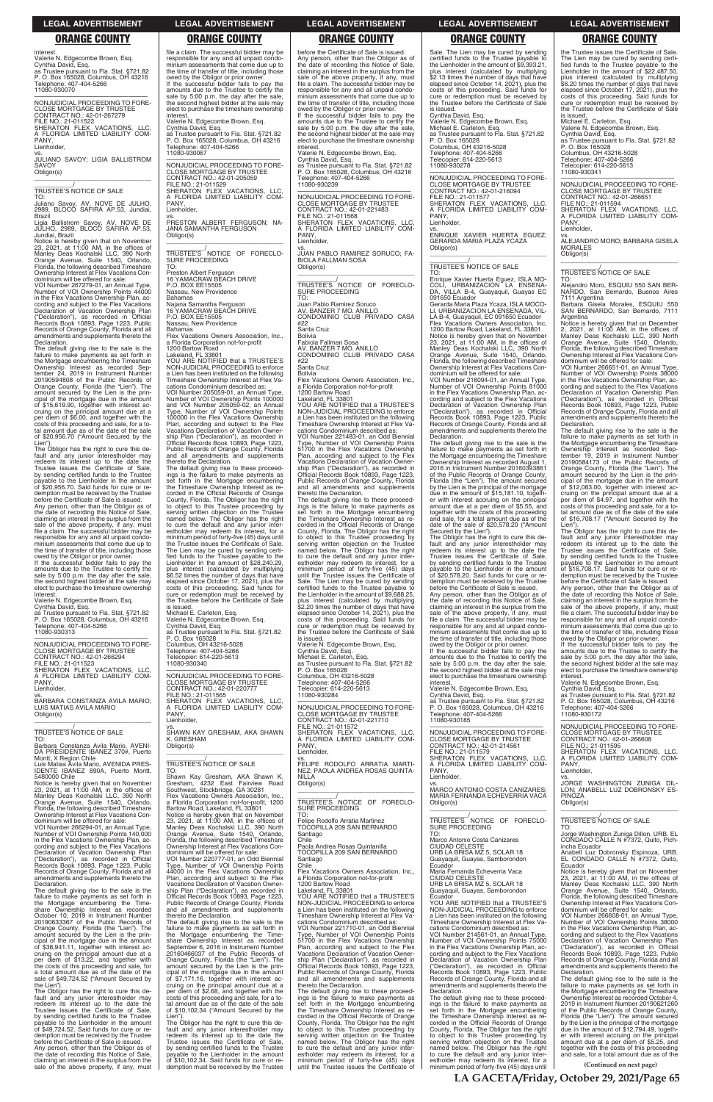interest. Valerie N. Edgecombe Brown, Esq.

Cynthia David, Esq. as Trustee pursuant to Fla. Stat. §721.82 P. O. Box 165028, Columbus, OH 43216 Telephone: 407-404-5266 11080-930070

—————————————————— NONJUDICIAL PROCEEDING TO FORE-CLOSE MORTGAGE BY TRUSTEE CONTRACT NO.: 42-01-267279 FILE NO.: 21-011522 SHERATON FLEX VACATIONS, LLC,

A FLORIDA LIMITED LIABILITY COM-PANY, Lienholder,

vs.

JULIANO SAVOY; LIGIA BALLISTROM **SAVOY** Obligor(s) \_\_\_\_\_\_\_\_\_\_\_\_\_\_\_\_\_\_\_\_\_\_\_\_\_\_\_\_\_\_\_\_\_

Notice is hereby given that on November<br>23, 2021, at 11:00 AM, in the offices of<br>Manley Deas Kochalski LLC, 390 North<br>Orange Avenue, Suite 1540, Orlando,<br>Florida, the following described Timeshare<br>Ownership Interest at Fle dominium will be offered for sale:

VOI Number 267279-01, an Annual Type, Number of VOI Ownership Points 44000 in the Flex Vacations Ownership Plan, according and subject to the Flex Vacations Declaration of Vacation Ownership Plan ("Declaration"), as recorded in Official Records Book 10893, Page 1223, Public Records of Orange County, Florida and all amendments and supplements thereto the **Declaration** 

# \_\_\_\_\_\_\_\_\_\_\_/ TRUSTEE'S NOTICE OF SALE

TO: Juliano Savoy, AV. NOVE DE JULHO,<br>2989, BLOCO SAFIRA AP.53, Jundiai, Brazil

Ligia Ballistrom Savoy, AV. NOVE DE JULHO, 2989, BLOCO SAFIRA AP.53, Jundiai, Brazil

The default giving rise to the sale is the failure to make payments as set forth in the Mortgage encumbering the Timeshare Ownership Interest as recorded Sep-tember 24, 2019 in Instrument Number 20190594808 of the Public Records of Orange County, Florida (the "Lien"). The amount secured by the Lien is the principal of the mortgage due in the amount of \$15,619.90, together with interest accruing on the principal amount due at a per diem of \$6.00, and together with the costs of this proceeding and sale, for a to-tal amount due as of the date of the sale of \$20,956.70 ("Amount Secured by the

Lien"). The Obligor has the right to cure this default and any junior interestholder may redeem its interest up to the date the Trustee issues the Certificate of Sale, by sending certified funds to the Trustee payable to the Lienholder in the amount of \$20,956.70. Said funds for cure or redemption must be received by the Trustee before the Certificate of Sale is issued.

Any person, other than the Obligor as of the date of recording this Notice of Sale, claiming an interest in the surplus from the sale of the above property, if any, must file a claim. The successful bidder may be responsible for any and all unpaid condominium assessments that come due up to the time of transfer of title, including those owed by the Obligor or prior owner.

Notice is hereby given that on November<br>23, 2021, at 11:00 AM, in the offices of<br>Manley Deas Kochalski LLC, 390 North<br>Orange Avenue, Suite 1540, Orlando,<br>Florida, the following described Timeshare Ownership Interest at Flex Vacations Condominium will be offered for sale: VOI Number 266294-01, an Annual Type, Number of VOI Ownership Points 140,000 in the Flex Vacations Ownership Plan, according and subject to the Flex Vacations<br>Declaration of Vacation Ownership Plan<br>("Declaration"), as recorded in Official<br>Records Book 10893, Page 1223, Public<br>Records of Orange County, Florida and all<br>amendments and suppl Declaration. The default giving rise to the sale is the failure to make payments as set forth in the Mortgage encumbering the Time-<br>share Ownership Interest as recorded<br>October 10, 2019 in Instrument Number<br>20190633367 of the Public Records of<br>Orange County, Florida (the "Lien"). The<br>amount secured by the Lien is the cipal of the mortgage due in the amount of \$38,941.11, together with interest accruing on the principal amount due at a per diem of \$13.22, and together with the costs of this proceeding and sale, for a total amount due as of the date of the sale of \$49,724.52 ("Amount Secured by the Lien"). The Obligor has the right to cure this default and any junior interestholder may redeem its interest up to the date the Trustee issues the Certificate of Sale, by sending certified funds to the Trustee payable to the Lienholder in the amount of \$49,724.52. Said funds for cure or redemption must be received by the Trustee before the Certificate of Sale is issued. Any person, other than the Obligor as of the date of recording this Notice of Sale, claiming an interest in the surplus from the sale of the above property, if any, must

If the successful bidder fails to pay the amounts due to the Trustee to certify the sale by 5:00 p.m. the day after the sale, the second highest bidder at the sale may elect to purchase the timeshare ownership

—————————————————— NONJUDICIAL PROCEEDING TO FORE-CLOSE MORTGAGE BY TRUSTEE CONTRACT NO.: 42-01-205059 FILE NO.: 21-011529 SHERATON FLEX VACATIONS, LLC, A FLORIDA LIMITED LIABILITY COM-PANY, Lienholder.

interest. Valerie N. Edgecombe Brown, Esq. Cynthia David, Esq. as Trustee pursuant to Fla. Stat. §721.82 P. O. Box 165028, Columbus, OH 43216 Telephone: 407-404-5266 11080-930313

\_\_\_\_\_\_\_\_\_\_\_/<br>TRUSTEE'S NOTICE OF FORECLO-<br>SURE PROCEEDING TO:

—————————————————— NONJUDICIAL PROCEEDING TO FORE-CLOSE MORTGAGE BY TRUSTEE CONTRACT NO.: 42-01-266294 FILE NO.: 21-011523 SHERATON FLEX VACATIONS, LLC, A FLORIDA LIMITED LIABILITY COM-PANY,

### Lienholder,

vs. BARBARA CONSTANZA AVILA MARIO; LUIS MATIAS AVILA MARIO Obligor(s) \_\_\_\_\_\_\_\_\_\_\_\_\_\_\_\_\_\_\_\_\_\_\_\_\_\_\_\_\_\_\_\_\_

### \_\_\_\_\_\_\_\_\_\_\_/ TRUSTEE'S NOTICE OF SALE TO:

Barbara Constanza Avila Mario, AVENI-DA PRESIDENTE IBANEZ 370#, Puerto Montt, X Region Chile Luis Matias Avila Mario, AVENIDA PRES-

IDENTE IBANEZ 890A, Puerto Montt, 5480000 Chile

amounts due to the Trustee to certify the sale by 5:00 p.m. the day after the sale, the second highest bidder at the sale may elect to purchase the timeshare ownership<br>interest.

file a claim. The successful bidder may be responsible for any and all unpaid condominium assessments that come due up to the time of transfer of title, including those owed by the Obligor or prior owner. If the successful bidder fails to pay the amounts due to the Trustee to certify the sale by 5:00 p.m. the day after the sale, the second highest bidder at the sale may elect to purchase the timeshare ownership interest.

Valerie N. Edgecombe Brown, Esq. Cynthia David, Esq. as Trustee pursuant to Fla. Stat. §721.82 P. O. Box 165028, Columbus, OH 43216 Telephone: 407-404-5266 11080-930067

vs. PRESTON ALBERT FERGUSON; NA-JANA SAMANTHA FERGUSON Obligor(s)

\_\_\_\_\_\_\_\_\_\_\_\_\_\_\_\_\_\_\_\_\_\_\_\_\_\_\_\_\_\_\_\_\_

Preston Albert Ferguson 16 YAMACRAW BEACH DRIVE P.O. BOX EE15505

Nassau, New Providence Bahamas

Najana Samantha Ferguson 16 YAMACRAW BEACH DRIVE P.O. BOX EE15505 Nassau, New Providence

Bahamas Flex Vacations Owners Association, Inc., a Florida Corporation not-for-profit 1200 Bartow Road

Lakeland, FL 33801

YOU ARE NOTIFIED that a TRUSTEE'S NON-JUDICIAL PROCEEDING to enforce a Lien has been instituted on the following Timeshare Ownership Interest at Flex Vacations Condominium described as: VOI Number 205059-01, an Annual Type, Number of VOI Ownership Points 100000 and VOI Number 205059-02, an Annual Type, Number of VOI Ownership Points 100000 in the Flex Vacations Ownership Plan, according and subject to the Flex Vacations Declaration of Vacation Ownership Plan ("Declaration"), as recorded in Official Records Book 10893, Page 1223, Public Records of Orange County, Florida and all amendments and supplements thereto the Declaration.

The default giving rise to these proceed-ings is the failure to make payments as set forth in the Mortgage encumbering the Timeshare Ownership Interest as re-corded in the Official Records of Orange County, Florida. The Obligor has the right to object to this Trustee proceeding by serving written objection on the Trustee named below. The Obligor has the right to cure the default and any junior inter-estholder may redeem its interest, for a minimum period of forty-five (45) days until the Trustee issues the Certificate of Sale. The Lien may be cured by sending certified funds to the Trustee payable to the Lienholder in the amount of \$28,240.29, plus interest (calculated by multiplying \$6.52 times the number of days that have elapsed since October 17, 2021), plus the costs of this proceeding. Said funds for cure or redemption must be received by the Trustee before the Certificate of Sale

is issued. Michael E. Carleton, Esq. Valerie N. Edgecombe Brown, Esq. Cynthia David, Esq. as Trustee pursuant to Fla. Stat. §721.82 P. O. Box 165028

Columbus, OH 43216-5028 Telephone: 407-404-5266 Telecopier: 614-220-5613 11080-930340

VOI Number 216094-01, an Annual Type, Number of VOI Ownership Points 81000 in the Flex Vacations Ownership Plan, according and subject to the Flex Vacations Declaration of Vacation Ownership Plan ("Declaration"), as recorded in Official Records Book 10893, Page 1223, Public Records of Orange County, Florida and all amendments and supplements thereto the **Declaration** 

—————————————————— NONJUDICIAL PROCEEDING TO FORE-CLOSE MORTGAGE BY TRUSTEE CONTRACT NO.: 42-01-220777 FILE NO.: 21-011565 SHERATON FLEX VACATIONS, LLC, FLORIDA LIMITED LIABILITY COM-A FL Lienholder,

vs. SHAWN KAY GRESHAM, AKA SHAWN K. GRESHAM Obligor(s) \_\_\_\_\_\_\_\_\_\_\_\_\_\_\_\_\_\_\_\_\_\_\_\_\_\_\_\_\_\_\_\_\_

# \_\_\_\_\_\_\_\_\_\_\_/ TRUSTEE'S NOTICE OF SALE

TO:

Secured by the Lien").<br>The Obligor has the right to cure this de-<br>fault and any junior interestholder may<br>redeem its interest up to the date the<br>Trustee issues the Certificate of Sale, by sending certified funds to the Trustee payable to the Lienholder in the amount of \$20,578.20. Said funds for cure or redemption must be received by the Trustee before the Certificate of Sale is issued.

Shawn Kay Gresham, AKA Shawn K. Gresham, 4232 East Fairview Road Southwest, Stockbridge, GA 30281 Flex Vacations Owners Association, Inc., a Florida Corporation not-for-profit, 1200 Bartow Road, Lakeland, FL 33801 Notice is hereby given that on November 23, 2021, at 11:00 AM, in the offices of Manley Deas Kochalski LLC, 390 North Orange Avenue, Suite 1540, Orlando, Florida, the following described Timeshare Ownership Interest at Flex Vacations Condominium will be offered for sale: VOI Number 220777-01, an Odd Biennial Type, Number of VOI Ownership Points 44000 in the Flex Vacations Ownership Plan, according and subject to the Flex Vacations Declaration of Vacation Ownership Plan ("Declaration"), as recorded in Official Records Book 10893, Page 1223, Public Records of Orange County, Florida and all amendments and supplements thereto the Declaration. The default giving rise to the sale is the failure to make payments as set forth in the Mortgage encumbering the Timeshare Ownership Interest as recorded September 6, 2016 in Instrument Number 20160466037 of the Public Records of Orange County, Florida (the "Lien"). The amount secured by the Lien is the principal of the mortgage due in the amount of \$7,171.16, together with interest ac-cruing on the principal amount due at a per diem of \$2.68, and together with the costs of this proceeding and sale, for a to-tal amount due as of the date of the sale of \$10,102.34 ("Amount Secured by the Lien"). The Obligor has the right to cure this default and any junior interestholder may redeem its interest up to the date the Trustee issues the Certificate of Sale, by sending certified funds to the Trustee payable to the Lienholder in the amount of \$10,102.34. Said funds for cure or redemption must be received by the Trustee

—————————————————— NONJUDICIAL PROCEEDING TO FORE-CLOSE MORTGAGE BY TRUSTEE CONTRACT NO.: 42-01-266651 FILE NO.: 21-011594 SHERATON FLEX VACATIONS, LLC, A FLORIDA LIMITED LIABILITY COM-A FLU<br>PANY,

before the Certificate of Sale is issued. Any person, other than the Obligor as of the date of recording this Notice of Sale, claiming an interest in the surplus from the sale of the above property, if any, must file a claim. The successful bidder may be responsible for any and all unpaid condominium assessments that come due up to the time of transfer of title, including those owed by the Obligor or prior owner. If the successful bidder fails to pay the

> Notice is hereby given that on December<br>2, 2021, at 11:00 AM, in the offices of<br>Manley Deas Kochalski LLC, 390 North<br>Orange Avenue, Suite 1540, Orlando,<br>Florida, the following described Timeshare Ownership Interest at Flex Vacations Condominium will be offered for sale:

interest. Valerie N. Edgecombe Brown, Esq. Cynthia David, Esq. as Trustee pursuant to Fla. Stat. §721.82 P. O. Box 165028, Columbus, OH 43216

Telephone: 407-404-5266 11080-930239

—————————————————— NONJUDICIAL PROCEEDING TO FORE-CLOSE MORTGAGE BY TRUSTEE CONTRACT NO.: 42-01-221483<br>FILE NO.: 21-011568<br>SHERATON FLEX VACATIONS, LLC,<br>A FLORIDA LIMITED LIABILITY COM-PANY,

Lienholder,

vs. JUAN PABLO RAMIREZ SORUCO; FA-BIOLA FALLMAN SOSA Obligor(s) \_\_\_\_\_\_\_\_\_\_\_\_\_\_\_\_\_\_\_\_\_\_\_\_\_\_\_\_\_\_\_\_\_

\_\_\_\_\_\_\_\_\_\_\_/ TRUSTEE'S NOTICE OF FORECLO-SURE PROCEEDING TO:

Juan Pablo Ramirez Soruco AV. BANZER 7 MO. ANILLO CONDOMINIO CLUB PRIVADO CASA

#22 Santa Cruz Bolivia

> by sending certified funds to the Trustee payable to the Lienholder in the amount of \$16,708.17. Said funds for cure or redemption must be received by the Trustee before the Certificate of Sale is issued. Any person, other than the Obligor as of the date of recording this Notice of Sale, claiming an interest in the surplus from the sale of the above property, if any, must file a claim. The successful bidder may be

Fabiola Fallman Sosa AV. BANZER 7 MO. ANILLO CONDOMINIO CLUB PRIVADO CASA #22

Santa Cruz

Bolivia Flex Vacations Owners Association, Inc., a Florida Corporation not-for-profit 1200 Bartow Road

Lakeland, FL 33801 YOU ARE NOTIFIED that a TRUSTEE'S NON-JUDICIAL PROCEEDING to enforce a Lien has been instituted on the following Timeshare Ownership Interest at Flex Vacations Condominium described as: VOI Number 221483-01, an Odd Biennial

Type, Number of VOI Ownership Points 51700 in the Flex Vacations Ownership Plan, according and subject to the Flex Vacations Declaration of Vacation Ownership Plan ("Declaration"), as recorded in Official Records Book 10893, Page 1223, Public Records of Orange County, Florida and all amendments and supplements thereto the Declaration.

> **LA GACETA/Friday, October 29, 2021/Page 65 (Continued on next page)** vs. MARCO ANTONIO COSTA CANIZARES; MARIA FERNANDA ECHEVERRIA VACA Obligor(s) \_\_\_\_\_\_\_\_\_\_\_\_\_\_\_\_\_\_\_\_\_\_\_\_\_\_\_\_\_\_\_\_\_ \_\_\_\_\_\_\_\_\_\_\_/<br>TRUSTEE'S NOTICE OF FORECLO-<br>SURE PROCEEDING TO: Marco Antonio Costa Canizares CIUDAD CELESTE URB LA BRISA MZ 5, SOLAR 18 Guayaquil, Guayas, Samborondon **Ecuador** Maria Fernanda Echeverria Vaca CIUDAD CELESTE URB LA BRISA MZ 5, SOLAR 18 Guayaquil, Guayas, Samborondon Ecuador YOU ARE NOTIFIED that a TRUSTEE'S NON-JUDICIAL PROCEEDING to enforce a Lien has been instituted on the following Timeshare Ownership Interest at Flex Vacations Condominium described as: VOI Number 214561-01, an Annual Type, Number of VOI Ownership Points 75000 in the Flex Vacations Ownership Plan, ac-cording and subject to the Flex Vacations Declaration of Vacation Ownership Plan ("Declaration"), as recorded in Official Records Book 10893, Page 1223, Public Records of Orange County, Florida and all amendments and supplements thereto the Declaration. The default giving rise to these proceed-ings is the failure to make payments as set forth in the Mortgage encumbering the Timeshare Ownership Interest as re-corded in the Official Records of Orange County, Florida. The Obligor has the right to object to this Trustee proceeding by serving written objection on the Trustee named below. The Obligor has the right to cure the default and any junior inter-estholder may redeem its interest, for a minimum period of forty-five (45) days until LON; ANABELL LUZ DOBRONSKY ES-PINOZA Obligor(s) \_\_\_\_\_\_\_\_\_\_\_\_\_\_\_\_\_\_\_\_\_\_\_\_\_\_\_\_\_\_\_\_\_ \_\_\_\_\_\_\_\_\_\_\_/ TRUSTEE'S NOTICE OF SALE TO: Jorge Washington Zuniga Dillon, URB. EL CONDADO CALLE N #7372, Quito, Pichincha Ecuador Anabell Luz Dobronsky Espinoza, URB. EL CONDADO CALLE N #7372, Quito, Ecuador Notice is hereby given that on November 23, 2021, at 11:00 AM, in the offices of Manley Deas Kochalski LLC, 390 North Orange Avenue, Suite 1540, Orlando, Florida, the following described Timeshare Ownership Interest at Flex Vacations Condominium will be offered for sale: VOI Number 266608-01, an Annual Type, Number of VOI Ownership Points 38000 in the Flex Vacations Ownership Plan, according and subject to the Flex Vacations Cording and Subject to the new cordination of Vacation Ownership Plan ("Declaration"), as recorded in Official Records Book 10893, Page 1223, Public Records of Orange County, Florida and all amendments and supplements thereto the Declaration. The default giving rise to the sale is the failure to make payments as set forth in the Mortgage encumbering the Timeshare Ownership Interest as recorded October 4, 2019 in Instrument Number 20190621260 of the Public Records of Orange County, Florida (the "Lien"). The amount secured by the Lien is the principal of the mortgage due in the amount of \$12,794.49, together with interest accruing on the principal amount due at a per diem of \$5.25, and together with the costs of this proceeding and sale, for a total amount due as of the

The default giving rise to these proceed-ings is the failure to make payments as set forth in the Mortgage encumbering the Timeshare Ownership Interest as re-corded in the Official Records of Orange County, Florida. The Obligor has the right to object to this Trustee proceeding by serving written objection on the Trustee<br>named below. The Obligor has the right<br>to cure the default and any junior inter-<br>estholder may redeem its interest, for a<br>minimum period of forty-five (45) days<br>until the Trustee is Sale. The Lien may be cured by sending certified funds to the Trustee payable to the Lienholder in the amount of \$9,688.25, plus interest (calculated by multiplying \$2.20 times the number of days that have elapsed since October 14, 2021), plus the costs of this proceeding. Said funds for cure or redemption must be received by the Trustee before the Certificate of Sale is issued.

Valerie N. Edgecombe Brown, Esq. Cynthia David, Esq. Michael E. Carleton, Esq.

as Trustee pursuant to Fla. Stat. §721.82 P. O. Box 165028 Columbus, OH 43216-5028 Telephone: 407-404-5266

Telecopier: 614-220-5613 11080-930284

—————————————————— NONJUDICIAL PROCEEDING TO FORE-CLOSE MORTGAGE BY TRUSTEE CONTRACT NO.: 42-01-221710 FILE NO.: 21-011572 SHERATON FLEX VACATIONS, LLC, A FLORIDA LIMITED LIABILITY COM-PANY, Lienholder,

vs. FELIPE RODOLFO ARRATIA MARTI-NEZ; PAOLA ANDREA ROSAS QUINTA-NILLA Obligor(s) \_\_\_\_\_\_\_\_\_\_\_\_\_\_\_\_\_\_\_\_\_\_\_\_\_\_\_\_\_\_\_\_\_

\_\_\_\_\_\_\_\_\_\_\_/ TRUSTEE'S NOTICE OF FORECLO-SURE PROC TO: Felipe Rodolfo Arratia Martinez TOCOPILLA 209 SAN BERNARDO Santiago Chile Paola Andrea Rosas Quintanilla TOCOPILLA 209 SAN BERNARDO Santiago Chile Flex Vacations Owners Association, Inc., a Florida Corporation not-for-profit 1200 Bartow Road Lakeland, FL 33801 YOU ARE NOTIFIED that a TRUSTEE'S NON-JUDICIAL PROCEEDING to enforce a Lien has been instituted on the following Timeshare Ownership Interest at Flex Vacations Condominium described as: VOI Number 221710-01, an Odd Biennial Type, Number of VOI Ownership Points 51700 in the Flex Vacations Ownership Plan, according and subject to the Flex Vacations Declaration of Vacation Ownership Plan ("Declaration"), as recorded in Official Records Book 10893, Page 1223, Public Records of Orange County, Florida and all amendments and supplements thereto the Declaration. The default giving rise to these proceed-ings is the failure to make payments as set forth in the Mortgage encumbering the Timeshare Ownership Interest as re-corded in the Official Records of Orange County, Florida. The Obligor has the right to object to this Trustee proceeding by serving written objection on the Trustee named below. The Obligor has the right to cure the default and any junior inter-estholder may redeem its interest, for a minimum period of forty-five (45) days until the Trustee issues the Certificate of

Sale. The Lien may be cured by sending certified funds to the Trustee payable to the Lienholder in the amount of \$9,393.21, plus interest (calculated by multiplying \$2.13 times the number of days that have elapsed since October 14, 2021), plus the costs of this proceeding. Said funds for cure or redemption must be received by the Trustee before the Certificate of Sale is issued. is issueu.<br>Cynthia David, Esq. Valerie N. Edgecombe Brown, Esq. Michael E. Carleton, Esq. as Trustee pursuant to Fla. Stat. §721.82 P. O. Box 165028 Columbus, OH 43216-5028 Telephone: 407-404-5266 Telecopier: 614-220-5613 11080-930278 —————————————————— NONJUDICIAL PROCEEDING TO FORE-

CLOSE MORTGAGE BY TRUSTEE CONTRACT NO.: 42-01-216094 FILE NO.: 21-011577 SHERATON FLEX VACATIONS, LLC, A FLORIDA LIMITED LIABILITY COM-PANY, Lienholder,

vs.

ENRIQUE XAVIER HUERTA EGUEZ; GERARDA MARIA PLAZA YCAZA Obligor(s) \_\_\_\_\_\_\_\_\_\_\_\_\_\_\_\_\_\_\_\_\_\_\_\_\_\_\_\_\_\_\_\_\_

\_\_\_\_\_\_\_\_\_\_\_/ TRUSTEE'S NOTICE OF SALE TO:

Enrique Xavier Huerta Eguez, ISLA MO-COLI, URBANIZACION LA ENSENA-DA, VILLA B-4, Guayaquil, Guayas EC 091650 Ecuador Gerarda Maria Plaza Ycaza, ISLA MOCO-

LI, URBANIZACION LA ENSENADA, VIL-LA B-4, Guayaquil, EC 091650 Ecuador Flex Vacations Owners Association, Inc, 1200 Bartow Road, Lakeland, FL 33801 Notice is hereby given that on November 23, 2021, at 11:00 AM, in the offices of Manley Deas Kochalski LLC, 390 North Orange Avenue, Suite 1540, Orlando, Florida, the following described Timeshare Ownership Interest at Flex Vacations Condominium will be offered for sale:

The default giving rise to the sale is the failure to make payments as set forth in the Mortgage encumbering the Timeshare Ownership Interest as recorded August 1, 2016 in Instrument Number 20160393861 of the Public Records of Orange County, Florida (the "Lien"). The amount secured by the Lien is the principal of the mortgage due in the amount of \$15,181.10, togeth-er with interest accruing on the principal amount due at a per diem of \$5.55, and together with the costs of this proceeding and sale, for a total amount due as of the date of the sale of \$20,578.20 ("Amount

Any person, other than the Obligor as of the date of recording this Notice of Sale, claiming an interest in the surplus from the sale of the above property, if any, must file a claim. The successful bidder may be responsible for any and all unpaid condominium assessments that come due up to the time of transfer of title, including those owed by the Obligor or prior owner. If the successful bidder fails to pay the

amounts due to the Trustee to certify the sale by 5:00 p.m. the day after the sale, the second highest bidder at the sale may elect to purchase the timeshare ownership interest.

Valerie N. Edgecombe Brown, Esq.

Cynthia David, Esq. as Trustee pursuant to Fla. Stat. §721.82 P. O. Box 165028, Columbus, OH 43216 Telephone: 407-404-5266 11080-930185

—————————————————— NONJUDICIAL PROCEEDING TO FORE-CLOSE MORTGAGE BY TRUSTEE CONTRACT NO.: 42-01-214561 FILE NO.: 21-011579 SHERATON FLEX VACATIONS, LLC, A FLORIDA LIMITED LIABILITY COM-PANY,

Lienholder,

the Trustee issues the Certificate of Sale. The Lien may be cured by sending certi-fied funds to the Trustee payable to the Lienholder in the amount of \$22,487.50, plus interest (calculated by multiplying \$6.20 times the number of days that have elapsed since October 17, 2021), plus the costs of this proceeding. Said funds for cure or redemption must be received by the Trustee before the Certificate of Sale is issued.

Michael E. Carleton, Esq.

Valerie N. Edgecombe Brown, Esq. Cynthia David, Esq.

as Trustee pursuant to Fla. Stat. §721.82 P. O. Box 165028 Columbus, OH 43216-5028 Telephone: 407-404-5266 Telecopier: 614-220-5613

11080-930341

Lienholder,

vs. ALEJANDRO MORO; BARBARA GISELA MORALES Obligor(s) \_\_\_\_\_\_\_\_\_\_\_\_\_\_\_\_\_\_\_\_\_\_\_\_\_\_\_\_\_\_\_\_\_

\_\_\_\_\_\_\_\_\_\_\_/ TRUSTEE'S NOTICE OF SALE TO:

Alejandro Moro, ESQUIU 550 SAN BER-NARDO, San Bernardo, Buenos Aires

7111 Argentina

**Argentina** 

Barbara Gisela Morales, ESQUIU 550 SAN BERNARDO, San Bernardo, 7111

VOI Number 266651-01, an Annual Type, Number of VOI Ownership Points 38000 in the Flex Vacations Ownership Plan, ac-cording and subject to the Flex Vacations Declaration of Vacation Ownership Plan<br>
"Declaration") as recorded in Official ("Declaration"), as recorded in Official Records Book 10893, Page 1223, Public Records of Orange County, Florida and all amendments and supplements thereto the

Declaration.

The default giving rise to the sale is the failure to make payments as set forth in the Mortgage encumbering the Timeshare Ownership Interest as recorded Sep-tember 19, 2019 in Instrument Number 20190584173 of the Public Records of Orange County, Florida (the "Lien"). The amount secured by the Lien is the prin-cipal of the mortgage due in the amount

of \$12,083.00, together with interest ac-cruing on the principal amount due at a per diem of \$4.97, and together with the

costs of this proceeding and sale, for a to-tal amount due as of the date of the sale of \$16,708.17 ("Amount Secured by the

Lien"). The Obligor has the right to cure this de-fault and any junior interestholder may redeem its interest up to the date the Trustee issues the Certificate of Sale,

responsible for any and all unpaid condo-minium assessments that come due up to the time of transfer of title, including those

owed by the Obligor or prior owner. If the successful bidder fails to pay the amounts due to the Trustee to certify the sale by 5:00 p.m. the day after the sale, the second highest bidder at the sale may elect to purchase the timeshare ownership

interest.

Valerie N. Edgecombe Brown, Esq. Cynthia David, Esq. as Trustee pursuant to Fla. Stat. §721.82 P. O. Box 165028, Columbus, OH 43216

Telephone: 407-404-5266 11080-930172

—————————————————— NONJUDICIAL PROCEEDING TO FORE-CLOSE MORTGAGE BY TRUSTEE

CONTRACT NO.: 42-01-266608<br>FILE NO.: 21-011595<br>SHERATON FLEX VACATIONS, LLC,<br>A FLORIDA LIMITED LIABILITY COM-

PANY, Lienholder,

vs. JORGE WASHINGTON ZUNIGA DIL-

### **LEGAL ADVERTISEMENT LEGAL ADVERTISEMENT LEGAL ADVERTISEMENT LEGAL ADVERTISEMENT LEGAL ADVERTISEMENT**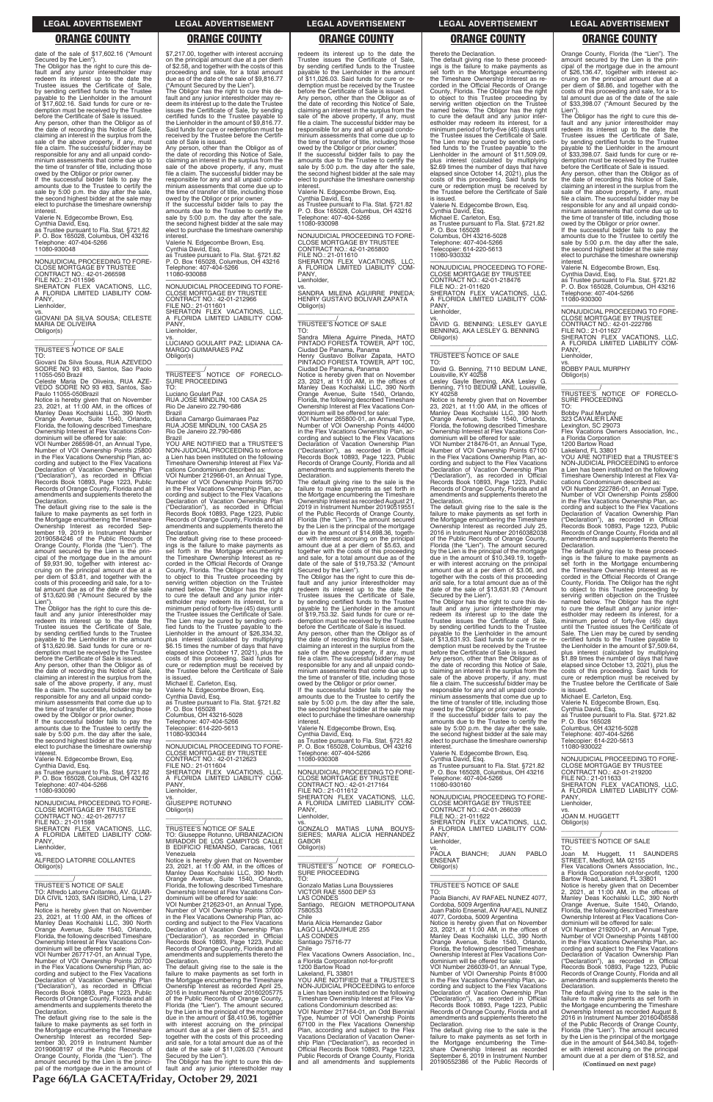### **LEGAL ADVERTISEMENT LEGAL ADVERTISEMENT LEGAL ADVERTISEMENT LEGAL ADVERTISEMENT LEGAL ADVERTISEMENT**

ereto the Declaration.

# **ORANGE COUNTY ORANGE COUNTY ORANGE COUNTY ORANGE COUNTY ORANGE COUNTY**

owed by the Obligor or prior owner. If the successful bidder fails to pay the amounts due to the Trustee to certify the sale by 5:00 p.m. the day after the sale, the second highest bidder at the sale may elect to purchase the timeshare ownership **interest** 

micresi.<br>Valerie N. Edgecombe Brown, Esg.

date of the sale of \$17,602.16 ("Amount Secured by the Lien"). The Obligor has the right to cure this default and any junior interestholder may redeem its interest up to the date the Trustee issues the Certificate of Sale, by sending certified funds to the Trustee payable to the Lienholder in the amount of \$17,602.16. Said funds for cure or redemption must be received by the Trustee before the Certificate of Sale is issued. Any person, other than the Obligor as of date of recording this Notice of Sale, claiming an interest in the surplus from the sale of the above property, if any, must file a claim. The successful bidder may be responsible for any and all unpaid condominium assessments that come due up to the time of transfer of title, including those

—————————————————— NONJUDICIAL PROCEEDING TO FORE-CLOSE MORTGAGE BY TRUSTEE CONTRACT NO.: 42-01-266598 FILE NO.: 21-011596 SHERATON FLEX VACATIONS, LLC, A FLORIDA LIMITED LIABILITY COM-PANY Lienholder.

Cynthia David, Esq. as Trustee pursuant to Fla. Stat. §721.82 P. O. Box 165028, Columbus, OH 43216 Telephone: 407-404-5266 11080-930048

vs. GIOVANI DA SILVA SOUSA; CELESTE MARIA DE OLIVEIRA Obligor(s)

\_\_\_\_\_\_\_\_\_\_\_\_\_\_\_\_\_\_\_\_\_\_\_\_\_\_\_\_\_\_\_\_\_

\_\_\_\_\_\_\_\_\_\_\_/ TRUSTEE'S NOTICE OF SALE

TO: Giovani Da Silva Sousa, RUA AZEVEDO SODRE NO 93 #83, Santos, Sao Paolo

11055-050 Brazil Celeste Maria De Oliveira, RUA AZE-VEDO SODRE NO 93 #83, Santos, Sao Paulo 11055-050Brazil

owed by the Obligor or prior owner. If the successful bidder fails to pay the amounts due to the Trustee to certify the sale by 5:00 p.m. the day after the sale, the second highest bidder at the sale may elect to purchase the timeshare ownership interest

Notice is hereby given that on November 23, 2021, at 11:00 AM, in the offices of Manley Deas Kochalski LLC, 390 North Orange Avenue, Suite 1540, Orlando, Florida, the following described Timeshare Ownership Interest at Flex Vacations Condominium will be offered for sale:

VOI Number 266598-01, an Annual Type, Number of VOI Ownership Points 25800 in the Flex Vacations Ownership Plan, according and subject to the Flex Vacations Declaration of Vacation Ownership Plan ("Declaration"), as recorded in Official Records Book 10893, Page 1223, Public Records of Orange County, Florida and all amendments and supplements thereto the Declaration.

The default giving rise to the sale is the failure to make payments as set forth in the Mortgage encumbering the Timeshare Ownership Interest as recorded Sep-tember 19, 2019 in Instrument Number 20190584246 of the Public Records of Orange County, Florida (the "Lien"). The amount secured by the Lien is the principal of the mortgage due in the amount of \$9,931.90, together with interest ac-cruing on the principal amount due at a per diem of \$3.81, and together with the costs of this proceeding and sale, for a to-tal amount due as of the date of the sale of \$13,620.98 ("Amount Secured by the

The Obligor has the right to cure this default and any junior interestholder may redeem its interest up to the date the Trustee issues the Certificate of Sale, by sending certified funds to the Trustee payable to the Lienholder in the amount of \$9,816.77. Said funds for cure or redemption must be received by the Trustee before the Certificate of Sale is issued. Any person, other than the Obligor as

Lien"). The Obligor has the right to cure this de-fault and any junior interestholder may redeem its interest up to the date the Trustee issues the Certificate of Sale, by sending certified funds to the Trustee payable to the Lienholder in the amount of \$13,620.98. Said funds for cure or redemption must be received by the Trustee before the Certificate of Sale is issued.

Any person, other than the Obligor as of the date of recording this Notice of Sale, claiming an interest in the surplus from the sale of the above property, if any, must file a claim. The successful bidder may be responsible for any and all unpaid condo minium assessments that come due up to the time of transfer of title, including those

Valerie N. Edgecombe Brown, Esq. Cynthia David, Esq. as Trustee pursuant to Fla. Stat. §721.82 P. O. Box 165028, Columbus, OH 43216 Telephone: 407-404-5266 11080-930090

—————————————————— NONJUDICIAL PROCEEDING TO FORE-

\$7,217.00, together with interest accruing on the principal amount due at a per diem of \$2.58, and together with the costs of this proceeding and sale, for a total amount due as of the date of the sale of \$9,816.77 ("Amount Secured by the Lien").

> amounts due to the Trustee to certify the sale by 5:00 p.m. the day after the sale, the second highest bidder at the sale may elect to purchase the timeshare ownership interest

**PANY** Lienholder,

the date of recording this Notice of Sale, claiming an interest in the surplus from the sale of the above property, if any, must file a claim. The successful bidder may be responsible for any and all unpaid condo-minium assessments that come due up to the time of transfer of title, including those owed by the Obligor or prior owner. If the successful bidder fails to pay the

amounts due to the Trustee to certify the sale by 5:00 p.m. the day after the sale the second highest bidder at the sale may elect to purchase the timeshare ownership interest.

Valerie N. Edgecombe Brown, Esq. Cynthia David, Esq. as Trustee pursuant to Fla. Stat. §721.82 P. O. Box 165028, Columbus, OH 43216 Telephone: 407-404-5266 11080-930088

—————————————————— NONJUDICIAL PROCEEDING TO FORE-CLOSE MORTGAGE BY TRUSTEE CONTRACT NO.: 42-01-212966 FILE NO.: 21-011601 SHERATON FLEX VACATIONS, LLC, A FLORIDA LIMITED LIABILITY COM-A FLC Lienholder,

> The Obligor has the right to cure this default and any junior interestholder may redeem its interest up to the date the Trustee issues the Certificate of Sale, payable to the Lienholder in the amount of \$19,753.32. Said funds for cure or redemption must be received by the Trustee Any person, other than the Obligor as of the date of recording this Notice of Sale, claiming an interest in the surplus from the

vs. LUCIANO GOULART PAZ; LIDIANA CA-MARGO GUIMARAES PAZ Obligor(s)

\_\_\_\_\_\_\_\_\_\_\_\_\_\_\_\_\_\_\_\_\_\_\_\_\_\_\_\_\_\_\_\_\_ \_\_\_\_\_\_\_\_\_\_\_/ TRUSTEE'S NOTICE OF FORECLO-SURE PROCEEDING TO:

elect to purchase the timeshare ownership interest

Luciano Goulart Paz RUA JOSE MINDLIN, 100 CASA 25 Rio De Janeiro 22.790-686 Brazil

Lidiana Camargo Guimaraes Paz RUA JOSE MINDLIN, 100 CASA 25 Rio De Janeiro 22.790-686

Brazil YOU ARE NOTIFIED that a TRUSTEE'S NON-JUDICIAL PROCEEDING to enforce a Lien has been instituted on the following Timeshare Ownership Interest at Flex Vamissimate Christophy Interest at The VOI Number 212966-01, an Annual Type, Number of VOI Ownership Points 95700 in the Flex Vacations Ownership Plan, ac-cording and subject to the Flex Vacations Declaration of Vacation Ownership Plan

("Declaration"), as recorded in Official Records Book 10893, Page 1223, Public Records of Orange County, Florida and all amendments and supplements thereto the Declaration. The default giving rise to these proceed-

ings is the failure to make payments as set forth in the Mortgage encumbering the Timeshare Ownership Interest as re-corded in the Official Records of Orange County, Florida. The Obligor has the right to object to this Trustee proceeding by serving written objection on the Trustee named below. The Obligor has the right to cure the default and any junior inter-estholder may redeem its interest, for a minimum period of forty-five (45) days until the Trustee issues the Certificate of Sale. The Lien may be cured by sending certified funds to the Trustee payable to the<br>Lienholder in the amount of \$26,334.32, plus interest (calculated by multiplying \$6.15 times the number of days that have elapsed since October 17, 2021), plus the costs of this proceeding. Said funds for cure or redemption must be received by the Trustee before the Certificate of Sale

is issued. Michael E. Carleton, Esq. Valerie N. Edgecombe Brown, Esq.

Cynthia David, Esq. as Trustee pursuant to Fla. Stat. §721.82 P. O. Box 165028 Columbus, OH 43216-5028 Telephone: 407-404-5266 Telecopier: 614-220-5613

11080-930344 —————————————————— NONJUDICIAL PROCEEDING TO FORE-

CLOSE MORTGAGE BY TRUSTEE CONTRACT NO.: 42-01-212623 FILE NO.: 21-011604 SHERATON FLEX VACATIONS, LLC, A FLORIDA LIMITED LIABILITY COM-A FLC<br>PANY, Lienholder,

vs. GIUSEPPE ROTUNNO

Any person, other than the Obligor as of the date of recording this Notice of Sale, claiming an interest in the surplus from the sale of the above property, if any, must file a claim. The successful bidder may be responsible for any and all unpaid condominium assessments that come due up to the time of transfer of title, including those

owed by the Obligor or prior owner. If the successful bidder fails to pay the amounts due to the Trustee to certify the sale by 5:00 p.m. the day after the sale, the second highest bidder at the sale may elect to purchase the timeshare ownership interest

redeem its interest up to the date the Trustee issues the Certificate of Sale, by sending certified funds to the Trustee payable to the Lienholder in the amount of \$11,026.03. Said funds for cure or redemption must be received by the Trustee before the Certificate of Sale is issued. Any person, other than the Obligor as of the date of recording this Notice of Sale, claiming an interest in the surplus from the sale of the above property, if any, must file a claim. The successful bidder may be responsible for any and all unpaid condominium assessments that come due up to the time of transfer of title, including those owed by the Obligor or prior owner. If the successful bidder fails to pay the

> \_\_\_\_\_\_\_\_\_\_\_\_/<br>TRUSTEE'S NOTICE OF FORECLO-<br>SURE PROCEEDING TO:

Valerie N. Edgecombe Brown, Esq. Cynthia David, Esq.

as Trustee pursuant to Fla. Stat. §721.82 P. O. Box 165028, Columbus, OH 43216 Telephone: 407-404-5266 11080-930098

—————————————————— NONJUDICIAL PROCEEDING TO FORE-CLOSE MORTGAGE BY TRUSTEE CONTRACT NO.: 42-01-265800 FILE NO.: 21-011610 SHERATON FLEX VACATIONS, LLC, A FLORIDA LIMITED LIABILITY COM-

vs. SANDRA MILENA AGUIRRE PINEDA; HENRY GUSTAVO BOLIVAR ZAPATA Obligor(s)

\_\_\_\_\_\_\_\_\_\_\_\_\_\_\_\_\_\_\_\_\_\_\_\_\_\_\_\_\_\_\_\_\_

\_\_\_\_\_\_\_\_\_\_\_/ TRUSTEE'S NOTICE OF SALE

Sandra Milena Aguirre Pineda, HATO PINTADO FORESTA TOWER, APT 10C,

TO: Ciudad De Panama, Panama

Henry Gustavo Bolivar Zapata, HATO PINTADO FORESTA TOWER, APT 10C, Ciudad De Panama, Panama Ownership Interest at Flex Vacations Con-

Notice is hereby given that on November 23, 2021, at 11:00 AM, in the offices of Manley Deas Kochalski LLC, 390 North Orange Avenue, Suite 1540, Orlando, Florida, the following described Timeshare

dominium will be offered for sale: VOI Number 265800-01, an Annual Type, Number of VOI Ownership Points 44000 in the Flex Vacations Ownership Plan, ac-

cording and subject to the Flex Vacations Declaration of Vacation Ownership Plan ("Declaration"), as recorded in Official Records Book 10893, Page 1223, Public Records of Orange County, Florida and all amendments and supplements thereto the Declaration.

The default giving rise to the sale is the

| <b>CLOSE MORTGAGE BY TRUSTEE</b><br>CONTRACT NO.: 42-01-267717                     | Obligor(s)                                                                             | PANY.<br>Lienholder,                                                                 | CONTRACT NO.: 42-01-266039<br>FILE NO.: 21-011622                                      | <b>JOAN M. HUGGETT</b>                                                                  |  |  |
|------------------------------------------------------------------------------------|----------------------------------------------------------------------------------------|--------------------------------------------------------------------------------------|----------------------------------------------------------------------------------------|-----------------------------------------------------------------------------------------|--|--|
| FILE NO.: 21-011598                                                                |                                                                                        | VS.                                                                                  | SHERATON FLEX VACATIONS. LLC.                                                          | Obligor(s)                                                                              |  |  |
| SHERATON FLEX VACATIONS, LLC,                                                      | TRUSTEE'S NOTICE OF SALE                                                               | GONZALO MATIAS LUNA BOUYS-                                                           | A FLORIDA LIMITED LIABILITY COM-                                                       |                                                                                         |  |  |
| A FLORIDA LIMITED LIABILITY COM-                                                   | TO: Giuseppe Rotunno, URBANIZACION                                                     | SIERES: MARIA ALICIA HERNANDEZ                                                       | PANY.                                                                                  |                                                                                         |  |  |
| PANY.                                                                              | MIRADOR DE LOS CAMPITOS CALLE                                                          | <b>GABOR</b>                                                                         | Lienholder,                                                                            | TRUSTEE'S NOTICE OF SALE                                                                |  |  |
| Lienholder,                                                                        | B EDIFICIO REMANSO, Caracas, 1061                                                      | Obligor(s)                                                                           | VS.                                                                                    | TO:                                                                                     |  |  |
| VS.<br>ALFREDO LATORRE COLLANTES                                                   | Venezuela                                                                              |                                                                                      | BIANCHI;<br>JUAN<br><b>PABLO</b><br>PAOLA<br><b>ENSENAT</b>                            | Joan M. Huggett, 11 SAUNDERS                                                            |  |  |
|                                                                                    | Notice is hereby given that on November<br>23, 2021, at 11:00 AM, in the offices of    | TRUSTEE'S NOTICE OF FORECLO-                                                         |                                                                                        | STREET, Medford, MA 02155<br>Flex Vacations Owners Association. Inc                     |  |  |
| Obligor(s)                                                                         | Manley Deas Kochalski LLC, 390 North                                                   | SURE PROCEEDING                                                                      | Obligor(s)                                                                             | a Florida Corporation not-for-profit, 1200                                              |  |  |
|                                                                                    | Orange Avenue, Suite 1540, Orlando,                                                    | TO:                                                                                  |                                                                                        | Bartow Road, Lakeland, FL 33801                                                         |  |  |
| TRUSTEE'S NOTICE OF SALE                                                           | Florida, the following described Timeshare                                             | Gonzalo Matias Luna Bouyssieres                                                      | TRUSTEE'S NOTICE OF SALE                                                               | Notice is hereby given that on December                                                 |  |  |
| TO: Alfredo Latorre Collantes, AV. GUAR-                                           | Ownership Interest at Flex Vacations Con-                                              | VICTOR RAE 5500 DEP 53                                                               | TO.                                                                                    | 2, 2021, at $11:00$ AM, in the offices of                                               |  |  |
| DIA CIVIL 1203, SAN ISIDRO, Lima, L 27                                             | dominium will be offered for sale:                                                     | <b>LAS CONDES</b>                                                                    | Paola Bianchi, AV RAFAEL NUNEZ 4077,                                                   | Manley Deas Kochalski LLC, 390 North                                                    |  |  |
| Peru                                                                               | VOI Number 212623-01, an Annual Type,                                                  | Santiago, REGION METROPOLITANA                                                       | Cordoba, 5009 Argentina                                                                | Orange Avenue, Suite 1540, Orlando,                                                     |  |  |
| Notice is hereby given that on November                                            | Number of VOI Ownership Points 37000                                                   | 7580533                                                                              | Juan Pablo Ensenat, AV RAFAEL NUNEZ                                                    | Florida, the following described Timeshare                                              |  |  |
| 23, 2021, at 11:00 AM, in the offices of                                           | in the Flex Vacations Ownership Plan, ac-                                              | Chile<br>Maria Alicia Hernandez Gabor                                                | 4077, Cordoba, 5009 Argentina                                                          | Ownership Interest at Flex Vacations Con-<br>dominium will be offered for sale:         |  |  |
| Manley Deas Kochalski LLC, 390 North<br>Orange Avenue, Suite 1540, Orlando,        | cording and subject to the Flex Vacations<br>Declaration of Vacation Ownership Plan    | <b>LAGO LLANQUIHUE 255</b>                                                           | Notice is hereby given that on November<br>23, 2021, at $11:00$ AM, in the offices of  | VOI Number 219200-01, an Annual Type,                                                   |  |  |
| Florida, the following described Timeshare                                         | ("Declaration"), as recorded in Official                                               | <b>LAS CONDES</b>                                                                    | Manley Deas Kochalski LLC, 390 North                                                   | Number of VOI Ownership Points 148100                                                   |  |  |
| Ownership Interest at Flex Vacations Con-                                          | Records Book 10893, Page 1223, Public                                                  | Santiago 75716-77                                                                    | Orange Avenue, Suite 1540, Orlando,                                                    | in the Flex Vacations Ownership Plan, ac-                                               |  |  |
| dominium will be offered for sale:                                                 | Records of Orange County, Florida and all                                              | Chile                                                                                | Florida, the following described Timeshare                                             | cording and subject to the Flex Vacations                                               |  |  |
| VOI Number 267717-01, an Annual Type,                                              | amendments and supplements thereto the                                                 | Flex Vacations Owners Association, Inc.,                                             | Ownership Interest at Flex Vacations Con-                                              | Declaration of Vacation Ownership Plan                                                  |  |  |
| Number of VOI Ownership Points 20700                                               | Declaration.                                                                           | a Florida Corporation not-for-profit                                                 | dominium will be offered for sale:                                                     | ("Declaration"), as recorded in Official                                                |  |  |
| in the Flex Vacations Ownership Plan, ac-                                          | The default giving rise to the sale is the                                             | 1200 Bartow Road                                                                     | VOI Number 266039-01, an Annual Type,                                                  | Records Book 10893, Page 1223, Public                                                   |  |  |
| cording and subject to the Flex Vacations                                          | failure to make payments as set forth in                                               | Lakeland. FL 33801                                                                   | Number of VOI Ownership Points 81000                                                   | Records of Orange County, Florida and all                                               |  |  |
| Declaration of Vacation Ownership Plan<br>("Declaration"), as recorded in Official | the Mortgage encumbering the Timeshare<br>Ownership Interest as recorded April 25,     | YOU ARE NOTIFIED that a TRUSTEE'S<br>NON-JUDICIAL PROCEEDING to enforce              | in the Flex Vacations Ownership Plan, ac-<br>cording and subject to the Flex Vacations | amendments and supplements thereto the<br>Declaration.                                  |  |  |
| Records Book 10893, Page 1223, Public                                              | 2016 in Instrument Number 20160205775                                                  | a Lien has been instituted on the following                                          | Declaration of Vacation Ownership Plan                                                 | The default giving rise to the sale is the                                              |  |  |
| Records of Orange County, Florida and all                                          | of the Public Records of Orange County,                                                | Timeshare Ownership Interest at Flex Va-                                             | ("Declaration"), as recorded in Official                                               | failure to make payments as set forth in                                                |  |  |
| amendments and supplements thereto the                                             | Florida (the "Lien"). The amount secured                                               | cations Condominium described as:                                                    | Records Book 10893, Page 1223, Public                                                  | the Mortgage encumbering the Timeshare                                                  |  |  |
| Declaration.                                                                       | by the Lien is the principal of the mortgage                                           | VOI Number 217164-01, an Odd Biennial                                                | Records of Orange County, Florida and all                                              | Ownership Interest as recorded August 8,                                                |  |  |
| The default giving rise to the sale is the                                         | due in the amount of \$8,410.96, together                                              | Type, Number of VOI Ownership Points                                                 | amendments and supplements thereto the                                                 | 2016 in Instrument Number 20160408588                                                   |  |  |
| failure to make payments as set forth in                                           | with interest accruing on the principal                                                | 67100 in the Flex Vacations Ownership                                                | Declaration.                                                                           | of the Public Records of Orange County,                                                 |  |  |
| the Mortgage encumbering the Timeshare                                             | amount due at a per diem of \$2.51, and                                                | Plan, according and subject to the Flex                                              | The default giving rise to the sale is the                                             | Florida (the "Lien"). The amount secured                                                |  |  |
| Ownership Interest as recorded Sep-<br>tember 30, 2019 in Instrument Number        | together with the costs of this proceeding                                             | Vacations Declaration of Vacation Owner-                                             | failure to make payments as set forth in                                               | by the Lien is the principal of the mortgage                                            |  |  |
| 20190608197 of the Public Records of                                               | and sale, for a total amount due as of the<br>date of the sale of \$11,026.03 ("Amount | ship Plan ("Declaration"), as recorded in<br>Official Records Book 10893, Page 1223, | the Mortgage encumbering the Time-<br>share Ownership Interest as recorded             | due in the amount of \$44,340.84, togeth-<br>er with interest accruing on the principal |  |  |
| Orange County, Florida (the "Lien"). The                                           | Secured by the Lien").                                                                 | Public Records of Orange County, Florida                                             | September 6, 2019 in Instrument Number                                                 | amount due at a per diem of \$18.52, and                                                |  |  |
| amount secured by the Lien is the princi-                                          | The Obligor has the right to cure this de-                                             | and all amendments and supplements                                                   | 20190552386 of the Public Records of                                                   |                                                                                         |  |  |
| pal of the mortgage due in the amount of                                           | fault and any junior interestholder may                                                |                                                                                      |                                                                                        | (Continued on next page)                                                                |  |  |
|                                                                                    |                                                                                        |                                                                                      |                                                                                        |                                                                                         |  |  |
|                                                                                    | Page 66/LA GACETA/Friday, October 29, 2021                                             |                                                                                      |                                                                                        |                                                                                         |  |  |

failure to make payments as set forth in the Mortgage encumbering the Timeshare Ownership Interest as recorded August 21, 2019 in Instrument Number 20190519551 of the Public Records of Orange County, Florida (the "Lien"). The amount secured by the Lien is the principal of the mortgage due in the amount of \$14,698.36, together with interest accruing on the principal amount due at a per diem of \$5.63, and together with the costs of this proceeding and sale, for a total amount due as of the date of the sale of \$19,753.32 ("Amount Secured by the Lien").

by sending certified funds to the Trustee before the Certificate of Sale is issued.

sale of the above property, if any, must file a claim. The successful bidder may be responsible for any and all unpaid condominium assessments that come due up to the time of transfer of title, including those owed by the Obligor or prior owner. If the successful bidder fails to pay the

amounts due to the Trustee to certify the sale by 5:00 p.m. the day after the sale, the second highest bidder at the sale may

Valerie N. Edgecombe Brown, Esq.

Cynthia David, Esq. as Trustee pursuant to Fla. Stat. §721.82 P. O. Box 165028, Columbus, OH 43216

Telephone: 407-404-5266 11080-930308

—————————————————— NONJUDICIAL PROCEEDING TO FORE-

CLOSE MORTGAGE BY TRUSTEE CONTRACT NO.: 42-01-217164

FILE NO.: 21-011612 SHERATON FLEX VACATIONS, LLC, A FLORIDA LIMITED LIABILITY COM-

The default giving rise to these proceed-ings is the failure to make payments as set forth in the Mortgage encumbering the Timeshare Ownership Interest as re-corded in the Official Records of Orange County, Florida. The Obligor has the right to object to this Trustee proceeding by serving written objection on the Trustee named below. The Obligor has the right to cure the default and any junior inter-estholder may redeem its interest, for a minimum period of forty-five (45) days until the Trustee issues the Certificate of Sale. The Lien may be cured by sending certified funds to the Trustee payable to the Lienholder in the amount of \$11,509.09, plus interest (calculated by multiplying \$2.69 times the number of days that have elapsed since October 14, 2021), plus the costs of this proceeding. Said funds for cure or redemption must be received by the Trustee before the Certificate of Sale

is issued.

Valerie N. Edgecombe Brown, Esq. Cynthia David, Esq. Michael E. Carleton, Esq.

as Trustee pursuant to Fla. Stat. §721.82 P. O. Box 165028 Columbus, OH 43216-5028

Telephone: 407-404-5266 Telecopier: 614-220-5613 11080-930332

—————————————————— NONJUDICIAL PROCEEDING TO FORE-CLOSE MORTGAGE BY TRUSTEE

CONTRACT NO.: 42-01-218476 FILE NO.: 21-011620 SHERATON FLEX VACATIONS, LLC, A FLORIDA LIMITED LIABILITY COM-PANY,

Lienholder,

vs. DAVID G. BENNING; LESLEY GAYLE BENNING, AKA LESLEY G. BENNING

Obligor(s)

\_\_\_\_\_\_\_\_\_\_\_\_\_\_\_\_\_\_\_\_\_\_\_\_\_\_\_\_\_\_\_\_\_ \_\_\_\_\_\_\_\_\_\_\_/ TRUSTEE'S NOTICE OF SALE

TO:

David G. Benning, 7110 BEDUM LANE, Louisville, KY 40258 Lesley Gayle Benning, AKA Lesley G. Benning, 7110 BEDUM LANE, Louisville,

KY 40258

Notice is hereby given that on November 23, 2021, at 11:00 AM, in the offices of Manley Deas Kochalski LLC, 390 North Orange Avenue, Suite 1540, Orlando,

Florida, the following described Timeshare Ownership Interest at Flex Vacations Condominium will be offered for sale: VOI Number 218476-01, an Annual Type, Number of VOI Ownership Points 67100 in the Flex Vacations Ownership Plan, ac-cording and subject to the Flex Vacations ording and subject to the mexical vacation.<br>Declaration of Vacation Ownership Plan<br>"Declaration"), as recorded in Official ("Declaration"), as recorded in Official Records Book 10893, Page 1223, Public Records of Orange County, Florida and all amendments and supplements thereto the

Declaration.

The default giving rise to the sale is the failure to make payments as set forth in the Mortgage encumbering the Timeshare Ownership Interest as recorded July 25, 2016 in Instrument Number 20160382038 of the Public Records of Orange County, Florida (the "Lien"). The amount secured by the Lien is the principal of the mortgage due in the amount of \$10,349.19, together with interest accruing on the principal amount due at a per diem of \$3.06, and together with the costs of this proceeding and sale, for a total amount due as of the date of the sale of \$13,631.93 ("Amount

The Obligor has the right to cure this de-<br>fault and any junior interestholder may<br>redeem its interest up to the date the<br>Trustee issues the Certificate of Sale,<br>by sending certified funds to the Trustee<br>payable to the Lie

Secured by the Lien").

of \$13,631.93. Said funds for cure or redemption must be received by the Trustee before the Certificate of Sale is issued. Any person, other than the Obligor as of the date of recording this Notice of Sale, claiming an interest in the surplus from the sale of the above property, if any, must file a claim. The successful bidder may be responsible for any and all unpaid condo-minium assessments that come due up to the time of transfer of title, including those owed by the Obligor or prior owner. If the successful bidder fails to pay the amounts due to the Trustee to certify the sale by 5:00 p.m. the day after the sale. the second highest bidder at the sale may elect to purchase the timeshare ownership

interest.

Valerie N. Edgecombe Brown, Esq. Cynthia David, Esq. as Trustee pursuant to Fla. Stat. §721.82 P. O. Box 165028, Columbus, OH 43216 Telephone: 407-404-5266

11080-930160 —————————————————— NONJUDICIAL PROCEEDING TO FORE-CLOSE MORTGAGE BY TRUSTEE CONTRACT NO.: 42-01-266039

Orange County, Florida (the "Lien"). The amount secured by the Lien is the principal of the mortgage due in the amount of \$26,136.47, together with interest accruing on the principal amount due at a per diem of \$8.86, and together with the costs of this proceeding and sale, for a to-tal amount due as of the date of the sale of \$33,398.07 ("Amount Secured by the

Lien"). The Obligor has the right to cure this default and any junior interestholder may redeem its interest up to the date the Trustee issues the Certificate of Sale, by sending certified funds to the Trustee payable to the Lienholder in the amount of \$33,398.07. Said funds for cure or redemption must be received by the Trustee before the Certificate of Sale is issued.

Valerie N. Edgecombe Brown, Esq.

Cynthia David, Esq. as Trustee pursuant to Fla. Stat. §721.82 P. O. Box 165028, Columbus, OH 43216 Telephone: 407-404-5266 11080-930300

—————————————————— NONJUDICIAL PROCEEDING TO FORE-CLOSE MORTGAGE BY TRUSTEE CONTRACT NO.: 42-01-222786 FILE NO.: 21-011627 SHERATON FLEX VACATIONS, LLC,<br>A FLORIDA LIMITED LIABILITY COM-<br>PANY, Lienholder,

vs. BOBBY PAUL MURPHY

Obligor(s) \_\_\_\_\_\_\_\_\_\_\_\_\_\_\_\_\_\_\_\_\_\_\_\_\_\_\_\_\_\_\_\_\_

Bobby Paul Murphy 323 CAVALIER LANE

Lexington, SC 29073 Flex Vacations Owners Association, Inc., a Florida Corporation 1200 Bartow Road

Lakeland, FL 33801 YOU ARE NOTIFIED that a TRUSTEE'S NON-JUDICIAL PROCEEDING to enforce a Lien has been instituted on the following Timeshare Ownership Interest at Flex Vacations Condominium described as:

VOI Number 222786-01, an Annual Type, Number of VOI Ownership Points 25800 in the Flex Vacations Ownership Plan, according and subject to the Flex Vacations Declaration of Vacation Ownership Plan ("Declaration"), as recorded in Official Records Book 10893, Page 1223, Public Records of Orange County, Florida and all amendments and supplements thereto the Declaration.

The default giving rise to these proceedings is the failure to make payments as set forth in the Mortgage encumbering the Timeshare Ownership Interest as recorded in the Official Records of Orange County, Florida. The Obligor has the right to object to this Trustee proceeding by serving written objection on the Trustee named below. The Obligor has the right<br>to cure the default and any junior inter-<br>estholder may redeem its interest, for a<br>minimum period of forty-five (45) days<br>until the Trustee issues the Certificate of Sale. The Lien may be cured by sending certified funds to the Trustee payable to the Lienholder in the amount of \$7,509.64, plus interest (calculated by multiplying \$1.89 times the number of days that have elapsed since October 13, 2021), plus the costs of this proceeding. Said funds for cure or redemption must be received by the Trustee before the Certificate of Sale

is issued. Michael E. Carleton, Esq. Valerie N. Edgecombe Brown, Esq. Cynthia David, Esq. as Trustee pursuant to Fla. Stat. §721.82 P. O. Box 165028 Columbus, OH 43216-5028

Telephone: 407-404-5266 Telecopier: 614-220-5613 11080-930022

—————————————————— NONJUDICIAL PROCEEDING TO FORE-CLOSE MORTGAGE BY TRUSTEE CONTRACT NO.: 42-01-219200 FILE NO.: 21-011633 SHERATON FLEX VACATIONS, LLC, FLORIDA LIMITED LIABILITY COM-A FLC<br>PANY Lienholder,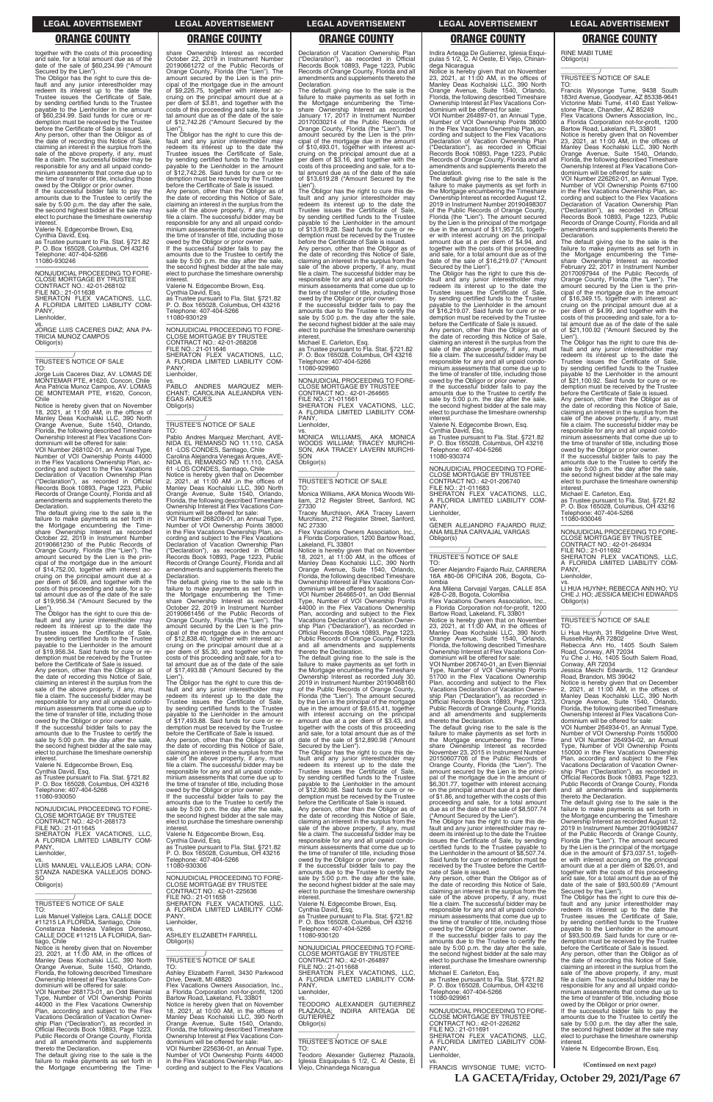**LA GACETA/Friday, October 29, 2021/Page 67**

### **LEGAL ADVERTISEMENT LEGAL ADVERTISEMENT LEGAL ADVERTISEMENT LEGAL ADVERTISEMENT LEGAL ADVERTISEMENT**

# **ORANGE COUNTY ORANGE COUNTY ORANGE COUNTY ORANGE COUNTY ORANGE COUNTY**

together with the costs of this proceeding and sale, for a total amount due as of the date of the sale of \$60,234.99 ("Amount

owed by the Obligor or prior owner. If the successful bidder fails to pay the amounts due to the Trustee to certify the sale by 5:00 p.m. the day after the sale, the second highest bidder at the sale may elect to purchase the timeshare ownership **interest** 

Secured by the Lien"). The Obligor has the right to cure this de-fault and any junior interestholder may redeem its interest up to the date the Trustee issues the Certificate of Sale, by sending certified funds to the Trustee payable to the Lienholder in the amount of \$60,234.99. Said funds for cure or redemption must be received by the Trustee before the Certificate of Sale is issued. Any person, other than the Obligor as of the date of recording this Notice of Sale, claiming an interest in the surplus from the sale of the above property, if any, must file a claim. The successful bidder may be responsible for any and all unpaid condo-minium assessments that come due up to the time of transfer of title, including those

—————————————————— NONJUDICIAL PROCEEDING TO FORE-CLOSE MORTGAGE BY TRUSTEE CONTRACT NO.: 42-01-268102 FILE NO.: 21-011638 SHERATON FLEX VACATIONS, LLC,<br>A FLORIDA LIMITED LIABILITY COM-<br>PANY,

Lienholder

Valerie N. Edgecombe Brown, Esq. Cynthia David, Esq.

as Trustee pursuant to Fla. Stat. §721.82 P. O. Box 165028, Columbus, OH 43216 Telephone: 407-404-5266 11080-930246

vs. JORGE LUIS CACERES DIAZ; ANA PA-TRICIA MUNOZ CAMPOS Obligor(s) \_\_\_\_\_\_\_\_\_\_\_\_\_\_\_\_\_\_\_\_\_\_\_\_\_\_\_\_\_\_\_\_\_

\_\_\_\_\_\_\_\_\_\_\_/ TRUSTEE'S NOTICE OF SALE TO:

Jorge Luis Caceres Diaz, AV. LOMAS DE MONTEMAR PTE, #1620, Concon, Chile Ana Patricia Munoz Campos, AV. LOMAS DE MONTEMAR PTE, #1620, Concon,

Chile Notice is hereby given that on November 18, 2021, at 11:00 AM, in the offices of Manley Deas Kochalski LLC, 390 North Orange Avenue, Suite 1540, Orlando, Florida, the following described Timeshare Ownership Interest at Flex Vacations Con-dominium will be offered for sale:

VOI Number 268102-01, an Annual Type, Number of VOI Ownership Points 44000 in the Flex Vacations Ownership Plan, according and subject to the Flex Vacations<br>Declaration of Vacation Ownership Plan<br>("Declaration"), as recorded in Official<br>Records Book 10893, Page 1223, Public<br>Records of Orange County, Florida and all<br>amendments and suppl Declaration.

share Ownership Interest as recorded October 22, 2019 in Instrument Number 20190661272 of the Public Records of Orange County, Florida (the "Lien"). The amount secured by the Lien is the principal of the mortgage due in the amount of \$9,226.75, together with interest ac-cruing on the principal amount due at a per diem of \$3.81, and together with the costs of this proceeding and sale, for a to-tal amount due as of the date of the sale of \$12,742.26 ("Amount Secured by the Lien")

The default giving rise to the sale is the failure to make payments as set forth in the Mortgage encumbering the Time-share Ownership Interest as recorded October 22, 2019 in Instrument Number 20190661230 of the Public Records of Orange County, Florida (the "Lien"). The amount secured by the Lien is the principal of the mortgage due in the amount of \$14,752.00, together with interest ac-cruing on the principal amount due at a per diem of \$6.09, and together with the costs of this proceeding and sale, for a to-tal amount due as of the date of the sale of \$19,956.34 ("Amount Secured by the

Obligor has the right to cure this default and any junior interestholder may redeem its interest up to the date the Trustee issues the Certificate of Sale, by sending certified funds to the Trustee payable to the Lienholder in the amount of \$12,742.26. Said funds for cure or re-demption must be received by the Trustee

Lien"). The Obligor has the right to cure this default and any junior interestholder may redeem its interest up to the date the Trustee issues the Certificate of Sale, by sending certified funds to the Trustee payable to the Lienholder in the amount of \$19,956.34. Said funds for cure or redemption must be received by the Trustee before the Certificate of Sale is issued. Any person, other than the Obligor as of 11080-930129 —————————————————— NONJUDICIAL PROCEEDING TO FORE-CLOSE MORTGAGE BY TRUSTEE CONTRACT NO.: 42-01-268208 FILE NO.: 21-011646 SHERATON FLEX VACATIONS, LLC, A FLORIDA LIMITED LIABILITY COM-A FLC<br>PANY,

the date of recording this Notice of Sale, claiming an interest in the surplus from the sale of the above property, if any, must file a claim. The successful bidder may be responsible for any and all unpaid condo-minium assessments that come due up to the time of transfer of title, including those owed by the Obligor or prior owner. If the successful bidder fails to pay the

amounts due to the Trustee to certify the sale by 5:00 p.m. the day after the sale, the second highest bidder at the sale may elect to purchase the timeshare ownership

interest. Valerie N. Edgecombe Brown, Esq.

Cynthia David, Esq. as Trustee pursuant to Fla. Stat. §721.82 P. O. Box 165028, Columbus, OH 43216 Telephone: 407-404-5266 11080-930050

——————————————————

The default giving rise to the sale is the failure to make payments as set forth in the Mortgage encumbering the Timeshare Ownership Interest as recorded January 17, 2017 in Instrument Number 20170030214 of the Public Records of Orange County, Florida (the "Lien"). The amount secured by the Lien is the prin-cipal of the mortgage due in the amount of \$10,493.01, together with interest ac-cruing on the principal amount due at a per diem of \$3.16, and together with the costs of this proceeding and sale, for a to-tal amount due as of the date of the sale of \$13,619.28 ("Amount Secured by the Lien"

Obligor has the right to cure this default and any junior interestholder may redeem its interest up to the date the Trustee issues the Certificate of Sale, by sending certified funds to the Trustee payable to the Lienholder in the amount of \$13,619.28. Said funds for cure or redemption must be received by the Trustee before the Certificate of Sale is issued. Any person, other than the Obligor as of the date of recording this Notice of Sale, claiming an interest in the surplus from the sale of the above property, if any, must file a claim. The successful bidder may be responsible for any and all unpaid condo-minium assessments that come due up to the time of transfer of title, including those owed by the Obligor or prior owner. If the successful bidder fails to pay the

before the Certificate of Sale is issued. Any person, other than the Obligor as of the date of recording this Notice of Sale, claiming an interest in the surplus from the sale of the above property, if any, must file a claim. The successful bidder may be responsible for any and all unpaid condo-minium assessments that come due up to the time of transfer of title, including those

> vs.<br>MONICA WILLIAMS, AKA MONICA<br>WOODS WILLIAM; TRACEY MURCHI-<br>SON, AKA-TRACEY-LAVERN-MURCHI-**SON** Obligor(s)

> Flex Vacations Owners Association, Inc., a Florida Corporation, 1200 Bartow Road, Lakeland, FL 33801

owed by the Obligor or prior owner. If the successful bidder fails to pay the amounts due to the Trustee to certify the sale by 5:00 p.m. the day after the sale, the second highest bidder at the sale may elect to purchase the timeshare ownership interest.

Valerie N. Edgecombe Brown, Esq. Cynthia David, Esq.

as Trustee pursuant to Fla. Stat. §721.82 P. O. Box 165028, Columbus, OH 43216 Telephone: 407-404-5266

Lienholder,

vs. PABLO ANDRES MARQUEZ MER-CHANT; CAROLINA ALEJANDRA VEN-EGAS ARQUES Obligor(s)

\_\_\_\_\_\_\_\_\_\_\_\_\_\_\_\_\_\_\_\_\_\_\_\_\_\_\_\_\_\_\_\_\_

# \_\_\_\_\_\_\_\_\_\_\_/ TRUSTEE'S NOTICE OF SALE

TO: Pablo Andres Marquez Merchant, AVE-NIDA EL REMANSO NO 11.110, CASA 61 -LOS CONDES, Santiago, Chile Carolina Alejandra Venegas Arques, AVE-NIDA EL REMANSO NO 11.110, CASA 61 -LOS CONDES, Santiago, Chile Notice is hereby given that on December 2, 2021, at 11:00 AM ,in the offices of Manley Deas Kochalski LLC, 390 North Orange Avenue, Suite 1540, Orlando, Florida, the following described Timeshare Ownership Interest at Flex Vacations Con-dominium will be offered for sale: VOI Number 268208-01, an Annual Type,

Indira Arteaga De Gutierrez, Iglesia Esqui-pulas 5 1/2, C. Al Oeste, El Viejo, Chinanpulas 5-1/2, O. Al<br>dega Nicaragua

Number of VOI Ownership Points 38000 in the Flex Vacations Ownership Plan, ac-cording and subject to the Flex Vacations Declaration of Vacation Ownership Plan ("Declaration"), as recorded in Official Records Book 10893, Page 1223, Public Records of Orange County, Florida and all amendments and supplements thereto the Declaration.

The default giving rise to the sale is the failure to make payments as set forth in the Mortgage encumbering the Timeshare Ownership Interest as recorded October 22, 2019 in Instrument Number 20190661456 of the Public Records of Orange County, Florida (the "Lien"). The amount secured by the Lien is the prin-cipal of the mortgage due in the amount of \$12,838.40, together with interest ac-cruing on the principal amount due at a per diem of \$5.30, and together with the costs of this proceeding and sale, for a to-tal amount due as of the date of the sale of \$17,493.88 ("Amount Secured by the

Lien"). The Obligor has the right to cure this de-fault and any junior interestholder may redeem its interest up to the date the Trustee issues the Certificate of Sale, by sending certified funds to the Trustee payable to the Lienholder in the amount of \$17,493.88. Said funds for cure or redemption must be received by the Trustee

amounts due to the Trustee to certify the sale by 5:00 p.m. the day after the sale, the second highest bidder at the sale may elect to purchase the timeshare ownership

before the Certificate of Sale is issued. Any person, other than the Obligor as of the date of recording this Notice of Sale, claiming an interest in the surplus from the sale of the above property, if any, must file a claim. The successful bidder may be responsible for any and all unpaid condominium assessments that come due up to the time of transfer of title, including those owed by the Obligor or prior owner. If the successful bidder fails to pay the

amounts due to the Trustee to certify the sale by 5:00 p.m. the day after the sale,

Declaration of Vacation Ownership Plan ("Declaration"), as recorded in Official Records Book 10893, Page 1223, Public Records of Orange County, Florida and all amendments and supplements thereto the Declaration.

> owed by the Obligor or prior owner. If the successful bidder fails to pay the amounts due to the Trustee to certify the sale by 5:00 p.m. the day after the sale, the second highest bidder at the sale may elect to purchase the timeshare ownership **interest**

vs. LI HUA HUYNH; REBECCA ANN HO; YU CHE J. HO; JESSICA MEICHI EDWARDS Obligor(s)  $\overline{\phantom{a}}$  ,  $\overline{\phantom{a}}$  ,  $\overline{\phantom{a}}$  ,  $\overline{\phantom{a}}$  ,  $\overline{\phantom{a}}$  ,  $\overline{\phantom{a}}$  ,  $\overline{\phantom{a}}$  ,  $\overline{\phantom{a}}$  ,  $\overline{\phantom{a}}$  ,  $\overline{\phantom{a}}$  ,  $\overline{\phantom{a}}$  ,  $\overline{\phantom{a}}$  ,  $\overline{\phantom{a}}$  ,  $\overline{\phantom{a}}$  ,  $\overline{\phantom{a}}$  ,  $\overline{\phantom{a}}$ 

amounts due to the Trustee to certify the sale by 5:00 p.m. the day after the sale, the second highest bidder at the sale may elect to purchase the timeshare ownership interest.

Michael E. Carleton, Esq. as Trustee pursuant to Fla. Stat. §721.82 P. O. Box 165028, Columbus, OH 43216 Telephone: 407-404-5266 11080-929960

—————————————————— NONJUDICIAL PROCEEDING TO FORE-CLOSE MORTGAGE BY TRUSTEE CONTRACT NO.: 42-01-264665 FILE NO.: 21-011661 SHERATON FLEX VACATIONS, LLC, A FLORIDA LIMITED LIABILITY COM-PANY, Lienholder,

\_\_\_\_\_\_\_\_\_\_\_\_\_\_\_\_\_\_\_\_\_\_\_\_\_\_\_\_\_\_\_\_\_

\_\_\_\_\_\_\_\_\_\_\_/ TRUSTEE'S NOTICE OF SALE

TO: Monica Williams, AKA Monica Woods Wil-liam, 212 Register Street, Sanford, NC 27330

Tracey Murchison, AKA Tracey Lavern Murchison, 212 Register Street, Sanford, NC 27330

Notice is hereby given that on November 18, 2021, at 11:00 AM, in the offices of Manley Deas Kochalski LLC, 390 North Orange Avenue, Suite 1540, Orlando, Florida, the following described Timeshare Ownership Interest at Flex Vacations Con-

| NONJUDICIAL PROCEEDING TO FORE-<br><b>CLOSE MORTGAGE BY TRUSTEE</b><br>CONTRACT NO.: 42-01-268173<br>FILE NO.: 21-011645<br>SHERATON FLEX VACATIONS. LLC.<br>A FLORIDA LIMITED LIABILITY COM-<br>PANY.<br>Lienholder,<br>VS.<br>LUIS MANUEL VALLEJOS LARA: CON-<br>STANZA NADESKA VALLEJOS DONO-<br>SO.<br>Obligor(s)<br><b>TRUSTEE'S NOTICE OF SALE</b><br>TO:<br>Luis Manuel Vallejos Lara, CALLE DOCE<br>#11215 LA FLORIDA, Santiago, Chile<br>Constanza Nadeska Vallejos Donoso,<br>CALLE DOCE #11215 LA FLORIDA, San-<br>tiago, Chile<br>Notice is hereby given that on November<br>23, 2021, at 11:00 AM, in the offices of<br>Manley Deas Kochalski LLC, 390 North<br>Orange Avenue, Suite 1540, Orlando,<br>Florida, the following described Timeshare<br>Ownership Interest at Flex Vacations Con-<br>dominium will be offered for sale:<br>VOI Number 268173-01, an Odd Biennial<br>Type, Number of VOI Ownership Points<br>44000 in the Flex Vacations Ownership<br>Plan, according and subject to the Flex<br>Vacations Declaration of Vacation Owner- | sale by 5:00 p.m. the day after the sale.<br>the second highest bidder at the sale may<br>elect to purchase the timeshare ownership<br>interest.<br>Valerie N. Edgecombe Brown, Esg.<br>Cynthia David, Esg.<br>as Trustee pursuant to Fla. Stat. §721.82<br>P. O. Box 165028, Columbus, OH 43216<br>Telephone: 407-404-5266<br>11080-930306<br>NONJUDICIAL PROCEEDING TO FORE-<br><b>CLOSE MORTGAGE BY TRUSTEE</b><br>CONTRACT NO.: 42-01-225636<br>FILE NO.: 21-011658<br>SHERATON FLEX VACATIONS, LLC,<br>A FLORIDA LIMITED LIABILITY COM-<br>PANY.<br>Lienholder.<br>VS.<br>ASHLEY ELIZABETH FARRELL<br>Obligor(s)<br><b>TRUSTEE'S NOTICE OF SALE</b><br>TO.<br>Ashley Elizabeth Farrell, 3430 Parkwood<br>Drive, Dewitt, MI 48820<br>Flex Vacations Owners Association. Inc<br>a Florida Corporation not-for-profit, 1200<br>Bartow Road, Lakeland, FL 33801<br>Notice is hereby given that on November<br>18, 2021, at 10:00 AM, in the offices of<br>Manley Deas Kochalski LLC, 390 North | Any person, other than the Obligor as of<br>the date of recording this Notice of Sale,<br>claiming an interest in the surplus from the<br>sale of the above property, if any, must<br>file a claim. The successful bidder may be<br>responsible for any and all unpaid condo-<br>minium assessments that come due up to<br>the time of transfer of title, including those<br>owed by the Obligor or prior owner.<br>If the successful bidder fails to pay the<br>amounts due to the Trustee to certify the<br>sale by 5:00 p.m. the day after the sale,<br>the second highest bidder at the sale may<br>elect to purchase the timeshare ownership<br>interest.<br>Valerie N. Edgecombe Brown, Esg.<br>Cynthia David, Esg.<br>as Trustee pursuant to Fla. Stat. §721.82<br>P. O. Box 165028, Columbus, OH 43216<br>Telephone: 407-404-5266<br>11080-930120<br>NONJUDICIAL PROCEEDING TO FORE-<br><b>CLOSE MORTGAGE BY TRUSTEE</b><br>CONTRACT NO.: 42-01-264897<br>FILE NO.: 21-011668<br>SHERATON FLEX VACATIONS. LLC.<br>A FLORIDA LIMITED LIABILITY COM-<br>PANY.<br>Lienholder.<br>VS.<br>TEODORO ALEXANDER GUTIERREZ<br>PLAZAOLA:<br>INDIRA ARTEAGA DE<br><b>GUTIERREZ</b> | due as of the date of the sale of \$8,507.74<br>("Amount Secured by the Lien").<br>The Obligor has the right to cure this de-<br>fault and any junior interestholder may re-<br>deem its interest up to the date the Trustee<br>issues the Certificate of Sale, by sending<br>certified funds to the Trustee payable to<br>the Lienholder in the amount of \$8,507.74.<br>Said funds for cure or redemption must be<br>received by the Trustee before the Certifi-<br>cate of Sale is issued.<br>Any person, other than the Obligor as of<br>the date of recording this Notice of Sale,<br>claiming an interest in the surplus from the<br>sale of the above property, if any, must<br>file a claim. The successful bidder may be<br>responsible for any and all unpaid condo-<br>minium assessments that come due up to<br>the time of transfer of title, including those<br>owed by the Obligor or prior owner.<br>If the successful bidder fails to pay the<br>amounts due to the Trustee to certify the<br>sale by 5:00 p.m. the day after the sale,<br>the second highest bidder at the sale may<br>elect to purchase the timeshare ownership<br>interest.<br>Michael E. Carleton, Esq.<br>as Trustee pursuant to Fla. Stat. §721.82<br>P. O. Box 165028, Columbus, OH 43216<br>Telephone: 407-404-5266<br>11080-929961<br>NONJUDICIAL PROCEEDING TO FORE-<br><b>CLOSE MORTGAGE BY TRUSTEE</b> | failure to make payments as set forth in<br>the Mortgage encumbering the Timeshare<br>Ownership Interest as recorded August 12,<br>2019 in Instrument Number 20190498247<br>of the Public Records of Orange County,<br>Florida (the "Lien"). The amount secured<br>by the Lien is the principal of the mortgage<br>due in the amount of \$73,037.51, togeth-<br>er with interest accruing on the principal<br>amount due at a per diem of \$26.01, and<br>together with the costs of this proceeding<br>and sale, for a total amount due as of the<br>date of the sale of \$93,500.69 ("Amount<br>Secured by the Lien").<br>The Obligor has the right to cure this de-<br>fault and any junior interestholder may<br>redeem its interest up to the date the<br>Trustee issues the Certificate of Sale,<br>by sending certified funds to the Trustee<br>payable to the Lienholder in the amount<br>of \$93,500,69. Said funds for cure or re-<br>demption must be received by the Trustee<br>before the Certificate of Sale is issued.<br>Any person, other than the Obligor as of<br>the date of recording this Notice of Sale,<br>claiming an interest in the surplus from the<br>sale of the above property, if any, must<br>file a claim. The successful bidder may be<br>responsible for any and all unpaid condo-<br>minium assessments that come due up to<br>the time of transfer of title, including those<br>owed by the Obligor or prior owner.<br>If the successful bidder fails to pay the<br>amounts due to the Trustee to certify the |
|--------------------------------------------------------------------------------------------------------------------------------------------------------------------------------------------------------------------------------------------------------------------------------------------------------------------------------------------------------------------------------------------------------------------------------------------------------------------------------------------------------------------------------------------------------------------------------------------------------------------------------------------------------------------------------------------------------------------------------------------------------------------------------------------------------------------------------------------------------------------------------------------------------------------------------------------------------------------------------------------------------------------------------------------------------------------|-------------------------------------------------------------------------------------------------------------------------------------------------------------------------------------------------------------------------------------------------------------------------------------------------------------------------------------------------------------------------------------------------------------------------------------------------------------------------------------------------------------------------------------------------------------------------------------------------------------------------------------------------------------------------------------------------------------------------------------------------------------------------------------------------------------------------------------------------------------------------------------------------------------------------------------------------------------------------------------------------|--------------------------------------------------------------------------------------------------------------------------------------------------------------------------------------------------------------------------------------------------------------------------------------------------------------------------------------------------------------------------------------------------------------------------------------------------------------------------------------------------------------------------------------------------------------------------------------------------------------------------------------------------------------------------------------------------------------------------------------------------------------------------------------------------------------------------------------------------------------------------------------------------------------------------------------------------------------------------------------------------------------------------------------------------------------------------------------------------------------------------------------------------------------------------------|-----------------------------------------------------------------------------------------------------------------------------------------------------------------------------------------------------------------------------------------------------------------------------------------------------------------------------------------------------------------------------------------------------------------------------------------------------------------------------------------------------------------------------------------------------------------------------------------------------------------------------------------------------------------------------------------------------------------------------------------------------------------------------------------------------------------------------------------------------------------------------------------------------------------------------------------------------------------------------------------------------------------------------------------------------------------------------------------------------------------------------------------------------------------------------------------------------------------------------------------------------------------------------------------------------------------------------------------------------------------------------------------------------|-----------------------------------------------------------------------------------------------------------------------------------------------------------------------------------------------------------------------------------------------------------------------------------------------------------------------------------------------------------------------------------------------------------------------------------------------------------------------------------------------------------------------------------------------------------------------------------------------------------------------------------------------------------------------------------------------------------------------------------------------------------------------------------------------------------------------------------------------------------------------------------------------------------------------------------------------------------------------------------------------------------------------------------------------------------------------------------------------------------------------------------------------------------------------------------------------------------------------------------------------------------------------------------------------------------------------------------------------------------------------------------------------------------------------------------------------------------------------------------------------------------------------------------------------------|
| ship Plan ("Declaration"), as recorded in<br>Official Records Book 10893, Page 1223,<br>Public Records of Orange County, Florida<br>and all amendments and supplements<br>thereto the Declaration.<br>The default giving rise to the sale is the<br>failure to make payments as set forth in<br>the Mortgage encumbering the Time-                                                                                                                                                                                                                                                                                                                                                                                                                                                                                                                                                                                                                                                                                                                                 | Orange Avenue, Suite 1540, Orlando,<br>Florida, the following described Timeshare<br>Ownership Interest at Flex Vacations Con-<br>dominium will be offered for sale:<br>VOI Number 225636-01, an Annual Type,<br>Number of VOI Ownership Points 44000<br>in the Flex Vacations Ownership Plan, ac-<br>cording and subject to the Flex Vacations                                                                                                                                                                                                                                                                                                                                                                                                                                                                                                                                                                                                                                                 | Obligor(s)<br>TRUSTEE'S NOTICE OF SALE<br>TO:<br>Teodoro Alexander Gutierrez Plazaola.<br>Iglesia Esquipulas 5 1/2, C. Al Oeste, El<br>Viejo, Chinandega Nicaragua                                                                                                                                                                                                                                                                                                                                                                                                                                                                                                                                                                                                                                                                                                                                                                                                                                                                                                                                                                                                             | CONTRACT NO.: 42-01-226262<br>FILE NO.: 21-011691<br>SHERATON FLEX VACATIONS, LLC,<br>A FLORIDA LIMITED LIABILITY COM-<br>PANY.<br>Lienholder.<br>VS.<br>FRANCIS WIYSONGE TUME: VICTO-                                                                                                                                                                                                                                                                                                                                                                                                                                                                                                                                                                                                                                                                                                                                                                                                                                                                                                                                                                                                                                                                                                                                                                                                              | sale by 5:00 p.m. the day after the sale,<br>the second highest bidder at the sale may<br>elect to purchase the timeshare ownership<br>interest.<br>Valerie N. Edgecombe Brown, Esg.<br>(Continued on next page)                                                                                                                                                                                                                                                                                                                                                                                                                                                                                                                                                                                                                                                                                                                                                                                                                                                                                                                                                                                                                                                                                                                                                                                                                                                                                                                                    |
|                                                                                                                                                                                                                                                                                                                                                                                                                                                                                                                                                                                                                                                                                                                                                                                                                                                                                                                                                                                                                                                                    |                                                                                                                                                                                                                                                                                                                                                                                                                                                                                                                                                                                                                                                                                                                                                                                                                                                                                                                                                                                                 |                                                                                                                                                                                                                                                                                                                                                                                                                                                                                                                                                                                                                                                                                                                                                                                                                                                                                                                                                                                                                                                                                                                                                                                |                                                                                                                                                                                                                                                                                                                                                                                                                                                                                                                                                                                                                                                                                                                                                                                                                                                                                                                                                                                                                                                                                                                                                                                                                                                                                                                                                                                                     |                                                                                                                                                                                                                                                                                                                                                                                                                                                                                                                                                                                                                                                                                                                                                                                                                                                                                                                                                                                                                                                                                                                                                                                                                                                                                                                                                                                                                                                                                                                                                     |

dominium will be offered for sale: VOI Number 264665-01, an Odd Biennial Type, Number of VOI Ownership Points 44000 in the Flex Vacations Ownership Plan, according and subject to the Flex Vacations Declaration of Vacation Owner-ship Plan ("Declaration"), as recorded in Official Records Book 10893, Page 1223, Public Records of Orange County, Florida and all amendments and supplements thereto the Declaration.

The default giving rise to the sale is the failure to make payments as set forth in the Mortgage encumbering the Timeshare Ownership Interest as recorded July 30, 2019 in Instrument Number 20190468160 of the Public Records of Orange County, Florida (the "Lien"). The amount secured by the Lien is the principal of the mortgage due in the amount of \$9,615.41, together with interest accruing on the principal amount due at a per diem of \$3.43, and together with the costs of this proceeding and sale, for a total amount due as of the date of the sale of \$12,890.98 ("Amount Secured by the Lien").

The Obligor has the right to cure this de-fault and any junior interestholder may redeem its interest up to the date the Trustee issues the Certificate of Sale, by sending certified funds to the Trustee payable to the Lienholder in the amount of \$12,890.98. Said funds for cure or re-demption must be received by the Trustee before the Certificate of Sale is issued. Any person, other than the Obligor as of

Notice is hereby given that on November 23, 2021, at 11:00 AM, in the offices of Manley Deas Kochalski LLC, 390 North Orange Avenue, Suite 1540, Orlando, Florida, the following described Timeshare Ownership Interest at Flex Vacations Con-

dominium will be offered for sale: VOI Number 264897-01, an Annual Type, Number of VOI Ownership Points 38000 in the Flex Vacations Ownership Plan, ac-cording and subject to the Flex Vacations Declaration of Vacation Ownership Plan ("Declaration"), as recorded in Official Records Book 10893, Page 1223, Public Records of Orange County, Florida and all amendments and supplements thereto the Declaration. The default giving rise to the sale is the

failure to make payments as set forth in the Mortgage encumbering the Timeshare Ownership Interest as recorded August 12, 2019 in Instrument Number 20190498307 of the Public Records of Orange County, Florida (the "Lien"). The amount secured by the Lien is the principal of the mortgage due in the amount of \$11,957.55, togeth-er with interest accruing on the principal amount due at a per diem of \$4.94, and together with the costs of this proceeding and sale, for a total amount due as of the date of the sale of \$16,219.07 ("Amount Secured by the Lien"). The Obligor has the right to cure this de-

fault and any junior interestholder may redeem its interest up to the date the Trustee issues the Certificate of Sale, by sending certified funds to the Trustee payable to the Lienholder in the amount of \$16,219.07. Said funds for cure or redemption must be received by the Trustee before the Certificate of Sale is issued. Any person, other than the Obligor as of

the date of recording this Notice of Sale, claiming an interest in the surplus from the sale of the above property, if any, must file a claim. The successful bidder may be responsible for any and all unpaid condo-minium assessments that come due up to the time of transfer of title, including those owed by the Obligor or prior owner. If the successful bidder fails to pay the

interest. Valerie N. Edgecombe Brown, Esq.

Cynthia David, Esq. as Trustee pursuant to Fla. Stat. §721.82 P. O. Box 165028, Columbus, OH 43216 Telephone: 407-404-5266 11080-930374

—————————————————— NONJUDICIAL PROCEEDING TO FORE-CLOSE MORTGAGE BY TRUSTEE CONTRACT NO.: 42-01-206740

FILE NO.: 21-011683 SHERATON FLEX VACATIONS, LLC, A FLORIDA LIMITED LIABILITY COM-PANY, Lienholder,

vs.

GENER ALEJANDRO FAJARDO RUIZ; ANA MILENA CARVAJAL VARGAS Obligor(s) \_\_\_\_\_\_\_\_\_\_\_\_\_\_\_\_\_\_\_\_\_\_\_\_\_\_\_\_\_\_\_\_\_

# \_\_\_\_\_\_\_\_\_\_\_/ TRUSTEE'S NOTICE OF SALE

TO: Gener Alejandro Fajardo Ruiz, CARRERA 16A #80-06 OFICINA 206, Bogota, Co-

lombia Ana Milena Carvajal Vargas, CALLE 85A #28-C-28, Bogota, Colombia

Flex Vacations Owners Association, Inc., a Florida Corporation not-for-profit, 1200 Bartow Road, Lakeland, FL 33801

Notice is hereby given that on November 23, 2021, at 11:00 AM, in the offices of Manley Deas Kochalski LLC, 390 North Orange Avenue, Suite 1540, Orlando, Florida, the following described Timeshare Ownership Interest at Flex Vacations Con-

dominium will be offered for sale: VOI Number 206740-01, an Even Biennial Type, Number of VOI Ownership Points 51700 in the Flex Vacations Ownership Plan, according and subject to the Flex Vacations Declaration of Vacation Ownership Plan ("Declaration"), as recorded in Official Records Book 10893, Page 1223, Public Records of Orange County, Florida and all amendments and supplements

thereto the Declaration. The default giving rise to the sale is the failure to make payments as set forth in the Mortgage encumbering the Time-share Ownership Interest as recorded November 23, 2015 in Instrument Number 20150607706 of the Public Records of Orange County, Florida (the "Lien"). The amount secured by the Lien is the princi-<br>pal of the mortgage due in the amount of pal of the mortgage due in the amount of \$6,301.77, together with interest accruing on the principal amount due at a per diem of \$1.86, and together with the costs of this proceeding and sale, for a total amount due as of the date of the sale of \$8,507.74

RINE MABI TUME Obligor(s)

\_\_\_\_\_\_\_\_\_\_\_\_\_\_\_\_\_\_\_\_\_\_\_\_\_\_\_\_\_\_\_\_\_

\_\_\_\_\_\_\_\_\_\_\_/ TRUSTEE'S NOTICE OF SALE

TO: Francis Wiysonge Tume, 9438 South 183rd Avenue, Goodyear, AZ 85338-9641 Victorine Mabi Tume, 4140 East Yellow-

stone Place, Chandler, AZ 85249 Flex Vacations Owners Association, Inc., a Florida Corporation not-for-profit, 1200

Bartow Road, Lakeland, FL 33801 Notice is hereby given that on November 23, 2021, at 11:00 AM, in the offices of Manley Deas Kochalski LLC, 390 North Orange Avenue, Suite 1540, Orlando, Florida, the following described Timeshare Ownership Interest at Flex Vacations Con-dominium will be offered for sale: VOI Number 226262-01, an Annual Type,

Number of VOI Ownership Points 67100 in the Flex Vacations Ownership Plan, ac-cording and subject to the Flex Vacations Declaration of Vacation Ownership Plan ("Declaration"), as recorded in Official Records Book 10893, Page 1223, Public Records of Orange County, Florida and all amendments and supplements thereto the Declaration.

The default giving rise to the sale is the failure to make payments as set forth in the Mortgage encumbering the Timeshare Ownership Interest as recorded February 22, 2017 in Instrument Number 20170097944 of the Public Records of Orange County, Florida (the "Lien"). The amount secured by the Lien is the prin-cipal of the mortgage due in the amount of \$16,349.15, together with interest ac-cruing on the principal amount due at a per diem of \$4.99, and together with the costs of this proceeding and sale, for a to-tal amount due as of the date of the sale of \$21,100.92 ("Amount Secured by the

Lien"). The Obligor has the right to cure this de-fault and any junior interestholder may redeem its interest up to the date the Trustee issues the Certificate of Sale, by sending certified funds to the Trustee payable to the Lienholder in the amount of \$21,100.92. Said funds for cure or redemption must be received by the Trustee

before the Certificate of Sale is issued. Any person, other than the Obligor as of the date of recording this Notice of Sale, claiming an interest in the surplus from the sale of the above property, if any, must file a claim. The successful bidder may be responsible for any and all unpaid condo-minium assessments that come due up to the time of transfer of title, including those

Michael E. Carleton, Esq. as Trustee pursuant to Fla. Stat. §721.82 P. O. Box 165028, Columbus, OH 43216 Telephone: 407-404-5266 11080-930046

—————————————————— NONJUDICIAL PROCEEDING TO FORE-CLOSE MORTGAGE BY TRUSTEE

CONTRACT NO.: 42-01-264934 FILE NO.: 21-011692 SHERATON FLEX VACATIONS, LLC, A FLORIDA LIMITED LIABILITY COM-

PANY, Lienholder,

\_\_\_\_\_\_\_\_\_\_\_/ TRUSTEE'S NOTICE OF SALE

TO: Li Hua Huynh, 31 Ridgeline Drive West,

Russellville, AR 72802 Rebecca Ann Ho, 1405 South Salem Road, Conway, AR 72034

Yu Che J. Ho, 1405 South Salem Road, Conway, AR 72034 Jessica Meichi Edwards, 112 Grandeur Road, Brandon, MS 39042 Notice is hereby given that on December 2, 2021, at 11:00 AM, in the offices of

Manley Deas Kochalski LLC, 390 North Orange Avenue, Suite 1540, Orlando, Florida, the following described Timeshare

Ownership Interest at Flex Vacations Con-dominium will be offered for sale: VOI Number 264934-01, an Annual Type,

Number of VOI Ownership Points 150000 and VOI Number 264934-02, an Annual Type, Number of VOI Ownership Points

150000 in the Flex Vacations Ownership Plan, according and subject to the Flex Vacations Declaration of Vacation Owner-

ship Plan ("Declaration"), as recorded in Official Records Book 10893, Page 1223, Public Records of Orange County, Florida and all amendments and supplements thereto the Declaration. The default giving rise to the sale is the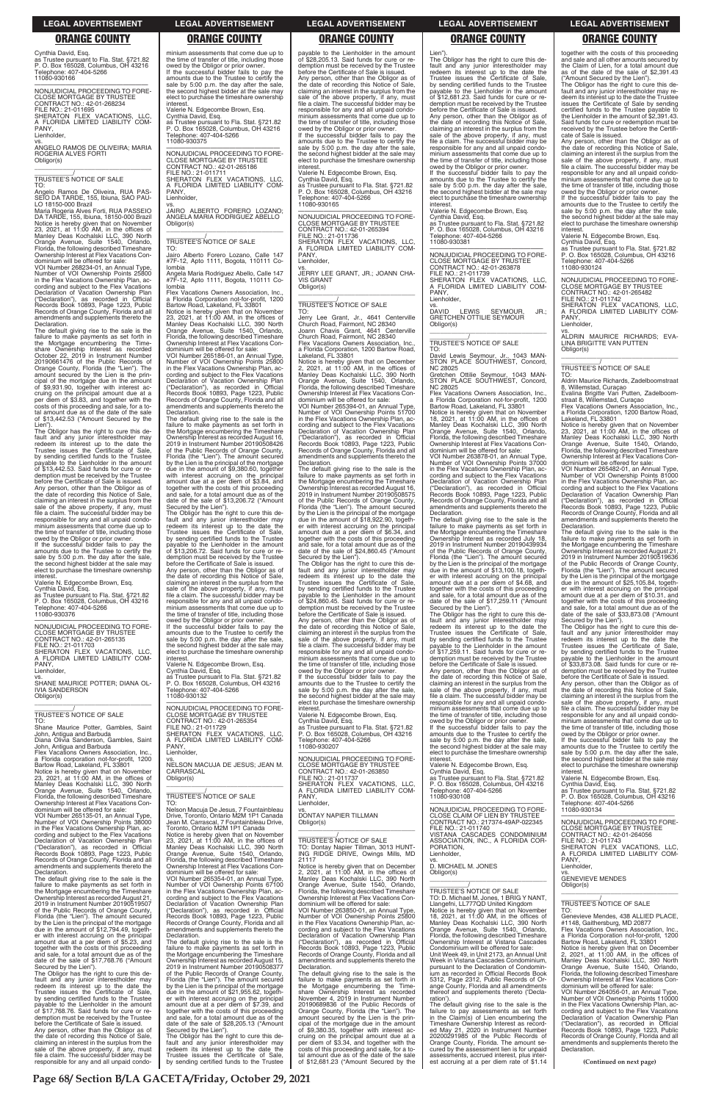**Page 68/ Section B/LA GACETA/Friday, October 29, 2021**

### **LEGAL ADVERTISEMENT LEGAL ADVERTISEMENT LEGAL ADVERTISEMENT LEGAL ADVERTISEMENT LEGAL ADVERTISEMENT**

# **ORANGE COUNTY ORANGE COUNTY ORANGE COUNTY ORANGE COUNTY ORANGE COUNTY**

Cynthia David, Esq.

as Trustee pursuant to Fla. Stat. §721.82 P. O. Box 165028, Columbus, OH 43216 Telephone: 407-404-5266

11080-930166 —————————————————— NONJUDICIAL PROCEEDING TO FORE-

CLOSE MORTGAGE BY TRUSTEE CONTRACT NO.: 42-01-268234 FILE NO.: 21-011695 SHERATON FLEX VACATIONS, LLC, A FLORIDA LIMITED LIABILITY COM-

PANY, Lienholder,

vs. ANGELO RAMOS DE OLIVEIRA; MARIA ROGERIA ALVES FORTI Obligor(s) \_\_\_\_\_\_\_\_\_\_\_\_\_\_\_\_\_\_\_\_\_\_\_\_\_\_\_\_\_\_\_\_\_

\_\_\_\_\_\_\_\_\_\_\_/ TRUSTEE'S NOTICE OF SALE TO:

The default giving rise to the sale is the failure to make payments as set forth in the Mortgage encumbering the Timeshare Ownership Interest as recorded October 22, 2019 in Instrument Number 20190661476 of the Public Records of<br>Orange County Florida (the "Lien") The Orange County, Florida (the "Lien"). The amount secured by the Lien is the principal of the mortgage due in the amount of \$9,931.90, together with interest ac-cruing on the principal amount due at a per diem of \$3.83, and together with the costs of this proceeding and sale, for a to-tal amount due as of the date of the sale of \$13,442.53 ("Amount Secured by the Lien"

Angelo Ramos De Oliveira, RUA PAS-SEIO DA TARDE, 155, Ibiuna, SAO PAU-LO 18150-000 Brazil

Maria Rogeria Alves Forti, RUA PASSEIO DA TARDE, 155, Ibiuna, 18150-000 Brazil Notice is hereby given that on November 23, 2021, at 11:00 AM, in the offices of Manley Deas Kochalski LLC, 390 North Orange Avenue, Suite 1540, Orlando, Florida, the following described Timeshare Ownership Interest at Flex Vacations Condominium will be offered for sale:

The Obligor has the right to cure this default and any junior interestholder may redeem its interest up to the date the Trustee issues the Certificate of Sale, by sending certified funds to the Trustee payable to the Lienholder in the amount of \$13,442.53. Said funds for cure or redemption must be received by the Trustee before the Certificate of Sale is issued. Any person, other than the Obligor as of the date of recording this Notice of Sale, claiming an interest in the surplus from the sale of the above property, if any, must file a claim. The successful bidder may be responsible for any and all unpaid condo-minium assessments that come due up to the time of transfer of title, including those owed by the Obligor or prior owner

VOI Number 268234-01, an Annual Type, Number of VOI Ownership Points 25800 in the Flex Vacations Ownership Plan, according and subject to the Flex Vacations Declaration of Vacation Ownership Plan ("Declaration"), as recorded in Official Records Book 10893, Page 1223, Public Records of Orange County, Florida and all amendments and supplements thereto the Declaration.

If the successful bidder fails to pay the amounts due to the Trustee to certify the sale by 5:00 p.m. the day after the sale, the second highest bidder at the sale may elect to purchase the timeshare ownership **interest** 

PANY, Lienholder.

Flex Vacations Owners Association, Inc., a Florida corporation not-for-profit, 1200 Bartow Road, Lakeland, FL 33801 Notice is hereby given that on November 23, 2021, at 11:00 AM, in the offices of Manley Deas Kochalski LLC, 390 North Orange Avenue, Suite 1540, Orlando, Florida, the following described Timeshare Ownership Interest at Flex Vacations Con-<br>dominium will be offered for sale:

Valerie N. Edgecombe Brown, Esq.

Cynthia David, Esq. as Trustee pursuant to Fla. Stat. §721.82 P. O. Box 165028, Columbus, OH 43216 Telephone: 407-404-5266 11080-930376

**PANY** Lienholder,

—————————————————— NONJUDICIAL PROCEEDING TO FORE-CLOSE MORTGAGE BY TRUSTEE CONTRACT NO.: 42-01-265135 FILE NO.: 21-011703 SHERATON FLEX VACATIONS, LLC, A FLORIDA LIMITED LIABILITY COM-

Flex Vacations Owners Association, Inc. a Florida Corporation not-for-profit, 1200 Bartow Road, Lakeland, FL 33801

vs. SHANE MAURICE POTTER; DIANA OL-IVIA SANDERSON Obligor(s) \_\_\_\_\_\_\_\_\_\_\_\_\_\_\_\_\_\_\_\_\_\_\_\_\_\_\_\_\_\_\_\_\_

\_\_\_\_\_\_\_\_\_\_\_/ TRUSTEE'S NOTICE OF SALE

TO: Shane Maurice Potter, Gambles, Saint John, Antigua and Barbuda Diana Olivia Sanderson, Gambles, Saint

John, Antigua and Barbuda

—————————————————— NONJUDICIAL PROCEEDING TO FORE-CLOSE MORTGAGE BY TRUSTEE CONTRACT NO.: 42-01-265354 FILE NO.: 21-011729 SHERATON FLEX VACATIONS, LLC, FLORIDA LIMITED LIABILITY COM-A FLO<br>PANY Lienholder

If the successful bidder fails to pay the amounts due to the Trustee to certify the sale by 5:00 p.m. the day after the sale, the second highest bidder at the sale may elect to purchase the timeshare ownership interest

minium assessments that come due up to the time of transfer of title, including those owed by the Obligor or prior owner. If the successful bidder fails to pay the amounts due to the Trustee to certify the sale by 5:00 p.m. the day after the sale the second highest bidder at the sale may elect to purchase the timeshare ownership

interest.

Valerie N. Edgecombe Brown, Esq. Cynthia David, Esq. as Trustee pursuant to Fla. Stat. §721.82 P. O. Box 165028, Columbus, OH 43216

Telephone: 407-404-5266 11080-930375

> TO: Jerry Lee Grant, Jr., 4641 Centerville Church Road, Fairmont, NC 28340 Joann Chavis Grant, 4641 Centerville Church Road, Fairmont, NC 28340 Flex Vacations Owners Association,

—————————————————— NONJUDICIAL PROCEEDING TO FORE-CLOSE MORTGAGE BY TRUSTEE

CONTRACT NO.: 42-01-265186<br>FILE NO.: 21-011711<br>SHERATON FLEX VACATIONS, LLC,<br>A FLORIDA LIMITED LIABILITY COM-

vs. JAIRO ALBERTO FORERO LOZANO; ANGELA MARIA RODRIGUEZ ABELLO

Obligor(s)

\_\_\_\_\_\_\_\_\_\_\_\_\_\_\_\_\_\_\_\_\_\_\_\_\_\_\_\_\_\_\_\_\_ \_\_\_\_\_\_\_\_\_\_\_/ TRUSTEE'S NOTICE OF SALE

TO:

Jairo Alberto Forero Lozano, Calle 147 #7F-12, Apto 1111, Bogota, 110111 Co-

lombia

Angela Maria Rodriguez Abello, Calle 147 #7F-12, Apto 1111, Bogota, 110111 Co-

Notice is hereby given that on November<br>23, 2021, at 11:00 AM, in the offices of<br>Manley Deas Kochalski LLC, 390 North<br>Orange Avenue, Suite 1540, Orlando,<br>Florida, the following described Timeshare

lombia

owed by the Obligor or prior owner. If the successful bidder fails to pay the amounts due to the Trustee to certify the sale by 5:00 p.m. the day after the sale, the second highest bidder at the sale may elect to purchase the timeshare ownership<br>interest.

Ownership Interest at Flex Vacations Condominium will be offered for sale: VOI Number 265186-01, an Annual Type, Number of VOI Ownership Points 25800 in the Flex Vacations Ownership Plan, according and subject to the Flex Vacations Declaration of Vacation Ownership Plan ("Declaration"), as recorded in Official Records Book 10893, Page 1223, Public Records of Orange County, Florida and all amendments and supplements thereto the Declaration. The default giving rise to the sale is the failure to make payments as set forth in the Mortgage encumbering the Timeshare Ownership Interest as recorded August 16,

2019 in Instrument Number 20190508426 of the Public Records of Orange County, Florida (the "Lien"). The amount secured by the Lien is the principal of the mortgage due in the amount of \$9,380.60, together with interest accruing on the principal amount due at a per diem of \$3.84, and together with the costs of this proceeding and sale, for a total amount due as of the date of the sale of \$13,206.72 ("Amount

The Obligor has the right to cure this default and any junior interestholder may redeem its interest up to the date the Trustee issues the Certificate of Sale, by sending certified funds to the Trustee wable to the Lienholder in the amount of \$13,206.72. Said funds for cure or redemption must be received by the Trustee before the Certificate of Sale is issued. Any person, other than the Obligor as of

Secured by the Lien").

Lien") The Obligor has the right to cure this default and any junior interestholder may redeem its interest up to the date the Trustee issues the Certificate of Sale, by sending certified funds to the Trustee payable to the Lienholder in the amount of \$12,681.23. Said funds for cure or redemption must be received by the Trustee before the Certificate of Sale is issued.

the date of recording this Notice of Sale, claiming an interest in the surplus from the sale of the above property, if any, must file a claim. The successful bidder may be responsible for any and all unpaid condo-

minium assessments that come due up to

the time of transfer of title, including those owed by the Obligor or prior owner. If the successful bidder fails to pay the amounts due to the Trustee to certify the sale by 5:00 p.m. the day after the sale, the second highest bidder at the sale may elect to purchase the timeshare ownership

**DAVID** LEWIS SEYMOUR, JR.; GRETCHEN OTTILIE SEYMOUR Obligor(s) \_\_\_\_\_\_\_\_\_\_\_\_\_\_\_\_\_\_\_\_\_\_\_\_\_\_\_\_\_\_\_\_\_

interest. Valerie N. Edgecombe Brown, Esq. Cynthia David, Esq. as Trustee pursuant to Fla. Stat. §721.82 P. O. Box 165028, Columbus, OH 43216 Telephone: 407-404-5266 11080-930132

NC 28025 Flex Vacations Owners Association, Inc.

Notice is hereby given that on November<br>18, 2021, at 11:00 AM, in the offices of<br>Manley Deas Kochalski LLC, 390 North<br>Orange Avenue, Suite 1540, Orlando,<br>Florida, the following described Timeshare Ownership Interest at Flex Vacations Condominium will be offered for sale:

vs. NELSON MACUJA DE JESUS; JEAN M. **CARRASCAL** Obligor(s)

\_\_\_\_\_\_\_\_\_\_\_\_\_\_\_\_\_\_\_\_\_\_\_\_\_\_\_\_\_\_\_\_\_

\_\_\_\_\_\_\_\_\_\_\_/ TRUSTEE'S NOTICE OF SALE

TO:

payable to the Lienholder in the amount of \$28,205.13. Said funds for cure or redemption must be received by the Trustee before the Certificate of Sale is issued. Any person, other than the Obligor as of the date of recording this Notice of Sale, claiming an interest in the surplus from the sale of the above property, if any, must file a claim. The successful bidder may be responsible for any and all unpaid condominium assessments that come due up to the time of transfer of title, including those owed by the Obligor or prior owner.

Valerie N. Edgecombe Brown, Esq. Cynthia David, Esq. as Trustee pursuant to Fla. Stat. §721.82 P. O. Box 165028, Columbus, OH 43216 Telephone: 407-404-5266 11080-930165

> Notice is hereby given that on November<br>23, 2021, at 11:00 AM, in the offices of<br>Manley Deas Kochalski LLC, 390 North<br>Orange Avenue, Suite 1540, Orlando,<br>Florida, the following described Timeshare Ownership Interest at Flex Vacations Condominium will be offered for sale:

—————————————————— NONJUDICIAL PROCEEDING TO FORE-CLOSE MORTGAGE BY TRUSTEE CONTRACT NO.: 42-01-265394 FILE NO.: 21-011736 SHERATON FLEX VACATIONS, LLC. FLORIDA LIMITED LIABILITY COM-A FL Lienholder,

vs. JERRY LEE GRANT, JR.; JOANN CHA-VIS GRANT Obligor(s) \_\_\_\_\_\_\_\_\_\_\_\_\_\_\_\_\_\_\_\_\_\_\_\_\_\_\_\_\_\_\_\_\_

\_\_\_\_\_\_\_\_\_\_\_/ TRUSTEE'S NOTICE OF SALE

a Florida Corporation, 1200 Bartow Road, Lakeland, FL 33801 Notice is hereby given that on December 2, 2021, at 11:00 AM, in the offices of Manley Deas Kochalski LLC, 390 North

Orange Avenue, Suite 1540, Orlando, Florida, the following described Timeshare Ownership Interest at Flex Vacations Condominium will be offered for sale: VOI Number 265394-01, an Annual Type,

Number of VOI Ownership Points 51700 in the Flex Vacations Ownership Plan, according and subject to the Flex Vacations Declaration of Vacation Ownership Plan ("Declaration"), as recorded in Official Records Book 10893, Page 1223, Public Records of Orange County, Florida and all amendments and supplements thereto the Declaration.

The default giving rise to the sale is the failure to make payments as set forth in the Mortgage encumbering the Timeshare Ownership Interest as recorded August 16, 2019 in Instrument Number 20190508575 of the Public Records of Orange County, Florida (the "Lien"). The amount secured by the Lien is the principal of the mortgage due in the amount of \$18,922.90, together with interest accruing on the principal amount due at a per diem of \$6.34, and together with the costs of this proceeding and sale, for a total amount due as of the date of the sale of \$24,860.45 ("Amount Secured by the Lien").

**(Continued on next page)** dominium will be offered for sale: VOI Number 265135-01, an Annual Type, Number of VOI Ownership Points 38000 in the Flex Vacations Ownership Plan, according and subject to the Flex Vacations Declaration of Vacation Ownership Plan ("Declaration"), as recorded in Official Records Book 10893, Page 1223, Public Records of Orange County, Florida and all amendments and supplements thereto the Declaration. The default giving rise to the sale is the failure to make payments as set forth in the Mortgage encumbering the Timeshare Ownership Interest as recorded August 21, 2019 in Instrument Number 20190519507 of the Public Records of Orange County, Florida (the "Lien"). The amount secured by the Lien is the principal of the mortgage due in the amount of \$12,794.49, together with interest accruing on the principal amount due at a per diem of \$5.23, and together with the costs of this proceeding and sale, for a total amount due as of the date of the sale of \$17,768.76 ("Amount Secured by the Lien"). The Obligor has the right to cure this de-fault and any junior interestholder may redeem its interest up to the date the Trustee issues the Certificate of Sale, by sending certified funds to the Trustee payable to the Lienholder in the amount of \$17,768.76. Said funds for cure or redemption must be received by the Trustee before the Certificate of Sale is issued. Any person, other than the Obligor as of the date of recording this Notice of Sale, claiming an interest in the surplus from the sale of the above property, if any, must file a claim. The successful bidder may be responsible for any and all unpaid condon Macuja De Jesus, 7 Fountainble Drive, Toronto, Ontario M2M 1P1 Canada Jean M. Carrascal, 7 Fountainbleau Drive, Toronto, Ontario M2M 1P1 Canada Notice is hereby given that on November 23, 2021, at 11:00 AM, in the offices of Manley Deas Kochalski LLC, 390 North Orange Avenue, Suite 1540, Orlando, Florida, the following described Timeshare Ownership Interest at Flex Vacations Condominium will be offered for sale: VOI Number 265354-01, an Annual Type, Number of VOI Ownership Points 67100 in the Flex Vacations Ownership Plan, according and subject to the Flex Vacations Declaration of Vacation Ownership Plan ("Declaration"), as recorded in Official Records Book 10893, Page 1223, Public Records of Orange County, Florida and all amendments and supplements thereto the Declaration. The default giving rise to the sale is the failure to make payments as set forth in the Mortgage encumbering the Timeshare Ownership Interest as recorded August 15, 2019 in Instrument Number 20190508377 of the Public Records of Orange County, Florida (the "Lien"). The amount secured by the Lien is the principal of the mortgage due in the amount of \$21,955.62, together with interest accruing on the principal amount due at a per diem of \$7.39, and together with the costs of this proceeding and sale, for a total amount due as of the date of the sale of \$28,205.13 ("Amount Secured by the Lien"). The Obligor has the right to cure this default and any junior interestholder may<br>redeem its interest up to the date the<br>Trustee issues the Certificate of Sale,<br>by sending certified funds to the Trustee vs. DONTAY NAPIER TILLMAN Obligor(s) \_\_\_\_\_\_\_\_\_\_\_\_\_\_\_\_\_\_\_\_\_\_\_\_\_\_\_\_\_\_\_\_\_ \_\_\_\_\_\_\_\_\_\_\_/ TRUSTEE'S NOTICE OF SALE TO: Dontay Napier Tillman, 3013 HUNT-ING RIDGE DRIVE, Owings Mills, MD 21117 Notice is hereby given that on December 2, 2021, at 11:00 AM, in the offices of Manley Deas Kochalski LLC, 390 North Orange Avenue, Suite 1540, Orlando, Florida, the following described Timeshare Ownership Interest at Flex Vacations Condominium will be offered for sale: VOI Number 263850-01, an Annual Type, Number of VOI Ownership Points 25800 in the Flex Vacations Ownership Plan, according and subject to the Flex Vacations Declaration of Vacation Ownership Plan ("Declaration"), as recorded in Official Records Book 10893, Page 1223, Public Records of Orange County, Florida and all amendments and supplements thereto the Declaration. The default giving rise to the sale is the failure to make payments as set forth in the Mortgage encumbering the Timeshare Ownership Interest as recorded November 4, 2019 in Instrument Number 20190689836 of the Public Records of Orange County, Florida (the "Lien"). The amount secured by the Lien is the principal of the mortgage due in the amount of \$9,380.35, together with interest ac-cruing on the principal amount due at a per diem of \$3.34, and together with the costs of this proceeding and sale, for a to-tal amount due as of the date of the sale of \$12,681.23 ("Amount Secured by the MON ILIDICIAL RROCEEDING TO EORE NONJUDICIAL PROCEEDING TO FORE-CLOSE CLAIM OF LIEN BY TRUSTEE CONTRACT NO.: 217374-49AP-022345 FILE NO.: 21-011740 VISTANA CASCADES CONDOMINIUM ASSOCIATION, INC., A FLORIDA COR-PORATION, Lienholder, vs. D. MICHAEL M. JONES Obligor(s) \_\_\_\_\_\_\_\_\_\_\_\_\_\_\_\_\_\_\_\_\_\_\_\_\_\_\_\_\_\_\_\_\_ \_\_\_\_\_\_\_\_\_\_\_/ TRUSTEE'S NOTICE OF SALE TO: D. Michael M. Jones, 1 BRIG Y NANT, Llangefni, LL777QD United Kingdom Notice is hereby given that on November 18, 2021, at 11:00 AM, in the offices of Manley Deas Kochalski LLC, 390 North Orange Avenue, Suite 1540, Orlando, Florida, the following described Timeshare Ownership Interest at Vistana Cascades Condominium will be offered for sale: Unit Week 49, in Unit 2173, an Annual Unit Week in Vistana Cascades Condominium, pursuant to the Declaration of Condominium as recorded in Official Records Book 5312, Page 2312, Public Records of Orange County, Florida and all amendments thereof and supplements thereto ('Declaration'). The default giving rise to the sale is the failure to pay assessments as set forth in the Claim(s) of Lien encumbering the Timeshare Ownership Interest as recorded May 21, 2020 in Instrument Number 20200291985 of the Public Records of Orange County, Florida. The amount secured by the assessment lien is for unpaid assessments, accrued interest, plus inter-est accruing at a per diem rate of \$1.14 11080-930134 —————————————————— NONJUDICIAL PROCEEDING TO FORE-CLOSE MORTGAGE BY TRUSTEE CONTRACT NO.: 42-01-264056 FILE NO.: 21-011743 SHERATON FLEX VACATIONS, LLC, A FLORIDA LIMITED LIABILITY COM-PANY, Lienholder vs. GENEVIEVE MENDES Obligor(s) \_\_\_\_\_\_\_\_\_\_\_\_\_\_\_\_\_\_\_\_\_\_\_\_\_\_\_\_\_\_\_\_\_ \_\_\_\_\_\_\_\_\_\_\_/ TRUSTEE'S NOTICE OF SALE TO: Genevieve Mendes, 438 ALLIED PLACE, #1148, Gaithersburg, MD 20877 Flex Vacations Owners Association, Inc., a Florida Corporation not-for-profit, 1200 Bartow Road, Lakeland, FL 33801 Notice is hereby given that on December<br>2, 2021, at 11:00 AM, in the offices of<br>Manley Deas Kochalski LLC, 390 North<br>Orange Avenue, Suite 1540, Orlando,<br>Florida, the following described Timeshare<br>Ownership Interest at Flex dominium will be offered for sale: VOI Number 264056-01, an Annual Type, Number of VOI Ownership Points 110000 in the Flex Vacations Ownership Plan, according and subject to the Flex Vacations<br>Declaration of Vacation Ownership Plan<br>("Declaration"), as recorded in Official<br>Records Book 10893, Page 1223, Public<br>Records of Orange County, Florida and all<br>amendments and suppl Declaration.

The Obligor has the right to cure this de-fault and any junior interestholder may redeem its interest up to the date the Trustee issues the Certificate of Sale, by sending certified funds to the Trustee payable to the Lienholder in the amount of \$24,860.45. Said funds for cure or redemption must be received by the Trustee before the Certificate of Sale is issued. Any person, other than the Obligor as of the date of recording this Notice of Sale, claiming an interest in the surplus from the sale of the above property, if any, must file a claim. The successful bidder may be responsible for any and all unpaid condominium assessments that come due up to the time of transfer of title, including those

interest. Valerie N. Edgecombe Brown, Esq. Cynthia David, Esq. as Trustee pursuant to Fla. Stat. §721.82 P. O. Box 165028, Columbus, OH 43216 Telephone: 407-404-5266 11080-930207

—————————————————— NONJUDICIAL PROCEEDING TO FORE-CLOSE MORTGAGE BY TRUSTEE CONTRACT NO.: 42-01-263850 FILE NO.: 21-011737 SHERATON FLEX VACATIONS, LLC, A FLORIDA LIMITED LIABILITY COM-

PANY, Lienholder, Any person, other than the Obligor as of the date of recording this Notice of Sale, claiming an interest in the surplus from the sale of the above property, if any, must file a claim. The successful bidder may be responsible for any and all unpaid condominium assessments that come due up to the time of transfer of title, including those

owed by the Obligor or prior owner. If the successful bidder fails to pay the amounts due to the Trustee to certify the sale by 5:00 p.m. the day after the sale, the second highest bidder at the sale may elect to purchase the timeshare ownership interest.

Valerie N. Edgecombe Brown, Esq.

Cynthia David, Esq. as Trustee pursuant to Fla. Stat. §721.82 P. O. Box 165028, Columbus, OH 43216 Telephone: 407-404-5266 11080-930381

—————————————————— NONJUDICIAL PROCEEDING TO FORE-CLOSE MORTGAGE BY TRUSTEE CONTRACT NO.: 42-01-263878 FILE NO.: 21-011739 SHERATON FLEX VACATIONS, LLC, FLORIDA LIMITED LIABILITY COM-A FLC<br>PANY, Lienholder,

\_\_\_\_\_\_\_\_\_\_\_/ TRUSTEE'S NOTICE OF SALE

TO: David Lewis Seymour, Jr., 1043 MAN-STON PLACE SOUTHWEST, Concord, NC 28025 Gretchen Ottilie Seymour, 1043 MAN-STON PLACE SOUTHWEST, Concord,

a Florida Corporation not-for-profit, 1200 Bartow Road, Lakeland, FL 33801

VOI Number 263878-01, an Annual Type, Number of VOI Ownership Points 37000 in the Flex Vacations Ownership Plan, according and subject to the Flex Vacations Declaration of Vacation Ownership Plan ("Declaration"), as recorded in Official Records Book 10893, Page 1223, Public Records of Orange County, Florida and all amendments and supplements thereto the Declaration.

The default giving rise to the sale is the failure to make payments as set forth in the Mortgage encumbering the Timeshare Ownership Interest as recorded July 18, 2019 in Instrument Number 20190439934 of the Public Records of Orange County, Florida (the "Lien"). The amount secured by the Lien is the principal of the mortgage due in the amount of \$13,100.18, together with interest accruing on the principal amount due at a per diem of \$4.68, and together with the costs of this proceeding and sale, for a total amount due as of the date of the sale of \$17,259.11 ("Amount Secured by the Lien"). The Obligor has the right to cure this de-

fault and any junior interestholder may redeem its interest up to the date the Trustee issues the Certificate of Sale, by sending certified funds to the Trustee payable to the Lienholder in the amount of \$17,259.11. Said funds for cure or redemption must be received by the Trustee before the Certificate of Sale is issued.

Any person, other than the Obligor as of the date of recording this Notice of Sale, claiming an interest in the surplus from the sale of the above property, if any, must file a claim. The successful bidder may be responsible for any and all unpaid condominium assessments that come due up to the time of transfer of title, including those

owed by the Obligor or prior owner. If the successful bidder fails to pay the amounts due to the Trustee to certify the sale by 5:00 p.m. the day after the sale, the second highest bidder at the sale may elect to purchase the timeshare ownership

interest. Valerie N. Edgecombe Brown, Esq.

Cynthia David, Esq. as Trustee pursuant to Fla. Stat. §721.82 P. O. Box 165028, Columbus, OH 43216 Telephone: 407-404-5266 11080-930108

together with the costs of this proceeding and sale and all other amounts secured by the Claim of Lien, for a total amount due as of the date of the sale of \$2,391.43 ("Amount Secured by the Lien").

The Obligor has the right to cure this de-fault and any junior interestholder may redeem its interest up to the date the Trustee issues the Certificate of Sale by sending certified funds to the Trustee payable to the Lienholder in the amount of \$2,391.43. Said funds for cure or redemption must be received by the Trustee before the Certificate of Sale is issued.

Any person, other than the Obligor as of the date of recording this Notice of Sale, claiming an interest in the surplus from the sale of the above property, if any, must file a claim. The successful bidder may be responsible for any and all unpaid condominium assessments that come due up to the time of transfer of title, including those owed by the Obligor or prior owner.

If the successful bidder fails to pay the amounts due to the Trustee to certify the sale by 5:00 p.m. the day after the sale, the second highest bidder at the sale may elect to purchase the timeshare ownership interest.

Valerie N. Edgecombe Brown, Esq.

Cynthia David, Esq. as Trustee pursuant to Fla. Stat. §721.82 P. O. Box 165028, Columbus, OH 43216 Telephone: 407-404-5266 11080-930124

—————————————————— NONJUDICIAL PROCEEDING TO FORE-CLOSE MORTGAGE BY TRUSTEE CONTRACT NO.: 42-01-265482 FILE NO.: 21-011742

SHERATON FLEX VACATIONS, LLC, A FLORIDA LIMITED LIABILITY COM-PANY,

Lienholder,

vs. ALDRIN MAURICE RICHARDS; EVA-LINA BRIGITTE VAN PUTTEN Obligor(s) \_\_\_\_\_\_\_\_\_\_\_\_\_\_\_\_\_\_\_\_\_\_\_\_\_\_\_\_\_\_\_\_\_

\_\_\_\_\_\_\_\_\_\_\_/ TRUSTEE'S NOTICE OF SALE TO:

Aldrin Maurice Richards, Zadelboomstraat 8, Willemstad, Curaçao Evalina Brigitte Van Putten, Zadelboom-straat 8, Willemstad, Curaçao

Flex Vacations Owners Association, Inc., a Florida Corporation, 1200 Bartow Road, Lakeland, FL 33801

VOI Number 265482-01, an Annual Type, Number of VOI Ownership Points 81000 in the Flex Vacations Ownership Plan, according and subject to the Flex Vacations Declaration of Vacation Ownership Plan ("Declaration"), as recorded in Official Records Book 10893, Page 1223, Public Records of Orange County, Florida and all amendments and supplements thereto the Declaration.

The default giving rise to the sale is the failure to make payments as set forth in the Mortgage encumbering the Timeshare Ownership Interest as recorded August 21, 2019 in Instrument Number 20190519636 of the Public Records of Orange County, Florida (the "Lien"). The amount secured by the Lien is the principal of the mortgage due in the amount of \$25,105.84, together with interest accruing on the principal amount due at a per diem of \$10.31, and together with the costs of this proceeding and sale, for a total amount due as of the date of the sale of \$33,873.08 ("Amount

Secured by the Lien"). The Obligor has the right to cure this default and any junior interestholder may redeem its interest up to the date the Trustee issues the Certificate of Sale, by sending certified funds to the Trustee wable to the Lienholder in the amount of \$33,873.08. Said funds for cure or redemption must be received by the Trustee before the Certificate of Sale is issued.

Any person, other than the Obligor as of the date of recording this Notice of Sale, claiming an interest in the surplus from the sale of the above property, if any, must file a claim. The successful bidder may be responsible for any and all unpaid condominium assessments that come due up to the time of transfer of title, including those owed by the Obligor or prior owner. If the successful bidder fails to pay the

amounts due to the Trustee to certify the sale by 5:00 p.m. the day after the sale, the second highest bidder at the sale may elect to purchase the timeshare ownership interest.

Valerie N. Edgecombe Brown, Esq.

Cynthia David, Esq. as Trustee pursuant to Fla. Stat. §721.82 P. O. Box 165028, Columbus, OH 43216

Telephone: 407-404-5266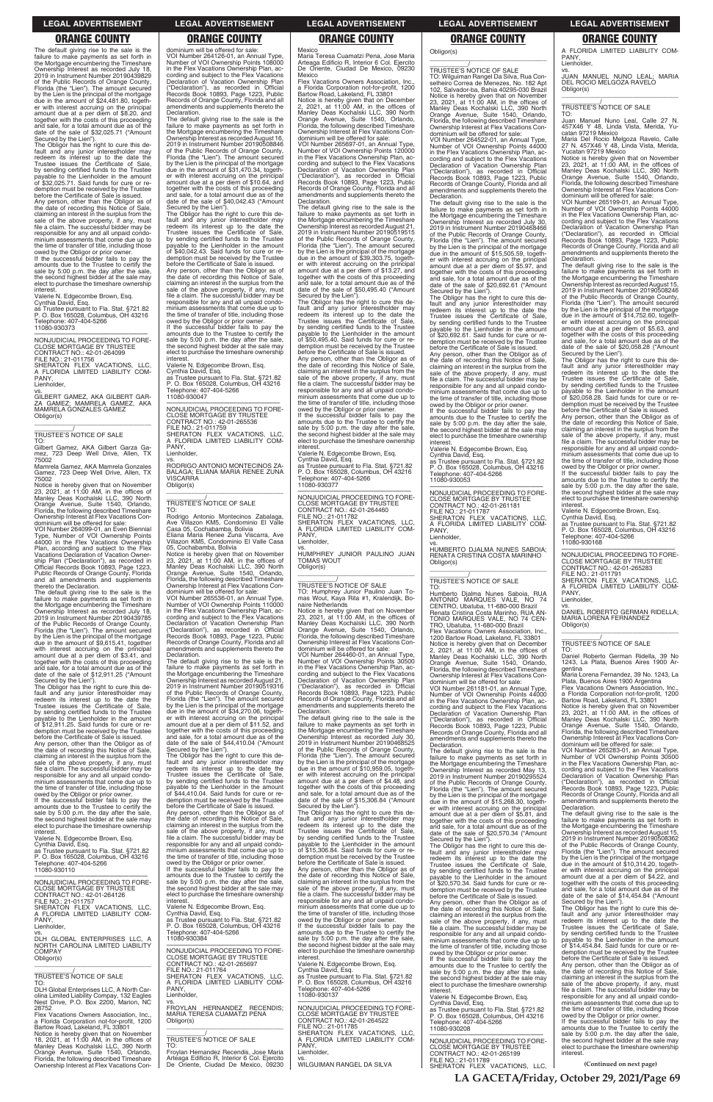**LA GACETA/Friday, October 29, 2021/Page 69**

### **LEGAL ADVERTISEMENT LEGAL ADVERTISEMENT LEGAL ADVERTISEMENT LEGAL ADVERTISEMENT LEGAL ADVERTISEMENT**

# **ORANGE COUNTY ORANGE COUNTY ORANGE COUNTY ORANGE COUNTY ORANGE COUNTY**

The default giving rise to the sale is the failure to make payments as set forth in the Mortgage encumbering the Timeshare<br>Ownership Interest as recorded July 18, Interest as recorded July 18 2019 in Instrument Number 20190439829 of the Public Records of Orange County, Florida (the "Lien"). The amount secured by the Lien is the principal of the mortgage due in the amount of \$24,481.80, together with interest accruing on the principal amount due at a per diem of \$8.20, and together with the costs of this proceeding and sale, for a total amount due as of the date of the sale of \$32,025.71 ("Amount Secured by the Lien"). The Obligor has the right to cure this de-

amounts due to the Trustee to certify the sale by 5:00 p.m. the day after the sale, the second highest bidder at the sale may elect to purchase the timeshare ownership **interest** 

fault and any junior interestholder may redeem its interest up to the date the Trustee issues the Certificate of Sale, by sending certified funds to the Trustee payable to the Lienholder in the amount of \$32,025.71. Said funds for cure or redemption must be received by the Trustee before the Certificate of Sale is issued.

TO:<br>Gilbert Gamez, AKA Gilbert Garza Ga-Gilbert Gamez, AKA Gilbert Garza Ga-mez, 723 Deep Well Drive, Allen, TX 75002

Any person, other than the Obligor as of the date of recording this Notice of Sale, claiming an interest in the surplus from the sale of the above property, if any, must file a claim. The successful bidder may be responsible for any and all unpaid condo-minium assessments that come due up to the time of transfer of title, including those owed by the Obligor or prior owner. If the successful bidder fails to pay the

Valerie N. Edgecombe Brown, Esq.

Cynthia David, Esq. as Trustee pursuant to Fla. Stat. §721.82 P. O. Box 165028, Columbus, OH 43216 Telephone: 407-404-5266 11080-930373

—————————————————— NONJUDICIAL PROCEEDING TO FORE-

CLOSE MORTGAGE BY TRUSTEE CONTRACT NO.: 42-01-264099 FILE NO.: 21-011756 SHERATON FLEX VACATIONS, LLC, A FLORIDA LIMITED LIABILITY COM-PANY, Lienholder,

vs. GILBERT GAMEZ, AKA GILBERT GAR-ZA GAMEZ; MAMRELA GAMEZ, AKA MAMRELA GONZALES GAMEZ Obligor(s) \_\_\_\_\_\_\_\_\_\_\_\_\_\_\_\_\_\_\_\_\_\_\_\_\_\_\_\_\_\_\_\_\_

Any person, other than the Obligor as of<br>the date of recording this Notice of Sale date of recording this Notice of Sale claiming an interest in the surplus from the sale of the above property, if any, must file a claim. The successful bidder may be responsible for any and all unpaid condominium assessments that come due up to the time of transfer of title, including those owed by the Obligor or prior owner.

# \_\_\_\_\_\_\_\_\_\_\_/ TRUSTEE'S NOTICE OF SALE

Mamrela Gamez, AKA Mamrela Gonzales Gamez, 723 Deep Well Drive, Allen, TX 75002

Notice is hereby given that on November 23, 2021, at 11:00 AM, in the offices of Manley Deas Kochalski LLC, 390 North Orange Avenue, Suite 1540, Orlando, Florida, the following described Timeshare Ownership Interest at Flex Vacations Condominium will be offered for sale:

VOI Number 264099-01, an Even Biennial Type, Number of VOI Ownership Points 44000 in the Flex Vacations Ownership Plan, according and subject to the Flex Vacations Declaration of Vacation Ownership Plan ("Declaration"), as recorded in Official Records Book 10893, Page 1223, Public Records of Orange County, Florida and all amendments and supplements thereto the Declaration.

**Declaration** The default giving rise to the sale is the failure to make payments as set forth in the Mortgage encumbering the Timeshare Ownership Interest as recorded August 16, 2019 in Instrument Number 20190508846 of the Public Records of Orange County, Florida (the "Lien"). The amount secured by the Lien is the principal of the mortgage due in the amount of \$31,470.34, together with interest accruing on the principal amount due at a per diem of \$10.64, and together with the costs of this proceeding and sale, for a total amount due as of the date of the sale of \$40,042.43 ("Amount

The default giving rise to the sale is the failure to make payments as set forth in the Mortgage encumbering the Timeshare Ownership Interest as recorded July 18, 2019 in Instrument Number 20190439785 of the Public Records of Orange County, Florida (the "Lien"). The amount secured by the Lien is the principal of the mortgage due in the amount of \$9,615.41, together with interest accruing on the principal amount due at a per diem of \$3.41, and together with the costs of this proceeding and sale, for a total amount due as of the date of the sale of \$12,911.25 ("Amount

Secured by the Lien"). The Obligor has the right to cure this de-fault and any junior interestholder may redeem its interest up to the date the Trustee issues the Certificate of Sale, by sending certified funds to the Trustee payable to the Lienholder in the amount of \$12,911.25. Said funds for cure or redemption must be received by the Trustee before the Certificate of Sale is issued.

If the successful bidder fails to pay the

dominium will be offered for sale: VOI Number 264126-01, an Annual Type, Number of VOI Ownership Points 108000 in the Flex Vacations Ownership Plan, according and subject to the Flex Vacations Declaration of Vacation Ownership Plan ("Declaration"), as recorded in Official Records Book 10893, Page 1223, Public Records of Orange County, Florida and all amendments and supplements thereto the

Secured by the Lien"). The Obligor has the right to cure this default and any junior interestholder may redeem its interest up to the date the Trustee issues the Certificate of Sale, by sending certified funds to the Trustee payable to the Lienholder in the amount of \$40,042.43. Said funds for cure or redemption must be received by the Trustee before the Certificate of Sale is issued.

> —————————————————— NONJUDICIAL PROCEEDING TO FORE-CLOSE MORTGAGE BY TRUSTEE CONTRACT NO.: 42-01-264460 FILE NO.: 21-011782 SHERATON FLEX VACATIONS, LLC, FLORIDA LIMITED LIABILITY COM-PANY, Lienholder,

\_\_\_\_\_\_\_\_\_\_\_/<br>TRUSTEE'S NOTICE OF SALE<br>TO: Humphrey Junior Paulino Juan Tomas Wout, Kaya Rita #1, Kralendijk, Bonaire Netherlands

Any person, other than the Obligor as of the date of recording this Notice of Sale, claiming an interest in the surplus from the sale of the above property, if any, must file a claim. The successful bidder may be responsible for any and all unpaid condominium assessments that come due up to the time of transfer of title, including those

owed by the Obligor or prior owner. If the successful bidder fails to pay the amounts due to the Trustee to certify the sale by 5:00 p.m. the day after the sale, the second highest bidder at the sale may elect to purchase the timeshare ownership

interest. Valerie N. Edgecombe Brown, Esq.

Cynthia David, Esq. as Trustee pursuant to Fla. Stat. §721.82 P. O. Box 165028, Columbus, OH 43216 Telephone: 407-404-5266 11080-930047

—————————————————— NONJUDICIAL PROCEEDING TO FORE-CLOSE MORTGAGE BY TRUSTEE CONTRACT NO.: 42-01-265536 FILE NO.: 21-011759 SHERATON FLEX VACATIONS, LLC, A FLORIDA LIMITED LIABILITY COM-A FLC<br>PANY Lienholder,

vs. RODRIGO ANTONIO MONTECINOS ZA-BALAGA; ELIANA MARIA RENEE ZUNA VISCARRA Obligor(s)

\_\_\_\_\_\_\_\_\_\_\_\_\_\_\_\_\_\_\_\_\_\_\_\_\_\_\_\_\_\_\_\_\_

# \_\_\_\_\_\_\_\_\_\_\_/ TRUSTEE'S NOTICE OF SALE

TO: Rodrigo Antonio Montecinos Zabalaga, Ave Villazon KM5, Condominio El Valle Casa 05, Cochabamba, Bolivia

Eliana Maria Renee Zuna Viscarra, Ave Villazon KM5, Condominio El Valle Casa 05, Cochabamba, Bolivia

\_\_\_\_\_\_\_\_\_\_\_/ TRUSTEE'S NOTICE OF SALE TO: Wilguiman Rangel Da Silva, Rua Con-selheiro Correa de Menezes, No. 182 Apt 102, Salvador-ba, Bahia 40295-030 Brazil Notice is hereby given that on November<br>23, 2021, at 11:00 AM, in the offices of<br>Manley Deas Kochalski LLC, 390 North<br>Orange Avenue, Suite 1540, Orlando,<br>Florida, the following described Timeshare<br>Ownership Interest at Fle

Notice is hereby given that on November 23, 2021, at 11:00 AM, in the offices of Manley Deas Kochalski LLC, 390 North Orange Avenue, Suite 1540, Orlando, Florida, the following described Timeshare Ownership Interest at Flex Vacations Condominium will be offered for sale: VOI Number 265536-01, an Annual Type,

Number of VOI Ownership Points 110000 in the Flex Vacations Ownership Plan, according and subject to the Flex Vacations Declaration of Vacation Ownership Plan ("Declaration"), as recorded in Official Records Book 10893, Page 1223, Public Records of Orange County, Florida and all amendments and supplements thereto the Declaration.

The default giving rise to the sale is the failure to make payments as set forth in the Mortgage encumbering the Timeshare Ownership Interest as recorded August 21, 2019 in Instrument Number 20190519316 of the Public Records of Orange County, Florida (the "Lien"). The amount secured by the Lien is the principal of the mortgage due in the amount of \$34,270.06, together with interest accruing on the principal amount due at a per diem of \$11.52, and together with the costs of this proceeding and sale, for a total amount due as of the date of the sale of \$44,410.04 ("Amount Secured by the Lien").

The Obligor has the right to cure this default and any junior interestholder may redeem its interest up to the date the Trustee issues the Certificate of Sale, by sending certified funds to the Trustee payable to the Lienholder in the amount \$44,410.04. Said funds for cure or redemption must be received by the Trustee before the Certificate of Sale is issued.

A FLU<br>PANY, Lienholder,

# Mexico

Maria Teresa Cuamatzi Pena, Jose Maria Arteaga Edificio R, Interior 6 Col. Ejercito De Oriente, Ciudad De Mexico, 09230 Mexico

Flex Vacations Owners Association, Inc., a Florida Corporation not-for-profit, 1200 Bartow Road, Lakeland, FL 33801

Notice is hereby given that on December 2, 2021, at 11:00 AM, in the offices of Manley Deas Kochalski LLC, 390 North Orange Avenue, Suite 1540, Orlando, Florida, the following described Timeshare Ownership Interest at Flex Vacations Con-dominium will be offered for sale: VOI Number 265697-01, an Annual Type,

Number of VOI Ownership Points 120000 in the Flex Vacations Ownership Plan, according and subject to the Flex Vacations Declaration of Vacation Ownership Plan ("Declaration"), as recorded in Official ("Declaration"), as recorded in Official<br>Records Book 10893, Page 1223, Public Records of Orange County, Florida and all amendments and supplements thereto the Declaration.

The default giving rise to the sale is the failure to make payments as set forth in the Mortgage encumbering the Timeshare Ownership Interest as recorded August 21, 2019 in Instrument Number 20190519515 of the Public Records of Orange County, Florida (the "Lien"). The amount secured by the Lien is the principal of the mortgage due in the amount of \$39,303.75, together with interest accruing on the principal amount due at a per diem of \$13.27, and together with the costs of this proceeding and sale, for a total amount due as of the date of the sale of \$50,495.40 ("Amount Secured by the Lien"). The Obligor has the right to cure this de-

fault and any junior interestholder may redeem its interest up to the date the Trustee issues the Certificate of Sale, by sending certified funds to the Trustee payable to the Lienholder in the amount of \$50,495.40. Said funds for cure or redemption must be received by the Trustee before the Certificate of Sale is issued.

Any person, other than the Obligor as of the date of recording this Notice of Sale, claiming an interest in the surplus from the sale of the above property, if any, must file a claim. The successful bidder may be responsible for any and all unpaid condominium assessments that come due up to the time of transfer of title, including those

owed by the Obligor or prior owner. If the successful bidder fails to pay the amounts due to the Trustee to certify the sale by 5:00 p.m. the day after the sale, the second highest bidder at the sale may elect to purchase the timeshare ownership interest.

Valerie N. Edgecombe Brown, Esq. Cynthia David, Esq. as Trustee pursuant to Fla. Stat. §721.82 P. O. Box 165028, Columbus, OH 43216 Telephone: 407-404-5266 11080-930377

vs. HUMPHREY JUNIOR PAULINO JUAN TOMAS WOUT Obligor(s)

# \_\_\_\_\_\_\_\_\_\_\_\_\_\_\_\_\_\_\_\_\_\_\_\_\_\_\_\_\_\_\_\_\_

Notice is hereby given that on November 23, 2021, at 11:00 AM, in the offices of Manley Deas Kochalski LLC, 390 North Orange Avenue, Suite 1540, Orlando, Florida, the following described Timeshare Ownership Interest at Flex Vacations Con-dominium will be offered for sale: VOI Number 264460-01, an Annual Type,

Number of VOI Ownership Points 30500 in the Flex Vacations Ownership Plan, according and subject to the Flex Vacations Declaration of Vacation Ownership Plan ("Declaration"), as recorded in Official ("Declaration"), as recorded in Official<br>Records Book 10893, Page 1223, Public Records of Orange County, Florida and all amendments and supplements thereto the Declaration.

The default giving rise to the sale is the failure to make payments as set forth in the Mortgage encumbering the Timeshare Ownership Interest as recorded July 30, 2019 in Instrument Number 20190468525 of the Public Records of Orange County, Florida (the "Lien"). The amount secured by the Lien is the principal of the mortgage due in the amount of \$10,959.05, together with interest accruing on the principal amount due at a per diem of \$4.48, and together with the costs of this proceeding and sale, for a total amount due as of the date of the sale of \$15,306.84 ("Amount

| If the successful bidder fails to pay the<br>amounts due to the Trustee to certify the<br>sale by 5:00 p.m. the day after the sale,<br>the second highest bidder at the sale may<br>elect to purchase the timeshare ownership<br>interest.<br>Valerie N. Edgecombe Brown, Esg.<br>Cynthia David, Esq.<br>as Trustee pursuant to Fla. Stat. §721.82<br>P. O. Box 165028, Columbus, OH 43216<br>Telephone: 407-404-5266<br>11080-930110<br>NONJUDICIAL PROCEEDING TO FORE-<br><b>CLOSE MORTGAGE BY TRUSTEE</b><br>CONTRACT NO.: 42-01-264126<br>FILE NO.: 21-011757<br>SHERATON FLEX VACATIONS. LLC.<br>A FLORIDA LIMITED LIABILITY COM-<br>PANY.<br>Lienholder,<br>VS.<br>DLH GLOBAL ENTERPRISES LLC, A<br>NORTH CAROLINA LIMITED LIABILITY<br><b>COMPAY</b> | demption must be received by the Trustee<br>before the Certificate of Sale is issued.<br>Any person, other than the Obligor as of<br>the date of recording this Notice of Sale.<br>claiming an interest in the surplus from the<br>sale of the above property, if any, must<br>file a claim. The successful bidder may be<br>responsible for any and all unpaid condo-<br>minium assessments that come due up to<br>the time of transfer of title, including those<br>owed by the Obligor or prior owner.<br>If the successful bidder fails to pay the<br>amounts due to the Trustee to certify the<br>sale by 5:00 p.m. the day after the sale,<br>the second highest bidder at the sale may<br>elect to purchase the timeshare ownership<br>interest.<br>Valerie N. Edgecombe Brown, Esg.<br>Cynthia David, Esg.<br>as Trustee pursuant to Fla. Stat. §721.82<br>P. O. Box 165028, Columbus, OH 43216<br>Telephone: 407-404-5266<br>11080-930384<br>NONJUDICIAL PROCEEDING TO FORE- | date of the sale of \$15,306.84 ("Amount"<br>Secured by the Lien").<br>The Obligor has the right to cure this de-<br>fault and any junior interestholder may<br>redeem its interest up to the date the<br>Trustee issues the Certificate of Sale,<br>by sending certified funds to the Trustee<br>payable to the Lienholder in the amount<br>of \$15,306,84. Said funds for cure or re-<br>demption must be received by the Trustee<br>before the Certificate of Sale is issued.<br>Any person, other than the Obligor as of<br>the date of recording this Notice of Sale,<br>claiming an interest in the surplus from the<br>sale of the above property, if any, must<br>file a claim. The successful bidder may be<br>responsible for any and all unpaid condo-<br>minium assessments that come due up to<br>the time of transfer of title, including those<br>owed by the Obligor or prior owner.<br>If the successful bidder fails to pay the<br>amounts due to the Trustee to certify the<br>sale by 5:00 p.m. the day after the sale,<br>the second highest bidder at the sale may<br>elect to purchase the timeshare ownership | due in the amount of \$15,268.30, togeth-<br>er with interest accruing on the principal<br>amount due at a per diem of \$5.81, and<br>together with the costs of this proceeding<br>and sale, for a total amount due as of the<br>date of the sale of \$20,570.34 ("Amount<br>Secured by the Lien").<br>The Obligor has the right to cure this de-<br>fault and any junior interestholder may<br>redeem its interest up to the date the<br>Trustee issues the Certificate of Sale,<br>by sending certified funds to the Trustee<br>payable to the Lienholder in the amount<br>of \$20,570,34. Said funds for cure or re-<br>demption must be received by the Trustee<br>before the Certificate of Sale is issued.<br>Any person, other than the Obligor as of<br>the date of recording this Notice of Sale,<br>claiming an interest in the surplus from the<br>sale of the above property, if any, must<br>file a claim. The successful bidder may be<br>responsible for any and all unpaid condo-<br>minium assessments that come due up to<br>the time of transfer of title, including those<br>owed by the Obligor or prior owner. | amendments and supplements thereto the<br>Declaration.<br>The default giving rise to the sale is the<br>failure to make payments as set forth in<br>the Mortgage encumbering the Timeshare<br>Ownership Interest as recorded August 15.<br>2019 in Instrument Number 20190508362<br>of the Public Records of Orange County,<br>Florida (the "Lien"). The amount secured<br>by the Lien is the principal of the mortgage<br>due in the amount of \$10,314.20, togeth-<br>er with interest accruing on the principal<br>amount due at a per diem of \$4.22, and<br>together with the costs of this proceeding<br>and sale, for a total amount due as of the<br>date of the sale of \$14,454.84 ("Amount<br>Secured by the Lien").<br>The Obligor has the right to cure this de-<br>fault and any junior interestholder may<br>redeem its interest up to the date the<br>Trustee issues the Certificate of Sale,<br>by sending certified funds to the Trustee<br>payable to the Lienholder in the amount<br>of \$14,454,84. Said funds for cure or re-<br>demption must be received by the Trustee |
|-------------------------------------------------------------------------------------------------------------------------------------------------------------------------------------------------------------------------------------------------------------------------------------------------------------------------------------------------------------------------------------------------------------------------------------------------------------------------------------------------------------------------------------------------------------------------------------------------------------------------------------------------------------------------------------------------------------------------------------------------------------|---------------------------------------------------------------------------------------------------------------------------------------------------------------------------------------------------------------------------------------------------------------------------------------------------------------------------------------------------------------------------------------------------------------------------------------------------------------------------------------------------------------------------------------------------------------------------------------------------------------------------------------------------------------------------------------------------------------------------------------------------------------------------------------------------------------------------------------------------------------------------------------------------------------------------------------------------------------------------------------|---------------------------------------------------------------------------------------------------------------------------------------------------------------------------------------------------------------------------------------------------------------------------------------------------------------------------------------------------------------------------------------------------------------------------------------------------------------------------------------------------------------------------------------------------------------------------------------------------------------------------------------------------------------------------------------------------------------------------------------------------------------------------------------------------------------------------------------------------------------------------------------------------------------------------------------------------------------------------------------------------------------------------------------------------------------------------------------------------------------------------------------|---------------------------------------------------------------------------------------------------------------------------------------------------------------------------------------------------------------------------------------------------------------------------------------------------------------------------------------------------------------------------------------------------------------------------------------------------------------------------------------------------------------------------------------------------------------------------------------------------------------------------------------------------------------------------------------------------------------------------------------------------------------------------------------------------------------------------------------------------------------------------------------------------------------------------------------------------------------------------------------------------------------------------------------------------------------------------------------------------------------------------------------|-------------------------------------------------------------------------------------------------------------------------------------------------------------------------------------------------------------------------------------------------------------------------------------------------------------------------------------------------------------------------------------------------------------------------------------------------------------------------------------------------------------------------------------------------------------------------------------------------------------------------------------------------------------------------------------------------------------------------------------------------------------------------------------------------------------------------------------------------------------------------------------------------------------------------------------------------------------------------------------------------------------------------------------------------------------------------------------------------|
| Obligor(s)<br>TRUSTEE'S NOTICE OF SALE<br>TO:<br>DLH Global Enterprises LLC, A North Car-<br>olina Limited Liability Compay, 132 Eagles<br>Nest Drive, P.O. Box 2200, Marion, NC                                                                                                                                                                                                                                                                                                                                                                                                                                                                                                                                                                            | <b>CLOSE MORTGAGE BY TRUSTEE</b><br>CONTRACT NO.: 42-01-265697<br>FILE NO.: 21-011764<br>SHERATON FLEX VACATIONS. LLC.<br>A FLORIDA LIMITED LIABILITY COM-<br>PANY.<br>Lienholder,<br>VS.                                                                                                                                                                                                                                                                                                                                                                                                                                                                                                                                                                                                                                                                                                                                                                                             | interest.<br>Valerie N. Edgecombe Brown, Esg.<br>Cynthia David, Esg.<br>as Trustee pursuant to Fla. Stat. §721.82<br>P. O. Box 165028, Columbus, OH 43216<br>Telephone: 407-404-5266<br>11080-930137                                                                                                                                                                                                                                                                                                                                                                                                                                                                                                                                                                                                                                                                                                                                                                                                                                                                                                                                  | If the successful bidder fails to pay the<br>amounts due to the Trustee to certify the<br>sale by 5:00 p.m. the day after the sale,<br>the second highest bidder at the sale may<br>elect to purchase the timeshare ownership<br>interest.<br>Valerie N. Edgecombe Brown, Esg.                                                                                                                                                                                                                                                                                                                                                                                                                                                                                                                                                                                                                                                                                                                                                                                                                                                        | before the Certificate of Sale is issued.<br>Any person, other than the Obligor as of<br>the date of recording this Notice of Sale,<br>claiming an interest in the surplus from the<br>sale of the above property, if any, must<br>file a claim. The successful bidder may be<br>responsible for any and all unpaid condo-<br>minium assessments that come due up to                                                                                                                                                                                                                                                                                                                                                                                                                                                                                                                                                                                                                                                                                                                            |
| 28752<br>Flex Vacations Owners Association, Inc.,<br>a Florida Corporation not-for-profit, 1200<br>Bartow Road, Lakeland, FL 33801<br>Notice is hereby given that on November<br>18, 2021, at $11:00$ AM, in the offices of<br>Manley Deas Kochalski LLC, 390 North<br>Orange Avenue, Suite 1540, Orlando,<br>Florida, the following described Timeshare<br>Ownership Interest at Flex Vacations Con-                                                                                                                                                                                                                                                                                                                                                       | FROYLAN HERNANDEZ RECENDIS:<br><b>MARIA TERESA CUAMATZI PENA</b><br>Obligor(s)<br>TRUSTEE'S NOTICE OF SALE<br>TO:<br>Froylan Hernandez Recendis, Jose Maria<br>Arteaga Edificio R, Interior 6 Col. Ejercito<br>De Oriente, Ciudad De Mexico, 09230                                                                                                                                                                                                                                                                                                                                                                                                                                                                                                                                                                                                                                                                                                                                    | NONJUDICIAL PROCEEDING TO FORE-<br><b>CLOSE MORTGAGE BY TRUSTEE</b><br>CONTRACT NO.: 42-01-264522<br>FILE NO.: 21-011785<br>SHERATON FLEX VACATIONS. LLC.<br>A FLORIDA LIMITED LIABILITY COM-<br>PANY.<br>Lienholder,<br>VS.<br>WILGUIMAN RANGEL DA SILVA                                                                                                                                                                                                                                                                                                                                                                                                                                                                                                                                                                                                                                                                                                                                                                                                                                                                             | Cynthia David. Esg.<br>as Trustee pursuant to Fla. Stat. §721.82<br>P. O. Box 165028, Columbus, OH 43216<br>Telephone: 407-404-5266<br>11080-930208<br>NONJUDICIAL PROCEEDING TO FORE-<br><b>CLOSE MORTGAGE BY TRUSTEE</b><br>CONTRACT NO.: 42-01-265199<br>FILE NO.: 21-011789<br>SHERATON FLEX VACATIONS. LLC.                                                                                                                                                                                                                                                                                                                                                                                                                                                                                                                                                                                                                                                                                                                                                                                                                      | the time of transfer of title, including those<br>owed by the Obligor or prior owner.<br>If the successful bidder fails to pay the<br>amounts due to the Trustee to certify the<br>sale by 5:00 p.m. the day after the sale,<br>the second highest bidder at the sale may<br>elect to purchase the timeshare ownership<br>interest.<br>(Continued on next page)                                                                                                                                                                                                                                                                                                                                                                                                                                                                                                                                                                                                                                                                                                                                 |

Obligor(s) \_\_\_\_\_\_\_\_\_\_\_\_\_\_\_\_\_\_\_\_\_\_\_\_\_\_\_\_\_\_\_\_\_

dominium will be offered for sale: VOI Number 264522-01, an Annual Type, Number of VOI Ownership Points 44000 in the Flex Vacations Ownership Plan, according and subject to the Flex Vacations Declaration of Vacation Ownership Plan ("Declaration"), as recorded in Official Records Book 10893, Page 1223, Public Records of Orange County, Florida and all amendments and supplements thereto the Declaration.

The default giving rise to the sale is the failure to make payments as set forth in the Mortgage encumbering the Timeshare Ownership Interest as recorded July 30, 2019 in Instrument Number 20190468466 of the Public Records of Orange County, Florida (the "Lien"). The amount secured by the Lien is the principal of the mortgage due in the amount of \$15,505.59, together with interest accruing on the principal amount due at a per diem of \$5.97, and together with the costs of this proceeding and sale, for a total amount due as of the date of the sale of \$20,692.61 ("Amount

Secured by the Lien"). The Obligor has the right to cure this default and any junior interestholder may redeem its interest up to the date the Trustee issues the Certificate of Sale, by sending certified funds to the Trustee payable to the Lienholder in the amount of \$20,692.61. Said funds for cure or redemption must be received by the Trustee before the Certificate of Sale is issued.

Any person, other than the Obligor as of the date of recording this Notice of Sale, claiming an interest in the surplus from the sale of the above property, if any, must file a claim. The successful bidder may be responsible for any and all unpaid condominium assessments that come due up to the time of transfer of title, including those

owed by the Obligor or prior owner. If the successful bidder fails to pay the amounts due to the Trustee to certify the amounto due to the Trustee to being the<br>sale by 5:00 p.m. the day after the sale, the second highest bidder at the sale may elect to purchase the timeshare ownership interest.

Valerie N. Edgecombe Brown, Esq. Cynthia David, Esq.

as Trustee pursuant to Fla. Stat. §721.82 P. O. Box 165028, Columbus, OH 43216 Telephone: 407-404-5266 11080-930053

—————————————————— NONJUDICIAL PROCEEDING TO FORE-CLOSE MORTGAGE BY TRUSTEE CONTRACT NO.: 42-01-261181 FILE NO.: 21-011787 SHERATON FLEX VACATIONS, LLC, A FLORIDA LIMITED LIABILITY COM-

vs. HUMBERTO DJALMA NUNES SABOIA; RENATA CRISTINA COSTA MARINHO Obligor(s) \_\_\_\_\_\_\_\_\_\_\_\_\_\_\_\_\_\_\_\_\_\_\_\_\_\_\_\_\_\_\_\_\_

# \_\_\_\_\_\_\_\_\_\_\_/ TRUSTEE'S NOTICE OF SALE

TO: Humberto Djalma Nunes Saboia, RUA ANTONIO MARQUES VALE, NO 74 CENTRO, Ubatuba, 11-680-000 Brazil Renata Cristina Costa Marinho, RUA AN-TONIO MARQUES VALE, NO 74 CEN-TRO, Ubatuba, 11-680-000 Brazil

Flex Vacations Owners Association, Inc., 1200 Bartow Road, Lakeland, FL 33801 Notice is hereby given that on December 2, 2021, at 11:00 AM, in the offices of Manley Deas Kochalski LLC, 390 North Orange Avenue, Suite 1540, Orlando, Florida, the following described Timeshare Ownership Interest at Flex Vacations Condominium will be offered for sale:

VOI Number 261181-01, an Annual Type, Number of VOI Ownership Points 44000 in the Flex Vacations Ownership Plan, according and subject to the Flex Vacations Declaration of Vacation Ownership Plan ("Declaration"), as recorded in Official Records Book 10893, Page 1223, Public Records of Orange County, Florida and all amendments and supplements thereto the Declaration.

The default giving rise to the sale is the failure to make payments as set forth in the Mortgage encumbering the Timeshare Ownership Interest as recorded May 13, 2019 in Instrument Number 20190295524 of the Public Records of Orange County, Florida (the "Lien"). The amount secured by the Lien is the principal of the mortgage due in the amount of \$15,268.30, togeth-er with interest accruing on the principal

A FLORIDA LIMITED LIABILITY COM-PANY, Lienholder,

vs. JUAN MANUEL NUNO LEAL; MARIA DEL ROCIO MELGOZA RAVELO Obligor(s) \_\_\_\_\_\_\_\_\_\_\_\_\_\_\_\_\_\_\_\_\_\_\_\_\_\_\_\_\_\_\_\_\_

\_\_\_\_\_\_\_\_\_\_\_/ TRUSTEE'S NOTICE OF SALE

TO: Juan Manuel Nuno Leal, Calle 27 N. 457X46 Y 48, Linda Vista, Merida, Yu-catan 97219 Mexico

Maria Del Rocio Melgoza Ravelo, Calle 27 N. 457X46 Y 48, Linda Vista, Merida, Yucatan 97219 Mexico

Notice is hereby given that on November 23, 2021, at 11:00 AM, in the offices of Manley Deas Kochalski LLC, 390 North Orange Avenue, Suite 1540, Orlando, Florida, the following described Timeshare Ownership Interest at Flex Vacations Con-

dominium will be offered for sale: VOI Number 265199-01, an Annual Type, Number of VOI Ownership Points 44000 in the Flex Vacations Ownership Plan, ac-cording and subject to the Flex Vacations Declaration of Vacation Ownership Plan ("Declaration"), as recorded in Official Records Book 10893, Page 1223, Public Records of Orange County, Florida and all amendments and supplements thereto the

Declaration. The default giving rise to the sale is the failure to make payments as set forth in the Mortgage encumbering the Timeshare Ownership Interest as recorded August 15, 2019 in Instrument Number 20190508246 of the Public Records of Orange County, Florida (the "Lien"). The amount secured by the Lien is the principal of the mortgage due in the amount of \$14,752.60, togeth-er with interest accruing on the principal amount due at a per diem of \$5.63, and together with the costs of this proceeding and sale, for a total amount due as of the date of the sale of \$20,058.28 ("Amount Secured by the Lien"). The Obligor has the right to cure this de-

fault and any junior interestholder may redeem its interest up to the date the Trustee issues the Certificate of Sale, by sending certified funds to the Trustee payable to the Lienholder in the amount of \$20,058.28. Said funds for cure or redemption must be received by the Trustee before the Certificate of Sale is issued. Any person, other than the Obligor as of

the date of recording this Notice of Sale, claiming an interest in the surplus from the sale of the above property, if any, must file a claim. The successful bidder may be responsible for any and all unpaid condo-minium assessments that come due up to the time of transfer of title, including those owed by the Obligor or prior owner. If the successful bidder fails to pay the

amounts due to the Trustee to certify the sale by 5:00 p.m. the day after the sale, the second highest bidder at the sale may elect to purchase the timeshare ownership interest. Valerie N. Edgecombe Brown, Esq.

Cynthia David, Esq. as Trustee pursuant to Fla. Stat. §721.82 P. O. Box 165028, Columbus, OH 43216

Telephone: 407-404-5266 11080-930168

—————————————————— NONJUDICIAL PROCEEDING TO FORE-CLOSE MORTGAGE BY TRUSTEE CONTRACT NO.: 42-01-265283 FILE NO.: 21-011791 SHERATON FLEX VACATIONS, LLC, A FLORIDA LIMITED LIABILITY COM-PANY, Lienholder,

vs. DANIEL ROBERTO GERMAN RIDELLA; MARIA LORENA FERNANDEZ Obligor(s) \_\_\_\_\_\_\_\_\_\_\_\_\_\_\_\_\_\_\_\_\_\_\_\_\_\_\_\_\_\_\_\_\_

\_\_\_\_\_\_\_\_\_\_\_/ TRUSTEE'S NOTICE OF SALE TO:

Daniel Roberto German Ridella, 39 No 1243, La Plata, Buenos Aires 1900 Ar-

gentina Maria Lorena Fernandez, 39 No. 1243, La Plata, Buenos Aires 1900 Argentina

Flex Vacations Owners Association, Inc., a Florida Corporation not-for-profit, 1200 Bartow Road, Lakeland, FL 33801

Notice is hereby given that on November 23, 2021, at 11:00 AM, in the offices of Manley Deas Kochalski LLC, 390 North Orange Avenue, Suite 1540, Orlando, Florida, the following described Timeshare Ownership Interest at Flex Vacations Condominium will be offered for sale: VOI Number 265283-01, an Annual Type, Number of VOI Ownership Points 30500

in the Flex Vacations Ownership Plan, ac-cording and subject to the Flex Vacations Declaration of Vacation Ownership Plan

("Declaration"), as recorded in Official Records Book 10893, Page 1223, Public Records of Orange County, Florida and all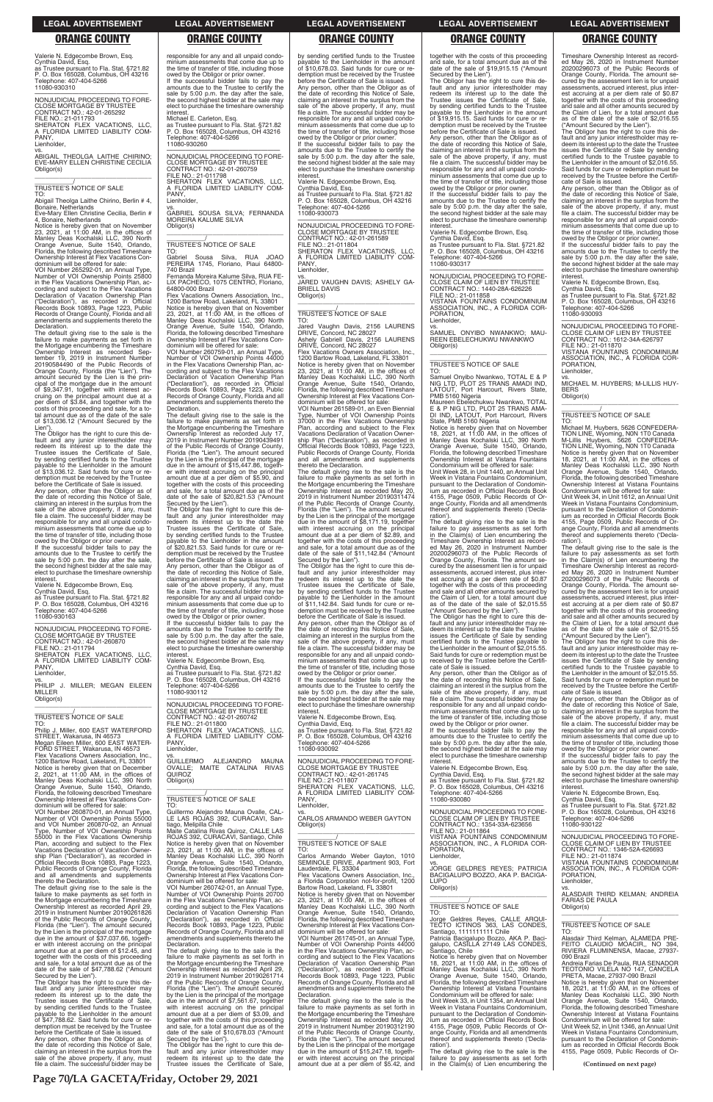Valerie N. Edgecombe Brown, Esq. Cynthia David, Esq. as Trustee pursuant to Fla. Stat. §721.82 P. O. Box 165028, Columbus, OH 43216 Telephone: 407-404-5266

11080-930310

—————————————————— NONJUDICIAL PROCEEDING TO FORE-CLOSE MORTGAGE BY TRUSTEE CONTRACT NO.: 42-01-265292 FILE NO.: 21-011793 SHERATON FLEX VACATIONS, LLC, A FLORIDA LIMITED LIABILITY COM-PANY,

### Lienholder,

vs. ABIGAIL THEOLGA LAITHE CHIRINO; EVE-MARY ELLEN CHRISTINE CECILIA Obligor(s) \_\_\_\_\_\_\_\_\_\_\_\_\_\_\_\_\_\_\_\_\_\_\_\_\_\_\_\_\_\_\_\_\_

# \_\_\_\_\_\_\_\_\_\_\_/ TRUSTEE'S NOTICE OF SALE

TO: Abigail Theolga Laithe Chirino, Berlin # 4, Bonaire, Netherlands Eve-Mary Ellen Christine Cecilia, Berlin #

Declaration. The default giving rise to the sale is the failure to make payments as set forth in the Mortgage encumbering the Timeshare Ownership Interest as recorded Sep-tember 19, 2019 in Instrument Number 20190584490 of the Public Records of Orange County, Florida (the "Lien"). The amount secured by the Lien is the prin-cipal of the mortgage due in the amount of \$9,347.91, together with interest ac-cruing on the principal amount due at a per diem of \$3.84, and together with the costs of this proceeding and sale, for a to-tal amount due as of the date of the sale of \$13,036.12 ("Amount Secured by the Lien")

4, Bonaire, Netherlands Notice is hereby given that on November 23, 2021, at 11:00 AM, in the offices of Manley Deas Kochalski LLC, 390 North Orange Avenue, Suite 1540, Orlando, Florida, the following described Timeshare Ownership Interest at Flex Vacations Con-

dominium will be offered for sale: VOI Number 265292-01, an Annual Type, Number of VOI Ownership Points 25800 in the Flex Vacations Ownership Plan, ac-cording and subject to the Flex Vacations Declaration of Vacation Ownership Plan ("Declaration"), as recorded in Official Records Book 10893, Page 1223, Public Records of Orange County, Florida and all amendments and supplements thereto the

The Obligor has the right to cure this de-fault and any junior interestholder may redeem its interest up to the date the Trustee issues the Certificate of Sale, by sending certified funds to the Trustee payable to the Lienholder in the amount of \$13,036.12. Said funds for cure or re-demption must be received by the Trustee before the Certificate of Sale is issued.

Any person, other than the Obligor as of the date of recording this Notice of Sale, claiming an interest in the surplus from the sale of the above property, if any, must file a claim. The successful bidder may be responsible for any and all unpaid condominium assessments that come due up to the time of transfer of title, including those

owed by the Obligor or prior owner. If the successful bidder fails to pay the amounts due to the Trustee to certify the sale by 5:00 p.m. the day after the sale, the second highest bidder at the sale may elect to purchase the timeshare ownership interest.

Valerie N. Edgecombe Brown, Esq. Cynthia David, Esq.

as Trustee pursuant to Fla. Stat. §721.82 P. O. Box 165028, Columbus, OH 43216 Telephone: 407-404-5266 11080-930163

micrest.<br>Michael E. Carleton, Esq. as Trustee pursuant to Fla. Stat. §721.82 P. O. Box 165028, Columbus, OH 43216 Telephone: 407-404-5266 11080-930260

—————————————————— NONJUDICIAL PROCEEDING TO FORE-CLOSE MORTGAGE BY TRUSTEE CONTRACT NO.: 42-01-260870 FILE NO.: 21-011794 SHERATON FLEX VACATIONS, LLC, A FLORIDA LIMITED LIABILITY COM-PANY, TO:<br>Gabriel Sousa Silva, RUA JOAO PEREIRA 1745, Floriano, Piaui 64800- 740 Brazil

Lienholder, vs. PHILIP J. MILLER; MEGAN EILEEN

MILLER Obligor(s)

\_\_\_\_\_\_\_\_\_\_\_\_\_\_\_\_\_\_\_\_\_\_\_\_\_\_\_\_\_\_\_\_\_

\_\_\_\_\_\_\_\_\_\_\_/ TRUSTEE'S NOTICE OF SALE

TO: Philip J. Miller, 600 EAST WATERFORD STREET, Wakarusa, IN 46573 Megan Eileen Miller, 600 EAST WATER-FORD STREET, Wakarusa, IN 46573 Flex Vacations Owners Association, Inc., 1200 Bartow Road, Lakeland, FL 33801 Notice is hereby given that on December 2, 2021, at 11:00 AM, in the offices of Manley Deas Kochalski LLC, 390 North Orange Avenue, Suite 1540, Orlando, Florida, the following described Timeshare Ownership Interest at Flex Vacations Condominium will be offered for sale:

| VOI Number 260870-01, an Annual Type,     |
|-------------------------------------------|
| Number of VOI Ownership Points 55000      |
| and VOI Number 260870-02, an Annual       |
| Type, Number of VOI Ownership Points      |
| 55000 in the Flex Vacations Ownership     |
| Plan, according and subject to the Flex   |
| Vacations Declaration of Vacation Owner-  |
| ship Plan ("Declaration"), as recorded in |
| Official Records Book 10893, Page 1223,   |
| Public Records of Orange County, Florida  |
| and all amendments and supplements        |
| thereto the Declaration.                  |
|                                           |

**interest** Valerie N. Edgecombe Brown, Esq. Cynthia David, Esq. as Trustee pursuant to Fla. Stat. §721.82 P. O. Box 165028, Columbus, OH 43216

elephone: 407-404-5266 11080-930112 —————————————————— NONJUDICIAL PROCEEDING TO FORE-

thereto the Declaration. The default giving rise to the sale is the failure to make payments as set forth in the Mortgage encumbering the Timeshare Ownership Interest as recorded April 29, 2019 in Instrument Number 20190261826 of the Public Records of Orange County, Florida (the "Lien"). The amount secured by the Lien is the principal of the mortgage due in the amount of \$37,037.66, together with interest accruing on the principal amount due at a per diem of \$12.45, and together with the costs of this proceeding and sale, for a total amount due as of the date of the sale of \$47,788.62 ("Amount

**GUILLERMO** GUILLERMO ALEJANDRO MAUNA OVALLE; MAITE CATALINA RIVAS OVALLE;<br>QUIROZ Obligor(s)

Guillermo Alejandro Mauna Ovalle, CAL-LE LAS ROJAS 392, CURACAVI, Santiago, Melipilla Chile<br>Maite Catalina Rivas Quiroz, CALLE LAS

Maite Catalina Rivas Quiroz, CALLE LAS<br>ROJAS 392, CURACAVI, Santiago, Chile<br>Notice is hereby given that on November<br>23, 2021, at 11:00 AM, in the offices of<br>Manley Deas Kochalski LLC, 390 North Orange Avenue, Suite 1540, Orlando, Florida, the following described Timeshare Ownership Interest at Flex Vacations Condominium will be offered for sale:

VOI Number 260742-01, an Annual Type, Number of VOI Ownership Points 20700 in the Flex Vacations Ownership Plan, according and subject to the Flex Vacations Declaration of Vacation Ownership Plan ("Declaration"), as recorded in Official Records Book 10893, Page 1223, Public Records of Orange County, Florida and all amendments and supplements thereto the **Declaration** 

Secured by the Lien"). The Obligor has the right to cure this de-fault and any junior interestholder may redeem its interest up to the date the Trustee issues the Certificate of Sale, by sending certified funds to the Trustee payable to the Lienholder in the amount of \$47,788.62. Said funds for cure or redemption must be received by the Trustee before the Certificate of Sale is issued. Any person, other than the Obligor as of the date of recording this Notice of Sale, claiming an interest in the surplus from the sale of the above property, if any, must file a claim. The successful bidder may be

responsible for any and all unpaid condo-minium assessments that come due up to the time of transfer of title, including those owed by the Obligor or prior owner. If the successful bidder fails to pay the amounts due to the Trustee to certify the sale by 5:00 p.m. the day after the sale, the second highest bidder at the sale may elect to purchase the timeshare ownership interest.

> If the successful bidder fails to pay the amounts due to the Trustee to certify the sale by 5:00 p.m. the day after the sale, the second highest bidder at the sale may elect to purchase the timeshare ownership

vs. JARED VAUGHN DAVIS; ASHELY GA-BRIELL DAVIS

 $\overline{\phantom{a}}$  , and the set of the set of the set of the set of the set of the set of the set of the set of the set of the set of the set of the set of the set of the set of the set of the set of the set of the set of the s \_\_\_\_\_\_\_\_\_\_\_/ TRUSTEE'S NOTICE OF SALE

—————————————————— NONJUDICIAL PROCEEDING TO FORE-CLOSE MORTGAGE BY TRUSTEE CONTRACT NO.: 42-01-260759 FILE NO.: 21-011798 SHERATON FLEX VACATIONS, LLC, FLORIDA LIMITED LIABILITY COM-PANY, Lienholder,

vs. GABRIEL SOUSA SILVA; FERNANDA MOREIRA KALUME SILVA Obligor(s)

\_\_\_\_\_\_\_\_\_\_\_\_\_\_\_\_\_\_\_\_\_\_\_\_\_\_\_\_\_\_\_\_\_

# \_\_\_\_\_\_\_\_\_\_\_/ TRUSTEE'S NOTICE OF SALE

Fernanda Moreira Kalume Silva, RUA FE-LIX PACHECO, 1075 CENTRO, Floriano, 64800-000 Brazil Flex Vacations Owners Association, Inc.,

1200 Bartow Road, Lakeland, FL 33801 Notice is hereby given that on November 23, 2021, at 11:00 AM, in the offices of Manley Deas Kochalski LLC, 390 North Orange Avenue, Suite 1540, Orlando, Florida, the following described Timeshare Ownership Interest at Flex Vacations Con-dominium will be offered for sale:

VOI Number 260759-01, an Annual Type, Number of VOI Ownership Points 44000 in the Flex Vacations Ownership Plan, according and subject to the Flex Vacations Declaration of Vacation Ownership Plan ("Declaration"), as recorded in Official Records Book 10893, Page 1223, Public Records of Orange County, Florida and all amendments and supplements thereto the Declaration.

> owed by the Obligor or prior owner. If the successful bidder fails to pay the amounts due to the Trustee to certify the sale by 5:00 p.m. the day after the sale, the second highest bidder at the sale may elect to purchase the timeshare ownership interest

—————————————————— NONJUDICIAL PROCEEDING TO FORE-CLOSE MORTGAGE BY TRUSTEE CONTRACT NO.: 42-01-261745 FILE NO.: 21-011807 SHERATON FLEX VACATIONS, LLC, **FLORIDA LIMITED LIABILITY COM-**A FLO<br>PANY,

The default giving rise to the sale is the failure to make payments as set forth in the Mortgage encumbering the Timeshare Ownership Interest as recorded July 17, 2019 in Instrument Number 20190439491 of the Public Records of Orange County, Florida (the "Lien"). The amount secured by the Lien is the principal of the mortgage due in the amount of \$15,447.86, together with interest accruing on the principal amount due at a per diem of \$5.90, and together with the costs of this proceeding and sale, for a total amount due as of the date of the sale of \$20,821.53 ("Amount Secured by the Lien").

The Obligor has the right to cure this de-fault and any junior interestholder may redeem its interest up to the date the Trustee issues the Certificate of Sale, by sending certified funds to the Trustee payable to the Lienholder in the amount of \$20,821.53. Said funds for cure or re-demption must be received by the Trustee before the Certificate of Sale is issued. Any person, other than the Obligor as of the date of recording this Notice of Sale, claiming an interest in the surplus from the sale of the above property, if any, must file a claim. The successful bidder may be responsible for any and all unpaid condominium assessments that come due up to the time of transfer of title, including those owed by the Obligor or prior owner. If the successful bidder fails to pay the amounts due to the Trustee to certify the sale by 5:00 p.m. the day after the sale, the second highest bidder at the sale may elect to purchase the timeshare ownership

CLOSE MORTGAGE BY TRUSTEE CONTRACT NO.: 42-01-260742 FILE NO.: 21-011800 SHERATON FLEX VACATIONS, LLC, A FLORIDA LIMITED LIABILITY COM-PANY, Lienholder,

Orange Avenue, Suite 1540, Orlando, Florida, the following described Timeshare Ownership Interest at Vistana Fountains Condominium will be offered for sale: Unit Week 28, in Unit 1440, an Annual Unit Week in Vistana Fountains Condominium, pursuant to the Declaration of Condominium as recorded in Official Records Book 4155, Page 0509, Public Records of Orange County, Florida and all amendments reof and supplements thereto ('Decla-

\_\_\_\_\_\_\_\_\_\_\_\_\_\_\_\_\_\_\_\_\_\_\_\_\_\_\_\_\_\_\_\_\_

\_\_\_\_\_\_\_\_\_\_\_/ TRUSTEE'S NOTICE OF SALE TO:

The default giving rise to the sale is the failure to make payments as set forth in the Mortgage encumbering the Timeshare Ownership Interest as recorded April 29, 2019 in Instrument Number 20190261714 of the Public Records of Orange County, Florida (the "Lien"). The amount secured by the Lien is the principal of the mortgage due in the amount of \$7,561.67, together with interest accruing on the principal amount due at a per diem of \$3.09, and together with the costs of this proceeding and sale, for a total amount due as of the date of the sale of \$10,678.03 ("Amount

Secured by the Lien"). The Obligor has the right to cure this default and any junior interestholder may redeem its interest up to the date the Trustee issues the Certificate of Sale,

by sending certified funds to the Trustee payable to the Lienholder in the amount of \$10,678.03. Said funds for cure or redemption must be received by the Trustee before the Certificate of Sale is issued. Any person, other than the Obligor as of the date of recording this Notice of Sale, claiming an interest in the surplus from the sale of the above property, if any, must file a claim. The successful bidder may be responsible for any and all unpaid condominium assessments that come due up to the time of transfer of title, including those owed by the Obligor or prior owner.

interest. Valerie N. Edgecombe Brown, Esq. Cynthia David, Esq. as Trustee pursuant to Fla. Stat. §721.82 P. O. Box 165028, Columbus, OH 43216 Telephone: 407-404-5266 11080-930073

—————————————————— NONJUDICIAL PROCEEDING TO FORE-CLOSE MORTGAGE BY TRUSTEE CONTRACT NO.: 42-01-261589 FILE NO.: 21-011804 SHERATON FLEX VACATIONS, LLC, A FLORIDA LIMITED LIABILITY COM-PANY, Lienholder,

Obligor(s)

TO: Jared Vaughn Davis, 2156 LAURENS DRIVE, Concord, NC 28027 Ashely Gabriell Davis, 2156 LAURENS DRIVE, Concord, NC 28027

Flex Vacations Owners Association, Inc., 1200 Bartow Road, Lakeland, FL 33801 Notice is hereby given that on November 23, 2021, at 11:00 AM, in the offices of Manley Deas Kochalski LLC, 390 North Orange Avenue, Suite 1540, Orlando, Orange Avenue, Suite 1540, Orlando,<br>Florida, the following described Timeshare Ownership Interest at Flex Vacations Con-dominium will be offered for sale:

VOI Number 261589-01, an Even Biennial Type, Number of VOI Ownership Points 37000 in the Flex Vacations Ownership Plan, according and subject to the Flex Vacations Declaration of Vacation Owner-ship Plan ("Declaration"), as recorded in Official Records Book 10893, Page 1223, Public Records of Orange County, Florida and all amendments and supplements thereto the Declaration.

The default giving rise to the sale is the failure to make payments as set forth in the Mortgage encumbering the Timeshare Ownership Interest as recorded May 20, 2019 in Instrument Number 20190311474 of the Public Records of Orange County, Florida (the "Lien"). The amount secured by the Lien is the principal of the mortgage due in the amount of \$8,171.19, together with interest accruing on the principal amount due at a per diem of \$2.89, and together with the costs of this proceeding and sale, for a total amount due as of the date of the sale of \$11,142.84 ("Amount

Secured by the Lien"). The Obligor has the right to cure this de-fault and any junior interestholder may redeem its interest up to the date the Trustee issues the Certificate of Sale, by sending certified funds to the Trustee payable to the Lienholder in the amount of \$11,142.84. Said funds for cure or redemption must be received by the Trustee before the Certificate of Sale is issued. Any person, other than the Obligor as of the date of recording this Notice of Sale, claiming an interest in the surplus from the sale of the above property, if any, must file a claim. The successful bidder may be responsible for any and all unpaid condominium assessments that come due up to the time of transfer of title, including those

Valerie N. Edgecombe Brown, Esq. Cynthia David, Esq.

as Trustee pursuant to Fla. Stat. §721.82 P. O. Box 165028, Columbus, OH 43216 Telephone: 407-404-5266 11080-930092

Lienholder, vs. CARLOS ARMANDO WEBER GAYTON Obligor(s)  $\overline{\phantom{a}}$  , and the set of the set of the set of the set of the set of the set of the set of the set of the set of the set of the set of the set of the set of the set of the set of the set of the set of the set of the s \_\_\_\_\_\_\_\_\_\_\_/ TRUSTEE'S NOTICE OF SALE TO: Carlos Armando Weber Gayton, 1010 SEMINOLE DRIVE, Apartment 903, Fort Lauderdale, FL 33304 Vacations Owners Association, Inc. a Florida Corporation not-for-profit, 1200<br>Bartow Road, Lakeland, FL 33801<br>Notice is hereby given that on November<br>23, 2021, at 11:00 AM, in the offices of<br>Manley Deas Kochalski LLC, 390 North<br>Orange Avenue, Suite 1540, Or Florida, the following described Timeshare Ownership Interest at Flex Vacations Con-dominium will be offered for sale: VOI Number 261745-01, an Annual Type, Number of VOI Ownership Points 44000 in the Flex Vacations Ownership Plan, according and subject to the Flex Vacations Declaration of Vacation Ownership Plan ("Declaration"), as recorded in Official Records Book 10893, Page 1223, Public Records of Orange County, Florida and all amendments and supplements thereto the Declaration. The default giving rise to the sale is the failure to make payments as set forth in the Mortgage encumbering the Timeshare Ownership Interest as recorded May 20, 2019 in Instrument Number 20190312190 of the Public Records of Orange County, Florida (the "Lien"). The amount secured by the Lien is the principal of the mortgage due in the amount of \$15,247.18, together with interest accruing on the principal amount due at a per diem of \$5.42, and

demption must be received by the Trustee before the Certificate of Sale is issued. Any person, other than the Obligor as of

the date of recording this Notice of Sale,<br>claiming an interest in the surplus from the<br>sale of the above property, if any, must<br>file a claim. The successful bidder may be

responsible for any and all unpaid condo-minium assessments that come due up to the time of transfer of title, including those owed by the Obligor or prior owner. If the successful bidder fails to pay the amounts due to the Trustee to certify the sale by 5:00 p.m. the day after the sale, the second highest bidder at the sale may elect to purchase the timeshare ownership

interest.

Valerie N. Edgecombe Brown, Esq. Cynthia David, Esq. as Trustee pursuant to Fla. Stat. §721.82 P. O. Box 165028, Columbus, OH 43216

Telephone: 407-404-5266 11080-930317

—————————————————— NONJUDICIAL PROCEEDING TO FORE-CLOSE CLAIM OF LIEN BY TRUSTEE CONTRACT NO.: 1440-28A-626226

FILE NO.: 21-011858

VISTANA FOUNTAINS CONDOMINIUM ASSOCIATION, INC., A FLORIDA COR-

PORATION, Lienholder,

vs. SAMUEL ONYIBO NWANKWO; MAU-REEN EBELECHUKWU NWANKWO

Obligor(s)

\_\_\_\_\_\_\_\_\_\_\_\_\_\_\_\_\_\_\_\_\_\_\_\_\_\_\_\_\_\_\_\_\_ \_\_\_\_\_\_\_\_\_\_\_/ TRUSTEE'S NOTICE OF SALE

TO:

ration')

Samuel Onyibo Nwankwo, TOTAL E & P NIG LTD, PLOT 25 TRANS AMADI IND, LATOUT, Port Harcourt, Rivers State. PMB 5160 Nigeria Maureen Ebelechukwu Nwankwo, TOTAL E & P NIG LTD, PLOT 25 TRANS AMA-DI IND, LATOUT, Port Harcourt, Rivers State, PMB 5160 Nigeria Notice is hereby given that on November 18, 2021, at 11:00 AM, in the offices of Manley Deas Kochalski LLC, 390 North

together with the costs of this proceeding and sale, for a total amount due as of the date of the sale of \$19,915.15 ("Amount Secured by the Lien"). The Obligor has the right to cure this default and any junior interestholder may redeem its interest up to the date the Trustee issues the Certificate of Sale, by sending certified funds to the Trustee payable to the Lienholder in the amount of \$19,915.15. Said funds for cure or re-Timeshare Ownership Interest as record-ed May 26, 2020 in Instrument Number 20200296073 of the Public Records of Orange County, Florida. The amount se-cured by the assessment lien is for unpaid assessments, accrued interest, plus interest accruing at a per diem rate of \$0.87 together with the costs of this proceeding and sale and all other amounts secured by

The default giving rise to the sale is the failure to pay assessments as set forth in the Claim(s) of Lien encumbering the Timeshare Ownership Interest as recorded May 26, 2020 in Instrument Number 20200296073 of the Public Records of Orange County, Florida. The amount secured by the assessment lien is for unpaid assessments, accrued interest, plus interest accruing at a per diem rate of \$0.87 together with the costs of this proceeding and sale and all other amounts secured by the Claim of Lien, for a total amount due as of the date of the sale of \$2,015.55 ("Amount Secured by the Lien"). The Obligor has the right to cure this de-fault and any junior interestholder may re-deem its interest up to the date the Trustee issues the Certificate of Sale by sending certified funds to the Trustee payable to the Lienholder in the amount of \$2,015.55. Said funds for cure or redemption must be received by the Trustee before the Certifi-cate of Sale is issued. Any person, other than the Obligor as of the date of recording this Notice of Sale, claiming an interest in the surplus from the sale of the above property, if any, must file a claim. The successful bidder may be responsible for any and all unpaid condominium assessments that come due up to the time of transfer of title, including those are time of transier or time, including<br>owed by the Obligor or prior owner. If the successful bidder fails to pay the amounts due to the Trustee to certify the sale by 5:00 p.m. the day after the sale, the second highest bidder at the sale may elect to purchase the timeshare ownership

interest.

Valerie N. Edgecombe Brown, Esq. Cynthia David, Esq. as Trustee pursuant to Fla. Stat. §721.82

the Claim of Lien, for a total amount due as of the date of the sale of \$2,016.55 ("Amount Secured by the Lien"). The Obligor has the right to cure this de-fault and any junior interestholder may re-

deem its interest up to the date the Trustee issues the Certificate of Sale by sending certified funds to the Trustee payable to the Lienholder in the amount of \$2,016.55. Said funds for cure or redemption must be received by the Trustee before the Certificate of Sale is issued.

Any person, other than the Obligor as of the date of recording this Notice of Sale, claiming an interest in the surplus from the sale of the above property, if any, must file a claim. The successful bidder may be responsible for any and all unpaid condominium assessments that come due up to the time of transfer of title, including those

owed by the Obligor or prior owner. If the successful bidder fails to pay the amounts due to the Trustee to certify the sale by 5:00 p.m. the day after the sale, the second highest bidder at the sale may elect to purchase the timeshare ownership interest.

Valerie N. Edgecombe Brown, Esq. Cynthia David, Esq. as Trustee pursuant to Fla. Stat. §721.82 P. O. Box 165028, Columbus, OH 43216 Professor 1999<br>Telephone: 407-404-5266 11080-930093

—————————————————— NONJUDICIAL PROCEEDING TO FORE-CLOSE CLAIM OF LIEN BY TRUSTEE CONTRACT NO.: 1612-34A-626797 FILE NO.: 21-011870 VISTANA FOUNTAINS CONDOMINIUM ASSOCIATION, INC., A FLORIDA COR-PORATION, Lienholder,

vs. MICHAEL M. HUYBERS; M-LILLIS HUY-BERS

Obligor(s) \_\_\_\_\_\_\_\_\_\_\_\_\_\_\_\_\_\_\_\_\_\_\_\_\_\_\_\_\_\_\_\_\_

\_\_\_\_\_\_\_\_\_\_\_/ TRUSTEE'S NOTICE OF SALE

TO: Michael M. Huybers, 5626 CONFEDERA-TION LINE, Wyoming, N0N 1T0 Canada M-Lillis Huybers, 5626 CONFEDERA-TION LINE, Wyoming, N0N 1T0 Canada Notice is hereby given that on November 18, 2021, at 11:00 AM, in the offices of Manley Deas Kochalski LLC, 390 North Orange Avenue, Suite 1540, Orlando, Florida, the following described Timeshare Ownership Interest at Vistana Fountains

P. O. Box 165028, Columbus, OH 43216 Telephone: 407-404-5266 11080-930080 —————————————————— NONJUDICIAL PROCEEDING TO FORE-CLOSE CLAIM OF LIEN BY TRUSTEE CONTRACT NO.: 1354-33A-623656 FILE NO.: 21-011864 VISTANA FOUNTAINS CONDOMINIUM ASSOCIATION, INC., A FLORIDA COR-PORATION, Lienholder vs. JORGE GELDRES REYES; PATRICIA BACIGALUPO BOZZO, AKA P. BACIGA-LUPO Obligor(s) \_\_\_\_\_\_\_\_\_\_\_\_\_\_\_\_\_\_\_\_\_\_\_\_\_\_\_\_\_\_\_\_\_ \_\_\_\_\_\_\_\_\_\_\_/ TRUSTEE'S NOTICE OF SALE TO: Jorge Geldres Reyes, CALLE ARQUI-TECTO ICTINOS 363, LAS CONDES, Santiago, 1111111111 Chile Patricia Bacigalupo Bozzo, AKA P. Bacigalupo, CASILLA 27149 LAS CONDES, antiago, Chile Notice is hereby given that on November 18, 2021, at 11:00 AM, in the offices of Manley Deas Kochalski LLC, 390 North Orange Avenue, Suite 1540, Orlando, Florida, the following described Timeshare Ownership Interest at Vistana Fountains Condominium will be offered for sale: Unit Week 33, in Unit 1354, an Annual Unit Week in Vistana Fountains Condominium, pursuant to the Declaration of Condominum as recorded in Official Records Book 4155, Page 0509, Public Records of Orange County, Florida and all amendments reof and supplements thereto ('Declaration'). The default giving rise to the sale is the failure to pay assessments as set forth in the Claim(s) of Lien encumbering the Valerie N. Edgecombe Brown, Esq. Cynthia David, Esq. en Den Tessas, Senaring<br>Iephone: 407-404-5266 11080-930122 CONTRACT NO.: 1346-52A-626693 FILE NO.: 21-011874 PORATION, Lienholder, FARIAS DE PAULA Obligor(s) \_\_\_\_\_\_\_\_\_\_\_/ TRUSTEE'S NOTICE OF SALE TO: 090 Brazil PRETA, Macae, 27937-090 Brazil **(Continued on next page)**

Condominium will be offered for sale: Unit Week 34, in Unit 1612, an Annual Unit Week in Vistana Fountains Condominium, pursuant to the Declaration of Condomin-ium as recorded in Official Records Book 4155, Page 0509, Public Records of Orange County, Florida and all amendments thereof and supplements thereto ('Declaration').

The default giving rise to the sale is the failure to pay assessments as set forth in the Claim(s) of Lien encumbering the Timeshare Ownership Interest as record-ed May 26, 2020 in Instrument Number 20200296073 of the Public Records of Orange County, Florida. The amount se-cured by the assessment lien is for unpaid assessments, accrued interest, plus interest accruing at a per diem rate of \$0.87 together with the costs of this proceeding and sale and all other amounts secured by the Claim of Lien, for a total amount due as of the date of the sale of \$2,015.55

("Amount Secured by the Lien"). The Obligor has the right to cure this de-fault and any junior interestholder may redeem its interest up to the date the Trustee issues the Certificate of Sale by sending certified funds to the Trustee payable to the Lienholder in the amount of \$2,015.55. Said funds for cure or redemption must be received by the Trustee before the Certificate of Sale is issued.

Any person, other than the Obligor as of the date of recording this Notice of Sale, claiming an interest in the surplus from the sale of the above property, if any, must file a claim. The successful bidder may be responsible for any and all unpaid condo-minium assessments that come due up to the time of transfer of title, including those

owed by the Obligor or prior owner. If the successful bidder fails to pay the amounts due to the Trustee to certify the sale by 5:00 p.m. the day after the sale, the second highest bidder at the sale may elect to purchase the timeshare ownership interest.

as Trustee pursuant to Fla. Stat. §721.82 P. O. Box 165028, Columbus, OH 43216 —————————————————— NONJUDICIAL PROCEEDING TO FORE-CLOSE CLAIM OF LIEN BY TRUSTEE VISTANA FOUNTAINS CONDOMINIUM ASSOCIATION, INC., A FLORIDA CORvs. ALASDAIR THIRD KELMAN; ANDREIA \_\_\_\_\_\_\_\_\_\_\_\_\_\_\_\_\_\_\_\_\_\_\_\_\_\_\_\_\_\_\_\_\_ Alasdair Third Kelman, ALAMEDA PRE-FEITO CLAUDIO MOACIR,, NO 394, RIVIERA FLUMINENSA, Macae, 27937- Andreia Farias De Paula, RUA SENADOR TEOTONIO VILELA NO 147, CANCELA Notice is hereby given that on November 18, 2021, at 11:00 AM, in the offices of Manley Deas Kochalski LLC, 390 North Orange Avenue, Suite 1540, Orlando, Florida, the following described Timeshare Ownership Interest at Vistana Fountains Condominium will be offered for sale: Unit Week 52, in Unit 1346, an Annual Unit Week in Vistana Fountains Condominium, pursuant to the Declaration of Condomin-ium as recorded in Official Records Book 4155, Page 0509, Public Records of Or-

**LEGAL ADVERTISEMENT LEGAL ADVERTISEMENT LEGAL ADVERTISEMENT LEGAL ADVERTISEMENT LEGAL ADVERTISEMENT**

# **ORANGE COUNTY ORANGE COUNTY ORANGE COUNTY ORANGE COUNTY ORANGE COUNTY**

**Page 70/LA GACETA/Friday, October 29, 2021**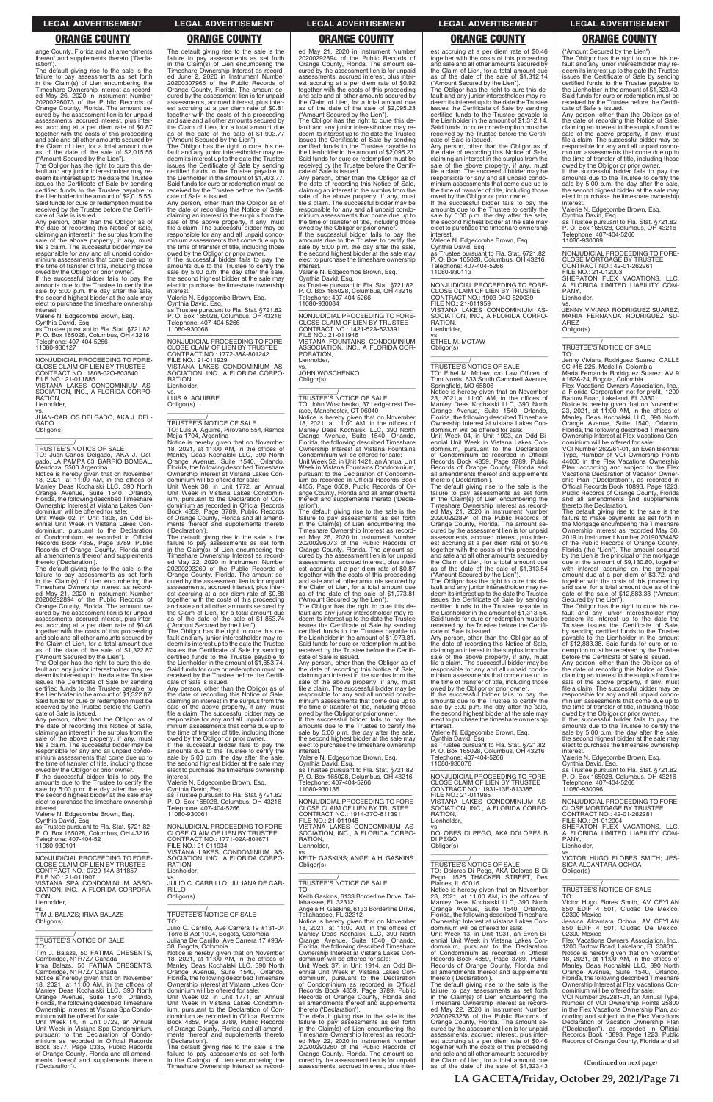ange County, Florida and all amendments thereof and supplements thereto ('Declaration')

The default giving rise to the sale is the failure to pay assessments as set forth in the Claim(s) of Lien encumbering the Timeshare Ownership Interest as record-ed May 26, 2020 in Instrument Number 20200296073 of the Public Records of Orange County, Florida. The amount secured by the assessment lien is for unpaid assessments, accrued interest, plus interest accruing at a per diem rate of \$0.87 together with the costs of this proceeding and sale and all other amounts secured by the Claim of Lien, for a total amount due as of the date of the sale of \$2,015.55

("Amount Secured by the Lien"). The Obligor has the right to cure this default and any junior interestholder may re-deem its interest up to the date the Trustee issues the Certificate of Sale by sending certified funds to the Trustee payable to the Lienholder in the amount of \$2,015.55. Said funds for cure or redemption must be received by the Trustee before the Certifi-

—————————————————— NONJUDICIAL PROCEEDING TO FORE-CLOSE CLAIM OF LIEN BY TRUSTEE CONTRACT NO.: 1808-02O-803540 FILE NO.: 21-011885 VISTANA LAKES CONDOMINIUM AS-SOCIATION, INC., A FLORIDA CORPO-RATION, **Lienholder** 

cate of Sale is issued. Any person, other than the Obligor as of the date of recording this Notice of Sale, claiming an interest in the surplus from the sale of the above property, if any, must file a claim. The successful bidder may be responsible for any and all unpaid condominium assessments that come due up to the time of transfer of title, including those owed by the Obligor or prior owner. If the successful bidder fails to pay the

Notice is hereby given that on November<br>18, 2021, at 11:00 AM, in the offices of<br>Manley Deas Kochalski LLC, 390 North<br>Orange Avenue, Suite 1540, Orlando,<br>Florida, the following described Timeshare<br>Ownership Interest at Vis dominium will be offered for sale:

amounts due to the Trustee to certify the sale by 5:00 p.m. the day after the sale, the second highest bidder at the sale may elect to purchase the timeshare ownership interest.

Valerie N. Edgecombe Brown, Esq.

Cynthia David, Esq. as Trustee pursuant to Fla. Stat. §721.82 P. O. Box 165028, Columbus, OH 43216 Telephone: 407-404-5266 11080-930127

vs. JUAN-CARLOS DELGADO, AKA J. DEL-GADO Obligor(s) \_\_\_\_\_\_\_\_\_\_\_\_\_\_\_\_\_\_\_\_\_\_\_\_\_\_\_\_\_\_\_\_\_

amounts due to the Trustee to certify the sale by 5:00 p.m. the day after the sale, the second highest bidder at the sale may elect to purchase the timeshare ownership interes

\_\_\_\_\_\_\_\_\_\_\_/ TRUSTEE'S NOTICE OF SALE

TO: Juan-Carlos Delgado, AKA J. Del-gado, LA PAMPA 63, BARRIO BOMBAL, Mendoza, 5500 Argentina

Unit Week 02, in Unit 1808, an Odd Bi-ennial Unit Week in Vistana Lakes Condominium, pursuant to the Declaration of Condominium as recorded in Official Records Book 4859, Page 3789, Public Records of Orange County, Florida and all amendments thereof and supplements thereto ('Declaration').

failure to pay assessments as set forth in the Claim(s) of Lien encumbering the Timeshare Ownership Interest as recorded June 2, 2020 in Instrument Number 20200307965 of the Public Records of Orange County, Florida. The amount secured by the assessment lien is for unpaid assessments, accrued interest, plus interest accruing at a per diem rate of \$0.81 together with the costs of this proceeding and sale and all other amounts secured by the Claim of Lien, for a total amount due as of the date of the sale of \$1,903.77 ("Amount Secured by the Lien").

The default giving rise to the sale is the failure to pay assessments as set forth in the Claim(s) of Lien encumbering the Timeshare Ownership Interest as recorded May 21, 2020 in Instrument Number 20200292894 of the Public Records of Orange County, Florida. The amount se-cured by the assessment lien is for unpaid assessments, accrued interest, plus interest accruing at a per diem rate of \$0.46 together with the costs of this proceeding and sale and all other amounts secured by the Claim of Lien, for a total amount due as of the date of the sale of \$1,322.87 ("Amount Secured by the Lien").

owed by the Obligor or prior owner. If the successful bidder fails to pay the amounts due to the Trustee to certify the sale by 5:00 p.m. the day after the sale, the second highest bidder at the sale may elect to purchase the timeshare ownership nterest

The Obligor has the right to cure this de-fault and any junior interestholder may redeem its interest up to the date the Trustee issues the Certificate of Sale by sending certified funds to the Trustee payable to the Lienholder in the amount of \$1,322.87. Said funds for cure or redemption must be received by the Trustee before the Certifi-cate of Sale is issued.

vs. LUIS A. AGUIRRE Obligor(s)  $\overline{\phantom{a}}$  ,  $\overline{\phantom{a}}$  ,  $\overline{\phantom{a}}$  ,  $\overline{\phantom{a}}$  ,  $\overline{\phantom{a}}$  ,  $\overline{\phantom{a}}$  ,  $\overline{\phantom{a}}$  ,  $\overline{\phantom{a}}$  ,  $\overline{\phantom{a}}$  ,  $\overline{\phantom{a}}$  ,  $\overline{\phantom{a}}$  ,  $\overline{\phantom{a}}$  ,  $\overline{\phantom{a}}$  ,  $\overline{\phantom{a}}$  ,  $\overline{\phantom{a}}$  ,  $\overline{\phantom{a}}$ 

Any person, other than the Obligor as of the date of recording this Notice of Sale, claiming an interest in the surplus from the sale of the above property, if any, must file a claim. The successful bidder may be responsible for any and all unpaid condominium assessments that come due up to the time of transfer of title, including those owed by the Obligor or prior owner. If the successful bidder fails to pay the

If the successful bidder fails to pay the amounts due to the Trustee to certify the sale by 5:00 p.m. the day after the sale. the second highest bidder at the sale may elect to purchase the timeshare ownership interest.

The Obligor has the right to cure this default and any junior interestholder may redeem its interest up to the date the Trustee issues the Certificate of Sale by sending certified funds to the Trustee payable to the Lienholder in the amount of \$1,903.77. Said funds for cure or redemption must be received by the Trustee before the Certificate of Sale is issued.

> \_\_\_\_\_\_\_\_\_\_\_/ TRUSTEE'S NOTICE OF SALE TO: John Woschenko, 37 Ledgecrest Ter-race, Manchester, CT 06040 Notice is hereby given that on November 18, 2021, at 11:00 AM, in the offices of Manley Deas Kochalski LLC, 390 North Orange Avenue, Suite 1540, Orlando, Florida, the following described Timeshare Ownership Interest at Vistana Fountains Condominium will be offered for sale: Unit Week 52, in Unit 1421, an Annual Unit Week in Vistana Fountains Condominium, pursuant to the Declaration of Condominium as recorded in Official Records Book 4155, Page 0509, Public Records of Orange County, Florida and all amendments thereof and supplements thereto ('Declaration')

Any person, other than the Obligor as of the date of recording this Notice of Sale, claiming an interest in the surplus from the sale of the above property, if any, must file a claim. The successful bidder may be responsible for any and all unpaid condominium assessments that come due up to the time of transfer of title, including those

Valerie N. Edgecombe Brown, Esq. Cynthia David, Esq.

as Trustee pursuant to Fla. Stat. §721.82 P. O. Box 165028, Columbus, OH 43216 Telephone: 407-404-5266 11080-930068

—————————————————— NONJUDICIAL PROCEEDING TO FORE-CLOSE CLAIM OF LIEN BY TRUSTEE CONTRACT NO.: 1772-38A-801242 FILE NO.: 21-011929 VISTANA LAKES CONDOMINIUM AS-SOCIATION, INC., A FLORIDA CORPO-RATION,

Lienholder,

\_\_\_\_\_\_\_\_\_\_\_/ TRUSTEE'S NOTICE OF SALE TO: Luis A. Aguirre, Pirovano 554, Ramos Mejia 1704, Argentina Notice is hereby given that on November 18, 2021, at 11:00 AM, in the offices of Manley Deas Kochalski LLC, 390 North Orange Avenue, Suite 1540, Orlando, Florida, the following described Timeshare Ownership Interest at Vistana Lakes Con-

dominium will be offered for sale: Unit Week 38, in Unit 1772, an Annual Unit Week in Vistana Lakes Condominium, pursuant to the Declaration of Con-dominium as recorded in Official Records Book 4859, Page 3789, Public Records of Orange County, Florida and all amendments thereof and supplements thereto ('Declaration').

The default giving rise to the sale is the failure to pay assessments as set forth in the Claim(s) of Lien encumbering the Timeshare Ownership Interest as record-ed May 22, 2020 in Instrument Number 20200293260 of the Public Records of Orange County, Florida. The amount se-cured by the assessment lien is for unpaid assessments, accrued interest, plus interest accruing at a per diem rate of \$0.88 together with the costs of this proceeding and sale and all other amounts secured by the Claim of Lien, for a total amount due as of the date of the sale of \$1,853.74 ("Amount Secured by the Lien").

The Obligor has the right to cure this default and any junior interestholder may redeem its interest up to the date the Trustee issues the Certificate of Sale by sending certified funds to the Trustee payable to the Lienholder in the amount of \$1,853.74. Said funds for cure or redemption must be received by the Trustee before the Certificate of Sale is issued.

Any person, other than the Obligor as the date of recording this Notice of Sale, claiming an interest in the surplus from the sale of the above property, if any, must file a claim. The successful bidder may be responsible for any and all unpaid condo-minium assessments that come due up to the time of transfer of title, including those owed by the Obligor or prior owner

—————————————————— NONJUDICIAL PROCEEDING TO FORE-CLOSE CLAIM OF LIEN BY TRUSTEE CONTRACT NO.: 1903-04O-820039 FILE NO.: 21-011959 VISTANA LAKES CONDOMINIUM AS-SOCIATION, INC., A FLORIDA CORPO-**RATION** Lienholder

If the successful bidder fails to pay the amounts due to the Trustee to certify the sale by 5:00 p.m. the day after the sale, the second highest bidder at the sale may elect to purchase the timeshare ownership interest.

Valerie N. Edgecombe Brown, Esq.

Cynthia David, Esq. as Trustee pursuant to Fla. Stat. §721.82 P. O. Box 165028, Columbus, OH 43216 Telephone: 407-404-5266

The Obligor has the right to cure this default and any junior interestholder may re-deem its interest up to the date the Trustee issues the Certificate of Sale by sending certified funds to the Trustee payable to the Lienholder in the amount of \$1,313.54. Said funds for cure or redemption must be received by the Trustee before the Certificate of Sale is issued.

amounts due to the Trustee to certify the sale by 5:00 p.m. the day after the sale, the second highest bidder at the sale may elect to purchase the timeshare ownership interest

ed May 21, 2020 in Instrument Number 20200292894 of the Public Records of Orange County, Florida. The amount se-cured by the assessment lien is for unpaid assessments, accrued interest, plus interest accruing at a per diem rate of \$0.92 together with the costs of this proceeding and sale and all other amounts secured by the Claim of Lien, for a total amount due as of the date of the sale of \$2,095.23

> owed by the Obligor or prior owner. If the successful bidder fails to pay the amounts due to the Trustee to certify the sale by 5:00 p.m. the day after the sale, the second highest bidder at the sale may elect to purchase the timeshare ownership **interest**

("Amount Secured by the Lien"). The Obligor has the right to cure this de-fault and any junior interestholder may redeem its interest up to the date the Trustee issues the Certificate of Sale by sending certified funds to the Trustee payable to the Lienholder in the amount of \$2,095.23. Said funds for cure or redemption must be received by the Trustee before the Certificate of Sale is issued.

> FILE NO.: 21-012003 SHERATON FLEX VACATIONS, LLC, A FLORIDA LIMITED LIABILITY COM-PANY

Lienholder,

JENNY VIVIANA RODRIGUEZ SUAREZ; MARIA FERNANDA RODRIGUEZ SU-AREZ Obligor(s)  $\overline{\phantom{a}}$  ,  $\overline{\phantom{a}}$  ,  $\overline{\phantom{a}}$  ,  $\overline{\phantom{a}}$  ,  $\overline{\phantom{a}}$  ,  $\overline{\phantom{a}}$  ,  $\overline{\phantom{a}}$  ,  $\overline{\phantom{a}}$  ,  $\overline{\phantom{a}}$  ,  $\overline{\phantom{a}}$  ,  $\overline{\phantom{a}}$  ,  $\overline{\phantom{a}}$  ,  $\overline{\phantom{a}}$  ,  $\overline{\phantom{a}}$  ,  $\overline{\phantom{a}}$  ,  $\overline{\phantom{a}}$ 

Flex Vacations Owners Association, a Florida Corporation not-for-profit, 1200 Bartow Road, Lakeland, FL 33801

Any person, other than the Obligor as of the date of recording this Notice of Sale, claiming an interest in the surplus from the sale of the above property, if any, must file a claim. The successful bidder may be responsible for any and all unpaid condo-minium assessments that come due up to the time of transfer of title, including those owed by the Obligor or prior owner.

Valerie N. Edgecombe Brown, Esq. Cynthia David, Esq. as Trustee pursuant to Fla. Stat. §721.82

P. O. Box 165028, Columbus, OH 43216 Telephone: 407-404-5266 11080-930084

—————————————————— NONJUDICIAL PROCEEDING TO FORE-CLOSE CLAIM OF LIEN BY TRUSTEE CONTRACT NO.: 1421-52A-623391 FILE NO.: 21-011946 VISTANA FOUNTAINS CONDOMINIUM ASSOCIATION, INC., A FLORIDA COR-PORATION, Lienholder,

vs. JOHN WOSCHENKO Obligor(s)

\_\_\_\_\_\_\_\_\_\_\_\_\_\_\_\_\_\_\_\_\_\_\_\_\_\_\_\_\_\_\_\_\_

The default giving rise to the sale is the failure to pay assessments as set forth in the Claim(s) of Lien encumbering the Timeshare Ownership Interest as recorded May 26, 2020 in Instrument Number 20200296073 of the Public Records of Orange County, Florida. The amount se-cured by the assessment lien is for unpaid assessments, accrued interest, plus interest accruing at a per diem rate of \$0.87 together with the costs of this proceeding and sale and all other amounts secured by the Claim of Lien, for a total amount due as of the date of the sale of \$1,973.81 ("Amount Secured by the Lien").

The Obligor has the right to cure this default and any junior interestholder may redeem its interest up to the date the Trustee issues the Certificate of Sale by sending certified funds to the Trustee payable to the Lienholder in the amount of \$1,973.81. Said funds for cure or redemption must be received by the Trustee before the Certifi-cate of Sale is issued.

Any person, other than the Obligor as of the date of recording this Notice of Sale, claiming an interest in the surplus from the sale of the above property, if any, must file a claim. The successful bidder may be responsible for any and all unpaid condominium assessments that come due up to the time of transfer of title, including those

owed by the Obligor or prior owner. If the successful bidder fails to pay the amounts due to the Trustee to certify the sale by 5:00 p.m. the day after the sale, the second highest bidder at the sale may elect to purchase the timeshare ownership

interest. Valerie N. Edgecombe Brown, Esq.

Cynthia David, Esq. as Trustee pursuant to Fla. Stat. §721.82 P. O. Box 165028, Columbus, OH 43216 Telephone: 407-404-5266 11080-930136

—————————————————— NONJUDICIAL PROCEEDING TO FORE-CLOSE CLAIM OF LIEN BY TRUSTEE

| Valerie N. Edgecombe Brown, Esq.                     | 11080-930061                                         | CONTRACT NO.: 1914-370-811391                                                         | RATION.                                                                        | CONTRACT NO.: 42-01-262281                        |
|------------------------------------------------------|------------------------------------------------------|---------------------------------------------------------------------------------------|--------------------------------------------------------------------------------|---------------------------------------------------|
| Cynthia David, Esq.                                  | NONJUDICIAL PROCEEDING TO FORE-                      | FILE NO.: 21-011948                                                                   | Lienholder.                                                                    | FILE NO.: 21-012004                               |
| as Trustee pursuant to Fla. Stat. §721.82            |                                                      | VISTANA LAKES CONDOMINIUM AS-                                                         | VS.                                                                            | SHERATON FLEX VACATIONS. LLC.                     |
| P. O. Box 165028, Columbus, OH 43216                 | CLOSE CLAIM OF LIEN BY TRUSTEE                       | SOCIATION, INC., A FLORIDA CORPO-                                                     | DOLORES DI PEGO, AKA DOLORES B                                                 | A FLORIDA LIMITED LIABILITY COM-                  |
| Telephone: 407-404-52                                | CONTRACT NO.: 1771-02A-801671                        | RATION.                                                                               | DI PEGO                                                                        | PANY.                                             |
| 11080-930101                                         | FILE NO.: 21-011934<br>VISTANA LAKES CONDOMINIUM AS- | Lienholder.<br>VS.                                                                    | Obligor(s)                                                                     | Lienholder.<br>VS.                                |
| NONJUDICIAL PROCEEDING TO FORE-                      | SOCIATION, INC., A FLORIDA CORPO-                    | KEITH GASKINS; ANGELA H. GASKINS                                                      |                                                                                | VICTOR HUGO FLORES SMITH: JES-                    |
| CLOSE CLAIM OF LIEN BY TRUSTEE                       | RATION.                                              | Obligor(s)                                                                            | TRUSTEE'S NOTICE OF SALE                                                       | SICA ALCANTARA OCHOA                              |
| CONTRACT NO.: 0729-14A-311857                        | Lienholder.                                          |                                                                                       | TO: Dolores Di Pego, AKA Dolores B Di                                          | Obligor(s)                                        |
| FILE NO.: 21-011907<br>VISTANA SPA CONDOMINIUM ASSO- | VS.<br>JULIO C. CARRILLO; JULIANA DE CAR-            | TRUSTEE'S NOTICE OF SALE                                                              | Pego, 1525 THACKER STREET, Des<br>Plaines. IL 60016                            |                                                   |
| CIATION, INC., A FLORIDA CORPORA-                    | <b>RILLO</b>                                         | TO.                                                                                   | Notice is hereby given that on November                                        | TRUSTEE'S NOTICE OF SALE                          |
| TION.                                                | Obligor(s)                                           | Keith Gaskins, 6133 Borderline Drive, Tal-                                            | 23, 2021, at $11:00$ AM, in the offices of                                     | TO:                                               |
| Lienholder,                                          |                                                      | lahassee. FL 32312                                                                    | Manley Deas Kochalski LLC, 390 North                                           | Victor Hugo Flores Smith, AV CEYLAN               |
| VS.                                                  | TRUSTEE'S NOTICE OF SALE                             | Angela H. Gaskins, 6133 Borderline Drive,                                             | Orange Avenue, Suite 1540, Orlando,                                            | 850 EDIF 4 501, Ciudad De Mexico,                 |
| TIM J. BALAZS; IRMA BALAZS                           |                                                      | Tallahassee, FL 32312                                                                 | Florida, the following described Timeshare                                     | 02300 Mexico                                      |
| Obligor(s)                                           | TO:<br>Julio C. Carrillo. Ave Carrera 19 #131-04     | Notice is hereby given that on November<br>18, 2021, at $11:00$ AM, in the offices of | Ownership Interest at Vistana Lakes Con-<br>dominium will be offered for sale: | Jessica Alcantara Ochoa, AV CEYLAN                |
|                                                      | Torre B Apt 1004, Bogota, Colombia                   | Manley Deas Kochalski LLC, 390 North                                                  | Unit Week 13, in Unit 1931, an Even Bi-                                        | 850 EDIF 4 501, Ciudad De Mexico,<br>02300 Mexico |
| TRUSTEE'S NOTICE OF SALE                             | Juliana De Carrillo, Ave Carrera 17 #93A-            | Orange Avenue, Suite 1540, Orlando,                                                   | ennial Unit Week in Vistana Lakes Con-                                         | Flex Vacations Owners Association, Inc.,          |
| TO:                                                  | 38, Bogota, Colombia                                 | Florida, the following described Timeshare                                            | dominium, pursuant to the Declaration                                          | 1200 Bartow Road, Lakeland, FL 33801              |
| Tim J. Balazs, 50 FATIMA CRESENTS,                   | Notice is hereby given that on November              | Ownership Interest at Vistana Lakes Con-                                              | of Condominium as recorded in Official                                         | Notice is hereby given that on November           |
| Cambridge, N1R7Z7 Canada                             | 18, 2021, at 11:00 AM, in the offices of             | dominium will be offered for sale:                                                    | Records Book 4859, Page 3789, Public                                           | 18, 2021, at 11:00 AM, in the offices of          |
| Irma Balazs, 50 FATIMA CRESENTS,                     | Manley Deas Kochalski LLC, 390 North                 | Unit Week 37, in Unit 1914, an Odd Bi-                                                | Records of Orange County, Florida and                                          | Manley Deas Kochalski LLC, 390 North              |
| Cambridge, N1R7Z7 Canada                             | Orange Avenue, Suite 1540, Orlando,                  | ennial Unit Week in Vistana Lakes Con-                                                | all amendments thereof and supplements                                         | Orange Avenue, Suite 1540, Orlando,               |
| Notice is hereby given that on November              | Florida, the following described Timeshare           | dominium, pursuant to the Declaration                                                 | thereto ('Declaration').                                                       | Florida, the following described Timeshare        |
| 18, 2021, at 11:00 AM, in the offices of             | Ownership Interest at Vistana Lakes Con-             | of Condominium as recorded in Official                                                | The default giving rise to the sale is the                                     | Ownership Interest at Flex Vacations Con-         |
| Manley Deas Kochalski LLC, 390 North                 | dominium will be offered for sale:                   | Records Book 4859, Page 3789, Public                                                  | failure to pay assessments as set forth                                        | dominium will be offered for sale:                |
| Orange Avenue, Suite 1540, Orlando,                  | Unit Week 02, in Unit 1771, an Annual                | Records of Orange County, Florida and                                                 | in the Claim(s) of Lien encumbering the                                        | VOI Number 262281-01, an Annual Type,             |
| Florida, the following described Timeshare           | Unit Week in Vistana Lakes Condomin-                 | all amendments thereof and supplements                                                | Timeshare Ownership Interest as record-                                        | Number of VOI Ownership Points 25800              |
| Ownership Interest at Vistana Spa Condo-             | ium, pursuant to the Declaration of Con-             | thereto ('Declaration').                                                              | ed May 22, 2020 in Instrument Number                                           | in the Flex Vacations Ownership Plan, ac-         |
| minium will be offered for sale:                     | dominium as recorded in Official Records             | The default giving rise to the sale is the                                            | 20200293256 of the Public Records of                                           | cording and subject to the Flex Vacations         |
| Unit Week 14, in Unit 0729, an Annual                | Book 4859, Page 3789, Public Records                 | failure to pay assessments as set forth                                               | Orange County, Florida. The amount se-                                         | Declaration of Vacation Ownership Plan            |
| Unit Week in Vistana Spa Condominium,                | of Orange County, Florida and all amend-             | in the Claim(s) of Lien encumbering the                                               | cured by the assessment lien is for unpaid                                     | ("Declaration"), as recorded in Official          |
| pursuant to the Declaration of Condo-                | ments thereof and supplements thereto                | Timeshare Ownership Interest as record-                                               | assessments, accrued interest, plus inter-                                     | Records Book 10893, Page 1223, Public             |
| minium as recorded in Official Records               | ('Declaration').                                     | ed May 22, 2020 in Instrument Number                                                  | est accruing at a per diem rate of \$0.46                                      | Records of Orange County, Florida and all         |
| Book 3677, Page 0335, Public Records                 | The default giving rise to the sale is the           | 20200293260 of the Public Records of                                                  | together with the costs of this proceeding                                     |                                                   |
| of Orange County, Florida and all amend-             | failure to pay assessments as set forth              | Orange County, Florida. The amount se-                                                | and sale and all other amounts secured by                                      |                                                   |
| ments thereof and supplements thereto                | in the Claim(s) of Lien encumbering the              | cured by the assessment lien is for unpaid                                            | the Claim of Lien, for a total amount due                                      | (Continued on next page)                          |
| ('Declaration').                                     | Timeshare Ownership Interest as record-              | assessments, accrued interest, plus inter-                                            | as of the date of the sale of \$1,323.43                                       |                                                   |
|                                                      |                                                      |                                                                                       | . <del>.</del>                                                                 |                                                   |

### The default giving rise to the sale is the **ORANGE COUNTY ORANGE COUNTY ORANGE COUNTY ORANGE COUNTY ORANGE COUNTY**

est accruing at a per diem rate of \$0.46 together with the costs of this proceeding and sale and all other amounts secured by the Claim of Lien, for a total amount due as of the date of the sale of \$1,312.14 ("Amount Secured by the Lien").

The Obligor has the right to cure this default and any junior interestholder may redeem its interest up to the date the Trustee issues the Certificate of Sale by sending certified funds to the Trustee payable to the Lienholder in the amount of \$1,312.14. Said funds for cure or redemption must be received by the Trustee before the Certifi-

cate of Sale is issued. Any person, other than the Obligor as of the date of recording this Notice of Sale, claiming an interest in the surplus from the sale of the above property, if any, must file a claim. The successful bidder may be responsible for any and all unpaid condominium assessments that come due up to the time of transfer of title, including those

owed by the Obligor or prior owner. If the successful bidder fails to pay the amounts due to the Trustee to certify the sale by 5:00 p.m. the day after the sale, the second highest bidder at the sale may elect to purchase the timeshare ownership interest.

nnerest.<br>Valerie N. Edgecombe Brown, Esq.

Cynthia David, Esq. as Trustee pursuant to Fla. Stat. §721.82 P. O. Box 165028, Columbus, OH 43216 Telephone: 407-404-5266 11080-930113

vs. ETHEL M. MCTAW Obligor(s)

 $\overline{\phantom{a}}$  , and the set of the set of the set of the set of the set of the set of the set of the set of the set of the set of the set of the set of the set of the set of the set of the set of the set of the set of the s

\_\_\_\_\_\_\_\_\_\_\_/ TRUSTEE'S NOTICE OF SALE TO: Ethel M. Mctaw, c/o Law Offices of Tom Norris, 633 South Campbell Avenue,

Springfield, MO 65806 Notice is hereby given that on November 23, 2021,at 11:00 AM, in the offices of Manley Deas Kochalski LLC, 390 North Orange Avenue, Suite 1540, Orlando, Florida, the following described Timeshare Ownership Interest at Vistana Lakes Con-dominium will be offered for sale:

Unit Week 04, in Unit 1903, an Odd Biennial Unit Week in Vistana Lakes Con-dominium, pursuant to the Declaration of Condominium as recorded in Official Records Book 4859, Page 3789, Public Records of Orange County, Florida and all amendments thereof and supplements thereto ('Declaration').

The default giving rise to the sale is the failure to pay assessments as set forth in the Claim(s) of Lien encumbering the Timeshare Ownership Interest as recorded May 21, 2020 in Instrument Number 20200292894 of the Public Records of Orange County, Florida. The amount se-cured by the assessment lien is for unpaid assessments, accrued interest, plus inter-est accruing at a per diem rate of \$0.46 together with the costs of this proceeding and sale and all other amounts secured by the Claim of Lien, for a total amount due as of the date of the sale of \$1,313.54 ("Amount Secured by the Lien").

Any person, other than the Obligor as of the date of recording this Notice of Sale, claiming an interest in the surplus from the sale of the above property, if any, must file a claim. The successful bidder may be responsible for any and all unpaid condominium assessments that come due up to the time of transfer of title, including those owed by the Obligor or prior owner. If the successful bidder fails to pay the

Valerie N. Edgecombe Brown, Esq.

Cynthia David, Esq. as Trustee pursuant to Fla. Stat. §721.82 P. O. Box 165028, Columbus, OH 43216 Telephone: 407-404-5266 11080-930076

—————————————————— NONJUDICIAL PROCEEDING TO FORE-CLOSE CLAIM OF LIEN BY TRUSTEE CONTRACT NO.: 1931-13E-813385 FILE NO.: 21-011985

("Amount Secured by the Lien"). The Obligor has the right to cure this de-fault and any junior interestholder may redeem its interest up to the date the Trustee issues the Certificate of Sale by sending certified funds to the Trustee payable to the Lienholder in the amount of \$1,323.43. Said funds for cure or redemption must be received by the Trustee before the Certificate of Sale is issued.

Any person, other than the Obligor as of the date of recording this Notice of Sale, claiming an interest in the surplus from the sale of the above property, if any, must file a claim. The successful bidder may be responsible for any and all unpaid condominium assessments that come due up to the time of transfer of title, including those

Valerie N. Edgecombe Brown, Esq.

Cynthia David, Esq. as Trustee pursuant to Fla. Stat. §721.82 P. O. Box 165028, Columbus, OH 43216 Telephone: 407-404-5266 11080-930089

—————————————————— NONJUDICIAL PROCEEDING TO FORE-CLOSE MORTGAGE BY TRUSTEE CONTRACT NO.: 42-01-262261

vs.

VISTANA LAKES CONDOMINIUM AS-SOCIATION, INC., A FLORIDA CORPO-—————————————————— NONJUDICIAL PROCEEDING TO FORE-CLOSE MORTGAGE BY TRUSTEE

\_\_\_\_\_\_\_\_\_\_\_/ TRUSTEE'S NOTICE OF SALE

TO: Jenny Viviana Rodriguez Suarez, CALLE 9C #15-225, Medellin, Colombia Maria Fernanda Rodriguez Suarez, AV 9 #162A-24, Bogota, Colombia

Notice is hereby given that on November 23, 2021, at 11:00 AM, in the offices of Manley Deas Kochalski LLC, 390 North Orange Avenue, Suite 1540, Orlando, Florida, the following described Timeshare Ownership Interest at Flex Vacations Con-

dominium will be offered for sale: VOI Number 262261-01, an Even Biennial Type, Number of VOI Ownership Points 44000 in the Flex Vacations Ownership Plan, according and subject to the Flex Vacations Declaration of Vacation Ownership Plan ("Declaration"), as recorded in Official Records Book 10893, Page 1223, Public Records of Orange County, Florida and all amendments and supplements thereto the Declaration.

The default giving rise to the sale is the failure to make payments as set forth in the Mortgage encumbering the Timeshare Ownership Interest as recorded May 30, 2019 in Instrument Number 20190334482 of the Public Records of Orange County, Florida (the "Lien"). The amount secured by the Lien is the principal of the mortgage due in the amount of \$9,130.80, together with interest accruing on the principal amount due at a per diem of \$3.72, and together with the costs of this proceeding and sale, for a total amount due as of the date of the sale of \$12,883.38 ("Amount Secured by the Lien"). The Obligor has the right to cure this de-

fault and any junior interestholder may redeem its interest up to the date the Trustee issues the Certificate of Sale, by sending certified funds to the Trustee payable to the Lienholder in the amount of \$12,883.38. Said funds for cure or redemption must be received by the Trustee before the Certificate of Sale is issued.

Any person, other than the Obligor as of the date of recording this Notice of Sale, claiming an interest in the surplus from the sale of the above property, if any, must file a claim. The successful bidder may be responsible for any and all unpaid condominium assessments that come due up to the time of transfer of title, including those owed by the Obligor or prior owner. If the successful bidder fails to pay the

amounts due to the Trustee to certify the sale by 5:00 p.m. the day after the sale, the second highest bidder at the sale may elect to purchase the timeshare ownership interest.

Valerie N. Edgecombe Brown, Esq. Cynthia David, Esq. as Trustee pursuant to Fla. Stat. §721.82 P. O. Box 165028, Columbus, OH 43216

Telephone: 407-404-5266 11080-930096

### **LEGAL ADVERTISEMENT LEGAL ADVERTISEMENT LEGAL ADVERTISEMENT LEGAL ADVERTISEMENT LEGAL ADVERTISEMENT**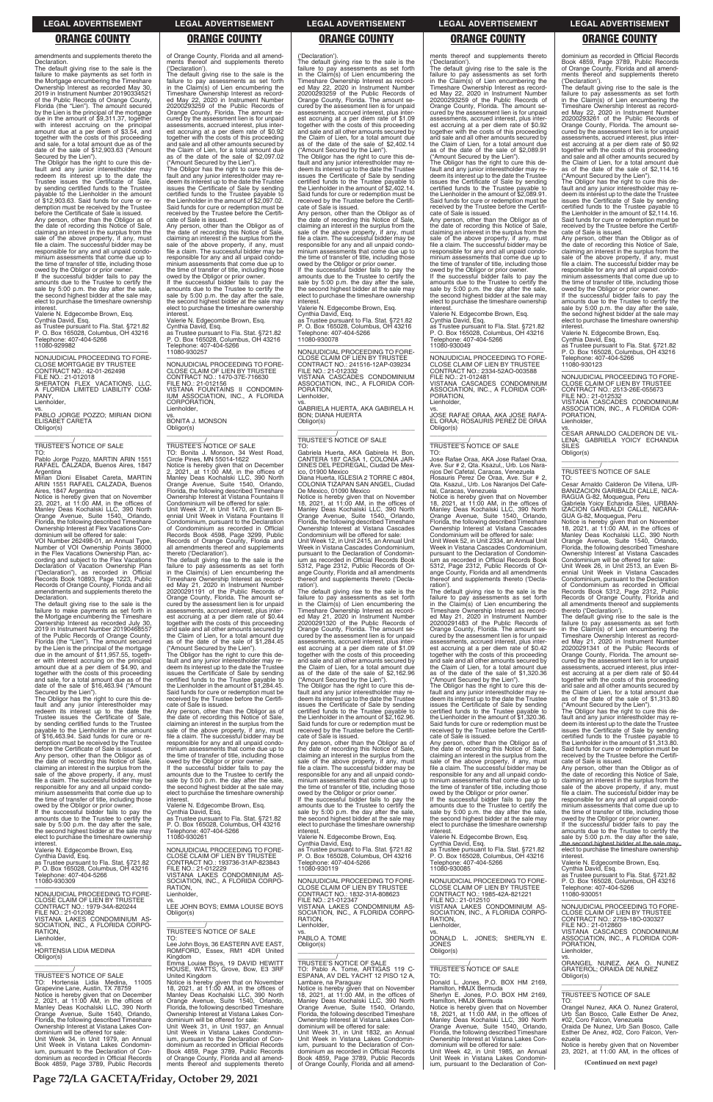amendments and supplements thereto the Declaration.

The default giving rise to the sale is the failure to make payments as set forth in the Mortgage encumbering the Timeshare Ownership Interest as recorded May 30, 2019 in Instrument Number 20190334521 of the Public Records of Orange County, Florida (the "Lien"). The amount secured by the Lien is the principal of the mortgage due in the amount of \$9,311.37, together with interest accruing on the principal amount due at a per diem of \$3.54, and together with the costs of this proceeding and sale, for a total amount due as of the date of the sale of \$12,903.63 ("Amount Secured by the Lien").

The Obligor has the right to cure this de-fault and any junior interestholder may redeem its interest up to the date the Trustee issues the Certificate of Sale, by sending certified funds to the Trustee payable to the Lienholder in the amount of \$12,903.63. Said funds for cure or redemption must be received by the Trustee before the Certificate of Sale is issued.

vs. PABLO JORGE POZZO; MIRIAN DIONI ELISABET CARETA Obligor(s)  $\overline{\phantom{a}}$  , and the set of the set of the set of the set of the set of the set of the set of the set of the set of the set of the set of the set of the set of the set of the set of the set of the set of the set of the s

Any person, other than the Obligor as of the date of recording this Notice of Sale, claiming an interest in the surplus from the sale of the above property, if any, must file a claim. The successful bidder may be responsible for any and all unpaid condominium assessments that come due up to the time of transfer of title, including those owed by the Obligor or prior owner.

If the successful bidder fails to pay the amounts due to the Trustee to certify the sale by 5:00 p.m. the day after the sale, the second highest bidder at the sale may elect to purchase the timeshare ownership interest.

Valerie N. Edgecombe Brown, Esq. Cynthia David, Esq. as Trustee pursuant to Fla. Stat. §721.82 P. O. Box 165028, Columbus, OH 43216 Telephone: 407-404-5266 11080-929982

—————————————————— NONJUDICIAL PROCEEDING TO FORE-CLOSE MORTGAGE BY TRUSTEE CONTRACT NO.: 42-01-262498 FILE NO.: 21-012018 SHERATON FLEX VACATIONS, LLC, A FLORIDA LIMITED LIABILITY COM-PANY Lienholder,

minium assessments that come due up to the time of transfer of title, including those owed by the Obligor or prior owner

# \_\_\_\_\_\_\_\_\_\_\_/ TRUSTEE'S NOTICE OF SALE

TO: Pablo Jorge Pozzo, MARTIN ARIN 1551 RAFAEL CALZADA, Buenos Aires, 1847

Argentina Mirian Dioni Elisabet Careta, MARTIN ARIN 1551 RAFAEL CALZADA, Buenos

Aires, 1847 Argentina Notice is hereby given that on November 23, 2021, at 11:00 AM, in the offices of Manley Deas Kochalski LLC, 390 North Orange Avenue, Suite 1540, Orlando, Florida, the following described Timeshare Ownership Interest at Flex Vacations Con-dominium will be offered for sale:

VOI Number 262498-01, an Annual Type, Number of VOI Ownership Points 38000 in the Flex Vacations Ownership Plan, according and subject to the Flex Vacations Declaration of Vacation Ownership Plan ("Declaration"), as recorded in Official Records Book 10893, Page 1223, Public Records of Orange County, Florida and all amendments and supplements thereto the Declaration.

The default giving rise to the sale is the failure to make payments as set forth in the Mortgage encumbering the Timeshare Ownership Interest as recorded July 30, 2019 in Instrument Number 20190468557 of the Public Records of Orange County, Florida (the "Lien"). The amount secured by the Lien is the principal of the mortgage due in the amount of \$11,957.55, together with interest accruing on the principal amount due at a per diem of \$4.90, and together with the costs of this proceeding and sale, for a total amount due as of the date of the sale of \$16,463.94 ("Amount Secured by the Lien").

If the successful bidder fails to pay the amounts due to the Trustee to certify the sale by 5:00 p.m. the day after the sale the second highest bidder at the sale may elect to purchase the timeshare ownership **interest** 

vs. BONITA J. MONSON Obligor(s)  $\overline{\phantom{a}}$  , and the set of the set of the set of the set of the set of the set of the set of the set of the set of the set of the set of the set of the set of the set of the set of the set of the set of the set of the s

The Obligor has the right to cure this de-fault and any junior interestholder may redeem its interest up to the date the Trustee issues the Certificate of Sale, by sending certified funds to the Trustee payable to the Lienholder in the amount of \$16,463.94. Said funds for cure or re-demption must be received by the Trustee before the Certificate of Sale is issued. Any person, other than the Obligor as of the date of recording this Notice of Sale, claiming an interest in the surplus from the sale of the above property, if any, must file a claim. The successful bidder may be responsible for any and all unpaid condoof Orange County, Florida and all amend-ments thereof and supplements thereto

('Declaration'). The default giving rise to the sale is the failure to pay assessments as set forth in the Claim(s) of Lien encumbering the Timeshare Ownership Interest as record-ed May 22, 2020 in Instrument Number 20200293259 of the Public Records of Orange County, Florida. The amount se-cured by the assessment lien is for unpaid assessments, accrued interest, plus interest accruing at a per diem rate of \$0.92 together with the costs of this proceeding and sale and all other amounts secured by the Claim of Lien, for a total amount due as of the date of the sale of \$2,097.02

> the date of recording this Notice of Sale,<br>claiming an interest in the surplus from the<br>sale of the above property, if any, must<br>file a claim. The successful bidder may be responsible for any and all unpaid condo-minium assessments that come due up to the time of transfer of title, including those

("Amount Secured by the Lien"). The Obligor has the right to cure this de-fault and any junior interestholder may redeem its interest up to the date the Trustee issues the Certificate of Sale by sending certified funds to the Trustee payable to the Lienholder in the amount of \$2,097.02. Said funds for cure or redemption must be received by the Trustee before the Certificate of Sale is issued.

> —————————————————— NONJUDICIAL PROCEEDING TO FORE-CLOSE CLAIM OF LIEN BY TRUSTEE CONTRACT NO.: 241516-12AP-039234 FILE NO.: 21-012332 VISTANA CASCADES CONDOMINIUM ASSOCIATION, INC., A FLORIDA COR-PORATION, **Lienholder**

> Gabriela Huerta, AKA Gabirela H. Bon,<br>CANTERA 187 CASA 1, COLONIA JAR-<br>DINES DEL PEDREGAL, Ciudad De Mexico, 01900 Mexico Diana Huerta, IGLESIA 2 TORRE C #804, COLONIA TIZAPAN SAN ANGEL, Ciudad

Any person, other than the Obligor as of the date of recording this Notice of Sale, claiming an interest in the surplus from the sale of the above property, if any, must file a claim. The successful bidder may be responsible for any and all unpaid condominium assessments that come due up to the time of transfer of title, including those owed by the Obligor or prior owner.

Valerie N. Edgecombe Brown, Esq. Cynthia David, Esq. as Trustee pursuant to Fla. Stat. §721.82 P. O. Box 165028, Columbus, OH 43216 Telephone: 407-404-5266

11080-930257 —————————————————— NONJUDICIAL PROCEEDING TO FORE-

CLOSE CLAIM OF LIEN BY TRUSTEE CONTRACT NO.: 1470-37E-716630 FILE NO.: 21-012156 VISTANA FOUNTAINS II CONDOMIN-IUM ASSOCIATION, INC., A FLORIDA CORPORATION, Lienholder,

> the date of recording this Notice of Sale,<br>claiming an interest in the surplus from the<br>sale of the above property, if any, must<br>file a claim. The successful bidder may be responsible for any and all unpaid condo-minium assessments that come due up to the time of transfer of title, including those

\_\_\_\_\_\_\_\_\_\_\_/ TRUSTEE'S NOTICE OF SALE TO: Bonita J. Monson, 34 West Road, Circle Pines, MN 55014-1622

Notice is hereby given that on December 2, 2021, at 11:00 AM, in the offices of Manley Deas Kochalski LLC, 390 North Orange Avenue, Suite 1540, Orlando, Florida, the following described Timeshare Ownership Interest at Vistana Fountains II

Condominium will be offered for sale: Unit Week 37, in Unit 1470, an Even Bi-ennial Unit Week in Vistana Fountains II Condominium, pursuant to the Declaration of Condominium as recorded in Official Records Book 4598, Page 3299, Public Records of Orange County, Florida and all amendments thereof and supplements thereto ('Declaration').

The default giving rise to the sale is the failure to pay assessments as set forth in the Claim(s) of Lien encumbering the Timeshare Ownership Interest as recorded May 21, 2020 in Instrument Number 20200291191 of the Public Records of Orange County, Florida. The amount secured by the assessment lien is for unpaid assessments, accrued interest, plus interest accruing at a per diem rate of \$0.44 together with the costs of this proceeding and sale and all other amounts secured by the Claim of Lien, for a total amount due as of the date of the sale of \$1,284.45 ("Amount Secured by the Lien").

The Obligor has the right to cure this de-fault and any junior interestholder may re-deem its interest up to the date the Trustee issues the Certificate of Sale by sending certified funds to the Trustee payable to the Lienholder in the amount of \$1,284.45. Said funds for cure or redemption must be received by the Trustee before the Certifi-cate of Sale is issued.

PORATION, **Lienholder** 

vs. JOSE RAFAE ORAA, AKA JOSE RAFA-ORAA; ROSAURIS PEREZ DE ORAA

 $\overline{\phantom{a}}$  ,  $\overline{\phantom{a}}$  ,  $\overline{\phantom{a}}$  ,  $\overline{\phantom{a}}$  ,  $\overline{\phantom{a}}$  ,  $\overline{\phantom{a}}$  ,  $\overline{\phantom{a}}$  ,  $\overline{\phantom{a}}$  ,  $\overline{\phantom{a}}$  ,  $\overline{\phantom{a}}$  ,  $\overline{\phantom{a}}$  ,  $\overline{\phantom{a}}$  ,  $\overline{\phantom{a}}$  ,  $\overline{\phantom{a}}$  ,  $\overline{\phantom{a}}$  ,  $\overline{\phantom{a}}$ \_\_\_\_\_\_\_\_\_\_\_/ TRUSTEE'S NOTICE OF SALE

Any person, other than the Obligor as of the date of recording this Notice of Sale, claiming an interest in the surplus from the sale of the above property, if any, must file a claim. The successful bidder may be responsible for any and all unpaid condominium assessments that come due up to the time of transfer of title, including those owed by the Obligor or prior owner.

If the successful bidder fails to pay the amounts due to the Trustee to certify the sale by 5:00 p.m. the day after the sale, the second highest bidder at the sale may elect to purchase the timeshare ownership interest.

Valerie N. Edgecombe Brown, Esq.

('Declaration').

The default giving rise to the sale is the failure to pay assessments as set forth in the Claim(s) of Lien encumbering the Timeshare Ownership Interest as recorded May 22, 2020 in Instrument Number 20200293259 of the Public Records of Orange County, Florida. The amount secured by the assessment lien is for unpaid assessments, accrued interest, plus inter-est accruing at a per diem rate of \$1.09 together with the costs of this proceeding and sale and all other amounts secured by the Claim of Lien, for a total amount due as of the date of the sale of \$2,402.14 ("Amount Secured by the Lien"). The Obligor has the right to cure this de-

The default giving rise to the sale is the failure to pay assessments as set forth in the Claim(s) of Lien encumbering the Timeshare Ownership Interest as recorded May 22, 2020 in Instrument Number 20200293261 of the Public Records of Orange County, Florida. The amount se-cured by the assessment lien is for unpaid assessments, accrued interest, plus interest accruing at a per diem rate of \$0.92 together with the costs of this proceeding and sale and all other amounts secured by the Claim of Lien, for a total amount due as of the date of the sale of \$2,114.16 ("Amount Secured by the Lien").

fault and any junior interestholder may redeem its interest up to the date the Trustee issues the Certificate of Sale by sending certified funds to the Trustee payable to the Lienholder in the amount of \$2,402.14. Said funds for cure or redemption must be received by the Trustee before the Certifi-cate of Sale is issued. Any person, other than the Obligor as of

> Notice is hereby given that on November<br>18, 2021, at 11:00 AM, in the offices of<br>Manley Deas Kochalski LLC, 390 North<br>Orange Avenue, Suite 1540, Orlando,<br>Florida, the following described Timeshare<br>Ownership Interest at Vis Condominium will be offered for sale:

owed by the Obligor or prior owner. If the successful bidder fails to pay the amounts due to the Trustee to certify the sale by 5:00 p.m. the day after the sale, the second highest bidder at the sale may elect to purchase the timeshare ownership interest. Valerie N. Edgecombe Brown, Esq.

Cynthia David, Esq. as Trustee pursuant to Fla. Stat. §721.82 P. O. Box 165028, Columbus, OH 43216 Telephone: 407-404-5266 11080-930078

vs. GABRIELA HUERTA, AKA GABIRELA H. BON; DIANA HUERTA Obligor(s) \_\_\_\_\_\_\_\_\_\_\_\_\_\_\_\_\_\_\_\_\_\_\_\_\_\_\_\_\_\_\_\_\_

### \_\_\_\_\_\_\_\_\_\_\_/ TRUSTEE'S NOTICE OF SALE TO:

De Mexico, 01090 Mexico Notice is hereby given that on November 18, 2021, at 11:00 AM, in the offices of Manley Deas Kochalski LLC, 390 North Orange Avenue, Suite 1540, Orlando, Florida, the following described Timeshare Ownership Interest at Vistana Cascades Condominium will be offered for sale:

Unit Week 12, in Unit 2415, an Annual Unit Week in Vistana Cascades Condominium, pursuant to the Declaration of Condominium as recorded in Official Records Book 5312, Page 2312, Public Records of Or-ange County, Florida and all amendments thereof and supplements thereto ('Decla-

ration'). The default giving rise to the sale is the failure to pay assessments as set forth in the Claim(s) of Lien encumbering the Timeshare Ownership Interest as recorded May 21, 2020 in Instrument Number 20200291320 of the Public Records of Orange County, Florida. The amount secured by the assessment lien is for unpaid assessments, accrued interest, plus inter-est accruing at a per diem rate of \$1.09 together with the costs of this proceeding and sale and all other amounts secured by the Claim of Lien, for a total amount due as of the date of the sale of \$2,162.96

("Amount Secured by the Lien"). The Obligor has the right to cure this default and any junior interestholder may redeem its interest up to the date the Trustee issues the Certificate of Sale by sending certified funds to the Trustee payable to the Lienholder in the amount of \$2,162.96. Said funds for cure or redemption must be received by the Trustee before the Certifi-cate of Sale is issued. Any person, other than the Obligor as of

owed by the Obligor or prior owner. If the successful bidder fails to pay the amounts due to the Trustee to certify the

| If the successful bidder fails to pay the<br>amounts due to the Trustee to certify the<br>sale by 5:00 p.m. the day after the sale,<br>the second highest bidder at the sale may<br>elect to purchase the timeshare ownership<br>interest.<br>Valerie N. Edgecombe Brown, Esq.<br>Cynthia David, Esq.<br>as Trustee pursuant to Fla. Stat. §721.82<br>P. O. Box 165028, Columbus, OH 43216 | Cynthia David, Esq.<br>as Trustee pursuant to Fla. Stat. §721.82<br>P. O. Box 165028, Columbus, OH 43216<br>Telephone: 407-404-5266<br>11080-930261<br>NONJUDICIAL PROCEEDING TO FORE-<br>CLOSE CLAIM OF LIEN BY TRUSTEE<br>CONTRACT NO.: 193736-31AP-823843<br>FILE NO.: 21-012229 | sale by 5:00 p.m. the day after the sale,<br>the second highest bidder at the sale may<br>elect to purchase the timeshare ownership<br>interest.<br>Valerie N. Edgecombe Brown, Esq.<br>Cynthia David, Esq.<br>as Trustee pursuant to Fla. Stat. §721.82<br>P. O. Box 165028, Columbus, OH 43216<br>Telephone: 407-404-5266<br>11080-930119 | sale by 5:00 p.m. the day after the sale,<br>the second highest bidder at the sale may<br>elect to purchase the timeshare ownership<br>interest.<br>Valerie N. Edgecombe Brown, Esq.<br>Cynthia David, Esg.<br>as Trustee pursuant to Fla. Stat. §721.82<br>P. O. Box 165028, Columbus, OH 43216<br>Telephone: 407-404-5266<br>11080-930085 | the time of transfer of title, including those<br>owed by the Obligor or prior owner.<br>If the successful bidder fails to pay the<br>amounts due to the Trustee to certify the<br>sale by 5:00 p.m. the day after the sale,<br>the second highest bidder at the sale may<br>elect to purchase the timeshare ownership<br>interest.<br>Valerie N. Edgecombe Brown, Esg.<br>Cynthia David, Esg. |
|--------------------------------------------------------------------------------------------------------------------------------------------------------------------------------------------------------------------------------------------------------------------------------------------------------------------------------------------------------------------------------------------|-------------------------------------------------------------------------------------------------------------------------------------------------------------------------------------------------------------------------------------------------------------------------------------|---------------------------------------------------------------------------------------------------------------------------------------------------------------------------------------------------------------------------------------------------------------------------------------------------------------------------------------------|---------------------------------------------------------------------------------------------------------------------------------------------------------------------------------------------------------------------------------------------------------------------------------------------------------------------------------------------|------------------------------------------------------------------------------------------------------------------------------------------------------------------------------------------------------------------------------------------------------------------------------------------------------------------------------------------------------------------------------------------------|
| Telephone: 407-404-5266<br>11080-930309<br>NONJUDICIAL PROCEEDING TO FORE-<br>CLOSE CLAIM OF LIEN BY TRUSTEE                                                                                                                                                                                                                                                                               | VISTANA LAKES CONDOMINIUM AS-<br>SOCIATION, INC., A FLORIDA CORPO-<br>RATION,<br>Lienholder.<br>VS.                                                                                                                                                                                 | NONJUDICIAL PROCEEDING TO FORE-<br>CLOSE CLAIM OF LIEN BY TRUSTEE<br>CONTRACT NO.: 1832-31A-808623<br>FILE NO.: 21-012347                                                                                                                                                                                                                   | NONJUDICIAL PROCEEDING TO FORE-<br>CLOSE CLAIM OF LIEN BY TRUSTEE<br>CONTRACT NO.: 1985-42A-821221<br>FILE NO.: 21-012510                                                                                                                                                                                                                   | as Trustee pursuant to Fla. Stat. §721.82<br>P. O. Box 165028, Columbus, OH 43216<br>Telephone: 407-404-5266<br>11080-930051                                                                                                                                                                                                                                                                   |
| CONTRACT NO.: 1979-34A-820244<br>FILE NO.: 21-012082<br>VISTANA LAKES CONDOMINIUM AS-<br>SOCIATION, INC., A FLORIDA CORPO-                                                                                                                                                                                                                                                                 | LEE JOHN BOYS: EMMA LOUISE BOYS<br>Obligor(s)                                                                                                                                                                                                                                       | VISTANA LAKES CONDOMINIUM AS-<br>SOCIATION, INC., A FLORIDA CORPO-<br>RATION.<br>Lienholder.                                                                                                                                                                                                                                                | VISTANA LAKES CONDOMINIUM AS-<br>SOCIATION, INC., A FLORIDA CORPO-<br>RATION.<br>Lienholder.                                                                                                                                                                                                                                                | NONJUDICIAL PROCEEDING TO FORE-<br>CLOSE CLAIM OF LIEN BY TRUSTEE<br>CONTRACT NO.: 2759-180-030327<br>FILE NO.: 21-012860                                                                                                                                                                                                                                                                      |
| RATION.<br>Lienholder,<br>VS.<br><b>HORTENSIA LIDIA MEDINA</b>                                                                                                                                                                                                                                                                                                                             | TRUSTEE'S NOTICE OF SALE<br>TO:<br>Lee John Boys, 36 EASTERN AVE EAST,<br>ROMFORD, Essex, RM1 4DR United                                                                                                                                                                            | VS.<br>PABLO A. TOME<br>Obligor(s)                                                                                                                                                                                                                                                                                                          | VS.<br>JONES: SHERLYN E.<br>DONALD L.<br><b>JONES</b><br>Obligor(s)                                                                                                                                                                                                                                                                         | VISTANA CASCADES CONDOMINIUM<br>ASSOCIATION, INC., A FLORIDA COR-<br>PORATION.<br>Lienholder.                                                                                                                                                                                                                                                                                                  |
| Obligor(s)<br>TRUSTEE'S NOTICE OF SALE                                                                                                                                                                                                                                                                                                                                                     | Kingdom<br>Emma Louise Boys, 19 DAVID HEWITT<br>HOUSE, WATTS, Grove, Bow, E3 3RF<br>United Kingdom                                                                                                                                                                                  | TRUSTEE'S NOTICE OF SALE<br>TO: Pablo A. Tome. ARTIGAS 119 C-<br>ESPANA, AV DEL YACHT 12 PISO 12 A,                                                                                                                                                                                                                                         | TRUSTEE'S NOTICE OF SALE<br>TO:                                                                                                                                                                                                                                                                                                             | VS.<br>ORANGEL NUNEZ, AKA O. NUNEZ<br><b>GRATEROL: ORAIDA DE NUNEZ</b><br>Obligor(s)                                                                                                                                                                                                                                                                                                           |
| TO: Hortensia Lidia Medina. 11005<br>Grapevine Lane, Austin, TX 78759<br>Notice is hereby given that on December<br>2. 2021. at 11:00 AM, in the offices of                                                                                                                                                                                                                                | Notice is hereby given that on November<br>18, 2021, at 11:00 AM, in the offices of<br>Manley Deas Kochalski LLC, 390 North<br>Orange Avenue, Suite 1540, Orlando,                                                                                                                  | Lambare, na Paraguay<br>Notice is hereby given that on November<br>18, 2021, at $11:00$ AM, in the offices of<br>Manley Deas Kochalski LLC, 390 North                                                                                                                                                                                       | Donald L. Jones, P.O. BOX HM 2169.<br>Hamilton, HMJX Bermuda<br>Sherlyn E. Jones, P.O. BOX HM 2169,<br>Hamilton, HMJX Bermuda                                                                                                                                                                                                               | TRUSTEE'S NOTICE OF SALE<br>TO:                                                                                                                                                                                                                                                                                                                                                                |
| Manley Deas Kochalski LLC, 390 North<br>Orange Avenue, Suite 1540, Orlando,<br>Florida, the following described Timeshare<br>Ownership Interest at Vistana Lakes Con-<br>dominium will be offered for sale:                                                                                                                                                                                | Florida, the following described Timeshare<br>Ownership Interest at Vistana Lakes Con-<br>dominium will be offered for sale:<br>Unit Week 31. in Unit 1937, an Annual<br>Unit Week in Vistana Lakes Condomin-                                                                       | Orange Avenue, Suite 1540, Orlando,<br>Florida, the following described Timeshare<br>Ownership Interest at Vistana Lakes Con-<br>dominium will be offered for sale:<br>Unit Week 31. in Unit 1832, an Annual                                                                                                                                | Notice is hereby given that on November<br>18, 2021, at $11:00$ AM, in the offices of<br>Manley Deas Kochalski LLC, 390 North<br>Orange Avenue, Suite 1540, Orlando,<br>Florida, the following described Timeshare                                                                                                                          | Orangel Nunez, AKA O. Nunez Graterol,<br>Urb San Bosco, Calle Esther De Anez,<br>#02, Coro Falcon, Venezuela<br>Oraida De Nunez. Urb San Bosco. Calle<br>Esther De Anez, #02, Coro Falcon, Ven-                                                                                                                                                                                                |
| Unit Week 34, in Unit 1979, an Annual<br>Unit Week in Vistana Lakes Condomin-<br>ium, pursuant to the Declaration of Con-<br>dominium as recorded in Official Records                                                                                                                                                                                                                      | ium, pursuant to the Declaration of Con-<br>dominium as recorded in Official Records<br>Book 4859, Page 3789, Public Records<br>of Orange County, Florida and all amend-                                                                                                            | Unit Week in Vistana Lakes Condomin-<br>ium, pursuant to the Declaration of Con-<br>dominium as recorded in Official Records<br>Book 4859, Page 3789, Public Records                                                                                                                                                                        | Ownership Interest at Vistana Lakes Con-<br>dominium will be offered for sale:<br>Unit Week 42, in Unit 1985, an Annual<br>Unit Week in Vistana Lakes Condomin-                                                                                                                                                                             | ezuela<br>Notice is hereby given that on November<br>23, 2021, at $11:00$ AM, in the offices of                                                                                                                                                                                                                                                                                                |
| Book 4859, Page 3789, Public Records                                                                                                                                                                                                                                                                                                                                                       | ments thereof and supplements thereto                                                                                                                                                                                                                                               | of Orange County, Florida and all amend-                                                                                                                                                                                                                                                                                                    | ium, pursuant to the Declaration of Con-                                                                                                                                                                                                                                                                                                    | (Continued on next page)                                                                                                                                                                                                                                                                                                                                                                       |

ments thereof and supplements thereto

('Declaration').

The default giving rise to the sale is the failure to pay assessments as set forth in the Claim(s) of Lien encumbering the Timeshare Ownership Interest as recorded May 22, 2020 in Instrument Number 20200293259 of the Public Records of Orange County, Florida. The amount secured by the assessment lien is for unpaid assessments, accrued interest, plus interest accruing at a per diem rate of \$0.92 together with the costs of this proceeding and sale and all other amounts secured by the Claim of Lien, for a total amount due as of the date of the sale of \$2,089.91 ("Amount Secured by the Lien"). The Obligor has the right to cure this de-fault and any junior interestholder may re-deem its interest up to the date the Trustee issues the Certificate of Sale by sending certified funds to the Trustee payable to the Lienholder in the amount of \$2,089.91. Said funds for cure or redemption must be received by the Trustee before the Certifi-cate of Sale is issued. Any person, other than the Obligor as of the date of recording this Notice of Sale, claiming an interest in the surplus from the sale of the above property, if any, must file a claim. The successful bidder may be responsible for any and all unpaid condominium assessments that come due up to the time of transfer of title, including those owed by the Obligor or prior owner. If the successful bidder fails to pay the amounts due to the Trustee to certify the sale by 5:00 p.m. the day after the sale, the second highest bidder at the sale may elect to purchase the timeshare ownership

interest.

Valerie N. Edgecombe Brown, Esq. Cynthia David, Esq. as Trustee pursuant to Fla. Stat. §721.82 P. O. Box 165028, Columbus, OH 43216

Telephone: 407-404-5266 11080-930049

—————————————————— NONJUDICIAL PROCEEDING TO FORE-CLOSE CLAIM OF LIEN BY TRUSTEE CONTRACT NO.: 2334-52AO-003588 FILE NO.: 21-012481 VISTANA CASCADES CONDOMINIUM ASSOCIATION, INC., A FLORIDA COR-

Obligor(s)

TO: Jose Rafae Oraa, AKA Jose Rafael Oraa, Ave. Sur # 2, Qta. Ksazul,, Urb. Los Nara-njos Del Cafetal, Caracas, Venezuela Rosauris Perez De Oraa, Ave. Sur # 2, Qta. Ksazul,, Urb. Los Naranjos Del Cafe-

tal, Caracas, Venezuela Notice is hereby given that on November 18, 2021, at 11:00 AM, in the offices of Manley Deas Kochalski LLC, 390 North Orange Avenue, Suite 1540, Orlando,

Florida, the following described Timeshare Ownership Interest at Vistana Cascades Condominium will be offered for sale: Unit Week 52, in Unit 2334, an Annual Unit Week in Vistana Cascades Condominium, pursuant to the Declaration of Condominium as recorded in Official Records Book 5312, Page 2312, Public Records of Or-ange County, Florida and all amendments thereof and supplements thereto ('Declaration'). The default giving rise to the sale is the

failure to pay assessments as set forth<br>in the Claim(s) of Lien encumbering the<br>Timeshare Ownership Interest as record-<br>ed May 21, 2020 in Instrument Number<br>20200291483 of the Public Records of<br>Orange County, Florida. The

cured by the assessment lien is for unpaid assessments, accrued interest, plus inter-est accruing at a per diem rate of \$0.42 together with the costs of this proceeding and sale and all other amounts secured by the Claim of Lien, for a total amount due as of the date of the sale of \$1,320.36 ("Amount Secured by the Lien"). The Obligor has the right to cure this default and any junior interestholder may redeem its interest up to the date the Trustee issues the Certificate of Sale by sending certified funds to the Trustee payable to the Lienholder in the amount of \$1,320.36. Said funds for cure or redemption must be received by the Trustee before the Certificate of Sale is issued. Any person, other than the Obligor as of

the date of recording this Notice of Sale,<br>claiming an interest in the surplus from the<br>sale of the above property, if any, must<br>file a claim. The successful bidder may be

responsible for any and all unpaid condo-minium assessments that come due up to the time of transfer of title, including those owed by the Obligor or prior owner. If the successful bidder fails to pay the amounts due to the Trustee to certify the

dominium as recorded in Official Records Book 4859, Page 3789, Public Records of Orange County, Florida and all amendthereof and supplements thereto ('Declaration').

The Obligor has the right to cure this de-fault and any junior interestholder may re-deem its interest up to the date the Trustee issues the Certificate of Sale by sending certified funds to the Trustee payable to the Lienholder in the amount of \$2,114.16. Said funds for cure or redemption must be received by the Trustee before the Certifi-cate of Sale is issued.

Any person, other than the Obligor as of the date of recording this Notice of Sale, claiming an interest in the surplus from the sale of the above property, if any, must file a claim. The successful bidder may be responsible for any and all unpaid condominium assessments that come due up to the time of transfer of title, including those owed by the Obligor or prior owner.

If the successful bidder fails to pay the amounts due to the Trustee to certify the sale by 5:00 p.m. the day after the sale, the second highest bidder at the sale may elect to purchase the timeshare ownership

interest. Valerie N. Edgecombe Brown, Esq.

Cynthia David, Esq. as Trustee pursuant to Fla. Stat. §721.82 P. O. Box 165028, Columbus, OH 43216 Telephone: 407-404-5266 11080-930123

—————————————————— NONJUDICIAL PROCEEDING TO FORE-CLOSE CLAIM OF LIEN BY TRUSTEE CONTRACT NO.: 2513-26E-055673 FILE NO.: 21-012532 VISTANA CASCADES CONDOMINIUM ASSOCIATION, INC., A FLORIDA COR-

PORATION, Lienholder,

vs. CESAR ARNALDO CALDERON DE VIL-LENA; GABRIELA YOICY ECHANDIA SILES Obligor(s) \_\_\_\_\_\_\_\_\_\_\_\_\_\_\_\_\_\_\_\_\_\_\_\_\_\_\_\_\_\_\_\_\_

\_\_\_\_\_\_\_\_\_\_\_/ TRUSTEE'S NOTICE OF SALE

TO: Cesar Arnaldo Calderon De Villena, UR-BANIZACION GARIBALDI CALLE, NICA-

RAGUA G-82, Moquegua, Peru Gabriela Yoicy Echandia Siles, URBAN-IZACION GARIBALDI CALLE, NICARA-GUA G-82, Moquegua, Peru

Unit Week 26, in Unit 2513, an Even Bi-ennial Unit Week in Vistana Cascades Condominium, pursuant to the Declaration of Condominium as recorded in Official Records Book 5312, Page 2312, Public Records of Orange County, Florida and all amendments thereof and supplements thereto ('Declaration').

The default giving rise to the sale is the failure to pay assessments as set forth in the Claim(s) of Lien encumbering the Timeshare Ownership Interest as recorded May 21, 2020 in Instrument Number 20200291341 of the Public Records of Orange County, Florida. The amount se-cured by the assessment lien is for unpaid assessments, accrued interest, plus interest accruing at a per diem rate of \$0.44 together with the costs of this proceeding and sale and all other amounts secured by the Claim of Lien, for a total amount due as of the date of the sale of \$1,313.80 ("Amount Secured by the Lien").

The Obligor has the right to cure this de-fault and any junior interestholder may re-deem its interest up to the date the Trustee issues the Certificate of Sale by sending certified funds to the Trustee payable to the Lienholder in the amount of \$1,313.80. Said funds for cure or redemption must be received by the Trustee before the Certifi-cate of Sale is issued.

Any person, other than the Obligor as of the date of recording this Notice of Sale, claiming an interest in the surplus from the sale of the above property, if any, must file a claim. The successful bidder may be responsible for any and all unpaid condominium assessments that come due up to

### **LEGAL ADVERTISEMENT LEGAL ADVERTISEMENT LEGAL ADVERTISEMENT LEGAL ADVERTISEMENT LEGAL ADVERTISEMENT**

### **ORANGE COUNTY ORANGE COUNTY ORANGE COUNTY ORANGE COUNTY ORANGE COUNTY**

**Page 72/LA GACETA/Friday, October 29, 2021**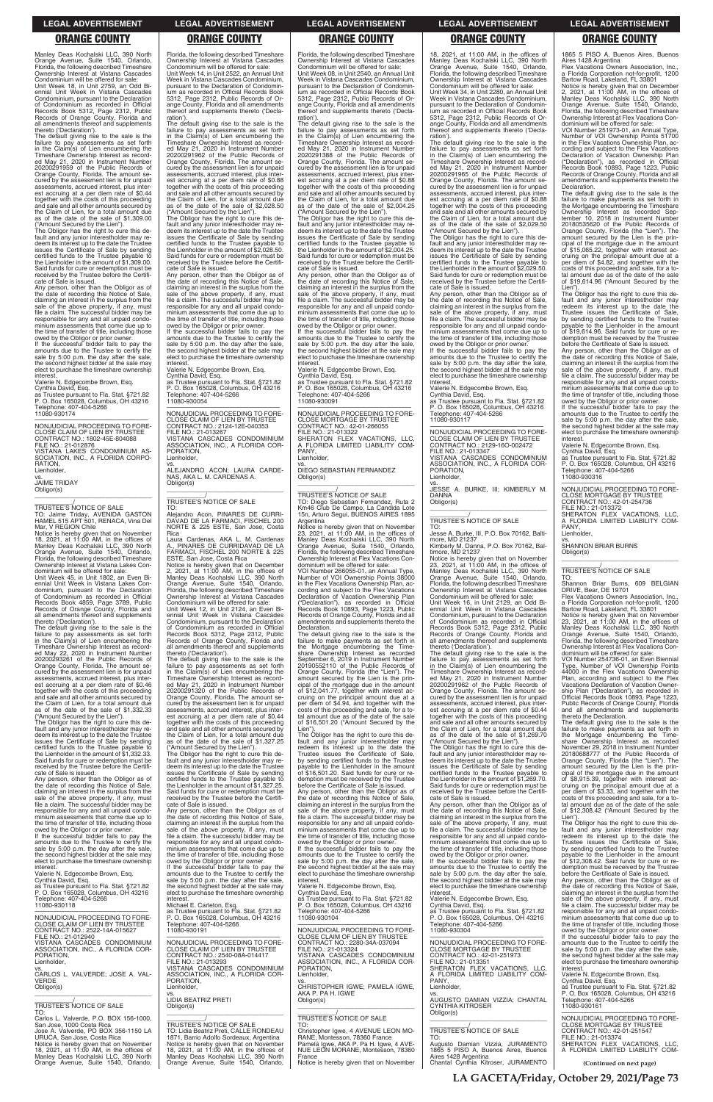Manley Deas Kochalski LLC, 390 North Orange Avenue, Suite 1540, Orlando, Florida, the following described Timeshare Ownership Interest at Vistana Cascades Condominium will be offered for sale: Unit Week 18, in Unit 2759, an Odd Bi-ennial Unit Week in Vistana Cascades Condominium, pursuant to the Declaration of Condominium as recorded in Official Records Book 5312, Page 2312, Public Records of Orange County, Florida and all amendments thereof and supplements thereto ('Declaration').

The default giving rise to the sale is the failure to pay assessments as set forth in the Claim(s) of Lien encumbering the Timeshare Ownership Interest as recorded May 21, 2020 in Instrument Number 20200291959 of the Public Records of Orange County, Florida. The amount secured by the assessment lien is for unpaid assessments, accrued interest, plus interest accruing at a per diem rate of \$0.44 together with the costs of this proceeding and sale and all other amounts secured by the Claim of Lien, for a total amount due as of the date of the sale of \$1,309.00 ("Amount Secured by the Lien").

The Obligor has the right to cure this de-fault and any junior interestholder may redeem its interest up to the date the Trustee issues the Certificate of Sale by sending certified funds to the Trustee payable to the Lienholder in the amount of \$1,309.00. Said funds for cure or redemption must be received by the Trustee before the Certificate of Sale is issued.

Any person, other than the Obligor as of the date of recording this Notice of Sale, claiming an interest in the surplus from the sale of the above property, if any, must file a claim. The successful bidder may be responsible for any and all unpaid condominium assessments that come due up to the time of transfer of title, including those owed by the Obligor or prior owner. If the successful bidder fails to pay the

amounts due to the Trustee to certify the sale by 5:00 p.m. the day after the sale, the second highest bidder at the sale may elect to purchase the timeshare ownership interest.

Valerie N. Edgecombe Brown, Esq.

Cynthia David, Esq. as Trustee pursuant to Fla. Stat. §721.82 P. O. Box 165028, Columbus, OH 43216 Telephone: 407-404-5266 11080-930174

—————————————————— NONJUDICIAL PROCEEDING TO FORE-CLOSE CLAIM OF LIEN BY TRUSTEE CONTRACT NO.: 1802-45E-804088 FILE NO.: 21-012876 VISTANA LAKES CONDOMINIUM AS-SOCIATION, INC., A FLORIDA CORPO-RATION, Lienholder,

vs. JAIME TRIDAY Obligor(s)

\_\_\_\_\_\_\_\_\_\_\_\_\_\_\_\_\_\_\_\_\_\_\_\_\_\_\_\_\_\_\_\_\_ \_\_\_\_\_\_\_\_\_\_\_/ TRUSTEE'S NOTICE OF SALE

TO: Jaime Triday, AVENIDA GASTON HAMEL 515 APT 501, RENACA, Vina Del Mar, V REGION Chile

Notice is hereby given that on November 18, 2021, at 11:00 AM, in the offices of Manley Deas Kochalski LLC, 390 North Orange Avenue, Suite 1540, Orlando, Florida, the following described Timeshare Ownership Interest at Vistana Lakes Condominium will be offered for sale:

Unit Week 45, in Unit 1802, an Even Bi-ennial Unit Week in Vistana Lakes Condominium, pursuant to the Declaration of Condominium as recorded in Official Records Book 4859, Page 3789, Public Records of Orange County, Florida and all amendments thereof and supplements thereto ('Declaration').

The default giving rise to the sale is the failure to pay assessments as set forth in the Claim(s) of Lien encumbering the Timeshare Ownership Interest as recorded May 22, 2020 in Instrument Number 20200293261 of the Public Records of Orange County, Florida. The amount se-cured by the assessment lien is for unpaid assessments, accrued interest, plus interest accruing at a per diem rate of \$0.46 together with the costs of this proceeding and sale and all other amounts secured by the Claim of Lien, for a total amount due as of the date of the sale of \$1,332.33 ("Amount Secured by the Lien"). If the successful bidder fails to pay the amounts due to the Trustee to certify the sale by 5:00 p.m. the day after the sale. the second highest bidder at the sale may elect to purchase the timeshare ownership **interest** 

The Obligor has the right to cure this de-fault and any junior interestholder may redeem its interest up to the date the Trustee issues the Certificate of Sale by sending certified funds to the Trustee payable to the Lienholder in the amount of \$1,332.33. Said funds for cure or redemption must be received by the Trustee before the Certificate of Sale is issued.

Any person, other than the Obligor as of the date of recording this Notice of Sale, claiming an interest in the surplus from the sale of the above property, if any, must file a claim. The successful bidder may be responsible for any and all unpaid condo-

The default giving rise to the sale is the failure to pay assessments as set forth in the Claim(s) of Lien encumbering the Timeshare Ownership Interest as recorded May 21, 2020 in Instrument Number 20200291320 of the Public Records of Orange County, Florida. The amount se-cured by the assessment lien is for unpaid assessments, accrued interest, plus inter-est accruing at a per diem rate of \$0.44 together with the costs of this proceeding and sale and all other amounts secured by the Claim of Lien, for a total amount due as of the date of the sale of \$1,327.25

### Florida, the following described Timeshare Ownership Interest at Vistana Cascades Condominium will be offered for sale: Unit Week 14, in Unit 2522, an Annual Unit Week in Vistana Cascades Condominium, pursuant to the Declaration of Condomin-ium as recorded in Official Records Book 5312, Page 2312, Public Records of Or-

ange County, Florida and all amendments thereof and supplements thereto ('Declaration'). The default giving rise to the sale is the failure to pay assessments as set forth in the Claim(s) of Lien encumbering the Timeshare Ownership Interest as record-ed May 21, 2020 in Instrument Number 20200291962 of the Public Records of Orange County, Florida. The amount se-cured by the assessment lien is for unpaid assessments, accrued interest, plus interest accruing at a per diem rate of \$0.88 together with the costs of this proceeding and sale and all other amounts secured by the Claim of Lien, for a total amount due as of the date of the sale of \$2,028.50

> If the successful bidder fails to pay the amounts due to the Trustee to certify the sale by 5:00 p.m. the day after the sale. the second highest bidder at the sale may elect to purchase the timeshare ownership interest.

("Amount Secured by the Lien"). The Obligor has the right to cure this de-fault and any junior interestholder may redeem its interest up to the date the Trustee issues the Certificate of Sale by sending certified funds to the Trustee payable to the Lienholder in the amount of \$2,028.50. Said funds for cure or redemption must be received by the Trustee before the Certificate of Sale is issued.

Any person, other than the Obligor as of the date of recording this Notice of Sale, claiming an interest in the surplus from the sale of the above property, if any, must file a claim. The successful bidder may be responsible for any and all unpaid condo-minium assessments that come due up to the time of transfer of title, including those owed by the Obligor or prior owner.

> The default giving rise to the sale is the<br>failure to make payments as set forth in<br>the Mortgage encumbering the Time-<br>share Ownership Interest as recorded<br>September 6, 2019 in Instrument Number<br>20190552110 of the Public R Orange County, Florida (the "Lien"). The amount secured by the Lien is the principal of the mortgage due in the amount \$12,041.77, together with interest accruing on the principal amount due at a per diem of \$4.94, and together with the costs of this proceeding and sale, for a to-tal amount due as of the date of the sale of \$16,501.20 ("Amount Secured by the

Valerie N. Edgecombe Brown, Esq. Cynthia David, Esq. as Trustee pursuant to Fla. Stat. §721.82 P. O. Box 165028, Columbus, OH 43216 Telephone: 407-404-5266 11080-930054

—————————————————— NONJUDICIAL PROCEEDING TO FORE-CLOSE CLAIM OF LIEN BY TRUSTEE CONTRACT NO.: 2124-12E-040353 FILE NO.: 21-013267 VISTANA CASCADES CONDOMINIUM ASSOCIATION, INC., A FLORIDA COR-PORATION, Lienholder,

vs.<br>ALEJANDRO ACON; LAURA CARDE-<br>NAS, AKA L. M. CARDENAS A. Obligor(s)  $\overline{\phantom{a}}$  , and the set of the set of the set of the set of the set of the set of the set of the set of the set of the set of the set of the set of the set of the set of the set of the set of the set of the set of the s

# \_\_\_\_\_\_\_\_\_\_\_/ TRUSTEE'S NOTICE OF SALE

TO: Alejandro Acon, PINARES DE CURRI-DAVAD DE LA FARMACI, FISCHEL 200 NORTE & 225 ESTE, San Jose, Costa Rica

Laura Cardenas, AKA L. M. Cardenas A., PINARES DE CURRIDAVAD DE LA FARMACI, FISCHEL 200 NORTE & 225 ESTE, San Jose, Costa Rica

Notice is hereby given that on December 2, 2021, at 11:00 AM, in the offices of Manley Deas Kochalski LLC, 390 North Orange Avenue, Suite 1540, Orlando, Florida, the following described Timeshare Ownership Interest at Vistana Cascades Condominium will be offered for sale:

Unit Week 12, in Unit 2124, an Even Biennial Unit Week in Vistana Cascades Condominium, pursuant to the Declaration of Condominium as recorded in Official Records Book 5312, Page 2312, Public Records of Orange County, Florida and all amendments thereof and supplements thereto ('Declaration').

vs. JESSE A. BURKE, III; KIMBERLY M. DANNA Obligor(s)  $\overline{\phantom{a}}$  , and the set of the set of the set of the set of the set of the set of the set of the set of the set of the set of the set of the set of the set of the set of the set of the set of the set of the set of the s

("Amount Secured by the Lien"). The Obligor has the right to cure this default and any junior interestholder may re-deem its interest up to the date the Trustee issues the Certificate of Sale by sending certified funds to the Trustee payable to the Lienholder in the amount of \$1,327.25. Said funds for cure or redemption must be received by the Trustee before the Certifi-

cate of Sale is issued.

Flex Vacations Owners Association, a Florida Corporation not-for-profit, 1200 Bartow Road, Lakeland, FL 33801

Florida, the following described Timeshare Ownership Interest at Vistana Cascades Condominium will be offered for sale: Unit Week 08, in Unit 2540, an Annual Unit Week in Vistana Cascades Condominium, pursuant to the Declaration of Condomin-ium as recorded in Official Records Book 5312, Page 2312, Public Records of Orange County, Florida and all amendments thereof and supplements thereto ('Declaration').

The default giving rise to the sale is the failure to pay assessments as set forth in the Claim(s) of Lien encumbering the Timeshare Ownership Interest as record-ed May 21, 2020 in Instrument Number 2020291388 of the Public Records of Orange County, Florida. The amount se-cured by the assessment lien is for unpaid assessments, accrued interest, plus interest accruing at a per diem rate of \$0.88 together with the costs of this proceeding and sale and all other amounts secured by the Claim of Lien, for a total amount due as of the date of the sale of \$2,004.25

("Amount Secured by the Lien"). The Obligor has the right to cure this de-fault and any junior interestholder may redeem its interest up to the date the Trustee issues the Certificate of Sale by sending certified funds to the Trustee payable to the Lienholder in the amount of \$2,004.25. Said funds for cure or redemption must be received by the Trustee before the Certifi-cate of Sale is issued.

> Flex Vacations Owners Association, a Florida Corporation not-for-profit, 1200 Bartow Road, Lakeland, FL 33801

Any person, other than the Obligor as of the date of recording this Notice of Sale, claiming an interest in the surplus from the sale of the above property, if any, must file a claim. The successful bidder may be responsible for any and all unpaid condominium assessments that come due up to the time of transfer of title, including those owed by the Obligor or prior owner.

Valerie N. Edgecombe Brown, Esq. Cynthia David, Esq. as Trustee pursuant to Fla. Stat. §721.82 P. O. Box 165028, Columbus, OH 43216 Telephone: 407-404-5266 11080-930091

—————————————————— NONJUDICIAL PROCEEDING TO FORE-CLOSE MORTGAGE BY TRUSTEE CONTRACT NO.: 42-01-266055 FILE NO.: 21-013322 SHERATON FLEX VACATIONS, LLC, FLORIDA LIMITED LIABILITY COM-PANY, Lienholder,

vs. DIEGO SEBASTIAN FERNANDEZ Obligor(s) \_\_\_\_\_\_\_\_\_\_\_\_\_\_\_\_\_\_\_\_\_\_\_\_\_\_\_\_\_\_\_\_\_

# \_\_\_\_\_\_\_\_\_\_\_/ TRUSTEE'S NOTICE OF SALE

TO: Diego Sebastian Fernandez, Ruta 2 Km46 Club De Campo, La Candida Lote 15n, Arturo Segui, BUENOS AIRES 1895 Argentina

Notice is hereby given that on November 23, 2021, at 11:00 AM, in the offices of Manley Deas Kochalski LLC, 390 North Orange Avenue, Suite 1540, Orlando, Florida, the following described Timeshare Ownership Interest at Flex Vacations Con-dominium will be offered for sale: VOI Number 266055-01, an Annual Type,

Number of VOI Ownership Points 38000 in the Flex Vacations Ownership Plan, according and subject to the Flex Vacations Declaration of Vacation Ownership Plan ("Declaration"), as recorded in Official ("Declaration"), as recorded in Official<br>Records Book 10893, Page 1223, Public Records of Orange County, Florida and all amendments and supplements thereto the Declaration.

Lien"). The Obligor has the right to cure this default and any junior interestholder may redeem its interest up to the date the Trustee issues the Certificate of Sale, by sending certified funds to the Trustee payable to the Lienholder in the amount of \$16,501.20. Said funds for cure or redemption must be received by the Trustee before the Certificate of Sale is issued. Any person, other than the Obligor as of

the date of recording this Notice of Sale, claiming an interest in the surplus from the sale of the above property, if any, must

| responsible for any and all unpaid condo-<br>minium assessments that come due up to<br>the time of transfer of title, including those<br>owed by the Obligor or prior owner.<br>If the successful bidder fails to pay the<br>amounts due to the Trustee to certify the<br>sale by 5:00 p.m. the day after the sale,<br>the second highest bidder at the sale may<br>elect to purchase the timeshare ownership<br>interest.<br>Valerie N. Edgecombe Brown, Esg.<br>Cynthia David, Esq.<br>as Trustee pursuant to Fla. Stat. §721.82<br>P. O. Box 165028, Columbus, OH 43216<br>Telephone: 407-404-5266<br>11080-930118<br>NONJUDICIAL PROCEEDING TO FORE-<br>CLOSE CLAIM OF LIEN BY TRUSTEE<br>CONTRACT NO.: 2522-14A-015627<br>FILE NO.: 21-012940<br>VISTANA CASCADES CONDOMINIUM<br>ASSOCIATION, INC., A FLORIDA COR-<br>PORATION.<br>Lienholder, | Any person, other than the Obligor as of<br>the date of recording this Notice of Sale,<br>claiming an interest in the surplus from the<br>sale of the above property, if any, must<br>file a claim. The successful bidder may be<br>responsible for any and all unpaid condo-<br>minium assessments that come due up to<br>the time of transfer of title, including those<br>owed by the Obligor or prior owner.<br>If the successful bidder fails to pay the<br>amounts due to the Trustee to certify the<br>sale by 5:00 p.m. the day after the sale,<br>the second highest bidder at the sale may<br>elect to purchase the timeshare ownership<br>interest.<br>Michael E. Carleton, Esg.<br>as Trustee pursuant to Fla. Stat. §721.82<br>P. O. Box 165028, Columbus, OH 43216<br>Telephone: 407-404-5266<br>11080-930191<br>NONJUDICIAL PROCEEDING TO FORE-<br>CLOSE CLAIM OF LIEN BY TRUSTEE<br>CONTRACT NO.: 2540-08A-014417<br>FILE NO.: 21-013293 | sale of the above property, if any, must<br>file a claim. The successful bidder may be<br>responsible for any and all unpaid condo-<br>minium assessments that come due up to<br>the time of transfer of title, including those<br>owed by the Obligor or prior owner.<br>If the successful bidder fails to pay the<br>amounts due to the Trustee to certify the<br>sale by 5:00 p.m. the day after the sale,<br>the second highest bidder at the sale may<br>elect to purchase the timeshare ownership<br>interest.<br>Valerie N. Edgecombe Brown, Esq.<br>Cynthia David, Esg.<br>as Trustee pursuant to Fla. Stat. §721.82<br>P. O. Box 165028, Columbus, OH 43216<br>Telephone: 407-404-5266<br>11080-930104<br>NONJUDICIAL PROCEEDING TO FORE-<br>CLOSE CLAIM OF LIEN BY TRUSTEE<br>CONTRACT NO.: 2280-34A-037094<br>FILE NO.: 21-013324<br>VISTANA CASCADES CONDOMINIUM<br>ASSOCIATION, INC., A FLORIDA COR- | the date of recording this Notice of Sale.<br>claiming an interest in the surplus from the<br>sale of the above property, if any, must<br>file a claim. The successful bidder may be<br>responsible for any and all unpaid condo-<br>minium assessments that come due up to<br>the time of transfer of title, including those<br>owed by the Obligor or prior owner.<br>If the successful bidder fails to pay the<br>amounts due to the Trustee to certify the<br>sale by 5:00 p.m. the day after the sale,<br>the second highest bidder at the sale may<br>elect to purchase the timeshare ownership<br>interest.<br>Valerie N. Edgecombe Brown, Esg.<br>Cynthia David, Esg.<br>as Trustee pursuant to Fla. Stat. §721.82<br>P. O. Box 165028, Columbus, OH 43216<br>Telephone: 407-404-5266<br>11080-930304<br>NONJUDICIAL PROCEEDING TO FORE-<br><b>CLOSE MORTGAGE BY TRUSTEE</b><br>CONTRACT NO.: 42-01-251973<br>FILE NO.: 21-013351 | of \$12,308.42 ("Amount Secured by the<br>Lien").<br>The Obligor has the right to cure this de-<br>fault and any junior interestholder may<br>redeem its interest up to the date the<br>Trustee issues the Certificate of Sale,<br>by sending certified funds to the Trustee<br>pavable to the Lienholder in the amount<br>of \$12,308.42. Said funds for cure or re-<br>demption must be received by the Trustee<br>before the Certificate of Sale is issued.<br>Any person, other than the Obligor as of<br>the date of recording this Notice of Sale,<br>claiming an interest in the surplus from the<br>sale of the above property, if any, must<br>file a claim. The successful bidder may be<br>responsible for any and all unpaid condo-<br>minium assessments that come due up to<br>the time of transfer of title, including those<br>owed by the Obligor or prior owner.<br>If the successful bidder fails to pay the<br>amounts due to the Trustee to certify the<br>sale by 5:00 p.m. the day after the sale,<br>the second highest bidder at the sale may<br>elect to purchase the timeshare ownership |
|-----------------------------------------------------------------------------------------------------------------------------------------------------------------------------------------------------------------------------------------------------------------------------------------------------------------------------------------------------------------------------------------------------------------------------------------------------------------------------------------------------------------------------------------------------------------------------------------------------------------------------------------------------------------------------------------------------------------------------------------------------------------------------------------------------------------------------------------------------|----------------------------------------------------------------------------------------------------------------------------------------------------------------------------------------------------------------------------------------------------------------------------------------------------------------------------------------------------------------------------------------------------------------------------------------------------------------------------------------------------------------------------------------------------------------------------------------------------------------------------------------------------------------------------------------------------------------------------------------------------------------------------------------------------------------------------------------------------------------------------------------------------------------------------------------------------------|-------------------------------------------------------------------------------------------------------------------------------------------------------------------------------------------------------------------------------------------------------------------------------------------------------------------------------------------------------------------------------------------------------------------------------------------------------------------------------------------------------------------------------------------------------------------------------------------------------------------------------------------------------------------------------------------------------------------------------------------------------------------------------------------------------------------------------------------------------------------------------------------------------------------|-------------------------------------------------------------------------------------------------------------------------------------------------------------------------------------------------------------------------------------------------------------------------------------------------------------------------------------------------------------------------------------------------------------------------------------------------------------------------------------------------------------------------------------------------------------------------------------------------------------------------------------------------------------------------------------------------------------------------------------------------------------------------------------------------------------------------------------------------------------------------------------------------------------------------------------------|---------------------------------------------------------------------------------------------------------------------------------------------------------------------------------------------------------------------------------------------------------------------------------------------------------------------------------------------------------------------------------------------------------------------------------------------------------------------------------------------------------------------------------------------------------------------------------------------------------------------------------------------------------------------------------------------------------------------------------------------------------------------------------------------------------------------------------------------------------------------------------------------------------------------------------------------------------------------------------------------------------------------------------------------------------------------------------------------------------------------|
|                                                                                                                                                                                                                                                                                                                                                                                                                                                                                                                                                                                                                                                                                                                                                                                                                                                     |                                                                                                                                                                                                                                                                                                                                                                                                                                                                                                                                                                                                                                                                                                                                                                                                                                                                                                                                                          |                                                                                                                                                                                                                                                                                                                                                                                                                                                                                                                                                                                                                                                                                                                                                                                                                                                                                                                   |                                                                                                                                                                                                                                                                                                                                                                                                                                                                                                                                                                                                                                                                                                                                                                                                                                                                                                                                           |                                                                                                                                                                                                                                                                                                                                                                                                                                                                                                                                                                                                                                                                                                                                                                                                                                                                                                                                                                                                                                                                                                                     |
|                                                                                                                                                                                                                                                                                                                                                                                                                                                                                                                                                                                                                                                                                                                                                                                                                                                     |                                                                                                                                                                                                                                                                                                                                                                                                                                                                                                                                                                                                                                                                                                                                                                                                                                                                                                                                                          |                                                                                                                                                                                                                                                                                                                                                                                                                                                                                                                                                                                                                                                                                                                                                                                                                                                                                                                   |                                                                                                                                                                                                                                                                                                                                                                                                                                                                                                                                                                                                                                                                                                                                                                                                                                                                                                                                           |                                                                                                                                                                                                                                                                                                                                                                                                                                                                                                                                                                                                                                                                                                                                                                                                                                                                                                                                                                                                                                                                                                                     |
|                                                                                                                                                                                                                                                                                                                                                                                                                                                                                                                                                                                                                                                                                                                                                                                                                                                     |                                                                                                                                                                                                                                                                                                                                                                                                                                                                                                                                                                                                                                                                                                                                                                                                                                                                                                                                                          |                                                                                                                                                                                                                                                                                                                                                                                                                                                                                                                                                                                                                                                                                                                                                                                                                                                                                                                   |                                                                                                                                                                                                                                                                                                                                                                                                                                                                                                                                                                                                                                                                                                                                                                                                                                                                                                                                           |                                                                                                                                                                                                                                                                                                                                                                                                                                                                                                                                                                                                                                                                                                                                                                                                                                                                                                                                                                                                                                                                                                                     |
| VS.<br>CARLOS L. VALVERDE; JOSE A. VAL-<br><b>VERDE</b><br>Obligor(s)                                                                                                                                                                                                                                                                                                                                                                                                                                                                                                                                                                                                                                                                                                                                                                               | VISTANA CASCADES CONDOMINIUM<br>ASSOCIATION, INC., A FLORIDA COR-<br>PORATION.<br>Lienholder.                                                                                                                                                                                                                                                                                                                                                                                                                                                                                                                                                                                                                                                                                                                                                                                                                                                            | PORATION.<br>Lienholder,<br>VS.<br>CHRISTOPHER IGWE: PAMELA IGWE.                                                                                                                                                                                                                                                                                                                                                                                                                                                                                                                                                                                                                                                                                                                                                                                                                                                 | SHERATON FLEX VACATIONS, LLC,<br>A FLORIDA LIMITED LIABILITY COM-<br>PANY.<br>Lienholder.                                                                                                                                                                                                                                                                                                                                                                                                                                                                                                                                                                                                                                                                                                                                                                                                                                                 | interest.<br>Valerie N. Edgecombe Brown, Esg.<br>Cynthia David, Esg.<br>as Trustee pursuant to Fla. Stat. §721.82                                                                                                                                                                                                                                                                                                                                                                                                                                                                                                                                                                                                                                                                                                                                                                                                                                                                                                                                                                                                   |
| TRUSTEE'S NOTICE OF SALE<br>TO:                                                                                                                                                                                                                                                                                                                                                                                                                                                                                                                                                                                                                                                                                                                                                                                                                     | VS.<br><b>LIDIA BEATRIZ PRETI</b><br>Obligor(s)                                                                                                                                                                                                                                                                                                                                                                                                                                                                                                                                                                                                                                                                                                                                                                                                                                                                                                          | AKA P. PA H. IGWE<br>Obligor(s)                                                                                                                                                                                                                                                                                                                                                                                                                                                                                                                                                                                                                                                                                                                                                                                                                                                                                   | VS.<br>AUGUSTO DAMIAN VIZZIA: CHANTAL<br><b>CYNTHIA KITROSER</b><br>Obligor(s)                                                                                                                                                                                                                                                                                                                                                                                                                                                                                                                                                                                                                                                                                                                                                                                                                                                            | P. O. Box 165028, Columbus, OH 43216<br>Telephone: 407-404-5266<br>11080-930161                                                                                                                                                                                                                                                                                                                                                                                                                                                                                                                                                                                                                                                                                                                                                                                                                                                                                                                                                                                                                                     |
| Carlos L. Valverde, P.O. BOX 156-1000.<br>San Jose, 1000 Costa Rica<br>Jose A. Valverde, PO BOX 356-1150 LA<br>URUCA, San Jose, Costa Rica<br>Notice is hereby given that on November                                                                                                                                                                                                                                                                                                                                                                                                                                                                                                                                                                                                                                                               | TRUSTEE'S NOTICE OF SALE<br>TO: Lidia Beatriz Preti. CALLE RONDEAU<br>1871, Barrio Adolfo Sordeaux, Argentina<br>Notice is hereby given that on November                                                                                                                                                                                                                                                                                                                                                                                                                                                                                                                                                                                                                                                                                                                                                                                                 | TRUSTEE'S NOTICE OF SALE<br>TO:<br>Christopher Igwe, 4 AVENUE LEON MO-<br>RANE, Montesson, 78360 France<br>Pamela Igwe, AKA P. Pa H. Igwe, 4 AVE-                                                                                                                                                                                                                                                                                                                                                                                                                                                                                                                                                                                                                                                                                                                                                                 | <b>TRUSTEE'S NOTICE OF SALE</b><br>TO:<br>Augusto Damian Vizzia, JURAMENTO                                                                                                                                                                                                                                                                                                                                                                                                                                                                                                                                                                                                                                                                                                                                                                                                                                                                | NONJUDICIAL PROCEEDING TO FORE-<br><b>CLOSE MORTGAGE BY TRUSTEE</b><br>CONTRACT NO.: 42-01-251547<br>FILE NO.: 21-013374<br>SHERATON FLEX VACATIONS. LLC.                                                                                                                                                                                                                                                                                                                                                                                                                                                                                                                                                                                                                                                                                                                                                                                                                                                                                                                                                           |
| 18, 2021, at $11:00$ AM, in the offices of<br>Manley Deas Kochalski LLC, 390 North<br>Orange Avenue, Suite 1540, Orlando,                                                                                                                                                                                                                                                                                                                                                                                                                                                                                                                                                                                                                                                                                                                           | 18, 2021, at $11:00$ AM, in the offices of<br>Manley Deas Kochalski LLC, 390 North<br>Orange Avenue, Suite 1540, Orlando,                                                                                                                                                                                                                                                                                                                                                                                                                                                                                                                                                                                                                                                                                                                                                                                                                                | NUE LEON MORANE, Montesson, 78360<br>France<br>Notice is hereby given that on November                                                                                                                                                                                                                                                                                                                                                                                                                                                                                                                                                                                                                                                                                                                                                                                                                            | 1865 5 PISO A, Buenos Aires, Buenos<br>Aires 1428 Argentina<br>Chantal Cynthia Kitroser, JURAMENTO                                                                                                                                                                                                                                                                                                                                                                                                                                                                                                                                                                                                                                                                                                                                                                                                                                        | A FLORIDA LIMITED LIABILITY COM-<br>(Continued on next page)                                                                                                                                                                                                                                                                                                                                                                                                                                                                                                                                                                                                                                                                                                                                                                                                                                                                                                                                                                                                                                                        |

18, 2021, at 11:00 AM, in the offices of Manley Deas Kochalski LLC, 390 North Orange Avenue, Suite 1540, Orlando, Florida, the following described Timeshare Ownership Interest at Vistana Cascades

Condominium will be offered for sale: Unit Week 34, in Unit 2280, an Annual Unit Week in Vistana Cascades Condominium, pursuant to the Declaration of Condomin-ium as recorded in Official Records Book 5312, Page 2312, Public Records of Orange County, Florida and all amendments thereof and supplements thereto ('Declaration').

The default giving rise to the sale is the failure to pay assessments as set forth in the Claim(s) of Lien encumbering the Timeshare Ownership Interest as record-ed May 21, 2020 in Instrument Number 20200291965 of the Public Records of Orange County, Florida. The amount se-cured by the assessment lien is for unpaid assessments, accrued interest, plus interest accruing at a per diem rate of \$0.88 together with the costs of this proceeding and sale and all other amounts secured by the Claim of Lien, for a total amount due as of the date of the sale of \$2,029.50

("Amount Secured by the Lien"). The Obligor has the right to cure this de-fault and any junior interestholder may redeem its interest up to the date the Trustee issues the Certificate of Sale by sending certified funds to the Trustee payable to the Lienholder in the amount of \$2,029.50. Said funds for cure or redemption must be received by the Trustee before the Certificate of Sale is issued.

Any person, other than the Obligor as of the date of recording this Notice of Sale, claiming an interest in the surplus from the sale of the above property, if any, must file a claim. The successful bidder may be responsible for any and all unpaid condo-minium assessments that come due up to the time of transfer of title, including those owed by the Obligor or prior owner.

If the successful bidder fails to pay the amounts due to the Trustee to certify the sale by 5:00 p.m. the day after the sale. the second highest bidder at the sale may elect to purchase the timeshare ownership interest.

Valerie N. Edgecombe Brown, Esq. Cynthia David, Esq. as Trustee pursuant to Fla. Stat. §721.82

P. O. Box 165028, Columbus, OH 43216 Telephone: 407-404-5266 11080-930117

—————————————————— NONJUDICIAL PROCEEDING TO FORE-CLOSE CLAIM OF LIEN BY TRUSTEE CONTRACT NO.: 2129-16O-002472 FILE NO.: 21-013347 VISTANA CASCADES CONDOMINIUM ASSOCIATION, INC., A FLORIDA COR-PORATION, Lienholder,

# \_\_\_\_\_\_\_\_\_\_\_/ TRUSTEE'S NOTICE OF SALE

TO: Jesse A. Burke, III, P.O. Box 70162, Balti-

more, MD 21237 Kimberly M. Danna, P.O. Box 70162, Bal-timore, MD 21237

Notice is hereby given that on November 23, 2021, at 11:00 AM, in the offices of Manley Deas Kochalski LLC, 390 North Orange Avenue, Suite 1540, Orlando, Florida, the following described Timeshare Ownership Interest at Vistana Cascades

Condominium will be offered for sale: Unit Week 16, in Unit 2129, an Odd Biennial Unit Week in Vistana Cascades Condominium, pursuant to the Declaration of Condominium as recorded in Official Records Book 5312, Page 2312, Public Records of Orange County, Florida and all amendments thereof and supplements thereto ('Declaration').

The default giving rise to the sale is the failure to pay assessments as set forth in the Claim(s) of Lien encumbering the Timeshare Ownership Interest as record-ed May 21, 2020 in Instrument Number 20200291962 of the Public Records of Orange County, Florida. The amount se-cured by the assessment lien is for unpaid assessments, accrued interest, plus interest accruing at a per diem rate of \$0.44 together with the costs of this proceeding and sale and all other amounts secured by the Claim of Lien, for a total amount due as of the date of the sale of \$1,269.70

("Amount Secured by the Lien"). The Obligor has the right to cure this de-fault and any junior interestholder may redeem its interest up to the date the Trustee issues the Certificate of Sale by sending certified funds to the Trustee payable to the Lienholder in the amount of \$1,269.70. Said funds for cure or redemption must be received by the Trustee before the Certificate of Sale is issued.

Any person, other than the Obligor as of the date of recording this Notice of Sale,

1865 5 PISO A, Buenos Aires, Buenos Aires 1428 Argentina

Notice is hereby given that on December 2, 2021, at 11:00 AM, in the offices of Manley Deas Kochalski LLC, 390 North Orange Avenue, Suite 1540, Orlando, Florida, the following described Timeshare Ownership Interest at Flex Vacations Con-

dominium will be offered for sale: VOI Number 251973-01, an Annual Type, Number of VOI Ownership Points 51700 in the Flex Vacations Ownership Plan, ac-cording and subject to the Flex Vacations Declaration of Vacation Ownership Plan ("Declaration"), as recorded in Official Records Book 10893, Page 1223, Public Records of Orange County, Florida and all amendments and supplements thereto the Declaration.

The default giving rise to the sale is the failure to make payments as set forth in the Mortgage encumbering the Timeshare Ownership Interest as recorded Sep-tember 10, 2018 in Instrument Number 20180535620 of the Public Records of Orange County, Florida (the "Lien"). The amount secured by the Lien is the principal of the mortgage due in the amount of \$15,065.22, together with interest accruing on the principal amount due at a per diem of \$4.82, and together with the costs of this proceeding and sale, for a to-tal amount due as of the date of the sale of \$19,614.96 ("Amount Secured by the

Lien"). The Obligor has the right to cure this de-fault and any junior interestholder may redeem its interest up to the date the Trustee issues the Certificate of Sale, by sending certified funds to the Trustee payable to the Lienholder in the amount of \$19,614.96. Said funds for cure or redemption must be received by the Trustee before the Certificate of Sale is issued.

Any person, other than the Obligor as of the date of recording this Notice of Sale, claiming an interest in the surplus from the sale of the above property, if any, must file a claim. The successful bidder may be responsible for any and all unpaid condominium assessments that come due up to the time of transfer of title, including those owed by the Obligor or prior owner.

If the successful bidder fails to pay the amounts due to the Trustee to certify the sale by 5:00 p.m. the day after the sale. the second highest bidder at the sale may elect to purchase the timeshare ownership interest.

Valerie N. Edgecombe Brown, Esq. Cynthia David, Esq. as Trustee pursuant to Fla. Stat. §721.82 P. O. Box 165028, Columbus, OH 43216 Telephone: 407-404-5266 11080-930316

—————————————————— NONJUDICIAL PROCEEDING TO FORE-CLOSE MORTGAGE BY TRUSTEE CONTRACT NO.: 42-01-254736 FILE NO.: 21-013372 SHERATON FLEX VACATIONS, LLC,

A FLORIDA LIMITED LIABILITY COM-PANY, Lienholder,

vs. SHANNON BRIAR BURNS Obligor(s) \_\_\_\_\_\_\_\_\_\_\_\_\_\_\_\_\_\_\_\_\_\_\_\_\_\_\_\_\_\_\_\_\_

# \_\_\_\_\_\_\_\_\_\_\_/ TRUSTEE'S NOTICE OF SALE

TO: Shannon Briar Burns, 609 BELGIAN DRIVE, Bear, DE 19701

Notice is hereby given that on November 23, 2021, at 11:00 AM, in the offices of Manley Deas Kochalski LLC, 390 North Orange Avenue, Suite 1540, Orlando, Florida, the following described Timeshare Ownership Interest at Flex Vacations Condominium will be offered for sale:

VOI Number 254736-01, an Even Biennial Type, Number of VOI Ownership Points 44000 in the Flex Vacations Ownership Plan, according and subject to the Flex Vacations Declaration of Vacation Ownership Plan ("Declaration"), as recorded in Official Records Book 10893, Page 1223, Public Records of Orange County, Florida and all amendments and supplements thereto the Declaration.

The default giving rise to the sale is the failure to make payments as set forth in the Mortgage encumbering the Time-<br>Share Ownership Interest as recorded<br>November 29, 2018 in Instrument Number<br>20180688777 of the Public Records of<br>Orange County, Florida (the "Lien"). The amount secured by the Lien is the principal of the mortgage due in the amount of \$8,915.39, together with interest accruing on the principal amount due at a per diem of \$3.33, and together with the costs of this proceeding and sale, for a total amount due as of the date of the sale of \$12,308.42 ("Amount Secured by the

### **LEGAL ADVERTISEMENT LEGAL ADVERTISEMENT LEGAL ADVERTISEMENT LEGAL ADVERTISEMENT LEGAL ADVERTISEMENT**

### **ORANGE COUNTY ORANGE COUNTY ORANGE COUNTY ORANGE COUNTY ORANGE COUNTY**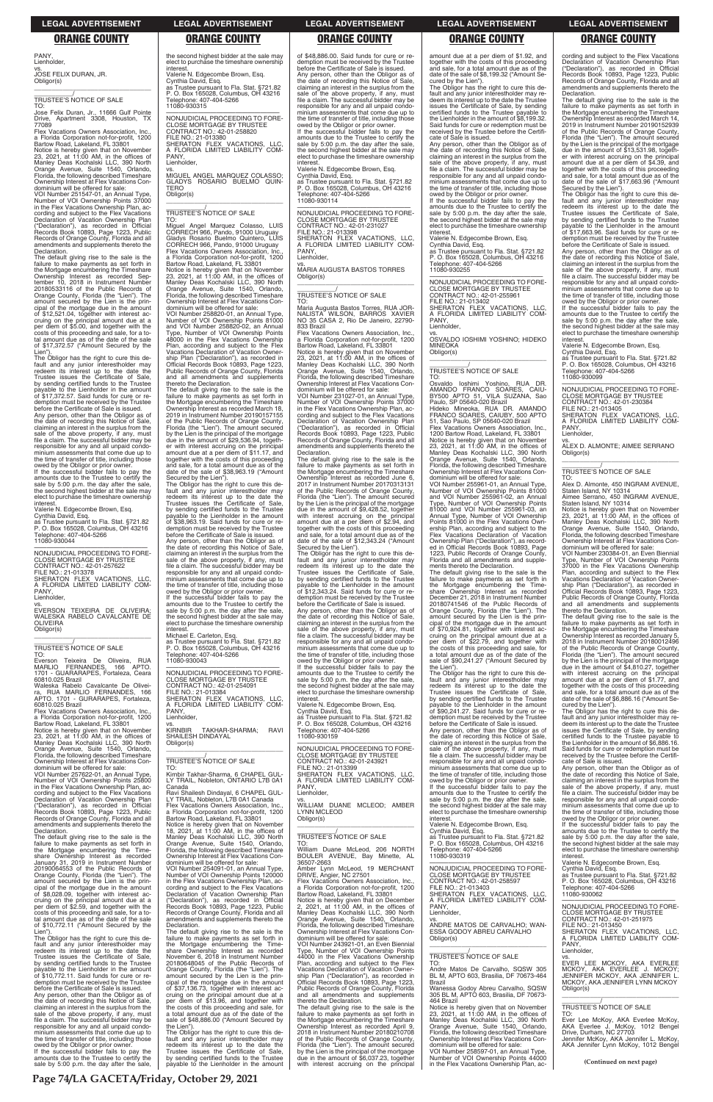PANY, Lienholder,

vs. JOSE FELIX DURAN, JR. Obligor(s)

\_\_\_\_\_\_\_\_\_\_\_\_\_\_\_\_\_\_\_\_\_\_\_\_\_\_\_\_\_\_\_\_\_

# \_\_\_\_\_\_\_\_\_\_\_/ TRUSTEE'S NOTICE OF SALE

TO: Jose Felix Duran, Jr., 11666 Gulf Pointe Drive, Apartment 3308, Houston, TX 77089

Flex Vacations Owners Association, In a Florida Corporation not-for-profit, 1200 Bartow Road, Lakeland, FL 33801 Notice is hereby given that on November 23, 2021, at 11:00 AM, in the offices of Manley Deas Kochalski LLC, 390 North

in the Flex Vacations Ownership Plan, ac-<br>cording and subject to the Flex Vacations cording and subject to the Flex Vacations Declaration of Vacation Ownership Plan ("Declaration"), as recorded in Official Records Book 10893, Page 1223, Public Records of Orange County, Florida and all amendments and supplements thereto the Declaration.

The default giving rise to the sale is the failure to make payments as set forth in the Mortgage encumbering the Timeshare Ownership Interest as recorded Sep-tember 10, 2018 in Instrument Number 20180533116 of the Public Records of Orange County, Florida (the "Lien"). The amount secured by the Lien is the prin-cipal of the mortgage due in the amount of \$12,521.04, together with interest ac-cruing on the principal amount due at a per diem of \$5.00, and together with the costs of this proceeding and sale, for a to-tal amount due as of the date of the sale of \$17,372.57 ("Amount Secured by the Lien")

Orange Avenue, Suite 1540, Orlando, Florida, the following described Timeshare Ownership Interest at Flex Vacations Condominium will be offered for sale: VOI Number 251547-01, an Annual Type, Number of VOI Ownership Points 37000

owed by the Obligor or prior owner. If the successful bidder fails to pay the amounts due to the Trustee to certify the sale by 5:00 p.m. the day after the sale the second highest bidder at the sale may elect to purchase the timeshare ownership interest

TO:<br>Fverson Everson Teixeira De Oliveira, RUA MARLIO FERNANDES, 166 APTO. 1701 - GUARARAPES, Fortaleza, Ceara

Flex Vacations Owners Association, Inc. a Florida Corporation not-for-profit, 1200 Bartow Road, Lakeland, FL 33801

The Obligor has the right to cure this de-fault and any junior interestholder may redeem its interest up to the date the Trustee issues the Certificate of Sale, by sending certified funds to the Trustee payable to the Lienholder in the amount of \$17,372.57. Said funds for cure or re-demption must be received by the Trustee before the Certificate of Sale is issued. Any person, other than the Obligor as of the date of recording this Notice of Sale, claiming an interest in the surplus from the sale of the above property, if any, must file a claim. The successful bidder may be responsible for any and all unpaid condo-minium assessments that come due up to the time of transfer of title, including those

failure to make payments as set forth in the Mortgage encumbering the Time-share Ownership Interest as recorded January 31, 2019 in Instrument Number 20190064553 of the Public Records of Orange County, Florida (the "Lien"). The amount secured by the Lien is the principal of the mortgage due in the amount of \$8,028.09, together with interest accruing on the principal amount due at a per diem of \$2.59, and together with the costs of this proceeding and sale, for a total amount due as of the date of the sale of \$10,772.11 ("Amount Secured by the Lien").

Valerie N. Edgecombe Brown, Esq. Cynthia David, Esq. as Trustee pursuant to Fla. Stat. §721.82 P. O. Box 165028, Columbus, OH 43216 Telephone: 407-404-5266 11080-930044

—————————————————— NONJUDICIAL PROCEEDING TO FORE-CLOSE MORTGAGE BY TRUSTEE CONTRACT NO.: 42-01-257622 FILE NO.: 21-013378 SHERATON FLEX VACATIONS, LLC, A FLORIDA LIMITED LIABILITY COM-PANY,

Lienholder,

vs. EVERSON TEIXEIRA DE OLIVEIRA; WALESKA RABELO CAVALCANTE DE OLIVEIRA Obligor(s) \_\_\_\_\_\_\_\_\_\_\_\_\_\_\_\_\_\_\_\_\_\_\_\_\_\_\_\_\_\_\_\_\_

# \_\_\_\_\_\_\_\_\_\_\_/ TRUSTEE'S NOTICE OF SALE

60810.025 Brazil Waleska Rabelo Cavalcante De Oliveira, RUA MARLIO FERNANDES, 166 APTO. 1701 - GURARAPES, Fortaleza, 60810.025 Brazil

Notice is hereby given that on November 23, 2021, at 11:00 AM, in the offices of Manley Deas Kochalski LLC, 390 North Orange Avenue, Suite 1540, Orlando, Florida, the following described Timeshare Ownership Interest at Flex Vacations Condominium will be offered for sale:

VOI Number 257622-01, an Annual Type, Number of VOI Ownership Points 25800 in the Flex Vacations Ownership Plan, according and subject to the Flex Vacations Declaration of Vacation Ownership Plan ("Declaration"), as recorded in Official Records Book 10893, Page 1223, Public

| Records Book 10893, Page 1223, Public      |  |  |  |  |
|--------------------------------------------|--|--|--|--|
| Records of Orange County, Florida and all  |  |  |  |  |
| amendments and supplements thereto the     |  |  |  |  |
| Declaration.                               |  |  |  |  |
| The default giving rise to the sale is the |  |  |  |  |

**KIRNBIR** TAKHAR-SHARMA; RAVI SHAILESH DINDAYAL Obligor(s) \_\_\_\_\_\_\_\_\_\_\_\_\_\_\_\_\_\_\_\_\_\_\_\_\_\_\_\_\_\_\_\_\_

Ravi Shailesh Dindayal, 6 CHAPEL GUL-LY TRAIL, Nobleton, L7B 0A1 Canada Flex Vacations Owners Association, Inc.

VOI Number 254091-01, an Annual Type, Number of VOI Ownership Points 120000 in the Flex Vacations Ownership Plan, according and subject to the Flex Vacations Declaration of Vacation Ownership Plan ("Declaration"), as recorded in Official Records Book 10893, Page 1223, Public Records of Orange County, Florida and all amendments and supplements thereto the **Declaration** 

The Obligor has the right to cure this default and any junior interestholder may redeem its interest up to the date the Trustee issues the Certificate of Sale, by sending certified funds to the Trustee payable to the Lienholder in the amount of \$10,772.11. Said funds for cure or redemption must be received by the Trustee before the Certificate of Sale is issued. Any person, other than the Obligor as of the date of recording this Notice of Sale, claiming an interest in the surplus from the sale of the above property, if any, must file a claim. The successful bidder may be responsible for any and all unpaid condominium assessments that come due up to the time of transfer of title, including those owed by the Obligor or prior owner.

If the successful bidder fails to pay the amounts due to the Trustee to certify the sale by 5:00 p.m. the day after the sale,

the second highest bidder at the sale may elect to purchase the timeshare ownership interest. Valerie N. Edgecombe Brown, Esq. Cynthia David, Esq.

as Trustee pursuant to Fla. Stat. §721.82 P. O. Box 165028, Columbus, OH 43216 Telephone: 407-404-5266 11080-930315

—————————————————— NONJUDICIAL PROCEEDING TO FORE-CLOSE MORTGAGE BY TRUSTEE CONTRACT NO.: 42-01-258820 FILE NO.: 21-013380 SHERATON FLEX VACATIONS, LLC, A FLORIDA LIMITED LIABILITY COM-PANY, Lienholder,

vs. MIGUEL ANGEL MARQUEZ COLASSO; GLADYS ROSARIO BUELMO QUIN-**TFRO** Obligor(s) \_\_\_\_\_\_\_\_\_\_\_\_\_\_\_\_\_\_\_\_\_\_\_\_\_\_\_\_\_\_\_\_\_

> SHERATON FLEX VACATIONS, LLC,<br>A FLORIDA LIMITED LIABILITY COM-<br>PANY, Lienholder, vs. MARIA AUGUSTA BASTOS TORRES Obligor(s)  $\overline{\phantom{a}}$  , and the set of the set of the set of the set of the set of the set of the set of the set of the set of the set of the set of the set of the set of the set of the set of the set of the set of the set of the s \_\_\_\_\_\_\_\_\_\_\_/ TRUSTEE'S NOTICE OF SALE

TO: Maria Augusta Bastos Torres, RUA JOR-NALISTA<sup>-</sup> WILSON, BARROS XAVIER<br>NO 35 CASA 2, Rio De Janeiro, 22790-833 Brazil Flex Vacations Owners Association, Inc.

# \_\_\_\_\_\_\_\_\_\_\_/ TRUSTEE'S NOTICE OF SALE

TO: Miguel Angel Marquez Colasso, LUIS CORRECH 966, Pando, 91000 Uruguay Gladys Rosario Buelmo Quintero, LUIS CORRECH 966, Pando, 91000 Uruguay Flex Vacations Owners Association, Inc., a Florida Corporation not-for-profit, 1200

Bartow Road, Lakeland, FL 33801 Notice is hereby given that on November 23, 2021, at 11:00 AM, in the offices of Manley Deas Kochalski LLC, 390 North Orange Avenue, Suite 1540, Orlando, Florida, the following described Timeshare Ownership Interest at Flex Vacations Con-dominium will be offered for sale:

VOI Number 258820-01, an Annual Type, Number of VOI Ownership Points 81000 and VOI Number 258820-02, an Annual Type, Number of VOI Ownership Points 48000 in the Flex Vacations Ownership Plan, according and subject to the Flex Vacations Declaration of Vacation Ownership Plan ("Declaration"), as recorded in Official Records Book 10893, Page 1223, Public Records of Orange County, Florida and all amendments and supplements thereto the Declaration.

> amounts due to the Trustee to certify the sale by 5:00 p.m. the day after the sale, the second highest bidder at the sale may elect to purchase the timeshare ownership **interest**

The default giving rise to the sale is the failure to make payments as set forth in the Mortgage encumbering the Timeshare Ownership Interest as recorded March 18, 2019 in Instrument Number 20190157155 of the Public Records of Orange County, Florida (the "Lien"). The amount secured by the Lien is the principal of the mortgage due in the amount of \$29,536.94, together with interest accruing on the principal amount due at a per diem of \$11.17, and together with the costs of this proceeding and sale, for a total amount due as of the date of the sale of \$38,963.19 ("Amount Secured by the Lien").

The Obligor has the right to cure this de-fault and any junior interestholder may redeem its interest up to the date the Trustee issues the Certificate of Sale, by sending certified funds to the Trustee payable to the Lienholder in the amount of \$38,963.19. Said funds for cure or redemption must be received by the Trustee before the Certificate of Sale is issued.

Any person, other than the Obligor as of the date of recording this Notice of Sale, claiming an interest in the surplus from the sale of the above property, if any, must file a claim. The successful bidder may be responsible for any and all unpaid condominium assessments that come due up to the time of transfer of title, including those owed by the Obligor or prior owner.

If the successful bidder fails to pay the amounts due to the Trustee to certify the sale by 5:00 p.m. the day after the sale, the second highest bidder at the sale may elect to purchase the timeshare ownership

interest. Michael E. Carleton, Esq. as Trustee pursuant to Fla. Stat. §721.82 P. O. Box 165028, Columbus, OH 43216 Telephone: 407-404-5266 11080-930043

—————————————————— NONJUDICIAL PROCEEDING TO FORE-CLOSE MORTGAGE BY TRUSTEE CONTRACT NO.: 42-01-254091

FILE NO.: 21-013384 SHERATON FLEX VACATIONS, LLC, A FLORIDA LIMITED LIABILITY COM-**PANY** Lienholder,

### $\overline{\phantom{a}}$  , and the set of the set of the set of the set of the set of the set of the set of the set of the set of the set of the set of the set of the set of the set of the set of the set of the set of the set of the s \_\_\_\_\_\_\_\_\_\_\_/ TRUSTEE'S NOTICE OF SALE

# \_\_\_\_\_\_\_\_\_\_\_/ TRUSTEE'S NOTICE OF SALE

TO: Kirnbir Takhar-Sharma, 6 CHAPEL GUL-LY TRAIL, Nobleton, ONTARIO L7B 0A1 Canada

a Florida Corporation not-for-profit, 1200 Bartow Road, Lakeland, FL 33801

Notice is hereby given that on November 18, 2021, at 11:00 AM, in the offices of Manley Deas Kochalski LLC, 390 North Orange Avenue, Suite 1540, Orlando, Florida, the following described Timeshare Ownership Interest at Flex Vacations Condominium will be offered for sale:

The default giving rise to the sale is the failure to make payments as set forth in the Mortgage encumbering the Time-share Ownership Interest as recorded November 6, 2018 in Instrument Number 20180648045 of the Public Records of Orange County, Florida (the "Lien"). The amount secured by the Lien is the principal of the mortgage due in the amount of \$37,136.73, together with interest accruing on the principal amount due at a per diem of \$13.96, and together with the costs of this proceeding and sale, for a total amount due as of the date of the sale of \$48,886.00 ("Amount Secured by the Lien").

The Obligor has the right to cure this default and any junior interestholder may redeem its interest up to the date the Trustee issues the Certificate of Sale, by sending certified funds to the Trustee payable to the Lienholder in the amount

cording and subject to the Flex Vacations Declaration of Vacation Ownership Plan ("Declaration"), as recorded in Official Records Book 10893, Page 1223, Public Records of Orange County, Florida and all amendments and supplements thereto the **Declaration** 

of \$48,886.00. Said funds for cure or re-demption must be received by the Trustee before the Certificate of Sale is issued. Any person, other than the Obligor as of the date of recording this Notice of Sale, claiming an interest in the surplus from the sale of the above property, if any, must file a claim. The successful bidder may be responsible for any and all unpaid condominium assessments that come due up to the time of transfer of title, including those owed by the Obligor or prior owner. If the successful bidder fails to pay the amounts due to the Trustee to certify the sale by 5:00 p.m. the day after the sale the second highest bidder at the sale may elect to purchase the timeshare ownership

interest.

the date of recording this Notice of Sale,<br>claiming an interest in the surplus from the<br>sale of the above property, if any, must<br>file a claim. The successful bidder may be responsible for any and all unpaid condo-minium assessments that come due up to the time of transfer of title, including those

owed by the Obligor or prior owner. If the successful bidder fails to pay the amounts due to the Trustee to certify the sale by 5:00 p.m. the day after the sale, the second highest bidder at the sale may elect to purchase the timeshare ownership interest

Valerie N. Edgecombe Brown, Esq. Cynthia David, Esq. as Trustee pursuant to Fla. Stat. §721.82 P. O. Box 165028, Columbus, OH 43216 Telephone: 407-404-5266

11080-930114

—————————————————— NONJUDICIAL PROCEEDING TO FORE-CLOSE MORTGAGE BY TRUSTEE CONTRACT NO.: 42-01-231027 FILE NO.: 21-013398

a Florida Corporation not-for-profit, 1200 Bartow Road, Lakeland, FL 33801

Notice is hereby given that on November 23, 2021, at 11:00 AM, in the offices of Manley Deas Kochalski LLC, 390 North Orange Avenue, Suite 1540, Orlando, Florida, the following described Timeshare Ownership Interest at Flex Vacations Condominium will be offered for sale:

VOI Number 231027-01, an Annual Type, Number of VOI Ownership Points 37000 in the Flex Vacations Ownership Plan, according and subject to the Flex Vacations Declaration of Vacation Ownership Plan ("Declaration"), as recorded in Official Records Book 10893, Page 1223, Public Records of Orange County, Florida and all amendments and supplements thereto the Declaration.

The default giving rise to the sale is the failure to make payments as set forth in the Mortgage encumbering the Timeshare Ownership Interest as recorded June 6, 2017 in Instrument Number 20170313131 of the Public Records of Orange County, Florida (the "Lien"). The amount secured by the Lien is the principal of the mortgage due in the amount of \$9,428.52, together with interest accruing on the principal amount due at a per diem of \$2.94, and together with the costs of this proceeding and sale, for a total amount due as of the

date of the sale of \$12,343.24 ("Amount Secured by the Lien"). The Obligor has the right to cure this default and any junior interestholder may redeem its interest up to the date the Trustee issues the Certificate of Sale, by sending certified funds to the Trustee payable to the Lienholder in the amount of \$12,343.24. Said funds for cure or redemption must be received by the Trustee

before the Certificate of Sale is issued. Any person, other than the Obligor as of the date of recording this Notice of Sale,<br>claiming an interest in the surplus from the<br>sale of the above property, if any, must<br>file a claim. The successful bidder may be responsible for any and all unpaid condo-minium assessments that come due up to the time of transfer of title, including those owed by the Obligor or prior owner. If the successful bidder fails to pay the

Valerie N. Edgecombe Brown, Esq. Cynthia David, Esq. as Trustee pursuant to Fla. Stat. §721.82 P. O. Box 165028, Columbus, OH 43216 Telephone: 407-404-5266

11080-930159

—————————————————— NONJUDICIAL PROCEEDING TO FORE-CLOSE MORTGAGE BY TRUSTEE CONTRACT NO.: 42-01-243921

# amount due at a per diem of \$1.92, and together with the costs of this proceeding and sale, for a total amount due as of the

date of the sale of \$8,199.32 ("Amount Secured by the Lien"). The Obligor has the right to cure this default and any junior interestholder may re-deem its interest up to the date the Trustee issues the Certificate of Sale, by sending

certified funds to the Trustee payable to the Lienholder in the amount of \$8,199.32. Said funds for cure or redemption must be received by the Trustee before the Certifi-cate of Sale is issued. Any person, other than the Obligor as of

the date of recording this Notice of Sale, claiming an interest in the surplus from the sale of the above property, if any, must file a claim. The successful bidder may be responsible for any and all unpaid condominium assessments that come due up to the time of transfer of title, including those owed by the Obligor or prior owner.

If the successful bidder fails to pay the amounts due to the Trustee to certify the sale by 5:00 p.m. the day after the sale, the second highest bidder at the sale may elect to purchase the timeshare ownership interest.

Valerie N. Edgecombe Brown, Esq. Cynthia David, Esq. as Trustee pursuant to Fla. Stat. §721.82

P. O. Box 165028, Columbus, OH 43216 Telephone: 407-404-5266 11080-930255

—————————————————— NONJUDICIAL PROCEEDING TO FORE-CLOSE MORTGAGE BY TRUSTEE CONTRACT NO.: 42-01-255961 FILE NO.: 21-013402 SHERATON FLEX VACATIONS, LLC, TILL NO.: 21-013402<br>SHERATON FLEX VACATIONS, LLC, A FLORIDA LIMITED LIABILITY COM-PANY Lienholder,

vs. OSVALDO IOSHIMI YOSHINO; HIDEKO **MINEOKA** Obligor(s)

TO:

Osvaldo Ioshimi Yoshino, RUA DR. AMANDO FRANCO SOARES, CAIU-BY500 APTO 51, VILA SUZANA, Sao Paulo, SP 05640-020 Brazil Hideko Mineoka, RUA DR. AMANDO FRANCO SOARES, CAIUBY, 500 APTO

51, Sao Paulo, SP 05640-020 Brazil Flex Vacations Owners Association, Inc.,

1200 Bartow Road, Lakeland, FL 33801 Notice is hereby given that on November 23, 2021, at 11:00 AM, in the offices of Manley Deas Kochalski LLC, 390 North Orange Avenue, Suite 1540, Orlando, Florida, the following described Timeshare Ownership Interest at Flex Vacations Con-dominium will be offered for sale:

VOI Number 255961-01, an Annual Type, Number of VOI Ownership Points 81000 and VOI Number 255961-02, an Annual Type, Number of VOI Ownership Points 81000 and VOI Number 255961-03, an Annual Type, Number of VOI Ownership Points 81000 in the Flex Vacations Ownership Plan, according and subject to the Flex Vacations Declaration of Vacation Ownership Plan ("Declaration"), as recorded in Official Records Book 10893, Page 1223, Public Records of Orange County,

Florida and all amendments and supplements thereto the Declaration. The default giving rise to the sale is the

failure to make payments as set forth in the Mortgage encumbering the Time-share Ownership Interest as recorded December 21, 2018 in Instrument Number 20180741546 of the Public Records of Orange County, Florida (the "Lien"). The amount secured by the Lien is the principal of the mortgage due in the amount of \$70,924.81, together with interest accruing on the principal amount due at a per diem of \$22.79, and together with the costs of this proceeding and sale, for a total amount due as of the date of the sale of \$90,241.27 ("Amount Secured by the Lien").

The Obligor has the right to cure this de-fault and any junior interestholder may redeem its interest up to the date the Trustee issues the Certificate of Sale, by sending certified funds to the Trustee payable to the Lienholder in the amount of \$90,241.27. Said funds for cure or redemption must be received by the Trustee before the Certificate of Sale is issued.

Any person, other than the Obligor as of the date of recording this Notice of Sale, claiming an interest in the surplus from the sale of the above property, if any, must file a claim. The successful bidder may be responsible for any and all unpaid condominium assessments that come due up to

PANY, Lienholder, vs. WILLIAM DUANE MCLEOD; AMBER YNN MCLEOD Obligor(s) \_\_\_\_\_\_\_\_\_\_\_\_\_\_\_\_\_\_\_\_\_\_\_\_\_\_\_\_\_\_\_\_\_ \_\_\_\_\_\_\_\_\_\_\_/ TRUSTEE'S NOTICE OF SALE TO: William Duane McLeod, 206 NORTH BOULER AVENUE, Bay Minette, AL 36507-2663 Amber Lynn McLeod, 19 MERCHANT DRIVE, Angier, NC 27501 Flex Vacations Owners Association, Inc., a Florida Corporation not-for-profit, 1200 Bartow Road, Lakeland, FL 33801 Notice is hereby given that on December<br>2, 2021, at 11:00 AM, in the offices of<br>Manley Deas Kochalski LLC, 390 North<br>Orange Avenue, Suite 1540, Orlando,<br>Florida, the following described Timeshare<br>Ownership Interest at Flex dominium will be offered for sale: VOI Number 243921-01, an Even Biennial Type, Number of VOI Ownership Points 44000 in the Flex Vacations Ownership Plan, according and subject to the Flex Vacations Declaration of Vacation Ownership Plan ("Declaration"), as recorded in Official Records Book 10893, Page 1223, Public Records of Orange County, Florida and all amendments and supplements thereto the Declaration. The default giving rise to the sale is the failure to make payments as set forth in the Mortgage encumbering the Timeshare Ownership Interest as recorded April 9, 2018 in Instrument Number 20180210708 of the Public Records of Orange County, Florida (the "Lien"). The amount secured by the Lien is the principal of the mortgage due in the amount of \$6,037.23, together with interest accruing on the principal If the successful bidder fails to pay the amounts due to the Trustee to certify the sale by 5:00 p.m. the day after the sale, the second highest bidder at the sale may elect to purchase the timeshare ownership interest. Valerie N. Edgecombe Brown, Esq. Cynthia David, Esq. as Trustee pursuant to Fla. Stat. §721.82 P. O. Box 165028, Columbus, OH 43216 Telephone: 407-404-5266 11080-930319 —————————————————— NONJUDICIAL PROCEEDING TO FORE-CLOSE MORTGAGE BY TRUSTEE CONTRACT NO.: 42-01-258597 FILE NO.: 21-013403 SHERATON FLEX VACATIONS, LLC, A FLORIDA LIMITED LIABILITY COM-PANY Lienholder, vs. ANDRE MATOS DE CARVALHO; WAN-ESSA GODOY ABREU CARVALHO Obligor(s)  $\overline{\phantom{a}}$  , and the set of the set of the set of the set of the set of the set of the set of the set of the set of the set of the set of the set of the set of the set of the set of the set of the set of the set of the s \_\_\_\_\_\_\_\_\_\_\_/ TRUSTEE'S NOTICE OF SALE TO: Andre Matos De Carvalho, SQSW 305 BL M, APTO 603, Brasilia, DF 70673-464 Brazil Wanessa Godoy Abreu Carvalho, SQSW 305 BL M, APTO 603, Brasilia, DF 70673- 464 Brazil Notice is hereby given that on November 23, 2021, at 11:00 AM, in the offices of Manley Deas Kochalski LLC, 390 North Orange Avenue, Suite 1540, Orlando, Florida, the following described Timeshare Ownership Interest at Flex Vacations Con-dominium will be offered for sale: VOI Number 258597-01, an Annual Type, Number of VOI Ownership Points 44000 in the Flex Vacations Ownership Plan, acinterest. Lienholder, Obligor(s) TO:

FILE NO.: 21-013399 SHERATON FLEX VACATIONS, LLC, A FLORIDA LIMITED LIABILITY COMthe time of transfer of title, including those owed by the Obligor or prior owner. Any person, other than the Obligor as of the date of recording this Notice of Sale, claiming an interest in the surplus from the sale of the above property, if any, must file a claim. The successful bidder may be responsible for any and all unpaid condominium assessments that come due up to the time of transfer of title, including those and the orientation of the prior owner. If the successful bidder fails to pay the amounts due to the Trustee to certify the sale by 5:00 p.m. the day after the sale, the second highest bidder at the sale may elect to purchase the timeshare ownership Valerie N. Edgecombe Brown, Esq. Cynthia David, Esq. as Trustee pursuant to Fla. Stat. §721.82 P. O. Box 165028, Columbus, OH 43216 Telephone: 407-404-5266 11080-930062 —————————————————— NONJUDICIAL PROCEEDING TO FORE-CLOSE MORTGAGE BY TRUSTEE CONTRACT NO.: 42-01-251975 FILE NO.: 21-013450 SHERATON FLEX VACATIONS, LLC, A FLORIDA LIMITED LIABILITY COM-PANY, vs.<br>EVER LEE MCKOY, AKA EVERLEE<br>MCKOY, AKA EVERLEE J. MCKOY;<br>JENNIFER MCKOY, AKA JENNIFER L.<br>MCKOY, AKA JENNIFER LYNN MCKOY \_\_\_\_\_\_\_\_\_\_\_\_\_\_\_\_\_\_\_\_\_\_\_\_\_\_\_\_\_\_\_\_\_ \_\_\_\_\_\_\_\_\_\_\_/ TRUSTEE'S NOTICE OF SALE Ever Lee McKoy, AKA Everlee McKoy, AKA Everlee J. McKoy, 1012 Bengel Drive, Durham, NC 27703 Jennifer McKoy, AKA Jennifer L. McKoy, AKA Jennifer Lynn McKoy, 1012 Bengel **(Continued on next page)**

The default giving rise to the sale is the failure to make payments as set forth in the Mortgage encumbering the Timeshare Ownership Interest as recorded March 14, 2019 in Instrument Number 20190152939 of the Public Records of Orange County, Florida (the "Lien"). The amount secured by the Lien is the principal of the mortgage due in the amount of \$13,531.98, togeth-er with interest accruing on the principal amount due at a per diem of \$4.39, and together with the costs of this proceeding and sale, for a total amount due as of the date of the sale of \$17,663.96 ("Amount Secured by the Lien"). The Obligor has the right to cure this de-

fault and any junior interestholder may redeem its interest up to the date the Trustee issues the Certificate of Sale, by sending certified funds to the Trustee<br>pavable to the Lienholder in the amount payable to the Lienholder in the amount of \$17,663.96. Said funds for cure or redemption must be received by the Trustee before the Certificate of Sale is issued. Any person, other than the Obligor as of

Valerie N. Edgecombe Brown, Esq.

Cynthia David, Esq. as Trustee pursuant to Fla. Stat. §721.82 P. O. Box 165028, Columbus, OH 43216 Telephone: 407-404-5266 11080-930099

—————————————————— NONJUDICIAL PROCEEDING TO FORE-CLOSE MORTGAGE BY TRUSTEE CONTRACT NO.: 42-01-230384

FILE NO.: 21-013405 SHERATON FLEX VACATIONS, LLC, A FLORIDA LIMITED LIABILITY COM-PANY, Lienholder,

vs. ALEX D. ALMONTE; AIMEE SERRANO Obligor(s) \_\_\_\_\_\_\_\_\_\_\_\_\_\_\_\_\_\_\_\_\_\_\_\_\_\_\_\_\_\_\_\_\_

# \_\_\_\_\_\_\_\_\_\_\_/ TRUSTEE'S NOTICE OF SALE

TO: Alex D. Almonte, 450 INGRAM AVENUE, Staten Island, NY 10314 Aimee Serrano, 450 INGRAM AVENUE, Staten Island, NY 10314

Notice is hereby given that on November 23, 2021, at 11:00 AM, in the offices of Manley Deas Kochalski LLC, 390 North Orange Avenue, Suite 1540, Orlando, Florida, the following described Timeshare Ownership Interest at Flex Vacations Con-

dominium will be offered for sale: VOI Number 230384-01, an Even Biennial Type, Number of VOI Ownership Points 37000 in the Flex Vacations Ownership Plan, according and subject to the Flex Vacations Declaration of Vacation Ownership Plan ("Declaration"), as recorded in Official Records Book 10893, Page 1223, Public Records of Orange County, Florida and all amendments and supplements thereto the Declaration.

The default giving rise to the sale is the failure to make payments as set forth in the Mortgage encumbering the Timeshare Ownership Interest as recorded January 5, 2018 in Instrument Number 20180012496 of the Public Records of Orange County, Florida (the "Lien"). The amount secured by the Lien is the principal of the mortgage due in the amount of \$4,810.27, together with interest accruing on the principal amount due at a per diem of \$1.77, and together with the costs of this proceeding and sale, for a total amount due as of the date of the sale of \$6,886.16 ("Amount Se-cured by the Lien").

The Obligor has the right to cure this default and any junior interestholder may re-deem its interest up to the date the Trustee issues the Certificate of Sale, by sending certified funds to the Trustee payable to the Lienholder in the amount of \$6,886.16. Said funds for cure or redemption must be received by the Trustee before the Certifi-cate of Sale is issued.

### **LEGAL ADVERTISEMENT LEGAL ADVERTISEMENT LEGAL ADVERTISEMENT LEGAL ADVERTISEMENT LEGAL ADVERTISEMENT**

# **ORANGE COUNTY ORANGE COUNTY ORANGE COUNTY ORANGE COUNTY ORANGE COUNTY**

**Page 74/LA GACETA/Friday, October 29, 2021**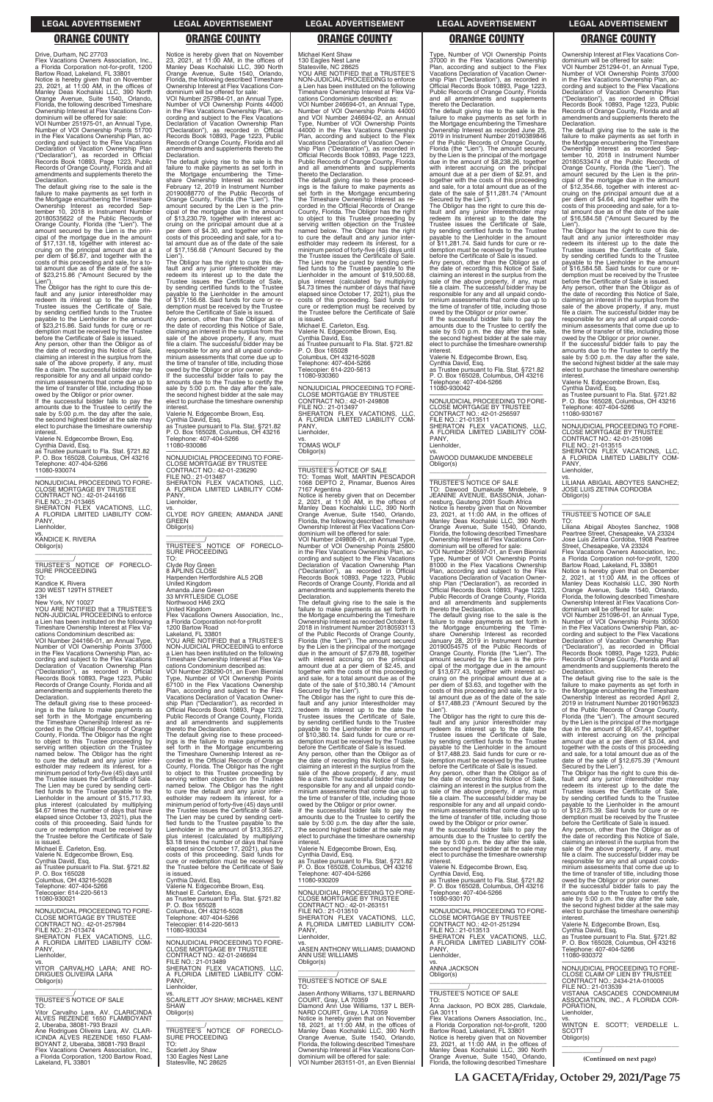Drive, Durham, NC 27703 Flex Vacations Owners Association, Inc. a Florida Corporation not-for-profit, 1200 Bartow Road, Lakeland, FL 33801

VOI Number 251975-01, an Annual Type, Number of VOI Ownership Points 51700 in the Flex Vacations Ownership Plan, according and subject to the Flex Vacations Declaration of Vacation Ownership Plan ("Declaration"), as recorded in Official Records Book 10893, Page 1223, Public Records of Orange County, Florida and all amendments and supplements thereto the Declaration.

Notice is hereby given that on November 23, 2021, at 11:00 AM, in the offices of Manley Deas Kochalski LLC, 390 North Orange Avenue, Suite 1540, Orlando, Florida, the following described Timeshare Ownership Interest at Flex Vacations Condominium will be offered for sale:

date of recording this Notice of Sale, claiming an interest in the surplus from the sale of the above property, if any, must file a claim. The successful bidder may be responsible for any and all unpaid condominium assessments that come due up to the time of transfer of title, including those

The default giving rise to the sale is the failure to make payments as set forth in the Mortgage encumbering the Timeshare Ownership Interest as recorded Sep-tember 10, 2018 in Instrument Number 20180535622 of the Public Records of Orange County, Florida (the "Lien"). The amount secured by the Lien is the principal of the mortgage due in the amount of \$17,131.18, together with interest accruing on the principal amount due at a per diem of \$6.87, and together with the costs of this proceeding and sale, for a to-tal amount due as of the date of the sale of \$23,215.86 ("Amount Secured by the

—————————————————— NONJUDICIAL PROCEEDING TO FORE-CLOSE MORTGAGE BY TRUSTEE CONTRACT NO.: 42-01-244166 FILE NO.: 21-013465 SHERATON FLEX VACATIONS, LLC, A FLORIDA LIMITED LIABILITY COM-**PANY** 

Lien"). The Obligor has the right to cure this default and any junior interestholder may redeem its interest up to the date the Trustee issues the Certificate of Sale, by sending certified funds to the Trustee payable to the Lienholder in the amount of \$23,215.86. Said funds for cure or redemption must be received by the Trustee before the Certificate of Sale is issued. Any person, other than the Obligor as of

owed by the Obligor or prior owner. If the successful bidder fails to pay the amounts due to the Trustee to certify the sale by 5:00 p.m. the day after the sale, the second highest bidder at the sale may elect to purchase the timeshare ownership interest.

mieresi.<br>Valerie N. Edgecombe Brown, Esg.

Cynthia David, Esq. as Trustee pursuant to Fla. Stat. §721.82 P. O. Box 165028, Columbus, OH 43216 Telephone: 407-404-5266 11080-930074

Lienholder, vs.

KANDICE K. RIVERA Obligor(s)

VOI Number 257984-01, an Annual Type, Number of VOI Ownership Points 44000 in the Flex Vacations Ownership Plan, according and subject to the Flex Vacations Declaration of Vacation Ownership Plan ("Declaration"), as recorded in Official ("Declaration"), as recorded in Official<br>Records Book 10893, Page 1223, Public Records of Orange County, Florida and all amendments and supplements thereto the **Declaration** 

\_\_\_\_\_\_\_\_\_\_\_\_\_\_\_\_\_\_\_\_\_\_\_\_\_\_\_\_\_\_\_\_\_ \_\_\_\_\_\_\_\_\_\_\_/<br>TRUSTEE'S NOTICE OF FORECLO-<br>SURE PROCEEDING TO:

Kandice K. Rivera 230 WEST 129TH STREET

13H New York, NY 10027 YOU ARE NOTIFIED that a TRUSTEE'S

NON-JUDICIAL PROCEEDING to enforce a Lien has been instituted on the following Timeshare Ownership Interest at Flex Va-

cations Condominium described as: VOI Number 244166-01, an Annual Type, Number of VOI Ownership Points 37000 in the Flex Vacations Ownership Plan, according and subject to the Flex Vacations Declaration of Vacation Ownership Plan ("Declaration"), as recorded in Official Records Book 10893, Page 1223, Public Records of Orange County, Florida and all amendments and supplements thereto the Declaration.

owed by the Obligor or prior owner. If the successful bidder fails to pay the amounts due to the Trustee to certify the sale by 5:00 p.m. the day after the sale, the second highest bidder at the sale may elect to purchase the timeshare ownership

—————————————————— NONJUDICIAL PROCEEDING TO FORE-CLOSE MORTGAGE BY TRUSTEE CONTRACT NO.: 42-01-236290 FILE NO.: 21-013487 SHERATON FLEX VACATIONS, LLC, A FLORIDA LIMITED LIABILITY COM-A FLC<br>PANY,

**Lienholder** 

The default giving rise to these proceedings is the failure to make payments as set forth in the Mortgage encumbering the Timeshare Ownership Interest as re-corded in the Official Records of Orange County, Florida. The Obligor has the right to object to this Trustee proceeding by serving written objection on the Trustee named below. The Obligor has the right to cure the default and any junior inter-estholder may redeem its interest, for a minimum period of forty-five (45) days until the Trustee issues the Certificate of Sale. The Lien may be cured by sending certified funds to the Trustee payable to the Lienholder in the amount of \$15,717.93, plus interest (calculated by multiplying \$4.67 times the number of days that have

Notice is hereby given that on November 23, 2021, at 11:00 AM, in the offices of Manley Deas Kochalski LLC, 390 North Orange Avenue, Suite 1540, Orlando, Florida, the following described Timeshare Ownership Interest at Flex Vacations Condominium will be offered for sale:

The default giving rise to the sale is the failure to make payments as set forth in the Mortgage encumbering the Timeshare Ownership Interest as recorded February 12, 2019 in Instrument Number 20190088770 of the Public Records of Orange County, Florida (the "Lien"). The amount secured by the Lien is the principal of the mortgage due in the amount of \$13,230.79, together with interest ac-cruing on the principal amount due at a per diem of \$4.30, and together with the costs of this proceeding and sale, for a to-tal amount due as of the date of the sale of \$17,156.68 ("Amount Secured by the

> PANY Lienholder, vs.

\_\_\_\_\_\_\_\_\_\_\_\_\_\_\_\_\_\_\_\_\_\_\_\_\_\_\_\_\_\_\_\_\_ \_\_\_\_\_\_\_\_\_\_\_/<br>TRUSTEE'S NOTICE OF SALE<br>TO: Tomas Wolf, MARTIN PESCADOR 1068 DEPTO 2, Pinamar, Buenos Aires 7167 Argentina<br>Notice is hereby given that on December

Notice is hereby given that on December<br>2, 2021, at 11:00 AM, in the offices of<br>Manley Deas Kochalski LLC, 390 North<br>Orange Avenue, Suite 1540, Orlando,<br>Florida, the following described Timeshare<br>Ownership Interest at Flex

Lien"). The Obligor has the right to cure this default and any junior interestholder may redeem its interest up to the date the Trustee issues the Certificate of Sale, by sending certified funds to the Trustee payable to the Lienholder in the amount of \$17,156.68. Said funds for cure or redemption must be received by the Trustee before the Certificate of Sale is issued. Any person, other than the Obligor as of

the date of recording this Notice of Sale, claiming an interest in the surplus from the sale of the above property, if any, must file a claim. The successful bidder may be responsible for any and all unpaid condominium assessments that come due up to the time of transfer of title, including those

interest. Valerie N. Edgecombe Brown, Esq.

Cynthia David, Esq. as Trustee pursuant to Fla. Stat. §721.82 P. O. Box 165028, Columbus, OH 43216 Telephone: 407-404-5266 11080-930086

vs. CLYDE ROY GREEN; AMANDA JANE GREEN Obligor(s) \_\_\_\_\_\_\_\_\_\_\_\_\_\_\_\_\_\_\_\_\_\_\_\_\_\_\_\_\_\_\_\_\_

\_\_\_\_\_\_\_\_\_\_\_/<br>TRUSTEE'S NOTICE OF FORECLO-<br>SURE PROCEEDING

TO: Clyde Roy Green 8 APLINS CLOSE

Harpenden Hertfordshire AL5 2QB United Kingdom

Amanda Jane Green

33 MYRTLESIDE CLOSE Northwood HA6 2XQ United Kingdom

Flex Vacations Owners Association, Inc., a Florida Corporation not-for-profit 1200 Bartow Road

Lakeland, FL 33801 YOU ARE NOTIFIED that a TRUSTEE'S NON-JUDICIAL PROCEEDING to enforce a Lien has been instituted on the following Timeshare Ownership Interest at Flex Vacations Condominium described as:

VOI Number 236290-01, an Even Biennial Type, Number of VOI Ownership Points 67100 in the Flex Vacations Ownership Plan, according and subject to the Flex Vacations Declaration of Vacation Ownership Plan ("Declaration"), as recorded in Official Records Book 10893, Page 1223, Public Records of Orange County, Florida and all amendments and supplements thereto the Declaration.

The default giving rise to these proceed-ings is the failure to make payments as set forth in the Mortgage encumbering the Timeshare Ownership Interest as recorded in the Official Records of Orange County, Florida. The Obligor has the right to object to this Trustee proceeding by serving written objection on the Trustee named below. The Obligor has the right to cure the default and any junior inter-estholder may redeem its interest, for a minimum period of forty-five (45) days until the Trustee issues the Certificate of Sale.

Michael Kent Shaw

130 Eagles Nest Lane Statesville, NC 28625 YOU ARE NOTIFIED that a TRUSTEE'S NON-JUDICIAL PROCEEDING to enforce a Lien has been instituted on the following Timeshare Ownership Interest at Flex Vacations Condominium described as: VOI Number 246694-01, an Annual Type, Number of VOI Ownership Points 44000 and VOI Number 246694-02, an Annual Type, Number of VOI Ownership Points 44000 in the Flex Vacations Ownership Plan, according and subject to the Flex Vacations Declaration of Vacation Ownership Plan ("Declaration"), as recorded in Official Records Book 10893, Page 1223, Public Records of Orange County, Florida and all amendments and supplements

in the Flex Vacations Ownership Plan, according and subject to the Flex Vacations Declaration of Vacation Ownership Plan ("Declaration"), as recorded in Official Records Book 10893, Page 1223, Public Records of Orange County, Florida and all amendments and supplements thereto the **Declaration** 

thereto the Declaration.

The default giving rise to these proceed-ings is the failure to make payments as set forth in the Mortgage encumbering the Timeshare Ownership Interest as re-corded in the Official Records of Orange County, Florida. The Obligor has the right to object to this Trustee proceeding by serving written objection on the Trustee named below. The Obligor has the right to cure the default and any junior inter-estholder may redeem its interest, for a minimum period of forty-five (45) days until the Trustee issues the Certificate of Sale. The Lien may be cured by sending certi-fied funds to the Trustee payable to the Lienholder in the amount of \$19,500.68, plus interest (calculated by multiplying \$4.73 times the number of days that have elapsed since October 17, 2021), plus the costs of this proceeding. Said funds for cure or redemption must be received by the Trustee before the Certificate of Sale

> amounts due to the Trustee to certify the sale by 5:00 p.m. the day after the sale, the second highest bidder at the sale may elect to purchase the timeshare ownership interest

FILE NO.: 21-013515 SHERATON FLEX VACATIONS, LLC, A FLORIDA LIMITED LIABILITY COM-PANY

is issued. Michael E. Carleton, Esq.

Flex Vacations Owners Association, Inc. a Florida Corporation not-for-profit, 1200 Bartow Road, Lakeland, FL 33801

Valerie N. Edgecombe Brown, Esq. Cynthia David, Esq. as Trustee pursuant to Fla. Stat. §721.82

P. O. Box 165028 Columbus, OH 43216-5028 Telephone: 407-404-5266 Telecopier: 614-220-5613 11080-930360

> Notice is hereby given that on December<br>2, 2021, at 11:00 AM, in the offices of<br>Manley Deas Kochalski LLC, 390 North<br>Orange Avenue, Suite 1540, Orlando,<br>Florida, the following described Timeshare<br>Ownership Interest at Flex dominium will be offered for sale:

—————————————————— NONJUDICIAL PROCEEDING TO FORE-CLOSE MORTGAGE BY TRUSTEE CONTRACT NO.: 42-01-249808

FILE NO.: 21-013497 SHERATON FLEX VACATIONS, LLC, A FLORIDA LIMITED LIABILITY COM-

TOMAS WOLF Obligor(s)

dominium will be offered for sale: VOI Number 249808-01, an Annual Type, Number of VOI Ownership Points 25800 in the Flex Vacations Ownership Plan, according and subject to the Flex Vacations Declaration of Vacation Ownership Plan ("Declaration"), as recorded in Official

Records Book 10893, Page 1223, Public Records of Orange County, Florida and all amendments and supplements thereto the

Declaration.

The default giving rise to the sale is the failure to make payments as set forth in the Mortgage encumbering the Timeshare Ownership Interest as recorded October 8, 2018 in Instrument Number 20180593113

of the Public Records of Orange County, Florida (the "Lien"). The amount secured by the Lien is the principal of the mortgage due in the amount of \$7,679.88, together with interest accruing on the principal amount due at a per diem of \$2.45, and together with the costs of this procee and sale, for a total amount due as of the date of the sale of \$10,380.14 ("Amount Secured by the Lien"). The Obligor has the right to cure this default and any junior interestholder may redeem its interest up to the date the Trustee issues the Certificate of Sale, by sending certified funds to the Trustee payable to the Lienholder in the amount of \$10,380.14. Said funds for cure or redemption must be received by the Trustee before the Certificate of Sale is issued. Any person, other than the Obligor as of the date of recording this Notice of Sale, claiming an interest in the surplus from the sale of the above property, if any, must file a claim. The successful bidder may be responsible for any and all unpaid condominium assessments that come due up to the time of transfer of title, including those owed by the Obligor or prior owner.

| \$4.67 times the number of days that have  | the Trustee issues the Certificate of Sale. | If the successful bidder fails to pay the  | minium assessments that come due up to         | of \$12,675,39. Said funds for cure or re-     |
|--------------------------------------------|---------------------------------------------|--------------------------------------------|------------------------------------------------|------------------------------------------------|
| elapsed since October 13, 2021), plus the  | The Lien may be cured by sending certi-     | amounts due to the Trustee to certify the  | the time of transfer of title, including those | demption must be received by the Trustee       |
| costs of this proceeding. Said funds for   | fied funds to the Trustee payable to the    | sale by 5:00 p.m. the day after the sale.  | owed by the Obligor or prior owner.            | before the Certificate of Sale is issued.      |
| cure or redemption must be received by     | Lienholder in the amount of \$13.355.27.    | the second highest bidder at the sale may  | If the successful bidder fails to pay the      | Any person, other than the Obligor as of       |
| the Trustee before the Certificate of Sale | plus interest (calculated by multiplying    | elect to purchase the timeshare ownership  | amounts due to the Trustee to certify the      | the date of recording this Notice of Sale.     |
| is issued.                                 | \$3.18 times the number of days that have   | interest.                                  | sale by 5:00 p.m. the day after the sale,      | claiming an interest in the surplus from the   |
| Michael E. Carleton, Esq.                  | elapsed since October 17, 2021), plus the   | Valerie N. Edgecombe Brown, Esg.           | the second highest bidder at the sale may      | sale of the above property, if any, must       |
| Valerie N. Edgecombe Brown, Esg.           | costs of this proceeding. Said funds for    | Cynthia David, Esg.                        | elect to purchase the timeshare ownership      | file a claim. The successful bidder may be     |
| Cynthia David, Esq.                        | cure or redemption must be received by      | as Trustee pursuant to Fla. Stat. §721.82  | interest.                                      | responsible for any and all unpaid condo-      |
| as Trustee pursuant to Fla. Stat. §721.82  | the Trustee before the Certificate of Sale  | P. O. Box 165028, Columbus, OH 43216       | Valerie N. Edgecombe Brown, Esq.               | minium assessments that come due up to         |
| P. O. Box 165028                           | is issued.                                  | Telephone: 407-404-5266                    | Cynthia David, Esg.                            | the time of transfer of title, including those |
| Columbus, OH 43216-5028                    | Cynthia David, Esq.                         | 11080-930209                               | as Trustee pursuant to Fla. Stat. §721.82      | owed by the Obligor or prior owner.            |
| Telephone: 407-404-5266                    | Valerie N. Edgecombe Brown, Esq.            |                                            | P. O. Box 165028, Columbus, OH 43216           | If the successful bidder fails to pay the      |
| Telecopier: 614-220-5613                   | Michael E. Carleton, Esq.                   | NONJUDICIAL PROCEEDING TO FORE-            | Telephone: 407-404-5266                        | amounts due to the Trustee to certify the      |
| 11080-930021                               | as Trustee pursuant to Fla. Stat. §721.82   | <b>CLOSE MORTGAGE BY TRUSTEE</b>           | 11080-930170                                   | sale by 5:00 p.m. the day after the sale,      |
|                                            | P. O. Box 165028                            | CONTRACT NO.: 42-01-263151                 |                                                | the second highest bidder at the sale may      |
| NONJUDICIAL PROCEEDING TO FORE-            | Columbus, OH 43216-5028                     | FILE NO.: 21-013510                        | NONJUDICIAL PROCEEDING TO FORE-                | elect to purchase the timeshare ownership      |
| <b>CLOSE MORTGAGE BY TRUSTEE</b>           | Telephone: 407-404-5266                     | SHERATON FLEX VACATIONS. LLC.              | <b>CLOSE MORTGAGE BY TRUSTEE</b>               | interest.                                      |
| CONTRACT NO.: 42-01-257984                 | Telecopier: 614-220-5613                    | A FLORIDA LIMITED LIABILITY COM-           | CONTRACT NO.: 42-01-251294                     | Valerie N. Edgecombe Brown, Esq.               |
| FILE NO.: 21-013474                        | 11080-930334                                | PANY.                                      | FILE NO.: 21-013513                            | Cynthia David, Esg.                            |
| SHERATON FLEX VACATIONS, LLC,              |                                             | Lienholder.                                | SHERATON FLEX VACATIONS, LLC,                  | as Trustee pursuant to Fla. Stat. §721.82      |
| A FLORIDA LIMITED LIABILITY COM-           | NONJUDICIAL PROCEEDING TO FORE-             | VS.                                        | A FLORIDA LIMITED LIABILITY COM-               | P. O. Box 165028, Columbus, OH 43216           |
| PANY.                                      | <b>CLOSE MORTGAGE BY TRUSTEE</b>            | JASEN ANTHONY WILLIAMS: DIAMOND            | PANY.                                          | Telephone: 407-404-5266                        |
| Lienholder,                                | CONTRACT NO.: 42-01-246694                  | ANN USE WILLIAMS                           | Lienholder,                                    | 11080-930372                                   |
| VS.                                        | FILE NO.: 21-013489                         | Obligor(s)                                 | VS.                                            |                                                |
| VITOR CARVALHO LARA: ANE RO-               | SHERATON FLEX VACATIONS, LLC,               |                                            | ANNA JACKSON                                   | NONJUDICIAL PROCEEDING TO FORE-                |
| DRIGUES OLIVEIRA LARA                      | A FLORIDA LIMITED LIABILITY COM-            |                                            | Obligor(s)                                     | CLOSE CLAIM OF LIEN BY TRUSTEE                 |
| Obligor(s)                                 | PANY.                                       | TRUSTEE'S NOTICE OF SALE                   |                                                | CONTRACT NO.: 2434-21A-010005                  |
|                                            | Lienholder,                                 | TO:                                        |                                                | FILE NO.: 21-013539                            |
|                                            | VS.                                         | Jasen Anthony Williams, 137 L BERNARD      | <b>TRUSTEE'S NOTICE OF SALE</b>                | VISTANA CASCADES CONDOMINIUM                   |
| TRUSTEE'S NOTICE OF SALE                   | SCARLETT JOY SHAW; MICHAEL KENT             | COURT, Gray, LA 70359                      | TO:                                            | ASSOCIATION, INC., A FLORIDA COR-              |
| TO:                                        | <b>SHAW</b>                                 | Diamond Ann Use Williams, 137 L BER-       | Anna Jackson, PO BOX 285, Clarkdale,           | PORATION.                                      |
| Vitor Carvalho Lara, AV. CLARICINDA        | Obligor(s)                                  | NARD COURT, Gray, LA 70359                 | GA 30111                                       | Lienholder.                                    |
| ALVES REZENDE 1650 FLAMBOYANT              |                                             | Notice is hereby given that on November    | Flex Vacations Owners Association, Inc.,       | VS.                                            |
| 2, Uberaba, 38081-793 Brazil               |                                             | 18, 2021, at $11:00$ AM, in the offices of | a Florida Corporation not-for-profit, 1200     | WINTON E. SCOTT; VERDELLE L.                   |
| Ane Rodrigues Oliveira Lara, AV. CLAR-     | TRUSTEE'S NOTICE OF<br>FORECLO-             | Manley Deas Kochalski LLC, 390 North       | Bartow Road, Lakeland, FL 33801                | <b>SCOTT</b>                                   |
| ICINDA ALVES REZENDE 1650 FLAM-            | <b>SURE PROCEEDING</b>                      | Orange Avenue, Suite 1540, Orlando,        | Notice is hereby given that on November        | Obligor(s)                                     |
| BOYANT 2, Uberaba, 38081-793 Brazil        | TO:                                         | Florida, the following described Timeshare | 23, 2021, at $11:00$ AM, in the offices of     |                                                |
| Flex Vacations Owners Association, Inc.,   | Scarlett Joy Shaw                           | Ownership Interest at Flex Vacations Con-  | Manley Deas Kochalski LLC, 390 North           |                                                |
| a Florida Corporation, 1200 Bartow Road,   | 130 Eagles Nest Lane                        | dominium will be offered for sale:         | Orange Avenue, Suite 1540, Orlando,            |                                                |
| Lakeland, FL 33801                         | Statesville, NC 28625                       | VOI Number 263151-01, an Even Biennial     | Florida, the following described Timeshare     | (Continued on next page)                       |
|                                            |                                             |                                            |                                                |                                                |

Type, Number of VOI Ownership Points 37000 in the Flex Vacations Ownership Plan, according and subject to the Flex Vacations Declaration of Vacation Ownership Plan ("Declaration"), as recorded in Official Records Book 10893, Page 1223, Public Records of Orange County, Florida

and all amendments and supplements thereto the Declaration. The default giving rise to the sale is the failure to make payments as set forth in the Mortgage encumbering the Timeshare Ownership Interest as recorded June 25, 2019 in Instrument Number 20190389846 of the Public Records of Orange County, Florida (the "Lien"). The amount secured by the Lien is the principal of the mortgage due in the amount of \$8,238.26, together with interest accruing on the principal amount due at a per diem of \$2.91, and together with the costs of this procee and sale, for a total amount due as of the date of the sale of \$11,281.74 ("Amount Secured by the Lien"). The Obligor has the right to cure this de-

fault and any junior interestholder may redeem its interest up to the date the Trustee issues the Certificate of Sale, by sending certified funds to the Trustee payable to the Lienholder in the amount of \$11,281.74. Said funds for cure or redemption must be received by the Trustee before the Certificate of Sale is issued. Any person, other than the Obligor as of

the date of recording this Notice of Sale, claiming an interest in the surplus from the sale of the above property, if any, must file a claim. The successful bidder may be responsible for any and all unpaid condominium assessments that come due up to the time of transfer of title, including those owed by the Obligor or prior owner. If the successful bidder fails to pay the

amounts due to the Trustee to certify the sale by 5:00 p.m. the day after the sale, the second highest bidder at the sale may elect to purchase the timeshare ownership interest.

Valerie N. Edgecombe Brown, Esq.

Cynthia David, Esq. as Trustee pursuant to Fla. Stat. §721.82 P. O. Box 165028, Columbus, OH 43216 Telephone: 407-404-5266 11080-930042

—————————————————— NONJUDICIAL PROCEEDING TO FORE-CLOSE MORTGAGE BY TRUSTEE CONTRACT NO.: 42-01-256597 FILE NO.: 21-013511

SHERATON FLEX VACATIONS, LLC, A FLORIDA LIMITED LIABILITY COM-A FLU<br>PANY, Lienholder,

vs. DAWOOD DUMAKUDE MNDEBELE Obligor(s)

\_\_\_\_\_\_\_\_\_\_\_/ TRUSTEE'S NOTICE OF SALE

TO: Dawood Dumakude Mndebele, 9 JEANINE AVENUE, BASSONIA, Johan-

 $\overline{\phantom{a}}$  , and the set of the set of the set of the set of the set of the set of the set of the set of the set of the set of the set of the set of the set of the set of the set of the set of the set of the set of the s

nesburg, Gauteng 2091 South Africa Notice is hereby given that on November 23, 2021, at 11:00 AM, in the offices of Manley Deas Kochalski LLC, 390 North Orange Avenue, Suite 1540, Orlando, Florida, the following described Timeshare Ownership Interest at Flex Vacations Con-dominium will be offered for sale: VOI Number 256597-01, an Even Biennial

Type, Number of VOI Ownership Points 81000 in the Flex Vacations Ownership Plan, according and subject to the Flex Vacations Declaration of Vacation Ownership Plan ("Declaration"), as recorded in Official Records Book 10893, Page 1223, Public Records of Orange County, Florida and all amendments and supplements thereto the Declaration.

The default giving rise to the sale is the failure to make payments as set forth in the Mortgage encumbering the Timeshare Ownership Interest as recorded January 28, 2019 in Instrument Number 20190054575 of the Public Records of Orange County, Florida (the "Lien"). The amount secured by the Lien is the principal of the mortgage due in the amount of \$13,677.43, together with interest ac-cruing on the principal amount due at a per diem of \$3.63, and together with the costs of this proceeding and sale, for a to-tal amount due as of the date of the sale of \$17,488.23 ("Amount Secured by the

Lien"). The Obligor has the right to cure this de-fault and any junior interestholder may redeem its interest up to the date the Trustee issues the Certificate of Sale, by sending certified funds to the Trustee payable to the Lienholder in the amount of \$17,488.23. Said funds for cure or redemption must be received by the Trustee

before the Certificate of Sale is issued. Any person, other than the Obligor as of the date of recording this Notice of Sale, claiming an interest in the surplus from the sale of the above property, if any, must file a claim. The successful bidder may be responsible for any and all unpaid condo-minium assessments that come due up to

Ownership Interest at Flex Vacations Condominium will be offered for sale: VOI Number 251294-01, an Annual Type, Number of VOI Ownership Points 37000

The default giving rise to the sale is the failure to make payments as set forth in the Mortgage encumbering the Timeshare Ownership Interest as recorded Sep-tember 10, 2018 in Instrument Number 20180533474 of the Public Records of Orange County, Florida (the "Lien"). The amount secured by the Lien is the principal of the mortgage due in the amount of \$12,354.66, together with interest accruing on the principal amount due at a per diem of \$4.64, and together with the costs of this proceeding and sale, for a to-tal amount due as of the date of the sale of \$16,584.58 ("Amount Secured by the Lien"). The Obligor has the right to cure this de-

fault and any junior interestholder may redeem its interest up to the date the Trustee issues the Certificate of Sale, by sending certified funds to the Trustee payable to the Lienholder in the amount of \$16,584.58. Said funds for cure or redemption must be received by the Trustee before the Certificate of Sale is issued.

Any person, other than the Obligor as of the date of recording this Notice of Sale, claiming an interest in the surplus from the sale of the above property, if any, must file a claim. The successful bidder may be responsible for any and all unpaid condominium assessments that come due up to the time of transfer of title, including those owed by the Obligor or prior owner. If the successful bidder fails to pay the

Valerie N. Edgecombe Brown, Esq.

Cynthia David, Esq. as Trustee pursuant to Fla. Stat. §721.82 P. O. Box 165028, Columbus, OH 43216

Telephone: 407-404-5266 11080-930167

—————————————————— NONJUDICIAL PROCEEDING TO FORE-CLOSE MORTGAGE BY TRUSTEE CONTRACT NO.: 42-01-251096

Lienholder, vs.

LILIANA ABIGAIL ABOYTES SANCHEZ; JOSE LUIS ZETINA CORDOBA Obligor(s) \_\_\_\_\_\_\_\_\_\_\_\_\_\_\_\_\_\_\_\_\_\_\_\_\_\_\_\_\_\_\_\_\_

\_\_\_\_\_\_\_\_\_\_\_/ TRUSTEE'S NOTICE OF SALE

TO: Liliana Abigail Aboytes Sanchez, 1908 Peartree Street, Chesapeake, VA 23324 Jose Luis Zetina Cordoba, 1908 Peartree Street, Chesapeake, VA 23324

VOI Number 251096-01, an Annual Type, Number of VOI Ownership Points 30500 in the Flex Vacations Ownership Plan, according and subject to the Flex Vacations<br>Declaration of Vacation Ownership Plan<br>("Declaration"), as recorded in Official<br>Records Book 10893, Page 1223, Public<br>Records of Orange Coun Declaration.

The default giving rise to the sale is the failure to make payments as set forth in the Mortgage encumbering the Timeshare Ownership Interest as recorded April 2019 in Instrument Number 20190196323 of the Public Records of Orange County, Florida (the "Lien"). The amount secured by the Lien is the principal of the mortgage due in the amount of \$9,457.41, together with interest accruing on the principal amount due at a per diem of \$3.04, and together with the costs of this procee and sale, for a total amount due as of the date of the sale of \$12,675.39 ("Amount

Secured by the Lien"). The Obligor has the right to cure this default and any junior interestholder may redeem its interest up to the date the Trustee issues the Certificate of Sale, by sending certified funds to the Trustee payable to the Lienholder in the amount of \$12,675.39. Said funds for cure or re-

### **LEGAL ADVERTISEMENT LEGAL ADVERTISEMENT LEGAL ADVERTISEMENT LEGAL ADVERTISEMENT LEGAL ADVERTISEMENT**

# **ORANGE COUNTY ORANGE COUNTY ORANGE COUNTY ORANGE COUNTY ORANGE COUNTY**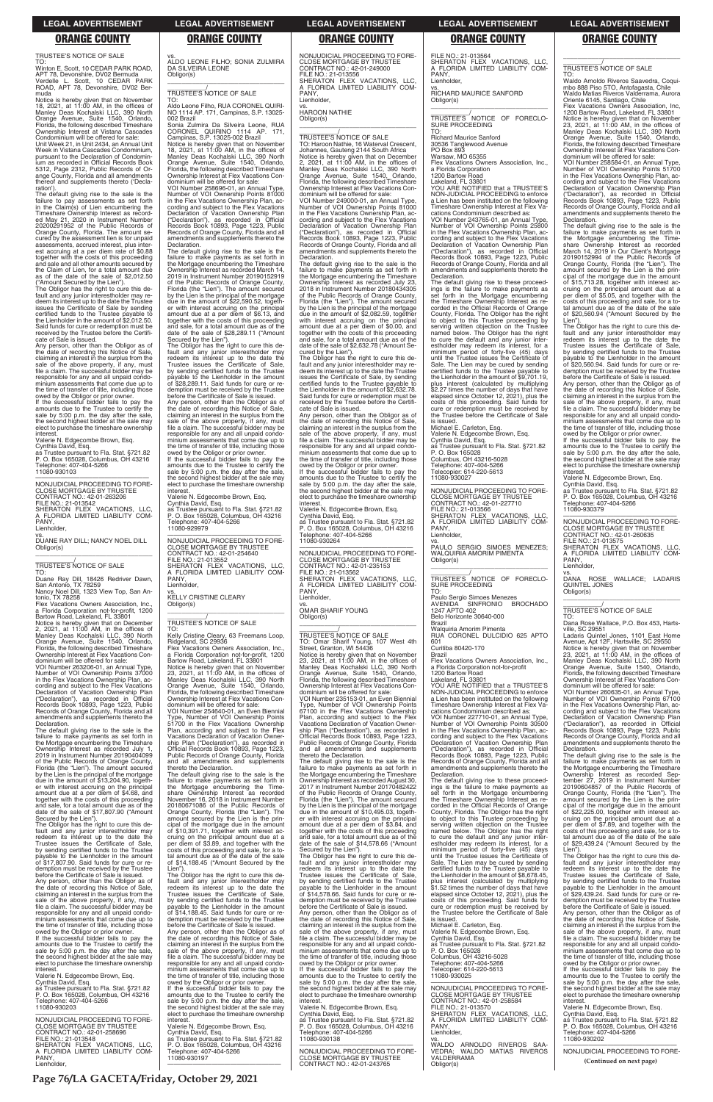TRUSTEE'S NOTICE OF SALE

TO: Winton E. Scott, 10 CEDAR PARK ROAD, APT 78, Devonshire, DV02 Bermuda Verdelle L. Scott, 10 CEDAR PARK ROAD, APT 78, Devonshire, DV02 Ber-

Unit Week 21, in Unit 2434, an Annual Unit Week in Vistana Cascades Condominium, pursuant to the Declaration of Condominium as recorded in Official Records Book 5312, Page 2312, Public Records of Or-ange County, Florida and all amendments thereof and supplements thereto ('Declaration')

muda Notice is hereby given that on November 18, 2021, at 11:00 AM, in the offices of Manley Deas Kochalski LLC, 390 North Orange Avenue, Suite 1540, Orlando, Florida, the following described Timeshare Ownership Interest at Vistana Cascades Condominium will be offered for sale:

owed by the Obligor or prior owner. If the successful bidder fails to pay the amounts due to the Trustee to certify the sale by 5:00 p.m. the day after the sale, the second highest bidder at the sale may elect to purchase the timeshare ownership interest

The default giving rise to the sale is the failure to pay assessments as set forth in the Claim(s) of Lien encumbering the Timeshare Ownership Interest as recorded May 21, 2020 in Instrument Number 20200291952 of the Public Records of Orange County, Florida. The amount secured by the assessment lien is for unpaid assessments, accrued interest, plus inter-est accruing at a per diem rate of \$0.88 together with the costs of this proceeding and sale and all other amounts secured by the Claim of Lien, for a total amount as of the date of the sale of \$2,012.50

("Amount Secured by the Lien"). The Obligor has the right to cure this default and any junior interestholder may re-deem its interest up to the date the Trustee issues the Certificate of Sale by sending certified funds to the Trustee payable to the Lienholder in the amount of \$2,012.50. Said funds for cure or redemption must be received by the Trustee before the Certificate of Sale is issued. Any person, other than the Obligor as of

Number of VOI Ownership Points 37000 in the Flex Vacations Ownership Plan, ac-cording and subject to the Flex Vacations Declaration of Vacation Ownership Plan ("Declaration"), as recorded in Official Records Book 10893, Page 1223, Public Records of Orange County, Florida and all amendments and supplements thereto the Declaration.

the date of recording this Notice of Sale, claiming an interest in the surplus from the sale of the above property, if any, must file a claim. The successful bidder may be responsible for any and all unpaid condo-minium assessments that come due up to the time of transfer of title, including those

date of the sale of \$17,807.90 ("Amount Secured by the Lien").

Valerie N. Edgecombe Brown, Esq.

Cynthia David, Esq. as Trustee pursuant to Fla. Stat. §721.82 P. O. Box 165028, Columbus, OH 43216 Telephone: 407-404-5266 11080-930103

The Obligor has the right to cure this default and any junior interestholder may redeem its interest up to the date the Trustee issues the Certificate of Sale, by sending certified funds to the Trustee payable to the Lienholder in the amount of \$17,807.90. Said funds for cure or redemption must be received by the Trustee before the Certificate of Sale is issued. Any person, other than the Obligor as of the date of recording this Notice of Sale, claiming an interest in the surplus from the sale of the above property, if any, must file a claim. The successful bidder may be responsible for any and all unpaid condominium assessments that come due up to the time of transfer of title, including those owed by the Obligor or prior owner.

If the successful bidder fails to pay the amounts due to the Trustee to certify the sale by 5:00 p.m. the day after the sale, the second highest bidder at the sale may elect to purchase the timeshare ownership

—————————————————— NONJUDICIAL PROCEEDING TO FORE-CLOSE MORTGAGE BY TRUSTEE CONTRACT NO.: 42-01-263206 FILE NO.: 21-013542 SHERATON FLEX VACATIONS, LLC, A FLORIDA LIMITED LIABILITY COM-PANY,

Lienholder,

vs. DUANE RAY DILL; NANCY NOEL DILL Obligor(s) \_\_\_\_\_\_\_\_\_\_\_\_\_\_\_\_\_\_\_\_\_\_\_\_\_\_\_\_\_\_\_\_\_

\_\_\_\_\_\_\_\_\_\_\_/ TRUSTEE'S NOTICE OF SALE

TO: Duane Ray Dill, 18426 Redriver Dawn, San Antonio, TX 78259 Nancy Noel Dill, 1323 View Top, San An-

tonio, TX 78258 Flex Vacations Owners Association, Inc., a Florida Corporation not-for-profit, 1200 Bartow Road, Lakeland, FL 33801

Sonia Zulmira Da Silveira Leone, RUA<br>CORONEL QUIRINO 1114 AP. 171. CORONEL QUIRINO 1114 AP. 171, Campinas, S.P. 13025-002 Brazil

Notice is hereby given that on November<br>18, 2021, at 11:00 AM, in the offices of<br>Manley Deas Kochalski LLC, 390 North<br>Orange Avenue, Suite 1540, Orlando,<br>Florida, the following described Timeshare<br>Ownership Interest at Fle

Notice is hereby given that on December 2, 2021, at 11:00 AM, in the offices of Manley Deas Kochalski LLC, 390 North Orange Avenue, Suite 1540, Orlando, Florida, the following described Timeshare Ownership Interest at Flex Vacations Condominium will be offered for sale: VOI Number 263206-01, an Annual Type,

The default giving rise to the sale is the failure to make payments as set forth in the Mortgage encumbering the Timeshare Ownership Interest as recorded July 1, 2019 in Instrument Number 20190404099 of the Public Records of Orange County, Florida (the "Lien"). The amount secured by the Lien is the principal of the mortgage due in the amount of \$13,204.90, together with interest accruing on the principal amount due at a per diem of \$4.68, and together with the costs of this proceeding and sale, for a total amount due as of the

PANY, Lienholder

interest. Valerie N. Edgecombe Brown, Esq. Cynthia David, Esq. as Trustee pursuant to Fla. Stat. §721.82 P. O. Box 165028, Columbus, OH 43216 Telephone: 407-404-5266 11080-930203

the date of recording this Notice of Sale,<br>claiming an interest in the surplus from the<br>sale of the above property, if any, must<br>file a claim. The successful bidder may be responsible for any and all unpaid condo-minium assessments that come due up to the time of transfer of title, including those

—————————————————— NONJUDICIAL PROCEEDING TO FORE-CLOSE MORTGAGE BY CONTRACT NO.: 42-01-258696 FILE NO.: 21-013548 SHERATON FLEX VACATIONS, LLC, A FLORIDA LIMITED LIABILITY COM-PANY, Lienholder,

vs. ALDO LEONE FILHO; SONIA ZULMIRA

DA SILVEIRA LEONE Obligor(s)

\_\_\_\_\_\_\_\_\_\_\_\_\_\_\_\_\_\_\_\_\_\_\_\_\_\_\_\_\_\_\_\_\_ \_\_\_\_\_\_\_\_\_\_\_/ TRUSTEE'S NOTICE OF SALE

TO: Aldo Leone Filho, RUA CORONEL QUIRI-NO 1114 AP. 171, Campinas, S.P. 13025-

002 Brazil

**Declaration** 

dominium will be offered for sale: VOI Number 258696-01, an Annual Type, Number of VOI Ownership Points 81000 in the Flex Vacations Ownership Plan, according and subject to the Flex Vacations Declaration of Vacation Ownership Plan ("Declaration"), as recorded in Official Records Book 10893, Page 1223, Public Records of Orange County, Florida and all amendments and supplements thereto the

The default giving rise to the sale is the failure to make payments as set forth in the Mortgage encumbering the Timeshare Ownership Interest as recorded March 14, 2019 in Instrument Number 20190152919 of the Public Records of Orange County, Florida (the "Lien"). The amount secured by the Lien is the principal of the mortgage due in the amount of \$22,590.52, togeth-er with interest accruing on the principal amount due at a per diem of \$6.13, and together with the costs of this proceeding and sale, for a total amount due as of the date of the sale of \$28,289.11 ("Amount Secured by the Lien"). The Obligor has the right to cure this default and any junior interestholder may redeem its interest up to the date the Trustee issues the Certificate of Sale, by sending certified funds to the Trustee payable to the Lienholder in the amount of \$28,289.11. Said funds for cure or redemption must be received by the Trustee before the Certificate of Sale is issued. Any person, other than the Obligor as of

the date of recording this Notice of Sale,<br>claiming an interest in the surplus from the<br>sale of the above property, if any, must<br>file a claim. The successful bidder may be

responsible for any and all unpaid condo-minium assessments that come due up to the time of transfer of title, including those owed by the Obligor or prior owner. If the successful bidder fails to pay the amounts due to the Trustee to certify the sale by 5:00 p.m. the day after the sale, the second highest bidder at the sale may elect to purchase the timeshare ownership interest. Valerie N. Edgecombe Brown, Esq. Cynthia David, Esq. as Trustee pursuant to Fla. Stat. §721.82 P. O. Box 165028, Columbus, OH 43216

Telephone: 407-404-5266 11080-929979

—————————————————— NONJUDICIAL PROCEEDING TO FORE-CLOSE MORTGAGE BY TRUSTEE CONTRACT NO.: 42-01-254640

FILE NO.: 21-013552

PANY Lienholder,

SHERATON FLEX VACATIONS, LLC, A FLORIDA LIMITED LIABILITY COM-

vs. KELLY CRISTINE CLEARY

Obligor(s)

\_\_\_\_\_\_\_\_\_\_\_\_\_\_\_\_\_\_\_\_\_\_\_\_\_\_\_\_\_\_\_\_\_ \_\_\_\_\_\_\_\_\_\_\_/ TRUSTEE'S NOTICE OF SALE

TO:

Kelly Cristine Cleary, 63 Freemans Loop, Ridgeland, SC 29936 Flex Vacations Owners Association, Inc.,

a Florida Corporation not-for-profit, 1200<br>Bartow Road, Lakeland, FL 33801<br>Notice is hereby given that on November<br>23, 2021, at 11:00 AM, in the offices of<br>Manley Deas Kochalski LLC, 390 North<br>Orange Avenue, Suite 1540, Or

Florida, the following described Timeshare Ownership Interest at Flex Vacations Con-dominium will be offered for sale: VOI Number 254640-01, an Even Biennial Type, Number of VOI Ownership Points 51700 in the Flex Vacations Ownership

Plan, according and subject to the Flex Vacations Declaration of Vacation Owner-ship Plan ("Declaration"), as recorded in Official Records Book 10893, Page 1223,

Public Records of Orange County, Florida and all amendments and supplements

thereto the Declaration.

The default giving rise to the sale is the failure to make payments as set forth in the Mortgage encumbering the Time-<br>share Ownership Interest as recorded share Ownership Interest as recorded November 16, 2018 in Instrument Number PANY Lienholder,

 $\overline{\phantom{a}}$  , and the set of the set of the set of the set of the set of the set of the set of the set of the set of the set of the set of the set of the set of the set of the set of the set of the set of the set of the s \_\_\_\_\_\_\_\_\_\_\_/ TRUSTEE'S NOTICE OF FORECLO-

20180671086 of the Public Records of Orange County, Florida (the "Lien"). The amount secured by the Lien is the principal of the mortgage due in the amount of \$10,391.71, together with interest ac-cruing on the principal amount due at a per diem of \$3.89, and together with the costs of this proceeding and sale, for a to-tal amount due as of the date of the sale of \$14,188.45 ("Amount Secured by the Lien"). The Obligor has the right to cure this de-

fault and any junior interestholder may redeem its interest up to the date the Trustee issues the Certificate of Sale, by sending certified funds to the Trustee<br>pavable to the Lienholder in the amount payable to the Lienholder in the amount of \$14,188.45. Said funds for cure or redemption must be received by the Trustee before the Certificate of Sale is issued. Any person, other than the Obligor as of

owed by the Obligor or prior owner. If the successful bidder fails to pay the amounts due to the Trustee to certify the sale by 5:00 p.m. the day after the sale, the second highest bidder at the sale may elect to purchase the timeshare ownership

interest. Valerie N. Edgecombe Brown, Esq. Cynthia David, Esq. as Trustee pursuant to Fla. Stat. §721.82 P. O. Box 165028, Columbus, OH 43216 Telephone: 407-404-5266 11080-930197 ——————————————————

NONJUDICIAL PROCEEDING TO FORE-CLOSE MORTGAGE BY TRUSTEE CONTRACT NO.: 42-01-249000 FILE NO.: 21-013556 SHERATON FLEX VACATIONS, LLC, A FLORIDA LIMITED LIABILITY COM-PANY, Lienholder,

vs. HAROON NATHIE Obligor(s)

\_\_\_\_\_\_\_\_\_\_\_\_\_\_\_\_\_\_\_\_\_\_\_\_\_\_\_\_\_\_\_\_\_

\_\_\_\_\_\_\_\_\_\_\_/ TRUSTEE'S NOTICE OF SALE TO: Haroon Nathie, 16 Waterval Crescent, Johannes, Gauteng 2144 South Africa Notice is hereby given that on December 2, 2021, at 11:00 AM, in the offices of Manley Deas Kochalski LLC, 390 North Orange Avenue, Suite 1540, Orlando, Florida, the following described Timeshare Ownership Interest at Flex Vacations Con-dominium will be offered for sale:

> owed by the Obligor or prior owner. If the successful bidder fails to pay the amounts due to the Trustee to certify the sale by 5:00 p.m. the day after the sale, the second highest bidder at the sale may elect to purchase the timeshare ownership **interest**

VOI Number 249000-01, an Annual Type, Number of VOI Ownership Points 81000 in the Flex Vacations Ownership Plan, according and subject to the Flex Vacations Declaration of Vacation Ownership Plan ("Declaration"), as recorded in Official Records Book 10893, Page 1223, Public Records of Orange County, Florida and all amendments and supplements thereto the Declaration.

> FILE NO.: 21-013575 SHERATON FLEX VACATIONS, LLC, A FLORIDA LIMITED LIABILITY COM-PANY, Lienholder

The default giving rise to the sale is the failure to make payments as set forth in the Mortgage encumbering the Timeshare Ownership Interest as recorded July 23, 2018 in Instrument Number 20180434305 of the Public Records of Orange County, Florida (the "Lien"). The amount secured by the Lien is the principal of the mortgage due in the amount of \$2,082.59, together with interest accruing on the principal amount due at a per diem of \$0.00, and together with the costs of this proceeding and sale, for a total amount due as of the date of the sale of \$2,632.78 ("Amount Secured by the Lien").

The Obligor has the right to cure this de-fault and any junior interestholder may redeem its interest up to the date the Trustee issues the Certificate of Sale, by sending certified funds to the Trustee payable to the Lienholder in the amount of \$2,632.78. Said funds for cure or redemption must be received by the Trustee before the Certificate of Sale is issued.

Any person, other than the Obligor as of the date of recording this Notice of Sale, claiming an interest in the surplus from the sale of the above property, if any, must file a claim. The successful bidder may be responsible for any and all unpaid condo-minium assessments that come due up to the time of transfer of title, including those

owed by the Obligor or prior owner. If the successful bidder fails to pay the amounts due to the Trustee to certify the sale by 5:00 p.m. the day after the sale, the second highest bidder at the sale may elect to purchase the timeshare ownership interest.

Valerie N. Edgecombe Brown, Esq. Cynthia David, Esq.

as Trustee pursuant to Fla. Stat. §721.82 P. O. Box 165028, Columbus, OH 43216 Let 1999-001<br>hone: 407-404-5266 11080-930264

—————————————————— NONJUDICIAL PROCEEDING TO FORE-CLOSE MORTGAGE BY TRUSTEE CONTRACT NO.: 42-01-235153 FILE NO.: 21-013562 SHERATON FLEX VACATIONS, LLC, FLORIDA LIMITED LIABILITY COM-A FLO<br>PANY Lienholder,

vs. OMAR SHARIF YOUNG Obligor(s)

\_\_\_\_\_\_\_\_\_\_\_/ TRUSTEE'S NOTICE OF SALE

TO: Omar Sharif Young, 107 West 4th Street, Granton, WI 54436 Notice is hereby given that on November 23, 2021, at 11:00 AM, in the offices of Manley Deas Kochalski LLC, 390 North Orange Avenue, Suite 1540, Orlando, Florida, the following described Timeshare Ownership Interest at Flex Vacations Condominium will be offered for sale:

 $\overline{\phantom{a}}$  , and the set of the set of the set of the set of the set of the set of the set of the set of the set of the set of the set of the set of the set of the set of the set of the set of the set of the set of the s

VOI Number 235153-01, an Even Biennial Type, Number of VOI Ownership Points 67100 in the Flex Vacations Ownership Plan, according and subject to the Flex Vacations Declaration of Vacation Ownership Plan ("Declaration"), as recorded in Official Records Book 10893, Page 1223, Public Records of Orange County, Florida and all amendments and supplements thereto the Declaration.

FILE NO.: 21-013564 SHERATON FLEX VACATIONS, LLC, A FLORIDA LIMITED LIABILITY COM-

vs. RICHARD MAURICE SANFORD

Obligor(s)

\_\_\_\_\_\_\_\_\_\_\_\_\_\_\_\_\_\_\_\_\_\_\_\_\_\_\_\_\_\_\_\_\_ \_\_\_\_\_\_\_\_\_\_\_/ TRUSTEE'S NOTICE OF FORECLO-

SURE PROCEEDING

TO:

Richard Maurice Sanford 30536 Tanglewood Avenue PO Box 893 Warsaw, MO 65355

Flex Vacations Owners Association, Inc.,

a Florida Corporation 1200 Bartow Road Lakeland, FL 33801

YOU ARE NOTIFIED that a TRUSTEE'S NON-JUDICIAL PROCEEDING to enforce a Lien has been instituted on the following Timeshare Ownership Interest at Flex Va-cations Condominium described as: VOI Number 243765-01, an Annual Type, Number of VOI Ownership Points 25800 in the Flex Vacations Ownership Plan, according and subject to the Flex Vacations Declaration of Vacation Ownership Plan ("Declaration"), as recorded in Official Records Book 10893, Page 1223, Public Records of Orange County, Florida and all amendments and supplements thereto the

The default giving rise to the sale is the failure to make payments as set forth in the Mortgage encumbering the Timeshare Ownership Interest as recorded August 30, 2017 in Instrument Number 20170482422 of the Public Records of Orange County, Florida (the "Lien"). The amount secured by the Lien is the principal of the mortgage  $\frac{d}{d}$  in the amount of \$10,495.03, together with interest accruing on the principal amount due at a per diem of \$3.84, and together with the costs of this proceeding and sale, for a total amount due as of the date of the sale of \$14,578.66 ("Amount Secured by the Lien"). The Obligor has the right to cure this default and any junior interestholder may redeem its interest up to the date the Trustee issues the Certificate of Sale, by sending certified funds to the Trustee payable to the Lienholder in the amount of \$14,578.66. Said funds for cure or redemption must be received by the Trustee before the Certificate of Sale is issued. Any person, other than the Obligor as of the date of recording this Notice of Sale, claiming an interest in the surplus from the sale of the above property, if any, must file a claim. The successful bidder may be responsible for any and all unpaid condo-minium assessments that come due up to the time of transfer of title, including those owed by the Obligor or prior owner. If the successful bidder fails to pay the amounts due to the Trustee to certify the sale by 5:00 p.m. the day after the sale, the second highest bidder at the sale may elect to purchase the timeshare ownership **interest** Valerie N. Edgecombe Brown, Esq. Cynthia David, Esq. as Trustee pursuant to Fla. Stat. §721.82 P. O. Box 165028, Columbus, OH 43216 Telephone: 407-404-5266 11080-930138 —————————————————— NONJUDICIAL PROCEEDING TO FORE-CLOSE MORTGAGE BY TRUSTEE CONTRACT NO.: 42-01-243765 ("Declaration"), as recorded in Official Records Book 10893, Page 1223, Public Records of Orange County, Florida and all amendments and supplements thereto the **Declaration** The default giving rise to these proceedings is the failure to make payments as set forth in the Mortgage encumbering the Timeshare Ownership Interest as recorded in the Official Records of Orange

Declaration.

The default giving rise to these proceed-ings is the failure to make payments as set forth in the Mortgage encumbering the Timeshare Ownership Interest as re-corded in the Official Records of Orange County, Florida. The Obligor has the right to object to this Trustee proceeding by serving written objection on the Trustee named below. The Obligor has the right to cure the default and any junior inter-estholder may redeem its interest, for a minimum period of forty-five (45) days until the Trustee issues the Certificate of Sale. The Lien may be cured by sending certified funds to the Trustee payable to the Lienholder in the amount of \$9,701.19, plus in the amount of  $\varphi$ , on the interest (calculated by multiplying \$2.27 times the number of days that have elapsed since October 12, 2021), plus the costs of this proceeding. Said funds for cure or redemption must be received by the Trustee before the Certificate of Sale

is issued. Michael E. Carleton, Esq.

Valerie N. Edgecombe Brown, Esq. Cynthia David, Esq. as Trustee pursuant to Fla. Stat. §721.82

P. O. Box 165028 Columbus, OH 43216-5028 Telephone: 407-404-5266 Telecopier: 614-220-5613 11080-930027

—————————————————— NONJUDICIAL PROCEEDING TO FORE-CLOSE MORTGAGE BY TRUS CONTRACT NO.: 42-01-227710 FILE NO.: 21-013566 SHERATON FLEX VACATIONS, LLC, A FLORIDA LIMITED LIABILITY COM-

vs. PAULO SERGIO SIMOES MENEZES; WALQUIRIA AMORIM PIMENTA

Obligor(s)

SURE PROCEEDING

Belo Horizonte 30640-000

TO:

Paulo Sergio Simoes Menezes AVENIDA SINFRONIO BROCHADO 1247 APTO 402

Brazil

Walquiria Amorim Pimenta

RUA CORONEL DULCIDIO 625 APTO

601

Curitiba 80420-170

Brazil

Flex Vacations Owners Association, Inc., a Florida Corporation not-for-profit

1200 Bartow Road Lakeland, FL 33801

YOU ARE NOTIFIED that a TRUSTEE'S NON-JUDICIAL PROCEEDING to enforce a Lien has been instituted on the following Timeshare Ownership Interest at Flex Vacations Condominium described as: VOI Number 227710-01, an Annual Type, Number of VOI Ownership Points 30500 in the Flex Vacations Ownership Plan, according and subject to the Flex Vacations Declaration of Vacation Ownership Plan

County, Florida. The Obligor has the right to object to this Trustee proceeding by serving written objection on the Trustee named below. The Obligor has the right to cure the default and any junior interestholder may redeem its interest, for a minimum period of forty-five (45) days until the Trustee issues the Certificate of Sale. The Lien may be cured by sending certified funds to the Trustee payable to the Lienholder in the amount of \$8,678.45, plus interest (calculated by multiplying \$1.52 times the number of days that have elapsed since October 12, 2021), plus the costs of this proceeding. Said funds for cure or redemption must be received by the Trustee before the Certificate of Sale is issued. Michael E. Carleton, Esq. Valerie N. Edgecombe Brown, Esq. Cynthia David, Esq. as Trustee pursuant to Fla. Stat. §721.82 P. O. Box 165028 Columbus, OH 43216-5028 Telephone: 407-404-5266 Telecopier: 614-220-5613 11080-930025 —————————————————— NONJUDICIAL PROCEEDING TO FORE-CLOSE MORTGAGE BY TRUSTEE CONTRACT NO.: 42-01-258584 FILE NO.: 21-013570 SHERATON FLEX VACATIONS, LLC, A FLORIDA LIMITED LIABILITY COM-PANY, Lienholder, vs. WALDO ARNOLDO RIVEROS SAA-VEDRA; WALDO MATIAS RIVEROS VALDERRAMA Obligor(s)

\_\_\_\_\_\_\_\_\_\_\_/ TRUSTEE'S NOTICE OF SALE

TO: Waldo Arnoldo Riveros Saavedra, Coquimbo 888 Piso 5TO, Antofagasta, Chile Waldo Matias Riveros Valderrama, Aurora Oriente 6145, Santiago, Chile

 $\overline{\phantom{a}}$  ,  $\overline{\phantom{a}}$  ,  $\overline{\phantom{a}}$  ,  $\overline{\phantom{a}}$  ,  $\overline{\phantom{a}}$  ,  $\overline{\phantom{a}}$  ,  $\overline{\phantom{a}}$  ,  $\overline{\phantom{a}}$  ,  $\overline{\phantom{a}}$  ,  $\overline{\phantom{a}}$  ,  $\overline{\phantom{a}}$  ,  $\overline{\phantom{a}}$  ,  $\overline{\phantom{a}}$  ,  $\overline{\phantom{a}}$  ,  $\overline{\phantom{a}}$  ,  $\overline{\phantom{a}}$ 

Flex Vacations Owners Association, Inc, 1200 Bartow Road, Lakeland, FL 33801 Notice is hereby given that on November 23, 2021, at 11:00 AM, in the offices of Manley Deas Kochalski LLC, 390 North Orange Avenue, Suite 1540, Orlando, Florida, the following described Timeshare Ownership Interest at Flex Vacations Con-dominium will be offered for sale:

VOI Number 258584-01, an Annual Type, Number of VOI Ownership Points 51700 in the Flex Vacations Ownership Plan, according and subject to the Flex Vacations Declaration of Vacation Ownership Plan ("Declaration"), as recorded in Official Records Book 10893, Page 1223, Public Records of Orange County, Florida and all amendments and supplements thereto the Declaration.

The default giving rise to the sale is the failure to make payments as set forth in the Mortgage encumbering the Time-share Ownership Interest as recorded March 14, 2019 in Our Client's Mortgage 20190152994 of the Public Records of Orange County, Florida (the "Lien"). The amount secured by the Lien is the principal of the mortgage due in the amount of \$15,713.28, together with interest ac-cruing on the principal amount due at a per diem of \$5.05, and together with the costs of this proceeding and sale, for a to-tal amount due as of the date of the sale of \$20,560.94 ("Amount Secured by the

Lien"). The Obligor has the right to cure this default and any junior interestholder may redeem its interest up to the date the Trustee issues the Certificate of Sale, by sending certified funds to the Trustee payable to the Lienholder in the amount of \$20,560.94. Said funds for cure or redemption must be received by the Trustee before the Certificate of Sale is issued.

Any person, other than the Obligor as of the date of recording this Notice of Sale,<br>claiming an interest in the surplus from the<br>sale of the above property, if any, must<br>file a claim. The successful bidder may be responsible for any and all unpaid condo-minium assessments that come due up to the time of transfer of title, including those

Valerie N. Edgecombe Brown, Esq.

Cynthia David, Esq. as Trustee pursuant to Fla. Stat. §721.82 P. O. Box 165028, Columbus, OH 43216 Telephone: 407-404-5266 11080-930379

—————————————————— NONJUDICIAL PROCEEDING TO FORE-CLOSE MORTGAGE BY TRUSTEE CONTRACT NO.: 42-01-260635

vs. DANA ROSE WALLACE; LADARIS QUINTEL JONES Obligor(s) \_\_\_\_\_\_\_\_\_\_\_\_\_\_\_\_\_\_\_\_\_\_\_\_\_\_\_\_\_\_\_\_\_

\_\_\_\_\_\_\_\_\_\_\_/ TRUSTEE'S NOTICE OF SALE

TO: Dana Rose Wallace, P.O. Box 453, Hartsville, SC 29551

Ladaris Quintel Jones, 1101 East Home Avenue, Apt 12F, Hartsville, SC 29550 Notice is hereby given that on November 23, 2021, at 11:00 AM, in the offices of Manley Deas Kochalski LLC, 390 North Orange Avenue, Suite 1540, Orlando, Florida, the following described Timeshare Ownership Interest at Flex Vacations Con-dominium will be offered for sale:

VOI Number 260635-01, an Annual Type, Number of VOI Ownership Points 67100 in the Flex Vacations Ownership Plan, according and subject to the Flex Vacations Declaration of Vacation Ownership Plan ("Declaration"), as recorded in Official Records Book 10893, Page 1223, Public Records of Orange County, Florida and all amendments and supplements thereto the Declaration.

The default giving rise to the sale is the failure to make payments as set forth in the Mortgage encumbering the Timeshare Ownership Interest as recorded Sep-tember 27, 2019 in Instrument Number 20190604857 of the Public Records of Orange County, Florida (the "Lien"). The amount secured by the Lien is the principal of the mortgage due in the amount of \$22,225.00, together with interest ac-cruing on the principal amount due at a per diem of \$7.89, and together with the costs of this proceeding and sale, for a to-tal amount due as of the date of the sale of \$29,439.24 ("Amount Secured by the Lien"). The Obligor has the right to cure this default and any junior interestholder may redeem its interest up to the date the Trustee issues the Certificate of Sale, by sending certified funds to the Trustee payable to the Lienholder in the amount of \$29,439.24. Said funds for cure or redemption must be received by the Trustee before the Certificate of Sale is issued. Any person, other than the Obligor as of the date of recording this Notice of Sale,<br>claiming an interest in the surplus from the<br>sale of the above property, if any, must<br>file a claim. The successful bidder may be responsible for any and all unpaid condo-minium assessments that come due up to the time of transfer of title, including those owed by the Obligor or prior owner. If the successful bidder fails to pay the amounts due to the Trustee to certify the sale by 5:00 p.m. the day after the sale, the second highest bidder at the sale may elect to purchase the timeshare ownership **interest** Valerie N. Edgecombe Brown, Esq. Cynthia David, Esq. as Trustee pursuant to Fla. Stat. §721.82 P. O. Box 165028, Columbus, OH 43216 Telephone: 407-404-5266 11080-930202 —————————————————— NONJUDICIAL PROCEEDING TO FORE-

**LEGAL ADVERTISEMENT LEGAL ADVERTISEMENT LEGAL ADVERTISEMENT LEGAL ADVERTISEMENT LEGAL ADVERTISEMENT**

### **ORANGE COUNTY ORANGE COUNTY ORANGE COUNTY ORANGE COUNTY ORANGE COUNTY**

**Page 76/LA GACETA/Friday, October 29, 2021**

**(Continued on next page)**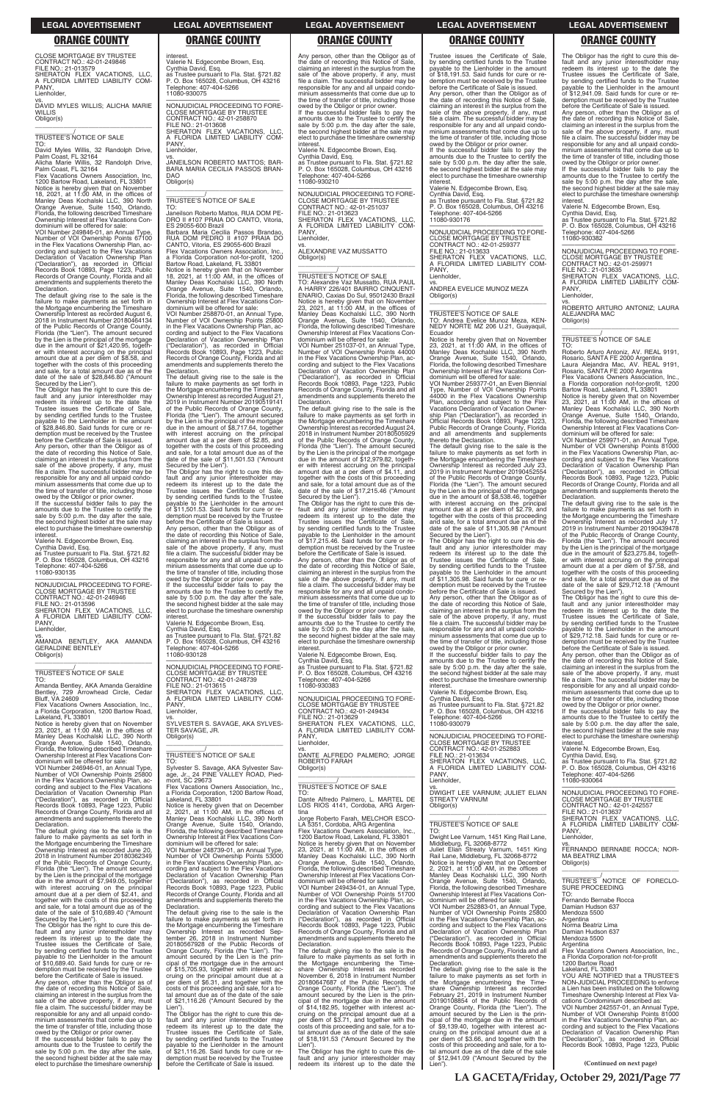CLOSE MORTGAGE BY TRUSTEE CONTRACT NO.: 42-01-249846 FILE NO.: 21-013579 SHERATON FLEX VACATIONS, LLC, A FLORIDA LIMITED LIABILITY COM-PANY,

**Lienholder** 

TO: David Myles Willis, 32 Randolph Drive,<br>Palm Coast, FL 32164<br>Alicha Marie Willis, 32 Randolph Drive,

vs. DAVID MYLES WILLIS; ALICHA MARIE **WILLIS** Obligor(s) \_\_\_\_\_\_\_\_\_\_\_\_\_\_\_\_\_\_\_\_\_\_\_\_\_\_\_\_\_\_\_\_\_

\_\_\_\_\_\_\_\_\_\_\_/ TRUSTEE'S NOTICE OF SALE

dominium will be offered for sale: VOI Number 249846-01, an Annual Type, Number of VOI Ownership Points 67100 in the Flex Vacations Ownership Plan, ac-cording and subject to the Flex Vacations Declaration of Vacation Ownership Plan ("Declaration"), as recorded in Official Records Book 10893, Page 1223, Public Records of Orange County, Florida and all amendments and supplements thereto the **Declaration.** 

Palm Coast, FL 32164 Flex Vacations Owners Association, Inc, 1200 Bartow Road, Lakeland, FL 33801 Notice is hereby given that on November<br>18, 2021, at 11:00 AM, in the offices of<br>Manley Deas Kochalski LLC, 390 North<br>Orange Avenue, Suite 1540, Orlando,<br>Florida, the following described Timeshare Ownership Interest at Flex Vacations Con-

The default giving rise to the sale is the failure to make payments as set forth in the Mortgage encumbering the Timeshare Ownership Interest as recorded August 6, 2018 in Instrument Number 20180464134 of the Public Records of Orange County, Florida (the "Lien"). The amount secured by the Lien is the principal of the mortgage due in the amount of \$21,420.95, together with interest accruing on the principal amount due at a per diem of \$8.58, and together with the costs of this proceeding and sale, for a total amount due as of the date of the sale of \$28,846.80 ("Amount Secured by the Lien").

AMANDA BENTLEY, AKA AMANDA GERALDINE BENTLEY Obligor(s)  $\overline{\phantom{a}}$  ,  $\overline{\phantom{a}}$  ,  $\overline{\phantom{a}}$  ,  $\overline{\phantom{a}}$  ,  $\overline{\phantom{a}}$  ,  $\overline{\phantom{a}}$  ,  $\overline{\phantom{a}}$  ,  $\overline{\phantom{a}}$  ,  $\overline{\phantom{a}}$  ,  $\overline{\phantom{a}}$  ,  $\overline{\phantom{a}}$  ,  $\overline{\phantom{a}}$  ,  $\overline{\phantom{a}}$  ,  $\overline{\phantom{a}}$  ,  $\overline{\phantom{a}}$  ,  $\overline{\phantom{a}}$ 

The Obligor has the right to cure this de-fault and any junior interestholder may redeem its interest up to the date the Trustee issues the Certificate of Sale, by sending certified funds to the Trustee payable to the Lienholder in the amount of \$28,846.80. Said funds for cure or redemption must be received by the Trustee before the Certificate of Sale is issued.

Any person, other than the Obligor as of the date of recording this Notice of Sale, claiming an interest in the surplus from the sale of the above property, if any, must file a claim. The successful bidder may be responsible for any and all unpaid condominium assessments that come due up to the time of transfer of title, including those owed by the Obligor or prior owner.

If the successful bidder fails to pay the amounts due to the Trustee to certify the sale by 5:00 p.m. the day after the sale, the second highest bidder at the sale may elect to purchase the timeshare ownership interest.

Valerie N. Edgecombe Brown, Esq. Cynthia David, Esq. as Trustee pursuant to Fla. Stat. §721.82 P. O. Box 165028, Columbus, OH 43216 Telephone: 407-404-5266 11080-930135

—————————————————— NONJUDICIAL PROCEEDING TO FORE-CLOSE MORTGAGE BY TRUSTEE CONTRACT NO.: 42-01-246946 FILE NO.: 21-013596 SHERATON FLEX VACATIONS, LLC, A FLORIDA LIMITED LIABILITY COM-PANY Lienholder,

vs.

\_\_\_\_\_\_\_\_\_\_\_/ TRUSTEE'S NOTICE OF SALE

TO: Amanda Bentley, AKA Amanda Geraldine Bentley, 729 Arrowhead Circle, Cedar Bluff, VA 24609

Flex Vacations Owners Association, Inc.

a Florida Corporation, 1200 Bartow Road, Lakeland, FL 33801 Notice is hereby given that on November 23, 2021, at 11:00 AM, in the offices of Manley Deas Kochalski LLC, 390 North Orange Avenue, Suite 1540, Orlando, Florida, the following described Timeshare Ownership Interest at Flex Vacations Con-dominium will be offered for sale:

VOI Number 246946-01, an Annual Type, Number of VOI Ownership Points 25800 in the Flex Vacations Ownership Plan, according and subject to the Flex Vacations Declaration of Vacation Ownership Plan ("Declaration"), as recorded in Official Records Book 10893, Page 1223, Public Records of Orange County, Florida and all

amendments and supplements thereto the Declaration.

The default giving rise to the sale is the failure to make payments as set forth in the Mortgage encumbering the Timeshare Ownership Interest as recorded June 20, 2018 in Instrument Number 20180362349 of the Public Records of Orange County, Florida (the "Lien"). The amount secured by the Lien is the principal of the mortgage due in the amount of \$7,949.05, together with interest accruing on the principal amount due at a per diem of \$2.41, and together with the costs of this proceeding and sale, for a total amount due as of the date of the sale of \$10,689.40 ("Amount

SHERATON FLEX VACATIONS, LLC,<br>A FLORIDA LIMITED LIABILITY COM-<br>PANY, Lienholder,

Flex Vacations Owners Association, Inc. a Florida Corporation, 1200 Bartow Road, Lakeland, FL 33801

VOI Number 248739-01, an Annual Type, Number of VOI Ownership Points 53000 in the Flex Vacations Ownership Plan, according and subject to the Flex Vacations Declaration of Vacation Ownership Plan ("Declaration"), as recorded in Official Records Book 10893, Page 1223, Public Records of Orange County, Florida and all amendments and supplements thereto the **Declaration** 

Secured by the Lien"). The Obligor has the right to cure this de-fault and any junior interestholder may redeem its interest up to the date the Trustee issues the Certificate of Sale, by sending certified funds to the Trustee payable to the Lienholder in the amount of \$10,689.40. Said funds for cure or re-demption must be received by the Trustee before the Certificate of Sale is issued. Any person, other than the Obligor as of the date of recording this Notice of Sale, claiming an interest in the surplus from the

sale of the above property, if any, must file a claim. The successful bidder may be responsible for any and all unpaid condominium assessments that come due up to the time of transfer of title, including those

owed by the Obligor or prior owner. If the successful bidder fails to pay the amounts due to the Trustee to certify the sale by 5:00 p.m. the day after the sale, the second highest bidder at the sale may elect to purchase the timeshare ownership interest. Valerie N. Edgecombe Brown, Esq. Cynthia David, Esq. as Trustee pursuant to Fla. Stat. §721.82 P. O. Box 165028, Columbus, OH 43216 Telephone: 407-404-5266 11080-930075

> —————————————————— NONJUDICIAL PROCEEDING TO FORE-CLOSE MORTGAGE BY TRUSTEE CONTRACT NO.: 42-01-251037 FILE NO.: 21-013623 SHERATON FLEX VACATIONS, LLC, **FLORIDA LIMITED LIABILITY COM-**PANY

—————————————————— NONJUDICIAL PROCEEDING TO FORE-CLOSE MORTGAGE BY TRUSTEE CONTRACT NO.: 42-01-258870 FILE NO.: 21-013608 SHERATON FLEX VACATIONS, LLC, A FLORIDA LIMITED LIABILITY COM-PANY,

### vs. ALEXANDRE VAZ MUSSATTO Obligor(s)  $\overline{\phantom{a}}$  , and the set of the set of the set of the set of the set of the set of the set of the set of the set of the set of the set of the set of the set of the set of the set of the set of the set of the set of the s

Lienholder, vs. JANEILSON ROBERTO MATTOS; BAR-BARA MARIA CECILIA PASSOS BRAN-DAO Obligor(s)

\_\_\_\_\_\_\_\_\_\_\_\_\_\_\_\_\_\_\_\_\_\_\_\_\_\_\_\_\_\_\_\_\_

\_\_\_\_\_\_\_\_\_\_\_/ TRUSTEE'S NOTICE OF SALE

TO: Janeilson Roberto Mattos, RUA DOM PE-DRO II #107 PRAIA DO CANTO, Vitoria, ES 29055-600 Brazil Barbara Maria Cecilia Passos Brandao, RUA DOM PEDRO II #107 PRAIA DO

> Number of VOI Ownership Points 44000 in the Flex Vacations Ownership Plan, ac-cording and subject to the Flex Vacations Declaration of Vacation Ownership Plan<br>
> "Declaration") as recorded in Official ("Declaration"), as recorded in Official Records Book 10893, Page 1223, Public Records of Orange County, Florida and all amendments and supplements thereto the Declaration.

CANTO, Vitoria, ES 29055-600 Brazil Flex Vacations Owners Association, Inc., a Florida Corporation not-for-profit, 1200

Bartow Road, Lakeland, FL 33801 Notice is hereby given that on November 18, 2021, at 11:00 AM, in the offices of Manley Deas Kochalski LLC, 390 North Orange Avenue, Suite 1540, Orlando, Florida, the following described Timeshare Ownership Interest at Flex Vacations Con-dominium will be offered for sale:

VOI Number 258870-01, an Annual Type, Number of VOI Ownership Points 25800 in the Flex Vacations Ownership Plan, according and subject to the Flex Vacations Declaration of Vacation Ownership Plan ("Declaration"), as recorded in Official Records Book 10893, Page 1223, Public Records of Orange County, Florida and all amendments and supplements thereto the Declaration.

The default giving rise to the sale is the failure to make payments as set forth in the Mortgage encumbering the Timeshare Ownership Interest as recorded August 21, 2019 in Instrument Number 20190519141 of the Public Records of Orange County, Florida (the "Lien"). The amount secured by the Lien is the principal of the mortgage due in the amount of \$8,717.64, together with interest accruing on the principal amount due at a per diem of \$2.85, and together with the costs of this proceeding<br>and sale for a total amount due as of the and sale, for a total amount due as of the date of the sale of \$11,501.53 ("Amount

> $\overline{\phantom{a}}$  , and the set of the set of the set of the set of the set of the set of the set of the set of the set of the set of the set of the set of the set of the set of the set of the set of the set of the set of the s \_\_\_\_\_\_\_\_\_\_\_/ TRUSTEE'S NOTICE OF SALE

TO: Dante Alfredo Palmero, L. MARTEL DE LOS RIOS 4141, Cordoba, ARG Arger

cruing on the principal amount due at a per diem of \$3.71, and together with the costs of this proceeding and sale, for a total amount due as of the date of the sale of \$18,191.53 ("Amount Secured by th

Secured by the Lien"). The Obligor has the right to cure this de-fault and any junior interestholder may redeem its interest up to the date the Trustee issues the Certificate of Sale, by sending certified funds to the Trustee payable to the Lienholder in the amount of \$11,501.53. Said funds for cure or re-demption must be received by the Trustee before the Certificate of Sale is issued. Any person, other than the Obligor as of the date of recording this Notice of Sale, claiming an interest in the surplus from the sale of the above property, if any, must file a claim. The successful bidder may be responsible for any and all unpaid condominium assessments that come due up to the time of transfer of title, including those owed by the Obligor or prior owner. If the successful bidder fails to pay the amounts due to the Trustee to certify the

sale by 5:00 p.m. the day after the sale, the second highest bidder at the sale may elect to purchase the timeshare ownership interest.

Valerie N. Edgecombe Brown, Esq. Cynthia David, Esq. as Trustee pursuant to Fla. Stat. §721.82 P. O. Box 165028, Columbus, OH 43216 Telephone: 407-404-5266 11080-930128

SHERATON FLEX VACATIONS, LLC, FLORIDA LIMITED LIABILITY COM-A FLC<br>PANY, Lienholder,

vs. ANDREA EVELICE MUNOZ MEZA Obligor(s)  $\overline{\phantom{a}}$  , and the set of the set of the set of the set of the set of the set of the set of the set of the set of the set of the set of the set of the set of the set of the set of the set of the set of the set of the s

—————————————————— NONJUDICIAL PROCEEDING TO FORE-CLOSE MORTGAGE BY TRUSTEE CONTRACT NO.: 42-01-248739 FILE NO.: 21-013615

Notice is hereby given that on November<br>23, 2021, at 11:00 AM, in the offices of<br>Manley Deas Kochalski LLC, 390 North<br>Orange Avenue, Suite 1540, Orlando,<br>Florida, the following described Timeshare Ownership Interest at Flex Vacations Con-

vs. SYLVESTER S. SAVAGE, AKA SYLVES-TER SAVAGE, JR. Obligor(s) \_\_\_\_\_\_\_\_\_\_\_\_\_\_\_\_\_\_\_\_\_\_\_\_\_\_\_\_\_\_\_\_\_

\_\_\_\_\_\_\_\_\_\_\_/ TRUSTEE'S NOTICE OF SALE

TO: Sylvester S. Savage, AKA Sylvester Sav-age, Jr., 24 PINE VALLEY ROAD, Pied-mont, SC 29673

Notice is hereby given that on December 2, 2021, at 11:00 AM, in the offices of Manley Deas Kochalski LLC, 390 North Orange Avenue, Suite 1540, Orlando, Florida, the following described Timeshare Ownership Interest at Flex Vacations Condominium will be offered for sale:

The default giving rise to the sale is the failure to make payments as set forth in the Mortgage encumbering the Timeshare Ownership Interest as recorded Sep-tember 26, 2018 in Instrument Number 20180567928 of the Public Records of Orange County, Florida (the "Lien"). The amount secured by the Lien is the principal of the mortgage due in the amount of \$15,705.93, together with interest accruing on the principal amount due at a per diem of \$6.31, and together with the costs of this proceeding and sale, for a total amount due as of the date of the sale of \$21,116.26 ("Amount Secured by the

Lien"). The Obligor has the right to cure this default and any junior interestholder may redeem its interest up to the date the Trustee issues the Certificate of Sale, by sending certified funds to the Trustee payable to the Lienholder in the amount of \$21,116.26. Said funds for cure or redemption must be received by the Trustee before the Certificate of Sale is issued.

Any person, other than the Obligor as of the date of recording this Notice of Sale, claiming an interest in the surplus from the sale of the above property, if any, must file a claim. The successful bidder may be responsible for any and all unpaid condo-minium assessments that come due up to the time of transfer of title, including those owed by the Obligor or prior owner. If the successful bidder fails to pay the amounts due to the Trustee to certify the sale by 5:00 p.m. the day after the sale. the second highest bidder at the sale may elect to purchase the timeshare ownership

interest. Valerie N. Edgecombe Brown, Esq. Cynthia David, Esq.

> CONTRACT NO.: 42-01-259971 FILE NO.: 21-013635 SHERATON FLEX VACATIONS, LLC, A FLORIDA LIMITED LIABILITY COM-PANY

as Trustee pursuant to Fla. Stat. §721.82 P. O. Box 165028, Columbus, OH 43216 Telephone: 407-404-5266 11080-930210

Lienholder,

Notice is hereby given that on November<br>23, 2021, at 11:00 AM, in the offices of<br>Manley Deas Kochalski LLC, 390 North<br>Orange Avenue, Suite 1540, Orlando,<br>Florida, the following described Timeshare Ownership Interest at Flex Vacations Condominium will be offered for sale: VOI Number 259971-01, an Annual Type,

\_\_\_\_\_\_\_\_\_\_\_/ TRUSTEE'S NOTICE OF SALE TO: Alexandre Vaz Mussatto, RUA PAUL A HARRY 226/401 BAIRRO CINQUENT-ENARIO, Caxias Do Sul, 95012430 Brazil Notice is hereby given that on November 23, 2021, at 11:00 AM, in the offices of Manley Deas Kochalski LLC, 390 North Orange Avenue, Suite 1540, Orlando, Florida, the following described Timeshare Ownership Interest at Flex Vacations Condominium will be offered for sale: VOI Number 251037-01, an Annual Type,

The default giving rise to the sale is the failure to make payments as set forth in the Mortgage encumbering the Timeshare Ownership Interest as recorded August 24, 2018 in Instrument Number 20180505929 of the Public Records of Orange County, Florida (the "Lien"). The amount secured by the Lien is the principal of the mortgage due in the amount of \$12,979.82, together with interest accruing on the principal amount due at a per diem of \$4.11, and together with the costs of this proceeding and sale, for a total amount due as of the date of the sale of \$17,215.46 ("Amount Secured by the Lien").

The Obligor has the right to cure this de-fault and any junior interestholder may redeem its interest up to the date the Trustee issues the Certificate of Sale, by sending certified funds to the Trustee payable to the Lienholder in the amount of \$17,215.46. Said funds for cure or redemption must be received by the Trustee before the Certificate of Sale is issued.

Any person, other than the Obligor as of the date of recording this Notice of Sale, claiming an interest in the surplus from the sale of the above property, if any, must file a claim. The successful bidder may be responsible for any and all unpaid condominium assessments that come due up to the time of transfer of title, including those owed by the Obligor or prior owner. If the successful bidder fails to pay the

amounts due to the Trustee to certify the sale by 5:00 p.m. the day after the sale, the second highest bidder at the sale may elect to purchase the timeshare ownership interest.

Valerie N. Edgecombe Brown, Esq. Cynthia David, Esq. as Trustee pursuant to Fla. Stat. §721.82 P. O. Box 165028, Columbus, OH 43216 phone: 407-404-5266 11080-930383

—————————————————— NONJUDICIAL PROCEEDING TO FORE-CLOSE MORTGAGE BY TRUSTEE CONTRACT NO.: 42-01-249434 FILE NO.: 21-013629 SHERATON FLEX VACATIONS, LLC, A FLORIDA LIMITED LIABILITY COM-PANY, Lienholder,

vs. DANTE ALFREDO PALMERO; JORGE OBERTO FARAH Obligor(s)

tina Jorge Roberto Farah, MELCHOR ESCO LA 5351, Cordoba, ARG Argentina Flex Vacations Owners Association, Inc., 1200 Bartow Road, Lakeland, FL 33801 Notice is hereby given that on November 23, 2021, at 11:00 AM, in the offices of Manley Deas Kochalski LLC, 390 North Orange Avenue, Suite 1540, Orlando, Florida, the following described Timeshare Ownership Interest at Flex Vacations Condominium will be offered for sale: VOI Number 249434-01, an Annual Type, Number of VOI Ownership Points 51700 in the Flex Vacations Ownership Plan, and cording and subject to the Flex Vacation cording and subject to the Flex Vacations Declaration of Vacation Ownership Plan ("Declaration"), as recorded in Official Records Book 10893, Page 1223, Public Records of Orange County, Florida and all amendments and supplements thereto the **Declaration** The default giving rise to the sale is the failure to make payments as set forth in the Mortgage encumbering the Time-share Ownership Interest as recorded November 6, 2018 in Instrument Number 20180647687 of the Public Records of Orange County, Florida (the "Lien"). The amount secured by the Lien is the principal of the mortgage due in the amount of \$14,182.95, together with interest ac-

Lien"). The Obligor has the right to cure this de-fault and any junior interestholder may redeem its interest up to the date the

Trustee issues the Certificate of Sale, by sending certified funds to the Trustee payable to the Lienholder in the amount of \$18,191.53. Said funds for cure or redemption must be received by the Trustee before the Certificate of Sale is issued.

Any person, other than the Obligor as of the date of recording this Notice of Sale, claiming an interest in the surplus from the sale of the above property, if any, must file a claim. The successful bidder may be responsible for any and all unpaid condo-minium assessments that come due up to the time of transfer of title, including those

owed by the Obligor or prior owner. If the successful bidder fails to pay the amounts due to the Trustee to certify the sale by 5:00 p.m. the day after the sale, the second highest bidder at the sale may elect to purchase the timeshare ownership interest.

Valerie N. Edgecombe Brown, Esq. Cynthia David, Esq. as Trustee pursuant to Fla. Stat. §721.82 P. O. Box 165028, Columbus, OH 43216 Telephone: 407-404-5266 11080-930176

—————————————————— NONJUDICIAL PROCEEDING TO FORE-CLOSE MORTGAGE BY TRUSTEE CONTRACT NO.: 42-01-259377 FILE NO.: 21-013633

\_\_\_\_\_\_\_\_\_\_\_/ TRUSTEE'S NOTICE OF SALE

TO: Andrea Evelice Munoz Meza, KEN-NEDY NORTE MZ 206 U.21, Guayaquil, Ecuador

dominium will be offered for sale: VOI Number 259377-01, an Even Biennial Type, Number of VOI Ownership Points 44000 in the Flex Vacations Ownership Plan, according and subject to the Flex Vacations Declaration of Vacation Ownership Plan ("Declaration"), as recorded in Official Records Book 10893, Page 1223, Public Records of Orange County, Florida and all amendments and supplements thereto the Declaration.

The default giving rise to the sale is the failure to make payments as set forth in the Mortgage encumbering the Timeshare Ownership Interest as recorded July 23, 2019 in Instrument Number 20190452554 of the Public Records of Orange County, Florida (the "Lien"). The amount secured by the Lien is the principal of the mortgage due in the amount of \$8,538.46, together with interest accruing on the principal amount due at a per diem of \$2.79, and together with the costs of this proceeding and sale, for a total amount due as of the date of the sale of \$11,305.98 ("Amount Secured by the Lien").

The Obligor has the right to cure this de-fault and any junior interestholder may redeem its interest up to the date the Trustee issues the Certificate of Sale, by sending certified funds to the Trustee payable to the Lienholder in the amount of \$11,305.98. Said funds for cure or redemption must be received by the Trustee before the Certificate of Sale is issued.

Any person, other than the Obligor as of the date of recording this Notice of Sale, claiming an interest in the surplus from the sale of the above property, if any, must file a claim. The successful bidder may be responsible for any and all unpaid condominium assessments that come due up to the time of transfer of title, including those owed by the Obligor or prior owner.

If the successful bidder fails to pay the amounts due to the Trustee to certify the sale by 5:00 p.m. the day after the sale, the second highest bidder at the sale may elect to purchase the timeshare ownership interest.

Valerie N. Edgecombe Brown, Esq. Cynthia David, Esq. as Trustee pursuant to Fla. Stat. §721.82

P. O. Box 165028, Columbus, OH 43216 Telephone: 407-404-5266 11080-930079

—————————————————— NONJUDICIAL PROCEEDING TO FORE-CLOSE MORTGAGE BY TRUSTEE CONTRACT NO.: 42-01-252883

FILE NO.: 21-013634 SHERATON FLEX VACATIONS, LLC, A FLORIDA LIMITED LIABILITY COM-PANY Lienholder,

The Obligor has the right to cure this de-fault and any junior interestholder may redeem its interest up to the date the Trustee issues the Certificate of Sale, by sending certified funds to the Trustee payable to the Lienholder in the amount of \$12,941.09. Said funds for cure or re-demption must be received by the Trustee before the Certificate of Sale is issued.

Any person, other than the Obligor as of the date of recording this Notice of Sale, claiming an interest in the surplus from the sale of the above property, if any, must file a claim. The successful bidder may be responsible for any and all unpaid condominium assessments that come due up to the time of transfer of title, including those

owed by the Obligor or prior owner. If the successful bidder fails to pay the amounts due to the Trustee to certify the sale by 5:00 p.m. the day after the sale the second highest bidder at the sale may elect to purchase the timeshare ownership interest.

Valerie N. Edgecombe Brown, Esq. Cynthia David, Esq. as Trustee pursuant to Fla. Stat. §721.82 P. O. Box 165028, Columbus, OH 43216 Telephone: 407-404-5266 11080-930382

—————————————————— NONJUDICIAL PROCEEDING TO FORE-CLOSE MORTGAGE BY TRUSTEE

Lienholder,

**Declaration.** 

vs. ROBERTO ARTURO ANTONIZ; LAURA ALEJANDRA MAC Obligor(s) \_\_\_\_\_\_\_\_\_\_\_\_\_\_\_\_\_\_\_\_\_\_\_\_\_\_\_\_\_\_\_\_\_

\_\_\_\_\_\_\_\_\_\_\_/ TRUSTEE'S NOTICE OF SALE

TO: Roberto Arturo Antoniz, AV. REAL 9191, Rosario, SANTA FE 2000 Argentina Laura Alejandra Mac, AV. REAL 9191, Rosario, SANTA FE 2000 Argentina

Flex Vacations Owners Association, Inc., a Florida corporation not-for-profit, 1200 Bartow Road, Lakeland, FL 33801

| E<br>ì-  | VS.<br>DWIGHT LEE VARNUM; JULIET ELIAN<br><b>STREATY VARNUM</b><br>Obligor(s)        | NONJUDICIAL PROCEEDING TO FORE-<br><b>CLOSE MORTGAGE BY TRUSTEE</b><br>CONTRACT NO.: 42-01-242557<br>FILE NO.: 21-013637 |
|----------|--------------------------------------------------------------------------------------|--------------------------------------------------------------------------------------------------------------------------|
| )-       | <b>TRUSTEE'S NOTICE OF SALE</b><br>TO:                                               | SHERATON FLEX VACATIONS. LLC.<br>A FLORIDA LIMITED LIABILITY COM-<br>PANY.                                               |
| ٠,       | Dwight Lee Varnum, 1451 King Rail Lane,                                              | Lienholder.                                                                                                              |
| ۶r<br>эf | Middleburg, FL 32068-8772<br>Juliet Elian Streaty Varnum, 1451 King                  | VS.<br>FERNANDO BERNABE ROCCA: NOR-                                                                                      |
| h        | Rail Lane, Middleburg, FL 32068-8772                                                 | <b>MA BEATRIZ LIMA</b>                                                                                                   |
| ),<br>e  | Notice is hereby given that on December<br>2, 2021, at 11:00 AM, in the offices of   | Obligor(s)                                                                                                               |
| ì-       | Manley Deas Kochalski LLC, 390 North                                                 |                                                                                                                          |
|          | Orange Avenue, Suite 1540, Orlando,<br>Florida, the following described Timeshare    | TRUSTEE'S NOTICE OF FORECLO-<br><b>SURE PROCEEDING</b>                                                                   |
| €,<br>0  | Ownership Interest at Flex Vacations Con-                                            | TO:                                                                                                                      |
| þ.       | dominium will be offered for sale:                                                   | Fernando Bernabe Rocca                                                                                                   |
| S        | VOI Number 252883-01, an Annual Type,                                                | Damian Hudson 637                                                                                                        |
| n<br>al  | Number of VOI Ownership Points 25800<br>in the Flex Vacations Ownership Plan, ac-    | Mendoza 5500<br>Argentina                                                                                                |
| C        | cording and subject to the Flex Vacations                                            | Norma Beatriz Lima                                                                                                       |
| Ш        | Declaration of Vacation Ownership Plan                                               | Damian Hudson 637                                                                                                        |
| e        | ("Declaration"), as recorded in Official                                             | Mendoza 5500                                                                                                             |
| e        | Records Book 10893, Page 1223, Public<br>Records of Orange County, Florida and all   | Argentina<br>Flex Vacations Owners Association, Inc.,                                                                    |
| n        | amendments and supplements thereto the                                               | a Florida Corporation not-for-profit                                                                                     |
| ŗ-       | Declaration.                                                                         | 1200 Bartow Road                                                                                                         |
| d        | The default giving rise to the sale is the                                           | Lakeland. FL 33801                                                                                                       |
| ۶r<br>эf | failure to make payments as set forth in<br>the Mortgage encumbering the Time-       | YOU ARE NOTIFIED that a TRUSTEE'S<br>NON-JUDICIAL PROCEEDING to enforce                                                  |
| е        | share Ownership Interest as recorded                                                 | a Lien has been instituted on the following                                                                              |
| ì-       | February 21, 2019 in Instrument Number                                               | Timeshare Ownership Interest at Flex Va-                                                                                 |
| ١t       | 20190108854 of the Public Records of                                                 | cations Condominium described as:                                                                                        |
| y.       | Orange County, Florida (the "Lien"). The                                             | VOI Number 242557-01, an Annual Type,                                                                                    |
| а        | amount secured by the Lien is the prin-                                              | Number of VOI Ownership Points 81000<br>in the Flex Vacations Ownership Plan, ac-                                        |
| e<br>)-  | cipal of the mortgage due in the amount<br>of \$9,139.40, together with interest ac- | cording and subject to the Flex Vacations                                                                                |
| е        | cruing on the principal amount due at a                                              | Declaration of Vacation Ownership Plan                                                                                   |
| e        | per diem of \$3.66, and together with the                                            | ("Declaration"), as recorded in Official                                                                                 |
|          | costs of this proceeding and sale, for a to-                                         | Records Book 10893, Page 1223, Public                                                                                    |
| ÷        | tal amount due as of the date of the sale                                            |                                                                                                                          |
| у        | of \$12,941.09 ("Amount Secured by the                                               | (Continued on next page)                                                                                                 |
| e        | Lien").                                                                              |                                                                                                                          |

Number of VOI Ownership Points 81000 in the Flex Vacations Ownership Plan, ac-cording and subject to the Flex Vacations Declaration of Vacation Ownership Plan ("Declaration"), as recorded in Official Records Book 10893, Page 1223, Public Records of Orange County, Florida and all amendments and supplements thereto the

The default giving rise to the sale is the failure to make payments as set forth in the Mortgage encumbering the Timeshare Ownership Interest as recorded July 17, 2019 in Instrument Number 20190439478 of the Public Records of Orange County, Florida (the "Lien"). The amount secured by the Lien is the principal of the mortgage due in the amount of \$23,275.84, togeth-

er with interest accruing on the principal amount due at a per diem of \$7.58, and together with the costs of this proceeding and sale, for a total amount due as of the date of the sale of \$29,712.18 ("Amount Secured by the Lien"). The Obligor has the right to cure this de-fault and any junior interestholder may redeem its interest up to the date the Trustee issues the Certificate of Sale, by sending certified funds to the Trustee payable to the Lienholder in the amount of \$29,712.18. Said funds for cure or redemption must be received by the Trustee before the Certificate of Sale is issued. Any person, other than the Obligor as of the date of recording this Notice of Sale, claiming an interest in the surplus from the

sale of the above property, if any, must file a claim. The successful bidder may be responsible for any and all unpaid condominium assessments that come due up to the time of transfer of title, including those owed by the Obligor or prior owner. If the successful bidder fails to pay the amounts due to the Trustee to certify the sale by 5:00 p.m. the day after the sale, the second highest bidder at the sale may elect to purchase the timeshare ownership interest. Valerie N. Edgecombe Brown, Esq. Cynthia David, Esq. as Trustee pursuant to Fla. Stat. §721.82 P. O. Box 165028, Columbus, OH 43216

Telephone: 407-404-5266 11080-930064

# **LEGAL ADVERTISEMENT LEGAL ADVERTISEMENT LEGAL ADVERTISEMENT LEGAL ADVERTISEMENT LEGAL ADVERTISEMENT**

**ORANGE COUNTY ORANGE COUNTY ORANGE COUNTY ORANGE COUNTY ORANGE COUNTY**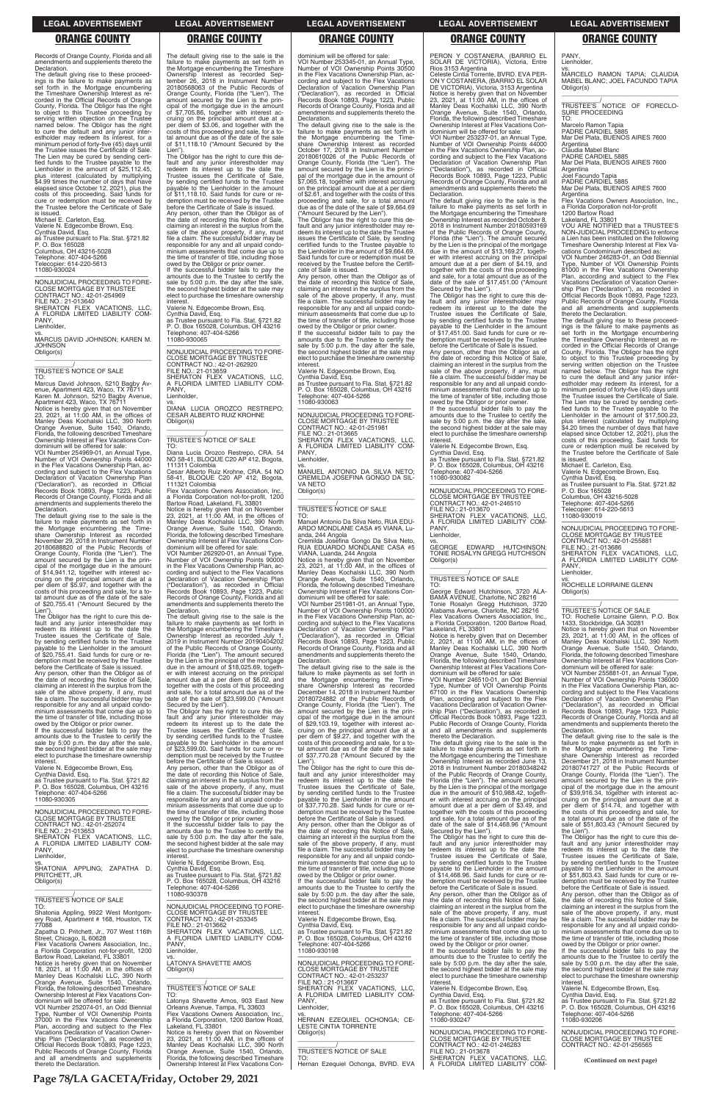Records of Orange County, Florida and all amendments and supplements thereto the Declaration.

The default giving rise to these proceed-ings is the failure to make payments as set forth in the Mortgage encumbering the Timeshare Ownership Interest as re-corded in the Official Records of Orange County, Florida. The Obligor has the right to object to this Trustee proceeding by serving written objection on the Trustee named below. The Obligor has the right to cure the default and any junior inter-estholder may redeem its interest, for a minimum period of forty-five (45) days until the Trustee issues the Certificate of Sale. The Lien may be cured by sending certified funds to the Trustee payable to the Lienholder in the amount of \$25,112.45, plus interest (calculated by multiplying \$4.99 times the number of days that have elapsed since October 12, 2021), plus the costs of this proceeding. Said funds for cure or redemption must be received by the Trustee before the Certificate of Sale is issued.

vs. MARCUS DAVID JOHNSON; KAREN M. JOHNSON Obligor(s)  $\overline{\phantom{a}}$  , and the set of the set of the set of the set of the set of the set of the set of the set of the set of the set of the set of the set of the set of the set of the set of the set of the set of the set of the s

VOI Number 254969-01, an Annual Type, Number of VOI Ownership Points 44000 in the Flex Vacations Ownership Plan, according and subject to the Flex Vacations Declaration of Vacation Ownership Plan ("Declaration"), as recorded in Official Records Book 10893, Page 1223, Public Records of Orange County, Florida and all amendments and supplements thereto the **Declaration** 

Michael E. Carleton, Esq. Valerie N. Edgecombe Brown, Esq. Cynthia David, Esq. as Trustee pursuant to Fla. Stat. §721.82 P. O. Box 165028 Columbus, OH 43216-5028 Telephone: 407-404-5266 Telecopier: 614-220-5613 11080-930024

—————————————————— NONJUDICIAL PROCEEDING TO FORE-CLOSE MORTGAGE BY TRUSTEE CONTRACT NO.: 42-01-254969 FILE NO.: 21-013640 SHERATON FLEX VACATIONS, LLC, A FLORIDA LIMITED LIABILITY COM-PANY Lienholder,

# \_\_\_\_\_\_\_\_\_\_\_/ TRUSTEE'S NOTICE OF SALE

TO: Marcus David Johnson, 5210 Bagby Avenue, Apartment 423, Waco, TX 76711 Karen M. Johnson, 5210 Bagby Avenue, Apartment 423, Waco, TX 76711 Notice is hereby given that on November 23, 2021, at 11:00 AM, in the offices of Manley Deas Kochalski LLC, 390 North Orange Avenue, Suite 1540, Orlando, Florida, the following described Timeshare Ownership Interest at Flex Vacations Condominium will be offered for sale:

The default giving rise to the sale is the failure to make payments as set forth in the Mortgage encumbering the Time-share Ownership Interest as recorded November 29, 2018 in Instrument Number 20180688820 of the Public Records of Orange County, Florida (the "Lien"). The amount secured by the Lien is the principal of the mortgage due in the amount of \$14,941.12, together with interest accruing on the principal amount due at a per diem of \$5.97, and together with the costs of this proceeding and sale, for a total amount due as of the date of the sale of \$20,755.41 ("Amount Secured by the

Lien"). The Obligor has the right to cure this de-fault and any junior interestholder may redeem its interest up to the date the Trustee issues the Certificate of Sale, by sending certified funds to the Trustee payable to the Lienholder in the amount of \$20,755.41. Said funds for cure or redemption must be received by the Trustee before the Certificate of Sale is issued.

owed by the Obligor or prior owner. If the successful bidder fails to pay the amounts due to the Trustee to certify the sale by 5:00 p.m. the day after the sale, the second highest bidder at the sale may elect to purchase the timeshare ownership **interest** 

Any person, other than the Obligor as of the date of recording this Notice of Sale, claiming an interest in the surplus from the sale of the above property, if any, must file a claim. The successful bidder may be responsible for any and all unpaid condominium assessments that come due up to the time of transfer of title, including those owed by the Obligor or prior owner.

—————————————————— NONJUDICIAL PROCEEDING TO FORE-CLOSE MORTGAGE BY TRUSTEE CONTRACT NO.: 42-01-262920 FILE NO.: 21-013659 SHERATON FLEX VACATIONS, LLC, A FLORIDA LIMITED LIABILITY COM-PANY, **Lienholder** 

If the successful bidder fails to pay the amounts due to the Trustee to certify the sale by 5:00 p.m. the day after the sale, the second highest bidder at the sale may elect to purchase the timeshare ownership interest.

Flex Vacations Owners Association, Inc., a Florida Corporation not-for-profit, 1200 Bartow Road, Lakeland, FL 33801 Notice is hereby given that on November<br>23, 2021, at 11:00 AM, in the offices of<br>Manley Deas Kochalski LLC, 390 North<br>Orange Avenue, Suite 1540, Orlando,<br>Florida, the following described Timeshare

Valerie N. Edgecombe Brown, Esq. Cynthia David, Esq. as Trustee pursuant to Fla. Stat. §721.82 P. O. Box 165028, Columbus, OH 43216 Telephone: 407-404-5266 11080-930305

The Obligor has the right to cure this default and any junior interestholder may redeem its interest up to the date the Trustee issues the Certificate of Sale, by sending certified funds to the Trustee payable to the Lienholder in the amount of \$23,599.00. Said funds for cure or redemption must be received by the Trustee before the Certificate of Sale is issued. Any person, other than the Obligor as of

dominium will be offered for sale: VOI Number 253345-01, an Annual Type, Number of VOI Ownership Points 30500 in the Flex Vacations Ownership Plan, according and subject to the Flex Vacations Declaration of Vacation Ownership Plan<br>
"Declaration") as recorded in Official ("Declaration"), as recorded in Official Records Book 10893, Page 1223, Public Records of Orange County, Florida and all amendments and supplements thereto the **Declaration** 

### The default giving rise to the sale is the failure to make payments as set forth in the Mortgage encumbering the Timeshare Ownership Interest as recorded Sep-tember 26, 2018 in Instrument Number 20180568063 of the Public Records of Orange County, Florida (the "Lien"). The amount secured by the Lien is the principal of the mortgage due in the amount of \$7,705.86, together with interest ac-cruing on the principal amount due at a per diem of \$3.06, and together with the costs of this proceeding and sale, for a to-tal amount due as of the date of the sale of \$11,118.10 ("Amount Secured by the

The default giving rise to the sale is the failure to make payments as set forth in failure to make payments as set forth in the Mortgage encumbering the Timeshare Ownership Interest as recorded October 17, 2018 in Instrument Number 20180610026 of the Public Records of Orange County, Florida (the "Lien"). The amount secured by the Lien is the princi-pal of the mortgage due in the amount of \$7,065.18, together with interest accruing on the principal amount due at a per diem of \$2.61, and together with the costs of this proceeding and sale, for a total amount due as of the date of the sale of \$9,664.69 ("Amount Secured by the Lien").

Lien"). The Obligor has the right to cure this default and any junior interestholder may redeem its interest up to the date the Trustee issues the Certificate of Sale, by sending certified funds to the Trustee payable to the Lienholder in the amount of \$11,118.10. Said funds for cure or redemption must be received by the Trustee before the Certificate of Sale is issued. Any person, other than the Obligor as of the date of recording this Notice of Sale,<br>claiming an interest in the surplus from the<br>sale of the above property, if any, must<br>file a claim. The successful bidder may be responsible for any and all unpaid condo-minium assessments that come due up to the time of transfer of title, including those

> VOI Number 251981-01, an Annual Type, Number of VOI Ownership Points 100000 in the Flex Vacations Ownership Plan, according and subject to the Flex Vacations Declaration of Vacation Ownership Plan ("Declaration"), as recorded in Official Records Book 10893, Page 1223, Public Records of Orange County, Florida and all amendments and supplements thereto the **Declaration**

Valerie N. Edgecombe Brown, Esq. Cynthia David, Esq. as Trustee pursuant to Fla. Stat. §721.82 P. O. Box 165028, Columbus, OH 43216 Telephone: 407-404-5266 11080-930065

### vs. DIANA LUCIA OROZCO RESTREPO; CESAR ALBERTO RUIZ KROHNE Obligor(s) \_\_\_\_\_\_\_\_\_\_\_\_\_\_\_\_\_\_\_\_\_\_\_\_\_\_\_\_\_\_\_\_\_

# \_\_\_\_\_\_\_\_\_\_\_/ TRUSTEE'S NOTICE OF SALE

TO: Diana Lucia Orozco Restrepo, CRA. 54 NO 58-41, BLOQUE C20 AP 412, Bogota, 111311 Colombia

Cesar Alberto Ruiz Krohne, CRA. 54 NO 58-41, BLOQUE C20 AP 412, Bogota, 111321 Colombia

Ownership Interest at Flex Vacations Condominium will be offered for sale: VOI Number 262920-01, an Annual Type, Number of VOI Ownership Points 90000 in the Flex Vacations Ownership Plan, ac-cording and subject to the Flex Vacations

Declaration of Vacation Ownership Plan<br>("Declaration"), as recorded in Official ("Declaration"), as recorded in Official Records Book 10893, Page 1223, Public Records of Orange County, Florida and all amendments and supplements thereto the **Declaration** 

PERON Y COSTANERA, (BARRIO EL SOLAR DE VICTORIA), Victoria, Entre PANY, Lienholder.

The default giving rise to the sale is the failure to make payments as set forth in the Mortgage encumbering the Timeshare Ownership Interest as recorded July 1, 2019 in Instrument Number 20190404202 of the Public Records of Orange County, Florida (the "Lien"). The amount secured by the Lien is the principal of the mortgage due in the amount of \$18,025.69, together with interest accruing on the principal amount due at a per diem of \$6.02, and together with the costs of this proceeding and sale, for a total amount due as of the date of the sale of \$23,599.00 ("Amount Secured by the Lien").

the date of recording this Notice of Sale, claiming an interest in the surplus from the sale of the above property, if any, must file a claim. The successful bidder may be responsible for any and all unpaid condominium assessments that come due up to

Lienholder, **GEORGE** 

 $\overline{\phantom{a}}$  ,  $\overline{\phantom{a}}$  ,  $\overline{\phantom{a}}$  ,  $\overline{\phantom{a}}$  ,  $\overline{\phantom{a}}$  ,  $\overline{\phantom{a}}$  ,  $\overline{\phantom{a}}$  ,  $\overline{\phantom{a}}$  ,  $\overline{\phantom{a}}$  ,  $\overline{\phantom{a}}$  ,  $\overline{\phantom{a}}$  ,  $\overline{\phantom{a}}$  ,  $\overline{\phantom{a}}$  ,  $\overline{\phantom{a}}$  ,  $\overline{\phantom{a}}$  ,  $\overline{\phantom{a}}$ \_\_\_\_\_\_\_\_\_\_\_/ TRUSTEE'S NOTICE OF SALE

vs. MARCELO RAMON TAPIA; CLAUDIA MABEL BLANC; JOEL FACUNDO TAPIA Obligor(s)  $\overline{\phantom{a}}$  ,  $\overline{\phantom{a}}$  ,  $\overline{\phantom{a}}$  ,  $\overline{\phantom{a}}$  ,  $\overline{\phantom{a}}$  ,  $\overline{\phantom{a}}$  ,  $\overline{\phantom{a}}$  ,  $\overline{\phantom{a}}$  ,  $\overline{\phantom{a}}$  ,  $\overline{\phantom{a}}$  ,  $\overline{\phantom{a}}$  ,  $\overline{\phantom{a}}$  ,  $\overline{\phantom{a}}$  ,  $\overline{\phantom{a}}$  ,  $\overline{\phantom{a}}$  ,  $\overline{\phantom{a}}$ 

Argentina Flex Vacations Owners Association, Inc.,

The Obligor has the right to cure this de-fault and any junior interestholder may re-deem its interest up to the date the Trustee issues the Certificate of Sale, by sending certified funds to the Trustee payable to the Lienholder in the amount of \$9,664.69. Said funds for cure or redemption must be received by the Trustee before the Certifi-cate of Sale is issued.

Any person, other than the Obligor as of the date of recording this Notice of Sale, claiming an interest in the surplus from the sale of the above property, if any, must file a claim. The successful bidder may be responsible for any and all unpaid condominium assessments that come due up to the time of transfer of title, including those owed by the Obligor or prior owner.

> TO: Rochelle Lorraine Glenn, P.O. Box<br>1433, Stockbridge, GA 30281<br>Notice is hereby given that on November<br>23, 2021, at 11:00 AM, in the offices of<br>Manley Deas Kochalski LLC, 390 North<br>Orange Avenue, Suite 1540, Orlando,<br>Fl Ownership Interest at Flex Vacations Con-dominium will be offered for sale:

If the successful bidder fails to pay the amounts due to the Trustee to certify the sale by 5:00 p.m. the day after the sale, the second highest bidder at the sale may elect to purchase the timeshare ownership interest. Valerie N. Edgecombe Brown, Esq. Cynthia David, Esq. as Trustee pursuant to Fla. Stat. §721.82

P. O. Box 165028, Columbus, OH 43216 Telephone: 407-404-5266 11080-930063

—————————————————— NONJUDICIAL PROCEEDING TO FORE-CLOSE MORTGAGE BY TRUS CONTRACT NO.: 42-01-251981 FILE NO.: 21-013665 SHERATON FLEX VACATIONS, LLC, A FLORIDA LIMITED LIABILITY COM-PANY Lienholder,

vs. MANUEL ANTONIO DA SILVA NETO; CREMILDA JOSEFINA GONGO DA SIL-VA NETO Obligor(s)

\_\_\_\_\_\_\_\_\_\_\_\_\_\_\_\_\_\_\_\_\_\_\_\_\_\_\_\_\_\_\_\_\_

# \_\_\_\_\_\_\_\_\_\_\_/ TRUSTEE'S NOTICE OF SALE

TO: Manuel Antonio Da Silva Neto, RUA EDU-ARDO MONDLANE CASA #5 VIANA, Luanda, 244 Angola

Cremilda Josefina Gongo Da Silva Neto,<br>RUA EDUARDO MONDLANE CASA #5<br>VIANA, Luanda, 244 Angola

Notice is hereby given that on November 23, 2021, at 11:00 AM, in the offices of Manley Deas Kochalski LLC, 390 North Orange Avenue, Suite 1540, Orlando, Florida, the following described Timeshare Ownership Interest at Flex Vacations Condominium will be offered for sale:

The default giving rise to the sale is the failure to make payments as set forth in the Mortgage encumbering the Time-share Ownership Interest as recorded December 14, 2018 in Instrument Number 20180724882 of the Public Records of Orange County, Florida (the "Lien"). The amount secured by the Lien is the principal of the mortgage due in the amount of \$29,103.19, together with interest accruing on the principal amount due at a per diem of \$9.27, and together with the costs of this proceeding and sale, for a total amount due as of the date of the sale of \$37,770.28 ("Amount Secured by the

Lien"). The Obligor has the right to cure this de-fault and any junior interestholder may redeem its interest up to the date the Trustee issues the Certificate of Sale, by sending certified funds to the Trustee payable to the Lienholder in the amount of \$37,770.28. Said funds for cure or re-

| NONJUDICIAL PROCEEDING TO FORE-<br><b>CLOSE MORTGAGE BY TRUSTEE</b><br>CONTRACT NO.: 42-01-252074<br>FILE NO.: 21-013653<br>SHERATON FLEX VACATIONS. LLC.<br>A FLORIDA LIMITED LIABILITY COM-<br>PANY.<br>Lienholder,<br>VS.<br>SHATONIA APPLING: ZAPATHA D.<br>PRITCHETT, JR.<br>Obligor(s)                                                                                                                                                                             | minium assessments that come due up to<br>the time of transfer of title, including those<br>owed by the Obligor or prior owner.<br>If the successful bidder fails to pay the<br>amounts due to the Trustee to certify the<br>sale by 5:00 p.m. the day after the sale,<br>the second highest bidder at the sale may<br>elect to purchase the timeshare ownership<br>interest.<br>Valerie N. Edgecombe Brown, Esg.<br>Cynthia David, Esq.<br>as Trustee pursuant to Fla. Stat. §721.82<br>P. O. Box 165028, Columbus, OH 43216<br>Telephone: 407-404-5266 | of \$37,770.28. Said funds for cure or re-<br>demption must be received by the Trustee<br>before the Certificate of Sale is issued.<br>Any person, other than the Obligor as of<br>the date of recording this Notice of Sale,<br>claiming an interest in the surplus from the<br>sale of the above property, if any, must<br>file a claim. The successful bidder may be<br>responsible for any and all unpaid condo-<br>minium assessments that come due up to<br>the time of transfer of title, including those<br>owed by the Obligor or prior owner.<br>If the successful bidder fails to pay the<br>amounts due to the Trustee to certify the | amount due at a per diem of \$3.49, and<br>together with the costs of this proceeding<br>and sale, for a total amount due as of the<br>date of the sale of \$14,468.96 ("Amount<br>Secured by the Lien").<br>The Obligor has the right to cure this de-<br>fault and any junior interestholder may<br>redeem its interest up to the date the<br>Trustee issues the Certificate of Sale,<br>by sending certified funds to the Trustee<br>payable to the Lienholder in the amount<br>of \$14,468,96. Said funds for cure or re-<br>demption must be received by the Trustee<br>before the Certificate of Sale is issued. | per diem of \$14.74, and together with<br>the costs of this proceeding and sale, for<br>a total amount due as of the date of the<br>sale of \$51,803.43 ("Amount Secured by<br>the Lien").<br>The Obligor has the right to cure this de-<br>fault and any junior interestholder may<br>redeem its interest up to the date the<br>Trustee issues the Certificate of Sale,<br>by sending certified funds to the Trustee<br>payable to the Lienholder in the amount<br>of \$51,803,43. Said funds for cure or re-<br>demption must be received by the Trustee<br>before the Certificate of Sale is issued. |
|--------------------------------------------------------------------------------------------------------------------------------------------------------------------------------------------------------------------------------------------------------------------------------------------------------------------------------------------------------------------------------------------------------------------------------------------------------------------------|----------------------------------------------------------------------------------------------------------------------------------------------------------------------------------------------------------------------------------------------------------------------------------------------------------------------------------------------------------------------------------------------------------------------------------------------------------------------------------------------------------------------------------------------------------|---------------------------------------------------------------------------------------------------------------------------------------------------------------------------------------------------------------------------------------------------------------------------------------------------------------------------------------------------------------------------------------------------------------------------------------------------------------------------------------------------------------------------------------------------------------------------------------------------------------------------------------------------|------------------------------------------------------------------------------------------------------------------------------------------------------------------------------------------------------------------------------------------------------------------------------------------------------------------------------------------------------------------------------------------------------------------------------------------------------------------------------------------------------------------------------------------------------------------------------------------------------------------------|---------------------------------------------------------------------------------------------------------------------------------------------------------------------------------------------------------------------------------------------------------------------------------------------------------------------------------------------------------------------------------------------------------------------------------------------------------------------------------------------------------------------------------------------------------------------------------------------------------|
| <b>TRUSTEE'S NOTICE OF SALE</b><br>TO:<br>Shatonia Appling, 9922 West Montgom-<br>ery Road, Apartment # 168, Houston, TX<br>77088<br>Zapatha D. Pritchett, Jr., 707 West 116th<br>Street, Chicago, IL 60628<br>Flex Vacations Owners Association. Inc<br>a Florida Corporation not-for-profit, 1200<br>Bartow Road, Lakeland, FL 33801                                                                                                                                   | 11080-930378<br>NONJUDICIAL PROCEEDING TO FORE-<br><b>CLOSE MORTGAGE BY TRUSTEE</b><br>CONTRACT NO.: 42-01-253345<br>FILE NO.: 21-013662<br>SHERATON FLEX VACATIONS. LLC.<br>A FLORIDA LIMITED LIABILITY COM-<br>PANY.<br>Lienholder.<br>VS.                                                                                                                                                                                                                                                                                                             | sale by 5:00 p.m. the day after the sale,<br>the second highest bidder at the sale may<br>elect to purchase the timeshare ownership<br>interest.<br>Valerie N. Edgecombe Brown, Esg.<br>Cynthia David, Esq.<br>as Trustee pursuant to Fla. Stat. §721.82<br>P. O. Box 165028, Columbus, OH 43216<br>Telephone: 407-404-5266<br>11080-930198                                                                                                                                                                                                                                                                                                       | Any person, other than the Obligor as of<br>the date of recording this Notice of Sale,<br>claiming an interest in the surplus from the<br>sale of the above property, if any, must<br>file a claim. The successful bidder may be<br>responsible for any and all unpaid condo-<br>minium assessments that come due up to<br>the time of transfer of title, including those<br>owed by the Obligor or prior owner.<br>If the successful bidder fails to pay the<br>amounts due to the Trustee to certify the                                                                                                             | Any person, other than the Obligor as of<br>the date of recording this Notice of Sale.<br>claiming an interest in the surplus from the<br>sale of the above property, if any, must<br>file a claim. The successful bidder may be<br>responsible for any and all unpaid condo-<br>minium assessments that come due up to<br>the time of transfer of title, including those<br>owed by the Obligor or prior owner.<br>If the successful bidder fails to pay the<br>amounts due to the Trustee to certify the                                                                                              |
| Notice is hereby given that on November<br>18, 2021, at 11:00 AM, in the offices of<br>Manley Deas Kochalski LLC, 390 North<br>Orange Avenue, Suite 1540, Orlando,<br>Florida, the following described Timeshare<br>Ownership Interest at Flex Vacations Con-<br>dominium will be offered for sale:<br>VOI Number 252074-01, an Odd Biennial<br>Type, Number of VOI Ownership Points<br>37000 in the Flex Vacations Ownership<br>Plan, according and subject to the Flex | <b>LATONYA SHAVETTE AMOS</b><br>Obligor(s)<br>TRUSTEE'S NOTICE OF SALE<br>TO:<br>Latonya Shavette Amos, 903 East New<br>Orleans Avenue, Tampa, FL 33603<br>Flex Vacations Owners Association. Inc<br>a Florida Corporation, 1200 Bartow Road,<br>Lakeland. FL 33801                                                                                                                                                                                                                                                                                      | NONJUDICIAL PROCEEDING TO FORE-<br><b>CLOSE MORTGAGE BY TRUSTEE</b><br>CONTRACT NO.: 42-01-253237<br>FILE NO.: 21-013667<br>SHERATON FLEX VACATIONS. LLC.<br>A FLORIDA LIMITED LIABILITY COM-<br>PANY.<br>Lienholder,<br>VS.<br>HERNAN EZEQUIEL OCHONGA: CE-<br><b>LESTE CINTIA TORRENTE</b>                                                                                                                                                                                                                                                                                                                                                      | sale by 5:00 p.m. the day after the sale,<br>the second highest bidder at the sale may<br>elect to purchase the timeshare ownership<br>interest.<br>Valerie N. Edgecombe Brown, Esg.<br>Cynthia David. Esg.<br>as Trustee pursuant to Fla. Stat. §721.82<br>P. O. Box 165028, Columbus, OH 43216<br>Telephone: 407-404-5266<br>11080-930247                                                                                                                                                                                                                                                                            | sale by 5:00 p.m. the day after the sale,<br>the second highest bidder at the sale may<br>elect to purchase the timeshare ownership<br>interest.<br>Valerie N. Edgecombe Brown, Esq.<br>Cynthia David, Esq.<br>as Trustee pursuant to Fla. Stat. §721.82<br>P. O. Box 165028, Columbus, OH 43216<br>Telephone: 407-404-5266<br>11080-930206                                                                                                                                                                                                                                                             |
| Vacations Declaration of Vacation Owner-<br>ship Plan ("Declaration"), as recorded in<br>Official Records Book 10893, Page 1223,<br>Public Records of Orange County, Florida<br>and all amendments and supplements                                                                                                                                                                                                                                                       | Notice is hereby given that on November<br>23, 2021, at 11:00 AM, in the offices of<br>Manley Deas Kochalski LLC, 390 North<br>Orange Avenue, Suite 1540, Orlando,<br>Florida, the following described Timeshare                                                                                                                                                                                                                                                                                                                                         | Obligor(s)<br><b>TRUSTEE'S NOTICE OF SALE</b><br>TO:                                                                                                                                                                                                                                                                                                                                                                                                                                                                                                                                                                                              | NONJUDICIAL PROCEEDING TO FORE-<br><b>CLOSE MORTGAGE BY TRUSTEE</b><br>CONTRACT NO.: 42-01-246283<br>FILE NO.: 21-013678<br>SHERATON FLEX VACATIONS, LLC,                                                                                                                                                                                                                                                                                                                                                                                                                                                              | NONJUDICIAL PROCEEDING TO FORE-<br><b>CLOSE MORTGAGE BY TRUSTEE</b><br>CONTRACT NO.: 42-01-256565                                                                                                                                                                                                                                                                                                                                                                                                                                                                                                       |
| thereto the Declaration.                                                                                                                                                                                                                                                                                                                                                                                                                                                 | Ownership Interest at Flex Vacations Con-                                                                                                                                                                                                                                                                                                                                                                                                                                                                                                                | Hernan Ezequiel Ochonga, BVRD. EVA                                                                                                                                                                                                                                                                                                                                                                                                                                                                                                                                                                                                                | A FLORIDA LIMITED LIABILITY COM-                                                                                                                                                                                                                                                                                                                                                                                                                                                                                                                                                                                       | (Continued on next page)                                                                                                                                                                                                                                                                                                                                                                                                                                                                                                                                                                                |

Rios 3153 Argentina Celeste Cintia Torrente, BVRD. EVA PER-COSTANERA, (BARRIO EL SOLAR DE VICTORIA), Victoria, 3153 Argentina

Notice is hereby given that on November<br>23, 2021, at 11:00 AM, in the offices of<br>Manley Deas Kochalski LLC, 390 North<br>Orange Avenue, Suite 1540, Orlando,<br>Florida, the following described Timeshare

Ownership Interest at Flex Vacations Condominium will be offered for sale: VOI Number 253237-01, an Annual Type, Number of VOI Ownership Points 44000 in the Flex Vacations Ownership Plan, ac-cording and subject to the Flex Vacations Declaration of Vacation Ownership Plan ("Declaration"), as recorded in Official Records Book 10893, Page 1223, Public Records of Orange County, Florida and all amendments and supplements thereto the

Declaration.

**interest** 

The default giving rise to the sale is the failure to make payments as set forth in the Mortgage encumbering the Timeshare Ownership Interest as recorded October 8, 2018 in Instrument Number 20180593169 of the Public Records of Orange County, Florida (the "Lien"). The amount secured by the Lien is the principal of the mortgage due in the amount of \$13,169.27, together with interest accruing on the principal amount due at a per diem of \$4.19, and together with the costs of this proceeding and sale, for a total amount due as of the date of the sale of \$17,451.00 ("Amount Secured by the Lien").

The Obligor has the right to cure this de-fault and any junior interestholder may redeem its interest up to the date the Trustee issues the Certificate of Sale,

by sending certified funds to the Trustee payable to the Lienholder in the amount of \$17,451.00. Said funds for cure or redemption must be received by the Trustee before the Certificate of Sale is issued. Any person, other than the Obligor as of the date of recording this Notice of Sale, claiming an interest in the surplus from the

sale of the above property, if any, must file a claim. The successful bidder may be responsible for any and all unpaid condominium assessments that come due up to the time of transfer of title, including those owed by the Obligor or prior owner. If the successful bidder fails to pay the amounts due to the Trustee to certify the sale by 5:00 p.m. the day after the sale, the second highest bidder at the sale may elect to purchase the timeshare ownership

Valerie N. Edgecombe Brown, Esq. Cynthia David, Esq. as Trustee pursuant to Fla. Stat. §721.82 P. O. Box 165028, Columbus, OH 43216

Telephone: 407-404-5266 11080-930082

—————————————————— NONJUDICIAL PROCEEDING TO FORE-CLOSE MORTGAGE BY TRUSTEE CONTRACT NO.: 42-01-246510 FILE NO.: 21-013670 SHERATON FLEX VACATIONS, LLC, A FLORIDA LIMITED LIABILITY COM-PANY,

GEORGE EDWARD HUTCHINSON; TONIE ROSALYN GREGG HUTCHISON

Obligor(s)

TO:

George Edward Hutchinson, 3720 ALA-BAMA AVENUE, Charlotte, NC 28216 Tonie Rosalyn Gregg Hutchison, 3720 Alabama Avenue, Charlotte, NC 28216 Flex Vacations Owners Association, Inc. a Florida Corporation, 1200 Bartow Road, Lakeland, FL 33801 Notice is hereby given that on December 2, 2021, at 11:00 AM, in the offices of Manley Deas Kochalski LLC, 390 North

Orange Avenue, Suite 1540, Orlando, Florida, the following described Timeshare Ownership Interest at Flex Vacations Con-

dominium will be offered for sale: VOI Number 246510-01, an Odd Biennial Type, Number of VOI Ownership Points 67100 in the Flex Vacations Ownership Plan, according and subject to the Flex Vacations Declaration of Vacation Ownership Plan ("Declaration"), as recorded in Official Records Book 10893, Page 1223, Public Records of Orange County, Florida and all amendments and supplements

thereto the Declaration.

The default giving rise to the sale is the failure to make payments as set forth in the Mortgage encumbering the Timeshare Ownership Interest as recorded June 13, 2018 in Instrument Number 20180348242 of the Public Records of Orange County, Florida (the "Lien"). The amount secured by the Lien is the principal of the mortgage due in the amount of \$10,988.42, togeth-er with interest accruing on the principal amount due at a per diem of \$3.49, and

\_\_\_\_\_\_\_\_\_\_\_/ TRUSTEE'S NOTICE OF FORECLO-SURE PROCEEDING TO:

Marcelo Ramon Tapia

PADRE CARDIEL 5885 Mar Del Plata, BUENOS AIRES 7600 Argentina

audia Mabel Blanc

PADRE CARDIEL 5885 Mar Del Plata, BUENOS AIRES 7600

Argentina Joel Facundo Tapia PADRE CARDIEL 5885

Mar Del Plata, BUENOS AIRES 7600

a Florida Corporation not-for-profit 1200 Bartow Road Lakeland, FL 33801 YOU ARE NOTIFIED that a TRUSTEE'S NON-JUDICIAL PROCEEDING to enforce a Lien has been instituted on the following Timeshare Ownership Interest at Flex Va-cations Condominium described as:

VOI Number 246283-01, an Odd Biennial Type, Number of VOI Ownership Points 81000 in the Flex Vacations Ownership Plan, according and subject to the Flex Vacations Declaration of Vacation Owner-ship Plan ("Declaration"), as recorded in Official Records Book 10893, Page 1223, Public Records of Orange County, Florida and all amendments and supplements thereto the Declaration.

The default giving rise to these proceed-ings is the failure to make payments as set forth in the Mortgage encumbering the Timeshare Ownership Interest as re-corded in the Official Records of Orange County, Florida. The Obligor has the right to object to this Trustee proceeding by serving written objection on the Trustee named below. The Obligor has the right to cure the default and any junior inter-estholder may redeem its interest, for a minimum period of forty-five (45) days until the Trustee issues the Certificate of Sale. The Lien may be cured by sending certified funds to the Trustee payable to the Lienholder in the amount of \$17,500.23, plus interest (calculated by multiplying \$4.20 times the number of days that have elapsed since October 12, 2021), plus the costs of this proceeding. Said funds for cure or redemption must be received by the Trustee before the Certificate of Sale

is issued. Michael E. Carleton, Esq. Valerie N. Edgecombe Brown, Esq. Cynthia David, Esq. as Trustee pursuant to Fla. Stat. §721.82 P. O. Box 165028

Columbus, OH 43216-5028 Telephone: 407-404-5266 Telecopier: 614-220-5613 11080-930019

—————————————————— NONJUDICIAL PROCEEDING TO FORE-CLOSE MORTGAGE BY TRUSTEE CONTRACT NO.: 42-01-255881 FILE NO.: 21-013686 SHERATON FLEX VACATIONS, LLC, A FLORIDA LIMITED LIABILITY COM-PANY,

Lienholder,

vs. ROCHELLE LORRAINE GLENN Obligor(s) \_\_\_\_\_\_\_\_\_\_\_\_\_\_\_\_\_\_\_\_\_\_\_\_\_\_\_\_\_\_\_\_\_

\_\_\_\_\_\_\_\_\_\_\_/ TRUSTEE'S NOTICE OF SALE

VOI Number 255881-01, an Annual Type, Number of VOI Ownership Points 136000 in the Flex Vacations Ownership Plan, according and subject to the Flex Vacations Declaration of Vacation Ownership Plan ("Declaration"), as recorded in Official Records Book 10893, Page 1223, Public Records of Orange County, Florida and all amendments and supplements thereto the Declaration.

The default giving rise to the sale is the failure to make payments as set forth in the Mortgage encumbering the Time-share Ownership Interest as recorded December 21, 2018 in Instrument Number 20180741727 of the Public Records of Orange County, Florida (the "Lien"). The amount secured by the Lien is the principal of the mortgage due in the amount of \$39,916.34, together with interest ac-cruing on the principal amount due at a

### **ORANGE COUNTY ORANGE COUNTY ORANGE COUNTY ORANGE COUNTY ORANGE COUNTY**

**Page 78/LA GACETA/Friday, October 29, 2021**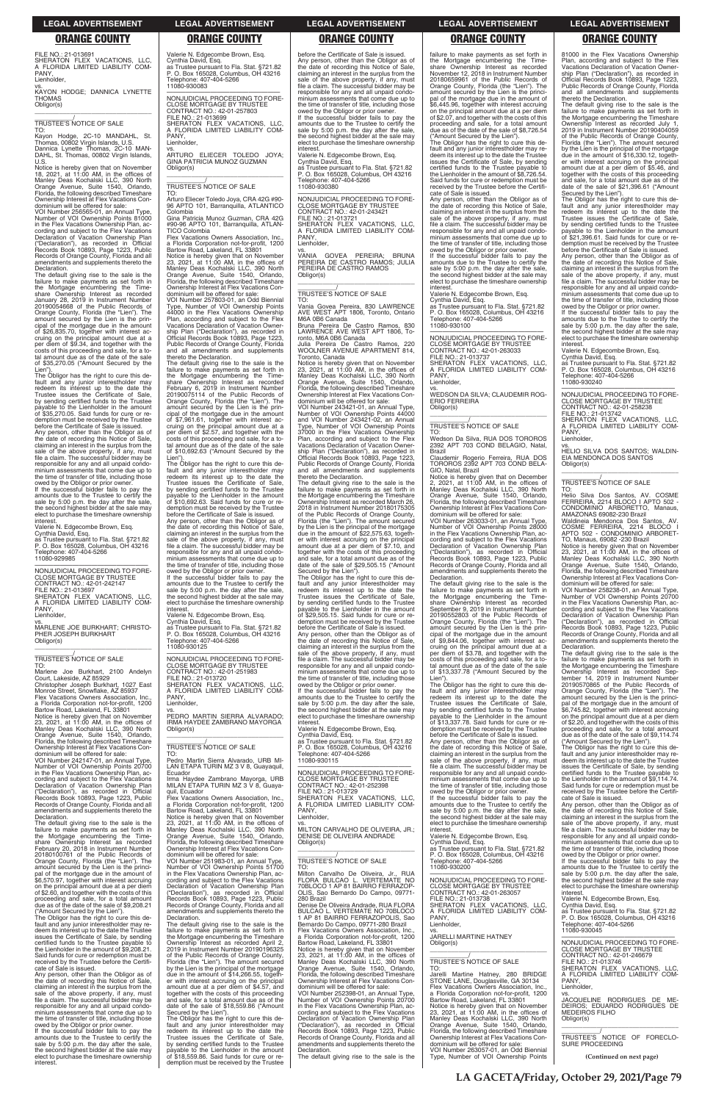FILE NO.: 21-013691 SHERATON FLEX VACATIONS, LLC, A FLORIDA LIMITED LIABILITY COM-PANY, Lienholder,

vs. KAYON HODGE; DANNICA LYNETTE THOMAS Obligor(s)  $\overline{\phantom{a}}$  , and the set of the set of the set of the set of the set of the set of the set of the set of the set of the set of the set of the set of the set of the set of the set of the set of the set of the set of the s

TO: Kayon Hodge, 2C-10 MANDAHL, St. Thomas, 00802 Virgin Islands, U.S. Dannica Lynette Thomas, 2C-10 MAN-DAHL, St. Thomas, 00802 Virgin Islands, U.S

# \_\_\_\_\_\_\_\_\_\_\_/ TRUSTEE'S NOTICE OF SALE

Notice is hereby given that on November 18, 2021, at 11:00 AM, in the offices of Manley Deas Kochalski LLC, 390 North Orange Avenue, Suite 1540, Orlando, Florida, the following described Timeshare Ownership Interest at Flex Vacations Condominium will be offered for sale:

VOI Number 256565-01, an Annual Type, Number of VOI Ownership Points 81000 in the Flex Vacations Ownership Plan, according and subject to the Flex Vacations Declaration of Vacation Ownership Plan ("Declaration"), as recorded in Official Records Book 10893, Page 1223, Public Records of Orange County, Florida and all amendments and supplements thereto the Declaration.

owed by the Obligor or prior owner. If the successful bidder fails to pay the amounts due to the Trustee to certify the sale by 5:00 p.m. the day after the sale, the second highest bidder at the sale may elect to purchase the timeshare ownership interest

The default giving rise to the sale is the failure to make payments as set forth in the Mortgage encumbering the Time-<br>share Ownership Interest as recorded<br>January 28, 2019 in Instrument Number<br>20190054668 of the Public Records of<br>Orange County, Florida (the "Lien"). The<br>amount secured by the Lien is the cipal of the mortgage due in the amount of \$26,835.70, together with interest ac-cruing on the principal amount due at a per diem of \$9.34, and together with the costs of this proceeding and sale, for a total amount due as of the date of the sale of \$35,270.05 ("Amount Secured by the

Monroe Street, Snowflake, AZ 85937 Flex Vacations Owners Association, Inc., a Florida Corporation not-for-profit, 1200

Lien"). The Obligor has the right to cure this default and any junior interestholder may redeem its interest up to the date the Trustee issues the Certificate of Sale, by sending certified funds to the Trustee payable to the Lienholder in the amount of \$35,270.05. Said funds for cure or redemption must be received by the Trustee before the Certificate of Sale is issued.

Any person, other than the Obligor as of the date of recording this Notice of Sale, claiming an interest in the surplus from the sale of the above property, if any, must file a claim. The successful bidder may be responsible for any and all unpaid condominium assessments that come due up to the time of transfer of title, including those

Valerie N. Edgecombe Brown, Esq. Cynthia David, Esq. as Trustee pursuant to Fla. Stat. §721.82 P. O. Box 165028, Columbus, OH 43216 Telephone: 407-404-5266 11080-929985

—————————————————— NONJUDICIAL PROCEEDING TO FORE-CLOSE MORTGAGE BY TRUSTEE CONTRACT NO.: 42-01-242147 FILE NO.: 21-013697 SHERATON FLEX VACATIONS, LLC, A FLORIDA LIMITED LIABILITY COM-PANY, Lienholder,

—————————————————— NONJUDICIAL PROCEEDING TO FORE-CLOSE MORTGAGE BY TRUSTEE CONTRACT NO.: 42-01-257803 FILE NO.: 21-013699 SHERATON FLEX VACATIONS, LLC, A FLORIDA LIMITED LIABILITY COM-A FLU<br>PANY, **Lienholder** 

vs. MARLENE JOE BURKHART; CHRISTO-PHER JOSEPH BURKHART Obligor(s) \_\_\_\_\_\_\_\_\_\_\_\_\_\_\_\_\_\_\_\_\_\_\_\_\_\_\_\_\_\_\_\_\_

# \_\_\_\_\_\_\_\_\_\_\_/ TRUSTEE'S NOTICE OF SALE

TO: Marlene Joe Burkhart, 2100 Andelyn Court, Lakeside, AZ 85929 Christopher Joseph Burkhart, 1027 East

Bartow Road, Lakeland, FL 33801 Notice is hereby given that on November 23, 2021, at 11:00 AM, in the offices of Manley Deas Kochalski LLC, 390 North Orange Avenue, Suite 1540, Orlando, Florida, the following described Timeshare Ownership Interest at Flex Vacations Con-dominium will be offered for sale: VOI Number 242147-01, an Annual Type,

Number of VOI Ownership Points 20700 in the Flex Vacations Ownership Plan, according and subject to the Flex Vacations Declaration of Vacation Ownership Plan ("Declaration"), as recorded in Official Records Book 10893, Page 1223, Public Records of Orange County, Florida and all

vs. PEDRO MARTIN SIERRA ALVARADO; IRMA HAYDEE ZAMBRANO MAYORGA Obligor(s)  $\overline{\phantom{a}}$  , and the set of the set of the set of the set of the set of the set of the set of the set of the set of the set of the set of the set of the set of the set of the set of the set of the set of the set of the s

Valerie N. Edgecombe Brown, Esq. Cynthia David, Esq. as Trustee pursuant to Fla. Stat. §721.82 P. O. Box 165028, Columbus, OH 43216 Telephone: 407-404-5266 11080-930083

> **interest** Valerie N. Edgecombe Brown, Esq. Cynthia David, Esq. as Trustee pursuant to Fla. Stat. §721.82 P. O. Box 165028, Columbus, OH 43216

vs. ARTURO ELIECER TOLEDO JOYA; GINA PATRICIA MUNOZ GUZMAN Obligor(s) \_\_\_\_\_\_\_\_\_\_\_\_\_\_\_\_\_\_\_\_\_\_\_\_\_\_\_\_\_\_\_\_\_

\_\_\_\_\_\_\_\_\_\_\_/ TRUSTEE'S NOTICE OF SALE

TO: Arturo Eliecer Toledo Joya, CRA 42G #90- 96 APTO 101, Barranquilla, ATLANTICO Colombia

Gina Patricia Munoz Guzman, CRA 42G #90-96 APTO 101, Barranquilla, ATLAN-TICO Colombia

Flex Vacations Owners Association, a Florida Corporation not-for-profit, 1200 Bartow Road, Lakeland, FL 33801 Notice is hereby given that on November<br>23, 2021, at 11:00 AM, in the offices of<br>Manley Deas Kochalski LLC, 390 North<br>Orange Avenue, Suite 1540, Orlando,<br>Florida, the following described Timeshare

Ownership Interest at Flex Vacations Condominium will be offered for sale: VOI Number 257803-01, an Odd Biennial Type, Number of VOI Ownership Points

44000 in the Flex Vacations Ownership Plan, according and subject to the Flex Vacations Declaration of Vacation Ownership Plan ("Declaration"), as recorded in Official Records Book 10893, Page 1223, Public Records of Orange County, Florida and all amendments and supplements thereto the Declaration.

> The default giving rise to the sale is the<br>failure to make payments as set forth in<br>the Mortgage encumbering the Timeshare<br>Ownership Interest as recorded March 26,<br>2018 in Instrument Number 20180175305 of the Public Records of Orange County, Florida (the "Lien"). The amount secured by the Lien is the principal of the mortgage due in the amount of \$22,575.63, together with interest accruing on the principal amount due at a per diem of \$7.10, and together with the costs of this proceeding and sale, for a total amount due as of the date of the sale of \$29,505.15 ("Amount Secured by the Lien"). The Obligor has the right to cure this de-

> fault and any junior interestholder may<br>redeem its interest up to the date the<br>Trustee issues the Certificate of Sale,<br>by sending certified funds to the Trustee payable to the Lienholder in the amount \$29,505.15. Said funds for cure or redemption must be received by the Trustee before the Certificate of Sale is issued.

> If the successful bidder fails to pay the amounts due to the Trustee to certify the sale by 5:00 p.m. the day after the sale. the second highest bidder at the sale may elect to purchase the timeshare ownership **interest**

The default giving rise to the sale is the failure to make payments as set forth in the Mortgage encumbering the Timeshare Ownership Interest as recorded February 6, 2019 in Instrument Number 20190075114 of the Public Records of Orange County, Florida (the "Lien"). The secured by the Lien is the principal of the mortgage due in the amount of \$7,961.61, together with interest accruing on the principal amount due at a per diem of \$2.57, and together with the costs of this proceeding and sale, for a to-tal amount due as of the date of the sale of \$10,692.63 ("Amount Secured by the Lien").

The Obligor has the right to cure this default and any junior interestholder may<br>redeem its interest up to the date the<br>Trustee issues the Certificate of Sale,<br>by sending certified funds to the Trustee payable to the Lienholder in the amount of \$10,692.63. Said funds for cure or redemption must be received by the Trustee before the Certificate of Sale is issued.

Any person, other than the Obligor as of the date of recording this Notice of Sale, claiming an interest in the surplus from the sale of the above property, if any, must file a claim. The successful bidder may be responsible for any and all unpaid condo-minium assessments that come due up to the time of transfer of title, including those owed by the Obligor or prior owner.

If the successful bidder fails to pay the amounts due to the Trustee to certify the sale by 5:00 p.m. the day after the sale, the second highest bidder at the sale may elect to purchase the timeshare ownership interest.

Valerie N. Edgecombe Brown, Esq. Cynthia David, Esq. as Trustee pursuant to Fla. Stat. §721.82 P. O. Box 165028, Columbus, OH 43216 Telephone: 407-404-5266 11080-930125

—————————————————— NONJUDICIAL PROCEEDING TO FORE-CLOSE MORTGAGE BY TRUSTEE CONTRACT NO.: 42-01-251983 FILE NO.: 21-013720 SHERATON FLEX VACATIONS, LLC, A FLORIDA LIMITED LIABILITY COM-PANY, Lienholder,

\_\_\_\_\_\_\_\_\_\_\_/ TRUSTEE'S NOTICE OF SALE

 $\overline{\phantom{a}}$  , and the set of the set of the set of the set of the set of the set of the set of the set of the set of the set of the set of the set of the set of the set of the set of the set of the set of the set of the s \_\_\_\_\_\_\_\_\_\_\_/ TRUSTEE'S NOTICE OF SALE

TO: Pedro Martin Sierra Alvarado, URB MI-LAN ETAPA TURIN MZ 3 V 8, Guayaquil, Ecuador Irma Haydee Zambrano Mayorga, URB

MILAN ETAPA TURIN MZ 3 V 8, Guayaquil, Ecuador Flex Vacations Owners Association, Inc., a Florida Corporation not-for-profit, 1200

The default giving rise to the sale is the failure to make payments as set forth in the Mortgage encumbering the Timeshare Ownership Interest as recorded July 1, 2019 in Instrument Number 20190404059 of the Public Records of Orange County, Florida (the "Lien"). The amount secured by the Lien is the principal of the mortgage due in the amount of \$16,330.12, together with interest accruing on the principal amount due at a per diem of \$5.46, and together with the costs of this proceeding<br>and sale, for a total amount due as of the<br>date of the sale of \$21,396.61 ("Amount<br>Secured by the Lien").<br>The Obligor has the right to cure this de-

before the Certificate of Sale is issued. Any person, other than the Obligor as of the date of recording this Notice of Sale, claiming an interest in the surplus from the sale of the above property, if any, must file a claim. The successful bidder may be responsible for any and all unpaid condominium assessments that come due up to the time of transfer of title, including those owed by the Obligor or prior owner. If the successful bidder fails to pay the amounts due to the Trustee to certify the sale by 5:00 p.m. the day after the sale, the second highest bidder at the sale may elect to purchase the timeshare ownership

> fault and any junior interestholder may<br>redeem its interest up to the date the<br>Trustee issues the Certificate of Sale,<br>by sending certified funds to the Trustee payable to the Lienholder in the amount of \$21,396.61. Said funds for cure or redemption must be received by the Trustee before the Certificate of Sale is issued.

Telephone: 407-404-5266 11080-930380

—————————————————— NONJUDICIAL PROCEEDING TO FORE-CLOSE MORTGAGE BY TRUSTEE CONTRACT NO.: 42-01-243421 FILE NO.: 21-013721 SHERATON FLEX VACATIONS, LLC, A FLORIDA LIMITED LIABILITY COM-PANY Lienholder,

vs.<br>VANIA GOVEA PEREIRA; BRUNA<br>PEREIRA DE CASTRO RAMOS; JULIA<br>PEREIRA DE CASTRO RAMOS

vs. HELIO SILVA DOS SANTOS; WALDIN-EIA MENDONCA DOS SANTOS Obligor(s)  $\overline{\phantom{a}}$  ,  $\overline{\phantom{a}}$  ,  $\overline{\phantom{a}}$  ,  $\overline{\phantom{a}}$  ,  $\overline{\phantom{a}}$  ,  $\overline{\phantom{a}}$  ,  $\overline{\phantom{a}}$  ,  $\overline{\phantom{a}}$  ,  $\overline{\phantom{a}}$  ,  $\overline{\phantom{a}}$  ,  $\overline{\phantom{a}}$  ,  $\overline{\phantom{a}}$  ,  $\overline{\phantom{a}}$  ,  $\overline{\phantom{a}}$  ,  $\overline{\phantom{a}}$  ,  $\overline{\phantom{a}}$ 

Obligor(s)

\_\_\_\_\_\_\_\_\_\_\_/ TRUSTEE'S NOTICE OF SALE

TO: Vania Govea Pereira, 830 LAWRENCE AVE WEST APT 1806, Toronto, Ontario M6A 0B6 Canada Bruna Pereira De Castro Ramos, 830 LAWRENCE AVE WEST APT 1806, To-ronto, M6A 0B6 Canada Julia Pereira De Castro Ramos, 220 WOOLNER AVENUE APARTMENT 814,

 $\overline{\phantom{a}}$  , and the set of the set of the set of the set of the set of the set of the set of the set of the set of the set of the set of the set of the set of the set of the set of the set of the set of the set of the s

Toronto, Canada Notice is hereby given that on November 23, 2021, at 11:00 AM, in the offices of Manley Deas Kochalski LLC, 390 North Orange Avenue, Suite 1540, Orlando, Florida, the following described Timeshare Ownership Interest at Flex Vacations Condominium will be offered for sale:

VOI Number 243421-01, an Annual Type, Number of VOI Ownership Points 44000 and VOI Number 243421-02, an Annual Type, Number of VOI Ownership Points 37000 in the Flex Vacations Ownership Plan, according and subject to the Flex Vacations Declaration of Vacation Ownership Plan ("Declaration"), as recorded in Official Records Book 10893, Page 1223, Public Records of Orange County, Florida and all amendments and supplements thereto the Declaration.

Any person, other than the Obligor as of the date of recording this Notice of Sale, claiming an interest in the surplus from the sale of the above property, if any, must file a claim. The successful bidder may be responsible for any and all unpaid condo-minium assessments that come due up to the time of transfer of title, including those owed by the Obligor or prior owner.

Valerie N. Edgecombe Brown, Esq. Cynthia David, Esq. as Trustee pursuant to Fla. Stat. §721.82

P. O. Box 165028, Columbus, OH 43216 Telephone: 407-404-5266 11080-930115

—————————————————— NONJUDICIAL PROCEEDING TO FORE-CLOSE MORTGAGE BY TRUSTEE CONTRACT NO.: 42-01-252398 FILE NO.: 21-013729 SHERATON FLEX VACATIONS, LLC,

|  | Records of Orange County, Florida and all<br>amendments and supplements thereto the<br>Declaration.<br>The default giving rise to the sale is the<br>failure to make payments as set forth in<br>the Mortgage encumbering the Time-<br>share Ownership Interest as recorded<br>February 20, 2018 in Instrument Number<br>20180100761 of the Public Records of<br>Orange County, Florida (the "Lien"). The<br>amount secured by the Lien is the princi-<br>pal of the mortgage due in the amount of<br>\$6,570.97, together with interest accruing<br>on the principal amount due at a per diem<br>of \$2.60, and together with the costs of this<br>proceeding and sale, for a total amount<br>due as of the date of the sale of \$9,208.21<br>("Amount Secured by the Lien").<br>The Obligor has the right to cure this de-<br>fault and any junior interestholder may re-<br>deem its interest up to the date the Trustee<br>issues the Certificate of Sale, by sending<br>certified funds to the Trustee payable to<br>the Lienholder in the amount of \$9.208.21.<br>Said funds for cure or redemption must be<br>received by the Trustee before the Certifi-<br>cate of Sale is issued.<br>Any person, other than the Obligor as of<br>the date of recording this Notice of Sale,<br>claiming an interest in the surplus from the<br>sale of the above property, if any, must<br>file a claim. The successful bidder may be<br>responsible for any and all unpaid condo-<br>minium assessments that come due up to<br>the time of transfer of title, including those<br>owed by the Obligor or prior owner.<br>If the successful bidder fails to pay the<br>amounts due to the Trustee to certify the<br>sale by 5:00 p.m. the day after the sale,<br>the second highest bidder at the sale may<br>elect to purchase the timeshare ownership<br>interest. | a Florida Corporation not-for-profit, 1200<br>Bartow Road, Lakeland, FL 33801<br>Notice is hereby given that on November<br>23, 2021, at $11:00$ AM, in the offices of<br>Manley Deas Kochalski LLC, 390 North<br>Orange Avenue, Suite 1540, Orlando,<br>Florida, the following described Timeshare<br>Ownership Interest at Flex Vacations Con-<br>dominium will be offered for sale:<br>VOI Number 251983-01, an Annual Type,<br>Number of VOI Ownership Points 51700<br>in the Flex Vacations Ownership Plan, ac-<br>cording and subject to the Flex Vacations<br>Declaration of Vacation Ownership Plan<br>("Declaration"), as recorded in Official<br>Records Book 10893, Page 1223, Public<br>Records of Orange County, Florida and all<br>amendments and supplements thereto the<br>Declaration.<br>The default giving rise to the sale is the<br>failure to make payments as set forth in<br>the Mortgage encumbering the Timeshare<br>Ownership Interest as recorded April 2,<br>2019 in Instrument Number 20190196325<br>of the Public Records of Orange County,<br>Florida (the "Lien"). The amount secured<br>by the Lien is the principal of the mortgage<br>due in the amount of \$14,266.55, togeth-<br>er with interest accruing on the principal<br>amount due at a per diem of \$4.57, and<br>together with the costs of this proceeding<br>and sale, for a total amount due as of the<br>date of the sale of \$18,559.86 ("Amount<br>Secured by the Lien").<br>The Obligor has the right to cure this de-<br>fault and any junior interestholder may<br>redeem its interest up to the date the<br>Trustee issues the Certificate of Sale,<br>by sending certified funds to the Trustee<br>payable to the Lienholder in the amount<br>of \$18,559.86. Said funds for cure or re-<br>demption must be received by the Trustee | A FLORIDA LIMITED LIABILITY COM-<br>PANY.<br>Lienholder.<br>VS.<br>MILTON CARVALHO DE OLIVEIRA, JR.;<br>DENISE DE OLIVEIRA ANDRADE<br>Obligor(s)<br><b>TRUSTEE'S NOTICE OF SALE</b><br>TO:<br>Milton Carvalho De Oliveira, Jr., RUA<br>FLORA BULCAO L. VERTEMATE NO<br>70BLOCO 1 AP 81 BAIRRO FERRAZOP-<br>OLIS, Sao Bernardo Do Campo, 09771-<br>280 Brazil<br>Denise De Oliveira Andrade, RUA FLORA<br>BULCAO L. VERTEMATE NO 70BLOCO<br>1 AP 81 BAIRRO FERRAZOPOLIS, Sao<br>Bernardo Do Campo, 09771-280 Brazil<br>Flex Vacations Owners Association, Inc.,<br>a Florida Corporation not-for-profit, 1200<br>Bartow Road, Lakeland, FL 33801<br>Notice is hereby given that on November<br>23, 2021, at $11:00$ AM, in the offices of<br>Manley Deas Kochalski LLC, 390 North<br>Orange Avenue, Suite 1540, Orlando,<br>Florida, the following described Timeshare<br>Ownership Interest at Flex Vacations Con-<br>dominium will be offered for sale:<br>VOI Number 252398-01, an Annual Type,<br>Number of VOI Ownership Points 20700<br>in the Flex Vacations Ownership Plan, ac-<br>cording and subject to the Flex Vacations<br>Declaration of Vacation Ownership Plan<br>("Declaration"), as recorded in Official<br>Records Book 10893, Page 1223, Public<br>Records of Orange County, Florida and all<br>amendments and supplements thereto the<br>Declaration.<br>The default giving rise to the sale is the | amounts due to the Trustee to certify the<br>sale by 5:00 p.m. the day after the sale,<br>the second highest bidder at the sale may<br>elect to purchase the timeshare ownership<br>interest.<br>Valerie N. Edgecombe Brown, Esg.<br>Cynthia David, Esg.<br>as Trustee pursuant to Fla. Stat. §721.82<br>P. O. Box 165028, Columbus, OH 43216<br>Telephone: 407-404-5266<br>11080-930200<br>NONJUDICIAL PROCEEDING TO FORE-<br>CLOSE MORTGAGE BY TRUSTEE<br>CONTRACT NO.: 42-01-263057<br>FILE NO.: 21-013738<br>SHERATON FLEX VACATIONS. LLC.<br>A FLORIDA LIMITED LIABILITY COM-<br>PANY.<br>Lienholder.<br>VS.<br><b>JARELLI MARTINE HATNEY</b><br>Obligor(s)<br>TRUSTEE'S NOTICE OF SALE<br>TO:<br>Jarelli Martine Hatney, 280 BRIDGE<br>STONE LANE, Douglasville, GA 30134<br>Flex Vacations Owners Association. Inc<br>a Florida Corporation not-for-profit, 1200<br>Bartow Road, Lakeland, FL 33801<br>Notice is hereby given that on November<br>23, 2021, at $11:00$ AM, in the offices of<br>Manley Deas Kochalski LLC, 390 North<br>Orange Avenue, Suite 1540, Orlando,<br>Florida, the following described Timeshare<br>Ownership Interest at Flex Vacations Con-<br>dominium will be offered for sale:<br>VOI Number 263057-01, an Odd Biennial<br>Type, Number of VOI Ownership Points | Any person, other than the Obligor as of<br>the date of recording this Notice of Sale,<br>claiming an interest in the surplus from the<br>sale of the above property, if any, must<br>file a claim. The successful bidder may be<br>responsible for any and all unpaid condo-<br>minium assessments that come due up to<br>the time of transfer of title, including those<br>owed by the Obligor or prior owner.<br>If the successful bidder fails to pay the<br>amounts due to the Trustee to certify the<br>sale by 5:00 p.m. the day after the sale,<br>the second highest bidder at the sale may<br>elect to purchase the timeshare ownership<br>interest.<br>Valerie N. Edgecombe Brown, Esq.<br>Cynthia David, Esg.<br>as Trustee pursuant to Fla. Stat. §721.82<br>P. O. Box 165028, Columbus, OH 43216<br>Telephone: 407-404-5266<br>11080-930045<br>NONJUDICIAL PROCEEDING TO FORE-<br><b>CLOSE MORTGAGE BY TRUSTEE</b><br>CONTRACT NO.: 42-01-246679<br>FILE NO.: 21-013746<br>SHERATON FLEX VACATIONS. LLC.<br>A FLORIDA LIMITED LIABILITY COM-<br>PANY.<br>Lienholder.<br>VS.<br>JACQUELINE RODRIGUES DE ME-<br>DEIROS: EDUARDO RODRIGUES DE<br><b>MEDEIROS FILHO</b><br>Obligor(s)<br>TRUSTEE'S NOTICE OF FORECLO-<br>SURE PROCEEDING<br>(Continued on next page) |
|--|----------------------------------------------------------------------------------------------------------------------------------------------------------------------------------------------------------------------------------------------------------------------------------------------------------------------------------------------------------------------------------------------------------------------------------------------------------------------------------------------------------------------------------------------------------------------------------------------------------------------------------------------------------------------------------------------------------------------------------------------------------------------------------------------------------------------------------------------------------------------------------------------------------------------------------------------------------------------------------------------------------------------------------------------------------------------------------------------------------------------------------------------------------------------------------------------------------------------------------------------------------------------------------------------------------------------------------------------------------------------------------------------------------------------------------------------------------------------------------------------------------------------------------------------------------------------------------------------------------------------------------------------------------------------------------------------------------------------------------------------------------------------------------------------------------------------------------------------------------------|------------------------------------------------------------------------------------------------------------------------------------------------------------------------------------------------------------------------------------------------------------------------------------------------------------------------------------------------------------------------------------------------------------------------------------------------------------------------------------------------------------------------------------------------------------------------------------------------------------------------------------------------------------------------------------------------------------------------------------------------------------------------------------------------------------------------------------------------------------------------------------------------------------------------------------------------------------------------------------------------------------------------------------------------------------------------------------------------------------------------------------------------------------------------------------------------------------------------------------------------------------------------------------------------------------------------------------------------------------------------------------------------------------------------------------------------------------------------------------------------------------------------------------------------------------------------------------------------------------------------------------------------------------------------------------------------------------------------------------------------------------------------------------------------------------------------------------------------|-------------------------------------------------------------------------------------------------------------------------------------------------------------------------------------------------------------------------------------------------------------------------------------------------------------------------------------------------------------------------------------------------------------------------------------------------------------------------------------------------------------------------------------------------------------------------------------------------------------------------------------------------------------------------------------------------------------------------------------------------------------------------------------------------------------------------------------------------------------------------------------------------------------------------------------------------------------------------------------------------------------------------------------------------------------------------------------------------------------------------------------------------------------------------------------------------------------------------------------------------------------------------------------------------------------------------------------------------------------------------------------------------------------------------|------------------------------------------------------------------------------------------------------------------------------------------------------------------------------------------------------------------------------------------------------------------------------------------------------------------------------------------------------------------------------------------------------------------------------------------------------------------------------------------------------------------------------------------------------------------------------------------------------------------------------------------------------------------------------------------------------------------------------------------------------------------------------------------------------------------------------------------------------------------------------------------------------------------------------------------------------------------------------------------------------------------------------------------------------------------------------------------------------------------------------------------------------------------------------------------------------------------------------------------------------------------------------------------------------|--------------------------------------------------------------------------------------------------------------------------------------------------------------------------------------------------------------------------------------------------------------------------------------------------------------------------------------------------------------------------------------------------------------------------------------------------------------------------------------------------------------------------------------------------------------------------------------------------------------------------------------------------------------------------------------------------------------------------------------------------------------------------------------------------------------------------------------------------------------------------------------------------------------------------------------------------------------------------------------------------------------------------------------------------------------------------------------------------------------------------------------------------------------------------------------------------------------------------------------------------------------------------------|
|--|----------------------------------------------------------------------------------------------------------------------------------------------------------------------------------------------------------------------------------------------------------------------------------------------------------------------------------------------------------------------------------------------------------------------------------------------------------------------------------------------------------------------------------------------------------------------------------------------------------------------------------------------------------------------------------------------------------------------------------------------------------------------------------------------------------------------------------------------------------------------------------------------------------------------------------------------------------------------------------------------------------------------------------------------------------------------------------------------------------------------------------------------------------------------------------------------------------------------------------------------------------------------------------------------------------------------------------------------------------------------------------------------------------------------------------------------------------------------------------------------------------------------------------------------------------------------------------------------------------------------------------------------------------------------------------------------------------------------------------------------------------------------------------------------------------------------------------------------------------------|------------------------------------------------------------------------------------------------------------------------------------------------------------------------------------------------------------------------------------------------------------------------------------------------------------------------------------------------------------------------------------------------------------------------------------------------------------------------------------------------------------------------------------------------------------------------------------------------------------------------------------------------------------------------------------------------------------------------------------------------------------------------------------------------------------------------------------------------------------------------------------------------------------------------------------------------------------------------------------------------------------------------------------------------------------------------------------------------------------------------------------------------------------------------------------------------------------------------------------------------------------------------------------------------------------------------------------------------------------------------------------------------------------------------------------------------------------------------------------------------------------------------------------------------------------------------------------------------------------------------------------------------------------------------------------------------------------------------------------------------------------------------------------------------------------------------------------------------|-------------------------------------------------------------------------------------------------------------------------------------------------------------------------------------------------------------------------------------------------------------------------------------------------------------------------------------------------------------------------------------------------------------------------------------------------------------------------------------------------------------------------------------------------------------------------------------------------------------------------------------------------------------------------------------------------------------------------------------------------------------------------------------------------------------------------------------------------------------------------------------------------------------------------------------------------------------------------------------------------------------------------------------------------------------------------------------------------------------------------------------------------------------------------------------------------------------------------------------------------------------------------------------------------------------------------------------------------------------------------------------------------------------------------|------------------------------------------------------------------------------------------------------------------------------------------------------------------------------------------------------------------------------------------------------------------------------------------------------------------------------------------------------------------------------------------------------------------------------------------------------------------------------------------------------------------------------------------------------------------------------------------------------------------------------------------------------------------------------------------------------------------------------------------------------------------------------------------------------------------------------------------------------------------------------------------------------------------------------------------------------------------------------------------------------------------------------------------------------------------------------------------------------------------------------------------------------------------------------------------------------------------------------------------------------------------------------------------------------|--------------------------------------------------------------------------------------------------------------------------------------------------------------------------------------------------------------------------------------------------------------------------------------------------------------------------------------------------------------------------------------------------------------------------------------------------------------------------------------------------------------------------------------------------------------------------------------------------------------------------------------------------------------------------------------------------------------------------------------------------------------------------------------------------------------------------------------------------------------------------------------------------------------------------------------------------------------------------------------------------------------------------------------------------------------------------------------------------------------------------------------------------------------------------------------------------------------------------------------------------------------------------------|

failure to make payments as set forth in the Mortgage encumbering the Time-share Ownership Interest as recorded November 12, 2018 in Instrument Number 20180659961 of the Public Records of<br>Orange County. Florida (the "Lien"). The Orange County, Florida (the "Lien"). The amount secured by the Lien is the principal of the mortgage due in the amount of \$6,445.96, together with interest accruing on the principal amount due at a per diem of \$2.07, and together with the costs of this proceeding and sale, for a total amount due as of the date of the sale of \$8,726.54 ("Amount Secured by the Lien"). The Obligor has the right to cure this de-fault and any junior interestholder may redeem its interest up to the date the Trustee issues the Certificate of Sale, by sending certified funds to the Trustee payable to the Lienholder in the amount of \$8,726.54. Said funds for cure or redemption must be received by the Trustee before the Certifi-cate of Sale is issued.

Any person, other than the Obligor as of the date of recording this Notice of Sale, claiming an interest in the surplus from the sale of the above property, if any, must file a claim. The successful bidder may be

responsible for any and all unpaid condo-minium assessments that come due up to the time of transfer of title, including those owed by the Obligor or prior owner. If the successful bidder fails to pay the amounts due to the Trustee to certify the sale by 5:00 p.m. the day after the sale, the second highest bidder at the sale may elect to purchase the timeshare ownership

Valerie N. Edgecombe Brown, Esq. Cynthia David, Esq. as Trustee pursuant to Fla. Stat. §721.82

P. O. Box 165028, Columbus, OH 43216 Telephone: 407-404-5266 11080-930100

—————————————————— NONJUDICIAL PROCEEDING TO FORE-CLOSE MORTGAGE BY TRUSTEE

CONTRACT NO.: 42-01-263033 FILE NO.: 21-013737 SHERATON FLEX VACATIONS, LLC, A FLORIDA LIMITED LIABILITY COM-PANY,

Lienholder,

vs. WEDSON DA SILVA; CLAUDEMIR ROG-

ERIO FERREIRA Obligor(s)

TO: Wedson Da Silva, RUA DOS TOROROS 2392 APT 703 COND BELAGIO, Natal,

Brazil

eclaration

Claudemir Rogerio Ferreira, RUA DOS TOROROS 2392 APT 703 COND BELA-GIO, Natal, Brazil

Notice is hereby given that on December 2, 2021, at 11:00 AM, in the offices of Manley Deas Kochalski LLC, 390 North Orange Avenue, Suite 1540, Orlando,

Florida, the following described Timeshare Ownership Interest at Flex Vacations Condominium will be offered for sale: VOI Number 263033-01, an Annual Type, Number of VOI Ownership Points 28000 in the Flex Vacations Ownership Plan, ac-

cording and subject to the Flex Vacations Declaration of Vacation Ownership Plan ("Declaration"), as recorded in Official Records Book 10893, Page 1223, Public Records of Orange County, Florida and all

amendments and supplements thereto the

The default giving rise to the sale is the failure to make payments as set forth in the Mortgage encumbering the Time-share Ownership Interest as recorded September 9, 2019 in Instrument Number

20190552803 of the Public Records of Orange County, Florida (the "Lien"). The amount secured by the Lien is the prin-

cipal of the mortgage due in the amount of \$9,844.06, together with interest ac-cruing on the principal amount due at a per diem of \$3.78, and together with the

costs of this proceeding and sale, for a to-tal amount due as of the date of the sale of \$13,337.78 ("Amount Secured by the Lien"). The Obligor has the right to cure this default and any junior interestholder may redeem its interest up to the date the Trustee issues the Certificate of Sale, by sending certified funds to the Trustee payable to the Lienholder in the amount of \$13,337.78. Said funds for cure or re-

**interest** 

demption must be received by the Trustee before the Certificate of Sale is issued. Any person, other than the Obligor as of the date of recording this Notice of Sale, claiming an interest in the surplus from the sale of the above property, if any, must file a claim. The successful bidder may be responsible for any and all unpaid condo-

minium assessments that come due up to

the time of transfer of title, including those owed by the Obligor or prior owner. If the successful bidder fails to pay the amounts due to the Trustee to certify the sale by 5:00 p.m. the day after the sale, 81000 in the Flex Vacations Ownership Plan, according and subject to the Flex Vacations Declaration of Vacation Ownership Plan ("Declaration"), as recorded in Official Records Book 10893, Page 1223, Public Records of Orange County, Florida and all amendments and supplements thereto the Declaration.

Any person, other than the Obligor as of the date of recording this Notice of Sale, claiming an interest in the surplus from the sale of the above property, if any, must file a claim. The successful bidder may be responsible for any and all unpaid condo-minium assessments that come due up to the time of transfer of title, including those owed by the Obligor or prior owner.

If the successful bidder fails to pay the amounts due to the Trustee to certify the sale by 5:00 p.m. the day after the sale. the second highest bidder at the sale may elect to purchase the timeshare ownership interest.

Valerie N. Edgecombe Brown, Esq. Cynthia David, Esq. as Trustee pursuant to Fla. Stat. §721.82 P. O. Box 165028, Columbus, OH 43216 Telephone: 407-404-5266 11080-930240

—————————————————— NONJUDICIAL PROCEEDING TO FORE-CLOSE MORTGAGE BY TRUSTEE

CONTRACT NO.: 42-01-258238 FILE NO.: 21-013742 SHERATON FLEX VACATIONS, LLC, A FLORIDA LIMITED LIABILITY COM-PANY,

Lienholder,

\_\_\_\_\_\_\_\_\_\_\_/ TRUSTEE'S NOTICE OF SALE

TO: Helio Silva Dos Santos, AV. COSME FERREIRA, 2214 BLOCO I APTO 502 - CONDOMINIO ARBORETTO, Manaus, AMAZONAS 69082-230 Brazil

Waldineia Mendonca Dos Santos, AV. COSME FERREIRA, 2214 BLOCO I APTO 502 - CONDOMINIO ARBORET-TO, Manaus, 69082 -230 Brazil

Notice is hereby given that on November 23, 2021, at 11:00 AM, in the offices of Manley Deas Kochalski LLC, 390 North Orange Avenue, Suite 1540, Orlando, Florida, the following described Timeshare Ownership Interest at Flex Vacations Con-

dominium will be offered for sale: VOI Number 258238-01, an Annual Type, Number of VOI Ownership Points 20700 in the Flex Vacations Ownership Plan, according and subject to the Flex Vacations<br>Declaration of Vacation Ownership Plan Declaration of Vacation Ownership ("Declaration"), as recorded in Official Records Book 10893, Page 1223, Public Records of Orange County, Florida and all amendments and supplements thereto the Declaration.

The default giving rise to the sale is the failure to make payments as set forth in the Mortgage encumbering the Timeshare Ownership Interest as recorded Sep-tember 14, 2019 in Instrument Number 20190570865 of the Public Records of Orange County, Florida (the "Lien"). The amount secured by the Lien is the principal of the mortgage due in the amount of \$6,745.82, together with interest accruing on the principal amount due at a per diem of \$2.20, and together with the costs of this proceeding and sale, for a total amount due as of the date of the sale of \$9,114.74

("Amount Secured by the Lien"). The Obligor has the right to cure this default and any junior interestholder may redeem its interest up to the date the Trustee issues the Certificate of Sale, by sending certified funds to the Trustee payable to the Lienholder in the amount of \$9,114.74. Said funds for cure or redemption must be received by the Trustee before the Certificate of Sale is issued.

Any person, other than the Obligor as of the date of recording this Notice of Sale,

### **LEGAL ADVERTISEMENT LEGAL ADVERTISEMENT LEGAL ADVERTISEMENT LEGAL ADVERTISEMENT LEGAL ADVERTISEMENT**

### **ORANGE COUNTY ORANGE COUNTY ORANGE COUNTY ORANGE COUNTY ORANGE COUNTY**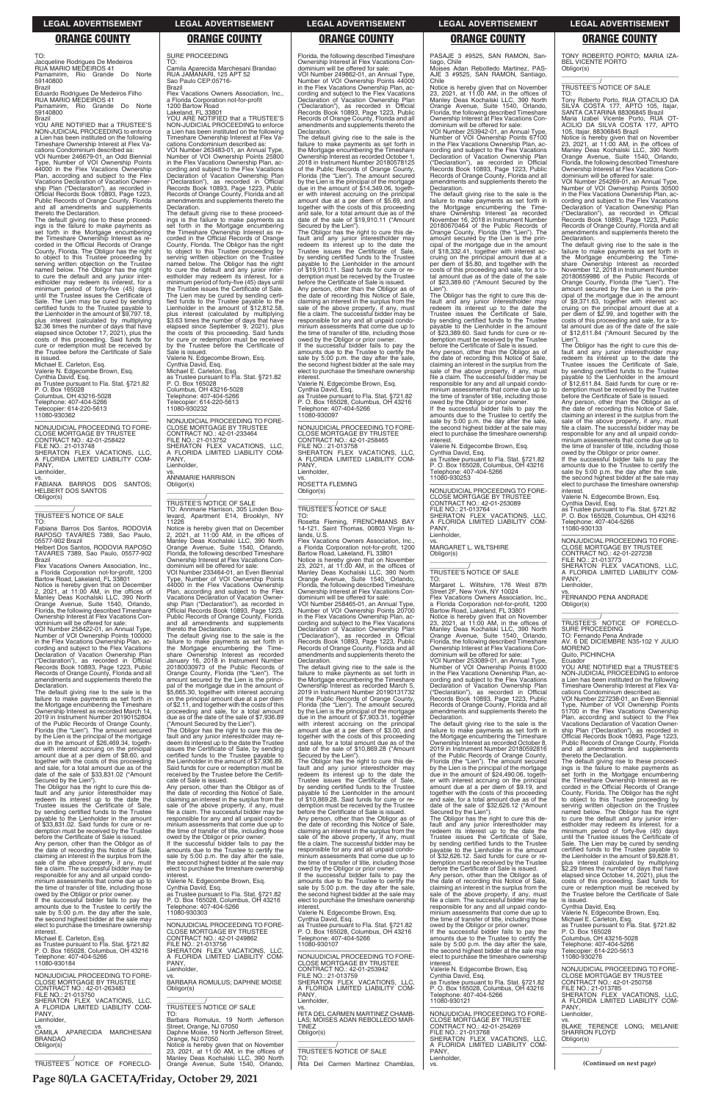TO:

Jacqueline Rodrigues De Medeiros RUA MARIO MEDEIROS 41 Parnamirim, Rio Grande Do Norte

59140800 Brazil

Eduardo Rodrigues De Medeiros Filho RUA MARIO MEDEIROS 41 Parnamirim, Rio Grande Do Norte 59140800

Brazil YOU ARE NOTIFIED that a TRUSTEE'S NON-JUDICIAL PROCEEDING to enforce a Lien has been instituted on the following Timeshare Ownership Interest at Flex Vacations Condominium described as:

VOI Number 246679-01, an Odd Biennial Type, Number of VOI Ownership Points 44000 in the Flex Vacations Ownership Plan, according and subject to the Flex Vacations Declaration of Vacation Ownership Plan ("Declaration"), as recorded in Official Records Book 10893, Page 1223, Public Records of Orange County, Florida and all amendments and supplements thereto the Declaration.

The default giving rise to these proceed-ings is the failure to make payments as set forth in the Mortgage encumbering the Timeshare Ownership Interest as recorded in the Official Records of Orange County, Florida. The Obligor has the right to object to this Trustee proceeding by serving written objection on the Trustee named below. The Obligor has the right to cure the default and any junior inter-estholder may redeem its interest, for a minimum period of forty-five (45) days until the Trustee issues the Certificate of Sale. The Lien may be cured by sending certified funds to the Trustee payable to the Lienholder in the amount of \$9,797.18, plus interest (calculated by multiplying \$2.36 times the number of days that have elapsed since October 17, 2021), plus the costs of this proceeding. Said funds for cure or redemption must be received by the Trustee before the Certificate of Sale is issued.

Michael E. Carleton, Esq. Valerie N. Edgecombe Brown, Esq. Cynthia David, Esq. as Trustee pursuant to Fla. Stat. §721.82 P. O. Box 165028 Columbus, OH 43216-5028 Telephone: 407-404-5266 Telecopier: 614-220-5613 11080-930362

The Obligor has the right to cure this default and any junior interestholder may redeem its interest up to the date the Trustee issues the Certificate of Sale,

—————————————————— NONJUDICIAL PROCEEDING TO FORE-CLOSE MORTGAGE BY TRUSTEE CONTRACT NO.: 42-01-258422 FILE NO.: 21-013748 SHERATON FLEX VACATIONS, LLC, A FLORIDA LIMITED LIABILITY COM-PANY, Lienholder,

vs. FABIANA BARROS DOS SANTOS; HELBERT DOS SANTOS Obligor(s) \_\_\_\_\_\_\_\_\_\_\_\_\_\_\_\_\_\_\_\_\_\_\_\_\_\_\_\_\_\_\_\_\_

\_\_\_\_\_\_\_\_\_\_\_/ TRUSTEE'S NOTICE OF SALE

TO: Fabiana Barros Dos Santos, RODOVIA RAPOSO TAVARES 7389, Sao Paulo, 05577-902 Brazil

Helbert Dos Santos, RODOVIA RAPOSO TAVARES 7389, Sao Paulo, 05577-902 Brazil

Flex Vacations Owners Association, Inc., a Florida Corporation not-for-profit, 1200 Bartow Road, Lakeland, FL 33801

Notice is hereby given that on December 2, 2021, at 11:00 AM, in the offices of Manley Deas Kochalski LLC, 390 North Orange Avenue, Suite 1540, Orlando, Florida, the following described Timeshare Ownership Interest at Flex Vacations Con-

dominium will be offered for sale: VOI Number 258422-01, an Annual Type, Number of VOI Ownership Points 100000 in the Flex Vacations Ownership Plan, ac-cording and subject to the Flex Vacations Declaration of Vacation Ownership Plan ("Declaration"), as recorded in Official Records Book 10893, Page 1223, Public Records of Orange County, Florida and all amendments and supplements thereto the Declaration.

The default giving rise to the sale is the failure to make payments as set forth in the Mortgage encumbering the Timeshare Ownership Interest as recorded March 14, 2019 in Instrument Number 20190152804 of the Public Records of Orange County, Florida (the "Lien"). The amount secured by the Lien is the principal of the mortgage due in the amount of \$26,469.34, together with interest accruing on the principal amount due at a per diem of \$8.60, and together with the costs of this proceeding and sale, for a total amount due as of the date of the sale of \$33,831.02 ("Amount Secured by the Lien").  $\overline{\phantom{a}}$  , and the set of the set of the set of the set of the set of the set of the set of the set of the set of the set of the set of the set of the set of the set of the set of the set of the set of the set of the s \_\_\_\_\_\_\_\_\_\_\_/ TRUSTEE'S NOTICE OF SALE

share Ownership Interest as recorded<br>January 16, 2018 in Instrument Number<br>20180030973 of the Public Records of<br>Orange County, Florida (the "Lien"). The int secured by the Lien is the principain because by the mortgage due in the amount of \$5,665.30, together with interest accruing on the principal amount due at a per diem of \$2.11, and together with the costs of this proceeding and sale, for a total amount due as of the date of the sale of \$7,936.89 ("Amount Secured by the Lien"). The Obligor has the right to cure this default and any junior interestholder may re-deem its interest up to the date the Trustee issues the Certificate of Sale, by sending certified funds to the Trustee payable to the Lienholder in the amount of \$7,936.89. Said funds for cure or redemption must be received by the Trustee before the Certifi-cate of Sale is issued. Any person, other than the Obligor as of the date of recording this Notice of Sale, claiming an interest in the surplus from the

SURE PROCEEDING TO:

Camila Aparecida Marchesani Brandao RUA JAMANARI, 125 APT 52 Sao Paulo CEP:05716-

VOI Number 249862-01, an Annual Type, Number of VOI Ownership Points 44000 in the Flex Vacations Ownership Plan, according and subject to the Flex Vacations Declaration of Vacation Ownership Plan ("Declaration"), as recorded in Official Records Book 10893, Page 1223, Public Records of Orange County, Florida and all amendments and supplements thereto the **Declaration** 

Brazil

Flex Vacations Owners Association, Inc., a Florida Corporation not-for-profit

1200 Bartow Road

**Declaration** 

Lakeland, FL 33801 YOU ARE NOTIFIED that a TRUSTEE'S NON-JUDICIAL PROCEEDING to enforce a Lien has been instituted on the following Timeshare Ownership Interest at Flex Vacations Condominium described as: VOI Number 263483-01, an Annual Type, Number of VOI Ownership Points 25800 in the Flex Vacations Ownership Plan, according and subject to the Flex Vacations Declaration of Vacation Ownership Plan ("Declaration"), as recorded in Official Records Book 10893, Page 1223, Public Records of Orange County, Florida and all amendments and supplements thereto the

> amounts due to the Trustee to certify the sale by 5:00 p.m. the day after the sale, the second highest bidder at the sale may elect to purchase the timeshare ownership

The default giving rise to these proceedings is the failure to make payments as set forth in the Mortgage encumbering set forth in the Mortgage encumbering the Timeshare Ownership Interest as recorded in the Official Records of Orange County, Florida. The Obligor has the right to object to this Trustee proceeding by serving written objection on the Trustee named below. The Obligor has the right to cure the default and any junior interestholder may redeem its interest, for a minimum period of forty-five (45) days until the Trustee issues the Certificate of Sale. The Lien may be cured by sending certified funds to the Trustee payable to the Lienholder in the amount of \$12,812.58, plus interest (calculated by multiplying \$3.63 times the number of days that have elapsed since September 9, 2021), plus the costs of this proceeding. Said funds for cure or redemption must be received by the Trustee before the Certificate of

Flex Vacations Owners Association, Inc. a Florida Corporation not-for-profit, 1200 Bartow Road, Lakeland, FL 33801

VOI Number 258465-01, an Annual Type, Number of VOI Ownership Points 20700 in the Flex Vacations Ownership Plan, according and subject to the Flex Vacations Declaration of Vacation Ownership Plan ("Declaration"), as recorded in Official Records Book 10893, Page 1223, Public Records of Orange County, Florida and all amendments and supplements thereto the **Declaration** 

Sale is issued.

PANY Lienholder.

Valerie N. Edgecombe Brown, Esq. Cynthia David, Esq.

Michael E. Carleton, Esq. as Trustee pursuant to Fla. Stat. §721.82 P. O. Box 165028 Columbus, OH 43216-5028

Telephone: 407-404-5266 Telecopier: 614-220-5613 11080-930232

—————————————————— NONJUDICIAL PROCEEDING TO FORE-CLOSE MORTGAGE BY TRUSTEE CONTRACT NO.: 42-01-233464

FILE NO.: 21-013752 SHERATON FLEX VACATIONS, LLC, A FLORIDA LIMITED LIABILITY COM-

vs. ANNMARIE HARRISON

Obligor(s)

TO: Annmarie Harrison, 305 Linden Bou-levard, Apartment E14, Brooklyn, NY

Notice is hereby given that on December<br>2, 2021, at 11:00 AM, in the offices of<br>Manley Deas Kochalski LLC, 390 North<br>Orange Avenue, Suite 1540, Orlando,<br>Florida, the following described Timeshare

11226

Ownership Interest at Flex Vacations Condominium will be offered for sale: VOI Number 233464-01, an Even Biennial Type, Number of VOI Ownership Points 44000 in the Flex Vacations Ownership Plan, according and subject to the Flex Vacations Declaration of Vacation Ownership Plan ("Declaration"), as recorded in Official Records Book 10893, Page 1223, Public Records of Orange County, Florida and all amendments and supplements thereto the Declaration.

The default giving rise to the sale is the failure to make payments as set forth in the Mortgage encumbering the Time-

Valerie N. Edgecombe Brown, Esq. Cynthia David, Esq. as Trustee pursuant to Fla. Stat. §721.82 P. O. Box 165028, Columbus, OH 43216 ephone: 407-404-5266

Florida, the following described Timeshare Ownership Interest at Flex Vacations Condominium will be offered for sale:

TONY ROBERTO PORTO; MARIA IZA-BEL VICENTE PORTO Obligor(s)  $\overline{\phantom{a}}$  ,  $\overline{\phantom{a}}$  ,  $\overline{\phantom{a}}$  ,  $\overline{\phantom{a}}$  ,  $\overline{\phantom{a}}$  ,  $\overline{\phantom{a}}$  ,  $\overline{\phantom{a}}$  ,  $\overline{\phantom{a}}$  ,  $\overline{\phantom{a}}$  ,  $\overline{\phantom{a}}$  ,  $\overline{\phantom{a}}$  ,  $\overline{\phantom{a}}$  ,  $\overline{\phantom{a}}$  ,  $\overline{\phantom{a}}$  ,  $\overline{\phantom{a}}$  ,  $\overline{\phantom{a}}$ 

TO: Tony Roberto Porto, RUA OTACILIO DA SILVA COSTA 177, APTO 105, Itajar,<br>SANTA CATARINA 88306845 Brazil<br>Maria Izabel Vicente Porto, RUA OT-<br>ACILIO DA SILVA COSTA 177, APTO

105, Itajar, 88306845 Brazil<br>Notice is hereby given that on November<br>23, 2021, at 11:00 AM, in the offices of<br>Manley Deas Kochalski LLC, 390 North<br>Orange Avenue, Suite 1540, Orlando,<br>Florida, the following described Timesh Ownership Interest at Flex Vacations Con-dominium will be offered for sale:

The default giving rise to the sale is the failure to make payments as set forth in the Mortgage encumbering the Timeshare Ownership Interest as recorded October 1, 2018 in Instrument Number 20180578125 of the Public Records of Orange County, Florida (the "Lien"). The amount secured by the Lien is the principal of the mortgage due in the amount of \$14,349.06, togeth-er with interest accruing on the principal amount due at a per diem of \$5.69, and together with the costs of this proceeding and sale, for a total amount due as of the date of the sale of \$19,910.11 ("Amount Secured by the Lien"). The Obligor has the right to cure this de-

fault and any junior interestholder may redeem its interest up to the date the Trustee issues the Certificate of Sale, by sending certified funds to the Trustee payable to the Lienholder in the amount of \$19,910.11. Said funds for cure or redemption must be received by the Trustee

> the date of recording this Notice of Sale,<br>claiming an interest in the surplus from the<br>sale of the above property, if any, must<br>file a claim. The successful bidder may be responsible for any and all unpaid condo-minium assessments that come due up to the time of transfer of title, including those

> owed by the Obligor or prior owner. If the successful bidder fails to pay the amounts due to the Trustee to certify the sale by 5:00 p.m. the day after the sale, the second highest bidder at the sale may elect to purchase the timeshare ownership interes

before the Certificate of Sale is issued. Any person, other than the Obligor as of the date of recording this Notice of Sale,<br>claiming an interest in the surplus from the<br>sale of the above property, if any, must<br>file a claim. The successful bidder may be responsible for any and all unpaid condo-minium assessments that come due up to the time of transfer of title, including those owed by the Obligor or prior owner. If the successful bidder fails to pay the

> \_\_\_\_\_\_\_\_\_\_\_\_\_\_\_\_\_\_\_\_\_\_\_\_\_\_\_\_\_\_\_\_\_ \_\_\_\_\_\_\_\_\_\_\_/ TRUSTEE'S NOTICE OF FORECLO-SURE PROCEEDING

> **MORENO** Quito, PICHINCHA Ecuador

interest. Valerie N. Edgecombe Brown, Esq. Cynthia David, Esq. as Trustee pursuant to Fla. Stat. §721.82 P. O. Box 165028, Columbus, OH 43216 Telephone: 407-404-5266 11080-930097

—————————————————— NONJUDICIAL PROCEEDING TO FORE-CLOSE MORTGAGE BY TRUSTEE CONTRACT NO.: 42-01-258465 FILE NO.: 21-013758 SHERATON FLEX VACATIONS, LLC, A FLORIDA LIMITED LIABILITY COM-PANY, Lienholder,

vs. ROSETTA FLEMING Obligor(s)

### \_\_\_\_\_\_\_\_\_\_\_\_\_\_\_\_\_\_\_\_\_\_\_\_\_\_\_\_\_\_\_\_\_ \_\_\_\_\_\_\_\_\_\_\_/ TRUSTEE'S NOTICE OF SALE

TO: Rosetta Fleming, FRENCHMANS BAY 14-121, Saint Thomas, 00803 Virgin Islands, U.S.

Notice is hereby given that on November 23, 2021, at 11:00 AM, in the offices of Manley Deas Kochalski LLC, 390 North Orange Avenue, Suite 1540, Orlando, Florida, the following described Timeshare Ownership Interest at Flex Vacations Condominium will be offered for sale:

The default giving rise to the sale is the failure to make payments as set forth in the Mortgage encumbering the Timeshare Ownership Interest as recorded March 5, 2019 in Instrument Number 20190131732 of the Public Records of Orange County, Florida (the "Lien"). The amount secured by the Lien is the principal of the mortgage due in the amount of \$7,903.31, together with interest accruing on the principal amount due at a per diem of \$3.00, and together with the costs of this proceeding and sale, for a total amount due as of the date of the sale of \$10,869.28 ("Amount

Secured by the Lien"). The Obligor has the right to cure this default and any junior interestholder may redeem its interest up to the date the Trustee issues the Certificate of Sale, by sending certified funds to the Trustee payable to the Lienholder in the amount of \$10,869.28. Said funds for cure or redemption must be received by the Trustee

| Trustee issues the Certificate of Sale.<br>by sending certified funds to the Trustee<br>payable to the Lienholder in the amount<br>of \$33,831.02. Said funds for cure or re-<br>demption must be received by the Trustee<br>before the Certificate of Sale is issued.<br>Any person, other than the Obligor as of<br>the date of recording this Notice of Sale,<br>claiming an interest in the surplus from the<br>sale of the above property, if any, must<br>file a claim. The successful bidder may be<br>responsible for any and all unpaid condo-<br>minium assessments that come due up to<br>the time of transfer of title, including those<br>owed by the Obligor or prior owner.<br>If the successful bidder fails to pay the<br>amounts due to the Trustee to certify the<br>sale by 5:00 p.m. the day after the sale.<br>the second highest bidder at the sale may<br>elect to purchase the timeshare ownership<br>interest.<br>Michael E. Carleton, Esq.<br>as Trustee pursuant to Fla. Stat. §721.82<br>P. O. Box 165028, Columbus, OH 43216<br>Telephone: 407-404-5266 | sale of the above property, if any, must<br>file a claim. The successful bidder may be<br>responsible for any and all unpaid condo-<br>minium assessments that come due up to<br>the time of transfer of title, including those<br>owed by the Obligor or prior owner.<br>If the successful bidder fails to pay the<br>amounts due to the Trustee to certify the<br>sale by 5:00 p.m. the day after the sale,<br>the second highest bidder at the sale may<br>elect to purchase the timeshare ownership<br>interest.<br>Valerie N. Edgecombe Brown, Esg.<br>Cynthia David, Esg.<br>as Trustee pursuant to Fla. Stat. §721.82<br>P. O. Box 165028, Columbus, OH 43216<br>Telephone: 407-404-5266<br>11080-930303<br>NONJUDICIAL PROCEEDING TO FORE-<br><b>CLOSE MORTGAGE BY TRUSTEE</b><br>CONTRACT NO.: 42-01-249862<br>FILE NO.: 21-013756<br>SHERATON FLEX VACATIONS. LLC.<br>A FLORIDA LIMITED LIABILITY COM- | demption must be received by the Trustee<br>before the Certificate of Sale is issued.<br>Any person, other than the Obligor as of<br>the date of recording this Notice of Sale,<br>claiming an interest in the surplus from the<br>sale of the above property, if any, must<br>file a claim. The successful bidder may be<br>responsible for any and all unpaid condo-<br>minium assessments that come due up to<br>the time of transfer of title, including those<br>owed by the Obligor or prior owner.<br>If the successful bidder fails to pay the<br>amounts due to the Trustee to certify the<br>sale by 5:00 p.m. the day after the sale,<br>the second highest bidder at the sale may<br>elect to purchase the timeshare ownership<br>interest.<br>Valerie N. Edgecombe Brown, Esg.<br>Cynthia David, Esq.<br>as Trustee pursuant to Fla. Stat. §721.82<br>P. O. Box 165028, Columbus, OH 43216<br>Telephone: 407-404-5266<br>11080-930107<br>NONJUDICIAL PROCEEDING TO FORE- | date of the sale of \$32,626.12 ("Amount<br>Secured by the Lien").<br>The Obligor has the right to cure this de-<br>fault and any junior interestholder may<br>redeem its interest up to the date the<br>Trustee issues the Certificate of Sale.<br>by sending certified funds to the Trustee<br>payable to the Lienholder in the amount<br>of \$32,626.12. Said funds for cure or re-<br>demption must be received by the Trustee<br>before the Certificate of Sale is issued.<br>Any person, other than the Obligor as of<br>the date of recording this Notice of Sale,<br>claiming an interest in the surplus from the<br>sale of the above property, if any, must<br>file a claim. The successful bidder may be<br>responsible for any and all unpaid condo-<br>minium assessments that come due up to<br>the time of transfer of title, including those<br>owed by the Obligor or prior owner.<br>If the successful bidder fails to pay the<br>amounts due to the Trustee to certify the<br>sale by 5:00 p.m. the day after the sale,<br>the second highest bidder at the sale may<br>elect to purchase the timeshare ownership | serving written objection on the Trustee<br>named below. The Obligor has the right<br>to cure the default and any junior inter-<br>estholder may redeem its interest, for a<br>minimum period of forty-five (45) days<br>until the Trustee issues the Certificate of<br>Sale. The Lien may be cured by sending<br>certified funds to the Trustee payable to<br>the Lienholder in the amount of \$9,828.81,<br>plus interest (calculated by multiplying<br>\$2.29 times the number of days that have<br>elapsed since October 14, 2021), plus the<br>costs of this proceeding. Said funds for<br>cure or redemption must be received by<br>the Trustee before the Certificate of Sale<br>is issued.<br>Cynthia David, Esq.<br>Valerie N. Edgecombe Brown, Esq.<br>Michael E. Carleton, Esg.<br>as Trustee pursuant to Fla. Stat. §721.82<br>P. O. Box 165028<br>Columbus, OH 43216-5028<br>Telephone: 407-404-5266<br>Telecopier: 614-220-5613<br>11080-930276 |
|---------------------------------------------------------------------------------------------------------------------------------------------------------------------------------------------------------------------------------------------------------------------------------------------------------------------------------------------------------------------------------------------------------------------------------------------------------------------------------------------------------------------------------------------------------------------------------------------------------------------------------------------------------------------------------------------------------------------------------------------------------------------------------------------------------------------------------------------------------------------------------------------------------------------------------------------------------------------------------------------------------------------------------------------------------------------------------------|------------------------------------------------------------------------------------------------------------------------------------------------------------------------------------------------------------------------------------------------------------------------------------------------------------------------------------------------------------------------------------------------------------------------------------------------------------------------------------------------------------------------------------------------------------------------------------------------------------------------------------------------------------------------------------------------------------------------------------------------------------------------------------------------------------------------------------------------------------------------------------------------------------------|---------------------------------------------------------------------------------------------------------------------------------------------------------------------------------------------------------------------------------------------------------------------------------------------------------------------------------------------------------------------------------------------------------------------------------------------------------------------------------------------------------------------------------------------------------------------------------------------------------------------------------------------------------------------------------------------------------------------------------------------------------------------------------------------------------------------------------------------------------------------------------------------------------------------------------------------------------------------------------------|--------------------------------------------------------------------------------------------------------------------------------------------------------------------------------------------------------------------------------------------------------------------------------------------------------------------------------------------------------------------------------------------------------------------------------------------------------------------------------------------------------------------------------------------------------------------------------------------------------------------------------------------------------------------------------------------------------------------------------------------------------------------------------------------------------------------------------------------------------------------------------------------------------------------------------------------------------------------------------------------------------------------------------------------------------------------------------------------------------------------------------------|---------------------------------------------------------------------------------------------------------------------------------------------------------------------------------------------------------------------------------------------------------------------------------------------------------------------------------------------------------------------------------------------------------------------------------------------------------------------------------------------------------------------------------------------------------------------------------------------------------------------------------------------------------------------------------------------------------------------------------------------------------------------------------------------------------------------------------------------------------------------------------------------------------------------------------------------------------------|
| 11080-930184<br>NONJUDICIAL PROCEEDING TO FORE-<br><b>CLOSE MORTGAGE BY TRUSTEE</b><br>CONTRACT NO.: 42-01-263483<br>FILE NO.: 21-013750<br>SHERATON FLEX VACATIONS. LLC.<br>A FLORIDA LIMITED LIABILITY COM-<br>PANY,<br>Lienholder,<br>VS.<br>CAMILA APARECIDA MARCHESANI<br><b>BRANDAO</b><br>Obligor(s)<br>TRUSTEE'S NOTICE OF FORECLO-                                                                                                                                                                                                                                                                                                                                                                                                                                                                                                                                                                                                                                                                                                                                           | PANY.<br>Lienholder.<br>VS.<br><b>BARBARA ROMULUS; DAPHNE MOISE</b><br>Obligor(s)<br>TRUSTEE'S NOTICE OF SALE<br>TO:<br>Barbara Romulus, 19 North Jefferson<br>Street, Orange, NJ 07050<br>Daphne Moise, 19 North Jefferson Street,<br>Orange, NJ 07050<br>Notice is hereby given that on November<br>23. 2021. at $11:00$ AM. in the offices of<br>Manley Deas Kochalski LLC, 390 North<br>Orange Avenue, Suite 1540, Orlando,                                                                                                                                                                                                                                                                                                                                                                                                                                                                                  | <b>CLOSE MORTGAGE BY TRUSTEE</b><br>CONTRACT NO.: 42-01-253942<br>FILE NO.: 21-013759<br>SHERATON FLEX VACATIONS, LLC,<br>A FLORIDA LIMITED LIABILITY COM-<br>PANY.<br>Lienholder.<br>RITA DEL CARMEN MARTINEZ CHAMB-<br>LAS: MOISES ADAN REBOLLEDO MAR-<br><b>TINEZ</b><br>Obligor(s)<br><b>TRUSTEE'S NOTICE OF SALE</b><br>TO:<br>Rita Del Carmen Martinez Chamblas,                                                                                                                                                                                                                                                                                                                                                                                                                                                                                                                                                                                                                | interest.<br>Valerie N. Edgecombe Brown, Esg.<br>Cynthia David, Esg.<br>as Trustee pursuant to Fla. Stat. §721.82<br>P. O. Box 165028, Columbus, OH 43216<br>Telephone: 407-404-5266<br>11080-930121<br>NONJUDICIAL PROCEEDING TO FORE-<br><b>CLOSE MORTGAGE BY TRUSTEE</b><br>CONTRACT NO.: 42-01-254269<br>FILE NO.: 21-013768<br>SHERATON FLEX VACATIONS, LLC,<br>A FLORIDA LIMITED LIABILITY COM-<br>PANY.<br>Lienholder,<br>VS.                                                                                                                                                                                                                                                                                                                                                                                                                                                                                                                                                                                                                                                                                                 | NONJUDICIAL PROCEEDING TO FORE-<br><b>CLOSE MORTGAGE BY TRUSTEE</b><br>CONTRACT NO.: 42-01-250758<br>FILE NO.: 21-013785<br>SHERATON FLEX VACATIONS. LLC.<br>A FLORIDA LIMITED LIABILITY COM-<br>PANY.<br>Lienholder,<br>VS.<br>BLAKE TERENCE LONG; MELANIE<br><b>SHARRON FLOYD</b><br>Obligor(s)<br>(Continued on next page)                                                                                                                                                                                                                                                                                                                                                                                                                                                                                                                                                                                                                                 |

PASAJE 3 #9525, SAN RAMON, San-

tiago, Chile

**Declaration** 

Lien").

**interest** 

Moises Adan Rebolledo Martinez, PAS-AJE 3 #9525, SAN RAMON, Santiago, Chile Notice is hereby given that on November 23, 2021, at 11:00 AM, in the offices of Manley Deas Kochalski LLC, 390 North Orange Avenue, Suite 1540, Orlando, Florida, the following described Timeshare Ownership Interest at Flex Vacations Condominium will be offered for sale: VOI Number 253942-01, an Annual Type, Number of VOI Ownership Points 67100 in the Flex Vacations Ownership Plan, according and subject to the Flex Vacations Declaration of Vacation Ownership Plan ("Declaration"), as recorded in Official Records Book 10893, Page 1223, Public Records of Orange County, Florida and all amendments and supplements thereto the

The default giving rise to the sale is the failure to make payments as set forth in the Mortgage encumbering the Time-share Ownership Interest as recorded November 16, 2018 in Instrument Number 20180670464 of the Public Records of Orange County, Florida (the "Lien"). The amount secured by the Lien is the principal of the mortgage due in the amount of \$18,332.41, together with interest accruing on the principal amount due at a per diem of \$5.80, and together with the costs of this proceeding and sale, for a total amount due as of the date of the sale of \$23,389.60 ("Amount Secured by the

The Obligor has the right to cure this de-fault and any junior interestholder may redeem its interest up to the date the Trustee issues the Certificate of Sale,

by sending certified funds to the Trustee payable to the Lienholder in the amount of \$23,389.60. Said funds for cure or redemption must be received by the Trustee before the Certificate of Sale is issued. Any person, other than the Obligor as of the date of recording this Notice of Sale, claiming an interest in the surplus from the

sale of the above property, if any, must file a claim. The successful bidder may be responsible for any and all unpaid condominium assessments that come due up to the time of transfer of title, including those owed by the Obligor or prior owner. If the successful bidder fails to pay the amounts due to the Trustee to certify the sale by 5:00 p.m. the day after the sale, the second highest bidder at the sale may elect to purchase the timeshare ownership

11080-930253

—————————————————— NONJUDICIAL PROCEEDING TO FORE-CLOSE MORTGAGE BY TRUSTEE CONTRACT NO.: 42-01-253089 FILE NO.: 21-013764 SHERATON FLEX VACATIONS, LLC, A FLORIDA LIMITED LIABILITY COM-PANY,

Lienholder,

vs. MARGARET L. WILTSHIRE

Obligor(s)

**Declaration** 

\_\_\_\_\_\_\_\_\_\_\_\_\_\_\_\_\_\_\_\_\_\_\_\_\_\_\_\_\_\_\_\_\_ \_\_\_\_\_\_\_\_\_\_\_/ TRUSTEE'S NOTICE OF SALE

TO:

Margaret L. Wiltshire, 176 West 87th Street 2F, New York, NY 10024 Flex Vacations Owners Association, Inc. a Florida Corporation not-for-profit, 1200 Bartow Road, Lakeland, FL 33801 Notice is hereby given that on November 23, 2021, at 11:00 AM, in the offices of Manley Deas Kochalski LLC, 390 North

Orange Avenue, Suite 1540, Orlando, Florida, the following described Timeshare Ownership Interest at Flex Vacations Con-

dominium will be offered for sale: VOI Number 253089-01, an Annual Type, Number of VOI Ownership Points 81000 in the Flex Vacations Ownership Plan, according and subject to the Flex Vacations Declaration of Vacation Ownership Plan ("Declaration"), as recorded in Official Records Book 10893, Page 1223, Public Records of Orange County, Florida and all amendments and supplements thereto the

The default giving rise to the sale is the failure to make payments as set forth in the Mortgage encumbering the Timeshare Ownership Interest as recorded October 8, 2019 in Instrument Number 20180592816 of the Public Records of Orange County, Florida (the "Lien"). The amount secured by the Lien is the principal of the mortgage due in the amount of \$24,490.06, togeth-er with interest accruing on the principal amount due at a per diem of \$9.19, and together with the costs of this proceeding and sale, for a total amount due as of the date of the sale of \$32,626.12 ("Amount

# \_\_\_\_\_\_\_\_\_\_\_/ TRUSTEE'S NOTICE OF SALE

VOI Number 254269-01, an Annual Type, Number of VOI Ownership Points 30500 in the Flex Vacations Ownership Plan, according and subject to the Flex Vacations Declaration of Vacation Ownership Plan ("Declaration"), as recorded in Official Records Book 10893, Page 1223, Public Records of Orange County, Florida and all amendments and supplements thereto the Declaration.

The default giving rise to the sale is the failure to make payments as set forth in the Mortgage encumbering the Time-share Ownership Interest as recorded November 12, 2018 in Instrument Number 20180659986 of the Public Records of Crange County Florida (the "Lien"). The Orange County, Florida (the "Lien"). The amount secured by the Lien is the principal of the mortgage due in the amount of \$9,371.63, together with interest ac-cruing on the principal amount due at a per diem of \$2.99, and together with the costs of this proceeding and sale, for a to-tal amount due as of the date of the sale of \$12,611.84 ("Amount Secured by the Lien"). The Obligor has the right to cure this de-

fault and any junior interestholder may redeem its interest up to the date the Trustee issues the Certificate of Sale, by sending certified funds to the Trustee payable to the Lienholder in the amount of \$12,611.84. Said funds for cure or redemption must be received by the Trustee before the Certificate of Sale is issued. Any person, other than the Obligor as of

Valerie N. Edgecombe Brown, Esq.

Cynthia David, Esq. as Trustee pursuant to Fla. Stat. §721.82 P. O. Box 165028, Columbus, OH 43216 Telephone: 407-404-5266

11080-930133

—————————————————— NONJUDICIAL PROCEEDING TO FORE-CLOSE MORTGAGE BY TRUSTEE CONTRACT NO.: 42-01-227238 FILE NO.: 21-013773 SHERATON FLEX VACATIONS, LLC FLORIDA LIMITED LIABILITY COM-PANY,

Lienholder

vs. FERNANDO PENA ANDRADE Obligor(s)

TO: Fernando Pena Andrade AV. 6 DE DICIEMBRE N35-102 Y JULIO

YOU ARE NOTIFIED that a TRUSTEE'S NON-JUDICIAL PROCEEDING to enforce a Lien has been instituted on the following Timeshare Ownership Interest at Flex Vacations Condominium described as:

VOI Number 227238-01, an Even Biennial Type, Number of VOI Ownership Points 51700 in the Flex Vacations Ownership Plan, according and subject to the Flex Vacations Declaration of Vacation Owner-

ship Plan ("Declaration"), as recorded in Official Records Book 10893, Page 1223, Public Records of Orange County, Florida and all amendments and supplements thereto the Declaration.

The default giving rise to these proceedings is the failure to make payments as set forth in the Mortgage encumbering the Timeshare Ownership Interest as recorded in the Official Records of Orange County, Florida. The Obligor has the right to object to this Trustee proceeding by serving written objection on the Trustee named below. The Obligor has the right

### **LEGAL ADVERTISEMENT LEGAL ADVERTISEMENT LEGAL ADVERTISEMENT LEGAL ADVERTISEMENT LEGAL ADVERTISEMENT**

### **ORANGE COUNTY ORANGE COUNTY ORANGE COUNTY ORANGE COUNTY ORANGE COUNTY**

**Page 80/LA GACETA/Friday, October 29, 2021**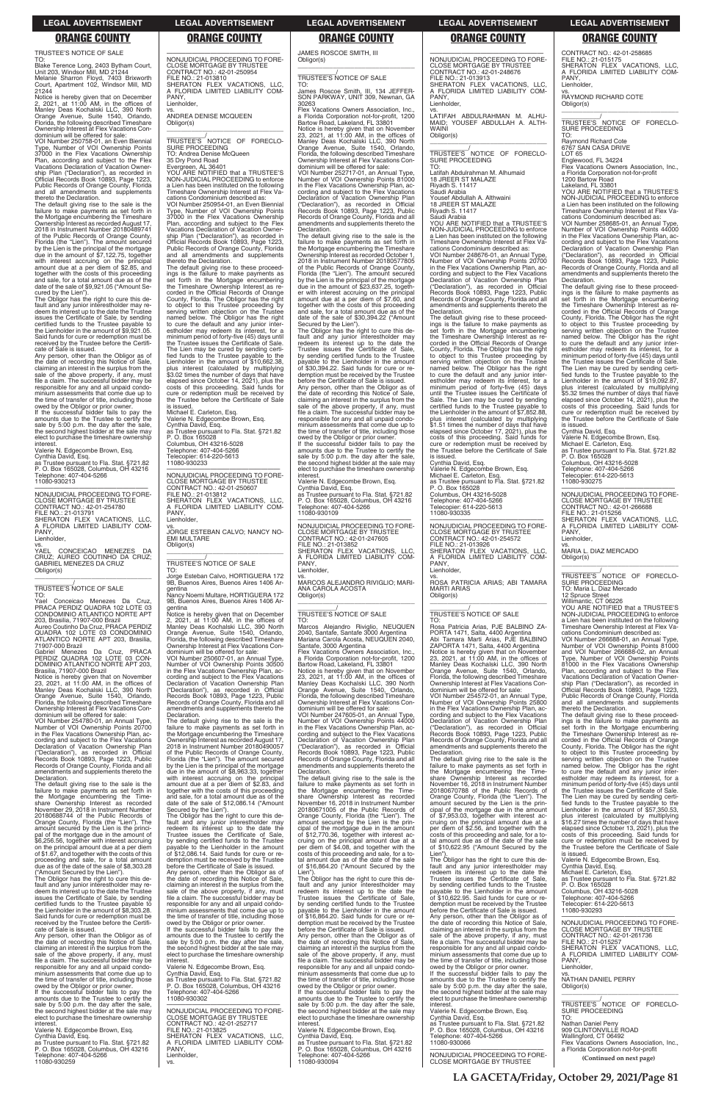TRUSTEE'S NOTICE OF SALE

TO: Blake Terence Long, 2403 Bytham Court, Unit 203, Windsor Mill, MD 21244 Melanie Sharron Floyd, 7403 Brixworth Court, Apartment 102, Windsor Mill, MD 21244

Notice is hereby given that on December 2, 2021, at 11:00 AM, in the offices of Manley Deas Kochalski LLC, 390 North Orange Avenue, Suite 1540, Orlando, Florida, the following described Timeshare Ownership Interest at Flex Vacations Con-dominium will be offered for sale:

VOI Number 250758-01, an Even Biennial Type, Number of VOI Ownership Points 37000 in the Flex Vacations Ownership Plan, according and subject to the Flex Vacations Declaration of Vacation Ownership Plan ("Declaration"), as recorded in Official Records Book 10893, Page 1223, Public Records of Orange County, Florida and all amendments and supplements thereto the Declaration.

The default giving rise to the sale is the failure to make payments as set forth in the Mortgage encumbering the Timeshare Ownership Interest as recorded August 17, 2018 in Instrument Number 20180489741 of the Public Records of Orange County, Florida (the "Lien"). The amount secured by the Lien is the principal of the mortgage due in the amount of \$7,122.75, together with interest accruing on the principal amount due at a per diem of \$2.85, and together with the costs of this proceeding and sale, for a total amount due as of the date of the sale of \$9,921.05 ("Amount Se-

sale by 5:00 p.m. the day after the sale, the second highest bidder at the sale may elect to purchase the timeshare ownership **interest** Valerie N. Edgecombe Brown, Esq.

vs.<br>YAEL CONCEICAO MENEZES DA<br>CRUZ; AUREO COUTINHO DA CRUZ;<br>GABRIEL.MENEZES.DA.CRUZ Obligor(s)

cured by the Lien"). The Obligor has the right to cure this default and any junior interestholder may redeem its interest up to the date the Trustee issues the Certificate of Sale, by sending certified funds to the Trustee payable to the Lienholder in the amount of \$9,921.05. Said funds for cure or redemption must be received by the Trustee before the Certificate of Sale is issued.

Notice is hereby given that on November<br>23, 2021, at 11:00 AM, in the offices of<br>Manley Deas Kochalski LLC, 390 North<br>Orange Avenue, Suite 1540, Orlando,<br>Florida, the following described Timeshare Ownership Interest at Flex Vacations Condominium will be offered for sale:

Any person, other than the Obligor as of the date of recording this Notice of Sale, claiming an interest in the surplus from the sale of the above property, if any, must file a claim. The successful bidder may be responsible for any and all unpaid condominium assessments that come due up to the time of transfer of title, including those owed by the Obligor or prior owner. If the successful bidder fails to pay the amounts due to the Trustee to certify the

20180688744 of the Public Records of<br>20180688744 of the Public Records of Orange County, Florida (the "Lien"). The amount secured by the Lien is the principal of the mortgage due in the amount of \$6,256.56, together with interest accruing on the principal amount due at a per diem of \$1.67, and together with the costs of this proceeding and sale, for a total amount due as of the date of the sale of \$8,303.28 ("Amount Secured by the Lien").

Cynthia David, Esq. as Trustee pursuant to Fla. Stat. §721.82 P. O. Box 165028, Columbus, OH 43216 Telephone: 407-404-5266 11080-930213

—————————————————— NONJUDICIAL PROCEEDING TO FORE-CLOSE MORTGAGE BY TRUSTEE CONTRACT NO.: 42-01-254780 FILE NO.: 21-013791 SHERATON FLEX VACATIONS, LLC, A FLORIDA LIMITED LIABILITY COM-PANY, Lienholder,

\_\_\_\_\_\_\_\_\_\_\_\_\_\_\_\_\_\_\_\_\_\_\_\_\_\_\_\_\_\_\_\_\_

\_\_\_\_\_\_\_\_\_\_\_/ TRUSTEE'S NOTICE OF SALE TO:

PANY Lienholder,

Yael Conceicao Menezes Da Cruz, PRACA PERDIZ QUADRA 102 LOTE 03 CONDOMINIO ATLANTICO NORTE APT 203, Brasilia, 71907-000 Brazil

Aureo Coutinho Da Cruz, PRACA PERDIZ QUADRA 102 LOTE 03 CONDOMINIO ATLANTICO NORTE APT 203, Brasilia, 71907-000 Brazil

Gabriel Menezes Da Cruz, PRACA PERDIZ QUADRA 102 LOTE 03 CON-DOMINIO ATLANTICO NORTE APT 203, Brasilia, 71907-000 Brazil

VOI Number 254780-01, an Annual Type, Number of VOI Ownership Points 20700 in the Flex Vacations Ownership Plan, according and subject to the Flex Vacations Declaration of Vacation Ownership Plan ("Declaration"), as recorded in Official Records Book 10893, Page 1223, Public Records of Orange County, Florida and all amendments and supplements thereto the Declaration.

The default giving rise to the sale is the failure to make payments as set forth in the Mortgage encumbering the Timeshare Ownership Interest as recorded November 29, 2018 in Instrument Number

gentina<br>Notice is hereby given that on December<br>2, 2021, at 11:00 AM, in the offices of<br>Manley Deas Kochalski LLC, 390 North<br>Orange Avenue, Suite 1540, Orlando,<br>Florida, the following described Timeshare<br>Ownership Interest dominium will be offered for sale:

The Obligor has the right to cure this de-fault and any junior interestholder may re-deem its interest up to the date the Trustee issues the Certificate of Sale, by sending certified funds to the Trustee payable to the Lienholder in the amount of \$8,303.28. Said funds for cure or redemption must be received by the Trustee before the Certifi-

cate of Sale is issued. Any person, other than the Obligor as of the date of recording this Notice of Sale, claiming an interest in the surplus from the sale of the above property, if any, must file a claim. The successful bidder may be responsible for any and all unpaid condominium assessments that come due up to the time of transfer of title, including those

amounts due to the Trustee to certify the sale by 5:00 p.m. the day after the sale, the second highest bidder at the sale may elect to purchase the timeshare ownership<br>interest

owed by the Obligor or prior owner. If the successful bidder fails to pay the amounts due to the Trustee to certify the sale by 5:00 p.m. the day after the sale, the second highest bidder at the sale may elect to purchase the timeshare ownership interest.

James Roscoe Smith, III, 134 JEFFER-SON PARKWAY, UNIT 309, Newnan, GA 30263<br>Flex Vacations Owners Association, Inc.

Valerie N. Edgecombe Brown, Esq. Cynthia David, Esq. as Trustee pursuant to Fla. Stat. §721.82 P. O. Box 165028, Columbus, OH 43216 Telephone: 407-404-5266 11080-930259

—————————————————— NONJUDICIAL PROCEEDING TO FORE-CLOSE MORTGAGE BY TRUSTEE CONTRACT NO.: 42-01-250954

FILE NO.: 21-013810 SHERATON FLEX VACATIONS, LLC, A FLORIDA LIMITED LIABILITY COM-

vs. ANDREA DENISE MCQUEEN

Obligor(s)

\_\_\_\_\_\_\_\_\_\_\_\_\_\_\_\_\_\_\_\_\_\_\_\_\_\_\_\_\_\_\_\_\_ \_\_\_\_\_\_\_\_\_\_\_/ TRUSTEE'S NOTICE OF FORECLO-

SURE PROCEEDING TO: Andrea Denise McQueen 35 Dry Pond Road

Evergreen, AL 36401 YOU ARE NOTIFIED that a TRUSTEE'S NON-JUDICIAL PROCEEDING to enforce a Lien has been instituted on the following Timeshare Ownership Interest at Flex Vacations Condominium described as: VOI Number 250954-01, an Even Biennial Type, Number of VOI Ownership Points 37000 in the Flex Vacations Ownership Plan, according and subject to the Flex Vacations Declaration of Vacation Ownership Plan ("Declaration"), as recorded in Official Records Book 10893, Page 1223, Public Records of Orange County, Florida and all amendments and supplements

> Secured by the Lien").<br>The Obligor has the right to cure this de-<br>fault and any junior interestholder may<br>redeem its interest up to the date the<br>Trustee issues the Certificate of Sale, by sending certified funds to the Trustee payable to the Lienholder in the amount of \$30,394.22. Said funds for cure or redemption must be received by the Trustee before the Certificate of Sale is issued.

> Any person, other than the Obligor as of the date of recording this Notice of Sale, claiming an interest in the surplus from the sale of the above property, if any, must file a claim. The successful bidder may be responsible for any and all unpaid condominium assessments that come due up to the time of transfer of title, including those

thereto the Declaration.

The default giving rise to these proceed-ings is the failure to make payments as set forth in the Mortgage encumbering the Timeshare Ownership Interest as recorded in the Official Records of Orange County, Florida. The Obligor has the right to object to this Trustee proceeding by serving written objection on the Trustee named below. The Obligor has the right to cure the default and any junior inter-estholder may redeem its interest, for a minimum period of forty-five (45) days until the Trustee issues the Certificate of Sale. The Lien may be cured by sending certi-fied funds to the Trustee payable to the Lienholder in the amount of \$10,662.38, plus interest (calculated by multiplying \$3.02 times the number of days that have elapsed since October 14, 2021), plus the costs of this proceeding. Said funds for cure or redemption must be received by the Trustee before the Certificate of Sale

> VOI Number 247605-01, an Annual Type, Number of VOI Ownership Points 44000 in the Flex Vacations Ownership Plan, according and subject to the Flex Vacations Declaration of Vacation Ownership Plan ("Declaration"), as recorded in Official Records Book 10893, Page 1223, Public Records of Orange County, Florida and all amendments and supplements thereto the **Declaration**

is issued.

Michael E. Carleton, Esq.

—————————————————— NONJUDICIAL PROCEEDING TO FORE-CLOSE MORTGAGE BY TRUSTEE CONTRACT NO.: 42-01-250607 FILE NO.: 21-013812 SHERATON FLEX VACATIONS, LLC, A FLORIDA LIMITED LIABILITY COM-Lienholder, vs. JORGE ESTEBAN CALVO; NANCY NO-EMI MULTARE Obligor(s)

PANY,

\_\_\_\_\_\_\_\_\_\_\_/ TRUSTEE'S NOTICE OF SALE TO:

Jorge Esteban Calvo, HORTIGUERA 172 9B, Buenos Aires, Buenos Aires 1406 Argentina Nancy Noemi Multare, HORTIGUERA 172

PANY, Lienholder.

\_\_\_\_\_\_\_\_\_\_\_\_\_\_\_\_\_\_\_\_\_\_\_\_\_\_\_\_\_\_\_\_\_ \_\_\_\_\_\_\_\_\_\_\_/<br>TRUSTEE'S NOTICE OF FORECLO-<br>SURE PROCEEDING

VOI Number 250607-01, an Annual Type, Number of VOI Ownership Points 30500 in the Flex Vacations Ownership Plan, ac-

cording and subject to the Flex Vacations Declaration of Vacation Ownership Plan ("Declaration"), as recorded in Official Records Book 10893, Page 1223, Public Records of Orange County, Florida and all amendments and supplements thereto the Declaration.

County, Florida. The Obligor has the right to object to this Trustee proceeding by serving written objection on the Trustee named below. The Obligor has the right to cure the default and any junior inter-estholder may redeem its interest, for a minimum period of forty-five (45) days until the Trustee issues the Certificate of Sale. The Lien may be cured by sending certified funds to the Trustee payable to the Lienholder in the amount of \$7,852.88, plus interest (calculated by multiplying \$1.51 times the number of days that have elapsed since October 17, 2021), plus the costs of this proceeding. Said funds for cure or redemption must be received by the Trustee before the Certificate of Sale

The default giving rise to the sale is the

failure to make payments as set forth in the Mortgage encumbering the Timeshare Ownership Interest as recorded August 17, 2018 in Instrument Number 20180490057 of the Public Records of Orange County, Florida (the "Lien"). The amount secured by the Lien is the principal of the mortgage due in the amount of \$8,963.33, together with interest accruing on the principal amount due at a per diem of \$2.83, and together with the costs of this proceeding and sale, for a total amount due as of the date of the sale of \$12,086.14 ("Amount Secured by the Lien").

The Obligor has the right to cure this default and any junior interestholder may redeem its interest up to the date the Trustee issues the Certificate of Sale, by sending certified funds to the Trustee payable to the Lienholder in the amount of \$12,086.14. Said funds for cure or redemption must be received by the Trustee before the Certificate of Sale is issued.

Any person, other than the Obligor as of the date of recording this Notice of Sale, claiming an interest in the surplus from the sale of the above property, if any, must file a claim. The successful bidder may be responsible for any and all unpaid condo-minium assessments that come due up to the time of transfer of title, including those owed by the Obligor or prior owner. If the successful bidder fails to pay the

interest. Valerie N. Edgecombe Brown, Esq. Cynthia David, Esq. as Trustee pursuant to Fla. Stat. §721.82 P. O. Box 165028, Columbus, OH 43216 Telephone: 407-404-5266

11080-930302

Valerie N. Edgecombe Brown, Esq. Cynthia David, Esq. as Trustee pursuant to Fla. Stat. §721.82 P. O. Box 165028 Columbus, OH 43216-5028 Telephone: 407-404-5266 Telecopier: 614-220-5613 11080-930233 \_\_\_\_\_\_\_\_\_\_\_\_\_\_\_\_\_\_\_\_\_\_\_\_\_\_\_\_\_\_\_\_\_ 9B, Buenos Aires, Buenos Aires 1406 Ar-11080-930109 PANY, Lienholder, Obligor(s) \_\_\_\_\_\_\_\_\_\_\_\_\_\_\_\_\_\_\_\_\_\_\_\_\_\_\_\_\_\_\_\_\_ TO:

—————————————————— NONJUDICIAL PROCEEDING TO FORE-CLOSE MORTGAGE BY TRUSTEE CONTRACT NO.: 42-01-252717 FILE NO.: 21-013825 SHERATON FLEX VACATIONS, LLC, A FLORIDA LIMITED LIABILITY COM-A FLC<br>PANY, Lienholder, vs.

JAMES ROSCOE SMITH, III Obligor(s) \_\_\_\_\_\_\_\_\_\_\_\_\_\_\_\_\_\_\_\_\_\_\_\_\_\_\_\_\_\_\_\_\_

### \_\_\_\_\_\_\_\_\_\_\_/ TRUSTEE'S NOTICE OF SALE TO:

Flex Vacations Owners Association, Inc., a Florida Corporation not-for-profit, 1200 Bartow Road, Lakeland, FL 33801 Notice is hereby given that on November 23, 2021, at 11:00 AM, in the offices of Manley Deas Kochalski LLC, 390 North Orange Avenue, Suite 1540, Orlando, Florida, the following described Timeshare Ownership Interest at Flex Vacations Condominium will be offered for sale:

VOI Number 252717-01, an Annual Type, Number of VOI Ownership Points 81000 in the Flex Vacations Ownership Plan, according and subject to the Flex Vacations Declaration of Vacation Ownership Plan ("Declaration"), as recorded in Official Records Book 10893, Page 1223, Public Records of Orange County, Florida and all amendments and supplements thereto the Declaration.

The default giving rise to the sale is the failure to make payments as set forth in the Mortgage encumbering the Timeshare Ownership Interest as recorded October 1, 2018 in Instrument Number 20180577805 of the Public Records of Orange County, Florida (the "Lien"). The amount secured by the Lien is the principal of the mortgage due in the amount of \$23,637.25, together with interest accruing on the principal amount due at a per diem of \$7.60, and together with the costs of this proceeding and sale, for a total amount due as of the date of the sale of \$30,394.22 ("Amount

owed by the Obligor or prior owner. If the successful bidder fails to pay the amounts due to the Trustee to certify the sale by 5:00 p.m. the day after the sale, the second highest bidder at the sale may elect to purchase the timeshare ownership

interest. Valerie N. Edgecombe Brown, Esq. Cynthia David, Esq. as Trustee pursuant to Fla. Stat. §721.82 P. O. Box 165028, Columbus, OH 43216 Telephone: 407-404-5266

—————————————————— NONJUDICIAL PROCEEDING TO FORE-CLOSE MORTGAGE BY TRUSTEE CONTRACT NO.: 42-01-247605 FILE NO.: 21-013852 SHERATON FLEX VACATIONS, LLC, A FLORIDA LIMITED LIABILITY COM-

vs. MARCOS ALEJANDRO RIVIGLIO; MARI-ANA CAROLA ACOSTA

# \_\_\_\_\_\_\_\_\_\_\_/ TRUSTEE'S NOTICE OF SALE

Marcos Alejandro Riviglio, NEUQUEN 2040, Santafe, Santafe 3000 Argentina Mariana Carola Acosta, NEUQUEN 2040,

Santafe, 3000 Argentina Flex Vacations Owners Association, Inc., a Florida Corporation not-for-profit, 1200 Bartow Road, Lakeland, FL 33801 Notice is hereby given that on November 23, 2021, at 11:00 AM, in the offices of Manley Deas Kochalski LLC, 390 North Orange Avenue, Suite 1540, Orlando, Florida, the following described Timeshare Ownership Interest at Flex Vacations Condominium will be offered for sale:

The default giving rise to the sale is the failure to make payments as set forth in the Mortgage encumbering the Timeshare Ownership Interest as recorded November 16, 2018 in Instrument Number 20180671005 of the Public Records of Orange County, Florida (the "Lien"). The amount secured by the Lien is the principal of the mortgage due in the amount of \$12,770.36, together with interest accruing on the principal amount due at a per diem of \$4.08, and together with the costs of this proceeding and sale, for a to-tal amount due as of the date of the sale of \$16,864.20 ("Amount Secured by the Lien"). The Obligor has the right to cure this de-fault and any junior interestholder may redeem its interest up to the date the Trustee issues the Certificate of Sale, by sending certified funds to the Trustee payable to the Lienholder in the amount of \$16,864.20. Said funds for cure or redemption must be received by the Trustee before the Certificate of Sale is issued. Any person, other than the Obligor as of the date of recording this Notice of Sale, claiming an interest in the surplus from the sale of the above property, if any, must file a claim. The successful bidder may be responsible for any and all unpaid condominium assessments that come due up to the time of transfer of title, including those owed by the Obligor or prior owner. If the successful bidder fails to pay the amounts due to the Trustee to certify the sale by 5:00 p.m. the day after the sale, the second highest bidder at the sale may elect to purchase the timeshare ownership interest. Valerie N. Edgecombe Brown, Esq. Cynthia David, Esq. as Trustee pursuant to Fla. Stat. §721.82 P. O. Box 165028, Columbus, OH 43216 Telephone: 407-404-5266 11080-930094

—————————————————— NONJUDICIAL PROCEEDING TO FORE-CLOSE MORTGAGE BY TRUSTEE CONTRACT NO.: 42-01-248676 FILE NO.: 21-013913 SHERATON FLEX VACATIONS, LLC, A FLORIDA LIMITED LIABILITY COM-

vs. LATIFAH ABDULRAHMAN M. ALHU-MAID; YOUSEF ABDULLAH A. ALTH-WAINI

Obligor(s)

TO:

Latifah Abdulrahman M. Alhumaid 18 JREER ST MALAZE Riyadh S. 11417 Saudi Arabia

Yousef Abdullah A. Althwaini 18 JREER ST MALAZE

Riyadh S. 11417 Saudi Arabia

YOU ARE NOTIFIED that a TRUSTEE'S NON-JUDICIAL PROCEEDING to enforce a Lien has been instituted on the following Timeshare Ownership Interest at Flex Va-cations Condominium described as: VOI Number 248676-01, an Annual Type, Number of VOI Ownership Points 20700 in the Flex Vacations Ownership Plan, according and subject to the Flex Vacations Declaration of Vacation Ownership Plan ("Declaration"), as recorded in Official Records Book 10893, Page 1223, Public Records of Orange County, Florida and all amendments and supplements thereto the

Declaration.

The default giving rise to these proceedings is the failure to make payments as set forth in the Mortgage encumbering the Timeshare Ownership Interest as re-corded in the Official Records of Orange

is issued. Cynthia David, Esq.

Valerie N. Edgecombe Brown, Esq. Michael E. Carleton, Esq. as Trustee pursuant to Fla. Stat. §721.82 P. O. Box 165028

Columbus, OH 43216-5028 Telephone: 407-404-5266 Telecopier: 614-220-5613 11080-930335

—————————————————— NONJUDICIAL PROCEEDING TO FORE-CLOSE MORTGAGE BY TRUSTEE CONTRACT NO.: 42-01-254572

FILE NO.: 21-013926 SHERATON FLEX VACATIONS, LLC, A FLORIDA LIMITED LIABILITY COM-PANY,

Lienholder,

vs. ROSA PATRICIA ARIAS; ABI TAMARA

MARTI ARIAS Obligor(s)

\_\_\_\_\_\_\_\_\_\_\_\_\_\_\_\_\_\_\_\_\_\_\_\_\_\_\_\_\_\_\_\_\_ \_\_\_\_\_\_\_\_\_\_\_/ TRUSTEE'S NOTICE OF SALE

TO:

Rosa Patricia Arias, PJE BALBINO ZA-PORTA 1471, Salta, 4400 Argentina Abi Tamara Marti Arias, PJE BALBINO ZAPORTA 1471, Salta, 4400 Argentina

Notice is hereby given that on November<br>23, 2021, at 11:00 AM, in the offices of<br>Manley Deas Kochalski LLC, 390 North<br>Orange Avenue, Suite 1540, Orlando,<br>Florida, the following described Timeshare<br>Ownership Interest at Fle

dominium will be offered for sale: VOI Number 254572-01, an Annual Type, Number 204072-01, an Annual Type,<br>Number of VOI Ownership Points 25800 in the Flex Vacations Ownership Plan, acCONTRACT NO.: 42-01-258685 FILE NO.: 21-015175 SHERATON FLEX VACATIONS, LLC, A FLORIDA LIMITED LIABILITY COM-PANY, Lienholder,

vs. RAYMOND RICHARD COTE

Obligor(s)

\_\_\_\_\_\_\_\_\_\_\_\_\_\_\_\_\_\_\_\_\_\_\_\_\_\_\_\_\_\_\_\_\_ \_\_\_\_\_\_\_\_\_\_\_/ TRUSTEE'S NOTICE OF FORECLO-SURE PROCEEDING TO:

Raymond Richard Cote 6767 SAN CASA DRIVE

LOT 65

Englewood, FL 34224 Flex Vacations Owners Association, Inc., a Florida Corporation not-for-profit

1200 Bartow Road Lakeland, FL 33801

YOU ARE NOTIFIED that a TRUSTEE'S NON-JUDICIAL PROCEEDING to enforce a Lien has been instituted on the following Timeshare Ownership Interest at Flex Vacations Condominium described as:

VOI Number 258685-01, an Annual Type, Number of VOI Ownership Points 44000 in the Flex Vacations Ownership Plan, according and subject to the Flex Vacations Declaration of Vacation Ownership Plan ("Declaration"), as recorded in Official Records Book 10893, Page 1223, Public Records of Orange County, Florida and all amendments and supplements thereto the Declaration.

The default giving rise to these proceedings is the failure to make payments as set forth in the Mortgage encumbering the Timeshare Ownership Interest as recorded in the Official Records of Orange County, Florida. The Obligor has the right to object to this Trustee proceeding by serving written objection on the Trustee named below. The Obligor has the right to cure the default and any junior inter-estholder may redeem its interest, for a minimum period of forty-five (45) days until the Trustee issues the Certificate of Sale. The Lien may be cured by sending certi-fied funds to the Trustee payable to the Lienholder in the amount of \$19,092.87, plus interest (calculated by multiplying \$5.32 times the number of days that have elapsed since October 14, 2021), plus the costs of this proceeding. Said funds for cure or redemption must be received by the Trustee before the Certificate of Sale is issued.

cording and subject to the Flex Vacations Declaration of Vacation Ownership Plan ("Declaration"), as recorded in Official Records Book 10893, Page 1223, Public Records of Orange County, Florida and all amendments and supplements thereto the **Declaration** The default giving rise to the sale is the<br>failure to make payments as set forth in<br>the Mortgage encumbering the Time-<br>share Ownership Interest as recorded<br>November 16, 2018 in Instrument Number 20180670788 of the Public Records of Orange County, Florida (the "Lien"). The amount secured by the Lien is the prin-cipal of the mortgage due in the amount of \$7,953.03, together with interest accruing on the principal amount due at a per diem of \$2.56, and together with the costs of this proceeding and sale, for a to-tal amount due as of the date of the sale of \$10,622.95 ("Amount Secured by the Lien"). The Obligor has the right to cure this default and any junior interestholder may redeem its interest up to the date the Trustee issues the Certificate of Sale, by sending certified funds to the Trustee payable to the Lienholder in the amount of \$10,622.95. Said funds for cure or redemption must be received by the Trustee before the Certificate of Sale is issued. Any person, other than the Obligor as of the date of recording this Notice of Sale, claiming an interest in the surplus from the sale of the above property, if any, must file a claim. The successful bidder may be responsible for any and all unpaid condominium assessments that come due up to the time of transfer of title, including those owed by the Obligor or prior owner. If the successful bidder fails to pay the amounts due to the Trustee to certify the sale by 5:00 p.m. the day after the sale, the second highest bidder at the sale may elect to purchase the timeshare ownership interest. Valerie N. Edgecombe Brown, Esq. Cynthia David, Esq. as Trustee pursuant to Fla. Stat. §721.82 P. O. Box 165028, Columbus, OH 43216 Telephone: 407-404-5266 11080-930066 —————————————————— NONJUDICIAL PROCEEDING TO FORE-CLOSE MORTGAGE BY TRUSTEE The default giving rise to these proceedings is the failure to make payments as set forth in the Mortgage encumbering the Timeshare Ownership Interest as re-corded in the Official Records of Orange County, Florida. The Obligor has the right to object to this Trustee proceeding by serving written objection on the Trustee named below. The Obligor has the right to cure the default and any junior inter-estholder may redeem its interest, for a minimum period of forty-five (45) days until the Trustee issues the Certificate of Sale. The Lien may be cured by sending certified funds to the Trustee payable to the<br>Lienholder in the amount of \$57,350.53, plus interest (calculated by multiplying \$16.27 times the number of days that have elapsed since October 13, 2021), plus the costs of this proceeding. Said funds for cure or redemption must be received by the Trustee before the Certificate of Sale is issued. Valerie N. Edgecombe Brown, Esq. Cynthia David, Esq. Michael E. Carleton, Esq. as Trustee pursuant to Fla. Stat. §721.82 P. O. Box 165028 Columbus, OH 43216-5028 Telephone: 407-404-5266 Telecopier: 614-220-5613 11080-930293 —————————————————— NONJUDICIAL PROCEEDING TO FORE-CLOSE MORTGAGE BY TRUSTEE CONTRACT NO.: 42-01-261736 FILE NO.: 21-015257 SHERATON FLEX VACATIONS, LLC, A FLORIDA LIMITED LIABILITY COM-PANY, Lienholder, vs. NATHAN DANIEL PERRY Obligor(s) \_\_\_\_\_\_\_\_\_\_\_\_\_\_\_\_\_\_\_\_\_\_\_\_\_\_\_\_\_\_\_\_\_ \_\_\_\_\_\_\_\_\_\_\_/<br>TRUSTEE'S NOTICE OF FORECLO-<br>SURE PROCEEDING TO: Nathan Daniel Perry 909 CLINTONVILLE ROAD Wallingford, CT 06492 Flex Vacations Owners Association, Inc., a Florida Corporation not-for-profit **(Continued on next page)**

Cynthia David, Esq. Valerie N. Edgecombe Brown, Esq. Michael E. Carleton, Esq. as Trustee pursuant to Fla. Stat. §721.82 P. O. Box 165028 Columbus, OH 43216-5028 Telephone: 407-404-5266 Telecopier: 614-220-5613 11080-930275

—————————————————— NONJUDICIAL PROCEEDING TO FORE-CLOSE MORTGAGE BY TRUSTEE CONTRACT NO.: 42-01-266688<br>FILE NO.: 21-015256<br>SHERATON FLEX VACATIONS, LLC,<br>A FLORIDA LIMITED LIABILITY COM-PANY, Lienholder,

vs. MARIA L. DIAZ MERCADO Obligor(s)

\_\_\_\_\_\_\_\_\_\_\_\_\_\_\_\_\_\_\_\_\_\_\_\_\_\_\_\_\_\_\_\_\_ \_\_\_\_\_\_\_\_\_\_\_/ TRUSTEE'S NOTICE OF FORECLO-SURE PROCEEDING TO: Maria L. Diaz Mercado

12 Spruce Street

Willimantic, CT 06226 YOU ARE NOTIFIED that a TRUSTEE'S NON-JUDICIAL PROCEEDING to enforce a Lien has been instituted on the following Timeshare Ownership Interest at Flex Vacations Condominium described as:

VOI Number 266688-01, an Annual Type, Number of VOI Ownership Points 81000 and VOI Number 266688-02, an Annual Type, Number of VOI Ownership Points 81000 in the Flex Vacations Ownership Plan, according and subject to the Flex Vacations Declaration of Vacation Owner-ship Plan ("Declaration"), as recorded in Official Records Book 10893, Page 1223, Public Records of Orange County, Florida and all amendments and supplements thereto the Declaration.

### **LEGAL ADVERTISEMENT LEGAL ADVERTISEMENT LEGAL ADVERTISEMENT LEGAL ADVERTISEMENT LEGAL ADVERTISEMENT**

### **ORANGE COUNTY ORANGE COUNTY ORANGE COUNTY ORANGE COUNTY ORANGE COUNTY**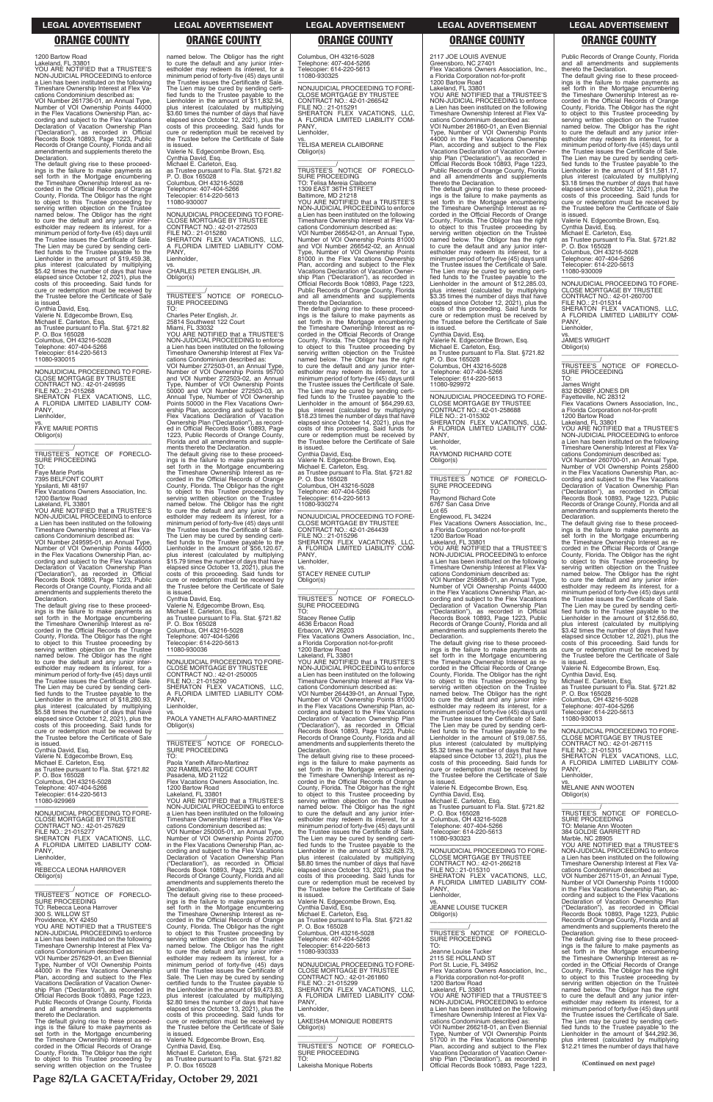1200 Bartow Road Lakeland, FL 33801

YOU ARE NOTIFIED that a TRUSTEE'S NON-JUDICIAL PROCEEDING to enforce a Lien has been instituted on the following Timeshare Ownership Interest at Flex Va-

cations Condominium described as: VOI Number 261736-01, an Annual Type, Number of VOI Ownership Points 44000 in the Flex Vacations Ownership Plan, according and subject to the Flex Vacations Declaration of Vacation Ownership Plan ("Declaration"), as recorded in Official Records Book 10893, Page 1223, Public Records of Orange County, Florida and all amendments and supplements thereto the Declaration.

The default giving rise to these proceed-ings is the failure to make payments as set forth in the Mortgage encumbering the Timeshare Ownership Interest as re-corded in the Official Records of Orange County, Florida. The Obligor has the right to object to this Trustee proceeding by serving written objection on the Trustee named below. The Obligor has the right to cure the default and any junior inter-estholder may redeem its interest, for a minimum period of forty-five (45) days until the Trustee issues the Certificate of Sale. The Lien may be cured by sending certi-fied funds to the Trustee payable to the Lienholder in the amount of \$19,459.38, plus interest (calculated by multiplying plus interest (calculated by multiplying<br>\$5.42 times the number of days that have elapsed since October 12, 2021), plus the costs of this proceeding. Said funds for cure or redemption must be received by the Trustee before the Certificate of Sale

is issued. Cynthia David, Esq.

Valerie N. Edgecombe Brown, Esq. Michael E. Carleton, Esq. as Trustee pursuant to Fla. Stat. §721.82 P. O. Box 165028 Columbus, OH 43216-5028 Telephone: 407-404-5266 Telecopier: 614-220-5613 11080-930015

—————————————————— NONJUDICIAL PROCEEDING TO FORE-CLOSE MORTGAGE BY TRUSTEE CONTRACT NO.: 42-01-249595 FILE NO.: 21-015268 SHERATON FLEX VACATIONS, LLC, A FLORIDA LIMITED LIABILITY COM-PANY Lienholder, vs. FAYE MARIE PORTIS

Obligor(s) \_\_\_\_\_\_\_\_\_\_\_\_\_\_\_\_\_\_\_\_\_\_\_\_\_\_\_\_\_\_\_\_\_ \_\_\_\_\_\_\_\_\_\_\_\_/<br>TRUSTEE'S NOTICE OF FORECLO-<br>SURE PROCEEDING TO:

Faye Marie Portis 7395 BELFONT COURT Ypsilanti, MI 48197

Flex Vacations Owners Association, Inc. 1200 Bartow Road

Lakeland, FL 33801 YOU ARE NOTIFIED that a TRUSTEE'S NON-JUDICIAL PROCEEDING to enforce a Lien has been instituted on the following Timeshare Ownership Interest at Flex Vacations Condominium described as:

VOI Number 249595-01, an Annual Type, Number of VOI Ownership Points 44000 in the Flex Vacations Ownership Plan, according and subject to the Flex Vacations Declaration of Vacation Ownership Plan ("Declaration"), as recorded in Official Records Book 10893, Page 1223, Public Records of Orange County, Florida and all amendments and supplements thereto the Declaration.

\_\_\_\_\_\_\_\_\_\_\_/<br>TRUSTEE'S NOTICE OF FORECLO-<br>SURE PROCEEDING TO:

The default giving rise to these proceed-ings is the failure to make payments as set forth in the Mortgage encumbering the Timeshare Ownership Interest as recorded in the Official Records of Orange County, Florida. The Obligor has the right to object to this Trustee proceeding by serving written objection on the Trustee named below. The Obligor has the right to cure the default and any junior inter-estholder may redeem its interest, for a minimum period of forty-five (45) days until the Trustee issues the Certificate of Sale. The Lien may be cured by sending certi-fied funds to the Trustee payable to the Lienholder in the amount of \$18,280.93, plus interest (calculated by multiplying<br>\$5.58 times the number of days that have<br>elapsed since October 12, 2021), plus the<br>costs of this proceeding. Said funds for<br>cure or redemption must be received by<br>the Trustee before is issued.

Cynthia David, Esq. Valerie N. Edgecombe Brown, Esq. Michael E. Carleton, Esq. as Trustee pursuant to Fla. Stat. §721.82 P. O. Box 165028 Columbus, OH 43216-5028 Telephone: 407-404-5266 Telecopier: 614-220-5613 11080-929969

Paola Yaneth Alfaro-Martinez 302 RAMBLING RIDGE COURT Pasadena, MD 21122 Flex Vacations Owners Association, Inc. 1200 Bartow Road Lakeland, FL 33801 YOU ARE NOTIFIED that a TRUSTEE'S NON-JUDICIAL PROCEEDING to

named below. The Obligor has the right to cure the default and any junior inter-estholder may redeem its interest, for a minimum period of forty-five (45) days until the Trustee issues the Certificate of Sale. The Lien may be cured by sending certi-fied funds to the Trustee payable to the Lienholder in the amount of \$11,832.94, plus interest (calculated by multiplying \$3.60 times the number of days that have elapsed since October 12, 2021), plus the costs of this proceeding. Said funds for cure or redemption must be received by the Trustee before the Certificate of Sale

> \_\_\_\_\_\_\_\_\_\_\_\_/<br>TRUSTEE'S NOTICE OF FORECLO-<br>SURE PROCEEDING TO: Telisa Mereia Claiborne 1309 EAST 36TH STREET Baltimore, MD 21218 YOU ARE NOTIFIED that a TRUSTEE'S NON-JUDICIAL PROCEEDING to enforce a Lien has been instituted on the following Timeshare Ownership Interest at Flex Va-

is issued. Valerie N. Edgecombe Brown, Esq. Cynthia David, Esq. Michael E. Carleton, Esq. as Trustee pursuant to Fla. Stat. §721.82 P. O. Box 165028 Columbus, OH 43216-5028 Telephone: 407-404-5266 Telecopier: 614-220-5613

11080-930007 —————————————————— NONJUDICIAL PROCEEDING TO FORE-CLOSE MORTGAGE BY TRUSTEE CONTRACT NO.: 42-01-272503 FILE NO.: 21-015280 SHERATON FLEX VACATIONS, LLC, A FLORIDA LIMITED LIABILITY COM-PANY, Lienholder,

The default giving rise to these proceed-<br>ings is the failure to make payments as<br>set forth in the Mortgage encumbering<br>the Timeshare Ownership Interest as re-<br>corded in the Official Records of Orange<br>County, Florida. The estholder may redeem its interest, for a minimum period of forty-five (45) days until the Trustee issues the Certificate of Sale. The Lien may be cured by sending certi-fied funds to the Trustee payable to the Lienholder in the amount of \$64,299.63, plus interest (calculated by multiplying \$18.23 times the number of days that have elapsed since October 14, 2021), plus the costs of this proceeding. Said funds for cure or redemption must be received by the Trustee before the Certificate of Sale is issued. Cynthia David, Esq.

vs. CHARLES PETER ENGLISH, JR. Obligor(s) \_\_\_\_\_\_\_\_\_\_\_\_\_\_\_\_\_\_\_\_\_\_\_\_\_\_\_\_\_\_\_\_\_

> —————————————————— NONJUDICIAL PROCEEDING TO FORE-CLOSE MORTGAGE BY TRUSTEE CONTRACT NO.: 42-01-264439 FILE NO.: 21-015296 SHERATON FLEX VACATIONS, LLC,<br>A FLORIDA LIMITED LIABILITY COM-<br>PANY,

Charles Peter English, Jr. 25814 Southwest 122 Court Miami, FL 33032

YOU ARE NOTIFIED that a TRUSTEE'S NON-JUDICIAL PROCEEDING to enforce a Lien has been instituted on the following Timeshare Ownership Interest at Flex Vacations Condominium described as: VOI Number 272503-01, an Annual Type,

Number of VOI Ownership Points 95700 and VOI Number 272503-02, an Annual Type, Number of VOI Ownership Points 50000 and VOI Number 272503-03, an Annual Type, Number of VOI Ownership Points 50000 in the Flex Vacations Ownership Plan, according and subject to the Flex Vacations Declaration of Vacation Ownership Plan ("Declaration"), as recorded in Official Records Book 10893, Page 1223, Public Records of Orange County, Florida and all amendments and supplements thereto the Declaration.

The default giving rise to these proceed-ings is the failure to make payments as set forth in the Mortgage encumbering the Timeshare Ownership Interest as recorded in the Official Records of Orange County, Florida. The Obligor has the right to object to this Trustee proceeding by serving written objection on the Trustee named below. The Obligor has the right to cure the default and any junior inter-estholder may redeem its interest, for a minimum period of forty-five (45) days until the Trustee issues the Certificate of Sale. The Lien may be cured by sending certi-fied funds to the Trustee payable to the Lienholder in the amount of \$56,120.67, plus interest (calculated by multiplying<br>\$15.79 times the number of days that have<br>elapsed since October 13, 2021), plus the<br>costs of this proceeding. Said funds for<br>cure or redemption must be received by<br>the Trustee befor is issued.

Cynthia David, Esq. Valerie N. Edgecombe Brown, Esq. Michael E. Carleton, Esq. as Trustee pursuant to Fla. Stat. §721.82 P. O. Box 165028 Columbus, OH 43216-5028 Telephone: 407-404-5266 Telecopier: 614-220-5613 11080-930036

—————————————————— NONJUDICIAL PROCEEDING TO FORE-CLOSE MORTGAGE BY TRUSTEE CONTRACT NO.: 42-01-250005 FILE NO.: 21-015290 SHERATON FLEX VACATIONS, LLC, A FLORIDA LIMITED LIABILITY COM-PANY, Lienholder,

thereto the Declaration.<br>The default giving rise to these proceed-<br>ings is the failure to make payments as<br>set forth in the Mortgage encumbering<br>the Timeshare Ownership Interest as re-<br>corded in the Official Records of Ora County, Florida. The Obligor has the right to object to this Trustee proceeding by serving written objection on the Trustee named below. The Obligor has the right to cure the default and any junior inter-estholder may redeem its interest, for a minimum period of forty-five (45) days until the Trustee issues the Certificate of Sale. The Lien may be cured by sending certified funds to the Trustee payable to the<br>Lienholder in the amount of \$12,285.03, plus interest (calculated by multiplying<br>\$3.35 times the number of days that have<br>elapsed since October 12, 2021), plus the<br>costs of this proceeding. Said funds for<br>cure or redemption must be received by<br>the Trustee before is issued.

vs. PAOLA YANETH ALFARO-MARTINEZ Obligor(s) \_\_\_\_\_\_\_\_\_\_\_\_\_\_\_\_\_\_\_\_\_\_\_\_\_\_\_\_\_\_\_\_\_

\_\_\_\_\_\_\_\_\_\_\_/ TRUSTEE'S NOTICE OF FORECLO-SURE PROCEEDING TO:

Columbus, OH 43216-5028 Telephone: 407-404-5266 copier: 614-220-5613 11080-930325

—————————————————— NONJUDICIAL PROCEEDING TO FORE-CLOSE MORTGAGE BY TRUSTEE CONTRACT NO.: 42-01-266542 FILE NO.: 21-015291 SHERATON FLEX VACATIONS, LLC, A FLORIDA LIMITED LIABILITY COM-PANY, Lienholder,

vs. TELISA MEREIA CLAIBORNE Obligor(s) \_\_\_\_\_\_\_\_\_\_\_\_\_\_\_\_\_\_\_\_\_\_\_\_\_\_\_\_\_\_\_\_\_

cations Condominium described as: VOI Number 266542-01, an Annual Type, Number of VOI Ownership Points 81000 and VOI Number 266542-02, an Annual Type, Number of VOI Ownership Points 81000 in the Flex Vacations Ownership Plan, according and subject to the Flex Vacations Declaration of Vacation Ownership Plan ("Declaration"), as recorded in Official Records Book 10893, Page 1223, Public Records of Orange County, Florida and all amendments and supplements thereto the Declaration.

> copier: 614-220-5613 11080-930013

\_\_\_\_\_\_\_\_\_\_\_\_\_\_\_\_\_\_\_\_\_\_\_\_\_\_\_\_\_\_\_\_\_  $\overline{\phantom{a}}$ 

Valerie N. Edgecombe Brown, Esq. Michael E. Carleton, Esq. as Trustee pursuant to Fla. Stat. §721.82 P. O. Box 165028 Columbus, OH 43216-5028 Telephone: 407-404-5266 Telecopier: 614-220-5613 11080-930274

Lienholder,

vs. STACEY RENEE CUTLIP Obligor(s) \_\_\_\_\_\_\_\_\_\_\_\_\_\_\_\_\_\_\_\_\_\_\_\_\_\_\_\_\_\_\_\_\_

\_\_\_\_\_\_\_\_\_\_\_/<br>TRUSTEE'S NOTICE OF FORECLO-<br>SURE PROCEEDING

TO: Stacey Renee Cutlip 4636 Erbacon Road Erbacon, WV 26203

Flex Vacations Owners Association, Inc., a Florida Corporation not-for-profit 1200 Bartow Road

Lakeland, FL 33801 YOU ARE NOTIFIED that a TRUSTEE'S NON-JUDICIAL PROCEEDING to enforce a Lien has been instituted on the following Timeshare Ownership Interest at Flex Vacations Condominium described as:

VOI Number 264439-01, an Annual Type, Number of VOI Ownership Points 81000 in the Flex Vacations Ownership Plan, ac-<br>cording and subject to the Flex Vacations<br>Declaration of Vacation Ownership Plan<br>("Declaration"), as recorded in Official<br>Records Book 10893, Page 1223, Public<br>Records of Orange Co Declaration.

The default giving rise to these proceedings is the failure to make payments as set forth in the Mortgage encumbering the Timeshare Ownership Interest as re-corded in the Official Records of Orange County, Florida. The Obligor has the right to object to this Trustee proceeding by serving written objection on the Trustee named below. The Obligor has the right

|                                             | NON-JUDICIAL PROCEEDING to enforce          | named below. The Obligor has the right       | as Trustee pursuant to Fla. Stat. §721.82   |                                              |
|---------------------------------------------|---------------------------------------------|----------------------------------------------|---------------------------------------------|----------------------------------------------|
| NONJUDICIAL PROCEEDING TO FORE-             | a Lien has been instituted on the following | to cure the default and any junior inter-    | P. O. Box 165028                            | TRUSTEE'S NOTICE OF FORECLO-                 |
| <b>CLOSE MORTGAGE BY TRUSTEE</b>            | Timeshare Ownership Interest at Flex Va-    | estholder may redeem its interest, for a     | Columbus, OH 43216-5028                     | SURE PROCEEDING                              |
| CONTRACT NO.: 42-01-257629                  | cations Condominium described as:           | minimum period of forty-five (45) days until | Telephone: 407-404-5266                     | TO: Melanie Ann Wooten                       |
| FILE NO.: 21-015277                         | VOI Number 250005-01, an Annual Type.       | the Trustee issues the Certificate of Sale.  | Telecopier: 614-220-5613                    | 384 GOLDIE GARRETT RD                        |
| SHERATON FLEX VACATIONS, LLC,               | Number of VOI Ownership Points 20700        | The Lien may be cured by sending certi-      | 11080-930323                                | Marble, NC 28905                             |
|                                             |                                             |                                              |                                             |                                              |
| A FLORIDA LIMITED LIABILITY COM-            | in the Flex Vacations Ownership Plan, ac-   | fied funds to the Trustee payable to the     |                                             | YOU ARE NOTIFIED that a TRUSTEE'S            |
| PANY.                                       | cording and subject to the Flex Vacations   | Lienholder in the amount of \$32,628.73,     | NONJUDICIAL PROCEEDING TO FORE-             | NON-JUDICIAL PROCEEDING to enforce           |
| Lienholder,                                 | Declaration of Vacation Ownership Plan      | plus interest (calculated by multiplying     | <b>CLOSE MORTGAGE BY TRUSTEE</b>            | a Lien has been instituted on the following  |
| VS.                                         | ("Declaration"), as recorded in Official    | \$8.80 times the number of days that have    | CONTRACT NO.: 42-01-266218                  | Timeshare Ownership Interest at Flex Va-     |
| REBECCA LEONA HARROVER                      | Records Book 10893, Page 1223, Public       | elapsed since October 13, 2021), plus the    | FILE NO.: 21-015310                         | cations Condominium described as:            |
| Obligor(s)                                  | Records of Orange County, Florida and all   | costs of this proceeding. Said funds for     | SHERATON FLEX VACATIONS, LLC,               | VOI Number 267115-01, an Annual Type,        |
|                                             | amendments and supplements thereto the      | cure or redemption must be received by       | A FLORIDA LIMITED LIABILITY COM-            | Number of VOI Ownership Points 110000        |
|                                             | Declaration.                                | the Trustee before the Certificate of Sale   | PANY.                                       | in the Flex Vacations Ownership Plan, ac-    |
| TRUSTEE'S NOTICE OF FORECLO-                | The default giving rise to these proceed-   | is issued.                                   | Lienholder,                                 | cording and subject to the Flex Vacations    |
| <b>SURE PROCEEDING</b>                      | ings is the failure to make payments as     | Valerie N. Edgecombe Brown, Esq.             | VS.                                         | Declaration of Vacation Ownership Plan       |
| TO: Rebecca Leona Harrover                  | set forth in the Mortgage encumbering       | Cynthia David, Esq.                          | <b>JEANNE LOUISE TUCKER</b>                 | ("Declaration"), as recorded in Official     |
| 300 S. WILLOW ST                            | the Timeshare Ownership Interest as re-     | Michael E. Carleton, Esg.                    | Obligor(s)                                  | Records Book 10893, Page 1223, Public        |
| Providence, KY 42450                        | corded in the Official Records of Orange    | as Trustee pursuant to Fla. Stat. §721.82    |                                             |                                              |
|                                             |                                             |                                              |                                             | Records of Orange County, Florida and all    |
| YOU ARE NOTIFIED that a TRUSTEE'S           | County, Florida. The Obligor has the right  | P. O. Box 165028                             |                                             | amendments and supplements thereto the       |
| NON-JUDICIAL PROCEEDING to enforce          | to object to this Trustee proceeding by     | Columbus, OH 43216-5028                      | TRUSTEE'S NOTICE OF FORECLO-                | Declaration.                                 |
| a Lien has been instituted on the following | serving written objection on the Trustee    | Telephone: 407-404-5266                      | <b>SURE PROCEEDING</b>                      | The default giving rise to these proceed-    |
| Timeshare Ownership Interest at Flex Va-    | named below. The Obligor has the right      | Telecopier: 614-220-5613                     | TO:                                         | ings is the failure to make payments as      |
| cations Condominium described as:           | to cure the default and any junior inter-   | 11080-930333                                 | Jeanne Louise Tucker                        | set forth in the Mortgage encumbering        |
| VOI Number 257629-01, an Even Biennial      | estholder may redeem its interest, for a    |                                              | 2115 SE HOLLAND ST                          | the Timeshare Ownership Interest as re-      |
| Type, Number of VOI Ownership Points        | minimum period of forty-five (45) days      | NONJUDICIAL PROCEEDING TO FORE-              | Port St. Lucie, FL 34952                    | corded in the Official Records of Orange     |
| 44000 in the Flex Vacations Ownership       | until the Trustee issues the Certificate of | <b>CLOSE MORTGAGE BY TRUSTEE</b>             | Flex Vacations Owners Association, Inc.,    | County, Florida. The Obligor has the right   |
| Plan, according and subject to the Flex     | Sale. The Lien may be cured by sending      | CONTRACT NO.: 42-01-261860                   | a Florida corporation not-for-profit        | to object to this Trustee proceeding by      |
| Vacations Declaration of Vacation Owner-    | certified funds to the Trustee payable to   | FILE NO.: 21-015299                          | 1200 Bartow Road                            | serving written objection on the Trustee     |
| ship Plan ("Declaration"), as recorded in   | the Lienholder in the amount of \$9,473.83, | SHERATON FLEX VACATIONS. LLC.                | Lakeland. FL 33801                          | named below. The Obligor has the right       |
| Official Records Book 10893, Page 1223,     | plus interest (calculated by multiplying    | A FLORIDA LIMITED LIABILITY COM-             | YOU ARE NOTIFIED that a TRUSTEE'S           | to cure the default and any junior inter-    |
| Public Records of Orange County, Florida    | \$2.80 times the number of days that have   | PANY.                                        | NON-JUDICIAL PROCEEDING to enforce          | estholder may redeem its interest, for a     |
| and all amendments and supplements          | elapsed since October 13, 2021), plus the   | Lienholder,                                  | a Lien has been instituted on the following | minimum period of forty-five (45) days until |
| thereto the Declaration.                    | costs of this proceeding. Said funds for    | VS.                                          | Timeshare Ownership Interest at Flex Va-    | the Trustee issues the Certificate of Sale.  |
| The default giving rise to these proceed-   | cure or redemption must be received by      | <b>LAKEISHA MONIQUE ROBERTS</b>              | cations Condominium described as:           | The Lien may be cured by sending certi-      |
| ings is the failure to make payments as     | the Trustee before the Certificate of Sale  |                                              | VOI Number 266218-01, an Even Biennial      | fied funds to the Trustee payable to the     |
|                                             | is issued.                                  | Obligor(s)                                   |                                             |                                              |
| set forth in the Mortgage encumbering       |                                             |                                              | Type, Number of VOI Ownership Points        | Lienholder in the amount of \$44,292.36,     |
| the Timeshare Ownership Interest as re-     | Valerie N. Edgecombe Brown, Esq.            |                                              | 51700 in the Flex Vacations Ownership       | plus interest (calculated by multiplying     |
| corded in the Official Records of Orange    | Cynthia David, Esg.                         | TRUSTEE'S NOTICE OF<br>FORECLO-              | Plan, according and subject to the Flex     | \$12.21 times the number of days that have   |
| County, Florida. The Obligor has the right  | Michael E. Carleton, Esq.                   | SURE PROCEEDING                              | Vacations Declaration of Vacation Owner-    |                                              |
| to object to this Trustee proceeding by     | as Trustee pursuant to Fla. Stat. §721.82   | TO:                                          | ship Plan ("Declaration"), as recorded in   |                                              |
| serving written objection on the Trustee    | P. O. Box 165028                            | Lakeisha Monique Roberts                     | Official Records Book 10893, Page 1223,     | (Continued on next page)                     |

2117 JOE LOUIS AVENUE Greensboro, NC 27401

Flex Vacations Owners Association, Inc., a Florida Corporation not-for-profit 1200 Bartow Road

Lakeland, FL 33801 YOU ARE NOTIFIED that a TRUSTEE'S NON-JUDICIAL PROCEEDING to enforce a Lien has been instituted on the following Timeshare Ownership Interest at Flex Vacations Condominium described as:

VOI Number 261860-01, an Even Biennial Type, Number of VOI Ownership Points 44000 in the Flex Vacations Ownership Plan, according and subject to the Flex Vacations Declaration of Vacation Ownership Plan ("Declaration"), as recorded in Official Records Book 10893, Page 1223, Public Records of Orange County, Florida and all amendments and supplements

Cynthia David, Esq. Valerie N. Edgecombe Brown, Esq. Michael E. Carleton, Esq. as Trustee pursuant to Fla. Stat. §721.82 P. O. Box 165028 Columbus, OH 43216-5028 Telephone: 407-404-5266 Telecopier: 614-220-5613 11080-929972

—————————————————— NONJUDICIAL PROCEEDING TO FORE-CLOSE MORTGAGE BY TRUSTEE CONTRACT NO.: 42-01-258688 FILE NO.: 21-015302 SHERATON FLEX VACATIONS, LLC, A FLORIDA LIMITED LIABILITY COM-PANY, Lienholder,

vs. RAYMOND RICHARD COTE Obligor(s)

\_\_\_\_\_\_\_\_\_\_\_\_\_\_\_\_\_\_\_\_\_\_\_\_\_\_\_\_\_\_\_\_\_ \_\_\_\_\_\_\_\_\_\_\_/ TRUSTEE'S NOTICE OF FORECLO-SURE PROCEEDING TO:

Raymond Richard Cote 6767 San Casa Drive

Lot 65

Englewood, FL 34224 Flex Vacations Owners Association, Inc., a Florida Corporation not-for-profit 1200 Bartow Road

Lakeland, FL 33801 YOU ARE NOTIFIED that a TRUSTEE'S NON-JUDICIAL PROCEEDING to enforce a Lien has been instituted on the following Timeshare Ownership Interest at Flex Vacations Condominium described as:

VOI Number 258688-01, an Annual Type, Number of VOI Ownership Points 44000 in the Flex Vacations Ownership Plan, according and subject to the Flex Vacations Declaration of Vacation Ownership Plan ("Declaration"), as recorded in Official Records Book 10893, Page 1223, Public Records of Orange County, Florida and all amendments and supplements thereto the Declaration.

The default giving rise to these proceedings is the failure to make payments as set forth in the Mortgage encumbering the Timeshare Ownership Interest as re-corded in the Official Records of Orange County, Florida. The Obligor has the right to object to this Trustee proceeding by serving written objection on the Trustee named below. The Obligor has the right to cure the default and any junior inter-estholder may redeem its interest, for a minimum period of forty-five (45) days until the Trustee issues the Certificate of Sale. The Lien may be cured by sending certified funds to the Trustee payable to the<br>Lienholder in the amount of \$19,087.55, plus interest (calculated by multiplying<br>\$5.32 times the number of days that have<br>elapsed since October 13, 2021), plus the<br>costs of this proceeding. Said funds for<br>cure or redemption must be received by<br>the Trustee before is issued.

Valerie N. Edgecombe Brown, Esq. Cynthia David, Esq. Michael E. Carleton, Esq.

as Trustee pursuant to Fla. Stat. §721.82

Public Records of Orange County, Florida and all amendments and supplements thereto the Declaration.

The default giving rise to these proceed-ings is the failure to make payments as set forth in the Mortgage encumbering the Timeshare Ownership Interest as recorded in the Official Records of Orange County, Florida. The Obligor has the right<br>to object to this Trustee proceeding by<br>serving written objection on the Trustee<br>named below. The Obligor has the right<br>to cure the default and any junior inter-<br>estholder may red minimum period of forty-five (45) days until the Trustee issues the Certificate of Sale. The Lien may be cured by sending certi-fied funds to the Trustee payable to the Lienholder in the amount of \$11,581.17, plus interest (calculated by multiplying \$3.18 times the number of days that have elapsed since October 12, 2021), plus the costs of this proceeding. Said funds for cure or redemption must be received by the Trustee before the Certificate of Sale

is issued. Valerie N. Edgecombe Brown, Esq. Cynthia David, Esq. Michael E. Carleton, Esq. as Trustee pursuant to Fla. Stat. §721.82 P. O. Box 165028 Columbus, OH 43216-5028 Telephone: 407-404-5266 Telecopier: 614-220-5613 11080-930009

—————————————————— NONJUDICIAL PROCEEDING TO FORE-CLOSE MORTGAGE BY TRUSTEE CONTRACT NO.: 42-01-260700 FILE NO.: 21-015314 SHERATON FLEX VACATIONS, LLC, A FLORIDA LIMITED LIABILITY COM-PANY, Lienholder. vs. JAMES WRIGHT

Obligor(s) \_\_\_\_\_\_\_\_\_\_\_\_\_\_\_\_\_\_\_\_\_\_\_\_\_\_\_\_\_\_\_\_\_

\_\_\_\_\_\_\_\_\_\_\_/ TRUSTEE'S NOTICE OF FORECLO-SURE PROCEEDING TO:

James Wright

832 BOBBY JONES DR Fayetteville, NC 28312 Flex Vacations Owners Association, Inc.,

a Florida Corporation not-for-profit 1200 Bartow Road Lakeland, FL 33801

YOU ARE NOTIFIED that a TRUSTEE'S NON-JUDICIAL PROCEEDING to enforce a Lien has been instituted on the following Timeshare Ownership Interest at Flex Va-

cations Condominium described as: VOI Number 260700-01, an Annual Type, Number of VOI Ownership Points 25800 in the Flex Vacations Ownership Plan, ac-cording and subject to the Flex Vacations cording and subject to the riex vacations.<br>Declaration of Vacation Ownership Plan<br>"Declaration") as recorded in Official ("Declaration"), as recorded in Official Records Book 10893, Page 1223, Public Records of Orange County, Florida and all amendments and supplements thereto the Declaration.

The default giving rise to these proceed-ings is the failure to make payments as set forth in the Mortgage encumbering the Timeshare Ownership Interest as re-corded in the Official Records of Orange County, Florida. The Obligor has the right to object to this Trustee proceeding by serving written objection on the Trustee named below. The Obligor has the right to cure the default and any junior inter-estholder may redeem its interest, for a minimum period of forty-five (45) days until the Trustee issues the Certificate of Sale. The Lien may be cured by sending certi-fied funds to the Trustee payable to the Lienholder in the amount of \$12,656.60, plus interest (calculated by multiplying \$3.42 times the number of days that have elapsed since October 12, 2021), plus the costs of this proceeding. Said funds for cure or redemption must be received by the Trustee before the Certificate of Sale is issued. Valerie N. Edgecombe Brown, Esq.

Cynthia David, Esq. Michael E. Carleton, Esq. as Trustee pursuant to Fla. Stat. §721.82 P. O. Box 165028 Columbus, OH 43216-5028 Telephone: 407-404-5266

—————————————————— NONJUDICIAL PROCEEDING TO FORE-CLOSE MORTGAGE BY TRUSTEE CONTRACT NO.: 42-01-267115

FILE NO.: 21-015315 SHERATON FLEX VACATIONS, LLC, A FLORIDA LIMITED LIABILITY COM-PANY Lienholder,

vs. MELANIE ANN WOOTEN Obligor(s)

### **LEGAL ADVERTISEMENT LEGAL ADVERTISEMENT LEGAL ADVERTISEMENT LEGAL ADVERTISEMENT LEGAL ADVERTISEMENT**

### **ORANGE COUNTY ORANGE COUNTY ORANGE COUNTY ORANGE COUNTY ORANGE COUNTY**

**Page 82/LA GACETA/Friday, October 29, 2021**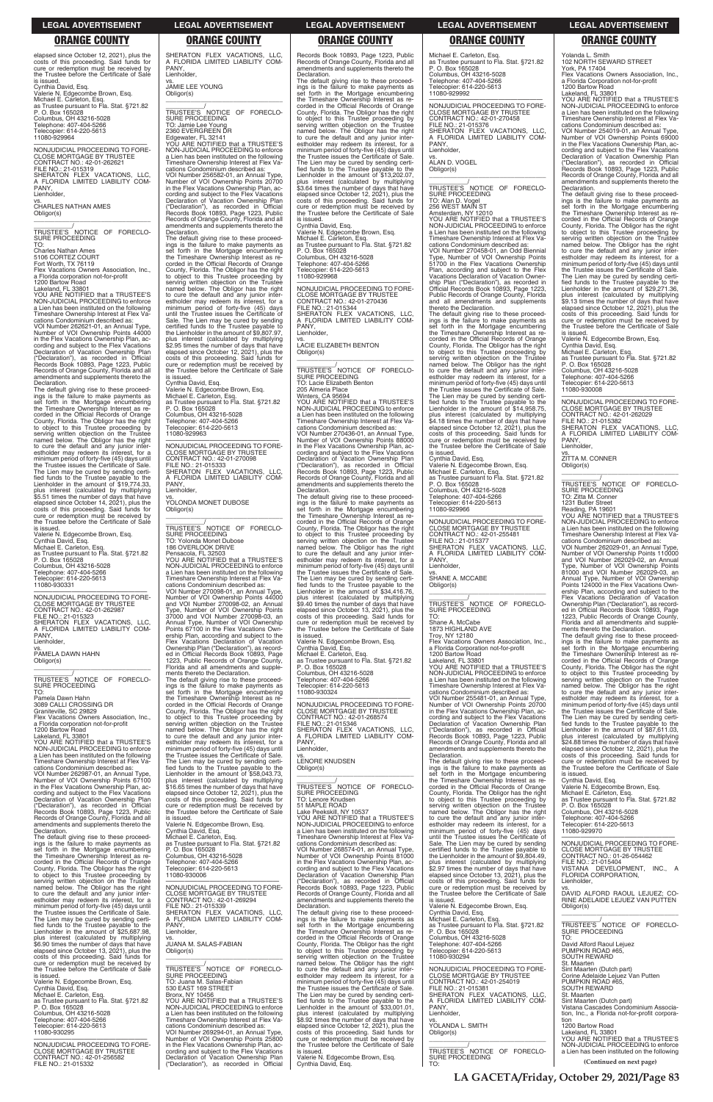elapsed since October 12, 2021), plus the costs of this proceeding. Said funds for cure or redemption must be received by the Trustee before the Certificate of Sale is issued.

Cynthia David, Esq. Valerie N. Edgecombe Brown, Esq. Michael E. Carleton, Esq. as Trustee pursuant to Fla. Stat. §721.82 P. O. Box 165028 Columbus, OH 43216-5028 Telephone: 407-404-5266 Telecopier: 614-220-5613 11080-929964

Charles Nathan Ame 5106 CORTEZ COURT

—————————————————— NONJUDICIAL PROCEEDING TO FORE-CLOSE MORTGAGE BY TRUSTEE CONTRACT NO.: 42-01-262621 FILE NO.: 21-015319 SHERATON FLEX VACATIONS, LLC, A FLORIDA LIMITED LIABILITY COM-PANY, Lienholder,

YOU ARE NOTIFIED that a TRUSTEE'S NON-JUDICIAL PROCEEDING to enforce a Lien has been instituted on the following Timeshare Ownership Interest at Flex Vacations Condominium described as: VOI Number 262621-01, an Annual Type,

vs. CHARLES NATHAN AMES Obligor(s) \_\_\_\_\_\_\_\_\_\_\_\_\_\_\_\_\_\_\_\_\_\_\_\_\_\_\_\_\_\_\_\_\_

\_\_\_\_\_\_\_\_\_\_\_/ TRUSTEE'S NOTICE OF FORECLO-SURE PROCEEDING TO:

Fort Worth, TX 76119 Flex Vacations Owners Association, Inc., a Florida corporation not-for-profit

1200 Bartow Road Lakeland, FL 33801

Number of VOI Ownership Points 44000 in the Flex Vacations Ownership Plan, ac-cording and subject to the Flex Vacations Declaration of Vacation Ownership Plan<br>
"Declaration") as recorded in Official ("Declaration"), as recorded in Official Records Book 10893, Page 1223, Public Records of Orange County, Florida and all amendments and supplements thereto the Declaration.

The default giving rise to these proceed-ings is the failure to make payments as set forth in the Mortgage encumbering the Timeshare Ownership Interest as re-corded in the Official Records of Orange County, Florida. The Obligor has the right to object to this Trustee proceeding by serving written objection on the Trustee named below. The Obligor has the right to cure the default and any junior inter-estholder may redeem its interest, for a minimum period of forty-five (45) days until the Trustee issues the Certificate of Sale. The Lien may be cured by sending certi-fied funds to the Trustee payable to the Lienholder in the amount of \$19,774.33, plus interest (calculated by multiplying \$5.51 times the number of days that have elapsed since October 14, 2021), plus the costs of this proceeding. Said funds for cure or redemption must be received by the Trustee before the Certificate of Sale is issued.

Valerie N. Edgecombe Brown, Esq. Cynthia David, Esq. Michael E. Carleton, Esq. as Trustee pursuant to Fla. Stat. §721.82 P. O. Box 165028 Columbus, OH 43216-5028 Telephone: 407-404-5266 Telecopier: 614-220-5613 11080-930331

\_\_\_\_\_\_\_\_\_\_\_\_\_/<br>TRUSTEE'S NOTICE OF FORECLO-SURE PROCEEDING TO: Jamie Lee Young 2360 EVERGREEN DR Edgewater, FL 32141 YOU ARE NOTIFIED that a TRUSTEE'S

NON-JUDICIAL PROCEEDING to enforce a Lien has been instituted on the following Timeshare Ownership Interest at Flex Vacations Condominium described as: VOI Number 256582-01, an Annual Type, Number of VOI Ownership Points 20700 in the Flex Vacations Ownership Plan, ac-cording and subject to the Flex Vacations Declaration of Vacation Ownership Plan ("Declaration"), as recorded in Official Records Book 10893, Page 1223, Public Records of Orange County, Florida and all amendments and supplements thereto the **Declaration.** 

—————————————————— NONJUDICIAL PROCEEDING TO FORE-CLOSE MORTGAGE BY TRUSTEE CONTRACT NO.: 42-01-262987 FILE NO.: 21-015323 SHERATON FLEX VACATIONS, LLC, A FLORIDA LIMITED LIABILITY COM-PANY, Lienholder,

vs. PAMELA DAWN HAHN Obligor(s) \_\_\_\_\_\_\_\_\_\_\_\_\_\_\_\_\_\_\_\_\_\_\_\_\_\_\_\_\_\_\_\_\_

\_\_\_\_\_\_\_\_\_\_\_/ TRUSTEE'S NOTICE OF FORECLO-SURE PROCEEDING TO:

Pamela Dawn Hahn

3089 CALLI CROSSING DR Graniteville, SC 29829

Flex Vacations Owners Association, Inc., a Florida corporation not-for-profit

1200 Bartow Road Lakeland, FL 33801 YOU ARE NOTIFIED that a TRUSTEE'S NON-JUDICIAL PROCEEDING to enforce a Lien has been instituted on the following Timeshare Ownership Interest at Flex Vacations Condominium described as:

VOI Number 262987-01, an Annual Type, Number of VOI Ownership Points 67100 in the Flex Vacations Ownership Plan, according and subject to the Flex Vacations Declaration of Vacation Ownership Plan ("Declaration"), as recorded in Official Records Book 10893, Page 1223, Public

SHERATON FLEX VACATIONS, LLC,<br>A FLORIDA LIMITED LIABILITY COM-<br>PANY,

NONJUDICIAL PROCEEDING TO FORE-<br>CLOSE MORTGAGE BY TRUSTEE<br>CONTRACT NO.: 42-01-270098<br>FILE NO.: 21-015333<br>SHERATON FLEX VACATIONS, LLC,<br>A FLORIDA LIMITED LIABILITY COM-PANY, Lienholder,

\_\_\_\_\_\_\_\_\_\_\_\_\_/<br>TRUSTEE'S NOTICE OF FORECLO-SURE PROCEEDING TO: Yolonda Monet Dubose 186 OVERLOOK DRIVE Pensacola, FL 32503 YOU ARE NOTIFIED that a TRUSTEE'S NON-JUDICIAL PROCEEDING to enforce a Lien has been instituted on the following Timeshare Ownership Interest at Flex Vacations Condominium described as: VOI Number 270098-01, an Annual Type, Number of VOI Ownership Points 44000 and VOI Number 270098-02, an Annual Type, Number of VOI Ownership Points 37000 and VOI Number 270098-03, an Annual Type, Number of VOI Ownership Points 67100 in the Flex Vacations Ownership Plan, according and subject to the Flex Vacations Declaration of Vacation Ownership Plan ("Declaration"), as recorded in Official Records Book 10893, Page 1223, Public Records of Orange County, Florida and all amendments and supplements thereto the Declaration. The default giving rise to these proceed-ings is the failure to make payments as set forth in the Mortgage encumbering the Timeshare Ownership Interest as re-corded in the Official Records of Orange County, Florida. The Obligor has the right to object to this Trustee proceeding by serving written objection on the Trustee named below. The Obligor has the right

Records Book 10893, Page 1223, Public Records of Orange County, Florida and all amendments and supplements thereto the **Declaration** 

Lienholder,

vs. JAMIE LEE YOUNG Obligor(s)

\_\_\_\_\_\_\_\_\_\_\_\_\_\_\_\_\_\_\_\_\_\_\_\_\_\_\_\_\_\_\_\_\_

—————————————————— NONJUDICIAL PROCEEDING TO FORE-CLOSE MORTGAGE BY TRUSTEE<br>CONTRACT NO.: 42-01-270436<br>FILE NO.: 21-015344<br>SHERATON FLEX VACATIONS, LLC,<br>A FLORIDA LIMITED LIABILITY COM-PANY

The default giving rise to these proceed-ings is the failure to make payments as set forth in the Mortgage encumbering the Timeshare Ownership Interest as re-corded in the Official Records of Orange County, Florida. The Obligor has the right to object to this Trustee proceeding by serving written objection on the Trustee named below. The Obligor has the right to cure the default and any junior inter-estholder may redeem its interest, for a minimum period of forty-five (45) days until the Trustee issues the Certificate of Sale. The Lien may be cured by sending certified funds to the Trustee payable to the Lienholder in the amount of \$9,807.97, plus interest (calculated by multiplying \$2.95 times the number of days that have elapsed since October 12, 2021), plus the costs of this proceeding. Said funds for cure or redemption must be received by the Trustee before the Certificate of Sale

is issued. .........<br>Cynthia David, Esq. Valerie N. Edgecombe Brown, Esq. Michael E. Carleton, Esq. as Trustee pursuant to Fla. Stat. §721.82 P. O. Box 165028 Columbus, OH 43216-5028 Telephone: 407-404-5266 Telecopier: 614-220-5613 11080-929963

vs. YOLONDA MONET DUBOSE Obligor(s)

\_\_\_\_\_\_\_\_\_\_\_\_\_\_\_\_\_\_\_\_\_\_\_\_\_\_\_\_\_\_\_\_\_

TRUSTEE'S NOTICE OF FORECLO-<br>SURE PROCEEDING<br>TO: Alan D. Vogel<br>256 WEST MAIN ST<br>Amsterdam, NY 12010<br>YOU ARE NOTIFIED that a TRUSTEE'S<br>NON-JUDICIAL PROCEEDING to enforce<br>a Lien has been instituted on the following<br>Timeshare cations Condominium described as: VOI Number 270458-01, an Odd Biennial

to cure the default and any junior inter-estholder may redeem its interest, for a minimum period of forty-five (45) days until the Trustee issues the Certificate of Sale. The Lien may be cured by sending certified funds to the Trustee payable to the Lienholder in the amount of \$58,043.73, plus interest (calculated by multiplying \$16.65 times the number of days that have<br>elapsed since October 12, 2021), plus the elapsed since October 12, 2021) costs of this proceeding. Said funds for cure or redemption must be received by

VOI Number 254019-01, an Annual Type, Number of VOI Ownership Points 69000 in the Flex Vacations Ownership Plan, according and subject to the Flex Vacations Declaration of Vacation Ownership Plan ("Declaration"), as recorded in Official Records Book 10893, Page 1223, Public Records of Orange County, Florida and all amendments and supplements thereto the **Declaration** 

The default giving rise to these proceedings is the failure to make payments as set forth in the Mortgage encumbering the Timeshare Ownership Interest as recorded in the Official Records of Orange County, Florida. The Obligor has the right to object to this Trustee proceeding by serving written objection on the Trustee named below. The Obligor has the right to cure the default and any junior interestholder may redeem its interest, for a minimum period of forty-five (45) days until the Trustee issues the Certificate of Sale. The Lien may be cured by sending certi-fied funds to the Trustee payable to the Lienholder in the amount of \$13,202.07, plus interest (calculated by multiplying \$3.64 times the number of days that have elapsed since October 12, 2021), plus the costs of this proceeding. Said funds for cure or redemption must be received by the Trustee before the Certificate of Sale is issued.

Cynthia David, Esq. Valerie N. Edgecombe Brown, Esq. Michael E. Carleton, Esq. as Trustee pursuant to Fla. Stat. §721.82 P. O. Box 165028 Columbus, OH 43216-5028 Telephone: 407-404-5266 Telecopier: 614-220-5613

11080-929968

Lienholder,

vs. LACIE ELIZABETH BENTON Obligor(s) \_\_\_\_\_\_\_\_\_\_\_\_\_\_\_\_\_\_\_\_\_\_\_\_\_\_\_\_\_\_\_\_\_

\_\_\_\_\_\_\_\_\_\_\_/ TRUSTEE'S NOTICE OF FORECLO-SURE PROCEEDING TO: Lacie Elizabeth Benton 205 Almeria Place Winters, CA 95694 YOU ARE NOTIFIED that a TRUSTEE'S NON-JUDICIAL PROCEEDING to enforce a Lien has been instituted on the following Timeshare Ownership Interest at Flex Vacations Condominium described as: VOI Number 270436-01, an Annual Type, Number of VOI Ownership Points 88000 in the Flex Vacations Ownership Plan, according and subject to the Flex Vacations Declaration of Vacation Ownership Plan ("Declaration"), as recorded in Official Records Book 10893, Page 1223, Public Records of Orange County, Florida and all amendments and supplements thereto the Declaration. The default giving rise to these proceedings is the failure to make payments as set forth in the Mortgage encumbering the Timeshare Ownership Interest as recorded in the Official Records of Orange County, Florida. The Obligor has the right to object to this Trustee proceeding by serving written objection on the Trustee named below. The Obligor has the right to cure the default and any junior interestholder may redeem its interest, for a minimum period of forty-five (45) days until the Trustee issues the Certificate of Sale. The Lien may be cured by sending certi-fied funds to the Trustee payable to the Lienholder in the amount of \$34,416.76, plus interest (calculated by multiplying \$9.40 times the number of days that have elapsed since October 13, 2021), plus the costs of this proceeding. Said funds for cure or redemption must be received by the Trustee before the Certificate of Sale is issued. Valerie N. Edgecombe Brown, Esq. Cynthia David, Esq.

Michael E. Carleton, Esq. as Trustee pursuant to Fla. Stat. §721.82 P. O. Box 165028 Columbus, OH 43216-5028

Telephone: 407-404-5266 Telecopier: 614-220-5613 11080-930324

—————————————————— NONJUDICIAL PROCEEDING TO FORE-CLOSE MORTGAGE BY TRUSTEE CONTRACT NO.: 42-01-268574 FILE NO.: 21-015346 SHERATON FLEX VACATIONS, LLC, A FLORIDA LIMITED LIABILITY COM-PANY Lienholder,

vs. LENORE KNUDSEN Obligor(s)

\_\_\_\_\_\_\_\_\_\_\_\_\_\_\_\_\_\_\_\_\_\_\_\_\_\_\_\_\_\_\_\_\_ \_\_\_\_\_\_\_\_\_\_\_/ TRUSTEE'S NOTICE OF FORECLO-SURE PROCEEDING TO: Lenore Knudsen 51 MAPLE ROAD

| Records Book 10893, Page 1223, Public<br>Records of Orange County, Florida and all<br>amendments and supplements thereto the<br>Declaration.<br>The default giving rise to these proceed-<br>ings is the failure to make payments as<br>set forth in the Mortgage encumbering<br>the Timeshare Ownership Interest as re-<br>corded in the Official Records of Orange<br>County, Florida. The Obligor has the right<br>to object to this Trustee proceeding by<br>serving written objection on the Trustee<br>named below. The Obligor has the right<br>to cure the default and any junior inter-<br>estholder may redeem its interest, for a<br>minimum period of forty-five (45) days until<br>the Trustee issues the Certificate of Sale.<br>The Lien may be cured by sending certi-<br>fied funds to the Trustee payable to the<br>Lienholder in the amount of \$25,687.98,<br>plus interest (calculated by multiplying<br>\$6.90 times the number of days that have<br>elapsed since October 13, 2021), plus the<br>costs of this proceeding. Said funds for<br>cure or redemption must be received by<br>the Trustee before the Certificate of Sale<br>is issued.<br>Valerie N. Edgecombe Brown, Esg.<br>Cynthia David, Esg.<br>Michael E. Carleton, Esg.<br>as Trustee pursuant to Fla. Stat. §721.82<br>P. O. Box 165028 | the Trustee before the Certificate of Sale<br>is issued.<br>Valerie N. Edgecombe Brown, Esq.<br>Cynthia David, Esg.<br>Michael E. Carleton, Esq.<br>as Trustee pursuant to Fla. Stat. §721.82<br>P. O. Box 165028<br>Columbus, OH 43216-5028<br>Telephone: 407-404-5266<br>Telecopier: 614-220-5613<br>11080-930006<br>NONJUDICIAL PROCEEDING TO FORE-<br><b>CLOSE MORTGAGE BY TRUSTEE</b><br>CONTRACT NO.: 42-01-269294<br>FILE NO.: 21-015339<br>SHERATON FLEX VACATIONS. LLC.<br>A FLORIDA LIMITED LIABILITY COM-<br>PANY.<br>Lienholder,<br>VS.<br>JUANA M. SALAS-FABIAN<br>Obligor(s)<br>TRUSTEE'S NOTICE OF FORECLO-<br>SURE PROCEEDING<br>TO: Juana M. Salas-Fabian<br>530 EAST 169 STREET<br>Bronx, NY 10456<br>YOU ARE NOTIFIED that a TRUSTEE'S<br>NON-JUDICIAL PROCEEDING to enforce | Lake Peekskill, NY 10537<br>YOU ARE NOTIFIED that a TRUSTEE'S<br>NON-JUDICIAL PROCEEDING to enforce<br>a Lien has been instituted on the following<br>Timeshare Ownership Interest at Flex Va-<br>cations Condominium described as:<br>VOI Number 268574-01, an Annual Type,<br>Number of VOI Ownership Points 81000<br>in the Flex Vacations Ownership Plan, ac-<br>cording and subject to the Flex Vacations<br>Declaration of Vacation Ownership Plan<br>("Declaration"), as recorded in Official<br>Records Book 10893, Page 1223, Public<br>Records of Orange County, Florida and all<br>amendments and supplements thereto the<br>Declaration.<br>The default giving rise to these proceed-<br>ings is the failure to make payments as<br>set forth in the Mortgage encumbering<br>the Timeshare Ownership Interest as re-<br>corded in the Official Records of Orange<br>County, Florida. The Obligor has the right<br>to object to this Trustee proceeding by<br>serving written objection on the Trustee<br>named below. The Obligor has the right<br>to cure the default and any junior inter-<br>estholder may redeem its interest, for a<br>minimum period of forty-five (45) days until<br>the Trustee issues the Certificate of Sale.<br>The Lien may be cured by sending certi-<br>fied funds to the Trustee payable to the<br>Lienholder in the amount of \$33,001.01, | named below. The Obligor has the right<br>to cure the default and any junior inter-<br>estholder may redeem its interest, for a<br>minimum period of forty-five (45) days<br>until the Trustee issues the Certificate of<br>Sale. The Lien may be cured by sending<br>certified funds to the Trustee payable to<br>the Lienholder in the amount of \$9,804.49.<br>plus interest (calculated by multiplying<br>\$2.97 times the number of days that have<br>elapsed since October 13, 2021), plus the<br>costs of this proceeding. Said funds for<br>cure or redemption must be received by<br>the Trustee before the Certificate of Sale<br>is issued.<br>Valerie N. Edgecombe Brown, Esg.<br>Cynthia David, Esq.<br>Michael E. Carleton, Esq.<br>as Trustee pursuant to Fla. Stat. §721.82<br>P. O. Box 165028<br>Columbus, OH 43216-5028<br>Telephone: 407-404-5266<br>Telecopier: 614-220-5613<br>11080-930294<br>NONJUDICIAL PROCEEDING TO FORE-<br><b>CLOSE MORTGAGE BY TRUSTEE</b><br>CONTRACT NO.: 42-01-254019<br>FILE NO.: 21-015381<br>SHERATON FLEX VACATIONS. LLC.<br>A FLORIDA LIMITED LIABILITY COM-<br>PANY. | Columbus, OH 43216-5028<br>Telephone: 407-404-5266<br>Telecopier: 614-220-5613<br>11080-929970<br>NONJUDICIAL PROCEEDING TO FORE-<br><b>CLOSE MORTGAGE BY TRUSTEE</b><br>CONTRACT NO.: 01-26-054462<br>FILE NO.: 21-015404<br>VISTANA DEVELOPMENT, INC., A<br>FLORIDA CORPORATION,<br>Lienholder.<br>VS.<br>DAVID ALFORD RAOUL LEJUEZ: CO-<br>RINE ADELAIDE LEJUEZ VAN PUTTEN<br>Obligor(s)<br>TRUSTEE'S NOTICE OF FORECLO-<br><b>SURE PROCEEDING</b><br>TO:<br>David Alford Raoul Lejuez<br>PUMPKIN ROAD #65,<br><b>SOUTH REWARD</b><br>St. Maarten<br>Sint Maarten (Dutch part)<br>Corine Adelaide Lejuez Van Putten<br>PUMPKIN ROAD #65.<br>SOUTH REWARD<br>St. Maarten<br>Sint Maarten (Dutch part)<br>Vistana Cascades Condominium Associa- |
|---------------------------------------------------------------------------------------------------------------------------------------------------------------------------------------------------------------------------------------------------------------------------------------------------------------------------------------------------------------------------------------------------------------------------------------------------------------------------------------------------------------------------------------------------------------------------------------------------------------------------------------------------------------------------------------------------------------------------------------------------------------------------------------------------------------------------------------------------------------------------------------------------------------------------------------------------------------------------------------------------------------------------------------------------------------------------------------------------------------------------------------------------------------------------------------------------------------------------------------------------------------------------------------------------------------------------------|-------------------------------------------------------------------------------------------------------------------------------------------------------------------------------------------------------------------------------------------------------------------------------------------------------------------------------------------------------------------------------------------------------------------------------------------------------------------------------------------------------------------------------------------------------------------------------------------------------------------------------------------------------------------------------------------------------------------------------------------------------------------------------------------------|----------------------------------------------------------------------------------------------------------------------------------------------------------------------------------------------------------------------------------------------------------------------------------------------------------------------------------------------------------------------------------------------------------------------------------------------------------------------------------------------------------------------------------------------------------------------------------------------------------------------------------------------------------------------------------------------------------------------------------------------------------------------------------------------------------------------------------------------------------------------------------------------------------------------------------------------------------------------------------------------------------------------------------------------------------------------------------------------------------------------------------------------------------------------------------------------------------------------------------------------------------------------------------------------------------------------------------------------------------------------------------------|-----------------------------------------------------------------------------------------------------------------------------------------------------------------------------------------------------------------------------------------------------------------------------------------------------------------------------------------------------------------------------------------------------------------------------------------------------------------------------------------------------------------------------------------------------------------------------------------------------------------------------------------------------------------------------------------------------------------------------------------------------------------------------------------------------------------------------------------------------------------------------------------------------------------------------------------------------------------------------------------------------------------------------------------------------------------------------------------------------------------------------|--------------------------------------------------------------------------------------------------------------------------------------------------------------------------------------------------------------------------------------------------------------------------------------------------------------------------------------------------------------------------------------------------------------------------------------------------------------------------------------------------------------------------------------------------------------------------------------------------------------------------------------------------------------------------------------------------------------------------------------------------|
| Columbus, OH 43216-5028                                                                                                                                                                                                                                                                                                                                                                                                                                                                                                                                                                                                                                                                                                                                                                                                                                                                                                                                                                                                                                                                                                                                                                                                                                                                                                         | a Lien has been instituted on the following                                                                                                                                                                                                                                                                                                                                                                                                                                                                                                                                                                                                                                                                                                                                                     | plus interest (calculated by multiplying                                                                                                                                                                                                                                                                                                                                                                                                                                                                                                                                                                                                                                                                                                                                                                                                                                                                                                                                                                                                                                                                                                                                                                                                                                                                                                                                               | Lienholder,                                                                                                                                                                                                                                                                                                                                                                                                                                                                                                                                                                                                                                                                                                                                                                                                                                                                                                                                                                                                                                                                                                                 | tion, Inc., a Florida not-for-profit corpora-                                                                                                                                                                                                                                                                                                                                                                                                                                                                                                                                                                                                                                                                                                    |
| Telephone: 407-404-5266<br>Telecopier: 614-220-5613<br>11080-930295                                                                                                                                                                                                                                                                                                                                                                                                                                                                                                                                                                                                                                                                                                                                                                                                                                                                                                                                                                                                                                                                                                                                                                                                                                                             | Timeshare Ownership Interest at Flex Va-<br>cations Condominium described as:<br>VOI Number 269294-01, an Annual Type,<br>Number of VOI Ownership Points 25800                                                                                                                                                                                                                                                                                                                                                                                                                                                                                                                                                                                                                                  | \$8.92 times the number of days that have<br>elapsed since October 12, 2021), plus the<br>costs of this proceeding. Said funds for<br>cure or redemption must be received by                                                                                                                                                                                                                                                                                                                                                                                                                                                                                                                                                                                                                                                                                                                                                                                                                                                                                                                                                                                                                                                                                                                                                                                                           | VS.<br>YOLANDA L. SMITH<br>Obligor(s)                                                                                                                                                                                                                                                                                                                                                                                                                                                                                                                                                                                                                                                                                                                                                                                                                                                                                                                                                                                                                                                                                       | tion<br>1200 Bartow Road<br>Lakeland, FL 33801<br>YOU ARE NOTIFIED that a TRUSTEE'S                                                                                                                                                                                                                                                                                                                                                                                                                                                                                                                                                                                                                                                              |
| NONJUDICIAL PROCEEDING TO FORE-<br>CLOSE MORTGAGE BY TRUSTEE<br>CONTRACT NO.: 42-01-256582                                                                                                                                                                                                                                                                                                                                                                                                                                                                                                                                                                                                                                                                                                                                                                                                                                                                                                                                                                                                                                                                                                                                                                                                                                      | in the Flex Vacations Ownership Plan, ac-<br>cording and subject to the Flex Vacations<br>Declaration of Vacation Ownership Plan                                                                                                                                                                                                                                                                                                                                                                                                                                                                                                                                                                                                                                                                | the Trustee before the Certificate of Sale<br>is issued.<br>Valerie N. Edgecombe Brown, Esg.                                                                                                                                                                                                                                                                                                                                                                                                                                                                                                                                                                                                                                                                                                                                                                                                                                                                                                                                                                                                                                                                                                                                                                                                                                                                                           | TRUSTEE'S NOTICE OF FORECLO-<br>SURE PROCEEDING                                                                                                                                                                                                                                                                                                                                                                                                                                                                                                                                                                                                                                                                                                                                                                                                                                                                                                                                                                                                                                                                             | NON-JUDICIAL PROCEEDING to enforce<br>a Lien has been instituted on the following                                                                                                                                                                                                                                                                                                                                                                                                                                                                                                                                                                                                                                                                |
| FILE NO.: 21-015332                                                                                                                                                                                                                                                                                                                                                                                                                                                                                                                                                                                                                                                                                                                                                                                                                                                                                                                                                                                                                                                                                                                                                                                                                                                                                                             | ("Declaration"), as recorded in Official                                                                                                                                                                                                                                                                                                                                                                                                                                                                                                                                                                                                                                                                                                                                                        | Cynthia David, Esg.                                                                                                                                                                                                                                                                                                                                                                                                                                                                                                                                                                                                                                                                                                                                                                                                                                                                                                                                                                                                                                                                                                                                                                                                                                                                                                                                                                    | TO:                                                                                                                                                                                                                                                                                                                                                                                                                                                                                                                                                                                                                                                                                                                                                                                                                                                                                                                                                                                                                                                                                                                         | (Continued on next page)                                                                                                                                                                                                                                                                                                                                                                                                                                                                                                                                                                                                                                                                                                                         |

Michael E. Carleton, Esq. as Trustee pursuant to Fla. Stat. §721.82 P. O. Box 165028 Columbus, OH 43216-5028 Telephone: 407-404-5266 Telecopier: 614-220-5613 11080-929992

—————————————————— NONJUDICIAL PROCEEDING TO FORE-CLOSE MORTGAGE BY TRUSTEE CONTRACT NO.: 42-01-270458 FILE NO.: 21-015376 SHERATON FLEX VACATIONS, LLC, A FLORIDA LIMITED LIABILITY COM-PANY, Lienholder,

vs. ALAN D. VOGEL Obligor(s)

Type, Number of VOI Ownership Points 51700 in the Flex Vacations Ownership Plan, according and subject to the Flex Vacations Declaration of Vacation Ownership Plan ("Declaration"), as recorded in Official Records Book 10893, Page 1223, Public Records of Orange County, Florida and all amendments and supplements thereto the Declaration.

The default giving rise to these proceed-ings is the failure to make payments as set forth in the Mortgage encumbering the Timeshare Ownership Interest as recorded in the Official Records of Orange County, Florida. The Obligor has the right to object to this Trustee proceeding by serving written objection on the Trustee named below. The Obligor has the right to cure the default and any junior inter-estholder may redeem its interest, for a minimum period of forty-five (45) days until the Trustee issues the Certificate of Sale. The Lien may be cured by sending certi-fied funds to the Trustee payable to the Lienholder in the amount of \$14,958.75, plus interest (calculated by multiplying \$4.18 times the number of days that have elapsed since October 12, 2021), plus the costs of this proceeding. Said funds for cure or redemption must be received by the Trustee before the Certificate of Sale is issued.

Cynthia David, Esq.

Valerie N. Edgecombe Brown, Esq. Michael E. Carleton, Esq. as Trustee pursuant to Fla. Stat. §721.82 P. O. Box 165028 Columbus, OH 43216-5028 Telephone: 407-404-5266 Telecopier: 614-220-5613 11080-929966

—————————————————— NONJUDICIAL PROCEEDING TO FORE-CLOSE MORTGAGE BY TRUSTEE<br>CONTRACT NO.: 42-01-255481<br>FILE NO.: 21-015377<br>SHERATON FLEX VACATIONS, LLC,<br>A FLORIDA LIMITED LIABILITY COM-PANY,

Lienholder,

vs. SHANE A. MCCABE Obligor(s) \_\_\_\_\_\_\_\_\_\_\_\_\_\_\_\_\_\_\_\_\_\_\_\_\_\_\_\_\_\_\_\_\_

\_\_\_\_\_\_\_\_\_\_\_/ TRUSTEE'S NOTICE OF FORECLO-SURE PROCEEDING TO:

Shane A. McCabe 1873 HIGHLAND AVE

Troy, NY 12180 Flex Vacations Owners Association, Inc., a Florida Corporation not-for-profit

1200 Bartow Road Lakeland, FL 33801 YOU ARE NOTIFIED that a TRUSTEE'S NON-JUDICIAL PROCEEDING to enforce a Lien has been instituted on the following Timeshare Ownership Interest at Flex Vacations Condominium described as:

VOI Number 255481-01, an Annual Type, Number of VOI Ownership Points 20700 in the Flex Vacations Ownership Plan, according and subject to the Flex Vacations Declaration of Vacation Ownership Plan ("Declaration"), as recorded in Official Records Book 10893, Page 1223, Public Records of Orange County, Florida and all amendments and supplements thereto the Declaration.

The default giving rise to these proceedings is the failure to make payments as set forth in the Mortgage encumbering the Timeshare Ownership Interest as recorded in the Official Records of Orange County, Florida. The Obligor has the right to object to this Trustee proceeding by serving written objection on the Trustee

Yolanda L. Smith 102 NORTH SEWARD STREET

York, PA 17404 Flex Vacations Owners Association, Inc., a Florida Corporation not-for-profit

1200 Bartow Road Lakeland, FL 33801 YOU ARE NOTIFIED that a TRUSTEE'S NON-JUDICIAL PROCEEDING to enforce a Lien has been instituted on the following Timeshare Ownership Interest at Flex Vacations Condominium described as:

The default giving rise to these proceedings is the failure to make payments as<br>set forth in the Mortgage encumbering<br>the Timeshare Ownership Interest as re-<br>corded in the Official Records of Orange<br>County, Florida. The Obligor has the right<br>to object to this Tr serving written objection on the Trustee named below. The Obligor has the right to cure the default and any junior inter-estholder may redeem its interest, for a minimum period of forty-five (45) days until the Trustee issues the Certificate of Sale. The Lien may be cured by sending certi-fied funds to the Trustee payable to the Lienholder in the amount of \$29,271.36, plus interest (calculated by multiplying \$9.13 times the number of days that have elapsed since October 12, 2021), plus the costs of this proceeding. Said funds for cure or redemption must be received by the Trustee before the Certificate of Sale is issued.

Valerie N. Edgecombe Brown, Esq. Cynthia David, Esq.

Michael E. Carleton, Esq. as Trustee pursuant to Fla. Stat. §721.82 P. O. Box 165028

Columbus, OH 43216-5028 Telephone: 407-404-5266 Telecopier: 614-220-5613 11080-930008

—————————————————— NONJUDICIAL PROCEEDING TO FORE-CLOSE MORTGAGE BY TRUSTEE CONTRACT NO.: 42-01-262029 FILE NO.: 21-015382 SHERATON FLEX VACATIONS, LLC, A FLORIDA LIMITED LIABILITY COM-PANY,

Lienholder,

vs. ZITTA M. CONNER

Obligor(s)

\_\_\_\_\_\_\_\_\_\_\_\_\_\_\_\_\_\_\_\_\_\_\_\_\_\_\_\_\_\_\_\_\_ \_\_\_\_\_\_\_\_\_\_\_/ TRUSTEE'S NOTICE OF FORECLO-SURE PROCEEDING TO: Zitta M. Conner

1231 Butler Street

Reading, PA 19601 YOU ARE NOTIFIED that a TRUSTEE'S NON-JUDICIAL PROCEEDING to enforce a Lien has been instituted on the following Timeshare Ownership Interest at Flex Vacations Condominium described as:

VOI Number 262029-01, an Annual Type, Number of VOI Ownership Points 110000 and VOI Number 262029-02, an Annual<br>Type, Number of VOI Ownership Points<br>81000 and VOI Number 262029-03, an<br>Annual Type, Number of VOI Ownership<br>Points 124000 in the Flex Vacations Own-<br>ership Plan, according and subject t Flex Vacations Declaration of Vacation Ownership Plan ("Declaration"), as record-ed in Official Records Book 10893, Page 1223, Public Records of Orange County, Florida and all amendments and supple-ments thereto the Declaration.

The default giving rise to these proceed-ings is the failure to make payments as set forth in the Mortgage encumbering the Timeshare Ownership Interest as re-corded in the Official Records of Orange County, Florida. The Obligor has the right to object to this Trustee proceeding by serving written objection on the Trustee named below. The Obligor has the right to cure the default and any junior inter-estholder may redeem its interest, for a minimum period of forty-five (45) days until the Trustee issues the Certificate of Sale. The Lien may be cured by sending certi-fied funds to the Trustee payable to the Lienholder in the amount of \$87,611.03, plus interest (calculated by multiplying \$24.88 times the number of days that have elapsed since October 12, 2021), plus the costs of this proceeding. Said funds for cure or redemption must be received by the Trustee before the Certificate of Sale is issued. Cynthia David, Esq.

Valerie N. Edgecombe Brown, Esq. Michael E. Carleton, Esq. as Trustee pursuant to Fla. Stat. §721.82 P. O. Box 165028

### **LEGAL ADVERTISEMENT LEGAL ADVERTISEMENT LEGAL ADVERTISEMENT LEGAL ADVERTISEMENT LEGAL ADVERTISEMENT**

### **ORANGE COUNTY ORANGE COUNTY ORANGE COUNTY ORANGE COUNTY ORANGE COUNTY**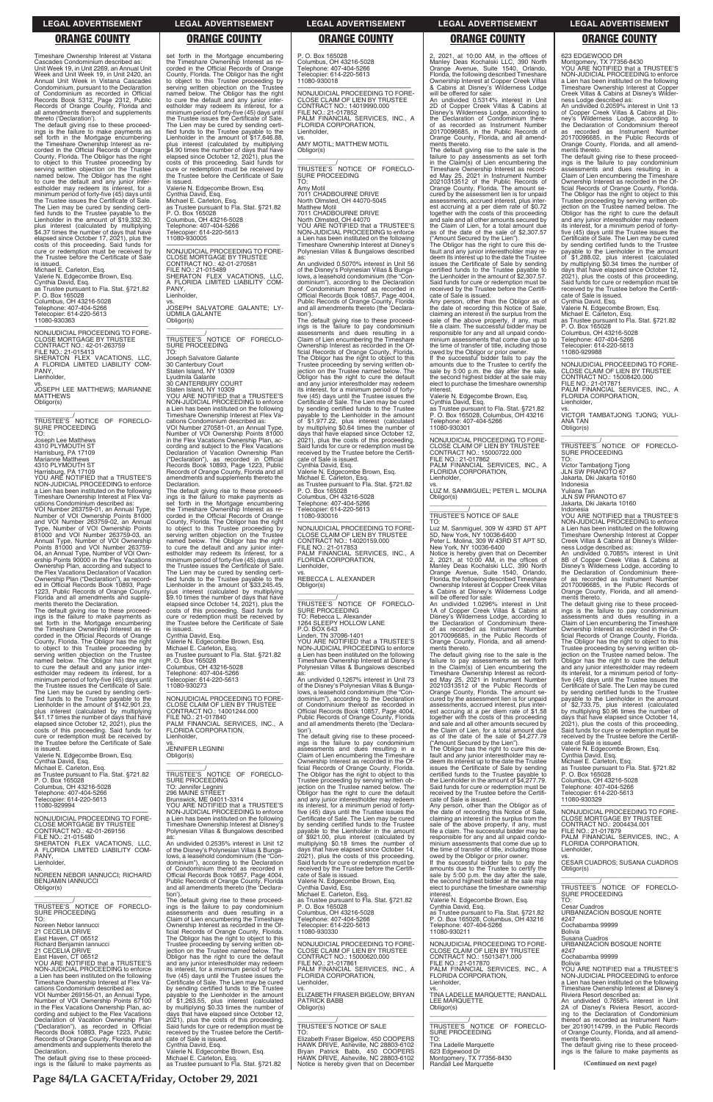Timeshare Ownership Interest at Vistana Cascades Condominium described as: Unit Week 19, in Unit 2269, an Annual Unit Week and Unit Week 19, in Unit 2420, an Annual Unit Week in Vistana Cascades Condominium, pursuant to the Declaration of Condominium as recorded in Official Records Book 5312, Page 2312, Public Records of Orange County, Florida and all amendments thereof and supplements thereto ('Declaration').

—————————————————— NONJUDICIAL PROCEEDING TO FORE-CLOSE MORTGAGE BY TRUSTEE CONTRACT NO.: 42-01-263759 FILE NO.: 21-015413 SHERATON FLEX VACATIONS, LLC, A FLORIDA LIMITED LIABILITY COM-PANY, **Lienholder** 

The default giving rise to these proceed-ings is the failure to make payments as set forth in the Mortgage encumbering the Timeshare Ownership Interest as re-corded in the Official Records of Orange County, Florida. The Obligor has the right to object to this Trustee proceeding by serving written objection on the Trustee named below. The Obligor has the right to cure the default and any junior inter-estholder may redeem its interest, for a minimum period of forty-five (45) days until the Trustee issues the Certificate of Sale. The Lien may be cured by sending certi-fied funds to the Trustee payable to the Lienholder in the amount of \$19,332.30, plus interest (calculated by multiplying \$4.37 times the number of days that have elapsed since October 17, 2021), plus the costs of this proceeding. Said funds for cure or redemption must be received by the Trustee before the Certificate of Sale

is issued. Michael E. Carleton, Esq. Valerie N. Edgecombe Brown, Esq. Cynthia David, Esq. as Trustee pursuant to Fla. Stat. §721.82 P. O. Box 165028 Columbus, OH 43216-5028 Telephone: 407-404-5266 Telecopier: 614-220-5613 11080-930363

vs. JOSEPH LEE MATTHEWS; MARIANNE MATTHEWS Obligor(s)

\_\_\_\_\_\_\_\_\_\_\_\_\_\_\_\_\_\_\_\_\_\_\_\_\_\_\_\_\_\_\_\_\_ \_\_\_\_\_\_\_\_\_\_\_/<br>TRUSTEE'S NOTICE OF FORECLO-<br>SURE PROCEEDING TO:

Joseph Lee Matthews 4310 PLYMOUTH ST Harrisburg, PA 17109 Marianne Matthews 4310 PLYMOUTH ST

Harrisburg, PA 17109 YOU ARE NOTIFIED that a TRUSTEE'S NON-JUDICIAL PROCEEDING to enforce a Lien has been instituted on the following Timeshare Ownership Interest at Flex Vacations Condominium described as:

VOI Number 263759-01, an Annual Type, Number of VOI Ownership Points 81000 and VOI Number 263759-02, an Annual<br>Type, Number of VOI Ownership Points<br>81000 and VOI Number 263759-03, an<br>Annual Type, Number of VOI Own-<br>Points 81000 and VOI Number 263759-<br>04, an Annual Type, Number of VOI Ownership Points 90000 in the Flex Vacations Ownership Plan, according and subject to the Flex Vacations Declaration of Vacation Ownership Plan ("Declaration"), as record-ed in Official Records Book 10893, Page 1223, Public Records of Orange County, Florida and all amendments and supplements thereto the Declaration.

The default giving rise to these proceedings is the failure to make payments as set forth in the Mortgage encumbering the Timeshare Ownership Interest as recorded in the Official Records of Orange County, Florida. The Obligor has the right to object to this Trustee proceeding by serving written objection on the Trustee named below. The Obligor has the right to cure the default and any junior interestholder may redeem its interest, for a minimum period of forty-five (45) days until the Trustee issues the Certificate of Sale. The Lien may be cured by sending certi-fied funds to the Trustee payable to the Lienholder in the amount of \$142,901.23, plus interest (calculated by multiplying \$41.17 times the number of days that have elapsed since October 12, 2021), plus the costs of this proceeding. Said funds for cure or redemption must be received by the Trustee before the Certificate of Sale is issued.

Valerie N. Edgecombe Brown, Esq. Cynthia David, Esq. Michael E. Carleton, Esq. as Trustee pursuant to Fla. Stat. §721.82 P. O. Box 165028 Columbus, OH 43216-5028 Telephone: 407-404-5266 Telecopier: 614-220-5613 11080-929994

\_\_\_\_\_\_\_\_\_\_\_\_\_/<br>TRUSTEE'S NOTICE OF FORECLO-SURE PROCEEDING TO:

set forth in the Mortgage encumbering the Timeshare Ownership Interest as re-corded in the Official Records of Orange County, Florida. The Obligor has the right to object to this Trustee proceeding by serving written objection on the Trustee named below. The Obligor has the right to cure the default and any junior interestholder may redeem its interest, for a minimum period of forty-five (45) days until the Trustee issues the Certificate of Sale. The Lien may be cured by sending certi-fied funds to the Trustee payable to the Lienholder in the amount of \$17,646.88, plus interest (calculated by multiplying \$4.90 times the number of days that have elapsed since October 12, 2021), plus the costs of this proceeding. Said funds for cure or redemption must be received by the Trustee before the Certificate of Sale is issued.

Amy Motil<br>7011 CHA CHADBOURNE DRIVE North Olmsted, OH 44070-5045 Matthew Motil 7011 CHADBOURNE DRIVE North Olmsted, OH 44070 YOU ARE NOTIFIED that a TRUSTEE'S NON-JUDICIAL PROCEEDING to enforce a Lien has been instituted on the following Timeshare Ownership Interest at Disney's Polynesian Villas & Bungalows described

Valerie N. Edgecombe Brown, Esq. Cynthia David, Esq. Michael E. Carleton, Esq. as Trustee pursuant to Fla. Stat. §721.82 P. O. Box 165028 Columbus, OH 43216-5028 Telephone: 407-404-5266 Telecopier: 614-220-5613 11080-930005

—————————————————— NONJUDICIAL PROCEEDING TO FORE-CLOSE MORTGAGE BY TRUSTEE CONTRACT NO.: 42-01-270581 FILE NO.: 21-015489 SHERATON FLEX VACATIONS, LLC, A FLORIDA LIMITED LIABILITY COM-PANY, Lienholder,

> —————————————————— NONJUDICIAL PROCEEDING TO FORE-CLOSE CLAIM OF LIEN BY TRUSTEE CONTRACT NO.: 14020159.000 FILE NO.: 21-017853 PALM FINANCIAL SERVICES, INC., A FLORIDA CORPORATION, **Lienholder**

vs. JOSEPH SALVATORE GALANTE; LY-UDMILA GALANTE Obligor(s)

\_\_\_\_\_\_\_\_\_\_\_\_\_\_\_\_\_\_\_\_\_\_\_\_\_\_\_\_\_\_\_\_\_ \_\_\_\_\_\_\_\_\_\_\_/ TRUSTEE'S NOTICE OF FORECLO-SURE PROCEEDING TO:

Joseph Salvatore Galante 30 Canterbury Court Staten Island, NY 10309

Lyudmila Galante 30 CANTERBURY COURT

Staten Island, NY 10309 YOU ARE NOTIFIED that a TRUSTEE'S NON-JUDICIAL PROCEEDING to enforce a Lien has been instituted on the following Timeshare Ownership Interest at Flex Va-cations Condominium described as:

VOI Number 270581-01, an Annual Type, Number of VOI Ownership Points 81000 in the Flex Vacations Ownership Plan, according and subject to the Flex Vacations Declaration of Vacation Ownership Plan ("Declaration"), as recorded in Official Records Book 10893, Page 1223, Public Records of Orange County, Florida and all amendments and supplements thereto the Declaration.

The default giving rise to these proceed-ings is the failure to make payments as set forth in the Mortgage encumbering the Timeshare Ownership Interest as re-corded in the Official Records of Orange County, Florida. The Obligor has the right to object to this Trustee proceeding by serving written objection on the Trustee named below. The Obligor has the right to cure the default and any junior inter-estholder may redeem its interest, for a minimum period of forty-five (45) days until the Trustee issues the Certificate of Sale. The Lien may be cured by sending certified funds to the Trustee payable to the Lienholder in the amount of \$33,245.45, plus interest (calculated by multiplying \$9.10 times the number of days that have elapsed since October 14, 2021), plus the costs of this proceeding. Said funds for cure or redemption must be received by the Trustee before the Certificate of Sale is issued.

Cynthia David, Esq.

Valerie N. Edgecombe Brown, Esq. Michael E. Carleton, Esq. as Trustee pursuant to Fla. Stat. §721.82

P. O. Box 165028 Columbus, OH 43216-5028 Telephone: 407-404-5266 copier: 614-220-5613 11080-930273

—————————————————— NONJUDICIAL PROCEEDING TO FORE-CLOSE CLAIM OF LIEN BY TRUSTEE CONTRACT NO.: 14001244.000 FILE NO.: 21-017840 PALM FINANCIAL SERVICES, INC., A FLORIDA CORPORATION, Lienholder,

vs. JENNIFER LEGNINI Obligor(s) \_\_\_\_\_\_\_\_\_\_\_\_\_\_\_\_\_\_\_\_\_\_\_\_\_\_\_\_\_\_\_\_\_

owed by the Obligor or prior owner.<br>If the successful bidder fails to pay the<br>amounts due to the Trustee to certify the<br>sale by 5:00 p.m. the day after the sale,<br>the second highest bidder at the sale may<br>elect to purchase interest.

\_\_\_\_\_\_\_\_\_\_\_/ TRUSTEE'S NOTICE OF FORECLO-SURE PROCEEDING TO: Jennifer Legnini 296 MAINE STREET Brunswick, ME 04011-3314 YOU ARE NOTIFIED that a TRUSTEE'S

P. O. Box 165028 Columbus, OH 43216-5028 Telephone: 407-404-5266 Telecopier: 614-220-5613 11080-930018

—————————————————— NONJUDICIAL PROCEEDING TO FORE-CLOSE CLAIM OF LIEN BY TRUSTEE CONTRACT NO.: 14019990.000 FILE NO.: 21-017852 PALM FINANCIAL SERVICES, INC., A FLORIDA CORPORATION, Lienholder,

vs. AMY MOTIL; MATTHEW MOTIL Obligor(s) \_\_\_\_\_\_\_\_\_\_\_\_\_\_\_\_\_\_\_\_\_\_\_\_\_\_\_\_\_\_\_\_\_

> —————————————————— NONJUDICIAL PROCEEDING TO FORE-CLOSE CLAIM OF LIEN BY TRUSTEE<br>CONTRACT NO.: 15008420.000<br>FILE NO.: 21-017871<br>PALM FINANCIAL SERVICES, INC., A<br>FLORIDA CORPORATION,

as: An undivided 0.5070% interest in Unit 56 of the Disney's Polynesian Villas & Bungalows, a leasehold condominium (the "Condominium"), according to the Declaration of Condominium thereof as recorded in Official Records Book 10857, Page 4004, Public Records of Orange County, Florida and all amendments thereto (the 'Declaration').

> vs. VICTOR TAMBATJONG TJONG; YULI-ANA TAN Obligor(s)  $\overline{\phantom{a}}$  ,  $\overline{\phantom{a}}$  ,  $\overline{\phantom{a}}$  ,  $\overline{\phantom{a}}$  ,  $\overline{\phantom{a}}$  ,  $\overline{\phantom{a}}$  ,  $\overline{\phantom{a}}$  ,  $\overline{\phantom{a}}$  ,  $\overline{\phantom{a}}$  ,  $\overline{\phantom{a}}$  ,  $\overline{\phantom{a}}$  ,  $\overline{\phantom{a}}$  ,  $\overline{\phantom{a}}$  ,  $\overline{\phantom{a}}$  ,  $\overline{\phantom{a}}$  ,  $\overline{\phantom{a}}$

> TRUSTEE'S NOTICE OF FORECLO-SURE PROCEEDING TO:

The default giving rise to these proceed-ings is the failure to pay condominium assessments and dues resulting in a Claim of Lien encumbering the Timeshare Ownership Interest as recorded in the Official Records of Orange County, Florida. The Obligor has the right to object to this Trustee proceeding by serving written objection on the Trustee named below. The Obligor has the right to cure the default and any junior interestholder may redeem its interest, for a minimum period of fortyfive (45) days until the Trustee issues the Certificate of Sale. The Lien may be cured by sending certified funds to the Trustee payable to the Lienholder in the amount of \$1,977.22, plus interest (calculated by multiplying \$0.64 times the number of days that have elapsed since October 12, 2021), plus the costs of this proceeding. Said funds for cure or redemption must be received by the Trustee before the Certifi-cate of Sale is issued.

Cynthia David, Esq. Valerie N. Edgecombe Brown, Esq. Michael E. Carleton, Esq. as Trustee pursuant to Fla. Stat. §721.82

P. O. Box 165028

Columbus, OH 43216-5028 Telephone: 407-404-5266 Telecopier: 614-220-5613 11080-930016

vs. REBECCA L. ALEXANDER Obligor(s) \_\_\_\_\_\_\_\_\_\_\_\_\_\_\_\_\_\_\_\_\_\_\_\_\_\_\_\_\_\_\_\_\_

\_\_\_\_\_\_\_\_\_\_\_/<br>TRUSTEE'S NOTICE OF FORECLO-<br>SURE PROCEEDING

TO: Rebecca L. Alexander 1264 SLEEPY HOLLOW LANE P.O. BOX 643

Linden, TN 37096-1401 YOU ARE NOTIFIED that a TRUSTEE'S NON-JUDICIAL PROCEEDING to enforce a Lien has been instituted on the following Timeshare Ownership Interest at Disney's Polynesian Villas & Bungalows described as:

An undivided 0.1267% interest in Unit 73 of the Disney's Polynesian Villas & Bungalows, a leasehold condominium (the "Condominium"), according to the Declaration of Condominium thereof as recorded in Official Records Book 10857, Page 4004, Public Records of Orange County, Florida and all amendments thereto (the 'Declaration').

The default giving rise to these proceed-ings is the failure to pay condominium assessments and dues resulting in a Claim of Lien encumbering the Timeshare Ownership Interest as recorded in the Official Records of Orange County, Florida. The Obligor has the right to object to this Trustee proceeding by serving written objection on the Trustee named below. The Obligor has the right to cure the default and any junior interestholder may redeem its interest, for a minimum period of forty-

|                                                        | NON-JUDICIAL PROCEEDING to enforce           | five (45) days until the Trustee issues the | the date of recording this Notice of Sale,     | NONJUDICIAL PROCEEDING TO FORE-                             |
|--------------------------------------------------------|----------------------------------------------|---------------------------------------------|------------------------------------------------|-------------------------------------------------------------|
| NONJUDICIAL PROCEEDING TO FORE-                        | a Lien has been instituted on the following  | Certificate of Sale. The Lien may be cured  | claiming an interest in the surplus from the   | <b>CLOSE MORTGAGE BY TRUSTEE</b>                            |
| <b>CLOSE MORTGAGE BY TRUSTEE</b>                       | Timeshare Ownership Interest at Disney's     | by sending certified funds to the Trustee   | sale of the above property, if any, must       | CONTRACT NO.: 2004434.001                                   |
| CONTRACT NO.: 42-01-269156                             | Polynesian Villas & Bungalows described      | payable to the Lienholder in the amount     | file a claim. The successful bidder may be     | FILE NO.: 21-017879                                         |
| FILE NO.: 21-015480                                    | as:                                          | of \$921.00, plus interest (calculated by   | responsible for any and all unpaid condo-      | PALM FINANCIAL SERVICES, INC., A                            |
| SHERATON FLEX VACATIONS. LLC.                          | An undivided 0.2535% interest in Unit 12     | multiplying \$0.18 times the number of      | minium assessments that come due up to         | FLORIDA CORPORATION.                                        |
| A FLORIDA LIMITED LIABILITY COM-                       | of the Disney's Polynesian Villas & Bunga-   | days that have elapsed since October 14,    | the time of transfer of title, including those | Lienholder,                                                 |
| PANY.                                                  | lows, a leasehold condominium (the "Con-     | 2021), plus the costs of this proceeding.   | owed by the Obligor or prior owner.            | VS.                                                         |
| Lienholder,                                            | dominium"), according to the Declaration     | Said funds for cure or redemption must be   | If the successful bidder fails to pay the      | <b>CESAR CUADROS: SUSANA CUADROS</b>                        |
| VS.                                                    | of Condominium thereof as recorded in        | received by the Trustee before the Certifi- | amounts due to the Trustee to certify the      | Obligor(s)                                                  |
| NOREEN NEBOR IANNUCCI: RICHARD                         | Official Records Book 10857, Page 4004,      | cate of Sale is issued.                     | sale by 5:00 p.m. the day after the sale,      |                                                             |
| <b>BENJAMIN IANNUCCI</b>                               | Public Records of Orange County, Florida     | Valerie N. Edgecombe Brown, Esg.            | the second highest bidder at the sale may      |                                                             |
| Obligor(s)                                             | and all amendments thereto (the 'Declara-    | Cynthia David, Esq.                         | elect to purchase the timeshare ownership      | TRUSTEE'S NOTICE OF FORECLO-                                |
|                                                        | tion').                                      | Michael E. Carleton, Esq.                   | interest.                                      | <b>SURE PROCEEDING</b>                                      |
|                                                        | The default giving rise to these proceed-    | as Trustee pursuant to Fla. Stat. §721.82   | Valerie N. Edgecombe Brown, Esq.               | TO:                                                         |
| TRUSTEE'S NOTICE OF FORECLO-                           | ings is the failure to pay condominium       | P. O. Box 165028                            | Cynthia David, Esq.                            | <b>Cesar Cuadros</b>                                        |
| <b>SURE PROCEEDING</b>                                 | assessments and dues resulting in a          | Columbus, OH 43216-5028                     | as Trustee pursuant to Fla. Stat. §721.82      | URBANIZACION BOSQUE NORTE                                   |
| TO:                                                    | Claim of Lien encumbering the Timeshare      | Telephone: 407-404-5266                     | P. O. Box 165028, Columbus, OH 43216           | #247                                                        |
| Noreen Nebor Jannucci                                  | Ownership Interest as recorded in the Of-    | Telecopier: 614-220-5613                    | Telephone: 407-404-5266                        | Cochabamba 99999                                            |
| 21 CECELIA DRIVE                                       | ficial Records of Orange County, Florida.    | 11080-930330                                | 11080-930211                                   | Bolivia                                                     |
| East Haven, CT 06512                                   | The Obligor has the right to object to this  |                                             |                                                | Susana Cuadros                                              |
| Richard Benjamin Iannucci                              | Trustee proceeding by serving written ob-    | NONJUDICIAL PROCEEDING TO FORE-             | NONJUDICIAL PROCEEDING TO FORE-                | URBANIZACION BOSQUE NORTE                                   |
| 21 CECELIA DRIVE                                       | jection on the Trustee named below. The      | CLOSE CLAIM OF LIEN BY TRUSTEE              | CLOSE CLAIM OF LIEN BY TRUSTEE                 | #247                                                        |
| East Haven, CT 06512                                   | Obligor has the right to cure the default    | CONTRACT NO.: 15000620.000                  | CONTRACT NO.: 15013471.000                     | Cochabamba 99999                                            |
| YOU ARE NOTIFIED that a TRUSTEE'S                      | and any junior interestholder may redeem     | FILE NO.: 21-017861                         | FILE NO.: 21-017870                            | Bolivia                                                     |
| NON-JUDICIAL PROCEEDING to enforce                     | its interest, for a minimum period of forty- | PALM FINANCIAL SERVICES, INC., A            | PALM FINANCIAL SERVICES, INC., A               | YOU ARE NOTIFIED that a TRUSTEE'S                           |
| a Lien has been instituted on the following            | five (45) days until the Trustee issues the  | FLORIDA CORPORATION,                        | FLORIDA CORPORATION.                           | NON-JUDICIAL PROCEEDING to enforce                          |
| Timeshare Ownership Interest at Flex Va-               | Certificate of Sale. The Lien may be cured   | Lienholder.                                 | Lienholder.                                    | a Lien has been instituted on the following                 |
| cations Condominium described as:                      | by sending certified funds to the Trustee    |                                             | VS.                                            | Timeshare Ownership Interest at Disney's                    |
| VOI Number 269156-01, an Annual Type,                  | payable to the Lienholder in the amount      | VS.<br>ELIZABETH FRASER BIGELOW; BRYAN      | TINA LADELLE MARQUETTE: RANDALL                | Riviera Resort described as:                                |
| Number of VOI Ownership Points 67100                   | of \$1,263.55, plus interest (calculated     | <b>PATRICK BABB</b>                         | LEE MARQUETTE                                  | An undivided 0.7658% interest in Unit                       |
| in the Flex Vacations Ownership Plan, ac-              | by multiplying \$0.33 times the number of    | Obligor(s)                                  | Obligor(s)                                     | 2A of Disney's Riviera Resort, accord-                      |
| cording and subject to the Flex Vacations              | days that have elapsed since October 12,     |                                             |                                                | ing to the Declaration of Condominium                       |
| Declaration of Vacation Ownership Plan                 |                                              |                                             |                                                | thereof as recorded as Instrument Num-                      |
|                                                        | 2021), plus the costs of this proceeding.    | TRUSTEE'S NOTICE OF SALE                    | TRUSTEE'S NOTICE<br>OF FORECLO-                | ber 20190114799. in the Public Records                      |
| ("Declaration"), as recorded in Official               | Said funds for cure or redemption must be    | TO:                                         | SURE PROCEEDING                                |                                                             |
| Records Book 10893, Page 1223, Public                  | received by the Trustee before the Certifi-  |                                             | TO:                                            | of Orange County, Florida, and all amend-<br>ments thereto. |
| Records of Orange County, Florida and all              | cate of Sale is issued.                      | Elizabeth Fraser Bigelow, 450 COOPERS       |                                                |                                                             |
| amendments and supplements thereto the<br>Declaration. | Cynthia David, Esq.                          | HAWK DRIVE, Asheville, NC 28803-6102        | Tina Ladelle Marquette                         | The default giving rise to these proceed-                   |
|                                                        | Valerie N. Edgecombe Brown, Esq.             | Bryan Patrick Babb, 450 COOPERS             | 623 Edgewood Dr                                | ings is the failure to make payments as                     |
| The default giving rise to these proceed-              | Michael E. Carleton, Esq.                    | HAWK DRIVE, Asheville, NC 28803-6102        | Montgomery, TX 77356-8430                      |                                                             |
| ings is the failure to make payments as                | as Trustee pursuant to Fla. Stat. §721.82    | Notice is hereby given that on December     | Randall Lee Marquette                          | (Continued on next page)                                    |

2, 2021, at 10:00 AM, in the offices of Manley Deas Kochalski LLC, 390 North Orange Avenue, Suite 1540, Orlando, Florida, the following described Timeshare Ownership Interest at Copper Creek Villas & Cabins at Disney's Wilderness Lodge

will be offered for sale: An undivided 0.5314% interest in Unit 2D of Copper Creek Villas & Cabins at Disney's Wilderness Lodge, according to the Declaration of Condominium thereof as recorded as Instrument Number 20170096685, in the Public Records of Orange County, Florida, and all amendments thereto.

The default giving rise to the sale is the failure to pay assessments as set forth in the Claim(s) of Lien encumbering the Timeshare Ownership Interest as record-ed May 25, 2021 in Instrument Number 20210313512 of the Public Records of Orange County, Florida. The amount se-cured by the assessment lien is for unpaid assessments, accrued interest, plus interest accruing at a per diem rate of \$0.72 together with the costs of this proceeding and sale and all other amounts secured by the Claim of Lien, for a total amount due as of the date of the sale of \$2,307.57

("Amount Secured by the Lien"). The Obligor has the right to cure this de-fault and any junior interestholder may redeem its interest up to the date the Trustee issues the Certificate of Sale by sending certified funds to the Trustee payable to the Lienholder in the amount of \$2,307.57. Said funds for cure or redemption must be received by the Trustee before the Certificate of Sale is issued.

Any person, other than the Obligor as of the date of recording this Notice of Sale, claiming an interest in the surplus from the sale of the above property, if any, must file a claim. The successful bidder may be responsible for any and all unpaid condominium assessments that come due up to the time of transfer of title, including those

Valerie N. Edgecombe Brown, Esq. Cynthia David, Esq.

as Trustee pursuant to Fla. Stat. §721.82 P. O. Box 165028, Columbus, OH 43216 Telephone: 407-404-5266 11080-930301

—————————————————— NONJUDICIAL PROCEEDING TO FORE-CLOSE CLAIM OF LIEN BY TRUSTEE CONTRACT NO.: 15000722.000 FILE NO.: 21-017862 PALM FINANCIAL SERVICES, INC., A FLORIDA CORPORATION, Lienholder,

vs. LUZ M. SANMIGUEL; PETER L. MOLINA

Obligor(s) \_\_\_\_\_\_\_\_\_\_\_\_\_\_\_\_\_\_\_\_\_\_\_\_\_\_\_\_\_\_\_\_\_

# \_\_\_\_\_\_\_\_\_\_\_/ TRUSTEE'S NOTICE OF SALE

TO: Luz M. Sanmiguel, 309 W 43RD ST APT 5D, New York, NY 10036-6400 Peter L. Molina, 309 W 43RD ST APT 5D,

New York, NY 10036-6400 Notice is hereby given that on December 2, 2021, at 10:00 AM, in the offices of Manley Deas Kochalski LLC, 390 North Orange Avenue, Suite 1540, Orlando, Florida, the following described Timeshare

Ownership Interest at Copper Creek Villas & Cabins at Disney's Wilderness Lodge will be offered for sale:

An undivided 1.0296% interest in Unit 1A of Copper Creek Villas & Cabins at Disney's Wilderness Lodge, according to the Declaration of Condominium there-of as recorded as Instrument Number 20170096685, in the Public Records of Orange County, Florida, and all amend-ments thereto.

The default giving rise to the sale is the failure to pay assessments as set forth in the Claim(s) of Lien encumbering the Timeshare Ownership Interest as recorded May 25, 2021 in Instrument Number 20210313512 of the Public Records of Orange County, Florida. The amount se-cured by the assessment lien is for unpaid assessments, accrued interest, plus interest accruing at a per diem rate of \$1.58 together with the costs of this proceeding and sale and all other amounts secured by the Claim of Lien, for a total amount due as of the date of the sale of \$4,277.79 ("Amount Secured by the Lien").

The Obligor has the right to cure this de-fault and any junior interestholder may re-deem its interest up to the date the Trustee issues the Certificate of Sale by sending certified funds to the Trustee payable to the Lienholder in the amount of \$4,277.79. Said funds for cure or redemption must be received by the Trustee before the Certifi-cate of Sale is issued.

Any person, other than the Obligor as of

623 EDGEWOOD DR Montgomery, TX 77356-8430 YOU ARE NOTIFIED that a TRUSTEE'S NON-JUDICIAL PROCEEDING to enforce a Lien has been instituted on the following Timeshare Ownership Interest at Copper Creek Villas & Cabins at Disney's Wilder-ness Lodge described as:

An undivided 0.2059% interest in Unit 13 of Copper Creek Villas & Cabins at Dis-ney's Wilderness Lodge, according to the Declaration of Condominium thereof as recorded as Instrument Number 20170096685, in the Public Records of Orange County, Florida, and all amend-

ments thereto. The default giving rise to these proceedings is the failure to pay condominium assessments and dues resulting in a Claim of Lien encumbering the Timeshare Ownership Interest as recorded in the Official Records of Orange County, Florida. The Obligor has the right to object to this Trustee proceeding by serving written ob-jection on the Trustee named below. The Obligor has the right to cure the default and any junior interestholder may redeem its interest, for a minimum period of forty-five (45) days until the Trustee issues the Certificate of Sale. The Lien may be cured by sending certified funds to the Trustee payable to the Lienholder in the amount of \$1,288.02, plus interest (calculated by multiplying \$0.34 times the number of days that have elapsed since October 12, 2021), plus the costs of this proceeding. Said funds for cure or redemption must be received by the Trustee before the Certifi-

cate of Sale is issued.

Cynthia David, Esq. Valerie N. Edgecombe Brown, Esq. Michael E. Carleton, Esq. as Trustee pursuant to Fla. Stat. §721.82 P. O. Box 165028

Columbus, OH 43216-5028

Telephone: 407-404-5266 Telecopier: 614-220-5613 11080-929988

Lienholder,

Victor Tambatjong Tjong JLN SW PRANOTO 67 Jakarta, Dki Jakarta 10160

Indonesia

Yuliana Tan JLN SW PRANOTO 67

Jakarta, Dki Jakarta 10160

Indonesia YOU ARE NOTIFIED that a TRUSTEE'S NON-JUDICIAL PROCEEDING to enforce a Lien has been instituted on the following Timeshare Ownership Interest at Copper Creek Villas & Cabins at Disney's Wilder-

ness Lodge described as: An undivided 0.7085% interest in Unit 8B of Copper Creek Villas & Cabins at Disney's Wilderness Lodge, according to the Declaration of Condominium thereof as recorded as Instrument Number 20170096685, in the Public Records of Orange County, Florida, and all amendments thereto.

The default giving rise to these proceed-ings is the failure to pay condominium assessments and dues resulting in a Claim of Lien encumbering the Timeshare Ownership Interest as recorded in the Official Records of Orange County, Florida. The Obligor has the right to object to this Trustee proceeding by serving written objection on the Trustee named below. The Obligor has the right to cure the default and any junior interestholder may redeem its interest, for a minimum period of fortyfive (45) days until the Trustee issues the Certificate of Sale. The Lien may be cured by sending certified funds to the Trustee payable to the Lienholder in the amount of \$2,733.75, plus interest (calculated by multiplying \$0.96 times the number of days that have elapsed since October 14, 2021), plus the costs of this proceeding. Said funds for cure or redemption must be received by the Trustee before the Certifi-cate of Sale is issued.

Valerie N. Edgecombe Brown, Esq.

Cynthia David, Esq. Michael E. Carleton, Esq.

as Trustee pursuant to Fla. Stat. §721.82 P. O. Box 165028 Columbus, OH 43216-5028 Telephone: 407-404-5266 Telecopier: 614-220-5613

11080-930329

——————————————————

### **LEGAL ADVERTISEMENT LEGAL ADVERTISEMENT LEGAL ADVERTISEMENT LEGAL ADVERTISEMENT LEGAL ADVERTISEMENT**

# **ORANGE COUNTY ORANGE COUNTY ORANGE COUNTY ORANGE COUNTY ORANGE COUNTY**

**Page 84/LA GACETA/Friday, October 29, 2021**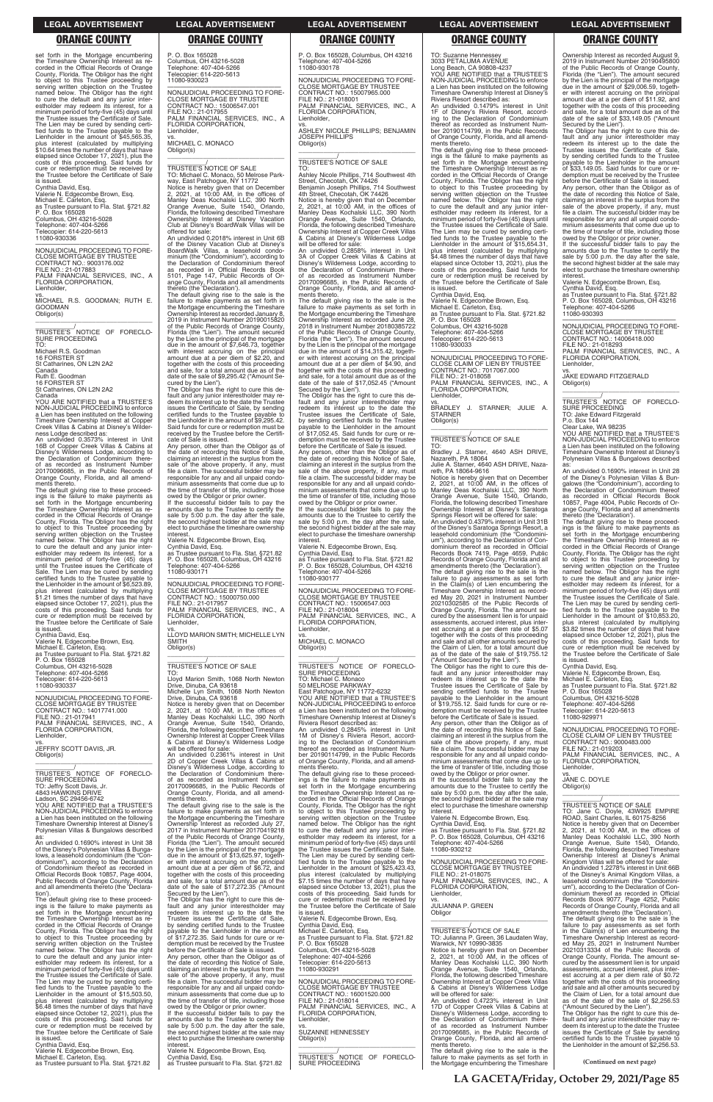set forth in the Mortgage encumbering the Timeshare Ownership Interest as re-corded in the Official Records of Orange County, Florida. The Obligor has the right to object to this Trustee proceeding by serving written objection on the Trustee named below. The Obligor has the right to cure the default and any junior inter-estholder may redeem its interest, for a minimum period of forty-five (45) days until the Trustee issues the Certificate of Sale. The Lien may be cured by sending certified funds to the Trustee payable to the Lienholder in the amount of \$45,565.35, plus interest (calculated by multiplying \$10.64 times the number of days that have elapsed since October 17, 2021), plus the costs of this proceeding. Said funds for cure or redemption must be received by the Trustee before the Certificate of Sale

—————————————————— NONJUDICIAL PROCEEDING TO FORE-CLOSE MORTGAGE BY TRUSTEE CONTRACT NO.: 9003176.002 FILE NO.: 21-017883 PALM FINANCIAL SERVICES, INC., A FLORIDA CORPORATION, Lienholder, vs. MICHAEL R.S. GOODMAN; RUTH E. GOODMAN

\_\_\_\_\_\_\_\_\_\_\_\_\_\_\_\_\_\_\_\_\_\_\_\_\_\_\_\_\_\_\_\_\_ \_\_\_\_\_\_\_\_\_\_\_/<br>TRUSTEE'S NOTICE OF FORECLO-<br>SURE PROCEEDING

is issued. Cynthia David, Esq. Valerie N. Edgecombe Brown, Esq. Michael E. Carleton, Esq. as Trustee pursuant to Fla. Stat. §721.82 P. O. Box 165028 Columbus, OH 43216-5028 Telephone: 407-404-5266 Telecopier: 614-220-5613 11080-930336

Obligor(s)

TO: Michael R.S. Goodman 16 FORSTER ST St Catharines, ON L2N 2A2 Canada Ruth E. Goodman 16 FORSTER ST St Catharines, ON L2N 2A2

Canada

—————————————————— NONJUDICIAL PROCEEDING TO FORE-CLOSE MORTGAGE BY TRUSTEE CONTRACT NO.: 14017741.000 FILE NO.: 21-017941 PALM FINANCIAL SERVICES, INC., A FLORIDA CORPORATION, **Lienholder** 

YOU ARE NOTIFIED that a TRUSTEE'S NON-JUDICIAL PROCEEDING to enforce a Lien has been instituted on the following Timeshare Ownership Interest at Copper Creek Villas & Cabins at Disney's Wilderness Lodge described as:

An undivided 0.3573% interest in Unit 16B of Copper Creek Villas & Cabins at Disney's Wilderness Lodge, according to the Declaration of Condominium there-of as recorded as Instrument Number 20170096685, in the Public Records of Orange County, Florida, and all amendments thereto.

The default giving rise to these proceed-ings is the failure to make payments as set forth in the Mortgage encumbering the Timeshare Ownership Interest as recorded in the Official Records of Orange County, Florida. The Obligor has the right to object to this Trustee proceeding by<br>serving written objection on the Trustee<br>named below. The Obligor has the right<br>to cure the default and any junior inter-<br>estholder may redeem its interest, for a<br>minimum period of f Sale. The Lien may be cured by sending certified funds to the Trustee payable to the Lienholder in the amount of \$6,523.89, plus interest (calculated by multiplying \$1.21 times the number of days that have elapsed since October 17, 2021), plus the costs of this proceeding. Said funds for cure or redemption must be received by the Trustee before the Certificate of Sale

is issued. Cynthia David, Esq.

Valerie N. Edgecombe Brown, Esq. Michael E. Carleton, Esq. as Trustee pursuant to Fla. Stat. §721.82 P. O. Box 165028

Columbus, OH 43216-5028 Telephone: 407-404-5266 Telecopier: 614-220-5613 11080-930337

vs. JEFFRY SCOTT DAVIS, JR. Obligor(s) \_\_\_\_\_\_\_\_\_\_\_\_\_\_\_\_\_\_\_\_\_\_\_\_\_\_\_\_\_\_\_\_\_

\_\_\_\_\_\_\_\_\_\_\_/ TRUSTEE'S NOTICE OF FORECLO-SURE PROCEEDING TO: Jeffry Scott Davis, Jr. 4843 HAWKINS DRIVE Ladson, SC 29456-6742 YOU ARE NOTIFIED that a TRUSTEE'S

NON-JUDICIAL PROCEEDING to enforce a Lien has been instituted on the following Timeshare Ownership Interest at Disney's Polynesian Villas & Bungalows described

as: An undivided 0.1690% interest in Unit 38 of the Disney's Polynesian Villas & Bunga-lows, a leasehold condominium (the "Condominium"), according to the Declaration of Condominium thereof as recorded in Official Records Book 10857, Page 4004, Public Records of Orange County, Florida and all amendments thereto (the 'Declara-

Notice is hereby given that on December<br>2, 2021, at 10:00 AM, in the offices of<br>Manley Deas Kochalski LLC, 390 North<br>Orange Avenue, Suite 1540, Orlando,<br>Florida, the following described Timeshare Ownership Interest at Copper Creek Villas

tion'). The default giving rise to these proceed-ings is the failure to make payments as set forth in the Mortgage encumbering the Timeshare Ownership Interest as re-corded in the Official Records of Orange County, Florida. The Obligor has the right to object to this Trustee proceeding by serving written objection on the Trustee named below. The Obligor has the right to cure the default and any junior inter-estholder may redeem its interest, for a minimum period of forty-five (45) days until the Trustee issues the Certificate of Sale. The Lien may be cured by sending certified funds to the Trustee payable to the<br>Lienholder in the amount of \$15,503.50, plus interest (calculated by multiplying \$6.48 times the number of days that have elapsed since October 12, 2021), plus the costs of this proceeding. Said funds for cure or redemption must be received by the Trustee before the Certificate of Sale is issued.

Cynthia David, Esq. Valerie N. Edgecombe Brown, Esq. Michael E. Carleton, Esq. as Trustee pursuant to Fla. Stat. §721.82

before the Certificate of Sale is issued.<br>Any person, other than the Obligor as of<br>the date of recording this Notice of Sale,<br>claiming an interest in the surplus from the sale of the above property, if any, must file a claim. The successful bidder may be responsible for any and all unpaid condominium assessments that come due up to the time of transfer of title, including those

P. O. Box 165028 Columbus, OH 43216-5028 Telephone: 407-404-5266 Telecopier: 614-220-5613

11080-930023

—————————————————— NONJUDICIAL PROCEEDING TO FORE-CLOSE MORTGAGE BY TRUSTEE CONTRACT NO.: 15006547.001 FILE NO.: 21-017955 PALM FINANCIAL SERVICES, INC., A FLORIDA CORPORATION, Lienholder,

vs. MICHAEL C. MONACO Obligor(s)

\_\_\_\_\_\_\_\_\_\_\_\_\_\_\_\_\_\_\_\_\_\_\_\_\_\_\_\_\_\_\_\_\_

\_\_\_\_\_\_\_\_\_\_\_/ TRUSTEE'S NOTICE OF SALE TO: Michael C. Monaco, 50 Melrose Park-way, East Patchogue, NY 11772 Notice is hereby given that on December 2, 2021, at 10:00 AM, in the offices of Manley Deas Kochalski LLC, 390 North Orange Avenue, Suite 1540, Orlando, Florida, the following described Timeshare Ownership Interest at Disney Vacation Club at Disney's BoardWalk Villas will be

offered for sale: An undivided 0.2018% interest in Unit 6B of the Disney Vacation Club at Disney's BoardWalk Villas, a leasehold condo-minium (the "Condominium"), according to the Declaration of Condominium thereof as recorded in Official Records Book 5101, Page 147, Public Records of Orange County, Florida and all amendments

thereto (the 'Declaration'). The default giving rise to the sale is the failure to make payments as set forth in the Mortgage encumbering the Timeshare Ownership Interest as recorded January 8, 2019 in Instrument Number 20190015820 of the Public Records of Orange County, Florida (the "Lien"). The amount secured by the Lien is the principal of the mortgage due in the amount of \$7,646.73, together with interest accruing on the principal amount due at a per diem of \$2.20, and together with the costs of this proceeding and sale, for a total amount due as of the date of the sale of \$9,295.42 ("Amount Se-

> \_\_\_\_\_\_\_\_\_\_\_\_\_\_\_\_\_\_\_\_\_\_\_\_\_\_\_\_\_\_\_\_\_ TRUSTEE'S<br>SURE PROCEEDING<br>TO: Michael C. Monaco<br>TO: Michael C. Monaco

cured by the Lien"). The Obligor has the right to cure this default and any junior interestholder may re-deem its interest up to the date the Trustee issues the Certificate of Sale, by sending certified funds to the Trustee payable to the Lienholder in the amount of \$9,295.42. Said funds for cure or redemption must be received by the Trustee before the Certifi-

cate of Sale is issued. Any person, other than the Obligor as of the date of recording this Notice of Sale, claiming an interest in the surplus from the sale of the above property, if any, must file a claim. The successful bidder may be responsible for any and all unpaid condominium assessments that come due up to the time of transfer of title, including those owed by the Obligor or prior owner. If the successful bidder fails to pay the

amounts due to the Trustee to certify the sale by 5:00 p.m. the day after the sale, the second highest bidder at the sale may elect to purchase the timeshare ownership interest.

Valerie N. Edgecombe Brown, Esq. Cynthia David, Esq. as Trustee pursuant to Fla. Stat. §721.82 P. O. Box 165028, Columbus, OH 43216 Telephone: 407-404-5266 11080-930171

—————————————————— NONJUDICIAL PROCEEDING TO FORE-CLOSE MORTGAGE BY TRUSTEE CONTRACT NO.: 15000750.000 FILE NO.: 21-017957

PALM FINANCIAL SERVICES, INC., A FLORIDA CORPORATION, Lienholder,

vs. LLOYD MARION SMITH; MICHELLE LYN **SMITH** Obligor(s) \_\_\_\_\_\_\_\_\_\_\_\_\_\_\_\_\_\_\_\_\_\_\_\_\_\_\_\_\_\_\_\_\_

# \_\_\_\_\_\_\_\_\_\_\_/ TRUSTEE'S NOTICE OF SALE

TO: Lloyd Marion Smith, 1068 North Newton Drive, Dinuba, CA 93618 Michelle Lyn Smith, 1068 North Newton Drive, Dinuba, CA 93618

& Cabins at Disney's Wilderness Lodge will be offered for sale: An undivided 0.2361% interest in Unit 2D of Copper Creek Villas & Cabins at Disney's Wilderness Lodge, according to the Declaration of Condominium thereof as recorded as Instrument Number 20170096685, in the Public Records of Orange County, Florida, and all amend-

ments thereto. The default giving rise to the sale is the

failure to make payments as set forth in the Mortgage encumbering the Timeshare Ownership Interest as recorded July 27, 2017 in Instrument Number 20170419218 of the Public Records of Orange County, Florida (the "Lien"). The amount secured by the Lien is the principal of the mortgage due in the amount of \$13,625.97, together with interest accruing on the principal amount due at a per diem of \$6.72, and together with the costs of this proceeding and sale, for a total amount due as of the date of the sale of \$17,272.35 ("Amount Secured by the Lien"). The Obligor has the right to cure this de-fault and any junior interestholder may redeem its interest up to the date the Trustee issues the Certificate of Sale, by sending certified funds to the Trustee payable to the Lienholder in the amount of \$17,272.35. Said funds for cure or redemption must be received by the Trustee

The default giving rise to the sale is failure to pay assessments as set forth in the Claim(s) of Lien encumbering the Timeshare Ownership Interest as record-ed May 20, 2021 in Instrument Number 20210302585 of the Public Records of Orange County, Florida. The amount se-cured by the assessment lien is for unpaid assessments, accrued interest, plus interest accruing at a per diem rate of \$5.07 together with the costs of this proceeding and sale and all other amounts secured by the Claim of Lien, for a total amount due as of the date of the sale of \$19,755.12 ("Amount Secured by the Lien").

If the successful bidder fails to pay the amounts due to the Trustee to certify the sale by 5:00 p.m. the day after the sale, the second highest bidder at the sale may elect to purchase the timeshare ownership

—————————————————— NONJUDICIAL PROCEEDING TO FORE-CLOSE MORTGAGE BY TRUSTEE FILE NO.: 21-018075 PALM FINANCIAL SERVICES, INC., A FLORIDA CORPORATION, Lienholder,

owed by the Obligor or prior owner. If the successful bidder fails to pay the amounts due to the Trustee to certify the sale by 5:00 p.m. the day after the sale, the second highest bidder at the sale may elect to purchase the timeshare ownership interest.

Valerie N. Edgecombe Brown, Esq. Cynthia David, Esq. as Trustee pursuant to Fla. Stat. §721.82

P. O. Box 165028, Columbus, OH 43216 Telephone: 407-404-5266 11080-930178

—————————————————— NONJUDICIAL PROCEEDING TO FORE-CLOSE MORTGAGE BY TRUSTEE CONTRACT NO.: 15007965.000 FILE NO.: 21-018001 PALM FINANCIAL SERVICES, INC., A FLORIDA CORPORATION, Lienholder,

vs. ASHLEY NICOLE PHILLIPS; BENJAMIN JOSEPH PHILLIPS Obligor(s)

\_\_\_\_\_\_\_\_\_\_\_\_\_\_\_\_\_\_\_\_\_\_\_\_\_\_\_\_\_\_\_\_\_ \_\_\_\_\_\_\_\_\_\_\_/ TRUSTEE'S NOTICE OF SALE

TO: Ashley Nicole Phillips, 714 Southwest 4th<br>Street, Checotah, OK 74426<br>Benjamin Joseph Phillips, 714 Southwest<br>4th Street, Checotah, OK 74426<br>Notice is hereby given that on December<br>2, 2021, at 10:00 AM, in the offices of Manley Deas Kochalski LLC, 390 North Orange Avenue, Suite 1540, Orlando, Florida, the following described Timeshare Ownership Interest at Copper Creek Villas & Cabins at Disney's Wilderness Lodge

> —————————————————— NONJUDICIAL PROCEEDING TO FORE-CLOSE MORTGAGE BY TRUSTEE CONTRACT NO.: 14006418.000 FILE NO.: 21-018293 PALM FINANCIAL SERVICES, INC., A FLORIDA CORPORATION, Lienholder,

\_\_\_\_\_\_\_\_\_\_\_\_\_\_\_\_\_\_\_\_\_\_\_\_\_\_\_\_\_\_\_\_\_ TRUSTEE'S<br>SURE PROCEEDING<br>TO: Jake Edward Fitzgerald

will be offered for sale: An undivided 0.2858% interest in Unit 3A of Copper Creek Villas & Cabins at Disney's Wilderness Lodge, according to the Declaration of Condominium there-of as recorded as Instrument Number 20170096685, in the Public Records of Orange County, Florida, and all amendments thereto.

The default giving rise to the sale is the failure to make payments as set forth in the Mortgage encumbering the Timeshare Ownership Interest as recorded June 28, 2018 in Instrument Number 20180385722 of the Public Records of Orange County, Florida (the "Lien"). The amount secured by the Lien is the principal of the mortgage due in the amount of \$14,315.42, together with interest accruing on the principal amount due at a per diem of \$4.90, and together with the costs of this proceeding and sale, for a total amount due as of the date of the sale of \$17,052.45 ("Amount Secured by the Lien").

> thereto (the 'Declaration').<br>The default giving rise to these proceed-<br>ings is the failure to make payments as<br>set forth in the Mortgage encumbering<br>the Timeshare Ownership Interest as re-<br>corded in the Official Records of County, Florida. The Obligor has the right to object to this Trustee proceeding by serving written objection on the Trustee<br>named below. The Obligor has the right<br>to cure the default and any junior inter-<br>estholder may redeem its interest, for a<br>minimum period of forty-five (45) days until<br>the Trustee is The Lien may be cured by sending certified funds to the Trustee payable to the<br>Lienholder in the amount of \$10,853.20, plus interest (calculated by multiplying \$3.82 times the number of days that have elapsed since October 12, 2021), plus the costs of this proceeding. Said funds for cure or redemption must be received by the Trustee before the Certificate of Sale is issued.

The Obligor has the right to cure this default and any junior interestholder may redeem its interest up to the date the Trustee issues the Certificate of Sale, by sending certified funds to the Trustee payable to the Lienholder in the amount of \$17,052.45. Said funds for cure or redemption must be received by the Trustee before the Certificate of Sale is issued. Any person, other than the Obligor as of the date of recording this Notice of Sale, claiming an interest in the surplus from the sale of the above property, if any, must file a claim. The successful bidder may be responsible for any and all unpaid condominium assessments that come due up to the time of transfer of title, including those

owed by the Obligor or prior owner. If the successful bidder fails to pay the amounts due to the Trustee to certify the sale by 5:00 p.m. the day after the sale, the second highest bidder at the sale may elect to purchase the timeshare ownership interest. Valerie N. Edgecombe Brown, Esq.

Cynthia David, Esq. as Trustee pursuant to Fla. Stat. §721.82 P. O. Box 165028, Columbus, OH 43216

Telephone: 407-404-5266 11080-930177

—————————————————— NONJUDICIAL PROCEEDING TO FORE-CLOSE MORTGAGE BY TRUSTEE CONTRACT NO.: 15006547.003 FILE NO.: 21-018004 PALM FINANCIAL SERVICES, INC., A FLORIDA CORPORATION, Lienholder,

vs. MICHAEL C. MONACO Obligor(s)

50 MELROSE PARKWAY East Patchogue, NY 11772-6232 YOU ARE NOTIFIED that a TRUSTEE'S NON-JUDICIAL PROCEEDING to enforce a Lien has been instituted on the following Timeshare Ownership Interest at Disney's

Riviera Resort described as: An undivided 0.2845% interest in Unit 1M of Disney's Riviera Resort, according to the Declaration of Condominium thereof as recorded as Instrument Num-ber 20190114799, in the Public Records of Orange County, Florida, and all amendments thereto.

The default giving rise to these proceedings is the failure to make payments as set forth in the Mortgage encumbering the Timeshare Ownership Interest as re-corded in the Official Records of Orange County, Florida. The Obligor has the right to object to this Trustee proceeding by serving written objection on the Trustee named below. The Obligor has the right to cure the default and any junior interestholder may redeem its interest, for a minimum period of forty-five (45) days until the Trustee issues the Certificate of Sale. The Lien may be cured by sending certified funds to the Trustee payable to the<br>Lienholder in the amount of \$25,423.43, plus interest (calculated by multiplying \$7.15 times the number of days that have elapsed since October 13, 2021), plus the costs of this proceeding. Said funds for cure or redemption must be received by the Trustee before the Certificate of Sale is issued. Valerie N. Edgecombe Brown, Esq. Cynthia David, Esq. Michael E. Carleton, Esq. as Trustee pursuant to Fla. Stat. §721.82 P. O. Box 165028 Columbus, OH 43216-5028 Telephone: 407-404-5266 Telecopier: 614-220-5613 11080-930291 —————————————————— NONJUDICIAL PROCEEDING TO FORE-CLOSE MORTGAGE BY TRUSTEE CONTRACT NO.: 16001520.000 FILE NO.: 21-018014 PALM FINANCIAL SERVICES, INC., A FLORIDA CORPORATION, Lienholder, vs. SUZANNE HENNESSEY Obligor(s)

\_\_\_\_\_\_\_\_\_\_\_\_\_\_\_\_\_\_\_\_\_\_\_\_\_\_\_\_\_\_\_\_\_ \_\_\_\_\_\_\_\_\_\_\_/ TRUSTEE'S NOTICE OF FORECLO-SURE PROCEEDING

### TO: Suzanne Hennessey

3033 PETALUMA AVENUE Long Beach, CA 90808-4237 YOU ARE NOTIFIED that a TRUSTEE'S NON-JUDICIAL PROCEEDING to enforce a Lien has been instituted on the following Timeshare Ownership Interest at Disney's

Riviera Resort described as: An undivided 0.1479% interest in Unit 1F of Disney's Riviera Resort, according to the Declaration of Condominium thereof as recorded as Instrument Num-ber 20190114799, in the Public Records of Orange County, Florida, and all amendments thereto.

The default giving rise to these proceedings is the failure to make payments as set forth in the Mortgage encumbering the Timeshare Ownership Interest as recorded in the Official Records of Orange County, Florida. The Obligor has the right to object to this Trustee proceeding by<br>serving written objection on the Trustee<br>named below. The Obligor has the right<br>to cure the default and any junior inter-<br>estholder may redeem its interest, for a<br>minimum period of f The Lien may be cured by sending certi-fied funds to the Trustee payable to the Lienholder in the amount of \$15,654.31, plus interest (calculated by multiplying \$4.48 times the number of days that have elapsed since October 13, 2021), plus the costs of this proceeding. Said funds for cure or redemption must be received by the Trustee before the Certificate of Sale

is issued. Cynthia David, Esq.

Valerie N. Edgecombe Brown, Esq. Michael E. Carleton, Esq. as Trustee pursuant to Fla. Stat. §721.82 P. O. Box 165028

Columbus, OH 43216-5028 Telephone: 407-404-5266 Telecopier: 614-220-5613 11080-930033

—————————————————— NONJUDICIAL PROCEEDING TO FORE-CLOSE CLAIM OF LIEN BY TRUSTEE CONTRACT NO.: 7017067.000 FILE NO.: 21-018058 PALM FINANCIAL SERVICES, INC., A FLORIDA CORPORATION, Lienholder,

vs. BRADLEY J. STARNER; JULIE A. STARNER Obligor(s) \_\_\_\_\_\_\_\_\_\_\_\_\_\_\_\_\_\_\_\_\_\_\_\_\_\_\_\_\_\_\_\_\_

# \_\_\_\_\_\_\_\_\_\_\_/ TRUSTEE'S NOTICE OF SALE

TO: Bradley J. Starner, 4640 ASH DRIVE, Nazareth, PA 18064 Julie A. Starner, 4640 ASH DRIVE, Naza-reth, PA 18064-9616

Notice is hereby given that on December 2, 2021, at 10:00 AM, in the offices of Manley Deas Kochalski LLC, 390 North Orange Avenue, Suite 1540, Orlando, Florida, the following described Timeshare Ownership Interest at Disney's Saratoga

Springs Resort will be offered for sale: An undivided 0.4379% interest in Unit 31B of the Disney's Saratoga Springs Resort, a leasehold condominium (the "Condomini-um"), according to the Declaration of Condominium thereof as recorded in Official Records Book 7419, Page 4659, Public Records of Orange County, Florida and all amendments thereto (the 'Declaration').

The Obligor has the right to cure this de-fault and any junior interestholder may redeem its interest up to the date the Trustee issues the Certificate of Sale by sending certified funds to the Trustee payable to the Lienholder in the amount of \$19,755.12. Said funds for cure or redemption must be received by the Trustee before the Certificate of Sale is issued.

Any person, other than the Obligor as of the date of recording this Notice of Sale, claiming an interest in the surplus from the sale of the above property, if any, must file a claim. The successful bidder may be responsible for any and all unpaid condominium assessments that come due up to the time of transfer of title, including those owed by the Obligor or prior owner.

interest.

Valerie N. Edgecombe Brown, Esq. Cynthia David, Esq. as Trustee pursuant to Fla. Stat. §721.82 P. O. Box 165028, Columbus, OH 43216 Telephone: 407-404-5266 11080-930212

vs. JULIANNA P. GREEN **Obligor** \_\_\_\_\_\_\_\_\_\_\_\_\_\_\_\_\_\_\_\_\_\_\_\_\_\_\_\_\_\_\_\_\_

\_\_\_\_\_\_\_\_\_\_\_/ TRUSTEE'S NOTICE OF SALE TO: Julianna P. Green, 36 Laudaten Way, Warwick, NY 10990-3835 Notice is hereby given that on December 2, 2021, at 10:00 AM, in the offices of Manley Deas Kochalski LLC, 390 North Orange Avenue, Suite 1540, Orlando, Florida, the following described Timeshare Ownership Interest at Copper Creek Villas & Cabins at Disney's Wilderness Lodge will be offered for sale: An undivided 0.4723% interest in Unit

17D of Copper Creek Villas & Cabins at Disney's Wilderness Lodge, according to the Declaration of Condominium thereof as recorded as Instrument Number 20170096685, in the Public Records of Orange County, Florida, and all amend-

ments thereto. The default giving rise to the sale is the failure to make payments as set forth in the Mortgage encumbering the Timeshare Ownership Interest as recorded August 9, 2019 in Instrument Number 20190495800 of the Public Records of Orange County, Florida (the "Lien"). The amount secured by the Lien is the principal of the mortgage due in the amount of \$29,006.59, together with interest accruing on the principal amount due at a per diem of \$11.92, and together with the costs of this proceeding and sale, for a total amount due as of the date of the sale of \$33,149.05 ("Amount Secured by the Lien"). The Obligor has the right to cure this de-

fault and any junior interestholder may redeem its interest up to the date the Trustee issues the Certificate of Sale, by sending certified funds to the Trustee payable to the Lienholder in the amount of \$33,149.05. Said funds for cure or redemption must be received by the Trustee before the Certificate of Sale is issued.

Any person, other than the Obligor as of the date of recording this Notice of Sale, claiming an interest in the surplus from the sale of the above property, if any, must file a claim. The successful bidder may be responsible for any and all unpaid condominium assessments that come due up to the time of transfer of title, including those

owed by the Obligor or prior owner. If the successful bidder fails to pay the amounts due to the Trustee to certify the sale by 5:00 p.m. the day after the sale, the second highest bidder at the sale may elect to purchase the timeshare ownership interest.

Valerie N. Edgecombe Brown, Esq.

Cynthia David, Esq. as Trustee pursuant to Fla. Stat. §721.82 P. O. Box 165028, Columbus, OH 43216 Telephone: 407-404-5266 11080-930393

vs. JAKE EDWARD FITZGERALD Obligor(s)

P.o. Box 144 Clear Lake, WA 98235 YOU ARE NOTIFIED that a TRUSTEE'S NON-JUDICIAL PROCEEDING to enforce a Lien has been instituted on the following Timeshare Ownership Interest at Disney's Polynesian Villas & Bungalows described

as: An undivided 0.1690% interest in Unit 28 of the Disney's Polynesian Villas & Bun-galows (the "Condominium"), according to the Declaration of Condominium thereof as recorded in Official Records Book 10857, Page 4004, Public Records of Orange County, Florida and all amendments

Cynthia David, Esq. Valerie N. Edgecombe Brown, Esq. Michael E. Carleton, Esq. as Trustee pursuant to Fla. Stat. §721.82 P. O. Box 165028 Columbus, OH 43216-5028 Telephone: 407-404-5266 Telecopier: 614-220-5613 11080-929971

—————————————————— NONJUDICIAL PROCEEDING TO FORE-CLOSE CLAIM OF LIEN BY TRUSTEE CONTRACT NO.: 9000483.000 FILE NO.: 21-019203 PALM FINANCIAL SERVICES, INC., A FLORIDA CORPORATION, Lienholder,

vs. JANE C. DOYLE Obligor(s)

\_\_\_\_\_\_\_\_\_\_\_\_\_\_\_\_\_\_\_\_\_\_\_\_\_\_\_\_\_\_\_\_\_

\_\_\_\_\_\_\_\_\_\_\_/ TRUSTEE'S NOTICE OF SALE TO: Jane C. Doyle, 43W925 EMPIRE ROAD, Saint Charles, IL 60175-8256 Notice is hereby given that on December 2, 2021, at 10:00 AM, in the offices of Manley Deas Kochalski LLC, 390 North Orange Avenue, Suite 1540, Orlando, Florida, the following described Timeshare Ownership Interest at Disney's Animal Kingdom Villas will be offered for sale: An undivided 1.2278% interest in Unit 66B of the Disney's Animal Kingdom Villas, a leasehold condominium (the "Condominium"), according to the Declaration of Condominium thereof as recorded in Official<br>Records 6 Orange County, Florida and all<br>amendments thereto (the 'Declaration').<br>amendments thereto (the 'Declaration').<br>The default giving rise to the sale is the failure to pay assessments as set forth in the Claim(s) of Lien encumbering the Timeshare Ownership Interest as recorded May 25, 2021 in Instrument Number 20210313334 of the Public Records of Orange County, Florida. The amount secured by the assessment lien is for unpaid assessments, accrued interest, plus inter-est accruing at a per diem rate of \$0.72 together with the costs of this proceeding and sale and all other amounts secured by the Claim of Lien, for a total amount due as of the date of the sale of \$2,256.53 ("Amount Secured by the Lien"). The Obligor has the right to cure this default and any junior interestholder may re-deem its interest up to the date the Trustee issues the Certificate of Sale by sending certified funds to the Trustee payable to the Lienholder in the amount of \$2,256.53.

### **ORANGE COUNTY ORANGE COUNTY ORANGE COUNTY ORANGE COUNTY ORANGE COUNTY**

**LA GACETA/Friday, October 29, 2021/Page 85**

**(Continued on next page)**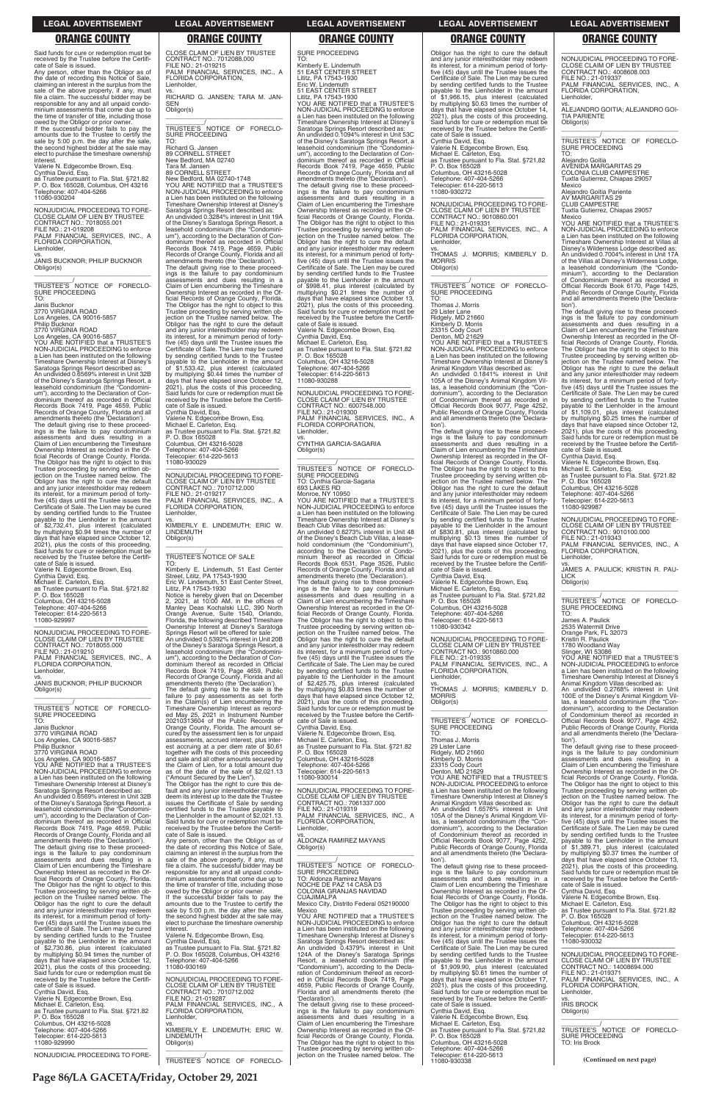### **LEGAL ADVERTISEMENT LEGAL ADVERTISEMENT LEGAL ADVERTISEMENT LEGAL ADVERTISEMENT LEGAL ADVERTISEMENT**

### **ORANGE COUNTY ORANGE COUNTY ORANGE COUNTY ORANGE COUNTY ORANGE COUNTY**

Said funds for cure or redemption must be received by the Trustee before the Certificate of Sale is issued.

owed by the Obligor or prior owner. If the successful bidder fails to pay the amounts due to the Trustee to certify the sale by 5:00 p.m. the day after the sale, the second highest bidder at the sale may elect to purchase the timeshare ownership interest

Any person, other than the Obligor as of the date of recording this Notice of Sale, claiming an interest in the surplus from the sale of the above property, if any, must file a claim. The successful bidder may be responsible for any and all unpaid condo-minium assessments that come due up to the time of transfer of title, including those

Valerie N. Edgecombe Brown, Esq. Cynthia David, Esq.

as Trustee pursuant to Fla. Stat. §721.82 P. O. Box 165028, Columbus, OH 43216 Telephone: 407-404-5266 11080-930204

—————————————————— NONJUDICIAL PROCEEDING TO FORE-CLOSE CLAIM OF LIEN BY TRUSTEE CONTRACT NO.: 7018055.001 FILE NO.: 21-019208 PALM FINANCIAL SERVICES, INC., A FLORIDA CORPORATION, Lienholder,

vs. JANIS BUCKNOR; PHILIP BUCKNOR Obligor(s) \_\_\_\_\_\_\_\_\_\_\_\_\_\_\_\_\_\_\_\_\_\_\_\_\_\_\_\_\_\_\_\_\_

\_\_\_\_\_\_\_\_\_\_\_/ TRUSTEE'S NOTICE OF FORECLO-SURE PROCEEDING TO:

Janis Bucknor 3770 VIRGINIA ROAD Los Angeles, CA 90016-5857 Philip Bucknor 3770 VIRGINIA ROAD

Los Angeles, CA 90016-5857 YOU ARE NOTIFIED that a TRUSTEE'S NON-JUDICIAL PROCEEDING to enforce a Lien has been instituted on the following Timeshare Ownership Interest at Disney's Saratoga Springs Resort described as: An undivided 0.6569% interest in Unit 32B of the Disney's Saratoga Springs Resort, a leasehold condominium (the "Condominium"), according to the Declaration of Con-dominium thereof as recorded in Official Records Book 7419, Page 4659, Public Records of Orange County, Florida and all amendments thereto (the 'Declaration'). The default giving rise to these proceed-ings is the failure to pay condominium assessments and dues resulting in a Claim of Lien encumbering the Timeshare Ownership Interest as recorded in the Of-ficial Records of Orange County, Florida. The Obligor has the right to object to this Trustee proceeding by serving written ob-jection on the Trustee named below. The Obligor has the right to cure the default and any junior interestholder may redeem its interest, for a minimum period of fortyfive (45) days until the Trustee issues the Certificate of Sale. The Lien may be cured by sending certified funds to the Trustee payable to the Lienholder in the amount<br>of \$2.732.41 plus interest in the amount of \$2,732.41, plus interest (calculated by multiplying \$0.94 times the number of days that have elapsed since October 12, 2021), plus the costs of this proceeding. Said funds for cure or redemption must be received by the Trustee before the Certificate of Sale is issued. Valerie N. Edgecombe Brown, Esq. Cynthia David, Esq.

CLOSE CLAIM OF LIEN BY TRUSTEE CONTRACT NO.: 7012088.000 FILE NO.: 21-019215 PALM FINANCIAL SERVICES, INC., A FLORIDA CORPORATION, Lienholder, vs. RICHARD G. JANSEN; TARA M. JAN-SEN Obligor(s)

\_\_\_\_\_\_\_\_\_\_\_\_\_\_\_\_\_\_\_\_\_\_\_\_\_\_\_\_\_\_\_\_\_ \_\_\_\_\_\_\_\_\_\_\_/ TRUSTEE'S NOTICE OF FORECLO-SURE PROCEEDING

Michael E. Carleton, Esq. as Trustee pursuant to Fla. Stat. §721.82 P. O. Box 165028 Columbus, OH 43216-5028 Telephone: 407-404-5266 Telecopier: 614-220-5613

11080-929997

—————————————————— NONJUDICIAL PROCEEDING TO FORE-CLOSE CLAIM OF LIEN BY TRUSTEE<br>CONTRACT NO.: 7018055.000<br>FILE NO.: 21-019210<br>PALM FINANCIAL SERVICES, INC., A<br>FLORIDA CORPORATION, Lienholder, vs. JANIS BUCKNOR; PHILIP BUCKNOR Obligor(s)

\_\_\_\_\_\_\_\_\_\_\_\_\_\_\_\_\_\_\_\_\_\_\_\_\_\_\_\_\_\_\_\_\_ \_\_\_\_\_\_\_\_\_\_\_/<br>TRUSTEE'S NOTICE OF FORECLO-<br>SURE PROCEEDING TO:

Janis Bucknor

3770 VIRGINIA ROAD Los Angeles, CA 90016-5857 Philip Bucknor

3770 VIRGINIA ROAD

Los Angeles, CA 90016-5857 YOU ARE NOTIFIED that a TRUSTEE'S NON-JUDICIAL PROCEEDING to enforce a Lien has been instituted on the following Timeshare Ownership Interest at Disney's Saratoga Springs Resort described as: An undivided 0.6569% interest in Unit 32B of the Disney's Saratoga Springs Resort, a

The Obligor has the right to cure this default and any junior interestholder may re-deem its interest up to the date the Trustee issues the Certificate of Sale by sending

TO: Richard G. Jansen 89 CORNELL STREET New Bedford, MA 02740 Tara M. Jansen 89 CORNELL STREET New Bedford, MA 02740-1748 YOU ARE NOTIFIED that a TRUSTEE'S NON-JUDICIAL PROCEEDING to enforce

a Lien has been instituted on the following Timeshare Ownership Interest at Disney's Saratoga Springs Resort described as: An undivided 0.3284% interest in Unit 19A of the Disney's Saratoga Springs Resort, a leasehold condominium (the "Condominium"), according to the Declaration of Condominium thereof as recorded in Official<br>Records 6 Orange County, Florida and all<br>Records of Orange County, Florida and all<br>amendments thereto (the 'Declaration').<br>The default giving rise to these proceedings is the failure to pay condominium assessments and dues resulting in a Claim of Lien encumbering the Timeshare Ownership Interest as recorded in the Official Records of Orange County, Florida. The Obligor has the right to object to this Trustee proceeding by serving written ob-jection on the Trustee named below. The Obligor has the right to cure the default and any junior interestholder may redeem its interest, for a minimum period of forty-five (45) days until the Trustee issues the Certificate of Sale. The Lien may be cured by sending certified funds to the Trustee payable to the Lienholder in the amount of \$1,533.42, plus interest (calculated by multiplying \$0.44 times the number of days that have elapsed since October 12, 2021), plus the costs of this proceeding. Said funds for cure or redemption must be received by the Trustee before the Certificate of Sale is issued.

Cynthia David, Esq. Valerie N. Edgecombe Brown, Esq. Michael E. Carleton, Esq. as Trustee pursuant to Fla. Stat. §721.82 P. O. Box 165028 Columbus, OH 43216-5028 Telephone: 407-404-5266 Telecopier: 614-220-5613 11080-930029

—————————————————— NONJUDICIAL PROCEEDING TO FORE-CLOSE CLAIM OF LIEN BY TRUSTEE CONTRACT NO.: 7010712.000 FILE NO.: 21-019217 PALM FINANCIAL SERVICES, INC., A FLORIDA CORPORATION, Lienholder,

vs. KIMBERLY E. LINDEMUTH; ERIC W. LINDEMUTH Obligor(s) \_\_\_\_\_\_\_\_\_\_\_\_\_\_\_\_\_\_\_\_\_\_\_\_\_\_\_\_\_\_\_\_\_

\_\_\_\_\_\_\_\_\_\_\_/ TRUSTEE'S NOTICE OF SALE TO:

Kimberly E. Lindemuth, 51 East Center Street, Lititz, PA 17543-1930 Eric W. Lindemuth, 51 East Center Street, Lititz, PA 17543-1930

Notice is hereby given that on December 2, 2021, at 10:00 AM, in the offices of Manley Deas Kochalski LLC, 390 North Orange Avenue, Suite 1540, Orlando, Florida, the following described Timeshare Ownership Interest at Disney's Saratoga Springs Resort will be offered for sale: An undivided 0.5392% interest in Unit 20B of the Disney's Saratoga Springs Resort, a leasehold condominium (the "Condominium"), according to the Declaration of Con-dominium thereof as recorded in Official Records Book 7419, Page 4659, Public Records of Orange County, Florida and all amendments thereto (the 'Declaration'). The default giving rise to the sale is the failure to pay assessments as set forth in the Claim(s) of Lien encumbering the Timeshare Ownership Interest as recorded May 25, 2021 in Instrument Number 20210313604 of the Public Records of Orange County, Florida. The amount secured by the assessment lien is for unpaid assessments, accrued interest, plus inter-

est accruing at a per diem rate of \$0.61 together with the costs of this proceeding and sale and all other amounts secured by the Claim of Lien, for a total amount due as of the date of the sale of \$2,021.13 ("Amount Secured by the Lien"). \_\_\_\_\_\_\_\_\_\_\_\_\_\_\_\_\_\_\_\_\_\_\_\_\_\_\_\_\_\_\_\_\_ \_\_\_\_\_\_\_\_\_\_\_/<br>TRUSTEE'S NOTICE OF FORECLO-<br>SURE PROCEEDING

SURE PROCEEDING TO: Kimberly E. Lindemuth 51 EAST CENTER STREET Lititz, PA 17543-1930 Eric W. Lindemuth 51 EAST CENTER STREET Lititz, PA 17543-1930 YOU ARE NOTIFIED that a TRUSTEE'S NON-JUDICIAL PROCEEDING to enforce a Lien has been instituted on the following Timeshare Ownership Interest at Disney's Saratoga Springs Resort described as: An undivided 0.1094% interest in Unit 53C of the Disney's Saratoga Springs Resort, a leasehold condominium (the "Condomini-um"), according to the Declaration of Condominium thereof as recorded in Official Records Book 7419, Page 4659, Public Records of Orange County, Florida and all amendments thereto (the 'Declaration'). The default giving rise to these proceed-ings is the failure to pay condominium assessments and dues resulting in a Claim of Lien encumbering the Timeshare Ownership Interest as recorded in the Official Records of Orange County, Florida. The Obligor has the right to object to this Trustee proceeding by serving written objection on the Trustee named below. The Obligor has the right to cure the default and any junior interestholder may redeem its interest, for a minimum period of fortyfive (45) days until the Trustee issues the Certificate of Sale. The Lien may be cured by sending certified funds to the Trustee payable to the Lienholder in the amount of \$998.41, plus interest (calculated by multiplying \$0.21 times the number of days that have elapsed since October 13, 2021), plus the costs of this proceeding. Said funds for cure or redemption must be received by the Trustee before the Certifi-cate of Sale is issued. Valerie N. Edgecombe Brown, Esq. Cynthia David, Esq. Michael E. Carleton, Esq. as Trustee pursuant to Fla. Stat. §721.82 P. O. Box 165028 Columbus, OH 43216-5028 Telephone: 407-404-5266 Telecopier: 614-220-5613 11080-930288 —————————————————— NONJUDICIAL PROCEEDING TO FORE-CLOSE CLAIM OF LIEN BY CONTRACT NO.: 6007548.000 FILE NO.: 21-019300 PALM FINANCIAL SERVICES, INC., A FLORIDA CORPORATION, **Lienholder** vs. CYNTHIA GARCIA-SAGARIA Obligor(s) \_\_\_\_\_\_\_\_\_\_\_\_\_\_\_\_\_\_\_\_\_\_\_\_\_\_\_\_\_\_\_\_\_ \_\_\_\_\_\_\_\_\_\_\_/<br>TRUSTEE'S NOTICE OF FORECLO-<br>SURE PROCEEDING TO: Cynthia Garcia-Sagaria 693 LAKES RD Monroe, NY 10950 YOU ARE NOTIFIED that a TRUSTEE'S NON-JUDICIAL PROCEEDING to enforce a Lien has been instituted on the following Timeshare Ownership Interest at Disney's Beach Club Villas described as: An undivided 0.6273% interest in Unit 48 of the Disney's Beach Club Villas, a leasehold condominium (the "Condominium"), according to the Declaration of Condominium thereof as recorded in Official Records Book 6531, Page 3526, Public Records of Orange County, Florida and all amendments thereto (the 'Declaration'). The default giving rise to these proceed-ings is the failure to pay condominium assessments and dues resulting in a Claim of Lien encumbering the Timeshare Ownership Interest as recorded in the Official Records of Orange County, Florida. The Obligor has the right to object to this Trustee proceeding by serving written objection on the Trustee named below. The Obligor has the right to cure the default and any junior interestholder may redeem its interest, for a minimum period of forty-

five (45) days until the Trustee issues the Certificate of Sale. The Lien may be cured by sending certified funds to the Trustee payable to the Lienholder in the amount of \$2,425.75, plus interest (calculated by multiplying \$0.83 times the number of days that have elapsed since October 12, 2021), plus the costs of this proceeding. Said funds for cure or redemption must be received by the Trustee before the Certifi-cate of Sale is issued. Cynthia David, Esq. Valerie N. Edgecombe Brown, Esq. Michael E. Carleton, Esq. as Trustee pursuant to Fla. Stat. §721.82 P. O. Box 165028

Columbus, OH 43216-5028 Telephone: 407-404-5266 elecopier: 614-220-5613 11080-930014

—————————————————— NONJUDICIAL PROCEEDING TO FORE-CLOSE CLAIM OF LIEN BY TRUSTEE CONTRACT NO.: 7061337.000

| leasehold condominium (the "Condomini-       | certified funds to the Trustee payable to      | FILE NO.: 21-019319                         | An undivided 1.6576% interest in Unit        | and any junior interestholder may redeem     |
|----------------------------------------------|------------------------------------------------|---------------------------------------------|----------------------------------------------|----------------------------------------------|
| um"), according to the Declaration of Con-   | the Lienholder in the amount of \$2,021.13.    | PALM FINANCIAL SERVICES, INC., A            | 105A of the Disney's Animal Kingdom Vil-     | its interest, for a minimum period of forty- |
| dominium thereof as recorded in Official     | Said funds for cure or redemption must be      | FLORIDA CORPORATION,                        | las, a leasehold condominium (the "Con-      | five (45) days until the Trustee issues the  |
| Records Book 7419, Page 4659, Public         | received by the Trustee before the Certifi-    | Lienholder.                                 | dominium"), according to the Declaration     | Certificate of Sale. The Lien may be cured   |
| Records of Orange County, Florida and all    | cate of Sale is issued.                        | VS.                                         | of Condominium thereof as recorded in        | by sending certified funds to the Trustee    |
| amendments thereto (the 'Declaration').      | Any person, other than the Obligor as of       | ALDONZA RAMIREZ MAYANS                      | Official Records Book 9077, Page 4252,       | payable to the Lienholder in the amount      |
| The default giving rise to these proceed-    | the date of recording this Notice of Sale,     | Obligor(s)                                  | Public Records of Orange County, Florida     | of \$1,389.71, plus interest (calculated     |
| ings is the failure to pay condominium       | claiming an interest in the surplus from the   |                                             | and all amendments thereto (the 'Declara-    | by multiplying \$0.37 times the number of    |
| assessments and dues resulting in a          | sale of the above property, if any, must       |                                             | tion').                                      | days that have elapsed since October 13,     |
| Claim of Lien encumbering the Timeshare      | file a claim. The successful bidder may be     | TRUSTEE'S NOTICE OF FORECLO-                | The default giving rise to these proceed-    | 2021), plus the costs of this proceeding.    |
| Ownership Interest as recorded in the Of-    | responsible for any and all unpaid condo-      | SURE PROCEEDING                             | ings is the failure to pay condominium       | Said funds for cure or redemption must be    |
| ficial Records of Orange County, Florida.    | minium assessments that come due up to         | TO: Aldonza Ramirez Mayans                  | assessments and dues resulting in a          | received by the Trustee before the Certifi-  |
| The Obligor has the right to object to this  | the time of transfer of title, including those | NOCHE DE PAZ 14 CASA D3                     | Claim of Lien encumbering the Timeshare      | cate of Sale is issued.                      |
| Trustee proceeding by serving written ob-    | owed by the Obligor or prior owner.            | COLONIA GRANJAS NAVIDAD                     | Ownership Interest as recorded in the Of-    | Cynthia David, Esq.                          |
| jection on the Trustee named below. The      | If the successful bidder fails to pay the      | <b>CUAJIMALPA</b>                           | ficial Records of Orange County, Florida.    | Valerie N. Edgecombe Brown, Esq.             |
| Obligor has the right to cure the default    | amounts due to the Trustee to certify the      | Mexico City, Distrito Federal 052190000     | The Obligor has the right to object to this  | Michael E. Carleton, Esq.                    |
| and any junior interestholder may redeem     | sale by 5:00 p.m. the day after the sale,      | Mexico                                      | Trustee proceeding by serving written ob-    | as Trustee pursuant to Fla. Stat. §721.82    |
| its interest, for a minimum period of forty- | the second highest bidder at the sale may      | YOU ARE NOTIFIED that a TRUSTEE'S           | jection on the Trustee named below. The      | P. O. Box 165028                             |
| five (45) days until the Trustee issues the  | elect to purchase the timeshare ownership      | NON-JUDICIAL PROCEEDING to enforce          | Obligor has the right to cure the default    | Columbus, OH 43216-5028                      |
| Certificate of Sale. The Lien may be cured   | interest.                                      | a Lien has been instituted on the following | and any junior interestholder may redeem     | Telephone: 407-404-5266                      |
| by sending certified funds to the Trustee    | Valerie N. Edgecombe Brown, Esg.               | Timeshare Ownership Interest at Disney's    | its interest, for a minimum period of forty- | Telecopier: 614-220-5613                     |
| payable to the Lienholder in the amount      | Cynthia David, Esq.                            | Saratoga Springs Resort described as:       | five (45) days until the Trustee issues the  | 11080-930032                                 |
| of \$2,730.86, plus interest (calculated     | as Trustee pursuant to Fla. Stat. §721.82      | An undivided 0.4379% interest in Unit       | Certificate of Sale. The Lien may be cured   |                                              |
| by multiplying \$0.94 times the number of    | P. O. Box 165028, Columbus, OH 43216           | 124A of the Disney's Saratoga Springs       | by sending certified funds to the Trustee    | NONJUDICIAL PROCEEDING TO FORE-              |
| days that have elapsed since October 12,     | Telephone: 407-404-5266                        | Resort, a leasehold condominium (the        | payable to the Lienholder in the amount      | CLOSE CLAIM OF LIEN BY TRUSTEE               |
| 2021), plus the costs of this proceeding.    | 11080-930169                                   | "Condominium"), according to the Decla-     | of \$1,909.90, plus interest (calculated     | CONTRACT NO.: 14008694.000                   |
| Said funds for cure or redemption must be    |                                                | ration of Condominium thereof as record-    | by multiplying \$0.61 times the number of    | FILE NO.: 21-019371                          |
| received by the Trustee before the Certifi-  | NONJUDICIAL PROCEEDING TO FORE-                | ed in Official Records Book 7419, Page      | days that have elapsed since October 17,     | PALM FINANCIAL SERVICES, INC., A             |
| cate of Sale is issued.                      | CLOSE CLAIM OF LIEN BY TRUSTEE                 | 4659, Public Records of Orange County,      | 2021), plus the costs of this proceeding.    | FLORIDA CORPORATION.                         |
| Cynthia David, Esg.                          | CONTRACT NO.: 7010712.002                      | Florida and all amendments thereto (the     | Said funds for cure or redemption must be    | Lienholder,                                  |
| Valerie N. Edgecombe Brown, Esg.             | FILE NO.: 21-019287                            | 'Declaration').                             | received by the Trustee before the Certifi-  | VS.                                          |
| Michael E. Carleton, Esg.                    | PALM FINANCIAL SERVICES, INC., A               | The default giving rise to these proceed-   | cate of Sale is issued.                      | <b>IRIS BROCK</b>                            |
| as Trustee pursuant to Fla. Stat. §721.82    | FLORIDA CORPORATION,                           | ings is the failure to pay condominium      | Cynthia David, Esq.                          | Obligor(s)                                   |
| P. O. Box 165028                             | Lienholder.                                    | assessments and dues resulting in a         | Valerie N. Edgecombe Brown, Esg.             |                                              |
| Columbus, OH 43216-5028                      |                                                | Claim of Lien encumbering the Timeshare     | Michael E. Carleton, Esg.                    |                                              |
| Telephone: 407-404-5266                      | KIMBERLY E. LINDEMUTH; ERIC W.                 | Ownership Interest as recorded in the Of-   | as Trustee pursuant to Fla. Stat. §721.82    | TRUSTEE'S NOTICE OF FORECLO-                 |
| Telecopier: 614-220-5613                     | <b>LINDEMUTH</b>                               | ficial Records of Orange County, Florida.   | P. O. Box 165028                             | SURE PROCEEDING                              |
| 11080-929990                                 | Obligor(s)                                     | The Obligor has the right to object to this | Columbus, OH 43216-5028                      | TO: Iris Brock                               |
|                                              |                                                | Trustee proceeding by serving written ob-   | Telephone: 407-404-5266                      |                                              |
| NONJUDICIAL PROCEEDING TO FORE-              |                                                | jection on the Trustee named below. The     | Telecopier: 614-220-5613                     | (Continued on next page)                     |
|                                              | TRUSTEE'S NOTICE OF FORECLO-                   |                                             | 11080-930338                                 |                                              |

Obligor has the right to cure the default and any junior interestholder may redeem its interest, for a minimum period of fortyfive (45) days until the Trustee issues the Certificate of Sale. The Lien may be cured by sending certified funds to the Trustee payable to the Lienholder in the amount of \$1,966.15, plus interest (calculated by multiplying \$0.63 times the number of days that have elapsed since October 14, 2021), plus the costs of this proceeding. Said funds for cure or redemption must be received by the Trustee before the Certifi-cate of Sale is issued. Cynthia David, Esq. Valerie N. Edgecombe Brown, Esq. Michael E. Carleton, Esq. as Trustee pursuant to Fla. Stat. §721.82 P. O. Box 165028 Columbus, OH 43216-5028 Telephone: 407-404-5266 Telecopier: 614-220-5613 11080-930272

—————————————————— NONJUDICIAL PROCEEDING TO FORE-CLOSE CLAIM OF LIEN BY TRUSTEE CONTRACT NO.: 9010860.001 FILE NO.: 21-019331 PALM FINANCIAL SERVICES, INC., A FLORIDA CORPORATION, Lienholder,

vs. THOMAS J. MORRIS; KIMBERLY D. **MORRIS** Obligor(s) \_\_\_\_\_\_\_\_\_\_\_\_\_\_\_\_\_\_\_\_\_\_\_\_\_\_\_\_\_\_\_\_\_

\_\_\_\_\_\_\_\_\_\_\_/ TRUSTEE'S NOTICE OF FORECLO-SURE PROCEEDING TO:

Thomas J. Morris 29 Lister Lane Ridgely, MD 21660 Kimberly D. Morris

23315 Cody Court Denton, MD 21629 YOU ARE NOTIFIED that a TRUSTEE'S NON-JUDICIAL PROCEEDING to enforce

a Lien has been instituted on the following Timeshare Ownership Interest at Disney's

Animal Kingdom Villas described as: An undivided 0.1841% interest in Unit 105A of the Disney's Animal Kingdom Villas, a leasehold condominium (the "Condominium"), according to the Declaration of Condominium thereof as recorded in Official Records Book 9077, Page 4252,<br>Public Becords of Orange County, Florida Public Records of Orange County, Florida and all amendments thereto (the 'Declaration').

The default giving rise to these proceed-ings is the failure to pay condominium assessments and dues resulting in a Claim of Lien encumbering the Timeshare Ownership Interest as recorded in the Official Records of Orange County, Florida. The Obligor has the right to object to this Trustee proceeding by serving written objection on the Trustee named below. The Obligor has the right to cure the default and any junior interestholder may redeem its interest, for a minimum period of fortyfive (45) days until the Trustee issues the Certificate of Sale. The Lien may be cured by sending certified funds to the Trustee<br>payable to the Lienholder in the amount<br>of \$830.81, plus interest (calculated by<br>multiplying \$0.13 times the number of<br>days that have elapsed since October 17,<br>2021), plus the cost Said funds for cure or redemption must be received by the Trustee before the Certifi-cate of Sale is issued. Cynthia David, Esq.

Valerie N. Edgecombe Brown, Esq. Michael E. Carleton, Esq. as Trustee pursuant to Fla. Stat. §721.82 P. O. Box 165028 Columbus, OH 43216-5028

Telephone: 407-404-5266 Telecopier: 614-220-5613 11080-930342

—————————————————— NONJUDICIAL PROCEEDING TO FORE-CLOSE CLAIM OF LIEN BY TRUSTEE CONTRACT NO.: 9010860.000 FILE NO.: 21-019335<br>PALM\_FINANCIAL\_S SERVICES, INC., A FLORIDA CORPORATION, Lienholder,

vs. THOMAS J. MORRIS; KIMBERLY D. **MORRIS** Obligor(s) \_\_\_\_\_\_\_\_\_\_\_\_\_\_\_\_\_\_\_\_\_\_\_\_\_\_\_\_\_\_\_\_\_

\_\_\_\_\_\_\_\_\_\_\_/ TRUSTEE'S NOTICE OF FORECLO-SURE PROCEEDING TO:

Thomas J. Morris

29 Lister Lane Ridgely, MD 21660 Kimberly D. Morris

23315 Cody Court Denton, MD 21629 YOU ARE NOTIFIED that a TRUSTEE'S NON-JUDICIAL PROCEEDING to enforce a Lien has been instituted on the following Timeshare Ownership Interest at Disney's

Animal Kingdom Villas described as:

—————————————————— NONJUDICIAL PROCEEDING TO FORE-CLOSE CLAIM OF LIEN BY TRUSTEE CONTRACT NO.: 4008608.003 FILE NO.: 21-019337 PALM FINANCIAL SERVICES, INC., A FLORIDA CORPORATION, Lienholder,

vs. ALEJANDRO GOITIA; ALEJANDRO GOI-TIA PARIENTE Obligor(s)

\_\_\_\_\_\_\_\_\_\_\_\_\_\_\_\_\_\_\_\_\_\_\_\_\_\_\_\_\_\_\_\_\_ \_\_\_\_\_\_\_\_\_\_\_/ TRUSTEE'S NOTICE OF FORECLO-SURE PROCEEDING TO:

Alejandro Goitia AVENIDA MARGARITAS 29 COLONIA CLUB CAMPESTRE Tuxtla Gutierrez, Chiapas 29057

Mexico Alejandro Goitia Pariente AV MARGARITAS 29 CLUB CAMPESTRE Tuxtla Gutierrez, Chiapas 29057

Mexico

YOU ARE NOTIFIED that a TRUSTEE'S NON-JUDICIAL PROCEEDING to enforce a Lien has been instituted on the following Timeshare Ownership Interest at Villas at Disney's Wilderness Lodge described as: An undivided 0.7004% interest in Unit 17A of the Villas at Disney's Wilderness Lodge, a leasehold condominium (the "Condominium"), according to the Declaration of Condominium thereof as recorded in Official Records Book 6170, Page 1425, Public Records of Orange County, Florida and all amendments thereto (the 'Declaration').

The default giving rise to these proceed-ings is the failure to pay condominium assessments and dues resulting in a Claim of Lien encumbering the Timeshare Ownership Interest as recorded in the Of-ficial Records of Orange County, Florida. The Obligor has the right to object to this Trustee proceeding by serving written ob-jection on the Trustee named below. The Obligor has the right to cure the default and any junior interestholder may redeem its interest, for a minimum period of fortyfive (45) days until the Trustee issues the Certificate of Sale. The Lien may be cured by sending certified funds to the Trustee payable to the Lienholder in the amount<br>of \$1.109.01 philosophers in the amount of \$1,109.01, plus interest (calculated by multiplying \$0.25 times the number of days that have elapsed since October 12, 2021), plus the costs of this proceeding. Said funds for cure or redemption must be received by the Trustee before the Certifi-cate of Sale is issued. Cynthia David, Esq.

Valerie N. Edgecombe Brown, Esq. Michael E. Carleton, Esq. as Trustee pursuant to Fla. Stat. §721.82 P. O. Box 165028 Columbus, OH 43216-5028 Telephone: 407-404-5266

Telecopier: 614-220-5613 11080-929987

—————————————————— NONJUDICIAL PROCEEDING TO FORE-CLOSE CLAIM OF LIEN BY TRUSTEE CONTRACT NO.: 9010100.000 FILE NO.: 21-019343 PALM FINANCIAL SERVICES, INC., A FLORIDA CORPORATION, Lienholder,

vs. JAMES A. PAULICK; KRISTIN R. PAU-LICK Obligor(s)

TO: James A. Paulick

2535 Watermill Drive

Orange Park, FL 32073 Kristin R. Paulick

1780 Woodland Way

Slinger, WI 53086 YOU ARE NOTIFIED that a TRUSTEE'S NON-JUDICIAL PROCEEDING to enforce a Lien has been instituted on the following Timeshare Ownership Interest at Disney's Animal Kingdom Villas described as:

An undivided 0.2768% interest in Unit 100E of the Disney's Animal Kingdom Vil-las, a leasehold condominium (the "Condominium"), according to the Declaration of Condominium thereof as recorded in Official Records Book 9077, Page 4252, Public Records of Orange County, Florida and all amendments thereto (the 'Declaration').

The default giving rise to these proceed-ings is the failure to pay condominium assessments and dues resulting in a Claim of Lien encumbering the Timeshare Ownership Interest as recorded in the Of-ficial Records of Orange County, Florida. The Obligor has the right to object to this<br>Trustee proceeding by serving written ob-Trustee proceeding by serving written ob-jection on the Trustee named below. The Obligor has the right to cure the default

**Page 86/LA GACETA/Friday, October 29, 2021**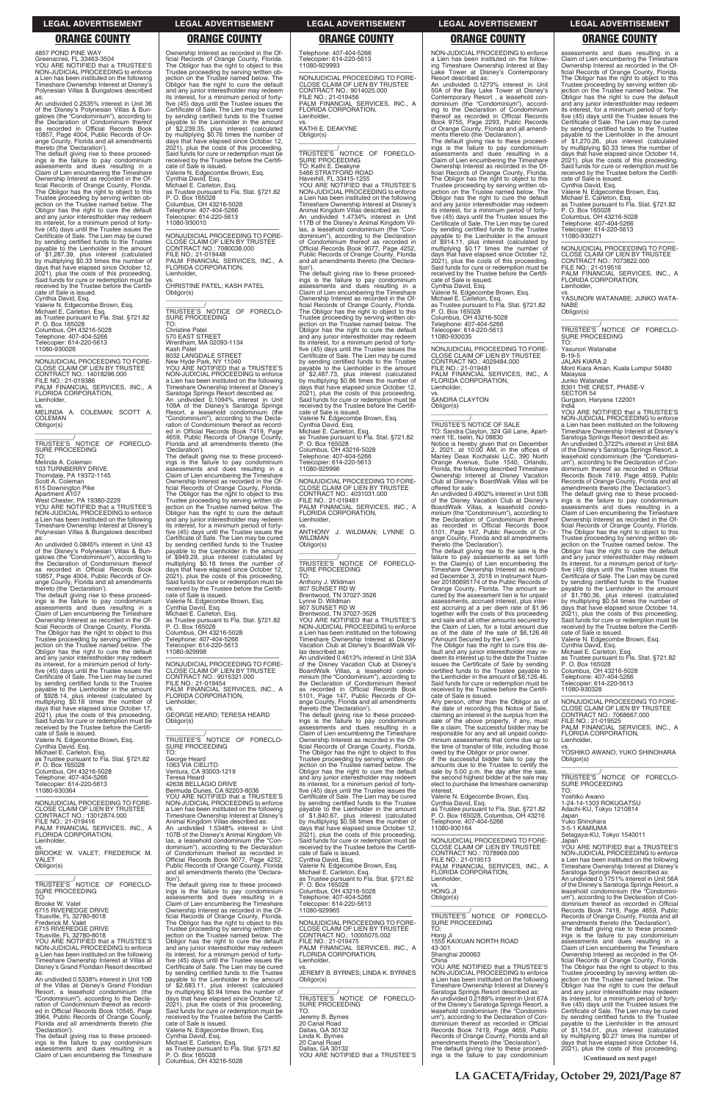### **LEGAL ADVERTISEMENT LEGAL ADVERTISEMENT LEGAL ADVERTISEMENT LEGAL ADVERTISEMENT LEGAL ADVERTISEMENT**

# **ORANGE COUNTY ORANGE COUNTY ORANGE COUNTY ORANGE COUNTY ORANGE COUNTY**

4857 POND PINE WAY<br>Greenacres, FL 33463-3504<br>YOU ARE NOTIFIED that a TRUSTEE'S<br>NON-JUDICIAL PROCEEDING to enforce<br>a Lien has been instituted on the following Timeshare Ownership Interest at Disney's Polynesian Villas & Bungalows described as:

An undivided 0.2535% interest in Unit 36 of the Disney's Polynesian Villas & Bun-galows (the "Condominium"), according to the Declaration of Condominium thereof as recorded in Official Records Book 10857, Page 4004, Public Records of Orange County, Florida and all amendments thereto (the 'Declaration'). The default giving rise to these proceed-

ings is the failure to pay condominium assessments and dues resulting in a Claim of Lien encumbering the Timeshare Ownership Interest as recorded in the Official Records of Orange County, Florida. The Obligor has the right to object to this Trustee proceeding by serving written ob-jection on the Trustee named below. The Obligor has the right to cure the default and any junior interestholder may redeem its interest, for a minimum period of forty-five (45) days until the Trustee issues the Certificate of Sale. The Lien may be cured by sending certified funds to the Trustee payable to the Lienholder in the amount of \$1,287.39, plus interest (calculated by multiplying \$0.33 times the number of days that have elapsed since October 12, 2021), plus the costs of this proceeding. Said funds for cure or redemption must be received by the Trustee before the Certifi-

cate of Sale is issued. Cynthia David, Esq. Valerie N. Edgecombe Brown, Esq. Michael E. Carleton, Esq. as Trustee pursuant to Fla. Stat. §721.82 P. O. Box 165028 Columbus, OH 43216-5028 Telephone: 407-404-5266 Telecopier: 614-220-5613 11080-930026

—————————————————— NONJUDICIAL PROCEEDING TO FORE-CLOSE CLAIM OF LIEN BY TRUSTEE CONTRACT NO.: 14018296.000 FILE NO.: 21-019386 PALM FINANCIAL SERVICES, INC., A FLORIDA CORPORATION, Lienholder, vs. MELINDA A. COLEMAN; SCOTT A. COLEMAN Obligor(s) \_\_\_\_\_\_\_\_\_\_\_\_\_\_\_\_\_\_\_\_\_\_\_\_\_\_\_\_\_\_\_\_\_

\_\_\_\_\_\_\_\_\_\_\_/ TRUSTEE'S NOTICE OF FORECLO-SURE PROCEEDING TO:

Melinda A. Coleman 103 TURNBERRY DRIVE Thorndale, PA 19372-1145 Scott A. Coleman 615 Downington Pike Apartment A107

West Chester, PA 19380-2229 YOU ARE NOTIFIED that a TRUSTEE'S NON-JUDICIAL PROCEEDING to enforce a Lien has been instituted on the following Timeshare Ownership Interest at Disney's Polynesian Villas & Bungalows described

as:<br>An undivided 0.0845% interest in Unit 43 An undivided 0.0845% interest in Unit 43<br>of the Disney's Polynesian Villas & Bun-<br>galows (the "Condominium"), according to<br>the Declaration of Condominium thereof<br>as recorded in Official Records Book<br>10857, Page 4004, Publi

The default giving rise to these proceed-ings is the failure to pay condominium assessments and dues resulting in a Claim of Lien encumbering the Timeshare Ownership Interest as recorded in the Of-ficial Records of Orange County, Florida. The Obligor has the right to object to this Trustee proceeding by serving written ob-jection on the Trustee named below. The Obligor has the right to cure the default and any junior interestholder may redeem its interest, for a minimum period of fortyfive (45) days until the Trustee issues the Certificate of Sale. The Lien may be cured by sending certified funds to the Trustee payable to the Lienholder in the amount of \$928.14, plus interest (calculated by multiplying \$0.18 times the number of days that have elapsed since October 17, 2021), plus the costs of this proceeding. Said funds for cure or redemption must be received by the Trustee before the Certifi-cate of Sale is issued. Valerie N. Edgecombe Brown, Esq.

Kash Patel<br>8032 | ANGDAI E STREET 8032 LANGDALE STREET<br>New Hyde Park, NY 11040<br>YOU ARE NOTIFIED that a TRUSTEE'S<br>NON-JUDICIAL PROCEEDING to enforce<br>a Lien has been instituted on the following Timeshare Ownership Interest at Disney's Saratoga Springs Resort described as:<br>An undivided 0.1094% interest in Unit<br>109A of the Disney's Saratoga Springs<br>Resort, a leasehold condominium (the<br>"Condominium"), according to the Declaration of Condominium thereof as record-Official Records Book 7419, Page 4659, Public Records of Orange County, Florida and all amendments thereto (the 'Declaration'). The default giving rise to these proceed-

Cynthia David, Esq. Michael E. Carleton, Esq. as Trustee pursuant to Fla. Stat. §721.82 P. O. Box 165028 Columbus, OH 43216-5028 Telephone: 407-404-5266 Telecopier: 614-220-5613

11080-930364

—————————————————— NONJUDICIAL PROCEEDING TO FORE-

Ownership Interest as recorded in the Of-ficial Records of Orange County, Florida. The Obligor has the right to object to this Trustee proceeding by serving written ob-jection on the Trustee named below. The Obligor has the right to cure the default and any junior interestholder may redeem its interest, for a minimum period of fortyfive (45) days until the Trustee issues the Certificate of Sale. The Lien may be cured by sending certified funds to the Trustee payable to the Lienholder in the amount<br>of \$2.239.35. plus interests of \$2,239.35, plus interest (calculated by multiplying \$0.76 times the number of days that have elapsed since October 12, 2021), plus the costs of this proceeding. Said funds for cure or redemption must be received by the Trustee before the Certificate of Sale is issued. Valerie N. Edgecombe Brown, Esq. Cynthia David, Esq. Michael E. Carleton, Esq. as Trustee pursuant to Fla. Stat. §721.82 P. O. Box 165028 Columbus, OH 43216-5028 Telephone: 407-404-5266 Telecopier: 614-220-5613

11080-930010

—————————————————— NONJUDICIAL PROCEEDING TO FORE-CLOSE CLAIM OF LIEN BY TRUSTEE CONTRACT NO.: 7080038.000 FILE NO.: 21-019448 PALM FINANCIAL SERVICES, INC., A FLORIDA CORPORATION, Lienholder,

> CLOSE CLAIM OF LIEN BY TRUSTEE<br>CONTRACT NO.: 4031031.000<br>FILE NO.: 21-019461<br>PALM FINANCIAL SERVICES, INC., A<br>FLORIDA CORPORATION, Lienholder, vs. ANTHONY J. WILDMAN; LYNNE D.

vs. CHRISTINE PATEL; KASH PATEL Obligor(s) \_\_\_\_\_\_\_\_\_\_\_\_\_\_\_\_\_\_\_\_\_\_\_\_\_\_\_\_\_\_\_\_\_

> TO:<br>Anthony J. Wildman Anthony J. Wildman 907 SUNSET RD W Brentwood, TN 37027-3526 Lynne D. Wildman 907 SUNSET RD W

\_\_\_\_\_\_\_\_\_\_\_/ TRUSTEE'S NOTICE OF FORECLO-SURE PROCEEDING TO:

Christine Patel 570 EAST STREET Wrentham, MA 02093-1134

ings is the failure to pay condominium assessments and dues resulting in a Claim of Lien encumbering the Timeshare Ownership Interest as recorded in the Official Records of Orange County, Florida. The Obligor has the right to object to this Trustee proceeding by serving written ob-jection on the Trustee named below. The Obligor has the right to cure the default and any junior interestholder may redeem its interest, for a minimum period of forty-five (45) days until the Trustee issues the Certificate of Sale. The Lien may be cured by sending certified funds to the Trustee payable to the Lienholder in the amount of \$949.29, plus interest (calculated by multiplying \$0.18 times the number of days that have elapsed since October 12, 2021), plus the costs of this proceeding. Said funds for cure or redemption must be received by the Trustee before the Certificate of Sale is issued. Valerie N. Edgecombe Brown, Esq. Cynthia David, Esq. Michael E. Carleton, Esq. as Trustee pursuant to Fla. Stat. §721.82 P. O. Box 165028 Columbus, OH 43216-5028 Telephone: 407-404-5266 Telecopier: 614-220-5613 11080-929998 —————————————————— NONJUDICIAL PROCEEDING TO FORE-CLOSE CLAIM OF LIEN BY TRUSTEE CONTRACT NO.: 9015321.000 FILE NO.: 21-019454 PALM FINANCIAL SERVICES, INC., A FLORIDA CORPORATION, Lienholder, vs. GEORGE HEARD; TERESA HEARD Obligor(s)

\_\_\_\_\_\_\_\_\_\_\_\_\_\_\_\_\_\_\_\_\_\_\_\_\_\_\_\_\_\_\_\_\_ \_\_\_\_\_\_\_\_\_\_\_/ TRUSTEE'S NOTICE OF FORECLO-SURE PROCEEDING TO:

George Heard

1063 VIA CIELITO Ventura, CA 93003-1219 Teresa Heard 42638 BELLAGIO DRIVE Bermuda Dunes, CA 92203-8036 YOU ARE NOTIFIED that a TRUSTEE'S NON-JUDICIAL PROCEEDING to enforce a Lien has been instituted on the following

failure to pay assessments as set forth<br>Timeshare Ownership Interest as record-<br>ed December 3, 2018 in Instrument Num-<br>ber 20180695174 of the Public Records of Orange County, Florida. The amount secured by the assessment lien is for unpaid assessments, accrued interest, plus inter-est accruing at a per diem rate of \$1.96 together with the costs of this proceeding and sale and all other amounts secured by the Claim of Lien, for a total amount due as of the date of the sale of \$6,126.46 ("Amount Secured by the Lien"). The Obligor has the right to cure this de-

fault and any junior interestholder may re-<br>deem its interest up to the date the Trustee<br>issues the Certificate of Sale by sending<br>certified funds to the Trustee payable to<br>the Lienholder in the amount of \$6,126.46.<br>Said f received by the Trustee before the Certifi-

owed by the Obligor or prior owner. If the successful bidder fails to pay the amounts due to the Trustee to certify the sale by 5:00 p.m. the day after the sale, the second highest bidder at the sale may elect to purchase the timeshare ownership interest

Telephone: 407-404-5266 Telecopier: 614-220-5613 11080-929993

—————————————————— NONJUDICIAL PROCEEDING TO FORE-CLOSE CLAIM OF LIEN BY TRUSTEE CONTRACT NO.: 9014025.000 FILE NO.: 21-019456 PALM FINANCIAL SERVICES, INC., A FLORIDA CORPORATION, Lienholder,

vs. KATHI E. DEAKYNE Obligor(s)

\_\_\_\_\_\_\_\_\_\_\_\_\_\_\_\_\_\_\_\_\_\_\_\_\_\_\_\_\_\_\_\_\_ \_\_\_\_\_\_\_\_\_\_\_/ TRUSTEE'S NOTICE OF FORECLO-SURE PROCEEDING TO: Kathi E. Deakyne<br>5466 STRATFORD ROAD<br>Haverhill, FL 33415-1255<br>YOU ARE NOTIFIED that a TRUSTEE'S<br>NON-JUDICIAL PROCEEDING to enforce a Lien has been instituted on the following Timeshare Ownership Interest at Disney's Animal Kingdom Villas described as: An undivided 1.4734% interest in Unit 117B of the Disney's Animal Kingdom Vil-las, a leasehold condominium (the "Condominium"), according to the Declaration of Condominium thereof as recorded in Official Records Book 9077, Page 4252, Public Records of Orange County, Florida and all amendments thereto (the 'Declara-tion').

The default giving rise to these proceed-ings is the failure to pay condominium assessments and dues resulting in a Claim of Lien encumbering the Timeshare Ownership Interest as recorded in the Of-ficial Records of Orange County, Florida. The Obligor has the right to object to this Trustee proceeding by serving written ob-jection on the Trustee named below. The Obligor has the right to cure the default and any junior interestholder may redeem its interest, for a minimum period of fortyfive (45) days until the Trustee issues the Certificate of Sale. The Lien may be cured by sending certified funds to the Trustee payable to the Lienholder in the amount<br>of \$2,487.73 plus interest of \$2,487.73, plus interest (calculated by multiplying \$0.86 times the number of days that have elapsed since October 12, 2021), plus the costs of this proceeding. Said funds for cure or redemption must be received by the Trustee before the Certificate of Sale is issued. Valerie N. Edgecombe Brown, Esq. Cynthia David, Esq. Michael E. Carleton, Esq. as Trustee pursuant to Fla. Stat. §721.82 P. O. Box 165028 Columbus, OH 43216-5028 Telephone: 407-404-5266 Telecopier: 614-220-5613 11080-929996 —————————————————— NONJUDICIAL PROCEEDING TO FORE-

WILDMAN Obligor(s) \_\_\_\_\_\_\_\_\_\_\_\_\_\_\_\_\_\_\_\_\_\_\_\_\_\_\_\_\_\_\_\_\_

\_\_\_\_\_\_\_\_\_\_\_/<br>TRUSTEE'S NOTICE OF FORECLO-<br>SURE PROCEEDING

Brentwood, TN 37027-3526 YOU ARE NOTIFIED that a TRUSTEE'S NON-JUDICIAL PROCEEDING to enforce a Lien has been instituted on the following Timeshare Ownership Interest at Disney Vacation Club at Disney's BoardWalk Vil-

las described as: An undivided 0.4613% interest in Unit 33A of the Disney Vacation Club at Disney's BoardWalk Villas, a leasehold condo-minium (the "Condominium"), according to the Declaration of Condominium thereof as recorded in Official Records Book 5101, Page 147, Public Records of Or-ange County, Florida and all amendments

thereto (the 'Declaration'). The default giving rise to these proceed-ings is the failure to pay condominium assessments and dues resulting in a Claim of Lien encumbering the Timeshare Ownership Interest as recorded in the Official Records of Orange County, Florida. The Obligor has the right to object to this Trustee proceeding by serving written objection on the Trustee named below. The Obligor has the right to cure the default and any junior interestholder may redeem its interest, for a minimum period of fortyfive (45) days until the Trustee issues the Certificate of Sale. The Lien may be cured by sending certified funds to the Trustee payable to the Lienholder in the amount

| CLOSE CLAIM OF LIEN BY TRUSTEE                                                    | a Lien has been instituted on the following                                           | pavable to the Lienholder in the amount     | as Trustee pursuant to Fla. Stat. §721.82                                            | Adachi-KU, Tokyo 1210814                                                                 |
|-----------------------------------------------------------------------------------|---------------------------------------------------------------------------------------|---------------------------------------------|--------------------------------------------------------------------------------------|------------------------------------------------------------------------------------------|
| CONTRACT NO.: 13012874.000                                                        | Timeshare Ownership Interest at Disney's                                              | of \$1,840.67, plus interest (calculated    | P. O. Box 165028, Columbus, OH 43216                                                 | Japan                                                                                    |
| FILE NO.: 21-019416                                                               | Animal Kingdom Villas described as:                                                   | by multiplying \$0.58 times the number of   | Telephone: 407-404-5266<br>11080-930164                                              | Yuko Shinohara<br>3-5-1 KAMIUMA                                                          |
| PALM FINANCIAL SERVICES, INC., A                                                  | An undivided 1.5348% interest in Unit                                                 | days that have elapsed since October 12,    |                                                                                      |                                                                                          |
| FLORIDA CORPORATION,                                                              | 107B of the Disney's Animal Kingdom Vil-                                              | 2021), plus the costs of this proceeding.   |                                                                                      | Setagaya-KU, Tokyo 1540011                                                               |
| Lienholder,                                                                       | las, a leasehold condominium (the "Con-                                               | Said funds for cure or redemption must be   | NONJUDICIAL PROCEEDING TO FORE-                                                      | Japan                                                                                    |
| VS.                                                                               | dominium"), according to the Declaration                                              | received by the Trustee before the Certifi- | CLOSE CLAIM OF LIEN BY TRUSTEE                                                       | YOU ARE NOTIFIED that a TRUSTEE'S                                                        |
| BROOKE W. VALET; FREDERICK M.                                                     | of Condominium thereof as recorded in                                                 | cate of Sale is issued.                     | CONTRACT NO.: 7078969.000                                                            | NON-JUDICIAL PROCEEDING to enforce                                                       |
| VALET                                                                             | Official Records Book 9077, Page 4252,                                                | Cynthia David, Esg.                         | FILE NO.: 21-019513                                                                  | a Lien has been instituted on the following                                              |
| Obligor(s)                                                                        | Public Records of Orange County, Florida                                              | Valerie N. Edgecombe Brown, Esg.            | PALM FINANCIAL SERVICES, INC., A                                                     | Timeshare Ownership Interest at Disney's                                                 |
|                                                                                   | and all amendments thereto (the 'Declara-                                             | Michael E. Carleton, Esq.                   | FLORIDA CORPORATION.                                                                 | Saratoga Springs Resort described as:                                                    |
|                                                                                   | tion').                                                                               | as Trustee pursuant to Fla. Stat. §721.82   | Lienholder,                                                                          | An undivided 0.1751% interest in Unit 56A                                                |
| TRUSTEE'S NOTICE OF FORECLO-                                                      | The default giving rise to these proceed-                                             | P. O. Box 165028                            | VS.                                                                                  | of the Disney's Saratoga Springs Resort, a                                               |
| <b>SURE PROCEEDING</b>                                                            | ings is the failure to pay condominium                                                | Columbus, OH 43216-5028                     | <b>HONG JI</b>                                                                       | leasehold condominium (the "Condomini-                                                   |
| TO:                                                                               | assessments and dues resulting in a                                                   | Telephone: 407-404-5266                     | Obligor(s)                                                                           | um"), according to the Declaration of Con-                                               |
| Brooke W. Valet                                                                   | Claim of Lien encumbering the Timeshare                                               | Telecopier: 614-220-5613                    |                                                                                      | dominium thereof as recorded in Official                                                 |
| 6715 RIVEREDGE DRIVE                                                              | Ownership Interest as recorded in the Of-                                             | 11080-929965                                | TRUSTEE'S NOTICE OF FORECLO-                                                         | Records Book 7419, Page 4659, Public                                                     |
| Titusville, FL 32780-8018                                                         | ficial Records of Orange County, Florida.                                             |                                             |                                                                                      | Records of Orange County, Florida and all                                                |
| Frederick M. Valet                                                                | The Obligor has the right to object to this                                           | NONJUDICIAL PROCEEDING TO FORE-             | SURE PROCEEDING                                                                      | amendments thereto (the 'Declaration').                                                  |
| 6715 RIVEREDGE DRIVE                                                              | Trustee proceeding by serving written ob-                                             | CLOSE CLAIM OF LIEN BY TRUSTEE              | TO:                                                                                  | The default giving rise to these proceed-                                                |
| Titusville, FL 32780-8018                                                         | jection on the Trustee named below. The                                               | CONTRACT NO.: 10005075.002                  | Hona Ji                                                                              | ings is the failure to pay condominium                                                   |
| YOU ARE NOTIFIED that a TRUSTEE'S                                                 | Obligor has the right to cure the default                                             | FILE NO.: 21-019475                         | 1555 KAIXUAN NORTH ROAD                                                              | assessments and dues resulting in a                                                      |
| NON-JUDICIAL PROCEEDING to enforce                                                | and any junior interestholder may redeem                                              | PALM FINANCIAL SERVICES, INC., A            | 43-301                                                                               | Claim of Lien encumbering the Timeshare                                                  |
| a Lien has been instituted on the following                                       | its interest, for a minimum period of forty-                                          | FLORIDA CORPORATION,                        | Shanghai 200063                                                                      | Ownership Interest as recorded in the Of-                                                |
| Timeshare Ownership Interest at Villas at                                         | five (45) days until the Trustee issues the                                           | Lienholder,                                 | China<br>YOU ARE NOTIFIED that a TRUSTEE'S                                           | ficial Records of Orange County, Florida.                                                |
| Disney's Grand Floridian Resort described                                         | Certificate of Sale. The Lien may be cured                                            | VS.<br>JEREMY B. BYRNES; LINDA K. BYRNES    | NON-JUDICIAL PROCEEDING to enforce                                                   | The Obligor has the right to object to this                                              |
| An undivided 0.5338% interest in Unit 10B                                         | by sending certified funds to the Trustee<br>payable to the Lienholder in the amount  |                                             |                                                                                      | Trustee proceeding by serving written ob-<br>jection on the Trustee named below. The     |
|                                                                                   |                                                                                       | Obligor(s)                                  | a Lien has been instituted on the following                                          |                                                                                          |
| of the Villas at Disney's Grand Floridian<br>Resort, a leasehold condominium (the | of \$2,683.11, plus interest (calculated<br>by multiplying \$0.94 times the number of |                                             | Timeshare Ownership Interest at Disney's<br>Saratoga Springs Resort described as:    | Obligor has the right to cure the default                                                |
| "Condominium"), according to the Decla-                                           | days that have elapsed since October 12,                                              | TRUSTEE'S NOTICE OF FORECLO-                | An undivided 0.2189% interest in Unit 67A                                            | and any junior interestholder may redeem<br>its interest, for a minimum period of forty- |
| ration of Condominium thereof as record-                                          | 2021), plus the costs of this proceeding.                                             | <b>SURE PROCEEDING</b>                      |                                                                                      | five (45) days until the Trustee issues the                                              |
| ed in Official Records Book 10545, Page                                           | Said funds for cure or redemption must be                                             | TO:                                         | of the Disney's Saratoga Springs Resort, a<br>leasehold condominium (the "Condomini- | Certificate of Sale. The Lien may be cured                                               |
| 3964, Public Records of Orange County,                                            | received by the Trustee before the Certifi-                                           | Jeremy B. Byrnes                            | um"), according to the Declaration of Con-                                           | by sending certified funds to the Trustee                                                |
| Florida and all amendments thereto (the                                           | cate of Sale is issued.                                                               | 20 Canal Road                               | dominium thereof as recorded in Official                                             | pavable to the Lienholder in the amount                                                  |
| 'Declaration').                                                                   | Valerie N. Edgecombe Brown, Esg.                                                      | Dallas, GA 30132                            | Records Book 7419, Page 4659, Public                                                 | of \$1,154.01, plus interest (calculated                                                 |
| The default giving rise to these proceed-                                         | Cynthia David, Esg.                                                                   | Linda K. Byrnes                             | Records of Orange County, Florida and all                                            | by multiplying \$0.27 times the number of                                                |
| ings is the failure to pay condominium                                            | Michael E. Carleton, Esq.                                                             | 20 Canal Road                               | amendments thereto (the 'Declaration').                                              | days that have elapsed since October 14,                                                 |
| assessments and dues resulting in a                                               | as Trustee pursuant to Fla. Stat. §721.82                                             | Dallas, GA 30132                            | The default giving rise to these proceed-                                            | 2021), plus the costs of this proceeding.                                                |
| Claim of Lien encumbering the Timeshare                                           | P. O. Box 165028                                                                      | YOU ARE NOTIFIED that a TRUSTEE'S           | ings is the failure to pay condominium                                               |                                                                                          |
|                                                                                   | Columbus, OH 43216-5028                                                               |                                             |                                                                                      | (Continued on next page)                                                                 |
|                                                                                   |                                                                                       |                                             |                                                                                      |                                                                                          |

NON-JUDICIAL PROCEEDING to enforce a Lien has been instituted on the follo ing Timeshare Ownership Interest at Bay Lake Tower at Disney's Contemporary Resort described as:

An undivided 0.1273% interest in Unit 50A of the Bay Lake Tower at Disney's Contemporary Resort , a leasehold condominium (the "Condominium"), according to the Declaration of Condominium thereof as recorded in Official Records Book 9755, Page 2293, Public Records of Orange County, Florida and all amend-ments thereto (the 'Declaration').

The default giving rise to these proceed-ings is the failure to pay condominium assessments and dues resulting in a Claim of Lien encumbering the Timeshare Ownership Interest as recorded in the Of-ficial Records of Orange County, Florida. The Obligor has the right to object to this Trustee proceeding by serving written ob-jection on the Trustee named below. The Obligor has the right to cure the default and any junior interestholder may redeem its interest, for a minimum period of fortyfive (45) days until the Trustee issues the Certificate of Sale. The Lien may be cured by sending certified funds to the Trustee payable to the Lienholder in the amount<br>of \$914.11 plus interest. of \$914.11, plus interest (calculated by multiplying \$0.17 times the number of days that have elapsed since October 12, 2021), plus the costs of this proceeding. Said funds for cure or redemption must be received by the Trustee before the Certificate of Sale is issued. Cynthia David, Esq.

Valerie N. Edgecombe Brown, Esq. Michael E. Carleton, Esq. as Trustee pursuant to Fla. Stat. §721.82 P. O. Box 165028 Columbus, OH 43216-5028 Telephone: 407-404-5266 Telecopier: 614-220-5613

11080-930035

—————————————————— NONJUDICIAL PROCEEDING TO FORE-CLOSE CLAIM OF LIEN BY TRUSTEE CONTRACT NO.: 4029484.000<br>FILE NO.: 21-019481<br>PALM FINANCIAL SERVICES, INC., A<br>FLORIDA CORPORATION, Lienholder,

vs. SANDRA CLAYTON Obligor(s)

\_\_\_\_\_\_\_\_\_\_\_\_\_\_\_\_\_\_\_\_\_\_\_\_\_\_\_\_\_\_\_\_\_

\_\_\_\_\_\_\_\_\_\_\_/ TRUSTEE'S NOTICE OF SALE TO: Sandra Clayton, 324 Gill Lane, Apart-ment 1E, Iselin, NJ 08830 Notice is hereby given that on December 2, 2021, at 10:00 AM, in the offices of Manley Deas Kochalski LLC, 390 North Orange Avenue, Suite 1540, Orlando, Florida, the following described Timeshare Ownership Interest at Disney Vacation Club at Disney's BoardWalk Villas will be offered for sale:

An undivided 0.4902% interest in Unit 53B of the Disney Vacation Club at Disney's BoardWalk Villas, a leasehold condo-minium (the "Condominium"), according to the Declaration of Condominium thereof as recorded in Official Records Book 5101, Page 147, Public Records of Orange County, Florida and all amendments thereto (the 'Declaration'). The default giving rise to the sale is the

cate of Sale is issued. Any person, other than the Obligor as of the date of recording this Notice of Sale, claiming an interest in the surplus from the sale of the above property, if any, must file a claim. The successful bidder may be responsible for any and all unpaid condo-minium assessments that come due up to the time of transfer of title, including those

Valerie N. Edgecombe Brown, Esq.

Cynthia David, Esq. as Trustee pursuant to Fla. Stat. §721.82

assessments and dues resulting in a Claim of Lien encumbering the Timeshare Ownership Interest as recorded in the Official Records of Orange County, Florida. The Obligor has the right to object to this Trustee proceeding by serving written ob-jection on the Trustee named below. The Obligor has the right to cure the default and any junior interestholder may redeem its interest, for a minimum period of forty-five (45) days until the Trustee issues the Certificate of Sale. The Lien may be cured by sending certified funds to the Trustee payable to the Lienholder in the amount of \$1,270.26, plus interest (calculated by multiplying \$0.33 times the number of days that have elapsed since October 14,

2021), plus the costs of this proceeding. Said funds for cure or redemption must be received by the Trustee before the Certificate of Sale is issued.

Cynthia David, Esq. Valerie N. Edgecombe Brown, Esq.

Michael E. Carleton, Esq. as Trustee pursuant to Fla. Stat. §721.82 P. O. Box 165028 Columbus, OH 43216-5028

Telephone: 407-404-5266 Telecopier: 614-220-5613 11080-930271

—————————————————— NONJUDICIAL PROCEEDING TO FORE-CLOSE CLAIM OF LIEN BY TRUSTEE CONTRACT NO.: 7073822.000 FILE NO.: 21-019516 PALM FINANCIAL SERVICES, INC., A FLORIDA CORPORATION, Lienholder,

vs. YASUNORI WATANABE; JUNKO WATA-NABE

Obligor(s) \_\_\_\_\_\_\_\_\_\_\_\_\_\_\_\_\_\_\_\_\_\_\_\_\_\_\_\_\_\_\_\_\_

\_\_\_\_\_\_\_\_\_\_\_/ TRUSTEE'S NOTICE OF FORECLO-SURE PROCEEDING TO:

Yasunori Watanabe B-19-5

JALAN KIARA 2 Mont Kiara Aman, Kuala Lumpur 50480

Malaysia Junko Watanabe B301 THE CREST, PHASE-V SECTOR 54

Gurgaon, Haryana 122001 India

YOU ARE NOTIFIED that a TRUSTEE'S NON-JUDICIAL PROCEEDING to enforce a Lien has been instituted on the following Timeshare Ownership Interest at Disney's Saratoga Springs Resort described as: An undivided 0.3722% interest in Unit 68A of the Disney's Saratoga Springs Resort, a leasehold condominium (the "Condominium"), according to the Declaration of Con-<br>dominium thereof as recorded in Official<br>Records Book 7419, Page 4659, Public<br>Records of Orange County, Florida and all<br>amendments thereo (the 'Declaration').<br>The default giving r ings is the failure to pay condominium assessments and dues resulting in a Claim of Lien encumbering the Timeshare Ownership Interest as recorded in the Official Records of Orange County, Florida. The Obligor has the right to object to this Trustee proceeding by serving written ob-jection on the Trustee named below. The Obligor has the right to cure the default and any junior interestholder may redeem its interest, for a minimum period of forty-five (45) days until the Trustee issues the Certificate of Sale. The Lien may be cured by sending certified funds to the Trustee payable to the Lienholder in the amount of \$1,780.36, plus interest (calculated by multiplying \$0.54 times the number of days that have elapsed since October 14, 2021), plus the costs of this proceeding. Said funds for cure or redemption must be received by the Trustee before the Certificate of Sale is issued.

Valerie N. Edgecombe Brown, Esq. Cynthia David, Esq. Michael E. Carleton, Esq. as Trustee pursuant to Fla. Stat. §721.82 P. O. Box 165028 Columbus, OH 43216-5028

Telephone: 407-404-5266 Telecopier: 614-220-5613 11080-930328

—————————————————— NONJUDICIAL PROCEEDING TO FORE-CLOSE CLAIM OF LIEN BY TRUSTEE CONTRACT NO.: 7068667.000 FILE NO.: 21-019525 PALM FINANCIAL SERVICES, INC., A

FLORIDA CORPORATION, Lienholder,

vs. YOSHIKO AWANO; YUKO SHINOHARA Obligor(s) \_\_\_\_\_\_\_\_\_\_\_\_\_\_\_\_\_\_\_\_\_\_\_\_\_\_\_\_\_\_\_\_\_

\_\_\_\_\_\_\_\_\_\_\_/ TRUSTEE'S NOTICE OF FORECLO-SURE PROCEEDING

TO: Yoshiko Awano 1-24-14-1303 ROKUGATSU Adachi-KU, Tokyo 1210814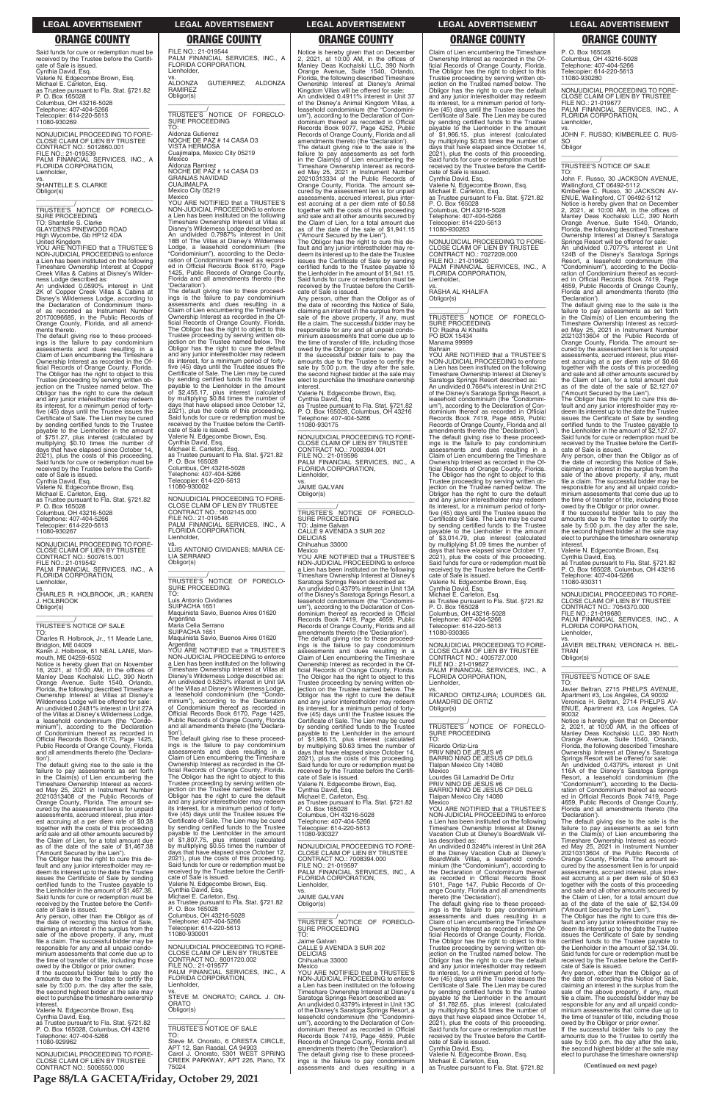Said funds for cure or redemption must be received by the Trustee before the Certifi-cate of Sale is issued. Cynthia David, Esq. Valerie N. Edgecombe Brown, Esq. Michael E. Carleton, Esq. as Trustee pursuant to Fla. Stat. §721.82 P. O. Box 165028 Columbus, OH 43216-5028 Telephone: 407-404-5266 Telecopier: 614-220-5613 11080-930269

\_\_\_\_\_\_\_\_\_\_\_/<br>TRUSTEE'S NOTICE OF FORECLO-<br>SURE PROCEEDING TO: Shantelle S. Clarke GLAYDENS PINEWOOD ROAD High Wycombe, Gb HP12 4DA

—————————————————— NONJUDICIAL PROCEEDING TO FORE-CLOSE CLAIM OF LIEN BY TRUSTEE CONTRACT NO.: 5012860.001 FILE NO.: 21-019539 PALM FINANCIAL SERVICES, INC., A FLORIDA CORPORATION, Lienholder, vs. SHANTELLE S. CLARKE Obligor(s)

\_\_\_\_\_\_\_\_\_\_\_\_\_\_\_\_\_\_\_\_\_\_\_\_\_\_\_\_\_\_\_\_\_

United Kingdom YOU ARE NOTIFIED that a TRUSTEE'S NON-JUDICIAL PROCEEDING to enforce a Lien has been instituted on the following Timeshare Ownership Interest at Copper Creek Villas & Cabins at Disney's Wilder-

ness Lodge described as: An undivided 0.0590% interest in Unit 2K of Copper Creek Villas & Cabins at Disney's Wilderness Lodge, according to the Declaration of Condominium there-of as recorded as Instrument Number 20170096685, in the Public Records of Orange County, Florida, and all amend-ments thereto.

The default giving rise to these proceed-ings is the failure to pay condominium assessments and dues resulting in a Claim of Lien encumbering the Timeshare Ownership Interest as recorded in the Of-ficial Records of Orange County, Florida. The Obligor has the right to object to this Trustee proceeding by serving written ob-jection on the Trustee named below. The Obligor has the right to cure the default and any junior interestholder may redeem its interest, for a minimum period of fortyfive (45) days until the Trustee issues the Certificate of Sale. The Lien may be cured by sending certified funds to the Trustee payable to the Lienholder in the amount of \$751.27, plus interest (calculated by multiplying \$0.10 times the number of days that have elapsed since October 14, 2021), plus the costs of this proceeding. Said funds for cure or redemption must be received by the Trustee before the Certifi-cate of Sale is issued. Cynthia David, Esq.

Valerie N. Edgecombe Brown, Esq. Michael E. Carleton, Esq. as Trustee pursuant to Fla. Stat. §721.82 P. O. Box 165028 Columbus, OH 43216-5028 Telephone: 407-404-5266

Telecopier: 614-220-5613 11080-930267

—————————————————— NONJUDICIAL PROCEEDING TO FORE-CLOSE CLAIM OF LIEN BY TRUSTEE CONTRACT NO.: 5007615.001 FILE NO.: 21-019542 PALM FINANCIAL SERVICES, INC., A FLORIDA CORPORATION, Lienholder,

vs. CHARLES R. HOLBROOK, JR.; KAREN J. HOLBROOK Obligor(s) \_\_\_\_\_\_\_\_\_\_\_\_\_\_\_\_\_\_\_\_\_\_\_\_\_\_\_\_\_\_\_\_\_

# \_\_\_\_\_\_\_\_\_\_\_/ TRUSTEE'S NOTICE OF SALE

TO: Charles R. Holbrook, Jr., 11 Meade Lane, Bridgton, ME 04009 Karen J. Holbrook, 61 NEAL LANE, Mon-

mouth, ME 04259-6502 Notice is hereby given that on November 18, 2021, at 10:00 AM, in the offices of Manley Deas Kochalski LLC, 390 North Orange Avenue, Suite 1540, Orlando, Florida, the following described Timeshare Ownership Interest at Villas at Disney's Wilderness Lodge will be offered for sale: An undivided 0.2481% interest in Unit 27A of the Villas at Disney's Wilderness Lodge, a leasehold condominium (the "Condo-minium"), according to the Declaration of Condominium thereof as recorded in Official Records Book 6170, Page 1425, Public Records of Orange County, Florida and all amendments thereto (the 'Declaration').

The default giving rise to the sale is the failure to pay assessments as set forth in the Claim(s) of Lien encumbering the Timeshare Ownership Interest as recorded May 25, 2021 in Instrument Number 20210313408 of the Public Records of Orange County, Florida. The amount se-cured by the assessment lien is for unpaid

Argentina Maria Celia Serrano

FILE NO.: 21-019544

SURE PROCEEDING

PALM FINANCIAL SERVICES, INC., A

FLORIDA CORPORATION,

Lienholder, vs.

ALDONZA GUTIERREZ; ALDONZA

RAMIREZ Obligor(s)

\_\_\_\_\_\_\_\_\_\_\_\_\_\_\_\_\_\_\_\_\_\_\_\_\_\_\_\_\_\_\_\_\_ \_\_\_\_\_\_\_\_\_\_\_/ TRUSTEE'S NOTICE OF FORECLO-

TO:

Aldonza Gutierrez NOCHE DE PAZ # 14 CASA D3 VISTA HERMOSA Cuajimalpa, Mexico City 05219 Mexico

Aldonza Ramirez

Mexico City 05219

NOCHE DE PAZ # 14 CASA D3 GRANJAS NAVIDAD CUAJIMALPA

Mexico YOU ARE NOTIFIED that a TRUSTEE'S NON-JUDICIAL PROCEEDING to enforce a Lien has been instituted on the following Timeshare Ownership Interest at Villas at

Disney's Wilderness Lodge described as: An undivided 0.7987% interest in Unit 18B of The Villas at Disney's Wilderness

If the successful bidder fails to pay the amounts due to the Trustee to certify the sale by 5:00 p.m. the day after the sale, the second highest bidder at the sale may elect to purchase the timeshare ownership **interest** 

Lodge, a leasehold condominium (the "Condominium"), according to the Decla-ration of Condominium thereof as record-

ed in Official Records Book 6170, Page 1425, Public Records of Orange County, Florida and all amendments thereto (the

—————————————————— NONJUDICIAL PROCEEDING TO FORE-CLOSE CLAIM OF LIEN BY TRUSTEE CONTRACT NO.: 7008394.001 FILE NO.: 21-019596 PALM FINANCIAL SERVICES, INC., A FLORIDA CORPORATION, enholder,

'Declaration'). The default giving rise to these proceed-ings is the failure to pay condominium assessments and dues resulting in a Claim of Lien encumbering the Timeshare Ownership Interest as recorded in the Official Records of Orange County, Florida. The Obligor has the right to object to this Trustee proceeding by serving written objection on the Trustee named below. The Obligor has the right to cure the default and any junior interestholder may redeem

its interest, for a minimum period of forty-five (45) days until the Trustee issues the Certificate of Sale. The Lien may be cured

by sending certified funds to the Trustee payable to the Lienholder in the amount of \$2,455.17, plus interest (calculated

by multiplying \$0.84 times the number of days that have elapsed since October 12, 2021), plus the costs of this proceeding.

Said funds for cure or redemption must be received by the Trustee before the Certifi-cate of Sale is issued.

Valerie N. Edgecombe Brown, Esq. Cynthia David, Esq. Michael E. Carleton, Esq.

as Trustee pursuant to Fla. Stat. §721.82 P. O. Box 165028 Columbus, OH 43216-5028

Telephone: 407-404-5266 Telecopier: 614-220-5613 11080-930002

FLORIDA CORPORATION,

Lienholder,

LIA SERRANO Obligor(s)

SURE PROCEEDING

TO:

Luis Antonio Cividanes SUIPACHA 1651

Public Records of Orange County, Florida and all amendments thereto (the 'Declara-

tion').

The default giving rise to these proceed-ings is the failure to pay condominium assessments and dues resulting in a

Claim of Lien encumbering the Timeshare Ownership Interest as recorded in the Of-ficial Records of Orange County, Florida.

The Obligor has the right to object to this Trustee proceeding by serving written ob-jection on the Trustee named below. The

—————————————————— NONJUDICIAL PROCEEDING TO FORE-CLOSE CLAIM OF LIEN BY TRUSTEE CONTRACT NO.: 5002145.000 FILE NO.: 21-019546 PALM FINANCIAL SERVICES, INC., A vs. LUIS ANTONIO CIVIDANES; MARIA CE-\_\_\_\_\_\_\_\_\_\_\_\_\_\_\_\_\_\_\_\_\_\_\_\_\_\_\_\_\_\_\_\_\_ \_\_\_\_\_\_\_\_\_\_\_/ TRUSTEE'S NOTICE OF FORECLO-Maquinista Savio, Buenos Aires 01620 SUIPACHA 1651 Maquinista Savio, Buenos Aires 01620 Argentina YOU ARE NOTIFIED that a TRUSTEE'S NON-JUDICIAL PROCEEDING to enforce a Lien has been instituted on the following Timeshare Ownership Interest at Villas at Disney's Wilderness Lodge described as: An undivided 0.5253% interest in Unit 9A of the Villas at Disney's Wilderness Lodge, a leasehold condominium (the "Condominium"), according to the Declaration of Condominium thereof as recorded in Official Records Book 6170, Page 1425, \_\_\_\_\_\_\_\_\_\_\_\_/<br>TRUSTEE'S NOTICE OF FORECLO-<br>SURE PROCEEDING TO: Jaime Galvan CALLE 9 AVENIDA 3 SUR 202 **DELICIAS** Chihuahua 33000 Mexico YOU ARE NOTIFIED that a TRUSTEE'S NON-JUDICIAL PROCEEDING to enforce a Lien has been instituted on the following Timeshare Ownership Interest at Disney's Saratoga Springs Resort described as: An undivided 0.4379% interest in Unit 13A of the Disney's Saratoga Springs Resort, a leasehold condominium (the "Condomini-um"), according to the Declaration of Con-dominium thereof as recorded in Official Records Book 7419, Page 4659, Public Records of Orange County, Florida and all amendments thereto (the 'Declaration'). The default giving rise to these proceed-ings is the failure to pay condominium assessments and dues resulting in a Claim of Lien encumbering the Timeshare Ownership Interest as recorded in the Of-ficial Records of Orange County, Florida. The Obligor has the right to object to this Trustee proceeding by serving written ob-jection on the Trustee named below. The Obligor has the right to cure the default and any junior interestholder may redeem its interest, for a minimum period of forty-

Notice is hereby given that on December 2, 2021, at 10:00 AM, in the offices of Manley Deas Kochalski LLC, 390 North Orange Avenue, Suite 1540, Orlando, Florida, the following described Timeshare Ownership Interest at Disney's Animal Kingdom Villas will be offered for sale: An undivided 0.4911% interest in Unit 37 of the Disney's Animal Kingdom Villas, a leasehold condominium (the "Condomini-um"), according to the Declaration of Con-dominium thereof as recorded in Official Records Book 9077, Page 4252, Public Records of Orange County, Florida and all amendments thereto (the 'Declaration'). The default giving rise to the sale is the failure to pay assessments as set forth in the Claim(s) of Lien encumbering the Timeshare Ownership Interest as record-ed May 25, 2021 in Instrument Number 20210313334 of the Public Records of Orange County, Florida. The amount se-cured by the assessment lien is for unpaid assessments, accrued interest, plus interest accruing at a per diem rate of \$0.58 together with the costs of this proceeding and sale and all other amounts secured by the Claim of Lien, for a total amount due as of the date of the sale of \$1,941.15 ("Amount Secured by the Lien").

The Obligor has the right to cure this de-fault and any junior interestholder may re-deem its interest up to the date the Trustee issues the Certificate of Sale by sending certified funds to the Trustee payable to the Lienholder in the amount of \$1,941.15. Said funds for cure or redemption must be received by the Trustee before the Certifi-cate of Sale is issued.

> owed by the Obligor or prior owner. If the successful bidder fails to pay the amounts due to the Trustee to certify the sale by 5:00 p.m. the day after the sale, the second highest bidder at the sale may elect to purchase the timeshare ownership **interest**

Any person, other than the Obligor as of the date of recording this Notice of Sale, claiming an interest in the surplus from the sale of the above property, if any, must file a claim. The successful bidder may be responsible for any and all unpaid condominium assessments that come due up to the time of transfer of title, including those owed by the Obligor or prior owner.

> PALM FINANCIAL SERVICES, INC., A FLORIDA CORPORATION, Lienholder,

Valerie N. Edgecombe Brown, Esq. Cynthia David, Esq. as Trustee pursuant to Fla. Stat. §721.82 P. O. Box 165028, Columbus, OH 43216 Telephone: 407-404-5266 11080-930175

vs. JAIME GALVAN Obligor(s)

\_\_\_\_\_\_\_\_\_\_\_\_\_\_\_\_\_\_\_\_\_\_\_\_\_\_\_\_\_\_\_\_\_

five (45) days until the Trustee issues the Certificate of Sale. The Lien may be cured by sending certified funds to the Trustee payable to the Lienholder in the amount of \$1,966.15, plus interest (calculated by multiplying \$0.63 times the number of days that have elapsed since October 14, 2021), plus the costs of this proceeding. Said funds for cure or redemption must be received by the Trustee before the Certifi-cate of Sale is issued. Valerie N. Edgecombe Brown, Esq.

Cynthia David, Esq. Michael E. Carleton, Esq. as Trustee pursuant to Fla. Stat. §721.82 P. O. Box 165028

| 20210313408 of the Public Records of                                             | Obligor has the right to cure the default                     | Michael E. Carleton, Esg.                    | Tlalpan Mexico City 14080                                                                | ed in Official Records Book 7419. Page                                 |
|----------------------------------------------------------------------------------|---------------------------------------------------------------|----------------------------------------------|------------------------------------------------------------------------------------------|------------------------------------------------------------------------|
| Orange County, Florida. The amount se-                                           | and any junior interestholder may redeem                      | as Trustee pursuant to Fla. Stat. §721.82    | Mexico                                                                                   | 4659, Public Records of Orange County,                                 |
| cured by the assessment lien is for unpaid                                       | its interest, for a minimum period of forty-                  | P. O. Box 165028                             | YOU ARE NOTIFIED that a TRUSTEE'S                                                        | Florida and all amendments thereto (the                                |
| assessments, accrued interest, plus inter-                                       | five (45) days until the Trustee issues the                   | Columbus, OH 43216-5028                      | NON-JUDICIAL PROCEEDING to enforce                                                       | 'Declaration').                                                        |
| est accruing at a per diem rate of \$0.38                                        | Certificate of Sale. The Lien may be cured                    | Telephone: 407-404-5266                      | a Lien has been instituted on the following                                              | The default giving rise to the sale is the                             |
| together with the costs of this proceeding                                       | by sending certified funds to the Trustee                     | Telecopier: 614-220-5613                     | Timeshare Ownership Interest at Disney                                                   | failure to pay assessments as set forth                                |
| and sale and all other amounts secured by                                        | payable to the Lienholder in the amount                       | 11080-930327                                 | Vacation Club at Disney's BoardWalk Vil-                                                 | in the Claim(s) of Lien encumbering the                                |
| the Claim of Lien, for a total amount due                                        | of \$1,807.75, plus interest (calculated                      |                                              | las described as:                                                                        | Timeshare Ownership Interest as record-                                |
| as of the date of the sale of \$1,467.38                                         | by multiplying \$0.55 times the number of                     | NONJUDICIAL PROCEEDING TO FORE-              | An undivided 0.3246% interest in Unit 26A                                                | ed May 25, 2021 in Instrument Number                                   |
| ("Amount Secured by the Lien").                                                  | days that have elapsed since October 12.                      | CLOSE CLAIM OF LIEN BY TRUSTEE               | of the Disney Vacation Club at Disney's                                                  | 20210313604 of the Public Records of                                   |
| The Obligor has the right to cure this de-                                       | 2021), plus the costs of this proceeding.                     | CONTRACT NO.: 7008394.000                    | BoardWalk Villas, a leasehold condo-                                                     | Orange County, Florida. The amount se-                                 |
| fault and any junior interestholder may re-                                      | Said funds for cure or redemption must be                     | FILE NO.: 21-019597                          | minium (the "Condominium"), according to                                                 | cured by the assessment lien is for unpaid                             |
| deem its interest up to the date the Trustee                                     | received by the Trustee before the Certifi-                   | PALM FINANCIAL SERVICES, INC., A             | the Declaration of Condominium thereof                                                   | assessments, accrued interest, plus inter-                             |
| issues the Certificate of Sale by sending                                        | cate of Sale is issued.                                       | FLORIDA CORPORATION,                         | as recorded in Official Records Book                                                     | est accruing at a per diem rate of \$0.63                              |
| certified funds to the Trustee payable to                                        | Valerie N. Edgecombe Brown, Esg.                              | Lienholder.                                  | 5101, Page 147, Public Records of Or-                                                    | together with the costs of this proceeding                             |
| the Lienholder in the amount of \$1,467.38.                                      | Cynthia David, Esg.                                           | VS.                                          | ange County, Florida and all amendments                                                  | and sale and all other amounts secured by                              |
| Said funds for cure or redemption must be                                        | Michael E. Carleton, Esq.                                     | <b>JAIME GALVAN</b>                          | thereto (the 'Declaration').                                                             | the Claim of Lien, for a total amount due                              |
| received by the Trustee before the Certifi-                                      | as Trustee pursuant to Fla. Stat. §721.82<br>P. O. Box 165028 | Obligor(s)                                   | The default giving rise to these proceed-                                                | as of the date of the sale of \$2.134.09                               |
| cate of Sale is issued.                                                          | Columbus, OH 43216-5028                                       |                                              | ings is the failure to pay condominium                                                   | ("Amount Secured by the Lien").                                        |
| Any person, other than the Obligor as of                                         | Telephone: 407-404-5266                                       |                                              | assessments and dues resulting in a                                                      | The Obligor has the right to cure this de-                             |
| the date of recording this Notice of Sale.                                       |                                                               | TRUSTEE'S NOTICE OF FORECLO-                 | Claim of Lien encumbering the Timeshare                                                  | fault and any junior interestholder may re-                            |
| claiming an interest in the surplus from the                                     | Telecopier: 614-220-5613<br>11080-930001                      | SURE PROCEEDING                              | Ownership Interest as recorded in the Of-                                                | deem its interest up to the date the Trustee                           |
| sale of the above property, if any, must                                         |                                                               | TO:                                          | ficial Records of Orange County, Florida.                                                | issues the Certificate of Sale by sending                              |
| file a claim. The successful bidder may be                                       | NONJUDICIAL PROCEEDING TO FORE-                               | Jaime Galvan                                 | The Obligor has the right to object to this                                              | certified funds to the Trustee payable to                              |
| responsible for any and all unpaid condo-                                        | CLOSE CLAIM OF LIEN BY TRUSTEE                                | CALLE 9 AVENIDA 3 SUR 202<br><b>DELICIAS</b> | Trustee proceeding by serving written ob-                                                | the Lienholder in the amount of \$2,134.09.                            |
| minium assessments that come due up to                                           | CONTRACT NO.: 8001720.002                                     | Chihuahua 33000                              | jection on the Trustee named below. The                                                  | Said funds for cure or redemption must be                              |
| the time of transfer of title, including those                                   | FILE NO.: 21-019577                                           | Mexico                                       | Obligor has the right to cure the default                                                | received by the Trustee before the Certifi-<br>cate of Sale is issued. |
| owed by the Obligor or prior owner.<br>If the successful bidder fails to pay the | PALM FINANCIAL SERVICES. INC., A                              | YOU ARE NOTIFIED that a TRUSTEE'S            | and any junior interestholder may redeem<br>its interest, for a minimum period of forty- | Any person, other than the Obligor as of                               |
| amounts due to the Trustee to certify the                                        | FLORIDA CORPORATION,                                          | NON-JUDICIAL PROCEEDING to enforce           | five (45) days until the Trustee issues the                                              | the date of recording this Notice of Sale,                             |
| sale by 5:00 p.m. the day after the sale,                                        | Lienholder,                                                   | a Lien has been instituted on the following  | Certificate of Sale. The Lien may be cured                                               | claiming an interest in the surplus from the                           |
| the second highest bidder at the sale may                                        | VS.                                                           | Timeshare Ownership Interest at Disney's     | by sending certified funds to the Trustee                                                | sale of the above property, if any, must                               |
| elect to purchase the timeshare ownership                                        | STEVE M. ONORATO; CAROL J. ON-                                | Saratoga Springs Resort described as:        | payable to the Lienholder in the amount                                                  | file a claim. The successful bidder may be                             |
| interest.                                                                        | <b>ORATO</b>                                                  | An undivided 0.4379% interest in Unit 13C    | of \$1,782.65, plus interest (calculated                                                 | responsible for any and all unpaid condo-                              |
| Valerie N. Edgecombe Brown, Esg.                                                 | Obligor(s)                                                    | of the Disney's Saratoga Springs Resort, a   | by multiplying \$0.54 times the number of                                                | minium assessments that come due up to                                 |
| Cynthia David, Esq.                                                              |                                                               | leasehold condominium (the "Condomini-       | days that have elapsed since October 14,                                                 | the time of transfer of title, including those                         |
| as Trustee pursuant to Fla. Stat. §721.82                                        |                                                               | um"), according to the Declaration of Con-   | 2021), plus the costs of this proceeding.                                                | owed by the Obligor or prior owner.                                    |
| P. O. Box 165028, Columbus, OH 43216                                             | TRUSTEE'S NOTICE OF SALE                                      | dominium thereof as recorded in Official     | Said funds for cure or redemption must be                                                | If the successful bidder fails to pay the                              |
| Telephone: 407-404-5266                                                          | TO:                                                           | Records Book 7419, Page 4659, Public         | received by the Trustee before the Certifi-                                              | amounts due to the Trustee to certify the                              |
| 11080-929962                                                                     | Steve M. Onorato, 6 CRESTA CIRCLE.                            | Records of Orange County, Florida and all    | cate of Sale is issued.                                                                  | sale by 5:00 p.m. the day after the sale,                              |
|                                                                                  | APT 12, San Rasdal, CA 94903                                  | amendments thereto (the 'Declaration').      | Cynthia David, Esg.                                                                      | the second highest bidder at the sale may                              |
| NONJUDICIAL PROCEEDING TO FORE-                                                  | Carol J. Onorato, 5301 WEST SPRING                            | The default giving rise to these proceed-    | Valerie N. Edgecombe Brown, Esg.                                                         | elect to purchase the timeshare ownership                              |
| CLOSE CLAIM OF LIEN BY TRUSTEE                                                   | CREEK PARKWAY, APT 226, Plano, TX                             | ings is the failure to pay condominium       | Michael E. Carleton, Esg.                                                                |                                                                        |
| CONTRACT NO.: 5006550.000                                                        | 75024                                                         | assessments and dues resulting in a          | as Trustee pursuant to Fla. Stat. §721.82                                                | (Continued on next page)                                               |
|                                                                                  |                                                               |                                              |                                                                                          |                                                                        |

Claim of Lien encumbering the Timeshare Ownership Interest as recorded in the Of-ficial Records of Orange County, Florida. The Obligor has the right to object to this Trustee proceeding by serving written ob-jection on the Trustee named below. The Obligor has the right to cure the default and any junior interestholder may redeem its interest, for a minimum period of fortyfive (45) days until the Trustee issues the Certificate of Sale. The Lien may be cured by sending certified funds to the Trustee payable to the Lienholder in the amount of \$1,966.15, plus interest (calculated by multiplying \$0.63 times the number of days that have elapsed since October 14, 2021), plus the costs of this proceeding. Said funds for cure or redemption must be received by the Trustee before the Certifi-cate of Sale is issued. Cynthia David, Esq.

Valerie N. Edgecombe Brown, Esq. Michael E. Carleton, Esq. as Trustee pursuant to Fla. Stat. §721.82 P. O. Box 165028 Columbus, OH 43216-5028 Telephone: 407-404-5266 Telecopier: 614-220-5613 11080-930263

—————————————————— NONJUDICIAL PROCEEDING TO FORE-CLOSE CLAIM OF LIEN BY TRUSTEE CONTRACT NO.: 7027209.000 FILE NO.: 21-019620 PALM FINANCIAL SERVICES, INC., A FLORIDA CORPORATION, Lienholder,

vs. RASHA AL KHALIFA Obligor(s) \_\_\_\_\_\_\_\_\_\_\_\_\_\_\_\_\_\_\_\_\_\_\_\_\_\_\_\_\_\_\_\_\_

\_\_\_\_\_\_\_\_\_\_\_/ TRUSTEE'S NOTICE OF FORECLO-SURE PROCEEDING TO: Rasha Al Khalifa PO BOX 15434 Manama 99999

Bahrain

YOU ARE NOTIFIED that a TRUSTEE'S NON-JUDICIAL PROCEEDING to enforce a Lien has been instituted on the following Timeshare Ownership Interest at Disney's Saratoga Springs Resort described as: An undivided 0.7664% interest in Unit 21C of the Disney's Saratoga Springs Resort, a leasehold condominium (the "Condomini-um"), according to the Declaration of Condominium thereof as recorded in Official Records Book 7419, Page 4659, Public Records of Orange County, Florida and all amendments thereto (the 'Declaration'). The default giving rise to these proceed-ings is the failure to pay condominium assessments and dues resulting in a Claim of Lien encumbering the Timeshare Ownership Interest as recorded in the Official Records of Orange County, Florida. The Obligor has the right to object to this Trustee proceeding by serving written objection on the Trustee named below. The Obligor has the right to cure the default and any junior interestholder may redeem its interest, for a minimum period of forty-five (45) days until the Trustee issues the Certificate of Sale. The Lien may be cured by sending certified funds to the Trustee payable to the Lienholder in the amount of \$3,014.79, plus interest (calculated by multiplying \$1.09 times the number of days that have elapsed since October 17, 2021), plus the costs of this proceeding. Said funds for cure or redemption must be received by the Trustee before the Certifi-cate of Sale is issued.

Valerie N. Edgecombe Brown, Esq. Cynthia David, Esq. Michael E. Carleton, Esq.

as Trustee pursuant to Fla. Stat. §721.82 P. O. Box 165028 Columbus, OH 43216-5028 Telephone: 407-404-5266 Telecopier: 614-220-5613 11080-930365

—————————————————— NONJUDICIAL PROCEEDING TO FORE-CLOSE CLAIM OF LIEN BY TRUSTEE CONTRACT NO.: 4005727.000 FILE NO.: 21-019627 PALM FINANCIAL SERVICES, INC., A FLORIDA CORPORATION, Lienholder,

vs. RICARDO ORTIZ-LIRA; LOURDES GIL LAMADRID DE ORTIZ Obligor(s) \_\_\_\_\_\_\_\_\_\_\_\_\_\_\_\_\_\_\_\_\_\_\_\_\_\_\_\_\_\_\_\_\_

\_\_\_\_\_\_\_\_\_\_\_/ TRUSTEE'S NOTICE OF FORECLO-SURE PROCEEDING

TO: Ricardo Ortiz-Lira

PRIV NINO DE JESUS #6 BARRIO NINO DE JESUS CP DELG Tlalpan Mexico City 14080 Mexico

Lourdes Gil Lamadrid De Ortiz PRIV NINO DE JESUS #6 BARRIO NINO DE JESUS CP DELG Tlalpan Mexico City 14080 Mexico

P. O. Box 165028 Columbus, OH 43216-5028 Telephone: 407-404-5266 Telecopier: 614-220-5613 11080-930280

—————————————————— NONJUDICIAL PROCEEDING TO FORE-CLOSE CLAIM OF LIEN BY TRUSTEE FILE NO.: 21-019677 PALM FINANCIAL SERVICES, INC., A FLORIDA CORPORATION, Lienholder,

vs. JOHN F. RUSSO; KIMBERLEE C. RUS-SO Obligor

\_\_\_\_\_\_\_\_\_\_\_\_\_\_\_\_\_\_\_\_\_\_\_\_\_\_\_\_\_\_\_\_\_ \_\_\_\_\_\_\_\_\_\_\_/ TRUSTEE'S NOTICE OF SALE

TO: John F. Russo, 30 JACKSON AVENUE, Wallingford, CT 06492-5112 Kimberlee C. Russo, 30 JACKSON AV-ENUE, Wallingford, CT 06492-5112 Notice is hereby given that on December 2, 2021, at 10:00 AM, in the offices of Manley Deas Kochalski LLC, 390 North Orange Avenue, Suite 1540, Orlando, Florida, the following described Timeshare Ownership Interest at Disney's Saratoga

Springs Resort will be offered for sale: An undivided 0.7077% interest in Unit 124B of the Disney's Saratoga Springs Resort, a leasehold condominium (the "Condominium"), according to the Decla-ration of Condominium thereof as recorded in Official Records Book 7419, Page 4659, Public Records of Orange County, Florida and all amendments thereto (the

'Declaration'). The default giving rise to the sale is the failure to pay assessments as set forth in the Claim(s) of Lien encumbering the Timeshare Ownership Interest as record-ed May 25, 2021 in Instrument Number 20210313604 of the Public Records of Orange County, Florida. The amount se-cured by the assessment lien is for unpaid assessments, accrued interest, plus inter-est accruing at a per diem rate of \$0.66 together with the costs of this proceeding and sale and all other amounts secured by the Claim of Lien, for a total amount due as of the date of the sale of \$2,127.07

("Amount Secured by the Lien"). The Obligor has the right to cure this de-fault and any junior interestholder may redeem its interest up to the date the Trustee issues the Certificate of Sale by sending certified funds to the Trustee payable to the Lienholder in the amount of \$2,127.07. Said funds for cure or redemption must be received by the Trustee before the Certifi-

cate of Sale is issued. Any person, other than the Obligor as of the date of recording this Notice of Sale, claiming an interest in the surplus from the sale of the above property, if any, must file a claim. The successful bidder may be responsible for any and all unpaid condo-minium assessments that come due up to the time of transfer of title, including those

Valerie N. Edgecombe Brown, Esq. Cynthia David, Esq.

as Trustee pursuant to Fla. Stat. §721.82 P. O. Box 165028, Columbus, OH 43216 Telephone: 407-404-5266 11080-930311

—————————————————— NONJUDICIAL PROCEEDING TO FORE-CLOSE CLAIM OF LIEN BY TRUSTEE CONTRACT NO.: 7054370.000 FILE NO.: 21-019680

vs. JAVIER BELTRAN; VERONICA H. BEL-TRAN Obligor(s) \_\_\_\_\_\_\_\_\_\_\_\_\_\_\_\_\_\_\_\_\_\_\_\_\_\_\_\_\_\_\_\_\_

\_\_\_\_\_\_\_\_\_\_\_/ TRUSTEE'S NOTICE OF SALE

TO: Javier Beltran, 2715 PHELPS AVENUE, Apartment #3, Los Angeles, CA 90032 Veronica H. Beltran, 2714 PHELPS AV-ENUE, Apartment #3, Los Angeles, CA 90032

Notice is hereby given that on December 2, 2021, at 10:00 AM, in the offices of Manley Deas Kochalski LLC, 390 North Orange Avenue, Suite 1540, Orlando, Florida, the following described Timeshare Ownership Interest at Disney's Saratoga Springs Resort will be offered for sale: An undivided 0.4379% interest in Unit

116A of the Disney's Saratoga Springs Resort, a leasehold condominium (the "Condominium"), according to the Declaration of Condominium thereof as record-ed in Official Records Book 7419, Page 4659, Public Records of Orange County, Florida and all amendments thereto (the

**LEGAL ADVERTISEMENT LEGAL ADVERTISEMENT LEGAL ADVERTISEMENT LEGAL ADVERTISEMENT LEGAL ADVERTISEMENT**

# **ORANGE COUNTY ORANGE COUNTY ORANGE COUNTY ORANGE COUNTY ORANGE COUNTY**

**Page 88/LA GACETA/Friday, October 29, 2021**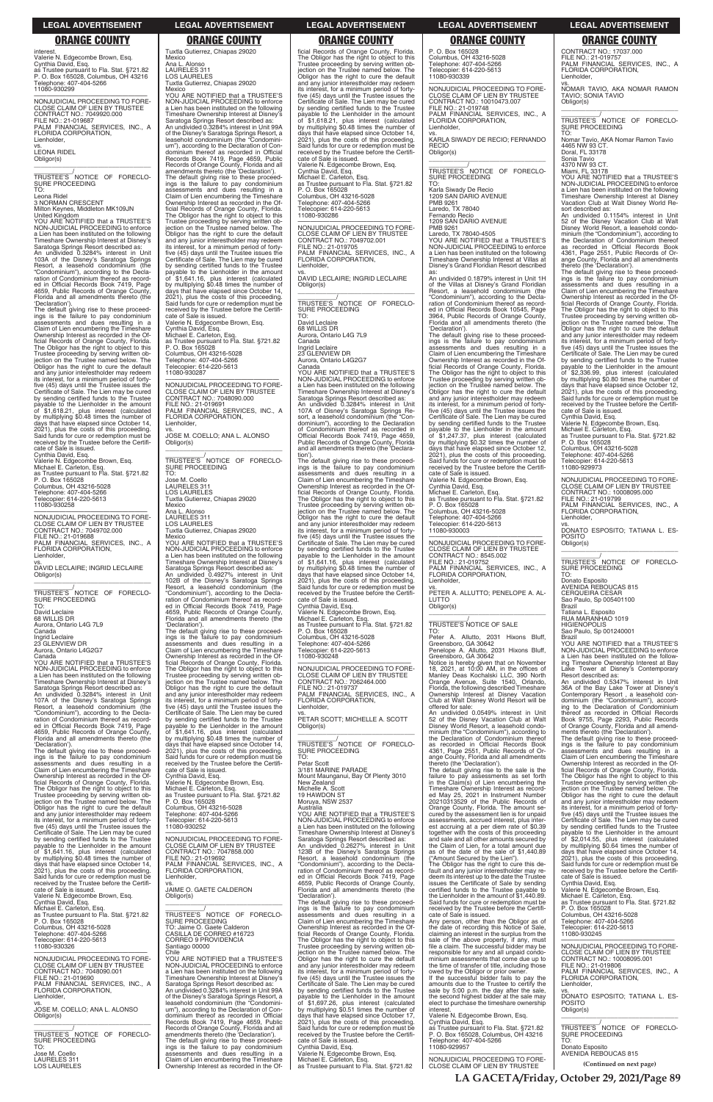interest. Valerie N. Edgecombe Brown, Esq. Cynthia David, Esq. as Trustee pursuant to Fla. Stat. §721.82 P. O. Box 165028, Columbus, OH 43216 Telephone: 407-404-5266 11080-930299

—————————————————— NONJUDICIAL PROCEEDING TO FORE-CLOSE CLAIM OF LIEN BY TRUSTEE CONTRACT NO.: 7049920.000 FILE NO.: 21-019687 PALM FINANCIAL SERVICES, INC., A FLORIDA CORPORATION, Lienholder, vs. LEONA RIDEL Obligor(s)

\_\_\_\_\_\_\_\_\_\_\_\_\_\_\_\_\_\_\_\_\_\_\_\_\_\_\_\_\_\_\_\_\_ \_\_\_\_\_\_\_\_\_\_\_/ TRUSTEE'S NOTICE OF FORECLO-SURE PROCEEDING TO:

Leona Ridel 3 NORMAN CRESCENT

Milton Keynes, Middleton MK109JN United Kingdom YOU ARE NOTIFIED that a TRUSTEE'S NON-JUDICIAL PROCEEDING to enforce a Lien has been instituted on the following Timeshare Ownership Interest at Disney's Saratoga Springs Resort described as: An undivided 0.3284% interest in Unit 103A of the Disney's Saratoga Springs Resort, a leasehold condominium (the "Condominium"), according to the Declaration of Condominium thereof as recorded in Official Records Book 7419, Page 4659, Public Records of Orange Count Florida and all amendments thereto (the

'Declaration'). The default giving rise to these proceed-ings is the failure to pay condominium assessments and dues resulting in a Claim of Lien encumbering the Timeshare Ownership Interest as recorded in the Of-ficial Records of Orange County, Florida. The Obligor has the right to object to this Trustee proceeding by serving written ob-jection on the Trustee named below. The Obligor has the right to cure the default and any junior interestholder may redeem its interest, for a minimum period of forty-five (45) days until the Trustee issues the Certificate of Sale. The Lien may be cured by sending certified funds to the Trustee<br>payable to the Lienholder in the amount<br>of \$1,618.21, plus interest (calculated<br>by multiplying \$0.48 times the number of<br>days that have elapsed since October 14,<br>2021), plus the co Said funds for cure or redemption must be received by the Trustee before the Certificate of Sale is issued.

Cynthia David, Esq. Valerie N. Edgecombe Brown, Esq. Michael E. Carleton, Esq. as Trustee pursuant to Fla. Stat. §721.82 P. O. Box 165028 Columbus, OH 43216-5028 Telephone: 407-404-5266 Telecopier: 614-220-5613 11080-930258

—————————————————— NONJUDICIAL PROCEEDING TO FORE-CLOSE CLAIM OF LIEN BY TRUSTEE CONTRACT NO.: 7049702.000 FILE NO.: 21-019688 PALM FINANCIAL SERVICES, INC., A FLORIDA CORPORATION, Lienholder,

vs. DAVID LECLAIRE; INGRID LECLAIRE Obligor(s) \_\_\_\_\_\_\_\_\_\_\_\_\_\_\_\_\_\_\_\_\_\_\_\_\_\_\_\_\_\_\_\_\_

\_\_\_\_\_\_\_\_\_\_\_/ TRUSTEE'S NOTICE OF FORECLO-SURE PROCEEDING TO: David Leclaire

68 WILLIS DR Aurora, Ontario L4G 7L9 Canada Ingrid Leclaire 23 GLENVIEW DR

Aurora, Ontario L4G2G7 Canada YOU ARE NOTIFIED that a TRUSTEE'S

NON-JUDICIAL PROCEEDING to enforce a Lien has been instituted on the following Timeshare Ownership Interest at Disney's Saratoga Springs Resort described as: An undivided 0.3284% interest in Unit 107A of the Disney's Saratoga Springs Resort, a leasehold condominium (the "Condominium"), according to the Decla-ration of Condominium thereof as recorded in Official Records Book 7419, Page 4659, Public Records of Orange County, Florida and all amendments thereto (the

'Declaration'). The default giving rise to these proceed-ings is the failure to pay condominium assessments and dues resulting in a Claim of Lien encumbering the Timeshare Ownership Interest as recorded in the Official Records of Orange County, Florida. The Obligor has the right to object to this Trustee proceeding by serving written ob-jection on the Trustee named below. The Obligor has the right to cure the default and any junior interestholder may redeem

LOS LAURELES Tuxtla Gutierrez, Chiapas 29020 Mexico

Valerie N. Edgecombe Brown, Esq. Michael E. Carleton, Esq. as Trustee pursuant to Fla. Stat. §721.82 P. O. Box 165028 , OH 43216-5028

Mexico

Tuxtla Gutierrez, Chiapas 29020 Ana L. Alonso LAURELES 311 LOS LAURELES Tuxtla Gutierrez, Chiapas 29020

Mexico YOU ARE NOTIFIED that a TRUSTEE'S NON-JUDICIAL PROCEEDING to enforce a Lien has been instituted on the following Timeshare Ownership Interest at Disney's Saratoga Springs Resort described as: An undivided 0.3284% interest in Unit 99A of the Disney's Saratoga Springs Resort, a leasehold condominium (the "Condominium"), according to the Declaration of Condominium thereof as recorded in Official Records Book 7419, Page 4659, Public Records of Orange County, Florida and all amendments thereto (the 'Declaration'). The default giving rise to these proceed-ings is the failure to pay condominium assessments and dues resulting in a Claim of Lien encumbering the Timeshare Ownership Interest as recorded in the Official Records of Orange County, Florida. The Obligor has the right to object to this Trustee proceeding by serving written ob-jection on the Trustee named below. The Obligor has the right to cure the default and any junior interestholder may redeem its interest, for a minimum period of fortyfive (45) days until the Trustee issues the Certificate of Sale. The Lien may be cured by sending certified funds to the Trustee payable to the Lienholder in the amount of \$1,641.16, plus interest (calculated by multiplying \$0.48 times the number of days that have elapsed since October 14, 2021), plus the costs of this proceeding. Said funds for cure or redemption must be received by the Trustee before the Certificate of Sale is issued. Valerie N. Edgecombe Brown, Esq. Cynthia David, Esq. Michael E. Carleton, Esq. as Trustee pursuant to Fla. Stat. §721.82

> —————————————————— NONJUDICIAL PROCEEDING TO FORE-CLOSE CLAIM OF LIEN BY TRUSTEE CONTRACT NO.: 7062464.000 FILE NO.: 21-019737 PALM FINANCIAL SERVICES, INC., A FLORIDA CORPORATION, **Lienholder**

P. O. Box 165028 Columbus, OH 43216-5028 Telephone: 407-404-5266 Telecopier: 614-220-5613 11080-930287

—————————————————— NONJUDICIAL PROCEEDING TO FORE-CLOSE CLAIM OF LIEN BY TRUSTEE CONTRACT NO.: 7048090.000 FILE NO.: 21-019691 PALM FINANCIAL SERVICES, INC., A FLORIDA CORPORATION, Lienholder,

vs. JOSE M. COELLO; ANA L. ALONSO Obligor(s) \_\_\_\_\_\_\_\_\_\_\_\_\_\_\_\_\_\_\_\_\_\_\_\_\_\_\_\_\_\_\_\_\_

\_\_\_\_\_\_\_\_\_\_\_/ TRUSTEE'S NOTICE OF FORECLO-SURE PROCEEDING TO: Jose M. Coello

LAURELES 311 LOS LAURELES Tuxtla Gutierrez, Chiapas 29020 Mexico

Ana L. Alonso LAURELES 311

YOU ARE NOTIFIED that a TRUSTEE'S NON-JUDICIAL PROCEEDING to enforce a Lien has been instituted on the following Timeshare Ownership Interest at Disney's Saratoga Springs Resort described as: An undivided 0.4927% interest in Unit 102B of the Disney's Saratoga Springs Resort, a leasehold condominium (the "Condominium"), according to the Decla-ration of Condominium thereof as recorded in Official Records Book 7419, Page 4659, Public Records of Orange County, Florida and all amendments thereto (the 'Declaration').

Fernando Recio<br>1209 SAN DARIO AVENUE<br>PMB 9AN DARIO<br>YOU ARE NOTIFIED that a TRUSTEE'S<br>YOU ARE NOTIFIED that a TRUSTEE'S<br>NON-JUDICIAL PROCEEDING to enforce a Lien has been instituted on the following Timeshare Ownership Interest at Villas at Disney's Grand Floridian Resort described

The default giving rise to these proceed-ings is the failure to pay condominium assessments and dues resulting in a Claim of Lien encumbering the Timeshare Ownership Interest as recorded in the Official Records of Orange County, Florida. The Obligor has the right to object to this Trustee proceeding by serving written ob-jection on the Trustee named below. The Obligor has the right to cure the default and any junior interestholder may redeem its interest, for a minimum period of fortyfive (45) days until the Trustee issues the Certificate of Sale. The Lien may be cured by sending certified funds to the Trustee payable to the Lienholder in the amount of \$1,641.16, plus interest (calculated by multiplying \$0.48 times the number of days that have elapsed since October 14, 2021), plus the costs of this proceeding. Said funds for cure or redemption must be received by the Trustee before the Certificate of Sale is issued. Cynthia David, Esq.

The default giving rise to these proceed-<br>ings is the failure to pay condominium<br>assessments and dues resulting in a<br>Claim of Lien encumbering the Timeshare Ownership Interest as recorded in the Official Records of Orange County, Florida. The Obligor has the right to object to this Trustee proceeding by serving written ob-jection on the Trustee named below. The Obligor has the right to cure the default and any junior interestholder may redeem its interest, for a minimum period of forty-five (45) days until the Trustee issues the Certificate of Sale. The Lien may be cured by sending certified funds to the Trustee payable to the Lienholder in the amount of \$1,247.37, plus interest (calculated by multiplying \$0.32 times the number of days that have elapsed since October 12, 2021), plus the costs of this proceeding. Said funds for cure or redemption must be received by the Trustee before the Certificate of Sale is issued. Valerie N. Edgecombe Brown, Esq.

Notice is hereby given that on November<br>18, 2021, at 10:00 AM, in the offices of<br>Manley Deas Kochalski LLC, 390 North<br>Orange Avenue, Suite 1540, Orlando,<br>Florida, the following described Timeshare Ownership Interest at Disney Vacation Club at Walt Disney World Resort will be offered for sale:

ficial Records of Orange County, Florida. The Obligor has the right to object to this Trustee proceeding by serving written ob-

jection on the Trustee named below. The Obligor has the right to cure the default and any junior interestholder may redeem its interest, for a minimum period of fortyfive (45) days until the Trustee issues the Certificate of Sale. The Lien may be cured<br>by sending certified funds to the Trustee by sending certified funds to the Trustee payable to the Lienholder in the amount of \$1,618.21, plus interest (calculated by multiplying \$0.48 times the number of days that have elapsed since October 14, 2021), plus the costs of this proceeding. Said funds for cure or redemption must be received by the Trustee before the Certifi-cate of Sale is issued. Valerie N. Edgecombe Brown, Esq. Cynthia David, Esq.

> the Declaration of Condominium thereof as recorded in Official Records Book 4361, Page 2551, Public Records of Orange County, Florida and all amendments thereto (the 'Declaration'). The default giving rise to these proceed-ings is the failure to pay condominium

Michael E. Carleton, Esq. as Trustee pursuant to Fla. Stat. §721.82 P. O. Box 165028 Columbus, OH 43216-5028 Telephone: 407-404-5266 Telecopier: 614-220-5613

11080-930286 —————————————————— NONJUDICIAL PROCEEDING TO FORE-CLOSE CLAIM OF LIEN BY TRUSTEE CONTRACT NO.: 7049702.001 FILE NO.: 21-019705

PALM FINANCIAL SERVICES, INC., A FLORIDA CORPORATION, Lienholder,

vs. DAVID LECLAIRE; INGRID LECLAIRE Obligor(s) \_\_\_\_\_\_\_\_\_\_\_\_\_\_\_\_\_\_\_\_\_\_\_\_\_\_\_\_\_\_\_\_\_

\_\_\_\_\_\_\_\_\_\_\_/ TRUSTEE'S NOTICE OF FORECLO-SURE PROCEEDING TO: David Leclaire 68 WILLIS DR Aurora, Ontario L4G 7L9 Canada Ingrid Leclaire 23 GLENVIEW DR Aurora, Ontario L4G2G7 Canada YOU ARE NOTIFIED that a TRUSTEE'S NON-JUDICIAL PROCEEDING to enforce a Lien has been instituted on the following Timeshare Ownership Interest at Disney's

Saratoga Springs Resort described as: An undivided 0.3284% interest in Unit 107A of Disney's Saratoga Springs Re-sort, a leasehold condominium (the "Condominium"), according to the Declaration of Condominium thereof as recorded in Official Records Book 7419, Page 4659, Public Records of Orange County, Florida and all amendments thereto (the 'Declaration').

> The default giving rise to these proceed-ings is the failure to pay condominium assessments and dues resulting in a Claim of Lien encumbering the Timeshare Ownership Interest as recorded in the Of-<br>ficial Records of Orange County, Florida.<br>Trustee proceeding by serving written ob-<br>Trustee proceeding by serving written ob-<br>jection on the Trustee named below. The<br>Obligor has th

The default giving rise to these proceedings is the failure to pay condominium assessments and dues resulting in a Claim of Lien encumbering the Timeshare Ownership Interest as recorded in the Official Records of Orange County, Florida. The Obligor has the right to object to this Trustee proceeding by serving written ob-jection on the Trustee named below. The Obligor has the right to cure the default and any junior interestholder may redeem its interest, for a minimum period of forty-five (45) days until the Trustee issues the Certificate of Sale. The Lien may be cured by sending certified funds to the Trustee<br>payable to the Lienholder in the amount<br>of \$1,641.16, plus interest (calculated<br>by multiplying \$0.48 times the number of<br>days that have elapsed since October 14,<br>2021), plus the co Said funds for cure or redemption must be received by the Trustee before the Certificate of Sale is issued.

Cynthia David, Esq. Valerie N. Edgecombe Brown, Esq. Michael E. Carleton, Esq. as Trustee pursuant to Fla. Stat. §721.82

P. O. Box 165028 Columbus, OH 43216-5028 Telephone: 407-404-5266 Telecopier: 614-220-5613 11080-930248

vs. PETAR SCOTT; MICHELLE A. SCOTT Obligor(s) \_\_\_\_\_\_\_\_\_\_\_\_\_\_\_\_\_\_\_\_\_\_\_\_\_\_\_\_\_\_\_\_\_

\_\_\_\_\_\_\_\_\_\_\_/ TRUSTEE'S NOTICE OF FORECLO-SURE PROCEEDING TO:

Petar Scott 3/181 MARINE PARADE Mount Maunganui, Bay Of Plenty 3010 New Zealand Michelle A. Scott 19 HAWDON ST Moruya, NSW 2537 Australia

| Congor nas are right to care are acradit     | OUIUITIDUS, OIT TULTU UULU                  | nuotrana                                     | Crange Obamy, Florida. The amount se           | no interest, for a minimum penoa or forty   |
|----------------------------------------------|---------------------------------------------|----------------------------------------------|------------------------------------------------|---------------------------------------------|
| and any junior interestholder may redeem     | Telephone: 407-404-5266                     | YOU ARE NOTIFIED that a TRUSTEE'S            | cured by the assessment lien is for unpaid     | five (45) days until the Trustee issues the |
| its interest, for a minimum period of forty- | Telecopier: 614-220-5613                    | NON-JUDICIAL PROCEEDING to enforce           | assessments, accrued interest, plus inter-     | Certificate of Sale. The Lien may be cured  |
| five (45) days until the Trustee issues the  | 11080-930252                                | a Lien has been instituted on the following  | est accruing at a per diem rate of \$0.39      | by sending certified funds to the Trustee   |
| Certificate of Sale. The Lien may be cured   |                                             | Timeshare Ownership Interest at Disney's     | together with the costs of this proceeding     | payable to the Lienholder in the amount     |
| by sending certified funds to the Trustee    | NONJUDICIAL PROCEEDING TO FORE-             | Saratoga Springs Resort described as:        | and sale and all other amounts secured by      | of \$2,014.55, plus interest (calculated    |
| payable to the Lienholder in the amount      | CLOSE CLAIM OF LIEN BY TRUSTEE              | An undivided 0.2627% interest in Unit        | the Claim of Lien, for a total amount due      | by multiplying \$0.64 times the number of   |
|                                              | CONTRACT NO.: 7047858.000                   |                                              |                                                |                                             |
| of \$1,641.16, plus interest (calculated     |                                             | 123B of the Disney's Saratoga Springs        | as of the date of the sale of \$1,440.89       | days that have elapsed since October 14,    |
| by multiplying \$0.48 times the number of    | FILE NO.: 21-019692                         | Resort, a leasehold condominium (the         | ("Amount Secured by the Lien").                | 2021), plus the costs of this proceeding.   |
| days that have elapsed since October 14,     | PALM FINANCIAL SERVICES, INC., A            | "Condominium"), according to the Decla-      | The Obligor has the right to cure this de-     | Said funds for cure or redemption must be   |
| 2021), plus the costs of this proceeding.    | FLORIDA CORPORATION,                        | ration of Condominium thereof as record-     | fault and any junior interestholder may re-    | received by the Trustee before the Certifi- |
| Said funds for cure or redemption must be    | Lienholder,                                 | ed in Official Records Book 7419, Page       | deem its interest up to the date the Trustee   | cate of Sale is issued.                     |
| received by the Trustee before the Certifi-  | VS.                                         | 4659, Public Records of Orange County,       | issues the Certificate of Sale by sending      | Cynthia David, Esq.                         |
| cate of Sale is issued.                      | JAIME O. GAETE CALDERON                     | Florida and all amendments thereto (the      | certified funds to the Trustee payable to      | Valerie N. Edgecombe Brown, Esq.            |
| Valerie N. Edgecombe Brown, Esg.             | Obligor(s)                                  | 'Declaration').                              | the Lienholder in the amount of \$1,440.89.    | Michael E. Carleton, Esq.                   |
| Cynthia David, Esq.                          |                                             | The default giving rise to these proceed-    | Said funds for cure or redemption must be      | as Trustee pursuant to Fla. Stat. §721.82   |
| Michael E. Carleton, Esq.                    |                                             | ings is the failure to pay condominium       | received by the Trustee before the Certifi-    | P. O. Box 165028                            |
| as Trustee pursuant to Fla. Stat. §721.82    | TRUSTEE'S NOTICE OF FORECLO-                | assessments and dues resulting in a          | cate of Sale is issued.                        | Columbus, OH 43216-5028                     |
| P. O. Box 165028                             | SURE PROCEEDING                             | Claim of Lien encumbering the Timeshare      | Any person, other than the Obligor as of       | Telephone: 407-404-5266                     |
| Columbus, OH 43216-5028                      | TO: Jaime O. Gaete Calderon                 | Ownership Interest as recorded in the Of-    | the date of recording this Notice of Sale,     | Telecopier: 614-220-5613                    |
| Telephone: 407-404-5266                      | CASILLA DE CORREO #16723                    | ficial Records of Orange County, Florida.    | claiming an interest in the surplus from the   | 11080-930245                                |
| Telecopier: 614-220-5613                     | <b>CORREO 9 PROVIDENCIA</b>                 | The Obligor has the right to object to this  | sale of the above property, if any, must       |                                             |
| 11080-930326                                 | Santiago 00000                              | Trustee proceeding by serving written ob-    | file a claim. The successful bidder may be     | NONJUDICIAL PROCEEDING TO FORE-             |
|                                              | Chile                                       | jection on the Trustee named below. The      | responsible for any and all unpaid condo-      | CLOSE CLAIM OF LIEN BY TRUSTEE              |
| NONJUDICIAL PROCEEDING TO FORE-              | YOU ARE NOTIFIED that a TRUSTEE'S           |                                              |                                                | CONTRACT NO.: 10008095.001                  |
|                                              |                                             | Obligor has the right to cure the default    | minium assessments that come due up to         |                                             |
| CLOSE CLAIM OF LIEN BY TRUSTEE               | NON-JUDICIAL PROCEEDING to enforce          | and any junior interestholder may redeem     | the time of transfer of title, including those | FILE NO.: 21-019806                         |
| CONTRACT NO.: 7048090.001                    | a Lien has been instituted on the following | its interest, for a minimum period of forty- | owed by the Obligor or prior owner.            | PALM FINANCIAL SERVICES, INC., A            |
| FILE NO.: 21-019690                          | Timeshare Ownership Interest at Disney's    | five (45) days until the Trustee issues the  | If the successful bidder fails to pay the      | FLORIDA CORPORATION.                        |
| PALM FINANCIAL SERVICES, INC., A             | Saratoga Springs Resort described as:       | Certificate of Sale. The Lien may be cured   | amounts due to the Trustee to certify the      | Lienholder.                                 |
| FLORIDA CORPORATION,                         | An undivided 0.3284% interest in Unit 99A   | by sending certified funds to the Trustee    | sale by 5:00 p.m. the day after the sale,      | VS.                                         |
| Lienholder,                                  | of the Disney's Saratoga Springs Resort, a  | payable to the Lienholder in the amount      | the second highest bidder at the sale may      | DONATO ESPOSITO; TATIANA L. ES-             |
|                                              | leasehold condominium (the "Condomini-      | of \$1,697.26, plus interest (calculated     | elect to purchase the timeshare ownership      | <b>POSITO</b>                               |
| JOSE M. COELLO: ANA L. ALONSO                | um"), according to the Declaration of Con-  | by multiplying \$0.51 times the number of    | interest.                                      | Obligor(s)                                  |
| Obligor(s)                                   | dominium thereof as recorded in Official    | days that have elapsed since October 17,     | Valerie N. Edgecombe Brown, Esq.               |                                             |
|                                              | Records Book 7419, Page 4659, Public        | 2021), plus the costs of this proceeding.    | Cynthia David, Esg.                            |                                             |
|                                              | Records of Orange County, Florida and all   | Said funds for cure or redemption must be    | as Trustee pursuant to Fla. Stat. §721.82      | TRUSTEE'S NOTICE OF FORECLO-                |
| TRUSTEE'S NOTICE OF FORECLO-                 | amendments thereto (the 'Declaration').     | received by the Trustee before the Certifi-  | P. O. Box 165028, Columbus, OH 43216           | SURE PROCEEDING                             |
| SURE PROCEEDING                              | The default giving rise to these proceed-   | cate of Sale is issued.                      | Telephone: 407-404-5266                        | TO.                                         |
| TO:                                          | ings is the failure to pay condominium      | Cynthia David, Esg.                          | 11080-929957                                   | Donato Esposito                             |
| Jose M. Coello                               | assessments and dues resulting in a         | Valerie N. Edgecombe Brown, Esg.             |                                                | <b>AVENIDA REBOUCAS 815</b>                 |
| <b>LAURELES 311</b>                          | Claim of Lien encumbering the Timeshare     | Michael E. Carleton, Esg.                    | NONJUDICIAL PROCEEDING TO FORE-                |                                             |
| <b>LOS LAURELES</b>                          | Ownership Interest as recorded in the Of-   | as Trustee pursuant to Fla. Stat. §721.82    | CLOSE CLAIM OF LIEN BY TRUSTEE                 | (Continued on next page)                    |
|                                              |                                             |                                              |                                                |                                             |

P. O. Box 165028 Columbus, OH 43216-5028 Telephone: 407-404-5266 Telecopier: 614-220-5613 11080-930339

—————————————————— NONJUDICIAL PROCEEDING TO FORE-CLOSE CLAIM OF LIEN BY TRUSTEE CONTRACT NO.: 10010473.007 FILE NO.: 21-019748 PALM FINANCIAL SERVICES, INC., A FLORIDA CORPORATION, Lienholder,

vs. KARLA SIWADY DE RECIO; FERNANDO RECIO Obligor(s)

\_\_\_\_\_\_\_\_\_\_\_\_\_\_\_\_\_\_\_\_\_\_\_\_\_\_\_\_\_\_\_\_\_ \_\_\_\_\_\_\_\_\_\_\_/ TRUSTEE'S NOTICE OF FORECLO-SURE PROCEEDING TO:

Karla Siwady De Recio 1209 SAN DARIO AVENUE PMB 9261 Laredo, TX 78040

as: An undivided 0.1879% interest in Unit 1H of the Villas at Disney's Grand Floridian Resort, a leasehold condominium (the "Condominium"), according to the Declaration of Condominium thereof as recorded in Official Records Book 10545, Page 3964, Public Records of Orange County, Florida and all amendments thereto (the 'Declaration').

Cynthia David, Esq. Michael E. Carleton, Esq. as Trustee pursuant to Fla. Stat. §721.82 P. O. Box 165028 Columbus, OH 43216-5028 Telephone: 407-404-5266 Telecopier: 614-220-5613

11080-930003

—————————————————— NONJUDICIAL PROCEEDING TO FORE-CLOSE CLAIM OF LIEN BY TRUSTEE CONTRACT NO.: 8545.002 FILE NO.: 21-019752 PALM FINANCIAL SERVICES, INC., A FLORIDA CORPORATION,

Lienholder,

vs. PETER A. ALLUTTO; PENELOPE A. AL-LUTTO Obligor(s)

\_\_\_\_\_\_\_\_\_\_\_\_\_\_\_\_\_\_\_\_\_\_\_\_\_\_\_\_\_\_\_\_\_

### \_\_\_\_\_\_\_\_\_\_\_/ TRUSTEE'S NOTICE OF SALE TO:

Peter A. Allutto, 2031 Hixons Bluff, Greensboro, GA 30642 Penelope A. Allutto, 2031 Hixons Bluff, Greensboro, GA 30642

An undivided 0.0549% interest in Unit 52 of the Disney Vacation Club at Walt Disney World Resort, a leasehold condominium (the "Condominium"), according to the Declaration of Condominium thereof as recorded in Official Records Book 4361, Page 2551, Public Records of Orange County, Florida and all amendments thereto (the 'Declaration'). The default giving rise to the sale is the

failure to pay assessments as set forth in the Claim(s) of Lien encumbering the Timeshare Ownership Interest as recorded May 25, 2021 in Instrument Number 20210313529 of the Public Records of Orange County, Florida. The amount se-

CONTRACT NO.: 17037.000 FILE NO.: 21-019757 PALM FINANCIAL SERVICES, INC., A FLORIDA CORPORATION, Lienholder,

vs. NOMAR TAVIO, AKA NOMAR RAMON TAVIO; SONIA TAVIO Obligor(s)

\_\_\_\_\_\_\_\_\_\_\_\_\_\_\_\_\_\_\_\_\_\_\_\_\_\_\_\_\_\_\_\_\_ \_\_\_\_\_\_\_\_\_\_\_/ TRUSTEE'S NOTICE OF FORECLO-SURE PROCEEDING TO:

Nomar Tavio, AKA Nomar Ramon Tavio 4465 NW 93 CT. Doral, FL 33178

Sonia Tavio

4370 NW 93 CT. Miami, FL 33178

YOU ARE NOTIFIED that a TRUSTEE'S NON-JUDICIAL PROCEEDING to enforce a Lien has been instituted on the following Timeshare Ownership Interest at Disney Vacation Club at Walt Disney World Resort described as:

An undivided 0.1154% interest in Unit 52 of the Disney Vacation Club at Walt Disney World Resort, a leasehold condo-minium (the "Condominium"), according to

assessments and dues resulting in a Claim of Lien encumbering the Timeshare Ownership Interest as recorded in the Official Records of Orange County, Florida. The Obligor has the right to object to this Trustee proceeding by serving written ob-jection on the Trustee named below. The Obligor has the right to cure the default and any junior interestholder may redeem its interest, for a minimum period of forty-five (45) days until the Trustee issues the Certificate of Sale. The Lien may be cured by sending certified funds to the Trustee<br>payable to the Lienholder in the amount<br>of \$2,336.99, plus interest (calculated<br>by multiplying \$0.80 times the number of<br>days that have elapsed since October 12,<br>2021), plus the co Said funds for cure or redemption must be received by the Trustee before the Certificate of Sale is issued.

Cynthia David, Esq. Valerie N. Edgecombe Brown, Esq. Michael E. Carleton, Esq. as Trustee pursuant to Fla. Stat. §721.82 P. O. Box 165028

Columbus, OH 43216-5028 Telephone: 407-404-5266 Telecopier: 614-220-5613

11080-929973

—————————————————— NONJUDICIAL PROCEEDING TO FORE-CLOSE CLAIM OF LIEN BY TRUSTEE CONTRACT NO.: 10008095.000 FILE NO.: 21-019799 PALM FINANCIAL SERVICES, INC., A FLORIDA CORPORATION, Lienholder,

vs. DONATO ESPOSITO; TATIANA L. ES-POSITO Obligor(s)

\_\_\_\_\_\_\_\_\_\_\_\_\_\_\_\_\_\_\_\_\_\_\_\_\_\_\_\_\_\_\_\_\_ \_\_\_\_\_\_\_\_\_\_\_/<br>TRUSTEE'S NOTICE OF FORECLO-<br>SURE PROCEEDING TO:

Donato Esposito AVENIDA REBOUCAS 815 CERQUEIRA CESAR

Sao Paulo, Sp 005401100 Brazil

Tatiana L. Esposito RUA MARANHAO 1019 HIGIENOPOLIS Sao Paulo, Sp 001240001

Brazil YOU ARE NOTIFIED that a TRUSTEE'S NON-JUDICIAL PROCEEDING to enforce a Lien has been instituted on the following Timeshare Ownership Interest at Bay Lake Tower at Disney's Contemporary

Resort described as: An undivided 0.5347% interest in Unit 36A of the Bay Lake Tower at Disney's Contemporary Resort , a leasehold con-dominium (the "Condominium"), according to the Declaration of Condominium thereof as recorded in Official Records Book 9755, Page 2293, Public Records of Orange County, Florida and all amendments thereto (the 'Declaration').

### **LEGAL ADVERTISEMENT LEGAL ADVERTISEMENT LEGAL ADVERTISEMENT LEGAL ADVERTISEMENT LEGAL ADVERTISEMENT**

# **ORANGE COUNTY ORANGE COUNTY ORANGE COUNTY ORANGE COUNTY ORANGE COUNTY**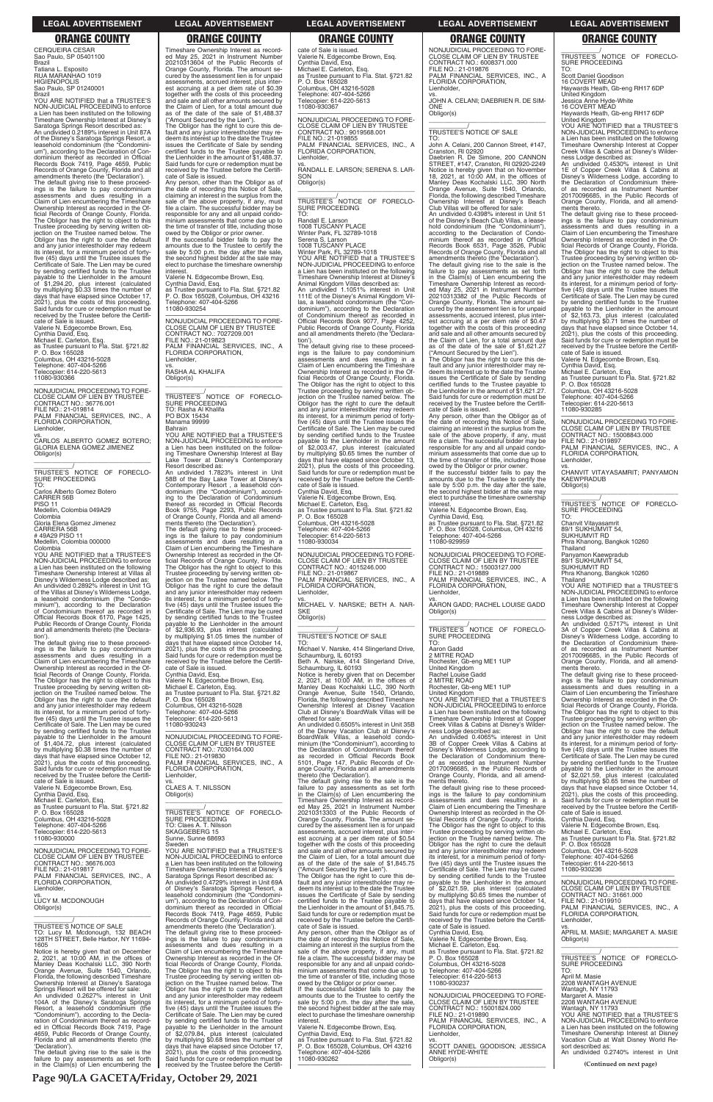CERQUEIRA CESAR Sao Paulo, SP 05401100 Brazil Tatiana L. Esposito RUA MARANHAO 1019 HIGIENOPOLIS Sao Paulo, SP 01240001

Brazil YOU ARE NOTIFIED that a TRUSTEE'S NON-JUDICIAL PROCEEDING to enforce a Lien has been instituted on the following Timeshare Ownership Interest at Disney's Saratoga Springs Resort described as: An undivided 0.2189% interest in Unit 87A of the Disney's Saratoga Springs Resort, a leasehold condominium (the "Condomini-um"), according to the Declaration of Condominium thereof as recorded in Official Records Book 7419, Page 4659, Public Records of Orange County, Florida and all amendments thereto (the 'Declaration'). The default giving rise to these proceed-ings is the failure to pay condominium assessments and dues resulting in a Claim of Lien encumbering the Timeshare Ownership Interest as recorded in the Official Records of Orange County, Florida. The Obligor has the right to object to this Trustee proceeding by serving written objection on the Trustee named below. The Obligor has the right to cure the default and any junior interestholder may redeem its interest, for a minimum period of fortyfive (45) days until the Trustee issues the Certificate of Sale. The Lien may be cured by sending certified funds to the Trustee payable to the Lienholder in the amount of \$1,294.20, plus interest (calculated by multiplying \$0.33 times the number of days that have elapsed since October 17, 2021), plus the costs of this proceeding. Said funds for cure or redemption must be received by the Trustee before the Certifi-cate of Sale is issued.

Valerie N. Edgecombe Brown, Esq. Cynthia David, Esq. Michael E. Carleton, Esq. as Trustee pursuant to Fla. Stat. §721.82 P. O. Box 165028 Columbus, OH 43216-5028 Telephone: 407-404-5266 Telecopier: 614-220-5613 11080-930366

—————————————————— NONJUDICIAL PROCEEDING TO FORE-CLOSE CLAIM OF LIEN BY TRUSTEE CONTRACT NO.: 36776.001 FILE NO.: 21-019814 PALM FINANCIAL SERVICES, INC., A FLORIDA CORPORATION, Lienholder, vs. CARLOS ALBERTO GOMEZ BOTERO;

GLORIA ELENA GOMEZ JIMENEZ Obligor(s) \_\_\_\_\_\_\_\_\_\_\_\_\_\_\_\_\_\_\_\_\_\_\_\_\_\_\_\_\_\_\_\_\_

\_\_\_\_\_\_\_\_\_\_\_/ TRUSTEE'S NOTICE OF FORECLO-SURE PROCEEDING TO: Carlos Alberto Gomez Botero CARRER 56B PISO 11 Medellin, Colombia 049A29 Colombia Gloria Elena Gomez Jimenez CARRERA 56B # 49A29 PISO 11 Medellin, Colombia 000000 Colombia YOU ARE NOTIFIED that a TRUSTEE'S NON-JUDICIAL PROCEEDING to enforce a Lien has been instituted on the following

Timeshare Ownership Interest at Villas at Disney's Wilderness Lodge described as: An undivided 0.2892% interest in Unit 1G of the Villas at Disney's Wilderness Lodge, a leasehold condominium (the "Condo-minium"), according to the Declaration of Condominium thereof as recorded in Official Records Book 6170, Page 1425, Public Records of Orange County, Florida and all amendments thereto (the 'Declara-

tion'). The default giving rise to these proceedings is the failure to pay condominium assessments and dues resulting in a Claim of Lien encumbering the Timeshare Ownership Interest as recorded in the Official Records of Orange County, Florida. The Obligor has the right to object to this Trustee proceeding by serving written ob-jection on the Trustee named below. The Obligor has the right to cure the default and any junior interestholder may redeem its interest, for a minimum period of forty-five (45) days until the Trustee issues the Certificate of Sale. The Lien may be cured by sending certified funds to the Trustee payable to the Lienholder in the amount of \$1,404.72, plus interest (calculated by multiplying \$0.38 times the number of days that have elapsed since October 12, 2021), plus the costs of this proceeding. Said funds for cure or redemption must be received by the Trustee before the Certificate of Sale is issued.

Valerie N. Edgecombe Brown, Esq. Cynthia David, Esq.

Timeshare Ownership Interest as record-ed May 25, 2021 in Instrument Number 20210313604 of the Public Records of Orange County, Florida. The amount se-cured by the assessment lien is for unpaid assessments, accrued interest, plus interest accruing at a per diem rate of \$0.39 together with the costs of this proceeding and sale and all other amounts secured by the Claim of Lien, for a total amount due as of the date of the sale of \$1,488.37 ("Amount Secured by the Lien").

> An undivided 1.1051% interest in Unit 111E of the Disney's Animal Kingdom Vil-las, a leasehold condominium (the "Condominium"), according to the Declaration of Condominium thereof as recorded in Official Records Book 9077, Page 4252, Public Records of Orange County, Florida and all amendments thereto (the 'Declaration')

The Obligor has the right to cure this de-fault and any junior interestholder may redeem its interest up to the date the Trustee issues the Certificate of Sale by sending certified funds to the Trustee payable to the Lienholder in the amount of \$1,488.37. Said funds for cure or redemption must be received by the Trustee before the Certificate of Sale is issued.

Any person, other than the Obligor as of the date of recording this Notice of Sale, claiming an interest in the surplus from the sale of the above property, if any, must file a claim. The successful bidder may be responsible for any and all unpaid condominium assessments that come due up to the time of transfer of title, including those

owed by the Obligor or prior owner. If the successful bidder fails to pay the amounts due to the Trustee to certify the sale by 5:00 p.m. the day after the sale, the second highest bidder at the sale may elect to purchase the timeshare ownership interest.

Valerie N. Edgecombe Brown, Esq. Cynthia David, Esq.

as Trustee pursuant to Fla. Stat. §721.82 P. O. Box 165028, Columbus, OH 43216 Telephone: 407-404-5266 11080-930254

—————————————————— NONJUDICIAL PROCEEDING TO FORE-CLOSE CLAIM OF LIEN BY TRUSTEE CONTRACT NO.: 7027209.001 FILE NO.: 21-019823 PALM FINANCIAL SERVICES, INC., A FLORIDA CORPORATION, Lienholder,

vs. RASHA AL KHALIFA Obligor(s)

\_\_\_\_\_\_\_\_\_\_\_\_\_\_\_\_\_\_\_\_\_\_\_\_\_\_\_\_\_\_\_\_\_ \_\_\_\_\_\_\_\_\_\_\_/<br>TRUSTEE'S NOTICE OF FORECLO-<br>SURE PROCEEDING TO: Rasha Al Khalifa PO BOX 15434 Manama 99999 Bahrain YOU ARE NOTIFIED that a TRUSTEE'S NON-JUDICIAL PROCEEDING to enforce a Lien has been instituted on the following Timeshare Ownership Interest at Bay Lake Tower at Disney's Contemporary Resort described as: An undivided 1.7823% interest in Unit 58B of the Bay Lake Tower at Disney's<br>Contemporary Resort, a leasehold con-<br>dominium (the "Condominium"), accord-<br>ing to the Declaration of Condominium<br>thereof as recorded in Official Records<br>Book 9755, Page 2293, Public R of Orange County, Florida and all amend-ments thereto (the 'Declaration'). The default giving rise to these proceedings is the failure to pay condominium assessments and dues resulting in a Claim of Lien encumbering the Timeshare Ownership Interest as recorded in the Official Records of Orange County, Florida. The Obligor has the right to object to this Trustee proceeding by serving written ob-jection on the Trustee named below. The Obligor has the right to cure the default and any junior interestholder may redeem its interest, for a minimum period of forty-five (45) days until the Trustee issues the Certificate of Sale. The Lien may be cured by sending certified funds to the Trustee payable to the Lienholder in the amount of \$2,936.93, plus interest (calculated by multiplying \$1.05 times the number of days that have elapsed since October 14, 2021), plus the costs of this proceeding. Said funds for cure or redemption must be received by the Trustee before the Certificate of Sale is issued. Cynthia David, Esq. Valerie N. Edgecombe Brown, Esq. Michael E. Carleton, Esq. as Trustee pursuant to Fla. Stat. §721.82 P. O. Box 165028 Columbus, OH 43216-5028 Telephone: 407-404-5266 Telecopier: 614-220-5613 11080-930243

John A. Celani, 200 Cannon Street, #147, Cranston, RI 02920

Daebrien R. De Simone, 200 CANNON<br>STREET, #147, Cranston, RI 02920-2249<br>Notice is hereby given that on November<br>18, 2021, at 10:00 AM, in the offices of<br>Manley Deas Kochalski LLC, 390 North<br>Orange Avenue, Suite 1540, Orlan Florida, the following described Timeshare Ownership Interest at Disney's Beach Club Villas will be offered for sale:

An undivided 0.4398% interest in Unit 51 of the Disney's Beach Club Villas, a lease-hold condominium (the "Condominium"), according to the Declaration of Condo-<br>minium thereof as recorded in Official<br>Records Book 6531, Page 3526, Public<br>Records of Orange County, Florida and all<br>amendments thereo (the 'Declaration').<br>The default giving rise to

—————————————————— NONJUDICIAL PROCEEDING TO FORE-CLOSE CLAIM OF LIEN BY TRUSTEE CONTRACT NO.: 7030164.000 FILE NO.: 21-019830 PALM FINANCIAL SERVICES, INC., A FLORIDA CORPORATION, Lienholder,

vs. CLAES A. T. NILSSON Obligor(s)

vs. AARON GADD; RACHEL LOUISE GADD Obligor(s)  $\overline{\phantom{a}}$  ,  $\overline{\phantom{a}}$  ,  $\overline{\phantom{a}}$  ,  $\overline{\phantom{a}}$  ,  $\overline{\phantom{a}}$  ,  $\overline{\phantom{a}}$  ,  $\overline{\phantom{a}}$  ,  $\overline{\phantom{a}}$  ,  $\overline{\phantom{a}}$  ,  $\overline{\phantom{a}}$  ,  $\overline{\phantom{a}}$  ,  $\overline{\phantom{a}}$  ,  $\overline{\phantom{a}}$  ,  $\overline{\phantom{a}}$  ,  $\overline{\phantom{a}}$  ,  $\overline{\phantom{a}}$ 

\_\_\_\_\_\_\_\_\_\_\_/<br>TRUSTEE'S NOTICE OF FORECLO-<br>SURE PROCEEDING TO:

Jessica Anne Hyde-White 16 COVERT MEAD aywards Heath, Gb-eng RH17 6DP

cate of Sale is issued. Valerie N. Edgecombe Brown, Esq. Cynthia David, Esq. Michael E. Carleton, Esq. as Trustee pursuant to Fla. Stat. §721.82 P. O. Box 165028 Columbus, OH 43216-5028 Telephone: 407-404-5266 Telecopier: 614-220-5613 11080-930367

—————————————————— NONJUDICIAL PROCEEDING TO FORE-CLOSE CLAIM OF LIEN BY TRUSTEE CONTRACT NO.: 9019568.001 FILE NO.: 21-019855 PALM FINANCIAL SERVICES, INC., A FLORIDA CORPORATION, Lienholder,

vs. RANDALL E. LARSON; SERENA S. LAR-SON Obligor(s) \_\_\_\_\_\_\_\_\_\_\_\_\_\_\_\_\_\_\_\_\_\_\_\_\_\_\_\_\_\_\_\_\_

\_\_\_\_\_\_\_\_\_\_\_/<br>TRUSTEE'S NOTICE OF FORECLO-<br>SURE PROCEEDING

TO: Randall E. Larson 1008 TUSCANY PLACE Winter Park, FL 32789-1018 Serena S. Larson 1008 TUSCANY PLACE Winter Park, FL 32789-1018 YOU ARE NOTIFIED that a TRUSTEE'S NON-JUDICIAL PROCEEDING to enforce a Lien has been instituted on the following Timeshare Ownership Interest at Disney's Animal Kingdom Villas described as:

> PALM FINANCIAL SERVICES, INC., A FLORIDA CORPORATION, Lienholder,

\_\_\_\_\_\_\_\_\_\_\_\_\_\_\_\_\_\_\_\_\_\_\_\_\_\_\_\_\_\_\_\_\_ \_\_\_\_\_\_\_\_\_\_\_/<br>TRUSTEE'S NOTICE OF FORECLO-<br>SURE PROCEEDING

ness Lodge described as: An undivided 0.5717% interest in Unit 3A of Copper Creek Villas & Cabins at Disney's Wilderness Lodge, according to the Declaration of Condominium thereof as recorded as Instrument Number 20170096685, in the Public Records of Orange County, Florida, and all amendments thereto.

The default giving rise to these proceed-ings is the failure to pay condominium assessments and dues resulting in a Claim of Lien encumbering the Timeshare Ownership Interest as recorded in the Of-ficial Records of Orange County, Florida. The Obligor has the right to object to this Trustee proceeding by serving written ob-jection on the Trustee named below. The Obligor has the right to cure the default and any junior interestholder may redeem its interest, for a minimum period of fortyfive (45) days until the Trustee issues the Certificate of Sale. The Lien may be cured by sending certified funds to the Trustee payable to the Lienholder in the amount of \$2,003.47, plus interest (calculated by multiplying \$0.65 times the number of days that have elapsed since October 13, 2021), plus the costs of this proceeding. Said funds for cure or redemption must be received by the Trustee before the Certificate of Sale is issued. Cynthia David, Esq. Valerie N. Edgecombe Brown, Esq. Michael E. Carleton, Esq. as Trustee pursuant to Fla. Stat. §721.82

P. O. Box 165028

Columbus, OH 43216-5028 Telephone: 407-404-5266 Telecopier: 614-220-5613 11080-930034

—————————————————— NONJUDICIAL PROCEEDING TO FORE-CLOSE CLAIM OF LIEN BY TRUSTEE CONTRACT NO.: 4015246.000 FILE NO.: 21-019867 PALM FINANCIAL SERVICES, INC., A FLORIDA CORPORATION, Lienholder,

vs. MICHAEL V. NARSKE; BETH A. NAR-SKE

Obligor(s) \_\_\_\_\_\_\_\_\_\_\_\_\_\_\_\_\_\_\_\_\_\_\_\_\_\_\_\_\_\_\_\_\_

\_\_\_\_\_\_\_\_\_\_\_/ TRUSTEE'S NOTICE OF SALE

TO: Michael V. Narske, 414 Slingerland Drive, Schaumburg, IL 60193 Beth A. Narske, 414 Slingerland Drive, Schaumburg, IL 60193

Notice is hereby given that on December 2, 2021, at 10:00 AM, in the offices of Manley Deas Kochalski LLC, 390 North Orange Avenue, Suite 1540, Orlando, Florida, the following described Timeshare Ownership Interest at Disney Vacation Club at Disney's BoardWalk Villas will be offered for sale:

An undivided 0.6505% interest in Unit 35B of the Disney Vacation Club at Disney's BoardWalk Villas, a leasehold condominium (the "Condominium"), according to the Declaration of Condominium thereof as recorded in Official Records Book 5101, Page 147, Public Records of Orange County, Florida and all amendments thereto (the 'Declaration').

The default giving rise to the sale is the failure to pay assessments as set forth failure to pay assessments as set forth<br>in the Claim(s) of Lien encumbering the Timeshare Ownership Interest as recorded May 25, 2021 in Instrument Number

| Michael E. Carleton, Esg.<br>as Trustee pursuant to Fla. Stat. §721.82<br>P. O. Box 165028<br>Columbus, OH 43216-5028<br>Telephone: 407-404-5266<br>Telecopier: 614-220-5613<br>11080-930000                                                                                                                                                                                                                                                              | TRUSTEE'S NOTICE OF FORECLO-<br>SURE PROCEEDING<br>TO: Claes A. T. Nilsson<br>SKAGGEBERG 15<br>Sunne, Sunne 68693<br>Sweden                                                                                                                                                                                                                                                                                                                                                                                                                               | Timeshare Ownership Interest as record-<br>ed May 25, 2021 in Instrument Number<br>20210313303 of the Public Records of<br>Orange County, Florida. The amount se-<br>cured by the assessment lien is for unpaid<br>assessments, accrued interest, plus inter-<br>est accruing at a per diem rate of \$0.54<br>together with the costs of this proceeding                                                                              | assessments and dues resulting in a<br>Claim of Lien encumbering the Timeshare<br>Ownership Interest as recorded in the Of-<br>ficial Records of Orange County, Florida.<br>The Obligor has the right to object to this<br>Trustee proceeding by serving written ob-<br>jection on the Trustee named below. The<br>Obligor has the right to cure the default | Said funds for cure or redemption must be<br>received by the Trustee before the Certifi-<br>cate of Sale is issued.<br>Cynthia David, Esg.<br>Valerie N. Edgecombe Brown, Esq.<br>Michael E. Carleton, Esq.<br>as Trustee pursuant to Fla. Stat. §721.82<br>P. O. Box 165028                                                                                    |
|-----------------------------------------------------------------------------------------------------------------------------------------------------------------------------------------------------------------------------------------------------------------------------------------------------------------------------------------------------------------------------------------------------------------------------------------------------------|-----------------------------------------------------------------------------------------------------------------------------------------------------------------------------------------------------------------------------------------------------------------------------------------------------------------------------------------------------------------------------------------------------------------------------------------------------------------------------------------------------------------------------------------------------------|---------------------------------------------------------------------------------------------------------------------------------------------------------------------------------------------------------------------------------------------------------------------------------------------------------------------------------------------------------------------------------------------------------------------------------------|--------------------------------------------------------------------------------------------------------------------------------------------------------------------------------------------------------------------------------------------------------------------------------------------------------------------------------------------------------------|-----------------------------------------------------------------------------------------------------------------------------------------------------------------------------------------------------------------------------------------------------------------------------------------------------------------------------------------------------------------|
| NONJUDICIAL PROCEEDING TO FORE-<br>CLOSE CLAIM OF LIEN BY TRUSTEE<br>CONTRACT NO.: 36676.003<br>FILE NO.: 21-019817<br>PALM FINANCIAL SERVICES, INC., A                                                                                                                                                                                                                                                                                                   | YOU ARE NOTIFIED that a TRUSTEE'S<br>NON-JUDICIAL PROCEEDING to enforce<br>a Lien has been instituted on the following<br>Timeshare Ownership Interest at Disney's<br>Saratoga Springs Resort described as:                                                                                                                                                                                                                                                                                                                                               | and sale and all other amounts secured by<br>the Claim of Lien, for a total amount due<br>as of the date of the sale of \$1,845.75<br>("Amount Secured by the Lien").<br>The Obligor has the right to cure this de-                                                                                                                                                                                                                   | and any junior interestholder may redeem<br>its interest, for a minimum period of forty-<br>five (45) days until the Trustee issues the<br>Certificate of Sale. The Lien may be cured<br>by sending certified funds to the Trustee                                                                                                                           | Columbus, OH 43216-5028<br>Telephone: 407-404-5266<br>Telecopier: 614-220-5613<br>11080-930236                                                                                                                                                                                                                                                                  |
| FLORIDA CORPORATION,<br>Lienholder,<br>vs.<br>LUCY M. MCDONOUGH<br>Obligor(s)                                                                                                                                                                                                                                                                                                                                                                             | An undivided 0.4729% interest in Unit 69A<br>of Disney's Saratoga Springs Resort, a<br>leasehold condominium (the "Condomini-<br>um"), according to the Declaration of Con-<br>dominium thereof as recorded in Official<br>Records Book 7419, Page 4659, Public                                                                                                                                                                                                                                                                                           | fault and any junior interestholder may re-<br>deem its interest up to the date the Trustee<br>issues the Certificate of Sale by sending<br>certified funds to the Trustee payable to<br>the Lienholder in the amount of \$1.845.75.<br>Said funds for cure or redemption must be                                                                                                                                                     | payable to the Lienholder in the amount<br>of \$2,021.59, plus interest (calculated<br>by multiplying \$0.65 times the number of<br>days that have elapsed since October 14,<br>2021), plus the costs of this proceeding.<br>Said funds for cure or redemption must be                                                                                       | NONJUDICIAL PROCEEDING TO FORE-<br>CLOSE CLAIM OF LIEN BY TRUSTEE<br>CONTRACT NO.: 31661.000<br>FILE NO.: 21-019910<br>PALM FINANCIAL SERVICES, INC., A<br>FLORIDA CORPORATION,                                                                                                                                                                                 |
| TRUSTEE'S NOTICE OF SALE<br>TO: Lucy M. Mcdonough, 132 BEACH<br>128TH STREET, Belle Harbor, NY 11694-<br>1605<br>Notice is hereby given that on December                                                                                                                                                                                                                                                                                                  | Records of Orange County, Florida and all<br>amendments thereto (the 'Declaration').<br>The default giving rise to these proceed-<br>ings is the failure to pay condominium<br>assessments and dues resulting in a<br>Claim of Lien encumbering the Timeshare                                                                                                                                                                                                                                                                                             | received by the Trustee before the Certifi-<br>cate of Sale is issued.<br>Any person, other than the Obligor as of<br>the date of recording this Notice of Sale,<br>claiming an interest in the surplus from the<br>sale of the above property, if any, must                                                                                                                                                                          | received by the Trustee before the Certifi-<br>cate of Sale is issued.<br>Cynthia David, Esq.<br>Valerie N. Edgecombe Brown, Esq.<br>Michael E. Carleton, Esq.<br>as Trustee pursuant to Fla. Stat. §721.82                                                                                                                                                  | Lienholder,<br>VS.<br>APRIL M. MASIE; MARGARET A. MASIE<br>Obligor(s)                                                                                                                                                                                                                                                                                           |
| 2, 2021, at 10:00 AM, in the offices of<br>Manley Deas Kochalski LLC, 390 North<br>Orange Avenue, Suite 1540, Orlando,<br>Florida, the following described Timeshare<br>Ownership Interest at Disney's Saratoga                                                                                                                                                                                                                                           | Ownership Interest as recorded in the Of-<br>ficial Records of Orange County, Florida.<br>The Obligor has the right to object to this<br>Trustee proceeding by serving written ob-<br>jection on the Trustee named below. The                                                                                                                                                                                                                                                                                                                             | file a claim. The successful bidder may be<br>responsible for any and all unpaid condo-<br>minium assessments that come due up to<br>the time of transfer of title, including those<br>owed by the Obligor or prior owner.                                                                                                                                                                                                            | P. O. Box 165028<br>Columbus, OH 43216-5028<br>Telephone: 407-404-5266<br>Telecopier: 614-220-5613<br>11080-930237                                                                                                                                                                                                                                           | TRUSTEE'S NOTICE OF FORECLO-<br>SURE PROCEEDING<br>TO:<br>April M. Masie<br>2208 WANTAGH AVENUE                                                                                                                                                                                                                                                                 |
| Springs Resort will be offered for sale:<br>An undivided 0.2627% interest in Unit<br>104A of the Disney's Saratoga Springs<br>Resort, a leasehold condominium (the<br>"Condominium"), according to the Decla-<br>ration of Condominium thereof as record-<br>ed in Official Records Book 7419, Page<br>4659, Public Records of Orange County,<br>Florida and all amendments thereto (the<br>'Declaration').<br>The default giving rise to the sale is the | Obligor has the right to cure the default<br>and any junior interestholder may redeem<br>its interest, for a minimum period of forty-<br>five (45) days until the Trustee issues the<br>Certificate of Sale. The Lien may be cured<br>by sending certified funds to the Trustee<br>payable to the Lienholder in the amount<br>of \$2,079.84, plus interest (calculated<br>by multiplying \$0.68 times the number of<br>days that have elapsed since October 17,<br>2021), plus the costs of this proceeding.<br>Said funds for cure or redemption must be | If the successful bidder fails to pay the<br>amounts due to the Trustee to certify the<br>sale by 5:00 p.m. the day after the sale,<br>the second highest bidder at the sale may<br>elect to purchase the timeshare ownership<br>interest.<br>Valerie N. Edgecombe Brown, Esq.<br>Cynthia David, Esq.<br>as Trustee pursuant to Fla. Stat. §721.82<br>P. O. Box 165028, Columbus, OH 43216<br>Telephone: 407-404-5266<br>11080-930262 | NONJUDICIAL PROCEEDING TO FORE-<br><b>CLOSE CLAIM OF LIEN BY TRUSTEE</b><br>CONTRACT NO.: 15001824.000<br>FILE NO.: 21-019890<br>PALM FINANCIAL SERVICES, INC., A<br>FLORIDA CORPORATION,<br>Lienholder,<br>VS.<br>SCOTT DANIEL GOODISON; JESSICA<br>ANNE HYDE-WHITE                                                                                         | Wantagh, NY 11793<br>Margaret A. Masie<br>2208 WANTAGH AVENUE<br>Wantagh, NY 11793<br>YOU ARE NOTIFIED that a TRUSTEE'S<br>NON-JUDICIAL PROCEEDING to enforce<br>a Lien has been instituted on the following<br>Timeshare Ownership Interest at Disney<br>Vacation Club at Walt Disney World Re-<br>sort described as:<br>An undivided 0.2740% interest in Unit |
| failure to pay assessments as set forth<br>in the Claim(s) of Lien encumbering the                                                                                                                                                                                                                                                                                                                                                                        | received by the Trustee before the Certifi-                                                                                                                                                                                                                                                                                                                                                                                                                                                                                                               |                                                                                                                                                                                                                                                                                                                                                                                                                                       | Obligor(s)                                                                                                                                                                                                                                                                                                                                                   | (Continued on next page)                                                                                                                                                                                                                                                                                                                                        |

# NONJUDICIAL PROCEEDING TO FORE-CLOSE CLAIM OF LIEN BY TRUSTEE CONTRACT NO.: 6008371.000

FILE NO.: 21-019876 PALM FINANCIAL SERVICES, INC., A FLORIDA CORPORATION, Lienholder,

vs. JOHN A. CELANI; DAEBRIEN R. DE SIM-**ONE** Obligor(s)

\_\_\_\_\_\_\_\_\_\_\_\_\_\_\_\_\_\_\_\_\_\_\_\_\_\_\_\_\_\_\_\_\_

\_\_\_\_\_\_\_\_\_\_\_/ TRUSTEE'S NOTICE OF SALE TO:

failure to pay assessments as set forth in the Claim(s) of Lien encumbering the Timeshare Ownership Interest as recorded May 25, 2021 in Instrument Number 20210313382 of the Public Records of Orange County, Florida. The amount secured by the assessment lien is for unpaid assessments, accrued interest, plus inter-est accruing at a per diem rate of \$0.47 together with the costs of this proceeding and sale and all other amounts secured by the Claim of Lien, for a total amount due as of the date of the sale of \$1,621.27

("Amount Secured by the Lien"). The Obligor has the right to cure this default and any junior interestholder may re-deem its interest up to the date the Trustee issues the Certificate of Sale by sending certified funds to the Trustee payable to the Lienholder in the amount of \$1,621.27. Said funds for cure or redemption must be received by the Trustee before the Certifi-

cate of Sale is issued. Any person, other than the Obligor as of the date of recording this Notice of Sale, claiming an interest in the surplus from the sale of the above property, if any, must file a claim. The successful bidder may be responsible for any and all unpaid condo-minium assessments that come due up to the time of transfer of title, including those

owed by the Obligor or prior owner. If the successful bidder fails to pay the amounts due to the Trustee to certify the sale by 5:00 p.m. the day after the sale, the second highest bidder at the sale may elect to purchase the timeshare ownership interest.

Valerie N. Edgecombe Brown, Esq.

Cynthia David, Esq. as Trustee pursuant to Fla. Stat. §721.82 P. O. Box 165028, Columbus, OH 43216 Telephone: 407-404-5266 11080-929959

NONJUDICIAL PROCEEDING TO FORE-<br>CLOSE CLAIM OF LIEN BY TRUSTEE<br>CONTRACT NO.: 15003127.000<br>FILE NO.: 21-019889<br>PLAM FINANCIAL SERVICES, INC., A<br>PLORIDA CORPORATION,

Lienholder,

\_\_\_\_\_\_\_\_\_\_\_/ TRUSTEE'S NOTICE OF FORECLO-SURE PROCEEDING TO:

Aaron Gadd

2 MITRE ROAD Rochester, Gb-eng ME1 1UP

United Kingdom Rachel Louise Gadd 2 MITRE ROAD

Rochester, Gb-eng ME1 1UP

United Kingdom YOU ARE NOTIFIED that a TRUSTEE'S

NON-JUDICIAL PROCEEDING to enforce a Lien has been instituted on the following Timeshare Ownership Interest at Copper Creek Villas & Cabins at Disney's Wilder-

ness Lodge described as: An undivided 0.4065% interest in Unit 3B of Copper Creek Villas & Cabins at Disney's Wilderness Lodge, according to the Declaration of Condominium thereof as recorded as Instrument Number 20170096685, in the Public Records of Orange County, Florida, and all amendments thereto.

The default giving rise to these proceed-<br>ings is the failure to pay condominium<br>assessments and dues resulting in a<br>Claim of Lien encumbering the Timeshare<br>Ownership Interest as recorded in the Of-

Scott Daniel Goodison 16 COVERT MEAD

Haywards Heath, Gb-eng RH17 6DP United Kingdom

United Kingdom YOU ARE NOTIFIED that a TRUSTEE'S NON-JUDICIAL PROCEEDING to enforce a Lien has been instituted on the following Timeshare Ownership Interest at Copper Creek Villas & Cabins at Disney's Wilder-

ness Lodge described as: An undivided 0.4530% interest in Unit 1E of Copper Creek Villas & Cabins at Disney's Wilderness Lodge, according to the Declaration of Condominium there-of as recorded as Instrument Number 20170096685, in the Public Records of Orange County, Florida, and all amend-ments thereto.

The default giving rise to these proceed-ings is the failure to pay condominium assessments and dues resulting in a Claim of Lien encumbering the Timeshare Ownership Interest as recorded in the Of-ficial Records of Orange County, Florida. The Obligor has the right to object to this Trustee proceeding by serving written ob-jection on the Trustee named below. The Obligor has the right to cure the default and any junior interestholder may redeem its interest, for a minimum period of fortyfive (45) days until the Trustee issues the Certificate of Sale. The Lien may be cured by sending certified funds to the Trustee payable to the Lienholder in the amount<br>of \$2,163.73 plus interest of \$2,163.73, plus interest (calculated by multiplying \$0.71 times the number of days that have elapsed since October 14, 2021), plus the costs of this proceeding. Said funds for cure or redemption must be received by the Trustee before the Certifi-cate of Sale is issued. Valerie N. Edgecombe Brown, Esq.

Cynthia David, Esq. Michael E. Carleton, Esq. as Trustee pursuant to Fla. Stat. §721.82

P. O. Box 165028

Columbus, OH 43216-5028 Telephone: 407-404-5266 Telecopier: 614-220-5613

11080-930285

—————————————————— NONJUDICIAL PROCEEDING TO FORE-CLOSE CLAIM OF LIEN BY TRUSTEE CONTRACT NO.: 15008843.000 FILE NO.: 21-019897

vs. CHANVIT VITAYASAMRIT; PANYAMON KAEWPRADUB Obligor(s)

TO: Chanvit Vitayasamrit 89/1 SUKHUMVIT 54, SUKHUMVIT RD Phra Khanong, Bangkok 10260

Thailand Panyamon Kaewpradub 89/1 SUKHUMVIT 54,

SUKHUMVIT RD Phra Khanong, Bangkok 10260

Thailand YOU ARE NOTIFIED that a TRUSTEE'S NON-JUDICIAL PROCEEDING to enforce a Lien has been instituted on the following Timeshare Ownership Interest at Copper Creek Villas & Cabins at Disney's Wilder-

The default giving rise to these proceed-ings is the failure to pay condominium assessments and dues resulting in a Claim of Lien encumbering the Timeshare Ownership Interest as recorded in the Official Records of Orange County, Florida. The Obligor has the right to object to this Trustee proceeding by serving written objection on the Trustee named below. The Obligor has the right to cure the default and any junior interestholder may redeem its interest, for a minimum period of fortyfive (45) days until the Trustee issues the Certificate of Sale. The Lien may be cured by sending certified funds to the Trustee payable to the Lienholder in the amount of \$2,021.59, plus interest (calculated by multiplying \$0.65 times the number of days that have elapsed since October 14, 2021), plus the costs of this proceeding. Said funds for cure or redemption must be

### **LEGAL ADVERTISEMENT LEGAL ADVERTISEMENT LEGAL ADVERTISEMENT LEGAL ADVERTISEMENT LEGAL ADVERTISEMENT**

# **ORANGE COUNTY ORANGE COUNTY ORANGE COUNTY ORANGE COUNTY ORANGE COUNTY**

**Page 90/LA GACETA/Friday, October 29, 2021**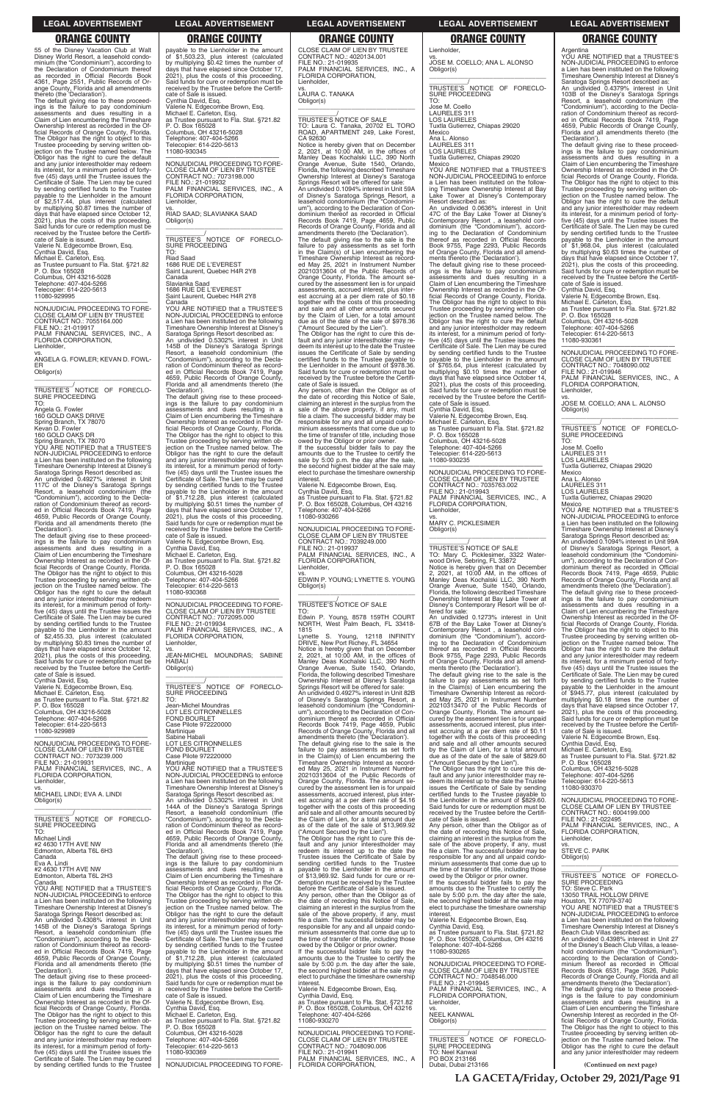55 of the Disney Vacation Club at Walt Disney World Resort, a leasehold condominium (the "Condominium"), according to the Declaration of Condominium thereof as recorded in Official Records Book 4361, Page 2551, Public Records of Orange County, Florida and all amendments thereto (the 'Declaration').

—————————————————— NONJUDICIAL PROCEEDING TO FORE-CLOSE CLAIM OF LIEN BY TRUSTEE CONTRACT NO.: 7055164.000 FILE NO.: 21-019917 PALM FINANCIAL SERVICES, INC., A

The default giving rise to these proceed-ings is the failure to pay condominium assessments and dues resulting in a Claim of Lien encumbering the Timeshare Ownership Interest as recorded in the Of-ficial Records of Orange County, Florida. The Obligor has the right to object to this Trustee proceeding by serving written ob-jection on the Trustee named below. The Obligor has the right to cure the default and any junior interestholder may redeem its interest, for a minimum period of fortyfive (45) days until the Trustee issues the Certificate of Sale. The Lien may be cured by sending certified funds to the Trustee payable to the Lienholder in the amount<br>of \$2.517.44 nhus interest. of \$2,517.44, plus interest (calculated by multiplying \$0.87 times the number of days that have elapsed since October 12, 2021), plus the costs of this proceeding. Said funds for cure or redemption must be received by the Trustee before the Certificate of Sale is issued. Valerie N. Edgecombe Brown, Esq.

Cynthia David, Esq. Michael E. Carleton, Esq. as Trustee pursuant to Fla. Stat. §721.82 P. O. Box 165028 Columbus, OH 43216-5028 Telephone: 407-404-5266 Telecopier: 614-220-5613 11080-929995

FLORIDA CORPORATION, Lienholder,

vs. ANGELA G. FOWLER; KEVAN D. FOWL-ER Obligor(s) \_\_\_\_\_\_\_\_\_\_\_\_\_\_\_\_\_\_\_\_\_\_\_\_\_\_\_\_\_\_\_\_\_

\_\_\_\_\_\_\_\_\_\_\_/ TRUSTEE'S NOTICE OF FORECLO-SURE PROCEEDING TO:

Angela G. Fowler 160 GOLD OAKS DRIVE Spring Branch, TX 78070 Kevan D. Fowler 160 GOLD OAKS DR

Spring Branch, TX 78070 YOU ARE NOTIFIED that a TRUSTEE'S NON-JUDICIAL PROCEEDING to enforce a Lien has been instituted on the following Timeshare Ownership Interest at Disney's Saratoga Springs Resort described as: An undivided 0.4927% interest in Unit 117C of the Disney's Saratoga Springs Resort, a leasehold condominium (the "Condominium"), according to the Decla-ration of Condominium thereof as record-ed in Official Records Book 7419, Page 4659, Public Records of Orange County, Florida and all amendments thereto (the 'Declaration').

The default giving rise to these proceed-ings is the failure to pay condominium assessments and dues resulting in a Claim of Lien encumbering the Timeshare Ownership Interest as recorded in the Of-ficial Records of Orange County, Florida. The Obligor has the right to object to this Trustee proceeding by serving written ob-jection on the Trustee named below. The Obligor has the right to cure the default and any junior interestholder may redeem its interest, for a minimum period of fortyfive (45) days until the Trustee issues the Certificate of Sale. The Lien may be cured by sending certified funds to the Trustee payable to the Lienholder in the amount<br>of \$2.455.33 plue interest in of \$2,455.33, plus interest (calculated by multiplying \$0.83 times the number of days that have elapsed since October 12, 2021), plus the costs of this proceeding. Said funds for cure or redemption must be received by the Trustee before the Certificate of Sale is issued.

\_\_\_\_\_\_\_\_\_\_\_\_\_\_\_\_\_\_\_\_\_\_\_\_\_\_\_\_\_\_\_\_\_ \_\_\_\_\_\_\_\_\_\_\_\_/<br>TRUSTEE'S NOTICE OF FORECLO-<br>SURE PROCEEDING

YOU ARE NOTIFIED that a TRUSTEE'S NON-JUDICIAL PROCEEDING to enforce a Lien has been instituted on the following Timeshare Ownership Interest at Disney's

Cynthia David, Esq. Valerie N. Edgecombe Brown, Esq. Michael E. Carleton, Esq. as Trustee pursuant to Fla. Stat. §721.82 P. O. Box 165028 Columbus, OH 43216-5028 Telephone: 407-404-5266 Telecopier: 614-220-5613 11080-929989

—————————————————— NONJUDICIAL PROCEEDING TO FORE-CLOSE CLAIM OF LIEN BY TRUSTEE CONTRACT NO.: 7073239.000 FILE NO.: 21-019931 PALM FINANCIAL SERVICES, INC., A FLORIDA CORPORATION, Lienholder, vs. MICHAEL LINDI; EVA A. LINDI Obligor(s)

 $\overline{\phantom{a}}$  ,  $\overline{\phantom{a}}$  ,  $\overline{\phantom{a}}$  ,  $\overline{\phantom{a}}$  ,  $\overline{\phantom{a}}$  ,  $\overline{\phantom{a}}$  ,  $\overline{\phantom{a}}$  ,  $\overline{\phantom{a}}$  ,  $\overline{\phantom{a}}$  ,  $\overline{\phantom{a}}$  ,  $\overline{\phantom{a}}$  ,  $\overline{\phantom{a}}$  ,  $\overline{\phantom{a}}$  ,  $\overline{\phantom{a}}$  ,  $\overline{\phantom{a}}$  ,  $\overline{\phantom{a}}$ 

vs. JEAN-MICHEL MOUNDRAS; SABINE  $\overline{\phantom{a}}$  ,  $\overline{\phantom{a}}$  ,  $\overline{\phantom{a}}$  ,  $\overline{\phantom{a}}$  ,  $\overline{\phantom{a}}$  ,  $\overline{\phantom{a}}$  ,  $\overline{\phantom{a}}$  ,  $\overline{\phantom{a}}$  ,  $\overline{\phantom{a}}$  ,  $\overline{\phantom{a}}$  ,  $\overline{\phantom{a}}$  ,  $\overline{\phantom{a}}$  ,  $\overline{\phantom{a}}$  ,  $\overline{\phantom{a}}$  ,  $\overline{\phantom{a}}$  ,  $\overline{\phantom{a}}$ 

 $\overline{\phantom{a}}$  , and the set of the set of the set of the set of the set of the set of the set of the set of the set of the set of the set of the set of the set of the set of the set of the set of the set of the set of the s \_\_\_\_\_\_\_\_\_\_\_/ TRUSTEE'S NOTICE OF SALE TO: Laura C. Tanaka, 20702 EL TORO ROAD, APARTMENT 249, Lake Forest, CA 92630 Notice is hereby given that on December 2, 2021, at 10:00 AM, in the offices of Manley Deas Kochalski LLC, 390 North

payable to the Lienholder in the amount of \$1,503.23, plus interest (calculated by multiplying \$0.42 times the number of days that have elapsed since October 17, 2021), plus the costs of this proceeding.

Said funds for cure or redemption must be received by the Trustee before the Certifi-cate of Sale is issued.

Cynthia David, Esq. Valerie N. Edgecombe Brown, Esq. Michael E. Carleton, Esq. as Trustee pursuant to Fla. Stat. §721.82 P. O. Box 165028

Columbus, OH 43216-5028 Telephone: 407-404-5266 Telecopier: 614-220-5613 11080-930345

—————————————————— NONJUDICIAL PROCEEDING TO FORE-CLOSE CLAIM OF LIEN BY TRUSTEE CONTRACT NO.: 7073198.000

FILE NO.: 21-019932

**Lienholder** 

PALM FINANCIAL SERVICES, INC., A FLORIDA CORPORATION,

vs. RIAD SAAD; SLAVIANKA SAAD

Obligor(s)

TO: Riad Saad

1686 RUE DE L'EVEREST Saint Laurent, Quebec H4R 2Y8

Canada

Slavianka Saad 1686 RUE DE L'EVEREST Saint Laurent, Quebec H4R 2Y8

> If the successful bidder fails to pay the amounts due to the Trustee to certify the sale by 5:00 p.m. the day after the sale the second highest bidder at the sale may elect to purchase the timeshare ownership interest

Canada

—————————————————— NONJUDICIAL PROCEEDING TO FORE-CLOSE CLAIM OF LIEN BY TRUSTEE CONTRACT NO.: 7039249.000 FILE NO.: 21-019937 PALM FINANCIAL SERVICES, INC., A FLORIDA CORPORATION, ienholder

Saratoga Springs Resort described as: An undivided 0.5302% interest in Unit 145B of the Disney's Saratoga Springs Resort, a leasehold condominium (the "Condominium"), according to the Decla-

ration of Condominium thereof as record-Official Records Book 7419, Page 4659, Public Records of Orange County, Florida and all amendments thereto (the

'Declaration'). The default giving rise to these proceedings is the failure to pay condominium assessments and dues resulting in a Claim of Lien encumbering the Timeshare Ownership Interest as recorded in the Official Records of Orange County, Florida. The Obligor has the right to object to this

Trustee proceeding by serving written ob-jection on the Trustee named below. The Obligor has the right to cure the default

and any junior interestholder may redeem its interest, for a minimum period of forty-five (45) days until the Trustee issues the Certificate of Sale. The Lien may be cured

by sending certified funds to the Trustee payable to the Lienholder in the amount of \$1,712.28, plus interest (calculated by multiplying \$0.51 times the number of days that have elapsed since October 17, 2021), plus the costs of this proceeding.

Said funds for cure or redemption must be received by the Trustee before the Certificate of Sale is issued.

Valerie N. Edgecombe Brown, Esq. Cynthia David, Esq.

Michael E. Carleton, Esq. as Trustee pursuant to Fla. Stat. §721.82 P. O. Box 165028 Columbus, OH 43216-5028

Telephone: 407-404-5266 Telecopier: 614-220-5613

11080-930368

\_\_\_\_\_\_\_\_\_\_\_\_\_\_\_\_\_\_\_\_\_\_\_\_\_\_\_\_\_\_\_\_\_ \_\_\_\_\_\_\_\_\_\_\_/<br>TRUSTEE'S NOTICE OF FORECLO-<br>SURE PROCEEDING

# —————————————————— NONJUDICIAL PROCEEDING TO FORE-

CLOSE CLAIM OF LIEN BY TRUSTEE CONTRACT NO.: 7072095.000 FILE NO.: 21-019934

PALM FINANCIAL SERVICES, INC., A FLORIDA CORPORATION,

# Lienholder, HABALI Obligor(s)

\_\_\_\_\_\_\_\_\_\_\_/ TRUSTEE'S NOTICE OF FORECLO-

SURE PROCEEDING TO: FOND BOURLET

Jean-Michel Moundras LOT LES CITRONNELLES

Case Pilote 972220000 Martinique Sabine Habali LOT LES CITRONNELLES FOND BOURLET Case Pilote 972220000

Martinique YOU ARE NOTIFIED that a TRUSTEE'S NON-JUDICIAL PROCEEDING to enforce a Lien has been instituted on the following Timeshare Ownership Interest at Disney's Saratoga Springs Resort described as: An undivided 0.5302% interest in Unit 144A of the Disney's Saratoga Springs Resort, a leasehold condominium (the

CLOSE CLAIM OF LIEN BY TRUSTEE CONTRACT NO.: 4020134.001 FILE NO.: 21-019935 PALM FINANCIAL SERVICES, INC., A FLORIDA CORPORATION, Lienholder,

vs. LAURA C. TANAKA Obligor(s)

Orange Avenue, Suite 1540, Orlando, Florida, the following described Timeshare Ownership Interest at Disney's Saratoga Springs Resort will be offered for sale: An undivided 0.1094% interest in Unit 59A of Disney's Saratoga Springs Resort, a<br>leasehold condominium (the "Condominileasehold condominium (the "Condomini-um"), according to the Declaration of Condominium thereof as recorded in Official Records Book 7419, Page 4659, Public Records of Orange County, Florida and all amendments thereto (the 'Declaration'). The default giving rise to the sale is the failure to pay assessments as set forth in the Claim(s) of Lien encumbering the Timeshare Ownership Interest as record-ed May 25, 2021 in Instrument Number 20210313604 of the Public Records of Orange County, Florida. The amount se-cured by the assessment lien is for unpaid assessments, accrued interest, plus interest accruing at a per diem rate of \$0.18 together with the costs of this proceeding and sale and all other amounts secured by the Claim of Lien, for a total amount due as of the date of the sale of \$978.36

> Tuxtla Gutierrez, Chiapas 29020 Mexico

("Amount Secured by the Lien"). The Obligor has the right to cure this de-fault and any junior interestholder may redeem its interest up to the date the Trustee issues the Certificate of Sale by sending certified funds to the Trustee payable to the Lienholder in the amount of \$978.36. Said funds for cure or redemption must be received by the Trustee before the Certificate of Sale is issued.

Any person, other than the Obligor as of the date of recording this Notice of Sale, claiming an interest in the surplus from the sale of the above property, if any, must file a claim. The successful bidder may be responsible for any and all unpaid condo-minium assessments that come due up to the time of transfer of title, including those owed by the Obligor or prior owner.

Valerie N. Edgecombe Brown, Esq. Cynthia David, Esq. as Trustee pursuant to Fla. Stat. §721.82 P. O. Box 165028, Columbus, OH 43216 Telephone: 407-404-5266 11080-930266

vs. EDWIN P. YOUNG; LYNETTE S. YOUNG Obligor(s)

**(Continued on next page)** TRUSTEE'S NOTICE OF FORECLO-SURE PROCEEDING TO: Michael Lindi #2 4630 17TH AVE NW Edmonton, Alberta T6L 6H3 Canada Eva A. Lindi #2 4630 17TH AVE NW Edmonton, Alberta T6L 2H3 Canada YOU ARE NOTIFIED that a TRUSTEE'S NON-JUDICIAL PROCEEDING to enforce a Lien has been instituted on the following Timeshare Ownership Interest at Disney's Saratoga Springs Resort described as: An undivided 0.4308% interest in Unit 145B of the Disney's Saratoga Springs Resort, a leasehold condominium (the "Condominium"), according to the Decla-ration of Condominium thereof as record-ed in Official Records Book 7419, Page 4659, Public Records of Orange County, Florida and all amendments thereto (the 'Declaration'). The default giving rise to these proceed-<br>ings is the failure to pay condominium<br>assessments and dues resulting in a<br>Claim of Lien encumbering the Timeshare<br>Ownership Interest as recorded in the Official Records of Orange County, Florida. The Obligor has the right to object to this Trustee proceeding by serving written objection on the Trustee named below. The Obligor has the right to cure the default and any junior interestholder may redeem its interest, for a minimum period of fortyfive (45) days until the Trustee issues the Certificate of Sale. The Lien may be cured by sending certified funds to the Trustee "Condominium"), according to the Decla-ration of Condominium thereof as record-ed in Official Records Book 7419, Page 4659, Public Records of Orange County, Florida and all amendments thereto (the 'Declaration'). The default giving rise to these proceed-ings is the failure to pay condominium assessments and dues resulting in a Claim of Lien encumbering the Timeshare Ownership Interest as recorded in the Of-ficial Records of Orange County, Florida. The Obligor has the right to object to this Trustee proceeding by serving written ob-jection on the Trustee named below. The Obligor has the right to cure the default and any junior interestholder may redeem its interest, for a minimum period of fortyfive (45) days until the Trustee issues the Certificate of Sale. The Lien may be cured by sending certified funds to the Trustee payable to the Lienholder in the amount<br>of \$1.712.28, plus interest (colourist) of \$1,712.28, plus interest (calculated by multiplying \$0.51 times the number of days that have elapsed since October 17, 2021), plus the costs of this proceeding. Said funds for cure or redemption must be received by the Trustee before the Certificate of Sale is issued. Valerie N. Edgecombe Brown, Esq. Cynthia David, Esq. Michael E. Carleton, Esq. as Trustee pursuant to Fla. Stat. §721.82 P. O. Box 165028 Columbus, OH 43216-5028 Telephone: 407-404-5266 Telecopier: 614-220-5613 11080-930369 —————————————————— NONJUDICIAL PROCEEDING TO FOREthe Claim of Lien, for a total amount due as of the date of the sale of \$13,969.92 ("Amount Secured by the Lien"). The Obligor has the right to cure this de-fault and any junior interestholder may redeem its interest up to the date the Trustee issues the Certificate of Sale by sending certified funds to the Trustee payable to the Lienholder in the amount of \$13,969.92. Said funds for cure or redemption must be received by the Trustee before the Certificate of Sale is issued. Any person, other than the Obligor as of the date of recording this Notice of Sale, claiming an interest in the surplus from the sale of the above property, if any, must file a claim. The successful bidder may be responsible for any and all unpaid condominium assessments that come due up to the time of transfer of title, including those owed by the Obligor or prior owner. If the successful bidder fails to pay the amounts due to the Trustee to certify the sale by 5:00 p.m. the day after the sale, the second highest bidder at the sale may elect to purchase the timeshare ownership interest. Valerie N. Edgecombe Brown, Esq. Cynthia David, Esq. as Trustee pursuant to Fla. Stat. §721.82 P. O. Box 165028, Columbus, OH 43216 Telephone: 407-404-5266 11080-930270 —————————————————— NONJUDICIAL PROCEEDING TO FORE-CLOSE CLAIM OF LIEN BY TRUSTEE CONTRACT NO.: 7048090.006 FILE NO.: 21-019941 PALM FINANCIAL SERVICES, INC., A FLORIDA CORPORATION, cate of Sale is issued. Any person, other than the Obligor as of the date of recording this Notice of Sale, claiming an interest in the surplus from the sale of the above property, if any, must file a claim. The successful bidder may be responsible for any and all unpaid condo-minium assessments that come due up to the time of transfer of title, including those owed by the Obligor or prior owner. If the successful bidder fails to pay the amounts due to the Trustee to certify the sale by 5:00 p.m. the day after the sale, the second highest bidder at the sale may elect to purchase the timeshare ownership interest. Valerie N. Edgecombe Brown, Esq. Cynthia David, Esq. as Trustee pursuant to Fla. Stat. §721.82 P. O. Box 165028, Columbus, OH 43216 Per Per Pecaso, Commit-11080-930265 —————————————————— NONJUDICIAL PROCEEDING TO FORE-CLOSE CLAIM OF LIEN BY TRUSTEE CONTRACT NO.: 7048546.000 FILE NO.: 21-019945 PALM FINANCIAL SERVICES, INC., A FLORIDA CORPORATION, Lienholder, vs. NEEL KANWAL Obligor(s) \_\_\_\_\_\_\_\_\_\_\_\_\_\_\_\_\_\_\_\_\_\_\_\_\_\_\_\_\_\_\_\_\_ \_\_\_\_\_\_\_\_\_\_\_/ TRUSTEE'S NOTICE OF FORECLO-SURE PROCEEDING TO: Neel Kanwal PO BOX 213166 Dubai, Dubai 213166 FILE NO.: 21-022495 PALM FINANCIAL SERVICES, INC., A FLORIDA CORPORATION, Lienholder, vs. STEVE C. PARK Obligor(s)  $\overline{\phantom{a}}$  , and the set of the set of the set of the set of the set of the set of the set of the set of the set of the set of the set of the set of the set of the set of the set of the set of the set of the set of the s \_\_\_\_\_\_\_\_\_\_\_/ TRUSTEE'S NOTICE OF FORECLO-SURE PROCEEDING TO: Steve C. Park 13050 TRAIL HOLLOW DRIVE Houston, TX 77079-3740 YOU ARE NOTIFIED that a TRUSTEE'S NON-JUDICIAL PROCEEDING to enforce a Lien has been instituted on the following Timeshare Ownership Interest at Disney's Beach Club Villas described as: An undivided 0.4398% interest in Unit 27 of the Disney's Beach Club Villas, a leasehold condominium (the "Condominium"), according to the Declaration of Condo-minium thereof as recorded in Official Records Book 6531, Page 3526, Public Records of Orange County, Florida and all amendments thereto (the 'Declaration'). The default giving rise to these proceed-ings is the failure to pay condominium assessments and dues resulting in a Claim of Lien encumbering the Timeshare Ownership Interest as recorded in the Official Records of Orange County, Florida. The Obligor has the right to object to this Trustee proceeding by serving written ob-jection on the Trustee named below. The Obligor has the right to cure the default and any junior interestholder may redeem

\_\_\_\_\_\_\_\_\_\_\_/ TRUSTEE'S NOTICE OF SALE

TO: Edwin P. Young, 8578 159TH COURT NORTH, West Palm Beach, FL 33418-

1815 Lynette S. Young, 12118 INFINITY DRIVE, New Port Richey, FL 34654 Notice is hereby given that on December 2, 2021, at 10:00 AM, in the offices of Manley Deas Kochalski LLC, 390 North Orange Avenue, Suite 1540, Orlando, Florida, the following described Timeshare Ownership Interest at Disney's Saratoga Springs Resort will be offered for sale: An undivided 0.4927% interest in Unit 82B of Disney's Saratoga Springs Resort, a leasehold condominium (the "Condominium"), according to the Declaration of Con-dominium thereof as recorded in Official Records Book 7419, Page 4659, Public Records of Orange County, Florida and all amendments thereto (the 'Declaration').

The default giving rise to the sale is the failure to pay assessments as set forth in the Claim(s) of Lien encumbering the ed May 25, 2021 in Instrument Number 20210313604 of the Public Records of cured by the assessment lien is for unpaid assessments, accrued interest, plus inter-

Timeshare Ownership Interest as record-Orange County, Florida. The amount seest accruing at a per diem rate of \$4.16 together with the costs of this proceeding and sale and all other amounts secured by

\_\_\_\_\_\_\_\_\_\_\_\_\_\_\_\_\_\_\_\_\_\_\_\_\_\_\_\_\_\_\_\_\_ TO: Mary C. Picklesimer, 3322 Water-wood Drive, Sebring, FL 33872 Notice is hereby given that on December 2, 2021, at 10:00 AM, in the offices of Manley Deas Kochalski LLC, 390 North Orange Avenue, Suite 1540, Orlando, Florida, the following described Timeshare

Lienholder,

vs. JOSE M. COELLO; ANA L. ALONSO

Obligor(s)

TO: Jose M. Coello LAURELES 311 LOS LAURELES

Tuxtla Gutierrez, Chiapas 29020

Mexico Ana L. Alonso LAURELES 311 LOS LAURELES

Mexico

Tuxtla Gutierrez, Chiapas 29020

YOU ARE NOTIFIED that a TRUSTEE'S NON-JUDICIAL PROCEEDING to enforce a Lien has been instituted on the follow-ing Timeshare Ownership Interest at Bay Lake Tower at Disney's Contemporary Resort described as: An undivided 0.0636% interest in Unit 47C of the Bay Lake Tower at Disney's Contemporary Resort , a leasehold con-dominium (the "Condominium"), accord-ing to the Declaration of Condominium thereof as recorded in Official Records Book 9755, Page 2293, Public Records of Orange County, Florida and all amend-ments thereto (the 'Declaration'). The default giving rise to these proceed-

ings is the failure to pay condominium assessments and dues resulting in a Claim of Lien encumbering the Timeshare Ownership Interest as recorded in the Official Records of Orange County, Florida. The Obligor has the right to object to this Trustee proceeding by serving written ob-jection on the Trustee named below. The Obligor has the right to cure the default and any junior interestholder may redeem its interest, for a minimum period of forty-five (45) days until the Trustee issues the Certificate of Sale. The Lien may be cured by sending certified funds to the Trustee payable to the Lienholder in the amount of \$765.64, plus interest (calculated by multiplying \$0.10 times the number of days that have elapsed since October 14,

2021), plus the costs of this proceeding. Said funds for cure or redemption must be received by the Trustee before the Certifi-

cate of Sale is issued.

Cynthia David, Esq. Valerie N. Edgecombe Brown, Esq. Michael E. Carleton, Esq. as Trustee pursuant to Fla. Stat. §721.82 P. O. Box 165028

Columbus, OH 43216-5028 Telephone: 407-404-5266 Telecopier: 614-220-5613

11080-930235

—————————————————— NONJUDICIAL PROCEEDING TO FORE-CLOSE CLAIM OF LIEN BY TRUSTEE CONTRACT NO.: 7035763.002 FILE NO.: 21-019943 PALM FINANCIAL SERVICES, INC., A

FLORIDA CORPORATION,

Lienholder,

vs. MARY C. PICKLESIMER

Obligor(s)

\_\_\_\_\_\_\_\_\_\_\_\_\_\_\_\_\_\_\_\_\_\_\_\_\_\_\_\_\_\_\_\_\_ \_\_\_\_\_\_\_\_\_\_\_/ TRUSTEE'S NOTICE OF SALE

# Ownership Interest at Bay Lake Tower at Disney's Contemporary Resort will be offered for sale: An undivided 0.1273% interest in Unit 67B of the Bay Lake Tower at Disney's Contemporary Resort , a leasehold con-dominium (the "Condominium"), accord-ing to the Declaration of Condominium thereof as recorded in Official Records Book 9755, Page 2293, Public Records of Orange County, Florida and all amendments thereto (the 'Declaration'). The default giving rise to the sale is the failure to pay assessments as set forth in the Claim(s) of Lien encumbering the Timeshare Ownership Interest as record-ed May 25, 2021 in Instrument Number 20210313470 of the Public Records of Orange County, Florida. The amount se-cured by the assessment lien is for unpaid

assessments, accrued interest, plus interest accruing at a per diem rate of \$0.11 together with the costs of this proceeding and sale and all other amounts secured by the Claim of Lien, for a total amount due as of the date of the sale of \$829.60 ("Amount Secured by the Lien").

The Obligor has the right to cure this de-fault and any junior interestholder may redeem its interest up to the date the Trustee issues the Certificate of Sale by sending certified funds to the Trustee payable to the Lienholder in the amount of \$829.60. Said funds for cure or redemption must be received by the Trustee before the Certifi-

Argentina YOU ARE NOTIFIED that a TRUSTEE'S NON-JUDICIAL PROCEEDING to enforce a Lien has been instituted on the following Timeshare Ownership Interest at Disney's

Saratoga Springs Resort described as: An undivided 0.4379% interest in Unit 103B of the Disney's Saratoga Springs Resort, a leasehold condominium (the "Condominium"), according to the Decla-ration of Condominium thereof as recorded in Official Records Book 7419, Page 4659, Public Records of Orange County, Florida and all amendments thereto (the 'Declaration').

The default giving rise to these proceed-ings is the failure to pay condominium assessments and dues resulting in a Claim of Lien encumbering the Timeshare Ownership Interest as recorded in the Official Records of Orange County, Florida. The Obligor has the right to object to this Trustee proceeding by serving written objection on the Trustee named below. The Obligor has the right to cure the default and any junior interestholder may redeem its interest, for a minimum period of fortyfive (45) days until the Trustee issues the Certificate of Sale. The Lien may be cured by sending certified funds to the Trustee<br>payable to the Lienholder in the amount<br>of \$1,968.04, plus interest (calculated<br>by multiplying \$0.63 times the number of<br>days that have elapsed since October 17,<br>2021), plus the co Said funds for cure or redemption must be received by the Trustee before the Certifi-cate of Sale is issued.

Cynthia David, Esq. Valerie N. Edgecombe Brown, Esq. Michael E. Carleton, Esq. as Trustee pursuant to Fla. Stat. §721.82 P. O. Box 165028 Columbus, OH 43216-5028

Telephone: 407-404-5266 Telecopier: 614-220-5613 11080-930361

NON ILIDICIAL PROCEEDING TO FORE. NONJUDICIAL PROCEEDING TO FORE-CLOSE CLAIM OF LIEN BY TRUSTEE CONTRACT NO.: 7048090.002 FILE NO.: 21-019946 PALM FINANCIAL SERVICES, INC., A FLORIDA CORPORATION, **Lienholder** 

vs. JOSE M. COELLO; ANA L. ALONSO Obligor(s) \_\_\_\_\_\_\_\_\_\_\_\_\_\_\_\_\_\_\_\_\_\_\_\_\_\_\_\_\_\_\_\_\_

\_\_\_\_\_\_\_\_\_\_\_/<br>TRUSTEE'S NOTICE OF FORECLO-<br>SURE PROCEEDING

TO: . u.<br>Jose M. Coello LAURELES 311 LOS LAURELES Tuxtla Gutierrez, Chiapas 29020

Mexico Ana L. Alonso LAURELES 311 LOS LAURELES

YOU ARE NOTIFIED that a TRUSTEE'S NON-JUDICIAL PROCEEDING to enforce a Lien has been instituted on the following Timeshare Ownership Interest at Disney's Saratoga Springs Resort described as: An undivided 0.1094% interest in Unit 99A of Disney's Saratoga Springs Resort, a leasehold condominium (the "Condominium"), according to the Declaration of Con-dominium thereof as recorded in Official Records Book 7419, Page 4659, Public Records of Orange County, Florida and all amendments thereto (the 'Declaration'). The default giving rise to these proceed-ings is the failure to pay condominium assessments and dues resulting in a Claim of Lien encumbering the Timeshare Ownership Interest as recorded in the Of-ficial Records of Orange County, Florida. The Obligor has the right to object to this Trustee proceeding by serving written ob-jection on the Trustee named below. The Obligor has the right to cure the default and any junior interestholder may redeem its interest, for a minimum period of fortyfive (45) days until the Trustee issues the Certificate of Sale. The Lien may be cured by sending certified funds to the Trustee payable to the Lienholder in the amount of \$945.77, plus interest (calculated by multiplying \$0.18 times the number of days that have elapsed since October 17, 2021), plus the costs of this proceeding. Said funds for cure or redemption must be received by the Trustee before the Certifi-cate of Sale is issued. Valerie N. Edgecombe Brown, Esq.

Cynthia David, Esq.

Michael E. Carleton, Esq. as Trustee pursuant to Fla. Stat. §721.82 P. O. Box 165028 Columbus, OH 43216-5028 Telephone: 407-404-5266 Telecopier: 614-220-5613 11080-930370

—————————————————— NONJUDICIAL PROCEEDING TO FORE-CLOSE CLAIM OF LIEN BY TRUSTEE CONTRACT NO.: 6004199.000

**LEGAL ADVERTISEMENT LEGAL ADVERTISEMENT LEGAL ADVERTISEMENT LEGAL ADVERTISEMENT LEGAL ADVERTISEMENT**

### **ORANGE COUNTY ORANGE COUNTY ORANGE COUNTY ORANGE COUNTY ORANGE COUNTY**